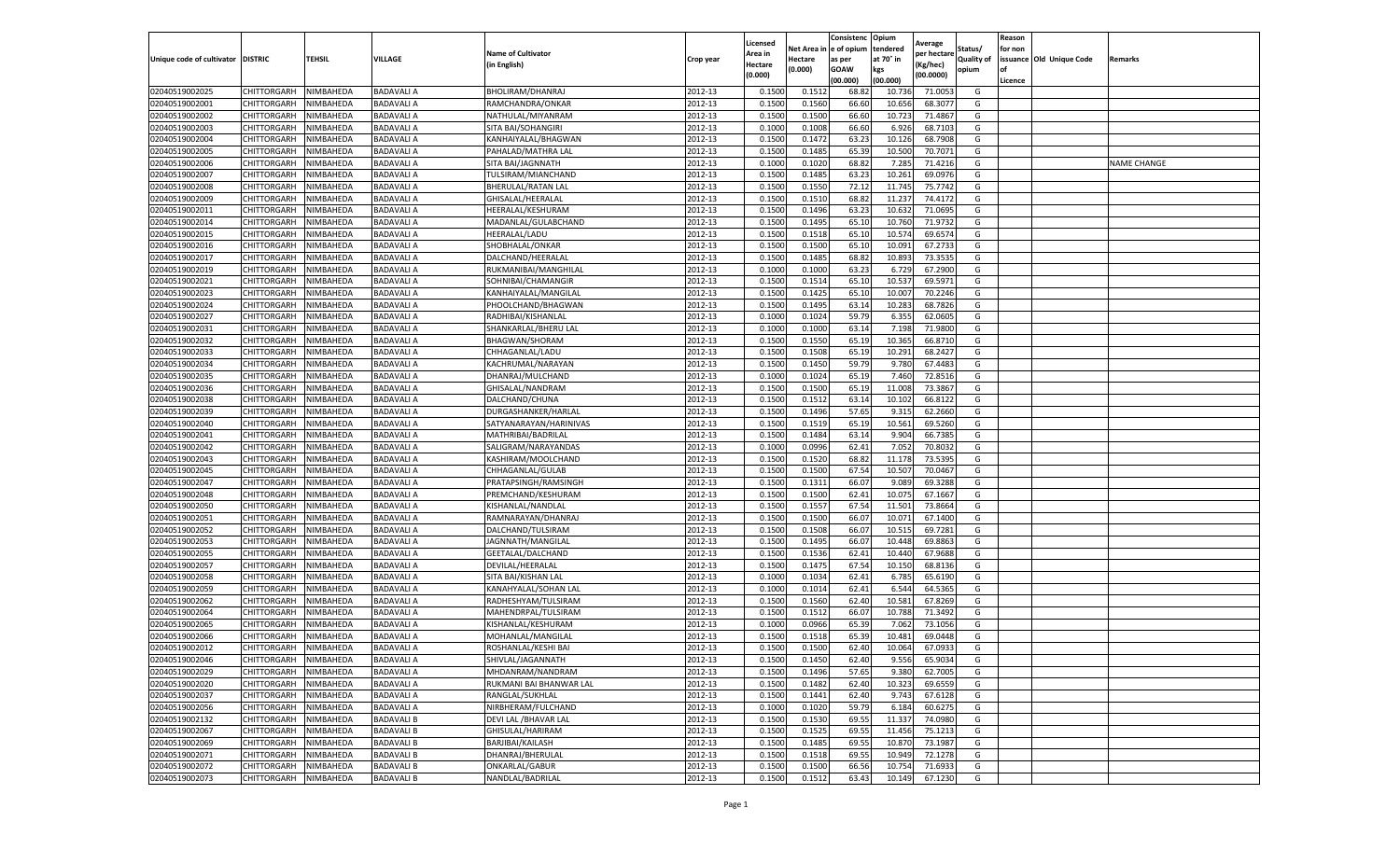|                           |                    |                  |                   |                                          |           |                    |         | Consistenc             | Opium     |                       |            | Reason  |                          |                    |
|---------------------------|--------------------|------------------|-------------------|------------------------------------------|-----------|--------------------|---------|------------------------|-----------|-----------------------|------------|---------|--------------------------|--------------------|
|                           |                    |                  |                   |                                          |           | Licensed           |         | Net Area in e of opium | tendered  | Average               | Status/    | for non |                          |                    |
| Unique code of cultivator | <b>DISTRIC</b>     | TEHSIL           | VILLAGE           | <b>Name of Cultivator</b><br>in English) | Crop year | Area in<br>Hectare | Hectare | as per                 | at 70° in | er hectar<br>(Kg/hec) | Quality of |         | issuance Old Unique Code | Remarks            |
|                           |                    |                  |                   |                                          |           | (0.000)            | (0.000) | <b>GOAW</b>            | kgs       | (00.0000)             | opium      | of      |                          |                    |
|                           |                    |                  |                   |                                          |           |                    |         | (00.000)               | (00.000)  |                       |            | Licence |                          |                    |
| 02040519002025            | CHITTORGARH        | NIMBAHEDA        | <b>BADAVALI A</b> | BHOLIRAM/DHANRAJ                         | 2012-13   | 0.1500             | 0.1512  | 68.82                  | 10.73     | 71.005                | G          |         |                          |                    |
| 02040519002001            | CHITTORGARH        | NIMBAHEDA        | <b>BADAVALI A</b> | RAMCHANDRA/ONKAR                         | 2012-13   | 0.1500             | 0.1560  | 66.60                  | 10.65     | 68.307                | G          |         |                          |                    |
| 02040519002002            | CHITTORGARH        | NIMBAHEDA        | BADAVALI A        | NATHULAL/MIYANRAM                        | 2012-13   | 0.1500             | 0.1500  | 66.60                  | 10.723    | 71.4867               | G          |         |                          |                    |
| 02040519002003            | CHITTORGARH        | NIMBAHEDA        | <b>BADAVALI A</b> | SITA BAI/SOHANGIRI                       | 2012-13   | 0.1000             | 0.1008  | 66.60                  | 6.92      | 68.7103               | G          |         |                          |                    |
| 02040519002004            | CHITTORGARH        | NIMBAHEDA        | <b>BADAVALI A</b> | KANHAIYALAL/BHAGWAN                      | 2012-13   | 0.1500             | 0.1472  | 63.23                  | 10.126    | 68.7908               | G          |         |                          |                    |
| 02040519002005            | CHITTORGARH        | NIMBAHEDA        | <b>BADAVALI A</b> | PAHALAD/MATHRA LAL                       | 2012-13   | 0.1500             | 0.1485  | 65.39                  | 10.500    | 70.7071               | G          |         |                          |                    |
| 02040519002006            | CHITTORGARH        | NIMBAHEDA        | <b>BADAVALI A</b> | SITA BAI/JAGNNATH                        | 2012-13   | 0.1000             | 0.1020  | 68.82                  | 7.285     | 71.4216               | G          |         |                          | <b>NAME CHANGE</b> |
| 02040519002007            | CHITTORGARH        | NIMBAHEDA        | <b>BADAVALI A</b> | TULSIRAM/MIANCHAND                       | 2012-13   | 0.1500             | 0.1485  | 63.23                  | 10.261    | 69.0976               | G          |         |                          |                    |
| 02040519002008            | CHITTORGARH        | NIMBAHEDA        | <b>BADAVALI A</b> | <b>BHERULAL/RATAN LAL</b>                | 2012-13   | 0.1500             | 0.1550  | 72.12                  | 11.745    | 75.7742               | G          |         |                          |                    |
| 02040519002009            | CHITTORGARH        | NIMBAHEDA        | BADAVALI A        | GHISALAL/HEERALAL                        | 2012-13   | 0.1500             | 0.1510  | 68.82                  | 11.23     | 74.4172               | G          |         |                          |                    |
| 02040519002011            | CHITTORGARH        | NIMBAHEDA        | <b>BADAVALI A</b> | HEERALAL/KESHURAM                        | 2012-13   | 0.1500             | 0.1496  | 63.23                  | 10.632    | 71.0695               | G          |         |                          |                    |
| 02040519002014            | CHITTORGARH        | NIMBAHEDA        | <b>BADAVALIA</b>  | MADANLAL/GULABCHAND                      | 2012-13   | 0.1500             | 0.1495  | 65.10                  | 10.76     | 71.973                | G          |         |                          |                    |
| 02040519002015            | CHITTORGARH        | NIMBAHEDA        | BADAVALI A        | HEERALAL/LADU                            | 2012-13   | 0.1500             | 0.1518  | 65.10                  | 10.57     | 69.6574               | G          |         |                          |                    |
| 02040519002016            | CHITTORGARH        | NIMBAHEDA        | <b>BADAVALI A</b> | SHOBHALAL/ONKAR                          | 2012-13   | 0.1500             | 0.1500  | 65.10                  | 10.091    | 67.2733               | G          |         |                          |                    |
| 02040519002017            | CHITTORGARH        | NIMBAHEDA        | <b>BADAVALI A</b> | DALCHAND/HEERALAL                        | 2012-13   | 0.1500             | 0.1485  | 68.82                  | 10.89     | 73.3535               | G          |         |                          |                    |
| 02040519002019            | CHITTORGARH        | NIMBAHEDA        | BADAVALI A        | RUKMANIBAI/MANGHILAL                     | 2012-13   | 0.1000             | 0.1000  | 63.23                  | 6.729     | 67.2900               | G          |         |                          |                    |
| 02040519002021            | CHITTORGARH        | NIMBAHEDA        | <b>BADAVALI A</b> | SOHNIBAI/CHAMANGIR                       | 2012-13   | 0.1500             | 0.1514  | 65.10                  | 10.53     | 69.5971               | G          |         |                          |                    |
| 02040519002023            | CHITTORGARH        | NIMBAHEDA        | <b>BADAVALI A</b> | KANHAIYALAL/MANGILAL                     | 2012-13   | 0.1500             | 0.1425  | 65.10                  | 10.007    | 70.2246               | G          |         |                          |                    |
| 02040519002024            | CHITTORGARH        | NIMBAHEDA        | BADAVALI A        | PHOOLCHAND/BHAGWAN                       | 2012-13   | 0.1500             | 0.1495  | 63.14                  | 10.28     | 68.7826               | G          |         |                          |                    |
| 02040519002027            | CHITTORGARH        | NIMBAHEDA        | <b>BADAVALI A</b> | RADHIBAI/KISHANLAL                       | 2012-13   | 0.1000             | 0.1024  | 59.79                  | 6.355     | 62.0605               | G          |         |                          |                    |
| 02040519002031            | CHITTORGARH        | NIMBAHEDA        | <b>BADAVALI A</b> | SHANKARLAL/BHERU LAL                     | 2012-13   | 0.1000             | 0.1000  | 63.14                  | 7.198     | 71.9800               | G          |         |                          |                    |
| 02040519002032            | CHITTORGARH        | NIMBAHEDA        | BADAVALI A        | BHAGWAN/SHORAM                           | 2012-13   | 0.1500             | 0.1550  | 65.19                  | 10.365    | 66.8710               | G          |         |                          |                    |
| 02040519002033            | CHITTORGARH        | NIMBAHEDA        | <b>BADAVALI A</b> | CHHAGANLAL/LADU                          | 2012-13   | 0.1500             | 0.1508  | 65.19                  | 10.291    | 68.2427               | G          |         |                          |                    |
| 02040519002034            | CHITTORGARH        | NIMBAHEDA        | <b>BADAVALI A</b> | KACHRUMAL/NARAYAN                        | 2012-13   | 0.1500             | 0.1450  | 59.79                  | 9.78      | 67.4483               | G          |         |                          |                    |
| 02040519002035            | CHITTORGARH        | NIMBAHEDA        | <b>BADAVALI A</b> | DHANRAJ/MULCHAND                         | 2012-13   | 0.1000             | 0.1024  | 65.19                  | 7.460     | 72.8516               | G          |         |                          |                    |
| 02040519002036            | CHITTORGARH        | NIMBAHEDA        | BADAVALI A        | GHISALAL/NANDRAM                         | 2012-13   | 0.1500             | 0.1500  | 65.19                  | 11.00     | 73.3867               | G          |         |                          |                    |
| 02040519002038            | CHITTORGARH        | NIMBAHEDA        | <b>BADAVALI A</b> | DALCHAND/CHUNA                           | 2012-13   | 0.1500             | 0.1512  | 63.14                  | 10.102    | 66.8122               | G          |         |                          |                    |
| 02040519002039            | CHITTORGARH        | NIMBAHEDA        | BADAVALI A        | DURGASHANKER/HARLAL                      | 2012-13   | 0.1500             | 0.1496  | 57.65                  | 9.315     | 62.2660               | G          |         |                          |                    |
| 02040519002040            | CHITTORGARH        | NIMBAHEDA        | BADAVALI A        | SATYANARAYAN/HARINIVAS                   | 2012-13   | 0.1500             | 0.1519  | 65.19                  | 10.561    | 69.5260               | G          |         |                          |                    |
| 02040519002041            | CHITTORGARH        | NIMBAHEDA        | <b>BADAVALI A</b> | MATHRIBAI/BADRILAL                       | 2012-13   | 0.1500             | 0.1484  | 63.14                  | 9.904     | 66.7385               | G          |         |                          |                    |
| 02040519002042            | CHITTORGARH        | NIMBAHEDA        | BADAVALI A        | SALIGRAM/NARAYANDAS                      | 2012-13   | 0.1000             | 0.0996  | 62.41                  | 7.052     | 70.8032               | G          |         |                          |                    |
| 02040519002043            | CHITTORGARH        | NIMBAHEDA        | <b>BADAVALI A</b> | KASHIRAM/MOOLCHAND                       | 2012-13   | 0.1500             | 0.1520  | 68.82                  | 11.17     | 73.5395               | G          |         |                          |                    |
| 02040519002045            | CHITTORGARH        | NIMBAHEDA        | <b>BADAVALI A</b> | CHHAGANLAL/GULAB                         | 2012-13   | 0.1500             | 0.1500  | 67.54                  | 10.507    | 70.0467               | G          |         |                          |                    |
| 02040519002047            | CHITTORGARH        | NIMBAHEDA        | <b>BADAVALI A</b> | PRATAPSINGH/RAMSINGH                     | 2012-13   | 0.1500             | 0.1311  | 66.07                  | 9.08      | 69.3288               | G          |         |                          |                    |
| 02040519002048            | CHITTORGARH        | NIMBAHEDA        | <b>BADAVALI A</b> | PREMCHAND/KESHURAM                       | 2012-13   | 0.1500             | 0.1500  | 62.41                  | 10.075    | 67.1667               | G          |         |                          |                    |
| 02040519002050            | CHITTORGARH        | NIMBAHEDA        | <b>BADAVALI A</b> | KISHANLAL/NANDLAL                        | 2012-13   | 0.1500             | 0.1557  | 67.54                  | 11.501    | 73.8664               | G          |         |                          |                    |
| 02040519002051            | CHITTORGARH        | NIMBAHEDA        | BADAVALI A        | RAMNARAYAN/DHANRAJ                       | 2012-13   | 0.1500             | 0.1500  | 66.07                  | 10.07     | 67.1400               | G          |         |                          |                    |
| 02040519002052            | CHITTORGARH        | NIMBAHEDA        | BADAVALI A        | DALCHAND/TULSIRAM                        | 2012-13   | 0.1500             | 0.1508  | 66.07                  | 10.51     | 69.7281               | G          |         |                          |                    |
| 02040519002053            | CHITTORGARH        | NIMBAHEDA        | <b>BADAVALI A</b> | JAGNNATH/MANGILAL                        | 2012-13   | 0.1500             | 0.1495  | 66.07                  | 10.448    | 69.8863               | G          |         |                          |                    |
| 02040519002055            | CHITTORGARH        | NIMBAHEDA        | <b>BADAVALI A</b> | GEETALAL/DALCHAND                        | 2012-13   | 0.1500             | 0.1536  | 62.41                  | 10.44     | 67.9688               | G          |         |                          |                    |
| 02040519002057            | CHITTORGARH        | NIMBAHEDA        | BADAVALI A        | DEVILAL/HEERALAL                         | 2012-13   | 0.1500             | 0.1475  | 67.54                  | 10.15     | 68.8136               | G          |         |                          |                    |
| 02040519002058            | CHITTORGARH        | NIMBAHEDA        | <b>BADAVALI A</b> | SITA BAI/KISHAN LAL                      | 2012-13   | 0.1000             | 0.1034  | 62.41                  | 6.785     | 65.6190               | G          |         |                          |                    |
| 02040519002059            | CHITTORGARH        | NIMBAHEDA        | BADAVALI A        | KANAHYALAL/SOHAN LAL                     | 2012-13   | 0.1000             | 0.1014  | 62.41                  | 6.544     | 64.5365               | G          |         |                          |                    |
| 02040519002062            | CHITTORGARH        | NIMBAHEDA        | <b>BADAVALI A</b> | RADHESHYAM/TULSIRAM                      | 2012-13   | 0.1500             | 0.1560  | 62.40                  | 10.58     | 67.8269               | G          |         |                          |                    |
| 02040519002064            | CHITTORGARH        | NIMBAHEDA        | BADAVALI A        | MAHENDRPAL/TULSIRAM                      | 2012-13   | 0.1500             | 0.1512  | 66.07                  | 10.78     | 71.3492               | G          |         |                          |                    |
| 02040519002065            | CHITTORGARH        | NIMBAHEDA        | <b>BADAVALI A</b> | KISHANLAL/KESHURAM                       | 2012-13   | 0.1000             | 0.0966  | 65.39                  | 7.06      | 73.1056               | G          |         |                          |                    |
| 02040519002066            | CHITTORGARH        | NIMBAHEDA        | <b>BADAVALI A</b> | MOHANLAL/MANGILAL                        | 2012-13   | 0.1500             | 0.1518  | 65.39                  | 10.481    | 69.0448               | G          |         |                          |                    |
| 02040519002012            | CHITTORGARH        | NIMBAHEDA        | <b>BADAVALI A</b> | ROSHANLAL/KESHI BAI                      | 2012-13   | 0.1500             | 0.1500  | 62.40                  | 10.064    | 67.0933               | G          |         |                          |                    |
| 02040519002046            | CHITTORGARH        | <b>NIMBAHEDA</b> | <b>BADAVALI A</b> | SHIVLAL/JAGANNATH                        | 2012-13   | 0.1500             | 0.1450  | 62.40                  | 9.556     | 65.9034               | G          |         |                          |                    |
| 02040519002029            | CHITTORGARH        | <b>NIMBAHEDA</b> | <b>BADAVALI A</b> | MHDANRAM/NANDRAM                         | 2012-13   | 0.1500             | 0.1496  | 57.65                  | 9.380     | 62.7005               | G          |         |                          |                    |
| 02040519002020            | <b>CHITTORGARH</b> | NIMBAHEDA        | <b>BADAVALI A</b> | RUKMANI BAI BHANWAR LAL                  | 2012-13   | 0.1500             | 0.1482  | 62.40                  | 10.323    | 69.6559               | G          |         |                          |                    |
| 02040519002037            | CHITTORGARH        | NIMBAHEDA        | <b>BADAVALI A</b> | RANGLAL/SUKHLAL                          | 2012-13   | 0.1500             | 0.1441  | 62.40                  | 9.743     | 67.6128               | G          |         |                          |                    |
| 02040519002056            | <b>CHITTORGARH</b> | NIMBAHEDA        | <b>BADAVALI A</b> | NIRBHERAM/FULCHAND                       | 2012-13   | 0.1000             | 0.1020  | 59.79                  | 6.184     | 60.6275               | G          |         |                          |                    |
| 02040519002132            | <b>CHITTORGARH</b> | NIMBAHEDA        | <b>BADAVALI B</b> | DEVI LAL / BHAVAR LAL                    | 2012-13   | 0.1500             | 0.1530  | 69.55                  | 11.337    | 74.0980               | G          |         |                          |                    |
| 02040519002067            | CHITTORGARH        | NIMBAHEDA        | <b>BADAVALI B</b> | GHISULAL/HARIRAM                         | 2012-13   | 0.1500             | 0.1525  | 69.55                  | 11.456    | 75.1213               | G          |         |                          |                    |
| 02040519002069            | CHITTORGARH        | NIMBAHEDA        | <b>BADAVALI B</b> | BARJIBAI/KAILASH                         | 2012-13   | 0.1500             | 0.1485  | 69.55                  | 10.87     | 73.1987               | G          |         |                          |                    |
| 02040519002071            | <b>CHITTORGARH</b> | NIMBAHEDA        | <b>BADAVALI B</b> | DHANRAJ/BHERULAL                         | 2012-13   | 0.1500             | 0.1518  | 69.55                  | 10.94     | 72.1278               | G          |         |                          |                    |
| 02040519002072            | <b>CHITTORGARH</b> | NIMBAHEDA        | <b>BADAVALI B</b> | ONKARLAL/GABUR                           | 2012-13   | 0.1500             | 0.1500  | 66.56                  | 10.754    | 71.6933               | G          |         |                          |                    |
| 02040519002073            | CHITTORGARH        | NIMBAHEDA        | <b>BADAVALI B</b> | NANDLAL/BADRILAL                         | 2012-13   | 0.1500             | 0.1512  | 63.43                  | 10.149    | 67.1230               | G          |         |                          |                    |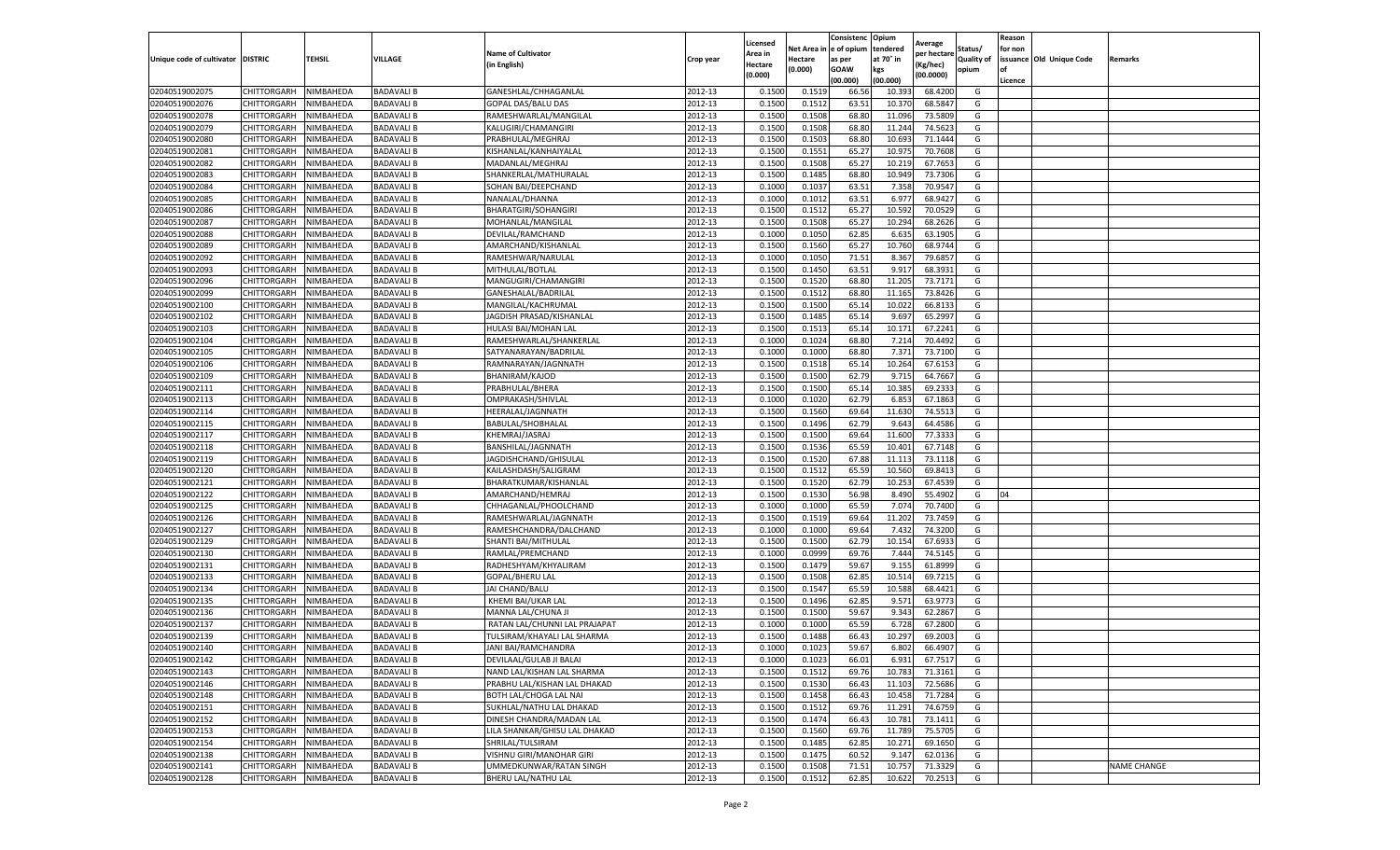|                                   |                       |           |                   |                               |           | Licensed |         | Consistenc             | Opium     |                        |                   | Reason  |                          |                    |
|-----------------------------------|-----------------------|-----------|-------------------|-------------------------------|-----------|----------|---------|------------------------|-----------|------------------------|-------------------|---------|--------------------------|--------------------|
|                                   |                       |           |                   | <b>Name of Cultivator</b>     |           | Area in  |         | Net Area in e of opium | tendered  | Average<br>per hectare | Status/           | for non |                          |                    |
| Unique code of cultivator DISTRIC |                       | TEHSIL    | VILLAGE           | in English)                   | Crop year | Hectare  | Hectare | as per                 | at 70° in | (Kg/hec                | <b>Quality of</b> |         | issuance Old Unique Code | <b>Remarks</b>     |
|                                   |                       |           |                   |                               |           | (0.000)  | (0.000) | <b>GOAW</b>            | kgs       | (00.0000)              | opium             |         |                          |                    |
|                                   |                       |           |                   |                               |           |          |         | (00.000)               | (00.000)  |                        |                   | Licence |                          |                    |
| 02040519002075                    | CHITTORGARH           | NIMBAHEDA | <b>BADAVALI B</b> | GANESHLAL/CHHAGANLAL          | 2012-13   | 0.1500   | 0.1519  | 66.56                  | 10.39     | 68.4200                | G                 |         |                          |                    |
| 02040519002076                    | CHITTORGARH           | NIMBAHEDA | <b>BADAVALI B</b> | GOPAL DAS/BALU DAS            | 2012-13   | 0.1500   | 0.1512  | 63.51                  | 10.37     | 68.5847                | G                 |         |                          |                    |
| 02040519002078                    | CHITTORGARH           | NIMBAHEDA | <b>BADAVALI B</b> | RAMESHWARLAL/MANGILAL         | 2012-13   | 0.1500   | 0.1508  | 68.80                  | 11.096    | 73.5809                | G                 |         |                          |                    |
| 02040519002079                    | CHITTORGARH           | NIMBAHEDA | <b>BADAVALI B</b> | KALUGIRI/CHAMANGIRI           | 2012-13   | 0.1500   | 0.1508  | 68.80                  | 11.244    | 74.5623                | G                 |         |                          |                    |
| 02040519002080                    | CHITTORGARH           | NIMBAHEDA | <b>BADAVALI B</b> | PRABHULAL/MEGHRAJ             | 2012-13   | 0.1500   | 0.1503  | 68.80                  | 10.693    | 71.1444                | G                 |         |                          |                    |
| 02040519002081                    | CHITTORGARH           | NIMBAHEDA | <b>BADAVALI B</b> | KISHANLAL/KANHAIYALAI         | 2012-13   | 0.1500   | 0.1551  | 65.27                  | 10.97     | 70.7608                | G                 |         |                          |                    |
| 02040519002082                    | CHITTORGARH           | NIMBAHEDA | <b>BADAVALI B</b> | MADANLAL/MEGHRAJ              | 2012-13   | 0.1500   | 0.1508  | 65.27                  | 10.219    | 67.7653                | G                 |         |                          |                    |
| 02040519002083                    | CHITTORGARH           | NIMBAHEDA | <b>BADAVALI B</b> | SHANKERLAL/MATHURALAL         | 2012-13   | 0.1500   | 0.1485  | 68.80                  | 10.949    | 73.7306                | G                 |         |                          |                    |
| 02040519002084                    | CHITTORGARH           | NIMBAHEDA | <b>BADAVALI B</b> | SOHAN BAI/DEEPCHAND           | 2012-13   | 0.1000   | 0.1037  | 63.51                  | 7.358     | 70.9547                | G                 |         |                          |                    |
| 02040519002085                    | CHITTORGARH           | NIMBAHEDA | <b>BADAVALI B</b> | NANALAL/DHANNA                | 2012-13   | 0.1000   | 0.1012  | 63.51                  | 6.977     | 68.9427                | G                 |         |                          |                    |
| 02040519002086                    | CHITTORGARH           | NIMBAHEDA | <b>BADAVALI B</b> | <b>BHARATGIRI/SOHANGIRI</b>   | 2012-13   | 0.1500   | 0.1512  | 65.27                  | 10.592    | 70.0529                | G                 |         |                          |                    |
| 02040519002087                    | CHITTORGARH           | NIMBAHEDA | BADAVALI B        | MOHANLAL/MANGILAL             | 2012-13   | 0.1500   | 0.1508  | 65.27                  | 10.294    | 68.2626                | G                 |         |                          |                    |
| 02040519002088                    | CHITTORGARH           | NIMBAHEDA | <b>BADAVALI B</b> | DEVILAL/RAMCHAND              | 2012-13   | 0.1000   | 0.1050  | 62.85                  | 6.635     | 63.1905                | G                 |         |                          |                    |
| 02040519002089                    | CHITTORGARH           | NIMBAHEDA | <b>BADAVALI B</b> | AMARCHAND/KISHANLAL           | 2012-13   | 0.1500   | 0.1560  | 65.27                  | 10.760    | 68.9744                | G                 |         |                          |                    |
| 02040519002092                    | CHITTORGARH           | NIMBAHEDA | BADAVALI B        | RAMESHWAR/NARULAL             | 2012-13   | 0.1000   | 0.1050  | 71.51                  | 8.367     | 79.6857                | G                 |         |                          |                    |
| 02040519002093                    | CHITTORGARH           | NIMBAHEDA | <b>BADAVALI B</b> | MITHULAL/BOTLAL               | 2012-13   | 0.1500   | 0.1450  | 63.51                  | 9.917     | 68.3931                | G                 |         |                          |                    |
| 02040519002096                    | CHITTORGARH           | NIMBAHEDA | BADAVALI B        | MANGUGIRI/CHAMANGIRI          | 2012-13   | 0.1500   | 0.1520  | 68.80                  | 11.205    | 73.7171                | G                 |         |                          |                    |
| 02040519002099                    | CHITTORGARH           | NIMBAHEDA | <b>BADAVALI B</b> | GANESHALAL/BADRILAL           | 2012-13   | 0.1500   | 0.1512  | 68.80                  | 11.165    | 73.8426                | G                 |         |                          |                    |
| 02040519002100                    | CHITTORGARH           | NIMBAHEDA | <b>BADAVALI B</b> | MANGILAL/KACHRUMAL            | 2012-13   | 0.1500   | 0.1500  | 65.14                  | 10.02     | 66.813                 | G                 |         |                          |                    |
| 02040519002102                    | CHITTORGARH           | NIMBAHEDA | <b>BADAVALI B</b> | JAGDISH PRASAD/KISHANLAL      | 2012-13   | 0.1500   | 0.1485  | 65.14                  | 9.697     | 65.2997                | G                 |         |                          |                    |
| 02040519002103                    | CHITTORGARH           | NIMBAHEDA | <b>BADAVALI B</b> | HULASI BAI/MOHAN LAL          | 2012-13   | 0.1500   | 0.1513  | 65.14                  | 10.171    | 67.2241                | G                 |         |                          |                    |
| 02040519002104                    | CHITTORGARH           | NIMBAHEDA | BADAVALI B        | RAMESHWARLAL/SHANKERLAL       | 2012-13   | 0.1000   | 0.1024  | 68.80                  | 7.214     | 70.4492                | G                 |         |                          |                    |
| 02040519002105                    | CHITTORGARH           | NIMBAHEDA | <b>BADAVALI B</b> | SATYANARAYAN/BADRILAL         | 2012-13   | 0.1000   | 0.1000  | 68.80                  | 7.371     | 73.7100                | G                 |         |                          |                    |
| 02040519002106                    | CHITTORGARH           | NIMBAHEDA | BADAVALI B        | RAMNARAYAN/JAGNNATH           | 2012-13   | 0.1500   | 0.1518  | 65.14                  | 10.264    | 67.6153                | G                 |         |                          |                    |
| 02040519002109                    | CHITTORGARH           | NIMBAHEDA | <b>BADAVALI B</b> | <b>BHANIRAM/KAJOD</b>         | 2012-13   | 0.1500   | 0.1500  | 62.79                  | 9.715     | 64.7667                | G                 |         |                          |                    |
| 02040519002111                    | CHITTORGARH           | NIMBAHEDA | <b>BADAVALI B</b> | PRABHULAL/BHERA               | 2012-13   | 0.1500   | 0.1500  | 65.14                  | 10.385    | 69.2333                | G                 |         |                          |                    |
| 02040519002113                    | CHITTORGARH           | NIMBAHEDA | <b>BADAVALI B</b> | OMPRAKASH/SHIVLAL             | 2012-13   | 0.1000   | 0.1020  | 62.79                  | 6.853     | 67.1863                | G                 |         |                          |                    |
| 02040519002114                    | CHITTORGARH           | NIMBAHEDA | <b>BADAVALI B</b> | HEERALAL/JAGNNATH             | 2012-13   | 0.1500   | 0.1560  | 69.64                  | 11.630    | 74.5513                | G                 |         |                          |                    |
| 02040519002115                    | CHITTORGARH           | NIMBAHEDA | <b>BADAVALI B</b> | BABULAL/SHOBHALAL             | 2012-13   | 0.1500   | 0.1496  | 62.79                  | 9.643     | 64.4586                | G                 |         |                          |                    |
| 02040519002117                    | CHITTORGARH           | NIMBAHEDA | <b>BADAVALI B</b> | KHEMRAJ/JASRAJ                | 2012-13   | 0.1500   | 0.1500  | 69.64                  | 11.600    | 77.3333                | G                 |         |                          |                    |
| 02040519002118                    | CHITTORGARH           | NIMBAHEDA | <b>BADAVALI B</b> | BANSHILAL/JAGNNATH            | 2012-13   | 0.1500   | 0.1536  | 65.59                  | 10.401    | 67.7148                | G                 |         |                          |                    |
| 02040519002119                    | CHITTORGARH           | NIMBAHEDA | <b>BADAVALI B</b> |                               | 2012-13   | 0.1500   | 0.1520  | 67.88                  | 11.113    | 73.1118                | G                 |         |                          |                    |
|                                   |                       |           |                   | JAGDISHCHAND/GHISULAL         |           |          |         |                        |           |                        |                   |         |                          |                    |
| 02040519002120                    | CHITTORGARH           | NIMBAHEDA | <b>BADAVALI B</b> | KAILASHDASH/SALIGRAM          | 2012-13   | 0.1500   | 0.1512  | 65.59                  | 10.560    | 69.8413                | G                 |         |                          |                    |
| 02040519002121                    | CHITTORGARH           | NIMBAHEDA | BADAVALI B        | BHARATKUMAR/KISHANLAL         | 2012-13   | 0.1500   | 0.1520  | 62.79                  | 10.253    | 67.4539                | G                 | 04      |                          |                    |
| 02040519002122                    | CHITTORGARH           | NIMBAHEDA | <b>BADAVALI B</b> | AMARCHAND/HEMRAJ              | 2012-13   | 0.1500   | 0.1530  | 56.98                  | 8.490     | 55.4902                | G                 |         |                          |                    |
| 02040519002125                    | CHITTORGARH           | NIMBAHEDA | <b>BADAVALI B</b> | CHHAGANLAL/PHOOLCHAND         | 2012-13   | 0.1000   | 0.1000  | 65.59                  | 7.074     | 70.7400                | G                 |         |                          |                    |
| 02040519002126                    | CHITTORGARH           | NIMBAHEDA | <b>BADAVALI B</b> | RAMESHWARLAL/JAGNNATH         | 2012-13   | 0.1500   | 0.1519  | 69.64                  | 11.202    | 73.7459                | G                 |         |                          |                    |
| 02040519002127                    | CHITTORGARH           | NIMBAHEDA | <b>BADAVALI B</b> | RAMESHCHANDRA/DALCHAND        | 2012-13   | 0.1000   | 0.1000  | 69.64                  | 7.43      | 74.3200                | G                 |         |                          |                    |
| 02040519002129                    | CHITTORGARH           | NIMBAHEDA | <b>BADAVALI B</b> | SHANTI BAI/MITHULAL           | 2012-13   | 0.1500   | 0.1500  | 62.79                  | 10.154    | 67.693                 | G                 |         |                          |                    |
| 02040519002130                    | CHITTORGARH           | NIMBAHEDA | <b>BADAVALI B</b> | RAMLAL/PREMCHAND              | 2012-13   | 0.1000   | 0.0999  | 69.76                  | 7.444     | 74.5145                | G                 |         |                          |                    |
| 02040519002131                    | CHITTORGARH           | NIMBAHEDA | BADAVALI B        | RADHESHYAM/KHYALIRAM          | 2012-13   | 0.1500   | 0.1479  | 59.67                  | 9.15      | 61.8999                | G                 |         |                          |                    |
| 02040519002133                    | CHITTORGARH           | NIMBAHEDA | <b>BADAVALI B</b> | GOPAL/BHERU LAL               | 2012-13   | 0.1500   | 0.1508  | 62.85                  | 10.514    | 69.7215                | G                 |         |                          |                    |
| 02040519002134                    | CHITTORGARH           | NIMBAHEDA | BADAVALI B        | JAI CHAND/BALU                | 2012-13   | 0.1500   | 0.1547  | 65.59                  | 10.588    | 68.4421                | G                 |         |                          |                    |
| 02040519002135                    | CHITTORGARH           | NIMBAHEDA | BADAVALI B        | KHEMI BAI/UKAR LAL            | 2012-13   | 0.1500   | 0.1496  | 62.85                  | 9.571     | 63.9773                | G                 |         |                          |                    |
| 02040519002136                    | CHITTORGARH           | NIMBAHEDA | <b>BADAVALI B</b> | MANNA LAL/CHUNA JI            | 2012-13   | 0.1500   | 0.1500  | 59.67                  | 9.343     | 62.2867                | G                 |         |                          |                    |
| 02040519002137                    | CHITTORGARH           | NIMBAHEDA | BADAVALI B        | RATAN LAL/CHUNNI LAL PRAJAPAT | 2012-13   | 0.1000   | 0.1000  | 65.59                  | 6.728     | 67.2800                | G                 |         |                          |                    |
| 02040519002139                    | CHITTORGARH           | NIMBAHEDA | <b>BADAVALI B</b> | TULSIRAM/KHAYALI LAL SHARMA   | 2012-13   | 0.1500   | 0.1488  | 66.43                  | 10.297    | 69.2003                | G                 |         |                          |                    |
| 02040519002140                    | CHITTORGARH           | NIMBAHEDA | <b>BADAVALI B</b> | JANI BAI/RAMCHANDRA           | 2012-13   | 0.1000   | 0.1023  | 59.67                  | 6.802     | 66.4907                | G                 |         |                          |                    |
| 02040519002142                    | CHITTORGARH NIMBAHEDA |           | <b>BADAVALI B</b> | DEVILAAL/GULAB JI BALAI       | 2012-13   | 0.1000   | 0.1023  | 66.01                  | 6.931     | 67.7517                | G                 |         |                          |                    |
| 02040519002143                    | CHITTORGARH           | NIMBAHEDA | <b>BADAVALI B</b> | NAND LAL/KISHAN LAL SHARMA    | 2012-13   | 0.1500   | 0.1512  | 69.76                  | 10.783    | 71.3161                | G                 |         |                          |                    |
| 02040519002146                    | <b>CHITTORGARH</b>    | NIMBAHEDA | <b>BADAVALI B</b> | PRABHU LAL/KISHAN LAL DHAKAD  | 2012-13   | 0.1500   | 0.1530  | 66.43                  | 11.103    | 72.5686                | G                 |         |                          |                    |
| 02040519002148                    | CHITTORGARH           | NIMBAHEDA | <b>BADAVALI B</b> | BOTH LAL/CHOGA LAL NAI        | 2012-13   | 0.1500   | 0.1458  | 66.43                  | 10.458    | 71.7284                | G                 |         |                          |                    |
| 02040519002151                    | CHITTORGARH           | NIMBAHEDA | <b>BADAVALI B</b> | SUKHLAL/NATHU LAL DHAKAD      | 2012-13   | 0.1500   | 0.1512  | 69.76                  | 11.291    | 74.6759                | G                 |         |                          |                    |
| 02040519002152                    | <b>CHITTORGARH</b>    | NIMBAHEDA | <b>BADAVALI B</b> | DINESH CHANDRA/MADAN LAL      | 2012-13   | 0.1500   | 0.1474  | 66.43                  | 10.781    | 73.1411                | G                 |         |                          |                    |
| 02040519002153                    | CHITTORGARH           | NIMBAHEDA | <b>BADAVALI B</b> | LILA SHANKAR/GHISU LAL DHAKAD | 2012-13   | 0.1500   | 0.1560  | 69.76                  | 11.789    | 75.5705                | G                 |         |                          |                    |
| 02040519002154                    | <b>CHITTORGARH</b>    | NIMBAHEDA | <b>BADAVALI B</b> | SHRILAL/TULSIRAM              | 2012-13   | 0.1500   | 0.1485  | 62.85                  | 10.271    | 69.1650                | G                 |         |                          |                    |
| 02040519002138                    | CHITTORGARH           | NIMBAHEDA | <b>BADAVALI B</b> | VISHNU GIRI/MANOHAR GIRI      | 2012-13   | 0.1500   | 0.1475  | 60.52                  | 9.147     | 62.0136                | G                 |         |                          |                    |
| 02040519002141                    | CHITTORGARH           | NIMBAHEDA | <b>BADAVALI B</b> | UMMEDKUNWAR/RATAN SINGH       | 2012-13   | 0.1500   | 0.1508  | 71.51                  | 10.757    | 71.3329                | G                 |         |                          | <b>NAME CHANGE</b> |
| 02040519002128                    | <b>CHITTORGARH</b>    | NIMBAHEDA | <b>BADAVALI B</b> | BHERU LAL/NATHU LAL           | 2012-13   | 0.1500   | 0.1512  | 62.85                  | 10.622    | 70.2513                | G                 |         |                          |                    |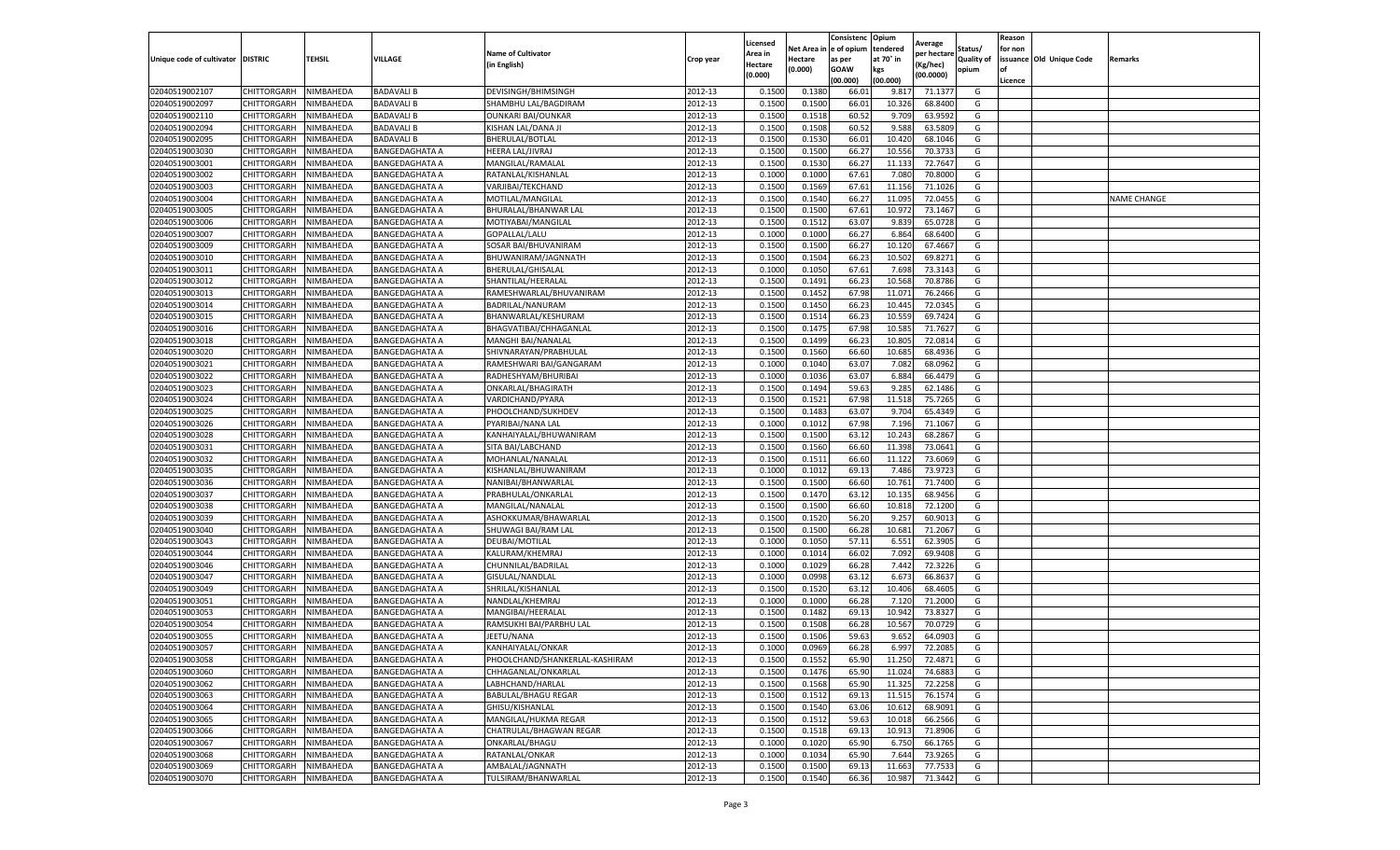|                                   |                    |           |                       |                                |           | Licensed |         | Consistenc             | Opium     |                        |                   | Reason  |                          |                    |
|-----------------------------------|--------------------|-----------|-----------------------|--------------------------------|-----------|----------|---------|------------------------|-----------|------------------------|-------------------|---------|--------------------------|--------------------|
|                                   |                    |           |                       | <b>Name of Cultivator</b>      |           | Area in  |         | Net Area in e of opium | tendered  | Average<br>per hectare | Status/           | for non |                          |                    |
| Unique code of cultivator DISTRIC |                    | TEHSIL    | VILLAGE               | in English)                    | Crop year | Hectare  | Hectare | as per                 | at 70° in | (Kg/hec                | <b>Quality of</b> |         | issuance Old Unique Code | <b>Remarks</b>     |
|                                   |                    |           |                       |                                |           | (0.000)  | (0.000) | <b>GOAW</b>            | kgs       | (00.0000)              | opium             |         |                          |                    |
|                                   |                    |           |                       |                                |           |          |         | (00.000)               | (00.000)  |                        |                   | Licence |                          |                    |
| 02040519002107                    | CHITTORGARH        | NIMBAHEDA | <b>BADAVALI B</b>     | DEVISINGH/BHIMSINGH            | 2012-13   | 0.1500   | 0.1380  | 66.01                  | 9.817     | 71.1377                | G                 |         |                          |                    |
| 02040519002097                    | CHITTORGARH        | NIMBAHEDA | <b>BADAVALI B</b>     | SHAMBHU LAL/BAGDIRAM           | 2012-13   | 0.1500   | 0.1500  | 66.01                  | 10.32     | 68.8400                | G                 |         |                          |                    |
| 02040519002110                    | CHITTORGARH        | NIMBAHEDA | <b>BADAVALI B</b>     | <b>OUNKARI BAI/OUNKAR</b>      | 2012-13   | 0.1500   | 0.1518  | 60.52                  | 9.709     | 63.9592                | G                 |         |                          |                    |
| 02040519002094                    | CHITTORGARH        | NIMBAHEDA | <b>BADAVALI B</b>     | KISHAN LAL/DANA JI             | 2012-13   | 0.1500   | 0.1508  | 60.52                  | 9.588     | 63.5809                | G                 |         |                          |                    |
| 02040519002095                    | CHITTORGARH        | NIMBAHEDA | <b>BADAVALI B</b>     | BHERULAL/BOTLAL                | 2012-13   | 0.1500   | 0.1530  | 66.01                  | 10.420    | 68.1046                | G                 |         |                          |                    |
| 02040519003030                    | CHITTORGARH        | NIMBAHEDA | BANGEDAGHATA A        | HEERA LAL/JIVRAJ               | 2012-13   | 0.1500   | 0.1500  | 66.27                  | 10.55     | 70.373                 | G                 |         |                          |                    |
| 02040519003001                    | CHITTORGARH        | NIMBAHEDA | <b>BANGEDAGHATA A</b> | MANGILAL/RAMALAL               | 2012-13   | 0.1500   | 0.1530  | 66.27                  | 11.13     | 72.7647                | G                 |         |                          |                    |
| 02040519003002                    | CHITTORGARH        | NIMBAHEDA | <b>BANGEDAGHATA A</b> | RATANLAL/KISHANLAI             | 2012-13   | 0.1000   | 0.1000  | 67.61                  | 7.08      | 70.8000                | G                 |         |                          |                    |
| 02040519003003                    | CHITTORGARH        | NIMBAHEDA | <b>BANGEDAGHATA A</b> | VARJIBAI/TEKCHAND              | 2012-13   | 0.1500   | 0.1569  | 67.61                  | 11.15     | 71.1026                | G                 |         |                          |                    |
| 02040519003004                    | CHITTORGARH        | NIMBAHEDA | <b>BANGEDAGHATA A</b> | MOTILAL/MANGILAL               | 2012-13   | 0.1500   | 0.1540  | 66.27                  | 11.095    | 72.0455                | G                 |         |                          | <b>NAME CHANGE</b> |
| 02040519003005                    | CHITTORGARH        | NIMBAHEDA | <b>BANGEDAGHATA A</b> | BHURALAL/BHANWAR LAL           | 2012-13   | 0.1500   | 0.1500  | 67.61                  | 10.972    | 73.1467                | G                 |         |                          |                    |
| 02040519003006                    | CHITTORGARH        | NIMBAHEDA | <b>BANGEDAGHATA A</b> | MOTIYABAI/MANGILAL             | 2012-13   | 0.1500   | 0.1512  | 63.07                  | 9.83      | 65.0728                | G                 |         |                          |                    |
| 02040519003007                    | CHITTORGARH        | NIMBAHEDA | BANGEDAGHATA A        | GOPALLAL/LALU                  | 2012-13   | 0.1000   | 0.1000  | 66.27                  | 6.864     | 68.6400                | G                 |         |                          |                    |
| 02040519003009                    | CHITTORGARH        | NIMBAHEDA | <b>BANGEDAGHATA A</b> | SOSAR BAI/BHUVANIRAM           | 2012-13   | 0.1500   | 0.1500  | 66.27                  | 10.12     | 67.4667                | G                 |         |                          |                    |
| 02040519003010                    | CHITTORGARH        | NIMBAHEDA | <b>BANGEDAGHATA A</b> | BHUWANIRAM/JAGNNATH            | 2012-13   | 0.1500   | 0.1504  | 66.23                  | 10.502    | 69.8271                | G                 |         |                          |                    |
| 02040519003011                    | CHITTORGARH        | NIMBAHEDA | <b>BANGEDAGHATA A</b> | BHERULAL/GHISALAI              | 2012-13   | 0.1000   | 0.1050  | 67.61                  | 7.698     | 73.3143                | G                 |         |                          |                    |
| 02040519003012                    | CHITTORGARH        | NIMBAHEDA | <b>BANGEDAGHATA A</b> | SHANTILAL/HEERALAL             | 2012-13   | 0.1500   | 0.1491  | 66.23                  | 10.56     | 70.8786                | G                 |         |                          |                    |
| 02040519003013                    | CHITTORGARH        | NIMBAHEDA | <b>BANGEDAGHATA A</b> | RAMESHWARLAL/BHUVANIRAM        | 2012-13   | 0.1500   | 0.1452  | 67.98                  | 11.07     | 76.2466                | G                 |         |                          |                    |
| 02040519003014                    | CHITTORGARH        | NIMBAHEDA | BANGEDAGHATA A        | BADRILAL/NANURAM               | 2012-13   | 0.1500   | 0.1450  | 66.23                  | 10.44     | 72.0345                | G                 |         |                          |                    |
| 02040519003015                    | CHITTORGARH        | NIMBAHEDA | <b>BANGEDAGHATA A</b> | BHANWARLAL/KESHURAM            | 2012-13   | 0.1500   | 0.1514  | 66.23                  | 10.559    | 69.7424                | G                 |         |                          |                    |
| 02040519003016                    | CHITTORGARH        | NIMBAHEDA | <b>BANGEDAGHATA A</b> | BHAGVATIBAI/CHHAGANLAL         | 2012-13   | 0.1500   | 0.1475  | 67.98                  | 10.585    | 71.7627                | G                 |         |                          |                    |
| 02040519003018                    | CHITTORGARH        | NIMBAHEDA | <b>BANGEDAGHATA A</b> | MANGHI BAI/NANALAI             | 2012-13   | 0.1500   | 0.1499  | 66.23                  | 10.805    | 72.0814                | G                 |         |                          |                    |
| 02040519003020                    | CHITTORGARH        | NIMBAHEDA | <b>BANGEDAGHATA A</b> | SHIVNARAYAN/PRABHULAL          | 2012-13   | 0.1500   | 0.1560  | 66.60                  | 10.685    | 68.4936                | G                 |         |                          |                    |
| 02040519003021                    | CHITTORGARH        | NIMBAHEDA | <b>BANGEDAGHATA A</b> | RAMESHWARI BAI/GANGARAM        | 2012-13   | 0.1000   | 0.1040  | 63.07                  | 7.082     | 68.0962                | G                 |         |                          |                    |
| 02040519003022                    | CHITTORGARH        | NIMBAHEDA | BANGEDAGHATA A        | RADHESHYAM/BHURIBAI            | 2012-13   | 0.1000   | 0.1036  | 63.07                  | 6.884     | 66.4479                | G                 |         |                          |                    |
| 02040519003023                    | CHITTORGARH        | NIMBAHEDA | <b>BANGEDAGHATA A</b> | ONKARLAL/BHAGIRATH             | 2012-13   | 0.1500   | 0.1494  | 59.63                  | 9.285     | 62.1486                | G                 |         |                          |                    |
| 02040519003024                    | CHITTORGARH        | NIMBAHEDA | <b>BANGEDAGHATA A</b> | VARDICHAND/PYARA               | 2012-13   | 0.1500   | 0.1521  | 67.98                  | 11.51     | 75.7265                | G                 |         |                          |                    |
| 02040519003025                    | CHITTORGARH        | NIMBAHEDA | BANGEDAGHATA A        | PHOOLCHAND/SUKHDEV             | 2012-13   | 0.1500   | 0.1483  | 63.07                  | 9.704     | 65.4349                | G                 |         |                          |                    |
| 02040519003026                    | CHITTORGARH        | NIMBAHEDA | <b>BANGEDAGHATA A</b> | PYARIBAI/NANA LAL              | 2012-13   | 0.1000   | 0.1012  | 67.98                  | 7.196     | 71.1067                | G                 |         |                          |                    |
| 02040519003028                    | CHITTORGARH        | NIMBAHEDA | <b>BANGEDAGHATA A</b> | KANHAIYALAL/BHUWANIRAM         | 2012-13   | 0.1500   | 0.1500  | 63.12                  | 10.24     | 68.2867                | G                 |         |                          |                    |
| 02040519003031                    | CHITTORGARH        | NIMBAHEDA | BANGEDAGHATA A        | SITA BAI/LABCHAND              | 2012-13   | 0.1500   | 0.1560  | 66.60                  | 11.39     | 73.0641                | G                 |         |                          |                    |
| 02040519003032                    | CHITTORGARH        | NIMBAHEDA | <b>BANGEDAGHATA A</b> | MOHANLAL/NANALAL               | 2012-13   | 0.1500   | 0.1511  | 66.60                  | 11.122    | 73.6069                | G                 |         |                          |                    |
| 02040519003035                    | CHITTORGARH        | NIMBAHEDA | <b>BANGEDAGHATA A</b> | KISHANLAL/BHUWANIRAM           | 2012-13   | 0.1000   | 0.1012  | 69.1                   | 7.486     | 73.9723                | G                 |         |                          |                    |
| 02040519003036                    | CHITTORGARH        | NIMBAHEDA | <b>BANGEDAGHATA A</b> | NANIBAI/BHANWARLAL             | 2012-13   | 0.1500   | 0.1500  | 66.60                  | 10.761    | 71.7400                | G                 |         |                          |                    |
| 02040519003037                    | CHITTORGARH        | NIMBAHEDA | <b>BANGEDAGHATA A</b> | PRABHULAL/ONKARLAL             | 2012-13   | 0.1500   | 0.1470  | 63.12                  | 10.13     | 68.9456                | G                 |         |                          |                    |
| 02040519003038                    | CHITTORGARH        | NIMBAHEDA | <b>BANGEDAGHATA A</b> | MANGILAL/NANALAL               | 2012-13   | 0.1500   | 0.1500  | 66.60                  | 10.81     | 72.1200                | G                 |         |                          |                    |
| 02040519003039                    | CHITTORGARH        | NIMBAHEDA | <b>BANGEDAGHATA A</b> | ASHOKKUMAR/BHAWARLAL           | 2012-13   | 0.1500   | 0.1520  | 56.20                  | 9.25      | 60.9013                | G                 |         |                          |                    |
| 02040519003040                    | CHITTORGARH        | NIMBAHEDA | BANGEDAGHATA A        | SHUWAGI BAI/RAM LAL            | 2012-13   | 0.1500   | 0.1500  | 66.28                  | 10.681    | 71.2067                | G                 |         |                          |                    |
| 02040519003043                    | CHITTORGARH        | NIMBAHEDA | <b>BANGEDAGHATA A</b> | DEUBAI/MOTILAL                 | 2012-13   | 0.1000   | 0.1050  | 57.11                  | 6.551     | 62.3905                | G                 |         |                          |                    |
| 02040519003044                    | CHITTORGARH        | NIMBAHEDA | <b>BANGEDAGHATA A</b> | KALURAM/KHEMRAJ                | 2012-13   | 0.1000   | 0.1014  | 66.02                  | 7.092     | 69.9408                | G                 |         |                          |                    |
| 02040519003046                    | CHITTORGARH        | NIMBAHEDA | BANGEDAGHATA A        | CHUNNILAL/BADRILAL             | 2012-13   | 0.1000   | 0.1029  | 66.28                  | 7.442     | 72.3226                | G                 |         |                          |                    |
| 02040519003047                    | CHITTORGARH        | NIMBAHEDA | <b>BANGEDAGHATA A</b> | GISULAL/NANDLAL                | 2012-13   | 0.1000   | 0.0998  | 63.12                  | 6.673     | 66.863                 | G                 |         |                          |                    |
| 02040519003049                    | CHITTORGARH        | NIMBAHEDA | <b>BANGEDAGHATA A</b> | SHRILAL/KISHANLAL              | 2012-13   | 0.1500   | 0.1520  | 63.12                  | 10.406    | 68.4605                | G                 |         |                          |                    |
| 02040519003051                    | CHITTORGARH        | NIMBAHEDA | BANGEDAGHATA A        | NANDLAL/KHEMRAJ                | 2012-13   | 0.1000   | 0.1000  | 66.28                  | 7.12      | 71.2000                | G                 |         |                          |                    |
| 02040519003053                    | CHITTORGARH        | NIMBAHEDA | <b>BANGEDAGHATA A</b> | MANGIBAI/HEERALAI              | 2012-13   | 0.1500   | 0.1482  | 69.13                  | 10.942    | 73.8327                | G                 |         |                          |                    |
| 02040519003054                    | CHITTORGARH        | NIMBAHEDA | <b>BANGEDAGHATA A</b> | RAMSUKHI BAI/PARBHU LAL        | 2012-13   | 0.1500   | 0.1508  | 66.28                  | 10.567    | 70.0729                | G                 |         |                          |                    |
| 02040519003055                    | CHITTORGARH        | NIMBAHEDA | <b>BANGEDAGHATA A</b> | JEETU/NANA                     | 2012-13   | 0.1500   | 0.1506  | 59.63                  | 9.652     | 64.0903                | G                 |         |                          |                    |
| 02040519003057                    | CHITTORGARH        | NIMBAHEDA | <b>BANGEDAGHATA A</b> | KANHAIYALAL/ONKAR              | 2012-13   | 0.1000   | 0.0969  | 66.28                  | 6.997     | 72.2085                | G                 |         |                          |                    |
| 02040519003058                    | CHITTORGARH        | NIMBAHEDA | <b>BANGEDAGHATA A</b> | PHOOLCHAND/SHANKERLAL-KASHIRAM | 2012-13   | 0.1500   | 0.1552  | 65.90                  | 11.250    | 72.4871                | G                 |         |                          |                    |
| 02040519003060                    | CHITTORGARH        | NIMBAHEDA | <b>BANGEDAGHATA A</b> | CHHAGANLAL/ONKARLAL            | 2012-13   | 0.1500   | 0.1476  | 65.90                  | 11.024    | 74.6883                | G                 |         |                          |                    |
| 02040519003062                    | CHITTORGARH        | NIMBAHEDA | <b>BANGEDAGHATA A</b> | LABHCHAND/HARLAL               | 2012-13   | 0.1500   | 0.1568  | 65.90                  | 11.325    | 72.2258                | G                 |         |                          |                    |
| 02040519003063                    | CHITTORGARH        | NIMBAHEDA | <b>BANGEDAGHATA A</b> | <b>BABULAL/BHAGU REGAR</b>     | 2012-13   | 0.1500   | 0.1512  | 69.13                  | 11.515    | 76.1574                | G                 |         |                          |                    |
| 02040519003064                    | CHITTORGARH        | NIMBAHEDA | <b>BANGEDAGHATA A</b> | GHISU/KISHANLAL                | 2012-13   | 0.1500   | 0.1540  | 63.06                  | 10.612    | 68.9091                | G                 |         |                          |                    |
| 02040519003065                    | <b>CHITTORGARH</b> | NIMBAHEDA | <b>BANGEDAGHATA A</b> | MANGILAL/HUKMA REGAR           | 2012-13   | 0.1500   | 0.1512  | 59.63                  | 10.018    | 66.2566                | G                 |         |                          |                    |
| 02040519003066                    | CHITTORGARH        | NIMBAHEDA | <b>BANGEDAGHATA A</b> | CHATRULAL/BHAGWAN REGAR        | 2012-13   | 0.1500   | 0.1518  | 69.13                  | 10.91     | 71.8906                | G                 |         |                          |                    |
| 02040519003067                    | CHITTORGARH        | NIMBAHEDA | <b>BANGEDAGHATA A</b> | ONKARLAL/BHAGU                 | 2012-13   | 0.1000   | 0.1020  | 65.90                  | 6.750     | 66.1765                | G                 |         |                          |                    |
| 02040519003068                    | CHITTORGARH        | NIMBAHEDA | <b>BANGEDAGHATA A</b> | RATANLAL/ONKAR                 | 2012-13   | 0.1000   | 0.1034  | 65.90                  | 7.644     | 73.9265                | G                 |         |                          |                    |
| 02040519003069                    | <b>CHITTORGARH</b> | NIMBAHEDA | <b>BANGEDAGHATA A</b> | AMBALAL/JAGNNATH               | 2012-13   | 0.1500   | 0.1500  | 69.1                   | 11.663    | 77.7533                | G                 |         |                          |                    |
| 02040519003070                    | <b>CHITTORGARH</b> | NIMBAHEDA | <b>BANGEDAGHATA A</b> | TULSIRAM/BHANWARLAL            | 2012-13   | 0.1500   | 0.1540  | 66.36                  | 10.987    | 71.3442                | G                 |         |                          |                    |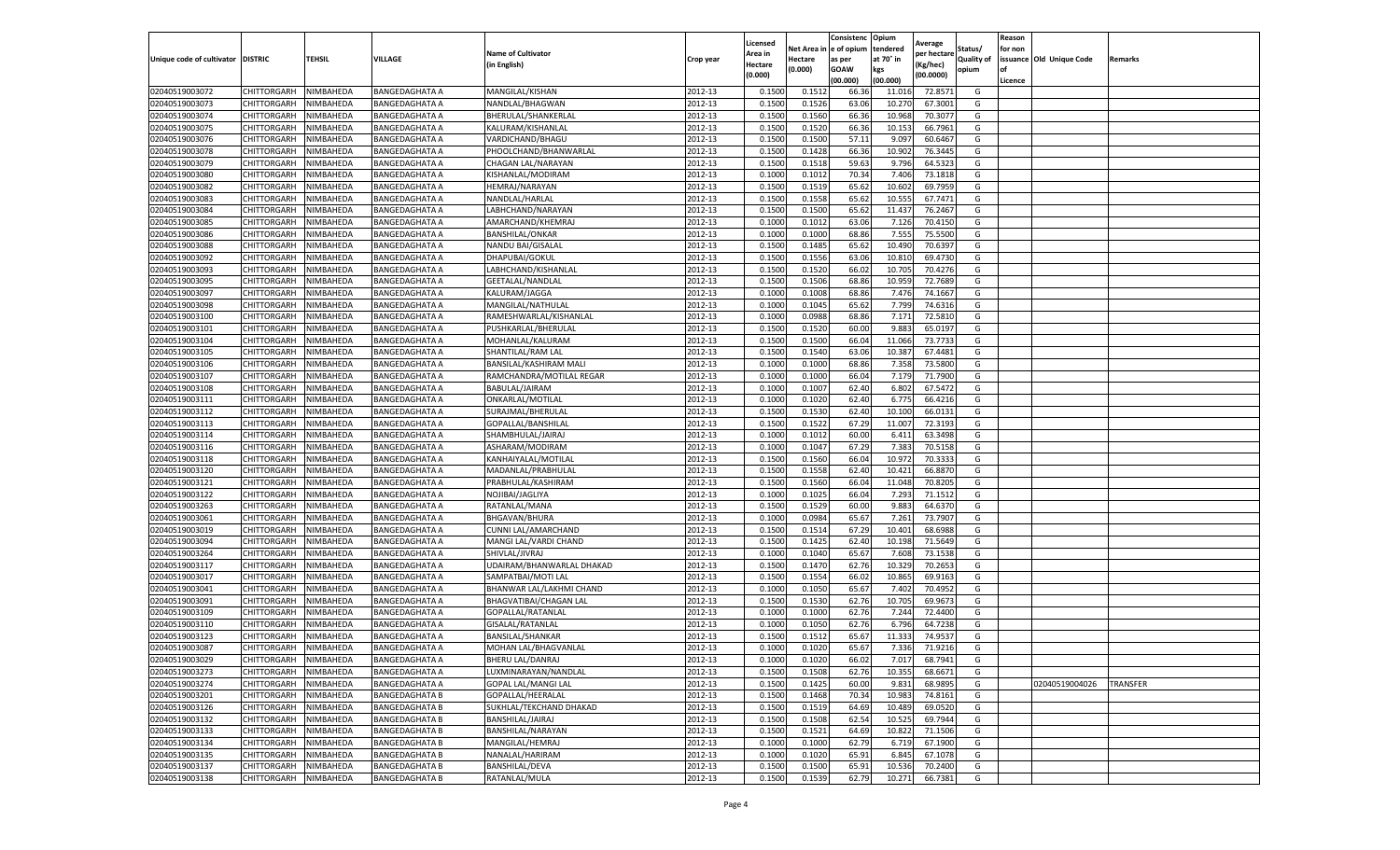|                                   |                    |           |                       |                            |           | Licensed |         | Consistenc             | Opium     | Average     |                   | Reason  |                          |                 |
|-----------------------------------|--------------------|-----------|-----------------------|----------------------------|-----------|----------|---------|------------------------|-----------|-------------|-------------------|---------|--------------------------|-----------------|
|                                   |                    |           |                       | <b>Name of Cultivator</b>  |           | Area in  |         | Net Area in e of opium | tendered  | per hectare | Status/           | for non |                          |                 |
| Unique code of cultivator DISTRIC |                    | TEHSIL    | VILLAGE               | in English)                | Crop year | Hectare  | Hectare | as per                 | at 70° in | (Kg/hec     | <b>Quality of</b> |         | issuance Old Unique Code | <b>Remarks</b>  |
|                                   |                    |           |                       |                            |           | (0.000)  | (0.000) | <b>GOAW</b>            | kgs       | (00.0000)   | opium             |         |                          |                 |
|                                   |                    |           |                       |                            |           |          |         | (00.000)               | (00.000)  |             |                   | Licence |                          |                 |
| 02040519003072                    | CHITTORGARH        | NIMBAHEDA | <b>BANGEDAGHATA A</b> | MANGILAL/KISHAN            | 2012-13   | 0.1500   | 0.1512  | 66.36                  | 11.01     | 72.8571     | G                 |         |                          |                 |
| 02040519003073                    | CHITTORGARH        | NIMBAHEDA | <b>BANGEDAGHATA A</b> | NANDLAL/BHAGWAN            | 2012-13   | 0.1500   | 0.1526  | 63.06                  | 10.27     | 67.3001     | G                 |         |                          |                 |
| 02040519003074                    | CHITTORGARH        | NIMBAHEDA | <b>BANGEDAGHATA A</b> | BHERULAL/SHANKERLAL        | 2012-13   | 0.1500   | 0.1560  | 66.36                  | 10.96     | 70.3077     | G                 |         |                          |                 |
| 02040519003075                    | CHITTORGARH        | NIMBAHEDA | <b>BANGEDAGHATA A</b> | KALURAM/KISHANLAL          | 2012-13   | 0.1500   | 0.1520  | 66.36                  | 10.153    | 66.7961     | G                 |         |                          |                 |
| 02040519003076                    | CHITTORGARH        | NIMBAHEDA | <b>BANGEDAGHATA A</b> | VARDICHAND/BHAGU           | 2012-13   | 0.1500   | 0.1500  | 57.11                  | 9.097     | 60.6467     | G                 |         |                          |                 |
| 02040519003078                    | CHITTORGARH        | NIMBAHEDA | BANGEDAGHATA A        | PHOOLCHAND/BHANWARLAL      | 2012-13   | 0.1500   | 0.1428  | 66.36                  | 10.902    | 76.3445     | G                 |         |                          |                 |
| 02040519003079                    | CHITTORGARH        | NIMBAHEDA | <b>BANGEDAGHATA A</b> | CHAGAN LAL/NARAYAN         | 2012-13   | 0.1500   | 0.1518  | 59.63                  | 9.796     | 64.5323     | G                 |         |                          |                 |
| 02040519003080                    | CHITTORGARH        | NIMBAHEDA | <b>BANGEDAGHATA A</b> | KISHANLAL/MODIRAM          | 2012-13   | 0.1000   | 0.1012  | 70.34                  | 7.406     | 73.1818     | G                 |         |                          |                 |
| 02040519003082                    | CHITTORGARH        | NIMBAHEDA | <b>BANGEDAGHATA A</b> | HEMRAJ/NARAYAN             | 2012-13   | 0.1500   | 0.1519  | 65.62                  | 10.602    | 69.7959     | G                 |         |                          |                 |
| 02040519003083                    | CHITTORGARH        | NIMBAHEDA | <b>BANGEDAGHATA A</b> | NANDLAL/HARLAL             | 2012-13   | 0.1500   | 0.1558  | 65.62                  | 10.555    | 67.7471     | G                 |         |                          |                 |
| 02040519003084                    | CHITTORGARH        | NIMBAHEDA | <b>BANGEDAGHATA A</b> | LABHCHAND/NARAYAN          | 2012-13   | 0.1500   | 0.1500  | 65.62                  | 11.437    | 76.2467     | G                 |         |                          |                 |
| 02040519003085                    | CHITTORGARH        | NIMBAHEDA | <b>BANGEDAGHATA A</b> | AMARCHAND/KHEMRAJ          | 2012-13   | 0.1000   | 0.1012  | 63.06                  | 7.126     | 70.4150     | G                 |         |                          |                 |
| 02040519003086                    | CHITTORGARH        | NIMBAHEDA | BANGEDAGHATA A        | <b>BANSHILAL/ONKAR</b>     | 2012-13   | 0.1000   | 0.1000  | 68.86                  | 7.555     | 75.5500     | G                 |         |                          |                 |
| 02040519003088                    | CHITTORGARH        | NIMBAHEDA | <b>BANGEDAGHATA A</b> | NANDU BAI/GISALAL          | 2012-13   | 0.1500   | 0.1485  | 65.62                  | 10.490    | 70.639      | G                 |         |                          |                 |
| 02040519003092                    | CHITTORGARH        | NIMBAHEDA | <b>BANGEDAGHATA A</b> | DHAPUBAI/GOKUL             | 2012-13   | 0.1500   | 0.1556  | 63.06                  | 10.81     | 69.4730     | G                 |         |                          |                 |
| 02040519003093                    | CHITTORGARH        | NIMBAHEDA | <b>BANGEDAGHATA A</b> | LABHCHAND/KISHANLAL        | 2012-13   | 0.1500   | 0.1520  | 66.02                  | 10.705    | 70.4276     | G                 |         |                          |                 |
| 02040519003095                    | CHITTORGARH        | NIMBAHEDA | <b>BANGEDAGHATA A</b> | GEETALAL/NANDLAL           | 2012-13   | 0.1500   | 0.1506  | 68.86                  | 10.959    | 72.7689     | G                 |         |                          |                 |
| 02040519003097                    | CHITTORGARH        | NIMBAHEDA | <b>BANGEDAGHATA A</b> | KALURAM/JAGGA              | 2012-13   | 0.1000   | 0.1008  | 68.86                  | 7.476     | 74.1667     | G                 |         |                          |                 |
| 02040519003098                    | CHITTORGARH        | NIMBAHEDA | BANGEDAGHATA A        | MANGILAL/NATHULAL          | 2012-13   | 0.1000   | 0.1045  | 65.62                  | 7.799     | 74.6316     | G                 |         |                          |                 |
| 02040519003100                    | CHITTORGARH        | NIMBAHEDA | <b>BANGEDAGHATA A</b> | RAMESHWARLAL/KISHANLAL     | 2012-13   | 0.1000   | 0.0988  | 68.86                  | 7.171     | 72.5810     | G                 |         |                          |                 |
| 02040519003101                    | CHITTORGARH        | NIMBAHEDA | <b>BANGEDAGHATA A</b> | PUSHKARLAL/BHERULAL        | 2012-13   | 0.1500   | 0.1520  | 60.00                  | 9.883     | 65.0197     | G                 |         |                          |                 |
| 02040519003104                    | CHITTORGARH        | NIMBAHEDA | <b>BANGEDAGHATA A</b> | MOHANLAL/KALURAM           | 2012-13   | 0.1500   | 0.1500  | 66.04                  | 11.066    | 73.7733     | G                 |         |                          |                 |
| 02040519003105                    | CHITTORGARH        | NIMBAHEDA | <b>BANGEDAGHATA A</b> | SHANTILAL/RAM LAL          | 2012-13   | 0.1500   | 0.1540  | 63.06                  | 10.387    | 67.4481     | G                 |         |                          |                 |
| 02040519003106                    | CHITTORGARH        | NIMBAHEDA | <b>BANGEDAGHATA A</b> | BANSILAL/KASHIRAM MALI     | 2012-13   | 0.1000   | 0.1000  | 68.86                  | 7.358     | 73.5800     | G                 |         |                          |                 |
| 02040519003107                    | CHITTORGARH        | NIMBAHEDA | BANGEDAGHATA A        | RAMCHANDRA/MOTILAL REGAR   | 2012-13   | 0.1000   | 0.1000  | 66.04                  | 7.179     | 71.7900     | G                 |         |                          |                 |
| 02040519003108                    | CHITTORGARH        | NIMBAHEDA | <b>BANGEDAGHATA A</b> | BABULAL/JAIRAM             | 2012-13   | 0.1000   | 0.1007  | 62.40                  | 6.802     | 67.5472     | G                 |         |                          |                 |
| 02040519003111                    | CHITTORGARH        | NIMBAHEDA | <b>BANGEDAGHATA A</b> | ONKARLAL/MOTILAL           | 2012-13   | 0.1000   | 0.1020  | 62.40                  | 6.775     | 66.4216     | G                 |         |                          |                 |
| 02040519003112                    | CHITTORGARH        | NIMBAHEDA | BANGEDAGHATA A        | SURAJMAL/BHERULAL          | 2012-13   | 0.1500   | 0.1530  | 62.40                  | 10.100    | 66.0131     | G                 |         |                          |                 |
| 02040519003113                    | CHITTORGARH        | NIMBAHEDA | <b>BANGEDAGHATA A</b> | GOPALLAL/BANSHILAL         | 2012-13   | 0.1500   | 0.1522  | 67.29                  | 11.007    | 72.3193     | G                 |         |                          |                 |
| 02040519003114                    | CHITTORGARH        | NIMBAHEDA | <b>BANGEDAGHATA A</b> | SHAMBHULAL/JAIRAJ          | 2012-13   | 0.1000   | 0.1012  | 60.00                  | 6.411     | 63.3498     | G                 |         |                          |                 |
| 02040519003116                    | CHITTORGARH        | NIMBAHEDA | BANGEDAGHATA A        | ASHARAM/MODIRAM            | 2012-13   | 0.1000   | 0.1047  | 67.29                  | 7.383     | 70.5158     | G                 |         |                          |                 |
| 02040519003118                    | CHITTORGARH        | NIMBAHEDA | <b>BANGEDAGHATA A</b> | KANHAIYALAL/MOTILAL        | 2012-13   | 0.1500   | 0.1560  | 66.04                  | 10.972    | 70.3333     | G                 |         |                          |                 |
| 02040519003120                    | CHITTORGARH        | NIMBAHEDA | <b>BANGEDAGHATA A</b> | MADANLAL/PRABHULAL         | 2012-13   | 0.1500   | 0.1558  | 62.40                  | 10.421    | 66.887      | G                 |         |                          |                 |
| 02040519003121                    | CHITTORGARH        | NIMBAHEDA | <b>BANGEDAGHATA A</b> | PRABHULAL/KASHIRAM         | 2012-13   | 0.1500   | 0.1560  | 66.04                  | 11.048    | 70.8205     | G                 |         |                          |                 |
| 02040519003122                    | CHITTORGARH        | NIMBAHEDA | <b>BANGEDAGHATA A</b> | NOJIBAI/JAGLIYA            | 2012-13   | 0.1000   | 0.1025  | 66.04                  | 7.293     | 71.1512     | G                 |         |                          |                 |
| 02040519003263                    | CHITTORGARH        | NIMBAHEDA | <b>BANGEDAGHATA A</b> | RATANLAL/MANA              | 2012-13   | 0.1500   | 0.1529  | 60.00                  | 9.88      | 64.6370     | G                 |         |                          |                 |
| 02040519003061                    | CHITTORGARH        | NIMBAHEDA | <b>BANGEDAGHATA A</b> | BHGAVAN/BHURA              | 2012-13   | 0.1000   | 0.0984  | 65.67                  | 7.261     | 73.7907     | G                 |         |                          |                 |
| 02040519003019                    | CHITTORGARH        | NIMBAHEDA | BANGEDAGHATA A        | CUNNI LAL/AMARCHAND        | 2012-13   | 0.1500   | 0.1514  | 67.29                  | 10.401    | 68.6988     | G                 |         |                          |                 |
| 02040519003094                    | CHITTORGARH        | NIMBAHEDA | <b>BANGEDAGHATA A</b> | MANGI LAL/VARDI CHAND      | 2012-13   | 0.1500   | 0.1425  | 62.40                  | 10.198    | 71.5649     | G                 |         |                          |                 |
| 02040519003264                    | CHITTORGARH        | NIMBAHEDA | <b>BANGEDAGHATA A</b> | SHIVLAL/JIVRAJ             | 2012-13   | 0.1000   | 0.1040  | 65.67                  | 7.608     | 73.1538     | G                 |         |                          |                 |
| 02040519003117                    | CHITTORGARH        | NIMBAHEDA | BANGEDAGHATA A        | UDAIRAM/BHANWARLAL DHAKAD  | 2012-13   | 0.1500   | 0.1470  | 62.76                  | 10.32     | 70.2653     | G                 |         |                          |                 |
| 02040519003017                    | CHITTORGARH        | NIMBAHEDA | <b>BANGEDAGHATA A</b> | SAMPATBAI/MOTI LAL         | 2012-13   | 0.1500   | 0.1554  | 66.02                  | 10.865    | 69.9163     | G                 |         |                          |                 |
| 02040519003041                    | CHITTORGARH        | NIMBAHEDA | <b>BANGEDAGHATA A</b> | BHANWAR LAL/LAKHMI CHAND   | 2012-13   | 0.1000   | 0.1050  | 65.67                  | 7.402     | 70.4952     | G                 |         |                          |                 |
| 02040519003091                    | CHITTORGARH        | NIMBAHEDA | BANGEDAGHATA A        | BHAGVATIBAI/CHAGAN LAL     | 2012-13   | 0.1500   | 0.1530  | 62.76                  | 10.705    | 69.9673     | G                 |         |                          |                 |
| 02040519003109                    | CHITTORGARH        | NIMBAHEDA | <b>BANGEDAGHATA A</b> | GOPALLAL/RATANLAI          | 2012-13   | 0.1000   | 0.1000  | 62.76                  | 7.244     | 72.4400     | G                 |         |                          |                 |
| 02040519003110                    | CHITTORGARH        | NIMBAHEDA | <b>BANGEDAGHATA A</b> | GISALAL/RATANLAL           | 2012-13   | 0.1000   | 0.1050  | 62.76                  | 6.796     | 64.7238     | G                 |         |                          |                 |
| 02040519003123                    | CHITTORGARH        | NIMBAHEDA | <b>BANGEDAGHATA A</b> | BANSILAL/SHANKAR           | 2012-13   | 0.1500   | 0.1512  | 65.67                  | 11.333    | 74.9537     | G                 |         |                          |                 |
| 02040519003087                    | CHITTORGARH        | NIMBAHEDA | <b>BANGEDAGHATA A</b> | MOHAN LAL/BHAGVANLAL       | 2012-13   | 0.1000   | 0.1020  | 65.67                  | 7.336     | 71.9216     | G                 |         |                          |                 |
| 02040519003029                    | CHITTORGARH        | NIMBAHEDA | <b>BANGEDAGHATA A</b> | BHERU LAL/DANRAJ           | 2012-13   | 0.1000   | 0.1020  | 66.02                  | 7.017     | 68.7941     | G                 |         |                          |                 |
| 02040519003273                    | CHITTORGARH        | NIMBAHEDA | <b>BANGEDAGHATA A</b> | LUXMINARAYAN/NANDLAL       | 2012-13   | 0.1500   | 0.1508  | 62.76                  | 10.355    | 68.6671     | G                 |         |                          |                 |
| 02040519003274                    | CHITTORGARH        | NIMBAHEDA | <b>BANGEDAGHATA A</b> | <b>GOPAL LAL/MANGI LAL</b> | 2012-13   | 0.1500   | 0.1425  | 60.00                  | 9.831     | 68.9895     | G                 |         | 02040519004026           | <b>TRANSFER</b> |
| 02040519003201                    | CHITTORGARH        | NIMBAHEDA | <b>BANGEDAGHATA B</b> | GOPALLAL/HEERALAL          | 2012-13   | 0.1500   | 0.1468  | 70.34                  | 10.983    | 74.8161     | G                 |         |                          |                 |
| 02040519003126                    | CHITTORGARH        | NIMBAHEDA | <b>BANGEDAGHATA B</b> | SUKHLAL/TEKCHAND DHAKAD    | 2012-13   | 0.1500   | 0.1519  | 64.69                  | 10.489    | 69.0520     | G                 |         |                          |                 |
| 02040519003132                    | <b>CHITTORGARH</b> | NIMBAHEDA | <b>BANGEDAGHATA B</b> | BANSHILAL/JAIRAJ           | 2012-13   | 0.1500   | 0.1508  | 62.54                  | 10.525    | 69.7944     | G                 |         |                          |                 |
| 02040519003133                    | CHITTORGARH        | NIMBAHEDA | <b>BANGEDAGHATA B</b> | BANSHILAL/NARAYAN          | 2012-13   | 0.1500   | 0.1521  | 64.69                  | 10.822    | 71.1506     | G                 |         |                          |                 |
| 02040519003134                    | CHITTORGARH        | NIMBAHEDA | <b>BANGEDAGHATA B</b> | MANGILAL/HEMRAJ            | 2012-13   | 0.1000   | 0.1000  | 62.79                  | 6.719     | 67.1900     | G                 |         |                          |                 |
| 02040519003135                    | CHITTORGARH        | NIMBAHEDA | <b>BANGEDAGHATA B</b> | NANALAL/HARIRAM            | 2012-13   | 0.1000   | 0.1020  | 65.91                  | 6.845     | 67.1078     | G                 |         |                          |                 |
| 02040519003137                    | CHITTORGARH        | NIMBAHEDA | <b>BANGEDAGHATA B</b> | BANSHILAL/DEVA             | 2012-13   | 0.1500   | 0.1500  | 65.91                  | 10.536    | 70.2400     | G                 |         |                          |                 |
| 02040519003138                    | <b>CHITTORGARH</b> | NIMBAHEDA | <b>BANGEDAGHATA B</b> | RATANLAL/MULA              | 2012-13   | 0.1500   | 0.1539  | 62.79                  | 10.271    | 66.7381     | G                 |         |                          |                 |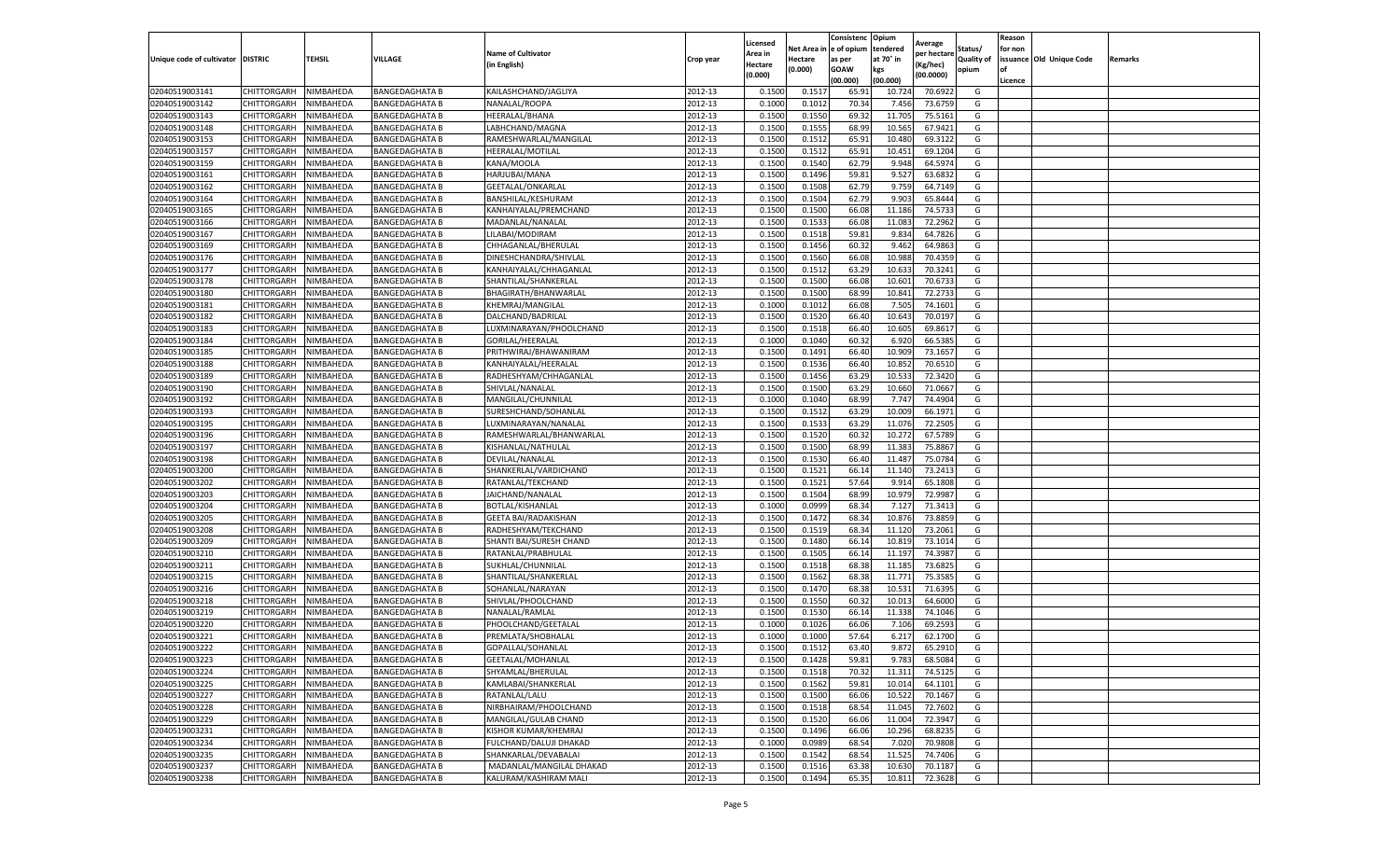|                                   |             |           |                       |                             |           | Licensed |            | Consistenc  | Opium     | Average     |                   | Reason  |                          |         |
|-----------------------------------|-------------|-----------|-----------------------|-----------------------------|-----------|----------|------------|-------------|-----------|-------------|-------------------|---------|--------------------------|---------|
|                                   |             |           |                       | <b>Name of Cultivator</b>   |           | Area in  | Net Area i | e of opium  | tendered  | per hectare | Status/           | for non |                          |         |
| Unique code of cultivator DISTRIC |             | TEHSIL    | VILLAGE               | (in English)                | Crop year | Hectare  | Hectare    | as per      | at 70° in | (Kg/hec)    | <b>Quality of</b> |         | issuance Old Unique Code | Remarks |
|                                   |             |           |                       |                             |           | (0.000)  | 0.000)     | <b>GOAW</b> | kgs       | (00.0000)   | opium             | οf      |                          |         |
|                                   |             |           |                       |                             |           |          |            | (00.000     | (00.000)  |             |                   | Licence |                          |         |
| 02040519003141                    | CHITTORGARH | NIMBAHEDA | <b>BANGEDAGHATA B</b> | KAILASHCHAND/JAGLIYA        | 2012-13   | 0.1500   | 0.151      | 65.9        | 10.72     | 70.6922     | G                 |         |                          |         |
| 02040519003142                    | CHITTORGARH | NIMBAHEDA | <b>BANGEDAGHATA B</b> | NANALAL/ROOPA               | 2012-13   | 0.100    | 0.101      | 70.34       | 7.456     | 73.6759     | G                 |         |                          |         |
| 02040519003143                    | CHITTORGARH | NIMBAHEDA | <b>BANGEDAGHATA B</b> | HEERALAL/BHANA              | 2012-13   | 0.1500   | 0.1550     | 69.32       | 11.705    | 75.5161     | G                 |         |                          |         |
| 02040519003148                    | CHITTORGARH | NIMBAHEDA | <b>BANGEDAGHATA B</b> | LABHCHAND/MAGNA             | 2012-13   | 0.1500   | 0.1555     | 68.99       | 10.565    | 67.9421     | G                 |         |                          |         |
| 02040519003153                    | CHITTORGARH | NIMBAHEDA | <b>BANGEDAGHATA B</b> | RAMESHWARLAL/MANGILAL       | 2012-13   | 0.1500   | 0.1512     | 65.91       | 10.480    | 69.3122     | G                 |         |                          |         |
| 02040519003157                    | CHITTORGARH | NIMBAHEDA | <b>BANGEDAGHATA B</b> | HEERALAL/MOTILAL            | 2012-13   | 0.1500   | 0.1512     | 65.91       | 10.451    | 69.1204     | G                 |         |                          |         |
| 02040519003159                    | CHITTORGARH | NIMBAHEDA | <b>BANGEDAGHATA B</b> | KANA/MOOLA                  | 2012-13   | 0.1500   | 0.1540     | 62.79       | 9.948     | 64.5974     | G                 |         |                          |         |
| 02040519003161                    | CHITTORGARH | NIMBAHEDA | <b>BANGEDAGHATA B</b> | HARJUBAI/MANA               | 2012-13   | 0.1500   | 0.1496     | 59.81       | 9.527     | 63.683      | G                 |         |                          |         |
| 02040519003162                    | CHITTORGARH | NIMBAHEDA | <b>BANGEDAGHATA B</b> | GEETALAL/ONKARLAL           | 2012-13   | 0.1500   | 0.1508     | 62.79       | 9.759     | 64.7149     | G                 |         |                          |         |
| 02040519003164                    | CHITTORGARH | NIMBAHEDA | <b>BANGEDAGHATA B</b> | BANSHILAL/KESHURAM          | 2012-13   | 0.1500   | 0.1504     | 62.79       | 9.903     | 65.8444     | G                 |         |                          |         |
| 02040519003165                    | CHITTORGARH | NIMBAHEDA | <b>BANGEDAGHATA B</b> | KANHAIYALAL/PREMCHAND       | 2012-13   | 0.1500   | 0.1500     | 66.08       | 11.186    | 74.5733     | G                 |         |                          |         |
| 02040519003166                    | CHITTORGARH | NIMBAHEDA | <b>BANGEDAGHATA B</b> | MADANLAL/NANALAL            | 2012-13   | 0.1500   | 0.1533     | 66.08       | 11.083    | 72.2962     | G                 |         |                          |         |
| 02040519003167                    | CHITTORGARH | NIMBAHEDA | <b>BANGEDAGHATA B</b> | LILABAI/MODIRAM             | 2012-13   | 0.1500   | 0.1518     | 59.81       | 9.834     | 64.7826     | G                 |         |                          |         |
| 02040519003169                    | CHITTORGARH | NIMBAHEDA | <b>BANGEDAGHATA B</b> | CHHAGANLAL/BHERULAL         | 2012-13   | 0.1500   | 0.1456     | 60.32       | 9.462     | 64.9863     | G                 |         |                          |         |
| 02040519003176                    | CHITTORGARH | NIMBAHEDA | <b>BANGEDAGHATA B</b> | DINESHCHANDRA/SHIVLAL       | 2012-13   | 0.1500   | 0.1560     | 66.08       | 10.988    | 70.4359     | G                 |         |                          |         |
| 02040519003177                    | CHITTORGARH | NIMBAHEDA | <b>BANGEDAGHATA B</b> | KANHAIYALAL/CHHAGANLAL      | 2012-13   | 0.1500   | 0.1512     | 63.29       | 10.633    | 70.3241     | G                 |         |                          |         |
| 02040519003178                    | CHITTORGARH | NIMBAHEDA | <b>BANGEDAGHATA B</b> | SHANTILAL/SHANKERLAL        | 2012-13   | 0.1500   | 0.1500     | 66.08       | 10.601    | 70.673      | G                 |         |                          |         |
| 02040519003180                    | CHITTORGARH | NIMBAHEDA | <b>BANGEDAGHATA B</b> | BHAGIRATH/BHANWARLAL        | 2012-13   | 0.1500   | 0.1500     | 68.99       | 10.841    | 72.2733     | G                 |         |                          |         |
| 02040519003181                    | CHITTORGARH | NIMBAHEDA | <b>BANGEDAGHATA B</b> | KHEMRAJ/MANGILAL            | 2012-13   | 0.1000   | 0.1012     | 66.08       | 7.505     | 74.1601     | G                 |         |                          |         |
| 02040519003182                    | CHITTORGARH | NIMBAHEDA | <b>BANGEDAGHATA B</b> | DALCHAND/BADRILAL           | 2012-13   | 0.1500   | 0.1520     | 66.40       | 10.643    | 70.0197     | G                 |         |                          |         |
| 02040519003183                    | CHITTORGARH | NIMBAHEDA | <b>BANGEDAGHATA B</b> | LUXMINARAYAN/PHOOLCHAND     | 2012-13   | 0.1500   | 0.1518     | 66.40       | 10.605    | 69.8617     | G                 |         |                          |         |
| 02040519003184                    | CHITTORGARH | NIMBAHEDA | <b>BANGEDAGHATA B</b> | GORILAL/HEERALAL            | 2012-13   | 0.1000   | 0.1040     | 60.32       | 6.920     | 66.5385     | G                 |         |                          |         |
| 02040519003185                    | CHITTORGARH | NIMBAHEDA | <b>BANGEDAGHATA B</b> | PRITHWIRAJ/BHAWANIRAM       | 2012-13   | 0.1500   | 0.1491     | 66.40       | 10.909    | 73.1657     | G                 |         |                          |         |
| 02040519003188                    | CHITTORGARH | NIMBAHEDA | <b>BANGEDAGHATA B</b> | KANHAIYALAL/HEERALAL        | 2012-13   | 0.1500   | 0.1536     | 66.40       | 10.852    | 70.6510     | G                 |         |                          |         |
| 02040519003189                    | CHITTORGARH | NIMBAHEDA | <b>BANGEDAGHATA B</b> | RADHESHYAM/CHHAGANLAI       | 2012-13   | 0.1500   | 0.1456     | 63.29       | 10.53     | 72.3420     | G                 |         |                          |         |
|                                   |             | NIMBAHEDA | <b>BANGEDAGHATA B</b> |                             |           | 0.1500   | 0.1500     | 63.29       | 10.660    | 71.0667     | G                 |         |                          |         |
| 02040519003190                    | CHITTORGARH |           |                       | SHIVLAL/NANALAL             | 2012-13   |          |            |             |           |             |                   |         |                          |         |
| 02040519003192                    | CHITTORGARH | NIMBAHEDA | <b>BANGEDAGHATA B</b> | MANGILAL/CHUNNILAL          | 2012-13   | 0.1000   | 0.1040     | 68.99       | 7.747     | 74.4904     | G                 |         |                          |         |
| 02040519003193                    | CHITTORGARH | NIMBAHEDA | BANGEDAGHATA B        | SURESHCHAND/SOHANLAL        | 2012-13   | 0.1500   | 0.1512     | 63.29       | 10.009    | 66.1971     | G                 |         |                          |         |
| 02040519003195                    | CHITTORGARH | NIMBAHEDA | <b>BANGEDAGHATA B</b> | LUXMINARAYAN/NANALAL        | 2012-13   | 0.1500   | 0.1533     | 63.29       | 11.076    | 72.2505     | G                 |         |                          |         |
| 02040519003196                    | CHITTORGARH | NIMBAHEDA | <b>BANGEDAGHATA B</b> | RAMESHWARLAL/BHANWARLAL     | 2012-13   | 0.1500   | 0.1520     | 60.32       | 10.272    | 67.5789     | G                 |         |                          |         |
| 02040519003197                    | CHITTORGARH | NIMBAHEDA | <b>BANGEDAGHATA B</b> | KISHANLAL/NATHULAL          | 2012-13   | 0.1500   | 0.1500     | 68.99       | 11.383    | 75.8867     | G                 |         |                          |         |
| 02040519003198                    | CHITTORGARH | NIMBAHEDA | <b>BANGEDAGHATA B</b> | DEVILAL/NANALAL             | 2012-13   | 0.1500   | 0.1530     | 66.40       | 11.487    | 75.0784     | G                 |         |                          |         |
| 02040519003200                    | CHITTORGARH | NIMBAHEDA | <b>BANGEDAGHATA B</b> | SHANKERLAL/VARDICHAND       | 2012-13   | 0.1500   | 0.1521     | 66.14       | 11.140    | 73.2413     | G                 |         |                          |         |
| 02040519003202                    | CHITTORGARH | NIMBAHEDA | <b>BANGEDAGHATA B</b> | RATANLAL/TEKCHAND           | 2012-13   | 0.1500   | 0.1521     | 57.64       | 9.914     | 65.1808     | G                 |         |                          |         |
| 02040519003203                    | CHITTORGARH | NIMBAHEDA | <b>BANGEDAGHATA B</b> | JAICHAND/NANALAL            | 2012-13   | 0.1500   | 0.1504     | 68.99       | 10.979    | 72.9987     | G                 |         |                          |         |
| 02040519003204                    | CHITTORGARH | NIMBAHEDA | <b>BANGEDAGHATA B</b> | BOTLAL/KISHANLAL            | 2012-13   | 0.1000   | 0.0999     | 68.34       | 7.127     | 71.3413     | G                 |         |                          |         |
| 02040519003205                    | CHITTORGARH | NIMBAHEDA | <b>BANGEDAGHATA B</b> | <b>GEETA BAI/RADAKISHAN</b> | 2012-13   | 0.1500   | 0.1472     | 68.34       | 10.876    | 73.8859     | G                 |         |                          |         |
| 02040519003208                    | CHITTORGARH | NIMBAHEDA | <b>BANGEDAGHATA B</b> | RADHESHYAM/TEKCHAND         | 2012-13   | 0.1500   | 0.1519     | 68.34       | 11.12     | 73.2061     | G                 |         |                          |         |
| 02040519003209                    | CHITTORGARH | NIMBAHEDA | <b>BANGEDAGHATA B</b> | SHANTI BAI/SURESH CHAND     | 2012-13   | 0.1500   | 0.1480     | 66.1        | 10.819    | 73.1014     | G                 |         |                          |         |
| 02040519003210                    | CHITTORGARH | NIMBAHEDA | <b>BANGEDAGHATA B</b> | RATANLAL/PRABHULAL          | 2012-13   | 0.1500   | 0.1505     | 66.14       | 11.197    | 74.3987     | G                 |         |                          |         |
| 02040519003211                    | CHITTORGARH | NIMBAHEDA | <b>BANGEDAGHATA B</b> | SUKHLAL/CHUNNILAL           | 2012-13   | 0.1500   | 0.1518     | 68.38       | 11.185    | 73.6825     | G                 |         |                          |         |
| 02040519003215                    | CHITTORGARH | NIMBAHEDA | <b>BANGEDAGHATA B</b> | SHANTILAL/SHANKERLAL        | 2012-13   | 0.1500   | 0.1562     | 68.38       | 11.771    | 75.3585     | G                 |         |                          |         |
| 02040519003216                    | CHITTORGARH | NIMBAHEDA | <b>BANGEDAGHATA B</b> | SOHANLAL/NARAYAN            | 2012-13   | 0.1500   | 0.1470     | 68.38       | 10.531    | 71.6395     | G                 |         |                          |         |
| 02040519003218                    | CHITTORGARH | NIMBAHEDA | <b>BANGEDAGHATA B</b> | SHIVLAL/PHOOLCHAND          | 2012-13   | 0.1500   | 0.1550     | 60.32       | 10.013    | 64.6000     | G                 |         |                          |         |
| 02040519003219                    | CHITTORGARH | NIMBAHEDA | <b>BANGEDAGHATA B</b> | NANALAL/RAMLAL              | 2012-13   | 0.1500   | 0.1530     | 66.14       | 11.338    | 74.1046     | G                 |         |                          |         |
| 02040519003220                    | CHITTORGARH | NIMBAHEDA | <b>BANGEDAGHATA B</b> | PHOOLCHAND/GEETALAL         | 2012-13   | 0.100    | 0.1026     | 66.06       | 7.106     | 69.2593     | G                 |         |                          |         |
| 02040519003221                    | CHITTORGARH | NIMBAHEDA | <b>BANGEDAGHATA B</b> | PREMLATA/SHOBHALAL          | 2012-13   | 0.1000   | 0.1000     | 57.64       | 6.217     | 62.1700     | G                 |         |                          |         |
| 02040519003222                    | CHITTORGARH | NIMBAHEDA | <b>BANGEDAGHATA B</b> | GOPALLAL/SOHANLAL           | 2012-13   | 0.1500   | 0.1512     | 63.40       | 9.872     | 65.2910     | G                 |         |                          |         |
| 02040519003223                    | CHITTORGARH | NIMBAHEDA | <b>BANGEDAGHATA B</b> | GEETALAL/MOHANLAL           | 2012-13   | 0.1500   | 0.1428     | 59.81       | 9.783     | 68.5084     | G                 |         |                          |         |
| 02040519003224                    | CHITTORGARH | NIMBAHEDA | <b>BANGEDAGHATA B</b> | SHYAMLAL/BHERULAL           | 2012-13   | 0.1500   | 0.1518     | 70.32       | 11.311    | 74.5125     | G                 |         |                          |         |
| 02040519003225                    | CHITTORGARH | NIMBAHEDA | <b>BANGEDAGHATA B</b> | KAMLABAI/SHANKERLAL         | 2012-13   | 0.1500   | 0.1562     | 59.81       | 10.014    | 64.1101     | G                 |         |                          |         |
| 02040519003227                    | CHITTORGARH | NIMBAHEDA | <b>BANGEDAGHATA B</b> | RATANLAL/LALU               | 2012-13   | 0.1500   | 0.1500     | 66.06       | 10.522    | 70.1467     | G                 |         |                          |         |
| 02040519003228                    | CHITTORGARH | NIMBAHEDA | <b>BANGEDAGHATA B</b> | NIRBHAIRAM/PHOOLCHAND       | 2012-13   | 0.1500   | 0.1518     | 68.54       | 11.045    | 72.7602     | G                 |         |                          |         |
| 02040519003229                    | CHITTORGARH | NIMBAHEDA | <b>BANGEDAGHATA B</b> | MANGILAL/GULAB CHAND        | 2012-13   | 0.1500   | 0.1520     | 66.06       | 11.004    | 72.3947     | G                 |         |                          |         |
| 02040519003231                    | CHITTORGARH | NIMBAHEDA | <b>BANGEDAGHATA B</b> | KISHOR KUMAR/KHEMRAJ        | 2012-13   | 0.1500   | 0.1496     | 66.06       | 10.296    | 68.8235     | G                 |         |                          |         |
| 02040519003234                    | CHITTORGARH | NIMBAHEDA | <b>BANGEDAGHATA B</b> | FULCHAND/DALUJI DHAKAD      | 2012-13   | 0.1000   | 0.0989     | 68.54       | 7.020     | 70.9808     | G                 |         |                          |         |
| 02040519003235                    | CHITTORGARH | NIMBAHEDA | <b>BANGEDAGHATA B</b> | SHANKARLAL/DEVABALAI        | 2012-13   | 0.1500   | 0.1542     | 68.54       | 11.525    | 74.7406     | G                 |         |                          |         |
| 02040519003237                    | CHITTORGARH | NIMBAHEDA | <b>BANGEDAGHATA B</b> | MADANLAL/MANGILAL DHAKAD    | 2012-13   | 0.1500   | 0.1516     | 63.38       | 10.630    | 70.1187     | G                 |         |                          |         |
| 02040519003238                    | CHITTORGARH | NIMBAHEDA | <b>BANGEDAGHATA B</b> | KALURAM/KASHIRAM MALI       | 2012-13   | 0.1500   | 0.1494     | 65.35       | 10.811    | 72.3628     | G                 |         |                          |         |
|                                   |             |           |                       |                             |           |          |            |             |           |             |                   |         |                          |         |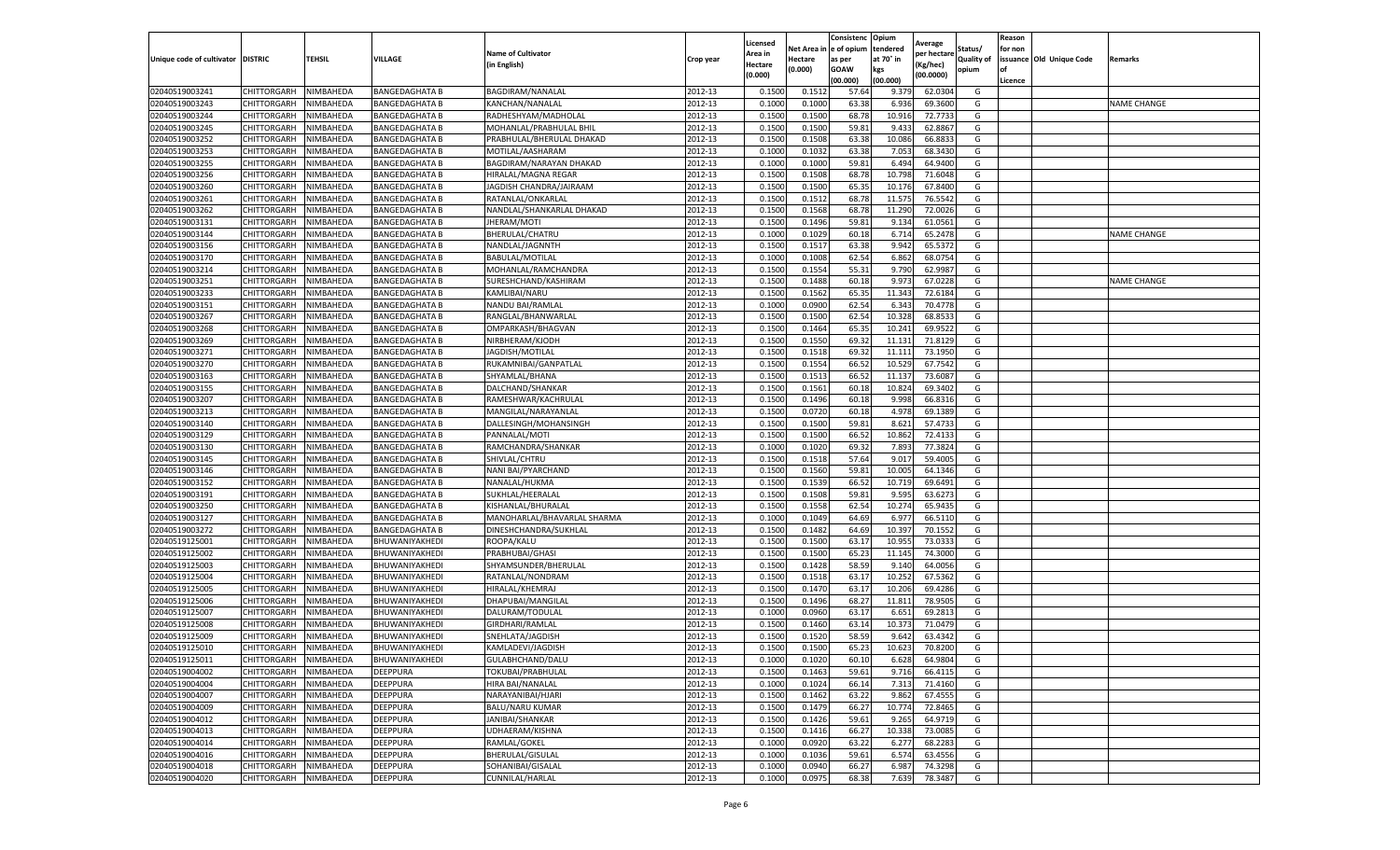|                           |                    |           |                       |                             |           | Licensed |         | Consistenc             | Opium     | Average     |                   | Reason  |                          |                    |
|---------------------------|--------------------|-----------|-----------------------|-----------------------------|-----------|----------|---------|------------------------|-----------|-------------|-------------------|---------|--------------------------|--------------------|
|                           |                    |           |                       | <b>Name of Cultivator</b>   |           | Area in  |         | Net Area in e of opium | tendered  | per hectare | Status/           | for non |                          |                    |
| Unique code of cultivator | <b>DISTRIC</b>     | TEHSIL    | VILLAGE               | in English)                 | Crop year | Hectare  | Hectare | as per                 | at 70° in | (Kg/hec     | <b>Quality of</b> |         | issuance Old Unique Code | <b>Remarks</b>     |
|                           |                    |           |                       |                             |           | (0.000)  | (0.000) | <b>GOAW</b>            | kgs       | (00.0000)   | opium             |         |                          |                    |
|                           |                    |           |                       |                             |           |          |         | (00.000)               | (00.000)  |             |                   | Licence |                          |                    |
| 02040519003241            | CHITTORGARH        | NIMBAHEDA | <b>BANGEDAGHATA B</b> | BAGDIRAM/NANALAL            | 2012-13   | 0.1500   | 0.1512  | 57.64                  | 9.379     | 62.030      | G                 |         |                          |                    |
| 02040519003243            | CHITTORGARH        | NIMBAHEDA | <b>BANGEDAGHATA B</b> | KANCHAN/NANALAL             | 2012-13   | 0.1000   | 0.1000  | 63.38                  | 6.93      | 69.3600     | G                 |         |                          | <b>NAME CHANGE</b> |
| 02040519003244            | CHITTORGARH        | NIMBAHEDA | <b>BANGEDAGHATA B</b> | RADHESHYAM/MADHOLAL         | 2012-13   | 0.1500   | 0.1500  | 68.78                  | 10.91     | 72.7733     | G                 |         |                          |                    |
| 02040519003245            | CHITTORGARH        | NIMBAHEDA | <b>BANGEDAGHATA B</b> | MOHANLAL/PRABHULAL BHIL     | 2012-13   | 0.1500   | 0.1500  | 59.81                  | 9.433     | 62.8867     | G                 |         |                          |                    |
| 02040519003252            | CHITTORGARH        | NIMBAHEDA | <b>BANGEDAGHATA B</b> | PRABHULAL/BHERULAL DHAKAD   | 2012-13   | 0.1500   | 0.1508  | 63.38                  | 10.086    | 66.883      | G                 |         |                          |                    |
| 02040519003253            | CHITTORGARH        | NIMBAHEDA | BANGEDAGHATA B        | MOTILAL/AASHARAM            | 2012-13   | 0.1000   | 0.1032  | 63.38                  | 7.053     | 68.3430     | G                 |         |                          |                    |
| 02040519003255            | CHITTORGARH        | NIMBAHEDA | <b>BANGEDAGHATA B</b> | BAGDIRAM/NARAYAN DHAKAD     | 2012-13   | 0.1000   | 0.1000  | 59.81                  | 6.494     | 64.9400     | G                 |         |                          |                    |
| 02040519003256            | CHITTORGARH        | NIMBAHEDA | <b>BANGEDAGHATA B</b> | HIRALAL/MAGNA REGAR         | 2012-13   | 0.1500   | 0.1508  | 68.78                  | 10.79     | 71.6048     | G                 |         |                          |                    |
| 02040519003260            | CHITTORGARH        | NIMBAHEDA | <b>BANGEDAGHATA B</b> | JAGDISH CHANDRA/JAIRAAM     | 2012-13   | 0.1500   | 0.1500  | 65.35                  | 10.17     | 67.8400     | G                 |         |                          |                    |
| 02040519003261            | CHITTORGARH        | NIMBAHEDA | <b>BANGEDAGHATA B</b> | RATANLAL/ONKARLAL           | 2012-13   | 0.1500   | 0.1512  | 68.78                  | 11.575    | 76.5542     | G                 |         |                          |                    |
| 02040519003262            | CHITTORGARH        | NIMBAHEDA | <b>BANGEDAGHATA B</b> | NANDLAL/SHANKARLAL DHAKAD   | 2012-13   | 0.1500   | 0.1568  | 68.78                  | 11.290    | 72.0026     | G                 |         |                          |                    |
| 02040519003131            | CHITTORGARH        | NIMBAHEDA | <b>BANGEDAGHATA B</b> | JHERAM/MOTI                 | 2012-13   | 0.1500   | 0.1496  | 59.81                  | 9.13      | 61.0561     | G                 |         |                          |                    |
| 02040519003144            | CHITTORGARH        | NIMBAHEDA | <b>BANGEDAGHATA B</b> | BHERULAL/CHATRU             | 2012-13   | 0.1000   | 0.1029  | 60.18                  | 6.71      | 65.2478     | G                 |         |                          | <b>NAME CHANGE</b> |
| 02040519003156            | CHITTORGARH        | NIMBAHEDA | <b>BANGEDAGHATA B</b> | NANDLAL/JAGNNTH             | 2012-13   | 0.1500   | 0.1517  | 63.38                  | 9.942     | 65.5372     | G                 |         |                          |                    |
| 02040519003170            | CHITTORGARH        | NIMBAHEDA | <b>BANGEDAGHATA B</b> | BABULAL/MOTILAL             | 2012-13   | 0.1000   | 0.1008  | 62.54                  | 6.862     | 68.0754     | G                 |         |                          |                    |
| 02040519003214            | CHITTORGARH        | NIMBAHEDA | <b>BANGEDAGHATA B</b> | MOHANLAL/RAMCHANDRA         | 2012-13   | 0.1500   | 0.1554  | 55.31                  | 9.790     | 62.9987     | G                 |         |                          |                    |
| 02040519003251            | CHITTORGARH        | NIMBAHEDA | <b>BANGEDAGHATA B</b> | SURESHCHAND/KASHIRAM        | 2012-13   | 0.1500   | 0.1488  | 60.18                  | 9.973     | 67.0228     | G                 |         |                          | <b>NAME CHANGE</b> |
| 02040519003233            | CHITTORGARH        | NIMBAHEDA | <b>BANGEDAGHATA B</b> | KAMLIBAI/NARU               | 2012-13   | 0.1500   | 0.1562  | 65.35                  | 11.34     | 72.6184     | G                 |         |                          |                    |
| 02040519003151            | CHITTORGARH        | NIMBAHEDA | BANGEDAGHATA B        | NANDU BAI/RAMLAI            | 2012-13   | 0.1000   | 0.0900  | 62.54                  | 6.34      | 70.4778     | G                 |         |                          |                    |
| 02040519003267            | CHITTORGARH        | NIMBAHEDA | <b>BANGEDAGHATA B</b> | RANGLAL/BHANWARLAL          | 2012-13   | 0.1500   | 0.1500  | 62.54                  | 10.328    | 68.8533     | G                 |         |                          |                    |
| 02040519003268            | CHITTORGARH        | NIMBAHEDA | <b>BANGEDAGHATA B</b> | OMPARKASH/BHAGVAN           | 2012-13   | 0.1500   | 0.1464  | 65.35                  | 10.241    | 69.9522     | G                 |         |                          |                    |
| 02040519003269            | CHITTORGARH        | NIMBAHEDA | <b>BANGEDAGHATA B</b> | NIRBHERAM/KJODH             | 2012-13   | 0.1500   | 0.1550  | 69.32                  | 11.13     | 71.8129     | G                 |         |                          |                    |
| 02040519003271            | CHITTORGARH        | NIMBAHEDA | <b>BANGEDAGHATA B</b> | JAGDISH/MOTILAL             | 2012-13   | 0.1500   | 0.1518  | 69.32                  | 11.111    | 73.1950     | G                 |         |                          |                    |
| 02040519003270            | CHITTORGARH        | NIMBAHEDA | <b>BANGEDAGHATA B</b> | RUKAMNIBAI/GANPATLAL        | 2012-13   | 0.1500   | 0.1554  | 66.52                  | 10.529    | 67.7542     | G                 |         |                          |                    |
| 02040519003163            | CHITTORGARH        | NIMBAHEDA | BANGEDAGHATA B        | SHYAMLAL/BHANA              | 2012-13   | 0.1500   | 0.1513  | 66.52                  | 11.13     | 73.6087     | G                 |         |                          |                    |
| 02040519003155            | CHITTORGARH        | NIMBAHEDA | <b>BANGEDAGHATA B</b> | DALCHAND/SHANKAR            | 2012-13   | 0.1500   | 0.1561  | 60.18                  | 10.824    | 69.3402     | G                 |         |                          |                    |
| 02040519003207            | CHITTORGARH        | NIMBAHEDA | <b>BANGEDAGHATA B</b> | RAMESHWAR/KACHRULAL         | 2012-13   | 0.1500   | 0.1496  | 60.18                  | 9.998     | 66.8316     | G                 |         |                          |                    |
| 02040519003213            | CHITTORGARH        | NIMBAHEDA | BANGEDAGHATA B        | MANGILAL/NARAYANLAL         | 2012-13   | 0.1500   | 0.0720  | 60.18                  | 4.978     | 69.1389     | G                 |         |                          |                    |
| 02040519003140            | CHITTORGARH        | NIMBAHEDA | <b>BANGEDAGHATA B</b> | DALLESINGH/MOHANSINGH       | 2012-13   | 0.1500   | 0.1500  | 59.81                  | 8.621     | 57.4733     | G                 |         |                          |                    |
| 02040519003129            | CHITTORGARH        | NIMBAHEDA | <b>BANGEDAGHATA B</b> | PANNALAL/MOTI               | 2012-13   | 0.1500   | 0.1500  | 66.52                  | 10.862    | 72.4133     | G                 |         |                          |                    |
| 02040519003130            | CHITTORGARH        | NIMBAHEDA | BANGEDAGHATA B        | RAMCHANDRA/SHANKAR          | 2012-13   | 0.1000   | 0.1020  | 69.32                  | 7.893     | 77.3824     | G                 |         |                          |                    |
| 02040519003145            | CHITTORGARH        | NIMBAHEDA | <b>BANGEDAGHATA B</b> | SHIVLAL/CHTRU               | 2012-13   | 0.1500   | 0.1518  | 57.64                  | 9.017     | 59.4005     | G                 |         |                          |                    |
| 02040519003146            | CHITTORGARH        | NIMBAHEDA | <b>BANGEDAGHATA B</b> | NANI BAI/PYARCHAND          | 2012-13   | 0.1500   | 0.1560  | 59.81                  | 10.005    | 64.1346     | G                 |         |                          |                    |
| 02040519003152            | CHITTORGARH        | NIMBAHEDA | <b>BANGEDAGHATA B</b> | NANALAL/HUKMA               | 2012-13   | 0.1500   | 0.1539  | 66.52                  | 10.71     | 69.6491     | G                 |         |                          |                    |
| 02040519003191            | CHITTORGARH        | NIMBAHEDA | <b>BANGEDAGHATA B</b> | SUKHLAL/HEERALAL            | 2012-13   | 0.1500   | 0.1508  | 59.81                  | 9.595     | 63.6273     | G                 |         |                          |                    |
| 02040519003250            | CHITTORGARH        | NIMBAHEDA | <b>BANGEDAGHATA B</b> | KISHANLAL/BHURALAL          | 2012-13   | 0.1500   | 0.1558  | 62.54                  | 10.27     | 65.9435     | G                 |         |                          |                    |
| 02040519003127            | CHITTORGARH        | NIMBAHEDA | <b>BANGEDAGHATA B</b> | MANOHARLAL/BHAVARLAL SHARMA | 2012-13   | 0.1000   | 0.1049  | 64.69                  | 6.97      | 66.5110     | G                 |         |                          |                    |
| 02040519003272            | CHITTORGARH        | NIMBAHEDA | BANGEDAGHATA B        | DINESHCHANDRA/SUKHLAL       | 2012-13   | 0.1500   | 0.1482  | 64.69                  | 10.39     | 70.1552     | G                 |         |                          |                    |
| 02040519125001            | CHITTORGARH        | NIMBAHEDA | BHUWANIYAKHEDI        | ROOPA/KALU                  | 2012-13   | 0.1500   | 0.1500  | 63.17                  | 10.955    | 73.0333     | G                 |         |                          |                    |
| 02040519125002            | CHITTORGARH        | NIMBAHEDA | BHUWANIYAKHEDI        | PRABHUBAI/GHASI             | 2012-13   | 0.1500   | 0.1500  | 65.23                  | 11.145    | 74.3000     | G                 |         |                          |                    |
| 02040519125003            | CHITTORGARH        | NIMBAHEDA | BHUWANIYAKHEDI        | SHYAMSUNDER/BHERULAL        | 2012-13   | 0.1500   | 0.1428  | 58.59                  | 9.14      | 64.0056     | G                 |         |                          |                    |
| 02040519125004            | CHITTORGARH        | NIMBAHEDA | BHUWANIYAKHEDI        | RATANLAL/NONDRAM            | 2012-13   | 0.1500   | 0.1518  | 63.17                  | 10.252    | 67.5362     | G                 |         |                          |                    |
| 02040519125005            | CHITTORGARH        | NIMBAHEDA | BHUWANIYAKHEDI        | HIRALAL/KHEMRAJ             | 2012-13   | 0.1500   | 0.1470  | 63.17                  | 10.20     | 69.4286     | G                 |         |                          |                    |
| 02040519125006            | CHITTORGARH        | NIMBAHEDA | BHUWANIYAKHEDI        | DHAPUBAI/MANGILAL           | 2012-13   | 0.1500   | 0.1496  | 68.27                  | 11.81     | 78.9505     | G                 |         |                          |                    |
| 02040519125007            | CHITTORGARH        | NIMBAHEDA | BHUWANIYAKHEDI        | DALURAM/TODULAL             | 2012-13   | 0.1000   | 0.0960  | 63.17                  | 6.651     | 69.2813     | G                 |         |                          |                    |
| 02040519125008            | CHITTORGARH        | NIMBAHEDA | BHUWANIYAKHEDI        | GIRDHARI/RAMLAL             | 2012-13   | 0.1500   | 0.1460  | 63.14                  | 10.37     | 71.047      | G                 |         |                          |                    |
| 02040519125009            | CHITTORGARH        | NIMBAHEDA | BHUWANIYAKHEDI        | SNEHLATA/JAGDISH            | 2012-13   | 0.1500   | 0.1520  | 58.59                  | 9.642     | 63.4342     | G                 |         |                          |                    |
| 02040519125010            | CHITTORGARH        | NIMBAHEDA | BHUWANIYAKHEDI        | KAMLADEVI/JAGDISH           | 2012-13   | 0.1500   | 0.1500  | 65.23                  | 10.623    | 70.8200     | G                 |         |                          |                    |
| 02040519125011            | CHITTORGARH        | NIMBAHEDA | BHUWANIYAKHEDI        | GULABHCHAND/DALU            | 2012-13   | 0.1000   | 0.1020  | 60.10                  | 6.628     | 64.9804     | G                 |         |                          |                    |
| 02040519004002            | CHITTORGARH        | NIMBAHEDA | DEEPPURA              | TOKUBAI/PRABHULAL           | 2012-13   | 0.1500   | 0.1463  | 59.61                  | 9.716     | 66.4115     | G                 |         |                          |                    |
| 02040519004004            | CHITTORGARH        | NIMBAHEDA | DEEPPURA              | HIRA BAI/NANALAL            | 2012-13   | 0.1000   | 0.1024  | 66.14                  | 7.313     | 71.4160     | G                 |         |                          |                    |
| 02040519004007            | CHITTORGARH        | NIMBAHEDA | DEEPPURA              | NARAYANIBAI/HJARI           | 2012-13   | 0.1500   | 0.1462  | 63.22                  | 9.862     | 67.4555     | G                 |         |                          |                    |
| 02040519004009            | CHITTORGARH        | NIMBAHEDA | DEEPPURA              | <b>BALU/NARU KUMAR</b>      | 2012-13   | 0.1500   | 0.1479  | 66.27                  | 10.774    | 72.8465     | G                 |         |                          |                    |
| 02040519004012            | <b>CHITTORGARH</b> | NIMBAHEDA | <b>DEEPPURA</b>       | JANIBAI/SHANKAR             | 2012-13   | 0.1500   | 0.1426  | 59.61                  | 9.265     | 64.9719     | G                 |         |                          |                    |
| 02040519004013            | CHITTORGARH        | NIMBAHEDA | DEEPPURA              | UDHAERAM/KISHNA             | 2012-13   | 0.1500   | 0.1416  | 66.27                  | 10.338    | 73.0085     | G                 |         |                          |                    |
| 02040519004014            | CHITTORGARH        | NIMBAHEDA | DEEPPURA              | RAMLAL/GOKEL                | 2012-13   | 0.1000   | 0.0920  | 63.22                  | 6.277     | 68.2283     | G                 |         |                          |                    |
| 02040519004016            | CHITTORGARH        | NIMBAHEDA | DEEPPURA              | BHERULAL/GISULAL            | 2012-13   | 0.1000   | 0.1036  | 59.61                  | 6.574     | 63.4556     | G                 |         |                          |                    |
| 02040519004018            | CHITTORGARH        | NIMBAHEDA | DEEPPURA              | SOHANIBAI/GISALAL           | 2012-13   | 0.1000   | 0.0940  | 66.27                  | 6.987     | 74.3298     | G                 |         |                          |                    |
| 02040519004020            | <b>CHITTORGARH</b> | NIMBAHEDA | <b>DEEPPURA</b>       | CUNNILAL/HARLAL             | 2012-13   | 0.1000   | 0.0975  | 68.38                  | 7.639     | 78.3487     | G                 |         |                          |                    |
|                           |                    |           |                       |                             |           |          |         |                        |           |             |                   |         |                          |                    |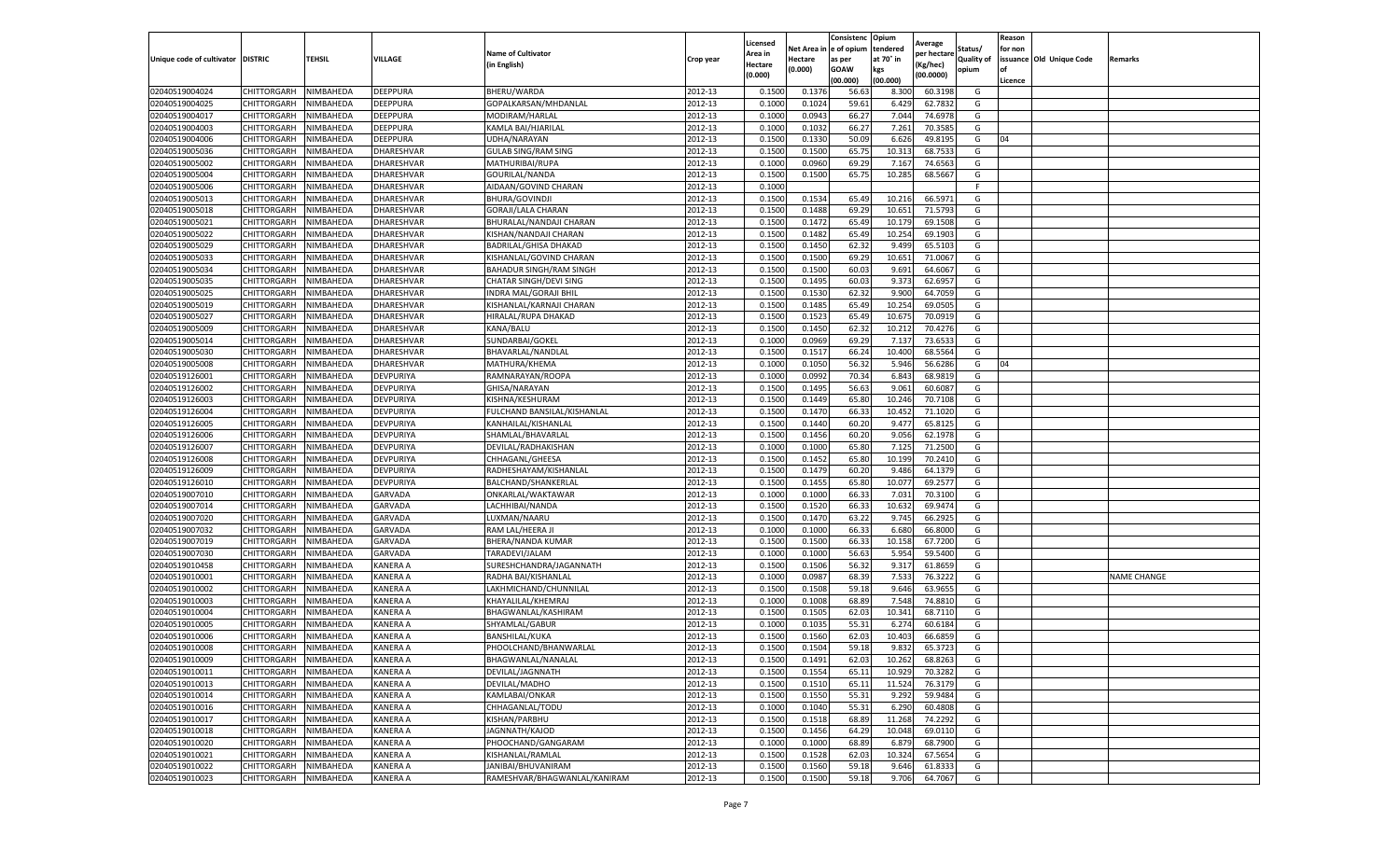|                                   |                    |           |                 |                                |           | Licensed |         | Consistenc             | Opium     |                        |                   | Reason  |                          |                    |
|-----------------------------------|--------------------|-----------|-----------------|--------------------------------|-----------|----------|---------|------------------------|-----------|------------------------|-------------------|---------|--------------------------|--------------------|
|                                   |                    |           |                 | <b>Name of Cultivator</b>      |           | Area in  |         | Net Area in e of opium | tendered  | Average<br>per hectare | Status/           | for non |                          |                    |
| Unique code of cultivator DISTRIC |                    | TEHSIL    | VILLAGE         | in English)                    | Crop year | Hectare  | Hectare | as per                 | at 70° in | (Kg/hec                | <b>Quality of</b> |         | issuance Old Unique Code | <b>Remarks</b>     |
|                                   |                    |           |                 |                                |           | (0.000)  | (0.000) | <b>GOAW</b>            | kgs       | (00.0000)              | opium             |         |                          |                    |
|                                   |                    |           |                 |                                |           |          |         | (00.000)               | (00.000)  |                        |                   | Licence |                          |                    |
| 02040519004024                    | CHITTORGARH        | NIMBAHEDA | DEEPPURA        | BHERU/WARDA                    | 2012-13   | 0.1500   | 0.1376  | 56.63                  | 8.300     | 60.3198                | G                 |         |                          |                    |
| 02040519004025                    | CHITTORGARH        | NIMBAHEDA | DEEPPURA        | GOPALKARSAN/MHDANLAL           | 2012-13   | 0.1000   | 0.1024  | 59.61                  | 6.429     | 62.7832                | G                 |         |                          |                    |
| 02040519004017                    | CHITTORGARH        | NIMBAHEDA | DEEPPURA        | MODIRAM/HARLAL                 | 2012-13   | 0.1000   | 0.0943  | 66.27                  | 7.044     | 74.6978                | G                 |         |                          |                    |
| 02040519004003                    | CHITTORGARH        | NIMBAHEDA | DEEPPURA        | KAMLA BAI/HJARILAL             | 2012-13   | 0.1000   | 0.1032  | 66.27                  | 7.261     | 70.3585                | G                 |         |                          |                    |
| 02040519004006                    | CHITTORGARH        | NIMBAHEDA | DEEPPURA        | UDHA/NARAYAN                   | 2012-13   | 0.1500   | 0.1330  | 50.09                  | 6.626     | 49.8195                | G                 | 04      |                          |                    |
| 02040519005036                    | CHITTORGARH        | NIMBAHEDA | DHARESHVAR      | <b>GULAB SING/RAM SING</b>     | 2012-13   | 0.1500   | 0.1500  | 65.75                  | 10.31     | 68.7533                | G                 |         |                          |                    |
| 02040519005002                    | CHITTORGARH        | NIMBAHEDA | DHARESHVAR      | MATHURIBAI/RUPA                | 2012-13   | 0.1000   | 0.0960  | 69.29                  | 7.167     | 74.6563                | G                 |         |                          |                    |
| 02040519005004                    | CHITTORGARH        | NIMBAHEDA | DHARESHVAR      | GOURILAL/NANDA                 | 2012-13   | 0.1500   | 0.1500  | 65.75                  | 10.285    | 68.5667                | G                 |         |                          |                    |
| 02040519005006                    | CHITTORGARH        | NIMBAHEDA | DHARESHVAR      | AIDAAN/GOVIND CHARAN           | 2012-13   | 0.1000   |         |                        |           |                        | F                 |         |                          |                    |
| 02040519005013                    | CHITTORGARH        | NIMBAHEDA | DHARESHVAR      | BHURA/GOVINDJI                 | 2012-13   | 0.1500   | 0.1534  | 65.49                  | 10.216    | 66.5971                | G                 |         |                          |                    |
| 02040519005018                    | CHITTORGARH        | NIMBAHEDA | DHARESHVAR      | GORAJI/LALA CHARAN             | 2012-13   | 0.1500   | 0.1488  | 69.29                  | 10.651    | 71.5793                | G                 |         |                          |                    |
| 02040519005021                    | CHITTORGARH        | NIMBAHEDA | DHARESHVAR      | BHURALAL/NANDAJI CHARAN        | 2012-13   | 0.1500   | 0.1472  | 65.49                  | 10.17     | 69.1508                | G                 |         |                          |                    |
| 02040519005022                    | CHITTORGARH        | NIMBAHEDA | DHARESHVAR      | KISHAN/NANDAJI CHARAN          | 2012-13   | 0.1500   | 0.1482  | 65.49                  | 10.254    | 69.1903                | G                 |         |                          |                    |
| 02040519005029                    | CHITTORGARH        | NIMBAHEDA | DHARESHVAR      | BADRILAL/GHISA DHAKAD          | 2012-13   | 0.1500   | 0.1450  | 62.32                  | 9.499     | 65.5103                | G                 |         |                          |                    |
| 02040519005033                    | CHITTORGARH        | NIMBAHEDA | DHARESHVAR      | KISHANLAL/GOVIND CHARAN        | 2012-13   | 0.1500   | 0.1500  | 69.29                  | 10.651    | 71.0067                | G                 |         |                          |                    |
| 02040519005034                    | CHITTORGARH        | NIMBAHEDA | DHARESHVAR      | <b>BAHADUR SINGH/RAM SINGH</b> | 2012-13   | 0.1500   | 0.1500  | 60.03                  | 9.691     | 64.6067                | G                 |         |                          |                    |
| 02040519005035                    | CHITTORGARH        | NIMBAHEDA | DHARESHVAR      | CHATAR SINGH/DEVI SING         | 2012-13   | 0.1500   | 0.1495  | 60.03                  | 9.373     | 62.695                 | G                 |         |                          |                    |
| 02040519005025                    | CHITTORGARH        | NIMBAHEDA | DHARESHVAR      | INDRA MAL/GORAJI BHIL          | 2012-13   | 0.1500   | 0.1530  | 62.32                  | 9.900     | 64.7059                | G                 |         |                          |                    |
| 02040519005019                    | CHITTORGARH        | NIMBAHEDA | DHARESHVAR      | KISHANLAL/KARNAJI CHARAN       | 2012-13   | 0.1500   | 0.1485  | 65.49                  | 10.25     | 69.0505                | G                 |         |                          |                    |
| 02040519005027                    | CHITTORGARH        | NIMBAHEDA | DHARESHVAR      | HIRALAL/RUPA DHAKAD            | 2012-13   | 0.1500   | 0.1523  | 65.49                  | 10.675    | 70.0919                | G                 |         |                          |                    |
| 02040519005009                    | CHITTORGARH        | NIMBAHEDA | DHARESHVAR      | KANA/BALU                      | 2012-13   | 0.1500   | 0.1450  | 62.32                  | 10.21     | 70.4276                | G                 |         |                          |                    |
| 02040519005014                    | CHITTORGARH        | NIMBAHEDA | DHARESHVAR      | SUNDARBAI/GOKEL                | 2012-13   | 0.1000   | 0.0969  | 69.29                  | 7.13      | 73.6533                | G                 |         |                          |                    |
| 02040519005030                    | CHITTORGARH        | NIMBAHEDA | DHARESHVAR      | BHAVARLAL/NANDLAL              | 2012-13   | 0.1500   | 0.1517  | 66.24                  | 10.400    | 68.5564                | G                 |         |                          |                    |
| 02040519005008                    | CHITTORGARH        | NIMBAHEDA | DHARESHVAR      | MATHURA/KHEMA                  | 2012-13   | 0.1000   | 0.1050  | 56.32                  | 5.946     | 56.6286                | G                 | 04      |                          |                    |
| 02040519126001                    | CHITTORGARH        | NIMBAHEDA | DEVPURIYA       | RAMNARAYAN/ROOPA               | 2012-13   | 0.1000   | 0.0992  | 70.34                  | 6.84      | 68.9819                | G                 |         |                          |                    |
| 02040519126002                    | CHITTORGARH        | NIMBAHEDA | DEVPURIYA       | GHISA/NARAYAN                  | 2012-13   | 0.1500   | 0.1495  | 56.63                  | 9.061     | 60.6087                | G                 |         |                          |                    |
| 02040519126003                    | CHITTORGARH        | NIMBAHEDA | DEVPURIYA       | KISHNA/KESHURAM                | 2012-13   | 0.1500   | 0.1449  | 65.80                  | 10.24     | 70.7108                | G                 |         |                          |                    |
| 02040519126004                    | CHITTORGARH        | NIMBAHEDA | DEVPURIYA       | FULCHAND BANSILAL/KISHANLAL    | 2012-13   | 0.1500   | 0.1470  | 66.33                  | 10.452    | 71.1020                | G                 |         |                          |                    |
| 02040519126005                    | CHITTORGARH        | NIMBAHEDA | DEVPURIYA       | KANHAILAL/KISHANLAL            | 2012-13   | 0.1500   | 0.1440  | 60.20                  | 9.477     | 65.8125                | G                 |         |                          |                    |
| 02040519126006                    | CHITTORGARH        | NIMBAHEDA | DEVPURIYA       | SHAMLAL/BHAVARLAL              | 2012-13   | 0.1500   | 0.1456  | 60.20                  | 9.056     | 62.1978                | G                 |         |                          |                    |
| 02040519126007                    | CHITTORGARH        | NIMBAHEDA | DEVPURIYA       | DEVILAL/RADHAKISHAN            | 2012-13   | 0.1000   | 0.1000  | 65.80                  | 7.12      | 71.2500                | G                 |         |                          |                    |
| 02040519126008                    | CHITTORGARH        | NIMBAHEDA | DEVPURIYA       | CHHAGANL/GHEESA                | 2012-13   | 0.1500   | 0.1452  | 65.80                  | 10.199    | 70.2410                | G                 |         |                          |                    |
| 02040519126009                    | CHITTORGARH        | NIMBAHEDA | DEVPURIYA       | RADHESHAYAM/KISHANLAL          | 2012-13   | 0.1500   | 0.1479  | 60.20                  | 9.486     | 64.1379                | G                 |         |                          |                    |
| 02040519126010                    | CHITTORGARH        | NIMBAHEDA | DEVPURIYA       | BALCHAND/SHANKERLAL            | 2012-13   | 0.1500   | 0.1455  | 65.80                  | 10.07     | 69.2577                | G                 |         |                          |                    |
| 02040519007010                    | CHITTORGARH        | NIMBAHEDA | GARVADA         | ONKARLAL/WAKTAWAR              | 2012-13   | 0.1000   | 0.1000  | 66.33                  | 7.031     | 70.3100                | G                 |         |                          |                    |
| 02040519007014                    | CHITTORGARH        | NIMBAHEDA | GARVADA         | LACHHIBAI/NANDA                | 2012-13   | 0.1500   | 0.1520  | 66.33                  | 10.63     | 69.9474                | G                 |         |                          |                    |
| 02040519007020                    | CHITTORGARH        | NIMBAHEDA | GARVADA         | LUXMAN/NAARU                   | 2012-13   | 0.1500   | 0.1470  | 63.22                  | 9.745     | 66.2925                | G                 |         |                          |                    |
| 02040519007032                    | CHITTORGARH        | NIMBAHEDA | GARVADA         | RAM LAL/HEERA JI               | 2012-13   | 0.1000   | 0.1000  | 66.33                  | 6.68      | 66.8000                | G                 |         |                          |                    |
| 02040519007019                    | CHITTORGARH        | NIMBAHEDA | GARVADA         | BHERA/NANDA KUMAR              | 2012-13   | 0.1500   | 0.1500  | 66.33                  | 10.15     | 67.7200                | G                 |         |                          |                    |
| 02040519007030                    | CHITTORGARH        | NIMBAHEDA | <b>GARVADA</b>  | TARADEVI/JALAM                 | 2012-13   | 0.1000   | 0.1000  | 56.63                  | 5.954     | 59.5400                | G                 |         |                          |                    |
| 02040519010458                    | CHITTORGARH        | NIMBAHEDA | KANERA A        | SURESHCHANDRA/JAGANNATH        | 2012-13   | 0.1500   | 0.1506  | 56.32                  | 9.317     | 61.8659                | G                 |         |                          |                    |
| 02040519010001                    | CHITTORGARH        | NIMBAHEDA | KANERA A        | RADHA BAI/KISHANLAL            | 2012-13   | 0.1000   | 0.0987  | 68.39                  | 7.533     | 76.3222                | G                 |         |                          | <b>NAME CHANGE</b> |
| 02040519010002                    | CHITTORGARH        | NIMBAHEDA | KANERA A        | LAKHMICHAND/CHUNNILAL          | 2012-13   | 0.1500   | 0.1508  | 59.18                  | 9.646     | 63.9655                | G                 |         |                          |                    |
| 02040519010003                    | CHITTORGARH        | NIMBAHEDA | KANERA A        | KHAYALILAL/KHEMRAJ             | 2012-13   | 0.1000   | 0.1008  | 68.89                  | 7.548     | 74.8810                | G                 |         |                          |                    |
| 02040519010004                    | CHITTORGARH        | NIMBAHEDA | KANERA A        | BHAGWANLAL/KASHIRAM            | 2012-13   | 0.1500   | 0.1505  | 62.03                  | 10.341    | 68.7110                | G                 |         |                          |                    |
| 02040519010005                    | CHITTORGARH        | NIMBAHEDA | KANERA A        | SHYAMLAL/GABUR                 | 2012-13   | 0.1000   | 0.1035  | 55.31                  | 6.27      | 60.6184                | G                 |         |                          |                    |
| 02040519010006                    | CHITTORGARH        | NIMBAHEDA | KANERA A        | BANSHILAL/KUKA                 | 2012-13   | 0.1500   | 0.1560  | 62.03                  | 10.403    | 66.6859                | G                 |         |                          |                    |
| 02040519010008                    | CHITTORGARH        | NIMBAHEDA | KANERA A        | PHOOLCHAND/BHANWARLAL          | 2012-13   | 0.1500   | 0.1504  | 59.18                  | 9.832     | 65.3723                | G                 |         |                          |                    |
| 02040519010009                    | CHITTORGARH        | NIMBAHEDA | <b>KANERA A</b> | BHAGWANLAL/NANALAL             | 2012-13   | 0.1500   | 0.1491  | 62.03                  | 10.262    | 68.8263                | G                 |         |                          |                    |
| 02040519010011                    | CHITTORGARH        | NIMBAHEDA | KANERA A        | DEVILAL/JAGNNATH               | 2012-13   | 0.1500   | 0.1554  | 65.11                  | 10.929    | 70.3282                | G                 |         |                          |                    |
| 02040519010013                    | <b>CHITTORGARH</b> | NIMBAHEDA | KANERA A        | DEVILAL/MADHO                  | 2012-13   | 0.1500   | 0.1510  | 65.11                  | 11.524    | 76.3179                | G                 |         |                          |                    |
| 02040519010014                    | CHITTORGARH        | NIMBAHEDA | KANERA A        | KAMLABAI/ONKAR                 | 2012-13   | 0.1500   | 0.1550  | 55.31                  | 9.292     | 59.9484                | G                 |         |                          |                    |
| 02040519010016                    | CHITTORGARH        | NIMBAHEDA | KANERA A        | CHHAGANLAL/TODU                | 2012-13   | 0.1000   | 0.1040  | 55.31                  | 6.290     | 60.4808                | G                 |         |                          |                    |
| 02040519010017                    | <b>CHITTORGARH</b> | NIMBAHEDA | <b>KANERA A</b> | KISHAN/PARBHU                  | 2012-13   | 0.1500   | 0.1518  | 68.89                  | 11.268    | 74.2292                | G                 |         |                          |                    |
| 02040519010018                    | CHITTORGARH        | NIMBAHEDA | KANERA A        | JAGNNATH/KAJOD                 | 2012-13   | 0.1500   | 0.1456  | 64.29                  | 10.048    | 69.0110                | G                 |         |                          |                    |
| 02040519010020                    | <b>CHITTORGARH</b> | NIMBAHEDA | KANERA A        | PHOOCHAND/GANGARAM             | 2012-13   | 0.1000   | 0.1000  | 68.89                  | 6.879     | 68.7900                | G                 |         |                          |                    |
| 02040519010021                    | CHITTORGARH        | NIMBAHEDA | KANERA A        | KISHANLAL/RAMLAL               | 2012-13   | 0.1500   | 0.1528  | 62.03                  | 10.324    | 67.5654                | G                 |         |                          |                    |
| 02040519010022                    | CHITTORGARH        | NIMBAHEDA | KANERA A        | JANIBAI/BHUVANIRAM             | 2012-13   | 0.1500   | 0.1560  | 59.18                  | 9.646     | 61.8333                | G                 |         |                          |                    |
| 02040519010023                    | <b>CHITTORGARH</b> | NIMBAHEDA | <b>KANERA A</b> | RAMESHVAR/BHAGWANLAL/KANIRAM   | 2012-13   | 0.1500   | 0.1500  | 59.18                  | 9.706     | 64.7067                | G                 |         |                          |                    |
|                                   |                    |           |                 |                                |           |          |         |                        |           |                        |                   |         |                          |                    |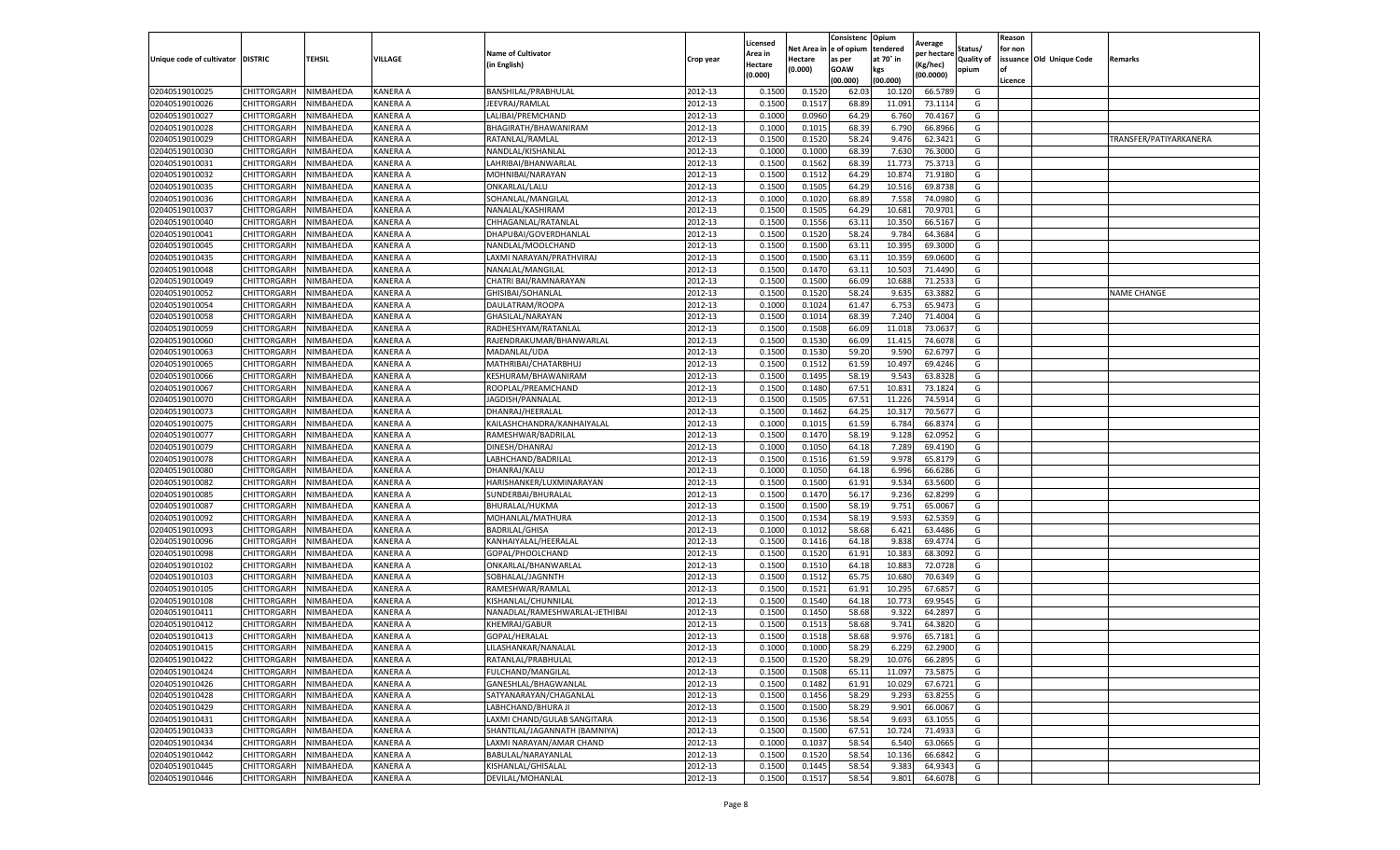|                                   |             |           |                 |                                |           | Licensed |            | Consistenc  | Opium     | Average     |                   | Reason  |                          |                        |
|-----------------------------------|-------------|-----------|-----------------|--------------------------------|-----------|----------|------------|-------------|-----------|-------------|-------------------|---------|--------------------------|------------------------|
|                                   |             |           |                 | <b>Name of Cultivator</b>      |           | Area in  | Net Area i | e of opium  | tendered  | per hectare | Status/           | for non |                          |                        |
| Unique code of cultivator DISTRIC |             | TEHSIL    | VILLAGE         | (in English)                   | Crop year | Hectare  | Hectare    | as per      | at 70° in | (Kg/hec)    | <b>Quality of</b> |         | issuance Old Unique Code | Remarks                |
|                                   |             |           |                 |                                |           | (0.000)  | (0.000)    | <b>GOAW</b> | kgs       | (00.0000)   | opium             | οf      |                          |                        |
|                                   |             |           |                 |                                |           |          |            | (00.000     | (00.000)  |             |                   | Licence |                          |                        |
| 02040519010025                    | CHITTORGARH | NIMBAHEDA | <b>KANERA A</b> | BANSHILAL/PRABHULAL            | 2012-13   | 0.1500   | 0.1520     | 62.03       | 10.120    | 66.5789     | G                 |         |                          |                        |
| 02040519010026                    | CHITTORGARH | NIMBAHEDA | <b>KANERA A</b> | JEEVRAJ/RAMLAL                 | 2012-13   | 0.150    | 0.151      | 68.89       | 11.091    | 73.1114     | G                 |         |                          |                        |
| 02040519010027                    | CHITTORGARH | NIMBAHEDA | KANERA A        | LALIBAI/PREMCHAND              | 2012-13   | 0.1000   | 0.0960     | 64.29       | 6.760     | 70.4167     | G                 |         |                          |                        |
| 02040519010028                    | CHITTORGARH | NIMBAHEDA | KANERA A        | BHAGIRATH/BHAWANIRAM           | 2012-13   | 0.1000   | 0.1015     | 68.39       | 6.790     | 66.8966     | G                 |         |                          |                        |
| 02040519010029                    | CHITTORGARH | NIMBAHEDA | <b>KANERA A</b> | RATANLAL/RAMLAL                | 2012-13   | 0.1500   | 0.1520     | 58.24       | 9.476     | 62.3421     | G                 |         |                          | TRANSFER/PATIYARKANERA |
| 02040519010030                    | CHITTORGARH | NIMBAHEDA | <b>KANERA A</b> | NANDLAL/KISHANLAL              | 2012-13   | 0.1000   | 0.1000     | 68.39       | 7.630     | 76.3000     | G                 |         |                          |                        |
| 02040519010031                    | CHITTORGARH | NIMBAHEDA | <b>KANERA A</b> | LAHRIBAI/BHANWARLAL            | 2012-13   | 0.1500   | 0.1562     | 68.39       | 11.773    | 75.3713     | G                 |         |                          |                        |
| 02040519010032                    | CHITTORGARH | NIMBAHEDA | KANERA A        | MOHNIBAI/NARAYAN               | 2012-13   | 0.1500   | 0.1512     | 64.29       | 10.87     | 71.9180     | G                 |         |                          |                        |
| 02040519010035                    | CHITTORGARH | NIMBAHEDA | <b>KANERA A</b> | ONKARLAL/LALU                  | 2012-13   | 0.1500   | 0.1505     | 64.29       | 10.516    | 69.8738     | G                 |         |                          |                        |
| 02040519010036                    | CHITTORGARH | NIMBAHEDA | KANERA A        | SOHANLAL/MANGILAL              | 2012-13   | 0.1000   | 0.1020     | 68.89       | 7.558     | 74.0980     | G                 |         |                          |                        |
| 02040519010037                    | CHITTORGARH | NIMBAHEDA | <b>KANERA A</b> | NANALAL/KASHIRAM               | 2012-13   | 0.1500   | 0.1505     | 64.29       | 10.681    | 70.9701     | G                 |         |                          |                        |
| 02040519010040                    | CHITTORGARH | NIMBAHEDA | <b>KANERA A</b> | CHHAGANLAL/RATANLAL            | 2012-13   | 0.1500   | 0.1556     | 63.11       | 10.350    | 66.5167     | G                 |         |                          |                        |
| 02040519010041                    | CHITTORGARH | NIMBAHEDA | <b>KANERA A</b> | DHAPUBAI/GOVERDHANLAL          | 2012-13   | 0.1500   | 0.1520     | 58.24       | 9.784     | 64.3684     | G                 |         |                          |                        |
| 02040519010045                    | CHITTORGARH | NIMBAHEDA | KANERA A        | NANDLAL/MOOLCHAND              | 2012-13   | 0.1500   | 0.1500     | 63.1        | 10.395    | 69.3000     | G                 |         |                          |                        |
| 02040519010435                    | CHITTORGARH | NIMBAHEDA | KANERA A        | LAXMI NARAYAN/PRATHVIRAJ       | 2012-13   | 0.1500   | 0.1500     | 63.1        | 10.359    | 69.0600     | G                 |         |                          |                        |
| 02040519010048                    | CHITTORGARH | NIMBAHEDA | KANERA A        | NANALAL/MANGILAL               | 2012-13   | 0.1500   | 0.1470     | 63.1        | 10.503    | 71.4490     | G                 |         |                          |                        |
| 02040519010049                    | CHITTORGARH | NIMBAHEDA | KANERA A        | CHATRI BAI/RAMNARAYAN          | 2012-13   | 0.1500   | 0.1500     | 66.09       | 10.688    | 71.253      | G                 |         |                          |                        |
| 02040519010052                    | CHITTORGARH | NIMBAHEDA | KANERA A        | GHISIBAI/SOHANLAL              | 2012-13   | 0.1500   | 0.1520     | 58.24       | 9.635     | 63.3882     | G                 |         |                          | <b>NAME CHANGE</b>     |
| 02040519010054                    | CHITTORGARH | NIMBAHEDA | KANERA A        | DAULATRAM/ROOPA                | 2012-13   | 0.1000   | 0.1024     | 61.47       | 6.753     | 65.947      | G                 |         |                          |                        |
| 02040519010058                    | CHITTORGARH | NIMBAHEDA | <b>KANERA A</b> | GHASILAL/NARAYAN               | 2012-13   | 0.1500   | 0.1014     | 68.39       | 7.240     | 71.4004     | G                 |         |                          |                        |
| 02040519010059                    | CHITTORGARH | NIMBAHEDA | KANERA A        | RADHESHYAM/RATANLAL            | 2012-13   | 0.1500   | 0.1508     | 66.09       | 11.018    | 73.0637     | G                 |         |                          |                        |
| 02040519010060                    | CHITTORGARH | NIMBAHEDA | KANERA A        | RAJENDRAKUMAR/BHANWARLAL       | 2012-13   | 0.1500   | 0.1530     | 66.09       | 11.415    | 74.6078     | G                 |         |                          |                        |
| 02040519010063                    | CHITTORGARH | NIMBAHEDA | <b>KANERA A</b> | MADANLAL/UDA                   | 2012-13   | 0.1500   | 0.1530     | 59.20       | 9.590     | 62.6797     | G                 |         |                          |                        |
| 02040519010065                    | CHITTORGARH | NIMBAHEDA | KANERA A        | MATHRIBAI/CHATARBHUJ           | 2012-13   | 0.1500   | 0.1512     | 61.59       | 10.497    | 69.4246     | G                 |         |                          |                        |
| 02040519010066                    | CHITTORGARH | NIMBAHEDA | KANERA A        | KESHURAM/BHAWANIRAM            | 2012-13   | 0.1500   | 0.1495     | 58.19       | 9.543     | 63.8328     | G                 |         |                          |                        |
| 02040519010067                    | CHITTORGARH | NIMBAHEDA | <b>KANERA A</b> | ROOPLAL/PREAMCHAND             | 2012-13   | 0.1500   | 0.1480     | 67.51       | 10.83     | 73.1824     | G                 |         |                          |                        |
| 02040519010070                    | CHITTORGARH | NIMBAHEDA | KANERA A        | JAGDISH/PANNALAI               | 2012-13   | 0.1500   | 0.1505     | 67.5        | 11.226    | 74.5914     | G                 |         |                          |                        |
| 02040519010073                    | CHITTORGARH | NIMBAHEDA | KANERA A        | DHANRAJ/HEERALAL               | 2012-13   | 0.1500   | 0.1462     | 64.25       | 10.317    | 70.5677     | G                 |         |                          |                        |
| 02040519010075                    | CHITTORGARH | NIMBAHEDA | KANERA A        | KAILASHCHANDRA/KANHAIYALAL     | 2012-13   | 0.1000   | 0.1015     | 61.59       | 6.784     | 66.8374     | G                 |         |                          |                        |
| 02040519010077                    | CHITTORGARH | NIMBAHEDA | KANERA A        | RAMESHWAR/BADRILAL             | 2012-13   | 0.1500   | 0.1470     | 58.19       | 9.128     | 62.0952     | G                 |         |                          |                        |
| 02040519010079                    | CHITTORGARH | NIMBAHEDA | KANERA A        | DINESH/DHANRAJ                 | 2012-13   | 0.1000   | 0.1050     | 64.18       | 7.289     | 69.4190     | G                 |         |                          |                        |
| 02040519010078                    | CHITTORGARH | NIMBAHEDA | <b>KANERA A</b> | LABHCHAND/BADRILAL             | 2012-13   | 0.1500   | 0.1516     | 61.59       | 9.978     | 65.8179     | G                 |         |                          |                        |
| 02040519010080                    | CHITTORGARH | NIMBAHEDA | KANERA A        | DHANRAJ/KALU                   | 2012-13   | 0.100    | 0.1050     | 64.18       | 6.996     | 66.6286     | G                 |         |                          |                        |
| 02040519010082                    | CHITTORGARH | NIMBAHEDA | KANERA A        | HARISHANKER/LUXMINARAYAN       | 2012-13   | 0.1500   | 0.1500     | 61.91       | 9.534     | 63.5600     | G                 |         |                          |                        |
| 02040519010085                    | CHITTORGARH | NIMBAHEDA | <b>KANERA A</b> | SUNDERBAI/BHURALAL             | 2012-13   | 0.1500   | 0.1470     | 56.17       | 9.236     | 62.8299     | G                 |         |                          |                        |
| 02040519010087                    | CHITTORGARH | NIMBAHEDA | KANERA A        | BHURALAL/HUKMA                 | 2012-13   | 0.1500   | 0.1500     | 58.19       | 9.751     | 65.0067     | G                 |         |                          |                        |
| 02040519010092                    | CHITTORGARH | NIMBAHEDA | <b>KANERA A</b> | MOHANLAL/MATHURA               | 2012-13   | 0.1500   | 0.1534     | 58.19       | 9.593     | 62.5359     | G                 |         |                          |                        |
| 02040519010093                    | CHITTORGARH | NIMBAHEDA | KANERA A        | <b>BADRILAL/GHISA</b>          | 2012-13   | 0.1000   | 0.1012     | 58.68       | 6.421     | 63.4486     | G                 |         |                          |                        |
| 02040519010096                    | CHITTORGARH | NIMBAHEDA | KANERA A        | KANHAIYALAL/HEERALAI           | 2012-13   | 0.1500   | 0.1416     | 64.18       | 9.838     | 69.4774     | G                 |         |                          |                        |
| 02040519010098                    | CHITTORGARH | NIMBAHEDA | KANERA A        | GOPAL/PHOOLCHAND               | 2012-13   | 0.1500   | 0.1520     | 61.91       | 10.383    | 68.3092     | G                 |         |                          |                        |
| 02040519010102                    | CHITTORGARH | NIMBAHEDA | KANERA A        | ONKARLAL/BHANWARLAL            | 2012-13   | 0.1500   | 0.1510     | 64.18       | 10.883    | 72.0728     | G                 |         |                          |                        |
| 02040519010103                    | CHITTORGARH | NIMBAHEDA | KANERA A        | SOBHALAL/JAGNNTH               | 2012-13   | 0.1500   | 0.1512     | 65.75       | 10.680    | 70.6349     | G                 |         |                          |                        |
| 02040519010105                    | CHITTORGARH | NIMBAHEDA | <b>KANERA A</b> | RAMESHWAR/RAMLAL               | 2012-13   | 0.1500   | 0.1521     | 61.91       | 10.295    | 67.6857     | G                 |         |                          |                        |
| 02040519010108                    | CHITTORGARH | NIMBAHEDA | KANERA A        | KISHANLAL/CHUNNILAL            | 2012-13   | 0.1500   | 0.1540     | 64.18       | 10.773    | 69.9545     | G                 |         |                          |                        |
| 02040519010411                    | CHITTORGARH | NIMBAHEDA | <b>KANERA A</b> | NANADLAL/RAMESHWARLAL-JETHIBAI | 2012-13   | 0.1500   | 0.1450     | 58.68       | 9.322     | 64.2897     | G                 |         |                          |                        |
| 02040519010412                    | CHITTORGARH | NIMBAHEDA | KANERA A        | <b>KHEMRAJ/GABUR</b>           | 2012-13   | 0.150    | 0.1513     | 58.68       | 9.741     | 64.3820     | G                 |         |                          |                        |
| 02040519010413                    | CHITTORGARH | NIMBAHEDA | KANERA A        | GOPAL/HERALAL                  | 2012-13   | 0.1500   | 0.1518     | 58.68       | 9.976     | 65.7181     | G                 |         |                          |                        |
| 02040519010415                    | CHITTORGARH | NIMBAHEDA | KANERA A        | LILASHANKAR/NANALAL            | 2012-13   | 0.1000   | 0.1000     | 58.29       | 6.229     | 62.2900     | G                 |         |                          |                        |
| 02040519010422                    | CHITTORGARH | NIMBAHEDA | KANERA A        | RATANLAL/PRABHULAL             | 2012-13   | 0.1500   | 0.1520     | 58.29       | 10.076    | 66.2895     | G                 |         |                          |                        |
| 02040519010424                    | CHITTORGARH | NIMBAHEDA | KANERA A        | FULCHAND/MANGILAL              | 2012-13   | 0.1500   | 0.1508     | 65.11       | 11.097    | 73.5875     | G                 |         |                          |                        |
| 02040519010426                    | CHITTORGARH | NIMBAHEDA | KANERA A        | GANESHLAL/BHAGWANLAL           | 2012-13   | 0.1500   | 0.1482     | 61.91       | 10.029    | 67.6721     | G                 |         |                          |                        |
| 02040519010428                    | CHITTORGARH | NIMBAHEDA | KANERA A        | SATYANARAYAN/CHAGANLAL         | 2012-13   | 0.1500   | 0.1456     | 58.29       | 9.293     | 63.8255     | G                 |         |                          |                        |
| 02040519010429                    | CHITTORGARH | NIMBAHEDA | KANERA A        | LABHCHAND/BHURA JI             | 2012-13   | 0.1500   | 0.1500     | 58.29       | 9.901     | 66.0067     | G                 |         |                          |                        |
| 02040519010431                    | CHITTORGARH | NIMBAHEDA | <b>KANERA A</b> | LAXMI CHAND/GULAB SANGITARA    | 2012-13   | 0.1500   | 0.1536     | 58.54       | 9.693     | 63.1055     | G                 |         |                          |                        |
| 02040519010433                    | CHITTORGARH | NIMBAHEDA | KANERA A        | SHANTILAL/JAGANNATH (BAMNIYA)  | 2012-13   | 0.1500   | 0.1500     | 67.51       | 10.724    | 71.4933     | G                 |         |                          |                        |
| 02040519010434                    | CHITTORGARH | NIMBAHEDA | KANERA A        | LAXMI NARAYAN/AMAR CHAND       | 2012-13   | 0.1000   | 0.1037     | 58.54       | 6.540     | 63.0665     | G                 |         |                          |                        |
| 02040519010442                    | CHITTORGARH | NIMBAHEDA | KANERA A        | BABULAL/NARAYANLAL             | 2012-13   | 0.1500   | 0.1520     | 58.54       | 10.136    | 66.6842     | G                 |         |                          |                        |
| 02040519010445                    | CHITTORGARH | NIMBAHEDA | KANERA A        | KISHANLAL/GHISALAL             | 2012-13   | 0.1500   | 0.1445     | 58.54       | 9.383     | 64.9343     | G                 |         |                          |                        |
| 02040519010446                    | CHITTORGARH | NIMBAHEDA | <b>KANERA A</b> | DEVILAL/MOHANLAL               | 2012-13   | 0.1500   | 0.1517     | 58.54       | 9.801     | 64.6078     | G                 |         |                          |                        |
|                                   |             |           |                 |                                |           |          |            |             |           |             |                   |         |                          |                        |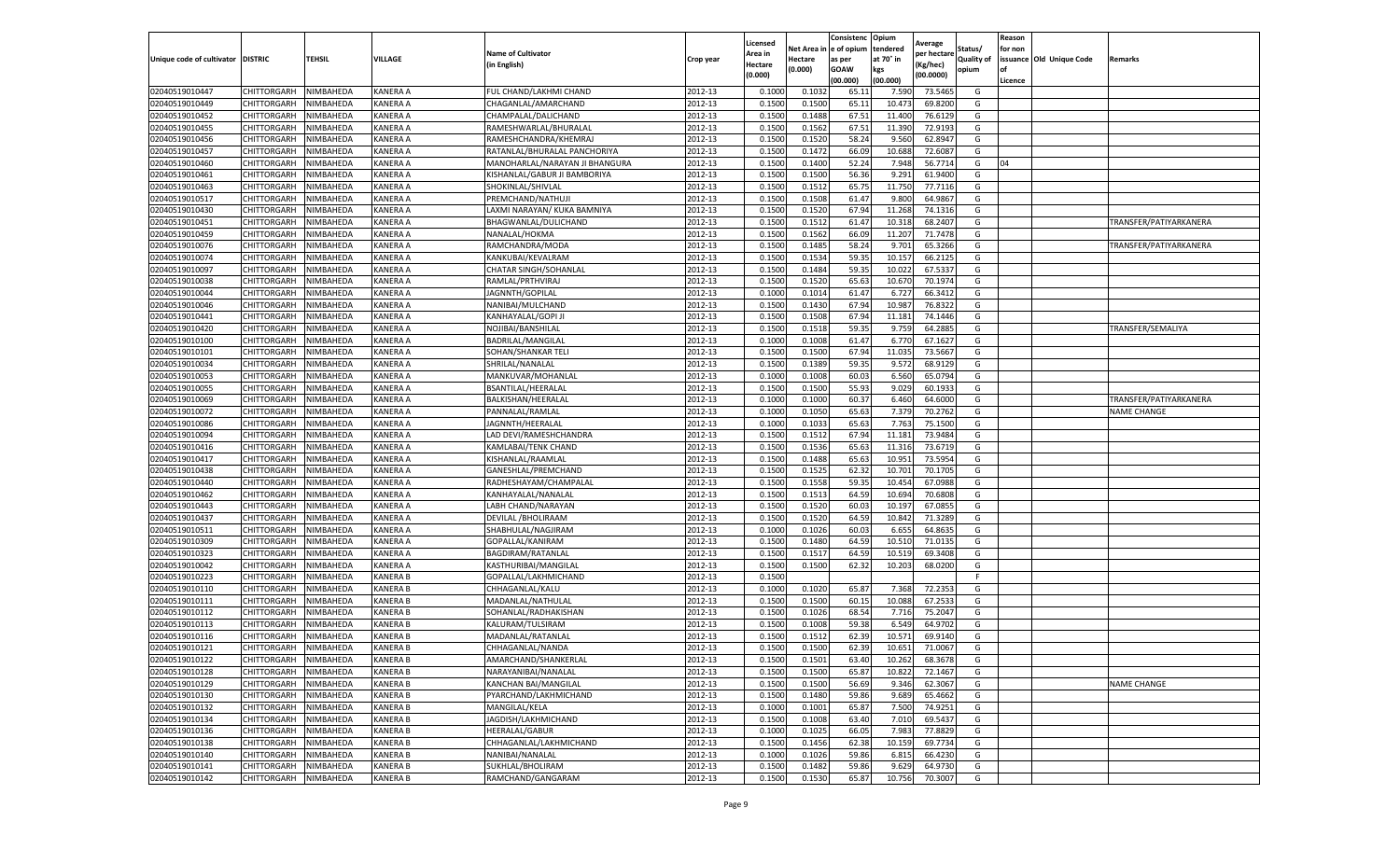|                           |                       |           |                 |                                |           | Licensed |         | Consistenc             | Opium     |                        |                   | Reason  |                          |                        |
|---------------------------|-----------------------|-----------|-----------------|--------------------------------|-----------|----------|---------|------------------------|-----------|------------------------|-------------------|---------|--------------------------|------------------------|
|                           |                       |           |                 | <b>Name of Cultivator</b>      |           | Area in  |         | Net Area in e of opium | tendered  | Average<br>per hectare | Status/           | for non |                          |                        |
| Unique code of cultivator | <b>DISTRIC</b>        | TEHSIL    | VILLAGE         | in English)                    | Crop year | Hectare  | Hectare | as per                 | at 70° in | (Kg/hec                | <b>Quality of</b> |         | issuance Old Unique Code | Remarks                |
|                           |                       |           |                 |                                |           | (0.000)  | (0.000) | <b>GOAW</b>            | kgs       | (00.0000)              | opium             |         |                          |                        |
|                           |                       |           |                 |                                |           |          |         | (00.000)               | (00.000)  |                        |                   | Licence |                          |                        |
| 02040519010447            | CHITTORGARH           | NIMBAHEDA | KANERA A        | FUL CHAND/LAKHMI CHAND         | 2012-13   | 0.1000   | 0.1032  | 65.1                   | 7.590     | 73.5465                | G                 |         |                          |                        |
| 02040519010449            | CHITTORGARH           | NIMBAHEDA | KANERA A        | CHAGANLAL/AMARCHAND            | 2012-13   | 0.1500   | 0.1500  | 65.1                   | 10.47     | 69.8200                | G                 |         |                          |                        |
| 02040519010452            | CHITTORGARH           | NIMBAHEDA | KANERA A        | CHAMPALAL/DALICHAND            | 2012-13   | 0.1500   | 0.1488  | 67.51                  | 11.400    | 76.6129                | G                 |         |                          |                        |
| 02040519010455            | CHITTORGARH           | NIMBAHEDA | KANERA A        | RAMESHWARLAL/BHURALAL          | 2012-13   | 0.1500   | 0.1562  | 67.51                  | 11.390    | 72.9193                | G                 |         |                          |                        |
| 02040519010456            | CHITTORGARH           | NIMBAHEDA | KANERA A        | RAMESHCHANDRA/KHEMRAJ          | 2012-13   | 0.1500   | 0.1520  | 58.24                  | 9.56      | 62.8947                | G                 |         |                          |                        |
| 02040519010457            | CHITTORGARH           | NIMBAHEDA | KANERA A        | RATANLAL/BHURALAL PANCHORIYA   | 2012-13   | 0.1500   | 0.1472  | 66.09                  | 10.68     | 72.608                 | G                 |         |                          |                        |
| 02040519010460            | CHITTORGARH           | NIMBAHEDA | KANERA A        | MANOHARLAL/NARAYAN JI BHANGURA | 2012-13   | 0.1500   | 0.1400  | 52.24                  | 7.948     | 56.7714                | G                 | 04      |                          |                        |
| 02040519010461            | CHITTORGARH           | NIMBAHEDA | KANERA A        | KISHANLAL/GABUR JI BAMBORIYA   | 2012-13   | 0.1500   | 0.1500  | 56.36                  | 9.291     | 61.9400                | G                 |         |                          |                        |
| 02040519010463            | CHITTORGARH           | NIMBAHEDA | KANERA A        | SHOKINLAL/SHIVLAL              | 2012-13   | 0.1500   | 0.1512  | 65.75                  | 11.750    | 77.7116                | G                 |         |                          |                        |
| 02040519010517            | <b>CHITTORGARH</b>    | NIMBAHEDA | KANERA A        | PREMCHAND/NATHUJI              | 2012-13   | 0.1500   | 0.1508  | 61.47                  | 9.800     | 64.9867                | G                 |         |                          |                        |
| 02040519010430            | CHITTORGARH           | NIMBAHEDA | KANERA A        | LAXMI NARAYAN/ KUKA BAMNIYA    | 2012-13   | 0.1500   | 0.1520  | 67.94                  | 11.268    | 74.1316                | G                 |         |                          |                        |
| 02040519010451            | CHITTORGARH           | NIMBAHEDA | KANERA A        | BHAGWANLAL/DULICHAND           | 2012-13   | 0.1500   | 0.1512  | 61.47                  | 10.31     | 68.2407                | G                 |         |                          | TRANSFER/PATIYARKANERA |
| 02040519010459            | CHITTORGARH           | NIMBAHEDA | KANERA A        | NANALAL/HOKMA                  | 2012-13   | 0.1500   | 0.1562  | 66.09                  | 11.207    | 71.7478                | G                 |         |                          |                        |
| 02040519010076            | CHITTORGARH           | NIMBAHEDA | KANERA A        | RAMCHANDRA/MODA                | 2012-13   | 0.1500   | 0.1485  | 58.24                  | 9.701     | 65.3266                | G                 |         |                          | TRANSFER/PATIYARKANERA |
| 02040519010074            | CHITTORGARH           | NIMBAHEDA | KANERA A        | KANKUBAI/KEVALRAM              | 2012-13   | 0.1500   | 0.1534  | 59.35                  | 10.15     | 66.2125                | G                 |         |                          |                        |
| 02040519010097            | CHITTORGARH           | NIMBAHEDA | <b>KANERA A</b> | CHATAR SINGH/SOHANLAL          | 2012-13   | 0.1500   | 0.1484  | 59.35                  | 10.022    | 67.5337                | G                 |         |                          |                        |
| 02040519010038            | CHITTORGARH           | NIMBAHEDA | KANERA A        | RAMLAL/PRTHVIRAJ               | 2012-13   | 0.1500   | 0.1520  | 65.63                  | 10.67     | 70.1974                | G                 |         |                          |                        |
| 02040519010044            | CHITTORGARH           | NIMBAHEDA | KANERA A        | JAGNNTH/GOPILAL                | 2012-13   | 0.1000   | 0.1014  | 61.47                  | 6.72      | 66.3412                | G                 |         |                          |                        |
| 02040519010046            | CHITTORGARH           | NIMBAHEDA | KANERA A        | NANIBAI/MULCHAND               | 2012-13   | 0.1500   | 0.1430  | 67.94                  | 10.98     | 76.8322                | G                 |         |                          |                        |
| 02040519010441            | CHITTORGARH           | NIMBAHEDA | KANERA A        | KANHAYALAL/GOPI JI             | 2012-13   | 0.1500   | 0.1508  | 67.94                  | 11.181    | 74.1446                | G                 |         |                          |                        |
| 02040519010420            | CHITTORGARH           | NIMBAHEDA | KANERA A        | NOJIBAI/BANSHILAL              | 2012-13   | 0.1500   | 0.1518  | 59.35                  | 9.759     | 64.2885                | G                 |         |                          | TRANSFER/SEMALIYA      |
| 02040519010100            | CHITTORGARH           | NIMBAHEDA | KANERA A        | BADRILAL/MANGILAL              | 2012-13   | 0.1000   | 0.1008  | 61.47                  | 6.77      | 67.1627                | G                 |         |                          |                        |
| 02040519010101            | CHITTORGARH           | NIMBAHEDA | KANERA A        | SOHAN/SHANKAR TELI             | 2012-13   | 0.1500   | 0.1500  | 67.94                  | 11.035    | 73.5667                | G                 |         |                          |                        |
| 02040519010034            | CHITTORGARH           | NIMBAHEDA | KANERA A        | SHRILAL/NANALAL                | 2012-13   | 0.1500   | 0.1389  | 59.35                  | 9.572     | 68.9129                | G                 |         |                          |                        |
| 02040519010053            | CHITTORGARH           | NIMBAHEDA | KANERA A        | MANKUVAR/MOHANLAL              | 2012-13   | 0.1000   | 0.1008  | 60.03                  | 6.560     | 65.0794                | G                 |         |                          |                        |
|                           |                       | NIMBAHEDA |                 | BSANTILAL/HEERALAI             |           |          |         | 55.93                  |           | 60.1933                | G                 |         |                          |                        |
| 02040519010055            | CHITTORGARH           |           | KANERA A        |                                | 2012-13   | 0.1500   | 0.1500  |                        | 9.029     |                        |                   |         |                          |                        |
| 02040519010069            | CHITTORGARH           | NIMBAHEDA | KANERA A        | BALKISHAN/HEERALAI             | 2012-13   | 0.1000   | 0.1000  | 60.37                  | 6.460     | 64.6000                | G                 |         |                          | TRANSFER/PATIYARKANERA |
| 02040519010072            | CHITTORGARH           | NIMBAHEDA | KANERA A        | PANNALAL/RAMLAL                | 2012-13   | 0.1000   | 0.1050  | 65.63                  | 7.379     | 70.2762                | G                 |         |                          | <b>NAME CHANGE</b>     |
| 02040519010086            | CHITTORGARH           | NIMBAHEDA | KANERA A        | JAGNNTH/HEERALAL               | 2012-13   | 0.1000   | 0.1033  | 65.63                  | 7.763     | 75.1500                | G                 |         |                          |                        |
| 02040519010094            | CHITTORGARH           | NIMBAHEDA | KANERA A        | LAD DEVI/RAMESHCHANDRA         | 2012-13   | 0.1500   | 0.1512  | 67.94                  | 11.181    | 73.9484                | G                 |         |                          |                        |
| 02040519010416            | CHITTORGARH           | NIMBAHEDA | KANERA A        | KAMLABAI/TENK CHAND            | 2012-13   | 0.1500   | 0.1536  | 65.63                  | 11.31     | 73.6719                | G                 |         |                          |                        |
| 02040519010417            | CHITTORGARH           | NIMBAHEDA | KANERA A        | KISHANLAL/RAAMLAI              | 2012-13   | 0.1500   | 0.1488  | 65.63                  | 10.951    | 73.5954                | G                 |         |                          |                        |
| 02040519010438            | CHITTORGARH           | NIMBAHEDA | KANERA A        | GANESHLAL/PREMCHAND            | 2012-13   | 0.1500   | 0.1525  | 62.32                  | 10.70     | 70.1705                | G                 |         |                          |                        |
| 02040519010440            | CHITTORGARH           | NIMBAHEDA | KANERA A        | RADHESHAYAM/CHAMPALAI          | 2012-13   | 0.1500   | 0.1558  | 59.35                  | 10.454    | 67.0988                | G                 |         |                          |                        |
| 02040519010462            | CHITTORGARH           | NIMBAHEDA | KANERA A        | KANHAYALAL/NANALAL             | 2012-13   | 0.1500   | 0.1513  | 64.59                  | 10.694    | 70.6808                | G                 |         |                          |                        |
| 02040519010443            | CHITTORGARH           | NIMBAHEDA | KANERA A        | LABH CHAND/NARAYAN             | 2012-13   | 0.1500   | 0.1520  | 60.03                  | 10.19     | 67.0855                | G                 |         |                          |                        |
| 02040519010437            | CHITTORGARH           | NIMBAHEDA | KANERA A        | DEVILAL / BHOLIRAAM            | 2012-13   | 0.1500   | 0.1520  | 64.59                  | 10.84     | 71.3289                | G                 |         |                          |                        |
| 02040519010511            | CHITTORGARH           | NIMBAHEDA | KANERA A        | SHABHULAL/NAGJIRAM             | 2012-13   | 0.1000   | 0.1026  | 60.03                  | 6.65      | 64.8635                | G                 |         |                          |                        |
| 02040519010309            | CHITTORGARH           | NIMBAHEDA | KANERA A        | GOPALLAL/KANIRAM               | 2012-13   | 0.1500   | 0.1480  | 64.59                  | 10.51     | 71.0135                | G                 |         |                          |                        |
| 02040519010323            | CHITTORGARH           | NIMBAHEDA | KANERA A        | BAGDIRAM/RATANLAL              | 2012-13   | 0.1500   | 0.1517  | 64.59                  | 10.519    | 69.3408                | G                 |         |                          |                        |
| 02040519010042            | CHITTORGARH           | NIMBAHEDA | KANERA A        | KASTHURIBAI/MANGILAL           | 2012-13   | 0.1500   | 0.1500  | 62.32                  | 10.203    | 68.0200                | G                 |         |                          |                        |
| 02040519010223            | CHITTORGARH           | NIMBAHEDA | <b>KANERA B</b> | GOPALLAL/LAKHMICHAND           | 2012-13   | 0.1500   |         |                        |           |                        | F.                |         |                          |                        |
| 02040519010110            | CHITTORGARH           | NIMBAHEDA | <b>KANERA B</b> | CHHAGANLAL/KALU                | 2012-13   | 0.1000   | 0.1020  | 65.87                  | 7.368     | 72.2353                | G                 |         |                          |                        |
| 02040519010111            | CHITTORGARH           | NIMBAHEDA | KANERA B        | MADANLAL/NATHULAL              | 2012-13   | 0.1500   | 0.1500  | 60.15                  | 10.088    | 67.2533                | G                 |         |                          |                        |
| 02040519010112            | CHITTORGARH           | NIMBAHEDA | <b>KANERA B</b> | SOHANLAL/RADHAKISHAN           | 2012-13   | 0.1500   | 0.1026  | 68.54                  | 7.716     | 75.2047                | G                 |         |                          |                        |
| 02040519010113            | CHITTORGARH           | NIMBAHEDA | <b>KANERA B</b> | KALURAM/TULSIRAM               | 2012-13   | 0.1500   | 0.1008  | 59.38                  | 6.549     | 64.9702                | G                 |         |                          |                        |
| 02040519010116            | CHITTORGARH           | NIMBAHEDA | <b>KANERA B</b> | MADANLAL/RATANLAL              | 2012-13   | 0.1500   | 0.1512  | 62.39                  | 10.57     | 69.9140                | G                 |         |                          |                        |
| 02040519010121            | CHITTORGARH           | NIMBAHEDA | KANERA B        | CHHAGANLAL/NANDA               | 2012-13   | 0.1500   | 0.1500  | 62.39                  | 10.651    | 71.0067                | G                 |         |                          |                        |
| 02040519010122            | CHITTORGARH NIMBAHEDA |           | <b>KANERA B</b> | AMARCHAND/SHANKERLAL           | 2012-13   | 0.1500   | 0.1501  | 63.40                  | 10.262    | 68.3678                | G                 |         |                          |                        |
| 02040519010128            | CHITTORGARH           | NIMBAHEDA | KANERA B        | NARAYANIBAI/NANALAL            | 2012-13   | 0.1500   | 0.1500  | 65.87                  | 10.822    | 72.1467                | G                 |         |                          |                        |
| 02040519010129            | <b>CHITTORGARH</b>    | NIMBAHEDA | KANERA B        | KANCHAN BAI/MANGILAL           | 2012-13   | 0.1500   | 0.1500  | 56.69                  | 9.346     | 62.3067                | G                 |         |                          | <b>NAME CHANGE</b>     |
| 02040519010130            | CHITTORGARH           | NIMBAHEDA | <b>KANERA B</b> | PYARCHAND/LAKHMICHAND          | 2012-13   | 0.1500   | 0.1480  | 59.86                  | 9.689     | 65.4662                | G                 |         |                          |                        |
| 02040519010132            | <b>CHITTORGARH</b>    | NIMBAHEDA | KANERA B        | MANGILAL/KELA                  | 2012-13   | 0.1000   | 0.1001  | 65.87                  | 7.500     | 74.9251                | G                 |         |                          |                        |
| 02040519010134            | <b>CHITTORGARH</b>    | NIMBAHEDA | <b>KANERA B</b> | JAGDISH/LAKHMICHAND            | 2012-13   | 0.1500   | 0.1008  | 63.40                  | 7.010     | 69.5437                | G                 |         |                          |                        |
| 02040519010136            | CHITTORGARH           | NIMBAHEDA | KANERA B        | <b>HEERALAL/GABUR</b>          | 2012-13   | 0.1000   | 0.1025  | 66.05                  | 7.983     | 77.8829                | G                 |         |                          |                        |
| 02040519010138            | <b>CHITTORGARH</b>    | NIMBAHEDA | KANERA B        | CHHAGANLAL/LAKHMICHAND         | 2012-13   | 0.1500   | 0.1456  | 62.38                  | 10.15     | 69.7734                | G                 |         |                          |                        |
| 02040519010140            | CHITTORGARH           | NIMBAHEDA | KANERA B        | NANIBAI/NANALAL                | 2012-13   | 0.1000   | 0.1026  | 59.86                  | 6.815     | 66.4230                | G                 |         |                          |                        |
| 02040519010141            | CHITTORGARH           | NIMBAHEDA | KANERA B        | SUKHLAL/BHOLIRAM               | 2012-13   | 0.1500   | 0.1482  | 59.86                  | 9.629     | 64.9730                | G                 |         |                          |                        |
| 02040519010142            | <b>CHITTORGARH</b>    | NIMBAHEDA | <b>KANERA B</b> | RAMCHAND/GANGARAM              | 2012-13   | 0.1500   | 0.1530  | 65.87                  | 10.756    | 70.3007                | G                 |         |                          |                        |
|                           |                       |           |                 |                                |           |          |         |                        |           |                        |                   |         |                          |                        |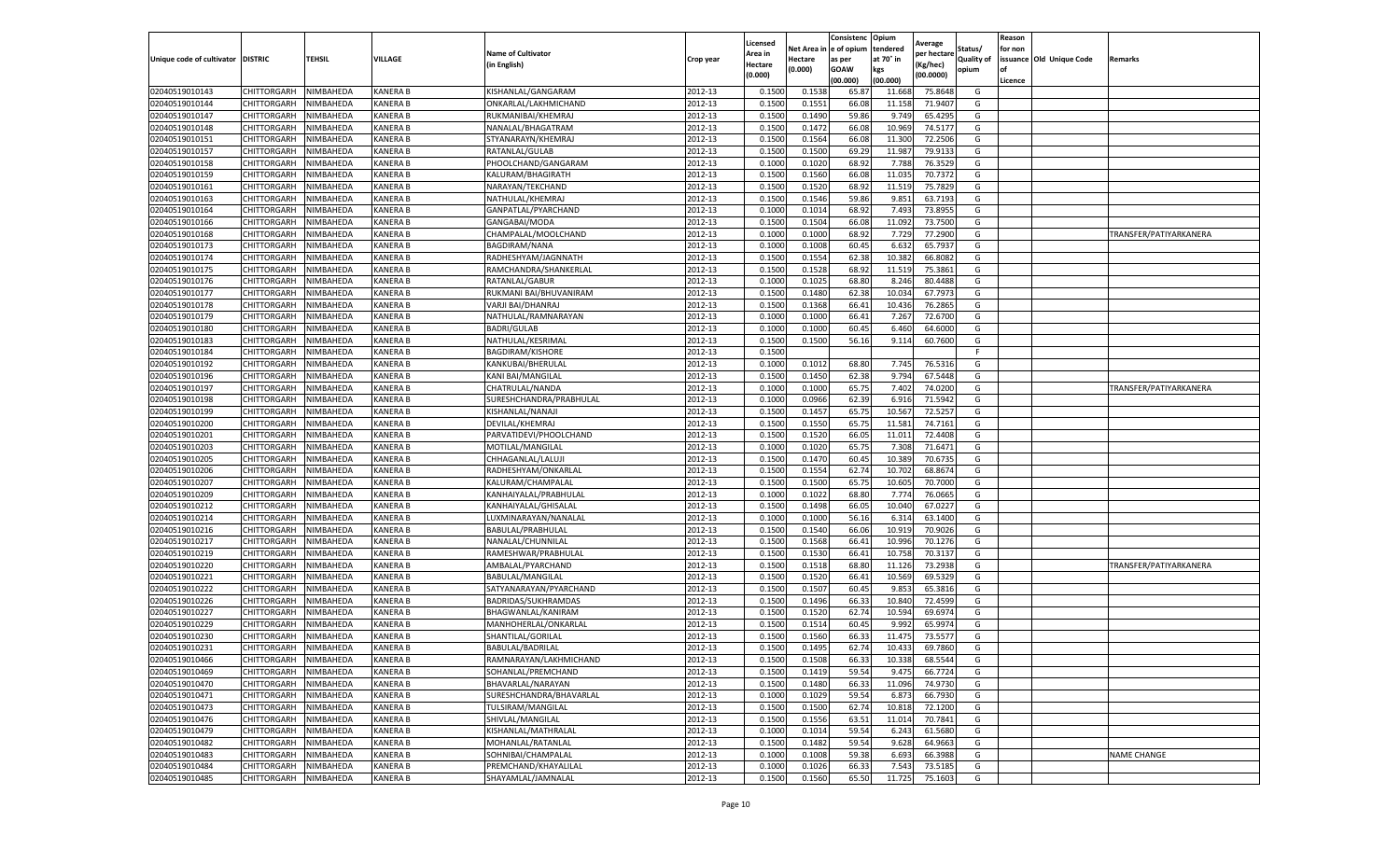|                                   |             |                  |                 |                           |           | Licensed |         | Consistenc              | Opium     | Average     |            | Reason  |                          |                        |
|-----------------------------------|-------------|------------------|-----------------|---------------------------|-----------|----------|---------|-------------------------|-----------|-------------|------------|---------|--------------------------|------------------------|
|                                   |             |                  |                 | <b>Name of Cultivator</b> |           | Area in  |         | Net Area in le of opium | tendered  | per hectare | Status/    | for non |                          |                        |
| Unique code of cultivator DISTRIC |             | <b>TEHSIL</b>    | VILLAGE         | (in English)              | Crop year | Hectare  | Hectare | as per                  | at 70° in | Kg/hec)     | Quality of |         | issuance Old Unique Code | Remarks                |
|                                   |             |                  |                 |                           |           | (0.000)  | (0.000) | GOAW                    | kgs       | (00.0000)   | opium      |         |                          |                        |
|                                   |             |                  |                 |                           |           |          |         | (00.000)                | (00.000)  |             |            | Licence |                          |                        |
| 02040519010143<br>02040519010144  | CHITTORGARH | NIMBAHEDA        | KANERA B        | KISHANLAL/GANGARAM        | 2012-13   | 0.150    | 0.153   | 65.87                   | 11.668    | 75.864      | G          |         |                          |                        |
|                                   | CHITTORGARH | NIMBAHEDA        | KANERA B        | ONKARLAL/LAKHMICHAND      | 2012-13   | 0.1500   | 0.155   | 66.08                   | 11.158    | 71.940      | G          |         |                          |                        |
| 02040519010147                    | CHITTORGARH | NIMBAHEDA        | KANERA B        | RUKMANIBAI/KHEMRAJ        | 2012-13   | 0.1500   | 0.1490  | 59.86                   | 9.749     | 65.429      | G          |         |                          |                        |
| 02040519010148                    | CHITTORGARH | NIMBAHEDA        | KANERA B        | NANALAL/BHAGATRAM         | 2012-13   | 0.1500   | 0.1472  | 66.08                   | 10.969    | 74.5177     | G          |         |                          |                        |
| 02040519010151                    | CHITTORGARH | NIMBAHEDA        | KANERA B        | STYANARAYN/KHEMRAJ        | 2012-13   | 0.1500   | 0.1564  | 66.08                   | 11.300    | 72.250      | G          |         |                          |                        |
| 02040519010157                    | CHITTORGARH | NIMBAHEDA        | KANERA B        | RATANLAL/GULAB            | 2012-13   | 0.1500   | 0.1500  | 69.2                    | 11.987    | 79.913      | G          |         |                          |                        |
| 02040519010158                    | CHITTORGARH | NIMBAHEDA        | KANERA B        | PHOOLCHAND/GANGARAM       | 2012-13   | 0.1000   | 0.1020  | 68.92                   | 7.788     | 76.352      | G          |         |                          |                        |
| 02040519010159                    | CHITTORGARH | NIMBAHEDA        | KANERA B        | KALURAM/BHAGIRATH         | 2012-13   | 0.1500   | 0.156   | 66.08                   | 11.03     | 70.737      | G          |         |                          |                        |
| 02040519010161                    | CHITTORGARH | NIMBAHEDA        | KANERA B        | NARAYAN/TEKCHAND          | 2012-13   | 0.1500   | 0.1520  | 68.92                   | 11.519    | 75.782      | G          |         |                          |                        |
| 02040519010163                    | CHITTORGARH | NIMBAHEDA        | KANERA B        | NATHULAL/KHEMRAJ          | 2012-13   | 0.1500   | 0.1546  | 59.86                   | 9.851     | 63.7193     | G          |         |                          |                        |
| 02040519010164                    | CHITTORGARH | NIMBAHEDA        | KANERA B        | GANPATLAL/PYARCHAND       | 2012-13   | 0.1000   | 0.1014  | 68.92                   | 7.493     | 73.895      | G          |         |                          |                        |
| 02040519010166                    | CHITTORGARH | NIMBAHEDA        | KANERA B        | GANGABAI/MODA             | 2012-13   | 0.1500   | 0.1504  | 66.08                   | 11.092    | 73.750      | G          |         |                          |                        |
| 02040519010168                    | CHITTORGARH | <b>NIMBAHEDA</b> | KANERA B        | CHAMPALAL/MOOLCHAND       | 2012-13   | 0.1000   | 0.100   | 68.92                   | 7.729     | 77.290      | G          |         |                          | TRANSFER/PATIYARKANERA |
| 02040519010173                    | CHITTORGARH | NIMBAHEDA        | KANERA B        | BAGDIRAM/NANA             | 2012-13   | 0.1000   | 0.100   | 60.4                    | 6.63      | 65.793      | G          |         |                          |                        |
| 02040519010174                    | CHITTORGARH | NIMBAHEDA        | KANERA B        | RADHESHYAM/JAGNNATH       | 2012-13   | 0.1500   | 0.1554  | 62.38                   | 10.382    | 66.808      | G          |         |                          |                        |
| 02040519010175                    | CHITTORGARH | NIMBAHEDA        | KANERA B        | RAMCHANDRA/SHANKERLAL     | 2012-13   | 0.1500   | 0.1528  | 68.92                   | 11.519    | 75.386      | G          |         |                          |                        |
| 02040519010176                    | CHITTORGARH | NIMBAHEDA        | KANERA B        | RATANLAL/GABUR            | 2012-13   | 0.1000   | 0.1025  | 68.80                   | 8.246     | 80.448      | G          |         |                          |                        |
| 02040519010177                    | CHITTORGARH | NIMBAHEDA        | KANERA B        | RUKMANI BAI/BHUVANIRAM    | 2012-13   | 0.1500   | 0.1480  | 62.38                   | 10.034    | 67.797      | G          |         |                          |                        |
| 02040519010178                    | CHITTORGARH | NIMBAHEDA        | <b>KANERA B</b> | VARJI BAI/DHANRAJ         | 2012-13   | 0.1500   | 0.1368  | 66.4                    | 10.436    | 76.286      | G          |         |                          |                        |
| 02040519010179                    | CHITTORGARH | <b>NIMBAHEDA</b> | KANERA B        | NATHULAL/RAMNARAYAN       | 2012-13   | 0.1000   | 0.100   | 66.41                   | 7.267     | 72.670      | G          |         |                          |                        |
| 02040519010180                    | CHITTORGARH | NIMBAHEDA        | KANERA B        | BADRI/GULAB               | 2012-13   | 0.1000   | 0.1000  | 60.45                   | 6.460     | 64.600      | G          |         |                          |                        |
| 02040519010183                    | CHITTORGARH | NIMBAHEDA        | KANERA B        | NATHULAL/KESRIMAL         | 2012-13   | 0.1500   | 0.150   | 56.16                   | 9.114     | 60.760      | G          |         |                          |                        |
| 02040519010184                    | CHITTORGARH | NIMBAHEDA        | KANERA B        | BAGDIRAM/KISHORE          | 2012-13   | 0.1500   |         |                         |           |             | F          |         |                          |                        |
| 02040519010192                    | CHITTORGARH | NIMBAHEDA        | KANERA B        | KANKUBAI/BHERULAL         | 2012-13   | 0.1000   | 0.1012  | 68.80                   | 7.745     | 76.531      | G          |         |                          |                        |
| 02040519010196                    | CHITTORGARH | NIMBAHEDA        | KANERA B        | KANI BAI/MANGILAL         | 2012-13   | 0.1500   | 0.145   | 62.38                   | 9.794     | 67.544      | G          |         |                          |                        |
| 02040519010197                    | CHITTORGARH | NIMBAHEDA        | KANERA B        | CHATRULAL/NANDA           | 2012-13   | 0.1000   | 0.1000  | 65.75                   | 7.402     | 74.020      | G          |         |                          | TRANSFER/PATIYARKANERA |
| 02040519010198                    | CHITTORGARH | NIMBAHEDA        | KANERA B        | SURESHCHANDRA/PRABHULAL   | 2012-13   | 0.1000   | 0.0966  | 62.3                    | 6.916     | 71.594      | G          |         |                          |                        |
| 02040519010199                    | CHITTORGARH | NIMBAHEDA        | KANERA B        | KISHANLAL/NANAJI          | 2012-13   | 0.1500   | 0.145   | 65.75                   | 10.567    | 72.525      | G          |         |                          |                        |
| 02040519010200                    | CHITTORGARH | NIMBAHEDA        | KANERA B        | DEVILAL/KHEMRAJ           | 2012-13   | 0.1500   | 0.1550  | 65.7                    | 11.581    | 74.7161     | G          |         |                          |                        |
| 02040519010201                    | CHITTORGARH | NIMBAHEDA        | KANERA B        | PARVATIDEVI/PHOOLCHAND    | 2012-13   | 0.1500   | 0.1520  | 66.0                    | 11.01:    | 72.440      | G          |         |                          |                        |
| 02040519010203                    | CHITTORGARH | NIMBAHEDA        | KANERA B        | MOTILAL/MANGILAL          | 2012-13   | 0.1000   | 0.1020  | 65.7                    | 7.308     | 71.647      | G          |         |                          |                        |
| 02040519010205                    | CHITTORGARH | <b>NIMBAHEDA</b> | KANERA B        | CHHAGANLAL/LALUJ          | 2012-13   | 0.1500   | 0.147   | 60.4                    | 10.389    | 70.673      | G          |         |                          |                        |
| 02040519010206                    | CHITTORGARH | NIMBAHEDA        | KANERA B        | RADHESHYAM/ONKARLAI       | 2012-13   | 0.1500   | 0.1554  | 62.74                   | 10.702    | 68.867      | G          |         |                          |                        |
| 02040519010207                    | CHITTORGARH | NIMBAHEDA        | KANERA B        | KALURAM/CHAMPALAL         | 2012-13   | 0.1500   | 0.1500  | 65.75                   | 10.605    | 70.700      | G          |         |                          |                        |
| 02040519010209                    | CHITTORGARH | NIMBAHEDA        | KANERA B        | KANHAIYALAL/PRABHULAL     | 2012-13   | 0.1000   | 0.1022  | 68.80                   | 7.774     | 76.066      | G          |         |                          |                        |
| 02040519010212                    | CHITTORGARH | NIMBAHEDA        | KANERA B        | KANHAIYALAL/GHISALAL      | 2012-13   | 0.1500   | 0.1498  | 66.0                    | 10.040    | 67.022      | G          |         |                          |                        |
| 02040519010214                    | CHITTORGARH | NIMBAHEDA        | KANERA B        | LUXMINARAYAN/NANALAL      | 2012-13   | 0.1000   | 0.1000  | 56.16                   | 6.314     | 63.140      | G          |         |                          |                        |
| 02040519010216                    | CHITTORGARH | <b>NIMBAHEDA</b> | <b>KANERA B</b> | BABULAL/PRABHULAI         | 2012-13   | 0.1500   | 0.154   | 66.06                   | 10.919    | 70.902      | G          |         |                          |                        |
| 02040519010217                    | CHITTORGARH | NIMBAHEDA        | KANERA B        | NANALAL/CHUNNILAI         | 2012-13   | 0.1500   | 0.156   | 66.4                    | 10.996    | 70.127      | G          |         |                          |                        |
| 02040519010219                    | CHITTORGARH | NIMBAHEDA        | KANERA B        | RAMESHWAR/PRABHULAL       | 2012-13   | 0.1500   | 0.1530  | 66.41                   | 10.758    | 70.313      | G          |         |                          |                        |
| 02040519010220                    | CHITTORGARH | NIMBAHEDA        | KANERA B        | AMBALAL/PYARCHAND         | 2012-13   | 0.1500   | 0.151   | 68.80                   | 11.126    | 73.293      | G          |         |                          | TRANSFER/PATIYARKANERA |
| 02040519010221                    | CHITTORGARH | NIMBAHEDA        | KANERA B        | BABULAL/MANGILAL          | 2012-13   | 0.1500   | 0.1520  | 66.41                   | 10.569    | 69.532      | G          |         |                          |                        |
| 02040519010222                    | CHITTORGARH | NIMBAHEDA        | KANERA B        | SATYANARAYAN/PYARCHAND    | 2012-13   | 0.1500   | 0.1507  | 60.4                    | 9.853     | 65.381      | G          |         |                          |                        |
| 02040519010226                    | CHITTORGARH | NIMBAHEDA        | KANERA B        | BADRIDAS/SUKHRAMDAS       | 2012-13   | 0.1500   | 0.1496  | 66.33                   | 10.840    | 72.459      | G          |         |                          |                        |
| 02040519010227                    | CHITTORGARH | NIMBAHEDA        | KANERA B        | BHAGWANLAL/KANIRAM        | 2012-13   | 0.1500   | 0.1520  | 62.74                   | 10.594    | 69.697      | G          |         |                          |                        |
| 02040519010229                    | CHITTORGARH | NIMBAHEDA        | KANERA B        | MANHOHERLAL/ONKARLAL      | 2012-13   | 0.1500   | 0.151   | 60.4                    | 9.992     | 65.997      | G          |         |                          |                        |
| 02040519010230                    | CHITTORGARH | NIMBAHEDA        | KANERA B        | SHANTILAL/GORILAL         | 2012-13   | 0.150    | 0.1560  | 66.3                    | 11.47     | 73.557      | G          |         |                          |                        |
| 02040519010231                    | CHITTORGARH | <b>NIMBAHEDA</b> | KANERA B        | BABULAL/BADRILAL          | 2012-13   | 0.1500   | 0.1495  | 62.74                   | 10.433    | 69.7860     | G          |         |                          |                        |
| 02040519010466                    | CHITTORGARH | NIMBAHEDA        | KANERA B        | RAMNARAYAN/LAKHMICHAND    | 2012-13   | 0.1500   | 0.1508  | 66.33                   | 10.338    | 68.5544     | G          |         |                          |                        |
| 02040519010469                    | CHITTORGARH | NIMBAHEDA        | KANERA B        | SOHANLAL/PREMCHAND        | 2012-13   | 0.1500   | 0.1419  | 59.54                   | 9.475     | 66.7724     | G          |         |                          |                        |
| 02040519010470                    | CHITTORGARH | NIMBAHEDA        | KANERA B        | BHAVARLAL/NARAYAN         | 2012-13   | 0.1500   | 0.1480  | 66.33                   | 11.096    | 74.9730     | G          |         |                          |                        |
| 02040519010471                    | CHITTORGARH | NIMBAHEDA        | KANERA B        | SURESHCHANDRA/BHAVARLAL   | 2012-13   | 0.1000   | 0.1029  | 59.54                   | 6.873     | 66.7930     | G          |         |                          |                        |
| 02040519010473                    | CHITTORGARH | NIMBAHEDA        | KANERA B        | TULSIRAM/MANGILAL         | 2012-13   | 0.1500   | 0.1500  | 62.74                   | 10.818    | 72.1200     | G          |         |                          |                        |
| 02040519010476                    | CHITTORGARH | NIMBAHEDA        | <b>KANERA B</b> | SHIVLAL/MANGILAL          | 2012-13   | 0.1500   | 0.1556  | 63.51                   | 11.014    | 70.7841     | G          |         |                          |                        |
| 02040519010479                    | CHITTORGARH | NIMBAHEDA        | KANERA B        | KISHANLAL/MATHRALAL       | 2012-13   | 0.1000   | 0.1014  | 59.54                   | 6.243     | 61.5680     | G          |         |                          |                        |
| 02040519010482                    | CHITTORGARH | NIMBAHEDA        | KANERA B        | MOHANLAL/RATANLAL         | 2012-13   | 0.1500   | 0.1482  | 59.54                   | 9.628     | 64.9663     | G          |         |                          |                        |
| 02040519010483                    | CHITTORGARH | NIMBAHEDA        | KANERA B        | SOHNIBAI/CHAMPALAL        | 2012-13   | 0.1000   | 0.1008  | 59.38                   | 6.693     | 66.398      | G          |         |                          | <b>NAME CHANGE</b>     |
| 02040519010484                    | CHITTORGARH | NIMBAHEDA        | KANERA B        | PREMCHAND/KHAYALILAL      | 2012-13   | 0.1000   | 0.1026  | 66.33                   | 7.543     | 73.518      | G          |         |                          |                        |
| 02040519010485                    | CHITTORGARH | NIMBAHEDA        | KANERA B        | SHAYAMLAL/JAMNALAL        | 2012-13   | 0.1500   | 0.1560  | 65.50                   | 11.725    | 75.1603     | G          |         |                          |                        |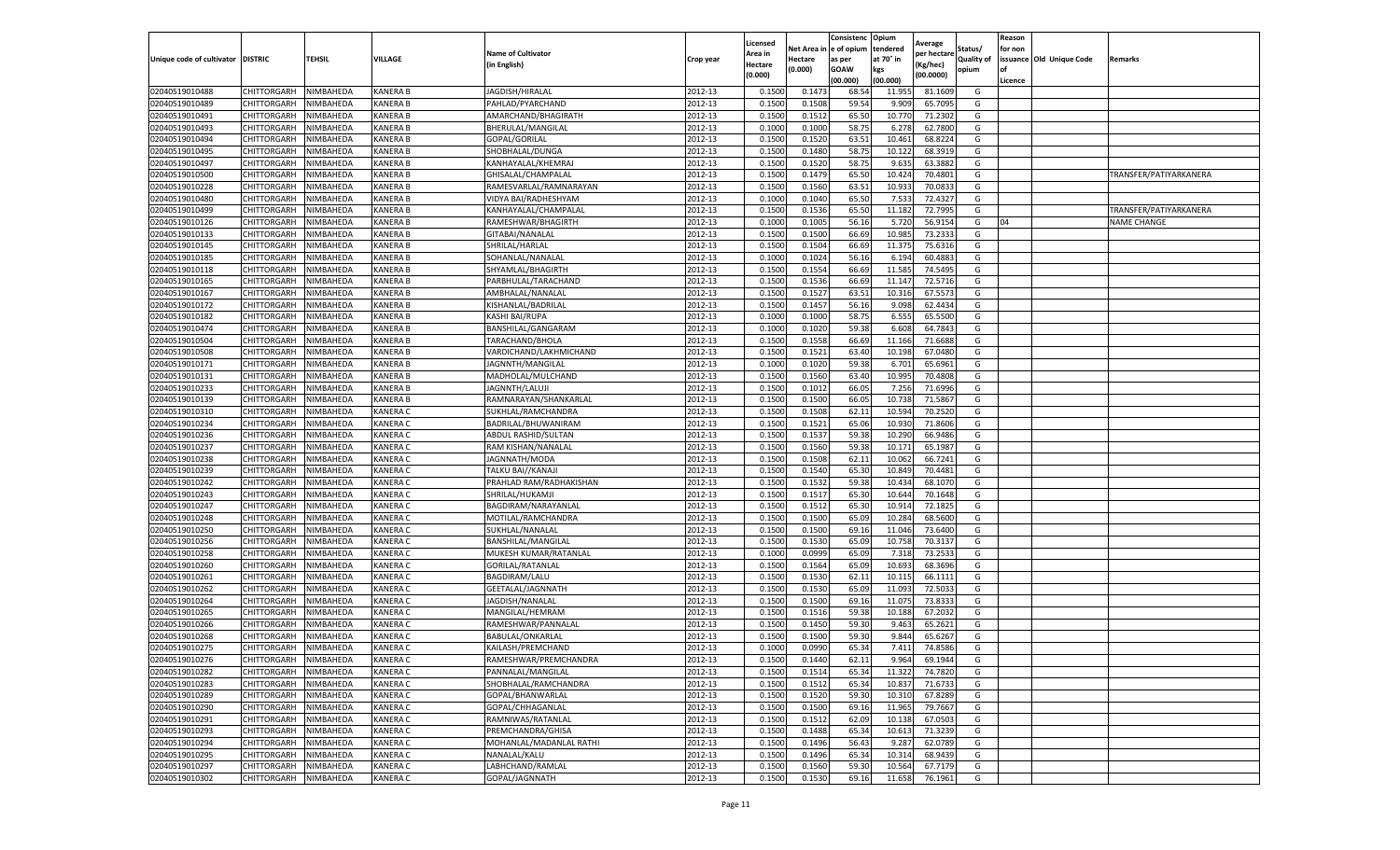|                                   |             |           |                 |                           |           | Licensed |            | Consistenc  | Opium     | Average     |                   | Reason  |                          |                        |
|-----------------------------------|-------------|-----------|-----------------|---------------------------|-----------|----------|------------|-------------|-----------|-------------|-------------------|---------|--------------------------|------------------------|
|                                   |             |           |                 | <b>Name of Cultivator</b> |           | Area in  | Net Area i | e of opium  | tendered  | per hectare | Status/           | for non |                          |                        |
| Unique code of cultivator DISTRIC |             | TEHSIL    | VILLAGE         | (in English)              | Crop year | Hectare  | Hectare    | as per      | at 70° in | (Kg/hec)    | <b>Quality of</b> |         | issuance Old Unique Code | Remarks                |
|                                   |             |           |                 |                           |           | (0.000)  | (0.000)    | <b>GOAW</b> | kgs       | (00.0000)   | opium             |         |                          |                        |
|                                   |             |           |                 |                           |           |          |            | (00.000)    | (00.000)  |             |                   | Licence |                          |                        |
| 02040519010488                    | CHITTORGARH | NIMBAHEDA | <b>KANERA B</b> | JAGDISH/HIRALAI           | 2012-13   | 0.1500   | 0.147      | 68.54       | 11.955    | 81.1609     | G                 |         |                          |                        |
| 02040519010489                    | CHITTORGARH | NIMBAHEDA | <b>KANERA B</b> | PAHLAD/PYARCHAND          | 2012-13   | 0.150    | 0.1508     | 59.54       | 9.909     | 65.7095     | G                 |         |                          |                        |
| 02040519010491                    | CHITTORGARH | NIMBAHEDA | <b>KANERA B</b> | AMARCHAND/BHAGIRATH       | 2012-13   | 0.1500   | 0.1512     | 65.50       | 10.770    | 71.2302     | G                 |         |                          |                        |
| 02040519010493                    | CHITTORGARH | NIMBAHEDA | <b>KANERA B</b> | BHERULAL/MANGILAL         | 2012-13   | 0.1000   | 0.1000     | 58.75       | 6.278     | 62.7800     | G                 |         |                          |                        |
| 02040519010494                    | CHITTORGARH | NIMBAHEDA | <b>KANERA B</b> | GOPAL/GORILAL             | 2012-13   | 0.1500   | 0.1520     | 63.51       | 10.461    | 68.8224     | G                 |         |                          |                        |
| 02040519010495                    | CHITTORGARH | NIMBAHEDA | <b>KANERA B</b> | SHOBHALAL/DUNGA           | 2012-13   | 0.1500   | 0.1480     | 58.75       | 10.12     | 68.3919     | G                 |         |                          |                        |
| 02040519010497                    | CHITTORGARH | NIMBAHEDA | <b>KANERA B</b> | KANHAYALAL/KHEMRAJ        | 2012-13   | 0.1500   | 0.1520     | 58.75       | 9.635     | 63.3882     | G                 |         |                          |                        |
| 02040519010500                    | CHITTORGARH | NIMBAHEDA | <b>KANERA B</b> | GHISALAL/CHAMPALAI        | 2012-13   | 0.1500   | 0.1479     | 65.50       | 10.424    | 70.4801     | G                 |         |                          | TRANSFER/PATIYARKANERA |
| 02040519010228                    | CHITTORGARH | NIMBAHEDA | <b>KANERA B</b> | RAMESVARLAL/RAMNARAYAN    | 2012-13   | 0.1500   | 0.1560     | 63.51       | 10.933    | 70.0833     | G                 |         |                          |                        |
| 02040519010480                    | CHITTORGARH | NIMBAHEDA | KANERA B        | VIDYA BAI/RADHESHYAM      | 2012-13   | 0.1000   | 0.1040     | 65.50       | 7.533     | 72.4327     | G                 |         |                          |                        |
| 02040519010499                    | CHITTORGARH | NIMBAHEDA | <b>KANERA B</b> | KANHAYALAL/CHAMPALAL      | 2012-13   | 0.1500   | 0.1536     | 65.50       | 11.182    | 72.7995     | G                 |         |                          | TRANSFER/PATIYARKANERA |
| 02040519010126                    | CHITTORGARH | NIMBAHEDA | <b>KANERA B</b> | RAMESHWAR/BHAGIRTH        | 2012-13   | 0.1000   | 0.1005     | 56.16       | 5.720     | 56.9154     | G                 | 04      |                          | <b>NAME CHANGE</b>     |
| 02040519010133                    | CHITTORGARH | NIMBAHEDA | <b>KANERA B</b> | GITABAI/NANALAL           | 2012-13   | 0.1500   | 0.1500     | 66.69       | 10.985    | 73.2333     | G                 |         |                          |                        |
| 02040519010145                    | CHITTORGARH | NIMBAHEDA | <b>KANERA B</b> | SHRILAL/HARLAL            | 2012-13   | 0.1500   | 0.1504     | 66.69       | 11.375    | 75.6316     | G                 |         |                          |                        |
| 02040519010185                    | CHITTORGARH | NIMBAHEDA | <b>KANERA B</b> | SOHANLAL/NANALAL          | 2012-13   | 0.1000   | 0.1024     | 56.16       | 6.194     | 60.4883     | G                 |         |                          |                        |
| 02040519010118                    | CHITTORGARH | NIMBAHEDA | <b>KANERA B</b> | SHYAMLAL/BHAGIRTH         | 2012-13   | 0.1500   | 0.1554     | 66.69       | 11.585    | 74.5495     | G                 |         |                          |                        |
| 02040519010165                    | CHITTORGARH | NIMBAHEDA | KANERA B        | PARBHULAL/TARACHAND       | 2012-13   | 0.1500   | 0.1536     | 66.69       | 11.147    | 72.5716     | G                 |         |                          |                        |
| 02040519010167                    | CHITTORGARH | NIMBAHEDA | KANERA B        | AMBHALAL/NANALAL          | 2012-13   | 0.1500   | 0.1527     | 63.51       | 10.316    | 67.5573     | G                 |         |                          |                        |
| 02040519010172                    | CHITTORGARH | NIMBAHEDA | <b>KANERA B</b> | KISHANLAL/BADRILAL        | 2012-13   | 0.1500   | 0.1457     | 56.16       | 9.098     | 62.4434     | G                 |         |                          |                        |
| 02040519010182                    | CHITTORGARH | NIMBAHEDA | <b>KANERA B</b> | KASHI BAI/RUPA            | 2012-13   | 0.1000   | 0.1000     | 58.75       | 6.555     | 65.5500     | G                 |         |                          |                        |
| 02040519010474                    | CHITTORGARH | NIMBAHEDA | KANERA B        | BANSHILAL/GANGARAM        | 2012-13   | 0.1000   | 0.1020     | 59.38       | 6.608     | 64.7843     | G                 |         |                          |                        |
| 02040519010504                    | CHITTORGARH | NIMBAHEDA | <b>KANERA B</b> | TARACHAND/BHOLA           | 2012-13   | 0.1500   | 0.1558     | 66.69       | 11.166    | 71.6688     | G                 |         |                          |                        |
| 02040519010508                    | CHITTORGARH | NIMBAHEDA | <b>KANERA B</b> | VARDICHAND/LAKHMICHAND    | 2012-13   | 0.1500   | 0.1521     | 63.40       | 10.198    | 67.0480     | G                 |         |                          |                        |
| 02040519010171                    | CHITTORGARH | NIMBAHEDA | KANERA B        | JAGNNTH/MANGILAL          | 2012-13   | 0.1000   | 0.1020     | 59.38       | 6.701     | 65.6961     | G                 |         |                          |                        |
| 02040519010131                    | CHITTORGARH | NIMBAHEDA | <b>KANERA B</b> | MADHOLAL/MULCHAND         | 2012-13   | 0.1500   | 0.1560     | 63.40       | 10.995    | 70.4808     | G                 |         |                          |                        |
| 02040519010233                    | CHITTORGARH | NIMBAHEDA | <b>KANERA B</b> | <b>JAGNNTH/LALUJI</b>     | 2012-13   | 0.1500   | 0.1012     | 66.05       | 7.256     | 71.6996     | G                 |         |                          |                        |
| 02040519010139                    | CHITTORGARH | NIMBAHEDA | KANERA B        | RAMNARAYAN/SHANKARLAL     | 2012-13   | 0.1500   | 0.1500     | 66.0        | 10.73     | 71.5867     | G                 |         |                          |                        |
| 02040519010310                    | CHITTORGARH | NIMBAHEDA | <b>KANERA C</b> | SUKHLAL/RAMCHANDRA        | 2012-13   | 0.1500   | 0.1508     | 62.11       | 10.594    | 70.2520     | G                 |         |                          |                        |
| 02040519010234                    | CHITTORGARH | NIMBAHEDA | KANERA C        | BADRILAL/BHUWANIRAM       | 2012-13   | 0.1500   | 0.1521     | 65.06       | 10.930    | 71.8606     | G                 |         |                          |                        |
| 02040519010236                    | CHITTORGARH | NIMBAHEDA | KANERA C        | ABDUL RASHID/SULTAN       | 2012-13   | 0.1500   | 0.1537     | 59.38       | 10.290    | 66.9486     | G                 |         |                          |                        |
| 02040519010237                    | CHITTORGARH | NIMBAHEDA | <b>KANERA C</b> | RAM KISHAN/NANALAL        | 2012-13   | 0.1500   | 0.1560     | 59.38       | 10.17     | 65.1987     | G                 |         |                          |                        |
| 02040519010238                    | CHITTORGARH | NIMBAHEDA | <b>KANERA C</b> | JAGNNATH/MODA             | 2012-13   | 0.1500   | 0.1508     | 62.11       | 10.062    | 66.7241     | G                 |         |                          |                        |
| 02040519010239                    | CHITTORGARH | NIMBAHEDA | KANERA C        | TALKU BAI//KANAJI         | 2012-13   | 0.1500   | 0.1540     | 65.30       | 10.849    | 70.4481     | G                 |         |                          |                        |
| 02040519010242                    | CHITTORGARH | NIMBAHEDA | KANERA C        | PRAHLAD RAM/RADHAKISHAN   | 2012-13   | 0.1500   | 0.1532     | 59.38       | 10.434    | 68.1070     | G                 |         |                          |                        |
| 02040519010243                    | CHITTORGARH | NIMBAHEDA | KANERA C        | SHRILAL/HUKAMJI           | 2012-13   | 0.1500   | 0.1517     | 65.30       | 10.644    | 70.1648     | G                 |         |                          |                        |
| 02040519010247                    | CHITTORGARH | NIMBAHEDA | KANERA C        | BAGDIRAM/NARAYANLAL       | 2012-13   | 0.1500   | 0.1512     | 65.30       | 10.914    | 72.1825     | G                 |         |                          |                        |
| 02040519010248                    | CHITTORGARH | NIMBAHEDA | <b>KANERA C</b> | MOTILAL/RAMCHANDRA        | 2012-13   | 0.1500   | 0.1500     | 65.09       | 10.284    | 68.5600     | G                 |         |                          |                        |
| 02040519010250                    | CHITTORGARH | NIMBAHEDA | <b>KANERA C</b> | SUKHLAL/NANALAL           | 2012-13   | 0.1500   | 0.1500     | 69.16       | 11.046    | 73.6400     | G                 |         |                          |                        |
| 02040519010256                    | CHITTORGARH | NIMBAHEDA | KANERA C        | BANSHILAL/MANGILAI        | 2012-13   | 0.1500   | 0.1530     | 65.09       | 10.75     | 70.3137     | G                 |         |                          |                        |
| 02040519010258                    | CHITTORGARH | NIMBAHEDA | <b>KANERA C</b> | MUKESH KUMAR/RATANLAL     | 2012-13   | 0.100    | 0.0999     | 65.09       | 7.318     | 73.2533     | G                 |         |                          |                        |
| 02040519010260                    | CHITTORGARH | NIMBAHEDA | <b>KANERA C</b> | GORILAL/RATANLAL          | 2012-13   | 0.1500   | 0.1564     | 65.09       | 10.693    | 68.3696     | G                 |         |                          |                        |
| 02040519010261                    | CHITTORGARH | NIMBAHEDA | <b>KANERA C</b> | BAGDIRAM/LALU             | 2012-13   | 0.1500   | 0.1530     | 62.11       | 10.115    | 66.1111     | G                 |         |                          |                        |
| 02040519010262                    | CHITTORGARH | NIMBAHEDA | <b>KANERA C</b> | GEETALAL/JAGNNATH         | 2012-13   | 0.1500   | 0.1530     | 65.09       | 11.093    | 72.5033     | G                 |         |                          |                        |
| 02040519010264                    | CHITTORGARH | NIMBAHEDA | <b>KANERA C</b> | JAGDISH/NANALAI           | 2012-13   | 0.1500   | 0.1500     | 69.16       | 11.075    | 73.8333     | G                 |         |                          |                        |
| 02040519010265                    | CHITTORGARH | NIMBAHEDA | <b>KANERA C</b> | MANGILAL/HEMRAM           | 2012-13   | 0.1500   | 0.1516     | 59.38       | 10.188    | 67.2032     | G                 |         |                          |                        |
| 02040519010266                    | CHITTORGARH | NIMBAHEDA | <b>KANERA C</b> | RAMESHWAR/PANNALAI        | 2012-13   | 0.150    | 0.1450     | 59.30       | 9.463     | 65.2621     | G                 |         |                          |                        |
| 02040519010268                    | CHITTORGARH | NIMBAHEDA | <b>KANERA C</b> | BABULAL/ONKARLAL          | 2012-13   | 0.1500   | 0.1500     | 59.30       | 9.844     | 65.6267     | G                 |         |                          |                        |
| 02040519010275                    | CHITTORGARH | NIMBAHEDA | <b>KANERA C</b> | KAILASH/PREMCHAND         | 2012-13   | 0.1000   | 0.0990     | 65.34       | 7.411     | 74.8586     | G                 |         |                          |                        |
| 02040519010276                    | CHITTORGARH | NIMBAHEDA | KANERA C        | RAMESHWAR/PREMCHANDRA     | 2012-13   | 0.1500   | 0.1440     | 62.11       | 9.964     | 69.1944     | G                 |         |                          |                        |
| 02040519010282                    | CHITTORGARH | NIMBAHEDA | <b>KANERA C</b> | PANNALAL/MANGILAL         | 2012-13   | 0.1500   | 0.1514     | 65.34       | 11.322    | 74.7820     | G                 |         |                          |                        |
| 02040519010283                    | CHITTORGARH | NIMBAHEDA | <b>KANERA C</b> | SHOBHALAL/RAMCHANDRA      | 2012-13   | 0.1500   | 0.1512     | 65.34       | 10.837    | 71.6733     | G                 |         |                          |                        |
| 02040519010289                    | CHITTORGARH | NIMBAHEDA | KANERA C        | GOPAL/BHANWARLAL          | 2012-13   | 0.1500   | 0.1520     | 59.30       | 10.310    | 67.8289     | G                 |         |                          |                        |
| 02040519010290                    | CHITTORGARH | NIMBAHEDA | KANERA C        | GOPAL/CHHAGANLAL          | 2012-13   | 0.1500   | 0.1500     | 69.16       | 11.965    | 79.7667     | G                 |         |                          |                        |
| 02040519010291                    | CHITTORGARH | NIMBAHEDA | KANERA C        | RAMNIWAS/RATANLAL         | 2012-13   | 0.1500   | 0.1512     | 62.09       | 10.138    | 67.0503     | G                 |         |                          |                        |
| 02040519010293                    | CHITTORGARH | NIMBAHEDA | <b>KANERA C</b> | PREMCHANDRA/GHISA         | 2012-13   | 0.1500   | 0.1488     | 65.34       | 10.613    | 71.3239     | G                 |         |                          |                        |
| 02040519010294                    | CHITTORGARH | NIMBAHEDA | <b>KANERA C</b> | MOHANLAL/MADANLAL RATHI   | 2012-13   | 0.1500   | 0.1496     | 56.43       | 9.287     | 62.0789     | G                 |         |                          |                        |
| 02040519010295                    | CHITTORGARH | NIMBAHEDA | KANERA C        | NANALAL/KALU              | 2012-13   | 0.1500   | 0.1496     | 65.34       | 10.314    | 68.9439     | G                 |         |                          |                        |
| 02040519010297                    | CHITTORGARH | NIMBAHEDA | KANERA C        | LABHCHAND/RAMLAI          | 2012-13   | 0.1500   | 0.1560     | 59.30       | 10.564    | 67.7179     | G                 |         |                          |                        |
| 02040519010302                    | CHITTORGARH | NIMBAHEDA | <b>KANERA C</b> | GOPAL/JAGNNATH            | 2012-13   | 0.1500   | 0.1530     | 69.16       | 11.658    | 76.1961     | G                 |         |                          |                        |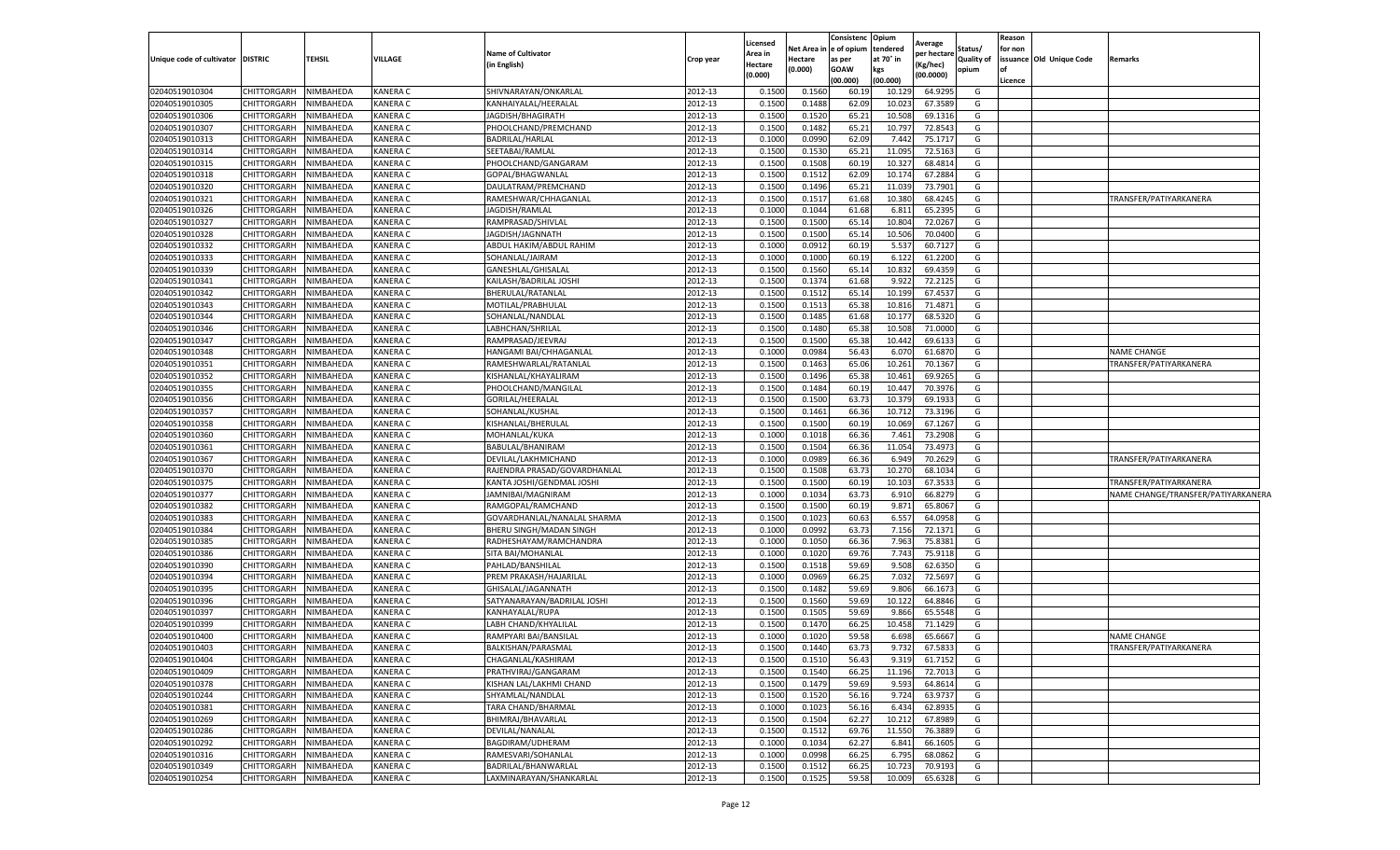|                           |                    |                  |                 |                              |           | Licensed |         | Consistenc             | Opium           | Average    |            | Reason  |                          |                                    |
|---------------------------|--------------------|------------------|-----------------|------------------------------|-----------|----------|---------|------------------------|-----------------|------------|------------|---------|--------------------------|------------------------------------|
|                           |                    |                  |                 | <b>Name of Cultivator</b>    |           | Area in  |         | Net Area in e of opium | tendered        | per hectar | Status/    | for non |                          |                                    |
| Unique code of cultivator | <b>DISTRIC</b>     | <b>TEHSIL</b>    | <b>VILLAGE</b>  | (in English)                 | Crop year | Hectare  | Hectare | as per                 | at 70° in       | Kg/hec)    | Quality of |         | issuance Old Unique Code | Remarks                            |
|                           |                    |                  |                 |                              |           | (0.000)  | (0.000) | <b>GOAW</b><br>00.000) | kgs<br>(00.000) | (00.0000)  | opium      | Licence |                          |                                    |
| 02040519010304            | CHITTORGARH        | NIMBAHEDA        | <b>KANERA C</b> | SHIVNARAYAN/ONKARLAL         | 2012-13   | 0.150    | 0.1560  | 60.1                   | 10.129          | 64.929     | G          |         |                          |                                    |
| 02040519010305            | <b>CHITTORGARH</b> | NIMBAHEDA        | KANERA C        | KANHAIYALAL/HEERALAL         | 2012-13   | 0.1500   | 0.1488  | 62.0                   | 10.02           | 67.3589    | G          |         |                          |                                    |
| 02040519010306            | CHITTORGARH        | NIMBAHEDA        | <b>KANERA C</b> | JAGDISH/BHAGIRATH            | 2012-13   | 0.1500   | 0.1520  | 65.2                   | 10.508          | 69.1316    | G          |         |                          |                                    |
| 02040519010307            | <b>CHITTORGARH</b> | NIMBAHEDA        | <b>KANERA C</b> | PHOOLCHAND/PREMCHAND         | 2012-13   | 0.1500   | 0.1482  | 65.2                   | 10.797          | 72.8543    | G          |         |                          |                                    |
| 02040519010313            | CHITTORGARH        | NIMBAHEDA        | <b>KANERA C</b> | BADRILAL/HARLAL              | 2012-13   | 0.1000   | 0.0990  | 62.09                  | 7.442           | 75.1717    | G          |         |                          |                                    |
| 02040519010314            | CHITTORGARH        | NIMBAHEDA        | <b>KANERA C</b> | SEETABAI/RAMLAL              | 2012-13   | 0.1500   | 0.1530  | 65.2                   | 11.095          | 72.5163    | G          |         |                          |                                    |
| 02040519010315            | <b>CHITTORGARH</b> | NIMBAHEDA        | KANERA C        | PHOOLCHAND/GANGARAM          | 2012-13   | 0.1500   | 0.1508  | 60.1                   | 10.327          | 68.4814    | G          |         |                          |                                    |
| 02040519010318            | CHITTORGARH        | NIMBAHEDA        | <b>KANERA C</b> | GOPAL/BHAGWANLAL             | 2012-13   | 0.1500   | 0.1512  | 62.09                  | 10.174          | 67.2884    | G          |         |                          |                                    |
| 02040519010320            | CHITTORGARH        | NIMBAHEDA        | <b>KANERA C</b> | DAULATRAM/PREMCHAND          | 2012-13   | 0.1500   | 0.1496  | 65.2                   | 11.039          | 73.7901    | G          |         |                          |                                    |
| 02040519010321            | <b>CHITTORGARH</b> | NIMBAHEDA        | <b>KANERA C</b> | RAMESHWAR/CHHAGANLAL         | 2012-13   | 0.150    | 0.151   | 61.68                  | 10.380          | 68.4245    | G          |         |                          | TRANSFER/PATIYARKANERA             |
| 02040519010326            | CHITTORGARH        | <b>NIMBAHEDA</b> | <b>KANERA C</b> | JAGDISH/RAMLAL               | 2012-13   | 0.1000   | 0.1044  | 61.68                  | 6.811           | 65.2395    | G          |         |                          |                                    |
| 02040519010327            | CHITTORGARH        | NIMBAHEDA        | KANERA C        | RAMPRASAD/SHIVLAL            | 2012-13   | 0.1500   | 0.1500  | 65.1                   | 10.804          | 72.0267    | G          |         |                          |                                    |
| 02040519010328            | <b>CHITTORGARH</b> | NIMBAHEDA        | <b>KANERA C</b> | JAGDISH/JAGNNATH             | 2012-13   | 0.1500   | 0.1500  | 65.1                   | 10.506          | 70.0400    | G          |         |                          |                                    |
| 02040519010332            | CHITTORGARH        | NIMBAHEDA        | <b>KANERA C</b> | ABDUL HAKIM/ABDUL RAHIM      | 2012-13   | 0.1000   | 0.0912  | 60.1                   | 5.537           | 60.7127    | G          |         |                          |                                    |
| 02040519010333            | <b>CHITTORGARH</b> | NIMBAHEDA        | KANERA C        | SOHANLAL/JAIRAM              | 2012-13   | 0.100    | 0.1000  | 60.1                   | 6.122           | 61.2200    | G          |         |                          |                                    |
| 02040519010339            | <b>CHITTORGARH</b> | NIMBAHEDA        | <b>KANERA C</b> | GANESHLAL/GHISALAL           | 2012-13   | 0.1500   | 0.1560  | 65.1                   | 10.832          | 69.4359    | G          |         |                          |                                    |
| 02040519010341            | CHITTORGARH        | NIMBAHEDA        | <b>KANERA C</b> | KAILASH/BADRILAL JOSHI       | 2012-13   | 0.1500   | 0.1374  | 61.68                  | 9.922           | 72.2125    | G          |         |                          |                                    |
| 02040519010342            | CHITTORGARH        | NIMBAHEDA        | <b>KANERA C</b> | BHERULAL/RATANLAL            | 2012-13   | 0.1500   | 0.1512  | 65.1                   | 10.199          | 67.4537    | G          |         |                          |                                    |
| 02040519010343            | CHITTORGARH        | NIMBAHEDA        | <b>KANERA C</b> | MOTILAL/PRABHULAL            | 2012-13   | 0.1500   | 0.1513  | 65.3                   | 10.816          | 71.4871    | G          |         |                          |                                    |
| 02040519010344            | CHITTORGARH        | NIMBAHEDA        | KANERA C        | SOHANLAL/NANDLAL             | 2012-13   | 0.1500   | 0.1485  | 61.6                   | 10.177          | 68.5320    | G          |         |                          |                                    |
| 02040519010346            | <b>CHITTORGARH</b> | NIMBAHEDA        | <b>KANERA C</b> | LABHCHAN/SHRILAL             | 2012-13   | 0.1500   | 0.1480  | 65.3                   | 10.508          | 71.0000    | G          |         |                          |                                    |
| 02040519010347            | <b>CHITTORGARH</b> | NIMBAHEDA        | <b>KANERA C</b> | RAMPRASAD/JEEVRAJ            | 2012-13   | 0.1500   | 0.1500  | 65.3                   | 10.442          | 69.6133    | G          |         |                          |                                    |
| 02040519010348            | <b>CHITTORGARH</b> | NIMBAHEDA        | <b>KANERA C</b> | HANGAMI BAI/CHHAGANLAL       | 2012-13   | 0.1000   | 0.0984  | 56.4                   | 6.070           | 61.6870    | G          |         |                          | <b>NAME CHANGE</b>                 |
| 02040519010351            | CHITTORGARH        | NIMBAHEDA        | <b>KANERA C</b> | RAMESHWARLAL/RATANLAL        | 2012-13   | 0.150    | 0.1463  | 65.06                  | 10.261          | 70.1367    | G          |         |                          | TRANSFER/PATIYARKANERA             |
| 02040519010352            | CHITTORGARH        | NIMBAHEDA        | <b>KANERA C</b> | KISHANLAL/KHAYALIRAM         | 2012-13   | 0.1500   | 0.1496  | 65.3                   | 10.461          | 69.9265    | G          |         |                          |                                    |
| 02040519010355            | CHITTORGARH        | NIMBAHEDA        | KANERA C        | PHOOLCHAND/MANGILAL          | 2012-13   | 0.1500   | 0.1484  | 60.1                   | 10.447          | 70.3976    | G          |         |                          |                                    |
| 02040519010356            | CHITTORGARH        | <b>NIMBAHEDA</b> | KANERA C        | GORILAL/HEERALAL             | 2012-13   | 0.1500   | 0.150   | 63.7                   | 10.379          | 69.1933    | G          |         |                          |                                    |
| 02040519010357            | CHITTORGARH        | NIMBAHEDA        | <b>KANERA C</b> | SOHANLAL/KUSHAL              | 2012-13   | 0.1500   | 0.1461  | 66.3                   | 10.712          | 73.3196    | G          |         |                          |                                    |
| 02040519010358            | CHITTORGARH        | NIMBAHEDA        | <b>KANERA C</b> | KISHANLAL/BHERULAL           | 2012-13   | 0.150    | 0.150   | 60.1                   | 10.069          | 67.1267    | G          |         |                          |                                    |
| 02040519010360            | CHITTORGARH        | NIMBAHEDA        | <b>KANERA C</b> | MOHANLAL/KUKA                | 2012-13   | 0.1000   | 0.1018  | 66.36                  | 7.461           | 73.2908    | G          |         |                          |                                    |
| 02040519010361            | CHITTORGARH        | NIMBAHEDA        | <b>KANERA C</b> | BABULAL/BHANIRAM             | 2012-13   | 0.1500   | 0.1504  | 66.36                  | 11.054          | 73.4973    | G          |         |                          |                                    |
| 02040519010367            | CHITTORGARH        | NIMBAHEDA        | <b>KANERA C</b> | DEVILAL/LAKHMICHAND          | 2012-13   | 0.1000   | 0.0989  | 66.3                   | 6.949           | 70.2629    | G          |         |                          | TRANSFER/PATIYARKANERA             |
| 02040519010370            | CHITTORGARH        | NIMBAHEDA        | <b>KANERA C</b> | RAJENDRA PRASAD/GOVARDHANLAL | 2012-13   | 0.1500   | 0.1508  | 63.7                   | 10.270          | 68.1034    | G          |         |                          |                                    |
| 02040519010375            | <b>CHITTORGARH</b> | NIMBAHEDA        | <b>KANERA C</b> | KANTA JOSHI/GENDMAL JOSHI    | 2012-13   | 0.150    | 0.1500  | 60.1                   | 10.103          | 67.3533    | G          |         |                          | TRANSFER/PATIYARKANERA             |
| 02040519010377            | <b>CHITTORGARH</b> | NIMBAHEDA        | <b>KANERA C</b> | JAMNIBAI/MAGNIRAM            | 2012-13   | 0.1000   | 0.1034  | 63.73                  | 6.910           | 66.8279    | G          |         |                          | NAME CHANGE/TRANSFER/PATIYARKANERA |
| 02040519010382            | CHITTORGARH        | NIMBAHEDA        | <b>KANERA C</b> | RAMGOPAL/RAMCHAND            | 2012-13   | 0.1500   | 0.1500  | 60.19                  | 9.871           | 65.8067    | G          |         |                          |                                    |
| 02040519010383            | CHITTORGARH        | NIMBAHEDA        | <b>KANERA C</b> | GOVARDHANLAL/NANALAL SHARMA  | 2012-13   | 0.1500   | 0.1023  | 60.63                  | 6.557           | 64.0958    | G          |         |                          |                                    |
| 02040519010384            | <b>CHITTORGARH</b> | NIMBAHEDA        | <b>KANERA C</b> | BHERU SINGH/MADAN SINGH      | 2012-13   | 0.1000   | 0.0992  | 63.73                  | 7.156           | 72.1371    | G          |         |                          |                                    |
| 02040519010385            | CHITTORGARH        | NIMBAHEDA        | <b>KANERA C</b> | RADHESHAYAM/RAMCHANDRA       | 2012-13   | 0.1000   | 0.1050  | 66.36                  | 7.963           | 75.8381    | G          |         |                          |                                    |
| 02040519010386            | <b>CHITTORGARH</b> | NIMBAHEDA        | <b>KANERA C</b> | SITA BAI/MOHANLAL            | 2012-13   | 0.1000   | 0.1020  | 69.7                   | 7.743           | 75.9118    | G          |         |                          |                                    |
| 02040519010390            | <b>CHITTORGARH</b> | NIMBAHEDA        | <b>KANERA C</b> | PAHLAD/BANSHILAL             | 2012-13   | 0.1500   | 0.1518  | 59.69                  | 9.508           | 62.6350    | G          |         |                          |                                    |
| 02040519010394            | CHITTORGARH        | NIMBAHEDA        | <b>KANERA C</b> | PREM PRAKASH/HAJARILAL       | 2012-13   | 0.1000   | 0.0969  | 66.25                  | 7.032           | 72.5697    | G          |         |                          |                                    |
| 02040519010395            | CHITTORGARH        | NIMBAHEDA        | KANERA C        | GHISALAL/JAGANNATH           | 2012-13   | 0.1500   | 0.1482  | 59.69                  | 9.806           | 66.1673    | G          |         |                          |                                    |
| 02040519010396            | CHITTORGARH        | NIMBAHEDA        | <b>KANERA C</b> | SATYANARAYAN/BADRILAL JOSHI  | 2012-13   | 0.1500   | 0.1560  | 59.69                  | 10.122          | 64.8846    | G          |         |                          |                                    |
| 02040519010397            | <b>CHITTORGARH</b> | NIMBAHEDA        | KANERA C        | KANHAYALAL/RUPA              | 2012-13   | 0.1500   | 0.150   | 59.6                   | 9.866           | 65.5548    | G          |         |                          |                                    |
| 02040519010399            | CHITTORGARH        | NIMBAHEDA        | <b>KANERA C</b> | LABH CHAND/KHYALILAI         | 2012-13   | 0.150    | 0.1470  | 66.2                   | 10.458          | 71.1429    | G          |         |                          |                                    |
| 02040519010400            | CHITTORGARH        | NIMBAHEDA        | <b>KANERA C</b> | RAMPYARI BAI/BANSILAL        | 2012-13   | 0.1000   | 0.1020  | 59.58                  | 6.698           | 65.6667    | G          |         |                          | <b>NAME CHANGE</b>                 |
| 02040519010403            | CHITTORGARH        | NIMBAHEDA        | <b>KANERA C</b> | BALKISHAN/PARASMAL           | 2012-13   | 0.1500   | 0.1440  | 63.73                  | 9.732           | 67.5833    | G          |         |                          | TRANSFER/PATIYARKANERA             |
| 02040519010404            | CHITTORGARH        | <b>NIMBAHEDA</b> | <b>KANERA C</b> | CHAGANLAL/KASHIRAM           | 2012-13   | 0.1500   | 0.1510  | 56.43                  | 9.319           | 61.7152    | G          |         |                          |                                    |
| 02040519010409            | CHITTORGARH        | NIMBAHEDA        | <b>KANERA C</b> | PRATHVIRAJ/GANGARAM          | 2012-13   | 0.1500   | 0.1540  | 66.25                  | 11.196          | 72.7013    | G          |         |                          |                                    |
| 02040519010378            | CHITTORGARH        | NIMBAHEDA        | <b>KANERA C</b> | KISHAN LAL/LAKHMI CHAND      | 2012-13   | 0.1500   | 0.1479  | 59.69                  | 9.593           | 64.8614    | G          |         |                          |                                    |
| 02040519010244            | CHITTORGARH        | NIMBAHEDA        | <b>KANERA C</b> | SHYAMLAL/NANDLAL             | 2012-13   | 0.1500   | 0.1520  | 56.16                  | 9.724           | 63.9737    | G          |         |                          |                                    |
| 02040519010381            | CHITTORGARH        | NIMBAHEDA        | <b>KANERA C</b> | TARA CHAND/BHARMAL           | 2012-13   | 0.1000   | 0.1023  | 56.16                  | 6.434           | 62.8935    | G          |         |                          |                                    |
| 02040519010269            | CHITTORGARH        | NIMBAHEDA        | <b>KANERA C</b> | BHIMRAJ/BHAVARLAL            | 2012-13   | 0.1500   | 0.1504  | 62.27                  | 10.212          | 67.8989    | G          |         |                          |                                    |
| 02040519010286            | CHITTORGARH        | NIMBAHEDA        | <b>KANERA C</b> | DEVILAL/NANALAL              | 2012-13   | 0.1500   | 0.1512  | 69.76                  | 11.550          | 76.3889    | G          |         |                          |                                    |
| 02040519010292            | CHITTORGARH        | NIMBAHEDA        | <b>KANERA C</b> | BAGDIRAM/UDHERAM             | 2012-13   | 0.1000   | 0.1034  | 62.27                  | 6.841           | 66.1605    | G          |         |                          |                                    |
| 02040519010316            | <b>CHITTORGARH</b> | NIMBAHEDA        | <b>KANERA C</b> | RAMESVARI/SOHANLAL           | 2012-13   | 0.1000   | 0.0998  | 66.2                   | 6.795           | 68.0862    | G          |         |                          |                                    |
| 02040519010349            | CHITTORGARH        | NIMBAHEDA        | <b>KANERA C</b> | BADRILAL/BHANWARLAL          | 2012-13   | 0.1500   | 0.1512  | 66.2                   | 10.723          | 70.9193    | G          |         |                          |                                    |
| 02040519010254            | CHITTORGARH        | NIMBAHEDA        | <b>KANERA C</b> | LAXMINARAYAN/SHANKARLAL      | 2012-13   | 0.1500   | 0.1525  | 59.58                  | 10.009          | 65.6328    | G          |         |                          |                                    |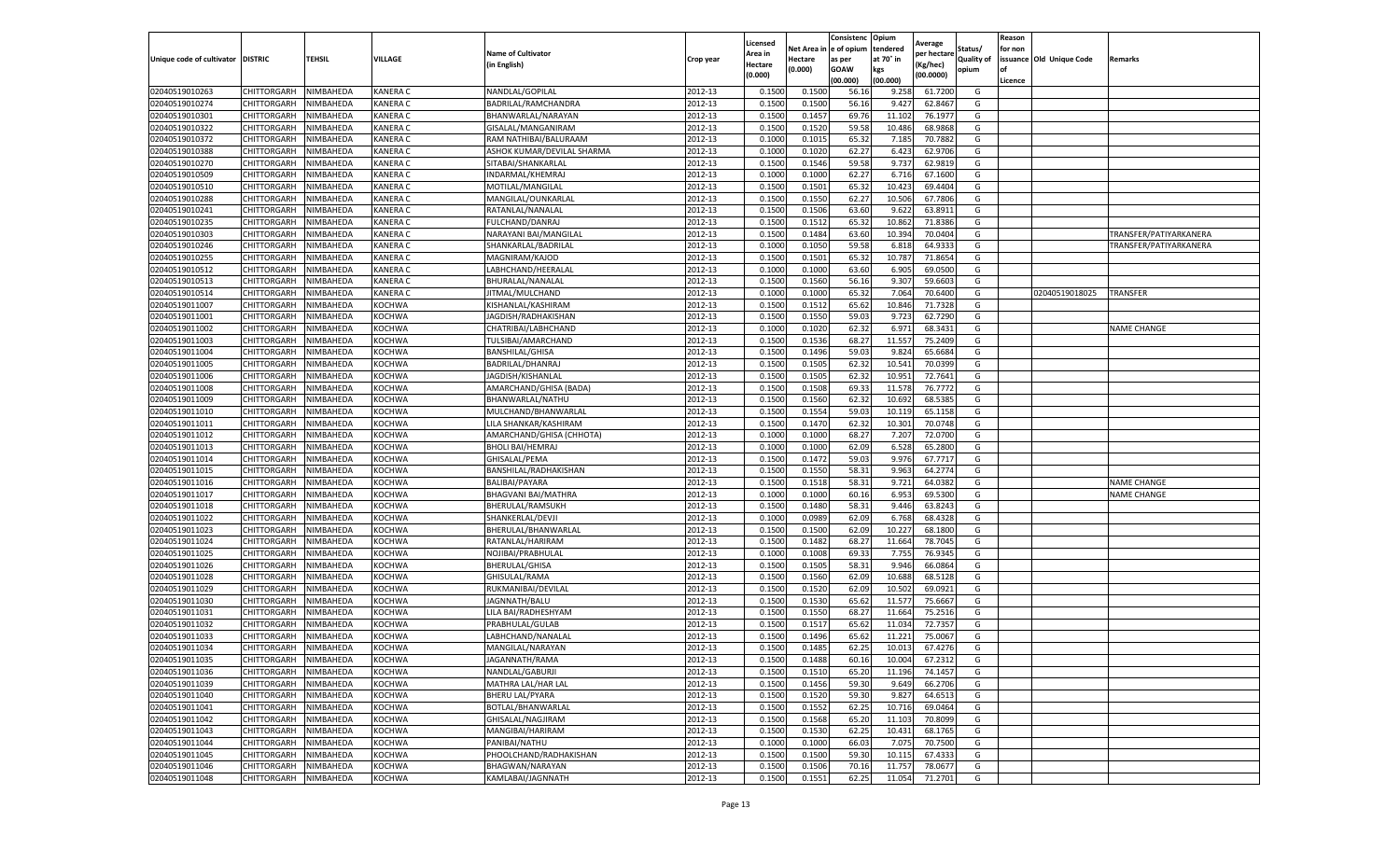|                           |                    |           |                 |                            |           | Licensed |         | Consistenc             | Opium     |                        |                   | Reason  |                          |                        |
|---------------------------|--------------------|-----------|-----------------|----------------------------|-----------|----------|---------|------------------------|-----------|------------------------|-------------------|---------|--------------------------|------------------------|
|                           |                    |           |                 | <b>Name of Cultivator</b>  |           | Area in  |         | Net Area in e of opium | tendered  | Average<br>per hectare | Status/           | for non |                          |                        |
| Unique code of cultivator | <b>DISTRIC</b>     | TEHSIL    | VILLAGE         | in English)                | Crop year | Hectare  | Hectare | as per                 | at 70° in | (Kg/hec                | <b>Quality of</b> |         | issuance Old Unique Code | <b>Remarks</b>         |
|                           |                    |           |                 |                            |           | (0.000)  | (0.000) | <b>GOAW</b>            | kgs       | (00.0000)              | opium             |         |                          |                        |
|                           |                    |           |                 |                            |           |          |         | (00.000)               | (00.000)  |                        |                   | Licence |                          |                        |
| 02040519010263            | CHITTORGARH        | NIMBAHEDA | <b>KANERA C</b> | NANDLAL/GOPILAL            | 2012-13   | 0.1500   | 0.1500  | 56.16                  | 9.258     | 61.7200                | G                 |         |                          |                        |
| 02040519010274            | CHITTORGARH        | NIMBAHEDA | <b>KANERA C</b> | BADRILAL/RAMCHANDRA        | 2012-13   | 0.1500   | 0.1500  | 56.16                  | 9.427     | 62.8467                | G                 |         |                          |                        |
| 02040519010301            | CHITTORGARH        | NIMBAHEDA | <b>KANERA C</b> | BHANWARLAL/NARAYAN         | 2012-13   | 0.1500   | 0.1457  | 69.76                  | 11.102    | 76.1977                | G                 |         |                          |                        |
| 02040519010322            | CHITTORGARH        | NIMBAHEDA | KANERA C        | GISALAL/MANGANIRAM         | 2012-13   | 0.1500   | 0.1520  | 59.58                  | 10.486    | 68.9868                | G                 |         |                          |                        |
| 02040519010372            | <b>CHITTORGARH</b> | NIMBAHEDA | KANERA C        | RAM NATHIBAI/BALURAAM      | 2012-13   | 0.1000   | 0.1015  | 65.32                  | 7.185     | 70.7882                | G                 |         |                          |                        |
| 02040519010388            | CHITTORGARH        | NIMBAHEDA | KANERA C        | ASHOK KUMAR/DEVILAL SHARMA | 2012-13   | 0.1000   | 0.1020  | 62.27                  | 6.423     | 62.9706                | G                 |         |                          |                        |
| 02040519010270            | CHITTORGARH        | NIMBAHEDA | KANERA C        | SITABAI/SHANKARLAL         | 2012-13   | 0.1500   | 0.1546  | 59.58                  | 9.737     | 62.9819                | G                 |         |                          |                        |
| 02040519010509            | CHITTORGARH        | NIMBAHEDA | KANERA C        | INDARMAL/KHEMRAJ           | 2012-13   | 0.1000   | 0.1000  | 62.27                  | 6.716     | 67.1600                | G                 |         |                          |                        |
| 02040519010510            | CHITTORGARH        | NIMBAHEDA | <b>KANERA C</b> | MOTILAL/MANGILAL           | 2012-13   | 0.1500   | 0.1501  | 65.32                  | 10.423    | 69.4404                | G                 |         |                          |                        |
| 02040519010288            | CHITTORGARH        | NIMBAHEDA | KANERA C        | MANGILAL/OUNKARLAL         | 2012-13   | 0.1500   | 0.1550  | 62.27                  | 10.506    | 67.7806                | G                 |         |                          |                        |
| 02040519010241            | CHITTORGARH        | NIMBAHEDA | KANERA C        | RATANLAL/NANALAL           | 2012-13   | 0.1500   | 0.1506  | 63.60                  | 9.622     | 63.8911                | G                 |         |                          |                        |
| 02040519010235            | CHITTORGARH        | NIMBAHEDA | KANERA C        | <b>FULCHAND/DANRAJ</b>     | 2012-13   | 0.1500   | 0.1512  | 65.32                  | 10.86     | 71.8386                | G                 |         |                          |                        |
| 02040519010303            | CHITTORGARH        | NIMBAHEDA | KANERA C        | NARAYANI BAI/MANGILAL      | 2012-13   | 0.1500   | 0.1484  | 63.60                  | 10.39     | 70.0404                | G                 |         |                          | TRANSFER/PATIYARKANERA |
| 02040519010246            | CHITTORGARH        | NIMBAHEDA | KANERA C        | SHANKARLAL/BADRILAL        | 2012-13   | 0.1000   | 0.1050  | 59.58                  | 6.81      | 64.933                 | G                 |         |                          | TRANSFER/PATIYARKANERA |
| 02040519010255            | CHITTORGARH        | NIMBAHEDA | <b>KANERA C</b> | MAGNIRAM/KAJOD             | 2012-13   | 0.1500   | 0.1501  | 65.32                  | 10.787    | 71.8654                | G                 |         |                          |                        |
| 02040519010512            | CHITTORGARH        | NIMBAHEDA | <b>KANERA C</b> | LABHCHAND/HEERALAL         | 2012-13   | 0.1000   | 0.1000  | 63.60                  | 6.905     | 69.0500                | G                 |         |                          |                        |
| 02040519010513            | CHITTORGARH        | NIMBAHEDA | KANERA C        | BHURALAL/NANALAL           | 2012-13   | 0.1500   | 0.1560  | 56.16                  | 9.307     | 59.6603                | G                 |         |                          |                        |
| 02040519010514            | CHITTORGARH        | NIMBAHEDA | <b>KANERA C</b> | JITMAL/MULCHAND            | 2012-13   | 0.1000   | 0.1000  | 65.32                  | 7.064     | 70.6400                | G                 |         | 02040519018025           | TRANSFER               |
| 02040519011007            | CHITTORGARH        | NIMBAHEDA | KOCHWA          | KISHANLAL/KASHIRAM         | 2012-13   | 0.1500   | 0.1512  | 65.62                  | 10.84     | 71.7328                | G                 |         |                          |                        |
| 02040519011001            | CHITTORGARH        | NIMBAHEDA | KOCHWA          | JAGDISH/RADHAKISHAN        | 2012-13   | 0.1500   | 0.1550  | 59.03                  | 9.723     | 62.7290                | G                 |         |                          |                        |
| 02040519011002            | CHITTORGARH        | NIMBAHEDA | KOCHWA          | CHATRIBAI/LABHCHAND        | 2012-13   | 0.1000   | 0.1020  | 62.32                  | 6.971     | 68.3431                | G                 |         |                          | <b>NAME CHANGE</b>     |
| 02040519011003            | CHITTORGARH        | NIMBAHEDA | KOCHWA          | TULSIBAI/AMARCHAND         | 2012-13   | 0.1500   | 0.1536  | 68.27                  | 11.557    | 75.2409                | G                 |         |                          |                        |
| 02040519011004            | CHITTORGARH        | NIMBAHEDA | KOCHWA          | BANSHILAL/GHISA            | 2012-13   | 0.1500   | 0.1496  | 59.03                  | 9.824     | 65.6684                | G                 |         |                          |                        |
| 02040519011005            | CHITTORGARH        | NIMBAHEDA | KOCHWA          | BADRILAL/DHANRAJ           | 2012-13   | 0.1500   | 0.1505  | 62.32                  | 10.541    | 70.0399                | G                 |         |                          |                        |
| 02040519011006            | CHITTORGARH        | NIMBAHEDA | KOCHWA          | JAGDISH/KISHANLAL          | 2012-13   | 0.1500   | 0.1505  | 62.32                  | 10.95     | 72.7641                | G                 |         |                          |                        |
| 02040519011008            | CHITTORGARH        | NIMBAHEDA | KOCHWA          | AMARCHAND/GHISA (BADA)     | 2012-13   | 0.1500   | 0.1508  | 69.33                  | 11.578    | 76.7772                | G                 |         |                          |                        |
| 02040519011009            | CHITTORGARH        | NIMBAHEDA | KOCHWA          | BHANWARLAL/NATHU           | 2012-13   | 0.1500   | 0.1560  | 62.32                  | 10.692    | 68.5385                | G                 |         |                          |                        |
| 02040519011010            | CHITTORGARH        | NIMBAHEDA | KOCHWA          | MULCHAND/BHANWARLAL        | 2012-13   | 0.1500   | 0.1554  | 59.03                  | 10.11     | 65.1158                | G                 |         |                          |                        |
| 02040519011011            | CHITTORGARH        | NIMBAHEDA | KOCHWA          | LILA SHANKAR/KASHIRAM      | 2012-13   | 0.1500   | 0.1470  | 62.32                  | 10.301    | 70.0748                | G                 |         |                          |                        |
| 02040519011012            | CHITTORGARH        | NIMBAHEDA | KOCHWA          | AMARCHAND/GHISA (CHHOTA)   | 2012-13   | 0.1000   | 0.1000  | 68.27                  | 7.207     | 72.0700                | G                 |         |                          |                        |
| 02040519011013            | CHITTORGARH        | NIMBAHEDA | KOCHWA          | <b>BHOLI BAI/HEMRAJ</b>    | 2012-13   | 0.1000   | 0.1000  | 62.09                  | 6.52      | 65.2800                | G                 |         |                          |                        |
| 02040519011014            | CHITTORGARH        | NIMBAHEDA | KOCHWA          | GHISALAL/PEMA              | 2012-13   | 0.1500   | 0.1472  | 59.03                  | 9.976     | 67.7717                | G                 |         |                          |                        |
| 02040519011015            | CHITTORGARH        | NIMBAHEDA | KOCHWA          | BANSHILAL/RADHAKISHAN      | 2012-13   | 0.1500   | 0.1550  | 58.31                  | 9.963     | 64.2774                | G                 |         |                          |                        |
| 02040519011016            | CHITTORGARH        | NIMBAHEDA | KOCHWA          | BALIBAI/PAYARA             | 2012-13   | 0.1500   | 0.1518  | 58.31                  | 9.721     | 64.0382                | G                 |         |                          | <b>NAME CHANGE</b>     |
| 02040519011017            | CHITTORGARH        | NIMBAHEDA | KOCHWA          | BHAGVANI BAI/MATHRA        | 2012-13   | 0.1000   | 0.1000  | 60.16                  | 6.953     | 69.5300                | G                 |         |                          | <b>NAME CHANGE</b>     |
| 02040519011018            | CHITTORGARH        | NIMBAHEDA | KOCHWA          | BHERULAL/RAMSUKH           | 2012-13   | 0.1500   | 0.1480  | 58.31                  | 9.446     | 63.8243                | G                 |         |                          |                        |
| 02040519011022            | CHITTORGARH        | NIMBAHEDA | KOCHWA          | SHANKERLAL/DEVJI           | 2012-13   | 0.1000   | 0.0989  | 62.09                  | 6.768     | 68.4328                | G                 |         |                          |                        |
| 02040519011023            | CHITTORGARH        | NIMBAHEDA | KOCHWA          | BHERULAL/BHANWARLAL        | 2012-13   | 0.1500   | 0.1500  | 62.09                  | 10.22     | 68.1800                | G                 |         |                          |                        |
| 02040519011024            | CHITTORGARH        | NIMBAHEDA | KOCHWA          | RATANLAL/HARIRAM           | 2012-13   | 0.1500   | 0.1482  | 68.27                  | 11.664    | 78.7045                | G                 |         |                          |                        |
| 02040519011025            | CHITTORGARH        | NIMBAHEDA | KOCHWA          | NOJIBAI/PRABHULAI          | 2012-13   | 0.1000   | 0.1008  | 69.33                  | 7.755     | 76.9345                | G                 |         |                          |                        |
| 02040519011026            | CHITTORGARH        | NIMBAHEDA | KOCHWA          | BHERULAL/GHISA             | 2012-13   | 0.1500   | 0.1505  | 58.31                  | 9.946     | 66.0864                | G                 |         |                          |                        |
| 02040519011028            | CHITTORGARH        | NIMBAHEDA | KOCHWA          | GHISULAL/RAMA              | 2012-13   | 0.1500   | 0.1560  | 62.09                  | 10.688    | 68.5128                | G                 |         |                          |                        |
| 02040519011029            | CHITTORGARH        | NIMBAHEDA | KOCHWA          | RUKMANIBAI/DEVILAL         | 2012-13   | 0.1500   | 0.1520  | 62.09                  | 10.50     | 69.0921                | G                 |         |                          |                        |
| 02040519011030            | CHITTORGARH        | NIMBAHEDA | KOCHWA          | JAGNNATH/BALU              | 2012-13   | 0.1500   | 0.1530  | 65.62                  | 11.57     | 75.6667                | G                 |         |                          |                        |
| 02040519011031            | CHITTORGARH        | NIMBAHEDA | KOCHWA          | LILA BAI/RADHESHYAM        | 2012-13   | 0.1500   | 0.1550  | 68.27                  | 11.664    | 75.2516                | G                 |         |                          |                        |
| 02040519011032            | CHITTORGARH        | NIMBAHEDA | KOCHWA          | PRABHULAL/GULAB            | 2012-13   | 0.1500   | 0.1517  | 65.62                  | 11.034    | 72.7357                | G                 |         |                          |                        |
| 02040519011033            | CHITTORGARH        | NIMBAHEDA | KOCHWA          | LABHCHAND/NANALAL          | 2012-13   | 0.1500   | 0.1496  | 65.62                  | 11.22     | 75.0067                | G                 |         |                          |                        |
| 02040519011034            | CHITTORGARH        | NIMBAHEDA | KOCHWA          | MANGILAL/NARAYAN           | 2012-13   | 0.1500   | 0.1485  | 62.25                  | 10.013    | 67.4276                | G                 |         |                          |                        |
| 02040519011035            | CHITTORGARH        | NIMBAHEDA | <b>KOCHWA</b>   | JAGANNATH/RAMA             | 2012-13   | 0.1500   | 0.1488  | 60.16                  | 10.004    | 67.2312                | G                 |         |                          |                        |
| 02040519011036            | CHITTORGARH        | NIMBAHEDA | KOCHWA          | NANDLAL/GABURJI            | 2012-13   | 0.1500   | 0.1510  | 65.20                  | 11.196    | 74.1457                | G                 |         |                          |                        |
| 02040519011039            | <b>CHITTORGARH</b> | NIMBAHEDA | KOCHWA          | MATHRA LAL/HAR LAL         | 2012-13   | 0.1500   | 0.1456  | 59.30                  | 9.649     | 66.2706                | G                 |         |                          |                        |
| 02040519011040            | CHITTORGARH        | NIMBAHEDA | KOCHWA          | <b>BHERU LAL/PYARA</b>     | 2012-13   | 0.1500   | 0.1520  | 59.30                  | 9.827     | 64.6513                | G                 |         |                          |                        |
| 02040519011041            | <b>CHITTORGARH</b> | NIMBAHEDA | KOCHWA          | BOTLAL/BHANWARLAL          | 2012-13   | 0.1500   | 0.1552  | 62.25                  | 10.716    | 69.0464                | G                 |         |                          |                        |
| 02040519011042            | <b>CHITTORGARH</b> | NIMBAHEDA | <b>KOCHWA</b>   | GHISALAL/NAGJIRAM          | 2012-13   | 0.1500   | 0.1568  | 65.20                  | 11.103    | 70.8099                | G                 |         |                          |                        |
| 02040519011043            | CHITTORGARH        | NIMBAHEDA | KOCHWA          | MANGIBAI/HARIRAM           | 2012-13   | 0.1500   | 0.1530  | 62.25                  | 10.431    | 68.1765                | G                 |         |                          |                        |
| 02040519011044            | <b>CHITTORGARH</b> | NIMBAHEDA | KOCHWA          | PANIBAI/NATHU              | 2012-13   | 0.1000   | 0.1000  | 66.03                  | 7.075     | 70.7500                | G                 |         |                          |                        |
| 02040519011045            | CHITTORGARH        | NIMBAHEDA | KOCHWA          | PHOOLCHAND/RADHAKISHAN     | 2012-13   | 0.1500   | 0.1500  | 59.30                  | 10.115    | 67.4333                | G                 |         |                          |                        |
| 02040519011046            | CHITTORGARH        | NIMBAHEDA | KOCHWA          | <b>BHAGWAN/NARAYAN</b>     | 2012-13   | 0.1500   | 0.1506  | 70.16                  | 11.757    | 78.0677                | G                 |         |                          |                        |
| 02040519011048            | <b>CHITTORGARH</b> | NIMBAHEDA | KOCHWA          | KAMLABAI/JAGNNATH          | 2012-13   | 0.1500   | 0.1551  | 62.25                  | 11.054    | 71.2701                | G                 |         |                          |                        |
|                           |                    |           |                 |                            |           |          |         |                        |           |                        |                   |         |                          |                        |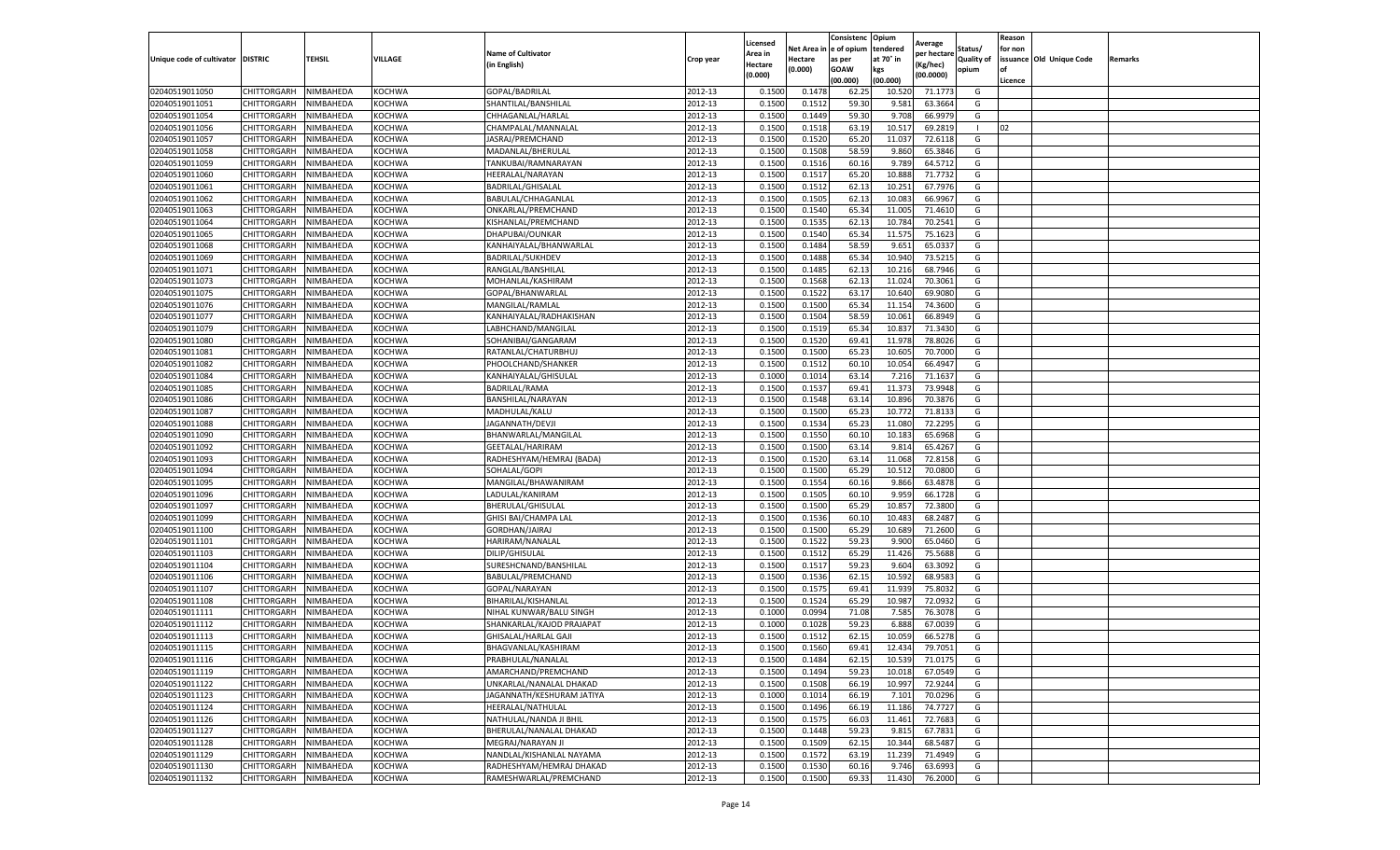|                                   |             |                  |               |                           |           | Licensed |            | Consistenc  | Opium     |                        |                   | Reason  |                          |         |
|-----------------------------------|-------------|------------------|---------------|---------------------------|-----------|----------|------------|-------------|-----------|------------------------|-------------------|---------|--------------------------|---------|
|                                   |             |                  |               | <b>Name of Cultivator</b> |           | Area in  | Net Area i | e of opium  | tendered  | Average<br>per hectare | Status/           | for non |                          |         |
| Unique code of cultivator DISTRIC |             | TEHSIL           | VILLAGE       | (in English)              | Crop year | Hectare  | Hectare    | as per      | at 70° in | (Kg/hec)               | <b>Quality of</b> |         | issuance Old Unique Code | Remarks |
|                                   |             |                  |               |                           |           | (0.000)  | (0.000)    | <b>GOAW</b> | kgs       | (00.0000)              | opium             |         |                          |         |
|                                   |             |                  |               |                           |           |          |            | (00.000     | (00.000)  |                        |                   | Licence |                          |         |
| 02040519011050                    | CHITTORGARH | NIMBAHEDA        | <b>KOCHWA</b> | GOPAL/BADRILAL            | 2012-13   | 0.1500   | 0.1473     | 62.25       | 10.520    | 71.1773                | G                 |         |                          |         |
| 02040519011051                    | CHITTORGARH | NIMBAHEDA        | KOCHWA        | SHANTILAL/BANSHILAI       | 2012-13   | 0.150    | 0.151      | 59.30       | 9.581     | 63.3664                | G                 |         |                          |         |
| 02040519011054                    | CHITTORGARH | NIMBAHEDA        | KOCHWA        | CHHAGANLAL/HARLAL         | 2012-13   | 0.1500   | 0.1449     | 59.30       | 9.708     | 66.9979                | G                 |         |                          |         |
| 02040519011056                    | CHITTORGARH | NIMBAHEDA        | <b>KOCHWA</b> | CHAMPALAL/MANNALAL        | 2012-13   | 0.1500   | 0.1518     | 63.19       | 10.517    | 69.2819                | л.                | 02      |                          |         |
| 02040519011057                    | CHITTORGARH | NIMBAHEDA        | KOCHWA        | JASRAJ/PREMCHAND          | 2012-13   | 0.1500   | 0.1520     | 65.20       | 11.037    | 72.6118                | G                 |         |                          |         |
| 02040519011058                    | CHITTORGARH | NIMBAHEDA        | KOCHWA        | MADANLAL/BHERULAL         | 2012-13   | 0.1500   | 0.1508     | 58.59       | 9.860     | 65.3846                | G                 |         |                          |         |
| 02040519011059                    | CHITTORGARH | NIMBAHEDA        | KOCHWA        | TANKUBAI/RAMNARAYAN       | 2012-13   | 0.1500   | 0.1516     | 60.16       | 9.789     | 64.5712                | G                 |         |                          |         |
| 02040519011060                    | CHITTORGARH | NIMBAHEDA        | KOCHWA        | HEERALAL/NARAYAN          | 2012-13   | 0.1500   | 0.1517     | 65.20       | 10.888    | 71.773                 | G                 |         |                          |         |
| 02040519011061                    | CHITTORGARH | NIMBAHEDA        | KOCHWA        | BADRILAL/GHISALAL         | 2012-13   | 0.1500   | 0.1512     | 62.13       | 10.25     | 67.7976                | G                 |         |                          |         |
| 02040519011062                    | CHITTORGARH | NIMBAHEDA        | KOCHWA        | BABULAL/CHHAGANLAL        | 2012-13   | 0.1500   | 0.1505     | 62.13       | 10.083    | 66.9967                | G                 |         |                          |         |
| 02040519011063                    | CHITTORGARH | NIMBAHEDA        | KOCHWA        | ONKARLAL/PREMCHAND        | 2012-13   | 0.1500   | 0.1540     | 65.34       | 11.005    | 71.4610                | G                 |         |                          |         |
| 02040519011064                    | CHITTORGARH | NIMBAHEDA        | <b>KOCHWA</b> | KISHANLAL/PREMCHAND       | 2012-13   | 0.1500   | 0.1535     | 62.13       | 10.784    | 70.2541                | G                 |         |                          |         |
| 02040519011065                    | CHITTORGARH | NIMBAHEDA        | KOCHWA        | DHAPUBAI/OUNKAR           | 2012-13   | 0.1500   | 0.1540     | 65.34       | 11.575    | 75.1623                | G                 |         |                          |         |
| 02040519011068                    | CHITTORGARH | NIMBAHEDA        | KOCHWA        | KANHAIYALAL/BHANWARLAI    | 2012-13   | 0.1500   | 0.1484     | 58.59       | 9.651     | 65.0337                | G                 |         |                          |         |
| 02040519011069                    | CHITTORGARH | NIMBAHEDA        | KOCHWA        | <b>BADRILAL/SUKHDEV</b>   | 2012-13   | 0.1500   | 0.1488     | 65.34       | 10.940    | 73.5215                | G                 |         |                          |         |
| 02040519011071                    | CHITTORGARH | NIMBAHEDA        | <b>KOCHWA</b> | RANGLAL/BANSHILAL         | 2012-13   | 0.1500   | 0.1485     | 62.13       | 10.216    | 68.7946                | G                 |         |                          |         |
| 02040519011073                    | CHITTORGARH | NIMBAHEDA        | KOCHWA        | MOHANLAL/KASHIRAM         | 2012-13   | 0.1500   | 0.1568     | 62.1        | 11.024    | 70.3061                | G                 |         |                          |         |
| 02040519011075                    | CHITTORGARH | NIMBAHEDA        | <b>KOCHWA</b> | GOPAL/BHANWARLAL          | 2012-13   | 0.1500   | 0.1522     | 63.17       | 10.640    | 69.9080                | G                 |         |                          |         |
| 02040519011076                    | CHITTORGARH | NIMBAHEDA        | <b>KOCHWA</b> | MANGILAL/RAMLAL           | 2012-13   | 0.1500   | 0.1500     | 65.34       | 11.15     | 74.3600                | G                 |         |                          |         |
| 02040519011077                    | CHITTORGARH | <b>NIMBAHEDA</b> | KOCHWA        | KANHAIYALAL/RADHAKISHAN   | 2012-13   | 0.1500   | 0.1504     | 58.59       | 10.061    | 66.8949                | G                 |         |                          |         |
| 02040519011079                    | CHITTORGARH | NIMBAHEDA        | KOCHWA        | LABHCHAND/MANGILAL        | 2012-13   | 0.1500   | 0.1519     | 65.34       | 10.837    | 71.3430                | G                 |         |                          |         |
| 02040519011080                    | CHITTORGARH | NIMBAHEDA        | KOCHWA        | SOHANIBAI/GANGARAM        | 2012-13   | 0.1500   | 0.1520     | 69.4        | 11.978    | 78.8026                | G                 |         |                          |         |
| 02040519011081                    | CHITTORGARH | NIMBAHEDA        | KOCHWA        | RATANLAL/CHATURBHU.       | 2012-13   | 0.1500   | 0.1500     | 65.23       | 10.605    | 70.7000                | G                 |         |                          |         |
| 02040519011082                    | CHITTORGARH | NIMBAHEDA        | <b>KOCHWA</b> | PHOOLCHAND/SHANKER        | 2012-13   | 0.1500   | 0.1512     | 60.10       | 10.054    | 66.4947                | G                 |         |                          |         |
| 02040519011084                    | CHITTORGARH | NIMBAHEDA        | KOCHWA        | KANHAIYALAL/GHISULAL      | 2012-13   | 0.1000   | 0.1014     | 63.14       | 7.216     | 71.1637                | G                 |         |                          |         |
|                                   | CHITTORGARH | NIMBAHEDA        | KOCHWA        | <b>BADRILAL/RAMA</b>      |           | 0.1500   | 0.1537     | 69.4        | 11.373    | 73.9948                |                   |         |                          |         |
| 02040519011085                    |             |                  |               |                           | 2012-13   |          |            |             |           |                        | G                 |         |                          |         |
| 02040519011086                    | CHITTORGARH | NIMBAHEDA        | KOCHWA        | BANSHILAL/NARAYAN         | 2012-13   | 0.1500   | 0.1548     | 63.14       | 10.896    | 70.3876                | G                 |         |                          |         |
| 02040519011087                    | CHITTORGARH | NIMBAHEDA        | <b>KOCHWA</b> | MADHULAL/KALU             | 2012-13   | 0.1500   | 0.1500     | 65.23       | 10.772    | 71.8133                | G                 |         |                          |         |
| 02040519011088                    | CHITTORGARH | NIMBAHEDA        | KOCHWA        | JAGANNATH/DEVJI           | 2012-13   | 0.1500   | 0.1534     | 65.23       | 11.080    | 72.2295                | G                 |         |                          |         |
| 02040519011090                    | CHITTORGARH | NIMBAHEDA        | KOCHWA        | BHANWARLAL/MANGILAL       | 2012-13   | 0.1500   | 0.1550     | 60.10       | 10.183    | 65.6968                | G                 |         |                          |         |
| 02040519011092                    | CHITTORGARH | NIMBAHEDA        | KOCHWA        | GEETALAL/HARIRAM          | 2012-13   | 0.1500   | 0.1500     | 63.14       | 9.814     | 65.4267                | G                 |         |                          |         |
| 02040519011093                    | CHITTORGARH | NIMBAHEDA        | KOCHWA        | RADHESHYAM/HEMRAJ (BADA)  | 2012-13   | 0.1500   | 0.1520     | 63.14       | 11.068    | 72.8158                | G                 |         |                          |         |
| 02040519011094                    | CHITTORGARH | NIMBAHEDA        | KOCHWA        | SOHALAL/GOPI              | 2012-13   | 0.1500   | 0.1500     | 65.29       | 10.51     | 70.0800                | G                 |         |                          |         |
| 02040519011095                    | CHITTORGARH | NIMBAHEDA        | KOCHWA        | MANGILAL/BHAWANIRAM       | 2012-13   | 0.1500   | 0.1554     | 60.16       | 9.866     | 63.4878                | G                 |         |                          |         |
| 02040519011096                    | CHITTORGARH | NIMBAHEDA        | KOCHWA        | LADULAL/KANIRAM           | 2012-13   | 0.1500   | 0.1505     | 60.10       | 9.959     | 66.1728                | G                 |         |                          |         |
| 02040519011097                    | CHITTORGARH | NIMBAHEDA        | KOCHWA        | BHERULAL/GHISULAL         | 2012-13   | 0.1500   | 0.1500     | 65.29       | 10.857    | 72.3800                | G                 |         |                          |         |
| 02040519011099                    | CHITTORGARH | NIMBAHEDA        | KOCHWA        | GHISI BAI/CHAMPA LAL      | 2012-13   | 0.1500   | 0.1536     | 60.10       | 10.483    | 68.2487                | G                 |         |                          |         |
| 02040519011100                    | CHITTORGARH | NIMBAHEDA        | KOCHWA        | GORDHAN/JAIRAJ            | 2012-13   | 0.1500   | 0.1500     | 65.29       | 10.689    | 71.2600                | G                 |         |                          |         |
| 02040519011101                    | CHITTORGARH | NIMBAHEDA        | KOCHWA        | HARIRAM/NANALAI           | 2012-13   | 0.1500   | 0.1522     | 59.23       | 9.900     | 65.0460                | G                 |         |                          |         |
| 02040519011103                    | CHITTORGARH | NIMBAHEDA        | KOCHWA        | DILIP/GHISULAL            | 2012-13   | 0.1500   | 0.1512     | 65.29       | 11.426    | 75.5688                | G                 |         |                          |         |
| 02040519011104                    | CHITTORGARH | NIMBAHEDA        | KOCHWA        | SURESHCNAND/BANSHILAL     | 2012-13   | 0.1500   | 0.1517     | 59.23       | 9.604     | 63.3092                | G                 |         |                          |         |
| 02040519011106                    | CHITTORGARH | NIMBAHEDA        | KOCHWA        | BABULAL/PREMCHAND         | 2012-13   | 0.1500   | 0.1536     | 62.15       | 10.592    | 68.9583                | G                 |         |                          |         |
| 02040519011107                    | CHITTORGARH | NIMBAHEDA        | <b>KOCHWA</b> | GOPAL/NARAYAN             | 2012-13   | 0.1500   | 0.1575     | 69.41       | 11.939    | 75.8032                | G                 |         |                          |         |
| 02040519011108                    | CHITTORGARH | NIMBAHEDA        | KOCHWA        | BIHARILAL/KISHANLAL       | 2012-13   | 0.1500   | 0.1524     | 65.29       | 10.98     | 72.0932                | G                 |         |                          |         |
| 02040519011111                    | CHITTORGARH | NIMBAHEDA        | KOCHWA        | NIHAL KUNWAR/BALU SINGH   | 2012-13   | 0.1000   | 0.0994     | 71.08       | 7.585     | 76.3078                | G                 |         |                          |         |
| 02040519011112                    | CHITTORGARH | NIMBAHEDA        | KOCHWA        | SHANKARLAL/KAJOD PRAJAPAT | 2012-13   | 0.100    | 0.1028     | 59.23       | 6.888     | 67.0039                | G                 |         |                          |         |
| 02040519011113                    | CHITTORGARH | NIMBAHEDA        | <b>KOCHWA</b> | GHISALAL/HARLAL GAJI      | 2012-13   | 0.1500   | 0.151      | 62.15       | 10.059    | 66.5278                | G                 |         |                          |         |
| 02040519011115                    | CHITTORGARH | NIMBAHEDA        | <b>KOCHWA</b> | BHAGVANLAL/KASHIRAM       | 2012-13   | 0.1500   | 0.1560     | 69.41       | 12.434    | 79.7051                | G                 |         |                          |         |
| 02040519011116                    | CHITTORGARH | NIMBAHEDA        | KOCHWA        | PRABHULAL/NANALAL         | 2012-13   | 0.1500   | 0.1484     | 62.15       | 10.539    | 71.0175                | G                 |         |                          |         |
| 02040519011119                    | CHITTORGARH | NIMBAHEDA        | KOCHWA        | AMARCHAND/PREMCHAND       | 2012-13   | 0.1500   | 0.1494     | 59.23       | 10.018    | 67.0549                | G                 |         |                          |         |
| 02040519011122                    | CHITTORGARH | NIMBAHEDA        | KOCHWA        | UNKARLAL/NANALAL DHAKAD   | 2012-13   | 0.1500   | 0.1508     | 66.19       | 10.997    | 72.9244                | G                 |         |                          |         |
| 02040519011123                    | CHITTORGARH | NIMBAHEDA        | KOCHWA        | JAGANNATH/KESHURAM JATIYA | 2012-13   | 0.1000   | 0.1014     | 66.19       | 7.101     | 70.0296                | G                 |         |                          |         |
| 02040519011124                    | CHITTORGARH | NIMBAHEDA        | KOCHWA        | HEERALAL/NATHULAL         | 2012-13   | 0.1500   | 0.1496     | 66.19       | 11.186    | 74.7727                | G                 |         |                          |         |
| 02040519011126                    | CHITTORGARH | NIMBAHEDA        | <b>KOCHWA</b> | NATHULAL/NANDA JI BHIL    | 2012-13   | 0.1500   | 0.1575     | 66.03       | 11.461    | 72.7683                | G                 |         |                          |         |
| 02040519011127                    | CHITTORGARH | NIMBAHEDA        | KOCHWA        | BHERULAL/NANALAL DHAKAD   | 2012-13   | 0.1500   | 0.1448     | 59.23       | 9.815     | 67.7831                | G                 |         |                          |         |
| 02040519011128                    | CHITTORGARH | NIMBAHEDA        | KOCHWA        | MEGRAJ/NARAYAN JI         | 2012-13   | 0.1500   | 0.1509     | 62.15       | 10.344    | 68.5487                | G                 |         |                          |         |
| 02040519011129                    | CHITTORGARH | NIMBAHEDA        | <b>KOCHWA</b> | NANDLAL/KISHANLAL NAYAMA  | 2012-13   | 0.1500   | 0.1572     | 63.19       | 11.239    | 71.4949                | G                 |         |                          |         |
| 02040519011130                    | CHITTORGARH | NIMBAHEDA        | KOCHWA        | RADHESHYAM/HEMRAJ DHAKAD  | 2012-13   | 0.1500   | 0.1530     | 60.16       | 9.746     | 63.6993                | G                 |         |                          |         |
| 02040519011132                    | CHITTORGARH | NIMBAHEDA        | KOCHWA        | RAMESHWARLAL/PREMCHAND    | 2012-13   | 0.1500   | 0.1500     | 69.33       | 11.430    | 76.2000                | G                 |         |                          |         |
|                                   |             |                  |               |                           |           |          |            |             |           |                        |                   |         |                          |         |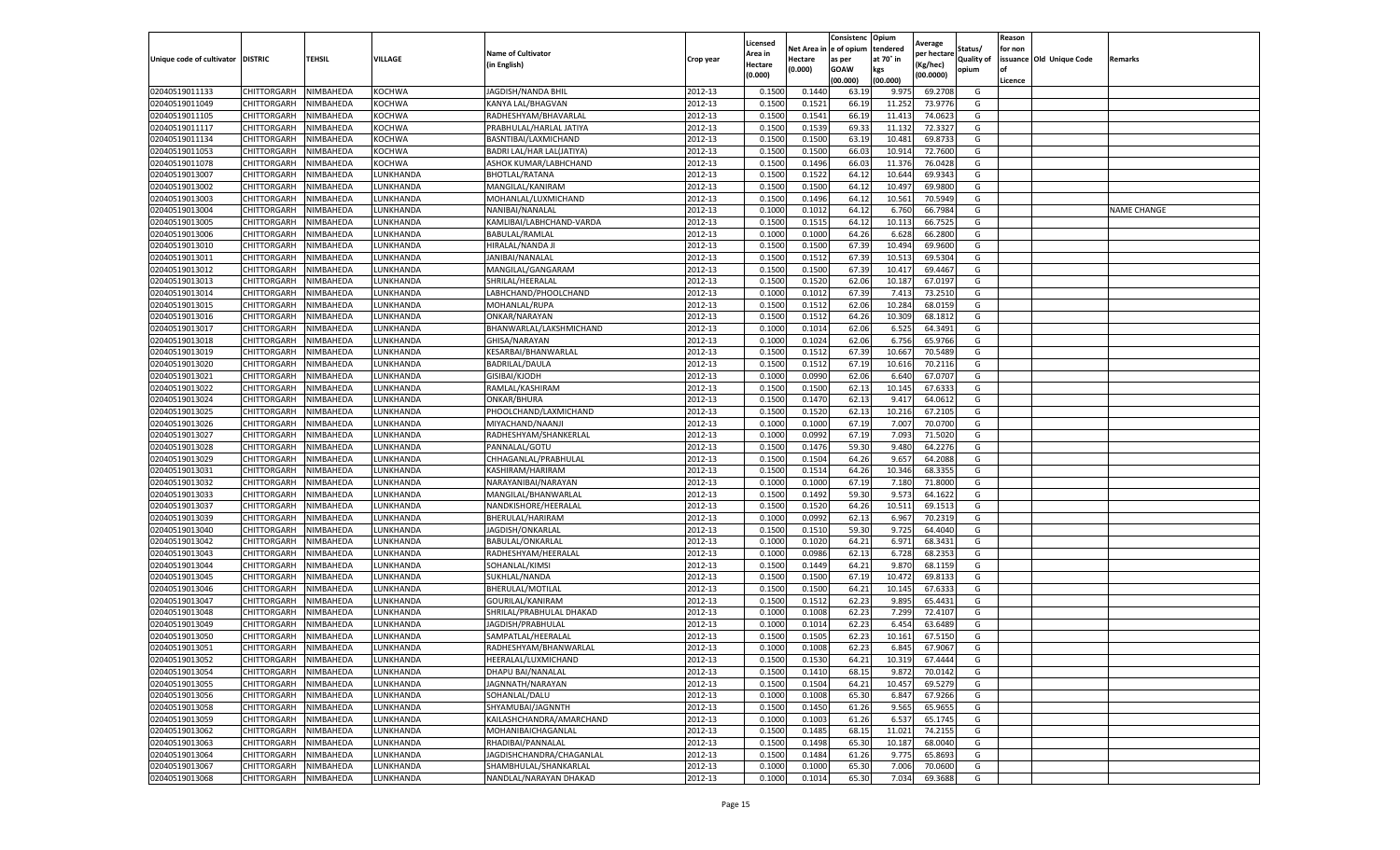|                           |                    |           |           |                           |           | Licensed |         | Consistenc             | Opium     |                        |                   | Reason  |                          |                    |
|---------------------------|--------------------|-----------|-----------|---------------------------|-----------|----------|---------|------------------------|-----------|------------------------|-------------------|---------|--------------------------|--------------------|
|                           |                    |           |           | <b>Name of Cultivator</b> |           | Area in  |         | Net Area in e of opium | tendered  | Average<br>per hectare | Status/           | for non |                          |                    |
| Unique code of cultivator | <b>DISTRIC</b>     | TEHSIL    | VILLAGE   | in English)               | Crop year | Hectare  | Hectare | as per                 | at 70° in | (Kg/hec                | <b>Quality of</b> |         | issuance Old Unique Code | <b>Remarks</b>     |
|                           |                    |           |           |                           |           | (0.000)  | (0.000) | <b>GOAW</b>            | kgs       | (00.0000)              | opium             |         |                          |                    |
|                           |                    |           |           |                           |           |          |         | (00.000)               | (00.000)  |                        |                   | Licence |                          |                    |
| 02040519011133            | CHITTORGARH        | NIMBAHEDA | KOCHWA    | JAGDISH/NANDA BHIL        | 2012-13   | 0.1500   | 0.1440  | 63.19                  | 9.975     | 69.2708                | G                 |         |                          |                    |
| 02040519011049            | CHITTORGARH        | NIMBAHEDA | KOCHWA    | KANYA LAL/BHAGVAN         | 2012-13   | 0.1500   | 0.1521  | 66.19                  | 11.25     | 73.9776                | G                 |         |                          |                    |
| 02040519011105            | CHITTORGARH        | NIMBAHEDA | KOCHWA    | RADHESHYAM/BHAVARLAL      | 2012-13   | 0.1500   | 0.1541  | 66.19                  | 11.413    | 74.0623                | G                 |         |                          |                    |
| 02040519011117            | CHITTORGARH        | NIMBAHEDA | KOCHWA    | PRABHULAL/HARLAL JATIYA   | 2012-13   | 0.1500   | 0.1539  | 69.33                  | 11.132    | 72.3327                | G                 |         |                          |                    |
| 02040519011134            | CHITTORGARH        | NIMBAHEDA | KOCHWA    | BASNTIBAI/LAXMICHAND      | 2012-13   | 0.1500   | 0.1500  | 63.19                  | 10.481    | 69.873                 | G                 |         |                          |                    |
| 02040519011053            | CHITTORGARH        | NIMBAHEDA | KOCHWA    | BADRI LAL/HAR LAL(JATIYA) | 2012-13   | 0.1500   | 0.1500  | 66.03                  | 10.91     | 72.7600                | G                 |         |                          |                    |
| 02040519011078            | CHITTORGARH        | NIMBAHEDA | KOCHWA    | ASHOK KUMAR/LABHCHAND     | 2012-13   | 0.1500   | 0.1496  | 66.03                  | 11.376    | 76.0428                | G                 |         |                          |                    |
| 02040519013007            | CHITTORGARH        | NIMBAHEDA | LUNKHANDA | <b>BHOTLAL/RATANA</b>     | 2012-13   | 0.1500   | 0.1522  | 64.12                  | 10.644    | 69.9343                | G                 |         |                          |                    |
| 02040519013002            | CHITTORGARH        | NIMBAHEDA | LUNKHANDA | MANGILAL/KANIRAM          | 2012-13   | 0.1500   | 0.1500  | 64.12                  | 10.497    | 69.9800                | G                 |         |                          |                    |
| 02040519013003            | CHITTORGARH        | NIMBAHEDA | LUNKHANDA | MOHANLAL/LUXMICHAND       | 2012-13   | 0.1500   | 0.1496  | 64.12                  | 10.561    | 70.5949                | G                 |         |                          |                    |
| 02040519013004            | CHITTORGARH        | NIMBAHEDA | LUNKHANDA | NANIBAI/NANALAL           | 2012-13   | 0.1000   | 0.1012  | 64.12                  | 6.760     | 66.7984                | G                 |         |                          | <b>NAME CHANGE</b> |
| 02040519013005            | CHITTORGARH        | NIMBAHEDA | UNKHANDA. | KAMLIBAI/LABHCHAND-VARDA  | 2012-13   | 0.1500   | 0.1515  | 64.12                  | 10.11     | 66.7525                | G                 |         |                          |                    |
| 02040519013006            | CHITTORGARH        | NIMBAHEDA | LUNKHANDA | BABULAL/RAMLAL            | 2012-13   | 0.1000   | 0.1000  | 64.26                  | 6.628     | 66.2800                | G                 |         |                          |                    |
| 02040519013010            | CHITTORGARH        | NIMBAHEDA | LUNKHANDA | HIRALAL/NANDA JI          | 2012-13   | 0.1500   | 0.1500  | 67.39                  | 10.494    | 69.9600                | G                 |         |                          |                    |
| 02040519013011            | CHITTORGARH        | NIMBAHEDA | LUNKHANDA | JANIBAI/NANALAL           | 2012-13   | 0.1500   | 0.1512  | 67.39                  | 10.513    | 69.5304                | G                 |         |                          |                    |
| 02040519013012            | CHITTORGARH        | NIMBAHEDA | LUNKHANDA | MANGILAL/GANGARAM         | 2012-13   | 0.1500   | 0.1500  | 67.39                  | 10.417    | 69.4467                | G                 |         |                          |                    |
| 02040519013013            | CHITTORGARH        | NIMBAHEDA | LUNKHANDA | SHRILAL/HEERALAL          | 2012-13   | 0.1500   | 0.1520  | 62.06                  | 10.18     | 67.0197                | G                 |         |                          |                    |
| 02040519013014            | CHITTORGARH        | NIMBAHEDA | LUNKHANDA | LABHCHAND/PHOOLCHAND      | 2012-13   | 0.1000   | 0.1012  | 67.39                  | 7.413     | 73.2510                | G                 |         |                          |                    |
| 02040519013015            | CHITTORGARH        | NIMBAHEDA | UNKHANDA. | MOHANLAL/RUPA             | 2012-13   | 0.1500   | 0.1512  | 62.06                  | 10.284    | 68.0159                | G                 |         |                          |                    |
| 02040519013016            | CHITTORGARH        | NIMBAHEDA | UNKHANDA  | ONKAR/NARAYAN             | 2012-13   | 0.1500   | 0.1512  | 64.26                  | 10.309    | 68.1812                | G                 |         |                          |                    |
| 02040519013017            | CHITTORGARH        | NIMBAHEDA | LUNKHANDA | BHANWARLAL/LAKSHMICHAND   | 2012-13   | 0.1000   | 0.1014  | 62.06                  | 6.525     | 64.3491                | G                 |         |                          |                    |
| 02040519013018            | CHITTORGARH        | NIMBAHEDA | UNKHANDA. | GHISA/NARAYAN             | 2012-13   | 0.1000   | 0.1024  | 62.06                  | 6.756     | 65.9766                | G                 |         |                          |                    |
| 02040519013019            | CHITTORGARH        | NIMBAHEDA | LUNKHANDA | KESARBAI/BHANWARLAL       | 2012-13   | 0.1500   | 0.1512  | 67.39                  | 10.667    | 70.5489                | G                 |         |                          |                    |
| 02040519013020            | CHITTORGARH        | NIMBAHEDA | LUNKHANDA | BADRILAL/DAULA            | 2012-13   | 0.1500   | 0.1512  | 67.19                  | 10.616    | 70.2116                | G                 |         |                          |                    |
| 02040519013021            | CHITTORGARH        | NIMBAHEDA | UNKHANDA. | GISIBAI/KJODH             | 2012-13   | 0.1000   | 0.0990  | 62.06                  | 6.64      | 67.0707                | G                 |         |                          |                    |
| 02040519013022            | CHITTORGARH        | NIMBAHEDA | LUNKHANDA | RAMLAL/KASHIRAM           | 2012-13   | 0.1500   | 0.1500  | 62.13                  | 10.145    | 67.6333                | G                 |         |                          |                    |
| 02040519013024            | CHITTORGARH        | NIMBAHEDA | LUNKHANDA | ONKAR/BHURA               | 2012-13   | 0.1500   | 0.1470  | 62.13                  | 9.417     | 64.0612                | G                 |         |                          |                    |
| 02040519013025            | CHITTORGARH        | NIMBAHEDA | UNKHANDA. | PHOOLCHAND/LAXMICHAND     | 2012-13   | 0.1500   | 0.1520  | 62.13                  | 10.216    | 67.2105                | G                 |         |                          |                    |
| 02040519013026            | CHITTORGARH        | NIMBAHEDA | LUNKHANDA | MIYACHAND/NAANJI          | 2012-13   | 0.1000   | 0.1000  | 67.19                  | 7.007     | 70.0700                | G                 |         |                          |                    |
| 02040519013027            | CHITTORGARH        | NIMBAHEDA | LUNKHANDA | RADHESHYAM/SHANKERLAL     | 2012-13   | 0.1000   | 0.0992  | 67.19                  | 7.093     | 71.5020                | G                 |         |                          |                    |
| 02040519013028            | CHITTORGARH        | NIMBAHEDA | UNKHANDA  | PANNALAL/GOTU             | 2012-13   | 0.1500   | 0.1476  | 59.30                  | 9.48      | 64.2276                | G                 |         |                          |                    |
| 02040519013029            | CHITTORGARH        | NIMBAHEDA | LUNKHANDA | CHHAGANLAL/PRABHULAL      | 2012-13   | 0.1500   | 0.1504  | 64.26                  | 9.657     | 64.2088                | G                 |         |                          |                    |
| 02040519013031            | CHITTORGARH        | NIMBAHEDA | LUNKHANDA | KASHIRAM/HARIRAM          | 2012-13   | 0.1500   | 0.1514  | 64.26                  | 10.346    | 68.3355                | G                 |         |                          |                    |
| 02040519013032            | CHITTORGARH        | NIMBAHEDA | LUNKHANDA | NARAYANIBAI/NARAYAN       | 2012-13   | 0.1000   | 0.1000  | 67.19                  | 7.180     | 71.8000                | G                 |         |                          |                    |
| 02040519013033            | CHITTORGARH        | NIMBAHEDA | LUNKHANDA | MANGILAL/BHANWARLAI       | 2012-13   | 0.1500   | 0.1492  | 59.30                  | 9.573     | 64.1622                | G                 |         |                          |                    |
| 02040519013037            | CHITTORGARH        | NIMBAHEDA | LUNKHANDA | NANDKISHORE/HEERALAL      | 2012-13   | 0.1500   | 0.1520  | 64.26                  | 10.51     | 69.1513                | G                 |         |                          |                    |
| 02040519013039            | CHITTORGARH        | NIMBAHEDA | LUNKHANDA | BHERULAL/HARIRAM          | 2012-13   | 0.1000   | 0.0992  | 62.13                  | 6.967     | 70.2319                | G                 |         |                          |                    |
| 02040519013040            | CHITTORGARH        | NIMBAHEDA | UNKHANDA  | JAGDISH/ONKARLAL          | 2012-13   | 0.1500   | 0.1510  | 59.30                  | 9.725     | 64.4040                | G                 |         |                          |                    |
| 02040519013042            | CHITTORGARH        | NIMBAHEDA | LUNKHANDA | BABULAL/ONKARLAL          | 2012-13   | 0.1000   | 0.1020  | 64.21                  | 6.971     | 68.3431                | G                 |         |                          |                    |
| 02040519013043            | CHITTORGARH        | NIMBAHEDA | LUNKHANDA | RADHESHYAM/HEERALAL       | 2012-13   | 0.1000   | 0.0986  | 62.13                  | 6.728     | 68.2353                | G                 |         |                          |                    |
| 02040519013044            | CHITTORGARH        | NIMBAHEDA | UNKHANDA. | SOHANLAL/KIMSI            | 2012-13   | 0.1500   | 0.1449  | 64.21                  | 9.87      | 68.1159                | G                 |         |                          |                    |
| 02040519013045            | CHITTORGARH        | NIMBAHEDA | LUNKHANDA | SUKHLAL/NANDA             | 2012-13   | 0.1500   | 0.1500  | 67.19                  | 10.472    | 69.8133                | G                 |         |                          |                    |
| 02040519013046            | CHITTORGARH        | NIMBAHEDA | LUNKHANDA | BHERULAL/MOTILAL          | 2012-13   | 0.1500   | 0.1500  | 64.21                  | 10.145    | 67.633                 | G                 |         |                          |                    |
| 02040519013047            | CHITTORGARH        | NIMBAHEDA | UNKHANDA. | GOURILAL/KANIRAM          | 2012-13   | 0.1500   | 0.1512  | 62.23                  | 9.895     | 65.4431                | G                 |         |                          |                    |
| 02040519013048            | CHITTORGARH        | NIMBAHEDA | LUNKHANDA | SHRILAL/PRABHULAL DHAKAD  | 2012-13   | 0.1000   | 0.1008  | 62.23                  | 7.299     | 72.4107                | G                 |         |                          |                    |
| 02040519013049            | CHITTORGARH        | NIMBAHEDA | LUNKHANDA | JAGDISH/PRABHULAL         | 2012-13   | 0.1000   | 0.1014  | 62.23                  | 6.454     | 63.6489                | G                 |         |                          |                    |
| 02040519013050            | CHITTORGARH        | NIMBAHEDA | UNKHANDA. | SAMPATLAL/HEERALAL        | 2012-13   | 0.1500   | 0.1505  | 62.23                  | 10.161    | 67.5150                | G                 |         |                          |                    |
| 02040519013051            | CHITTORGARH        | NIMBAHEDA | LUNKHANDA | RADHESHYAM/BHANWARLAL     | 2012-13   | 0.1000   | 0.1008  | 62.23                  | 6.845     | 67.9067                | G                 |         |                          |                    |
| 02040519013052            | CHITTORGARH        | NIMBAHEDA | LUNKHANDA | HEERALAL/LUXMICHAND       | 2012-13   | 0.1500   | 0.1530  | 64.21                  | 10.319    | 67.4444                | G                 |         |                          |                    |
| 02040519013054            | CHITTORGARH        | NIMBAHEDA | LUNKHANDA | DHAPU BAI/NANALAL         | 2012-13   | 0.1500   | 0.1410  | 68.15                  | 9.872     | 70.0142                | G                 |         |                          |                    |
| 02040519013055            | <b>CHITTORGARH</b> | NIMBAHEDA | LUNKHANDA | JAGNNATH/NARAYAN          | 2012-13   | 0.1500   | 0.1504  | 64.21                  | 10.457    | 69.5279                | G                 |         |                          |                    |
| 02040519013056            | CHITTORGARH        | NIMBAHEDA | LUNKHANDA | SOHANLAL/DALU             | 2012-13   | 0.1000   | 0.1008  | 65.30                  | 6.847     | 67.9266                | G                 |         |                          |                    |
| 02040519013058            | CHITTORGARH        | NIMBAHEDA | LUNKHANDA | SHYAMUBAI/JAGNNTH         | 2012-13   | 0.1500   | 0.1450  | 61.26                  | 9.565     | 65.9655                | G                 |         |                          |                    |
| 02040519013059            | <b>CHITTORGARH</b> | NIMBAHEDA | LUNKHANDA | KAILASHCHANDRA/AMARCHAND  | 2012-13   | 0.1000   | 0.1003  | 61.26                  | 6.537     | 65.1745                | G                 |         |                          |                    |
| 02040519013062            | CHITTORGARH        | NIMBAHEDA | LUNKHANDA | MOHANIBAICHAGANLAL        | 2012-13   | 0.1500   | 0.1485  | 68.15                  | 11.021    | 74.2155                | G                 |         |                          |                    |
| 02040519013063            | <b>CHITTORGARH</b> | NIMBAHEDA | LUNKHANDA | RHADIBAI/PANNALAL         | 2012-13   | 0.1500   | 0.1498  | 65.30                  | 10.187    | 68.0040                | G                 |         |                          |                    |
| 02040519013064            | CHITTORGARH        | NIMBAHEDA | LUNKHANDA | JAGDISHCHANDRA/CHAGANLAL  | 2012-13   | 0.1500   | 0.1484  | 61.26                  | 9.775     | 65.8693                | G                 |         |                          |                    |
| 02040519013067            | CHITTORGARH        | NIMBAHEDA | LUNKHANDA | SHAMBHULAL/SHANKARLAL     | 2012-13   | 0.1000   | 0.1000  | 65.30                  | 7.006     | 70.0600                | G                 |         |                          |                    |
| 02040519013068            | <b>CHITTORGARH</b> | NIMBAHEDA | LUNKHANDA | NANDLAL/NARAYAN DHAKAD    | 2012-13   | 0.1000   | 0.1014  | 65.30                  | 7.034     | 69.3688                | G                 |         |                          |                    |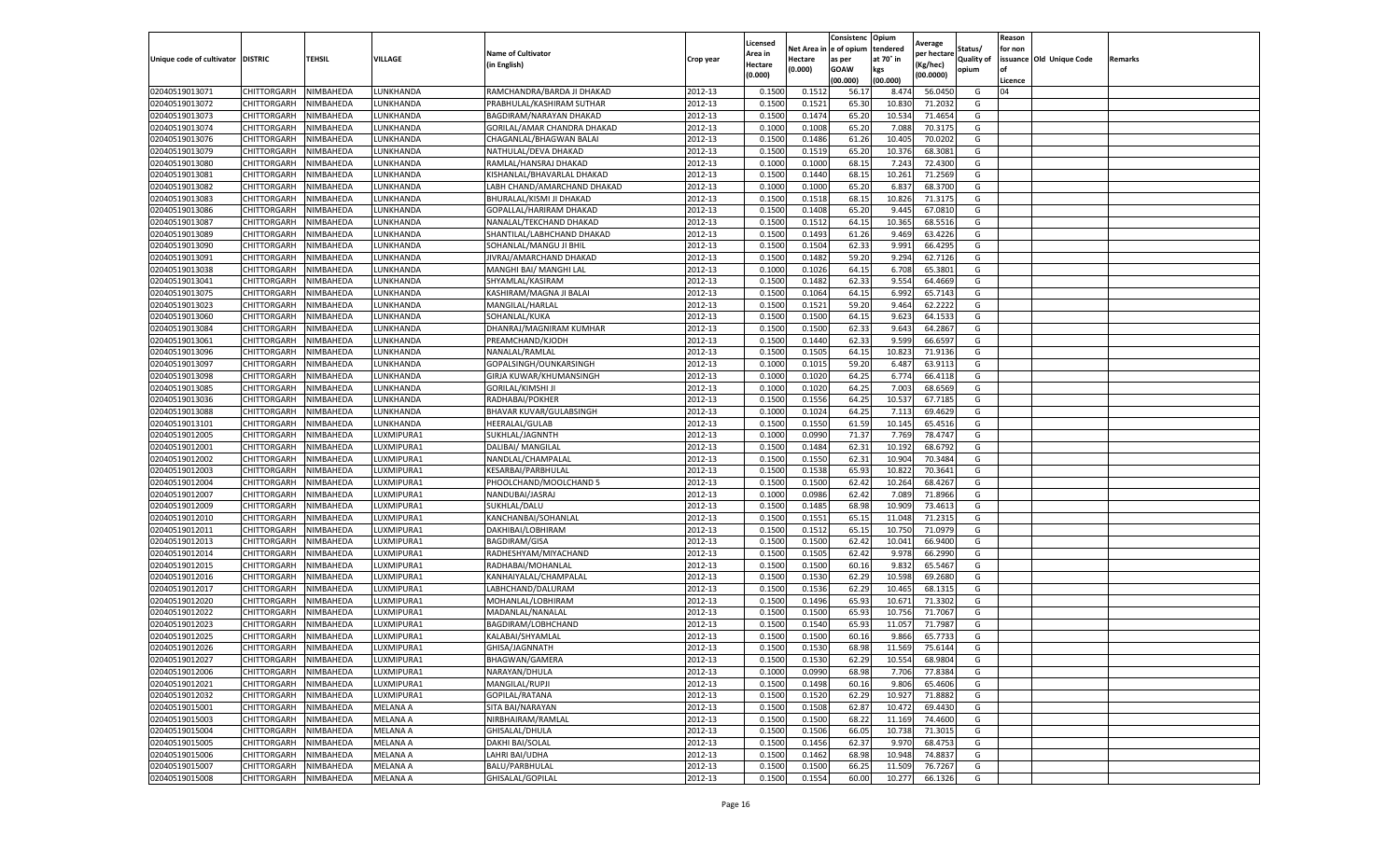|                           |                    |           |            |                                |           | Licensed |         | Consistenc             | Opium     |                        |                   | Reason  |                          |                |
|---------------------------|--------------------|-----------|------------|--------------------------------|-----------|----------|---------|------------------------|-----------|------------------------|-------------------|---------|--------------------------|----------------|
|                           |                    |           |            | <b>Name of Cultivator</b>      |           | Area in  |         | Net Area in e of opium | tendered  | Average<br>per hectare | Status/           | for non |                          |                |
| Unique code of cultivator | <b>DISTRIC</b>     | TEHSIL    | VILLAGE    | in English)                    | Crop year | Hectare  | Hectare | as per                 | at 70° in | (Kg/hec                | <b>Quality of</b> |         | issuance Old Unique Code | <b>Remarks</b> |
|                           |                    |           |            |                                |           | (0.000)  | (0.000) | <b>GOAW</b>            | kgs       | (00.0000)              | opium             |         |                          |                |
|                           |                    |           |            |                                |           |          |         | (00.000)               | (00.000)  |                        |                   | Licence |                          |                |
| 02040519013071            | CHITTORGARH        | NIMBAHEDA | LUNKHANDA  | RAMCHANDRA/BARDA JI DHAKAD     | 2012-13   | 0.1500   | 0.1512  | 56.17                  | 8.47      | 56.0450                | G                 | 04      |                          |                |
| 02040519013072            | CHITTORGARH        | NIMBAHEDA | LUNKHANDA  | PRABHULAL/KASHIRAM SUTHAR      | 2012-13   | 0.1500   | 0.1521  | 65.30                  | 10.83     | 71.2032                | G                 |         |                          |                |
| 02040519013073            | CHITTORGARH        | NIMBAHEDA | UNKHANDA.  | <b>BAGDIRAM/NARAYAN DHAKAD</b> | 2012-13   | 0.1500   | 0.1474  | 65.20                  | 10.534    | 71.4654                | G                 |         |                          |                |
| 02040519013074            | CHITTORGARH        | NIMBAHEDA | LUNKHANDA  | GORILAL/AMAR CHANDRA DHAKAD    | 2012-13   | 0.1000   | 0.1008  | 65.20                  | 7.088     | 70.3175                | G                 |         |                          |                |
| 02040519013076            | <b>CHITTORGARH</b> | NIMBAHEDA | LUNKHANDA  | CHAGANLAL/BHAGWAN BALAI        | 2012-13   | 0.1500   | 0.1486  | 61.26                  | 10.405    | 70.0202                | G                 |         |                          |                |
| 02040519013079            | CHITTORGARH        | NIMBAHEDA | UNKHANDA   | NATHULAL/DEVA DHAKAD           | 2012-13   | 0.1500   | 0.1519  | 65.20                  | 10.37     | 68.3081                | G                 |         |                          |                |
| 02040519013080            | CHITTORGARH        | NIMBAHEDA | LUNKHANDA  | RAMLAL/HANSRAJ DHAKAD          | 2012-13   | 0.1000   | 0.1000  | 68.15                  | 7.243     | 72.4300                | G                 |         |                          |                |
| 02040519013081            | CHITTORGARH        | NIMBAHEDA | LUNKHANDA  | KISHANLAL/BHAVARLAL DHAKAD     | 2012-13   | 0.1500   | 0.1440  | 68.15                  | 10.26     | 71.2569                | G                 |         |                          |                |
| 02040519013082            | CHITTORGARH        | NIMBAHEDA | LUNKHANDA  | LABH CHAND/AMARCHAND DHAKAD    | 2012-13   | 0.1000   | 0.1000  | 65.20                  | 6.837     | 68.3700                | G                 |         |                          |                |
| 02040519013083            | CHITTORGARH        | NIMBAHEDA | LUNKHANDA  | BHURALAL/KISMI JI DHAKAD       | 2012-13   | 0.1500   | 0.1518  | 68.15                  | 10.826    | 71.3175                | G                 |         |                          |                |
| 02040519013086            | CHITTORGARH        | NIMBAHEDA | LUNKHANDA  | GOPALLAL/HARIRAM DHAKAD        | 2012-13   | 0.1500   | 0.1408  | 65.20                  | 9.445     | 67.0810                | G                 |         |                          |                |
| 02040519013087            | CHITTORGARH        | NIMBAHEDA | UNKHANDA.  | NANALAL/TEKCHAND DHAKAD        | 2012-13   | 0.1500   | 0.1512  | 64.15                  | 10.365    | 68.5516                | G                 |         |                          |                |
| 02040519013089            | CHITTORGARH        | NIMBAHEDA | LUNKHANDA  | SHANTILAL/LABHCHAND DHAKAD     | 2012-13   | 0.1500   | 0.1493  | 61.26                  | 9.469     | 63.4226                | G                 |         |                          |                |
| 02040519013090            | CHITTORGARH        | NIMBAHEDA | LUNKHANDA  | SOHANLAL/MANGU JI BHIL         | 2012-13   | 0.1500   | 0.1504  | 62.33                  | 9.991     | 66.4295                | G                 |         |                          |                |
| 02040519013091            | CHITTORGARH        | NIMBAHEDA | LUNKHANDA  | JIVRAJ/AMARCHAND DHAKAD        | 2012-13   | 0.1500   | 0.1482  | 59.20                  | 9.294     | 62.7126                | G                 |         |                          |                |
| 02040519013038            | CHITTORGARH        | NIMBAHEDA | LUNKHANDA  | MANGHI BAI/ MANGHI LAL         | 2012-13   | 0.1000   | 0.1026  | 64.15                  | 6.708     | 65.3801                | G                 |         |                          |                |
| 02040519013041            | CHITTORGARH        | NIMBAHEDA | LUNKHANDA  | SHYAMLAL/KASIRAM               | 2012-13   | 0.1500   | 0.1482  | 62.33                  | 9.554     | 64.4669                | G                 |         |                          |                |
| 02040519013075            | CHITTORGARH        | NIMBAHEDA | LUNKHANDA  | KASHIRAM/MAGNA JI BALAI        | 2012-13   | 0.1500   | 0.1064  | 64.15                  | 6.992     | 65.7143                | G                 |         |                          |                |
| 02040519013023            | CHITTORGARH        | NIMBAHEDA | UNKHANDA.  | MANGILAL/HARLAL                | 2012-13   | 0.1500   | 0.1521  | 59.20                  | 9.464     | 62.2222                | G                 |         |                          |                |
| 02040519013060            | CHITTORGARH        | NIMBAHEDA | LUNKHANDA  | SOHANLAL/KUKA                  | 2012-13   | 0.1500   | 0.1500  | 64.15                  | 9.623     | 64.1533                | G                 |         |                          |                |
| 02040519013084            | CHITTORGARH        | NIMBAHEDA | LUNKHANDA  | DHANRAJ/MAGNIRAM KUMHAR        | 2012-13   | 0.1500   | 0.1500  | 62.33                  | 9.643     | 64.2867                | G                 |         |                          |                |
| 02040519013061            | CHITTORGARH        | NIMBAHEDA | UNKHANDA.  | PREAMCHAND/KJODH               | 2012-13   | 0.1500   | 0.1440  | 62.33                  | 9.599     | 66.6597                | G                 |         |                          |                |
| 02040519013096            | CHITTORGARH        | NIMBAHEDA | LUNKHANDA  | NANALAL/RAMLAL                 | 2012-13   | 0.1500   | 0.1505  | 64.15                  | 10.823    | 71.9136                | G                 |         |                          |                |
| 02040519013097            | CHITTORGARH        | NIMBAHEDA | LUNKHANDA  | GOPALSINGH/OUNKARSINGH         | 2012-13   | 0.1000   | 0.1015  | 59.20                  | 6.487     | 63.9113                | G                 |         |                          |                |
| 02040519013098            | CHITTORGARH        | NIMBAHEDA | UNKHANDA   | GIRJA KUWAR/KHUMANSINGH        | 2012-13   | 0.1000   | 0.1020  | 64.25                  | 6.77      | 66.4118                | G                 |         |                          |                |
| 02040519013085            | CHITTORGARH        | NIMBAHEDA | LUNKHANDA  | <b>GORILAL/KIMSHI JI</b>       | 2012-13   | 0.1000   | 0.1020  | 64.25                  | 7.003     | 68.6569                | G                 |         |                          |                |
| 02040519013036            | CHITTORGARH        | NIMBAHEDA | LUNKHANDA  | RADHABAI/POKHER                | 2012-13   | 0.1500   | 0.1556  | 64.25                  | 10.53     | 67.7185                | G                 |         |                          |                |
| 02040519013088            | CHITTORGARH        | NIMBAHEDA | UNKHANDA.  | BHAVAR KUVAR/GULABSINGH        | 2012-13   | 0.1000   | 0.1024  | 64.25                  | 7.113     | 69.4629                | G                 |         |                          |                |
| 02040519013101            | CHITTORGARH        | NIMBAHEDA | LUNKHANDA  | HEERALAL/GULAB                 | 2012-13   | 0.1500   | 0.1550  | 61.59                  | 10.145    | 65.4516                | G                 |         |                          |                |
| 02040519012005            | CHITTORGARH        | NIMBAHEDA | LUXMIPURA1 | SUKHLAL/JAGNNTH                | 2012-13   | 0.1000   | 0.0990  | 71.37                  | 7.769     | 78.4747                | G                 |         |                          |                |
| 02040519012001            | CHITTORGARH        | NIMBAHEDA | UXMIPURA1  | DALIBAI/ MANGILAL              | 2012-13   | 0.1500   | 0.1484  | 62.31                  | 10.19     | 68.6792                | G                 |         |                          |                |
| 02040519012002            | CHITTORGARH        | NIMBAHEDA | LUXMIPURA1 | NANDLAL/CHAMPALAI              | 2012-13   | 0.1500   | 0.1550  | 62.31                  | 10.904    | 70.3484                | G                 |         |                          |                |
| 02040519012003            | CHITTORGARH        | NIMBAHEDA | LUXMIPURA1 | KESARBAI/PARBHULAL             | 2012-13   | 0.1500   | 0.1538  | 65.93                  | 10.82     | 70.3641                | G                 |         |                          |                |
| 02040519012004            | CHITTORGARH        | NIMBAHEDA | LUXMIPURA1 | PHOOLCHAND/MOOLCHAND 5         | 2012-13   | 0.1500   | 0.1500  | 62.42                  | 10.264    | 68.4267                | G                 |         |                          |                |
| 02040519012007            | CHITTORGARH        | NIMBAHEDA | LUXMIPURA1 | NANDUBAI/JASRAJ                | 2012-13   | 0.1000   | 0.0986  | 62.42                  | 7.089     | 71.8966                | G                 |         |                          |                |
| 02040519012009            | CHITTORGARH        | NIMBAHEDA | LUXMIPURA1 | SUKHLAL/DALU                   | 2012-13   | 0.1500   | 0.1485  | 68.98                  | 10.909    | 73.4613                | G                 |         |                          |                |
| 02040519012010            | CHITTORGARH        | NIMBAHEDA | LUXMIPURA1 | KANCHANBAI/SOHANLAL            | 2012-13   | 0.1500   | 0.1551  | 65.15                  | 11.04     | 71.2315                | G                 |         |                          |                |
| 02040519012011            | CHITTORGARH        | NIMBAHEDA | UXMIPURA1  | DAKHIBAI/LOBHIRAM              | 2012-13   | 0.1500   | 0.1512  | 65.15                  | 10.75     | 71.0979                | G                 |         |                          |                |
| 02040519012013            | CHITTORGARH        | NIMBAHEDA | LUXMIPURA1 | <b>BAGDIRAM/GISA</b>           | 2012-13   | 0.1500   | 0.1500  | 62.42                  | 10.04     | 66.9400                | G                 |         |                          |                |
| 02040519012014            | CHITTORGARH        | NIMBAHEDA | LUXMIPURA1 | RADHESHYAM/MIYACHAND           | 2012-13   | 0.1500   | 0.1505  | 62.42                  | 9.978     | 66.2990                | G                 |         |                          |                |
| 02040519012015            | CHITTORGARH        | NIMBAHEDA | UXMIPURA1  | RADHABAI/MOHANLAL              | 2012-13   | 0.1500   | 0.1500  | 60.16                  | 9.832     | 65.5467                | G                 |         |                          |                |
| 02040519012016            | CHITTORGARH        | NIMBAHEDA | LUXMIPURA1 | KANHAIYALAL/CHAMPALAL          | 2012-13   | 0.1500   | 0.1530  | 62.29                  | 10.598    | 69.2680                | G                 |         |                          |                |
| 02040519012017            | CHITTORGARH        | NIMBAHEDA | LUXMIPURA1 | LABHCHAND/DALURAM              | 2012-13   | 0.1500   | 0.1536  | 62.29                  | 10.465    | 68.1315                | G                 |         |                          |                |
| 02040519012020            | CHITTORGARH        | NIMBAHEDA | LUXMIPURA1 | MOHANLAL/LOBHIRAM              | 2012-13   | 0.1500   | 0.1496  | 65.93                  | 10.67     | 71.3302                | G                 |         |                          |                |
| 02040519012022            | CHITTORGARH        | NIMBAHEDA | LUXMIPURA1 | MADANLAL/NANALAL               | 2012-13   | 0.1500   | 0.1500  | 65.93                  | 10.756    | 71.7067                | G                 |         |                          |                |
| 02040519012023            | CHITTORGARH        | NIMBAHEDA | LUXMIPURA1 | BAGDIRAM/LOBHCHAND             | 2012-13   | 0.1500   | 0.1540  | 65.93                  | 11.05     | 71.7987                | G                 |         |                          |                |
| 02040519012025            | CHITTORGARH        | NIMBAHEDA | UXMIPURA1  | KALABAI/SHYAMLAL               | 2012-13   | 0.1500   | 0.1500  | 60.16                  | 9.866     | 65.7733                | G                 |         |                          |                |
| 02040519012026            | CHITTORGARH        | NIMBAHEDA | LUXMIPURA1 | GHISA/JAGNNATH                 | 2012-13   | 0.1500   | 0.1530  | 68.98                  | 11.569    | 75.6144                | G                 |         |                          |                |
| 02040519012027            | CHITTORGARH        | NIMBAHEDA | LUXMIPURA1 | BHAGWAN/GAMERA                 | 2012-13   | 0.1500   | 0.1530  | 62.29                  | 10.554    | 68.9804                | G                 |         |                          |                |
| 02040519012006            | CHITTORGARH        | NIMBAHEDA | LUXMIPURA1 | NARAYAN/DHULA                  | 2012-13   | 0.1000   | 0.0990  | 68.98                  | 7.706     | 77.8384                | G                 |         |                          |                |
| 02040519012021            | CHITTORGARH        | NIMBAHEDA | LUXMIPURA1 | MANGILAL/RUPJI                 | 2012-13   | 0.1500   | 0.1498  | 60.16                  | 9.806     | 65.4606                | G                 |         |                          |                |
| 02040519012032            | CHITTORGARH        | NIMBAHEDA | LUXMIPURA1 | <b>GOPILAL/RATANA</b>          | 2012-13   | 0.1500   | 0.1520  | 62.29                  | 10.927    | 71.8882                | G                 |         |                          |                |
| 02040519015001            | CHITTORGARH        | NIMBAHEDA | MELANA A   | SITA BAI/NARAYAN               | 2012-13   | 0.1500   | 0.1508  | 62.87                  | 10.472    | 69.4430                | G                 |         |                          |                |
| 02040519015003            | <b>CHITTORGARH</b> | NIMBAHEDA | MELANA A   | NIRBHAIRAM/RAMLAL              | 2012-13   | 0.1500   | 0.1500  | 68.22                  | 11.169    | 74.4600                | G                 |         |                          |                |
| 02040519015004            | CHITTORGARH        | NIMBAHEDA | MELANA A   | GHISALAL/DHULA                 | 2012-13   | 0.1500   | 0.1506  | 66.05                  | 10.73     | 71.3015                | G                 |         |                          |                |
| 02040519015005            | CHITTORGARH        | NIMBAHEDA | MELANA A   | DAKHI BAI/SOLAL                | 2012-13   | 0.1500   | 0.1456  | 62.37                  | 9.97      | 68.4753                | G                 |         |                          |                |
| 02040519015006            | <b>CHITTORGARH</b> | NIMBAHEDA | MELANA A   | LAHRI BAI/UDHA                 | 2012-13   | 0.1500   | 0.1462  | 68.98                  | 10.948    | 74.8837                | G                 |         |                          |                |
| 02040519015007            | CHITTORGARH        | NIMBAHEDA | MELANA A   | <b>BALU/PARBHULAL</b>          | 2012-13   | 0.1500   | 0.1500  | 66.25                  | 11.509    | 76.7267                | G                 |         |                          |                |
| 02040519015008            | <b>CHITTORGARH</b> | NIMBAHEDA | MELANA A   | GHISALAL/GOPILAL               | 2012-13   | 0.1500   | 0.1554  | 60.00                  | 10.277    | 66.1326                | G                 |         |                          |                |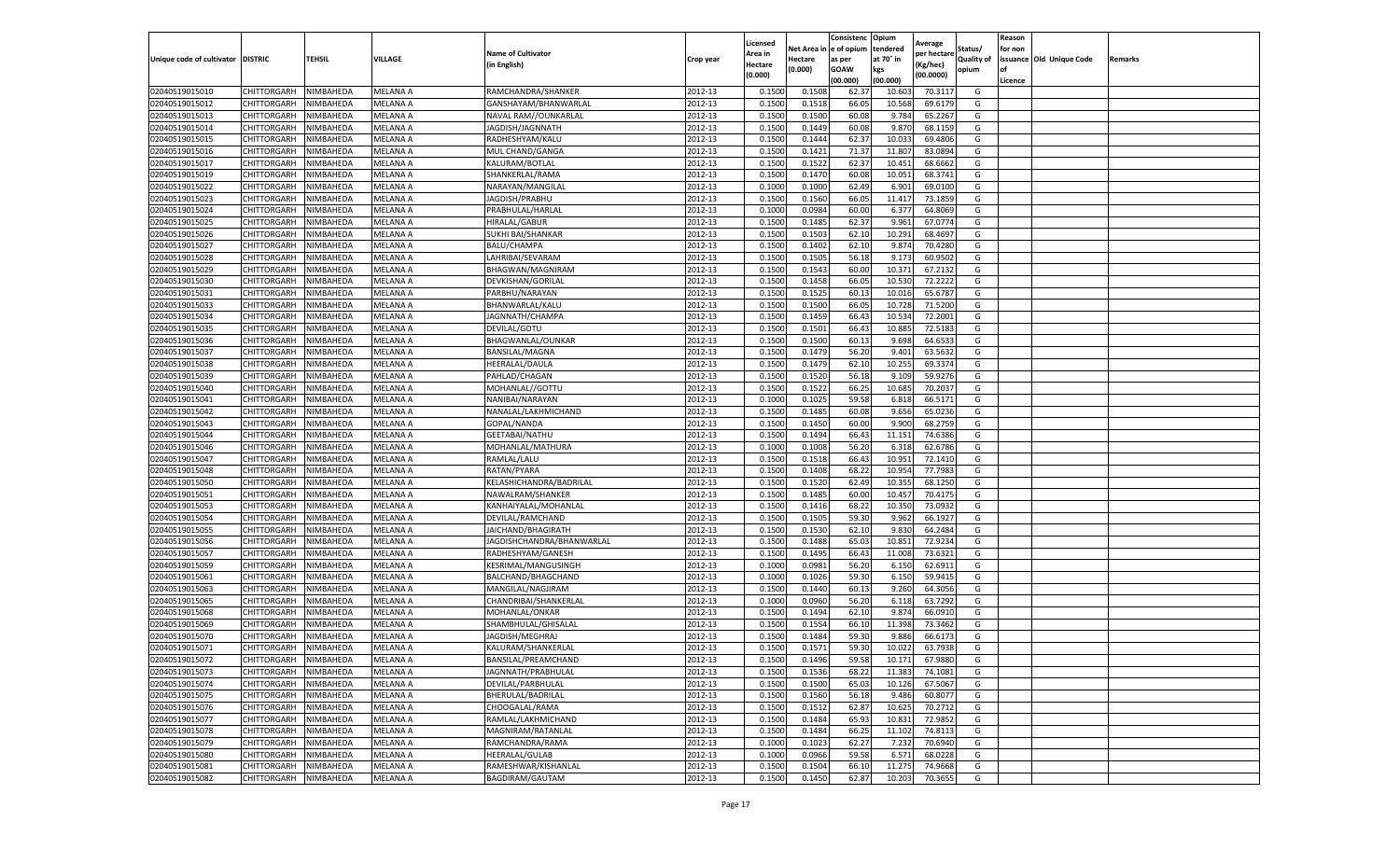|                                   |             |           |                 |                           |           | Licensed |            | Consistenc  | Opium     |                        |                   | Reason  |                          |         |
|-----------------------------------|-------------|-----------|-----------------|---------------------------|-----------|----------|------------|-------------|-----------|------------------------|-------------------|---------|--------------------------|---------|
|                                   |             |           |                 | <b>Name of Cultivator</b> |           | Area in  | Net Area i | e of opium  | tendered  | Average<br>per hectare | Status/           | for non |                          |         |
| Unique code of cultivator DISTRIC |             | TEHSIL    | VILLAGE         | (in English)              | Crop year | Hectare  | Hectare    | as per      | at 70° in | (Kg/hec)               | <b>Quality of</b> |         | issuance Old Unique Code | Remarks |
|                                   |             |           |                 |                           |           | (0.000)  | (0.000)    | <b>GOAW</b> | kgs       | (00.0000)              | opium             | οf      |                          |         |
|                                   |             |           |                 |                           |           |          |            | (00.000     | (00.000)  |                        |                   | Licence |                          |         |
| 02040519015010                    | CHITTORGARH | NIMBAHEDA | MELANA A        | RAMCHANDRA/SHANKER        | 2012-13   | 0.1500   | 0.1508     | 62.37       | 10.603    | 70.3117                | G                 |         |                          |         |
| 02040519015012                    | CHITTORGARH | NIMBAHEDA | MELANA A        | GANSHAYAM/BHANWARLAL      | 2012-13   | 0.150    | 0.1518     | 66.05       | 10.568    | 69.6179                | G                 |         |                          |         |
| 02040519015013                    | CHITTORGARH | NIMBAHEDA | MELANA A        | NAVAL RAM//OUNKARLAL      | 2012-13   | 0.1500   | 0.1500     | 60.08       | 9.784     | 65.2267                | G                 |         |                          |         |
| 02040519015014                    | CHITTORGARH | NIMBAHEDA | MELANA A        | JAGDISH/JAGNNATH          | 2012-13   | 0.1500   | 0.1449     | 60.08       | 9.870     | 68.1159                | G                 |         |                          |         |
| 02040519015015                    | CHITTORGARH | NIMBAHEDA | MELANA A        | RADHESHYAM/KALU           | 2012-13   | 0.1500   | 0.1444     | 62.37       | 10.033    | 69.4806                | G                 |         |                          |         |
| 02040519015016                    | CHITTORGARH | NIMBAHEDA | MELANA A        | MUL CHAND/GANGA           | 2012-13   | 0.1500   | 0.1421     | 71.37       | 11.807    | 83.0894                | G                 |         |                          |         |
| 02040519015017                    | CHITTORGARH | NIMBAHEDA | MELANA A        | KALURAM/BOTLAL            | 2012-13   | 0.1500   | 0.1522     | 62.37       | 10.451    | 68.6662                | G                 |         |                          |         |
| 02040519015019                    | CHITTORGARH | NIMBAHEDA | MELANA A        | SHANKERLAL/RAMA           | 2012-13   | 0.1500   | 0.1470     | 60.08       | 10.05     | 68.3741                | G                 |         |                          |         |
| 02040519015022                    | CHITTORGARH | NIMBAHEDA | MELANA A        | NARAYAN/MANGILAL          | 2012-13   | 0.1000   | 0.1000     | 62.49       | 6.901     | 69.0100                | G                 |         |                          |         |
| 02040519015023                    | CHITTORGARH | NIMBAHEDA | MELANA A        | JAGDISH/PRABHU            | 2012-13   | 0.1500   | 0.1560     | 66.05       | 11.417    | 73.1859                | G                 |         |                          |         |
| 02040519015024                    | CHITTORGARH | NIMBAHEDA | MELANA A        | PRABHULAL/HARLAL          | 2012-13   | 0.1000   | 0.0984     | 60.00       | 6.377     | 64.8069                | G                 |         |                          |         |
| 02040519015025                    | CHITTORGARH | NIMBAHEDA | MELANA A        | <b>HIRALAL/GABUR</b>      | 2012-13   | 0.1500   | 0.1485     | 62.37       | 9.961     | 67.0774                | G                 |         |                          |         |
| 02040519015026                    | CHITTORGARH | NIMBAHEDA | MELANA A        | SUKHI BAI/SHANKAR         | 2012-13   | 0.1500   | 0.1503     | 62.10       | 10.291    | 68.4697                | G                 |         |                          |         |
| 02040519015027                    | CHITTORGARH | NIMBAHEDA | MELANA A        | BALU/CHAMPA               | 2012-13   | 0.1500   | 0.1402     | 62.10       | 9.874     | 70.4280                | G                 |         |                          |         |
| 02040519015028                    | CHITTORGARH | NIMBAHEDA | MELANA A        | LAHRIBAI/SEVARAM          | 2012-13   | 0.1500   | 0.1505     | 56.18       | 9.173     | 60.9502                | G                 |         |                          |         |
| 02040519015029                    | CHITTORGARH | NIMBAHEDA | MELANA A        | BHAGWAN/MAGNIRAM          | 2012-13   | 0.1500   | 0.1543     | 60.00       | 10.371    | 67.2132                | G                 |         |                          |         |
| 02040519015030                    | CHITTORGARH | NIMBAHEDA | MELANA A        | DEVKISHAN/GORILAL         | 2012-13   | 0.1500   | 0.1458     | 66.0        | 10.53     | 72.2222                | G                 |         |                          |         |
| 02040519015031                    | CHITTORGARH | NIMBAHEDA | MELANA A        | PARBHU/NARAYAN            | 2012-13   | 0.1500   | 0.1525     | 60.13       | 10.016    | 65.6787                | G                 |         |                          |         |
| 02040519015033                    | CHITTORGARH | NIMBAHEDA | MELANA A        | BHANWARLAL/KALU           | 2012-13   | 0.1500   | 0.1500     | 66.05       | 10.728    | 71.5200                | G                 |         |                          |         |
| 02040519015034                    | CHITTORGARH | NIMBAHEDA | MELANA A        | JAGNNATH/CHAMPA           | 2012-13   | 0.1500   | 0.1459     | 66.43       | 10.534    | 72.2001                | G                 |         |                          |         |
| 02040519015035                    | CHITTORGARH | NIMBAHEDA | MELANA A        | DEVILAL/GOTU              | 2012-13   | 0.1500   | 0.1501     | 66.43       | 10.885    | 72.5183                | G                 |         |                          |         |
| 02040519015036                    | CHITTORGARH | NIMBAHEDA | MELANA A        | BHAGWANLAL/OUNKAR         | 2012-13   | 0.1500   | 0.1500     | 60.1        | 9.698     | 64.6533                | G                 |         |                          |         |
| 02040519015037                    | CHITTORGARH | NIMBAHEDA | MELANA A        | BANSILAL/MAGNA            | 2012-13   | 0.1500   | 0.1479     | 56.20       | 9.401     | 63.5632                | G                 |         |                          |         |
| 02040519015038                    | CHITTORGARH | NIMBAHEDA | MELANA A        | HEERALAL/DAULA            | 2012-13   | 0.1500   | 0.1479     | 62.10       | 10.255    | 69.3374                | G                 |         |                          |         |
| 02040519015039                    | CHITTORGARH | NIMBAHEDA | MELANA A        | PAHLAD/CHAGAN             | 2012-13   | 0.1500   | 0.1520     | 56.18       | 9.109     | 59.9276                | G                 |         |                          |         |
| 02040519015040                    | CHITTORGARH | NIMBAHEDA | MELANA A        | MOHANLAL//GOTTU           | 2012-13   | 0.1500   | 0.1522     | 66.25       | 10.685    | 70.2037                | G                 |         |                          |         |
| 02040519015041                    | CHITTORGARH | NIMBAHEDA | MELANA A        | NANIBAI/NARAYAN           | 2012-13   | 0.1000   | 0.1025     | 59.58       | 6.818     | 66.5171                | G                 |         |                          |         |
| 02040519015042                    | CHITTORGARH | NIMBAHEDA | MELANA A        | NANALAL/LAKHMICHAND       | 2012-13   | 0.1500   | 0.1485     | 60.08       | 9.656     | 65.0236                | G                 |         |                          |         |
| 02040519015043                    | CHITTORGARH | NIMBAHEDA | MELANA A        | GOPAL/NANDA               | 2012-13   | 0.1500   | 0.1450     | 60.00       | 9.900     | 68.2759                | G                 |         |                          |         |
| 02040519015044                    | CHITTORGARH | NIMBAHEDA | MELANA A        | GEETABAI/NATHU            | 2012-13   | 0.1500   | 0.1494     | 66.43       | 11.151    | 74.6386                | G                 |         |                          |         |
| 02040519015046                    | CHITTORGARH | NIMBAHEDA | MELANA A        | MOHANLAL/MATHURA          | 2012-13   | 0.1000   | 0.1008     | 56.20       | 6.318     | 62.6786                | G                 |         |                          |         |
| 02040519015047                    | CHITTORGARH | NIMBAHEDA | MELANA A        | RAMLAL/LALU               | 2012-13   | 0.1500   | 0.1518     | 66.43       | 10.951    | 72.1410                | G                 |         |                          |         |
| 02040519015048                    | CHITTORGARH | NIMBAHEDA | MELANA A        | RATAN/PYARA               | 2012-13   | 0.1500   | 0.1408     | 68.22       | 10.954    | 77.7983                | G                 |         |                          |         |
| 02040519015050                    | CHITTORGARH | NIMBAHEDA | MELANA A        | KELASHICHANDRA/BADRILAL   | 2012-13   | 0.1500   | 0.1520     | 62.49       | 10.355    | 68.1250                | G                 |         |                          |         |
| 02040519015051                    | CHITTORGARH | NIMBAHEDA | MELANA A        | NAWALRAM/SHANKER          | 2012-13   | 0.1500   | 0.1485     | 60.00       | 10.457    | 70.4175                | G                 |         |                          |         |
| 02040519015053                    | CHITTORGARH | NIMBAHEDA | MELANA A        | KANHAIYALAL/MOHANLAL      | 2012-13   | 0.1500   | 0.1416     | 68.22       | 10.350    | 73.0932                | G                 |         |                          |         |
| 02040519015054                    | CHITTORGARH | NIMBAHEDA | MELANA A        | DEVILAL/RAMCHAND          | 2012-13   | 0.1500   | 0.1505     | 59.30       | 9.962     | 66.1927                | G                 |         |                          |         |
| 02040519015055                    | CHITTORGARH | NIMBAHEDA | MELANA A        | JAICHAND/BHAGIRATH        | 2012-13   | 0.1500   | 0.1530     | 62.10       | 9.83      | 64.2484                | G                 |         |                          |         |
| 02040519015056                    | CHITTORGARH | NIMBAHEDA | MELANA A        | JAGDISHCHANDRA/BHANWARLAL | 2012-13   | 0.1500   | 0.1488     | 65.03       | 10.851    | 72.9234                | G                 |         |                          |         |
| 02040519015057                    | CHITTORGARH | NIMBAHEDA | MELANA A        | RADHESHYAM/GANESH         | 2012-13   | 0.1500   | 0.1495     | 66.43       | 11.008    | 73.6321                | G                 |         |                          |         |
| 02040519015059                    | CHITTORGARH | NIMBAHEDA | MELANA A        | KESRIMAL/MANGUSINGH       | 2012-13   | 0.1000   | 0.0981     | 56.20       | 6.150     | 62.6911                | G                 |         |                          |         |
| 02040519015061                    | CHITTORGARH | NIMBAHEDA | MELANA A        | BALCHAND/BHAGCHAND        | 2012-13   | 0.1000   | 0.1026     | 59.30       | 6.150     | 59.9415                | G                 |         |                          |         |
| 02040519015063                    | CHITTORGARH | NIMBAHEDA | MELANA A        | MANGILAL/NAGJIRAM         | 2012-13   | 0.1500   | 0.1440     | 60.13       | 9.260     | 64.3056                | G                 |         |                          |         |
| 02040519015065                    | CHITTORGARH | NIMBAHEDA | MELANA A        | CHANDRIBAI/SHANKERLAL     | 2012-13   | 0.1000   | 0.0960     | 56.20       | 6.118     | 63.7292                | G                 |         |                          |         |
| 02040519015068                    | CHITTORGARH | NIMBAHEDA | MELANA A        | MOHANLAL/ONKAR            | 2012-13   | 0.1500   | 0.1494     | 62.10       | 9.874     | 66.0910                | G                 |         |                          |         |
| 02040519015069                    | CHITTORGARH | NIMBAHEDA | MELANA A        | SHAMBHULAL/GHISALAL       | 2012-13   | 0.150    | 0.1554     | 66.10       | 11.398    | 73.3462                | G                 |         |                          |         |
| 02040519015070                    | CHITTORGARH | NIMBAHEDA | MELANA A        | JAGDISH/MEGHRAJ           | 2012-13   | 0.1500   | 0.1484     | 59.30       | 9.886     | 66.6173                | G                 |         |                          |         |
| 02040519015071                    | CHITTORGARH | NIMBAHEDA | <b>MELANA A</b> | KALURAM/SHANKERLAL        | 2012-13   | 0.1500   | 0.1571     | 59.30       | 10.022    | 63.7938                | G                 |         |                          |         |
| 02040519015072                    | CHITTORGARH | NIMBAHEDA | MELANA A        | BANSILAL/PREAMCHAND       | 2012-13   | 0.1500   | 0.1496     | 59.58       | 10.171    | 67.9880                | G                 |         |                          |         |
| 02040519015073                    | CHITTORGARH | NIMBAHEDA | MELANA A        | JAGNNATH/PRABHULAL        | 2012-13   | 0.1500   | 0.1536     | 68.22       | 11.383    | 74.1081                | G                 |         |                          |         |
| 02040519015074                    | CHITTORGARH | NIMBAHEDA | MELANA A        | DEVILAL/PARBHULAL         | 2012-13   | 0.1500   | 0.1500     | 65.03       | 10.126    | 67.5067                | G                 |         |                          |         |
| 02040519015075                    | CHITTORGARH | NIMBAHEDA | MELANA A        | BHERULAL/BADRILAL         | 2012-13   | 0.1500   | 0.1560     | 56.18       | 9.486     | 60.8077                | G                 |         |                          |         |
| 02040519015076                    | CHITTORGARH | NIMBAHEDA | MELANA A        | CHOOGALAL/RAMA            | 2012-13   | 0.1500   | 0.1512     | 62.87       | 10.625    | 70.2712                | G                 |         |                          |         |
| 02040519015077                    | CHITTORGARH | NIMBAHEDA | <b>MELANA A</b> | RAMLAL/LAKHMICHAND        | 2012-13   | 0.1500   | 0.1484     | 65.93       | 10.831    | 72.9852                | G                 |         |                          |         |
| 02040519015078                    | CHITTORGARH | NIMBAHEDA | MELANA A        | MAGNIRAM/RATANLAL         | 2012-13   | 0.1500   | 0.1484     | 66.25       | 11.102    | 74.8113                | G                 |         |                          |         |
| 02040519015079                    | CHITTORGARH | NIMBAHEDA | MELANA A        | RAMCHANDRA/RAMA           | 2012-13   | 0.1000   | 0.1023     | 62.27       | 7.232     | 70.6940                | G                 |         |                          |         |
| 02040519015080                    | CHITTORGARH | NIMBAHEDA | MELANA A        | HEERALAL/GULAB            | 2012-13   | 0.1000   | 0.0966     | 59.58       | 6.571     | 68.0228                | G                 |         |                          |         |
| 02040519015081                    | CHITTORGARH | NIMBAHEDA | MELANA A        | RAMESHWAR/KISHANLAL       | 2012-13   | 0.1500   | 0.1504     | 66.10       | 11.275    | 74.9668                | G                 |         |                          |         |
| 02040519015082                    | CHITTORGARH | NIMBAHEDA | MELANA A        | <b>BAGDIRAM/GAUTAM</b>    | 2012-13   | 0.1500   | 0.1450     | 62.87       | 10.203    | 70.3655                | G                 |         |                          |         |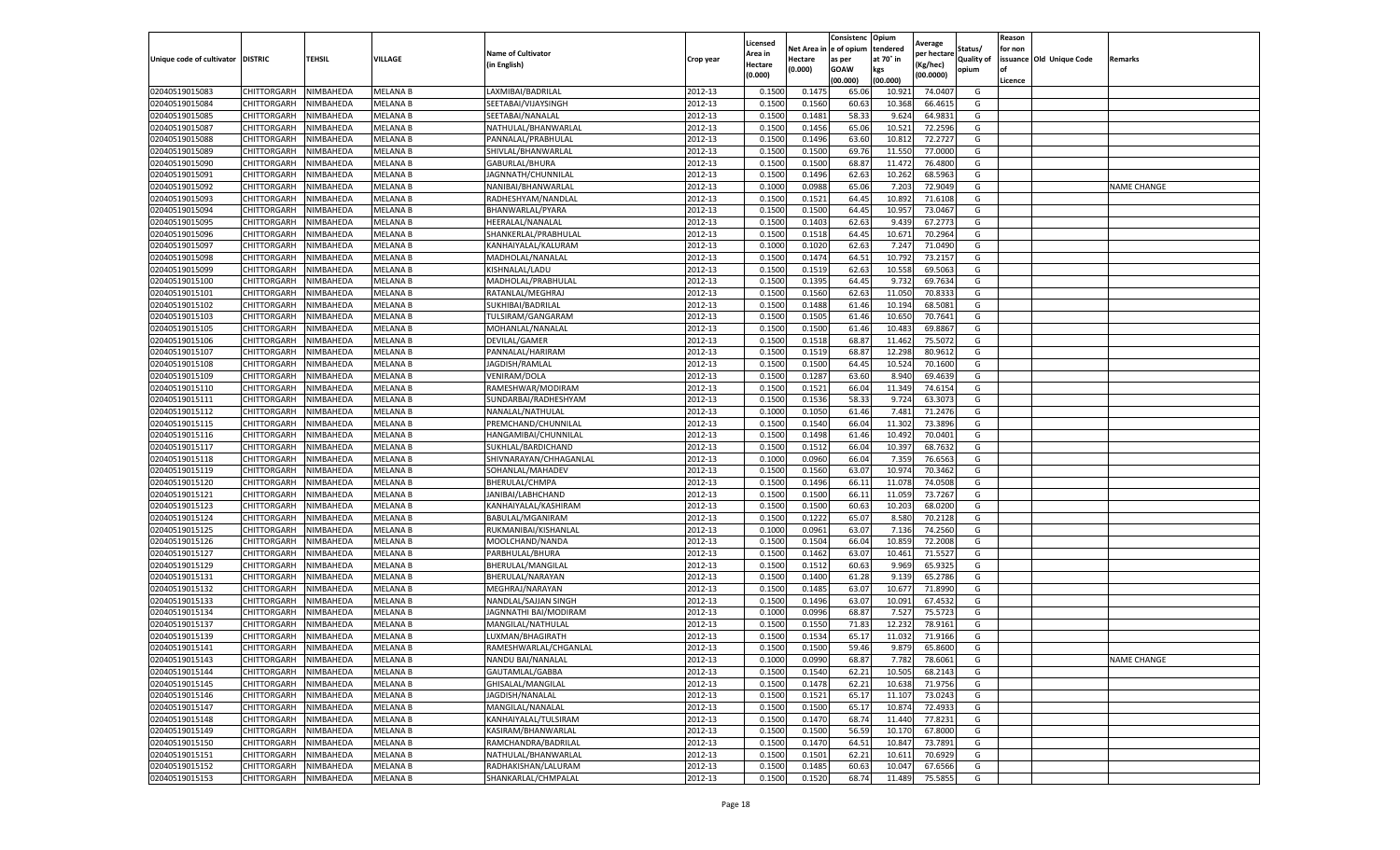|                                   |                    |           |                             |                                            |                    | Licensed |                  | Consistenc             | Opium            |                        |                   | Reason  |                          |                    |
|-----------------------------------|--------------------|-----------|-----------------------------|--------------------------------------------|--------------------|----------|------------------|------------------------|------------------|------------------------|-------------------|---------|--------------------------|--------------------|
|                                   |                    |           |                             | <b>Name of Cultivator</b>                  |                    | Area in  |                  | Net Area in e of opium | tendered         | Average<br>per hectare | Status/           | for non |                          |                    |
| Unique code of cultivator DISTRIC |                    | TEHSIL    | VILLAGE                     | in English)                                | Crop year          | Hectare  | Hectare          | as per                 | at 70° in        | (Kg/hec                | <b>Quality of</b> |         | issuance Old Unique Code | <b>Remarks</b>     |
|                                   |                    |           |                             |                                            |                    | (0.000)  | (0.000)          | <b>GOAW</b>            | kgs              | (00.0000)              | opium             |         |                          |                    |
|                                   |                    |           |                             |                                            |                    |          |                  | (00.000)               | (00.000)         |                        |                   | Licence |                          |                    |
| 02040519015083                    | CHITTORGARH        | NIMBAHEDA | <b>MELANA B</b>             | LAXMIBAI/BADRILAL                          | 2012-13            | 0.1500   | 0.1475           | 65.06                  | 10.92            | 74.0407                | G                 |         |                          |                    |
| 02040519015084                    | CHITTORGARH        | NIMBAHEDA | <b>MELANA B</b>             | SEETABAI/VIJAYSINGH                        | 2012-13            | 0.1500   | 0.1560           | 60.63                  | 10.36            | 66.4615                | G                 |         |                          |                    |
| 02040519015085                    | CHITTORGARH        | NIMBAHEDA | MELANA B                    | SEETABAI/NANALAL                           | 2012-13            | 0.1500   | 0.1481           | 58.33                  | 9.624            | 64.9831                | G                 |         |                          |                    |
| 02040519015087                    | CHITTORGARH        | NIMBAHEDA | MELANA B                    | NATHULAL/BHANWARLAL                        | 2012-13            | 0.1500   | 0.1456           | 65.06                  | 10.521           | 72.2596                | G                 |         |                          |                    |
| 02040519015088                    | CHITTORGARH        | NIMBAHEDA | MELANA B                    | PANNALAL/PRABHULAL                         | 2012-13            | 0.1500   | 0.1496           | 63.60                  | 10.81            | 72.2727                | G                 |         |                          |                    |
| 02040519015089                    | CHITTORGARH        | NIMBAHEDA | <b>MELANA B</b>             | SHIVLAL/BHANWARLAL                         | 2012-13            | 0.1500   | 0.1500           | 69.76                  | 11.55            | 77.0000                | G                 |         |                          |                    |
| 02040519015090                    | CHITTORGARH        | NIMBAHEDA | <b>MELANA B</b>             | GABURLAL/BHURA                             | 2012-13            | 0.1500   | 0.1500           | 68.87                  | 11.472           | 76.4800                | G                 |         |                          |                    |
| 02040519015091                    | CHITTORGARH        | NIMBAHEDA | MELANA B                    | JAGNNATH/CHUNNILAL                         | 2012-13            | 0.1500   | 0.1496           | 62.63                  | 10.262           | 68.5963                | G                 |         |                          |                    |
| 02040519015092                    | CHITTORGARH        | NIMBAHEDA | MELANA B                    | NANIBAI/BHANWARLAL                         | 2012-13            | 0.1000   | 0.0988           | 65.06                  | 7.203            | 72.9049                | G                 |         |                          | <b>NAME CHANGE</b> |
| 02040519015093                    | CHITTORGARH        | NIMBAHEDA | <b>MELANA B</b>             | RADHESHYAM/NANDLAL                         | 2012-13            | 0.1500   | 0.1521           | 64.45                  | 10.892           | 71.6108                | G                 |         |                          |                    |
| 02040519015094                    | CHITTORGARH        | NIMBAHEDA | MELANA B                    | BHANWARLAL/PYARA                           | 2012-13            | 0.1500   | 0.1500           | 64.45                  | 10.95            | 73.0467                | G                 |         |                          |                    |
| 02040519015095                    | CHITTORGARH        | NIMBAHEDA | MELANA B                    | HEERALAL/NANALAL                           | 2012-13            | 0.1500   | 0.1403           | 62.63                  | 9.43             | 67.2773                | G                 |         |                          |                    |
| 02040519015096                    | CHITTORGARH        | NIMBAHEDA | MELANA B                    | SHANKERLAL/PRABHULAI                       | 2012-13            | 0.1500   | 0.1518           | 64.45                  | 10.67            | 70.2964                | G                 |         |                          |                    |
| 02040519015097                    | CHITTORGARH        | NIMBAHEDA | MELANA B                    | KANHAIYALAL/KALURAM                        | 2012-13            | 0.1000   | 0.1020           | 62.63                  | 7.24             | 71.0490                | G                 |         |                          |                    |
| 02040519015098                    | CHITTORGARH        | NIMBAHEDA | MELANA B                    | MADHOLAL/NANALAL                           | 2012-13            | 0.1500   | 0.1474           | 64.51                  | 10.79            | 73.2157                | G                 |         |                          |                    |
| 02040519015099                    | CHITTORGARH        | NIMBAHEDA | MELANA B                    | KISHNALAL/LADU                             | 2012-13            | 0.1500   | 0.1519           | 62.63                  | 10.55            | 69.5063                | G                 |         |                          |                    |
| 02040519015100                    | CHITTORGARH        | NIMBAHEDA | MELANA B                    | MADHOLAL/PRABHULAL                         | 2012-13            | 0.1500   | 0.1395           | 64.45                  | 9.732            | 69.7634                | G                 |         |                          |                    |
| 02040519015101                    | CHITTORGARH        | NIMBAHEDA | <b>MELANA B</b>             | RATANLAL/MEGHRAJ                           | 2012-13            | 0.1500   | 0.1560           | 62.63                  | 11.05            | 70.8333                | G                 |         |                          |                    |
| 02040519015102                    | CHITTORGARH        | NIMBAHEDA | MELANA B                    | SUKHIBAI/BADRILAL                          | 2012-13            | 0.1500   | 0.1488           | 61.46                  | 10.19            | 68.5081                | G                 |         |                          |                    |
| 02040519015103                    | CHITTORGARH        | NIMBAHEDA | MELANA B                    | TULSIRAM/GANGARAM                          | 2012-13            | 0.1500   | 0.1505           | 61.46                  | 10.65            | 70.7641                | G                 |         |                          |                    |
| 02040519015105                    | CHITTORGARH        | NIMBAHEDA | <b>MELANA B</b>             | MOHANLAL/NANALAL                           | 2012-13            | 0.1500   | 0.1500           | 61.46                  | 10.483           | 69.8867                | G                 |         |                          |                    |
| 02040519015106                    | CHITTORGARH        | NIMBAHEDA | MELANA B                    | DEVILAL/GAMER                              | 2012-13            | 0.1500   | 0.1518           | 68.87                  | 11.462           | 75.5072                | G                 |         |                          |                    |
| 02040519015107                    | CHITTORGARH        | NIMBAHEDA | MELANA B                    | PANNALAL/HARIRAM                           | 2012-13            | 0.1500   | 0.1519           | 68.87                  | 12.298           | 80.9612                | G                 |         |                          |                    |
| 02040519015108                    | CHITTORGARH        | NIMBAHEDA | MELANA B                    | JAGDISH/RAMLAL                             | 2012-13            | 0.1500   | 0.1500           | 64.45                  | 10.524           | 70.1600                | G                 |         |                          |                    |
| 02040519015109                    | CHITTORGARH        | NIMBAHEDA | MELANA B                    | VENIRAM/DOLA                               | 2012-13            | 0.1500   | 0.1287           | 63.60                  | 8.94             | 69.4639                | G                 |         |                          |                    |
| 02040519015110                    | CHITTORGARH        | NIMBAHEDA | <b>MELANA B</b>             | RAMESHWAR/MODIRAM                          | 2012-13            | 0.1500   | 0.1521           | 66.04                  | 11.349           | 74.6154                | G                 |         |                          |                    |
| 02040519015111                    | CHITTORGARH        | NIMBAHEDA | MELANA B                    | SUNDARBAI/RADHESHYAM                       | 2012-13            | 0.1500   | 0.1536           | 58.33                  | 9.724            | 63.307                 | G                 |         |                          |                    |
| 02040519015112                    | CHITTORGARH        | NIMBAHEDA | MELANA B                    | NANALAL/NATHULAL                           | 2012-13            | 0.1000   | 0.1050           | 61.46                  | 7.481            | 71.2476                | G                 |         |                          |                    |
| 02040519015115                    | CHITTORGARH        | NIMBAHEDA | MELANA B                    | PREMCHAND/CHUNNILAL                        | 2012-13            | 0.1500   | 0.1540           | 66.04                  | 11.302           | 73.3896                | G                 |         |                          |                    |
| 02040519015116                    | CHITTORGARH        | NIMBAHEDA | MELANA B                    | HANGAMIBAI/CHUNNILAL                       | 2012-13            | 0.1500   | 0.1498           | 61.46                  | 10.492           | 70.0401                | G                 |         |                          |                    |
| 02040519015117                    | CHITTORGARH        | NIMBAHEDA | MELANA B                    | SUKHLAL/BARDICHAND                         | 2012-13            | 0.1500   | 0.1512           | 66.04                  | 10.39            | 68.7632                | G                 |         |                          |                    |
| 02040519015118                    | CHITTORGARH        | NIMBAHEDA | MELANA B                    | SHIVNARAYAN/CHHAGANLAI                     | 2012-13            | 0.1000   | 0.0960           | 66.04                  | 7.359            | 76.6563                | G                 |         |                          |                    |
| 02040519015119                    | CHITTORGARH        | NIMBAHEDA | MELANA B                    | SOHANLAL/MAHADEV                           | 2012-13            | 0.1500   | 0.1560           | 63.07                  | 10.97            | 70.3462                | G                 |         |                          |                    |
| 02040519015120                    | CHITTORGARH        | NIMBAHEDA | MELANA B                    | BHERULAL/CHMPA                             | 2012-13            | 0.1500   | 0.1496           | 66.11                  | 11.07            | 74.0508                | G                 |         |                          |                    |
| 02040519015121                    | CHITTORGARH        | NIMBAHEDA | MELANA B                    | JANIBAI/LABHCHAND                          | 2012-13            | 0.1500   | 0.1500           | 66.11                  | 11.059           | 73.7267                | G                 |         |                          |                    |
| 02040519015123                    | CHITTORGARH        | NIMBAHEDA | MELANA B                    | KANHAIYALAL/KASHIRAM                       | 2012-13            | 0.1500   | 0.1500           | 60.63                  | 10.203           | 68.0200                | G                 |         |                          |                    |
| 02040519015124                    | CHITTORGARH        | NIMBAHEDA | <b>MELANA B</b>             | BABULAL/MGANIRAM                           | 2012-13            | 0.1500   | 0.1222           | 65.07                  | 8.580            | 70.2128                | G                 |         |                          |                    |
| 02040519015125                    | CHITTORGARH        | NIMBAHEDA | MELANA B                    | RUKMANIBAI/KISHANLAI                       | 2012-13            | 0.1000   | 0.0961           | 63.07                  | 7.13             | 74.2560                | G                 |         |                          |                    |
| 02040519015126                    | CHITTORGARH        | NIMBAHEDA | MELANA B                    | MOOLCHAND/NANDA                            | 2012-13            | 0.1500   | 0.1504           | 66.04                  | 10.859           | 72.2008                | G                 |         |                          |                    |
| 02040519015127                    | CHITTORGARH        | NIMBAHEDA | MELANA B                    | PARBHULAL/BHURA                            | 2012-13            | 0.1500   | 0.1462           | 63.07                  | 10.461           | 71.5527                | G                 |         |                          |                    |
| 02040519015129                    | CHITTORGARH        | NIMBAHEDA | MELANA B                    | BHERULAL/MANGILAL                          | 2012-13            | 0.1500   | 0.1512           | 60.63                  | 9.969            | 65.9325                | G                 |         |                          |                    |
| 02040519015131                    | CHITTORGARH        | NIMBAHEDA | MELANA B                    | BHERULAL/NARAYAN                           | 2012-13            | 0.1500   | 0.1400           | 61.28                  | 9.139            | 65.2786                | G                 |         |                          |                    |
| 02040519015132                    | CHITTORGARH        | NIMBAHEDA | MELANA B                    | MEGHRAJ/NARAYAN                            | 2012-13            | 0.1500   | 0.1485           | 63.07                  | 10.67            | 71.8990                | G                 |         |                          |                    |
| 02040519015133                    | CHITTORGARH        | NIMBAHEDA | MELANA B                    | NANDLAL/SAJJAN SINGH                       | 2012-13            | 0.1500   | 0.1496           | 63.07                  | 10.09            | 67.4532                | G                 |         |                          |                    |
| 02040519015134                    | CHITTORGARH        | NIMBAHEDA | <b>MELANA B</b>             | JAGNNATHI BAI/MODIRAM                      | 2012-13            | 0.1000   | 0.0996           | 68.87                  | 7.527            | 75.5723                | G                 |         |                          |                    |
| 02040519015137                    | CHITTORGARH        | NIMBAHEDA | MELANA B                    | MANGILAL/NATHULAL                          | 2012-13            | 0.1500   | 0.1550           | 71.83                  | 12.23            | 78.9161                | G                 |         |                          |                    |
| 02040519015139                    | CHITTORGARH        | NIMBAHEDA | <b>MELANA B</b>             | LUXMAN/BHAGIRATH                           | 2012-13            | 0.1500   | 0.1534           | 65.17                  | 11.03            | 71.9166                | G                 |         |                          |                    |
| 02040519015141                    | CHITTORGARH        | NIMBAHEDA | <b>MELANA B</b>             | RAMESHWARLAL/CHGANLAL                      | 2012-13            | 0.1500   | 0.1500           | 59.46                  | 9.879            | 65.8600                | G                 |         |                          |                    |
| 02040519015143                    | CHITTORGARH        | NIMBAHEDA | <b>MELANA B</b>             | NANDU BAI/NANALAL                          | 2012-13            | 0.1000   | 0.0990           | 68.87                  | 7.782            | 78.6061                | G                 |         |                          | <b>NAME CHANGE</b> |
| 02040519015144                    | CHITTORGARH        | NIMBAHEDA | <b>MELANA B</b>             | GAUTAMLAL/GABBA                            | 2012-13            | 0.1500   | 0.1540           | 62.21                  | 10.505           | 68.2143                | G                 |         |                          |                    |
| 02040519015145                    | CHITTORGARH        | NIMBAHEDA | MELANA B                    | GHISALAL/MANGILAL                          | 2012-13            | 0.1500   | 0.1478           | 62.21                  | 10.638           | 71.9756                | G                 |         |                          |                    |
|                                   |                    |           |                             |                                            |                    |          |                  |                        |                  |                        |                   |         |                          |                    |
| 02040519015146                    | CHITTORGARH        | NIMBAHEDA | MELANA B                    | JAGDISH/NANALAL                            | 2012-13            | 0.1500   | 0.1521           | 65.17                  | 11.107           | 73.0243                | G                 |         |                          |                    |
| 02040519015147                    | CHITTORGARH        | NIMBAHEDA | MELANA B                    | MANGILAL/NANALAL                           | 2012-13<br>2012-13 | 0.1500   | 0.1500<br>0.1470 | 65.17                  | 10.874<br>11.440 | 72.4933<br>77.8231     | G<br>G            |         |                          |                    |
| 02040519015148                    | <b>CHITTORGARH</b> | NIMBAHEDA | <b>MELANA B</b>             | KANHAIYALAL/TULSIRAM<br>KASIRAM/BHANWARLAL |                    | 0.1500   |                  | 68.74                  |                  |                        |                   |         |                          |                    |
| 02040519015149                    | CHITTORGARH        | NIMBAHEDA | MELANA B                    |                                            | 2012-13            | 0.1500   | 0.1500           | 56.59                  | 10.17            | 67.8000                | G                 |         |                          |                    |
| 02040519015150                    | CHITTORGARH        | NIMBAHEDA | MELANA B<br><b>MELANA B</b> | RAMCHANDRA/BADRILAL                        | 2012-13            | 0.1500   | 0.1470           | 64.51                  | 10.84            | 73.7891                | G                 |         |                          |                    |
| 02040519015151                    | CHITTORGARH        | NIMBAHEDA |                             | NATHULAL/BHANWARLAL                        | 2012-13            | 0.1500   | 0.1501           | 62.21                  | 10.611           | 70.6929                | G                 |         |                          |                    |
| 02040519015152                    | CHITTORGARH        | NIMBAHEDA | MELANA B                    | RADHAKISHAN/LALURAM                        | 2012-13            | 0.1500   | 0.1485           | 60.63                  | 10.047           | 67.6566                | G                 |         |                          |                    |
| 02040519015153                    | <b>CHITTORGARH</b> | NIMBAHEDA | MELANA B                    | SHANKARLAL/CHMPALAL                        | 2012-13            | 0.1500   | 0.1520           | 68.74                  | 11.489           | 75.5855                | G                 |         |                          |                    |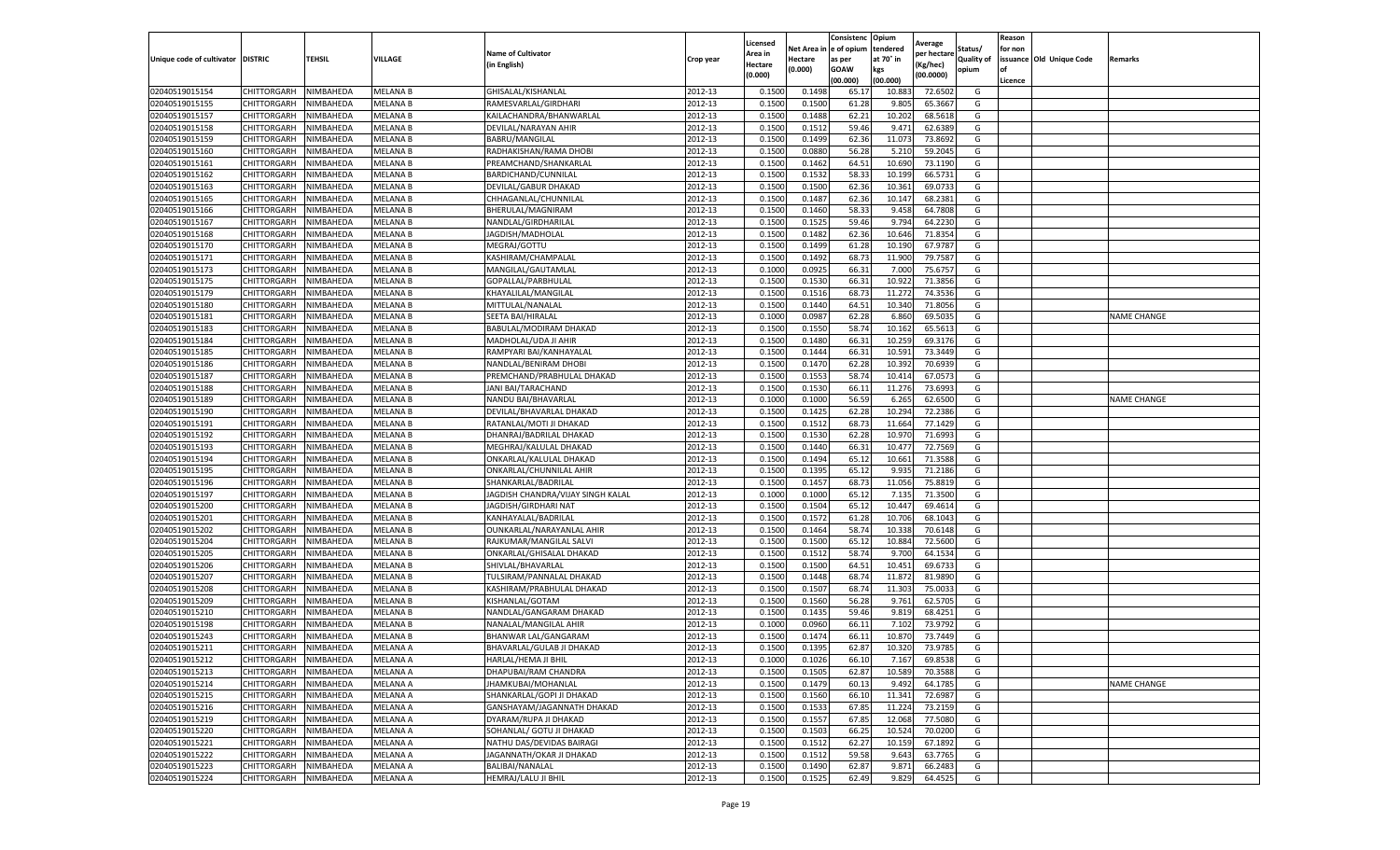|                                   |                       |           |                 |                                   |           | Licensed |         | Consistenc             | Opium     |                        |                   | Reason  |                          |                    |
|-----------------------------------|-----------------------|-----------|-----------------|-----------------------------------|-----------|----------|---------|------------------------|-----------|------------------------|-------------------|---------|--------------------------|--------------------|
|                                   |                       |           |                 | <b>Name of Cultivator</b>         |           | Area in  |         | Net Area in e of opium | tendered  | Average<br>per hectare | Status/           | for non |                          |                    |
| Unique code of cultivator DISTRIC |                       | TEHSIL    | VILLAGE         | in English)                       | Crop year | Hectare  | Hectare | as per                 | at 70° in | (Kg/hec                | <b>Quality of</b> |         | issuance Old Unique Code | <b>Remarks</b>     |
|                                   |                       |           |                 |                                   |           | (0.000)  | (0.000) | <b>GOAW</b>            | kgs       | (00.0000)              | opium             |         |                          |                    |
|                                   |                       |           |                 |                                   |           |          |         | (00.000)               | (00.000)  |                        |                   | Licence |                          |                    |
| 02040519015154                    | CHITTORGARH           | NIMBAHEDA | <b>MELANA B</b> | GHISALAL/KISHANLAI                | 2012-13   | 0.1500   | 0.1498  | 65.1                   | 10.88     | 72.6502                | G                 |         |                          |                    |
| 02040519015155                    | CHITTORGARH           | NIMBAHEDA | <b>MELANA B</b> | RAMESVARLAL/GIRDHARI              | 2012-13   | 0.1500   | 0.1500  | 61.28                  | 9.80      | 65.3667                | G                 |         |                          |                    |
| 02040519015157                    | CHITTORGARH           | NIMBAHEDA | MELANA B        | KAILACHANDRA/BHANWARLAL           | 2012-13   | 0.1500   | 0.1488  | 62.21                  | 10.202    | 68.5618                | G                 |         |                          |                    |
| 02040519015158                    | CHITTORGARH           | NIMBAHEDA | MELANA B        | DEVILAL/NARAYAN AHIR              | 2012-13   | 0.1500   | 0.1512  | 59.46                  | 9.471     | 62.6389                | G                 |         |                          |                    |
| 02040519015159                    | <b>CHITTORGARH</b>    | NIMBAHEDA | MELANA B        | <b>BABRU/MANGILAL</b>             | 2012-13   | 0.1500   | 0.1499  | 62.36                  | 11.073    | 73.8692                | G                 |         |                          |                    |
| 02040519015160                    | CHITTORGARH           | NIMBAHEDA | <b>MELANA B</b> | RADHAKISHAN/RAMA DHOBI            | 2012-13   | 0.1500   | 0.0880  | 56.28                  | 5.21      | 59.2045                | G                 |         |                          |                    |
| 02040519015161                    | CHITTORGARH           | NIMBAHEDA | <b>MELANA B</b> | PREAMCHAND/SHANKARLAL             | 2012-13   | 0.1500   | 0.1462  | 64.51                  | 10.690    | 73.1190                | G                 |         |                          |                    |
| 02040519015162                    | CHITTORGARH           | NIMBAHEDA | MELANA B        | BARDICHAND/CUNNILAL               | 2012-13   | 0.1500   | 0.1532  | 58.33                  | 10.199    | 66.5731                | G                 |         |                          |                    |
| 02040519015163                    | CHITTORGARH           | NIMBAHEDA | MELANA B        | DEVILAL/GABUR DHAKAD              | 2012-13   | 0.1500   | 0.1500  | 62.36                  | 10.361    | 69.0733                | G                 |         |                          |                    |
| 02040519015165                    | CHITTORGARH           | NIMBAHEDA | <b>MELANA B</b> | CHHAGANLAL/CHUNNILAL              | 2012-13   | 0.1500   | 0.1487  | 62.36                  | 10.147    | 68.2381                | G                 |         |                          |                    |
| 02040519015166                    | CHITTORGARH           | NIMBAHEDA | MELANA B        | BHERULAL/MAGNIRAM                 | 2012-13   | 0.1500   | 0.1460  | 58.33                  | 9.458     | 64.7808                | G                 |         |                          |                    |
| 02040519015167                    | CHITTORGARH           | NIMBAHEDA | MELANA B        | NANDLAL/GIRDHARILAL               | 2012-13   | 0.1500   | 0.1525  | 59.46                  | 9.794     | 64.2230                | G                 |         |                          |                    |
| 02040519015168                    | CHITTORGARH           | NIMBAHEDA | <b>MELANA B</b> | JAGDISH/MADHOLAL                  | 2012-13   | 0.1500   | 0.1482  | 62.36                  | 10.646    | 71.8354                | G                 |         |                          |                    |
| 02040519015170                    | CHITTORGARH           | NIMBAHEDA | MELANA B        | MEGRAJ/GOTTU                      | 2012-13   | 0.1500   | 0.1499  | 61.28                  | 10.19     | 67.978                 | G                 |         |                          |                    |
| 02040519015171                    | CHITTORGARH           | NIMBAHEDA | MELANA B        | KASHIRAM/CHAMPALAL                | 2012-13   | 0.1500   | 0.1492  | 68.73                  | 11.900    | 79.7587                | G                 |         |                          |                    |
| 02040519015173                    | CHITTORGARH           | NIMBAHEDA | MELANA B        | MANGILAL/GAUTAMLAL                | 2012-13   | 0.1000   | 0.0925  | 66.31                  | 7.000     | 75.6757                | G                 |         |                          |                    |
| 02040519015175                    | CHITTORGARH           | NIMBAHEDA | <b>MELANA B</b> | GOPALLAL/PARBHULAL                | 2012-13   | 0.1500   | 0.1530  | 66.31                  | 10.922    | 71.3856                | G                 |         |                          |                    |
| 02040519015179                    | CHITTORGARH           | NIMBAHEDA | <b>MELANA B</b> | KHAYALILAL/MANGILAL               | 2012-13   | 0.1500   | 0.1516  | 68.73                  | 11.272    | 74.3536                | G                 |         |                          |                    |
| 02040519015180                    | CHITTORGARH           | NIMBAHEDA | MELANA B        | MITTULAL/NANALAL                  | 2012-13   | 0.1500   | 0.1440  | 64.51                  | 10.34     | 71.8056                | G                 |         |                          |                    |
| 02040519015181                    | CHITTORGARH           | NIMBAHEDA | MELANA B        | SEETA BAI/HIRALAL                 | 2012-13   | 0.1000   | 0.0987  | 62.28                  | 6.860     | 69.5035                | G                 |         |                          | <b>NAME CHANGE</b> |
| 02040519015183                    | CHITTORGARH           | NIMBAHEDA | <b>MELANA B</b> | BABULAL/MODIRAM DHAKAD            | 2012-13   | 0.1500   | 0.1550  | 58.74                  | 10.162    | 65.5613                | G                 |         |                          |                    |
| 02040519015184                    | CHITTORGARH           | NIMBAHEDA | MELANA B        | MADHOLAL/UDA JI AHIR              | 2012-13   | 0.1500   | 0.1480  | 66.31                  | 10.25     | 69.3176                | G                 |         |                          |                    |
| 02040519015185                    | CHITTORGARH           | NIMBAHEDA | MELANA B        | RAMPYARI BAI/KANHAYALAL           | 2012-13   | 0.1500   | 0.1444  | 66.31                  | 10.591    | 73.3449                | G                 |         |                          |                    |
| 02040519015186                    | CHITTORGARH           | NIMBAHEDA | MELANA B        | NANDLAL/BENIRAM DHOBI             | 2012-13   | 0.1500   | 0.1470  | 62.28                  | 10.39     | 70.6939                | G                 |         |                          |                    |
| 02040519015187                    | CHITTORGARH           | NIMBAHEDA | MELANA B        | PREMCHAND/PRABHULAL DHAKAD        | 2012-13   | 0.1500   | 0.1553  | 58.74                  | 10.41     | 67.0573                | G                 |         |                          |                    |
| 02040519015188                    | CHITTORGARH           | NIMBAHEDA | <b>MELANA B</b> | JANI BAI/TARACHAND                | 2012-13   | 0.1500   | 0.1530  | 66.11                  | 11.276    | 73.6993                | G                 |         |                          |                    |
| 02040519015189                    | CHITTORGARH           | NIMBAHEDA | MELANA B        | <b>NANDU BAI/BHAVARLAL</b>        | 2012-13   | 0.1000   | 0.1000  | 56.59                  | 6.265     | 62.6500                | G                 |         |                          | <b>NAME CHANGE</b> |
| 02040519015190                    | CHITTORGARH           | NIMBAHEDA | MELANA B        | DEVILAL/BHAVARLAL DHAKAD          | 2012-13   | 0.1500   | 0.1425  | 62.28                  | 10.294    | 72.2386                | G                 |         |                          |                    |
| 02040519015191                    | CHITTORGARH           | NIMBAHEDA | MELANA B        | RATANLAL/MOTI JI DHAKAD           | 2012-13   | 0.1500   | 0.1512  | 68.73                  | 11.664    | 77.1429                | G                 |         |                          |                    |
| 02040519015192                    | CHITTORGARH           | NIMBAHEDA | MELANA B        | DHANRAJ/BADRILAL DHAKAD           | 2012-13   | 0.1500   | 0.1530  | 62.28                  | 10.97     | 71.6993                | G                 |         |                          |                    |
| 02040519015193                    | CHITTORGARH           | NIMBAHEDA | MELANA B        | MEGHRAJ/KALULAL DHAKAD            | 2012-13   | 0.1500   | 0.1440  | 66.31                  | 10.47     | 72.7569                | G                 |         |                          |                    |
| 02040519015194                    | CHITTORGARH           | NIMBAHEDA | <b>MELANA B</b> | ONKARLAL/KALULAL DHAKAD           | 2012-13   | 0.1500   | 0.1494  | 65.12                  | 10.661    | 71.3588                | G                 |         |                          |                    |
| 02040519015195                    | CHITTORGARH           | NIMBAHEDA | MELANA B        | ONKARLAL/CHUNNILAL AHIR           | 2012-13   | 0.1500   | 0.1395  | 65.12                  | 9.93      | 71.2186                | G                 |         |                          |                    |
| 02040519015196                    | CHITTORGARH           | NIMBAHEDA | MELANA B        | SHANKARLAL/BADRILAL               | 2012-13   | 0.1500   | 0.1457  | 68.73                  | 11.056    | 75.8819                | G                 |         |                          |                    |
| 02040519015197                    | CHITTORGARH           | NIMBAHEDA | MELANA B        | JAGDISH CHANDRA/VIJAY SINGH KALAL | 2012-13   | 0.1000   | 0.1000  | 65.12                  | 7.13      | 71.3500                | G                 |         |                          |                    |
| 02040519015200                    | CHITTORGARH           | NIMBAHEDA | MELANA B        | JAGDISH/GIRDHARI NAT              | 2012-13   | 0.1500   | 0.1504  | 65.12                  | 10.44     | 69.4614                | G                 |         |                          |                    |
| 02040519015201                    | CHITTORGARH           | NIMBAHEDA | <b>MELANA B</b> | KANHAYALAL/BADRILAL               | 2012-13   | 0.1500   | 0.1572  | 61.28                  | 10.70     | 68.1043                | G                 |         |                          |                    |
| 02040519015202                    | CHITTORGARH           | NIMBAHEDA | MELANA B        | OUNKARLAL/NARAYANLAL AHIR         | 2012-13   | 0.1500   | 0.1464  | 58.74                  | 10.33     | 70.6148                | G                 |         |                          |                    |
| 02040519015204                    | CHITTORGARH           | NIMBAHEDA | <b>MELANA B</b> | RAJKUMAR/MANGILAL SALVI           | 2012-13   | 0.1500   | 0.1500  | 65.12                  | 10.884    | 72.5600                | G                 |         |                          |                    |
| 02040519015205                    | CHITTORGARH           | NIMBAHEDA | MELANA B        | ONKARLAL/GHISALAL DHAKAD          | 2012-13   | 0.1500   | 0.1512  | 58.74                  | 9.700     | 64.1534                | G                 |         |                          |                    |
| 02040519015206                    | CHITTORGARH           | NIMBAHEDA | MELANA B        | SHIVLAL/BHAVARLAL                 | 2012-13   | 0.1500   | 0.1500  | 64.51                  | 10.451    | 69.6733                | G                 |         |                          |                    |
| 02040519015207                    | CHITTORGARH           | NIMBAHEDA | MELANA B        | TULSIRAM/PANNALAL DHAKAD          | 2012-13   | 0.1500   | 0.1448  | 68.74                  | 11.872    | 81.9890                | G                 |         |                          |                    |
| 02040519015208                    | CHITTORGARH           | NIMBAHEDA | MELANA B        | KASHIRAM/PRABHULAL DHAKAD         | 2012-13   | 0.1500   | 0.1507  | 68.74                  | 11.303    | 75.003                 | G                 |         |                          |                    |
| 02040519015209                    | CHITTORGARH           | NIMBAHEDA | MELANA B        | KISHANLAL/GOTAM                   | 2012-13   | 0.1500   | 0.1560  | 56.28                  | 9.761     | 62.5705                | G                 |         |                          |                    |
| 02040519015210                    | CHITTORGARH           | NIMBAHEDA | <b>MELANA B</b> | NANDLAL/GANGARAM DHAKAD           | 2012-13   | 0.1500   | 0.1435  | 59.46                  | 9.819     | 68.4251                | G                 |         |                          |                    |
| 02040519015198                    | CHITTORGARH           | NIMBAHEDA | MELANA B        | NANALAL/MANGILAL AHIR             | 2012-13   | 0.1000   | 0.0960  | 66.11                  | 7.102     | 73.9792                | G                 |         |                          |                    |
| 02040519015243                    | CHITTORGARH           | NIMBAHEDA | <b>MELANA B</b> | BHANWAR LAL/GANGARAM              | 2012-13   | 0.1500   | 0.1474  | 66.11                  | 10.87     | 73.7449                | G                 |         |                          |                    |
| 02040519015211                    | CHITTORGARH           | NIMBAHEDA | MELANA A        | BHAVARLAL/GULAB JI DHAKAD         | 2012-13   | 0.1500   | 0.1395  | 62.87                  | 10.320    | 73.9785                | G                 |         |                          |                    |
| 02040519015212                    | CHITTORGARH NIMBAHEDA |           | <b>MELANA A</b> | HARLAL/HEMA JI BHIL               | 2012-13   | 0.1000   | 0.1026  | 66.10                  | 7.167     | 69.8538                | G                 |         |                          |                    |
| 02040519015213                    | CHITTORGARH           | NIMBAHEDA | MELANA A        | DHAPUBAI/RAM CHANDRA              | 2012-13   | 0.1500   | 0.1505  | 62.87                  | 10.589    | 70.3588                | G                 |         |                          |                    |
| 02040519015214                    | <b>CHITTORGARH</b>    | NIMBAHEDA | MELANA A        | JHAMKUBAI/MOHANLAL                | 2012-13   | 0.1500   | 0.1479  | 60.13                  | 9.492     | 64.1785                | G                 |         |                          | <b>NAME CHANGE</b> |
| 02040519015215                    | CHITTORGARH           | NIMBAHEDA | MELANA A        | SHANKARLAL/GOPI JI DHAKAD         | 2012-13   | 0.1500   | 0.1560  | 66.10                  | 11.341    | 72.6987                | G                 |         |                          |                    |
| 02040519015216                    | CHITTORGARH           | NIMBAHEDA | MELANA A        | GANSHAYAM/JAGANNATH DHAKAD        | 2012-13   | 0.1500   | 0.1533  | 67.85                  | 11.224    | 73.2159                | G                 |         |                          |                    |
| 02040519015219                    | <b>CHITTORGARH</b>    | NIMBAHEDA | MELANA A        | DYARAM/RUPA JI DHAKAD             | 2012-13   | 0.1500   | 0.1557  | 67.85                  | 12.068    | 77.5080                | G                 |         |                          |                    |
| 02040519015220                    | CHITTORGARH           | NIMBAHEDA | MELANA A        | SOHANLAL/ GOTU JI DHAKAD          | 2012-13   | 0.1500   | 0.1503  | 66.25                  | 10.524    | 70.0200                | G                 |         |                          |                    |
|                                   | CHITTORGARH           |           | MELANA A        | NATHU DAS/DEVIDAS BAIRAGI         | 2012-13   |          | 0.1512  | 62.27                  | 10.159    |                        | G                 |         |                          |                    |
| 02040519015221                    |                       | NIMBAHEDA |                 |                                   |           | 0.1500   |         | 59.58                  |           | 67.1892                |                   |         |                          |                    |
| 02040519015222                    | CHITTORGARH           | NIMBAHEDA | MELANA A        | JAGANNATH/OKAR JI DHAKAD          | 2012-13   | 0.1500   | 0.1512  |                        | 9.643     | 63.7765                | G                 |         |                          |                    |
| 02040519015223                    | CHITTORGARH           | NIMBAHEDA | MELANA A        | BALIBAI/NANALAL                   | 2012-13   | 0.1500   | 0.1490  | 62.87                  | 9.871     | 66.2483                | G                 |         |                          |                    |
| 02040519015224                    | <b>CHITTORGARH</b>    | NIMBAHEDA | MELANA A        | <b>HEMRAJ/LALU JI BHIL</b>        | 2012-13   | 0.1500   | 0.1525  | 62.49                  | 9.829     | 64.4525                | G                 |         |                          |                    |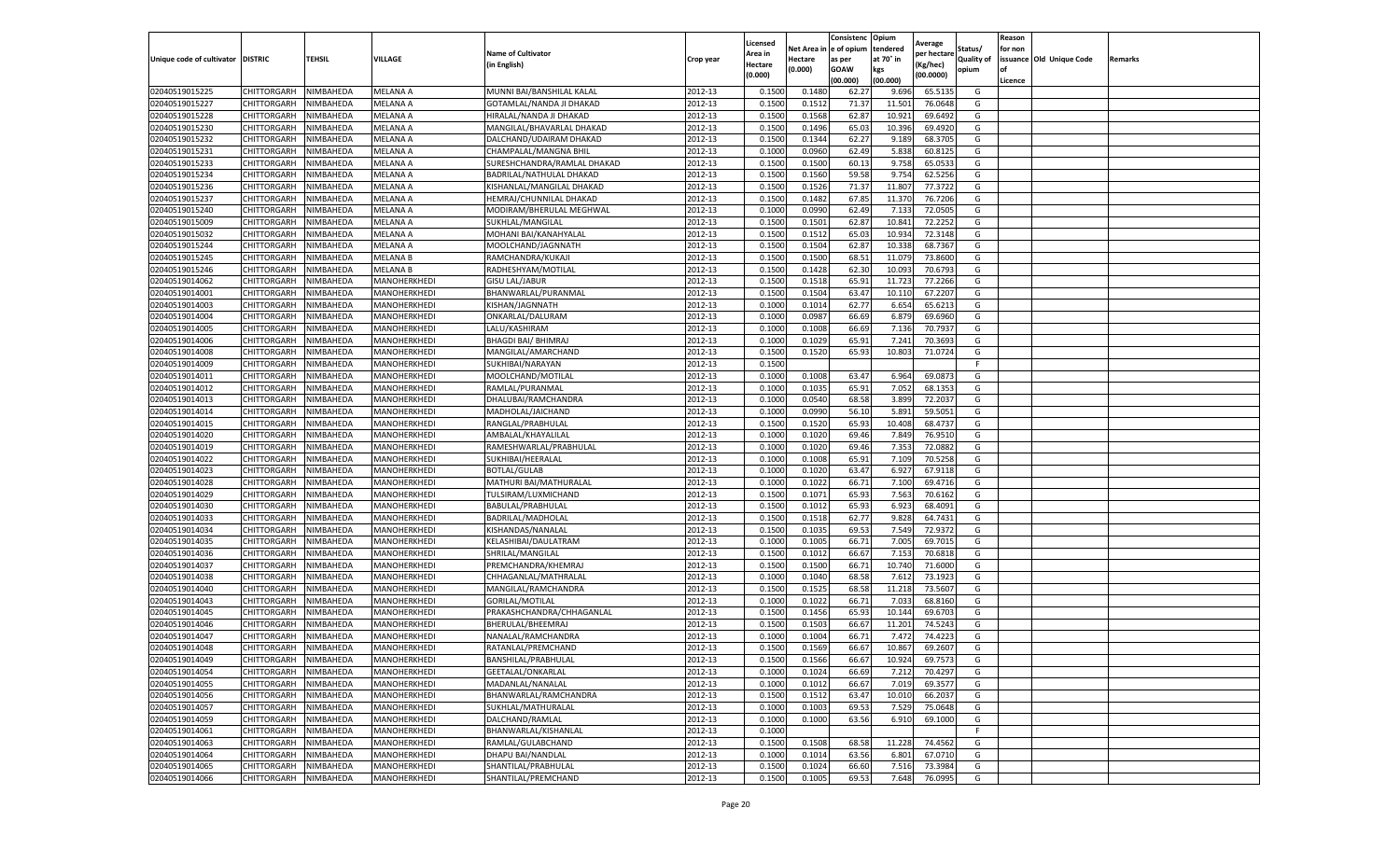|                                   |                    |           |                 |                             |           | Licensed |         | Consistenc             | Opium     |                        |                   | Reason  |                          |                |
|-----------------------------------|--------------------|-----------|-----------------|-----------------------------|-----------|----------|---------|------------------------|-----------|------------------------|-------------------|---------|--------------------------|----------------|
|                                   |                    |           |                 | <b>Name of Cultivator</b>   |           | Area in  |         | Net Area in e of opium | tendered  | Average<br>per hectare | Status/           | for non |                          |                |
| Unique code of cultivator DISTRIC |                    | TEHSIL    | VILLAGE         | in English)                 | Crop year | Hectare  | Hectare | as per                 | at 70° in | (Kg/hec                | <b>Quality of</b> |         | issuance Old Unique Code | <b>Remarks</b> |
|                                   |                    |           |                 |                             |           | (0.000)  | (0.000) | <b>GOAW</b>            | kgs       | (00.0000)              | opium             |         |                          |                |
|                                   |                    |           |                 |                             |           |          |         | (00.000)               | (00.000)  |                        |                   | Licence |                          |                |
| 02040519015225                    | CHITTORGARH        | NIMBAHEDA | MELANA A        | MUNNI BAI/BANSHILAL KALAL   | 2012-13   | 0.1500   | 0.1480  | 62.27                  | 9.696     | 65.5135                | G                 |         |                          |                |
| 02040519015227                    | CHITTORGARH        | NIMBAHEDA | MELANA A        | GOTAMLAL/NANDA JI DHAKAD    | 2012-13   | 0.1500   | 0.1512  | 71.37                  | 11.501    | 76.0648                | G                 |         |                          |                |
| 02040519015228                    | CHITTORGARH        | NIMBAHEDA | MELANA A        | HIRALAL/NANDA JI DHAKAD     | 2012-13   | 0.1500   | 0.1568  | 62.87                  | 10.921    | 69.6492                | G                 |         |                          |                |
| 02040519015230                    | CHITTORGARH        | NIMBAHEDA | MELANA A        | MANGILAL/BHAVARLAL DHAKAD   | 2012-13   | 0.1500   | 0.1496  | 65.03                  | 10.396    | 69.4920                | G                 |         |                          |                |
| 02040519015232                    | CHITTORGARH        | NIMBAHEDA | MELANA A        | DALCHAND/UDAIRAM DHAKAD     | 2012-13   | 0.1500   | 0.1344  | 62.27                  | 9.189     | 68.3705                | G                 |         |                          |                |
| 02040519015231                    | CHITTORGARH        | NIMBAHEDA | MELANA A        | CHAMPALAL/MANGNA BHIL       | 2012-13   | 0.1000   | 0.0960  | 62.49                  | 5.838     | 60.8125                | G                 |         |                          |                |
| 02040519015233                    | CHITTORGARH        | NIMBAHEDA | MELANA A        | SURESHCHANDRA/RAMLAL DHAKAD | 2012-13   | 0.1500   | 0.1500  | 60.13                  | 9.758     | 65.0533                | G                 |         |                          |                |
| 02040519015234                    | CHITTORGARH        | NIMBAHEDA | MELANA A        | BADRILAL/NATHULAL DHAKAD    | 2012-13   | 0.1500   | 0.1560  | 59.58                  | 9.754     | 62.5256                | G                 |         |                          |                |
| 02040519015236                    | CHITTORGARH        | NIMBAHEDA | MELANA A        | KISHANLAL/MANGILAL DHAKAD   | 2012-13   | 0.1500   | 0.1526  | 71.37                  | 11.807    | 77.3722                | G                 |         |                          |                |
| 02040519015237                    | CHITTORGARH        | NIMBAHEDA | MELANA A        | HEMRAJ/CHUNNILAL DHAKAD     | 2012-13   | 0.1500   | 0.1482  | 67.85                  | 11.370    | 76.7206                | G                 |         |                          |                |
| 02040519015240                    | CHITTORGARH        | NIMBAHEDA | MELANA A        | MODIRAM/BHERULAL MEGHWAL    | 2012-13   | 0.1000   | 0.0990  | 62.49                  | 7.133     | 72.0505                | G                 |         |                          |                |
| 02040519015009                    | CHITTORGARH        | NIMBAHEDA | MELANA A        | SUKHLAL/MANGILAL            | 2012-13   | 0.1500   | 0.1501  | 62.87                  | 10.84     | 72.2252                | G                 |         |                          |                |
| 02040519015032                    | CHITTORGARH        | NIMBAHEDA | MELANA A        | MOHANI BAI/KANAHYALAL       | 2012-13   | 0.1500   | 0.1512  | 65.03                  | 10.934    | 72.3148                | G                 |         |                          |                |
| 02040519015244                    | CHITTORGARH        | NIMBAHEDA | MELANA A        | MOOLCHAND/JAGNNATH          | 2012-13   | 0.1500   | 0.1504  | 62.87                  | 10.33     | 68.7367                | G                 |         |                          |                |
| 02040519015245                    | CHITTORGARH        | NIMBAHEDA | MELANA B        | RAMCHANDRA/KUKAJI           | 2012-13   | 0.1500   | 0.1500  | 68.51                  | 11.07     | 73.8600                | G                 |         |                          |                |
| 02040519015246                    | CHITTORGARH        | NIMBAHEDA | <b>MELANA B</b> | RADHESHYAM/MOTILAL          | 2012-13   | 0.1500   | 0.1428  | 62.30                  | 10.09     | 70.6793                | G                 |         |                          |                |
| 02040519014062                    | CHITTORGARH        | NIMBAHEDA | MANOHERKHEDI    | <b>GISU LAL/JABUR</b>       | 2012-13   | 0.1500   | 0.1518  | 65.91                  | 11.723    | 77.2266                | G                 |         |                          |                |
| 02040519014001                    | CHITTORGARH        | NIMBAHEDA | MANOHERKHEDI    | BHANWARLAL/PURANMAL         | 2012-13   | 0.1500   | 0.1504  | 63.47                  | 10.11     | 67.2207                | G                 |         |                          |                |
| 02040519014003                    | CHITTORGARH        | NIMBAHEDA | MANOHERKHEDI    | KISHAN/JAGNNATH             | 2012-13   | 0.1000   | 0.1014  | 62.77                  | 6.654     | 65.6213                | G                 |         |                          |                |
| 02040519014004                    | CHITTORGARH        | NIMBAHEDA | MANOHERKHEDI    | ONKARLAL/DALURAM            | 2012-13   | 0.1000   | 0.0987  | 66.69                  | 6.879     | 69.6960                | G                 |         |                          |                |
| 02040519014005                    | CHITTORGARH        | NIMBAHEDA | MANOHERKHEDI    | LALU/KASHIRAM               | 2012-13   | 0.1000   | 0.1008  | 66.69                  | 7.136     | 70.7937                | G                 |         |                          |                |
| 02040519014006                    | CHITTORGARH        | NIMBAHEDA | MANOHERKHEDI    | <b>BHAGDI BAI/ BHIMRAJ</b>  | 2012-13   | 0.1000   | 0.1029  | 65.91                  | 7.241     | 70.3693                | G                 |         |                          |                |
| 02040519014008                    | CHITTORGARH        | NIMBAHEDA | MANOHERKHEDI    | MANGILAL/AMARCHAND          | 2012-13   | 0.1500   | 0.1520  | 65.93                  | 10.803    | 71.0724                | G                 |         |                          |                |
| 02040519014009                    | CHITTORGARH        | NIMBAHEDA | MANOHERKHEDI    | SUKHIBAI/NARAYAN            | 2012-13   | 0.1500   |         |                        |           |                        | F                 |         |                          |                |
| 02040519014011                    | CHITTORGARH        | NIMBAHEDA | MANOHERKHEDI    | MOOLCHAND/MOTILAL           | 2012-13   | 0.1000   | 0.1008  | 63.47                  | 6.964     | 69.087                 | G                 |         |                          |                |
| 02040519014012                    | CHITTORGARH        | NIMBAHEDA | MANOHERKHEDI    | RAMLAL/PURANMAL             | 2012-13   | 0.1000   | 0.1035  | 65.91                  | 7.052     | 68.1353                | G                 |         |                          |                |
| 02040519014013                    | CHITTORGARH        | NIMBAHEDA | MANOHERKHEDI    | DHALUBAI/RAMCHANDRA         | 2012-13   | 0.1000   | 0.0540  | 68.58                  | 3.899     | 72.203                 | G                 |         |                          |                |
| 02040519014014                    | CHITTORGARH        | NIMBAHEDA | MANOHERKHEDI    | MADHOLAL/JAICHAND           | 2012-13   | 0.1000   | 0.0990  | 56.10                  | 5.891     | 59.5051                | G                 |         |                          |                |
| 02040519014015                    | CHITTORGARH        | NIMBAHEDA | MANOHERKHEDI    | RANGLAL/PRABHULAL           | 2012-13   | 0.1500   | 0.1520  | 65.93                  | 10.408    | 68.4737                | G                 |         |                          |                |
| 02040519014020                    | CHITTORGARH        | NIMBAHEDA | MANOHERKHEDI    | AMBALAL/KHAYALILAL          | 2012-13   | 0.1000   | 0.1020  | 69.46                  | 7.849     | 76.9510                | G                 |         |                          |                |
| 02040519014019                    | CHITTORGARH        | NIMBAHEDA | MANOHERKHEDI    | RAMESHWARLAL/PRABHULAL      | 2012-13   | 0.1000   | 0.1020  | 69.46                  | 7.353     | 72.0882                | G                 |         |                          |                |
| 02040519014022                    | CHITTORGARH        | NIMBAHEDA | MANOHERKHEDI    | SUKHIBAI/HEERALAL           | 2012-13   | 0.1000   | 0.1008  | 65.91                  | 7.109     | 70.5258                | G                 |         |                          |                |
| 02040519014023                    | CHITTORGARH        | NIMBAHEDA | MANOHERKHEDI    | <b>BOTLAL/GULAB</b>         | 2012-13   | 0.1000   | 0.1020  | 63.47                  | 6.927     | 67.9118                | G                 |         |                          |                |
| 02040519014028                    | CHITTORGARH        | NIMBAHEDA | MANOHERKHEDI    | MATHURI BAI/MATHURALAL      | 2012-13   | 0.1000   | 0.1022  | 66.71                  | 7.100     | 69.4716                | G                 |         |                          |                |
| 02040519014029                    | CHITTORGARH        | NIMBAHEDA | MANOHERKHEDI    | TULSIRAM/LUXMICHAND         | 2012-13   | 0.1500   | 0.1071  | 65.93                  | 7.563     | 70.6162                | G                 |         |                          |                |
| 02040519014030                    | CHITTORGARH        | NIMBAHEDA | MANOHERKHEDI    | BABULAL/PRABHULAL           | 2012-13   | 0.1500   | 0.1012  | 65.93                  | 6.923     | 68.4091                | G                 |         |                          |                |
| 02040519014033                    | CHITTORGARH        | NIMBAHEDA | MANOHERKHEDI    | BADRILAL/MADHOLAL           | 2012-13   | 0.1500   | 0.1518  | 62.77                  | 9.828     | 64.7431                | G                 |         |                          |                |
| 02040519014034                    | CHITTORGARH        | NIMBAHEDA | MANOHERKHEDI    | KISHANDAS/NANALAL           | 2012-13   | 0.1500   | 0.1035  | 69.53                  | 7.549     | 72.9372                | G                 |         |                          |                |
| 02040519014035                    | CHITTORGARH        | NIMBAHEDA | MANOHERKHEDI    | KELASHIBAI/DAULATRAM        | 2012-13   | 0.1000   | 0.1005  | 66.71                  | 7.005     | 69.7015                | G                 |         |                          |                |
| 02040519014036                    | CHITTORGARH        | NIMBAHEDA | MANOHERKHEDI    | SHRILAL/MANGILAL            | 2012-13   | 0.1500   | 0.1012  | 66.67                  | 7.153     | 70.6818                | G                 |         |                          |                |
| 02040519014037                    | CHITTORGARH        | NIMBAHEDA | MANOHERKHEDI    | PREMCHANDRA/KHEMRAJ         | 2012-13   | 0.1500   | 0.1500  | 66.71                  | 10.74     | 71.6000                | G                 |         |                          |                |
| 02040519014038                    | CHITTORGARH        | NIMBAHEDA | MANOHERKHEDI    | CHHAGANLAL/MATHRALAL        | 2012-13   | 0.1000   | 0.1040  | 68.58                  | 7.612     | 73.1923                | G                 |         |                          |                |
| 02040519014040                    | CHITTORGARH        | NIMBAHEDA | MANOHERKHEDI    | MANGILAL/RAMCHANDRA         | 2012-13   | 0.1500   | 0.1525  | 68.58                  | 11.218    | 73.5607                | G                 |         |                          |                |
| 02040519014043                    | CHITTORGARH        | NIMBAHEDA | MANOHERKHEDI    | GORILAL/MOTILAL             | 2012-13   | 0.1000   | 0.1022  | 66.71                  | 7.033     | 68.8160                | G                 |         |                          |                |
| 02040519014045                    | CHITTORGARH        | NIMBAHEDA | MANOHERKHEDI    | PRAKASHCHANDRA/CHHAGANLAL   | 2012-13   | 0.1500   | 0.1456  | 65.93                  | 10.144    | 69.6703                | G                 |         |                          |                |
| 02040519014046                    | CHITTORGARH        | NIMBAHEDA | MANOHERKHEDI    | BHERULAL/BHEEMRAJ           | 2012-13   | 0.1500   | 0.1503  | 66.67                  | 11.201    | 74.5243                | G                 |         |                          |                |
| 02040519014047                    | CHITTORGARH        | NIMBAHEDA | MANOHERKHEDI    | NANALAL/RAMCHANDRA          | 2012-13   | 0.1000   | 0.1004  | 66.71                  | 7.472     | 74.4223                | G                 |         |                          |                |
| 02040519014048                    | CHITTORGARH        | NIMBAHEDA | MANOHERKHEDI    | RATANLAL/PREMCHAND          | 2012-13   | 0.1500   | 0.1569  | 66.67                  | 10.867    | 69.2607                | G                 |         |                          |                |
| 02040519014049                    | CHITTORGARH        | NIMBAHEDA | MANOHERKHEDI    | BANSHILAL/PRABHULAL         | 2012-13   | 0.1500   | 0.1566  | 66.67                  | 10.924    | 69.7573                | G                 |         |                          |                |
| 02040519014054                    | CHITTORGARH        | NIMBAHEDA | MANOHERKHEDI    | GEETALAL/ONKARLAL           | 2012-13   | 0.1000   | 0.1024  | 66.69                  | 7.212     | 70.4297                | G                 |         |                          |                |
| 02040519014055                    | <b>CHITTORGARH</b> | NIMBAHEDA | MANOHERKHEDI    | MADANLAL/NANALAL            | 2012-13   | 0.1000   | 0.1012  | 66.67                  | 7.019     | 69.3577                | G                 |         |                          |                |
| 02040519014056                    | CHITTORGARH        | NIMBAHEDA | MANOHERKHEDI    | BHANWARLAL/RAMCHANDRA       | 2012-13   | 0.1500   | 0.1512  | 63.47                  | 10.010    | 66.2037                | G                 |         |                          |                |
| 02040519014057                    | <b>CHITTORGARH</b> | NIMBAHEDA | MANOHERKHEDI    | SUKHLAL/MATHURALAL          | 2012-13   | 0.1000   | 0.1003  | 69.53                  | 7.529     | 75.0648                | G                 |         |                          |                |
| 02040519014059                    | <b>CHITTORGARH</b> | NIMBAHEDA | MANOHERKHEDI    | DALCHAND/RAMLAL             | 2012-13   | 0.1000   | 0.1000  | 63.56                  | 6.910     | 69.1000                | G                 |         |                          |                |
| 02040519014061                    | CHITTORGARH        | NIMBAHEDA | MANOHERKHEDI    | BHANWARLAL/KISHANLAL        | 2012-13   | 0.1000   |         |                        |           |                        | F                 |         |                          |                |
| 02040519014063                    | CHITTORGARH        | NIMBAHEDA | MANOHERKHEDI    | RAMLAL/GULABCHAND           | 2012-13   | 0.1500   | 0.1508  | 68.58                  | 11.228    | 74.4562                | G                 |         |                          |                |
| 02040519014064                    | CHITTORGARH        | NIMBAHEDA | MANOHERKHEDI    | DHAPU BAI/NANDLAL           | 2012-13   | 0.1000   | 0.1014  | 63.56                  | 6.801     | 67.0710                | G                 |         |                          |                |
| 02040519014065                    | CHITTORGARH        | NIMBAHEDA | MANOHERKHEDI    | SHANTILAL/PRABHULAL         | 2012-13   | 0.1500   | 0.1024  | 66.60                  | 7.516     | 73.3984                | G                 |         |                          |                |
| 02040519014066                    | <b>CHITTORGARH</b> | NIMBAHEDA | MANOHERKHEDI    | SHANTILAL/PREMCHAND         | 2012-13   | 0.1500   | 0.1005  | 69.53                  | 7.648     | 76.0995                | G                 |         |                          |                |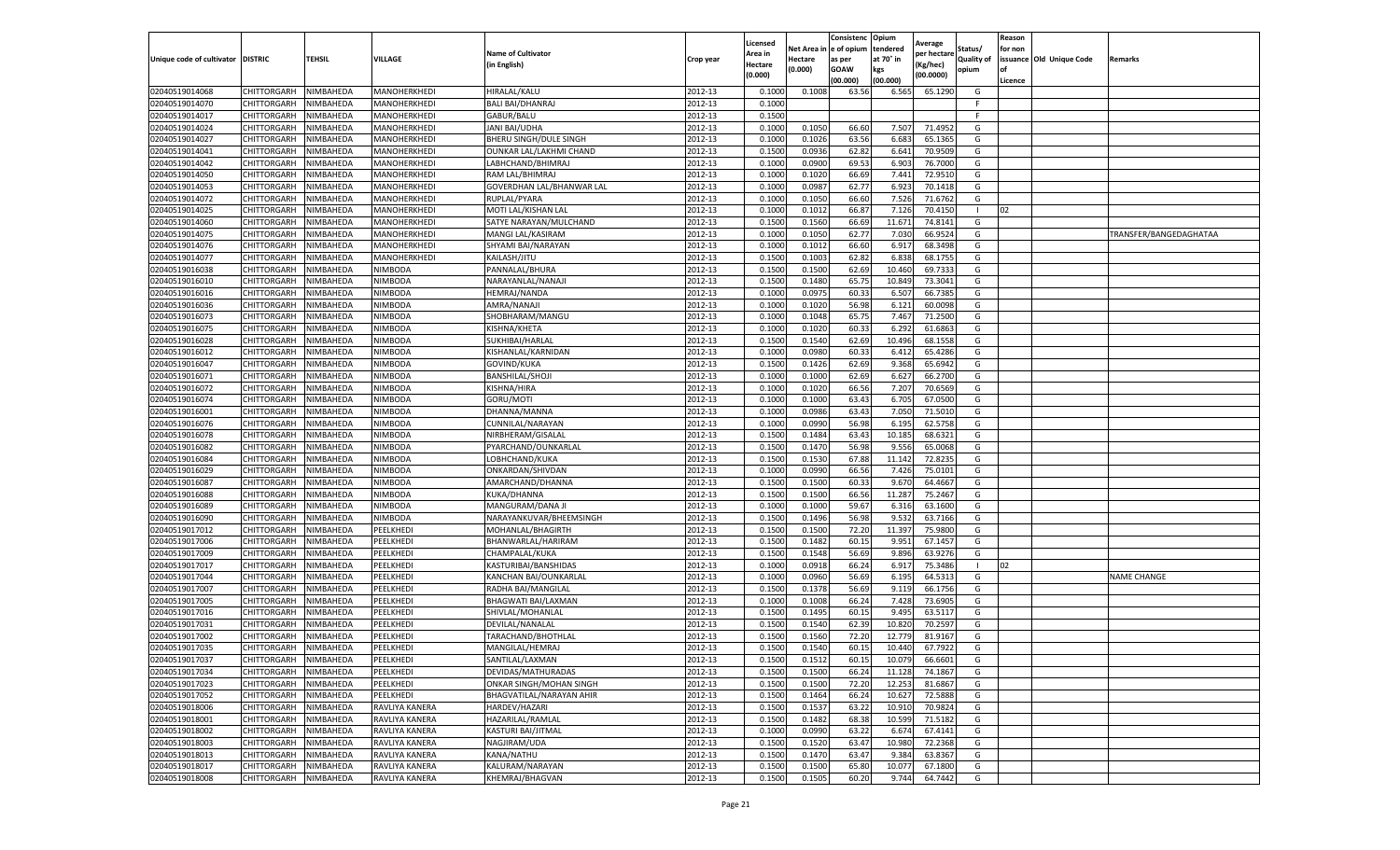|                                   |             |                  |                |                           |           | Licensed |                         | Consistenc | Opium     | Average     |            | Reason  |                          |                        |
|-----------------------------------|-------------|------------------|----------------|---------------------------|-----------|----------|-------------------------|------------|-----------|-------------|------------|---------|--------------------------|------------------------|
|                                   |             |                  |                | <b>Name of Cultivator</b> |           | Area in  | Net Area in le of opium |            | tendered  | per hectare | Status/    | for non |                          |                        |
| Unique code of cultivator DISTRIC |             | <b>TEHSIL</b>    | VILLAGE        | (in English)              | Crop year | Hectare  | Hectare                 | as per     | at 70° in | Kg/hec)     | Quality of |         | issuance Old Unique Code | Remarks                |
|                                   |             |                  |                |                           |           | (0.000)  | (0.000)                 | GOAW       | kgs       | (00.0000)   | opium      | l of    |                          |                        |
|                                   |             |                  |                |                           |           |          |                         | (00.000)   | (00.000)  |             |            | Licence |                          |                        |
| 02040519014068                    | CHITTORGARH | NIMBAHEDA        | MANOHERKHEDI   | HIRALAL/KALU              | 2012-13   | 0.100    | 0.1008                  | 63.56      | 6.565     | 65.1290     | G          |         |                          |                        |
| 02040519014070                    | CHITTORGARH | NIMBAHEDA        | MANOHERKHEDI   | <b>BALI BAI/DHANRAJ</b>   | 2012-13   | 0.1000   |                         |            |           |             | -F         |         |                          |                        |
| 02040519014017                    | CHITTORGARH | NIMBAHEDA        | MANOHERKHEDI   | GABUR/BALU                | 2012-13   | 0.1500   |                         |            |           |             | -F         |         |                          |                        |
| 02040519014024                    | CHITTORGARH | NIMBAHEDA        | MANOHERKHEDI   | JANI BAI/UDHA             | 2012-13   | 0.1000   | 0.1050                  | 66.60      | 7.507     | 71.4952     | G          |         |                          |                        |
| 02040519014027                    | CHITTORGARH | NIMBAHEDA        | MANOHERKHEDI   | BHERU SINGH/DULE SINGH    | 2012-13   | 0.1000   | 0.1026                  | 63.56      | 6.683     | 65.136      | G          |         |                          |                        |
| 02040519014041                    | CHITTORGARH | NIMBAHEDA        | MANOHERKHEDI   | OUNKAR LAL/LAKHMI CHAND   | 2012-13   | 0.1500   | 0.0936                  | 62.82      | 6.64      | 70.950      | G          |         |                          |                        |
| 02040519014042                    | CHITTORGARH | NIMBAHEDA        | MANOHERKHEDI   | LABHCHAND/BHIMRAJ         | 2012-13   | 0.1000   | 0.090                   | 69.53      | 6.903     | 76.700      | G          |         |                          |                        |
| 02040519014050                    | CHITTORGARH | NIMBAHEDA        | MANOHERKHEDI   | RAM LAL/BHIMRAJ           | 2012-13   | 0.1000   | 0.1020                  | 66.69      | 7.44      | 72.951      | G          |         |                          |                        |
| 02040519014053                    | CHITTORGARH | NIMBAHEDA        | MANOHERKHEDI   | GOVERDHAN LAL/BHANWAR LAL | 2012-13   | 0.1000   | 0.0987                  | 62.77      | 6.923     | 70.141      | G          |         |                          |                        |
| 02040519014072                    | CHITTORGARH | NIMBAHEDA        | MANOHERKHEDI   | RUPLAL/PYARA              | 2012-13   | 0.1000   | 0.1050                  | 66.60      | 7.526     | 71.6762     | G          |         |                          |                        |
| 02040519014025                    | CHITTORGARH | NIMBAHEDA        | MANOHERKHEDI   | MOTI LAL/KISHAN LAL       | 2012-13   | 0.1000   | 0.1012                  | 66.87      | 7.126     | 70.4150     |            | 02      |                          |                        |
| 02040519014060                    | CHITTORGARH | NIMBAHEDA        | MANOHERKHEDI   | SATYE NARAYAN/MULCHAND    | 2012-13   | 0.1500   | 0.1560                  | 66.69      | 11.671    | 74.814      | G          |         |                          |                        |
| 02040519014075                    | CHITTORGARH | <b>NIMBAHEDA</b> | MANOHERKHEDI   | MANGI LAL/KASIRAM         | 2012-13   | 0.1000   | 0.1050                  | 62.77      | 7.030     | 66.952      | G          |         |                          | TRANSFER/BANGEDAGHATAA |
| 02040519014076                    | CHITTORGARH | NIMBAHEDA        | MANOHERKHEDI   | SHYAMI BAI/NARAYAN        | 2012-13   | 0.1000   | 0.101                   | 66.60      | 6.91      | 68.349      | G          |         |                          |                        |
| 02040519014077                    | CHITTORGARH | NIMBAHEDA        | MANOHERKHEDI   | KAILASH/JITU              | 2012-13   | 0.1500   | 0.1003                  | 62.82      | 6.838     | 68.175      | G          |         |                          |                        |
| 02040519016038                    | CHITTORGARH | NIMBAHEDA        | NIMBODA        | PANNALAL/BHURA            | 2012-13   | 0.1500   | 0.150                   | 62.69      | 10.460    | 69.733      | G          |         |                          |                        |
| 02040519016010                    | CHITTORGARH | NIMBAHEDA        | NIMBODA        | NARAYANLAL/NANAJI         | 2012-13   | 0.1500   | 0.1480                  | 65.7       | 10.849    | 73.3041     | G          |         |                          |                        |
| 02040519016016                    | CHITTORGARH | NIMBAHEDA        | NIMBODA        | HEMRAJ/NANDA              | 2012-13   | 0.1000   | 0.0975                  | 60.3       | 6.507     | 66.738      | G          |         |                          |                        |
| 02040519016036                    | CHITTORGARH | <b>NIMBAHEDA</b> | NIMBODA        | AMRA/NANAJI               | 2012-13   | 0.1000   | 0.1020                  | 56.9       | 6.121     | 60.009      | G          |         |                          |                        |
| 02040519016073                    | CHITTORGARH | <b>NIMBAHEDA</b> | NIMBODA        | SHOBHARAM/MANGU           | 2012-13   | 0.1000   | 0.1048                  | 65.7       | 7.467     | 71.250      | G          |         |                          |                        |
| 02040519016075                    | CHITTORGARH | NIMBAHEDA        | NIMBODA        | KISHNA/KHETA              | 2012-13   | 0.1000   | 0.1020                  | 60.33      | 6.292     | 61.6863     | G          |         |                          |                        |
| 02040519016028                    | CHITTORGARH | NIMBAHEDA        | NIMBODA        | SUKHIBAI/HARLAL           | 2012-13   | 0.1500   | 0.1540                  | 62.69      | 10.496    | 68.155      | G          |         |                          |                        |
| 02040519016012                    | CHITTORGARH | NIMBAHEDA        | NIMBODA        | KISHANLAL/KARNIDAN        | 2012-13   | 0.1000   | 0.0980                  | 60.33      | 6.412     | 65.4286     | G          |         |                          |                        |
| 02040519016047                    | CHITTORGARH | NIMBAHEDA        | NIMBODA        | GOVIND/KUKA               | 2012-13   | 0.1500   | 0.1426                  | 62.69      | 9.368     | 65.6942     | G          |         |                          |                        |
| 02040519016071                    | CHITTORGARH | NIMBAHEDA        | NIMBODA        | BANSHILAL/SHOJI           | 2012-13   | 0.1000   | 0.1000                  | 62.69      | 6.627     | 66.270      | G          |         |                          |                        |
| 02040519016072                    | CHITTORGARH | NIMBAHEDA        | NIMBODA        | KISHNA/HIRA               | 2012-13   | 0.1000   | 0.1020                  | 66.56      | 7.207     | 70.656      | G          |         |                          |                        |
| 02040519016074                    | CHITTORGARH | NIMBAHEDA        | NIMBODA        | GORU/MOTI                 | 2012-13   | 0.1000   | 0.1000                  | 63.4       | 6.705     | 67.050      | G          |         |                          |                        |
| 02040519016001                    | CHITTORGARH | NIMBAHEDA        | NIMBODA        | DHANNA/MANNA              | 2012-13   | 0.1000   | 0.0986                  | 63.43      | 7.050     | 71.501      | G          |         |                          |                        |
| 02040519016076                    | CHITTORGARH | NIMBAHEDA        | NIMBODA        | CUNNILAL/NARAYAN          | 2012-13   | 0.1000   | 0.0990                  | 56.98      | 6.195     | 62.5758     | G          |         |                          |                        |
| 02040519016078                    | CHITTORGARH | NIMBAHEDA        | NIMBODA        | NIRBHERAM/GISALAL         | 2012-13   | 0.1500   | 0.1484                  | 63.43      | 10.185    | 68.632      | G          |         |                          |                        |
| 02040519016082                    | CHITTORGARH | NIMBAHEDA        | NIMBODA        | PYARCHAND/OUNKARLAL       | 2012-13   | 0.1500   | 0.147                   | 56.9       | 9.556     | 65.006      | G          |         |                          |                        |
| 02040519016084                    | CHITTORGARH | NIMBAHEDA        | NIMBODA        | LOBHCHAND/KUKA            | 2012-13   | 0.1500   | 0.1530                  | 67.88      | 11.142    | 72.823      | G          |         |                          |                        |
| 02040519016029                    | CHITTORGARH | NIMBAHEDA        | NIMBODA        | ONKARDAN/SHIVDAN          | 2012-13   | 0.1000   | 0.0990                  | 66.56      | 7.426     | 75.010      | G          |         |                          |                        |
| 02040519016087                    | CHITTORGARH | NIMBAHEDA        | NIMBODA        | AMARCHAND/DHANNA          | 2012-13   | 0.1500   | 0.1500                  | 60.3       | 9.670     | 64.466      | G          |         |                          |                        |
| 02040519016088                    | CHITTORGARH | NIMBAHEDA        | NIMBODA        | KUKA/DHANNA               | 2012-13   | 0.1500   | 0.150                   | 66.56      | 11.287    | 75.2467     | G          |         |                          |                        |
| 02040519016089                    | CHITTORGARH | NIMBAHEDA        | NIMBODA        | MANGURAM/DANA JI          | 2012-13   | 0.1000   | 0.1000                  | 59.67      | 6.316     | 63.160      | G          |         |                          |                        |
| 02040519016090                    | CHITTORGARH | NIMBAHEDA        | NIMBODA        | NARAYANKUVAR/BHEEMSINGH   | 2012-13   | 0.1500   | 0.1496                  | 56.98      | 9.532     | 63.7166     | G          |         |                          |                        |
| 02040519017012                    | CHITTORGARH | NIMBAHEDA        | PEELKHEDI      | MOHANLAL/BHAGIRTH         | 2012-13   | 0.1500   | 0.150                   | 72.20      | 11.397    | 75.980      | G          |         |                          |                        |
| 02040519017006                    | CHITTORGARH | NIMBAHEDA        | PEELKHEDI      | BHANWARLAL/HARIRAM        | 2012-13   | 0.1500   | 0.1482                  | 60.1       | 9.951     | 67.145      | G          |         |                          |                        |
| 02040519017009                    | CHITTORGARH | NIMBAHEDA        | PEELKHEDI      | CHAMPALAL/KUKA            | 2012-13   | 0.1500   | 0.1548                  | 56.69      | 9.896     | 63.927      | G          |         |                          |                        |
| 02040519017017                    | CHITTORGARH | NIMBAHEDA        | PEELKHEDI      | KASTURIBAI/BANSHIDAS      | 2012-13   | 0.1000   | 0.091                   | 66.24      | 6.91      | 75.348      |            | 02      |                          |                        |
| 02040519017044                    | CHITTORGARH | NIMBAHEDA        | PEELKHEDI      | KANCHAN BAI/OUNKARLAL     | 2012-13   | 0.1000   | 0.096                   | 56.69      | 6.195     | 64.531      | G          |         |                          | NAME CHANGE            |
| 02040519017007                    | CHITTORGARH | NIMBAHEDA        | PEELKHEDI      | RADHA BAI/MANGILAL        | 2012-13   | 0.1500   | 0.1378                  | 56.69      | 9.119     | 66.175      | G          |         |                          |                        |
| 02040519017005                    | CHITTORGARH | NIMBAHEDA        | PEELKHEDI      | BHAGWATI BAI/LAXMAN       | 2012-13   | 0.1000   | 0.1008                  | 66.24      | 7.428     | 73.690      | G          |         |                          |                        |
| 02040519017016                    | CHITTORGARH | NIMBAHEDA        | PEELKHEDI      | SHIVLAL/MOHANLAL          | 2012-13   | 0.1500   | 0.149                   | 60.15      | 9.495     | 63.511      | G          |         |                          |                        |
| 02040519017031                    | CHITTORGARH | NIMBAHEDA        | PEELKHEDI      | DEVILAL/NANALAL           | 2012-13   | 0.1500   | 0.1540                  | 62.3       | 10.820    | 70.259      | G          |         |                          |                        |
| 02040519017002                    | CHITTORGARH | NIMBAHEDA        | PEELKHEDI      | TARACHAND/BHOTHLAL        | 2012-13   | 0.1500   | 0.1560                  | 72.20      | 12.779    | 81.916      | G          |         |                          |                        |
| 02040519017035                    | CHITTORGARH | NIMBAHEDA        | PEELKHEDI      | MANGILAL/HEMRAJ           | 2012-13   | 0.1500   | 0.1540                  | 60.15      | 10.440    | 67.7922     | G          |         |                          |                        |
| 02040519017037                    | CHITTORGARH | NIMBAHEDA        | PEELKHEDI      | SANTILAL/LAXMAN           | 2012-13   | 0.1500   | 0.1512                  | 60.15      | 10.079    | 66.6601     | G          |         |                          |                        |
| 02040519017034                    | CHITTORGARH | NIMBAHEDA        | PEELKHEDI      | DEVIDAS/MATHURADAS        | 2012-13   | 0.1500   | 0.1500                  | 66.24      | 11.128    | 74.1867     | G          |         |                          |                        |
| 02040519017023                    | CHITTORGARH | NIMBAHEDA        | PEELKHEDI      | ONKAR SINGH/MOHAN SINGH   | 2012-13   | 0.1500   | 0.1500                  | 72.20      | 12.253    | 81.6867     | G          |         |                          |                        |
| 02040519017052                    | CHITTORGARH | NIMBAHEDA        | PEELKHEDI      | BHAGVATILAL/NARAYAN AHIR  | 2012-13   | 0.1500   | 0.1464                  | 66.24      | 10.627    | 72.5888     | G          |         |                          |                        |
| 02040519018006                    | CHITTORGARH | NIMBAHEDA        | RAVLIYA KANERA | HARDEV/HAZARI             | 2012-13   | 0.1500   | 0.1537                  | 63.22      | 10.910    | 70.9824     | G          |         |                          |                        |
| 02040519018001                    | CHITTORGARH | NIMBAHEDA        | RAVLIYA KANERA | HAZARILAL/RAMLAL          | 2012-13   | 0.1500   | 0.1482                  | 68.38      | 10.599    | 71.5182     | G          |         |                          |                        |
| 02040519018002                    | CHITTORGARH | NIMBAHEDA        | RAVLIYA KANERA | KASTURI BAI/JITMAL        | 2012-13   | 0.1000   | 0.0990                  | 63.22      | 6.674     | 67.4141     | G          |         |                          |                        |
| 02040519018003                    | CHITTORGARH | NIMBAHEDA        | RAVLIYA KANERA | NAGJIRAM/UDA              | 2012-13   | 0.1500   | 0.1520                  | 63.47      | 10.980    | 72.2368     | G          |         |                          |                        |
| 02040519018013                    | CHITTORGARH | NIMBAHEDA        | RAVLIYA KANERA | KANA/NATHU                | 2012-13   | 0.1500   | 0.1470                  | 63.47      | 9.384     | 63.8367     | G          |         |                          |                        |
| 02040519018017                    | CHITTORGARH | NIMBAHEDA        | RAVLIYA KANERA | KALURAM/NARAYAN           | 2012-13   | 0.1500   | 0.150                   | 65.80      | 10.077    | 67.180      | G          |         |                          |                        |
| 02040519018008                    | CHITTORGARH | NIMBAHEDA        | RAVLIYA KANERA | KHEMRAJ/BHAGVAN           | 2012-13   | 0.1500   | 0.1505                  | 60.20      | 9.744     | 64.7442     | G          |         |                          |                        |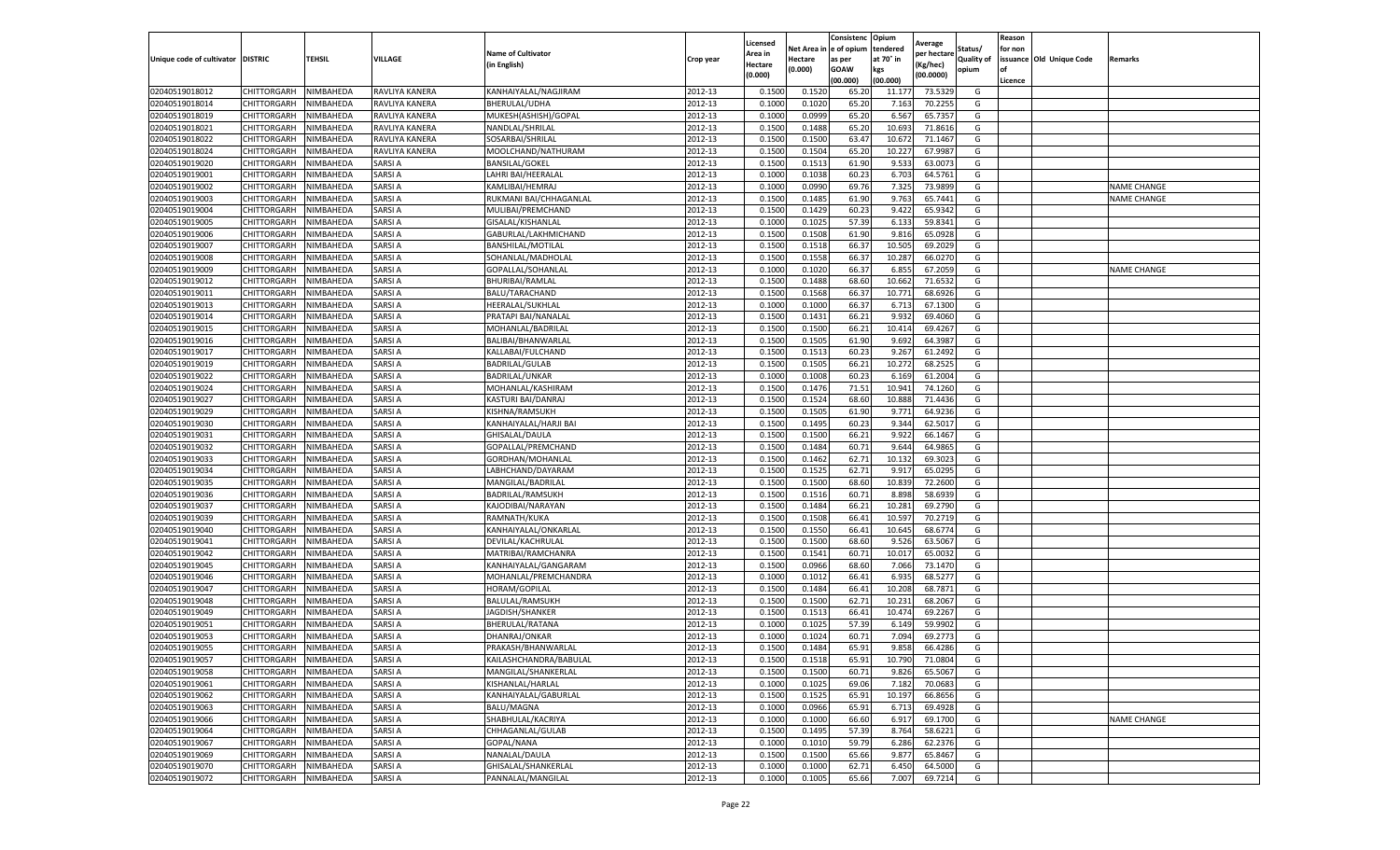|                           |                    |           |                |                           |           | Licensed |         | Consistenc             | Opium     |                        |                   | Reason  |                          |                    |
|---------------------------|--------------------|-----------|----------------|---------------------------|-----------|----------|---------|------------------------|-----------|------------------------|-------------------|---------|--------------------------|--------------------|
|                           |                    |           |                | <b>Name of Cultivator</b> |           | Area in  |         | Net Area in e of opium | tendered  | Average<br>per hectare | Status/           | for non |                          |                    |
| Unique code of cultivator | <b>DISTRIC</b>     | TEHSIL    | VILLAGE        | in English)               | Crop year | Hectare  | Hectare | as per                 | at 70° in | (Kg/hec                | <b>Quality of</b> |         | issuance Old Unique Code | <b>Remarks</b>     |
|                           |                    |           |                |                           |           | (0.000)  | (0.000) | <b>GOAW</b>            | kgs       | (00.0000)              | opium             |         |                          |                    |
|                           |                    |           |                |                           |           |          |         | (00.000)               | (00.000)  |                        |                   | Licence |                          |                    |
| 02040519018012            | CHITTORGARH        | NIMBAHEDA | RAVLIYA KANERA | KANHAIYALAL/NAGJIRAM      | 2012-13   | 0.1500   | 0.1520  | 65.20                  | 11.177    | 73.5329                | G                 |         |                          |                    |
| 02040519018014            | CHITTORGARH        | NIMBAHEDA | RAVLIYA KANERA | <b>BHERULAL/UDHA</b>      | 2012-13   | 0.1000   | 0.1020  | 65.20                  | 7.16      | 70.2255                | G                 |         |                          |                    |
| 02040519018019            | CHITTORGARH        | NIMBAHEDA | RAVLIYA KANERA | MUKESH(ASHISH)/GOPAL      | 2012-13   | 0.1000   | 0.0999  | 65.20                  | 6.567     | 65.7357                | G                 |         |                          |                    |
| 02040519018021            | CHITTORGARH        | NIMBAHEDA | RAVLIYA KANERA | NANDLAL/SHRILAL           | 2012-13   | 0.1500   | 0.1488  | 65.20                  | 10.693    | 71.8616                | G                 |         |                          |                    |
| 02040519018022            | CHITTORGARH        | NIMBAHEDA | RAVLIYA KANERA | SOSARBAI/SHRILAL          | 2012-13   | 0.1500   | 0.1500  | 63.47                  | 10.67     | 71.1467                | G                 |         |                          |                    |
| 02040519018024            | CHITTORGARH        | NIMBAHEDA | RAVLIYA KANERA | MOOLCHAND/NATHURAM        | 2012-13   | 0.1500   | 0.1504  | 65.20                  | 10.22     | 67.9987                | G                 |         |                          |                    |
| 02040519019020            | CHITTORGARH        | NIMBAHEDA | SARSI A        | <b>BANSILAL/GOKEL</b>     | 2012-13   | 0.1500   | 0.1513  | 61.90                  | 9.533     | 63.0073                | G                 |         |                          |                    |
| 02040519019001            | CHITTORGARH        | NIMBAHEDA | SARSI A        | LAHRI BAI/HEERALAI        | 2012-13   | 0.1000   | 0.1038  | 60.23                  | 6.703     | 64.5761                | G                 |         |                          |                    |
| 02040519019002            | CHITTORGARH        | NIMBAHEDA | SARSI A        | KAMLIBAI/HEMRAJ           | 2012-13   | 0.1000   | 0.0990  | 69.76                  | 7.325     | 73.9899                | G                 |         |                          | <b>NAME CHANGE</b> |
| 02040519019003            | CHITTORGARH        | NIMBAHEDA | SARSI A        | RUKMANI BAI/CHHAGANLAL    | 2012-13   | 0.1500   | 0.1485  | 61.90                  | 9.763     | 65.7441                | G                 |         |                          | <b>NAME CHANGE</b> |
| 02040519019004            | CHITTORGARH        | NIMBAHEDA | SARSI A        | MULIBAI/PREMCHAND         | 2012-13   | 0.1500   | 0.1429  | 60.23                  | 9.422     | 65.9342                | G                 |         |                          |                    |
| 02040519019005            | CHITTORGARH        | NIMBAHEDA | SARSI A        | GISALAL/KISHANLAL         | 2012-13   | 0.1000   | 0.1025  | 57.39                  | 6.13      | 59.8341                | G                 |         |                          |                    |
| 02040519019006            | CHITTORGARH        | NIMBAHEDA | SARSI A        | GABURLAL/LAKHMICHAND      | 2012-13   | 0.1500   | 0.1508  | 61.90                  | 9.81      | 65.0928                | G                 |         |                          |                    |
| 02040519019007            | CHITTORGARH        | NIMBAHEDA | SARSI A        | <b>BANSHILAL/MOTILAL</b>  | 2012-13   | 0.1500   | 0.1518  | 66.37                  | 10.505    | 69.2029                | G                 |         |                          |                    |
| 02040519019008            | CHITTORGARH        | NIMBAHEDA | SARSI A        | SOHANLAL/MADHOLAL         | 2012-13   | 0.1500   | 0.1558  | 66.37                  | 10.287    | 66.0270                | G                 |         |                          |                    |
| 02040519019009            | CHITTORGARH        | NIMBAHEDA | SARSI A        | GOPALLAL/SOHANLAL         | 2012-13   | 0.1000   | 0.1020  | 66.37                  | 6.855     | 67.2059                | G                 |         |                          | <b>NAME CHANGE</b> |
| 02040519019012            | CHITTORGARH        | NIMBAHEDA | SARSI A        | BHURIBAI/RAMLAL           | 2012-13   | 0.1500   | 0.1488  | 68.60                  | 10.662    | 71.6532                | G                 |         |                          |                    |
| 02040519019011            | CHITTORGARH        | NIMBAHEDA | SARSI A        | BALU/TARACHAND            | 2012-13   | 0.1500   | 0.1568  | 66.37                  | 10.77     | 68.6926                | G                 |         |                          |                    |
| 02040519019013            | CHITTORGARH        | NIMBAHEDA | SARSI A        | HEERALAL/SUKHLAL          | 2012-13   | 0.1000   | 0.1000  | 66.37                  | 6.71      | 67.1300                | G                 |         |                          |                    |
| 02040519019014            | CHITTORGARH        | NIMBAHEDA | SARSI A        | PRATAPI BAI/NANALAL       | 2012-13   | 0.1500   | 0.1431  | 66.21                  | 9.932     | 69.4060                | G                 |         |                          |                    |
| 02040519019015            | CHITTORGARH        | NIMBAHEDA | SARSI A        | MOHANLAL/BADRILAL         | 2012-13   | 0.1500   | 0.1500  | 66.21                  | 10.414    | 69.4267                | G                 |         |                          |                    |
| 02040519019016            | CHITTORGARH        | NIMBAHEDA | SARSI A        | BALIBAI/BHANWARLAL        | 2012-13   | 0.1500   | 0.1505  | 61.90                  | 9.692     | 64.3987                | G                 |         |                          |                    |
| 02040519019017            | CHITTORGARH        | NIMBAHEDA | SARSI A        | KALLABAI/FULCHAND         | 2012-13   | 0.1500   | 0.1513  | 60.23                  | 9.267     | 61.2492                | G                 |         |                          |                    |
| 02040519019019            | CHITTORGARH        | NIMBAHEDA | SARSI A        | <b>BADRILAL/GULAB</b>     | 2012-13   | 0.1500   | 0.1505  | 66.21                  | 10.272    | 68.2525                | G                 |         |                          |                    |
| 02040519019022            | CHITTORGARH        | NIMBAHEDA | SARSI A        | BADRILAL/UNKAR            | 2012-13   | 0.1000   | 0.1008  | 60.23                  | 6.16      | 61.2004                | G                 |         |                          |                    |
| 02040519019024            | CHITTORGARH        | NIMBAHEDA | SARSI A        | MOHANLAL/KASHIRAM         | 2012-13   | 0.1500   | 0.1476  | 71.51                  | 10.941    | 74.1260                | G                 |         |                          |                    |
| 02040519019027            | CHITTORGARH        | NIMBAHEDA | SARSI A        | KASTURI BAI/DANRAJ        | 2012-13   | 0.1500   | 0.1524  | 68.60                  | 10.88     | 71.4436                | G                 |         |                          |                    |
| 02040519019029            | CHITTORGARH        | NIMBAHEDA | SARSI A        | KISHNA/RAMSUKH            | 2012-13   | 0.1500   | 0.1505  | 61.90                  | 9.771     | 64.9236                | G                 |         |                          |                    |
| 02040519019030            | CHITTORGARH        | NIMBAHEDA | SARSI A        | KANHAIYALAL/HARJI BAI     | 2012-13   | 0.1500   | 0.1495  | 60.23                  | 9.344     | 62.5017                | G                 |         |                          |                    |
| 02040519019031            | CHITTORGARH        | NIMBAHEDA | SARSI A        | GHISALAL/DAULA            | 2012-13   | 0.1500   | 0.1500  | 66.21                  | 9.922     | 66.1467                | G                 |         |                          |                    |
| 02040519019032            | CHITTORGARH        | NIMBAHEDA | SARSI A        | GOPALLAL/PREMCHAND        | 2012-13   | 0.1500   | 0.1484  | 60.71                  | 9.644     | 64.9865                | G                 |         |                          |                    |
| 02040519019033            | CHITTORGARH        | NIMBAHEDA | SARSI A        | GORDHAN/MOHANLAL          | 2012-13   | 0.1500   | 0.1462  | 62.71                  | 10.13     | 69.3023                | G                 |         |                          |                    |
| 02040519019034            | CHITTORGARH        | NIMBAHEDA | SARSI A        | LABHCHAND/DAYARAM         | 2012-13   | 0.1500   | 0.1525  | 62.71                  | 9.91      | 65.0295                | G                 |         |                          |                    |
| 02040519019035            | CHITTORGARH        | NIMBAHEDA | SARSI A        | MANGILAL/BADRILAL         | 2012-13   | 0.1500   | 0.1500  | 68.60                  | 10.839    | 72.2600                | G                 |         |                          |                    |
| 02040519019036            | CHITTORGARH        | NIMBAHEDA | SARSI A        | BADRILAL/RAMSUKH          | 2012-13   | 0.1500   | 0.1516  | 60.71                  | 8.898     | 58.6939                | G                 |         |                          |                    |
| 02040519019037            | CHITTORGARH        | NIMBAHEDA | SARSI A        | KAJODIBAI/NARAYAN         | 2012-13   | 0.1500   | 0.1484  | 66.21                  | 10.28     | 69.2790                | G                 |         |                          |                    |
| 02040519019039            | CHITTORGARH        | NIMBAHEDA | SARSI A        | RAMNATH/KUKA              | 2012-13   | 0.1500   | 0.1508  | 66.41                  | 10.59     | 70.2719                | G                 |         |                          |                    |
| 02040519019040            | CHITTORGARH        | NIMBAHEDA | SARSI A        | KANHAIYALAL/ONKARLAL      | 2012-13   | 0.1500   | 0.1550  | 66.41                  | 10.645    | 68.6774                | G                 |         |                          |                    |
| 02040519019041            | CHITTORGARH        | NIMBAHEDA | SARSI A        | DEVILAL/KACHRULAL         | 2012-13   | 0.1500   | 0.1500  | 68.60                  | 9.526     | 63.5067                | G                 |         |                          |                    |
| 02040519019042            | CHITTORGARH        | NIMBAHEDA | SARSI A        | MATRIBAI/RAMCHANRA        | 2012-13   | 0.1500   | 0.1541  | 60.71                  | 10.017    | 65.0032                | G                 |         |                          |                    |
| 02040519019045            | CHITTORGARH        | NIMBAHEDA | SARSI A        | KANHAIYALAL/GANGARAM      | 2012-13   | 0.1500   | 0.0966  | 68.60                  | 7.066     | 73.1470                | G                 |         |                          |                    |
| 02040519019046            | CHITTORGARH        | NIMBAHEDA | SARSI A        | MOHANLAL/PREMCHANDRA      | 2012-13   | 0.1000   | 0.1012  | 66.41                  | 6.935     | 68.5277                | G                 |         |                          |                    |
| 02040519019047            | CHITTORGARH        | NIMBAHEDA | SARSI A        | HORAM/GOPILAL             | 2012-13   | 0.1500   | 0.1484  | 66.41                  | 10.208    | 68.7871                | G                 |         |                          |                    |
| 02040519019048            | CHITTORGARH        | NIMBAHEDA | SARSI A        | BALULAL/RAMSUKH           | 2012-13   | 0.1500   | 0.1500  | 62.71                  | 10.23     | 68.2067                | G                 |         |                          |                    |
| 02040519019049            | CHITTORGARH        | NIMBAHEDA | SARSI A        | JAGDISH/SHANKER           | 2012-13   | 0.1500   | 0.1513  | 66.41                  | 10.474    | 69.2267                | G                 |         |                          |                    |
| 02040519019051            | CHITTORGARH        | NIMBAHEDA | SARSI A        | BHERULAL/RATANA           | 2012-13   | 0.1000   | 0.1025  | 57.39                  | 6.14      | 59.9902                | G                 |         |                          |                    |
| 02040519019053            | CHITTORGARH        | NIMBAHEDA | SARSI A        | DHANRAJ/ONKAR             | 2012-13   | 0.1000   | 0.1024  | 60.71                  | 7.094     | 69.2773                | G                 |         |                          |                    |
| 02040519019055            | CHITTORGARH        | NIMBAHEDA | SARSI A        | PRAKASH/BHANWARLAL        | 2012-13   | 0.1500   | 0.1484  | 65.91                  | 9.858     | 66.4286                | G                 |         |                          |                    |
| 02040519019057            | CHITTORGARH        | NIMBAHEDA | <b>SARSIA</b>  | KAILASHCHANDRA/BABULAL    | 2012-13   | 0.1500   | 0.1518  | 65.91                  | 10.790    | 71.0804                | G                 |         |                          |                    |
| 02040519019058            | CHITTORGARH        | NIMBAHEDA | SARSI A        | MANGILAL/SHANKERLAL       | 2012-13   | 0.1500   | 0.1500  | 60.71                  | 9.826     | 65.5067                | G                 |         |                          |                    |
| 02040519019061            | CHITTORGARH        | NIMBAHEDA | SARSI A        | KISHANLAL/HARLAL          | 2012-13   | 0.1000   | 0.1025  | 69.06                  | 7.182     | 70.0683                | G                 |         |                          |                    |
| 02040519019062            | CHITTORGARH        | NIMBAHEDA | SARSI A        | KANHAIYALAL/GABURLAL      | 2012-13   | 0.1500   | 0.1525  | 65.91                  | 10.197    | 66.8656                | G                 |         |                          |                    |
| 02040519019063            | CHITTORGARH        | NIMBAHEDA | SARSI A        | BALU/MAGNA                | 2012-13   | 0.1000   | 0.0966  | 65.91                  | 6.713     | 69.4928                | G                 |         |                          |                    |
| 02040519019066            | <b>CHITTORGARH</b> | NIMBAHEDA | <b>SARSIA</b>  | SHABHULAL/KACRIYA         | 2012-13   | 0.1000   | 0.1000  | 66.60                  | 6.917     | 69.1700                | G                 |         |                          | <b>NAME CHANGE</b> |
| 02040519019064            | CHITTORGARH        | NIMBAHEDA | SARSI A        | CHHAGANLAL/GULAB          | 2012-13   | 0.1500   | 0.1495  | 57.39                  | 8.764     | 58.6221                | G                 |         |                          |                    |
| 02040519019067            | CHITTORGARH        | NIMBAHEDA | SARSI A        | GOPAL/NANA                | 2012-13   | 0.1000   | 0.1010  | 59.79                  | 6.286     | 62.2376                | G                 |         |                          |                    |
| 02040519019069            | CHITTORGARH        | NIMBAHEDA | SARSI A        | NANALAL/DAULA             | 2012-13   | 0.1500   | 0.1500  | 65.66                  | 9.877     | 65.8467                | G                 |         |                          |                    |
| 02040519019070            | CHITTORGARH        | NIMBAHEDA | SARSI A        | GHISALAL/SHANKERLAL       | 2012-13   | 0.1000   | 0.1000  | 62.71                  | 6.45      | 64.5000                | G                 |         |                          |                    |
| 02040519019072            | <b>CHITTORGARH</b> | NIMBAHEDA | <b>SARSIA</b>  | PANNALAL/MANGILAL         | 2012-13   | 0.1000   | 0.1005  | 65.66                  | 7.007     | 69.7214                | G                 |         |                          |                    |
|                           |                    |           |                |                           |           |          |         |                        |           |                        |                   |         |                          |                    |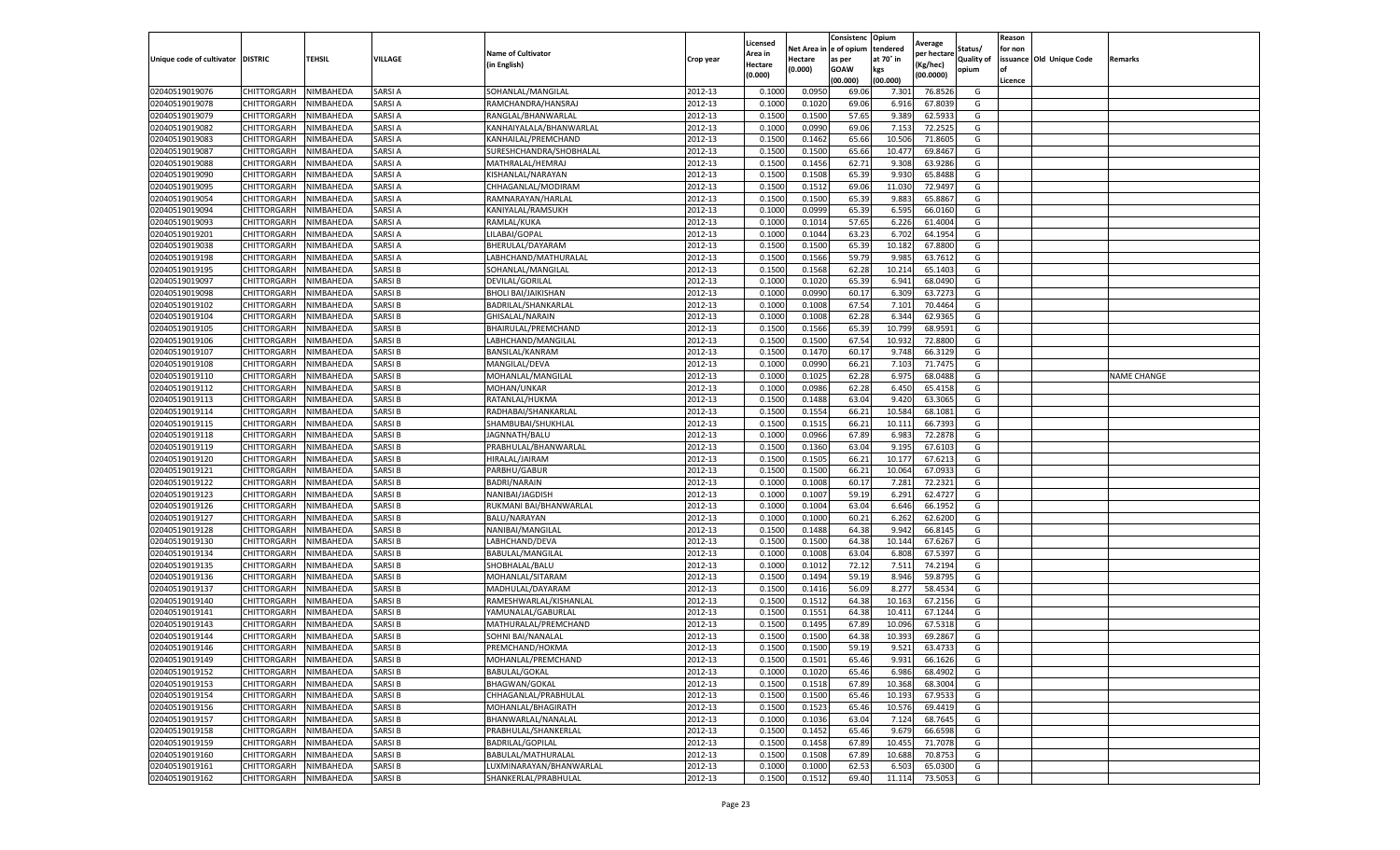|                           |                    |           |               |                            |           |                     |         | Consistenc             | Opium     |                        |                   | Reason  |                          |                    |
|---------------------------|--------------------|-----------|---------------|----------------------------|-----------|---------------------|---------|------------------------|-----------|------------------------|-------------------|---------|--------------------------|--------------------|
|                           |                    |           |               | <b>Name of Cultivator</b>  |           | Licensed<br>Area in |         | Net Area in e of opium | tendered  | Average<br>per hectare | Status/           | for non |                          |                    |
| Unique code of cultivator | <b>DISTRIC</b>     | TEHSIL    | VILLAGE       | in English)                | Crop year | Hectare             | Hectare | as per                 | at 70° in | (Kg/hec                | <b>Quality of</b> |         | issuance Old Unique Code | <b>Remarks</b>     |
|                           |                    |           |               |                            |           | (0.000)             | (0.000) | <b>GOAW</b>            | kgs       | (00.0000)              | opium             |         |                          |                    |
|                           |                    |           |               |                            |           |                     |         | (00.000)               | (00.000)  |                        |                   | Licence |                          |                    |
| 02040519019076            | CHITTORGARH        | NIMBAHEDA | SARSI A       | SOHANLAL/MANGILAL          | 2012-13   | 0.1000              | 0.0950  | 69.06                  | 7.301     | 76.8526                | G                 |         |                          |                    |
| 02040519019078            | CHITTORGARH        | NIMBAHEDA | SARSI A       | RAMCHANDRA/HANSRAJ         | 2012-13   | 0.1000              | 0.1020  | 69.06                  | 6.916     | 67.803                 | G                 |         |                          |                    |
| 02040519019079            | CHITTORGARH        | NIMBAHEDA | SARSI A       | RANGLAL/BHANWARLAL         | 2012-13   | 0.1500              | 0.1500  | 57.65                  | 9.389     | 62.5933                | G                 |         |                          |                    |
| 02040519019082            | CHITTORGARH        | NIMBAHEDA | SARSI A       | KANHAIYALALA/BHANWARLAL    | 2012-13   | 0.1000              | 0.0990  | 69.06                  | 7.153     | 72.2525                | G                 |         |                          |                    |
| 02040519019083            | CHITTORGARH        | NIMBAHEDA | SARSI A       | KANHAILAL/PREMCHAND        | 2012-13   | 0.1500              | 0.1462  | 65.66                  | 10.506    | 71.8605                | G                 |         |                          |                    |
| 02040519019087            | CHITTORGARH        | NIMBAHEDA | SARSI A       | SURESHCHANDRA/SHOBHALAL    | 2012-13   | 0.1500              | 0.1500  | 65.66                  | 10.47     | 69.8467                | G                 |         |                          |                    |
| 02040519019088            | CHITTORGARH        | NIMBAHEDA | SARSI A       | MATHRALAL/HEMRAJ           | 2012-13   | 0.1500              | 0.1456  | 62.71                  | 9.308     | 63.9286                | G                 |         |                          |                    |
| 02040519019090            | CHITTORGARH        | NIMBAHEDA | SARSI A       | KISHANLAL/NARAYAN          | 2012-13   | 0.1500              | 0.1508  | 65.39                  | 9.93      | 65.8488                | G                 |         |                          |                    |
| 02040519019095            | CHITTORGARH        | NIMBAHEDA | SARSI A       | CHHAGANLAL/MODIRAM         | 2012-13   | 0.1500              | 0.1512  | 69.06                  | 11.03     | 72.9497                | G                 |         |                          |                    |
| 02040519019054            | CHITTORGARH        | NIMBAHEDA | SARSI A       | RAMNARAYAN/HARLAL          | 2012-13   | 0.1500              | 0.1500  | 65.39                  | 9.883     | 65.8867                | G                 |         |                          |                    |
| 02040519019094            | CHITTORGARH        | NIMBAHEDA | SARSI A       | KANIYALAL/RAMSUKH          | 2012-13   | 0.1000              | 0.0999  | 65.39                  | 6.595     | 66.0160                | G                 |         |                          |                    |
| 02040519019093            | CHITTORGARH        | NIMBAHEDA | SARSI A       | RAMLAL/KUKA                | 2012-13   | 0.1000              | 0.1014  | 57.65                  | 6.226     | 61.4004                | G                 |         |                          |                    |
| 02040519019201            | CHITTORGARH        | NIMBAHEDA | SARSI A       | LILABAI/GOPAL              | 2012-13   | 0.1000              | 0.1044  | 63.23                  | 6.702     | 64.1954                | G                 |         |                          |                    |
| 02040519019038            | CHITTORGARH        | NIMBAHEDA | SARSI A       | BHERULAL/DAYARAM           | 2012-13   | 0.1500              | 0.1500  | 65.39                  | 10.18     | 67.8800                | G                 |         |                          |                    |
| 02040519019198            | CHITTORGARH        | NIMBAHEDA | SARSI A       | LABHCHAND/MATHURALAL       | 2012-13   | 0.1500              | 0.1566  | 59.79                  | 9.985     | 63.7612                | G                 |         |                          |                    |
| 02040519019195            | CHITTORGARH        | NIMBAHEDA | SARSI B       | SOHANLAL/MANGILAL          | 2012-13   | 0.1500              | 0.1568  | 62.28                  | 10.21     | 65.1403                | G                 |         |                          |                    |
| 02040519019097            | CHITTORGARH        | NIMBAHEDA | SARSI B       | DEVILAL/GORILAL            | 2012-13   | 0.1000              | 0.1020  | 65.39                  | 6.941     | 68.0490                | G                 |         |                          |                    |
| 02040519019098            | CHITTORGARH        | NIMBAHEDA | SARSI B       | <b>BHOLI BAI/JAIKISHAN</b> | 2012-13   | 0.1000              | 0.0990  | 60.17                  | 6.309     | 63.7273                | G                 |         |                          |                    |
| 02040519019102            | CHITTORGARH        | NIMBAHEDA | SARSI B       | BADRILAL/SHANKARLAL        | 2012-13   | 0.1000              | 0.1008  | 67.54                  | 7.101     | 70.4464                | G                 |         |                          |                    |
| 02040519019104            | CHITTORGARH        | NIMBAHEDA | SARSI B       | GHISALAL/NARAIN            | 2012-13   | 0.1000              | 0.1008  | 62.28                  | 6.344     | 62.9365                | G                 |         |                          |                    |
| 02040519019105            | CHITTORGARH        | NIMBAHEDA | SARSI B       | BHAIRULAL/PREMCHAND        | 2012-13   | 0.1500              | 0.1566  | 65.39                  | 10.799    | 68.9591                | G                 |         |                          |                    |
| 02040519019106            | CHITTORGARH        | NIMBAHEDA | SARSI B       | LABHCHAND/MANGILAL         | 2012-13   | 0.1500              | 0.1500  | 67.54                  | 10.932    | 72.8800                | G                 |         |                          |                    |
| 02040519019107            | CHITTORGARH        | NIMBAHEDA | SARSI B       | <b>BANSILAL/KANRAM</b>     | 2012-13   | 0.1500              | 0.1470  | 60.17                  | 9.748     | 66.3129                | G                 |         |                          |                    |
| 02040519019108            | CHITTORGARH        | NIMBAHEDA | SARSI B       | MANGILAL/DEVA              | 2012-13   | 0.1000              | 0.0990  | 66.21                  | 7.103     | 71.7475                | G                 |         |                          |                    |
| 02040519019110            | CHITTORGARH        | NIMBAHEDA | SARSI B       | MOHANLAL/MANGILAL          | 2012-13   | 0.1000              | 0.1025  | 62.28                  | 6.975     | 68.0488                | G                 |         |                          | <b>NAME CHANGE</b> |
| 02040519019112            | CHITTORGARH        | NIMBAHEDA | SARSI B       | MOHAN/UNKAR                | 2012-13   | 0.1000              | 0.0986  | 62.28                  | 6.45      | 65.4158                | G                 |         |                          |                    |
| 02040519019113            | CHITTORGARH        | NIMBAHEDA | SARSI B       | RATANLAL/HUKMA             | 2012-13   | 0.1500              | 0.1488  | 63.04                  | 9.420     | 63.3065                | G                 |         |                          |                    |
| 02040519019114            | CHITTORGARH        | NIMBAHEDA | SARSI B       | RADHABAI/SHANKARLAL        | 2012-13   | 0.1500              | 0.1554  | 66.21                  | 10.584    | 68.1081                | G                 |         |                          |                    |
| 02040519019115            | CHITTORGARH        | NIMBAHEDA | SARSI B       | SHAMBUBAI/SHUKHLAL         | 2012-13   | 0.1500              | 0.1515  | 66.21                  | 10.111    | 66.7393                | G                 |         |                          |                    |
| 02040519019118            | CHITTORGARH        | NIMBAHEDA | SARSI B       | JAGNNATH/BALU              | 2012-13   | 0.1000              | 0.0966  | 67.89                  | 6.983     | 72.2878                | G                 |         |                          |                    |
| 02040519019119            | CHITTORGARH        | NIMBAHEDA | SARSI B       | PRABHULAL/BHANWARLAL       | 2012-13   | 0.1500              | 0.1360  | 63.04                  | 9.19      | 67.6103                | G                 |         |                          |                    |
| 02040519019120            | CHITTORGARH        | NIMBAHEDA | SARSI B       | HIRALAL/JAIRAM             | 2012-13   | 0.1500              | 0.1505  | 66.21                  | 10.177    | 67.6213                | G                 |         |                          |                    |
| 02040519019121            | CHITTORGARH        | NIMBAHEDA | SARSI B       | PARBHU/GABUR               | 2012-13   | 0.1500              | 0.1500  | 66.2                   | 10.064    | 67.093                 | G                 |         |                          |                    |
| 02040519019122            | CHITTORGARH        | NIMBAHEDA | SARSI B       | <b>BADRI/NARAIN</b>        | 2012-13   | 0.1000              | 0.1008  | 60.17                  | 7.281     | 72.2321                | G                 |         |                          |                    |
| 02040519019123            | CHITTORGARH        | NIMBAHEDA | SARSI B       | NANIBAI/JAGDISH            | 2012-13   | 0.1000              | 0.1007  | 59.19                  | 6.291     | 62.4727                | G                 |         |                          |                    |
| 02040519019126            | CHITTORGARH        | NIMBAHEDA | SARSI B       | RUKMANI BAI/BHANWARLAL     | 2012-13   | 0.1000              | 0.1004  | 63.04                  | 6.646     | 66.1952                | G                 |         |                          |                    |
| 02040519019127            | CHITTORGARH        | NIMBAHEDA | SARSI B       | BALU/NARAYAN               | 2012-13   | 0.1000              | 0.1000  | 60.21                  | 6.262     | 62.6200                | G                 |         |                          |                    |
| 02040519019128            | CHITTORGARH        | NIMBAHEDA | SARSI B       | NANIBAI/MANGILAL           | 2012-13   | 0.1500              | 0.1488  | 64.38                  | 9.94      | 66.8145                | G                 |         |                          |                    |
| 02040519019130            | CHITTORGARH        | NIMBAHEDA | SARSI B       | LABHCHAND/DEVA             | 2012-13   | 0.1500              | 0.1500  | 64.38                  | 10.14     | 67.6267                | G                 |         |                          |                    |
| 02040519019134            | CHITTORGARH        | NIMBAHEDA | SARSI B       | BABULAL/MANGILAL           | 2012-13   | 0.1000              | 0.1008  | 63.04                  | 6.808     | 67.5397                | G                 |         |                          |                    |
| 02040519019135            | CHITTORGARH        | NIMBAHEDA | SARSI B       | SHOBHALAL/BALU             | 2012-13   | 0.1000              | 0.1012  | 72.12                  | 7.511     | 74.2194                | G                 |         |                          |                    |
| 02040519019136            | CHITTORGARH        | NIMBAHEDA | SARSI B       | MOHANLAL/SITARAM           | 2012-13   | 0.1500              | 0.1494  | 59.19                  | 8.946     | 59.8795                | G                 |         |                          |                    |
| 02040519019137            | CHITTORGARH        | NIMBAHEDA | SARSI B       | MADHULAL/DAYARAM           | 2012-13   | 0.1500              | 0.1416  | 56.09                  | 8.27      | 58.4534                | G                 |         |                          |                    |
| 02040519019140            | CHITTORGARH        | NIMBAHEDA | SARSI B       | RAMESHWARLAL/KISHANLAL     | 2012-13   | 0.1500              | 0.1512  | 64.38                  | 10.16     | 67.2156                | G                 |         |                          |                    |
| 02040519019141            | CHITTORGARH        | NIMBAHEDA | SARSI B       | YAMUNALAL/GABURLAL         | 2012-13   | 0.1500              | 0.1551  | 64.38                  | 10.411    | 67.1244                | G                 |         |                          |                    |
| 02040519019143            | CHITTORGARH        | NIMBAHEDA | SARSI B       | MATHURALAL/PREMCHAND       | 2012-13   | 0.1500              | 0.1495  | 67.89                  | 10.09     | 67.5318                | G                 |         |                          |                    |
| 02040519019144            | CHITTORGARH        | NIMBAHEDA | SARSI B       | <b>SOHNI BAI/NANALAI</b>   | 2012-13   | 0.1500              | 0.1500  | 64.38                  | 10.39     | 69.2867                | G                 |         |                          |                    |
| 02040519019146            | CHITTORGARH        | NIMBAHEDA | SARSI B       | PREMCHAND/HOKMA            | 2012-13   | 0.1500              | 0.1500  | 59.19                  | 9.521     | 63.4733                | G                 |         |                          |                    |
| 02040519019149            | CHITTORGARH        | NIMBAHEDA | SARSI B       | MOHANLAL/PREMCHAND         | 2012-13   | 0.1500              | 0.1501  | 65.46                  | 9.931     | 66.1626                | G                 |         |                          |                    |
| 02040519019152            | CHITTORGARH        | NIMBAHEDA | SARSI B       | <b>BABULAL/GOKAL</b>       | 2012-13   | 0.1000              | 0.1020  | 65.46                  | 6.986     | 68.4902                | G                 |         |                          |                    |
| 02040519019153            | CHITTORGARH        | NIMBAHEDA | SARSI B       | <b>BHAGWAN/GOKAL</b>       | 2012-13   | 0.1500              | 0.1518  | 67.89                  | 10.368    | 68.3004                | G                 |         |                          |                    |
| 02040519019154            | CHITTORGARH        | NIMBAHEDA | SARSI B       | CHHAGANLAL/PRABHULAL       | 2012-13   | 0.1500              | 0.1500  | 65.46                  | 10.193    | 67.9533                | G                 |         |                          |                    |
| 02040519019156            | <b>CHITTORGARH</b> | NIMBAHEDA | SARSI B       | MOHANLAL/BHAGIRATH         | 2012-13   | 0.1500              | 0.1523  | 65.46                  | 10.57     | 69.4419                | G                 |         |                          |                    |
| 02040519019157            | <b>CHITTORGARH</b> | NIMBAHEDA | <b>SARSIB</b> | BHANWARLAL/NANALAL         | 2012-13   | 0.1000              | 0.1036  | 63.04                  | 7.124     | 68.7645                | G                 |         |                          |                    |
| 02040519019158            | CHITTORGARH        | NIMBAHEDA | SARSI B       | PRABHULAL/SHANKERLAL       | 2012-13   | 0.1500              | 0.1452  | 65.46                  | 9.679     | 66.6598                | G                 |         |                          |                    |
| 02040519019159            | CHITTORGARH        | NIMBAHEDA | SARSI B       | <b>BADRILAL/GOPILAL</b>    | 2012-13   | 0.1500              | 0.1458  | 67.89                  | 10.455    | 71.7078                | G                 |         |                          |                    |
| 02040519019160            | CHITTORGARH        | NIMBAHEDA | SARSI B       | BABULAL/MATHURALAL         | 2012-13   | 0.1500              | 0.1508  | 67.89                  | 10.688    | 70.8753                | G                 |         |                          |                    |
| 02040519019161            | CHITTORGARH        | NIMBAHEDA | SARSI B       | LUXMINARAYAN/BHANWARLAL    | 2012-13   | 0.1000              | 0.1000  | 62.53                  | 6.503     | 65.0300                | G                 |         |                          |                    |
| 02040519019162            | <b>CHITTORGARH</b> | NIMBAHEDA | <b>SARSIB</b> | SHANKERLAL/PRABHULAL       | 2012-13   | 0.1500              | 0.1512  | 69.40                  | 11.114    | 73.5053                | G                 |         |                          |                    |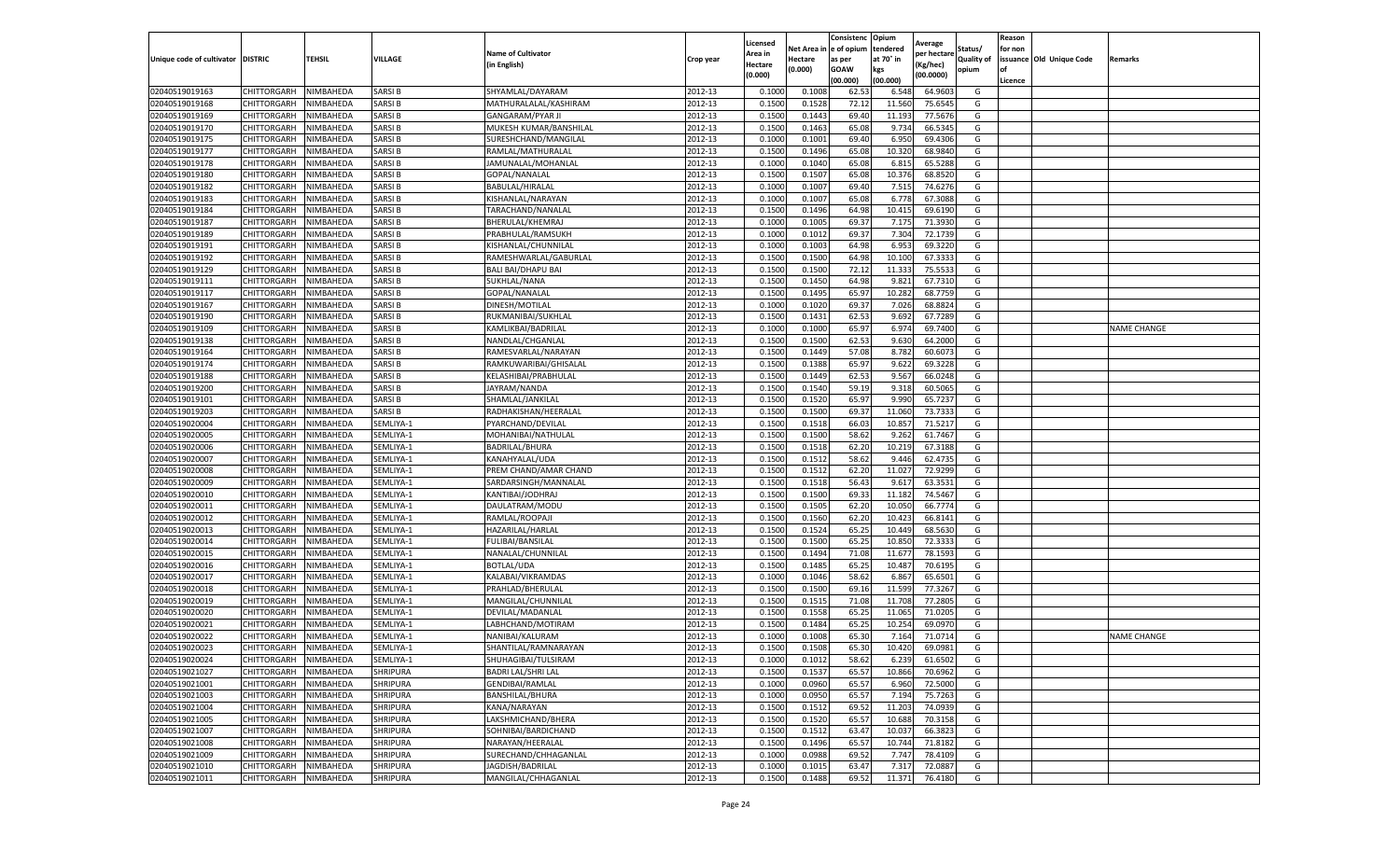|                           |                       |           |                 |                                                     |           | Licensed |         | Consistenc             | Opium     |                        |            | Reason  |                          |                    |
|---------------------------|-----------------------|-----------|-----------------|-----------------------------------------------------|-----------|----------|---------|------------------------|-----------|------------------------|------------|---------|--------------------------|--------------------|
|                           |                       |           |                 | <b>Name of Cultivator</b>                           |           | Area in  |         | Net Area in e of opium | tendered  | Average<br>oer hectare | Status/    | for non |                          |                    |
| Unique code of cultivator | <b>DISTRIC</b>        | TEHSIL    | VILLAGE         | in English)                                         | Crop year | Hectare  | Hectare | as per                 | at 70° in | (Kg/hec                | Quality of |         | issuance Old Unique Code | <b>Remarks</b>     |
|                           |                       |           |                 |                                                     |           | (0.000)  | (0.000) | <b>GOAW</b>            | kgs       | (00.0000)              | opium      |         |                          |                    |
|                           |                       |           |                 |                                                     |           |          |         | (00.000)               | (00.000)  |                        |            | Licence |                          |                    |
| 02040519019163            | <b>CHITTORGARH</b>    | NIMBAHEDA | SARSI B         | SHYAMLAL/DAYARAM                                    | 2012-13   | 0.1000   | 0.1008  | 62.53                  | 6.548     | 64.9603                | G          |         |                          |                    |
| 02040519019168            | <b>CHITTORGARH</b>    | NIMBAHEDA | SARSI B         | MATHURALALAL/KASHIRAM                               | 2012-13   | 0.1500   | 0.1528  | 72.12                  | 11.560    | 75.6545                | G          |         |                          |                    |
| 02040519019169            | CHITTORGARH           | NIMBAHEDA | SARSI B         | <b>GANGARAM/PYAR JI</b>                             | 2012-13   | 0.1500   | 0.1443  | 69.40                  | 11.193    | 77.5676                | G          |         |                          |                    |
| 02040519019170            | CHITTORGARH           | NIMBAHEDA | <b>SARSIB</b>   | MUKESH KUMAR/BANSHILAL                              | 2012-13   | 0.1500   | 0.1463  | 65.08                  | 9.734     | 66.5345                | G          |         |                          |                    |
| 02040519019175            | CHITTORGARH           | NIMBAHEDA | SARSI B         | SURESHCHAND/MANGILAL                                | 2012-13   | 0.1000   | 0.1001  | 69.40                  | 6.950     | 69.4306                | G          |         |                          |                    |
| 02040519019177            | CHITTORGARH           | NIMBAHEDA | SARSI B         | RAMLAL/MATHURALAL                                   | 2012-13   | 0.1500   | 0.1496  | 65.08                  | 10.32     | 68.9840                | G          |         |                          |                    |
| 02040519019178            | CHITTORGARH           | NIMBAHEDA | SARSI B         | JAMUNALAL/MOHANLAL                                  | 2012-13   | 0.1000   | 0.1040  | 65.08                  | 6.81      | 65.5288                | G          |         |                          |                    |
| 02040519019180            | CHITTORGARH           | NIMBAHEDA | SARSI B         | GOPAL/NANALAL                                       | 2012-13   | 0.1500   | 0.1507  | 65.08                  | 10.37     | 68.8520                | G          |         |                          |                    |
| 02040519019182            | CHITTORGARH           | NIMBAHEDA | SARSI B         | BABULAL/HIRALAL                                     | 2012-13   | 0.1000   | 0.1007  | 69.40                  | 7.515     | 74.6276                | G          |         |                          |                    |
| 02040519019183            | CHITTORGARH           | NIMBAHEDA | SARSI B         | KISHANLAL/NARAYAN                                   | 2012-13   | 0.1000   | 0.1007  | 65.08                  | 6.778     | 67.3088                | G          |         |                          |                    |
| 02040519019184            | CHITTORGARH           | NIMBAHEDA | SARSI B         | TARACHAND/NANALAL                                   | 2012-13   | 0.1500   | 0.1496  | 64.98                  | 10.415    | 69.6190                | G          |         |                          |                    |
| 02040519019187            | CHITTORGARH           | NIMBAHEDA | SARSI B         | BHERULAL/KHEMRAJ                                    | 2012-13   | 0.1000   | 0.1005  | 69.37                  | 7.175     | 71.3930                | G          |         |                          |                    |
| 02040519019189            | CHITTORGARH           | NIMBAHEDA | SARSI B         | PRABHULAL/RAMSUKH                                   | 2012-13   | 0.1000   | 0.1012  | 69.37                  | 7.304     | 72.1739                | G          |         |                          |                    |
| 02040519019191            | CHITTORGARH           | NIMBAHEDA | SARSI B         | KISHANLAL/CHUNNILAL                                 | 2012-13   | 0.1000   | 0.1003  | 64.98                  | 6.953     | 69.3220                | G          |         |                          |                    |
| 02040519019192            | CHITTORGARH           | NIMBAHEDA | SARSI B         | RAMESHWARLAL/GABURLAL                               | 2012-13   | 0.1500   | 0.1500  | 64.98                  | 10.100    | 67.3333                | G          |         |                          |                    |
| 02040519019129            | CHITTORGARH           | NIMBAHEDA | SARSI B         | <b>BALI BAI/DHAPU BAI</b>                           | 2012-13   | 0.1500   | 0.1500  | 72.12                  | 11.33     | 75.5533                | G          |         |                          |                    |
| 02040519019111            | CHITTORGARH           | NIMBAHEDA | SARSI B         | SUKHLAL/NANA                                        | 2012-13   | 0.1500   | 0.1450  | 64.98                  | 9.821     | 67.7310                | G          |         |                          |                    |
| 02040519019117            | CHITTORGARH           | NIMBAHEDA | SARSI B         | GOPAL/NANALAL                                       | 2012-13   | 0.1500   | 0.1495  | 65.97                  | 10.28     | 68.7759                | G          |         |                          |                    |
| 02040519019167            | CHITTORGARH           | NIMBAHEDA | SARSI B         | DINESH/MOTILAL                                      | 2012-13   | 0.1000   | 0.1020  | 69.37                  | 7.026     | 68.8824                | G          |         |                          |                    |
| 02040519019190            | CHITTORGARH           | NIMBAHEDA | SARSI B         | RUKMANIBAI/SUKHLAI                                  | 2012-13   | 0.1500   | 0.1431  | 62.53                  | 9.692     | 67.7289                | G          |         |                          |                    |
| 02040519019109            | CHITTORGARH           | NIMBAHEDA | SARSI B         | KAMLIKBAI/BADRILAL                                  | 2012-13   | 0.1000   | 0.1000  | 65.97                  | 6.974     | 69.7400                | G          |         |                          | <b>NAME CHANGE</b> |
| 02040519019138            | CHITTORGARH           | NIMBAHEDA | SARSI B         | NANDLAL/CHGANLAL                                    | 2012-13   | 0.1500   | 0.1500  | 62.53                  | 9.630     | 64.2000                | G          |         |                          |                    |
| 02040519019164            | CHITTORGARH           | NIMBAHEDA | <b>SARSIB</b>   | RAMESVARLAL/NARAYAN                                 | 2012-13   | 0.1500   | 0.1449  | 57.08                  | 8.782     | 60.6073                | G          |         |                          |                    |
| 02040519019174            | CHITTORGARH           | NIMBAHEDA | SARSI B         | RAMKUWARIBAI/GHISALAL                               | 2012-13   | 0.1500   | 0.1388  | 65.97                  | 9.622     | 69.3228                | G          |         |                          |                    |
| 02040519019188            | CHITTORGARH           | NIMBAHEDA | SARSI B         | KELASHIBAI/PRABHULAL                                | 2012-13   | 0.1500   | 0.1449  | 62.53                  | 9.567     | 66.0248                | G          |         |                          |                    |
| 02040519019200            | CHITTORGARH           | NIMBAHEDA | SARSI B         | JAYRAM/NANDA                                        | 2012-13   | 0.1500   | 0.1540  | 59.19                  | 9.318     | 60.5065                | G          |         |                          |                    |
| 02040519019101            | CHITTORGARH           | NIMBAHEDA | SARSI B         | SHAMLAL/JANKILAL                                    | 2012-13   | 0.1500   | 0.1520  | 65.97                  | 9.990     | 65.7237                | G          |         |                          |                    |
| 02040519019203            | CHITTORGARH           | NIMBAHEDA | SARSI B         | RADHAKISHAN/HEERALAL                                | 2012-13   | 0.1500   | 0.1500  | 69.37                  | 11.060    | 73.7333                | G          |         |                          |                    |
| 02040519020004            | CHITTORGARH           | NIMBAHEDA | SEMLIYA-1       | PYARCHAND/DEVILAL                                   | 2012-13   | 0.1500   | 0.1518  | 66.03                  | 10.857    | 71.5217                | G          |         |                          |                    |
| 02040519020005            | CHITTORGARH           | NIMBAHEDA | SEMLIYA-1       | MOHANIBAI/NATHULAL                                  | 2012-13   | 0.1500   | 0.1500  | 58.62                  | 9.262     | 61.7467                | G          |         |                          |                    |
| 02040519020006            | CHITTORGARH           | NIMBAHEDA | SEMLIYA-1       | <b>BADRILAL/BHURA</b>                               | 2012-13   | 0.1500   | 0.1518  | 62.20                  | 10.21     | 67.3188                | G          |         |                          |                    |
| 02040519020007            | CHITTORGARH           | NIMBAHEDA | SEMLIYA-1       | KANAHYALAL/UDA                                      | 2012-13   | 0.1500   | 0.1512  | 58.62                  | 9.446     | 62.4735                | G          |         |                          |                    |
| 02040519020008            | CHITTORGARH           | NIMBAHEDA | SEMLIYA-1       | PREM CHAND/AMAR CHAND                               | 2012-13   | 0.1500   | 0.1512  | 62.20                  | 11.02     | 72.9299                | G          |         |                          |                    |
| 02040519020009            | CHITTORGARH           | NIMBAHEDA | SEMLIYA-1       | SARDARSINGH/MANNALAL                                | 2012-13   | 0.1500   | 0.1518  | 56.43                  | 9.617     | 63.3531                | G          |         |                          |                    |
| 02040519020010            | CHITTORGARH           | NIMBAHEDA | SEMLIYA-1       | KANTIBAI/JODHRAJ                                    | 2012-13   | 0.1500   | 0.1500  | 69.33                  | 11.182    | 74.5467                | G          |         |                          |                    |
| 02040519020011            | CHITTORGARH           | NIMBAHEDA | SEMLIYA-1       | DAULATRAM/MODU                                      | 2012-13   | 0.1500   | 0.1505  | 62.20                  | 10.05     | 66.7774                | G          |         |                          |                    |
| 02040519020012            | CHITTORGARH           | NIMBAHEDA | SEMLIYA-1       | RAMLAL/ROOPAJI                                      | 2012-13   | 0.1500   | 0.1560  | 62.20                  | 10.423    | 66.8141                | G          |         |                          |                    |
| 02040519020013            | CHITTORGARH           | NIMBAHEDA | SEMLIYA-1       | HAZARILAL/HARLAL                                    | 2012-13   | 0.1500   | 0.1524  | 65.25                  | 10.44     | 68.5630                | G          |         |                          |                    |
| 02040519020014            | CHITTORGARH           | NIMBAHEDA | SEMLIYA-1       | FULIBAI/BANSILAL                                    | 2012-13   | 0.1500   | 0.1500  | 65.25                  | 10.85     | 72.3333                | G          |         |                          |                    |
| 02040519020015            | CHITTORGARH           | NIMBAHEDA | SEMLIYA-1       | NANALAL/CHUNNILAL                                   | 2012-13   | 0.1500   | 0.1494  | 71.08                  | 11.67     | 78.1593                | G          |         |                          |                    |
| 02040519020016            | CHITTORGARH           | NIMBAHEDA | SEMLIYA-1       | <b>BOTLAL/UDA</b>                                   | 2012-13   | 0.1500   | 0.1485  | 65.25                  | 10.487    | 70.6195                | G          |         |                          |                    |
| 02040519020017            | CHITTORGARH           | NIMBAHEDA | SEMLIYA-1       | KALABAI/VIKRAMDAS                                   | 2012-13   | 0.1000   | 0.1046  | 58.62                  | 6.867     | 65.6501                | G          |         |                          |                    |
| 02040519020018            | CHITTORGARH           | NIMBAHEDA | SEMLIYA-1       | PRAHLAD/BHERULAL                                    | 2012-13   | 0.1500   | 0.1500  | 69.16                  | 11.59     | 77.3267                | G          |         |                          |                    |
| 02040519020019            | CHITTORGARH           | NIMBAHEDA | SEMLIYA-1       | MANGILAL/CHUNNILAL                                  | 2012-13   | 0.1500   | 0.1515  | 71.08                  | 11.70     | 77.2805                | G          |         |                          |                    |
| 02040519020020            | CHITTORGARH           | NIMBAHEDA | SEMLIYA-1       | DEVILAL/MADANLAL                                    | 2012-13   | 0.1500   | 0.1558  | 65.25                  | 11.065    | 71.0205                | G          |         |                          |                    |
| 02040519020021            | CHITTORGARH           | NIMBAHEDA | SEMLIYA-1       | LABHCHAND/MOTIRAM                                   | 2012-13   | 0.1500   | 0.1484  | 65.25                  | 10.25     | 69.0970                | G          |         |                          |                    |
| 02040519020022            | CHITTORGARH           | NIMBAHEDA | SEMLIYA-1       | NANIBAI/KALURAM                                     | 2012-13   | 0.1000   | 0.1008  | 65.30                  | 7.164     | 71.0714                | G          |         |                          | <b>NAME CHANGE</b> |
| 02040519020023            | CHITTORGARH           | NIMBAHEDA | SEMLIYA-1       |                                                     | 2012-13   | 0.1500   | 0.1508  | 65.30                  | 10.420    | 69.0981                | G          |         |                          |                    |
| 02040519020024            | CHITTORGARH NIMBAHEDA |           | SEMLIYA-1       | SHANTILAL/RAMNARAYAN<br>SHUHAGIBAI/TULSIRAM         | 2012-13   | 0.1000   | 0.1012  | 58.62                  | 6.239     | 61.6502                | G          |         |                          |                    |
|                           | CHITTORGARH           | NIMBAHEDA | SHRIPURA        |                                                     | 2012-13   | 0.1500   | 0.1537  | 65.57                  | 10.866    | 70.6962                | G          |         |                          |                    |
| 02040519021027            | <b>CHITTORGARH</b>    |           | <b>SHRIPURA</b> | <b>BADRI LAL/SHRI LAL</b><br><b>GENDIBAI/RAMLAL</b> | 2012-13   |          |         | 65.57                  | 6.960     |                        | G          |         |                          |                    |
| 02040519021001            |                       | NIMBAHEDA |                 |                                                     |           | 0.1000   | 0.0960  |                        |           | 72.5000                |            |         |                          |                    |
| 02040519021003            | CHITTORGARH           | NIMBAHEDA | SHRIPURA        | BANSHILAL/BHURA                                     | 2012-13   | 0.1000   | 0.0950  | 65.57                  | 7.194     | 75.7263                | G          |         |                          |                    |
| 02040519021004            | <b>CHITTORGARH</b>    | NIMBAHEDA | SHRIPURA        | KANA/NARAYAN                                        | 2012-13   | 0.1500   | 0.1512  | 69.52                  | 11.203    | 74.0939                | G          |         |                          |                    |
| 02040519021005            | <b>CHITTORGARH</b>    | NIMBAHEDA | <b>SHRIPURA</b> | LAKSHMICHAND/BHERA                                  | 2012-13   | 0.1500   | 0.1520  | 65.57                  | 10.688    | 70.3158                | G          |         |                          |                    |
| 02040519021007            | CHITTORGARH           | NIMBAHEDA | SHRIPURA        | SOHNIBAI/BARDICHAND                                 | 2012-13   | 0.1500   | 0.1512  | 63.47                  | 10.037    | 66.3823                | G          |         |                          |                    |
| 02040519021008            | CHITTORGARH           | NIMBAHEDA | SHRIPURA        | NARAYAN/HEERALAL                                    | 2012-13   | 0.1500   | 0.1496  | 65.57                  | 10.744    | 71.8182                | G          |         |                          |                    |
| 02040519021009            | CHITTORGARH           | NIMBAHEDA | SHRIPURA        | SURECHAND/CHHAGANLAL                                | 2012-13   | 0.1000   | 0.0988  | 69.52                  | 7.747     | 78.4109                | G          |         |                          |                    |
| 02040519021010            | CHITTORGARH           | NIMBAHEDA | SHRIPURA        | JAGDISH/BADRILAL                                    | 2012-13   | 0.1000   | 0.1015  | 63.47                  | 7.317     | 72.0887                | G          |         |                          |                    |
| 02040519021011            | <b>CHITTORGARH</b>    | NIMBAHEDA | <b>SHRIPURA</b> | MANGILAL/CHHAGANLAL                                 | 2012-13   | 0.1500   | 0.1488  | 69.52                  | 11.371    | 76.4180                | G          |         |                          |                    |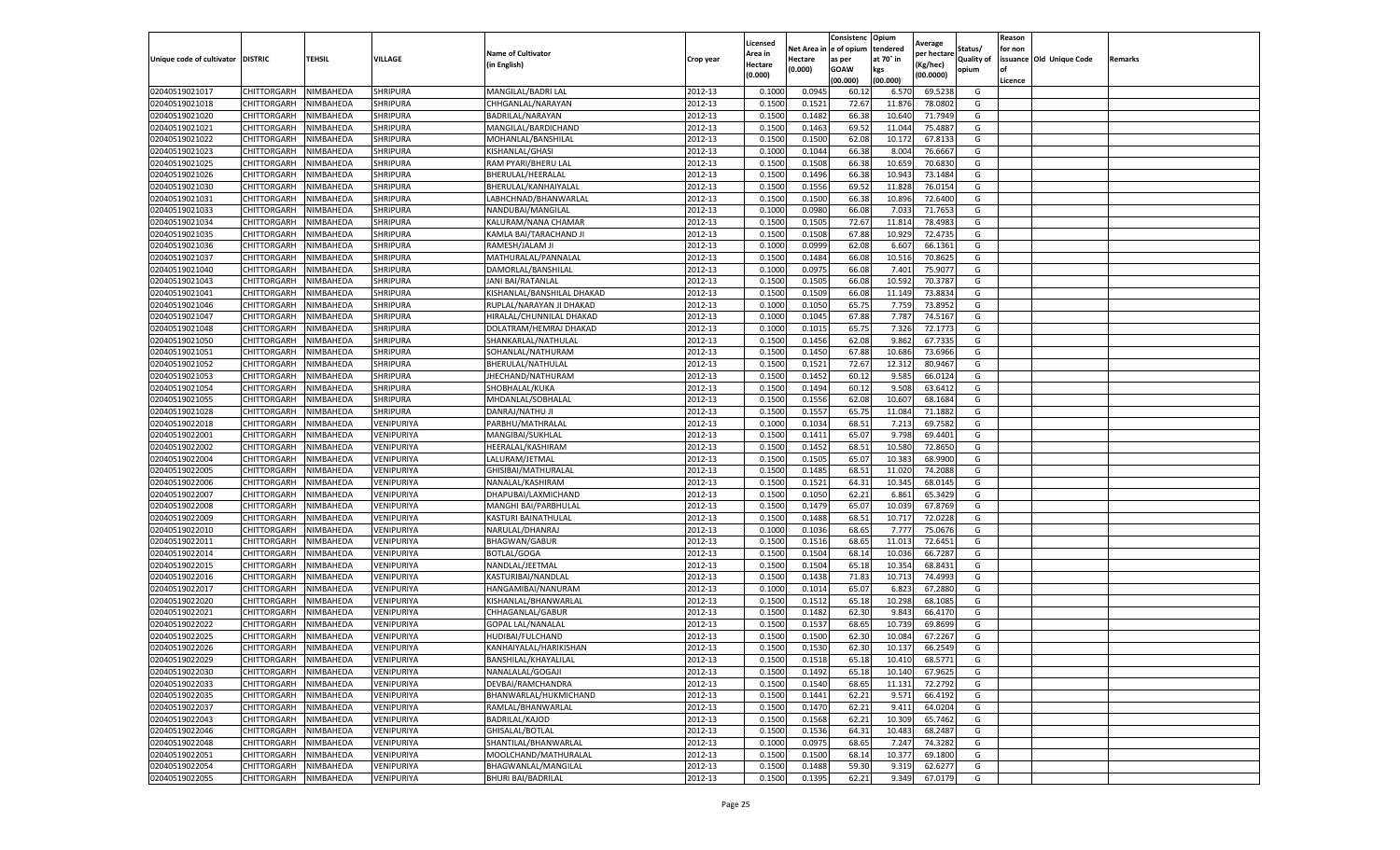|                                   |             |           |                 |                            |                    | Licensed         |                  | Consistenc  | Opium     |                        |                   | Reason  |                          |         |
|-----------------------------------|-------------|-----------|-----------------|----------------------------|--------------------|------------------|------------------|-------------|-----------|------------------------|-------------------|---------|--------------------------|---------|
|                                   |             |           |                 | <b>Name of Cultivator</b>  |                    | Area in          | Net Area i       | e of opium  | tendered  | Average<br>per hectare | Status/           | for non |                          |         |
| Unique code of cultivator DISTRIC |             | TEHSIL    | VILLAGE         | (in English)               | Crop year          | Hectare          | Hectare          | as per      | at 70° in | (Kg/hec)               | <b>Quality of</b> |         | issuance Old Unique Code | Remarks |
|                                   |             |           |                 |                            |                    | (0.000)          | (0.000)          | <b>GOAW</b> | kgs       | (00.0000)              | opium             |         |                          |         |
|                                   |             |           |                 |                            |                    |                  |                  | (00.000     | (00.000)  |                        |                   | Licence |                          |         |
| 02040519021017                    | CHITTORGARH | NIMBAHEDA | <b>SHRIPURA</b> | MANGILAL/BADRI LAI         | 2012-13            | 0.1000           | 0.0945           | 60.1        | 6.570     | 69.5238                | G                 |         |                          |         |
| 02040519021018                    | CHITTORGARH | NIMBAHEDA | <b>SHRIPURA</b> | CHHGANLAL/NARAYAN          | 2012-13            | 0.150            | 0.1522           | 72.67       | 11.87     | 78.0802                | G                 |         |                          |         |
| 02040519021020                    | CHITTORGARH | NIMBAHEDA | SHRIPURA        | BADRILAL/NARAYAN           | 2012-13            | 0.1500           | 0.1482           | 66.38       | 10.640    | 71.7949                | G                 |         |                          |         |
| 02040519021021                    | CHITTORGARH | NIMBAHEDA | <b>SHRIPURA</b> | MANGILAL/BARDICHAND        | 2012-13            | 0.1500           | 0.1463           | 69.52       | 11.044    | 75.4887                | G                 |         |                          |         |
| 02040519021022                    | CHITTORGARH | NIMBAHEDA | SHRIPURA        | MOHANLAL/BANSHILAL         | 2012-13            | 0.1500           | 0.1500           | 62.08       | 10.172    | 67.813                 | G                 |         |                          |         |
| 02040519021023                    | CHITTORGARH | NIMBAHEDA | SHRIPURA        | KISHANLAL/GHASI            | 2012-13            | 0.1000           | 0.1044           | 66.38       | 8.004     | 76.6667                | G                 |         |                          |         |
| 02040519021025                    | CHITTORGARH | NIMBAHEDA | SHRIPURA        | RAM PYARI/BHERU LAL        | 2012-13            | 0.1500           | 0.1508           | 66.38       | 10.659    | 70.6830                | G                 |         |                          |         |
| 02040519021026                    | CHITTORGARH | NIMBAHEDA | SHRIPURA        | BHERULAL/HEERALAL          | 2012-13            | 0.1500           | 0.1496           | 66.38       | 10.943    | 73.1484                | G                 |         |                          |         |
| 02040519021030                    | CHITTORGARH | NIMBAHEDA | <b>SHRIPURA</b> | BHERULAL/KANHAIYALAI       | 2012-13            | 0.1500           | 0.1556           | 69.52       | 11.828    | 76.0154                | G                 |         |                          |         |
| 02040519021031                    | CHITTORGARH | NIMBAHEDA | SHRIPURA        | LABHCHNAD/BHANWARLAL       | 2012-13            | 0.1500           | 0.1500           | 66.38       | 10.896    | 72.6400                | G                 |         |                          |         |
| 02040519021033                    | CHITTORGARH | NIMBAHEDA | SHRIPURA        | NANDUBAI/MANGILAL          | 2012-13            | 0.1000           | 0.0980           | 66.08       | 7.033     | 71.7653                | G                 |         |                          |         |
| 02040519021034                    | CHITTORGARH | NIMBAHEDA | SHRIPURA        | KALURAM/NANA CHAMAR        | 2012-13            | 0.1500           | 0.1505           | 72.67       | 11.814    | 78.4983                | G                 |         |                          |         |
| 02040519021035                    | CHITTORGARH | NIMBAHEDA | SHRIPURA        | KAMLA BAI/TARACHAND JI     | 2012-13            | 0.1500           | 0.1508           | 67.88       | 10.929    | 72.4735                | G                 |         |                          |         |
| 02040519021036                    | CHITTORGARH | NIMBAHEDA | SHRIPURA        | RAMESH/JALAM JI            | 2012-13            | 0.100            | 0.0999           | 62.08       | 6.607     | 66.1361                | G                 |         |                          |         |
| 02040519021037                    | CHITTORGARH | NIMBAHEDA | SHRIPURA        | MATHURALAL/PANNALAL        | 2012-13            | 0.1500           | 0.1484           | 66.08       | 10.516    | 70.8625                | G                 |         |                          |         |
| 02040519021040                    | CHITTORGARH | NIMBAHEDA | <b>SHRIPURA</b> | DAMORLAL/BANSHILAL         | 2012-13            | 0.1000           | 0.0975           | 66.08       | 7.401     | 75.9077                | G                 |         |                          |         |
| 02040519021043                    | CHITTORGARH | NIMBAHEDA | SHRIPURA        | JANI BAI/RATANLAL          | 2012-13            | 0.1500           | 0.1505           | 66.08       | 10.592    | 70.3787                | G                 |         |                          |         |
| 02040519021041                    | CHITTORGARH | NIMBAHEDA | SHRIPURA        | KISHANLAL/BANSHILAL DHAKAD | 2012-13            | 0.1500           | 0.1509           | 66.08       | 11.149    | 73.8834                | G                 |         |                          |         |
| 02040519021046                    | CHITTORGARH | NIMBAHEDA | SHRIPURA        | RUPLAL/NARAYAN JI DHAKAD   | 2012-13            | 0.1000           | 0.1050           | 65.75       | 7.759     | 73.895                 | G                 |         |                          |         |
| 02040519021047                    | CHITTORGARH | NIMBAHEDA | <b>SHRIPURA</b> | HIRALAL/CHUNNILAL DHAKAD   | 2012-13            | 0.1000           | 0.1045           | 67.88       | 7.787     | 74.5167                | G                 |         |                          |         |
| 02040519021048                    | CHITTORGARH | NIMBAHEDA | SHRIPURA        | DOLATRAM/HEMRAJ DHAKAD     | 2012-13            | 0.1000           | 0.1015           | 65.75       | 7.326     | 72.1773                | G                 |         |                          |         |
| 02040519021050                    | CHITTORGARH | NIMBAHEDA | SHRIPURA        | SHANKARLAL/NATHULAL        | 2012-13            | 0.1500           | 0.1456           | 62.08       | 9.862     | 67.7335                | G                 |         |                          |         |
| 02040519021051                    | CHITTORGARH | NIMBAHEDA | <b>SHRIPURA</b> | SOHANLAL/NATHURAM          | 2012-13            | 0.1500           | 0.1450           | 67.88       | 10.686    | 73.6966                | G                 |         |                          |         |
| 02040519021052                    | CHITTORGARH | NIMBAHEDA | SHRIPURA        | BHERULAL/NATHULAL          | 2012-13            | 0.1500           | 0.1521           | 72.67       | 12.312    | 80.9467                | G                 |         |                          |         |
| 02040519021053                    | CHITTORGARH | NIMBAHEDA | SHRIPURA        | JHECHAND/NATHURAM          | 2012-13            | 0.1500           | 0.1452           | 60.12       | 9.585     | 66.0124                | G                 |         |                          |         |
| 02040519021054                    | CHITTORGARH | NIMBAHEDA | SHRIPURA        | SHOBHALAL/KUKA             | 2012-13            | 0.1500           | 0.1494           | 60.12       | 9.508     | 63.6412                | G                 |         |                          |         |
| 02040519021055                    | CHITTORGARH | NIMBAHEDA | SHRIPURA        | MHDANLAL/SOBHALAL          | 2012-13            | 0.1500           | 0.1556           | 62.08       | 10.607    | 68.1684                | G                 |         |                          |         |
| 02040519021028                    | CHITTORGARH | NIMBAHEDA | SHRIPURA        | DANRAJ/NATHU JI            | 2012-13            | 0.1500           | 0.1557           | 65.75       | 11.084    | 71.1882                | G                 |         |                          |         |
| 02040519022018                    | CHITTORGARH | NIMBAHEDA | VENIPURIYA      | PARBHU/MATHRALAL           | 2012-13            | 0.1000           | 0.1034           | 68.51       | 7.213     | 69.7582                | G                 |         |                          |         |
| 02040519022001                    | CHITTORGARH | NIMBAHEDA | VENIPURIYA      | MANGIBAI/SUKHLAL           | 2012-13            | 0.1500           | 0.1411           | 65.07       | 9.798     | 69.4401                | G                 |         |                          |         |
| 02040519022002                    | CHITTORGARH | NIMBAHEDA | VENIPURIYA      | HEERALAL/KASHIRAM          | 2012-13            | 0.1500           | 0.1452           | 68.51       | 10.580    | 72.8650                | G                 |         |                          |         |
| 02040519022004                    | CHITTORGARH | NIMBAHEDA | VENIPURIYA      | LALURAM/JETMAL             | 2012-13            | 0.1500           | 0.1505           | 65.07       | 10.383    | 68.9900                | G                 |         |                          |         |
| 02040519022005                    | CHITTORGARH | NIMBAHEDA | VENIPURIYA      | GHISIBAI/MATHURALAL        | 2012-13            | 0.1500           | 0.1485           | 68.51       | 11.02     | 74.2088                | G                 |         |                          |         |
| 02040519022006                    | CHITTORGARH | NIMBAHEDA | VENIPURIYA      | NANALAL/KASHIRAM           | 2012-13            | 0.1500           | 0.1521           | 64.31       | 10.345    | 68.0145                | G                 |         |                          |         |
| 02040519022007                    | CHITTORGARH | NIMBAHEDA | VENIPURIYA      | DHAPUBAI/LAXMICHAND        | 2012-13            | 0.1500           | 0.1050           | 62.21       | 6.861     | 65.3429                | G                 |         |                          |         |
| 02040519022008                    | CHITTORGARH | NIMBAHEDA | VENIPURIYA      | MANGHI BAI/PARBHULAL       | 2012-13            | 0.1500           | 0.1479           | 65.07       | 10.039    | 67.8769                | G                 |         |                          |         |
| 02040519022009                    | CHITTORGARH | NIMBAHEDA | VENIPURIYA      | KASTURI BAINATHULAL        | 2012-13            | 0.1500           | 0.1488           | 68.51       | 10.717    | 72.0228                | G                 |         |                          |         |
| 02040519022010                    | CHITTORGARH | NIMBAHEDA | VENIPURIYA      | NARULAL/DHANRAJ            | 2012-13            | 0.1000           | 0.1036           | 68.65       | 7.777     | 75.0676                | G                 |         |                          |         |
| 02040519022011                    | CHITTORGARH | NIMBAHEDA | VENIPURIYA      | <b>BHAGWAN/GABUR</b>       | 2012-13            | 0.1500           | 0.1516           | 68.65       | 11.013    | 72.6451                | G                 |         |                          |         |
| 02040519022014                    | CHITTORGARH | NIMBAHEDA | VENIPURIYA      | <b>BOTLAL/GOGA</b>         | 2012-13            | 0.1500           | 0.1504           | 68.14       | 10.036    | 66.7287                | G                 |         |                          |         |
| 02040519022015                    | CHITTORGARH | NIMBAHEDA | VENIPURIYA      | NANDLAL/JEETMAL            | 2012-13            | 0.1500           | 0.1504           | 65.18       | 10.354    | 68.8431                | G                 |         |                          |         |
| 02040519022016                    | CHITTORGARH | NIMBAHEDA | VENIPURIYA      | KASTURIBAI/NANDLAL         | 2012-13            | 0.1500           | 0.1438           | 71.83       | 10.713    | 74.4993                | G                 |         |                          |         |
| 02040519022017                    | CHITTORGARH | NIMBAHEDA | VENIPURIYA      | HANGAMIBAI/NANURAM         | 2012-13            | 0.1000           | 0.1014           | 65.07       | 6.823     | 67.2880                | G                 |         |                          |         |
| 02040519022020                    | CHITTORGARH | NIMBAHEDA | VENIPURIYA      | KISHANLAL/BHANWARLAL       | 2012-13            | 0.1500           | 0.1512           | 65.18       | 10.298    | 68.1085                | G                 |         |                          |         |
| 02040519022021                    | CHITTORGARH | NIMBAHEDA | VENIPURIYA      | CHHAGANLAL/GABUR           | 2012-13            | 0.1500           | 0.1482           | 62.30       | 9.843     | 66.4170                | G                 |         |                          |         |
| 02040519022022                    | CHITTORGARH | NIMBAHEDA | VENIPURIYA      | <b>GOPAL LAL/NANALAL</b>   | 2012-13            | 0.150            | 0.1537           | 68.65       | 10.73     | 69.8699                | G                 |         |                          |         |
| 02040519022025                    | CHITTORGARH | NIMBAHEDA | VENIPURIYA      | HUDIBAI/FULCHAND           | 2012-13            | 0.1500           | 0.1500           | 62.30       | 10.084    | 67.2267                | G                 |         |                          |         |
|                                   | CHITTORGARH | NIMBAHEDA | VENIPURIYA      |                            |                    | 0.1500           | 0.1530           | 62.30       | 10.137    | 66.2549                | G                 |         |                          |         |
| 02040519022026                    |             |           |                 | KANHAIYALAL/HARIKISHAN     | 2012-13            |                  |                  |             |           |                        |                   |         |                          |         |
| 02040519022029<br>02040519022030  | CHITTORGARH | NIMBAHEDA | VENIPURIYA      | BANSHILAL/KHAYALILAL       | 2012-13<br>2012-13 | 0.1500<br>0.1500 | 0.1518           | 65.18       | 10.410    | 68.5771                | G                 |         |                          |         |
|                                   | CHITTORGARH | NIMBAHEDA | VENIPURIYA      | NANALALAL/GOGAJI           | 2012-13            |                  | 0.1492<br>0.1540 | 65.18       | 10.140    | 67.9625<br>72.2792     | G<br>G            |         |                          |         |
| 02040519022033                    | CHITTORGARH | NIMBAHEDA | VENIPURIYA      | DEVBAI/RAMCHANDRA          |                    | 0.1500           |                  | 68.65       | 11.131    |                        |                   |         |                          |         |
| 02040519022035                    | CHITTORGARH | NIMBAHEDA | VENIPURIYA      | BHANWARLAL/HUKMICHAND      | 2012-13            | 0.1500           | 0.1441           | 62.21       | 9.571     | 66.4192                | G                 |         |                          |         |
| 02040519022037                    | CHITTORGARH | NIMBAHEDA | VENIPURIYA      | RAMLAL/BHANWARLAL          | 2012-13            | 0.1500           | 0.1470           | 62.21       | 9.411     | 64.0204                | G                 |         |                          |         |
| 02040519022043                    | CHITTORGARH | NIMBAHEDA | VENIPURIYA      | <b>BADRILAL/KAJOD</b>      | 2012-13            | 0.1500           | 0.1568           | 62.21       | 10.309    | 65.7462                | G                 |         |                          |         |
| 02040519022046                    | CHITTORGARH | NIMBAHEDA | VENIPURIYA      | GHISALAL/BOTLAL            | 2012-13            | 0.1500           | 0.1536           | 64.31       | 10.483    | 68.2487                | G                 |         |                          |         |
| 02040519022048                    | CHITTORGARH | NIMBAHEDA | VENIPURIYA      | SHANTILAL/BHANWARLAL       | 2012-13            | 0.1000           | 0.0975           | 68.65       | 7.247     | 74.3282                | G                 |         |                          |         |
| 02040519022051                    | CHITTORGARH | NIMBAHEDA | VENIPURIYA      | MOOLCHAND/MATHURALAL       | 2012-13            | 0.1500           | 0.1500           | 68.14       | 10.377    | 69.1800                | G                 |         |                          |         |
| 02040519022054                    | CHITTORGARH | NIMBAHEDA | VENIPURIYA      | BHAGWANLAL/MANGILAL        | 2012-13            | 0.1500           | 0.1488           | 59.30       | 9.319     | 62.6277                | G                 |         |                          |         |
| 02040519022055                    | CHITTORGARH | NIMBAHEDA | VENIPURIYA      | <b>BHURI BAI/BADRILAL</b>  | 2012-13            | 0.1500           | 0.1395           | 62.21       | 9.349     | 67.0179                | G                 |         |                          |         |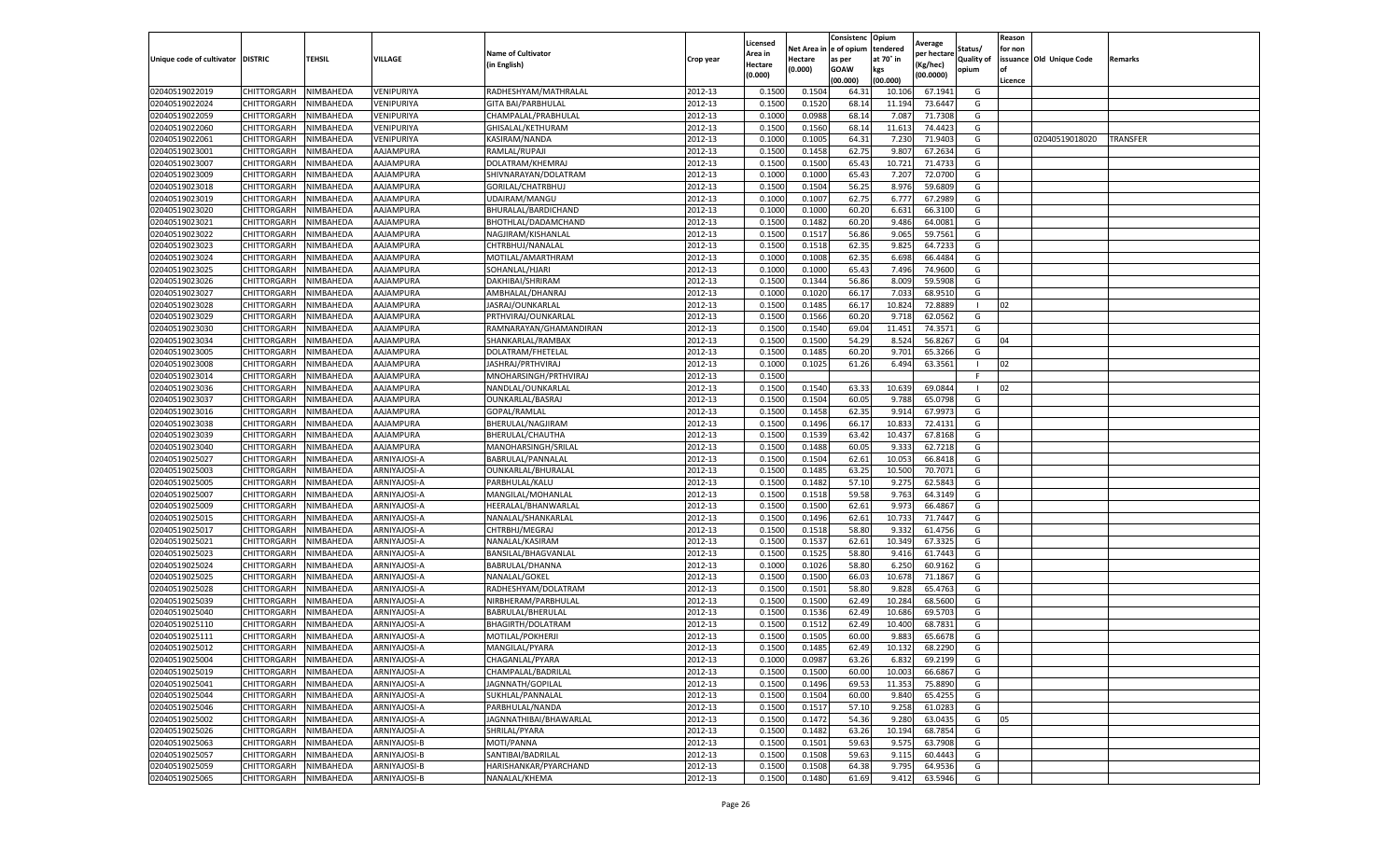|                                   |                    |           |              |                           |           | Licensed |         | Consistenc             | Opium     |                        |                   | Reason  |                          |                 |
|-----------------------------------|--------------------|-----------|--------------|---------------------------|-----------|----------|---------|------------------------|-----------|------------------------|-------------------|---------|--------------------------|-----------------|
|                                   |                    |           |              | <b>Name of Cultivator</b> |           | Area in  |         | Net Area in e of opium | tendered  | Average<br>per hectare | Status/           | for non |                          |                 |
| Unique code of cultivator DISTRIC |                    | TEHSIL    | VILLAGE      | in English)               | Crop year | Hectare  | Hectare | as per                 | at 70° in | (Kg/hec                | <b>Quality of</b> |         | issuance Old Unique Code | <b>Remarks</b>  |
|                                   |                    |           |              |                           |           | (0.000)  | (0.000) | <b>GOAW</b>            | kgs       | (00.0000)              | opium             |         |                          |                 |
|                                   |                    |           |              |                           |           |          |         | (00.000)               | (00.000)  |                        |                   | Licence |                          |                 |
| 02040519022019                    | CHITTORGARH        | NIMBAHEDA | VENIPURIYA   | RADHESHYAM/MATHRALAL      | 2012-13   | 0.1500   | 0.1504  | 64.31                  | 10.10     | 67.1941                | G                 |         |                          |                 |
| 02040519022024                    | CHITTORGARH        | NIMBAHEDA | VENIPURIYA   | <b>GITA BAI/PARBHULAL</b> | 2012-13   | 0.1500   | 0.1520  | 68.14                  | 11.194    | 73.6447                | G                 |         |                          |                 |
| 02040519022059                    | CHITTORGARH        | NIMBAHEDA | VENIPURIYA   | CHAMPALAL/PRABHULAL       | 2012-13   | 0.1000   | 0.0988  | 68.14                  | 7.087     | 71.7308                | G                 |         |                          |                 |
| 02040519022060                    | CHITTORGARH        | NIMBAHEDA | VENIPURIYA   | GHISALAL/KETHURAM         | 2012-13   | 0.1500   | 0.1560  | 68.14                  | 11.613    | 74.4423                | G                 |         |                          |                 |
| 02040519022061                    | CHITTORGARH        | NIMBAHEDA | VENIPURIYA   | KASIRAM/NANDA             | 2012-13   | 0.1000   | 0.1005  | 64.31                  | 7.23      | 71.9403                | G                 |         | 02040519018020           | <b>TRANSFER</b> |
| 02040519023001                    | CHITTORGARH        | NIMBAHEDA | AAJAMPURA    | RAMLAL/RUPAJI             | 2012-13   | 0.1500   | 0.1458  | 62.75                  | 9.807     | 67.2634                | G                 |         |                          |                 |
| 02040519023007                    | CHITTORGARH        | NIMBAHEDA | AAJAMPURA    | DOLATRAM/KHEMRAJ          | 2012-13   | 0.1500   | 0.1500  | 65.43                  | 10.721    | 71.4733                | G                 |         |                          |                 |
| 02040519023009                    | CHITTORGARH        | NIMBAHEDA | AAJAMPURA    | SHIVNARAYAN/DOLATRAM      | 2012-13   | 0.1000   | 0.1000  | 65.43                  | 7.207     | 72.0700                | G                 |         |                          |                 |
| 02040519023018                    | CHITTORGARH        | NIMBAHEDA | AAJAMPURA    | GORILAL/CHATRBHUJ         | 2012-13   | 0.1500   | 0.1504  | 56.25                  | 8.976     | 59.6809                | G                 |         |                          |                 |
| 02040519023019                    | CHITTORGARH        | NIMBAHEDA | AAJAMPURA    | UDAIRAM/MANGU             | 2012-13   | 0.1000   | 0.1007  | 62.75                  | 6.777     | 67.2989                | G                 |         |                          |                 |
| 02040519023020                    | CHITTORGARH        | NIMBAHEDA | AAJAMPURA    | BHURALAL/BARDICHAND       | 2012-13   | 0.1000   | 0.1000  | 60.20                  | 6.631     | 66.3100                | G                 |         |                          |                 |
| 02040519023021                    | CHITTORGARH        | NIMBAHEDA | AAJAMPURA    | BHOTHLAL/DADAMCHAND       | 2012-13   | 0.1500   | 0.1482  | 60.20                  | 9.486     | 64.0081                | G                 |         |                          |                 |
| 02040519023022                    | CHITTORGARH        | NIMBAHEDA | AAJAMPURA    | NAGJIRAM/KISHANLAI        | 2012-13   | 0.1500   | 0.1517  | 56.86                  | 9.065     | 59.7561                | G                 |         |                          |                 |
| 02040519023023                    | CHITTORGARH        | NIMBAHEDA | AAJAMPURA    | CHTRBHUJ/NANALAL          | 2012-13   | 0.1500   | 0.1518  | 62.35                  | 9.825     | 64.7233                | G                 |         |                          |                 |
| 02040519023024                    | CHITTORGARH        | NIMBAHEDA | AAJAMPURA    | MOTILAL/AMARTHRAM         | 2012-13   | 0.1000   | 0.1008  | 62.35                  | 6.698     | 66.4484                | G                 |         |                          |                 |
| 02040519023025                    | CHITTORGARH        | NIMBAHEDA | AAJAMPURA    | SOHANLAL/HJARI            | 2012-13   | 0.1000   | 0.1000  | 65.43                  | 7.496     | 74.9600                | G                 |         |                          |                 |
| 02040519023026                    | CHITTORGARH        | NIMBAHEDA | AAJAMPURA    | DAKHIBAI/SHRIRAM          | 2012-13   | 0.1500   | 0.1344  | 56.86                  | 8.009     | 59.5908                | G                 |         |                          |                 |
| 02040519023027                    | CHITTORGARH        | NIMBAHEDA | AAJAMPURA    | AMBHALAL/DHANRAJ          | 2012-13   | 0.1000   | 0.1020  | 66.17                  | 7.033     | 68.9510                | G                 |         |                          |                 |
| 02040519023028                    | CHITTORGARH        | NIMBAHEDA | AAJAMPURA    | JASRAJ/OUNKARLAL          | 2012-13   | 0.1500   | 0.1485  | 66.17                  | 10.82     | 72.8889                |                   | 02      |                          |                 |
| 02040519023029                    | CHITTORGARH        | NIMBAHEDA | AAJAMPURA    | PRTHVIRAJ/OUNKARLAL       | 2012-13   | 0.1500   | 0.1566  | 60.20                  | 9.718     | 62.0562                | G                 |         |                          |                 |
| 02040519023030                    | CHITTORGARH        | NIMBAHEDA | AAJAMPURA    | RAMNARAYAN/GHAMANDIRAN    | 2012-13   | 0.1500   | 0.1540  | 69.04                  | 11.451    | 74.3571                | G                 |         |                          |                 |
| 02040519023034                    | CHITTORGARH        | NIMBAHEDA | AAJAMPURA    | SHANKARLAL/RAMBAX         | 2012-13   | 0.1500   | 0.1500  | 54.29                  | 8.524     | 56.8267                | G                 | 04      |                          |                 |
| 02040519023005                    | CHITTORGARH        | NIMBAHEDA | AAJAMPURA    | DOLATRAM/FHETELAL         | 2012-13   | 0.1500   | 0.1485  | 60.20                  | 9.701     | 65.3266                | G                 |         |                          |                 |
| 02040519023008                    | CHITTORGARH        | NIMBAHEDA | AAJAMPURA    | JASHRAJ/PRTHVIRAJ         | 2012-13   | 0.1000   | 0.1025  | 61.26                  | 6.494     | 63.3561                |                   | 02      |                          |                 |
| 02040519023014                    | CHITTORGARH        | NIMBAHEDA | AAJAMPURA    | MNOHARSINGH/PRTHVIRAJ     | 2012-13   | 0.1500   |         |                        |           |                        | F                 |         |                          |                 |
| 02040519023036                    | CHITTORGARH        | NIMBAHEDA | AAJAMPURA    | NANDLAL/OUNKARLAL         | 2012-13   | 0.1500   | 0.1540  | 63.33                  | 10.639    | 69.0844                |                   | 02      |                          |                 |
| 02040519023037                    | CHITTORGARH        | NIMBAHEDA | AAJAMPURA    | OUNKARLAL/BASRAJ          | 2012-13   | 0.1500   | 0.1504  | 60.05                  | 9.78      | 65.0798                | G                 |         |                          |                 |
| 02040519023016                    | CHITTORGARH        | NIMBAHEDA | AAJAMPURA    | GOPAL/RAMLAL              | 2012-13   | 0.1500   | 0.1458  | 62.35                  | 9.914     | 67.9973                | G                 |         |                          |                 |
| 02040519023038                    | CHITTORGARH        | NIMBAHEDA | AAJAMPURA    | BHERULAL/NAGJIRAM         | 2012-13   | 0.1500   | 0.1496  | 66.17                  | 10.83     | 72.4131                | G                 |         |                          |                 |
| 02040519023039                    | CHITTORGARH        | NIMBAHEDA | AAJAMPURA    | BHERULAL/CHAUTHA          | 2012-13   | 0.1500   | 0.1539  | 63.42                  | 10.437    | 67.8168                | G                 |         |                          |                 |
| 02040519023040                    | CHITTORGARH        | NIMBAHEDA | AAJAMPURA    | MANOHARSINGH/SRILAI       | 2012-13   | 0.1500   | 0.1488  | 60.05                  | 9.33      | 62.7218                | G                 |         |                          |                 |
| 02040519025027                    | CHITTORGARH        | NIMBAHEDA | ARNIYAJOSI-A | BABRULAL/PANNALAI         | 2012-13   | 0.1500   | 0.1504  | 62.61                  | 10.053    | 66.8418                | G                 |         |                          |                 |
| 02040519025003                    | CHITTORGARH        | NIMBAHEDA | ARNIYAJOSI-A | OUNKARLAL/BHURALAL        | 2012-13   | 0.1500   | 0.1485  | 63.25                  | 10.50     | 70.7071                | G                 |         |                          |                 |
| 02040519025005                    | CHITTORGARH        | NIMBAHEDA | ARNIYAJOSI-A | PARBHULAL/KALU            | 2012-13   | 0.1500   | 0.1482  | 57.10                  | 9.275     | 62.5843                | G                 |         |                          |                 |
| 02040519025007                    | CHITTORGARH        | NIMBAHEDA | ARNIYAJOSI-A | MANGILAL/MOHANLAL         | 2012-13   | 0.1500   | 0.1518  | 59.58                  | 9.763     | 64.3149                | G                 |         |                          |                 |
| 02040519025009                    | CHITTORGARH        | NIMBAHEDA | ARNIYAJOSI-A | HEERALAL/BHANWARLAL       | 2012-13   | 0.1500   | 0.1500  | 62.61                  | 9.973     | 66.4867                | G                 |         |                          |                 |
| 02040519025015                    | CHITTORGARH        | NIMBAHEDA | ARNIYAJOSI-A | NANALAL/SHANKARLAL        | 2012-13   | 0.1500   | 0.1496  | 62.61                  | 10.73     | 71.7447                | G                 |         |                          |                 |
| 02040519025017                    | CHITTORGARH        | NIMBAHEDA | ARNIYAJOSI-A | CHTRBHJ/MEGRAJ            | 2012-13   | 0.1500   | 0.1518  | 58.80                  | 9.33      | 61.4756                | G                 |         |                          |                 |
| 02040519025021                    | CHITTORGARH        | NIMBAHEDA | ARNIYAJOSI-A | NANALAL/KASIRAM           | 2012-13   | 0.1500   | 0.1537  | 62.61                  | 10.349    | 67.3325                | G                 |         |                          |                 |
| 02040519025023                    | CHITTORGARH        | NIMBAHEDA | ARNIYAJOSI-A | BANSILAL/BHAGVANLAL       | 2012-13   | 0.1500   | 0.1525  | 58.80                  | 9.416     | 61.7443                | G                 |         |                          |                 |
| 02040519025024                    | CHITTORGARH        | NIMBAHEDA | ARNIYAJOSI-A | BABRULAL/DHANNA           | 2012-13   | 0.1000   | 0.1026  | 58.80                  | 6.250     | 60.9162                | G                 |         |                          |                 |
| 02040519025025                    | CHITTORGARH        | NIMBAHEDA | ARNIYAJOSI-A | NANALAL/GOKEL             | 2012-13   | 0.1500   | 0.1500  | 66.03                  | 10.67     | 71.1867                | G                 |         |                          |                 |
| 02040519025028                    | CHITTORGARH        | NIMBAHEDA | ARNIYAJOSI-A | RADHESHYAM/DOLATRAM       | 2012-13   | 0.1500   | 0.1501  | 58.80                  | 9.82      | 65.4763                | G                 |         |                          |                 |
| 02040519025039                    | CHITTORGARH        | NIMBAHEDA | ARNIYAJOSI-A | NIRBHERAM/PARBHULAL       | 2012-13   | 0.1500   | 0.1500  | 62.49                  | 10.28     | 68.5600                | G                 |         |                          |                 |
| 02040519025040                    | CHITTORGARH        | NIMBAHEDA | ARNIYAJOSI-A | BABRULAL/BHERULAL         | 2012-13   | 0.1500   | 0.1536  | 62.49                  | 10.686    | 69.5703                | G                 |         |                          |                 |
| 02040519025110                    | CHITTORGARH        | NIMBAHEDA | ARNIYAJOSI-A | BHAGIRTH/DOLATRAM         | 2012-13   | 0.1500   | 0.1512  | 62.49                  | 10.400    | 68.7831                | G                 |         |                          |                 |
| 02040519025111                    | CHITTORGARH        | NIMBAHEDA | ARNIYAJOSI-A | MOTILAL/POKHERJI          | 2012-13   | 0.1500   | 0.1505  | 60.00                  | 9.883     | 65.6678                | G                 |         |                          |                 |
| 02040519025012                    | CHITTORGARH        | NIMBAHEDA | ARNIYAJOSI-A | MANGILAL/PYARA            | 2012-13   | 0.1500   | 0.1485  | 62.49                  | 10.132    | 68.2290                | G                 |         |                          |                 |
| 02040519025004                    | CHITTORGARH        | NIMBAHEDA | ARNIYAJOSI-A | CHAGANLAL/PYARA           | 2012-13   | 0.1000   | 0.0987  | 63.26                  | 6.832     | 69.2199                | G                 |         |                          |                 |
| 02040519025019                    | CHITTORGARH        | NIMBAHEDA | ARNIYAJOSI-A | CHAMPALAL/BADRILAL        | 2012-13   | 0.1500   | 0.1500  | 60.00                  | 10.003    | 66.6867                | G                 |         |                          |                 |
| 02040519025041                    | CHITTORGARH        | NIMBAHEDA | ARNIYAJOSI-A | JAGNNATH/GOPILAL          | 2012-13   | 0.1500   | 0.1496  | 69.53                  | 11.353    | 75.8890                | G                 |         |                          |                 |
| 02040519025044                    | CHITTORGARH        | NIMBAHEDA | ARNIYAJOSI-A | SUKHLAL/PANNALAL          | 2012-13   | 0.1500   | 0.1504  | 60.00                  | 9.840     | 65.4255                | G                 |         |                          |                 |
| 02040519025046                    | CHITTORGARH        | NIMBAHEDA | ARNIYAJOSI-A | PARBHULAL/NANDA           | 2012-13   | 0.1500   | 0.1517  | 57.10                  | 9.258     | 61.0283                | G                 |         |                          |                 |
| 02040519025002                    | <b>CHITTORGARH</b> | NIMBAHEDA | ARNIYAJOSI-A | JAGNNATHIBAI/BHAWARLAL    | 2012-13   | 0.1500   | 0.1472  | 54.36                  | 9.280     | 63.0435                | G                 | 05      |                          |                 |
| 02040519025026                    | CHITTORGARH        | NIMBAHEDA | ARNIYAJOSI-A | SHRILAL/PYARA             | 2012-13   | 0.1500   | 0.1482  | 63.26                  | 10.194    | 68.7854                | G                 |         |                          |                 |
| 02040519025063                    | CHITTORGARH        | NIMBAHEDA | ARNIYAJOSI-B | MOTI/PANNA                | 2012-13   | 0.1500   | 0.1501  | 59.63                  | 9.575     | 63.7908                | G                 |         |                          |                 |
| 02040519025057                    | CHITTORGARH        | NIMBAHEDA | ARNIYAJOSI-B | SANTIBAI/BADRILAL         | 2012-13   | 0.1500   | 0.1508  | 59.63                  | 9.115     | 60.4443                | G                 |         |                          |                 |
| 02040519025059                    | CHITTORGARH        | NIMBAHEDA | ARNIYAJOSI-B | HARISHANKAR/PYARCHAND     | 2012-13   | 0.1500   | 0.1508  | 64.38                  | 9.795     | 64.9536                | G                 |         |                          |                 |
| 02040519025065                    | <b>CHITTORGARH</b> | NIMBAHEDA | ARNIYAJOSI-B | NANALAL/KHEMA             | 2012-13   | 0.1500   | 0.1480  | 61.69                  | 9.412     | 63.5946                | G                 |         |                          |                 |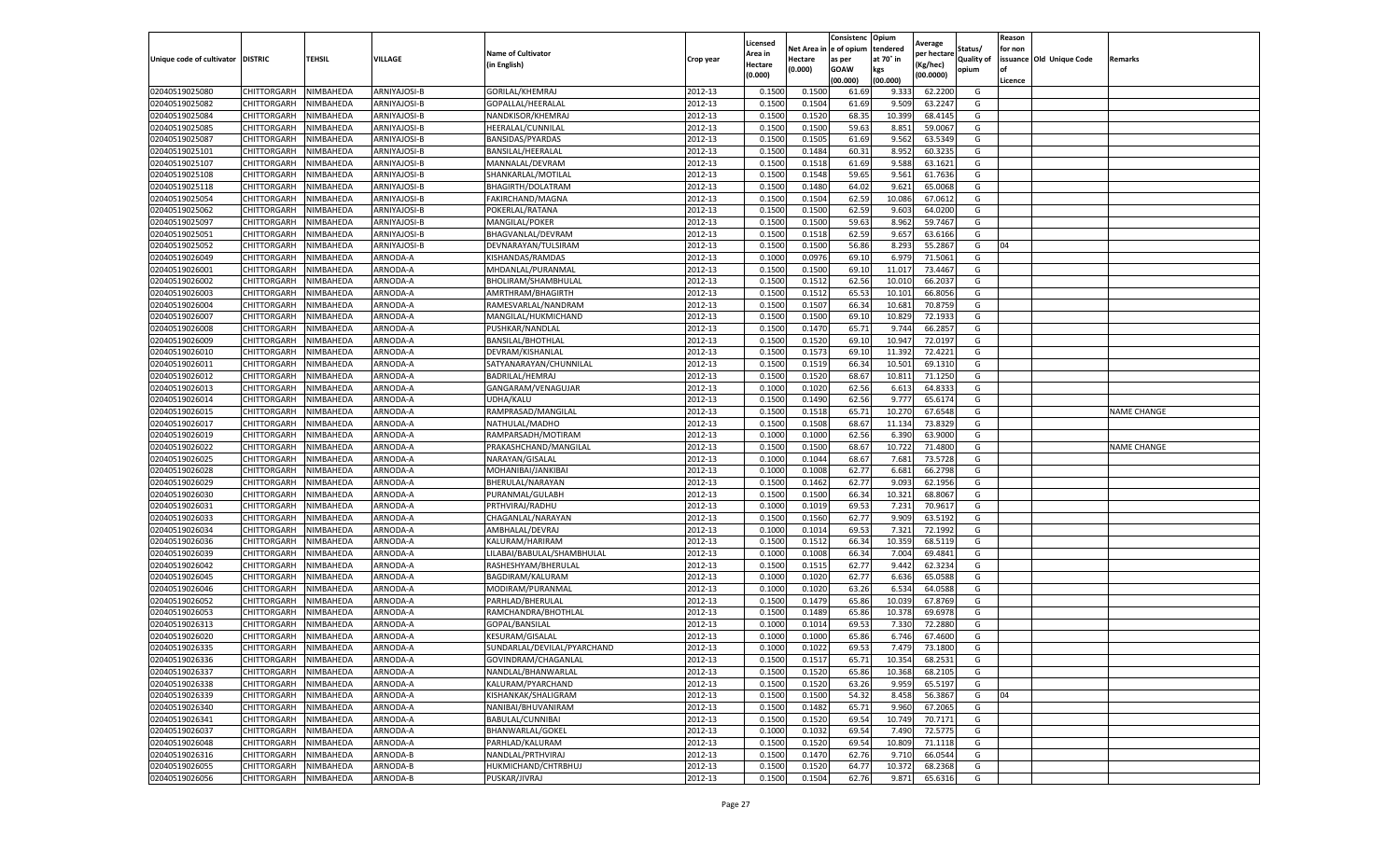|                                  |                            |                        |                      |                                     |                    | Licensed         |                  | Consistenc             | Opium           |                        |                   | Reason  |                          |                    |
|----------------------------------|----------------------------|------------------------|----------------------|-------------------------------------|--------------------|------------------|------------------|------------------------|-----------------|------------------------|-------------------|---------|--------------------------|--------------------|
|                                  |                            |                        |                      | <b>Name of Cultivator</b>           |                    | Area in          |                  | Net Area in e of opium | tendered        | Average<br>per hectare | Status/           | for non |                          |                    |
| Unique code of cultivator        | <b>DISTRIC</b>             | TEHSIL                 | VILLAGE              | in English)                         | Crop year          | Hectare          | Hectare          | as per                 | at 70° in       | (Kg/hec                | <b>Quality of</b> |         | issuance Old Unique Code | <b>Remarks</b>     |
|                                  |                            |                        |                      |                                     |                    | (0.000)          | (0.000)          | <b>GOAW</b>            | kgs             | (00.0000)              | opium             |         |                          |                    |
|                                  |                            |                        |                      |                                     |                    |                  |                  | (00.000)               | (00.000)        |                        |                   | Licence |                          |                    |
| 02040519025080                   | CHITTORGARH                | NIMBAHEDA              | ARNIYAJOSI-B         | GORILAL/KHEMRAJ                     | 2012-13            | 0.1500           | 0.1500           | 61.69                  | 9.333           | 62.2200                | G                 |         |                          |                    |
| 02040519025082                   | CHITTORGARH                | NIMBAHEDA              | ARNIYAJOSI-B         | GOPALLAL/HEERALAL                   | 2012-13            | 0.1500           | 0.1504           | 61.69                  | 9.509           | 63.2247                | G                 |         |                          |                    |
| 02040519025084                   | CHITTORGARH                | NIMBAHEDA              | ARNIYAJOSI-B         | NANDKISOR/KHEMRAJ                   | 2012-13            | 0.1500           | 0.1520           | 68.35                  | 10.399          | 68.4145                | G                 |         |                          |                    |
| 02040519025085                   | CHITTORGARH                | NIMBAHEDA              | ARNIYAJOSI-B         | HEERALAL/CUNNILAL                   | 2012-13            | 0.1500           | 0.1500           | 59.63                  | 8.851           | 59.0067                | G                 |         |                          |                    |
| 02040519025087                   | CHITTORGARH                | NIMBAHEDA              | ARNIYAJOSI-B         | BANSIDAS/PYARDAS                    | 2012-13            | 0.1500           | 0.1505           | 61.69                  | 9.562           | 63.5349                | G                 |         |                          |                    |
| 02040519025101                   | CHITTORGARH                | NIMBAHEDA              | ARNIYAJOSI-B         | BANSILAL/HEERALAL                   | 2012-13            | 0.1500           | 0.1484           | 60.31                  | 8.952           | 60.3235                | G                 |         |                          |                    |
| 02040519025107                   | CHITTORGARH                | NIMBAHEDA              | ARNIYAJOSI-B         | MANNALAL/DEVRAM                     | 2012-13            | 0.1500           | 0.1518           | 61.69                  | 9.588           | 63.1621                | G                 |         |                          |                    |
| 02040519025108                   | CHITTORGARH                | NIMBAHEDA              | ARNIYAJOSI-B         | SHANKARLAL/MOTILAI                  | 2012-13            | 0.1500           | 0.1548           | 59.65                  | 9.561           | 61.7636                | G                 |         |                          |                    |
| 02040519025118                   | CHITTORGARH                | NIMBAHEDA              | ARNIYAJOSI-B         | BHAGIRTH/DOLATRAM                   | 2012-13            | 0.1500           | 0.1480           | 64.02                  | 9.621           | 65.0068                | G                 |         |                          |                    |
| 02040519025054                   | CHITTORGARH                | NIMBAHEDA              | ARNIYAJOSI-B         | FAKIRCHAND/MAGNA                    | 2012-13            | 0.1500           | 0.1504           | 62.59                  | 10.086          | 67.0612                | G                 |         |                          |                    |
| 02040519025062                   | CHITTORGARH                | NIMBAHEDA              | ARNIYAJOSI-B         | POKERLAL/RATANA                     | 2012-13            | 0.1500           | 0.1500           | 62.59                  | 9.603           | 64.0200                | G                 |         |                          |                    |
| 02040519025097                   | CHITTORGARH                | NIMBAHEDA              | ARNIYAJOSI-B         | MANGILAL/POKER                      | 2012-13            | 0.1500           | 0.1500           | 59.63                  | 8.962           | 59.7467                | G                 |         |                          |                    |
| 02040519025051                   | CHITTORGARH                | NIMBAHEDA              | ARNIYAJOSI-B         | BHAGVANLAL/DEVRAM                   | 2012-13            | 0.1500           | 0.1518           | 62.59                  | 9.657           | 63.6166                | G                 |         |                          |                    |
| 02040519025052                   | CHITTORGARH                | NIMBAHEDA              | ARNIYAJOSI-B         | DEVNARAYAN/TULSIRAM                 | 2012-13            | 0.1500           | 0.1500           | 56.86                  | 8.293           | 55.2867                | G                 | 04      |                          |                    |
| 02040519026049                   | CHITTORGARH                | NIMBAHEDA              | ARNODA-A             | KISHANDAS/RAMDAS                    | 2012-13            | 0.1000           | 0.0976           | 69.10                  | 6.979           | 71.5061                | G                 |         |                          |                    |
| 02040519026001                   | CHITTORGARH                | NIMBAHEDA              | ARNODA-A             | MHDANLAL/PURANMAL                   | 2012-13            | 0.1500           | 0.1500           | 69.10                  | 11.01           | 73.4467                | G                 |         |                          |                    |
| 02040519026002                   | CHITTORGARH                | NIMBAHEDA              | ARNODA-A             | BHOLIRAM/SHAMBHULAL                 | 2012-13            | 0.1500           | 0.1512           | 62.56                  | 10.01           | 66.203                 | G                 |         |                          |                    |
| 02040519026003                   | CHITTORGARH                | NIMBAHEDA              | ARNODA-A             | AMRTHRAM/BHAGIRTH                   | 2012-13            | 0.1500           | 0.1512           | 65.53                  | 10.101          | 66.8056                | G                 |         |                          |                    |
| 02040519026004                   | CHITTORGARH                | NIMBAHEDA              | ARNODA-A             | RAMESVARLAL/NANDRAM                 | 2012-13            | 0.1500           | 0.1507           | 66.34                  | 10.68           | 70.875                 | G                 |         |                          |                    |
| 02040519026007                   | CHITTORGARH                | NIMBAHEDA              | ARNODA-A             | MANGILAL/HUKMICHAND                 | 2012-13            | 0.1500           | 0.1500           | 69.10                  | 10.829          | 72.1933                | G                 |         |                          |                    |
| 02040519026008                   | CHITTORGARH                | NIMBAHEDA              | ARNODA-A             | PUSHKAR/NANDLAL                     | 2012-13            | 0.1500           | 0.1470           | 65.71                  | 9.744           | 66.2857                | G                 |         |                          |                    |
| 02040519026009                   | CHITTORGARH                | NIMBAHEDA              | ARNODA-A             | BANSILAL/BHOTHLAL                   | 2012-13            | 0.1500           | 0.1520           | 69.10                  | 10.947          | 72.0197                | G                 |         |                          |                    |
| 02040519026010                   | CHITTORGARH                | NIMBAHEDA              | ARNODA-A             | DEVRAM/KISHANLAL                    | 2012-13            | 0.1500           | 0.1573           | 69.10                  | 11.392          | 72.4221                | G                 |         |                          |                    |
| 02040519026011                   | CHITTORGARH                | NIMBAHEDA              | ARNODA-A             | SATYANARAYAN/CHUNNILAL              | 2012-13            | 0.1500           | 0.1519           | 66.34                  | 10.501          | 69.1310                | G                 |         |                          |                    |
| 02040519026012                   | CHITTORGARH                | NIMBAHEDA              | ARNODA-A             | <b>BADRILAL/HEMRAJ</b>              | 2012-13            | 0.1500           | 0.1520           | 68.67                  | 10.81           | 71.1250                | G                 |         |                          |                    |
| 02040519026013                   | CHITTORGARH                | NIMBAHEDA              | ARNODA-A             | GANGARAM/VENAGUJAR                  | 2012-13            | 0.1000           | 0.1020           | 62.56                  | 6.613           | 64.8333                | G                 |         |                          |                    |
| 02040519026014                   | CHITTORGARH                | NIMBAHEDA              | ARNODA-A             | UDHA/KALU                           | 2012-13            | 0.1500           | 0.1490           | 62.56                  | 9.777           | 65.6174                | G                 |         |                          |                    |
| 02040519026015                   | CHITTORGARH                | NIMBAHEDA              | ARNODA-A             | RAMPRASAD/MANGILAL                  | 2012-13            | 0.1500           | 0.1518           | 65.71                  | 10.27           | 67.6548                | G                 |         |                          | <b>NAME CHANGE</b> |
| 02040519026017                   | CHITTORGARH                | NIMBAHEDA              | ARNODA-A             | NATHULAL/MADHO                      | 2012-13            | 0.1500           | 0.1508           | 68.67                  | 11.134          | 73.8329                | G                 |         |                          |                    |
| 02040519026019                   | CHITTORGARH                | NIMBAHEDA              | ARNODA-A             | RAMPARSADH/MOTIRAM                  | 2012-13            | 0.1000           | 0.1000           | 62.56                  | 6.390           | 63.9000                | G                 |         |                          |                    |
| 02040519026022                   | CHITTORGARH                | NIMBAHEDA              | ARNODA-A             | PRAKASHCHAND/MANGILAL               | 2012-13            | 0.1500           | 0.1500           | 68.67                  | 10.72           | 71.4800                | G                 |         |                          | <b>NAME CHANGE</b> |
| 02040519026025                   | CHITTORGARH                | NIMBAHEDA              | ARNODA-A             | NARAYAN/GISALAL                     | 2012-13            | 0.1000           | 0.1044           | 68.67                  | 7.681           | 73.5728                | G                 |         |                          |                    |
|                                  |                            | NIMBAHEDA              | ARNODA-A             |                                     | 2012-13            | 0.1000           | 0.1008           | 62.77                  | 6.681           | 66.2798                |                   |         |                          |                    |
| 02040519026028                   | CHITTORGARH                |                        |                      | MOHANIBAI/JANKIBAI                  |                    |                  |                  | 62.77                  |                 |                        | G                 |         |                          |                    |
| 02040519026029<br>02040519026030 | CHITTORGARH<br>CHITTORGARH | NIMBAHEDA<br>NIMBAHEDA | ARNODA-A<br>ARNODA-A | BHERULAL/NARAYAN<br>PURANMAL/GULABH | 2012-13<br>2012-13 | 0.1500<br>0.1500 | 0.1462<br>0.1500 | 66.34                  | 9.093<br>10.321 | 62.1956<br>68.8067     | G<br>G            |         |                          |                    |
|                                  |                            |                        |                      |                                     |                    |                  |                  |                        |                 |                        |                   |         |                          |                    |
| 02040519026031                   | CHITTORGARH                | NIMBAHEDA              | ARNODA-A             | PRTHVIRAJ/RADHU                     | 2012-13            | 0.1000           | 0.1019           | 69.53                  | 7.231           | 70.9617                | G                 |         |                          |                    |
| 02040519026033                   | CHITTORGARH                | NIMBAHEDA              | ARNODA-A             | CHAGANLAL/NARAYAN                   | 2012-13            | 0.1500           | 0.1560           | 62.77                  | 9.909           | 63.5192                | G                 |         |                          |                    |
| 02040519026034                   | CHITTORGARH                | NIMBAHEDA              | ARNODA-A             | AMBHALAL/DEVRAJ                     | 2012-13            | 0.1000           | 0.1014           | 69.53                  | 7.32            | 72.1992                | G                 |         |                          |                    |
| 02040519026036                   | CHITTORGARH                | NIMBAHEDA              | ARNODA-A             | KALURAM/HARIRAM                     | 2012-13            | 0.1500           | 0.1512           | 66.34                  | 10.359          | 68.5119                | G                 |         |                          |                    |
| 02040519026039                   | CHITTORGARH                | NIMBAHEDA              | ARNODA-A             | LILABAI/BABULAL/SHAMBHULAL          | 2012-13            | 0.1000           | 0.1008           | 66.34                  | 7.004           | 69.4841                | G                 |         |                          |                    |
| 02040519026042                   | CHITTORGARH                | NIMBAHEDA              | ARNODA-A             | RASHESHYAM/BHERULAL                 | 2012-13            | 0.1500           | 0.1515           | 62.77                  | 9.442           | 62.3234                | G                 |         |                          |                    |
| 02040519026045                   | CHITTORGARH                | NIMBAHEDA              | ARNODA-A             | BAGDIRAM/KALURAM                    | 2012-13            | 0.1000           | 0.1020           | 62.77                  | 6.636           | 65.0588                | G                 |         |                          |                    |
| 02040519026046                   | CHITTORGARH                | NIMBAHEDA              | ARNODA-A             | MODIRAM/PURANMAL                    | 2012-13            | 0.1000           | 0.1020           | 63.26                  | 6.534           | 64.0588                | G                 |         |                          |                    |
| 02040519026052                   | CHITTORGARH                | NIMBAHEDA              | ARNODA-A             | PARHLAD/BHERULAL                    | 2012-13            | 0.1500           | 0.1479           | 65.86                  | 10.03           | 67.8769                | G                 |         |                          |                    |
| 02040519026053                   | CHITTORGARH                | NIMBAHEDA              | ARNODA-A             | RAMCHANDRA/BHOTHLAL                 | 2012-13            | 0.1500           | 0.1489           | 65.86                  | 10.378          | 69.6978                | G                 |         |                          |                    |
| 02040519026313                   | CHITTORGARH                | NIMBAHEDA              | ARNODA-A             | GOPAL/BANSILAL                      | 2012-13            | 0.1000           | 0.1014           | 69.53                  | 7.33            | 72.2880                | G                 |         |                          |                    |
| 02040519026020                   | CHITTORGARH                | NIMBAHEDA              | ARNODA-A             | KESURAM/GISALAL                     | 2012-13            | 0.1000           | 0.1000           | 65.86                  | 6.74            | 67.4600                | G                 |         |                          |                    |
| 02040519026335                   | CHITTORGARH                | NIMBAHEDA              | ARNODA-A             | SUNDARLAL/DEVILAL/PYARCHAND         | 2012-13            | 0.1000           | 0.1022           | 69.53                  | 7.479           | 73.1800                | G                 |         |                          |                    |
| 02040519026336                   | CHITTORGARH                | NIMBAHEDA              | ARNODA-A             | GOVINDRAM/CHAGANLAL                 | 2012-13            | 0.1500           | 0.1517           | 65.71                  | 10.354          | 68.2531                | G                 |         |                          |                    |
| 02040519026337                   | CHITTORGARH                | NIMBAHEDA              | ARNODA-A             | NANDLAL/BHANWARLAL                  | 2012-13            | 0.1500           | 0.1520           | 65.86                  | 10.368          | 68.2105                | G                 |         |                          |                    |
| 02040519026338                   | CHITTORGARH                | NIMBAHEDA              | ARNODA-A             | KALURAM/PYARCHAND                   | 2012-13            | 0.1500           | 0.1520           | 63.26                  | 9.959           | 65.5197                | G                 |         |                          |                    |
| 02040519026339                   | CHITTORGARH                | NIMBAHEDA              | ARNODA-A             | KISHANKAK/SHALIGRAM                 | 2012-13            | 0.1500           | 0.1500           | 54.32                  | 8.458           | 56.3867                | G                 | 04      |                          |                    |
| 02040519026340                   | CHITTORGARH                | NIMBAHEDA              | ARNODA-A             | NANIBAI/BHUVANIRAM                  | 2012-13            | 0.1500           | 0.1482           | 65.71                  | 9.960           | 67.2065                | G                 |         |                          |                    |
| 02040519026341                   | <b>CHITTORGARH</b>         | NIMBAHEDA              | ARNODA-A             | BABULAL/CUNNIBAI                    | 2012-13            | 0.1500           | 0.1520           | 69.54                  | 10.749          | 70.7171                | G                 |         |                          |                    |
| 02040519026037                   | CHITTORGARH                | NIMBAHEDA              | ARNODA-A             | BHANWARLAL/GOKEL                    | 2012-13            | 0.1000           | 0.1032           | 69.54                  | 7.490           | 72.5775                | G                 |         |                          |                    |
| 02040519026048                   | CHITTORGARH                | NIMBAHEDA              | ARNODA-A             | PARHLAD/KALURAM                     | 2012-13            | 0.1500           | 0.1520           | 69.54                  | 10.809          | 71.1118                | G                 |         |                          |                    |
| 02040519026316                   | CHITTORGARH                | NIMBAHEDA              | ARNODA-B             | NANDLAL/PRTHVIRAJ                   | 2012-13            | 0.1500           | 0.1470           | 62.76                  | 9.710           | 66.0544                | G                 |         |                          |                    |
| 02040519026055                   | <b>CHITTORGARH</b>         | NIMBAHEDA              | ARNODA-B             | HUKMICHAND/CHTRBHUJ                 | 2012-13            | 0.1500           | 0.1520           | 64.77                  | 10.372          | 68.2368                | G                 |         |                          |                    |
| 02040519026056                   | <b>CHITTORGARH</b>         | NIMBAHEDA              | ARNODA-B             | PUSKAR/JIVRAJ                       | 2012-13            | 0.1500           | 0.1504           | 62.76                  | 9.871           | 65.6316                | G                 |         |                          |                    |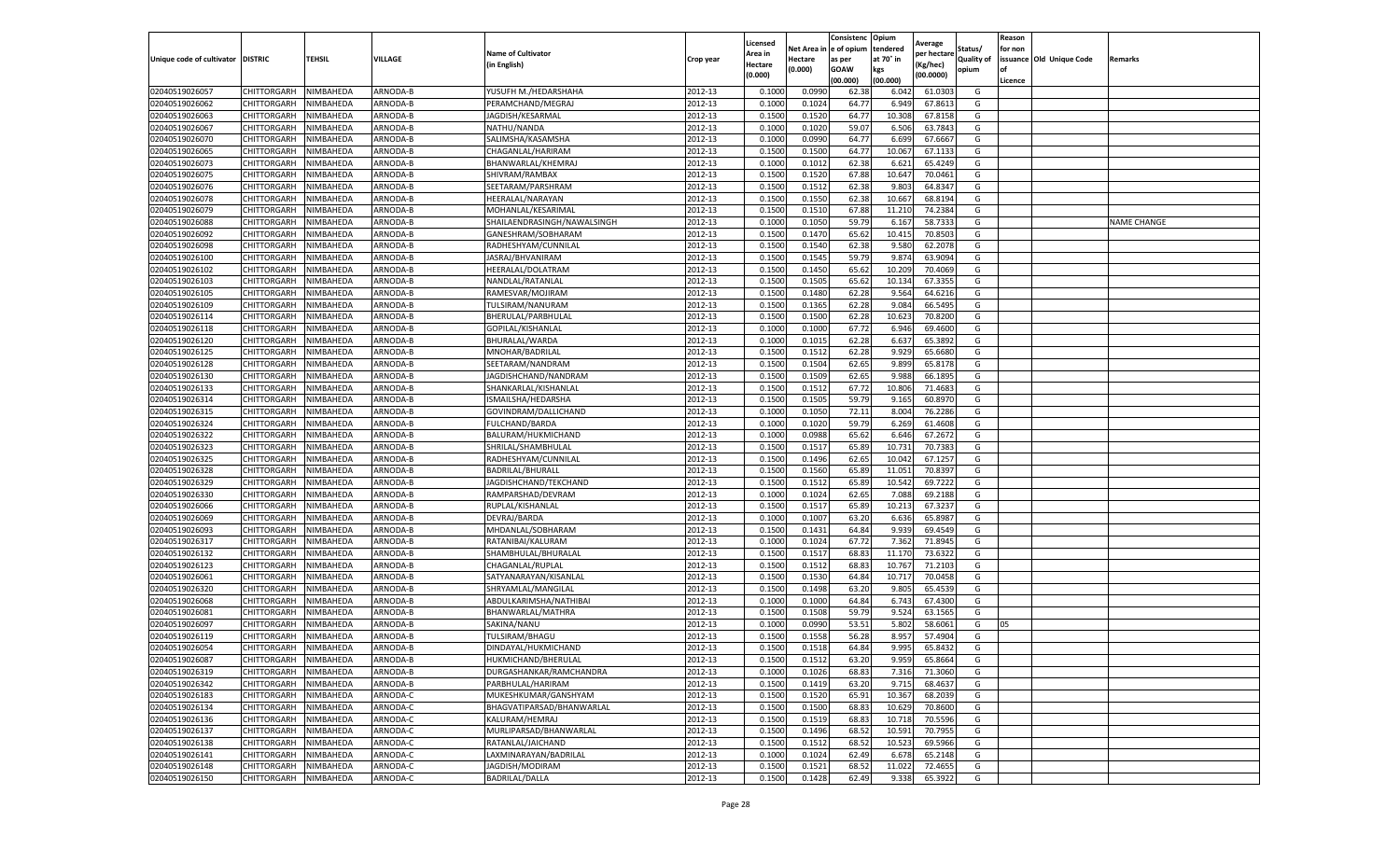|                                   |                                      |           |                      |                             |                    | Licensed         |         | Consistenc             | Opium          |                        |                   | Reason  |                          |                    |
|-----------------------------------|--------------------------------------|-----------|----------------------|-----------------------------|--------------------|------------------|---------|------------------------|----------------|------------------------|-------------------|---------|--------------------------|--------------------|
|                                   |                                      |           |                      | <b>Name of Cultivator</b>   |                    | Area in          |         | Net Area in e of opium | tendered       | Average<br>per hectare | Status/           | for non |                          |                    |
| Unique code of cultivator DISTRIC |                                      | TEHSIL    | VILLAGE              | in English)                 | Crop year          | Hectare          | Hectare | as per                 | at 70° in      | (Kg/hec                | <b>Quality of</b> |         | issuance Old Unique Code | <b>Remarks</b>     |
|                                   |                                      |           |                      |                             |                    | (0.000)          | (0.000) | <b>GOAW</b>            | kgs            | (00.0000)              | opium             |         |                          |                    |
|                                   |                                      |           |                      |                             |                    |                  |         | (00.000)               | (00.000)       |                        |                   | Licence |                          |                    |
| 02040519026057                    | CHITTORGARH                          | NIMBAHEDA | ARNODA-B             | YUSUFH M./HEDARSHAHA        | 2012-13            | 0.1000           | 0.0990  | 62.38                  | 6.042          | 61.0303                | G                 |         |                          |                    |
| 02040519026062                    | CHITTORGARH                          | NIMBAHEDA | ARNODA-B             | PERAMCHAND/MEGRAJ           | 2012-13            | 0.1000           | 0.1024  | 64.77                  | 6.949          | 67.861                 | G                 |         |                          |                    |
| 02040519026063                    | CHITTORGARH                          | NIMBAHEDA | ARNODA-B             | JAGDISH/KESARMAL            | 2012-13            | 0.1500           | 0.1520  | 64.77                  | 10.308         | 67.8158                | G                 |         |                          |                    |
| 02040519026067                    | CHITTORGARH                          | NIMBAHEDA | ARNODA-B             | NATHU/NANDA                 | 2012-13            | 0.1000           | 0.1020  | 59.07                  | 6.506          | 63.7843                | G                 |         |                          |                    |
| 02040519026070                    | CHITTORGARH                          | NIMBAHEDA | ARNODA-B             | SALIMSHA/KASAMSHA           | 2012-13            | 0.1000           | 0.0990  | 64.77                  | 6.699          | 67.6667                | G                 |         |                          |                    |
| 02040519026065                    | CHITTORGARH                          | NIMBAHEDA | <b>ARNODA-B</b>      | CHAGANLAL/HARIRAM           | 2012-13            | 0.1500           | 0.1500  | 64.77                  | 10.06          | 67.1133                | G                 |         |                          |                    |
| 02040519026073                    | CHITTORGARH                          | NIMBAHEDA | ARNODA-B             | BHANWARLAL/KHEMRAJ          | 2012-13            | 0.1000           | 0.1012  | 62.38                  | 6.621          | 65.4249                | G                 |         |                          |                    |
| 02040519026075                    | CHITTORGARH                          | NIMBAHEDA | ARNODA-B             | SHIVRAM/RAMBAX              | 2012-13            | 0.1500           | 0.1520  | 67.88                  | 10.64          | 70.0461                | G                 |         |                          |                    |
| 02040519026076                    | CHITTORGARH                          | NIMBAHEDA | ARNODA-B             | SEETARAM/PARSHRAM           | 2012-13            | 0.1500           | 0.1512  | 62.38                  | 9.80           | 64.8347                | G                 |         |                          |                    |
| 02040519026078                    | CHITTORGARH                          | NIMBAHEDA | ARNODA-B             | <b>HEERALAL/NARAYAN</b>     | 2012-13            | 0.1500           | 0.1550  | 62.38                  | 10.667         | 68.8194                | G                 |         |                          |                    |
| 02040519026079                    | CHITTORGARH                          | NIMBAHEDA | ARNODA-B             | MOHANLAL/KESARIMAL          | 2012-13            | 0.1500           | 0.1510  | 67.88                  | 11.21          | 74.2384                | G                 |         |                          |                    |
| 02040519026088                    | CHITTORGARH                          | NIMBAHEDA | ARNODA-B             | SHAILAENDRASINGH/NAWALSINGH | 2012-13            | 0.1000           | 0.1050  | 59.79                  | 6.167          | 58.7333                | G                 |         |                          | <b>NAME CHANGE</b> |
| 02040519026092                    | CHITTORGARH                          | NIMBAHEDA | ARNODA-B             | GANESHRAM/SOBHARAM          | 2012-13            | 0.1500           | 0.1470  | 65.62                  | 10.415         | 70.8503                | G                 |         |                          |                    |
| 02040519026098                    | CHITTORGARH                          | NIMBAHEDA | ARNODA-B             | RADHESHYAM/CUNNILAL         | 2012-13            | 0.1500           | 0.1540  | 62.38                  | 9.580          | 62.2078                | G                 |         |                          |                    |
| 02040519026100                    | CHITTORGARH                          | NIMBAHEDA | ARNODA-B             | JASRAJ/BHVANIRAM            | 2012-13            | 0.1500           | 0.1545  | 59.79                  | 9.874          | 63.9094                | G                 |         |                          |                    |
| 02040519026102                    | CHITTORGARH                          | NIMBAHEDA | ARNODA-B             | HEERALAL/DOLATRAM           | 2012-13            | 0.1500           | 0.1450  | 65.62                  | 10.209         | 70.4069                | G                 |         |                          |                    |
| 02040519026103                    | CHITTORGARH                          | NIMBAHEDA | ARNODA-B             | NANDLAL/RATANLAL            | 2012-13            | 0.1500           | 0.1505  | 65.62                  | 10.134         | 67.3355                | G                 |         |                          |                    |
| 02040519026105                    | CHITTORGARH                          | NIMBAHEDA | ARNODA-B             | RAMESVAR/MOJIRAM            | 2012-13            | 0.1500           | 0.1480  | 62.28                  | 9.564          | 64.6216                | G                 |         |                          |                    |
| 02040519026109                    | CHITTORGARH                          | NIMBAHEDA | ARNODA-B             | TULSIRAM/NANURAM            | 2012-13            | 0.1500           | 0.1365  | 62.28                  | 9.084          | 66.5495                | G                 |         |                          |                    |
| 02040519026114                    | CHITTORGARH                          | NIMBAHEDA | ARNODA-B             | BHERULAL/PARBHULAL          | 2012-13            | 0.1500           | 0.1500  | 62.28                  | 10.623         | 70.8200                | G                 |         |                          |                    |
| 02040519026118                    | CHITTORGARH                          | NIMBAHEDA | ARNODA-B             | GOPILAL/KISHANLAL           | 2012-13            | 0.1000           | 0.1000  | 67.72                  | 6.946          | 69.4600                | G                 |         |                          |                    |
| 02040519026120                    | CHITTORGARH                          | NIMBAHEDA | ARNODA-B             | BHURALAL/WARDA              | 2012-13            | 0.1000           | 0.1015  | 62.28                  | 6.637          | 65.3892                | G                 |         |                          |                    |
| 02040519026125                    | CHITTORGARH                          | NIMBAHEDA | ARNODA-B             | MNOHAR/BADRILAL             | 2012-13            | 0.1500           | 0.1512  | 62.28                  | 9.929          | 65.6680                | G                 |         |                          |                    |
| 02040519026128                    | CHITTORGARH                          | NIMBAHEDA | ARNODA-B             | SEETARAM/NANDRAM            | 2012-13            | 0.1500           | 0.1504  | 62.65                  | 9.899          | 65.8178                | G                 |         |                          |                    |
| 02040519026130                    | CHITTORGARH                          | NIMBAHEDA | ARNODA-B             | JAGDISHCHAND/NANDRAM        | 2012-13            | 0.1500           | 0.1509  | 62.65                  | 9.98           | 66.1895                | G                 |         |                          |                    |
| 02040519026133                    | CHITTORGARH                          | NIMBAHEDA | ARNODA-B             | SHANKARLAL/KISHANLAL        | 2012-13            | 0.1500           | 0.1512  | 67.72                  | 10.806         | 71.4683                | G                 |         |                          |                    |
| 02040519026314                    | CHITTORGARH                          | NIMBAHEDA | ARNODA-B             | ISMAILSHA/HEDARSHA          | 2012-13            | 0.1500           | 0.1505  | 59.79                  | 9.165          | 60.8970                | G                 |         |                          |                    |
| 02040519026315                    | CHITTORGARH                          | NIMBAHEDA | ARNODA-B             | GOVINDRAM/DALLICHAND        | 2012-13            | 0.1000           | 0.1050  | 72.11                  | 8.004          | 76.2286                | G                 |         |                          |                    |
| 02040519026324                    | CHITTORGARH                          | NIMBAHEDA | ARNODA-B             | <b>FULCHAND/BARDA</b>       | 2012-13            | 0.1000           | 0.1020  | 59.79                  | 6.269          | 61.4608                | G                 |         |                          |                    |
| 02040519026322                    | CHITTORGARH                          | NIMBAHEDA | ARNODA-B             | BALURAM/HUKMICHAND          | 2012-13            | 0.1000           | 0.0988  | 65.62                  | 6.646          | 67.2672                | G                 |         |                          |                    |
| 02040519026323                    | CHITTORGARH                          | NIMBAHEDA | ARNODA-B             | SHRILAL/SHAMBHULAL          | 2012-13            | 0.1500           | 0.1517  | 65.89                  | 10.73          | 70.7383                | G                 |         |                          |                    |
| 02040519026325                    | CHITTORGARH                          | NIMBAHEDA | ARNODA-B             | RADHESHYAM/CUNNILAL         | 2012-13            | 0.1500           | 0.1496  | 62.65                  | 10.04          | 67.1257                | G                 |         |                          |                    |
| 02040519026328                    | CHITTORGARH                          | NIMBAHEDA | ARNODA-B             | BADRILAL/BHURALI            | 2012-13            | 0.1500           | 0.1560  | 65.89                  | 11.05          | 70.839                 | G                 |         |                          |                    |
| 02040519026329                    | CHITTORGARH                          | NIMBAHEDA | ARNODA-B             | JAGDISHCHAND/TEKCHAND       | 2012-13            | 0.1500           | 0.1512  | 65.89                  | 10.542         | 69.7222                | G                 |         |                          |                    |
| 02040519026330                    | CHITTORGARH                          | NIMBAHEDA | ARNODA-B             | RAMPARSHAD/DEVRAM           | 2012-13            | 0.1000           | 0.1024  | 62.65                  | 7.088          | 69.2188                | G                 |         |                          |                    |
| 02040519026066                    | CHITTORGARH                          | NIMBAHEDA | ARNODA-B             | RUPLAL/KISHANLAL            | 2012-13            | 0.1500           | 0.1517  | 65.89                  | 10.21          | 67.3237                | G                 |         |                          |                    |
| 02040519026069                    | CHITTORGARH                          | NIMBAHEDA | ARNODA-B             | DEVRAJ/BARDA                | 2012-13            | 0.1000           | 0.1007  | 63.20                  | 6.636          | 65.898                 | G                 |         |                          |                    |
| 02040519026093                    | CHITTORGARH                          | NIMBAHEDA | ARNODA-B             | MHDANLAL/SOBHARAM           | 2012-13            | 0.1500           | 0.1431  | 64.84                  | 9.93           | 69.4549                | G                 |         |                          |                    |
| 02040519026317                    | CHITTORGARH                          | NIMBAHEDA | ARNODA-B             | RATANIBAI/KALURAM           | 2012-13            | 0.1000           | 0.1024  | 67.72                  | 7.362          | 71.8945                | G                 |         |                          |                    |
| 02040519026132                    | CHITTORGARH                          | NIMBAHEDA | ARNODA-B             | SHAMBHULAL/BHURALAL         | 2012-13            | 0.1500           | 0.1517  | 68.83                  | 11.17          | 73.6322                | G                 |         |                          |                    |
| 02040519026123                    | CHITTORGARH                          | NIMBAHEDA | ARNODA-B             | CHAGANLAL/RUPLAI            | 2012-13            | 0.1500           | 0.1512  | 68.83                  | 10.76          | 71.2103                | G                 |         |                          |                    |
| 02040519026061                    | CHITTORGARH                          | NIMBAHEDA | ARNODA-B             | SATYANARAYAN/KISANLAL       | 2012-13            | 0.1500           | 0.1530  | 64.84                  | 10.717         | 70.0458                | G                 |         |                          |                    |
| 02040519026320                    | CHITTORGARH                          | NIMBAHEDA | ARNODA-B             | SHRYAMLAL/MANGILAL          | 2012-13            | 0.1500           | 0.1498  | 63.20                  | 9.805          | 65.4539                | G                 |         |                          |                    |
| 02040519026068                    | CHITTORGARH                          | NIMBAHEDA | ARNODA-B             | ABDULKARIMSHA/NATHIBAI      | 2012-13            | 0.1000           | 0.1000  | 64.84                  | 6.743          | 67.4300                | G                 |         |                          |                    |
| 02040519026081                    | CHITTORGARH                          | NIMBAHEDA | ARNODA-B             | BHANWARLAL/MATHRA           | 2012-13            | 0.1500           | 0.1508  | 59.79                  | 9.524          | 63.1565                | G                 |         |                          |                    |
| 02040519026097                    | CHITTORGARH                          | NIMBAHEDA | ARNODA-B             | SAKINA/NANU                 | 2012-13            | 0.1000           | 0.0990  | 53.51                  | 5.802          | 58.6061                | G                 | 05      |                          |                    |
| 02040519026119                    | CHITTORGARH                          | NIMBAHEDA | ARNODA-B             | TULSIRAM/BHAGU              | 2012-13            | 0.1500           | 0.1558  | 56.28                  | 8.95           | 57.4904                | G                 |         |                          |                    |
|                                   |                                      | NIMBAHEDA | ARNODA-B             |                             |                    | 0.1500           |         | 64.84                  | 9.995          | 65.8432                | G                 |         |                          |                    |
| 02040519026054                    | CHITTORGARH                          |           |                      | DINDAYAL/HUKMICHAND         | 2012-13            |                  | 0.1518  |                        |                |                        |                   |         |                          |                    |
| 02040519026087                    | CHITTORGARH NIMBAHEDA<br>CHITTORGARH |           | ARNODA-B<br>ARNODA-B | HUKMICHAND/BHERULAL         | 2012-13<br>2012-13 | 0.1500<br>0.1000 | 0.1512  | 63.20<br>68.83         | 9.959<br>7.316 | 65.8664<br>71.3060     | G<br>G            |         |                          |                    |
| 02040519026319                    |                                      | NIMBAHEDA |                      | DURGASHANKAR/RAMCHANDRA     |                    |                  | 0.1026  |                        |                |                        |                   |         |                          |                    |
| 02040519026342                    | CHITTORGARH                          | NIMBAHEDA | ARNODA-B             | PARBHULAL/HARIRAM           | 2012-13            | 0.1500           | 0.1419  | 63.20                  | 9.715          | 68.4637                | G                 |         |                          |                    |
| 02040519026183                    | CHITTORGARH                          | NIMBAHEDA | ARNODA-C             | MUKESHKUMAR/GANSHYAM        | 2012-13            | 0.1500           | 0.1520  | 65.91                  | 10.367         | 68.2039                | G                 |         |                          |                    |
| 02040519026134                    | <b>CHITTORGARH</b>                   | NIMBAHEDA | ARNODA-C             | BHAGVATIPARSAD/BHANWARLAL   | 2012-13            | 0.1500           | 0.1500  | 68.83                  | 10.629         | 70.8600                | G                 |         |                          |                    |
| 02040519026136                    | <b>CHITTORGARH</b>                   | NIMBAHEDA | ARNODA-C             | KALURAM/HEMRAJ              | 2012-13            | 0.1500           | 0.1519  | 68.83                  | 10.718         | 70.5596                | G                 |         |                          |                    |
| 02040519026137                    | CHITTORGARH                          | NIMBAHEDA | ARNODA-C             | MURLIPARSAD/BHANWARLAL      | 2012-13            | 0.1500           | 0.1496  | 68.52                  | 10.591         | 70.7955                | G                 |         |                          |                    |
| 02040519026138                    | CHITTORGARH                          | NIMBAHEDA | ARNODA-C             | RATANLAL/JAICHAND           | 2012-13            | 0.1500           | 0.1512  | 68.52                  | 10.523         | 69.5966                | G                 |         |                          |                    |
| 02040519026141                    | CHITTORGARH                          | NIMBAHEDA | ARNODA-C             | LAXMINARAYAN/BADRILAL       | 2012-13            | 0.1000           | 0.1024  | 62.49                  | 6.678          | 65.2148                | G                 |         |                          |                    |
| 02040519026148                    | CHITTORGARH                          | NIMBAHEDA | ARNODA-C             | JAGDISH/MODIRAM             | 2012-13            | 0.1500           | 0.1521  | 68.52                  | 11.02          | 72.4655                | G                 |         |                          |                    |
| 02040519026150                    | <b>CHITTORGARH</b>                   | NIMBAHEDA | ARNODA-C             | <b>BADRILAL/DALLA</b>       | 2012-13            | 0.1500           | 0.1428  | 62.49                  | 9.338          | 65.3922                | G                 |         |                          |                    |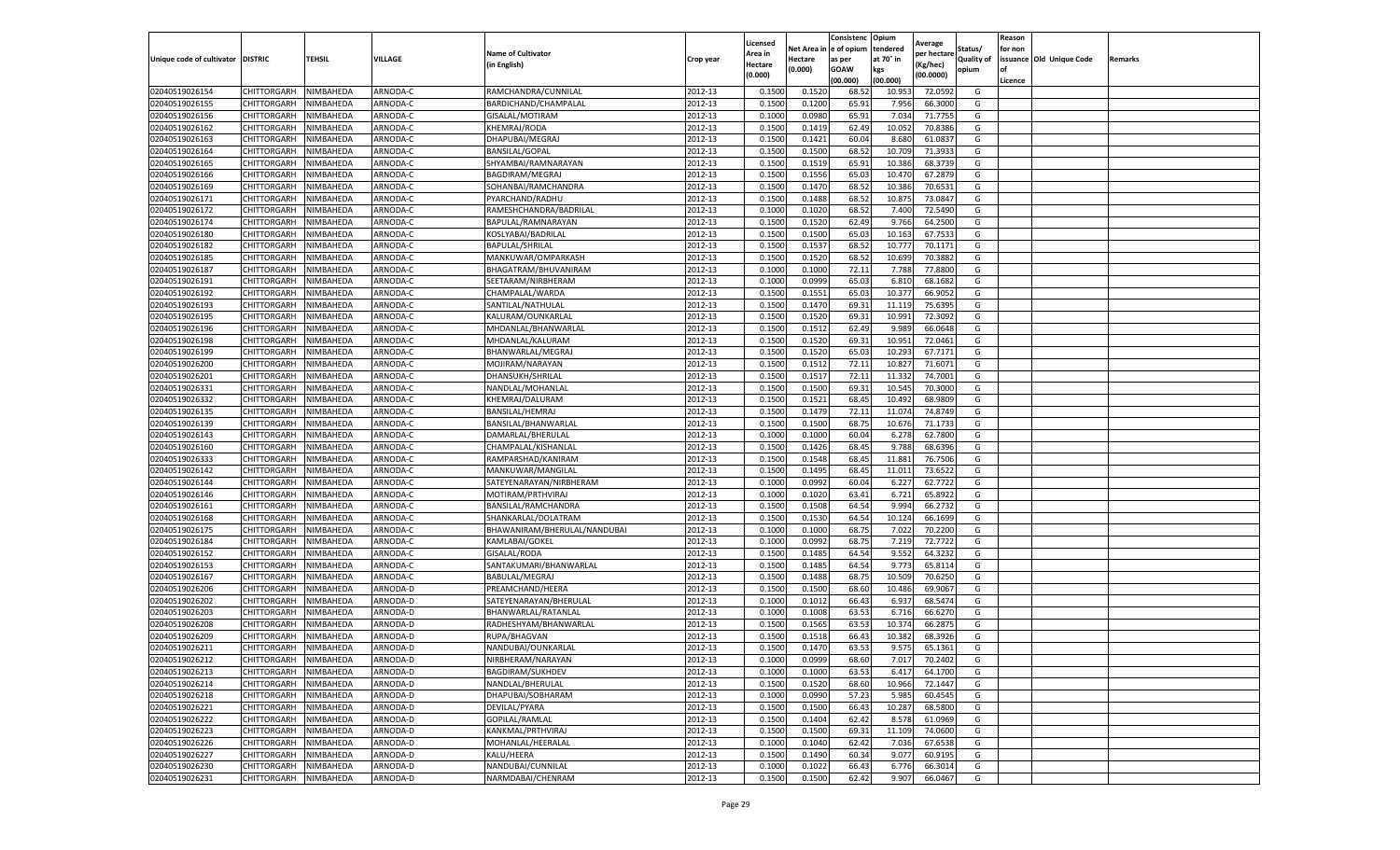|                                   |             |           |          |                              |           | Licensed |            | Consistenc  | Opium     | Average     |                   | Reason  |                          |         |
|-----------------------------------|-------------|-----------|----------|------------------------------|-----------|----------|------------|-------------|-----------|-------------|-------------------|---------|--------------------------|---------|
|                                   |             |           |          | <b>Name of Cultivator</b>    |           | Area in  | Net Area i | e of opium  | tendered  | per hectare | Status/           | for non |                          |         |
| Unique code of cultivator DISTRIC |             | TEHSIL    | VILLAGE  | (in English)                 | Crop year | Hectare  | Hectare    | as per      | at 70° in | (Kg/hec)    | <b>Quality of</b> |         | issuance Old Unique Code | Remarks |
|                                   |             |           |          |                              |           | (0.000)  | (0.000)    | <b>GOAW</b> | kgs       | (00.0000)   | opium             | οf      |                          |         |
|                                   |             |           |          |                              |           |          |            | (00.000     | (00.000)  |             |                   | Licence |                          |         |
| 02040519026154                    | CHITTORGARH | NIMBAHEDA | ARNODA-C | RAMCHANDRA/CUNNILAL          | 2012-13   | 0.1500   | 0.1520     | 68.52       | 10.953    | 72.0592     | G                 |         |                          |         |
| 02040519026155                    | CHITTORGARH | NIMBAHEDA | ARNODA-C | BARDICHAND/CHAMPALAL         | 2012-13   | 0.150    | 0.1200     | 65.9        | 7.956     | 66.3000     | G                 |         |                          |         |
| 02040519026156                    | CHITTORGARH | NIMBAHEDA | ARNODA-C | GISALAL/MOTIRAM              | 2012-13   | 0.1000   | 0.0980     | 65.91       | 7.034     | 71.7755     | G                 |         |                          |         |
| 02040519026162                    | CHITTORGARH | NIMBAHEDA | ARNODA-C | KHEMRAJ/RODA                 | 2012-13   | 0.1500   | 0.1419     | 62.49       | 10.052    | 70.8386     | G                 |         |                          |         |
| 02040519026163                    | CHITTORGARH | NIMBAHEDA | ARNODA-C | DHAPUBAI/MEGRAJ              | 2012-13   | 0.1500   | 0.1421     | 60.04       | 8.680     | 61.0837     | G                 |         |                          |         |
| 02040519026164                    | CHITTORGARH | NIMBAHEDA | ARNODA-C | <b>BANSILAL/GOPAL</b>        | 2012-13   | 0.1500   | 0.1500     | 68.52       | 10.709    | 71.3933     | G                 |         |                          |         |
| 02040519026165                    | CHITTORGARH | NIMBAHEDA | ARNODA-C | SHYAMBAI/RAMNARAYAN          | 2012-13   | 0.1500   | 0.1519     | 65.91       | 10.386    | 68.3739     | G                 |         |                          |         |
| 02040519026166                    | CHITTORGARH | NIMBAHEDA | ARNODA-C | BAGDIRAM/MEGRAJ              | 2012-13   | 0.1500   | 0.1556     | 65.0        | 10.470    | 67.287      | G                 |         |                          |         |
| 02040519026169                    | CHITTORGARH | NIMBAHEDA | ARNODA-C | SOHANBAI/RAMCHANDRA          | 2012-13   | 0.1500   | 0.1470     | 68.52       | 10.386    | 70.6531     | G                 |         |                          |         |
| 02040519026171                    | CHITTORGARH | NIMBAHEDA | ARNODA-C | PYARCHAND/RADHU              | 2012-13   | 0.1500   | 0.1488     | 68.52       | 10.875    | 73.0847     | G                 |         |                          |         |
| 02040519026172                    | CHITTORGARH | NIMBAHEDA | ARNODA-C | RAMESHCHANDRA/BADRILAL       | 2012-13   | 0.1000   | 0.1020     | 68.52       | 7.400     | 72.5490     | G                 |         |                          |         |
| 02040519026174                    | CHITTORGARH | NIMBAHEDA | ARNODA-C | BAPULAL/RAMNARAYAN           | 2012-13   | 0.1500   | 0.1520     | 62.49       | 9.766     | 64.2500     | G                 |         |                          |         |
| 02040519026180                    | CHITTORGARH | NIMBAHEDA | ARNODA-C | KOSLYABAI/BADRILAL           | 2012-13   | 0.1500   | 0.1500     | 65.03       | 10.163    | 67.7533     | G                 |         |                          |         |
| 02040519026182                    | CHITTORGARH | NIMBAHEDA | ARNODA-C | <b>BAPULAL/SHRILAL</b>       | 2012-13   | 0.1500   | 0.1537     | 68.52       | 10.777    | 70.1171     | G                 |         |                          |         |
| 02040519026185                    | CHITTORGARH | NIMBAHEDA | ARNODA-C | MANKUWAR/OMPARKASH           | 2012-13   | 0.1500   | 0.1520     | 68.52       | 10.699    | 70.3882     | G                 |         |                          |         |
| 02040519026187                    | CHITTORGARH | NIMBAHEDA | ARNODA-C | BHAGATRAM/BHUVANIRAM         | 2012-13   | 0.1000   | 0.1000     | 72.11       | 7.788     | 77.8800     | G                 |         |                          |         |
| 02040519026191                    | CHITTORGARH | NIMBAHEDA | ARNODA-C | SEETARAM/NIRBHERAM           | 2012-13   | 0.1000   | 0.0999     | 65.03       | 6.81      | 68.1682     | G                 |         |                          |         |
| 02040519026192                    | CHITTORGARH | NIMBAHEDA | ARNODA-C | CHAMPALAL/WARDA              | 2012-13   | 0.1500   | 0.1551     | 65.03       | 10.377    | 66.9052     | G                 |         |                          |         |
| 02040519026193                    | CHITTORGARH | NIMBAHEDA | ARNODA-C | SANTILAL/NATHULAL            | 2012-13   | 0.1500   | 0.1470     | 69.3        | 11.119    | 75.6395     | G                 |         |                          |         |
| 02040519026195                    | CHITTORGARH | NIMBAHEDA | ARNODA-C | KALURAM/OUNKARLAI            | 2012-13   | 0.1500   | 0.1520     | 69.3        | 10.991    | 72.3092     | G                 |         |                          |         |
| 02040519026196                    | CHITTORGARH | NIMBAHEDA | ARNODA-C | MHDANLAL/BHANWARLAL          | 2012-13   | 0.1500   | 0.1512     | 62.49       | 9.989     | 66.0648     | G                 |         |                          |         |
| 02040519026198                    | CHITTORGARH | NIMBAHEDA | ARNODA-C | MHDANLAL/KALURAM             | 2012-13   | 0.1500   | 0.1520     | 69.31       | 10.951    | 72.0461     | G                 |         |                          |         |
| 02040519026199                    | CHITTORGARH | NIMBAHEDA | ARNODA-C | BHANWARLAL/MEGRAJ            | 2012-13   | 0.1500   | 0.1520     | 65.03       | 10.293    | 67.7171     | G                 |         |                          |         |
| 02040519026200                    | CHITTORGARH | NIMBAHEDA | ARNODA-C | MOJIRAM/NARAYAN              | 2012-13   | 0.1500   | 0.1512     | 72.11       | 10.827    | 71.6071     | G                 |         |                          |         |
| 02040519026201                    | CHITTORGARH | NIMBAHEDA | ARNODA-C | DHANSUKH/SHRILAL             | 2012-13   | 0.1500   | 0.1517     | 72.11       | 11.33     | 74.7001     | G                 |         |                          |         |
| 02040519026331                    | CHITTORGARH | NIMBAHEDA | ARNODA-C | NANDLAL/MOHANLAI             | 2012-13   | 0.1500   | 0.1500     | 69.31       | 10.545    | 70.3000     | G                 |         |                          |         |
| 02040519026332                    | CHITTORGARH | NIMBAHEDA | ARNODA-C | KHEMRAJ/DALURAM              | 2012-13   | 0.1500   | 0.1521     | 68.4        | 10.492    | 68.9809     | G                 |         |                          |         |
| 02040519026135                    | CHITTORGARH | NIMBAHEDA | ARNODA-C | BANSILAL/HEMRAJ              | 2012-13   | 0.1500   | 0.1479     | 72.11       | 11.074    | 74.8749     | G                 |         |                          |         |
| 02040519026139                    | CHITTORGARH | NIMBAHEDA | ARNODA-C | BANSILAL/BHANWARLAL          | 2012-13   | 0.1500   | 0.1500     | 68.75       | 10.676    | 71.1733     | G                 |         |                          |         |
| 02040519026143                    | CHITTORGARH | NIMBAHEDA | ARNODA-C | DAMARLAL/BHERULAL            | 2012-13   | 0.1000   | 0.1000     | 60.04       | 6.278     | 62.7800     | G                 |         |                          |         |
| 02040519026160                    | CHITTORGARH | NIMBAHEDA | ARNODA-C | CHAMPALAL/KISHANLAL          | 2012-13   | 0.1500   | 0.1426     | 68.4        | 9.788     | 68.6396     | G                 |         |                          |         |
| 02040519026333                    | CHITTORGARH | NIMBAHEDA | ARNODA-C | RAMPARSHAD/KANIRAM           | 2012-13   | 0.1500   | 0.1548     | 68.4        | 11.881    | 76.7506     | G                 |         |                          |         |
| 02040519026142                    | CHITTORGARH | NIMBAHEDA | ARNODA-C | MANKUWAR/MANGILAL            | 2012-13   | 0.1500   | 0.1495     | 68.4        | 11.01     | 73.6522     | G                 |         |                          |         |
| 02040519026144                    | CHITTORGARH | NIMBAHEDA | ARNODA-C | SATEYENARAYAN/NIRBHERAM      | 2012-13   | 0.1000   | 0.0992     | 60.04       | 6.227     | 62.7722     | G                 |         |                          |         |
| 02040519026146                    | CHITTORGARH | NIMBAHEDA | ARNODA-C | MOTIRAM/PRTHVIRAJ            | 2012-13   | 0.1000   | 0.1020     | 63.41       | 6.721     | 65.8922     | G                 |         |                          |         |
| 02040519026161                    | CHITTORGARH | NIMBAHEDA | ARNODA-C | BANSILAL/RAMCHANDRA          | 2012-13   | 0.1500   | 0.1508     | 64.54       | 9.994     | 66.2732     | G                 |         |                          |         |
| 02040519026168                    | CHITTORGARH | NIMBAHEDA | ARNODA-C | SHANKARLAL/DOLATRAM          | 2012-13   | 0.1500   | 0.1530     | 64.54       | 10.124    | 66.1699     | G                 |         |                          |         |
| 02040519026175                    | CHITTORGARH | NIMBAHEDA | ARNODA-C | BHAWANIRAM/BHERULAL/NANDUBAI | 2012-13   | 0.1000   | 0.1000     | 68.7        | 7.022     | 70.2200     | G                 |         |                          |         |
| 02040519026184                    | CHITTORGARH | NIMBAHEDA | ARNODA-C | KAMLABAI/GOKEL               | 2012-13   | 0.1000   | 0.0992     | 68.7        | 7.219     | 72.7722     | G                 |         |                          |         |
| 02040519026152                    | CHITTORGARH | NIMBAHEDA | ARNODA-C | GISALAL/RODA                 | 2012-13   | 0.1500   | 0.1485     | 64.54       | 9.552     | 64.3232     | G                 |         |                          |         |
| 02040519026153                    | CHITTORGARH | NIMBAHEDA | ARNODA-C | SANTAKUMARI/BHANWARLAL       | 2012-13   | 0.1500   | 0.1485     | 64.54       | 9.773     | 65.8114     | G                 |         |                          |         |
| 02040519026167                    | CHITTORGARH | NIMBAHEDA | ARNODA-C | BABULAL/MEGRAJ               | 2012-13   | 0.1500   | 0.1488     | 68.75       | 10.509    | 70.6250     | G                 |         |                          |         |
| 02040519026206                    | CHITTORGARH | NIMBAHEDA | ARNODA-D | PREAMCHAND/HEERA             | 2012-13   | 0.1500   | 0.1500     | 68.60       | 10.486    | 69.9067     | G                 |         |                          |         |
| 02040519026202                    | CHITTORGARH | NIMBAHEDA | ARNODA-D | SATEYENARAYAN/BHERULAL       | 2012-13   | 0.1000   | 0.1012     | 66.43       | 6.937     | 68.5474     | G                 |         |                          |         |
| 02040519026203                    | CHITTORGARH | NIMBAHEDA | ARNODA-D | BHANWARLAL/RATANLAL          | 2012-13   | 0.1000   | 0.1008     | 63.53       | 6.716     | 66.6270     | G                 |         |                          |         |
| 02040519026208                    | CHITTORGARH | NIMBAHEDA | ARNODA-D | RADHESHYAM/BHANWARLAI        | 2012-13   | 0.150    | 0.1565     | 63.53       | 10.374    | 66.287      | G                 |         |                          |         |
| 02040519026209                    | CHITTORGARH | NIMBAHEDA | ARNODA-D | RUPA/BHAGVAN                 | 2012-13   | 0.1500   | 0.1518     | 66.43       | 10.382    | 68.3926     | G                 |         |                          |         |
| 02040519026211                    | CHITTORGARH | NIMBAHEDA | ARNODA-D | NANDUBAI/OUNKARLAL           | 2012-13   | 0.1500   | 0.1470     | 63.53       | 9.575     | 65.1361     | G                 |         |                          |         |
| 02040519026212                    | CHITTORGARH | NIMBAHEDA | ARNODA-D | NIRBHERAM/NARAYAN            | 2012-13   | 0.1000   | 0.0999     | 68.60       | 7.017     | 70.2402     | G                 |         |                          |         |
| 02040519026213                    | CHITTORGARH | NIMBAHEDA | ARNODA-D | BAGDIRAM/SUKHDEV             | 2012-13   | 0.1000   | 0.1000     | 63.53       | 6.417     | 64.1700     | G                 |         |                          |         |
| 02040519026214                    | CHITTORGARH | NIMBAHEDA | ARNODA-D | NANDLAL/BHERULAL             | 2012-13   | 0.1500   | 0.1520     | 68.60       | 10.966    | 72.1447     | G                 |         |                          |         |
| 02040519026218                    | CHITTORGARH | NIMBAHEDA | ARNODA-D | DHAPUBAI/SOBHARAM            | 2012-13   | 0.1000   | 0.0990     | 57.23       | 5.985     | 60.4545     | G                 |         |                          |         |
| 02040519026221                    | CHITTORGARH | NIMBAHEDA | ARNODA-D | DEVILAL/PYARA                | 2012-13   | 0.1500   | 0.1500     | 66.43       | 10.287    | 68.5800     | G                 |         |                          |         |
| 02040519026222                    | CHITTORGARH | NIMBAHEDA | ARNODA-D | GOPILAL/RAMLAL               | 2012-13   | 0.1500   | 0.1404     | 62.42       | 8.578     | 61.0969     | G                 |         |                          |         |
| 02040519026223                    | CHITTORGARH | NIMBAHEDA | ARNODA-D | KANKMAL/PRTHVIRAJ            | 2012-13   | 0.1500   | 0.1500     | 69.31       | 11.109    | 74.0600     | G                 |         |                          |         |
| 02040519026226                    | CHITTORGARH | NIMBAHEDA | ARNODA-D | MOHANLAL/HEERALAL            | 2012-13   | 0.1000   | 0.1040     | 62.42       | 7.036     | 67.6538     | G                 |         |                          |         |
| 02040519026227                    | CHITTORGARH | NIMBAHEDA | ARNODA-D | KALU/HEERA                   | 2012-13   | 0.1500   | 0.1490     | 60.34       | 9.077     | 60.9195     | G                 |         |                          |         |
| 02040519026230                    | CHITTORGARH | NIMBAHEDA | ARNODA-D | NANDUBAI/CUNNILAL            | 2012-13   | 0.1000   | 0.1022     | 66.43       | 6.776     | 66.3014     | G                 |         |                          |         |
| 02040519026231                    | CHITTORGARH | NIMBAHEDA | ARNODA-D | NARMDABAI/CHENRAM            | 2012-13   | 0.1500   | 0.1500     | 62.42       | 9.907     | 66.0467     | G                 |         |                          |         |
|                                   |             |           |          |                              |           |          |            |             |           |             |                   |         |                          |         |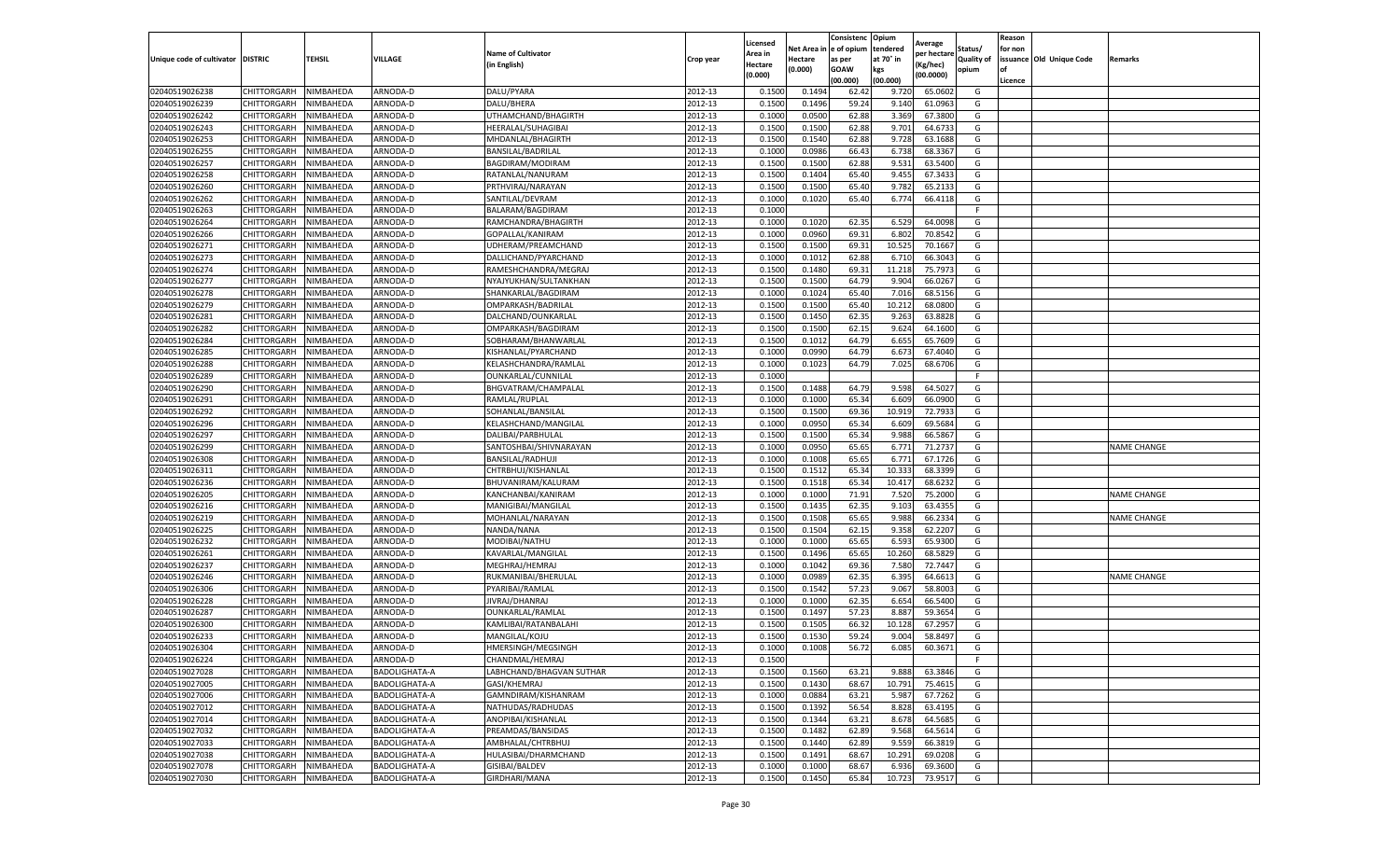|                                   |                       |                        |                      |                           |           | Licensed         |         | Consistenc             | Opium     |                        |                   | Reason  |                          |                    |
|-----------------------------------|-----------------------|------------------------|----------------------|---------------------------|-----------|------------------|---------|------------------------|-----------|------------------------|-------------------|---------|--------------------------|--------------------|
|                                   |                       |                        |                      | <b>Name of Cultivator</b> |           | Area in          |         | Net Area in e of opium | tendered  | Average<br>per hectare | Status/           | for non |                          |                    |
| Unique code of cultivator DISTRIC |                       | TEHSIL                 | VILLAGE              | in English)               | Crop year | Hectare          | Hectare | as per                 | at 70° in | (Kg/hec                | <b>Quality of</b> |         | issuance Old Unique Code | <b>Remarks</b>     |
|                                   |                       |                        |                      |                           |           | (0.000)          | (0.000) | <b>GOAW</b>            | kgs       | (00.0000)              | opium             |         |                          |                    |
|                                   |                       |                        |                      |                           |           |                  |         | (00.000)               | (00.000)  |                        |                   | Licence |                          |                    |
| 02040519026238                    | CHITTORGARH           | NIMBAHEDA              | ARNODA-D             | DALU/PYARA                | 2012-13   | 0.1500           | 0.1494  | 62.42                  | 9.72      | 65.0602                | G                 |         |                          |                    |
| 02040519026239                    | CHITTORGARH           | NIMBAHEDA              | ARNODA-D             | DALU/BHERA                | 2012-13   | 0.1500           | 0.1496  | 59.24                  | 9.14      | 61.0963                | G                 |         |                          |                    |
| 02040519026242                    | CHITTORGARH           | NIMBAHEDA              | ARNODA-D             | UTHAMCHAND/BHAGIRTH       | 2012-13   | 0.1000           | 0.0500  | 62.88                  | 3.369     | 67.3800                | G                 |         |                          |                    |
| 02040519026243                    | CHITTORGARH           | NIMBAHEDA              | ARNODA-D             | HEERALAL/SUHAGIBAI        | 2012-13   | 0.1500           | 0.1500  | 62.88                  | 9.701     | 64.6733                | G                 |         |                          |                    |
| 02040519026253                    | CHITTORGARH           | NIMBAHEDA              | ARNODA-D             | MHDANLAL/BHAGIRTH         | 2012-13   | 0.1500           | 0.1540  | 62.88                  | 9.728     | 63.1688                | G                 |         |                          |                    |
| 02040519026255                    | CHITTORGARH           | NIMBAHEDA              | ARNODA-D             | BANSILAL/BADRILAL         | 2012-13   | 0.1000           | 0.0986  | 66.43                  | 6.738     | 68.3367                | G                 |         |                          |                    |
| 02040519026257                    | CHITTORGARH           | NIMBAHEDA              | ARNODA-D             | BAGDIRAM/MODIRAM          | 2012-13   | 0.1500           | 0.1500  | 62.88                  | 9.531     | 63.5400                | G                 |         |                          |                    |
| 02040519026258                    | CHITTORGARH           | NIMBAHEDA              | ARNODA-D             | RATANLAL/NANURAM          | 2012-13   | 0.1500           | 0.1404  | 65.40                  | 9.455     | 67.3433                | G                 |         |                          |                    |
| 02040519026260                    | CHITTORGARH           | NIMBAHEDA              | ARNODA-D             | PRTHVIRAJ/NARAYAN         | 2012-13   | 0.1500           | 0.1500  | 65.40                  | 9.782     | 65.2133                | G                 |         |                          |                    |
| 02040519026262                    | CHITTORGARH           | NIMBAHEDA              | ARNODA-D             | SANTILAL/DEVRAM           | 2012-13   | 0.1000           | 0.1020  | 65.40                  | 6.774     | 66.4118                | G                 |         |                          |                    |
| 02040519026263                    | CHITTORGARH           | NIMBAHEDA              | ARNODA-D             | BALARAM/BAGDIRAM          | 2012-13   | 0.1000           |         |                        |           |                        | F.                |         |                          |                    |
| 02040519026264                    | CHITTORGARH           | NIMBAHEDA              | ARNODA-D             | RAMCHANDRA/BHAGIRTH       | 2012-13   | 0.1000           | 0.1020  | 62.35                  | 6.529     | 64.0098                | G                 |         |                          |                    |
| 02040519026266                    | CHITTORGARH           | NIMBAHEDA              | ARNODA-D             | GOPALLAL/KANIRAM          | 2012-13   | 0.1000           | 0.0960  | 69.31                  | 6.802     | 70.8542                | G                 |         |                          |                    |
| 02040519026271                    | CHITTORGARH           | NIMBAHEDA              | ARNODA-D             | UDHERAM/PREAMCHAND        | 2012-13   | 0.1500           | 0.1500  | 69.31                  | 10.525    | 70.1667                | G                 |         |                          |                    |
| 02040519026273                    | CHITTORGARH           | NIMBAHEDA              | ARNODA-D             | DALLICHAND/PYARCHAND      | 2012-13   | 0.1000           | 0.1012  | 62.88                  | 6.71      | 66.3043                | G                 |         |                          |                    |
| 02040519026274                    | CHITTORGARH           | NIMBAHEDA              | ARNODA-D             | RAMESHCHANDRA/MEGRAJ      | 2012-13   | 0.1500           | 0.1480  | 69.31                  | 11.21     | 75.7973                | G                 |         |                          |                    |
| 02040519026277                    | CHITTORGARH           | NIMBAHEDA              | ARNODA-D             | NYAJYUKHAN/SULTANKHAN     | 2012-13   | 0.1500           | 0.1500  | 64.79                  | 9.904     | 66.0267                | G                 |         |                          |                    |
| 02040519026278                    | CHITTORGARH           | NIMBAHEDA              | ARNODA-D             | SHANKARLAL/BAGDIRAM       | 2012-13   | 0.1000           | 0.1024  | 65.40                  | 7.016     | 68.5156                | G                 |         |                          |                    |
| 02040519026279                    | CHITTORGARH           | NIMBAHEDA              | ARNODA-D             | OMPARKASH/BADRILAL        | 2012-13   | 0.1500           | 0.1500  | 65.40                  | 10.212    | 68.0800                | G                 |         |                          |                    |
| 02040519026281                    | CHITTORGARH           | NIMBAHEDA              | ARNODA-D             | DALCHAND/OUNKARLAL        | 2012-13   | 0.1500           | 0.1450  | 62.35                  | 9.263     | 63.8828                | G                 |         |                          |                    |
| 02040519026282                    | CHITTORGARH           | NIMBAHEDA              | ARNODA-D             | OMPARKASH/BAGDIRAM        | 2012-13   | 0.1500           | 0.1500  | 62.15                  | 9.624     | 64.1600                | G                 |         |                          |                    |
| 02040519026284                    |                       |                        |                      | SOBHARAM/BHANWARLAL       | 2012-13   | 0.1500           | 0.1012  | 64.79                  | 6.655     | 65.7609                | G                 |         |                          |                    |
| 02040519026285                    | CHITTORGARH           | NIMBAHEDA              | ARNODA-D             |                           |           |                  |         |                        |           |                        | G                 |         |                          |                    |
|                                   | CHITTORGARH           | NIMBAHEDA<br>NIMBAHEDA | ARNODA-D<br>ARNODA-D | KISHANLAL/PYARCHAND       | 2012-13   | 0.1000<br>0.1000 | 0.0990  | 64.79<br>64.79         | 6.673     | 67.4040                | G                 |         |                          |                    |
| 02040519026288                    | CHITTORGARH           |                        |                      | KELASHCHANDRA/RAMLAI      | 2012-13   |                  | 0.1023  |                        | 7.025     | 68.6706                | F                 |         |                          |                    |
| 02040519026289                    | CHITTORGARH           | NIMBAHEDA              | ARNODA-D             | OUNKARLAL/CUNNILAL        | 2012-13   | 0.1000           |         |                        |           |                        |                   |         |                          |                    |
| 02040519026290                    | CHITTORGARH           | NIMBAHEDA              | ARNODA-D             | BHGVATRAM/CHAMPALAI       | 2012-13   | 0.1500           | 0.1488  | 64.79                  | 9.598     | 64.502                 | G                 |         |                          |                    |
| 02040519026291                    | CHITTORGARH           | NIMBAHEDA              | ARNODA-D             | RAMLAL/RUPLAL             | 2012-13   | 0.1000           | 0.1000  | 65.34                  | 6.609     | 66.0900                | G                 |         |                          |                    |
| 02040519026292                    | CHITTORGARH           | NIMBAHEDA              | ARNODA-D             | SOHANLAL/BANSILAL         | 2012-13   | 0.1500           | 0.1500  | 69.36                  | 10.919    | 72.7933                | G                 |         |                          |                    |
| 02040519026296                    | CHITTORGARH           | NIMBAHEDA              | ARNODA-D             | KELASHCHAND/MANGILAL      | 2012-13   | 0.1000           | 0.0950  | 65.34                  | 6.609     | 69.5684                | G                 |         |                          |                    |
| 02040519026297                    | CHITTORGARH           | NIMBAHEDA              | ARNODA-D             | DALIBAI/PARBHULAL         | 2012-13   | 0.1500           | 0.1500  | 65.34                  | 9.988     | 66.5867                | G                 |         |                          |                    |
| 02040519026299                    | CHITTORGARH           | NIMBAHEDA              | ARNODA-D             | SANTOSHBAI/SHIVNARAYAN    | 2012-13   | 0.1000           | 0.0950  | 65.65                  | 6.77      | 71.2737                | G                 |         |                          | <b>NAME CHANGE</b> |
| 02040519026308                    | CHITTORGARH           | NIMBAHEDA              | ARNODA-D             | <b>BANSILAL/RADHUJI</b>   | 2012-13   | 0.1000           | 0.1008  | 65.65                  | 6.771     | 67.1726                | G                 |         |                          |                    |
| 02040519026311                    | CHITTORGARH           | NIMBAHEDA              | ARNODA-D             | CHTRBHUJ/KISHANLAL        | 2012-13   | 0.1500           | 0.1512  | 65.34                  | 10.33     | 68.3399                | G                 |         |                          |                    |
| 02040519026236                    | CHITTORGARH           | NIMBAHEDA              | ARNODA-D             | BHUVANIRAM/KALURAM        | 2012-13   | 0.1500           | 0.1518  | 65.34                  | 10.417    | 68.6232                | G                 |         |                          |                    |
| 02040519026205                    | CHITTORGARH           | NIMBAHEDA              | ARNODA-D             | KANCHANBAI/KANIRAM        | 2012-13   | 0.1000           | 0.1000  | 71.91                  | 7.520     | 75.2000                | G                 |         |                          | <b>NAME CHANGE</b> |
| 02040519026216                    | CHITTORGARH           | NIMBAHEDA              | ARNODA-D             | MANIGIBAI/MANGILAL        | 2012-13   | 0.1500           | 0.1435  | 62.35                  | 9.103     | 63.4355                | G                 |         |                          |                    |
| 02040519026219                    | CHITTORGARH           | NIMBAHEDA              | ARNODA-D             | MOHANLAL/NARAYAN          | 2012-13   | 0.1500           | 0.1508  | 65.65                  | 9.988     | 66.2334                | G                 |         |                          | <b>NAME CHANGE</b> |
| 02040519026225                    | CHITTORGARH           | NIMBAHEDA              | ARNODA-D             | NANDA/NANA                | 2012-13   | 0.1500           | 0.1504  | 62.15                  | 9.35      | 62.2207                | G                 |         |                          |                    |
| 02040519026232                    | CHITTORGARH           | NIMBAHEDA              | ARNODA-D             | MODIBAI/NATHU             | 2012-13   | 0.1000           | 0.1000  | 65.65                  | 6.593     | 65.9300                | G                 |         |                          |                    |
| 02040519026261                    | CHITTORGARH           | NIMBAHEDA              | ARNODA-D             | KAVARLAL/MANGILAL         | 2012-13   | 0.1500           | 0.1496  | 65.65                  | 10.260    | 68.5829                | G                 |         |                          |                    |
| 02040519026237                    | CHITTORGARH           | NIMBAHEDA              | ARNODA-D             | MEGHRAJ/HEMRAJ            | 2012-13   | 0.1000           | 0.1042  | 69.36                  | 7.580     | 72.7447                | G                 |         |                          |                    |
| 02040519026246                    | CHITTORGARH           | NIMBAHEDA              | ARNODA-D             | RUKMANIBAI/BHERULAL       | 2012-13   | 0.1000           | 0.0989  | 62.35                  | 6.395     | 64.6613                | G                 |         |                          | <b>NAME CHANGE</b> |
| 02040519026306                    | CHITTORGARH           | NIMBAHEDA              | ARNODA-D             | PYARIBAI/RAMLAL           | 2012-13   | 0.1500           | 0.1542  | 57.23                  | 9.067     | 58.8003                | G                 |         |                          |                    |
| 02040519026228                    | CHITTORGARH           | NIMBAHEDA              | ARNODA-D             | JIVRAJ/DHANRAJ            | 2012-13   | 0.1000           | 0.1000  | 62.35                  | 6.654     | 66.5400                | G                 |         |                          |                    |
| 02040519026287                    | CHITTORGARH           | NIMBAHEDA              | ARNODA-D             | OUNKARLAL/RAMLAL          | 2012-13   | 0.1500           | 0.1497  | 57.23                  | 8.887     | 59.365                 | G                 |         |                          |                    |
| 02040519026300                    | CHITTORGARH           | NIMBAHEDA              | ARNODA-D             | KAMLIBAI/RATANBALAH       | 2012-13   | 0.1500           | 0.1505  | 66.32                  | 10.128    | 67.2957                | G                 |         |                          |                    |
| 02040519026233                    | CHITTORGARH           | NIMBAHEDA              | ARNODA-D             | MANGILAL/KOJU             | 2012-13   | 0.1500           | 0.1530  | 59.24                  | 9.004     | 58.8497                | G                 |         |                          |                    |
| 02040519026304                    | CHITTORGARH           | NIMBAHEDA              | ARNODA-D             | HMERSINGH/MEGSINGH        | 2012-13   | 0.1000           | 0.1008  | 56.72                  | 6.085     | 60.3671                | G                 |         |                          |                    |
| 02040519026224                    | CHITTORGARH NIMBAHEDA |                        | ARNODA-D             | CHANDMAL/HEMRAJ           | 2012-13   | 0.1500           |         |                        |           |                        | F.                |         |                          |                    |
| 02040519027028                    | CHITTORGARH           | NIMBAHEDA              | BADOLIGHATA-A        | LABHCHAND/BHAGVAN SUTHAR  | 2012-13   | 0.1500           | 0.1560  | 63.21                  | 9.888     | 63.3846                | G                 |         |                          |                    |
| 02040519027005                    | <b>CHITTORGARH</b>    | NIMBAHEDA              | BADOLIGHATA-A        | GASI/KHEMRAJ              | 2012-13   | 0.1500           | 0.1430  | 68.67                  | 10.791    | 75.4615                | G                 |         |                          |                    |
| 02040519027006                    | CHITTORGARH           | NIMBAHEDA              | BADOLIGHATA-A        | GAMNDIRAM/KISHANRAM       | 2012-13   | 0.1000           | 0.0884  | 63.21                  | 5.987     | 67.7262                | G                 |         |                          |                    |
| 02040519027012                    | <b>CHITTORGARH</b>    | NIMBAHEDA              | BADOLIGHATA-A        | NATHUDAS/RADHUDAS         | 2012-13   | 0.1500           | 0.1392  | 56.54                  | 8.828     | 63.4195                | G                 |         |                          |                    |
| 02040519027014                    | <b>CHITTORGARH</b>    | NIMBAHEDA              | BADOLIGHATA-A        | ANOPIBAI/KISHANLAL        | 2012-13   | 0.1500           | 0.1344  | 63.21                  | 8.678     | 64.5685                | G                 |         |                          |                    |
| 02040519027032                    | CHITTORGARH           | NIMBAHEDA              | BADOLIGHATA-A        | PREAMDAS/BANSIDAS         | 2012-13   | 0.1500           | 0.1482  | 62.89                  | 9.568     | 64.5614                | G                 |         |                          |                    |
| 02040519027033                    | CHITTORGARH           | NIMBAHEDA              | <b>BADOLIGHATA-A</b> | AMBHALAL/CHTRBHUJ         | 2012-13   | 0.1500           | 0.1440  | 62.89                  | 9.559     | 66.3819                | G                 |         |                          |                    |
| 02040519027038                    | CHITTORGARH           | NIMBAHEDA              | BADOLIGHATA-A        | HULASIBAI/DHARMCHAND      | 2012-13   | 0.1500           | 0.1491  | 68.67                  | 10.291    | 69.0208                | G                 |         |                          |                    |
|                                   |                       |                        | BADOLIGHATA-A        |                           |           |                  |         |                        |           |                        |                   |         |                          |                    |
| 02040519027078                    | CHITTORGARH           | NIMBAHEDA              |                      | GISIBAI/BALDEV            | 2012-13   | 0.1000           | 0.1000  | 68.67                  | 6.936     | 69.3600                | G                 |         |                          |                    |
| 02040519027030                    | <b>CHITTORGARH</b>    | NIMBAHEDA              | BADOLIGHATA-A        | GIRDHARI/MANA             | 2012-13   | 0.1500           | 0.1450  | 65.84                  | 10.723    | 73.9517                | G                 |         |                          |                    |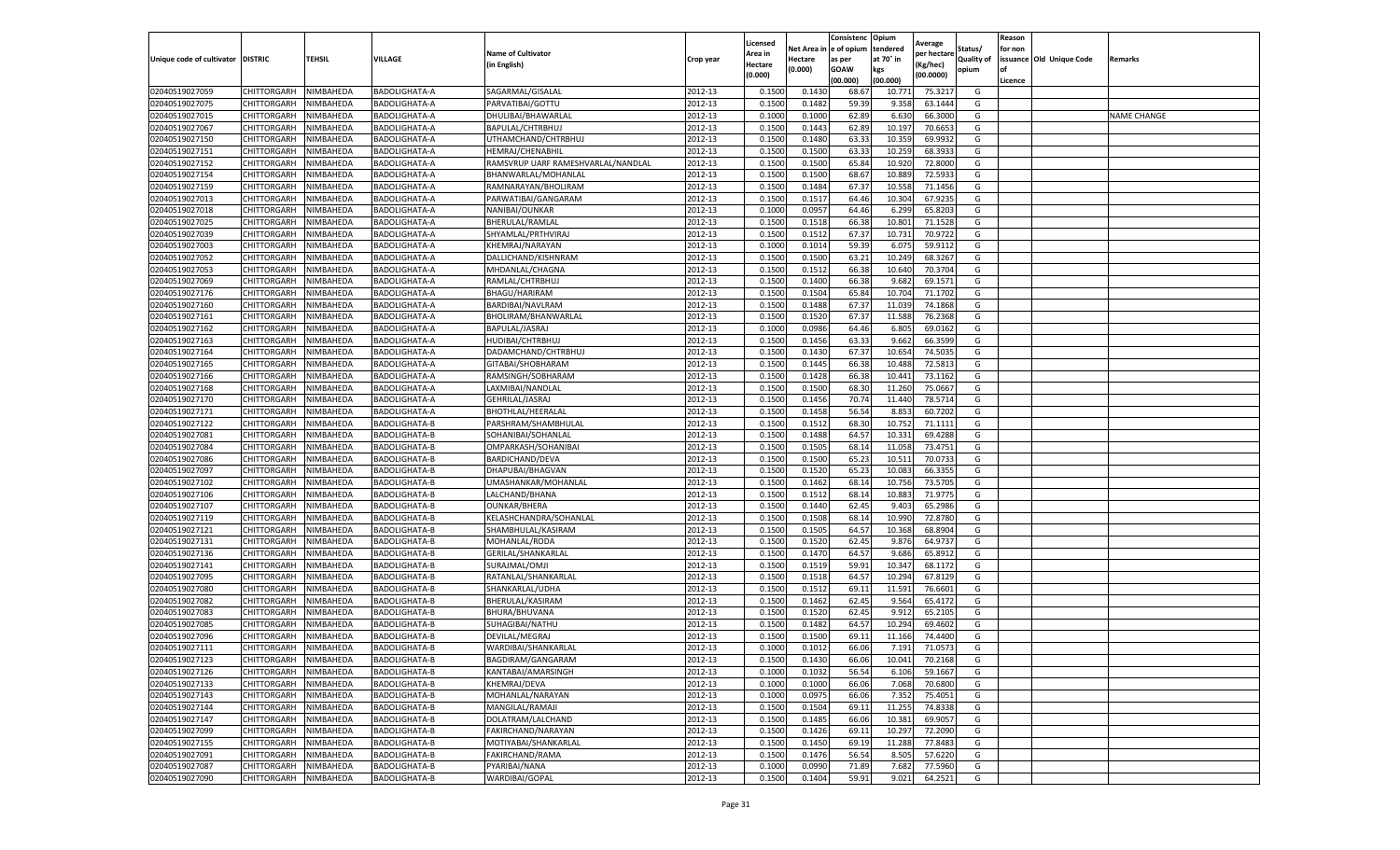|                                   |                    |           |                      |                                    |           | Licensed |         | Consistenc             | Opium     |                        |                   | Reason  |                          |                    |
|-----------------------------------|--------------------|-----------|----------------------|------------------------------------|-----------|----------|---------|------------------------|-----------|------------------------|-------------------|---------|--------------------------|--------------------|
|                                   |                    |           |                      | <b>Name of Cultivator</b>          |           | Area in  |         | Net Area in e of opium | tendered  | Average<br>per hectare | Status/           | for non |                          |                    |
| Unique code of cultivator DISTRIC |                    | TEHSIL    | VILLAGE              | in English)                        | Crop year | Hectare  | Hectare | as per                 | at 70° in | (Kg/hec                | <b>Quality of</b> |         | issuance Old Unique Code | <b>Remarks</b>     |
|                                   |                    |           |                      |                                    |           | (0.000)  | (0.000) | <b>GOAW</b>            | kgs       | (00.0000)              | opium             |         |                          |                    |
|                                   |                    |           |                      |                                    |           |          |         | (00.000)               | (00.000)  |                        |                   | Licence |                          |                    |
| 02040519027059                    | CHITTORGARH        | NIMBAHEDA | <b>BADOLIGHATA-A</b> | SAGARMAL/GISALAL                   | 2012-13   | 0.1500   | 0.1430  | 68.67                  | 10.77     | 75.3217                | G                 |         |                          |                    |
| 02040519027075                    | CHITTORGARH        | NIMBAHEDA | <b>BADOLIGHATA-A</b> | PARVATIBAI/GOTTU                   | 2012-13   | 0.1500   | 0.1482  | 59.39                  | 9.35      | 63.1444                | G                 |         |                          |                    |
| 02040519027015                    | CHITTORGARH        | NIMBAHEDA | BADOLIGHATA-A        | DHULIBAI/BHAWARLAL                 | 2012-13   | 0.1000   | 0.1000  | 62.89                  | 6.63      | 66.3000                | G                 |         |                          | <b>NAME CHANGE</b> |
| 02040519027067                    | CHITTORGARH        | NIMBAHEDA | BADOLIGHATA-A        | BAPULAL/CHTRBHUJ                   | 2012-13   | 0.1500   | 0.1443  | 62.89                  | 10.197    | 70.6653                | G                 |         |                          |                    |
| 02040519027150                    | <b>CHITTORGARH</b> | NIMBAHEDA | BADOLIGHATA-A        | UTHAMCHAND/CHTRBHUJ                | 2012-13   | 0.1500   | 0.1480  | 63.33                  | 10.35     | 69.9932                | G                 |         |                          |                    |
| 02040519027151                    | CHITTORGARH        | NIMBAHEDA | BADOLIGHATA-A        | <b>HEMRAJ/CHENABHII</b>            | 2012-13   | 0.1500   | 0.1500  | 63.33                  | 10.25     | 68.3933                | G                 |         |                          |                    |
| 02040519027152                    | CHITTORGARH        | NIMBAHEDA | BADOLIGHATA-A        | RAMSVRUP UARF RAMESHVARLAL/NANDLAL | 2012-13   | 0.1500   | 0.1500  | 65.84                  | 10.92     | 72.8000                | G                 |         |                          |                    |
| 02040519027154                    | CHITTORGARH        | NIMBAHEDA | <b>BADOLIGHATA-A</b> | BHANWARLAL/MOHANLAI                | 2012-13   | 0.1500   | 0.1500  | 68.67                  | 10.88     | 72.593                 | G                 |         |                          |                    |
| 02040519027159                    | CHITTORGARH        | NIMBAHEDA | BADOLIGHATA-A        | RAMNARAYAN/BHOLIRAM                | 2012-13   | 0.1500   | 0.1484  | 67.37                  | 10.55     | 71.1456                | G                 |         |                          |                    |
| 02040519027013                    | CHITTORGARH        | NIMBAHEDA | BADOLIGHATA-A        | PARWATIBAI/GANGARAM                | 2012-13   | 0.1500   | 0.1517  | 64.46                  | 10.304    | 67.9235                | G                 |         |                          |                    |
| 02040519027018                    | CHITTORGARH        | NIMBAHEDA | BADOLIGHATA-A        | NANIBAI/OUNKAR                     | 2012-13   | 0.1000   | 0.0957  | 64.46                  | 6.299     | 65.8203                | G                 |         |                          |                    |
| 02040519027025                    | CHITTORGARH        | NIMBAHEDA | BADOLIGHATA-A        | BHERULAL/RAMLAL                    | 2012-13   | 0.1500   | 0.1518  | 66.38                  | 10.801    | 71.1528                | G                 |         |                          |                    |
| 02040519027039                    | CHITTORGARH        | NIMBAHEDA | BADOLIGHATA-A        | SHYAMLAL/PRTHVIRAJ                 | 2012-13   | 0.1500   | 0.1512  | 67.37                  | 10.73     | 70.9722                | G                 |         |                          |                    |
| 02040519027003                    | CHITTORGARH        | NIMBAHEDA | BADOLIGHATA-A        | KHEMRAJ/NARAYAN                    | 2012-13   | 0.1000   | 0.1014  | 59.39                  | 6.075     | 59.9112                | G                 |         |                          |                    |
| 02040519027052                    | CHITTORGARH        | NIMBAHEDA | BADOLIGHATA-A        | DALLICHAND/KISHNRAM                | 2012-13   | 0.1500   | 0.1500  | 63.21                  | 10.249    | 68.3267                | G                 |         |                          |                    |
| 02040519027053                    | CHITTORGARH        | NIMBAHEDA | BADOLIGHATA-A        | MHDANLAL/CHAGNA                    | 2012-13   | 0.1500   | 0.1512  | 66.38                  | 10.640    | 70.3704                | G                 |         |                          |                    |
| 02040519027069                    | CHITTORGARH        | NIMBAHEDA | BADOLIGHATA-A        | RAMLAL/CHTRBHUJ                    | 2012-13   | 0.1500   | 0.1400  | 66.38                  | 9.682     | 69.1571                | G                 |         |                          |                    |
| 02040519027176                    | CHITTORGARH        | NIMBAHEDA | BADOLIGHATA-A        | BHAGU/HARIRAM                      | 2012-13   | 0.1500   | 0.1504  | 65.84                  | 10.704    | 71.1702                | G                 |         |                          |                    |
| 02040519027160                    | CHITTORGARH        | NIMBAHEDA | BADOLIGHATA-A        | BARDIBAI/NAVLRAM                   | 2012-13   | 0.1500   | 0.1488  | 67.37                  | 11.03     | 74.1868                | G                 |         |                          |                    |
| 02040519027161                    | CHITTORGARH        | NIMBAHEDA | BADOLIGHATA-A        | BHOLIRAM/BHANWARLAL                | 2012-13   | 0.1500   | 0.1520  | 67.37                  | 11.588    | 76.2368                | G                 |         |                          |                    |
| 02040519027162                    | CHITTORGARH        | NIMBAHEDA | BADOLIGHATA-A        | BAPULAL/JASRAJ                     | 2012-13   | 0.1000   | 0.0986  | 64.46                  | 6.805     | 69.0162                | G                 |         |                          |                    |
| 02040519027163                    | CHITTORGARH        | NIMBAHEDA | BADOLIGHATA-A        | HUDIBAI/CHTRBHUJ                   | 2012-13   | 0.1500   | 0.1456  | 63.33                  | 9.662     | 66.3599                | G                 |         |                          |                    |
| 02040519027164                    | CHITTORGARH        | NIMBAHEDA | BADOLIGHATA-A        | DADAMCHAND/CHTRBHUJ                | 2012-13   | 0.1500   | 0.1430  | 67.37                  | 10.654    | 74.5035                | G                 |         |                          |                    |
| 02040519027165                    | CHITTORGARH        | NIMBAHEDA | BADOLIGHATA-A        | GITABAI/SHOBHARAM                  | 2012-13   | 0.1500   | 0.1445  | 66.38                  | 10.488    | 72.5813                | G                 |         |                          |                    |
| 02040519027166                    | CHITTORGARH        | NIMBAHEDA | BADOLIGHATA-A        | RAMSINGH/SOBHARAM                  | 2012-13   | 0.1500   | 0.1428  | 66.38                  | 10.44     | 73.1162                | G                 |         |                          |                    |
| 02040519027168                    | CHITTORGARH        | NIMBAHEDA | BADOLIGHATA-A        | LAXMIBAI/NANDLAL                   | 2012-13   | 0.1500   | 0.1500  | 68.30                  | 11.260    | 75.0667                | G                 |         |                          |                    |
| 02040519027170                    | CHITTORGARH        | NIMBAHEDA | BADOLIGHATA-A        | GEHRILAL/JASRAJ                    | 2012-13   | 0.1500   | 0.1456  | 70.74                  | 11.44     | 78.5714                | G                 |         |                          |                    |
| 02040519027171                    | CHITTORGARH        | NIMBAHEDA | BADOLIGHATA-A        | <b>BHOTHLAL/HEERALAL</b>           | 2012-13   | 0.1500   | 0.1458  | 56.54                  | 8.853     | 60.7202                | G                 |         |                          |                    |
| 02040519027122                    | CHITTORGARH        | NIMBAHEDA | BADOLIGHATA-B        | PARSHRAM/SHAMBHULAL                | 2012-13   | 0.1500   | 0.1512  | 68.30                  | 10.752    | 71.1111                | G                 |         |                          |                    |
| 02040519027081                    | CHITTORGARH        | NIMBAHEDA | BADOLIGHATA-B        | SOHANIBAI/SOHANLAL                 | 2012-13   | 0.1500   | 0.1488  | 64.57                  | 10.33     | 69.4288                | G                 |         |                          |                    |
| 02040519027084                    | CHITTORGARH        | NIMBAHEDA | BADOLIGHATA-B        | OMPARKASH/SOHANIBAI                | 2012-13   | 0.1500   | 0.1505  | 68.14                  | 11.05     | 73.4751                | G                 |         |                          |                    |
| 02040519027086                    | CHITTORGARH        | NIMBAHEDA | BADOLIGHATA-B        | BARDICHAND/DEVA                    | 2012-13   | 0.1500   | 0.1500  | 65.23                  | 10.51     | 70.0733                | G                 |         |                          |                    |
| 02040519027097                    | CHITTORGARH        | NIMBAHEDA | <b>BADOLIGHATA-B</b> | DHAPUBAI/BHAGVAN                   | 2012-13   | 0.1500   | 0.1520  | 65.23                  | 10.08     | 66.3355                | G                 |         |                          |                    |
| 02040519027102                    | CHITTORGARH        | NIMBAHEDA | <b>BADOLIGHATA-B</b> | UMASHANKAR/MOHANLAL                | 2012-13   | 0.1500   | 0.1462  | 68.14                  | 10.75     | 73.5705                | G                 |         |                          |                    |
| 02040519027106                    | CHITTORGARH        | NIMBAHEDA | <b>BADOLIGHATA-B</b> | LALCHAND/BHANA                     | 2012-13   | 0.1500   | 0.1512  | 68.14                  | 10.883    | 71.9775                | G                 |         |                          |                    |
| 02040519027107                    | CHITTORGARH        | NIMBAHEDA | BADOLIGHATA-B        | <b>OUNKAR/BHERA</b>                | 2012-13   | 0.1500   | 0.1440  | 62.45                  | 9.403     | 65.2986                | G                 |         |                          |                    |
| 02040519027119                    | CHITTORGARH        | NIMBAHEDA | BADOLIGHATA-B        | KELASHCHANDRA/SOHANLAL             | 2012-13   | 0.1500   | 0.1508  | 68.14                  | 10.99     | 72.8780                | G                 |         |                          |                    |
| 02040519027121                    | CHITTORGARH        | NIMBAHEDA | BADOLIGHATA-B        | SHAMBHULAL/KASIRAM                 | 2012-13   | 0.1500   | 0.1505  | 64.57                  | 10.36     | 68.8904                | G                 |         |                          |                    |
| 02040519027131                    | CHITTORGARH        | NIMBAHEDA | <b>BADOLIGHATA-B</b> | MOHANLAL/RODA                      | 2012-13   | 0.1500   | 0.1520  | 62.45                  | 9.876     | 64.973                 | G                 |         |                          |                    |
| 02040519027136                    | CHITTORGARH        | NIMBAHEDA | BADOLIGHATA-B        | GERILAL/SHANKARLAL                 | 2012-13   | 0.1500   | 0.1470  | 64.57                  | 9.686     | 65.8912                | G                 |         |                          |                    |
| 02040519027141                    | CHITTORGARH        | NIMBAHEDA | <b>BADOLIGHATA-B</b> | SURAJMAL/OMJI                      | 2012-13   | 0.1500   | 0.1519  | 59.91                  | 10.34     | 68.1172                | G                 |         |                          |                    |
| 02040519027095                    | CHITTORGARH        | NIMBAHEDA | BADOLIGHATA-B        | RATANLAL/SHANKARLAL                | 2012-13   | 0.1500   | 0.1518  | 64.57                  | 10.294    | 67.8129                | G                 |         |                          |                    |
| 02040519027080                    | CHITTORGARH        | NIMBAHEDA | BADOLIGHATA-B        | SHANKARLAL/UDHA                    | 2012-13   | 0.1500   | 0.1512  | 69.11                  | 11.591    | 76.6601                | G                 |         |                          |                    |
| 02040519027082                    | CHITTORGARH        | NIMBAHEDA | BADOLIGHATA-B        | BHERULAL/KASIRAM                   | 2012-13   | 0.1500   | 0.1462  | 62.45                  | 9.564     | 65.4172                | G                 |         |                          |                    |
| 02040519027083                    | CHITTORGARH        | NIMBAHEDA | BADOLIGHATA-B        | BHURA/BHUVANA                      | 2012-13   | 0.1500   | 0.1520  | 62.45                  | 9.912     | 65.2105                | G                 |         |                          |                    |
| 02040519027085                    | CHITTORGARH        | NIMBAHEDA | <b>BADOLIGHATA-B</b> | SUHAGIBAI/NATHU                    | 2012-13   | 0.1500   | 0.1482  | 64.57                  | 10.294    | 69.4602                | G                 |         |                          |                    |
| 02040519027096                    | CHITTORGARH        | NIMBAHEDA | BADOLIGHATA-B        | DEVILAL/MEGRAJ                     | 2012-13   | 0.1500   | 0.1500  | 69.11                  | 11.16     | 74.4400                | G                 |         |                          |                    |
| 02040519027111                    | CHITTORGARH        | NIMBAHEDA | BADOLIGHATA-B        | WARDIBAI/SHANKARLAL                | 2012-13   | 0.1000   | 0.1012  | 66.06                  | 7.191     | 71.0573                | G                 |         |                          |                    |
| 02040519027123                    | CHITTORGARH        | NIMBAHEDA | <b>BADOLIGHATA-B</b> | BAGDIRAM/GANGARAM                  | 2012-13   | 0.1500   | 0.1430  | 66.06                  | 10.041    | 70.2168                | G                 |         |                          |                    |
| 02040519027126                    | CHITTORGARH        | NIMBAHEDA | BADOLIGHATA-B        | KANTABAI/AMARSINGH                 | 2012-13   | 0.1000   | 0.1032  | 56.54                  | 6.106     | 59.1667                | G                 |         |                          |                    |
| 02040519027133                    | <b>CHITTORGARH</b> | NIMBAHEDA | BADOLIGHATA-B        | KHEMRAJ/DEVA                       | 2012-13   | 0.1000   | 0.1000  | 66.06                  | 7.068     | 70.6800                | G                 |         |                          |                    |
| 02040519027143                    | CHITTORGARH        | NIMBAHEDA | <b>BADOLIGHATA-B</b> | MOHANLAL/NARAYAN                   | 2012-13   | 0.1000   | 0.0975  | 66.06                  | 7.352     | 75.4051                | G                 |         |                          |                    |
| 02040519027144                    | CHITTORGARH        | NIMBAHEDA | BADOLIGHATA-B        | MANGILAL/RAMAJI                    | 2012-13   | 0.1500   | 0.1504  | 69.11                  | 11.255    | 74.8338                | G                 |         |                          |                    |
| 02040519027147                    | <b>CHITTORGARH</b> | NIMBAHEDA | BADOLIGHATA-B        | DOLATRAM/LALCHAND                  | 2012-13   | 0.1500   | 0.1485  | 66.06                  | 10.381    | 69.9057                | G                 |         |                          |                    |
| 02040519027099                    | CHITTORGARH        | NIMBAHEDA | BADOLIGHATA-B        | FAKIRCHAND/NARAYAN                 | 2012-13   | 0.1500   | 0.1426  | 69.11                  | 10.297    | 72.2090                | G                 |         |                          |                    |
| 02040519027155                    | <b>CHITTORGARH</b> | NIMBAHEDA | BADOLIGHATA-B        | MOTIYABAI/SHANKARLAL               | 2012-13   | 0.1500   | 0.1450  | 69.19                  | 11.288    | 77.8483                | G                 |         |                          |                    |
| 02040519027091                    | CHITTORGARH        | NIMBAHEDA | BADOLIGHATA-B        | FAKIRCHAND/RAMA                    | 2012-13   | 0.1500   | 0.1476  | 56.54                  | 8.505     | 57.6220                | G                 |         |                          |                    |
| 02040519027087                    | CHITTORGARH        | NIMBAHEDA | <b>BADOLIGHATA-B</b> | PYARIBAI/NANA                      | 2012-13   | 0.1000   | 0.0990  | 71.89                  | 7.682     | 77.5960                | G                 |         |                          |                    |
| 02040519027090                    | <b>CHITTORGARH</b> | NIMBAHEDA | <b>BADOLIGHATA-B</b> | WARDIBAI/GOPAL                     | 2012-13   | 0.1500   | 0.1404  | 59.91                  | 9.021     | 64.2521                | G                 |         |                          |                    |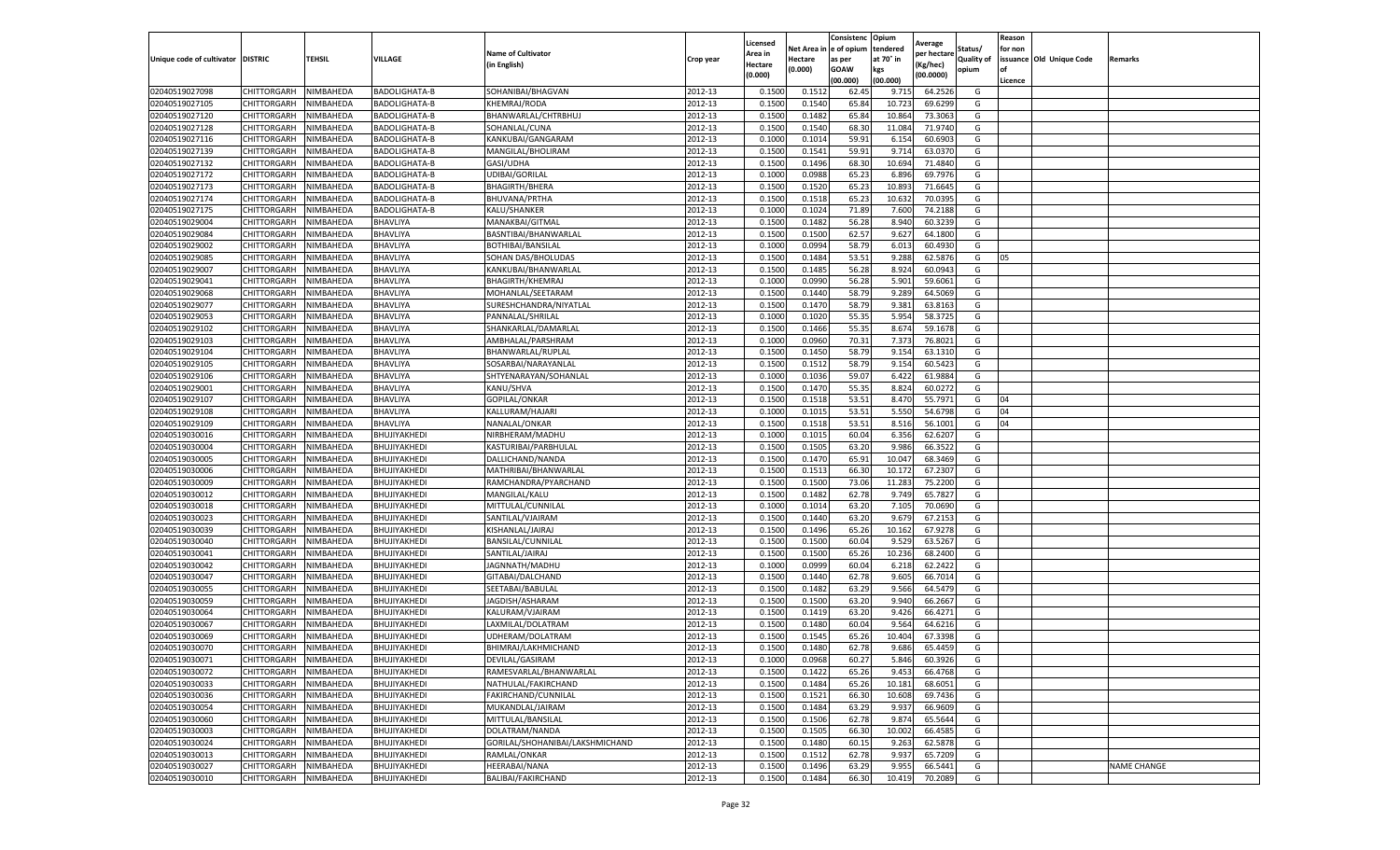| tendered<br>Net Area in e of opium<br>Status/<br>for non<br><b>Name of Cultivator</b><br>Area in<br>per hectare<br>at 70° in<br>issuance Old Unique Code<br>Unique code of cultivator DISTRIC<br>TEHSIL<br>VILLAGE<br><b>Quality of</b><br>Crop year<br>Hectare<br>as per<br><b>Remarks</b><br>in English)<br>(Kg/hec<br>Hectare<br>(0.000)<br><b>GOAW</b><br>kgs<br>opium<br>(0.000)<br>(00.0000)<br>(00.000)<br>(00.000)<br>Licence<br>NIMBAHEDA<br><b>BADOLIGHATA-B</b><br>SOHANIBAI/BHAGVAN<br>2012-13<br>0.1500<br>0.1512<br>62.45<br>64.2526<br>02040519027098<br>CHITTORGARH<br>9.715<br>G<br>0.1500<br>0.1540<br>65.84<br>10.72<br>02040519027105<br>CHITTORGARH<br>NIMBAHEDA<br><b>BADOLIGHATA-B</b><br><b>KHEMRAJ/RODA</b><br>2012-13<br>69.6299<br>G<br>02040519027120<br>2012-13<br>0.1482<br>65.84<br>CHITTORGARH<br>NIMBAHEDA<br>BADOLIGHATA-B<br>BHANWARLAL/CHTRBHUJ<br>0.1500<br>10.864<br>73.3063<br>G<br>02040519027128<br>NIMBAHEDA<br>BADOLIGHATA-B<br>2012-13<br>0.1500<br>0.1540<br>68.30<br>11.084<br>71.9740<br>G<br>CHITTORGARH<br>SOHANLAL/CUNA<br>02040519027116<br>CHITTORGARH<br>NIMBAHEDA<br>KANKUBAI/GANGARAM<br>2012-13<br>0.1000<br>0.1014<br>59.91<br>6.154<br>60.6903<br>G<br>BADOLIGHATA-B<br>02040519027139<br>2012-13<br>0.1500<br>0.1541<br>59.91<br>9.71<br>63.0370<br>G<br>CHITTORGARH<br>NIMBAHEDA<br>BADOLIGHATA-B<br>MANGILAL/BHOLIRAM<br>02040519027132<br>CHITTORGARH<br>NIMBAHEDA<br>BADOLIGHATA-B<br>GASI/UDHA<br>2012-13<br>0.1500<br>0.1496<br>68.30<br>10.694<br>71.4840<br>G<br>02040519027172<br>UDIBAI/GORILAL<br>2012-13<br>0.1000<br>0.0988<br>65.23<br>6.896<br>69.7976<br>CHITTORGARH<br>NIMBAHEDA<br><b>BADOLIGHATA-B</b><br>G<br>65.23<br>02040519027173<br>2012-13<br>0.1500<br>0.1520<br>10.89<br>71.6645<br>G<br>CHITTORGARH<br>NIMBAHEDA<br>BADOLIGHATA-B<br><b>BHAGIRTH/BHERA</b><br>02040519027174<br>NIMBAHEDA<br>2012-13<br>0.1500<br>0.1518<br>65.23<br>10.632<br>70.0395<br>CHITTORGARH<br>BADOLIGHATA-B<br>BHUVANA/PRTHA<br>G<br>02040519027175<br>NIMBAHEDA<br>BADOLIGHATA-B<br>KALU/SHANKER<br>2012-13<br>0.1000<br>0.1024<br>71.89<br>7.600<br>74.2188<br>G<br>CHITTORGARH<br>0.1482<br>56.28<br>02040519029004<br>NIMBAHEDA<br>2012-13<br>0.1500<br>8.94<br>60.3239<br>G<br>CHITTORGARH<br>BHAVLIYA<br>MANAKBAI/GITMAL<br>02040519029084<br>CHITTORGARH<br>NIMBAHEDA<br>BHAVLIYA<br>2012-13<br>0.1500<br>0.1500<br>62.57<br>9.627<br>64.1800<br>G<br>BASNTIBAI/BHANWARLAL<br>BHAVLIYA<br>2012-13<br>0.1000<br>0.0994<br>58.79<br>6.013<br>60.4930<br>02040519029002<br>CHITTORGARH<br>NIMBAHEDA<br>BOTHIBAI/BANSILAL<br>G<br>53.51<br>2012-13<br>0.1500<br>9.288<br>62.5876<br>02040519029085<br>CHITTORGARH<br>NIMBAHEDA<br>BHAVLIYA<br>SOHAN DAS/BHOLUDAS<br>0.1484<br>G<br>05<br>2012-13<br>02040519029007<br>NIMBAHEDA<br>BHAVLIYA<br>0.1500<br>0.1485<br>56.28<br>8.924<br>60.0943<br>CHITTORGARH<br>KANKUBAI/BHANWARLAL<br>G<br>02040519029041<br>2012-13<br>0.1000<br>0.0990<br>56.28<br>5.901<br>CHITTORGARH<br>NIMBAHEDA<br>BHAVLIYA<br>BHAGIRTH/KHEMRAJ<br>59.6061<br>G<br>2012-13<br>58.79<br>02040519029068<br>BHAVLIYA<br>0.1500<br>0.1440<br>9.289<br>64.5069<br>G<br>CHITTORGARH<br>NIMBAHEDA<br>MOHANLAL/SEETARAM<br>2012-13<br>58.79<br>02040519029077<br>CHITTORGARH<br>NIMBAHEDA<br>BHAVLIYA<br>0.1500<br>0.1470<br>9.381<br>63.8163<br>G<br>SURESHCHANDRA/NIYATLAL<br>02040519029053<br>CHITTORGARH<br>NIMBAHEDA<br>BHAVLIYA<br>PANNALAL/SHRILAL<br>2012-13<br>0.1000<br>0.1020<br>55.35<br>5.954<br>58.3725<br>G<br>2012-13<br>0.1500<br>0.1466<br>55.35<br>8.674<br>59.1678<br>G<br>02040519029102<br>CHITTORGARH<br>NIMBAHEDA<br>BHAVLIYA<br>SHANKARLAL/DAMARLAL<br>02040519029103<br>2012-13<br>0.1000<br>0.0960<br>70.31<br>7.373<br>76.8021<br>G<br>CHITTORGARH<br>NIMBAHEDA<br>BHAVLIYA<br>AMBHALAL/PARSHRAM<br>02040519029104<br>CHITTORGARH<br>NIMBAHEDA<br>BHAVLIYA<br>2012-13<br>0.1500<br>0.1450<br>58.79<br>9.154<br>63.1310<br>G<br>BHANWARLAL/RUPLAL<br>58.79<br>02040519029105<br>NIMBAHEDA<br>2012-13<br>0.1500<br>0.1512<br>9.154<br>60.5423<br>G<br>CHITTORGARH<br>BHAVLIYA<br>SOSARBAI/NARAYANLAL<br>2012-13<br>59.07<br>02040519029106<br>CHITTORGARH<br>BHAVLIYA<br>0.1000<br>0.1036<br>6.422<br>61.9884<br>G<br>NIMBAHEDA<br>SHTYENARAYAN/SOHANLAL<br>02040519029001<br>CHITTORGARH<br>NIMBAHEDA<br>BHAVLIYA<br>KANU/SHVA<br>2012-13<br>0.1500<br>0.1470<br>55.35<br>8.824<br>60.0272<br>G<br>02040519029107<br>BHAVLIYA<br>2012-13<br>0.1500<br>0.1518<br>53.51<br>8.470<br>55.7971<br>CHITTORGARH<br>NIMBAHEDA<br>GOPILAL/ONKAR<br>G<br>04<br>2012-13<br>0.1000<br>53.51<br>5.550<br>54.6798<br>04<br>02040519029108<br>CHITTORGARH<br>NIMBAHEDA<br>BHAVLIYA<br>KALLURAM/HAJARI<br>0.1015<br>G<br>02040519029109<br>NIMBAHEDA<br>NANALAL/ONKAR<br>2012-13<br>0.1500<br>0.1518<br>53.51<br>8.516<br>56.1001<br>04<br>CHITTORGARH<br>BHAVLIYA<br>G<br>02040519030016<br>CHITTORGARH<br>NIMBAHEDA<br>BHUJIYAKHEDI<br>NIRBHERAM/MADHU<br>2012-13<br>0.1000<br>0.1015<br>60.04<br>6.356<br>62.6207<br>G<br>2012-13<br>0.1500<br>0.1505<br>63.20<br>9.986<br>66.3522<br>G<br>02040519030004<br>CHITTORGARH<br>NIMBAHEDA<br>BHUJIYAKHEDI<br>KASTURIBAI/PARBHULAL<br>02040519030005<br>CHITTORGARH<br>NIMBAHEDA<br>BHUJIYAKHEDI<br>DALLICHAND/NANDA<br>2012-13<br>0.1500<br>0.1470<br>65.91<br>10.047<br>68.3469<br>G<br>NIMBAHEDA<br>BHUJIYAKHEDI<br>2012-13<br>0.1500<br>0.1513<br>66.30<br>10.17<br>67.2307<br>02040519030006<br>CHITTORGARH<br>MATHRIBAI/BHANWARLAL<br>G<br>0.1500<br>73.06<br>02040519030009<br>CHITTORGARH<br>NIMBAHEDA<br>BHUJIYAKHEDI<br>RAMCHANDRA/PYARCHAND<br>2012-13<br>0.1500<br>11.283<br>75.2200<br>G<br>02040519030012<br>CHITTORGARH<br>NIMBAHEDA<br>BHUJIYAKHEDI<br>MANGILAL/KALU<br>2012-13<br>0.1500<br>0.1482<br>62.78<br>9.749<br>65.7827<br>G<br>NIMBAHEDA<br>BHUJIYAKHEDI<br>MITTULAL/CUNNILAL<br>2012-13<br>0.1000<br>0.1014<br>63.20<br>7.105<br>70.0690<br>02040519030018<br>CHITTORGARH<br>G<br>2012-13<br>63.20<br>0.1500<br>0.1440<br>9.679<br>67.2153<br>G<br>02040519030023<br>CHITTORGARH<br>NIMBAHEDA<br>BHUJIYAKHEDI<br>SANTILAL/VJAIRAM<br>65.26<br>02040519030039<br>CHITTORGARH<br>NIMBAHEDA<br>KISHANLAL/JAIRAJ<br>2012-13<br>0.1500<br>0.1496<br>10.162<br>67.9278<br>G<br>BHUJIYAKHEDI<br>BHUJIYAKHEDI<br>BANSILAL/CUNNILAL<br>2012-13<br>0.1500<br>0.1500<br>60.04<br>9.529<br>63.5267<br>02040519030040<br>CHITTORGARH<br>NIMBAHEDA<br>G<br>2012-13<br>0.1500<br>0.1500<br>65.26<br>10.236<br>68.2400<br>G<br>02040519030041<br>CHITTORGARH<br>NIMBAHEDA<br>BHUJIYAKHEDI<br>SANTILAL/JAIRAJ<br>2012-13<br>0.1000<br>0.0999<br>60.04<br>6.21<br>62.2422<br>G<br>02040519030042<br>CHITTORGARH<br>NIMBAHEDA<br>BHUJIYAKHEDI<br>JAGNNATH/MADHU<br>BHUJIYAKHEDI<br>2012-13<br>0.1500<br>0.1440<br>62.78<br>02040519030047<br>CHITTORGARH<br>NIMBAHEDA<br>GITABAI/DALCHAND<br>9.605<br>66.7014<br>G<br>63.29<br>2012-13<br>0.1500<br>0.1482<br>9.566<br>64.5479<br>G<br>02040519030055<br>CHITTORGARH<br>NIMBAHEDA<br>BHUJIYAKHEDI<br>SEETABAI/BABULAL<br>02040519030059<br>JAGDISH/ASHARAM<br>2012-13<br>0.1500<br>0.1500<br>63.20<br>9.94<br>66.2667<br>G<br>CHITTORGARH<br>NIMBAHEDA<br>BHUJIYAKHEDI<br>02040519030064<br>CHITTORGARH<br>NIMBAHEDA<br>BHUJIYAKHEDI<br>KALURAM/VJAIRAM<br>2012-13<br>0.1500<br>0.1419<br>63.20<br>9.426<br>66.4271<br>G<br>60.04<br>9.564<br>02040519030067<br>CHITTORGARH<br>NIMBAHEDA<br>BHUJIYAKHEDI<br>LAXMILAL/DOLATRAM<br>2012-13<br>0.1500<br>0.1480<br>64.6216<br>G<br>NIMBAHEDA<br>2012-13<br>0.1500<br>0.1545<br>65.26<br>10.404<br>67.3398<br>G<br>02040519030069<br>CHITTORGARH<br>BHUJIYAKHEDI<br>UDHERAM/DOLATRAM<br>CHITTORGARH<br>NIMBAHEDA<br>BHUJIYAKHEDI<br>BHIMRAJ/LAKHMICHAND<br>2012-13<br>0.1500<br>0.1480<br>62.78<br>9.686<br>65.4459<br>G<br>2012-13<br>CHITTORGARH<br>NIMBAHEDA<br>BHUJIYAKHEDI<br>DEVILAL/GASIRAM<br>0.1000<br>0.0968<br>60.27<br>5.846<br>60.3926<br>G<br>2012-13<br>0.1500<br>0.1422<br>65.26<br>CHITTORGARH<br>NIMBAHEDA<br>BHUJIYAKHEDI<br>RAMESVARLAL/BHANWARLAL<br>9.453<br>66.4768<br>G<br>2012-13<br>CHITTORGARH<br>NIMBAHEDA<br>BHUJIYAKHEDI<br>NATHULAL/FAKIRCHAND<br>0.1500<br>0.1484<br>65.26<br>10.181<br>68.6051<br>G<br>CHITTORGARH<br>NIMBAHEDA<br>BHUJIYAKHEDI<br>FAKIRCHAND/CUNNILAL<br>2012-13<br>0.1500<br>0.1521<br>66.30<br>10.608<br>69.7436<br>G<br>NIMBAHEDA<br>BHUJIYAKHEDI<br>MUKANDLAL/JAIRAM<br>2012-13<br>0.1500<br>0.1484<br>63.29<br>9.937<br>66.9609<br>G<br>CHITTORGARH<br>2012-13<br>0.1506<br><b>CHITTORGARH</b><br>NIMBAHEDA<br>BHUJIYAKHEDI<br>MITTULAL/BANSILAL<br>0.1500<br>62.78<br>9.874<br>65.5644<br>G<br>02040519030003<br>CHITTORGARH<br>NIMBAHEDA<br>BHUJIYAKHEDI<br>DOLATRAM/NANDA<br>2012-13<br>0.1500<br>0.1505<br>66.30<br>10.002<br>66.4585<br>G<br>2012-13<br>62.5878<br>02040519030024<br>CHITTORGARH<br>NIMBAHEDA<br>GORILAL/SHOHANIBAI/LAKSHMICHAND<br>0.1500<br>0.1480<br>60.15<br>9.263<br>G<br>BHUJIYAKHEDI<br>02040519030013<br>CHITTORGARH<br>NIMBAHEDA<br>BHUJIYAKHEDI<br>RAMLAL/ONKAR<br>2012-13<br>0.1500<br>0.1512<br>62.78<br>9.937<br>65.7209<br>G<br>02040519030027<br>CHITTORGARH<br>NIMBAHEDA<br>BHUJIYAKHEDI<br>HEERABAI/NANA<br>2012-13<br>0.1500<br>0.1496<br>63.29<br>9.955<br>66.5441<br><b>NAME CHANGE</b><br>G |                |                    |           |              |                    |         | Licensed |        | Consistenc | Opium  | Average |   | Reason |  |
|-------------------------------------------------------------------------------------------------------------------------------------------------------------------------------------------------------------------------------------------------------------------------------------------------------------------------------------------------------------------------------------------------------------------------------------------------------------------------------------------------------------------------------------------------------------------------------------------------------------------------------------------------------------------------------------------------------------------------------------------------------------------------------------------------------------------------------------------------------------------------------------------------------------------------------------------------------------------------------------------------------------------------------------------------------------------------------------------------------------------------------------------------------------------------------------------------------------------------------------------------------------------------------------------------------------------------------------------------------------------------------------------------------------------------------------------------------------------------------------------------------------------------------------------------------------------------------------------------------------------------------------------------------------------------------------------------------------------------------------------------------------------------------------------------------------------------------------------------------------------------------------------------------------------------------------------------------------------------------------------------------------------------------------------------------------------------------------------------------------------------------------------------------------------------------------------------------------------------------------------------------------------------------------------------------------------------------------------------------------------------------------------------------------------------------------------------------------------------------------------------------------------------------------------------------------------------------------------------------------------------------------------------------------------------------------------------------------------------------------------------------------------------------------------------------------------------------------------------------------------------------------------------------------------------------------------------------------------------------------------------------------------------------------------------------------------------------------------------------------------------------------------------------------------------------------------------------------------------------------------------------------------------------------------------------------------------------------------------------------------------------------------------------------------------------------------------------------------------------------------------------------------------------------------------------------------------------------------------------------------------------------------------------------------------------------------------------------------------------------------------------------------------------------------------------------------------------------------------------------------------------------------------------------------------------------------------------------------------------------------------------------------------------------------------------------------------------------------------------------------------------------------------------------------------------------------------------------------------------------------------------------------------------------------------------------------------------------------------------------------------------------------------------------------------------------------------------------------------------------------------------------------------------------------------------------------------------------------------------------------------------------------------------------------------------------------------------------------------------------------------------------------------------------------------------------------------------------------------------------------------------------------------------------------------------------------------------------------------------------------------------------------------------------------------------------------------------------------------------------------------------------------------------------------------------------------------------------------------------------------------------------------------------------------------------------------------------------------------------------------------------------------------------------------------------------------------------------------------------------------------------------------------------------------------------------------------------------------------------------------------------------------------------------------------------------------------------------------------------------------------------------------------------------------------------------------------------------------------------------------------------------------------------------------------------------------------------------------------------------------------------------------------------------------------------------------------------------------------------------------------------------------------------------------------------------------------------------------------------------------------------------------------------------------------------------------------------------------------------------------------------------------------------------------------------------------------------------------------------------------------------------------------------------------------------------------------------------------------------------------------------------------------------------------------------------------------------------------------------------------------------------------------------------------------------------------------------------------------------------------------------------------------------------------------------------------------------------------------------------------------------------------------------------------------------------------------------------------------------------------------------------------------------------------------------------------------------------------------------------------------------------------------------------------------------------------------------------------------------------------------------------------------------------------------------------------------------------------------------------------------------------------------------------------------------------------------------------------------------------------------------------------------------------------------------------------------------------------------------------------------------------------------------------------------------------------------------------------------------------------------------------------------------------------------------------------------------------------------------------------------------------------------------------------------------------------------------------------------------------------------------------------------------------------------------------------------------------------------------------------------------------------------------------------------------------------------------------------------------------------------------------------------------------------------------------------------------------------------------------------------------------------------------------------------------------------------------------------------------------------------------------------------------------------------------------------------------------------------------------------------------------------------------------------------------------------------------------------------------------------------------------------------------------------------------------------------------------------------------------------------------------------------------------------------------------------------------------------------------------------------------------------------------------------------------------------------------------------------------------------------|----------------|--------------------|-----------|--------------|--------------------|---------|----------|--------|------------|--------|---------|---|--------|--|
|                                                                                                                                                                                                                                                                                                                                                                                                                                                                                                                                                                                                                                                                                                                                                                                                                                                                                                                                                                                                                                                                                                                                                                                                                                                                                                                                                                                                                                                                                                                                                                                                                                                                                                                                                                                                                                                                                                                                                                                                                                                                                                                                                                                                                                                                                                                                                                                                                                                                                                                                                                                                                                                                                                                                                                                                                                                                                                                                                                                                                                                                                                                                                                                                                                                                                                                                                                                                                                                                                                                                                                                                                                                                                                                                                                                                                                                                                                                                                                                                                                                                                                                                                                                                                                                                                                                                                                                                                                                                                                                                                                                                                                                                                                                                                                                                                                                                                                                                                                                                                                                                                                                                                                                                                                                                                                                                                                                                                                                                                                                                                                                                                                                                                                                                                                                                                                                                                                                                                                                                                                                                                                                                                                                                                                                                                                                                                                                                                                                                                                                                                                                                                                                                                                                                                                                                                                                                                                                                                                                                                                                                                                                                                                                                                                                                                                                                                                                                                                                                                                                                                                                                                                                                                                                                                                                                                                                                                                                                                                                                                                                                                                                                                                                                                                                                                                                                                                                                                                                                                                                                                                                                                                                                                                                                                                                                                                                                                                                                                                                                                                                                                                                                                                                                                                                 |                |                    |           |              |                    |         |          |        |            |        |         |   |        |  |
|                                                                                                                                                                                                                                                                                                                                                                                                                                                                                                                                                                                                                                                                                                                                                                                                                                                                                                                                                                                                                                                                                                                                                                                                                                                                                                                                                                                                                                                                                                                                                                                                                                                                                                                                                                                                                                                                                                                                                                                                                                                                                                                                                                                                                                                                                                                                                                                                                                                                                                                                                                                                                                                                                                                                                                                                                                                                                                                                                                                                                                                                                                                                                                                                                                                                                                                                                                                                                                                                                                                                                                                                                                                                                                                                                                                                                                                                                                                                                                                                                                                                                                                                                                                                                                                                                                                                                                                                                                                                                                                                                                                                                                                                                                                                                                                                                                                                                                                                                                                                                                                                                                                                                                                                                                                                                                                                                                                                                                                                                                                                                                                                                                                                                                                                                                                                                                                                                                                                                                                                                                                                                                                                                                                                                                                                                                                                                                                                                                                                                                                                                                                                                                                                                                                                                                                                                                                                                                                                                                                                                                                                                                                                                                                                                                                                                                                                                                                                                                                                                                                                                                                                                                                                                                                                                                                                                                                                                                                                                                                                                                                                                                                                                                                                                                                                                                                                                                                                                                                                                                                                                                                                                                                                                                                                                                                                                                                                                                                                                                                                                                                                                                                                                                                                                                                 |                |                    |           |              |                    |         |          |        |            |        |         |   |        |  |
|                                                                                                                                                                                                                                                                                                                                                                                                                                                                                                                                                                                                                                                                                                                                                                                                                                                                                                                                                                                                                                                                                                                                                                                                                                                                                                                                                                                                                                                                                                                                                                                                                                                                                                                                                                                                                                                                                                                                                                                                                                                                                                                                                                                                                                                                                                                                                                                                                                                                                                                                                                                                                                                                                                                                                                                                                                                                                                                                                                                                                                                                                                                                                                                                                                                                                                                                                                                                                                                                                                                                                                                                                                                                                                                                                                                                                                                                                                                                                                                                                                                                                                                                                                                                                                                                                                                                                                                                                                                                                                                                                                                                                                                                                                                                                                                                                                                                                                                                                                                                                                                                                                                                                                                                                                                                                                                                                                                                                                                                                                                                                                                                                                                                                                                                                                                                                                                                                                                                                                                                                                                                                                                                                                                                                                                                                                                                                                                                                                                                                                                                                                                                                                                                                                                                                                                                                                                                                                                                                                                                                                                                                                                                                                                                                                                                                                                                                                                                                                                                                                                                                                                                                                                                                                                                                                                                                                                                                                                                                                                                                                                                                                                                                                                                                                                                                                                                                                                                                                                                                                                                                                                                                                                                                                                                                                                                                                                                                                                                                                                                                                                                                                                                                                                                                                                 |                |                    |           |              |                    |         |          |        |            |        |         |   |        |  |
|                                                                                                                                                                                                                                                                                                                                                                                                                                                                                                                                                                                                                                                                                                                                                                                                                                                                                                                                                                                                                                                                                                                                                                                                                                                                                                                                                                                                                                                                                                                                                                                                                                                                                                                                                                                                                                                                                                                                                                                                                                                                                                                                                                                                                                                                                                                                                                                                                                                                                                                                                                                                                                                                                                                                                                                                                                                                                                                                                                                                                                                                                                                                                                                                                                                                                                                                                                                                                                                                                                                                                                                                                                                                                                                                                                                                                                                                                                                                                                                                                                                                                                                                                                                                                                                                                                                                                                                                                                                                                                                                                                                                                                                                                                                                                                                                                                                                                                                                                                                                                                                                                                                                                                                                                                                                                                                                                                                                                                                                                                                                                                                                                                                                                                                                                                                                                                                                                                                                                                                                                                                                                                                                                                                                                                                                                                                                                                                                                                                                                                                                                                                                                                                                                                                                                                                                                                                                                                                                                                                                                                                                                                                                                                                                                                                                                                                                                                                                                                                                                                                                                                                                                                                                                                                                                                                                                                                                                                                                                                                                                                                                                                                                                                                                                                                                                                                                                                                                                                                                                                                                                                                                                                                                                                                                                                                                                                                                                                                                                                                                                                                                                                                                                                                                                                                 |                |                    |           |              |                    |         |          |        |            |        |         |   |        |  |
|                                                                                                                                                                                                                                                                                                                                                                                                                                                                                                                                                                                                                                                                                                                                                                                                                                                                                                                                                                                                                                                                                                                                                                                                                                                                                                                                                                                                                                                                                                                                                                                                                                                                                                                                                                                                                                                                                                                                                                                                                                                                                                                                                                                                                                                                                                                                                                                                                                                                                                                                                                                                                                                                                                                                                                                                                                                                                                                                                                                                                                                                                                                                                                                                                                                                                                                                                                                                                                                                                                                                                                                                                                                                                                                                                                                                                                                                                                                                                                                                                                                                                                                                                                                                                                                                                                                                                                                                                                                                                                                                                                                                                                                                                                                                                                                                                                                                                                                                                                                                                                                                                                                                                                                                                                                                                                                                                                                                                                                                                                                                                                                                                                                                                                                                                                                                                                                                                                                                                                                                                                                                                                                                                                                                                                                                                                                                                                                                                                                                                                                                                                                                                                                                                                                                                                                                                                                                                                                                                                                                                                                                                                                                                                                                                                                                                                                                                                                                                                                                                                                                                                                                                                                                                                                                                                                                                                                                                                                                                                                                                                                                                                                                                                                                                                                                                                                                                                                                                                                                                                                                                                                                                                                                                                                                                                                                                                                                                                                                                                                                                                                                                                                                                                                                                                                 |                |                    |           |              |                    |         |          |        |            |        |         |   |        |  |
|                                                                                                                                                                                                                                                                                                                                                                                                                                                                                                                                                                                                                                                                                                                                                                                                                                                                                                                                                                                                                                                                                                                                                                                                                                                                                                                                                                                                                                                                                                                                                                                                                                                                                                                                                                                                                                                                                                                                                                                                                                                                                                                                                                                                                                                                                                                                                                                                                                                                                                                                                                                                                                                                                                                                                                                                                                                                                                                                                                                                                                                                                                                                                                                                                                                                                                                                                                                                                                                                                                                                                                                                                                                                                                                                                                                                                                                                                                                                                                                                                                                                                                                                                                                                                                                                                                                                                                                                                                                                                                                                                                                                                                                                                                                                                                                                                                                                                                                                                                                                                                                                                                                                                                                                                                                                                                                                                                                                                                                                                                                                                                                                                                                                                                                                                                                                                                                                                                                                                                                                                                                                                                                                                                                                                                                                                                                                                                                                                                                                                                                                                                                                                                                                                                                                                                                                                                                                                                                                                                                                                                                                                                                                                                                                                                                                                                                                                                                                                                                                                                                                                                                                                                                                                                                                                                                                                                                                                                                                                                                                                                                                                                                                                                                                                                                                                                                                                                                                                                                                                                                                                                                                                                                                                                                                                                                                                                                                                                                                                                                                                                                                                                                                                                                                                                                 |                |                    |           |              |                    |         |          |        |            |        |         |   |        |  |
|                                                                                                                                                                                                                                                                                                                                                                                                                                                                                                                                                                                                                                                                                                                                                                                                                                                                                                                                                                                                                                                                                                                                                                                                                                                                                                                                                                                                                                                                                                                                                                                                                                                                                                                                                                                                                                                                                                                                                                                                                                                                                                                                                                                                                                                                                                                                                                                                                                                                                                                                                                                                                                                                                                                                                                                                                                                                                                                                                                                                                                                                                                                                                                                                                                                                                                                                                                                                                                                                                                                                                                                                                                                                                                                                                                                                                                                                                                                                                                                                                                                                                                                                                                                                                                                                                                                                                                                                                                                                                                                                                                                                                                                                                                                                                                                                                                                                                                                                                                                                                                                                                                                                                                                                                                                                                                                                                                                                                                                                                                                                                                                                                                                                                                                                                                                                                                                                                                                                                                                                                                                                                                                                                                                                                                                                                                                                                                                                                                                                                                                                                                                                                                                                                                                                                                                                                                                                                                                                                                                                                                                                                                                                                                                                                                                                                                                                                                                                                                                                                                                                                                                                                                                                                                                                                                                                                                                                                                                                                                                                                                                                                                                                                                                                                                                                                                                                                                                                                                                                                                                                                                                                                                                                                                                                                                                                                                                                                                                                                                                                                                                                                                                                                                                                                                                 |                |                    |           |              |                    |         |          |        |            |        |         |   |        |  |
|                                                                                                                                                                                                                                                                                                                                                                                                                                                                                                                                                                                                                                                                                                                                                                                                                                                                                                                                                                                                                                                                                                                                                                                                                                                                                                                                                                                                                                                                                                                                                                                                                                                                                                                                                                                                                                                                                                                                                                                                                                                                                                                                                                                                                                                                                                                                                                                                                                                                                                                                                                                                                                                                                                                                                                                                                                                                                                                                                                                                                                                                                                                                                                                                                                                                                                                                                                                                                                                                                                                                                                                                                                                                                                                                                                                                                                                                                                                                                                                                                                                                                                                                                                                                                                                                                                                                                                                                                                                                                                                                                                                                                                                                                                                                                                                                                                                                                                                                                                                                                                                                                                                                                                                                                                                                                                                                                                                                                                                                                                                                                                                                                                                                                                                                                                                                                                                                                                                                                                                                                                                                                                                                                                                                                                                                                                                                                                                                                                                                                                                                                                                                                                                                                                                                                                                                                                                                                                                                                                                                                                                                                                                                                                                                                                                                                                                                                                                                                                                                                                                                                                                                                                                                                                                                                                                                                                                                                                                                                                                                                                                                                                                                                                                                                                                                                                                                                                                                                                                                                                                                                                                                                                                                                                                                                                                                                                                                                                                                                                                                                                                                                                                                                                                                                                                 |                |                    |           |              |                    |         |          |        |            |        |         |   |        |  |
|                                                                                                                                                                                                                                                                                                                                                                                                                                                                                                                                                                                                                                                                                                                                                                                                                                                                                                                                                                                                                                                                                                                                                                                                                                                                                                                                                                                                                                                                                                                                                                                                                                                                                                                                                                                                                                                                                                                                                                                                                                                                                                                                                                                                                                                                                                                                                                                                                                                                                                                                                                                                                                                                                                                                                                                                                                                                                                                                                                                                                                                                                                                                                                                                                                                                                                                                                                                                                                                                                                                                                                                                                                                                                                                                                                                                                                                                                                                                                                                                                                                                                                                                                                                                                                                                                                                                                                                                                                                                                                                                                                                                                                                                                                                                                                                                                                                                                                                                                                                                                                                                                                                                                                                                                                                                                                                                                                                                                                                                                                                                                                                                                                                                                                                                                                                                                                                                                                                                                                                                                                                                                                                                                                                                                                                                                                                                                                                                                                                                                                                                                                                                                                                                                                                                                                                                                                                                                                                                                                                                                                                                                                                                                                                                                                                                                                                                                                                                                                                                                                                                                                                                                                                                                                                                                                                                                                                                                                                                                                                                                                                                                                                                                                                                                                                                                                                                                                                                                                                                                                                                                                                                                                                                                                                                                                                                                                                                                                                                                                                                                                                                                                                                                                                                                                                 |                |                    |           |              |                    |         |          |        |            |        |         |   |        |  |
|                                                                                                                                                                                                                                                                                                                                                                                                                                                                                                                                                                                                                                                                                                                                                                                                                                                                                                                                                                                                                                                                                                                                                                                                                                                                                                                                                                                                                                                                                                                                                                                                                                                                                                                                                                                                                                                                                                                                                                                                                                                                                                                                                                                                                                                                                                                                                                                                                                                                                                                                                                                                                                                                                                                                                                                                                                                                                                                                                                                                                                                                                                                                                                                                                                                                                                                                                                                                                                                                                                                                                                                                                                                                                                                                                                                                                                                                                                                                                                                                                                                                                                                                                                                                                                                                                                                                                                                                                                                                                                                                                                                                                                                                                                                                                                                                                                                                                                                                                                                                                                                                                                                                                                                                                                                                                                                                                                                                                                                                                                                                                                                                                                                                                                                                                                                                                                                                                                                                                                                                                                                                                                                                                                                                                                                                                                                                                                                                                                                                                                                                                                                                                                                                                                                                                                                                                                                                                                                                                                                                                                                                                                                                                                                                                                                                                                                                                                                                                                                                                                                                                                                                                                                                                                                                                                                                                                                                                                                                                                                                                                                                                                                                                                                                                                                                                                                                                                                                                                                                                                                                                                                                                                                                                                                                                                                                                                                                                                                                                                                                                                                                                                                                                                                                                                                 |                |                    |           |              |                    |         |          |        |            |        |         |   |        |  |
|                                                                                                                                                                                                                                                                                                                                                                                                                                                                                                                                                                                                                                                                                                                                                                                                                                                                                                                                                                                                                                                                                                                                                                                                                                                                                                                                                                                                                                                                                                                                                                                                                                                                                                                                                                                                                                                                                                                                                                                                                                                                                                                                                                                                                                                                                                                                                                                                                                                                                                                                                                                                                                                                                                                                                                                                                                                                                                                                                                                                                                                                                                                                                                                                                                                                                                                                                                                                                                                                                                                                                                                                                                                                                                                                                                                                                                                                                                                                                                                                                                                                                                                                                                                                                                                                                                                                                                                                                                                                                                                                                                                                                                                                                                                                                                                                                                                                                                                                                                                                                                                                                                                                                                                                                                                                                                                                                                                                                                                                                                                                                                                                                                                                                                                                                                                                                                                                                                                                                                                                                                                                                                                                                                                                                                                                                                                                                                                                                                                                                                                                                                                                                                                                                                                                                                                                                                                                                                                                                                                                                                                                                                                                                                                                                                                                                                                                                                                                                                                                                                                                                                                                                                                                                                                                                                                                                                                                                                                                                                                                                                                                                                                                                                                                                                                                                                                                                                                                                                                                                                                                                                                                                                                                                                                                                                                                                                                                                                                                                                                                                                                                                                                                                                                                                                                 |                |                    |           |              |                    |         |          |        |            |        |         |   |        |  |
|                                                                                                                                                                                                                                                                                                                                                                                                                                                                                                                                                                                                                                                                                                                                                                                                                                                                                                                                                                                                                                                                                                                                                                                                                                                                                                                                                                                                                                                                                                                                                                                                                                                                                                                                                                                                                                                                                                                                                                                                                                                                                                                                                                                                                                                                                                                                                                                                                                                                                                                                                                                                                                                                                                                                                                                                                                                                                                                                                                                                                                                                                                                                                                                                                                                                                                                                                                                                                                                                                                                                                                                                                                                                                                                                                                                                                                                                                                                                                                                                                                                                                                                                                                                                                                                                                                                                                                                                                                                                                                                                                                                                                                                                                                                                                                                                                                                                                                                                                                                                                                                                                                                                                                                                                                                                                                                                                                                                                                                                                                                                                                                                                                                                                                                                                                                                                                                                                                                                                                                                                                                                                                                                                                                                                                                                                                                                                                                                                                                                                                                                                                                                                                                                                                                                                                                                                                                                                                                                                                                                                                                                                                                                                                                                                                                                                                                                                                                                                                                                                                                                                                                                                                                                                                                                                                                                                                                                                                                                                                                                                                                                                                                                                                                                                                                                                                                                                                                                                                                                                                                                                                                                                                                                                                                                                                                                                                                                                                                                                                                                                                                                                                                                                                                                                                                 |                |                    |           |              |                    |         |          |        |            |        |         |   |        |  |
|                                                                                                                                                                                                                                                                                                                                                                                                                                                                                                                                                                                                                                                                                                                                                                                                                                                                                                                                                                                                                                                                                                                                                                                                                                                                                                                                                                                                                                                                                                                                                                                                                                                                                                                                                                                                                                                                                                                                                                                                                                                                                                                                                                                                                                                                                                                                                                                                                                                                                                                                                                                                                                                                                                                                                                                                                                                                                                                                                                                                                                                                                                                                                                                                                                                                                                                                                                                                                                                                                                                                                                                                                                                                                                                                                                                                                                                                                                                                                                                                                                                                                                                                                                                                                                                                                                                                                                                                                                                                                                                                                                                                                                                                                                                                                                                                                                                                                                                                                                                                                                                                                                                                                                                                                                                                                                                                                                                                                                                                                                                                                                                                                                                                                                                                                                                                                                                                                                                                                                                                                                                                                                                                                                                                                                                                                                                                                                                                                                                                                                                                                                                                                                                                                                                                                                                                                                                                                                                                                                                                                                                                                                                                                                                                                                                                                                                                                                                                                                                                                                                                                                                                                                                                                                                                                                                                                                                                                                                                                                                                                                                                                                                                                                                                                                                                                                                                                                                                                                                                                                                                                                                                                                                                                                                                                                                                                                                                                                                                                                                                                                                                                                                                                                                                                                                 |                |                    |           |              |                    |         |          |        |            |        |         |   |        |  |
|                                                                                                                                                                                                                                                                                                                                                                                                                                                                                                                                                                                                                                                                                                                                                                                                                                                                                                                                                                                                                                                                                                                                                                                                                                                                                                                                                                                                                                                                                                                                                                                                                                                                                                                                                                                                                                                                                                                                                                                                                                                                                                                                                                                                                                                                                                                                                                                                                                                                                                                                                                                                                                                                                                                                                                                                                                                                                                                                                                                                                                                                                                                                                                                                                                                                                                                                                                                                                                                                                                                                                                                                                                                                                                                                                                                                                                                                                                                                                                                                                                                                                                                                                                                                                                                                                                                                                                                                                                                                                                                                                                                                                                                                                                                                                                                                                                                                                                                                                                                                                                                                                                                                                                                                                                                                                                                                                                                                                                                                                                                                                                                                                                                                                                                                                                                                                                                                                                                                                                                                                                                                                                                                                                                                                                                                                                                                                                                                                                                                                                                                                                                                                                                                                                                                                                                                                                                                                                                                                                                                                                                                                                                                                                                                                                                                                                                                                                                                                                                                                                                                                                                                                                                                                                                                                                                                                                                                                                                                                                                                                                                                                                                                                                                                                                                                                                                                                                                                                                                                                                                                                                                                                                                                                                                                                                                                                                                                                                                                                                                                                                                                                                                                                                                                                                                 |                |                    |           |              |                    |         |          |        |            |        |         |   |        |  |
|                                                                                                                                                                                                                                                                                                                                                                                                                                                                                                                                                                                                                                                                                                                                                                                                                                                                                                                                                                                                                                                                                                                                                                                                                                                                                                                                                                                                                                                                                                                                                                                                                                                                                                                                                                                                                                                                                                                                                                                                                                                                                                                                                                                                                                                                                                                                                                                                                                                                                                                                                                                                                                                                                                                                                                                                                                                                                                                                                                                                                                                                                                                                                                                                                                                                                                                                                                                                                                                                                                                                                                                                                                                                                                                                                                                                                                                                                                                                                                                                                                                                                                                                                                                                                                                                                                                                                                                                                                                                                                                                                                                                                                                                                                                                                                                                                                                                                                                                                                                                                                                                                                                                                                                                                                                                                                                                                                                                                                                                                                                                                                                                                                                                                                                                                                                                                                                                                                                                                                                                                                                                                                                                                                                                                                                                                                                                                                                                                                                                                                                                                                                                                                                                                                                                                                                                                                                                                                                                                                                                                                                                                                                                                                                                                                                                                                                                                                                                                                                                                                                                                                                                                                                                                                                                                                                                                                                                                                                                                                                                                                                                                                                                                                                                                                                                                                                                                                                                                                                                                                                                                                                                                                                                                                                                                                                                                                                                                                                                                                                                                                                                                                                                                                                                                                                 |                |                    |           |              |                    |         |          |        |            |        |         |   |        |  |
|                                                                                                                                                                                                                                                                                                                                                                                                                                                                                                                                                                                                                                                                                                                                                                                                                                                                                                                                                                                                                                                                                                                                                                                                                                                                                                                                                                                                                                                                                                                                                                                                                                                                                                                                                                                                                                                                                                                                                                                                                                                                                                                                                                                                                                                                                                                                                                                                                                                                                                                                                                                                                                                                                                                                                                                                                                                                                                                                                                                                                                                                                                                                                                                                                                                                                                                                                                                                                                                                                                                                                                                                                                                                                                                                                                                                                                                                                                                                                                                                                                                                                                                                                                                                                                                                                                                                                                                                                                                                                                                                                                                                                                                                                                                                                                                                                                                                                                                                                                                                                                                                                                                                                                                                                                                                                                                                                                                                                                                                                                                                                                                                                                                                                                                                                                                                                                                                                                                                                                                                                                                                                                                                                                                                                                                                                                                                                                                                                                                                                                                                                                                                                                                                                                                                                                                                                                                                                                                                                                                                                                                                                                                                                                                                                                                                                                                                                                                                                                                                                                                                                                                                                                                                                                                                                                                                                                                                                                                                                                                                                                                                                                                                                                                                                                                                                                                                                                                                                                                                                                                                                                                                                                                                                                                                                                                                                                                                                                                                                                                                                                                                                                                                                                                                                                                 |                |                    |           |              |                    |         |          |        |            |        |         |   |        |  |
|                                                                                                                                                                                                                                                                                                                                                                                                                                                                                                                                                                                                                                                                                                                                                                                                                                                                                                                                                                                                                                                                                                                                                                                                                                                                                                                                                                                                                                                                                                                                                                                                                                                                                                                                                                                                                                                                                                                                                                                                                                                                                                                                                                                                                                                                                                                                                                                                                                                                                                                                                                                                                                                                                                                                                                                                                                                                                                                                                                                                                                                                                                                                                                                                                                                                                                                                                                                                                                                                                                                                                                                                                                                                                                                                                                                                                                                                                                                                                                                                                                                                                                                                                                                                                                                                                                                                                                                                                                                                                                                                                                                                                                                                                                                                                                                                                                                                                                                                                                                                                                                                                                                                                                                                                                                                                                                                                                                                                                                                                                                                                                                                                                                                                                                                                                                                                                                                                                                                                                                                                                                                                                                                                                                                                                                                                                                                                                                                                                                                                                                                                                                                                                                                                                                                                                                                                                                                                                                                                                                                                                                                                                                                                                                                                                                                                                                                                                                                                                                                                                                                                                                                                                                                                                                                                                                                                                                                                                                                                                                                                                                                                                                                                                                                                                                                                                                                                                                                                                                                                                                                                                                                                                                                                                                                                                                                                                                                                                                                                                                                                                                                                                                                                                                                                                                 |                |                    |           |              |                    |         |          |        |            |        |         |   |        |  |
|                                                                                                                                                                                                                                                                                                                                                                                                                                                                                                                                                                                                                                                                                                                                                                                                                                                                                                                                                                                                                                                                                                                                                                                                                                                                                                                                                                                                                                                                                                                                                                                                                                                                                                                                                                                                                                                                                                                                                                                                                                                                                                                                                                                                                                                                                                                                                                                                                                                                                                                                                                                                                                                                                                                                                                                                                                                                                                                                                                                                                                                                                                                                                                                                                                                                                                                                                                                                                                                                                                                                                                                                                                                                                                                                                                                                                                                                                                                                                                                                                                                                                                                                                                                                                                                                                                                                                                                                                                                                                                                                                                                                                                                                                                                                                                                                                                                                                                                                                                                                                                                                                                                                                                                                                                                                                                                                                                                                                                                                                                                                                                                                                                                                                                                                                                                                                                                                                                                                                                                                                                                                                                                                                                                                                                                                                                                                                                                                                                                                                                                                                                                                                                                                                                                                                                                                                                                                                                                                                                                                                                                                                                                                                                                                                                                                                                                                                                                                                                                                                                                                                                                                                                                                                                                                                                                                                                                                                                                                                                                                                                                                                                                                                                                                                                                                                                                                                                                                                                                                                                                                                                                                                                                                                                                                                                                                                                                                                                                                                                                                                                                                                                                                                                                                                                                 |                |                    |           |              |                    |         |          |        |            |        |         |   |        |  |
|                                                                                                                                                                                                                                                                                                                                                                                                                                                                                                                                                                                                                                                                                                                                                                                                                                                                                                                                                                                                                                                                                                                                                                                                                                                                                                                                                                                                                                                                                                                                                                                                                                                                                                                                                                                                                                                                                                                                                                                                                                                                                                                                                                                                                                                                                                                                                                                                                                                                                                                                                                                                                                                                                                                                                                                                                                                                                                                                                                                                                                                                                                                                                                                                                                                                                                                                                                                                                                                                                                                                                                                                                                                                                                                                                                                                                                                                                                                                                                                                                                                                                                                                                                                                                                                                                                                                                                                                                                                                                                                                                                                                                                                                                                                                                                                                                                                                                                                                                                                                                                                                                                                                                                                                                                                                                                                                                                                                                                                                                                                                                                                                                                                                                                                                                                                                                                                                                                                                                                                                                                                                                                                                                                                                                                                                                                                                                                                                                                                                                                                                                                                                                                                                                                                                                                                                                                                                                                                                                                                                                                                                                                                                                                                                                                                                                                                                                                                                                                                                                                                                                                                                                                                                                                                                                                                                                                                                                                                                                                                                                                                                                                                                                                                                                                                                                                                                                                                                                                                                                                                                                                                                                                                                                                                                                                                                                                                                                                                                                                                                                                                                                                                                                                                                                                                 |                |                    |           |              |                    |         |          |        |            |        |         |   |        |  |
|                                                                                                                                                                                                                                                                                                                                                                                                                                                                                                                                                                                                                                                                                                                                                                                                                                                                                                                                                                                                                                                                                                                                                                                                                                                                                                                                                                                                                                                                                                                                                                                                                                                                                                                                                                                                                                                                                                                                                                                                                                                                                                                                                                                                                                                                                                                                                                                                                                                                                                                                                                                                                                                                                                                                                                                                                                                                                                                                                                                                                                                                                                                                                                                                                                                                                                                                                                                                                                                                                                                                                                                                                                                                                                                                                                                                                                                                                                                                                                                                                                                                                                                                                                                                                                                                                                                                                                                                                                                                                                                                                                                                                                                                                                                                                                                                                                                                                                                                                                                                                                                                                                                                                                                                                                                                                                                                                                                                                                                                                                                                                                                                                                                                                                                                                                                                                                                                                                                                                                                                                                                                                                                                                                                                                                                                                                                                                                                                                                                                                                                                                                                                                                                                                                                                                                                                                                                                                                                                                                                                                                                                                                                                                                                                                                                                                                                                                                                                                                                                                                                                                                                                                                                                                                                                                                                                                                                                                                                                                                                                                                                                                                                                                                                                                                                                                                                                                                                                                                                                                                                                                                                                                                                                                                                                                                                                                                                                                                                                                                                                                                                                                                                                                                                                                                                 |                |                    |           |              |                    |         |          |        |            |        |         |   |        |  |
|                                                                                                                                                                                                                                                                                                                                                                                                                                                                                                                                                                                                                                                                                                                                                                                                                                                                                                                                                                                                                                                                                                                                                                                                                                                                                                                                                                                                                                                                                                                                                                                                                                                                                                                                                                                                                                                                                                                                                                                                                                                                                                                                                                                                                                                                                                                                                                                                                                                                                                                                                                                                                                                                                                                                                                                                                                                                                                                                                                                                                                                                                                                                                                                                                                                                                                                                                                                                                                                                                                                                                                                                                                                                                                                                                                                                                                                                                                                                                                                                                                                                                                                                                                                                                                                                                                                                                                                                                                                                                                                                                                                                                                                                                                                                                                                                                                                                                                                                                                                                                                                                                                                                                                                                                                                                                                                                                                                                                                                                                                                                                                                                                                                                                                                                                                                                                                                                                                                                                                                                                                                                                                                                                                                                                                                                                                                                                                                                                                                                                                                                                                                                                                                                                                                                                                                                                                                                                                                                                                                                                                                                                                                                                                                                                                                                                                                                                                                                                                                                                                                                                                                                                                                                                                                                                                                                                                                                                                                                                                                                                                                                                                                                                                                                                                                                                                                                                                                                                                                                                                                                                                                                                                                                                                                                                                                                                                                                                                                                                                                                                                                                                                                                                                                                                                                 |                |                    |           |              |                    |         |          |        |            |        |         |   |        |  |
|                                                                                                                                                                                                                                                                                                                                                                                                                                                                                                                                                                                                                                                                                                                                                                                                                                                                                                                                                                                                                                                                                                                                                                                                                                                                                                                                                                                                                                                                                                                                                                                                                                                                                                                                                                                                                                                                                                                                                                                                                                                                                                                                                                                                                                                                                                                                                                                                                                                                                                                                                                                                                                                                                                                                                                                                                                                                                                                                                                                                                                                                                                                                                                                                                                                                                                                                                                                                                                                                                                                                                                                                                                                                                                                                                                                                                                                                                                                                                                                                                                                                                                                                                                                                                                                                                                                                                                                                                                                                                                                                                                                                                                                                                                                                                                                                                                                                                                                                                                                                                                                                                                                                                                                                                                                                                                                                                                                                                                                                                                                                                                                                                                                                                                                                                                                                                                                                                                                                                                                                                                                                                                                                                                                                                                                                                                                                                                                                                                                                                                                                                                                                                                                                                                                                                                                                                                                                                                                                                                                                                                                                                                                                                                                                                                                                                                                                                                                                                                                                                                                                                                                                                                                                                                                                                                                                                                                                                                                                                                                                                                                                                                                                                                                                                                                                                                                                                                                                                                                                                                                                                                                                                                                                                                                                                                                                                                                                                                                                                                                                                                                                                                                                                                                                                                                 |                |                    |           |              |                    |         |          |        |            |        |         |   |        |  |
|                                                                                                                                                                                                                                                                                                                                                                                                                                                                                                                                                                                                                                                                                                                                                                                                                                                                                                                                                                                                                                                                                                                                                                                                                                                                                                                                                                                                                                                                                                                                                                                                                                                                                                                                                                                                                                                                                                                                                                                                                                                                                                                                                                                                                                                                                                                                                                                                                                                                                                                                                                                                                                                                                                                                                                                                                                                                                                                                                                                                                                                                                                                                                                                                                                                                                                                                                                                                                                                                                                                                                                                                                                                                                                                                                                                                                                                                                                                                                                                                                                                                                                                                                                                                                                                                                                                                                                                                                                                                                                                                                                                                                                                                                                                                                                                                                                                                                                                                                                                                                                                                                                                                                                                                                                                                                                                                                                                                                                                                                                                                                                                                                                                                                                                                                                                                                                                                                                                                                                                                                                                                                                                                                                                                                                                                                                                                                                                                                                                                                                                                                                                                                                                                                                                                                                                                                                                                                                                                                                                                                                                                                                                                                                                                                                                                                                                                                                                                                                                                                                                                                                                                                                                                                                                                                                                                                                                                                                                                                                                                                                                                                                                                                                                                                                                                                                                                                                                                                                                                                                                                                                                                                                                                                                                                                                                                                                                                                                                                                                                                                                                                                                                                                                                                                                                 |                |                    |           |              |                    |         |          |        |            |        |         |   |        |  |
|                                                                                                                                                                                                                                                                                                                                                                                                                                                                                                                                                                                                                                                                                                                                                                                                                                                                                                                                                                                                                                                                                                                                                                                                                                                                                                                                                                                                                                                                                                                                                                                                                                                                                                                                                                                                                                                                                                                                                                                                                                                                                                                                                                                                                                                                                                                                                                                                                                                                                                                                                                                                                                                                                                                                                                                                                                                                                                                                                                                                                                                                                                                                                                                                                                                                                                                                                                                                                                                                                                                                                                                                                                                                                                                                                                                                                                                                                                                                                                                                                                                                                                                                                                                                                                                                                                                                                                                                                                                                                                                                                                                                                                                                                                                                                                                                                                                                                                                                                                                                                                                                                                                                                                                                                                                                                                                                                                                                                                                                                                                                                                                                                                                                                                                                                                                                                                                                                                                                                                                                                                                                                                                                                                                                                                                                                                                                                                                                                                                                                                                                                                                                                                                                                                                                                                                                                                                                                                                                                                                                                                                                                                                                                                                                                                                                                                                                                                                                                                                                                                                                                                                                                                                                                                                                                                                                                                                                                                                                                                                                                                                                                                                                                                                                                                                                                                                                                                                                                                                                                                                                                                                                                                                                                                                                                                                                                                                                                                                                                                                                                                                                                                                                                                                                                                                 |                |                    |           |              |                    |         |          |        |            |        |         |   |        |  |
|                                                                                                                                                                                                                                                                                                                                                                                                                                                                                                                                                                                                                                                                                                                                                                                                                                                                                                                                                                                                                                                                                                                                                                                                                                                                                                                                                                                                                                                                                                                                                                                                                                                                                                                                                                                                                                                                                                                                                                                                                                                                                                                                                                                                                                                                                                                                                                                                                                                                                                                                                                                                                                                                                                                                                                                                                                                                                                                                                                                                                                                                                                                                                                                                                                                                                                                                                                                                                                                                                                                                                                                                                                                                                                                                                                                                                                                                                                                                                                                                                                                                                                                                                                                                                                                                                                                                                                                                                                                                                                                                                                                                                                                                                                                                                                                                                                                                                                                                                                                                                                                                                                                                                                                                                                                                                                                                                                                                                                                                                                                                                                                                                                                                                                                                                                                                                                                                                                                                                                                                                                                                                                                                                                                                                                                                                                                                                                                                                                                                                                                                                                                                                                                                                                                                                                                                                                                                                                                                                                                                                                                                                                                                                                                                                                                                                                                                                                                                                                                                                                                                                                                                                                                                                                                                                                                                                                                                                                                                                                                                                                                                                                                                                                                                                                                                                                                                                                                                                                                                                                                                                                                                                                                                                                                                                                                                                                                                                                                                                                                                                                                                                                                                                                                                                                                 |                |                    |           |              |                    |         |          |        |            |        |         |   |        |  |
|                                                                                                                                                                                                                                                                                                                                                                                                                                                                                                                                                                                                                                                                                                                                                                                                                                                                                                                                                                                                                                                                                                                                                                                                                                                                                                                                                                                                                                                                                                                                                                                                                                                                                                                                                                                                                                                                                                                                                                                                                                                                                                                                                                                                                                                                                                                                                                                                                                                                                                                                                                                                                                                                                                                                                                                                                                                                                                                                                                                                                                                                                                                                                                                                                                                                                                                                                                                                                                                                                                                                                                                                                                                                                                                                                                                                                                                                                                                                                                                                                                                                                                                                                                                                                                                                                                                                                                                                                                                                                                                                                                                                                                                                                                                                                                                                                                                                                                                                                                                                                                                                                                                                                                                                                                                                                                                                                                                                                                                                                                                                                                                                                                                                                                                                                                                                                                                                                                                                                                                                                                                                                                                                                                                                                                                                                                                                                                                                                                                                                                                                                                                                                                                                                                                                                                                                                                                                                                                                                                                                                                                                                                                                                                                                                                                                                                                                                                                                                                                                                                                                                                                                                                                                                                                                                                                                                                                                                                                                                                                                                                                                                                                                                                                                                                                                                                                                                                                                                                                                                                                                                                                                                                                                                                                                                                                                                                                                                                                                                                                                                                                                                                                                                                                                                                                 |                |                    |           |              |                    |         |          |        |            |        |         |   |        |  |
|                                                                                                                                                                                                                                                                                                                                                                                                                                                                                                                                                                                                                                                                                                                                                                                                                                                                                                                                                                                                                                                                                                                                                                                                                                                                                                                                                                                                                                                                                                                                                                                                                                                                                                                                                                                                                                                                                                                                                                                                                                                                                                                                                                                                                                                                                                                                                                                                                                                                                                                                                                                                                                                                                                                                                                                                                                                                                                                                                                                                                                                                                                                                                                                                                                                                                                                                                                                                                                                                                                                                                                                                                                                                                                                                                                                                                                                                                                                                                                                                                                                                                                                                                                                                                                                                                                                                                                                                                                                                                                                                                                                                                                                                                                                                                                                                                                                                                                                                                                                                                                                                                                                                                                                                                                                                                                                                                                                                                                                                                                                                                                                                                                                                                                                                                                                                                                                                                                                                                                                                                                                                                                                                                                                                                                                                                                                                                                                                                                                                                                                                                                                                                                                                                                                                                                                                                                                                                                                                                                                                                                                                                                                                                                                                                                                                                                                                                                                                                                                                                                                                                                                                                                                                                                                                                                                                                                                                                                                                                                                                                                                                                                                                                                                                                                                                                                                                                                                                                                                                                                                                                                                                                                                                                                                                                                                                                                                                                                                                                                                                                                                                                                                                                                                                                                                 |                |                    |           |              |                    |         |          |        |            |        |         |   |        |  |
|                                                                                                                                                                                                                                                                                                                                                                                                                                                                                                                                                                                                                                                                                                                                                                                                                                                                                                                                                                                                                                                                                                                                                                                                                                                                                                                                                                                                                                                                                                                                                                                                                                                                                                                                                                                                                                                                                                                                                                                                                                                                                                                                                                                                                                                                                                                                                                                                                                                                                                                                                                                                                                                                                                                                                                                                                                                                                                                                                                                                                                                                                                                                                                                                                                                                                                                                                                                                                                                                                                                                                                                                                                                                                                                                                                                                                                                                                                                                                                                                                                                                                                                                                                                                                                                                                                                                                                                                                                                                                                                                                                                                                                                                                                                                                                                                                                                                                                                                                                                                                                                                                                                                                                                                                                                                                                                                                                                                                                                                                                                                                                                                                                                                                                                                                                                                                                                                                                                                                                                                                                                                                                                                                                                                                                                                                                                                                                                                                                                                                                                                                                                                                                                                                                                                                                                                                                                                                                                                                                                                                                                                                                                                                                                                                                                                                                                                                                                                                                                                                                                                                                                                                                                                                                                                                                                                                                                                                                                                                                                                                                                                                                                                                                                                                                                                                                                                                                                                                                                                                                                                                                                                                                                                                                                                                                                                                                                                                                                                                                                                                                                                                                                                                                                                                                                 |                |                    |           |              |                    |         |          |        |            |        |         |   |        |  |
|                                                                                                                                                                                                                                                                                                                                                                                                                                                                                                                                                                                                                                                                                                                                                                                                                                                                                                                                                                                                                                                                                                                                                                                                                                                                                                                                                                                                                                                                                                                                                                                                                                                                                                                                                                                                                                                                                                                                                                                                                                                                                                                                                                                                                                                                                                                                                                                                                                                                                                                                                                                                                                                                                                                                                                                                                                                                                                                                                                                                                                                                                                                                                                                                                                                                                                                                                                                                                                                                                                                                                                                                                                                                                                                                                                                                                                                                                                                                                                                                                                                                                                                                                                                                                                                                                                                                                                                                                                                                                                                                                                                                                                                                                                                                                                                                                                                                                                                                                                                                                                                                                                                                                                                                                                                                                                                                                                                                                                                                                                                                                                                                                                                                                                                                                                                                                                                                                                                                                                                                                                                                                                                                                                                                                                                                                                                                                                                                                                                                                                                                                                                                                                                                                                                                                                                                                                                                                                                                                                                                                                                                                                                                                                                                                                                                                                                                                                                                                                                                                                                                                                                                                                                                                                                                                                                                                                                                                                                                                                                                                                                                                                                                                                                                                                                                                                                                                                                                                                                                                                                                                                                                                                                                                                                                                                                                                                                                                                                                                                                                                                                                                                                                                                                                                                                 |                |                    |           |              |                    |         |          |        |            |        |         |   |        |  |
|                                                                                                                                                                                                                                                                                                                                                                                                                                                                                                                                                                                                                                                                                                                                                                                                                                                                                                                                                                                                                                                                                                                                                                                                                                                                                                                                                                                                                                                                                                                                                                                                                                                                                                                                                                                                                                                                                                                                                                                                                                                                                                                                                                                                                                                                                                                                                                                                                                                                                                                                                                                                                                                                                                                                                                                                                                                                                                                                                                                                                                                                                                                                                                                                                                                                                                                                                                                                                                                                                                                                                                                                                                                                                                                                                                                                                                                                                                                                                                                                                                                                                                                                                                                                                                                                                                                                                                                                                                                                                                                                                                                                                                                                                                                                                                                                                                                                                                                                                                                                                                                                                                                                                                                                                                                                                                                                                                                                                                                                                                                                                                                                                                                                                                                                                                                                                                                                                                                                                                                                                                                                                                                                                                                                                                                                                                                                                                                                                                                                                                                                                                                                                                                                                                                                                                                                                                                                                                                                                                                                                                                                                                                                                                                                                                                                                                                                                                                                                                                                                                                                                                                                                                                                                                                                                                                                                                                                                                                                                                                                                                                                                                                                                                                                                                                                                                                                                                                                                                                                                                                                                                                                                                                                                                                                                                                                                                                                                                                                                                                                                                                                                                                                                                                                                                                 |                |                    |           |              |                    |         |          |        |            |        |         |   |        |  |
|                                                                                                                                                                                                                                                                                                                                                                                                                                                                                                                                                                                                                                                                                                                                                                                                                                                                                                                                                                                                                                                                                                                                                                                                                                                                                                                                                                                                                                                                                                                                                                                                                                                                                                                                                                                                                                                                                                                                                                                                                                                                                                                                                                                                                                                                                                                                                                                                                                                                                                                                                                                                                                                                                                                                                                                                                                                                                                                                                                                                                                                                                                                                                                                                                                                                                                                                                                                                                                                                                                                                                                                                                                                                                                                                                                                                                                                                                                                                                                                                                                                                                                                                                                                                                                                                                                                                                                                                                                                                                                                                                                                                                                                                                                                                                                                                                                                                                                                                                                                                                                                                                                                                                                                                                                                                                                                                                                                                                                                                                                                                                                                                                                                                                                                                                                                                                                                                                                                                                                                                                                                                                                                                                                                                                                                                                                                                                                                                                                                                                                                                                                                                                                                                                                                                                                                                                                                                                                                                                                                                                                                                                                                                                                                                                                                                                                                                                                                                                                                                                                                                                                                                                                                                                                                                                                                                                                                                                                                                                                                                                                                                                                                                                                                                                                                                                                                                                                                                                                                                                                                                                                                                                                                                                                                                                                                                                                                                                                                                                                                                                                                                                                                                                                                                                                                 |                |                    |           |              |                    |         |          |        |            |        |         |   |        |  |
|                                                                                                                                                                                                                                                                                                                                                                                                                                                                                                                                                                                                                                                                                                                                                                                                                                                                                                                                                                                                                                                                                                                                                                                                                                                                                                                                                                                                                                                                                                                                                                                                                                                                                                                                                                                                                                                                                                                                                                                                                                                                                                                                                                                                                                                                                                                                                                                                                                                                                                                                                                                                                                                                                                                                                                                                                                                                                                                                                                                                                                                                                                                                                                                                                                                                                                                                                                                                                                                                                                                                                                                                                                                                                                                                                                                                                                                                                                                                                                                                                                                                                                                                                                                                                                                                                                                                                                                                                                                                                                                                                                                                                                                                                                                                                                                                                                                                                                                                                                                                                                                                                                                                                                                                                                                                                                                                                                                                                                                                                                                                                                                                                                                                                                                                                                                                                                                                                                                                                                                                                                                                                                                                                                                                                                                                                                                                                                                                                                                                                                                                                                                                                                                                                                                                                                                                                                                                                                                                                                                                                                                                                                                                                                                                                                                                                                                                                                                                                                                                                                                                                                                                                                                                                                                                                                                                                                                                                                                                                                                                                                                                                                                                                                                                                                                                                                                                                                                                                                                                                                                                                                                                                                                                                                                                                                                                                                                                                                                                                                                                                                                                                                                                                                                                                                                 |                |                    |           |              |                    |         |          |        |            |        |         |   |        |  |
|                                                                                                                                                                                                                                                                                                                                                                                                                                                                                                                                                                                                                                                                                                                                                                                                                                                                                                                                                                                                                                                                                                                                                                                                                                                                                                                                                                                                                                                                                                                                                                                                                                                                                                                                                                                                                                                                                                                                                                                                                                                                                                                                                                                                                                                                                                                                                                                                                                                                                                                                                                                                                                                                                                                                                                                                                                                                                                                                                                                                                                                                                                                                                                                                                                                                                                                                                                                                                                                                                                                                                                                                                                                                                                                                                                                                                                                                                                                                                                                                                                                                                                                                                                                                                                                                                                                                                                                                                                                                                                                                                                                                                                                                                                                                                                                                                                                                                                                                                                                                                                                                                                                                                                                                                                                                                                                                                                                                                                                                                                                                                                                                                                                                                                                                                                                                                                                                                                                                                                                                                                                                                                                                                                                                                                                                                                                                                                                                                                                                                                                                                                                                                                                                                                                                                                                                                                                                                                                                                                                                                                                                                                                                                                                                                                                                                                                                                                                                                                                                                                                                                                                                                                                                                                                                                                                                                                                                                                                                                                                                                                                                                                                                                                                                                                                                                                                                                                                                                                                                                                                                                                                                                                                                                                                                                                                                                                                                                                                                                                                                                                                                                                                                                                                                                                                 |                |                    |           |              |                    |         |          |        |            |        |         |   |        |  |
|                                                                                                                                                                                                                                                                                                                                                                                                                                                                                                                                                                                                                                                                                                                                                                                                                                                                                                                                                                                                                                                                                                                                                                                                                                                                                                                                                                                                                                                                                                                                                                                                                                                                                                                                                                                                                                                                                                                                                                                                                                                                                                                                                                                                                                                                                                                                                                                                                                                                                                                                                                                                                                                                                                                                                                                                                                                                                                                                                                                                                                                                                                                                                                                                                                                                                                                                                                                                                                                                                                                                                                                                                                                                                                                                                                                                                                                                                                                                                                                                                                                                                                                                                                                                                                                                                                                                                                                                                                                                                                                                                                                                                                                                                                                                                                                                                                                                                                                                                                                                                                                                                                                                                                                                                                                                                                                                                                                                                                                                                                                                                                                                                                                                                                                                                                                                                                                                                                                                                                                                                                                                                                                                                                                                                                                                                                                                                                                                                                                                                                                                                                                                                                                                                                                                                                                                                                                                                                                                                                                                                                                                                                                                                                                                                                                                                                                                                                                                                                                                                                                                                                                                                                                                                                                                                                                                                                                                                                                                                                                                                                                                                                                                                                                                                                                                                                                                                                                                                                                                                                                                                                                                                                                                                                                                                                                                                                                                                                                                                                                                                                                                                                                                                                                                                                                 |                |                    |           |              |                    |         |          |        |            |        |         |   |        |  |
|                                                                                                                                                                                                                                                                                                                                                                                                                                                                                                                                                                                                                                                                                                                                                                                                                                                                                                                                                                                                                                                                                                                                                                                                                                                                                                                                                                                                                                                                                                                                                                                                                                                                                                                                                                                                                                                                                                                                                                                                                                                                                                                                                                                                                                                                                                                                                                                                                                                                                                                                                                                                                                                                                                                                                                                                                                                                                                                                                                                                                                                                                                                                                                                                                                                                                                                                                                                                                                                                                                                                                                                                                                                                                                                                                                                                                                                                                                                                                                                                                                                                                                                                                                                                                                                                                                                                                                                                                                                                                                                                                                                                                                                                                                                                                                                                                                                                                                                                                                                                                                                                                                                                                                                                                                                                                                                                                                                                                                                                                                                                                                                                                                                                                                                                                                                                                                                                                                                                                                                                                                                                                                                                                                                                                                                                                                                                                                                                                                                                                                                                                                                                                                                                                                                                                                                                                                                                                                                                                                                                                                                                                                                                                                                                                                                                                                                                                                                                                                                                                                                                                                                                                                                                                                                                                                                                                                                                                                                                                                                                                                                                                                                                                                                                                                                                                                                                                                                                                                                                                                                                                                                                                                                                                                                                                                                                                                                                                                                                                                                                                                                                                                                                                                                                                                                 |                |                    |           |              |                    |         |          |        |            |        |         |   |        |  |
|                                                                                                                                                                                                                                                                                                                                                                                                                                                                                                                                                                                                                                                                                                                                                                                                                                                                                                                                                                                                                                                                                                                                                                                                                                                                                                                                                                                                                                                                                                                                                                                                                                                                                                                                                                                                                                                                                                                                                                                                                                                                                                                                                                                                                                                                                                                                                                                                                                                                                                                                                                                                                                                                                                                                                                                                                                                                                                                                                                                                                                                                                                                                                                                                                                                                                                                                                                                                                                                                                                                                                                                                                                                                                                                                                                                                                                                                                                                                                                                                                                                                                                                                                                                                                                                                                                                                                                                                                                                                                                                                                                                                                                                                                                                                                                                                                                                                                                                                                                                                                                                                                                                                                                                                                                                                                                                                                                                                                                                                                                                                                                                                                                                                                                                                                                                                                                                                                                                                                                                                                                                                                                                                                                                                                                                                                                                                                                                                                                                                                                                                                                                                                                                                                                                                                                                                                                                                                                                                                                                                                                                                                                                                                                                                                                                                                                                                                                                                                                                                                                                                                                                                                                                                                                                                                                                                                                                                                                                                                                                                                                                                                                                                                                                                                                                                                                                                                                                                                                                                                                                                                                                                                                                                                                                                                                                                                                                                                                                                                                                                                                                                                                                                                                                                                                                 |                |                    |           |              |                    |         |          |        |            |        |         |   |        |  |
|                                                                                                                                                                                                                                                                                                                                                                                                                                                                                                                                                                                                                                                                                                                                                                                                                                                                                                                                                                                                                                                                                                                                                                                                                                                                                                                                                                                                                                                                                                                                                                                                                                                                                                                                                                                                                                                                                                                                                                                                                                                                                                                                                                                                                                                                                                                                                                                                                                                                                                                                                                                                                                                                                                                                                                                                                                                                                                                                                                                                                                                                                                                                                                                                                                                                                                                                                                                                                                                                                                                                                                                                                                                                                                                                                                                                                                                                                                                                                                                                                                                                                                                                                                                                                                                                                                                                                                                                                                                                                                                                                                                                                                                                                                                                                                                                                                                                                                                                                                                                                                                                                                                                                                                                                                                                                                                                                                                                                                                                                                                                                                                                                                                                                                                                                                                                                                                                                                                                                                                                                                                                                                                                                                                                                                                                                                                                                                                                                                                                                                                                                                                                                                                                                                                                                                                                                                                                                                                                                                                                                                                                                                                                                                                                                                                                                                                                                                                                                                                                                                                                                                                                                                                                                                                                                                                                                                                                                                                                                                                                                                                                                                                                                                                                                                                                                                                                                                                                                                                                                                                                                                                                                                                                                                                                                                                                                                                                                                                                                                                                                                                                                                                                                                                                                                                 |                |                    |           |              |                    |         |          |        |            |        |         |   |        |  |
|                                                                                                                                                                                                                                                                                                                                                                                                                                                                                                                                                                                                                                                                                                                                                                                                                                                                                                                                                                                                                                                                                                                                                                                                                                                                                                                                                                                                                                                                                                                                                                                                                                                                                                                                                                                                                                                                                                                                                                                                                                                                                                                                                                                                                                                                                                                                                                                                                                                                                                                                                                                                                                                                                                                                                                                                                                                                                                                                                                                                                                                                                                                                                                                                                                                                                                                                                                                                                                                                                                                                                                                                                                                                                                                                                                                                                                                                                                                                                                                                                                                                                                                                                                                                                                                                                                                                                                                                                                                                                                                                                                                                                                                                                                                                                                                                                                                                                                                                                                                                                                                                                                                                                                                                                                                                                                                                                                                                                                                                                                                                                                                                                                                                                                                                                                                                                                                                                                                                                                                                                                                                                                                                                                                                                                                                                                                                                                                                                                                                                                                                                                                                                                                                                                                                                                                                                                                                                                                                                                                                                                                                                                                                                                                                                                                                                                                                                                                                                                                                                                                                                                                                                                                                                                                                                                                                                                                                                                                                                                                                                                                                                                                                                                                                                                                                                                                                                                                                                                                                                                                                                                                                                                                                                                                                                                                                                                                                                                                                                                                                                                                                                                                                                                                                                                                 |                |                    |           |              |                    |         |          |        |            |        |         |   |        |  |
|                                                                                                                                                                                                                                                                                                                                                                                                                                                                                                                                                                                                                                                                                                                                                                                                                                                                                                                                                                                                                                                                                                                                                                                                                                                                                                                                                                                                                                                                                                                                                                                                                                                                                                                                                                                                                                                                                                                                                                                                                                                                                                                                                                                                                                                                                                                                                                                                                                                                                                                                                                                                                                                                                                                                                                                                                                                                                                                                                                                                                                                                                                                                                                                                                                                                                                                                                                                                                                                                                                                                                                                                                                                                                                                                                                                                                                                                                                                                                                                                                                                                                                                                                                                                                                                                                                                                                                                                                                                                                                                                                                                                                                                                                                                                                                                                                                                                                                                                                                                                                                                                                                                                                                                                                                                                                                                                                                                                                                                                                                                                                                                                                                                                                                                                                                                                                                                                                                                                                                                                                                                                                                                                                                                                                                                                                                                                                                                                                                                                                                                                                                                                                                                                                                                                                                                                                                                                                                                                                                                                                                                                                                                                                                                                                                                                                                                                                                                                                                                                                                                                                                                                                                                                                                                                                                                                                                                                                                                                                                                                                                                                                                                                                                                                                                                                                                                                                                                                                                                                                                                                                                                                                                                                                                                                                                                                                                                                                                                                                                                                                                                                                                                                                                                                                                                 |                |                    |           |              |                    |         |          |        |            |        |         |   |        |  |
|                                                                                                                                                                                                                                                                                                                                                                                                                                                                                                                                                                                                                                                                                                                                                                                                                                                                                                                                                                                                                                                                                                                                                                                                                                                                                                                                                                                                                                                                                                                                                                                                                                                                                                                                                                                                                                                                                                                                                                                                                                                                                                                                                                                                                                                                                                                                                                                                                                                                                                                                                                                                                                                                                                                                                                                                                                                                                                                                                                                                                                                                                                                                                                                                                                                                                                                                                                                                                                                                                                                                                                                                                                                                                                                                                                                                                                                                                                                                                                                                                                                                                                                                                                                                                                                                                                                                                                                                                                                                                                                                                                                                                                                                                                                                                                                                                                                                                                                                                                                                                                                                                                                                                                                                                                                                                                                                                                                                                                                                                                                                                                                                                                                                                                                                                                                                                                                                                                                                                                                                                                                                                                                                                                                                                                                                                                                                                                                                                                                                                                                                                                                                                                                                                                                                                                                                                                                                                                                                                                                                                                                                                                                                                                                                                                                                                                                                                                                                                                                                                                                                                                                                                                                                                                                                                                                                                                                                                                                                                                                                                                                                                                                                                                                                                                                                                                                                                                                                                                                                                                                                                                                                                                                                                                                                                                                                                                                                                                                                                                                                                                                                                                                                                                                                                                                 |                |                    |           |              |                    |         |          |        |            |        |         |   |        |  |
|                                                                                                                                                                                                                                                                                                                                                                                                                                                                                                                                                                                                                                                                                                                                                                                                                                                                                                                                                                                                                                                                                                                                                                                                                                                                                                                                                                                                                                                                                                                                                                                                                                                                                                                                                                                                                                                                                                                                                                                                                                                                                                                                                                                                                                                                                                                                                                                                                                                                                                                                                                                                                                                                                                                                                                                                                                                                                                                                                                                                                                                                                                                                                                                                                                                                                                                                                                                                                                                                                                                                                                                                                                                                                                                                                                                                                                                                                                                                                                                                                                                                                                                                                                                                                                                                                                                                                                                                                                                                                                                                                                                                                                                                                                                                                                                                                                                                                                                                                                                                                                                                                                                                                                                                                                                                                                                                                                                                                                                                                                                                                                                                                                                                                                                                                                                                                                                                                                                                                                                                                                                                                                                                                                                                                                                                                                                                                                                                                                                                                                                                                                                                                                                                                                                                                                                                                                                                                                                                                                                                                                                                                                                                                                                                                                                                                                                                                                                                                                                                                                                                                                                                                                                                                                                                                                                                                                                                                                                                                                                                                                                                                                                                                                                                                                                                                                                                                                                                                                                                                                                                                                                                                                                                                                                                                                                                                                                                                                                                                                                                                                                                                                                                                                                                                                                 |                |                    |           |              |                    |         |          |        |            |        |         |   |        |  |
|                                                                                                                                                                                                                                                                                                                                                                                                                                                                                                                                                                                                                                                                                                                                                                                                                                                                                                                                                                                                                                                                                                                                                                                                                                                                                                                                                                                                                                                                                                                                                                                                                                                                                                                                                                                                                                                                                                                                                                                                                                                                                                                                                                                                                                                                                                                                                                                                                                                                                                                                                                                                                                                                                                                                                                                                                                                                                                                                                                                                                                                                                                                                                                                                                                                                                                                                                                                                                                                                                                                                                                                                                                                                                                                                                                                                                                                                                                                                                                                                                                                                                                                                                                                                                                                                                                                                                                                                                                                                                                                                                                                                                                                                                                                                                                                                                                                                                                                                                                                                                                                                                                                                                                                                                                                                                                                                                                                                                                                                                                                                                                                                                                                                                                                                                                                                                                                                                                                                                                                                                                                                                                                                                                                                                                                                                                                                                                                                                                                                                                                                                                                                                                                                                                                                                                                                                                                                                                                                                                                                                                                                                                                                                                                                                                                                                                                                                                                                                                                                                                                                                                                                                                                                                                                                                                                                                                                                                                                                                                                                                                                                                                                                                                                                                                                                                                                                                                                                                                                                                                                                                                                                                                                                                                                                                                                                                                                                                                                                                                                                                                                                                                                                                                                                                                                 |                |                    |           |              |                    |         |          |        |            |        |         |   |        |  |
|                                                                                                                                                                                                                                                                                                                                                                                                                                                                                                                                                                                                                                                                                                                                                                                                                                                                                                                                                                                                                                                                                                                                                                                                                                                                                                                                                                                                                                                                                                                                                                                                                                                                                                                                                                                                                                                                                                                                                                                                                                                                                                                                                                                                                                                                                                                                                                                                                                                                                                                                                                                                                                                                                                                                                                                                                                                                                                                                                                                                                                                                                                                                                                                                                                                                                                                                                                                                                                                                                                                                                                                                                                                                                                                                                                                                                                                                                                                                                                                                                                                                                                                                                                                                                                                                                                                                                                                                                                                                                                                                                                                                                                                                                                                                                                                                                                                                                                                                                                                                                                                                                                                                                                                                                                                                                                                                                                                                                                                                                                                                                                                                                                                                                                                                                                                                                                                                                                                                                                                                                                                                                                                                                                                                                                                                                                                                                                                                                                                                                                                                                                                                                                                                                                                                                                                                                                                                                                                                                                                                                                                                                                                                                                                                                                                                                                                                                                                                                                                                                                                                                                                                                                                                                                                                                                                                                                                                                                                                                                                                                                                                                                                                                                                                                                                                                                                                                                                                                                                                                                                                                                                                                                                                                                                                                                                                                                                                                                                                                                                                                                                                                                                                                                                                                                                 |                |                    |           |              |                    |         |          |        |            |        |         |   |        |  |
|                                                                                                                                                                                                                                                                                                                                                                                                                                                                                                                                                                                                                                                                                                                                                                                                                                                                                                                                                                                                                                                                                                                                                                                                                                                                                                                                                                                                                                                                                                                                                                                                                                                                                                                                                                                                                                                                                                                                                                                                                                                                                                                                                                                                                                                                                                                                                                                                                                                                                                                                                                                                                                                                                                                                                                                                                                                                                                                                                                                                                                                                                                                                                                                                                                                                                                                                                                                                                                                                                                                                                                                                                                                                                                                                                                                                                                                                                                                                                                                                                                                                                                                                                                                                                                                                                                                                                                                                                                                                                                                                                                                                                                                                                                                                                                                                                                                                                                                                                                                                                                                                                                                                                                                                                                                                                                                                                                                                                                                                                                                                                                                                                                                                                                                                                                                                                                                                                                                                                                                                                                                                                                                                                                                                                                                                                                                                                                                                                                                                                                                                                                                                                                                                                                                                                                                                                                                                                                                                                                                                                                                                                                                                                                                                                                                                                                                                                                                                                                                                                                                                                                                                                                                                                                                                                                                                                                                                                                                                                                                                                                                                                                                                                                                                                                                                                                                                                                                                                                                                                                                                                                                                                                                                                                                                                                                                                                                                                                                                                                                                                                                                                                                                                                                                                                                 |                |                    |           |              |                    |         |          |        |            |        |         |   |        |  |
|                                                                                                                                                                                                                                                                                                                                                                                                                                                                                                                                                                                                                                                                                                                                                                                                                                                                                                                                                                                                                                                                                                                                                                                                                                                                                                                                                                                                                                                                                                                                                                                                                                                                                                                                                                                                                                                                                                                                                                                                                                                                                                                                                                                                                                                                                                                                                                                                                                                                                                                                                                                                                                                                                                                                                                                                                                                                                                                                                                                                                                                                                                                                                                                                                                                                                                                                                                                                                                                                                                                                                                                                                                                                                                                                                                                                                                                                                                                                                                                                                                                                                                                                                                                                                                                                                                                                                                                                                                                                                                                                                                                                                                                                                                                                                                                                                                                                                                                                                                                                                                                                                                                                                                                                                                                                                                                                                                                                                                                                                                                                                                                                                                                                                                                                                                                                                                                                                                                                                                                                                                                                                                                                                                                                                                                                                                                                                                                                                                                                                                                                                                                                                                                                                                                                                                                                                                                                                                                                                                                                                                                                                                                                                                                                                                                                                                                                                                                                                                                                                                                                                                                                                                                                                                                                                                                                                                                                                                                                                                                                                                                                                                                                                                                                                                                                                                                                                                                                                                                                                                                                                                                                                                                                                                                                                                                                                                                                                                                                                                                                                                                                                                                                                                                                                                                 |                |                    |           |              |                    |         |          |        |            |        |         |   |        |  |
|                                                                                                                                                                                                                                                                                                                                                                                                                                                                                                                                                                                                                                                                                                                                                                                                                                                                                                                                                                                                                                                                                                                                                                                                                                                                                                                                                                                                                                                                                                                                                                                                                                                                                                                                                                                                                                                                                                                                                                                                                                                                                                                                                                                                                                                                                                                                                                                                                                                                                                                                                                                                                                                                                                                                                                                                                                                                                                                                                                                                                                                                                                                                                                                                                                                                                                                                                                                                                                                                                                                                                                                                                                                                                                                                                                                                                                                                                                                                                                                                                                                                                                                                                                                                                                                                                                                                                                                                                                                                                                                                                                                                                                                                                                                                                                                                                                                                                                                                                                                                                                                                                                                                                                                                                                                                                                                                                                                                                                                                                                                                                                                                                                                                                                                                                                                                                                                                                                                                                                                                                                                                                                                                                                                                                                                                                                                                                                                                                                                                                                                                                                                                                                                                                                                                                                                                                                                                                                                                                                                                                                                                                                                                                                                                                                                                                                                                                                                                                                                                                                                                                                                                                                                                                                                                                                                                                                                                                                                                                                                                                                                                                                                                                                                                                                                                                                                                                                                                                                                                                                                                                                                                                                                                                                                                                                                                                                                                                                                                                                                                                                                                                                                                                                                                                                                 |                |                    |           |              |                    |         |          |        |            |        |         |   |        |  |
|                                                                                                                                                                                                                                                                                                                                                                                                                                                                                                                                                                                                                                                                                                                                                                                                                                                                                                                                                                                                                                                                                                                                                                                                                                                                                                                                                                                                                                                                                                                                                                                                                                                                                                                                                                                                                                                                                                                                                                                                                                                                                                                                                                                                                                                                                                                                                                                                                                                                                                                                                                                                                                                                                                                                                                                                                                                                                                                                                                                                                                                                                                                                                                                                                                                                                                                                                                                                                                                                                                                                                                                                                                                                                                                                                                                                                                                                                                                                                                                                                                                                                                                                                                                                                                                                                                                                                                                                                                                                                                                                                                                                                                                                                                                                                                                                                                                                                                                                                                                                                                                                                                                                                                                                                                                                                                                                                                                                                                                                                                                                                                                                                                                                                                                                                                                                                                                                                                                                                                                                                                                                                                                                                                                                                                                                                                                                                                                                                                                                                                                                                                                                                                                                                                                                                                                                                                                                                                                                                                                                                                                                                                                                                                                                                                                                                                                                                                                                                                                                                                                                                                                                                                                                                                                                                                                                                                                                                                                                                                                                                                                                                                                                                                                                                                                                                                                                                                                                                                                                                                                                                                                                                                                                                                                                                                                                                                                                                                                                                                                                                                                                                                                                                                                                                                                 |                |                    |           |              |                    |         |          |        |            |        |         |   |        |  |
|                                                                                                                                                                                                                                                                                                                                                                                                                                                                                                                                                                                                                                                                                                                                                                                                                                                                                                                                                                                                                                                                                                                                                                                                                                                                                                                                                                                                                                                                                                                                                                                                                                                                                                                                                                                                                                                                                                                                                                                                                                                                                                                                                                                                                                                                                                                                                                                                                                                                                                                                                                                                                                                                                                                                                                                                                                                                                                                                                                                                                                                                                                                                                                                                                                                                                                                                                                                                                                                                                                                                                                                                                                                                                                                                                                                                                                                                                                                                                                                                                                                                                                                                                                                                                                                                                                                                                                                                                                                                                                                                                                                                                                                                                                                                                                                                                                                                                                                                                                                                                                                                                                                                                                                                                                                                                                                                                                                                                                                                                                                                                                                                                                                                                                                                                                                                                                                                                                                                                                                                                                                                                                                                                                                                                                                                                                                                                                                                                                                                                                                                                                                                                                                                                                                                                                                                                                                                                                                                                                                                                                                                                                                                                                                                                                                                                                                                                                                                                                                                                                                                                                                                                                                                                                                                                                                                                                                                                                                                                                                                                                                                                                                                                                                                                                                                                                                                                                                                                                                                                                                                                                                                                                                                                                                                                                                                                                                                                                                                                                                                                                                                                                                                                                                                                                                 |                |                    |           |              |                    |         |          |        |            |        |         |   |        |  |
|                                                                                                                                                                                                                                                                                                                                                                                                                                                                                                                                                                                                                                                                                                                                                                                                                                                                                                                                                                                                                                                                                                                                                                                                                                                                                                                                                                                                                                                                                                                                                                                                                                                                                                                                                                                                                                                                                                                                                                                                                                                                                                                                                                                                                                                                                                                                                                                                                                                                                                                                                                                                                                                                                                                                                                                                                                                                                                                                                                                                                                                                                                                                                                                                                                                                                                                                                                                                                                                                                                                                                                                                                                                                                                                                                                                                                                                                                                                                                                                                                                                                                                                                                                                                                                                                                                                                                                                                                                                                                                                                                                                                                                                                                                                                                                                                                                                                                                                                                                                                                                                                                                                                                                                                                                                                                                                                                                                                                                                                                                                                                                                                                                                                                                                                                                                                                                                                                                                                                                                                                                                                                                                                                                                                                                                                                                                                                                                                                                                                                                                                                                                                                                                                                                                                                                                                                                                                                                                                                                                                                                                                                                                                                                                                                                                                                                                                                                                                                                                                                                                                                                                                                                                                                                                                                                                                                                                                                                                                                                                                                                                                                                                                                                                                                                                                                                                                                                                                                                                                                                                                                                                                                                                                                                                                                                                                                                                                                                                                                                                                                                                                                                                                                                                                                                                 |                |                    |           |              |                    |         |          |        |            |        |         |   |        |  |
|                                                                                                                                                                                                                                                                                                                                                                                                                                                                                                                                                                                                                                                                                                                                                                                                                                                                                                                                                                                                                                                                                                                                                                                                                                                                                                                                                                                                                                                                                                                                                                                                                                                                                                                                                                                                                                                                                                                                                                                                                                                                                                                                                                                                                                                                                                                                                                                                                                                                                                                                                                                                                                                                                                                                                                                                                                                                                                                                                                                                                                                                                                                                                                                                                                                                                                                                                                                                                                                                                                                                                                                                                                                                                                                                                                                                                                                                                                                                                                                                                                                                                                                                                                                                                                                                                                                                                                                                                                                                                                                                                                                                                                                                                                                                                                                                                                                                                                                                                                                                                                                                                                                                                                                                                                                                                                                                                                                                                                                                                                                                                                                                                                                                                                                                                                                                                                                                                                                                                                                                                                                                                                                                                                                                                                                                                                                                                                                                                                                                                                                                                                                                                                                                                                                                                                                                                                                                                                                                                                                                                                                                                                                                                                                                                                                                                                                                                                                                                                                                                                                                                                                                                                                                                                                                                                                                                                                                                                                                                                                                                                                                                                                                                                                                                                                                                                                                                                                                                                                                                                                                                                                                                                                                                                                                                                                                                                                                                                                                                                                                                                                                                                                                                                                                                                                 |                |                    |           |              |                    |         |          |        |            |        |         |   |        |  |
|                                                                                                                                                                                                                                                                                                                                                                                                                                                                                                                                                                                                                                                                                                                                                                                                                                                                                                                                                                                                                                                                                                                                                                                                                                                                                                                                                                                                                                                                                                                                                                                                                                                                                                                                                                                                                                                                                                                                                                                                                                                                                                                                                                                                                                                                                                                                                                                                                                                                                                                                                                                                                                                                                                                                                                                                                                                                                                                                                                                                                                                                                                                                                                                                                                                                                                                                                                                                                                                                                                                                                                                                                                                                                                                                                                                                                                                                                                                                                                                                                                                                                                                                                                                                                                                                                                                                                                                                                                                                                                                                                                                                                                                                                                                                                                                                                                                                                                                                                                                                                                                                                                                                                                                                                                                                                                                                                                                                                                                                                                                                                                                                                                                                                                                                                                                                                                                                                                                                                                                                                                                                                                                                                                                                                                                                                                                                                                                                                                                                                                                                                                                                                                                                                                                                                                                                                                                                                                                                                                                                                                                                                                                                                                                                                                                                                                                                                                                                                                                                                                                                                                                                                                                                                                                                                                                                                                                                                                                                                                                                                                                                                                                                                                                                                                                                                                                                                                                                                                                                                                                                                                                                                                                                                                                                                                                                                                                                                                                                                                                                                                                                                                                                                                                                                                                 |                |                    |           |              |                    |         |          |        |            |        |         |   |        |  |
|                                                                                                                                                                                                                                                                                                                                                                                                                                                                                                                                                                                                                                                                                                                                                                                                                                                                                                                                                                                                                                                                                                                                                                                                                                                                                                                                                                                                                                                                                                                                                                                                                                                                                                                                                                                                                                                                                                                                                                                                                                                                                                                                                                                                                                                                                                                                                                                                                                                                                                                                                                                                                                                                                                                                                                                                                                                                                                                                                                                                                                                                                                                                                                                                                                                                                                                                                                                                                                                                                                                                                                                                                                                                                                                                                                                                                                                                                                                                                                                                                                                                                                                                                                                                                                                                                                                                                                                                                                                                                                                                                                                                                                                                                                                                                                                                                                                                                                                                                                                                                                                                                                                                                                                                                                                                                                                                                                                                                                                                                                                                                                                                                                                                                                                                                                                                                                                                                                                                                                                                                                                                                                                                                                                                                                                                                                                                                                                                                                                                                                                                                                                                                                                                                                                                                                                                                                                                                                                                                                                                                                                                                                                                                                                                                                                                                                                                                                                                                                                                                                                                                                                                                                                                                                                                                                                                                                                                                                                                                                                                                                                                                                                                                                                                                                                                                                                                                                                                                                                                                                                                                                                                                                                                                                                                                                                                                                                                                                                                                                                                                                                                                                                                                                                                                                                 |                |                    |           |              |                    |         |          |        |            |        |         |   |        |  |
|                                                                                                                                                                                                                                                                                                                                                                                                                                                                                                                                                                                                                                                                                                                                                                                                                                                                                                                                                                                                                                                                                                                                                                                                                                                                                                                                                                                                                                                                                                                                                                                                                                                                                                                                                                                                                                                                                                                                                                                                                                                                                                                                                                                                                                                                                                                                                                                                                                                                                                                                                                                                                                                                                                                                                                                                                                                                                                                                                                                                                                                                                                                                                                                                                                                                                                                                                                                                                                                                                                                                                                                                                                                                                                                                                                                                                                                                                                                                                                                                                                                                                                                                                                                                                                                                                                                                                                                                                                                                                                                                                                                                                                                                                                                                                                                                                                                                                                                                                                                                                                                                                                                                                                                                                                                                                                                                                                                                                                                                                                                                                                                                                                                                                                                                                                                                                                                                                                                                                                                                                                                                                                                                                                                                                                                                                                                                                                                                                                                                                                                                                                                                                                                                                                                                                                                                                                                                                                                                                                                                                                                                                                                                                                                                                                                                                                                                                                                                                                                                                                                                                                                                                                                                                                                                                                                                                                                                                                                                                                                                                                                                                                                                                                                                                                                                                                                                                                                                                                                                                                                                                                                                                                                                                                                                                                                                                                                                                                                                                                                                                                                                                                                                                                                                                                                 | 02040519030070 |                    |           |              |                    |         |          |        |            |        |         |   |        |  |
|                                                                                                                                                                                                                                                                                                                                                                                                                                                                                                                                                                                                                                                                                                                                                                                                                                                                                                                                                                                                                                                                                                                                                                                                                                                                                                                                                                                                                                                                                                                                                                                                                                                                                                                                                                                                                                                                                                                                                                                                                                                                                                                                                                                                                                                                                                                                                                                                                                                                                                                                                                                                                                                                                                                                                                                                                                                                                                                                                                                                                                                                                                                                                                                                                                                                                                                                                                                                                                                                                                                                                                                                                                                                                                                                                                                                                                                                                                                                                                                                                                                                                                                                                                                                                                                                                                                                                                                                                                                                                                                                                                                                                                                                                                                                                                                                                                                                                                                                                                                                                                                                                                                                                                                                                                                                                                                                                                                                                                                                                                                                                                                                                                                                                                                                                                                                                                                                                                                                                                                                                                                                                                                                                                                                                                                                                                                                                                                                                                                                                                                                                                                                                                                                                                                                                                                                                                                                                                                                                                                                                                                                                                                                                                                                                                                                                                                                                                                                                                                                                                                                                                                                                                                                                                                                                                                                                                                                                                                                                                                                                                                                                                                                                                                                                                                                                                                                                                                                                                                                                                                                                                                                                                                                                                                                                                                                                                                                                                                                                                                                                                                                                                                                                                                                                                                 | 02040519030071 |                    |           |              |                    |         |          |        |            |        |         |   |        |  |
|                                                                                                                                                                                                                                                                                                                                                                                                                                                                                                                                                                                                                                                                                                                                                                                                                                                                                                                                                                                                                                                                                                                                                                                                                                                                                                                                                                                                                                                                                                                                                                                                                                                                                                                                                                                                                                                                                                                                                                                                                                                                                                                                                                                                                                                                                                                                                                                                                                                                                                                                                                                                                                                                                                                                                                                                                                                                                                                                                                                                                                                                                                                                                                                                                                                                                                                                                                                                                                                                                                                                                                                                                                                                                                                                                                                                                                                                                                                                                                                                                                                                                                                                                                                                                                                                                                                                                                                                                                                                                                                                                                                                                                                                                                                                                                                                                                                                                                                                                                                                                                                                                                                                                                                                                                                                                                                                                                                                                                                                                                                                                                                                                                                                                                                                                                                                                                                                                                                                                                                                                                                                                                                                                                                                                                                                                                                                                                                                                                                                                                                                                                                                                                                                                                                                                                                                                                                                                                                                                                                                                                                                                                                                                                                                                                                                                                                                                                                                                                                                                                                                                                                                                                                                                                                                                                                                                                                                                                                                                                                                                                                                                                                                                                                                                                                                                                                                                                                                                                                                                                                                                                                                                                                                                                                                                                                                                                                                                                                                                                                                                                                                                                                                                                                                                                                 | 02040519030072 |                    |           |              |                    |         |          |        |            |        |         |   |        |  |
|                                                                                                                                                                                                                                                                                                                                                                                                                                                                                                                                                                                                                                                                                                                                                                                                                                                                                                                                                                                                                                                                                                                                                                                                                                                                                                                                                                                                                                                                                                                                                                                                                                                                                                                                                                                                                                                                                                                                                                                                                                                                                                                                                                                                                                                                                                                                                                                                                                                                                                                                                                                                                                                                                                                                                                                                                                                                                                                                                                                                                                                                                                                                                                                                                                                                                                                                                                                                                                                                                                                                                                                                                                                                                                                                                                                                                                                                                                                                                                                                                                                                                                                                                                                                                                                                                                                                                                                                                                                                                                                                                                                                                                                                                                                                                                                                                                                                                                                                                                                                                                                                                                                                                                                                                                                                                                                                                                                                                                                                                                                                                                                                                                                                                                                                                                                                                                                                                                                                                                                                                                                                                                                                                                                                                                                                                                                                                                                                                                                                                                                                                                                                                                                                                                                                                                                                                                                                                                                                                                                                                                                                                                                                                                                                                                                                                                                                                                                                                                                                                                                                                                                                                                                                                                                                                                                                                                                                                                                                                                                                                                                                                                                                                                                                                                                                                                                                                                                                                                                                                                                                                                                                                                                                                                                                                                                                                                                                                                                                                                                                                                                                                                                                                                                                                                                 | 02040519030033 |                    |           |              |                    |         |          |        |            |        |         |   |        |  |
|                                                                                                                                                                                                                                                                                                                                                                                                                                                                                                                                                                                                                                                                                                                                                                                                                                                                                                                                                                                                                                                                                                                                                                                                                                                                                                                                                                                                                                                                                                                                                                                                                                                                                                                                                                                                                                                                                                                                                                                                                                                                                                                                                                                                                                                                                                                                                                                                                                                                                                                                                                                                                                                                                                                                                                                                                                                                                                                                                                                                                                                                                                                                                                                                                                                                                                                                                                                                                                                                                                                                                                                                                                                                                                                                                                                                                                                                                                                                                                                                                                                                                                                                                                                                                                                                                                                                                                                                                                                                                                                                                                                                                                                                                                                                                                                                                                                                                                                                                                                                                                                                                                                                                                                                                                                                                                                                                                                                                                                                                                                                                                                                                                                                                                                                                                                                                                                                                                                                                                                                                                                                                                                                                                                                                                                                                                                                                                                                                                                                                                                                                                                                                                                                                                                                                                                                                                                                                                                                                                                                                                                                                                                                                                                                                                                                                                                                                                                                                                                                                                                                                                                                                                                                                                                                                                                                                                                                                                                                                                                                                                                                                                                                                                                                                                                                                                                                                                                                                                                                                                                                                                                                                                                                                                                                                                                                                                                                                                                                                                                                                                                                                                                                                                                                                                                 | 02040519030036 |                    |           |              |                    |         |          |        |            |        |         |   |        |  |
|                                                                                                                                                                                                                                                                                                                                                                                                                                                                                                                                                                                                                                                                                                                                                                                                                                                                                                                                                                                                                                                                                                                                                                                                                                                                                                                                                                                                                                                                                                                                                                                                                                                                                                                                                                                                                                                                                                                                                                                                                                                                                                                                                                                                                                                                                                                                                                                                                                                                                                                                                                                                                                                                                                                                                                                                                                                                                                                                                                                                                                                                                                                                                                                                                                                                                                                                                                                                                                                                                                                                                                                                                                                                                                                                                                                                                                                                                                                                                                                                                                                                                                                                                                                                                                                                                                                                                                                                                                                                                                                                                                                                                                                                                                                                                                                                                                                                                                                                                                                                                                                                                                                                                                                                                                                                                                                                                                                                                                                                                                                                                                                                                                                                                                                                                                                                                                                                                                                                                                                                                                                                                                                                                                                                                                                                                                                                                                                                                                                                                                                                                                                                                                                                                                                                                                                                                                                                                                                                                                                                                                                                                                                                                                                                                                                                                                                                                                                                                                                                                                                                                                                                                                                                                                                                                                                                                                                                                                                                                                                                                                                                                                                                                                                                                                                                                                                                                                                                                                                                                                                                                                                                                                                                                                                                                                                                                                                                                                                                                                                                                                                                                                                                                                                                                                                 | 02040519030054 |                    |           |              |                    |         |          |        |            |        |         |   |        |  |
|                                                                                                                                                                                                                                                                                                                                                                                                                                                                                                                                                                                                                                                                                                                                                                                                                                                                                                                                                                                                                                                                                                                                                                                                                                                                                                                                                                                                                                                                                                                                                                                                                                                                                                                                                                                                                                                                                                                                                                                                                                                                                                                                                                                                                                                                                                                                                                                                                                                                                                                                                                                                                                                                                                                                                                                                                                                                                                                                                                                                                                                                                                                                                                                                                                                                                                                                                                                                                                                                                                                                                                                                                                                                                                                                                                                                                                                                                                                                                                                                                                                                                                                                                                                                                                                                                                                                                                                                                                                                                                                                                                                                                                                                                                                                                                                                                                                                                                                                                                                                                                                                                                                                                                                                                                                                                                                                                                                                                                                                                                                                                                                                                                                                                                                                                                                                                                                                                                                                                                                                                                                                                                                                                                                                                                                                                                                                                                                                                                                                                                                                                                                                                                                                                                                                                                                                                                                                                                                                                                                                                                                                                                                                                                                                                                                                                                                                                                                                                                                                                                                                                                                                                                                                                                                                                                                                                                                                                                                                                                                                                                                                                                                                                                                                                                                                                                                                                                                                                                                                                                                                                                                                                                                                                                                                                                                                                                                                                                                                                                                                                                                                                                                                                                                                                                                 | 02040519030060 |                    |           |              |                    |         |          |        |            |        |         |   |        |  |
|                                                                                                                                                                                                                                                                                                                                                                                                                                                                                                                                                                                                                                                                                                                                                                                                                                                                                                                                                                                                                                                                                                                                                                                                                                                                                                                                                                                                                                                                                                                                                                                                                                                                                                                                                                                                                                                                                                                                                                                                                                                                                                                                                                                                                                                                                                                                                                                                                                                                                                                                                                                                                                                                                                                                                                                                                                                                                                                                                                                                                                                                                                                                                                                                                                                                                                                                                                                                                                                                                                                                                                                                                                                                                                                                                                                                                                                                                                                                                                                                                                                                                                                                                                                                                                                                                                                                                                                                                                                                                                                                                                                                                                                                                                                                                                                                                                                                                                                                                                                                                                                                                                                                                                                                                                                                                                                                                                                                                                                                                                                                                                                                                                                                                                                                                                                                                                                                                                                                                                                                                                                                                                                                                                                                                                                                                                                                                                                                                                                                                                                                                                                                                                                                                                                                                                                                                                                                                                                                                                                                                                                                                                                                                                                                                                                                                                                                                                                                                                                                                                                                                                                                                                                                                                                                                                                                                                                                                                                                                                                                                                                                                                                                                                                                                                                                                                                                                                                                                                                                                                                                                                                                                                                                                                                                                                                                                                                                                                                                                                                                                                                                                                                                                                                                                                                 |                |                    |           |              |                    |         |          |        |            |        |         |   |        |  |
|                                                                                                                                                                                                                                                                                                                                                                                                                                                                                                                                                                                                                                                                                                                                                                                                                                                                                                                                                                                                                                                                                                                                                                                                                                                                                                                                                                                                                                                                                                                                                                                                                                                                                                                                                                                                                                                                                                                                                                                                                                                                                                                                                                                                                                                                                                                                                                                                                                                                                                                                                                                                                                                                                                                                                                                                                                                                                                                                                                                                                                                                                                                                                                                                                                                                                                                                                                                                                                                                                                                                                                                                                                                                                                                                                                                                                                                                                                                                                                                                                                                                                                                                                                                                                                                                                                                                                                                                                                                                                                                                                                                                                                                                                                                                                                                                                                                                                                                                                                                                                                                                                                                                                                                                                                                                                                                                                                                                                                                                                                                                                                                                                                                                                                                                                                                                                                                                                                                                                                                                                                                                                                                                                                                                                                                                                                                                                                                                                                                                                                                                                                                                                                                                                                                                                                                                                                                                                                                                                                                                                                                                                                                                                                                                                                                                                                                                                                                                                                                                                                                                                                                                                                                                                                                                                                                                                                                                                                                                                                                                                                                                                                                                                                                                                                                                                                                                                                                                                                                                                                                                                                                                                                                                                                                                                                                                                                                                                                                                                                                                                                                                                                                                                                                                                                                 |                |                    |           |              |                    |         |          |        |            |        |         |   |        |  |
|                                                                                                                                                                                                                                                                                                                                                                                                                                                                                                                                                                                                                                                                                                                                                                                                                                                                                                                                                                                                                                                                                                                                                                                                                                                                                                                                                                                                                                                                                                                                                                                                                                                                                                                                                                                                                                                                                                                                                                                                                                                                                                                                                                                                                                                                                                                                                                                                                                                                                                                                                                                                                                                                                                                                                                                                                                                                                                                                                                                                                                                                                                                                                                                                                                                                                                                                                                                                                                                                                                                                                                                                                                                                                                                                                                                                                                                                                                                                                                                                                                                                                                                                                                                                                                                                                                                                                                                                                                                                                                                                                                                                                                                                                                                                                                                                                                                                                                                                                                                                                                                                                                                                                                                                                                                                                                                                                                                                                                                                                                                                                                                                                                                                                                                                                                                                                                                                                                                                                                                                                                                                                                                                                                                                                                                                                                                                                                                                                                                                                                                                                                                                                                                                                                                                                                                                                                                                                                                                                                                                                                                                                                                                                                                                                                                                                                                                                                                                                                                                                                                                                                                                                                                                                                                                                                                                                                                                                                                                                                                                                                                                                                                                                                                                                                                                                                                                                                                                                                                                                                                                                                                                                                                                                                                                                                                                                                                                                                                                                                                                                                                                                                                                                                                                                                                 |                |                    |           |              |                    |         |          |        |            |        |         |   |        |  |
|                                                                                                                                                                                                                                                                                                                                                                                                                                                                                                                                                                                                                                                                                                                                                                                                                                                                                                                                                                                                                                                                                                                                                                                                                                                                                                                                                                                                                                                                                                                                                                                                                                                                                                                                                                                                                                                                                                                                                                                                                                                                                                                                                                                                                                                                                                                                                                                                                                                                                                                                                                                                                                                                                                                                                                                                                                                                                                                                                                                                                                                                                                                                                                                                                                                                                                                                                                                                                                                                                                                                                                                                                                                                                                                                                                                                                                                                                                                                                                                                                                                                                                                                                                                                                                                                                                                                                                                                                                                                                                                                                                                                                                                                                                                                                                                                                                                                                                                                                                                                                                                                                                                                                                                                                                                                                                                                                                                                                                                                                                                                                                                                                                                                                                                                                                                                                                                                                                                                                                                                                                                                                                                                                                                                                                                                                                                                                                                                                                                                                                                                                                                                                                                                                                                                                                                                                                                                                                                                                                                                                                                                                                                                                                                                                                                                                                                                                                                                                                                                                                                                                                                                                                                                                                                                                                                                                                                                                                                                                                                                                                                                                                                                                                                                                                                                                                                                                                                                                                                                                                                                                                                                                                                                                                                                                                                                                                                                                                                                                                                                                                                                                                                                                                                                                                                 |                |                    |           |              |                    |         |          |        |            |        |         |   |        |  |
|                                                                                                                                                                                                                                                                                                                                                                                                                                                                                                                                                                                                                                                                                                                                                                                                                                                                                                                                                                                                                                                                                                                                                                                                                                                                                                                                                                                                                                                                                                                                                                                                                                                                                                                                                                                                                                                                                                                                                                                                                                                                                                                                                                                                                                                                                                                                                                                                                                                                                                                                                                                                                                                                                                                                                                                                                                                                                                                                                                                                                                                                                                                                                                                                                                                                                                                                                                                                                                                                                                                                                                                                                                                                                                                                                                                                                                                                                                                                                                                                                                                                                                                                                                                                                                                                                                                                                                                                                                                                                                                                                                                                                                                                                                                                                                                                                                                                                                                                                                                                                                                                                                                                                                                                                                                                                                                                                                                                                                                                                                                                                                                                                                                                                                                                                                                                                                                                                                                                                                                                                                                                                                                                                                                                                                                                                                                                                                                                                                                                                                                                                                                                                                                                                                                                                                                                                                                                                                                                                                                                                                                                                                                                                                                                                                                                                                                                                                                                                                                                                                                                                                                                                                                                                                                                                                                                                                                                                                                                                                                                                                                                                                                                                                                                                                                                                                                                                                                                                                                                                                                                                                                                                                                                                                                                                                                                                                                                                                                                                                                                                                                                                                                                                                                                                                                 | 02040519030010 | <b>CHITTORGARH</b> | NIMBAHEDA | BHUJIYAKHEDI | BALIBAI/FAKIRCHAND | 2012-13 | 0.1500   | 0.1484 | 66.30      | 10.419 | 70.2089 | G |        |  |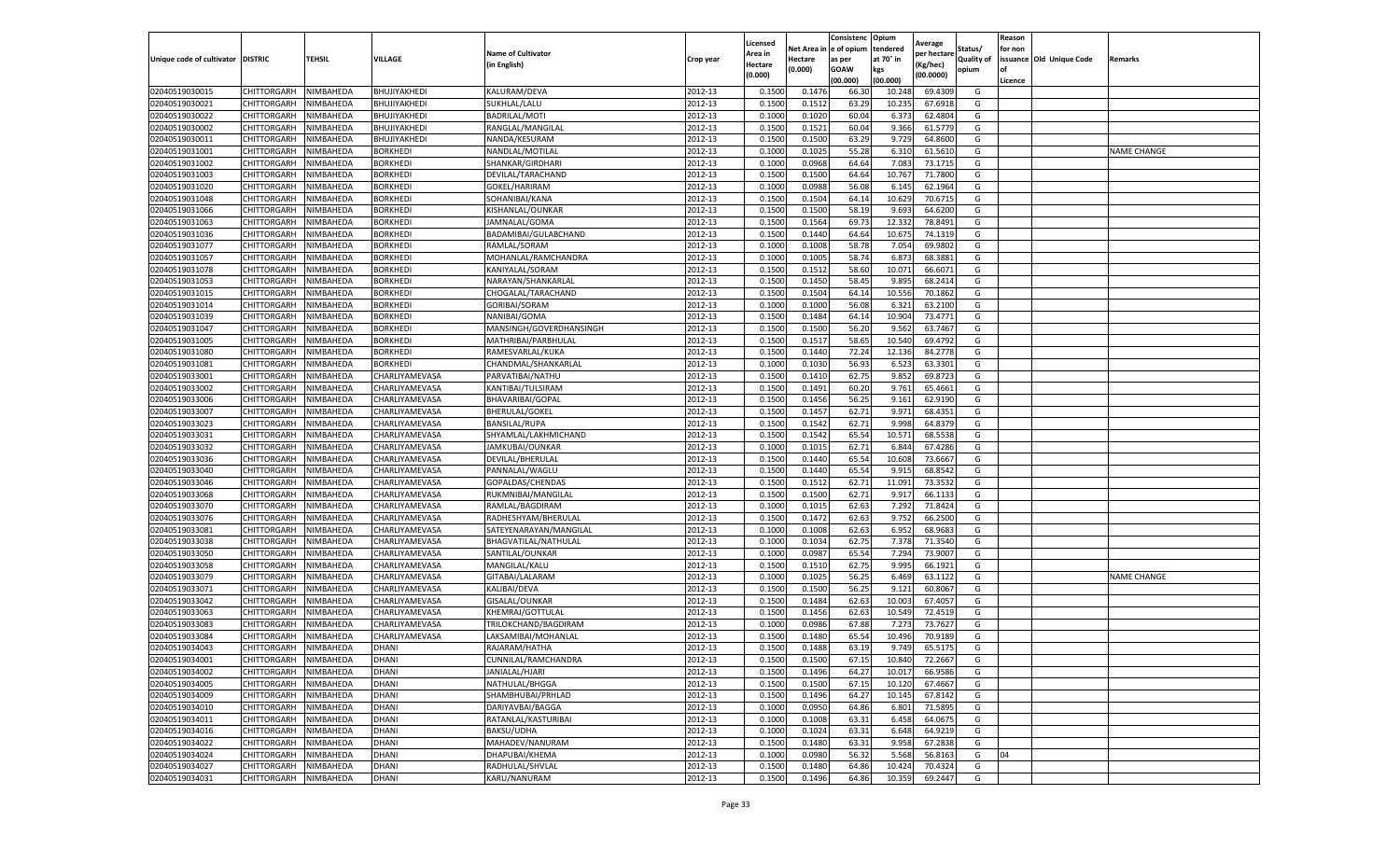|                                   |                            |                        |                 |                           |           | Licensed         |                  | Consistenc             | Opium            |                        |                   | Reason  |                          |                    |
|-----------------------------------|----------------------------|------------------------|-----------------|---------------------------|-----------|------------------|------------------|------------------------|------------------|------------------------|-------------------|---------|--------------------------|--------------------|
|                                   |                            |                        |                 | <b>Name of Cultivator</b> |           | Area in          |                  | Net Area in e of opium | tendered         | Average<br>per hectare | Status/           | for non |                          |                    |
| Unique code of cultivator DISTRIC |                            | TEHSIL                 | VILLAGE         | in English)               | Crop year | Hectare          | Hectare          | as per                 | at 70° in        | (Kg/hec                | <b>Quality of</b> |         | issuance Old Unique Code | <b>Remarks</b>     |
|                                   |                            |                        |                 |                           |           | (0.000)          | (0.000)          | <b>GOAW</b>            | kgs              | (00.0000)              | opium             |         |                          |                    |
|                                   |                            |                        |                 |                           |           |                  |                  | (00.000)               | (00.000)         |                        |                   | Licence |                          |                    |
| 02040519030015                    | CHITTORGARH                | NIMBAHEDA              | BHUJIYAKHEDI    | KALURAM/DEVA              | 2012-13   | 0.1500           | 0.1476           | 66.30                  | 10.24            | 69.4309                | G                 |         |                          |                    |
| 02040519030021                    | CHITTORGARH                | NIMBAHEDA              | BHUJIYAKHEDI    | SUKHLAL/LALU              | 2012-13   | 0.1500           | 0.1512           | 63.29                  | 10.23            | 67.6918                | G                 |         |                          |                    |
| 02040519030022                    | CHITTORGARH                | NIMBAHEDA              | BHUJIYAKHEDI    | <b>BADRILAL/MOTI</b>      | 2012-13   | 0.1000           | 0.1020           | 60.04                  | 6.373            | 62.4804                | G                 |         |                          |                    |
| 02040519030002                    | CHITTORGARH                | NIMBAHEDA              | BHUJIYAKHEDI    | RANGLAL/MANGILAL          | 2012-13   | 0.1500           | 0.1521           | 60.04                  | 9.366            | 61.5779                | G                 |         |                          |                    |
| 02040519030011                    | CHITTORGARH                | NIMBAHEDA              | BHUJIYAKHEDI    | NANDA/KESURAM             | 2012-13   | 0.1500           | 0.1500           | 63.29                  | 9.729            | 64.8600                | G                 |         |                          |                    |
| 02040519031001                    | CHITTORGARH                | NIMBAHEDA              | BORKHEDI        | NANDLAL/MOTILAL           | 2012-13   | 0.1000           | 0.1025           | 55.28                  | 6.31             | 61.5610                | G                 |         |                          | NAME CHANGE        |
| 02040519031002                    | CHITTORGARH                | NIMBAHEDA              | <b>BORKHEDI</b> | SHANKAR/GIRDHARI          | 2012-13   | 0.1000           | 0.0968           | 64.64                  | 7.083            | 73.1715                | G                 |         |                          |                    |
| 02040519031003                    | CHITTORGARH                | NIMBAHEDA              | <b>BORKHEDI</b> | DEVILAL/TARACHAND         | 2012-13   | 0.1500           | 0.1500           | 64.64                  | 10.76            | 71.7800                | G                 |         |                          |                    |
| 02040519031020                    | CHITTORGARH                | NIMBAHEDA              | <b>BORKHEDI</b> | GOKEL/HARIRAM             | 2012-13   | 0.1000           | 0.0988           | 56.08                  | 6.145            | 62.1964                | G                 |         |                          |                    |
| 02040519031048                    | CHITTORGARH                | NIMBAHEDA              | <b>BORKHEDI</b> | SOHANIBAI/KANA            | 2012-13   | 0.1500           | 0.1504           | 64.14                  | 10.629           | 70.6715                | G                 |         |                          |                    |
| 02040519031066                    | CHITTORGARH                | NIMBAHEDA              | <b>BORKHEDI</b> | KISHANLAL/OUNKAR          | 2012-13   | 0.1500           | 0.1500           | 58.19                  | 9.693            | 64.6200                | G                 |         |                          |                    |
| 02040519031063                    | CHITTORGARH                | NIMBAHEDA              | <b>BORKHEDI</b> | JAMNALAL/GOMA             | 2012-13   | 0.1500           | 0.1564           | 69.73                  | 12.33            | 78.8491                | G                 |         |                          |                    |
| 02040519031036                    | CHITTORGARH                | NIMBAHEDA              | <b>BORKHEDI</b> | BADAMIBAI/GULABCHAND      | 2012-13   | 0.1500           | 0.1440           | 64.64                  | 10.67            | 74.1319                | G                 |         |                          |                    |
| 02040519031077                    | CHITTORGARH                | NIMBAHEDA              | <b>BORKHEDI</b> | RAMLAL/SORAM              | 2012-13   | 0.1000           | 0.1008           | 58.78                  | 7.054            | 69.9802                | G                 |         |                          |                    |
| 02040519031057                    | CHITTORGARH                | NIMBAHEDA              | BORKHEDI        | MOHANLAL/RAMCHANDRA       | 2012-13   | 0.1000           | 0.1005           | 58.74                  | 6.873            | 68.3881                | G                 |         |                          |                    |
| 02040519031078                    | CHITTORGARH                | NIMBAHEDA              | <b>BORKHEDI</b> | KANIYALAL/SORAM           | 2012-13   | 0.1500           | 0.1512           | 58.60                  | 10.071           | 66.6071                | G                 |         |                          |                    |
| 02040519031053                    | CHITTORGARH                | NIMBAHEDA              | BORKHEDI        | NARAYAN/SHANKARLAL        | 2012-13   | 0.1500           | 0.1450           | 58.45                  | 9.895            | 68.2414                | G                 |         |                          |                    |
| 02040519031015                    | CHITTORGARH                | NIMBAHEDA              | <b>BORKHEDI</b> | CHOGALAL/TARACHAND        | 2012-13   | 0.1500           | 0.1504           | 64.14                  | 10.55            | 70.1862                | G                 |         |                          |                    |
| 02040519031014                    | CHITTORGARH                | NIMBAHEDA              | <b>BORKHEDI</b> | GORIBAI/SORAM             | 2012-13   | 0.1000           | 0.1000           | 56.08                  | 6.32             | 63.2100                | G                 |         |                          |                    |
| 02040519031039                    | CHITTORGARH                | NIMBAHEDA              | <b>BORKHEDI</b> | NANIBAI/GOMA              | 2012-13   | 0.1500           | 0.1484           | 64.14                  | 10.904           | 73.4771                | G                 |         |                          |                    |
| 02040519031047                    | CHITTORGARH                | NIMBAHEDA              | <b>BORKHEDI</b> | MANSINGH/GOVERDHANSINGH   | 2012-13   | 0.1500           | 0.1500           | 56.20                  | 9.562            | 63.7467                | G                 |         |                          |                    |
| 02040519031005                    | CHITTORGARH                | NIMBAHEDA              | BORKHEDI        | MATHRIBAI/PARBHULAL       | 2012-13   | 0.1500           | 0.1517           | 58.65                  | 10.54            | 69.4792                | G                 |         |                          |                    |
| 02040519031080                    | CHITTORGARH                | NIMBAHEDA              | <b>BORKHEDI</b> | RAMESVARLAL/KUKA          | 2012-13   | 0.1500           | 0.1440           | 72.24                  | 12.136           | 84.2778                | G                 |         |                          |                    |
| 02040519031081                    | CHITTORGARH                | NIMBAHEDA              | BORKHEDI        | CHANDMAL/SHANKARLAL       | 2012-13   | 0.1000           | 0.1030           | 56.93                  | 6.523            | 63.3301                | G                 |         |                          |                    |
| 02040519033001                    | CHITTORGARH                | NIMBAHEDA              | CHARLIYAMEVASA  | PARVATIBAI/NATHU          | 2012-13   | 0.1500           | 0.1410           | 62.75                  | 9.852            | 69.8723                | G                 |         |                          |                    |
| 02040519033002                    | CHITTORGARH                | NIMBAHEDA              | CHARLIYAMEVASA  | KANTIBAI/TULSIRAM         | 2012-13   | 0.1500           | 0.1491           | 60.20                  | 9.761            | 65.4661                | G                 |         |                          |                    |
| 02040519033006                    | CHITTORGARH                | NIMBAHEDA              | CHARLIYAMEVASA  | BHAVARIBAI/GOPAL          | 2012-13   | 0.1500           | 0.1456           | 56.25                  | 9.161            | 62.9190                | G                 |         |                          |                    |
| 02040519033007                    | CHITTORGARH                | NIMBAHEDA              | CHARLIYAMEVASA  | <b>BHERULAL/GOKEL</b>     | 2012-13   | 0.1500           | 0.1457           | 62.71                  | 9.971            | 68.4351                | G                 |         |                          |                    |
| 02040519033023                    | CHITTORGARH                | NIMBAHEDA              | CHARLIYAMEVASA  | BANSILAL/RUPA             | 2012-13   | 0.1500           | 0.1542           | 62.71                  | 9.998            | 64.8379                | G                 |         |                          |                    |
| 02040519033031                    | CHITTORGARH                | NIMBAHEDA              | CHARLIYAMEVASA  | SHYAMLAL/LAKHMICHAND      | 2012-13   | 0.1500           | 0.1542           | 65.54                  | 10.57            | 68.5538                | G                 |         |                          |                    |
| 02040519033032                    | CHITTORGARH                | NIMBAHEDA              | CHARLIYAMEVASA  | JAMKUBAI/OUNKAR           | 2012-13   | 0.1000           | 0.1015           | 62.71                  | 6.84             | 67.4286                | G                 |         |                          |                    |
| 02040519033036                    | CHITTORGARH                | NIMBAHEDA              | CHARLIYAMEVASA  | DEVILAL/BHERULAL          | 2012-13   | 0.1500           | 0.1440           | 65.54                  | 10.608           | 73.6667                | G                 |         |                          |                    |
| 02040519033040                    | CHITTORGARH                | NIMBAHEDA              | CHARLIYAMEVASA  | PANNALAL/WAGLU            | 2012-13   | 0.1500           | 0.1440           | 65.54                  | 9.915            | 68.8542                | G                 |         |                          |                    |
| 02040519033046                    | CHITTORGARH                | NIMBAHEDA              | CHARLIYAMEVASA  | GOPALDAS/CHENDAS          | 2012-13   | 0.1500           | 0.1512           | 62.71                  | 11.091           | 73.3532                | G                 |         |                          |                    |
| 02040519033068                    | CHITTORGARH                | NIMBAHEDA              | CHARLIYAMEVASA  | RUKMNIBAI/MANGILAL        | 2012-13   | 0.1500           | 0.1500           | 62.71                  | 9.917            | 66.1133                | G                 |         |                          |                    |
| 02040519033070                    | CHITTORGARH                | NIMBAHEDA              | CHARLIYAMEVASA  | RAMLAL/BAGDIRAM           | 2012-13   | 0.1000           | 0.1015           | 62.63                  | 7.292            | 71.8424                | G                 |         |                          |                    |
| 02040519033076                    | CHITTORGARH                | NIMBAHEDA              | CHARLIYAMEVASA  | RADHESHYAM/BHERULAL       | 2012-13   | 0.1500           | 0.1472           | 62.63                  | 9.752            | 66.2500                | G                 |         |                          |                    |
| 02040519033081                    | CHITTORGARH                | NIMBAHEDA              | CHARLIYAMEVASA  | SATEYENARAYAN/MANGILAL    | 2012-13   | 0.1000           | 0.1008           | 62.63                  | 6.952            | 68.968                 | G                 |         |                          |                    |
| 02040519033038                    | CHITTORGARH                | NIMBAHEDA              | CHARLIYAMEVASA  | BHAGVATILAL/NATHULAL      | 2012-13   | 0.1000           | 0.1034           | 62.75                  | 7.378            | 71.3540                | G                 |         |                          |                    |
| 02040519033050                    | CHITTORGARH                | NIMBAHEDA              | CHARLIYAMEVASA  | SANTILAL/OUNKAR           | 2012-13   | 0.1000           | 0.0987           | 65.54                  | 7.294            | 73.9007                | G                 |         |                          |                    |
| 02040519033058                    | CHITTORGARH                | NIMBAHEDA              | CHARLIYAMEVASA  | MANGILAL/KALU             | 2012-13   | 0.1500           | 0.1510           | 62.75                  | 9.995            | 66.1921                | G                 |         |                          |                    |
| 02040519033079                    | CHITTORGARH                | NIMBAHEDA              | CHARLIYAMEVASA  | GITABAI/LALARAM           | 2012-13   | 0.1000           | 0.1025           | 56.25                  | 6.469            | 63.1122                | G                 |         |                          | <b>NAME CHANGE</b> |
| 02040519033071                    | CHITTORGARH                | NIMBAHEDA              | CHARLIYAMEVASA  | KALIBAI/DEVA              | 2012-13   | 0.1500           | 0.1500           | 56.25                  | 9.121            | 60.8067                | G                 |         |                          |                    |
| 02040519033042                    | CHITTORGARH                | NIMBAHEDA              | CHARLIYAMEVASA  | <b>GISALAL/OUNKAR</b>     | 2012-13   | 0.1500           | 0.1484           | 62.63                  | 10.003           | 67.4057                | G                 |         |                          |                    |
| 02040519033063                    | CHITTORGARH                | NIMBAHEDA              | CHARLIYAMEVASA  | KHEMRAJ/GOTTULAL          | 2012-13   | 0.1500           | 0.1456           | 62.63                  | 10.549           | 72.4519                | G                 |         |                          |                    |
| 02040519033083                    | CHITTORGARH                | NIMBAHEDA              | CHARLIYAMEVASA  | TRILOKCHAND/BAGDIRAM      | 2012-13   | 0.1000           | 0.0986           | 67.88                  | 7.273            | 73.7627                | G                 |         |                          |                    |
| 02040519033084                    | CHITTORGARH                | NIMBAHEDA              | CHARLIYAMEVASA  | LAKSAMIBAI/MOHANLAL       | 2012-13   | 0.1500           | 0.1480           | 65.54                  | 10.496           | 70.9189                | G                 |         |                          |                    |
| 02040519034043                    | CHITTORGARH                | NIMBAHEDA              | DHANI           | RAJARAM/HATHA             | 2012-13   | 0.1500           | 0.1488           | 63.19                  | 9.749            | 65.5175                | G                 |         |                          |                    |
| 02040519034001                    |                            |                        | DHANI           | CUNNILAL/RAMCHANDRA       | 2012-13   |                  |                  |                        |                  |                        |                   |         |                          |                    |
| 02040519034002                    | CHITTORGARH<br>CHITTORGARH | NIMBAHEDA<br>NIMBAHEDA | DHANI           | JANIALAL/HJARI            | 2012-13   | 0.1500<br>0.1500 | 0.1500<br>0.1496 | 67.15<br>64.27         | 10.840<br>10.017 | 72.2667<br>66.9586     | G<br>G            |         |                          |                    |
| 02040519034005                    | CHITTORGARH                | NIMBAHEDA              | DHANI           | NATHULAL/BHGGA            | 2012-13   | 0.1500           | 0.1500           | 67.15                  | 10.120           | 67.4667                | G                 |         |                          |                    |
| 02040519034009                    | CHITTORGARH                | NIMBAHEDA              | DHANI           | SHAMBHUBAI/PRHLAD         | 2012-13   | 0.1500           | 0.1496           | 64.27                  | 10.145           | 67.8142                | G                 |         |                          |                    |
| 02040519034010                    | CHITTORGARH                | NIMBAHEDA              | DHANI           | DARIYAVBAI/BAGGA          | 2012-13   | 0.1000           | 0.0950           | 64.86                  | 6.801            | 71.5895                | G                 |         |                          |                    |
|                                   |                            |                        | DHANI           | RATANLAL/KASTURIBAI       | 2012-13   |                  |                  |                        |                  |                        | G                 |         |                          |                    |
| 02040519034011<br>02040519034016  | <b>CHITTORGARH</b>         | NIMBAHEDA              |                 |                           |           | 0.1000           | 0.1008           | 63.31                  | 6.458            | 64.0675                |                   |         |                          |                    |
|                                   | CHITTORGARH                | NIMBAHEDA              | DHANI           | BAKSU/UDHA                | 2012-13   | 0.1000           | 0.1024           | 63.31                  | 6.648            | 64.9219                | G                 |         |                          |                    |
| 02040519034022                    | <b>CHITTORGARH</b>         | NIMBAHEDA              | DHANI<br>DHANI  | MAHADEV/NANURAM           | 2012-13   | 0.1500           | 0.1480           | 63.31                  | 9.958            | 67.2838                | G<br>G            | 04      |                          |                    |
| 02040519034024                    | CHITTORGARH                | NIMBAHEDA              |                 | DHAPUBAI/KHEMA            | 2012-13   | 0.1000           | 0.0980           | 56.32                  | 5.568            | 56.8163                |                   |         |                          |                    |
| 02040519034027                    | CHITTORGARH                | NIMBAHEDA              | DHANI           | RADHULAL/SHVLAL           | 2012-13   | 0.1500           | 0.1480           | 64.86                  | 10.424           | 70.4324                | G                 |         |                          |                    |
| 02040519034031                    | <b>CHITTORGARH</b>         | NIMBAHEDA              | <b>DHANI</b>    | KARU/NANURAM              | 2012-13   | 0.1500           | 0.1496           | 64.86                  | 10.359           | 69.2447                | G                 |         |                          |                    |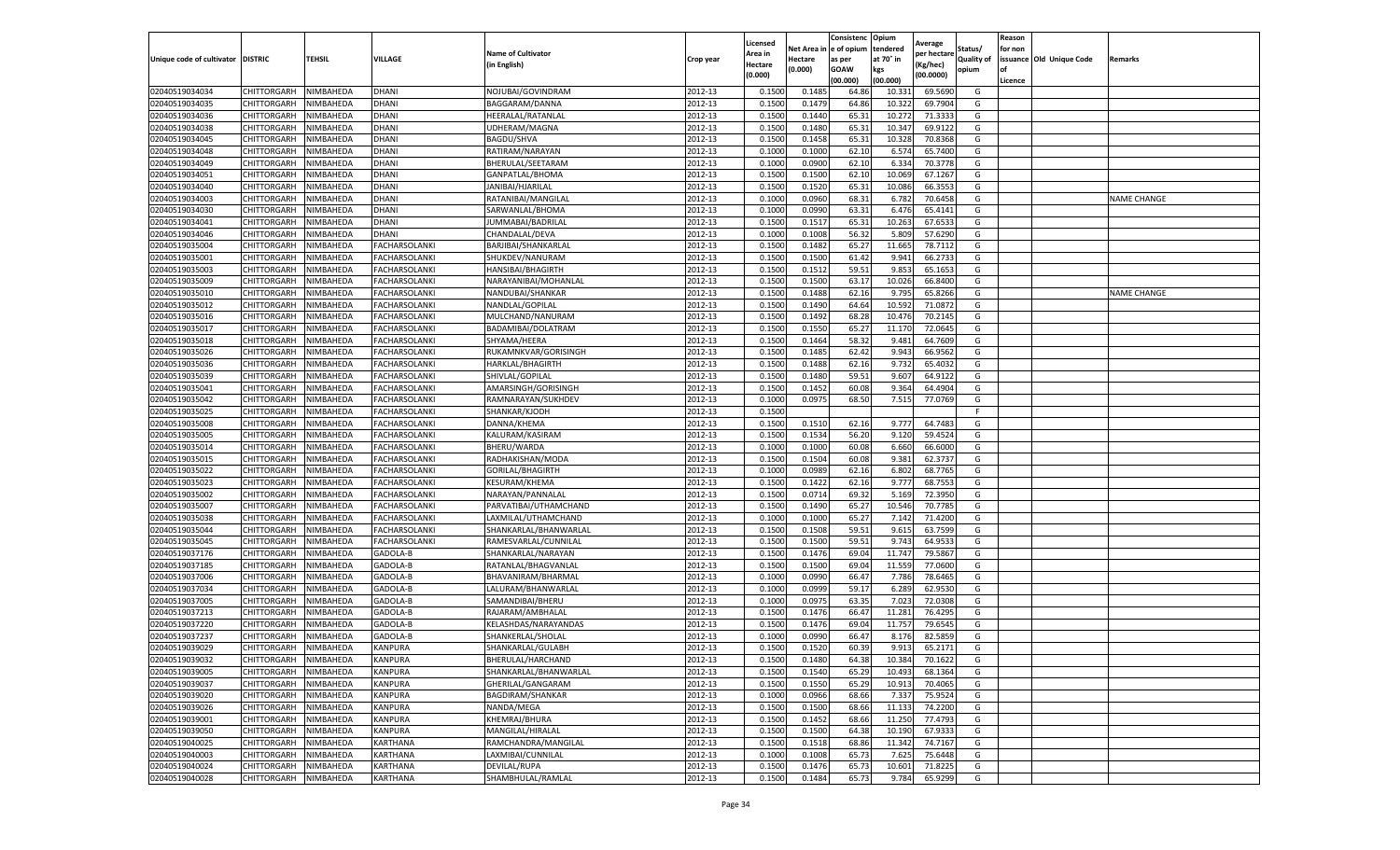|                           |                    |           |                      |                           |           | Licensed |         | Consistenc             | Opium     | Average     |                   | Reason  |                          |                    |
|---------------------------|--------------------|-----------|----------------------|---------------------------|-----------|----------|---------|------------------------|-----------|-------------|-------------------|---------|--------------------------|--------------------|
|                           |                    |           |                      | <b>Name of Cultivator</b> |           | Area in  |         | Net Area in e of opium | tendered  | per hectare | Status/           | for non |                          |                    |
| Unique code of cultivator | <b>DISTRIC</b>     | TEHSIL    | VILLAGE              | in English)               | Crop year | Hectare  | Hectare | as per                 | at 70° in | (Kg/hec     | <b>Quality of</b> |         | issuance Old Unique Code | <b>Remarks</b>     |
|                           |                    |           |                      |                           |           | (0.000)  | (0.000) | <b>GOAW</b>            | kgs       | (00.0000)   | opium             |         |                          |                    |
|                           |                    |           |                      |                           |           |          |         | (00.000)               | (00.000)  |             |                   | Licence |                          |                    |
| 02040519034034            | CHITTORGARH        | NIMBAHEDA | DHANI                | NOJUBAI/GOVINDRAM         | 2012-13   | 0.1500   | 0.1485  | 64.86                  | 10.33     | 69.5690     | G                 |         |                          |                    |
| 02040519034035            | CHITTORGARH        | NIMBAHEDA | DHANI                | BAGGARAM/DANNA            | 2012-13   | 0.1500   | 0.1479  | 64.86                  | 10.32     | 69.7904     | G                 |         |                          |                    |
| 02040519034036            | CHITTORGARH        | NIMBAHEDA | DHANI                | HEERALAL/RATANLAL         | 2012-13   | 0.1500   | 0.1440  | 65.31                  | 10.27     | 71.3333     | G                 |         |                          |                    |
| 02040519034038            | CHITTORGARH        | NIMBAHEDA | DHANI                | UDHERAM/MAGNA             | 2012-13   | 0.1500   | 0.1480  | 65.31                  | 10.347    | 69.9122     | G                 |         |                          |                    |
| 02040519034045            | CHITTORGARH        | NIMBAHEDA | DHANI                | BAGDU/SHVA                | 2012-13   | 0.1500   | 0.1458  | 65.31                  | 10.32     | 70.8368     | G                 |         |                          |                    |
| 02040519034048            | CHITTORGARH        | NIMBAHEDA | DHANI                | RATIRAM/NARAYAN           | 2012-13   | 0.1000   | 0.1000  | 62.10                  | 6.57      | 65.7400     | G                 |         |                          |                    |
| 02040519034049            | CHITTORGARH        | NIMBAHEDA | DHANI                | BHERULAL/SEETARAM         | 2012-13   | 0.1000   | 0.0900  | 62.10                  | 6.33      | 70.3778     | G                 |         |                          |                    |
| 02040519034051            | CHITTORGARH        | NIMBAHEDA | DHANI                | GANPATLAL/BHOMA           | 2012-13   | 0.1500   | 0.1500  | 62.10                  | 10.06     | 67.1267     | G                 |         |                          |                    |
| 02040519034040            | CHITTORGARH        | NIMBAHEDA | DHANI                | JANIBAI/HJARILAL          | 2012-13   | 0.1500   | 0.1520  | 65.31                  | 10.08     | 66.3553     | G                 |         |                          |                    |
| 02040519034003            | CHITTORGARH        | NIMBAHEDA | DHANI                | RATANIBAI/MANGILAL        | 2012-13   | 0.1000   | 0.0960  | 68.31                  | 6.782     | 70.6458     | G                 |         |                          | <b>NAME CHANGE</b> |
| 02040519034030            | CHITTORGARH        | NIMBAHEDA | DHANI                | SARWANLAL/BHOMA           | 2012-13   | 0.1000   | 0.0990  | 63.31                  | 6.476     | 65.4141     | G                 |         |                          |                    |
| 02040519034041            | CHITTORGARH        | NIMBAHEDA | DHANI                | IUMMABAI/BADRILAL         | 2012-13   | 0.1500   | 0.1517  | 65.31                  | 10.263    | 67.6533     | G                 |         |                          |                    |
| 02040519034046            | CHITTORGARH        | NIMBAHEDA | DHANI                | CHANDALAL/DEVA            | 2012-13   | 0.1000   | 0.1008  | 56.32                  | 5.809     | 57.6290     | G                 |         |                          |                    |
| 02040519035004            | CHITTORGARH        | NIMBAHEDA | FACHARSOLANKI        | BARJIBAI/SHANKARLAL       | 2012-13   | 0.1500   | 0.1482  | 65.27                  | 11.665    | 78.7112     | G                 |         |                          |                    |
| 02040519035001            | CHITTORGARH        | NIMBAHEDA | FACHARSOLANKI        | SHUKDEV/NANURAM           | 2012-13   | 0.1500   | 0.1500  | 61.42                  | 9.941     | 66.2733     | G                 |         |                          |                    |
| 02040519035003            | CHITTORGARH        | NIMBAHEDA | <b>FACHARSOLANKI</b> | HANSIBAI/BHAGIRTH         | 2012-13   | 0.1500   | 0.1512  | 59.51                  | 9.853     | 65.1653     | G                 |         |                          |                    |
| 02040519035009            | CHITTORGARH        | NIMBAHEDA | FACHARSOLANKI        | NARAYANIBAI/MOHANLAL      | 2012-13   | 0.1500   | 0.1500  | 63.17                  | 10.026    | 66.8400     | G                 |         |                          |                    |
| 02040519035010            | CHITTORGARH        | NIMBAHEDA | FACHARSOLANKI        | NANDUBAI/SHANKAR          | 2012-13   | 0.1500   | 0.1488  | 62.16                  | 9.795     | 65.8266     | G                 |         |                          | <b>NAME CHANGE</b> |
| 02040519035012            | CHITTORGARH        | NIMBAHEDA | FACHARSOLANKI        | NANDLAL/GOPILAL           | 2012-13   | 0.1500   | 0.1490  | 64.64                  | 10.59     | 71.087      | G                 |         |                          |                    |
| 02040519035016            | CHITTORGARH        | NIMBAHEDA | FACHARSOLANKI        | MULCHAND/NANURAM          | 2012-13   | 0.1500   | 0.1492  | 68.28                  | 10.47     | 70.2145     | G                 |         |                          |                    |
| 02040519035017            | CHITTORGARH        | NIMBAHEDA | FACHARSOLANKI        | BADAMIBAI/DOLATRAM        | 2012-13   | 0.1500   | 0.1550  | 65.27                  | 11.17     | 72.0645     | G                 |         |                          |                    |
| 02040519035018            | CHITTORGARH        | NIMBAHEDA | FACHARSOLANKI        | SHYAMA/HEERA              | 2012-13   | 0.1500   | 0.1464  | 58.32                  | 9.481     | 64.7609     | G                 |         |                          |                    |
| 02040519035026            | CHITTORGARH        | NIMBAHEDA | FACHARSOLANKI        | RUKAMNKVAR/GORISINGH      | 2012-13   | 0.1500   | 0.1485  | 62.42                  | 9.943     | 66.9562     | G                 |         |                          |                    |
| 02040519035036            | CHITTORGARH        | NIMBAHEDA | FACHARSOLANKI        | HARKLAL/BHAGIRTH          | 2012-13   | 0.1500   | 0.1488  | 62.16                  | 9.73      | 65.4032     | G                 |         |                          |                    |
| 02040519035039            | CHITTORGARH        | NIMBAHEDA | FACHARSOLANKI        | SHIVLAL/GOPILAL           | 2012-13   | 0.1500   | 0.1480  | 59.51                  | 9.607     | 64.9122     | G                 |         |                          |                    |
| 02040519035041            | CHITTORGARH        | NIMBAHEDA | <b>FACHARSOLANKI</b> | AMARSINGH/GORISINGH       | 2012-13   | 0.1500   | 0.1452  | 60.08                  | 9.364     | 64.4904     | G                 |         |                          |                    |
| 02040519035042            | CHITTORGARH        | NIMBAHEDA | FACHARSOLANKI        | RAMNARAYAN/SUKHDEV        | 2012-13   | 0.1000   | 0.0975  | 68.50                  | 7.515     | 77.0769     | G                 |         |                          |                    |
| 02040519035025            | CHITTORGARH        | NIMBAHEDA | FACHARSOLANKI        | SHANKAR/KJODH             | 2012-13   | 0.1500   |         |                        |           |             | F.                |         |                          |                    |
| 02040519035008            | CHITTORGARH        | NIMBAHEDA | <b>FACHARSOLANKI</b> | DANNA/KHEMA               | 2012-13   | 0.1500   | 0.1510  | 62.16                  | 9.777     | 64.7483     | G                 |         |                          |                    |
| 02040519035005            | CHITTORGARH        | NIMBAHEDA | <b>FACHARSOLANKI</b> | KALURAM/KASIRAM           | 2012-13   | 0.1500   | 0.1534  | 56.20                  | 9.120     | 59.4524     | G                 |         |                          |                    |
| 02040519035014            | CHITTORGARH        | NIMBAHEDA | FACHARSOLANKI        | BHERU/WARDA               | 2012-13   | 0.1000   | 0.1000  | 60.08                  | 6.660     | 66.6000     | G                 |         |                          |                    |
| 02040519035015            | CHITTORGARH        | NIMBAHEDA | FACHARSOLANKI        | RADHAKISHAN/MODA          | 2012-13   | 0.1500   | 0.1504  | 60.08                  | 9.381     | 62.3737     | G                 |         |                          |                    |
| 02040519035022            | CHITTORGARH        | NIMBAHEDA | FACHARSOLANKI        | GORILAL/BHAGIRTH          | 2012-13   | 0.1000   | 0.0989  | 62.16                  | 6.802     | 68.7765     | G                 |         |                          |                    |
| 02040519035023            | CHITTORGARH        | NIMBAHEDA | FACHARSOLANKI        | <b>KESURAM/KHEMA</b>      | 2012-13   | 0.1500   | 0.1422  | 62.16                  | 9.777     | 68.7553     | G                 |         |                          |                    |
| 02040519035002            | CHITTORGARH        | NIMBAHEDA | FACHARSOLANKI        | NARAYAN/PANNALAL          | 2012-13   | 0.1500   | 0.0714  | 69.32                  | 5.169     | 72.3950     | G                 |         |                          |                    |
| 02040519035007            | CHITTORGARH        | NIMBAHEDA | FACHARSOLANKI        | PARVATIBAI/UTHAMCHAND     | 2012-13   | 0.1500   | 0.1490  | 65.27                  | 10.546    | 70.7785     | G                 |         |                          |                    |
| 02040519035038            | CHITTORGARH        | NIMBAHEDA | FACHARSOLANKI        | LAXMILAL/UTHAMCHAND       | 2012-13   | 0.1000   | 0.1000  | 65.27                  | 7.142     | 71.4200     | G                 |         |                          |                    |
| 02040519035044            | CHITTORGARH        | NIMBAHEDA | FACHARSOLANKI        | SHANKARLAL/BHANWARLAL     | 2012-13   | 0.1500   | 0.1508  | 59.51                  | 9.615     | 63.7599     | G                 |         |                          |                    |
| 02040519035045            | CHITTORGARH        | NIMBAHEDA | FACHARSOLANKI        | RAMESVARLAL/CUNNILAL      | 2012-13   | 0.1500   | 0.1500  | 59.51                  | 9.743     | 64.953      | G                 |         |                          |                    |
| 02040519037176            | CHITTORGARH        | NIMBAHEDA | GADOLA-B             | SHANKARLAL/NARAYAN        | 2012-13   | 0.1500   | 0.1476  | 69.04                  | 11.747    | 79.5867     | G                 |         |                          |                    |
| 02040519037185            | CHITTORGARH        | NIMBAHEDA | GADOLA-B             | RATANLAL/BHAGVANLAL       | 2012-13   | 0.1500   | 0.1500  | 69.04                  | 11.559    | 77.0600     | G                 |         |                          |                    |
| 02040519037006            | CHITTORGARH        | NIMBAHEDA | GADOLA-B             | BHAVANIRAM/BHARMAL        | 2012-13   | 0.1000   | 0.0990  | 66.47                  | 7.786     | 78.6465     | G                 |         |                          |                    |
| 02040519037034            | CHITTORGARH        | NIMBAHEDA | GADOLA-B             | LALURAM/BHANWARLAL        | 2012-13   | 0.1000   | 0.0999  | 59.17                  | 6.289     | 62.9530     | G                 |         |                          |                    |
| 02040519037005            | CHITTORGARH        | NIMBAHEDA | GADOLA-B             | SAMANDIBAI/BHERU          | 2012-13   | 0.1000   | 0.0975  | 63.35                  | 7.023     | 72.0308     | G                 |         |                          |                    |
| 02040519037213            | CHITTORGARH        | NIMBAHEDA | GADOLA-B             | RAJARAM/AMBHALAI          | 2012-13   | 0.1500   | 0.1476  | 66.47                  | 11.281    | 76.4295     | G                 |         |                          |                    |
| 02040519037220            | CHITTORGARH        | NIMBAHEDA | GADOLA-B             | KELASHDAS/NARAYANDAS      | 2012-13   | 0.1500   | 0.1476  | 69.04                  | 11.757    | 79.6545     | G                 |         |                          |                    |
| 02040519037237            | CHITTORGARH        | NIMBAHEDA | GADOLA-B             | SHANKERLAL/SHOLAL         | 2012-13   | 0.1000   | 0.0990  | 66.47                  | 8.17      | 82.5859     | G                 |         |                          |                    |
| 02040519039029            | CHITTORGARH        | NIMBAHEDA | KANPURA              | SHANKARLAL/GULABH         | 2012-13   | 0.1500   | 0.1520  | 60.39                  | 9.913     | 65.2171     | G                 |         |                          |                    |
| 02040519039032            | CHITTORGARH        | NIMBAHEDA | <b>KANPURA</b>       | BHERULAL/HARCHAND         | 2012-13   | 0.1500   | 0.1480  | 64.38                  | 10.384    | 70.1622     | G                 |         |                          |                    |
| 02040519039005            | CHITTORGARH        | NIMBAHEDA | KANPURA              | SHANKARLAL/BHANWARLAL     | 2012-13   | 0.1500   | 0.1540  | 65.29                  | 10.493    | 68.1364     | G                 |         |                          |                    |
| 02040519039037            | <b>CHITTORGARH</b> | NIMBAHEDA | KANPURA              | GHERILAL/GANGARAM         | 2012-13   | 0.1500   | 0.1550  | 65.29                  | 10.913    | 70.4065     | G                 |         |                          |                    |
| 02040519039020            | CHITTORGARH        | NIMBAHEDA | KANPURA              | BAGDIRAM/SHANKAR          | 2012-13   | 0.1000   | 0.0966  | 68.66                  | 7.337     | 75.9524     | G                 |         |                          |                    |
| 02040519039026            | CHITTORGARH        | NIMBAHEDA | KANPURA              | NANDA/MEGA                | 2012-13   | 0.1500   | 0.1500  | 68.66                  | 11.13     | 74.2200     | G                 |         |                          |                    |
| 02040519039001            | <b>CHITTORGARH</b> | NIMBAHEDA | KANPURA              | KHEMRAJ/BHURA             | 2012-13   | 0.1500   | 0.1452  | 68.66                  | 11.250    | 77.4793     | G                 |         |                          |                    |
| 02040519039050            | CHITTORGARH        | NIMBAHEDA | KANPURA              | MANGILAL/HIRALAL          | 2012-13   | 0.1500   | 0.1500  | 64.38                  | 10.190    | 67.9333     | G                 |         |                          |                    |
| 02040519040025            | CHITTORGARH        | NIMBAHEDA | KARTHANA             | RAMCHANDRA/MANGILAL       | 2012-13   | 0.1500   | 0.1518  | 68.86                  | 11.342    | 74.7167     | G                 |         |                          |                    |
| 02040519040003            | CHITTORGARH        | NIMBAHEDA | KARTHANA             | LAXMIBAI/CUNNILAL         | 2012-13   | 0.1000   | 0.1008  | 65.73                  | 7.625     | 75.6448     | G                 |         |                          |                    |
| 02040519040024            |                    |           |                      |                           |           |          |         |                        |           |             |                   |         |                          |                    |
|                           | CHITTORGARH        | NIMBAHEDA | KARTHANA             | DEVILAL/RUPA              | 2012-13   | 0.1500   | 0.1476  | 65.73                  | 10.601    | 71.8225     | G                 |         |                          |                    |
| 02040519040028            | <b>CHITTORGARH</b> | NIMBAHEDA | KARTHANA             | SHAMBHULAL/RAMLAL         | 2012-13   | 0.1500   | 0.1484  | 65.73                  | 9.784     | 65.9299     | G                 |         |                          |                    |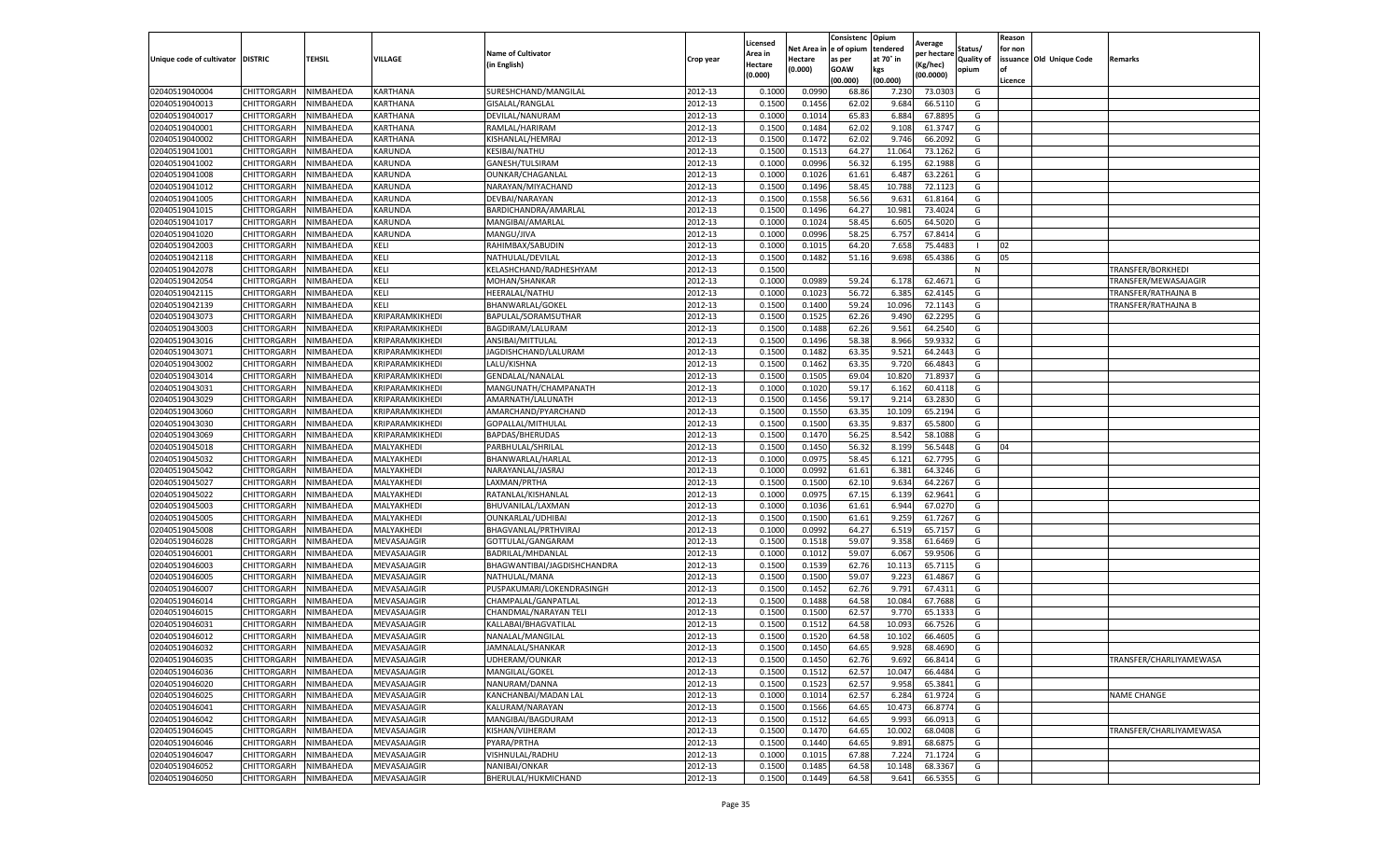|                           |                    |           |                 |                             |           | Licensed |         | Consistenc             | Opium     |                        |                   | Reason  |                          |                          |
|---------------------------|--------------------|-----------|-----------------|-----------------------------|-----------|----------|---------|------------------------|-----------|------------------------|-------------------|---------|--------------------------|--------------------------|
|                           |                    |           |                 | <b>Name of Cultivator</b>   |           | Area in  |         | Net Area in e of opium | tendered  | Average<br>per hectare | Status/           | for non |                          |                          |
| Unique code of cultivator | <b>DISTRIC</b>     | TEHSIL    | VILLAGE         | in English)                 | Crop year | Hectare  | Hectare | as per                 | at 70° in | (Kg/hec                | <b>Quality of</b> |         | issuance Old Unique Code | <b>Remarks</b>           |
|                           |                    |           |                 |                             |           | (0.000)  | (0.000) | <b>GOAW</b>            | kgs       | (00.0000)              | opium             |         |                          |                          |
|                           |                    |           |                 |                             |           |          |         | (00.000)               | (00.000)  |                        |                   | Licence |                          |                          |
| 02040519040004            | CHITTORGARH        | NIMBAHEDA | KARTHANA        | SURESHCHAND/MANGILAL        | 2012-13   | 0.1000   | 0.0990  | 68.86                  | 7.230     | 73.0303                | G                 |         |                          |                          |
| 02040519040013            | CHITTORGARH        | NIMBAHEDA | KARTHANA        | GISALAL/RANGLAL             | 2012-13   | 0.1500   | 0.1456  | 62.02                  | 9.684     | 66.5110                | G                 |         |                          |                          |
| 02040519040017            | CHITTORGARH        | NIMBAHEDA | KARTHANA        | DEVILAL/NANURAM             | 2012-13   | 0.1000   | 0.1014  | 65.83                  | 6.884     | 67.8895                | G                 |         |                          |                          |
| 02040519040001            | CHITTORGARH        | NIMBAHEDA | KARTHANA        | RAMLAL/HARIRAM              | 2012-13   | 0.1500   | 0.1484  | 62.02                  | 9.108     | 61.3747                | G                 |         |                          |                          |
| 02040519040002            | CHITTORGARH        | NIMBAHEDA | KARTHANA        | KISHANLAL/HEMRAJ            | 2012-13   | 0.1500   | 0.1472  | 62.02                  | 9.746     | 66.2092                | G                 |         |                          |                          |
| 02040519041001            | CHITTORGARH        | NIMBAHEDA | KARUNDA         | KESIBAI/NATHU               | 2012-13   | 0.1500   | 0.1513  | 64.27                  | 11.064    | 73.1262                | G                 |         |                          |                          |
| 02040519041002            | CHITTORGARH        | NIMBAHEDA | KARUNDA         | GANESH/TULSIRAM             | 2012-13   | 0.1000   | 0.0996  | 56.32                  | 6.195     | 62.1988                | G                 |         |                          |                          |
| 02040519041008            | CHITTORGARH        | NIMBAHEDA | KARUNDA         | <b>OUNKAR/CHAGANLAI</b>     | 2012-13   | 0.1000   | 0.1026  | 61.61                  | 6.487     | 63.2261                | G                 |         |                          |                          |
| 02040519041012            | CHITTORGARH        | NIMBAHEDA | KARUNDA         | NARAYAN/MIYACHAND           | 2012-13   | 0.1500   | 0.1496  | 58.45                  | 10.78     | 72.1123                | G                 |         |                          |                          |
| 02040519041005            | CHITTORGARH        | NIMBAHEDA | KARUNDA         | DEVBAI/NARAYAN              | 2012-13   | 0.1500   | 0.1558  | 56.56                  | 9.631     | 61.8164                | G                 |         |                          |                          |
| 02040519041015            | CHITTORGARH        | NIMBAHEDA | KARUNDA         | BARDICHANDRA/AMARLAL        | 2012-13   | 0.1500   | 0.1496  | 64.27                  | 10.981    | 73.4024                | G                 |         |                          |                          |
| 02040519041017            | CHITTORGARH        | NIMBAHEDA | KARUNDA         | MANGIBAI/AMARLAL            | 2012-13   | 0.1000   | 0.1024  | 58.45                  | 6.605     | 64.5020                | G                 |         |                          |                          |
| 02040519041020            | CHITTORGARH        | NIMBAHEDA | KARUNDA         | MANGU/JIVA                  | 2012-13   | 0.1000   | 0.0996  | 58.25                  | 6.75      | 67.8414                | G                 |         |                          |                          |
| 02040519042003            | CHITTORGARH        | NIMBAHEDA | KELI            | RAHIMBAX/SABUDIN            | 2012-13   | 0.1000   | 0.1015  | 64.20                  | 7.65      | 75.4483                | -1                | 02      |                          |                          |
| 02040519042118            | CHITTORGARH        | NIMBAHEDA | KELI            | NATHULAL/DEVILAL            | 2012-13   | 0.1500   | 0.1482  | 51.16                  | 9.698     | 65.4386                | G                 | 05      |                          |                          |
| 02040519042078            | CHITTORGARH        | NIMBAHEDA | KELI            | KELASHCHAND/RADHESHYAM      | 2012-13   | 0.1500   |         |                        |           |                        | N                 |         |                          | <b>TRANSFER/BORKHEDI</b> |
| 02040519042054            | CHITTORGARH        | NIMBAHEDA | KELI            | MOHAN/SHANKAR               | 2012-13   | 0.1000   | 0.0989  | 59.24                  | 6.178     | 62.4671                | G                 |         |                          | TRANSFER/MEWASAJAGIR     |
| 02040519042115            | CHITTORGARH        | NIMBAHEDA | KELI            | <b>HEERALAL/NATHU</b>       | 2012-13   | 0.1000   | 0.1023  | 56.72                  | 6.385     | 62.4145                | G                 |         |                          | TRANSFER/RATHAJNA B      |
| 02040519042139            | CHITTORGARH        | NIMBAHEDA | KELI            | BHANWARLAL/GOKEI            | 2012-13   | 0.1500   | 0.1400  | 59.24                  | 10.09     | 72.1143                | G                 |         |                          | TRANSFER/RATHAJNA B      |
| 02040519043073            | CHITTORGARH        | NIMBAHEDA | KRIPARAMKIKHEDI | BAPULAL/SORAMSUTHAR         | 2012-13   | 0.1500   | 0.1525  | 62.26                  | 9.490     | 62.2295                | G                 |         |                          |                          |
| 02040519043003            | CHITTORGARH        | NIMBAHEDA | KRIPARAMKIKHEDI | BAGDIRAM/LALURAM            | 2012-13   | 0.1500   | 0.1488  | 62.26                  | 9.561     | 64.2540                | G                 |         |                          |                          |
| 02040519043016            | CHITTORGARH        | NIMBAHEDA | KRIPARAMKIKHEDI | ANSIBAI/MITTULAL            | 2012-13   | 0.1500   | 0.1496  | 58.38                  | 8.966     | 59.9332                | G                 |         |                          |                          |
| 02040519043071            | CHITTORGARH        | NIMBAHEDA | KRIPARAMKIKHEDI | JAGDISHCHAND/LALURAM        | 2012-13   | 0.1500   | 0.1482  | 63.35                  | 9.521     | 64.2443                | G                 |         |                          |                          |
| 02040519043002            | CHITTORGARH        | NIMBAHEDA | KRIPARAMKIKHEDI | LALU/KISHNA                 | 2012-13   | 0.1500   | 0.1462  | 63.35                  | 9.720     | 66.4843                | G                 |         |                          |                          |
| 02040519043014            | CHITTORGARH        | NIMBAHEDA | KRIPARAMKIKHEDI | GENDALAL/NANALAL            | 2012-13   | 0.1500   | 0.1505  | 69.04                  | 10.82     | 71.893                 | G                 |         |                          |                          |
| 02040519043031            | CHITTORGARH        | NIMBAHEDA | KRIPARAMKIKHEDI | MANGUNATH/CHAMPANATH        | 2012-13   | 0.1000   | 0.1020  | 59.17                  | 6.162     | 60.4118                | G                 |         |                          |                          |
| 02040519043029            | CHITTORGARH        | NIMBAHEDA | KRIPARAMKIKHEDI | AMARNATH/LALUNATH           | 2012-13   | 0.1500   | 0.1456  | 59.1                   | 9.21      | 63.2830                | G                 |         |                          |                          |
| 02040519043060            | CHITTORGARH        | NIMBAHEDA | KRIPARAMKIKHEDI | AMARCHAND/PYARCHAND         | 2012-13   | 0.1500   | 0.1550  | 63.35                  | 10.109    | 65.2194                | G                 |         |                          |                          |
| 02040519043030            | CHITTORGARH        | NIMBAHEDA | KRIPARAMKIKHEDI | GOPALLAL/MITHULAL           | 2012-13   | 0.1500   | 0.1500  | 63.35                  | 9.837     | 65.5800                | G                 |         |                          |                          |
| 02040519043069            | CHITTORGARH        | NIMBAHEDA | KRIPARAMKIKHEDI | BAPDAS/BHERUDAS             | 2012-13   | 0.1500   | 0.1470  | 56.25                  | 8.542     | 58.1088                | G                 |         |                          |                          |
| 02040519045018            | CHITTORGARH        | NIMBAHEDA | MALYAKHEDI      | PARBHULAL/SHRILAL           | 2012-13   | 0.1500   | 0.1450  | 56.32                  | 8.199     | 56.5448                | G                 | 04      |                          |                          |
| 02040519045032            | CHITTORGARH        | NIMBAHEDA | MALYAKHEDI      | BHANWARLAL/HARLAI           | 2012-13   | 0.1000   | 0.0975  | 58.45                  | 6.121     | 62.7795                | G                 |         |                          |                          |
| 02040519045042            | CHITTORGARH        | NIMBAHEDA | MALYAKHEDI      | NARAYANLAL/JASRAJ           | 2012-13   | 0.1000   | 0.0992  | 61.61                  | 6.381     | 64.3246                | G                 |         |                          |                          |
| 02040519045027            | CHITTORGARH        | NIMBAHEDA | MALYAKHEDI      | LAXMAN/PRTHA                | 2012-13   | 0.1500   | 0.1500  | 62.10                  | 9.634     | 64.2267                | G                 |         |                          |                          |
| 02040519045022            | CHITTORGARH        | NIMBAHEDA | MALYAKHEDI      | RATANLAL/KISHANLAL          | 2012-13   | 0.1000   | 0.0975  | 67.15                  | 6.139     | 62.9641                | G                 |         |                          |                          |
| 02040519045003            | CHITTORGARH        | NIMBAHEDA | MALYAKHEDI      | BHUVANILAL/LAXMAN           | 2012-13   | 0.1000   | 0.1036  | 61.61                  | 6.944     | 67.0270                | G                 |         |                          |                          |
| 02040519045005            | CHITTORGARH        | NIMBAHEDA | MALYAKHEDI      | OUNKARLAL/UDHIBAI           | 2012-13   | 0.1500   | 0.1500  | 61.61                  | 9.259     | 61.7267                | G                 |         |                          |                          |
| 02040519045008            | CHITTORGARH        | NIMBAHEDA | MALYAKHEDI      | BHAGVANLAL/PRTHVIRAJ        | 2012-13   | 0.1000   | 0.0992  | 64.27                  | 6.519     | 65.7157                | G                 |         |                          |                          |
| 02040519046028            | CHITTORGARH        | NIMBAHEDA | MEVASAJAGIR     | GOTTULAL/GANGARAM           | 2012-13   | 0.1500   | 0.1518  | 59.07                  | 9.358     | 61.6469                | G                 |         |                          |                          |
| 02040519046001            | CHITTORGARH        | NIMBAHEDA | MEVASAJAGIR     | BADRILAL/MHDANLAL           | 2012-13   | 0.1000   | 0.1012  | 59.07                  | 6.067     | 59.9506                | G                 |         |                          |                          |
| 02040519046003            | CHITTORGARH        | NIMBAHEDA | MEVASAJAGIR     | BHAGWANTIBAI/JAGDISHCHANDRA | 2012-13   | 0.1500   | 0.1539  | 62.76                  | 10.11     | 65.7115                | G                 |         |                          |                          |
| 02040519046005            | CHITTORGARH        | NIMBAHEDA | MEVASAJAGIR     | NATHULAL/MANA               | 2012-13   | 0.1500   | 0.1500  | 59.07                  | 9.223     | 61.4867                | G                 |         |                          |                          |
| 02040519046007            | CHITTORGARH        | NIMBAHEDA | MEVASAJAGIR     | PUSPAKUMARI/LOKENDRASINGH   | 2012-13   | 0.1500   | 0.1452  | 62.76                  | 9.791     | 67.4311                | G                 |         |                          |                          |
| 02040519046014            | CHITTORGARH        | NIMBAHEDA | MEVASAJAGIR     | CHAMPALAL/GANPATLAL         | 2012-13   | 0.1500   | 0.1488  | 64.58                  | 10.08     | 67.7688                | G                 |         |                          |                          |
| 02040519046015            | CHITTORGARH        | NIMBAHEDA | MEVASAJAGIR     | CHANDMAL/NARAYAN TELI       | 2012-13   | 0.1500   | 0.1500  | 62.57                  | 9.77      | 65.1333                | G                 |         |                          |                          |
| 02040519046031            | CHITTORGARH        | NIMBAHEDA | MEVASAJAGIR     | KALLABAI/BHAGVATILAL        | 2012-13   | 0.1500   | 0.1512  | 64.58                  | 10.09     | 66.7526                | G                 |         |                          |                          |
| 02040519046012            | CHITTORGARH        | NIMBAHEDA | MEVASAJAGIR     | NANALAL/MANGILAL            | 2012-13   | 0.1500   | 0.1520  | 64.58                  | 10.102    | 66.4605                | G                 |         |                          |                          |
| 02040519046032            | CHITTORGARH        | NIMBAHEDA | MEVASAJAGIR     | JAMNALAL/SHANKAR            | 2012-13   | 0.1500   | 0.1450  | 64.65                  | 9.928     | 68.4690                | G                 |         |                          |                          |
| 02040519046035            | <b>CHITTORGARH</b> | NIMBAHEDA | MEVASAJAGIR     | UDHERAM/OUNKAR              | 2012-13   | 0.1500   | 0.1450  | 62.76                  | 9.692     | 66.8414                | G                 |         |                          | TRANSFER/CHARLIYAMEWASA  |
| 02040519046036            | CHITTORGARH        | NIMBAHEDA | MEVASAJAGIR     | MANGILAL/GOKEL              | 2012-13   | 0.1500   | 0.1512  | 62.57                  | 10.047    | 66.4484                | G                 |         |                          |                          |
| 02040519046020            | CHITTORGARH        | NIMBAHEDA | MEVASAJAGIR     | NANURAM/DANNA               | 2012-13   | 0.1500   | 0.1523  | 62.57                  | 9.958     | 65.3841                | G                 |         |                          |                          |
| 02040519046025            | CHITTORGARH        | NIMBAHEDA | MEVASAJAGIR     | KANCHANBAI/MADAN LAL        | 2012-13   | 0.1000   | 0.1014  | 62.57                  | 6.284     | 61.9724                | G                 |         |                          | <b>NAME CHANGE</b>       |
| 02040519046041            | CHITTORGARH        | NIMBAHEDA | MEVASAJAGIR     | KALURAM/NARAYAN             | 2012-13   | 0.1500   | 0.1566  | 64.65                  | 10.473    | 66.8774                | G                 |         |                          |                          |
| 02040519046042            | CHITTORGARH        | NIMBAHEDA | MEVASAJAGIR     | MANGIBAI/BAGDURAM           | 2012-13   | 0.1500   | 0.1512  | 64.65                  | 9.993     | 66.0913                | G                 |         |                          |                          |
| 02040519046045            | CHITTORGARH        | NIMBAHEDA | MEVASAJAGIR     | KISHAN/VIJHERAM             | 2012-13   | 0.1500   | 0.1470  | 64.65                  | 10.002    | 68.0408                | G                 |         |                          | TRANSFER/CHARLIYAMEWASA  |
| 02040519046046            | CHITTORGARH        | NIMBAHEDA | MEVASAJAGIR     | PYARA/PRTHA                 | 2012-13   | 0.1500   | 0.1440  | 64.65                  | 9.891     | 68.6875                | G                 |         |                          |                          |
| 02040519046047            | CHITTORGARH        | NIMBAHEDA | MEVASAJAGIR     | VISHNULAL/RADHU             | 2012-13   | 0.1000   | 0.1015  | 67.88                  | 7.224     | 71.1724                | G                 |         |                          |                          |
| 02040519046052            | CHITTORGARH        | NIMBAHEDA | MEVASAJAGIR     | NANIBAI/ONKAR               | 2012-13   | 0.1500   | 0.1485  | 64.58                  | 10.14     | 68.3367                | G                 |         |                          |                          |
| 02040519046050            | <b>CHITTORGARH</b> | NIMBAHEDA | MEVASAJAGIR     | BHERULAL/HUKMICHAND         | 2012-13   | 0.1500   | 0.1449  | 64.58                  | 9.641     | 66.5355                | G                 |         |                          |                          |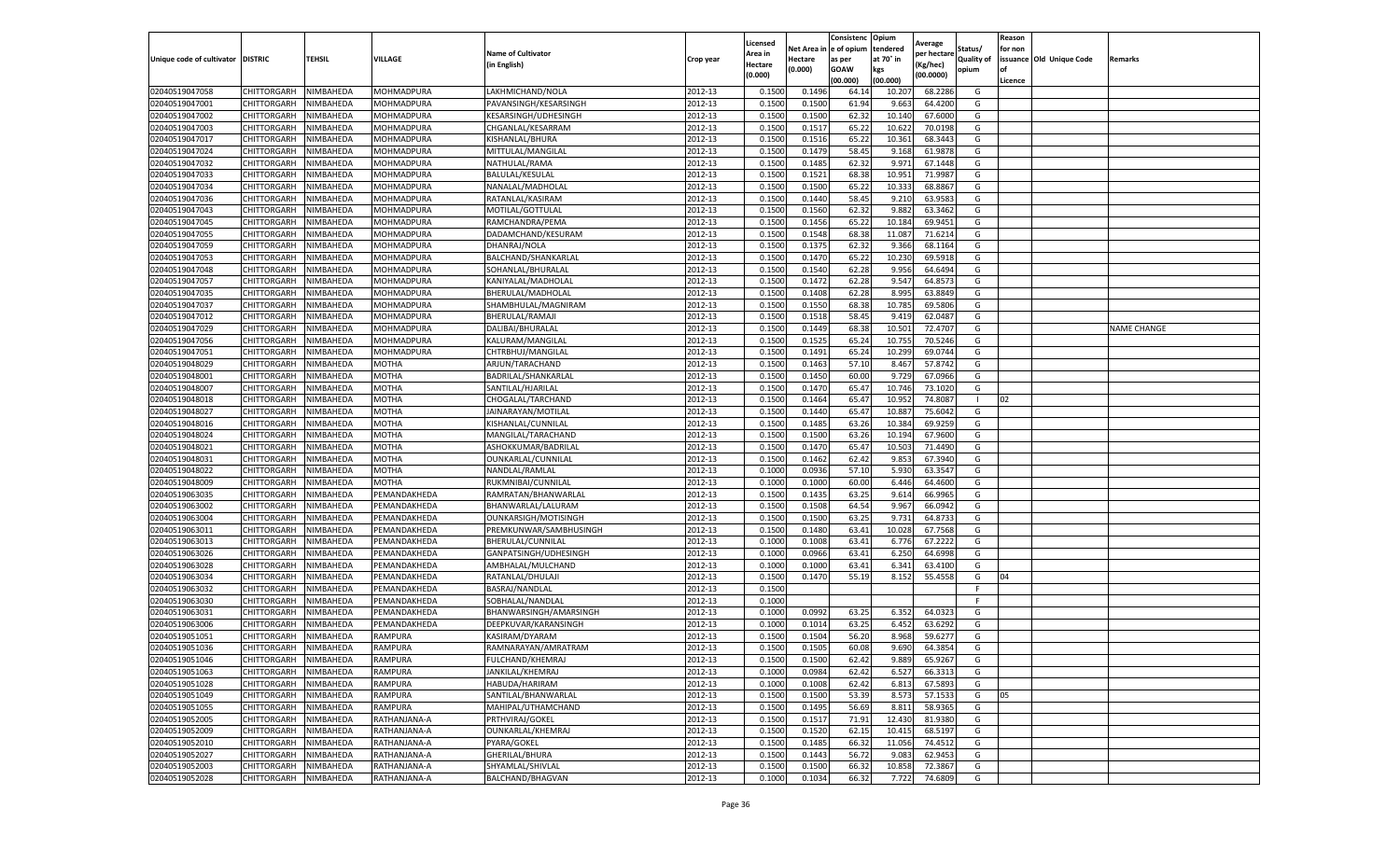|                                   |                    |           |                |                           |           | Licensed |         | Consistenc             | Opium     |                        |                   | Reason  |                          |                    |
|-----------------------------------|--------------------|-----------|----------------|---------------------------|-----------|----------|---------|------------------------|-----------|------------------------|-------------------|---------|--------------------------|--------------------|
|                                   |                    |           |                | <b>Name of Cultivator</b> |           | Area in  |         | Net Area in e of opium | tendered  | Average<br>per hectare | Status/           | for non |                          |                    |
| Unique code of cultivator DISTRIC |                    | TEHSIL    | VILLAGE        | in English)               | Crop year | Hectare  | Hectare | as per                 | at 70° in | (Kg/hec                | <b>Quality of</b> |         | issuance Old Unique Code | <b>Remarks</b>     |
|                                   |                    |           |                |                           |           | (0.000)  | (0.000) | <b>GOAW</b>            | kgs       | (00.0000)              | opium             |         |                          |                    |
|                                   |                    |           |                |                           |           |          |         | (00.000)               | (00.000)  |                        |                   | Licence |                          |                    |
| 02040519047058                    | CHITTORGARH        | NIMBAHEDA | MOHMADPURA     | LAKHMICHAND/NOLA          | 2012-13   | 0.1500   | 0.1496  | 64.14                  | 10.207    | 68.2286                | G                 |         |                          |                    |
| 02040519047001                    | CHITTORGARH        | NIMBAHEDA | MOHMADPURA     | PAVANSINGH/KESARSINGH     | 2012-13   | 0.1500   | 0.1500  | 61.94                  | 9.663     | 64.4200                | G                 |         |                          |                    |
| 02040519047002                    | CHITTORGARH        | NIMBAHEDA | MOHMADPURA     | KESARSINGH/UDHESINGH      | 2012-13   | 0.1500   | 0.1500  | 62.32                  | 10.14     | 67.6000                | G                 |         |                          |                    |
| 02040519047003                    | CHITTORGARH        | NIMBAHEDA | MOHMADPURA     | CHGANLAL/KESARRAM         | 2012-13   | 0.1500   | 0.1517  | 65.22                  | 10.622    | 70.0198                | G                 |         |                          |                    |
| 02040519047017                    | CHITTORGARH        | NIMBAHEDA | MOHMADPURA     | KISHANLAL/BHURA           | 2012-13   | 0.1500   | 0.1516  | 65.22                  | 10.361    | 68.3443                | G                 |         |                          |                    |
| 02040519047024                    | CHITTORGARH        | NIMBAHEDA | MOHMADPURA     | MITTULAL/MANGILAL         | 2012-13   | 0.1500   | 0.1479  | 58.45                  | 9.168     | 61.9878                | G                 |         |                          |                    |
| 02040519047032                    | CHITTORGARH        | NIMBAHEDA | MOHMADPURA     | NATHULAL/RAMA             | 2012-13   | 0.1500   | 0.1485  | 62.32                  | 9.971     | 67.1448                | G                 |         |                          |                    |
| 02040519047033                    | CHITTORGARH        | NIMBAHEDA | MOHMADPURA     | <b>BALULAL/KESULAL</b>    | 2012-13   | 0.1500   | 0.1521  | 68.38                  | 10.95     | 71.9987                | G                 |         |                          |                    |
| 02040519047034                    | CHITTORGARH        | NIMBAHEDA | MOHMADPURA     | NANALAL/MADHOLAL          | 2012-13   | 0.1500   | 0.1500  | 65.22                  | 10.33     | 68.8867                | G                 |         |                          |                    |
| 02040519047036                    | CHITTORGARH        | NIMBAHEDA | MOHMADPURA     | RATANLAL/KASIRAM          | 2012-13   | 0.1500   | 0.1440  | 58.45                  | 9.21      | 63.9583                | G                 |         |                          |                    |
| 02040519047043                    | CHITTORGARH        | NIMBAHEDA | MOHMADPURA     | MOTILAL/GOTTULAL          | 2012-13   | 0.1500   | 0.1560  | 62.32                  | 9.882     | 63.3462                | G                 |         |                          |                    |
| 02040519047045                    | CHITTORGARH        | NIMBAHEDA | MOHMADPURA     | RAMCHANDRA/PEMA           | 2012-13   | 0.1500   | 0.1456  | 65.22                  | 10.18     | 69.9451                | G                 |         |                          |                    |
| 02040519047055                    | CHITTORGARH        | NIMBAHEDA | MOHMADPURA     | DADAMCHAND/KESURAM        | 2012-13   | 0.1500   | 0.1548  | 68.38                  | 11.08     | 71.6214                | G                 |         |                          |                    |
| 02040519047059                    | CHITTORGARH        | NIMBAHEDA | MOHMADPURA     | DHANRAJ/NOLA              | 2012-13   | 0.1500   | 0.1375  | 62.32                  | 9.366     | 68.1164                | G                 |         |                          |                    |
| 02040519047053                    | CHITTORGARH        | NIMBAHEDA | MOHMADPURA     | BALCHAND/SHANKARLAL       | 2012-13   | 0.1500   | 0.1470  | 65.22                  | 10.23     | 69.5918                | G                 |         |                          |                    |
| 02040519047048                    | CHITTORGARH        | NIMBAHEDA | MOHMADPURA     | SOHANLAL/BHURALAL         | 2012-13   | 0.1500   | 0.1540  | 62.28                  | 9.956     | 64.6494                | G                 |         |                          |                    |
| 02040519047057                    | CHITTORGARH        | NIMBAHEDA | MOHMADPURA     | KANIYALAL/MADHOLAL        | 2012-13   | 0.1500   | 0.1472  | 62.28                  | 9.547     | 64.857                 | G                 |         |                          |                    |
| 02040519047035                    | CHITTORGARH        | NIMBAHEDA | MOHMADPURA     | BHERULAL/MADHOLAL         | 2012-13   | 0.1500   | 0.1408  | 62.28                  | 8.995     | 63.8849                | G                 |         |                          |                    |
| 02040519047037                    | CHITTORGARH        | NIMBAHEDA | MOHMADPURA     | SHAMBHULAL/MAGNIRAM       | 2012-13   | 0.1500   | 0.1550  | 68.38                  | 10.78     | 69.5806                | G                 |         |                          |                    |
| 02040519047012                    | CHITTORGARH        | NIMBAHEDA | MOHMADPURA     | BHERULAL/RAMAJI           | 2012-13   | 0.1500   | 0.1518  | 58.45                  | 9.419     | 62.0487                | G                 |         |                          |                    |
| 02040519047029                    | CHITTORGARH        | NIMBAHEDA | MOHMADPURA     | DALIBAI/BHURALAL          | 2012-13   | 0.1500   | 0.1449  | 68.38                  | 10.501    | 72.4707                | G                 |         |                          | <b>NAME CHANGE</b> |
| 02040519047056                    | CHITTORGARH        | NIMBAHEDA | MOHMADPURA     | KALURAM/MANGILAI          | 2012-13   | 0.1500   | 0.1525  | 65.24                  | 10.75     | 70.5246                | G                 |         |                          |                    |
| 02040519047051                    | CHITTORGARH        | NIMBAHEDA | MOHMADPURA     | CHTRBHUJ/MANGILAL         | 2012-13   | 0.1500   | 0.1491  | 65.24                  | 10.299    | 69.0744                | G                 |         |                          |                    |
| 02040519048029                    | CHITTORGARH        | NIMBAHEDA | MOTHA          | ARJUN/TARACHAND           | 2012-13   | 0.1500   | 0.1463  | 57.10                  | 8.467     | 57.8742                | G                 |         |                          |                    |
| 02040519048001                    | CHITTORGARH        | NIMBAHEDA | MOTHA          | BADRILAL/SHANKARLAL       | 2012-13   | 0.1500   | 0.1450  | 60.00                  | 9.72      | 67.0966                | G                 |         |                          |                    |
| 02040519048007                    | CHITTORGARH        | NIMBAHEDA | MOTHA          | SANTILAL/HJARILAL         | 2012-13   | 0.1500   | 0.1470  | 65.47                  | 10.746    | 73.1020                | G                 |         |                          |                    |
| 02040519048018                    | CHITTORGARH        | NIMBAHEDA | MOTHA          | CHOGALAL/TARCHAND         | 2012-13   | 0.1500   | 0.1464  | 65.47                  | 10.95     | 74.8087                | $\blacksquare$    | 02      |                          |                    |
| 02040519048027                    | CHITTORGARH        | NIMBAHEDA | MOTHA          | JAINARAYAN/MOTILAL        | 2012-13   | 0.1500   | 0.1440  | 65.47                  | 10.887    | 75.6042                | G                 |         |                          |                    |
| 02040519048016                    | CHITTORGARH        | NIMBAHEDA | MOTHA          | KISHANLAL/CUNNILAL        | 2012-13   | 0.1500   | 0.1485  | 63.26                  | 10.384    | 69.9259                | G                 |         |                          |                    |
| 02040519048024                    | CHITTORGARH        | NIMBAHEDA | MOTHA          | MANGILAL/TARACHAND        | 2012-13   | 0.1500   | 0.1500  | 63.26                  | 10.194    | 67.9600                | G                 |         |                          |                    |
| 02040519048021                    | CHITTORGARH        | NIMBAHEDA | MOTHA          | ASHOKKUMAR/BADRILAI       | 2012-13   | 0.1500   | 0.1470  | 65.47                  | 10.503    | 71.4490                | G                 |         |                          |                    |
| 02040519048031                    | CHITTORGARH        | NIMBAHEDA | MOTHA          | OUNKARLAL/CUNNILAL        | 2012-13   | 0.1500   | 0.1462  | 62.42                  | 9.853     | 67.3940                | G                 |         |                          |                    |
| 02040519048022                    | CHITTORGARH        | NIMBAHEDA | MOTHA          | NANDLAL/RAMLAL            | 2012-13   | 0.1000   | 0.0936  | 57.10                  | 5.93      | 63.3547                | G                 |         |                          |                    |
| 02040519048009                    | CHITTORGARH        | NIMBAHEDA | MOTHA          | RUKMNIBAI/CUNNILAL        | 2012-13   | 0.1000   | 0.1000  | 60.00                  | 6.446     | 64.4600                | G                 |         |                          |                    |
| 02040519063035                    | CHITTORGARH        | NIMBAHEDA | PEMANDAKHEDA   | RAMRATAN/BHANWARLAL       | 2012-13   | 0.1500   | 0.1435  | 63.25                  | 9.614     | 66.9965                | G                 |         |                          |                    |
| 02040519063002                    | CHITTORGARH        | NIMBAHEDA | PEMANDAKHEDA   | BHANWARLAL/LALURAM        | 2012-13   | 0.1500   | 0.1508  | 64.54                  | 9.967     | 66.0942                | G                 |         |                          |                    |
| 02040519063004                    | CHITTORGARH        | NIMBAHEDA | PEMANDAKHEDA   | OUNKARSIGH/MOTISINGH      | 2012-13   | 0.1500   | 0.1500  | 63.25                  | 9.731     | 64.8733                | G                 |         |                          |                    |
| 02040519063011                    | CHITTORGARH        | NIMBAHEDA | PEMANDAKHEDA   | PREMKUNWAR/SAMBHUSINGH    | 2012-13   | 0.1500   | 0.1480  | 63.41                  | 10.02     | 67.7568                | G                 |         |                          |                    |
| 02040519063013                    | CHITTORGARH        | NIMBAHEDA | PEMANDAKHEDA   | BHERULAL/CUNNILAL         | 2012-13   | 0.1000   | 0.1008  | 63.41                  | 6.776     | 67.2222                | G                 |         |                          |                    |
| 02040519063026                    | CHITTORGARH        | NIMBAHEDA | PEMANDAKHEDA   | GANPATSINGH/UDHESINGH     | 2012-13   | 0.1000   | 0.0966  | 63.41                  | 6.250     | 64.6998                | G                 |         |                          |                    |
| 02040519063028                    | CHITTORGARH        | NIMBAHEDA | PEMANDAKHEDA   | AMBHALAL/MULCHAND         | 2012-13   | 0.1000   | 0.1000  | 63.41                  | 6.341     | 63.4100                | G                 |         |                          |                    |
| 02040519063034                    | CHITTORGARH        | NIMBAHEDA | PEMANDAKHEDA   | RATANLAL/DHULAJI          | 2012-13   | 0.1500   | 0.1470  | 55.19                  | 8.152     | 55.4558                | G                 | 04      |                          |                    |
| 02040519063032                    | CHITTORGARH        | NIMBAHEDA | PEMANDAKHEDA   | BASRAJ/NANDLAL            | 2012-13   | 0.1500   |         |                        |           |                        | F                 |         |                          |                    |
| 02040519063030                    | CHITTORGARH        | NIMBAHEDA | PEMANDAKHEDA   | SOBHALAL/NANDLAL          | 2012-13   | 0.1000   |         |                        |           |                        | F                 |         |                          |                    |
| 02040519063031                    | CHITTORGARH        | NIMBAHEDA | PEMANDAKHEDA   | BHANWARSINGH/AMARSINGH    | 2012-13   | 0.1000   | 0.0992  | 63.25                  | 6.352     | 64.0323                | G                 |         |                          |                    |
| 02040519063006                    | CHITTORGARH        | NIMBAHEDA | PEMANDAKHEDA   | DEEPKUVAR/KARANSINGH      | 2012-13   | 0.1000   | 0.1014  | 63.25                  | 6.452     | 63.6292                | G                 |         |                          |                    |
| 02040519051051                    | CHITTORGARH        | NIMBAHEDA | RAMPURA        | KASIRAM/DYARAM            | 2012-13   | 0.1500   | 0.1504  | 56.20                  | 8.968     | 59.6277                | G                 |         |                          |                    |
| 02040519051036                    | CHITTORGARH        | NIMBAHEDA | <b>RAMPURA</b> | RAMNARAYAN/AMRATRAM       | 2012-13   | 0.1500   | 0.1505  | 60.08                  | 9.690     | 64.3854                | G                 |         |                          |                    |
| 02040519051046                    | CHITTORGARH        | NIMBAHEDA | <b>RAMPURA</b> | <b>FULCHAND/KHEMRAJ</b>   | 2012-13   | 0.1500   | 0.1500  | 62.42                  | 9.889     | 65.9267                | G                 |         |                          |                    |
| 02040519051063                    | CHITTORGARH        | NIMBAHEDA | RAMPURA        | JANKILAL/KHEMRAJ          | 2012-13   | 0.1000   | 0.0984  | 62.42                  | 6.527     | 66.3313                | G                 |         |                          |                    |
| 02040519051028                    | CHITTORGARH        | NIMBAHEDA | RAMPURA        | HABUDA/HARIRAM            | 2012-13   | 0.1000   | 0.1008  | 62.42                  | 6.813     | 67.5893                | G                 |         |                          |                    |
| 02040519051049                    | CHITTORGARH        | NIMBAHEDA | RAMPURA        | SANTILAL/BHANWARLAL       | 2012-13   | 0.1500   | 0.1500  | 53.39                  | 8.573     | 57.1533                | G                 | 05      |                          |                    |
| 02040519051055                    | CHITTORGARH        | NIMBAHEDA | RAMPURA        | MAHIPAL/UTHAMCHAND        | 2012-13   | 0.1500   | 0.1495  | 56.69                  | 8.811     | 58.9365                | G                 |         |                          |                    |
| 02040519052005                    | <b>CHITTORGARH</b> | NIMBAHEDA | RATHANJANA-A   | PRTHVIRAJ/GOKEL           | 2012-13   | 0.1500   | 0.1517  | 71.91                  | 12.430    | 81.9380                | G                 |         |                          |                    |
| 02040519052009                    | CHITTORGARH        | NIMBAHEDA | RATHANJANA-A   | OUNKARLAL/KHEMRAJ         | 2012-13   | 0.1500   | 0.1520  | 62.15                  | 10.415    | 68.5197                | G                 |         |                          |                    |
| 02040519052010                    | <b>CHITTORGARH</b> | NIMBAHEDA | RATHANJANA-A   | PYARA/GOKEL               | 2012-13   | 0.1500   | 0.1485  | 66.32                  | 11.056    | 74.4512                | G                 |         |                          |                    |
| 02040519052027                    | CHITTORGARH        | NIMBAHEDA | RATHANJANA-A   | GHERILAL/BHURA            | 2012-13   | 0.1500   | 0.1443  | 56.72                  | 9.083     | 62.9453                | G                 |         |                          |                    |
| 02040519052003                    | <b>CHITTORGARH</b> | NIMBAHEDA | RATHANJANA-A   | SHYAMLAL/SHIVLAL          | 2012-13   | 0.1500   | 0.1500  | 66.32                  | 10.85     | 72.3867                | G                 |         |                          |                    |
| 02040519052028                    | <b>CHITTORGARH</b> | NIMBAHEDA | RATHANJANA-A   | BALCHAND/BHAGVAN          | 2012-13   | 0.1000   | 0.1034  | 66.32                  | 7.722     | 74.6809                | G                 |         |                          |                    |
|                                   |                    |           |                |                           |           |          |         |                        |           |                        |                   |         |                          |                    |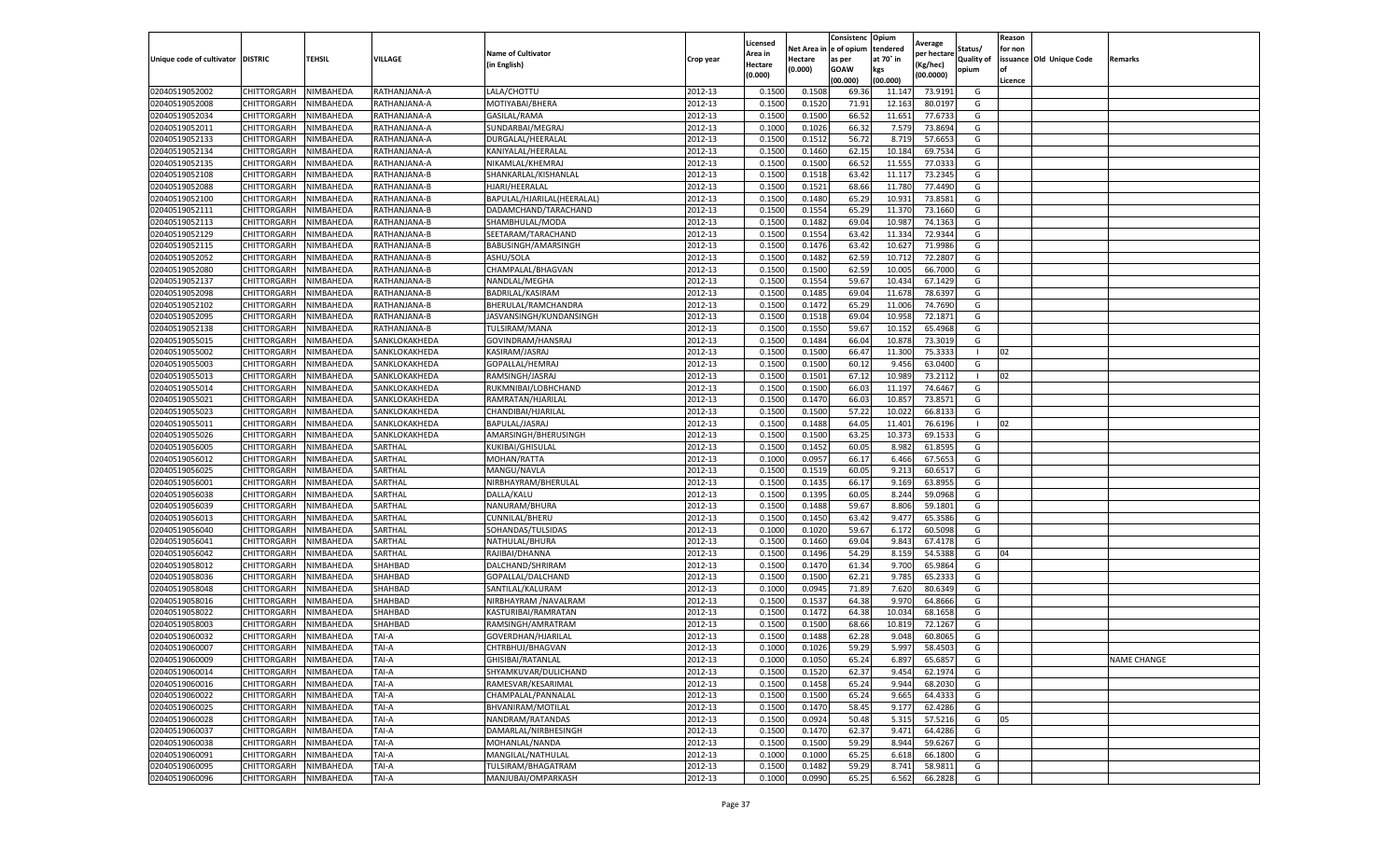|                                   |                            |                        |                                |                            |           | Licensed |         | Consistenc             | Opium     |                        |                   | Reason  |                          |                    |
|-----------------------------------|----------------------------|------------------------|--------------------------------|----------------------------|-----------|----------|---------|------------------------|-----------|------------------------|-------------------|---------|--------------------------|--------------------|
|                                   |                            |                        |                                | <b>Name of Cultivator</b>  |           | Area in  |         | Net Area in e of opium | tendered  | Average<br>per hectare | Status/           | for non |                          |                    |
| Unique code of cultivator DISTRIC |                            | TEHSIL                 | VILLAGE                        | in English)                | Crop year | Hectare  | Hectare | as per                 | at 70° in | (Kg/hec                | <b>Quality of</b> |         | issuance Old Unique Code | <b>Remarks</b>     |
|                                   |                            |                        |                                |                            |           | (0.000)  | (0.000) | <b>GOAW</b>            | kgs       | (00.0000)              | opium             |         |                          |                    |
|                                   |                            |                        |                                |                            |           |          |         | (00.000)               | (00.000)  |                        |                   | Licence |                          |                    |
| 02040519052002                    | CHITTORGARH                | NIMBAHEDA              | RATHANJANA-A                   | LALA/CHOTTU                | 2012-13   | 0.1500   | 0.1508  | 69.36                  | 11.14     | 73.9191                | G                 |         |                          |                    |
| 02040519052008                    | CHITTORGARH                | NIMBAHEDA              | RATHANJANA-A                   | MOTIYABAI/BHERA            | 2012-13   | 0.1500   | 0.1520  | 71.91                  | 12.16     | 80.0197                | G                 |         |                          |                    |
| 02040519052034                    | CHITTORGARH                | NIMBAHEDA              | RATHANJANA-A                   | GASILAL/RAMA               | 2012-13   | 0.1500   | 0.1500  | 66.52                  | 11.651    | 77.6733                | G                 |         |                          |                    |
| 02040519052011                    | CHITTORGARH                | NIMBAHEDA              | RATHANJANA-A                   | SUNDARBAI/MEGRAJ           | 2012-13   | 0.1000   | 0.1026  | 66.32                  | 7.579     | 73.8694                | G                 |         |                          |                    |
| 02040519052133                    | CHITTORGARH                | NIMBAHEDA              | RATHANJANA-A                   | DURGALAL/HEERALAI          | 2012-13   | 0.1500   | 0.1512  | 56.72                  | 8.719     | 57.6653                | G                 |         |                          |                    |
| 02040519052134                    | CHITTORGARH                | NIMBAHEDA              | RATHANJANA-A                   | KANIYALAL/HEERALAI         | 2012-13   | 0.1500   | 0.1460  | 62.15                  | 10.18     | 69.7534                | G                 |         |                          |                    |
| 02040519052135                    | CHITTORGARH                | NIMBAHEDA              | RATHANJANA-A                   | NIKAMLAL/KHEMRAJ           | 2012-13   | 0.1500   | 0.1500  | 66.52                  | 11.555    | 77.0333                | G                 |         |                          |                    |
| 02040519052108                    | CHITTORGARH                | NIMBAHEDA              | RATHANJANA-B                   | SHANKARLAL/KISHANLAL       | 2012-13   | 0.1500   | 0.1518  | 63.42                  | 11.11     | 73.2345                | G                 |         |                          |                    |
| 02040519052088                    | CHITTORGARH                | NIMBAHEDA              | RATHANJANA-B                   | HJARI/HEERALAL             | 2012-13   | 0.1500   | 0.1521  | 68.66                  | 11.78     | 77.4490                | G                 |         |                          |                    |
| 02040519052100                    | CHITTORGARH                | NIMBAHEDA              | RATHANJANA-B                   | BAPULAL/HJARILAL(HEERALAL) | 2012-13   | 0.1500   | 0.1480  | 65.29                  | 10.931    | 73.8581                | G                 |         |                          |                    |
| 02040519052111                    | CHITTORGARH                | NIMBAHEDA              | RATHANJANA-B                   | DADAMCHAND/TARACHAND       | 2012-13   | 0.1500   | 0.1554  | 65.29                  | 11.37     | 73.1660                | G                 |         |                          |                    |
| 02040519052113                    | CHITTORGARH                | NIMBAHEDA              | RATHANJANA-B                   | SHAMBHULAL/MODA            | 2012-13   | 0.1500   | 0.1482  | 69.04                  | 10.98     | 74.1363                | G                 |         |                          |                    |
| 02040519052129                    | CHITTORGARH                | NIMBAHEDA              | RATHANJANA-B                   | SEETARAM/TARACHAND         | 2012-13   | 0.1500   | 0.1554  | 63.42                  | 11.33     | 72.9344                | G                 |         |                          |                    |
| 02040519052115                    | CHITTORGARH                | NIMBAHEDA              | RATHANJANA-B                   | BABUSINGH/AMARSINGH        | 2012-13   | 0.1500   | 0.1476  | 63.42                  | 10.62     | 71.9986                | G                 |         |                          |                    |
| 02040519052052                    | CHITTORGARH                | NIMBAHEDA              | RATHANJANA-B                   | ASHU/SOLA                  | 2012-13   | 0.1500   | 0.1482  | 62.59                  | 10.71     | 72.2807                | G                 |         |                          |                    |
| 02040519052080                    | CHITTORGARH                | NIMBAHEDA              | RATHANJANA-B                   | CHAMPALAL/BHAGVAN          | 2012-13   | 0.1500   | 0.1500  | 62.59                  | 10.005    | 66.7000                | G                 |         |                          |                    |
| 02040519052137                    | CHITTORGARH                | NIMBAHEDA              | RATHANJANA-B                   | NANDLAL/MEGHA              | 2012-13   | 0.1500   | 0.1554  | 59.67                  | 10.434    | 67.1429                | G                 |         |                          |                    |
| 02040519052098                    | CHITTORGARH                | NIMBAHEDA              | RATHANJANA-B                   | BADRILAL/KASIRAM           | 2012-13   | 0.1500   | 0.1485  | 69.04                  | 11.67     | 78.6397                | G                 |         |                          |                    |
| 02040519052102                    | CHITTORGARH                | NIMBAHEDA              | RATHANJANA-B                   | BHERULAL/RAMCHANDRA        | 2012-13   | 0.1500   | 0.1472  | 65.29                  | 11.00     | 74.7690                | G                 |         |                          |                    |
| 02040519052095                    | CHITTORGARH                | NIMBAHEDA              | RATHANJANA-B                   | JASVANSINGH/KUNDANSINGH    | 2012-13   | 0.1500   | 0.1518  | 69.04                  | 10.958    | 72.1871                | G                 |         |                          |                    |
| 02040519052138                    | CHITTORGARH                | NIMBAHEDA              | RATHANJANA-B                   | TULSIRAM/MANA              | 2012-13   | 0.1500   | 0.1550  | 59.67                  | 10.152    | 65.4968                | G                 |         |                          |                    |
| 02040519055015                    | CHITTORGARH                | NIMBAHEDA              | SANKLOKAKHEDA                  | GOVINDRAM/HANSRAJ          | 2012-13   | 0.1500   | 0.1484  | 66.04                  | 10.87     | 73.3019                | G                 |         |                          |                    |
| 02040519055002                    | CHITTORGARH                | NIMBAHEDA              | SANKLOKAKHEDA                  | KASIRAM/JASRAJ             | 2012-13   | 0.1500   | 0.1500  | 66.47                  | 11.300    | 75.3333                | -1                | 02      |                          |                    |
| 02040519055003                    | CHITTORGARH                | NIMBAHEDA              | SANKLOKAKHEDA                  | GOPALLAL/HEMRAJ            | 2012-13   | 0.1500   | 0.1500  | 60.12                  | 9.456     | 63.0400                | G                 |         |                          |                    |
| 02040519055013                    | CHITTORGARH                | NIMBAHEDA              | SANKLOKAKHEDA                  | RAMSINGH/JASRAJ            | 2012-13   | 0.1500   | 0.1501  | 67.12                  | 10.98     | 73.2112                |                   | 02      |                          |                    |
| 02040519055014                    | CHITTORGARH                | NIMBAHEDA              | SANKLOKAKHEDA                  | RUKMNIBAI/LOBHCHAND        | 2012-13   | 0.1500   | 0.1500  | 66.03                  | 11.197    | 74.6467                | G                 |         |                          |                    |
| 02040519055021                    |                            |                        |                                | RAMRATAN/HJARILAI          | 2012-13   | 0.1500   | 0.1470  | 66.03                  | 10.85     | 73.8571                | G                 |         |                          |                    |
|                                   | CHITTORGARH<br>CHITTORGARH | NIMBAHEDA<br>NIMBAHEDA | SANKLOKAKHEDA<br>SANKLOKAKHEDA | CHANDIBAI/HJARILAL         | 2012-13   | 0.1500   | 0.1500  | 57.22                  | 10.022    | 66.8133                | G                 |         |                          |                    |
| 02040519055023                    |                            | NIMBAHEDA              | SANKLOKAKHEDA                  | BAPULAL/JASRAJ             |           |          |         |                        |           |                        |                   | 02      |                          |                    |
| 02040519055011                    | CHITTORGARH                |                        |                                |                            | 2012-13   | 0.1500   | 0.1488  | 64.05                  | 11.401    | 76.6196                | $\mathbf{I}$      |         |                          |                    |
| 02040519055026                    | CHITTORGARH                | NIMBAHEDA              | SANKLOKAKHEDA                  | AMARSINGH/BHERUSINGH       | 2012-13   | 0.1500   | 0.1500  | 63.25                  | 10.373    | 69.1533<br>61.8595     | G<br>G            |         |                          |                    |
| 02040519056005                    | CHITTORGARH                | NIMBAHEDA              | SARTHAL                        | KUKIBAI/GHISULAL           | 2012-13   | 0.1500   | 0.1452  | 60.05                  | 8.982     |                        |                   |         |                          |                    |
| 02040519056012                    | CHITTORGARH                | NIMBAHEDA              | SARTHAL                        | MOHAN/RATTA                | 2012-13   | 0.1000   | 0.0957  | 66.17                  | 6.466     | 67.5653                | G                 |         |                          |                    |
| 02040519056025                    | CHITTORGARH                | NIMBAHEDA              | SARTHAL                        | MANGU/NAVLA                | 2012-13   | 0.1500   | 0.1519  | 60.05                  | 9.213     | 60.6517                | G                 |         |                          |                    |
| 02040519056001                    | CHITTORGARH                | NIMBAHEDA              | SARTHAL                        | NIRBHAYRAM/BHERULAL        | 2012-13   | 0.1500   | 0.1435  | 66.17                  | 9.169     | 63.8955                | G                 |         |                          |                    |
| 02040519056038                    | CHITTORGARH                | NIMBAHEDA              | SARTHAL                        | DALLA/KALU                 | 2012-13   | 0.1500   | 0.1395  | 60.05                  | 8.244     | 59.0968                | G                 |         |                          |                    |
| 02040519056039                    | CHITTORGARH                | NIMBAHEDA              | SARTHAL                        | NANURAM/BHURA              | 2012-13   | 0.1500   | 0.1488  | 59.67                  | 8.806     | 59.1801                | G                 |         |                          |                    |
| 02040519056013                    | CHITTORGARH                | NIMBAHEDA              | SARTHAL                        | CUNNILAL/BHERU             | 2012-13   | 0.1500   | 0.1450  | 63.42                  | 9.477     | 65.3586                | G                 |         |                          |                    |
| 02040519056040                    | CHITTORGARH                | NIMBAHEDA              | SARTHAL                        | SOHANDAS/TULSIDAS          | 2012-13   | 0.1000   | 0.1020  | 59.67                  | 6.172     | 60.5098                | G                 |         |                          |                    |
| 02040519056041                    | CHITTORGARH                | NIMBAHEDA              | SARTHAL                        | NATHULAL/BHURA             | 2012-13   | 0.1500   | 0.1460  | 69.04                  | 9.843     | 67.4178                | G                 |         |                          |                    |
| 02040519056042                    | CHITTORGARH                | NIMBAHEDA              | SARTHAL                        | RAJIBAI/DHANNA             | 2012-13   | 0.1500   | 0.1496  | 54.29                  | 8.159     | 54.5388                | G                 | 04      |                          |                    |
| 02040519058012                    | CHITTORGARH                | NIMBAHEDA              | SHAHBAD                        | DALCHAND/SHRIRAM           | 2012-13   | 0.1500   | 0.1470  | 61.34                  | 9.700     | 65.9864                | G                 |         |                          |                    |
| 02040519058036                    | CHITTORGARH                | NIMBAHEDA              | SHAHBAD                        | GOPALLAL/DALCHAND          | 2012-13   | 0.1500   | 0.1500  | 62.21                  | 9.785     | 65.2333                | G                 |         |                          |                    |
| 02040519058048                    | CHITTORGARH                | NIMBAHEDA              | SHAHBAD                        | SANTILAL/KALURAM           | 2012-13   | 0.1000   | 0.0945  | 71.89                  | 7.620     | 80.6349                | G                 |         |                          |                    |
| 02040519058016                    | CHITTORGARH                | NIMBAHEDA              | SHAHBAD                        | NIRBHAYRAM / NAVALRAM      | 2012-13   | 0.1500   | 0.1537  | 64.38                  | 9.97      | 64.8666                | G                 |         |                          |                    |
| 02040519058022                    | CHITTORGARH                | NIMBAHEDA              | SHAHBAD                        | KASTURIBAI/RAMRATAN        | 2012-13   | 0.1500   | 0.1472  | 64.38                  | 10.034    | 68.1658                | G                 |         |                          |                    |
| 02040519058003                    | CHITTORGARH                | NIMBAHEDA              | SHAHBAD                        | RAMSINGH/AMRATRAM          | 2012-13   | 0.1500   | 0.1500  | 68.66                  | 10.81     | 72.1267                | G                 |         |                          |                    |
| 02040519060032                    | CHITTORGARH                | NIMBAHEDA              | TAI-A                          | GOVERDHAN/HJARILAL         | 2012-13   | 0.1500   | 0.1488  | 62.28                  | 9.048     | 60.8065                | G                 |         |                          |                    |
| 02040519060007                    | CHITTORGARH                | NIMBAHEDA              | TAI-A                          | CHTRBHUJ/BHAGVAN           | 2012-13   | 0.1000   | 0.1026  | 59.29                  | 5.997     | 58.4503                | G                 |         |                          |                    |
| 02040519060009                    | CHITTORGARH NIMBAHEDA      |                        | TAI-A                          | GHISIBAI/RATANLAL          | 2012-13   | 0.1000   | 0.1050  | 65.24                  | 6.897     | 65.6857                | G                 |         |                          | <b>NAME CHANGE</b> |
| 02040519060014                    | CHITTORGARH                | NIMBAHEDA              | TAI-A                          | SHYAMKUVAR/DULICHAND       | 2012-13   | 0.1500   | 0.1520  | 62.37                  | 9.454     | 62.1974                | G                 |         |                          |                    |
| 02040519060016                    | CHITTORGARH                | NIMBAHEDA              | TAI-A                          | RAMESVAR/KESARIMAL         | 2012-13   | 0.1500   | 0.1458  | 65.24                  | 9.944     | 68.2030                | G                 |         |                          |                    |
| 02040519060022                    | CHITTORGARH                | NIMBAHEDA              | TAI-A                          | CHAMPALAL/PANNALAL         | 2012-13   | 0.1500   | 0.1500  | 65.24                  | 9.665     | 64.4333                | G                 |         |                          |                    |
| 02040519060025                    | CHITTORGARH                | NIMBAHEDA              | TAI-A                          | BHVANIRAM/MOTILAL          | 2012-13   | 0.1500   | 0.1470  | 58.45                  | 9.177     | 62.4286                | G                 |         |                          |                    |
| 02040519060028                    | <b>CHITTORGARH</b>         | NIMBAHEDA              | TAI-A                          | NANDRAM/RATANDAS           | 2012-13   | 0.1500   | 0.0924  | 50.48                  | 5.315     | 57.5216                | G                 | 05      |                          |                    |
| 02040519060037                    | CHITTORGARH                | NIMBAHEDA              | TAI-A                          | DAMARLAL/NIRBHESINGH       | 2012-13   | 0.1500   | 0.1470  | 62.37                  | 9.471     | 64.4286                | G                 |         |                          |                    |
| 02040519060038                    | CHITTORGARH                | NIMBAHEDA              | TAI-A                          | MOHANLAL/NANDA             | 2012-13   | 0.1500   | 0.1500  | 59.29                  | 8.944     | 59.6267                | G                 |         |                          |                    |
| 02040519060091                    | CHITTORGARH                | NIMBAHEDA              | TAI-A                          | MANGILAL/NATHULAL          | 2012-13   | 0.1000   | 0.1000  | 65.25                  | 6.618     | 66.1800                | G                 |         |                          |                    |
| 02040519060095                    | CHITTORGARH                | NIMBAHEDA              | TAI-A                          | TULSIRAM/BHAGATRAM         | 2012-13   | 0.1500   | 0.1482  | 59.29                  | 8.741     | 58.9811                | G                 |         |                          |                    |
| 02040519060096                    | <b>CHITTORGARH</b>         | NIMBAHEDA              | TAI-A                          | MANJUBAI/OMPARKASH         | 2012-13   | 0.1000   | 0.0990  | 65.25                  | 6.562     | 66.2828                | G                 |         |                          |                    |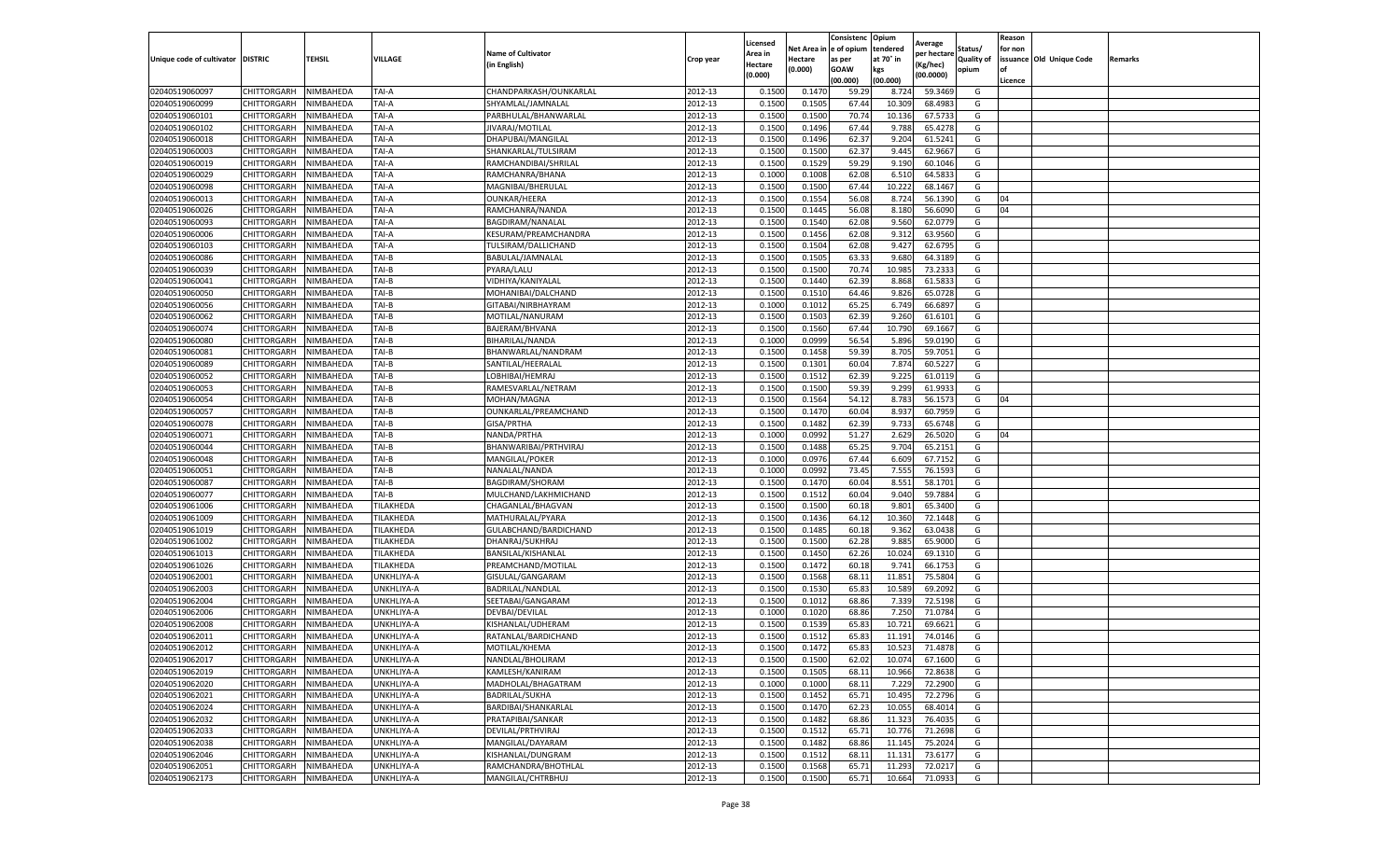|                                   |                            |           |            |                                          |                    | Licensed |                  | Consistenc     | Opium     |                        |                   | Reason  |                          |         |
|-----------------------------------|----------------------------|-----------|------------|------------------------------------------|--------------------|----------|------------------|----------------|-----------|------------------------|-------------------|---------|--------------------------|---------|
|                                   |                            |           |            | <b>Name of Cultivator</b>                |                    | Area in  | Net Area i       | e of opium     | tendered  | Average<br>per hectare | Status/           | for non |                          |         |
| Unique code of cultivator DISTRIC |                            | TEHSIL    | VILLAGE    | (in English)                             | Crop year          | Hectare  | Hectare          | as per         | at 70° in | Kg/hec)                | <b>Quality of</b> |         | issuance Old Unique Code | Remarks |
|                                   |                            |           |            |                                          |                    | (0.000)  | (0.000)          | <b>GOAW</b>    | kgs       | (00.0000)              | opium             |         |                          |         |
|                                   |                            |           |            |                                          |                    |          |                  | (00.000        | (00.000)  |                        |                   | Licence |                          |         |
| 02040519060097                    | CHITTORGARH                | NIMBAHEDA | TAI-A      | CHANDPARKASH/OUNKARLAL                   | 2012-13            | 0.1500   | 0.147            | 59.29          | 8.724     | 59.3469                | G                 |         |                          |         |
| 02040519060099                    | CHITTORGARH                | NIMBAHEDA | TAI-A      | SHYAMLAL/JAMNALAL                        | 2012-13            | 0.150    | 0.150            | 67.44          | 10.309    | 68.4983                | G                 |         |                          |         |
| 02040519060101                    | CHITTORGARH                | NIMBAHEDA | TAI-A      | PARBHULAL/BHANWARLAL                     | 2012-13            | 0.1500   | 0.1500           | 70.74          | 10.136    | 67.5733                | G                 |         |                          |         |
| 02040519060102                    | CHITTORGARH                | NIMBAHEDA | TAI-A      | JIVARAJ/MOTILAL                          | 2012-13            | 0.1500   | 0.1496           | 67.44          | 9.788     | 65.4278                | G                 |         |                          |         |
| 02040519060018                    | CHITTORGARH                | NIMBAHEDA | TAI-A      | DHAPUBAI/MANGILAL                        | 2012-13            | 0.1500   | 0.1496           | 62.37          | 9.204     | 61.5241                | G                 |         |                          |         |
| 02040519060003                    | CHITTORGARH                | NIMBAHEDA | TAI-A      | SHANKARLAL/TULSIRAM                      | 2012-13            | 0.1500   | 0.1500           | 62.37          | 9.445     | 62.9667                | G                 |         |                          |         |
| 02040519060019                    | CHITTORGARH                | NIMBAHEDA | TAI-A      | RAMCHANDIBAI/SHRILAI                     | 2012-13            | 0.1500   | 0.1529           | 59.29          | 9.190     | 60.1046                | G                 |         |                          |         |
| 02040519060029                    | CHITTORGARH                | NIMBAHEDA | TAI-A      | RAMCHANRA/BHANA                          | 2012-13            | 0.100    | 0.1008           | 62.08          | 6.510     | 64.583                 | G                 |         |                          |         |
| 02040519060098                    | CHITTORGARH                | NIMBAHEDA | TAI-A      | MAGNIBAI/BHERULAL                        | 2012-13            | 0.1500   | 0.1500           | 67.44          | 10.222    | 68.1467                | G                 |         |                          |         |
| 02040519060013                    | CHITTORGARH                | NIMBAHEDA | TAI-A      | OUNKAR/HEERA                             | 2012-13            | 0.1500   | 0.1554           | 56.08          | 8.724     | 56.1390                | G                 | 04      |                          |         |
| 02040519060026                    | CHITTORGARH                | NIMBAHEDA | TAI-A      | RAMCHANRA/NANDA                          | 2012-13            | 0.1500   | 0.1445           | 56.08          | 8.180     | 56.6090                | G                 | 04      |                          |         |
| 02040519060093                    | CHITTORGARH                | NIMBAHEDA | TAI-A      | BAGDIRAM/NANALAL                         | 2012-13            | 0.1500   | 0.1540           | 62.08          | 9.560     | 62.0779                | G                 |         |                          |         |
| 02040519060006                    | CHITTORGARH                | NIMBAHEDA | TAI-A      | KESURAM/PREAMCHANDRA                     | 2012-13            | 0.1500   | 0.1456           | 62.08          | 9.31      | 63.9560                | G                 |         |                          |         |
| 02040519060103                    | CHITTORGARH                | NIMBAHEDA | TAI-A      | TULSIRAM/DALLICHAND                      | 2012-13            | 0.1500   | 0.1504           | 62.08          | 9.427     | 62.6795                | G                 |         |                          |         |
| 02040519060086                    | CHITTORGARH                | NIMBAHEDA | TAI-B      | BABULAL/JAMNALAL                         | 2012-13            | 0.1500   | 0.1505           | 63.33          | 9.680     | 64.3189                | G                 |         |                          |         |
| 02040519060039                    | CHITTORGARH                | NIMBAHEDA | TAI-B      | PYARA/LALU                               | 2012-13            | 0.1500   | 0.1500           | 70.74          | 10.985    | 73.2333                | G                 |         |                          |         |
| 02040519060041                    | CHITTORGARH                | NIMBAHEDA | TAI-B      | VIDHIYA/KANIYALAL                        | 2012-13            | 0.1500   | 0.1440           | 62.39          | 8.868     | 61.583                 | G                 |         |                          |         |
| 02040519060050                    | CHITTORGARH                | NIMBAHEDA | TAI-B      | MOHANIBAI/DALCHAND                       | 2012-13            | 0.1500   | 0.1510           | 64.46          | 9.826     | 65.0728                | G                 |         |                          |         |
| 02040519060056                    | CHITTORGARH                | NIMBAHEDA | TAI-B      | GITABAI/NIRBHAYRAM                       | 2012-13            | 0.1000   | 0.1012           | 65.25          | 6.749     | 66.6897                | G                 |         |                          |         |
| 02040519060062                    | CHITTORGARH                | NIMBAHEDA | TAI-B      | MOTILAL/NANURAM                          | 2012-13            | 0.1500   | 0.1503           | 62.39          | 9.260     | 61.6101                | G                 |         |                          |         |
| 02040519060074                    | CHITTORGARH                | NIMBAHEDA | TAI-B      | BAJERAM/BHVANA                           | 2012-13            | 0.1500   | 0.1560           | 67.44          | 10.790    | 69.1667                | G                 |         |                          |         |
| 02040519060080                    | CHITTORGARH                | NIMBAHEDA | TAI-B      | BIHARILAL/NANDA                          | 2012-13            | 0.1000   | 0.0999           | 56.54          | 5.896     | 59.0190                | G                 |         |                          |         |
| 02040519060081                    | CHITTORGARH                | NIMBAHEDA | TAI-B      | BHANWARLAL/NANDRAM                       | 2012-13            | 0.1500   | 0.1458           | 59.39          | 8.705     | 59.7051                | G                 |         |                          |         |
| 02040519060089                    | CHITTORGARH                | NIMBAHEDA | TAI-B      | SANTILAL/HEERALAL                        | 2012-13            | 0.1500   | 0.1301           | 60.04          | 7.874     | 60.5227                | G                 |         |                          |         |
| 02040519060052                    | CHITTORGARH                | NIMBAHEDA | TAI-B      | LOBHIBAI/HEMRAJ                          | 2012-13            | 0.1500   | 0.1512           | 62.39          | 9.225     | 61.0119                | G                 |         |                          |         |
| 02040519060053                    | CHITTORGARH                | NIMBAHEDA | TAI-B      | RAMESVARLAL/NETRAM                       | 2012-13            | 0.1500   | 0.1500           | 59.39          | 9.299     | 61.9933                | G                 |         |                          |         |
| 02040519060054                    | CHITTORGARH                | NIMBAHEDA | TAI-B      | MOHAN/MAGNA                              | 2012-13            | 0.1500   | 0.1564           | 54.12          | 8.783     | 56.1573                | G                 | 04      |                          |         |
| 02040519060057                    | CHITTORGARH                | NIMBAHEDA | TAI-B      | OUNKARLAL/PREAMCHAND                     | 2012-13            | 0.1500   | 0.1470           | 60.04          | 8.937     | 60.7959                | G                 |         |                          |         |
| 02040519060078                    | CHITTORGARH                | NIMBAHEDA | TAI-B      | GISA/PRTHA                               | 2012-13            | 0.1500   | 0.1482           | 62.39          | 9.733     | 65.6748                | G                 |         |                          |         |
| 02040519060071                    | CHITTORGARH                | NIMBAHEDA | TAI-B      | NANDA/PRTHA                              | 2012-13            | 0.1000   | 0.0992           | 51.27          | 2.629     | 26.5020                | G                 | 04      |                          |         |
| 02040519060044                    | CHITTORGARH                | NIMBAHEDA | TAI-B      | BHANWARIBAI/PRTHVIRAJ                    | 2012-13            | 0.1500   | 0.1488           | 65.25          | 9.704     | 65.2151                | G                 |         |                          |         |
| 02040519060048                    | CHITTORGARH                | NIMBAHEDA | TAI-B      | MANGILAL/POKER                           | 2012-13            | 0.1000   | 0.0976           | 67.44          | 6.609     | 67.7152                | G                 |         |                          |         |
| 02040519060051                    | CHITTORGARH                | NIMBAHEDA | TAI-B      | NANALAL/NANDA                            | 2012-13            | 0.100    | 0.0992           | 73.45          | 7.555     | 76.1593                | G                 |         |                          |         |
| 02040519060087                    | CHITTORGARH                | NIMBAHEDA | TAI-B      | BAGDIRAM/SHORAM                          | 2012-13            | 0.1500   | 0.1470           | 60.04          | 8.551     | 58.1701                | G                 |         |                          |         |
| 02040519060077                    | CHITTORGARH                | NIMBAHEDA | TAI-B      | MULCHAND/LAKHMICHAND                     | 2012-13            | 0.1500   | 0.1512           | 60.04          | 9.040     | 59.7884                | G                 |         |                          |         |
| 02040519061006                    | CHITTORGARH                | NIMBAHEDA | TILAKHEDA  | CHAGANLAL/BHAGVAN                        | 2012-13            | 0.1500   | 0.1500           | 60.18          | 9.801     | 65.3400                | G                 |         |                          |         |
| 02040519061009                    | CHITTORGARH                | NIMBAHEDA | TILAKHEDA  | MATHURALAL/PYARA                         | 2012-13            | 0.1500   | 0.1436           | 64.12          | 10.360    | 72.1448                | G                 |         |                          |         |
| 02040519061019                    | CHITTORGARH                | NIMBAHEDA | TILAKHEDA  | GULABCHAND/BARDICHAND                    | 2012-13            | 0.1500   | 0.1485           | 60.18          | 9.362     | 63.0438                | G                 |         |                          |         |
| 02040519061002                    | CHITTORGARH                | NIMBAHEDA | TILAKHEDA  | DHANRAJ/SUKHRAJ                          | 2012-13            | 0.1500   | 0.1500           | 62.28          | 9.885     | 65.9000                | G                 |         |                          |         |
| 02040519061013                    | CHITTORGARH                | NIMBAHEDA | TILAKHEDA  | BANSILAL/KISHANLAL                       | 2012-13            | 0.1500   | 0.1450           | 62.26          | 10.024    | 69.1310                | G                 |         |                          |         |
| 02040519061026                    | CHITTORGARH                | NIMBAHEDA | TILAKHEDA  | PREAMCHAND/MOTILAL                       | 2012-13            | 0.1500   | 0.1472           | 60.18          | 9.741     | 66.1753                | G                 |         |                          |         |
| 02040519062001                    | CHITTORGARH                | NIMBAHEDA | UNKHLIYA-A | GISULAL/GANGARAM                         | 2012-13            | 0.1500   | 0.1568           | 68.11          | 11.851    | 75.5804                | G                 |         |                          |         |
| 02040519062003                    | CHITTORGARH                | NIMBAHEDA | UNKHLIYA-A | BADRILAL/NANDLAL                         | 2012-13            | 0.1500   | 0.1530           | 65.83          | 10.589    | 69.2092                | G                 |         |                          |         |
| 02040519062004                    | CHITTORGARH                | NIMBAHEDA | UNKHLIYA-A | SEETABAI/GANGARAM                        | 2012-13            | 0.1500   | 0.1012           | 68.86          | 7.339     | 72.5198                | G                 |         |                          |         |
| 02040519062006                    | CHITTORGARH                | NIMBAHEDA | UNKHLIYA-A | DEVBAI/DEVILAL                           | 2012-13            | 0.1000   | 0.1020           | 68.86          | 7.250     | 71.0784                | G                 |         |                          |         |
| 02040519062008                    | CHITTORGARH                | NIMBAHEDA | UNKHLIYA-A | KISHANLAL/UDHERAM                        | 2012-13            | 0.150    | 0.1539           | 65.83          | 10.721    | 69.6621                | G                 |         |                          |         |
| 02040519062011                    | CHITTORGARH                | NIMBAHEDA | UNKHLIYA-A | RATANLAL/BARDICHAND                      | 2012-13            | 0.1500   | 0.151            | 65.83          | 11.191    | 74.0146                | G                 |         |                          |         |
| 02040519062012                    | CHITTORGARH                | NIMBAHEDA | UNKHLIYA-A | MOTILAL/KHEMA                            | 2012-13            | 0.1500   | 0.1472           | 65.83          | 10.523    | 71.4878                | G                 |         |                          |         |
| 02040519062017                    | CHITTORGARH                | NIMBAHEDA | UNKHLIYA-A | NANDLAL/BHOLIRAM                         | 2012-13            | 0.1500   | 0.1500           | 62.02          | 10.074    | 67.1600                | G                 |         |                          |         |
| 02040519062019                    | CHITTORGARH                | NIMBAHEDA | UNKHLIYA-A | KAMLESH/KANIRAM                          | 2012-13            | 0.1500   | 0.1505           | 68.11          | 10.966    | 72.8638                | G                 |         |                          |         |
| 02040519062020                    | CHITTORGARH                | NIMBAHEDA | UNKHLIYA-A | MADHOLAL/BHAGATRAM                       | 2012-13            | 0.1000   | 0.1000           | 68.11          | 7.229     | 72.2900                | G                 |         |                          |         |
|                                   |                            |           |            |                                          |                    |          |                  |                |           |                        |                   |         |                          |         |
| 02040519062021                    | CHITTORGARH                | NIMBAHEDA | UNKHLIYA-A | <b>BADRILAL/SUKHA</b>                    | 2012-13            | 0.1500   | 0.1452           | 65.71          | 10.495    | 72.2796                | G                 |         |                          |         |
| 02040519062024<br>02040519062032  | CHITTORGARH                | NIMBAHEDA | UNKHLIYA-A | BARDIBAI/SHANKARLAL                      | 2012-13<br>2012-13 | 0.1500   | 0.1470<br>0.1482 | 62.23          | 10.055    | 68.4014                | G<br>G            |         |                          |         |
|                                   | CHITTORGARH                | NIMBAHEDA | UNKHLIYA-A | PRATAPIBAI/SANKAR                        |                    | 0.1500   |                  | 68.86          | 11.323    | 76.4035                |                   |         |                          |         |
| 02040519062033                    | CHITTORGARH                | NIMBAHEDA | UNKHLIYA-A | DEVILAL/PRTHVIRAJ                        | 2012-13            | 0.1500   | 0.1512           | 65.71          | 10.776    | 71.2698                | G                 |         |                          |         |
| 02040519062038                    | CHITTORGARH<br>CHITTORGARH | NIMBAHEDA | UNKHLIYA-A | MANGILAL/DAYARAM                         | 2012-13<br>2012-13 | 0.1500   | 0.1482<br>0.1512 | 68.86<br>68.11 | 11.145    | 75.2024                | G<br>G            |         |                          |         |
| 02040519062046<br>02040519062051  |                            | NIMBAHEDA | UNKHLIYA-A | KISHANLAL/DUNGRAM<br>RAMCHANDRA/BHOTHLAL |                    | 0.1500   |                  |                | 11.131    | 73.6177                |                   |         |                          |         |
|                                   | CHITTORGARH                | NIMBAHEDA | UNKHLIYA-A |                                          | 2012-13            | 0.1500   | 0.1568           | 65.7           | 11.293    | 72.0217                | G                 |         |                          |         |
| 02040519062173                    | CHITTORGARH                | NIMBAHEDA | UNKHLIYA-A | MANGILAL/CHTRBHUJ                        | 2012-13            | 0.1500   | 0.1500           | 65.71          | 10.664    | 71.0933                | G                 |         |                          |         |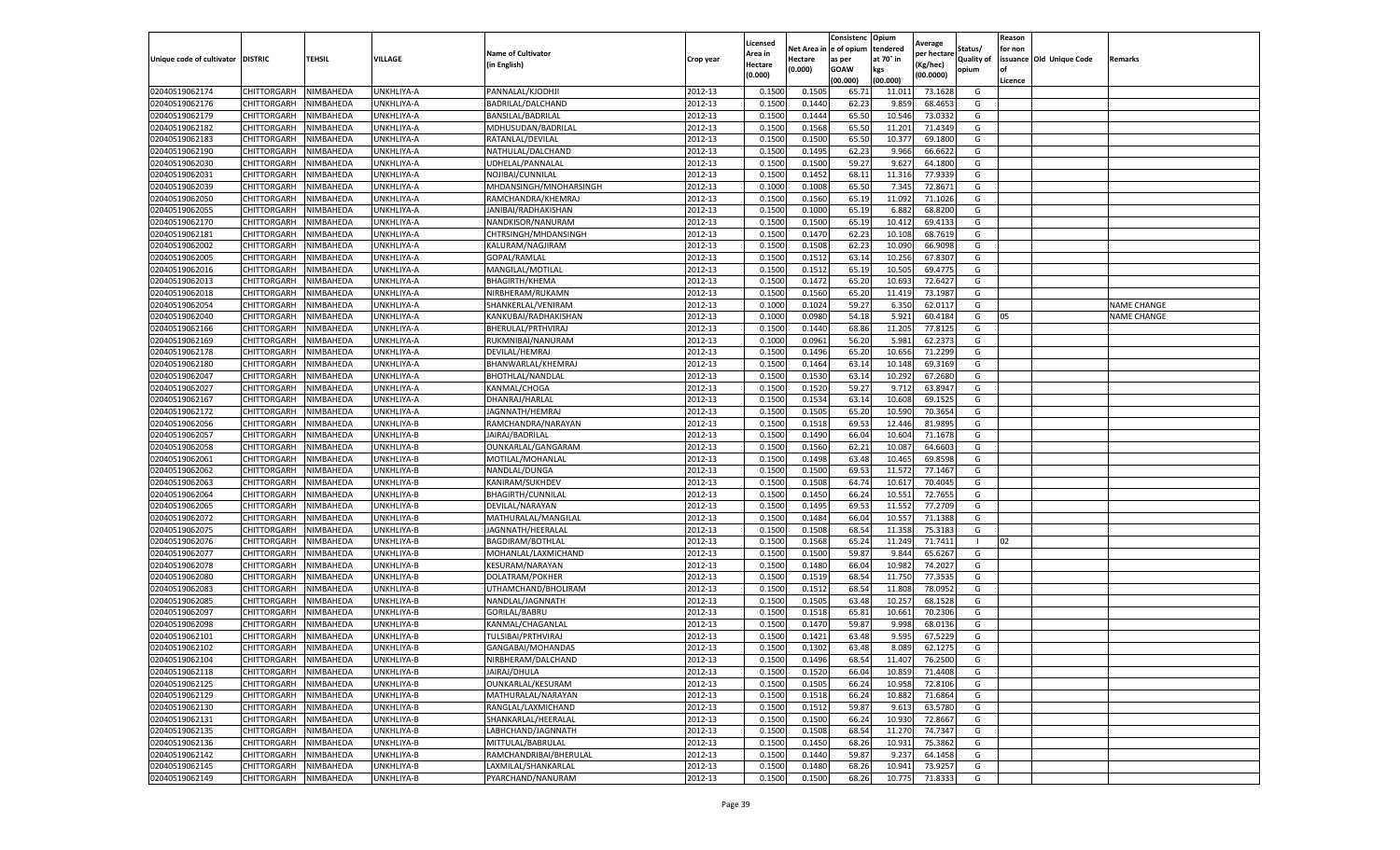|                           |                       |           |                   |                           |           | Licensed |         | Consistenc             | Opium     |                        |                   | Reason  |                          |                    |
|---------------------------|-----------------------|-----------|-------------------|---------------------------|-----------|----------|---------|------------------------|-----------|------------------------|-------------------|---------|--------------------------|--------------------|
|                           |                       |           |                   | <b>Name of Cultivator</b> |           | Area in  |         | Net Area in e of opium | tendered  | Average<br>per hectare | Status/           | for non |                          |                    |
| Unique code of cultivator | <b>DISTRIC</b>        | TEHSIL    | VILLAGE           | in English)               | Crop year | Hectare  | Hectare | as per                 | at 70° in | (Kg/hec                | <b>Quality of</b> |         | issuance Old Unique Code | <b>Remarks</b>     |
|                           |                       |           |                   |                           |           | (0.000)  | (0.000) | <b>GOAW</b>            | kgs       | (00.0000)              | opium             |         |                          |                    |
|                           |                       |           |                   |                           |           |          |         | (00.000)               | (00.000)  |                        |                   | Licence |                          |                    |
| 02040519062174            | CHITTORGARH           | NIMBAHEDA | UNKHLIYA-A        | PANNALAL/KJODHJI          | 2012-13   | 0.1500   | 0.1505  | 65.7                   | 11.01     | 73.1628                | G                 |         |                          |                    |
| 02040519062176            | CHITTORGARH           | NIMBAHEDA | UNKHLIYA-A        | BADRILAL/DALCHAND         | 2012-13   | 0.1500   | 0.1440  | 62.23                  | 9.85      | 68.4653                | G                 |         |                          |                    |
| 02040519062179            | CHITTORGARH           | NIMBAHEDA | UNKHLIYA-A        | BANSILAL/BADRILAL         | 2012-13   | 0.1500   | 0.1444  | 65.50                  | 10.546    | 73.0332                | G                 |         |                          |                    |
| 02040519062182            | CHITTORGARH           | NIMBAHEDA | UNKHLIYA-A        | MDHUSUDAN/BADRILAL        | 2012-13   | 0.1500   | 0.1568  | 65.50                  | 11.201    | 71.4349                | G                 |         |                          |                    |
| 02040519062183            | CHITTORGARH           | NIMBAHEDA | UNKHLIYA-A        | RATANLAL/DEVILAL          | 2012-13   | 0.1500   | 0.1500  | 65.50                  | 10.377    | 69.1800                | G                 |         |                          |                    |
| 02040519062190            | CHITTORGARH           | NIMBAHEDA | UNKHLIYA-A        | NATHULAL/DALCHAND         | 2012-13   | 0.1500   | 0.1495  | 62.23                  | 9.966     | 66.6622                | G                 |         |                          |                    |
| 02040519062030            | CHITTORGARH           | NIMBAHEDA | UNKHLIYA-A        | UDHELAL/PANNALAI          | 2012-13   | 0.1500   | 0.1500  | 59.27                  | 9.627     | 64.1800                | G                 |         |                          |                    |
| 02040519062031            | CHITTORGARH           | NIMBAHEDA | UNKHLIYA-A        | NOJIBAI/CUNNILAL          | 2012-13   | 0.1500   | 0.1452  | 68.1                   | 11.316    | 77.9339                | G                 |         |                          |                    |
| 02040519062039            | CHITTORGARH           | NIMBAHEDA | UNKHLIYA-A        | MHDANSINGH/MNOHARSINGH    | 2012-13   | 0.1000   | 0.1008  | 65.50                  | 7.345     | 72.8671                | G                 |         |                          |                    |
| 02040519062050            | CHITTORGARH           | NIMBAHEDA | UNKHLIYA-A        | RAMCHANDRA/KHEMRAJ        | 2012-13   | 0.1500   | 0.1560  | 65.19                  | 11.092    | 71.1026                | G                 |         |                          |                    |
| 02040519062055            | CHITTORGARH           | NIMBAHEDA | UNKHLIYA-A        | JANIBAI/RADHAKISHAN       | 2012-13   | 0.1500   | 0.1000  | 65.19                  | 6.882     | 68.8200                | G                 |         |                          |                    |
| 02040519062170            | CHITTORGARH           | NIMBAHEDA | UNKHLIYA-A        | NANDKISOR/NANURAM         | 2012-13   | 0.1500   | 0.1500  | 65.19                  | 10.41     | 69.4133                | G                 |         |                          |                    |
| 02040519062181            | CHITTORGARH           | NIMBAHEDA | <b>JNKHLIYA-A</b> | CHTRSINGH/MHDANSINGH      | 2012-13   | 0.1500   | 0.1470  | 62.23                  | 10.10     | 68.7619                | G                 |         |                          |                    |
| 02040519062002            | CHITTORGARH           | NIMBAHEDA | UNKHLIYA-A        | KALURAM/NAGJIRAM          | 2012-13   | 0.1500   | 0.1508  | 62.23                  | 10.09     | 66.9098                | G                 |         |                          |                    |
| 02040519062005            | CHITTORGARH           | NIMBAHEDA | UNKHLIYA-A        | GOPAL/RAMLAL              | 2012-13   | 0.1500   | 0.1512  | 63.14                  | 10.25     | 67.8307                | G                 |         |                          |                    |
| 02040519062016            | CHITTORGARH           | NIMBAHEDA | UNKHLIYA-A        | MANGILAL/MOTILAL          | 2012-13   | 0.1500   | 0.1512  | 65.19                  | 10.505    | 69.4775                | G                 |         |                          |                    |
| 02040519062013            | CHITTORGARH           | NIMBAHEDA | UNKHLIYA-A        | <b>BHAGIRTH/KHEMA</b>     | 2012-13   | 0.1500   | 0.1472  | 65.20                  | 10.693    | 72.6427                | G                 |         |                          |                    |
| 02040519062018            | CHITTORGARH           | NIMBAHEDA | UNKHLIYA-A        | NIRBHERAM/RUKAMN          | 2012-13   | 0.1500   | 0.1560  | 65.20                  | 11.419    | 73.1987                | G                 |         |                          |                    |
| 02040519062054            | CHITTORGARH           | NIMBAHEDA | UNKHLIYA-A        | SHANKERLAL/VENIRAM        | 2012-13   | 0.1000   | 0.1024  | 59.27                  | 6.35      | 62.0117                | G                 |         |                          | <b>NAME CHANGE</b> |
| 02040519062040            | CHITTORGARH           | NIMBAHEDA | UNKHLIYA-A        | KANKUBAI/RADHAKISHAN      | 2012-13   | 0.1000   | 0.0980  | 54.18                  | 5.921     | 60.4184                | G                 | 05      |                          | <b>NAME CHANGE</b> |
| 02040519062166            | CHITTORGARH           | NIMBAHEDA | UNKHLIYA-A        | BHERULAL/PRTHVIRAJ        | 2012-13   | 0.1500   | 0.1440  | 68.86                  | 11.205    | 77.8125                | G                 |         |                          |                    |
| 02040519062169            | CHITTORGARH           | NIMBAHEDA | UNKHLIYA-A        | RUKMNIBAI/NANURAM         | 2012-13   | 0.1000   | 0.0961  | 56.20                  | 5.981     | 62.2373                | G                 |         |                          |                    |
| 02040519062178            | CHITTORGARH           | NIMBAHEDA | UNKHLIYA-A        | DEVILAL/HEMRAJ            | 2012-13   | 0.1500   | 0.1496  | 65.20                  | 10.656    | 71.2299                | G                 |         |                          |                    |
| 02040519062180            | CHITTORGARH           | NIMBAHEDA | UNKHLIYA-A        | BHANWARLAL/KHEMRAJ        | 2012-13   | 0.1500   | 0.1464  | 63.14                  | 10.14     | 69.3169                | G                 |         |                          |                    |
| 02040519062047            | CHITTORGARH           | NIMBAHEDA | UNKHLIYA-A        | BHOTHLAL/NANDLAL          | 2012-13   | 0.1500   | 0.1530  | 63.14                  | 10.29     | 67.2680                | G                 |         |                          |                    |
| 02040519062027            | CHITTORGARH           | NIMBAHEDA | UNKHLIYA-A        | KANMAL/CHOGA              | 2012-13   | 0.1500   | 0.1520  | 59.27                  | 9.712     | 63.8947                | G                 |         |                          |                    |
| 02040519062167            | CHITTORGARH           | NIMBAHEDA | <b>JNKHLIYA-A</b> | DHANRAJ/HARLAI            | 2012-13   | 0.1500   | 0.1534  | 63.14                  | 10.60     | 69.1525                | G                 |         |                          |                    |
| 02040519062172            | CHITTORGARH           | NIMBAHEDA | UNKHLIYA-A        | JAGNNATH/HEMRAJ           | 2012-13   | 0.1500   | 0.1505  | 65.20                  | 10.590    | 70.3654                | G                 |         |                          |                    |
| 02040519062056            | CHITTORGARH           | NIMBAHEDA | UNKHLIYA-B        | RAMCHANDRA/NARAYAN        | 2012-13   | 0.1500   | 0.1518  | 69.53                  | 12.446    | 81.9895                | G                 |         |                          |                    |
| 02040519062057            | CHITTORGARH           | NIMBAHEDA | UNKHLIYA-B        | JAIRAJ/BADRILAL           | 2012-13   | 0.1500   | 0.1490  | 66.04                  | 10.604    | 71.1678                | G                 |         |                          |                    |
| 02040519062058            | CHITTORGARH           | NIMBAHEDA | UNKHLIYA-B        | OUNKARLAL/GANGARAM        | 2012-13   | 0.1500   | 0.1560  | 62.21                  | 10.08     | 64.6603                | G                 |         |                          |                    |
| 02040519062061            | CHITTORGARH           | NIMBAHEDA | UNKHLIYA-B        | MOTILAL/MOHANLAI          | 2012-13   | 0.1500   | 0.1498  | 63.48                  | 10.465    | 69.8598                | G                 |         |                          |                    |
| 02040519062062            | CHITTORGARH           | NIMBAHEDA | UNKHLIYA-B        | NANDLAL/DUNGA             | 2012-13   | 0.1500   | 0.1500  | 69.53                  | 11.57     | 77.1467                | G                 |         |                          |                    |
| 02040519062063            | CHITTORGARH           | NIMBAHEDA | UNKHLIYA-B        | KANIRAM/SUKHDEV           | 2012-13   | 0.1500   | 0.1508  | 64.74                  | 10.617    | 70.4045                | G                 |         |                          |                    |
| 02040519062064            | CHITTORGARH           | NIMBAHEDA | UNKHLIYA-B        | BHAGIRTH/CUNNILAL         | 2012-13   | 0.1500   | 0.1450  | 66.24                  | 10.551    | 72.7655                | G                 |         |                          |                    |
| 02040519062065            | CHITTORGARH           | NIMBAHEDA | UNKHLIYA-B        | DEVILAL/NARAYAN           | 2012-13   | 0.1500   | 0.1495  | 69.53                  | 11.55     | 77.2709                | G                 |         |                          |                    |
| 02040519062072            | CHITTORGARH           | NIMBAHEDA | UNKHLIYA-B        | MATHURALAL/MANGILAL       | 2012-13   | 0.1500   | 0.1484  | 66.04                  | 10.55     | 71.1388                | G                 |         |                          |                    |
| 02040519062075            | CHITTORGARH           | NIMBAHEDA | JNKHLIYA-B        | JAGNNATH/HEERALAL         | 2012-13   | 0.1500   | 0.1508  | 68.54                  | 11.35     | 75.318                 | G                 |         |                          |                    |
| 02040519062076            | CHITTORGARH           | NIMBAHEDA | UNKHLIYA-B        | BAGDIRAM/BOTHLAL          | 2012-13   | 0.1500   | 0.1568  | 65.24                  | 11.249    | 71.7411                | $\blacksquare$    | 02      |                          |                    |
| 02040519062077            | CHITTORGARH           | NIMBAHEDA | UNKHLIYA-B        | MOHANLAL/LAXMICHAND       | 2012-13   | 0.1500   | 0.1500  | 59.87                  | 9.844     | 65.6267                | G                 |         |                          |                    |
| 02040519062078            | CHITTORGARH           | NIMBAHEDA | UNKHLIYA-B        | <b>KESURAM/NARAYAN</b>    | 2012-13   | 0.1500   | 0.1480  | 66.04                  | 10.982    | 74.2027                | G                 |         |                          |                    |
| 02040519062080            | CHITTORGARH           | NIMBAHEDA | UNKHLIYA-B        | DOLATRAM/POKHER           | 2012-13   | 0.1500   | 0.1519  | 68.54                  | 11.75     | 77.3535                | G                 |         |                          |                    |
| 02040519062083            | CHITTORGARH           | NIMBAHEDA | <b>JNKHLIYA-B</b> | UTHAMCHAND/BHOLIRAM       | 2012-13   | 0.1500   | 0.1512  | 68.54                  | 11.80     | 78.0952                | G                 |         |                          |                    |
| 02040519062085            | CHITTORGARH           | NIMBAHEDA | UNKHLIYA-B        | NANDLAL/JAGNNATH          | 2012-13   | 0.1500   | 0.1505  | 63.48                  | 10.25     | 68.1528                | G                 |         |                          |                    |
| 02040519062097            | CHITTORGARH           | NIMBAHEDA | UNKHLIYA-B        | GORILAL/BABRU             | 2012-13   | 0.1500   | 0.1518  | 65.81                  | 10.661    | 70.2306                | G                 |         |                          |                    |
| 02040519062098            | CHITTORGARH           | NIMBAHEDA | UNKHLIYA-B        | KANMAL/CHAGANLAL          | 2012-13   | 0.1500   | 0.1470  | 59.87                  | 9.998     | 68.0136                | G                 |         |                          |                    |
| 02040519062101            | CHITTORGARH           | NIMBAHEDA | UNKHLIYA-B        | TULSIBAI/PRTHVIRAJ        | 2012-13   | 0.1500   | 0.1421  | 63.48                  | 9.595     | 67.5229                | G                 |         |                          |                    |
| 02040519062102            | CHITTORGARH           | NIMBAHEDA | UNKHLIYA-B        | GANGABAI/MOHANDAS         | 2012-13   | 0.1500   | 0.1302  | 63.48                  | 8.089     | 62.1275                | G                 |         |                          |                    |
| 02040519062104            | CHITTORGARH NIMBAHEDA |           | UNKHLIYA-B        | NIRBHERAM/DALCHAND        | 2012-13   | 0.1500   | 0.1496  | 68.54                  | 11.407    | 76.2500                | G                 |         |                          |                    |
| 02040519062118            | CHITTORGARH           | NIMBAHEDA | UNKHLIYA-B        | JAIRAJ/DHULA              | 2012-13   | 0.1500   | 0.1520  | 66.04                  | 10.859    | 71.4408                | G                 |         |                          |                    |
| 02040519062125            | <b>CHITTORGARH</b>    | NIMBAHEDA | UNKHLIYA-B        | OUNKARLAL/KESURAM         | 2012-13   | 0.1500   | 0.1505  | 66.24                  | 10.958    | 72.8106                | G                 |         |                          |                    |
| 02040519062129            | CHITTORGARH           | NIMBAHEDA | UNKHLIYA-B        | MATHURALAL/NARAYAN        | 2012-13   | 0.1500   | 0.1518  | 66.24                  | 10.882    | 71.6864                | G                 |         |                          |                    |
| 02040519062130            | CHITTORGARH           | NIMBAHEDA | UNKHLIYA-B        | RANGLAL/LAXMICHAND        | 2012-13   | 0.1500   | 0.1512  | 59.87                  | 9.613     | 63.5780                | G                 |         |                          |                    |
| 02040519062131            | <b>CHITTORGARH</b>    | NIMBAHEDA | UNKHLIYA-B        | SHANKARLAL/HEERALAL       | 2012-13   | 0.1500   | 0.1500  | 66.24                  | 10.930    | 72.8667                | G                 |         |                          |                    |
| 02040519062135            | CHITTORGARH           | NIMBAHEDA | UNKHLIYA-B        | LABHCHAND/JAGNNATH        | 2012-13   | 0.1500   | 0.1508  | 68.54                  | 11.270    | 74.7347                | G                 |         |                          |                    |
| 02040519062136            | CHITTORGARH           | NIMBAHEDA | UNKHLIYA-B        | MITTULAL/BABRULAL         | 2012-13   | 0.1500   | 0.1450  | 68.26                  | 10.931    | 75.3862                | G                 |         |                          |                    |
| 02040519062142            | CHITTORGARH           | NIMBAHEDA | UNKHLIYA-B        | RAMCHANDRIBAI/BHERULAL    | 2012-13   | 0.1500   | 0.1440  | 59.87                  | 9.237     | 64.1458                | G                 |         |                          |                    |
| 02040519062145            | CHITTORGARH           | NIMBAHEDA | UNKHLIYA-B        | LAXMILAL/SHANKARLAL       | 2012-13   | 0.1500   | 0.1480  | 68.26                  | 10.941    | 73.9257                | G                 |         |                          |                    |
| 02040519062149            | <b>CHITTORGARH</b>    | NIMBAHEDA | UNKHLIYA-B        | PYARCHAND/NANURAM         | 2012-13   | 0.1500   | 0.1500  | 68.26                  | 10.775    | 71.8333                | G                 |         |                          |                    |
|                           |                       |           |                   |                           |           |          |         |                        |           |                        |                   |         |                          |                    |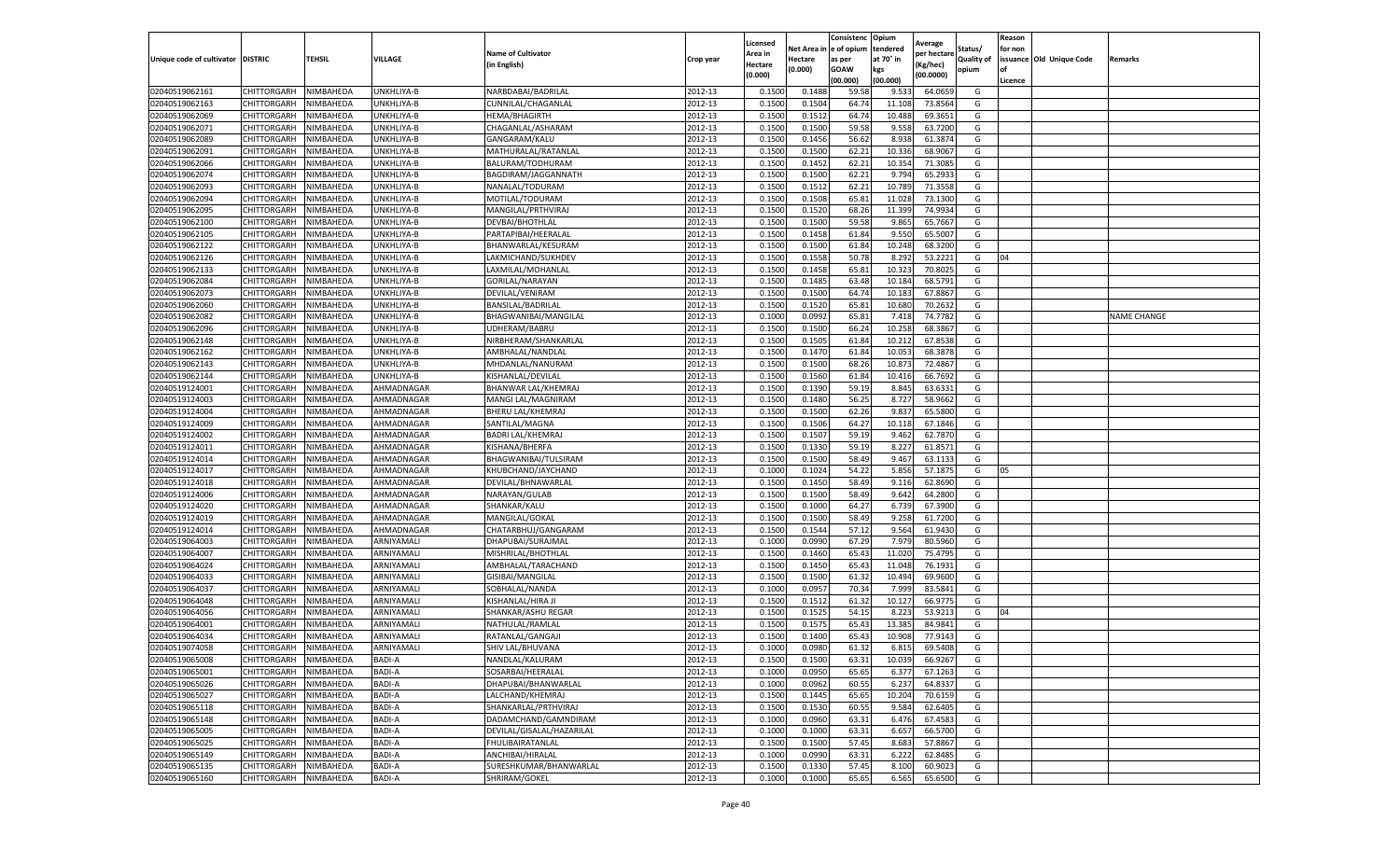| e of opium<br>tendered<br>Net Area i<br>Status/<br>for non<br><b>Name of Cultivator</b><br>Area in<br>per hectare<br>at 70° in<br>issuance Old Unique Code<br>Unique code of cultivator DISTRIC<br>TEHSIL<br>VILLAGE<br><b>Quality of</b><br>Crop year<br>Hectare<br>as per<br>Remarks<br>(in English)<br>(Kg/hec)<br>Hectare<br>(0.000)<br><b>GOAW</b><br>kgs<br>opium<br>οf<br>(0.000)<br>(00.0000)<br>(00.000)<br>(00.000<br>Licence<br>CHITTORGARH<br>NIMBAHEDA<br>UNKHLIYA-B<br>NARBDABAI/BADRILAL<br>2012-13<br>59.58<br>64.0659<br>02040519062161<br>0.1500<br>0.1488<br>9.533<br>G<br>02040519062163<br>2012-13<br>0.150<br>64.74<br>73.8564<br>CHITTORGARH<br>NIMBAHEDA<br>UNKHLIYA-B<br>CUNNILAL/CHAGANLAL<br>0.1504<br>11.108<br>G<br>2012-13<br>0.1500<br>64.74<br>69.3651<br>02040519062069<br>CHITTORGARH<br>NIMBAHEDA<br>UNKHLIYA-B<br><b>HEMA/BHAGIRTH</b><br>0.1512<br>10.488<br>G<br>02040519062071<br>CHITTORGARH<br>NIMBAHEDA<br>UNKHLIYA-B<br>CHAGANLAL/ASHARAM<br>2012-13<br>0.1500<br>0.1500<br>59.58<br>9.558<br>63.7200<br>G<br>02040519062089<br>CHITTORGARH<br>NIMBAHEDA<br>GANGARAM/KALU<br>2012-13<br>0.1500<br>0.1456<br>56.62<br>8.938<br>61.3874<br>UNKHLIYA-B<br>G<br>02040519062091<br>2012-13<br>0.1500<br>0.1500<br>62.21<br>10.33<br>68.9067<br>CHITTORGARH<br>NIMBAHEDA<br>UNKHLIYA-B<br>MATHURALAL/RATANLAI<br>G<br>02040519062066<br>CHITTORGARH<br>NIMBAHEDA<br>BALURAM/TODHURAM<br>2012-13<br>0.1500<br>0.1452<br>62.21<br>10.354<br>71.3085<br>UNKHLIYA-B<br>G<br>02040519062074<br>2012-13<br>0.1500<br>0.1500<br>62.22<br>9.794<br>65.2933<br>CHITTORGARH<br>NIMBAHEDA<br>UNKHLIYA-B<br>BAGDIRAM/JAGGANNATH<br>G<br>2012-13<br>0.1500<br>62.21<br>10.789<br>02040519062093<br>CHITTORGARH<br>NIMBAHEDA<br>UNKHLIYA-B<br>NANALAL/TODURAM<br>0.1512<br>71.3558<br>G<br>2012-13<br>0.1500<br>0.1508<br>65.81<br>11.028<br>73.1300<br>02040519062094<br>CHITTORGARH<br>NIMBAHEDA<br>UNKHLIYA-B<br>MOTILAL/TODURAM<br>G<br>02040519062095<br>CHITTORGARH<br>MANGILAL/PRTHVIRAJ<br>2012-13<br>0.1500<br>0.1520<br>68.26<br>11.399<br>74.9934<br>NIMBAHEDA<br>UNKHLIYA-B<br>G<br>59.58<br>2012-13<br>0.1500<br>0.1500<br>9.865<br>65.7667<br>02040519062100<br>CHITTORGARH<br>NIMBAHEDA<br>UNKHLIYA-B<br>DEVBAI/BHOTHLAL<br>G<br>02040519062105<br>CHITTORGARH<br>NIMBAHEDA<br>PARTAPIBAI/HEERALAL<br>2012-13<br>0.1500<br>0.1458<br>61.84<br>9.550<br>65.5007<br>G<br>UNKHLIYA-B<br>02040519062122<br>2012-13<br>0.1500<br>0.1500<br>10.248<br>68.3200<br>CHITTORGARH<br>NIMBAHEDA<br>UNKHLIYA-B<br>BHANWARLAL/KESURAM<br>61.84<br>G<br>50.78<br>04<br>02040519062126<br>CHITTORGARH<br>NIMBAHEDA<br>UNKHLIYA-B<br>LAKMICHAND/SUKHDEV<br>2012-13<br>0.1500<br>0.1558<br>8.292<br>53.2221<br>G<br>2012-13<br>0.1500<br>65.81<br>02040519062133<br>CHITTORGARH<br>NIMBAHEDA<br>UNKHLIYA-B<br>LAXMILAL/MOHANLAL<br>0.1458<br>10.32<br>70.8025<br>G<br>2012-13<br>0.1500<br>0.1485<br>68.5791<br>02040519062084<br>CHITTORGARH<br>NIMBAHEDA<br>UNKHLIYA-B<br>GORILAL/NARAYAN<br>63.48<br>10.184<br>G<br>2012-13<br>02040519062073<br>0.1500<br>64.74<br>67.8867<br>CHITTORGARH<br>NIMBAHEDA<br>UNKHLIYA-B<br>DEVILAL/VENIRAM<br>0.1500<br>10.18<br>G<br>CHITTORGARH<br>2012-13<br>0.1500<br>0.1520<br>65.8<br>10.680<br>70.2632<br>G<br>02040519062060<br>NIMBAHEDA<br>UNKHLIYA-B<br>BANSILAL/BADRILAL<br>02040519062082<br>CHITTORGARH<br>2012-13<br>0.1000<br>0.0992<br>65.81<br>7.418<br>74.7782<br><b>NAME CHANGE</b><br>NIMBAHEDA<br>UNKHLIYA-B<br>BHAGWANIBAI/MANGILAL<br>G<br>02040519062096<br>CHITTORGARH<br>NIMBAHEDA<br>UNKHLIYA-B<br>UDHERAM/BABRU<br>2012-13<br>0.1500<br>0.1500<br>66.24<br>10.258<br>68.3867<br>G<br>2012-13<br>0.1500<br>02040519062148<br>CHITTORGARH<br>NIMBAHEDA<br>UNKHLIYA-B<br>NIRBHERAM/SHANKARLAL<br>0.1505<br>61.84<br>10.212<br>67.8538<br>G<br>02040519062162<br>CHITTORGARH<br>NIMBAHEDA<br>UNKHLIYA-B<br>AMBHALAL/NANDLAL<br>2012-13<br>0.1500<br>0.1470<br>61.84<br>10.053<br>68.3878<br>G<br>2012-13<br>0.1500<br>68.26<br>10.87<br>72.4867<br>02040519062143<br>CHITTORGARH<br>NIMBAHEDA<br>UNKHLIYA-B<br>MHDANLAL/NANURAM<br>0.1500<br>G<br>2012-13<br>02040519062144<br>CHITTORGARH<br>0.1560<br>61.84<br>66.7692<br>NIMBAHEDA<br>UNKHLIYA-B<br>KISHANLAL/DEVILAL<br>0.1500<br>10.416<br>G<br>02040519124001<br>CHITTORGARH<br>NIMBAHEDA<br>AHMADNAGAR<br>2012-13<br>0.1500<br>0.1390<br>59.19<br>8.845<br>63.6331<br>G<br>BHANWAR LAL/KHEMRAJ<br>AHMADNAGAR<br>2012-13<br>0.1500<br>56.25<br>8.727<br>58.9662<br>02040519124003<br>CHITTORGARH<br>NIMBAHEDA<br>MANGI LAL/MAGNIRAM<br>0.1480<br>G<br>2012-13<br>0.1500<br>02040519124004<br>CHITTORGARH<br>AHMADNAGAR<br><b>BHERU LAL/KHEMRAJ</b><br>0.1500<br>62.26<br>9.837<br>65.5800<br>G<br>NIMBAHEDA<br>CHITTORGARH<br>NIMBAHEDA<br>2012-13<br>0.1500<br>0.1506<br>64.27<br>10.118<br>67.1846<br>02040519124009<br>AHMADNAGAR<br>SANTILAL/MAGNA<br>G<br>02040519124002<br>CHITTORGARH<br>NIMBAHEDA<br>AHMADNAGAR<br>2012-13<br>0.1500<br>0.1507<br>59.19<br>9.462<br>62.7870<br><b>BADRI LAL/KHEMRAJ</b><br>G<br>2012-13<br>0.1500<br>0.1330<br>59.19<br>8.227<br>61.8571<br>02040519124011<br>CHITTORGARH<br>NIMBAHEDA<br>AHMADNAGAR<br>KISHANA/BHERFA<br>G<br>02040519124014<br>CHITTORGARH<br>NIMBAHEDA<br>AHMADNAGAR<br>2012-13<br>0.1500<br>0.1500<br>58.49<br>9.467<br>63.1133<br>BHAGWANIBAI/TULSIRAM<br>G<br>02040519124017<br>AHMADNAGAR<br>2012-13<br>0.100<br>0.1024<br>54.22<br>5.856<br>57.187<br>CHITTORGARH<br>NIMBAHEDA<br>KHUBCHAND/JAYCHAND<br>G<br>05<br>2012-13<br>58.49<br>9.116<br>62.8690<br>02040519124018<br>CHITTORGARH<br>NIMBAHEDA<br>AHMADNAGAR<br>DEVILAL/BHNAWARLAL<br>0.1500<br>0.1450<br>G<br>02040519124006<br>CHITTORGARH<br>NIMBAHEDA<br>2012-13<br>0.1500<br>0.1500<br>58.49<br>9.642<br>64.2800<br>AHMADNAGAR<br>NARAYAN/GULAB<br>G<br>CHITTORGARH<br>SHANKAR/KALU<br>2012-13<br>0.1500<br>0.1000<br>64.27<br>6.739<br>67.3900<br>02040519124020<br>NIMBAHEDA<br>AHMADNAGAR<br>G<br>2012-13<br>58.49<br>02040519124019<br>0.1500<br>0.1500<br>9.258<br>61.7200<br>CHITTORGARH<br>NIMBAHEDA<br>AHMADNAGAR<br>MANGILAL/GOKAL<br>G<br>57.12<br>02040519124014<br>CHITTORGARH<br>NIMBAHEDA<br>2012-13<br>0.1500<br>0.1544<br>9.564<br>61.9430<br>G<br>AHMADNAGAR<br>CHATARBHUJ/GANGARAM<br>02040519064003<br>2012-13<br>0.0990<br>67.29<br>7.979<br>80.5960<br>CHITTORGARH<br>NIMBAHEDA<br>ARNIYAMALI<br>DHAPUBAI/SURAJMAL<br>0.1000<br>G<br>02040519064007<br>2012-13<br>0.1500<br>65.43<br>11.020<br>75.4795<br>G<br>CHITTORGARH<br>NIMBAHEDA<br>ARNIYAMALI<br>MISHRILAL/BHOTHLAL<br>0.1460<br>2012-13<br>0.1500<br>65.43<br>11.048<br>76.1931<br>02040519064024<br>CHITTORGARH<br>NIMBAHEDA<br>ARNIYAMALI<br>AMBHALAL/TARACHAND<br>0.1450<br>G<br>02040519064033<br>2012-13<br>0.1500<br>0.1500<br>10.494<br>CHITTORGARH<br>NIMBAHEDA<br>ARNIYAMALI<br>GISIBAI/MANGILAL<br>61.32<br>69.9600<br>G<br>0.0957<br>70.34<br>2012-13<br>0.1000<br>7.999<br>83.5841<br>02040519064037<br>CHITTORGARH<br>NIMBAHEDA<br>ARNIYAMALI<br>SOBHALAL/NANDA<br>G<br>2012-13<br>02040519064048<br>CHITTORGARH<br>0.1500<br>0.1512<br>61.32<br>10.12<br>66.9775<br>G<br>NIMBAHEDA<br>ARNIYAMALI<br>KISHANLAL/HIRA JI<br>02040519064056<br>CHITTORGARH<br>NIMBAHEDA<br>ARNIYAMALI<br>SHANKAR/ASHU REGAR<br>2012-13<br>0.1500<br>0.1525<br>54.1<br>8.223<br>53.9213<br>04<br>G<br>65.43<br>13.385<br>02040519064001<br>CHITTORGARH<br>NIMBAHEDA<br>ARNIYAMALI<br>NATHULAL/RAMLAL<br>2012-13<br>0.150<br>0.157<br>84.9841<br>G<br>02040519064034<br>CHITTORGARH<br>2012-13<br>0.1500<br>65.43<br>10.908<br>77.9143<br>G<br>NIMBAHEDA<br>ARNIYAMALI<br>RATANLAL/GANGAJI<br>0.1400<br>02040519074058<br>CHITTORGARH<br>NIMBAHEDA<br>ARNIYAMALI<br>SHIV LAL/BHUVANA<br>2012-13<br>0.1000<br>0.0980<br>61.32<br>6.815<br>69.5408<br>G<br>2012-13<br>CHITTORGARH<br>NIMBAHEDA<br><b>BADI-A</b><br>NANDLAL/KALURAM<br>0.1500<br>0.1500<br>10.039<br>66.9267<br>63.31<br>G<br>2012-13<br>65.65<br>02040519065001<br>CHITTORGARH<br>NIMBAHEDA<br><b>BADI-A</b><br>SOSARBAI/HEERALAL<br>0.1000<br>0.0950<br>6.377<br>67.1263<br>G<br>2012-13<br>60.55<br>CHITTORGARH<br>NIMBAHEDA<br><b>BADI-A</b><br>DHAPUBAI/BHANWARLAL<br>0.1000<br>0.0962<br>6.237<br>64.8337<br>G<br>02040519065027<br>CHITTORGARH<br>NIMBAHEDA<br><b>BADI-A</b><br>LALCHAND/KHEMRAJ<br>2012-13<br>0.1500<br>0.1445<br>65.65<br>10.204<br>70.6159<br>G<br>02040519065118<br>2012-13<br>0.1500<br>0.1530<br>60.55<br>9.584<br>62.6405<br>CHITTORGARH<br>NIMBAHEDA<br>BADI-A<br>SHANKARLAL/PRTHVIRAJ<br>G<br>2012-13<br>0.0960<br>CHITTORGARH<br>NIMBAHEDA<br><b>BADI-A</b><br>0.1000<br>63.31<br>6.476<br>67.4583<br>G<br>DADAMCHAND/GAMNDIRAM<br>02040519065005<br>CHITTORGARH<br>NIMBAHEDA<br><b>BADI-A</b><br>DEVILAL/GISALAL/HAZARILAL<br>2012-13<br>0.1000<br>0.1000<br>63.31<br>6.657<br>66.5700<br>G<br>02040519065025<br>2012-13<br><b>BADI-A</b><br>0.1500<br>57.45<br>8.683<br>57.8867<br>G<br>CHITTORGARH<br>NIMBAHEDA<br>FHULIBAIRATANLAL<br>0.1500<br>2012-13<br>02040519065149<br>CHITTORGARH<br>NIMBAHEDA<br><b>BADI-A</b><br>ANCHIBAI/HIRALAL<br>0.1000<br>0.0990<br>63.31<br>6.222<br>62.8485<br>G<br>CHITTORGARH<br><b>BADI-A</b><br>SURESHKUMAR/BHANWARLAL<br>2012-13<br>57.45<br>8.100<br>60.9023<br>NIMBAHEDA<br>0.1500<br>0.1330<br>G<br>CHITTORGARH<br>NIMBAHEDA<br><b>BADI-A</b><br>SHRIRAM/GOKEL<br>2012-13<br>65.65<br>65.6500<br>G<br>0.1000<br>0.1000<br>6.565 |                |  |  | Licensed | Consistenc | Opium |         | Reason |  |
|-----------------------------------------------------------------------------------------------------------------------------------------------------------------------------------------------------------------------------------------------------------------------------------------------------------------------------------------------------------------------------------------------------------------------------------------------------------------------------------------------------------------------------------------------------------------------------------------------------------------------------------------------------------------------------------------------------------------------------------------------------------------------------------------------------------------------------------------------------------------------------------------------------------------------------------------------------------------------------------------------------------------------------------------------------------------------------------------------------------------------------------------------------------------------------------------------------------------------------------------------------------------------------------------------------------------------------------------------------------------------------------------------------------------------------------------------------------------------------------------------------------------------------------------------------------------------------------------------------------------------------------------------------------------------------------------------------------------------------------------------------------------------------------------------------------------------------------------------------------------------------------------------------------------------------------------------------------------------------------------------------------------------------------------------------------------------------------------------------------------------------------------------------------------------------------------------------------------------------------------------------------------------------------------------------------------------------------------------------------------------------------------------------------------------------------------------------------------------------------------------------------------------------------------------------------------------------------------------------------------------------------------------------------------------------------------------------------------------------------------------------------------------------------------------------------------------------------------------------------------------------------------------------------------------------------------------------------------------------------------------------------------------------------------------------------------------------------------------------------------------------------------------------------------------------------------------------------------------------------------------------------------------------------------------------------------------------------------------------------------------------------------------------------------------------------------------------------------------------------------------------------------------------------------------------------------------------------------------------------------------------------------------------------------------------------------------------------------------------------------------------------------------------------------------------------------------------------------------------------------------------------------------------------------------------------------------------------------------------------------------------------------------------------------------------------------------------------------------------------------------------------------------------------------------------------------------------------------------------------------------------------------------------------------------------------------------------------------------------------------------------------------------------------------------------------------------------------------------------------------------------------------------------------------------------------------------------------------------------------------------------------------------------------------------------------------------------------------------------------------------------------------------------------------------------------------------------------------------------------------------------------------------------------------------------------------------------------------------------------------------------------------------------------------------------------------------------------------------------------------------------------------------------------------------------------------------------------------------------------------------------------------------------------------------------------------------------------------------------------------------------------------------------------------------------------------------------------------------------------------------------------------------------------------------------------------------------------------------------------------------------------------------------------------------------------------------------------------------------------------------------------------------------------------------------------------------------------------------------------------------------------------------------------------------------------------------------------------------------------------------------------------------------------------------------------------------------------------------------------------------------------------------------------------------------------------------------------------------------------------------------------------------------------------------------------------------------------------------------------------------------------------------------------------------------------------------------------------------------------------------------------------------------------------------------------------------------------------------------------------------------------------------------------------------------------------------------------------------------------------------------------------------------------------------------------------------------------------------------------------------------------------------------------------------------------------------------------------------------------------------------------------------------------------------------------------------------------------------------------------------------------------------------------------------------------------------------------------------------------------------------------------------------------------------------------------------------------------------------------------------------------------------------------------------------------------------------------------------------------------------------------------------------------------------------------------------------------------------------------------------------------------------------------------------------------------------------------------------------------------------------------------------------------------------------------------------------------------------------------------------------------------------------------------------------------------------------------------------------------------------------------------------------------------------------------------------------------------------------------------------------------------------------------------------------------------------------------------------------------------------------------------------------------------------------------------------------------------------------------------------------------------------------------------------------------------------------------------------------------------------------------------------------------------------------------------------------------------------------------------------------------------------------------------------------------------------------------------------------------------------------------------------------------------------------------------------------------------------------------------------------------------------------------------------------------------------------------------------------------------------------------------------------------------------------------------------------------------------------------------------------------------------------------------------------------------------------------------------------------------------------------------------------------------------------------------------------------------------------------------------------------------------------------------|----------------|--|--|----------|------------|-------|---------|--------|--|
|                                                                                                                                                                                                                                                                                                                                                                                                                                                                                                                                                                                                                                                                                                                                                                                                                                                                                                                                                                                                                                                                                                                                                                                                                                                                                                                                                                                                                                                                                                                                                                                                                                                                                                                                                                                                                                                                                                                                                                                                                                                                                                                                                                                                                                                                                                                                                                                                                                                                                                                                                                                                                                                                                                                                                                                                                                                                                                                                                                                                                                                                                                                                                                                                                                                                                                                                                                                                                                                                                                                                                                                                                                                                                                                                                                                                                                                                                                                                                                                                                                                                                                                                                                                                                                                                                                                                                                                                                                                                                                                                                                                                                                                                                                                                                                                                                                                                                                                                                                                                                                                                                                                                                                                                                                                                                                                                                                                                                                                                                                                                                                                                                                                                                                                                                                                                                                                                                                                                                                                                                                                                                                                                                                                                                                                                                                                                                                                                                                                                                                                                                                                                                                                                                                                                                                                                                                                                                                                                                                                                                                                                                                                                                                                                                                                                                                                                                                                                                                                                                                                                                                                                                                                                                                                                                                                                                                                                                                                                                                                                                                                                                                                                                                                                                                                                                                                                                                                                                                                                                                                                                                                                                                                                                                                                                                                                                                                                                                                                                                                                                                                                                                                                                                                                                                                                                                                                                                                                                 |                |  |  |          |            |       | Average |        |  |
|                                                                                                                                                                                                                                                                                                                                                                                                                                                                                                                                                                                                                                                                                                                                                                                                                                                                                                                                                                                                                                                                                                                                                                                                                                                                                                                                                                                                                                                                                                                                                                                                                                                                                                                                                                                                                                                                                                                                                                                                                                                                                                                                                                                                                                                                                                                                                                                                                                                                                                                                                                                                                                                                                                                                                                                                                                                                                                                                                                                                                                                                                                                                                                                                                                                                                                                                                                                                                                                                                                                                                                                                                                                                                                                                                                                                                                                                                                                                                                                                                                                                                                                                                                                                                                                                                                                                                                                                                                                                                                                                                                                                                                                                                                                                                                                                                                                                                                                                                                                                                                                                                                                                                                                                                                                                                                                                                                                                                                                                                                                                                                                                                                                                                                                                                                                                                                                                                                                                                                                                                                                                                                                                                                                                                                                                                                                                                                                                                                                                                                                                                                                                                                                                                                                                                                                                                                                                                                                                                                                                                                                                                                                                                                                                                                                                                                                                                                                                                                                                                                                                                                                                                                                                                                                                                                                                                                                                                                                                                                                                                                                                                                                                                                                                                                                                                                                                                                                                                                                                                                                                                                                                                                                                                                                                                                                                                                                                                                                                                                                                                                                                                                                                                                                                                                                                                                                                                                                                                 |                |  |  |          |            |       |         |        |  |
|                                                                                                                                                                                                                                                                                                                                                                                                                                                                                                                                                                                                                                                                                                                                                                                                                                                                                                                                                                                                                                                                                                                                                                                                                                                                                                                                                                                                                                                                                                                                                                                                                                                                                                                                                                                                                                                                                                                                                                                                                                                                                                                                                                                                                                                                                                                                                                                                                                                                                                                                                                                                                                                                                                                                                                                                                                                                                                                                                                                                                                                                                                                                                                                                                                                                                                                                                                                                                                                                                                                                                                                                                                                                                                                                                                                                                                                                                                                                                                                                                                                                                                                                                                                                                                                                                                                                                                                                                                                                                                                                                                                                                                                                                                                                                                                                                                                                                                                                                                                                                                                                                                                                                                                                                                                                                                                                                                                                                                                                                                                                                                                                                                                                                                                                                                                                                                                                                                                                                                                                                                                                                                                                                                                                                                                                                                                                                                                                                                                                                                                                                                                                                                                                                                                                                                                                                                                                                                                                                                                                                                                                                                                                                                                                                                                                                                                                                                                                                                                                                                                                                                                                                                                                                                                                                                                                                                                                                                                                                                                                                                                                                                                                                                                                                                                                                                                                                                                                                                                                                                                                                                                                                                                                                                                                                                                                                                                                                                                                                                                                                                                                                                                                                                                                                                                                                                                                                                                                                 |                |  |  |          |            |       |         |        |  |
|                                                                                                                                                                                                                                                                                                                                                                                                                                                                                                                                                                                                                                                                                                                                                                                                                                                                                                                                                                                                                                                                                                                                                                                                                                                                                                                                                                                                                                                                                                                                                                                                                                                                                                                                                                                                                                                                                                                                                                                                                                                                                                                                                                                                                                                                                                                                                                                                                                                                                                                                                                                                                                                                                                                                                                                                                                                                                                                                                                                                                                                                                                                                                                                                                                                                                                                                                                                                                                                                                                                                                                                                                                                                                                                                                                                                                                                                                                                                                                                                                                                                                                                                                                                                                                                                                                                                                                                                                                                                                                                                                                                                                                                                                                                                                                                                                                                                                                                                                                                                                                                                                                                                                                                                                                                                                                                                                                                                                                                                                                                                                                                                                                                                                                                                                                                                                                                                                                                                                                                                                                                                                                                                                                                                                                                                                                                                                                                                                                                                                                                                                                                                                                                                                                                                                                                                                                                                                                                                                                                                                                                                                                                                                                                                                                                                                                                                                                                                                                                                                                                                                                                                                                                                                                                                                                                                                                                                                                                                                                                                                                                                                                                                                                                                                                                                                                                                                                                                                                                                                                                                                                                                                                                                                                                                                                                                                                                                                                                                                                                                                                                                                                                                                                                                                                                                                                                                                                                                                 |                |  |  |          |            |       |         |        |  |
|                                                                                                                                                                                                                                                                                                                                                                                                                                                                                                                                                                                                                                                                                                                                                                                                                                                                                                                                                                                                                                                                                                                                                                                                                                                                                                                                                                                                                                                                                                                                                                                                                                                                                                                                                                                                                                                                                                                                                                                                                                                                                                                                                                                                                                                                                                                                                                                                                                                                                                                                                                                                                                                                                                                                                                                                                                                                                                                                                                                                                                                                                                                                                                                                                                                                                                                                                                                                                                                                                                                                                                                                                                                                                                                                                                                                                                                                                                                                                                                                                                                                                                                                                                                                                                                                                                                                                                                                                                                                                                                                                                                                                                                                                                                                                                                                                                                                                                                                                                                                                                                                                                                                                                                                                                                                                                                                                                                                                                                                                                                                                                                                                                                                                                                                                                                                                                                                                                                                                                                                                                                                                                                                                                                                                                                                                                                                                                                                                                                                                                                                                                                                                                                                                                                                                                                                                                                                                                                                                                                                                                                                                                                                                                                                                                                                                                                                                                                                                                                                                                                                                                                                                                                                                                                                                                                                                                                                                                                                                                                                                                                                                                                                                                                                                                                                                                                                                                                                                                                                                                                                                                                                                                                                                                                                                                                                                                                                                                                                                                                                                                                                                                                                                                                                                                                                                                                                                                                                                 |                |  |  |          |            |       |         |        |  |
|                                                                                                                                                                                                                                                                                                                                                                                                                                                                                                                                                                                                                                                                                                                                                                                                                                                                                                                                                                                                                                                                                                                                                                                                                                                                                                                                                                                                                                                                                                                                                                                                                                                                                                                                                                                                                                                                                                                                                                                                                                                                                                                                                                                                                                                                                                                                                                                                                                                                                                                                                                                                                                                                                                                                                                                                                                                                                                                                                                                                                                                                                                                                                                                                                                                                                                                                                                                                                                                                                                                                                                                                                                                                                                                                                                                                                                                                                                                                                                                                                                                                                                                                                                                                                                                                                                                                                                                                                                                                                                                                                                                                                                                                                                                                                                                                                                                                                                                                                                                                                                                                                                                                                                                                                                                                                                                                                                                                                                                                                                                                                                                                                                                                                                                                                                                                                                                                                                                                                                                                                                                                                                                                                                                                                                                                                                                                                                                                                                                                                                                                                                                                                                                                                                                                                                                                                                                                                                                                                                                                                                                                                                                                                                                                                                                                                                                                                                                                                                                                                                                                                                                                                                                                                                                                                                                                                                                                                                                                                                                                                                                                                                                                                                                                                                                                                                                                                                                                                                                                                                                                                                                                                                                                                                                                                                                                                                                                                                                                                                                                                                                                                                                                                                                                                                                                                                                                                                                                                 |                |  |  |          |            |       |         |        |  |
|                                                                                                                                                                                                                                                                                                                                                                                                                                                                                                                                                                                                                                                                                                                                                                                                                                                                                                                                                                                                                                                                                                                                                                                                                                                                                                                                                                                                                                                                                                                                                                                                                                                                                                                                                                                                                                                                                                                                                                                                                                                                                                                                                                                                                                                                                                                                                                                                                                                                                                                                                                                                                                                                                                                                                                                                                                                                                                                                                                                                                                                                                                                                                                                                                                                                                                                                                                                                                                                                                                                                                                                                                                                                                                                                                                                                                                                                                                                                                                                                                                                                                                                                                                                                                                                                                                                                                                                                                                                                                                                                                                                                                                                                                                                                                                                                                                                                                                                                                                                                                                                                                                                                                                                                                                                                                                                                                                                                                                                                                                                                                                                                                                                                                                                                                                                                                                                                                                                                                                                                                                                                                                                                                                                                                                                                                                                                                                                                                                                                                                                                                                                                                                                                                                                                                                                                                                                                                                                                                                                                                                                                                                                                                                                                                                                                                                                                                                                                                                                                                                                                                                                                                                                                                                                                                                                                                                                                                                                                                                                                                                                                                                                                                                                                                                                                                                                                                                                                                                                                                                                                                                                                                                                                                                                                                                                                                                                                                                                                                                                                                                                                                                                                                                                                                                                                                                                                                                                                                 |                |  |  |          |            |       |         |        |  |
|                                                                                                                                                                                                                                                                                                                                                                                                                                                                                                                                                                                                                                                                                                                                                                                                                                                                                                                                                                                                                                                                                                                                                                                                                                                                                                                                                                                                                                                                                                                                                                                                                                                                                                                                                                                                                                                                                                                                                                                                                                                                                                                                                                                                                                                                                                                                                                                                                                                                                                                                                                                                                                                                                                                                                                                                                                                                                                                                                                                                                                                                                                                                                                                                                                                                                                                                                                                                                                                                                                                                                                                                                                                                                                                                                                                                                                                                                                                                                                                                                                                                                                                                                                                                                                                                                                                                                                                                                                                                                                                                                                                                                                                                                                                                                                                                                                                                                                                                                                                                                                                                                                                                                                                                                                                                                                                                                                                                                                                                                                                                                                                                                                                                                                                                                                                                                                                                                                                                                                                                                                                                                                                                                                                                                                                                                                                                                                                                                                                                                                                                                                                                                                                                                                                                                                                                                                                                                                                                                                                                                                                                                                                                                                                                                                                                                                                                                                                                                                                                                                                                                                                                                                                                                                                                                                                                                                                                                                                                                                                                                                                                                                                                                                                                                                                                                                                                                                                                                                                                                                                                                                                                                                                                                                                                                                                                                                                                                                                                                                                                                                                                                                                                                                                                                                                                                                                                                                                                                 |                |  |  |          |            |       |         |        |  |
|                                                                                                                                                                                                                                                                                                                                                                                                                                                                                                                                                                                                                                                                                                                                                                                                                                                                                                                                                                                                                                                                                                                                                                                                                                                                                                                                                                                                                                                                                                                                                                                                                                                                                                                                                                                                                                                                                                                                                                                                                                                                                                                                                                                                                                                                                                                                                                                                                                                                                                                                                                                                                                                                                                                                                                                                                                                                                                                                                                                                                                                                                                                                                                                                                                                                                                                                                                                                                                                                                                                                                                                                                                                                                                                                                                                                                                                                                                                                                                                                                                                                                                                                                                                                                                                                                                                                                                                                                                                                                                                                                                                                                                                                                                                                                                                                                                                                                                                                                                                                                                                                                                                                                                                                                                                                                                                                                                                                                                                                                                                                                                                                                                                                                                                                                                                                                                                                                                                                                                                                                                                                                                                                                                                                                                                                                                                                                                                                                                                                                                                                                                                                                                                                                                                                                                                                                                                                                                                                                                                                                                                                                                                                                                                                                                                                                                                                                                                                                                                                                                                                                                                                                                                                                                                                                                                                                                                                                                                                                                                                                                                                                                                                                                                                                                                                                                                                                                                                                                                                                                                                                                                                                                                                                                                                                                                                                                                                                                                                                                                                                                                                                                                                                                                                                                                                                                                                                                                                                 |                |  |  |          |            |       |         |        |  |
|                                                                                                                                                                                                                                                                                                                                                                                                                                                                                                                                                                                                                                                                                                                                                                                                                                                                                                                                                                                                                                                                                                                                                                                                                                                                                                                                                                                                                                                                                                                                                                                                                                                                                                                                                                                                                                                                                                                                                                                                                                                                                                                                                                                                                                                                                                                                                                                                                                                                                                                                                                                                                                                                                                                                                                                                                                                                                                                                                                                                                                                                                                                                                                                                                                                                                                                                                                                                                                                                                                                                                                                                                                                                                                                                                                                                                                                                                                                                                                                                                                                                                                                                                                                                                                                                                                                                                                                                                                                                                                                                                                                                                                                                                                                                                                                                                                                                                                                                                                                                                                                                                                                                                                                                                                                                                                                                                                                                                                                                                                                                                                                                                                                                                                                                                                                                                                                                                                                                                                                                                                                                                                                                                                                                                                                                                                                                                                                                                                                                                                                                                                                                                                                                                                                                                                                                                                                                                                                                                                                                                                                                                                                                                                                                                                                                                                                                                                                                                                                                                                                                                                                                                                                                                                                                                                                                                                                                                                                                                                                                                                                                                                                                                                                                                                                                                                                                                                                                                                                                                                                                                                                                                                                                                                                                                                                                                                                                                                                                                                                                                                                                                                                                                                                                                                                                                                                                                                                                                 |                |  |  |          |            |       |         |        |  |
|                                                                                                                                                                                                                                                                                                                                                                                                                                                                                                                                                                                                                                                                                                                                                                                                                                                                                                                                                                                                                                                                                                                                                                                                                                                                                                                                                                                                                                                                                                                                                                                                                                                                                                                                                                                                                                                                                                                                                                                                                                                                                                                                                                                                                                                                                                                                                                                                                                                                                                                                                                                                                                                                                                                                                                                                                                                                                                                                                                                                                                                                                                                                                                                                                                                                                                                                                                                                                                                                                                                                                                                                                                                                                                                                                                                                                                                                                                                                                                                                                                                                                                                                                                                                                                                                                                                                                                                                                                                                                                                                                                                                                                                                                                                                                                                                                                                                                                                                                                                                                                                                                                                                                                                                                                                                                                                                                                                                                                                                                                                                                                                                                                                                                                                                                                                                                                                                                                                                                                                                                                                                                                                                                                                                                                                                                                                                                                                                                                                                                                                                                                                                                                                                                                                                                                                                                                                                                                                                                                                                                                                                                                                                                                                                                                                                                                                                                                                                                                                                                                                                                                                                                                                                                                                                                                                                                                                                                                                                                                                                                                                                                                                                                                                                                                                                                                                                                                                                                                                                                                                                                                                                                                                                                                                                                                                                                                                                                                                                                                                                                                                                                                                                                                                                                                                                                                                                                                                                                 |                |  |  |          |            |       |         |        |  |
|                                                                                                                                                                                                                                                                                                                                                                                                                                                                                                                                                                                                                                                                                                                                                                                                                                                                                                                                                                                                                                                                                                                                                                                                                                                                                                                                                                                                                                                                                                                                                                                                                                                                                                                                                                                                                                                                                                                                                                                                                                                                                                                                                                                                                                                                                                                                                                                                                                                                                                                                                                                                                                                                                                                                                                                                                                                                                                                                                                                                                                                                                                                                                                                                                                                                                                                                                                                                                                                                                                                                                                                                                                                                                                                                                                                                                                                                                                                                                                                                                                                                                                                                                                                                                                                                                                                                                                                                                                                                                                                                                                                                                                                                                                                                                                                                                                                                                                                                                                                                                                                                                                                                                                                                                                                                                                                                                                                                                                                                                                                                                                                                                                                                                                                                                                                                                                                                                                                                                                                                                                                                                                                                                                                                                                                                                                                                                                                                                                                                                                                                                                                                                                                                                                                                                                                                                                                                                                                                                                                                                                                                                                                                                                                                                                                                                                                                                                                                                                                                                                                                                                                                                                                                                                                                                                                                                                                                                                                                                                                                                                                                                                                                                                                                                                                                                                                                                                                                                                                                                                                                                                                                                                                                                                                                                                                                                                                                                                                                                                                                                                                                                                                                                                                                                                                                                                                                                                                                                 |                |  |  |          |            |       |         |        |  |
|                                                                                                                                                                                                                                                                                                                                                                                                                                                                                                                                                                                                                                                                                                                                                                                                                                                                                                                                                                                                                                                                                                                                                                                                                                                                                                                                                                                                                                                                                                                                                                                                                                                                                                                                                                                                                                                                                                                                                                                                                                                                                                                                                                                                                                                                                                                                                                                                                                                                                                                                                                                                                                                                                                                                                                                                                                                                                                                                                                                                                                                                                                                                                                                                                                                                                                                                                                                                                                                                                                                                                                                                                                                                                                                                                                                                                                                                                                                                                                                                                                                                                                                                                                                                                                                                                                                                                                                                                                                                                                                                                                                                                                                                                                                                                                                                                                                                                                                                                                                                                                                                                                                                                                                                                                                                                                                                                                                                                                                                                                                                                                                                                                                                                                                                                                                                                                                                                                                                                                                                                                                                                                                                                                                                                                                                                                                                                                                                                                                                                                                                                                                                                                                                                                                                                                                                                                                                                                                                                                                                                                                                                                                                                                                                                                                                                                                                                                                                                                                                                                                                                                                                                                                                                                                                                                                                                                                                                                                                                                                                                                                                                                                                                                                                                                                                                                                                                                                                                                                                                                                                                                                                                                                                                                                                                                                                                                                                                                                                                                                                                                                                                                                                                                                                                                                                                                                                                                                                                 |                |  |  |          |            |       |         |        |  |
|                                                                                                                                                                                                                                                                                                                                                                                                                                                                                                                                                                                                                                                                                                                                                                                                                                                                                                                                                                                                                                                                                                                                                                                                                                                                                                                                                                                                                                                                                                                                                                                                                                                                                                                                                                                                                                                                                                                                                                                                                                                                                                                                                                                                                                                                                                                                                                                                                                                                                                                                                                                                                                                                                                                                                                                                                                                                                                                                                                                                                                                                                                                                                                                                                                                                                                                                                                                                                                                                                                                                                                                                                                                                                                                                                                                                                                                                                                                                                                                                                                                                                                                                                                                                                                                                                                                                                                                                                                                                                                                                                                                                                                                                                                                                                                                                                                                                                                                                                                                                                                                                                                                                                                                                                                                                                                                                                                                                                                                                                                                                                                                                                                                                                                                                                                                                                                                                                                                                                                                                                                                                                                                                                                                                                                                                                                                                                                                                                                                                                                                                                                                                                                                                                                                                                                                                                                                                                                                                                                                                                                                                                                                                                                                                                                                                                                                                                                                                                                                                                                                                                                                                                                                                                                                                                                                                                                                                                                                                                                                                                                                                                                                                                                                                                                                                                                                                                                                                                                                                                                                                                                                                                                                                                                                                                                                                                                                                                                                                                                                                                                                                                                                                                                                                                                                                                                                                                                                                                 |                |  |  |          |            |       |         |        |  |
|                                                                                                                                                                                                                                                                                                                                                                                                                                                                                                                                                                                                                                                                                                                                                                                                                                                                                                                                                                                                                                                                                                                                                                                                                                                                                                                                                                                                                                                                                                                                                                                                                                                                                                                                                                                                                                                                                                                                                                                                                                                                                                                                                                                                                                                                                                                                                                                                                                                                                                                                                                                                                                                                                                                                                                                                                                                                                                                                                                                                                                                                                                                                                                                                                                                                                                                                                                                                                                                                                                                                                                                                                                                                                                                                                                                                                                                                                                                                                                                                                                                                                                                                                                                                                                                                                                                                                                                                                                                                                                                                                                                                                                                                                                                                                                                                                                                                                                                                                                                                                                                                                                                                                                                                                                                                                                                                                                                                                                                                                                                                                                                                                                                                                                                                                                                                                                                                                                                                                                                                                                                                                                                                                                                                                                                                                                                                                                                                                                                                                                                                                                                                                                                                                                                                                                                                                                                                                                                                                                                                                                                                                                                                                                                                                                                                                                                                                                                                                                                                                                                                                                                                                                                                                                                                                                                                                                                                                                                                                                                                                                                                                                                                                                                                                                                                                                                                                                                                                                                                                                                                                                                                                                                                                                                                                                                                                                                                                                                                                                                                                                                                                                                                                                                                                                                                                                                                                                                                                 |                |  |  |          |            |       |         |        |  |
|                                                                                                                                                                                                                                                                                                                                                                                                                                                                                                                                                                                                                                                                                                                                                                                                                                                                                                                                                                                                                                                                                                                                                                                                                                                                                                                                                                                                                                                                                                                                                                                                                                                                                                                                                                                                                                                                                                                                                                                                                                                                                                                                                                                                                                                                                                                                                                                                                                                                                                                                                                                                                                                                                                                                                                                                                                                                                                                                                                                                                                                                                                                                                                                                                                                                                                                                                                                                                                                                                                                                                                                                                                                                                                                                                                                                                                                                                                                                                                                                                                                                                                                                                                                                                                                                                                                                                                                                                                                                                                                                                                                                                                                                                                                                                                                                                                                                                                                                                                                                                                                                                                                                                                                                                                                                                                                                                                                                                                                                                                                                                                                                                                                                                                                                                                                                                                                                                                                                                                                                                                                                                                                                                                                                                                                                                                                                                                                                                                                                                                                                                                                                                                                                                                                                                                                                                                                                                                                                                                                                                                                                                                                                                                                                                                                                                                                                                                                                                                                                                                                                                                                                                                                                                                                                                                                                                                                                                                                                                                                                                                                                                                                                                                                                                                                                                                                                                                                                                                                                                                                                                                                                                                                                                                                                                                                                                                                                                                                                                                                                                                                                                                                                                                                                                                                                                                                                                                                                                 |                |  |  |          |            |       |         |        |  |
|                                                                                                                                                                                                                                                                                                                                                                                                                                                                                                                                                                                                                                                                                                                                                                                                                                                                                                                                                                                                                                                                                                                                                                                                                                                                                                                                                                                                                                                                                                                                                                                                                                                                                                                                                                                                                                                                                                                                                                                                                                                                                                                                                                                                                                                                                                                                                                                                                                                                                                                                                                                                                                                                                                                                                                                                                                                                                                                                                                                                                                                                                                                                                                                                                                                                                                                                                                                                                                                                                                                                                                                                                                                                                                                                                                                                                                                                                                                                                                                                                                                                                                                                                                                                                                                                                                                                                                                                                                                                                                                                                                                                                                                                                                                                                                                                                                                                                                                                                                                                                                                                                                                                                                                                                                                                                                                                                                                                                                                                                                                                                                                                                                                                                                                                                                                                                                                                                                                                                                                                                                                                                                                                                                                                                                                                                                                                                                                                                                                                                                                                                                                                                                                                                                                                                                                                                                                                                                                                                                                                                                                                                                                                                                                                                                                                                                                                                                                                                                                                                                                                                                                                                                                                                                                                                                                                                                                                                                                                                                                                                                                                                                                                                                                                                                                                                                                                                                                                                                                                                                                                                                                                                                                                                                                                                                                                                                                                                                                                                                                                                                                                                                                                                                                                                                                                                                                                                                                                                 |                |  |  |          |            |       |         |        |  |
|                                                                                                                                                                                                                                                                                                                                                                                                                                                                                                                                                                                                                                                                                                                                                                                                                                                                                                                                                                                                                                                                                                                                                                                                                                                                                                                                                                                                                                                                                                                                                                                                                                                                                                                                                                                                                                                                                                                                                                                                                                                                                                                                                                                                                                                                                                                                                                                                                                                                                                                                                                                                                                                                                                                                                                                                                                                                                                                                                                                                                                                                                                                                                                                                                                                                                                                                                                                                                                                                                                                                                                                                                                                                                                                                                                                                                                                                                                                                                                                                                                                                                                                                                                                                                                                                                                                                                                                                                                                                                                                                                                                                                                                                                                                                                                                                                                                                                                                                                                                                                                                                                                                                                                                                                                                                                                                                                                                                                                                                                                                                                                                                                                                                                                                                                                                                                                                                                                                                                                                                                                                                                                                                                                                                                                                                                                                                                                                                                                                                                                                                                                                                                                                                                                                                                                                                                                                                                                                                                                                                                                                                                                                                                                                                                                                                                                                                                                                                                                                                                                                                                                                                                                                                                                                                                                                                                                                                                                                                                                                                                                                                                                                                                                                                                                                                                                                                                                                                                                                                                                                                                                                                                                                                                                                                                                                                                                                                                                                                                                                                                                                                                                                                                                                                                                                                                                                                                                                                                 |                |  |  |          |            |       |         |        |  |
|                                                                                                                                                                                                                                                                                                                                                                                                                                                                                                                                                                                                                                                                                                                                                                                                                                                                                                                                                                                                                                                                                                                                                                                                                                                                                                                                                                                                                                                                                                                                                                                                                                                                                                                                                                                                                                                                                                                                                                                                                                                                                                                                                                                                                                                                                                                                                                                                                                                                                                                                                                                                                                                                                                                                                                                                                                                                                                                                                                                                                                                                                                                                                                                                                                                                                                                                                                                                                                                                                                                                                                                                                                                                                                                                                                                                                                                                                                                                                                                                                                                                                                                                                                                                                                                                                                                                                                                                                                                                                                                                                                                                                                                                                                                                                                                                                                                                                                                                                                                                                                                                                                                                                                                                                                                                                                                                                                                                                                                                                                                                                                                                                                                                                                                                                                                                                                                                                                                                                                                                                                                                                                                                                                                                                                                                                                                                                                                                                                                                                                                                                                                                                                                                                                                                                                                                                                                                                                                                                                                                                                                                                                                                                                                                                                                                                                                                                                                                                                                                                                                                                                                                                                                                                                                                                                                                                                                                                                                                                                                                                                                                                                                                                                                                                                                                                                                                                                                                                                                                                                                                                                                                                                                                                                                                                                                                                                                                                                                                                                                                                                                                                                                                                                                                                                                                                                                                                                                                                 |                |  |  |          |            |       |         |        |  |
|                                                                                                                                                                                                                                                                                                                                                                                                                                                                                                                                                                                                                                                                                                                                                                                                                                                                                                                                                                                                                                                                                                                                                                                                                                                                                                                                                                                                                                                                                                                                                                                                                                                                                                                                                                                                                                                                                                                                                                                                                                                                                                                                                                                                                                                                                                                                                                                                                                                                                                                                                                                                                                                                                                                                                                                                                                                                                                                                                                                                                                                                                                                                                                                                                                                                                                                                                                                                                                                                                                                                                                                                                                                                                                                                                                                                                                                                                                                                                                                                                                                                                                                                                                                                                                                                                                                                                                                                                                                                                                                                                                                                                                                                                                                                                                                                                                                                                                                                                                                                                                                                                                                                                                                                                                                                                                                                                                                                                                                                                                                                                                                                                                                                                                                                                                                                                                                                                                                                                                                                                                                                                                                                                                                                                                                                                                                                                                                                                                                                                                                                                                                                                                                                                                                                                                                                                                                                                                                                                                                                                                                                                                                                                                                                                                                                                                                                                                                                                                                                                                                                                                                                                                                                                                                                                                                                                                                                                                                                                                                                                                                                                                                                                                                                                                                                                                                                                                                                                                                                                                                                                                                                                                                                                                                                                                                                                                                                                                                                                                                                                                                                                                                                                                                                                                                                                                                                                                                                                 |                |  |  |          |            |       |         |        |  |
|                                                                                                                                                                                                                                                                                                                                                                                                                                                                                                                                                                                                                                                                                                                                                                                                                                                                                                                                                                                                                                                                                                                                                                                                                                                                                                                                                                                                                                                                                                                                                                                                                                                                                                                                                                                                                                                                                                                                                                                                                                                                                                                                                                                                                                                                                                                                                                                                                                                                                                                                                                                                                                                                                                                                                                                                                                                                                                                                                                                                                                                                                                                                                                                                                                                                                                                                                                                                                                                                                                                                                                                                                                                                                                                                                                                                                                                                                                                                                                                                                                                                                                                                                                                                                                                                                                                                                                                                                                                                                                                                                                                                                                                                                                                                                                                                                                                                                                                                                                                                                                                                                                                                                                                                                                                                                                                                                                                                                                                                                                                                                                                                                                                                                                                                                                                                                                                                                                                                                                                                                                                                                                                                                                                                                                                                                                                                                                                                                                                                                                                                                                                                                                                                                                                                                                                                                                                                                                                                                                                                                                                                                                                                                                                                                                                                                                                                                                                                                                                                                                                                                                                                                                                                                                                                                                                                                                                                                                                                                                                                                                                                                                                                                                                                                                                                                                                                                                                                                                                                                                                                                                                                                                                                                                                                                                                                                                                                                                                                                                                                                                                                                                                                                                                                                                                                                                                                                                                                                 |                |  |  |          |            |       |         |        |  |
|                                                                                                                                                                                                                                                                                                                                                                                                                                                                                                                                                                                                                                                                                                                                                                                                                                                                                                                                                                                                                                                                                                                                                                                                                                                                                                                                                                                                                                                                                                                                                                                                                                                                                                                                                                                                                                                                                                                                                                                                                                                                                                                                                                                                                                                                                                                                                                                                                                                                                                                                                                                                                                                                                                                                                                                                                                                                                                                                                                                                                                                                                                                                                                                                                                                                                                                                                                                                                                                                                                                                                                                                                                                                                                                                                                                                                                                                                                                                                                                                                                                                                                                                                                                                                                                                                                                                                                                                                                                                                                                                                                                                                                                                                                                                                                                                                                                                                                                                                                                                                                                                                                                                                                                                                                                                                                                                                                                                                                                                                                                                                                                                                                                                                                                                                                                                                                                                                                                                                                                                                                                                                                                                                                                                                                                                                                                                                                                                                                                                                                                                                                                                                                                                                                                                                                                                                                                                                                                                                                                                                                                                                                                                                                                                                                                                                                                                                                                                                                                                                                                                                                                                                                                                                                                                                                                                                                                                                                                                                                                                                                                                                                                                                                                                                                                                                                                                                                                                                                                                                                                                                                                                                                                                                                                                                                                                                                                                                                                                                                                                                                                                                                                                                                                                                                                                                                                                                                                                                 |                |  |  |          |            |       |         |        |  |
|                                                                                                                                                                                                                                                                                                                                                                                                                                                                                                                                                                                                                                                                                                                                                                                                                                                                                                                                                                                                                                                                                                                                                                                                                                                                                                                                                                                                                                                                                                                                                                                                                                                                                                                                                                                                                                                                                                                                                                                                                                                                                                                                                                                                                                                                                                                                                                                                                                                                                                                                                                                                                                                                                                                                                                                                                                                                                                                                                                                                                                                                                                                                                                                                                                                                                                                                                                                                                                                                                                                                                                                                                                                                                                                                                                                                                                                                                                                                                                                                                                                                                                                                                                                                                                                                                                                                                                                                                                                                                                                                                                                                                                                                                                                                                                                                                                                                                                                                                                                                                                                                                                                                                                                                                                                                                                                                                                                                                                                                                                                                                                                                                                                                                                                                                                                                                                                                                                                                                                                                                                                                                                                                                                                                                                                                                                                                                                                                                                                                                                                                                                                                                                                                                                                                                                                                                                                                                                                                                                                                                                                                                                                                                                                                                                                                                                                                                                                                                                                                                                                                                                                                                                                                                                                                                                                                                                                                                                                                                                                                                                                                                                                                                                                                                                                                                                                                                                                                                                                                                                                                                                                                                                                                                                                                                                                                                                                                                                                                                                                                                                                                                                                                                                                                                                                                                                                                                                                                                 |                |  |  |          |            |       |         |        |  |
|                                                                                                                                                                                                                                                                                                                                                                                                                                                                                                                                                                                                                                                                                                                                                                                                                                                                                                                                                                                                                                                                                                                                                                                                                                                                                                                                                                                                                                                                                                                                                                                                                                                                                                                                                                                                                                                                                                                                                                                                                                                                                                                                                                                                                                                                                                                                                                                                                                                                                                                                                                                                                                                                                                                                                                                                                                                                                                                                                                                                                                                                                                                                                                                                                                                                                                                                                                                                                                                                                                                                                                                                                                                                                                                                                                                                                                                                                                                                                                                                                                                                                                                                                                                                                                                                                                                                                                                                                                                                                                                                                                                                                                                                                                                                                                                                                                                                                                                                                                                                                                                                                                                                                                                                                                                                                                                                                                                                                                                                                                                                                                                                                                                                                                                                                                                                                                                                                                                                                                                                                                                                                                                                                                                                                                                                                                                                                                                                                                                                                                                                                                                                                                                                                                                                                                                                                                                                                                                                                                                                                                                                                                                                                                                                                                                                                                                                                                                                                                                                                                                                                                                                                                                                                                                                                                                                                                                                                                                                                                                                                                                                                                                                                                                                                                                                                                                                                                                                                                                                                                                                                                                                                                                                                                                                                                                                                                                                                                                                                                                                                                                                                                                                                                                                                                                                                                                                                                                                                 |                |  |  |          |            |       |         |        |  |
|                                                                                                                                                                                                                                                                                                                                                                                                                                                                                                                                                                                                                                                                                                                                                                                                                                                                                                                                                                                                                                                                                                                                                                                                                                                                                                                                                                                                                                                                                                                                                                                                                                                                                                                                                                                                                                                                                                                                                                                                                                                                                                                                                                                                                                                                                                                                                                                                                                                                                                                                                                                                                                                                                                                                                                                                                                                                                                                                                                                                                                                                                                                                                                                                                                                                                                                                                                                                                                                                                                                                                                                                                                                                                                                                                                                                                                                                                                                                                                                                                                                                                                                                                                                                                                                                                                                                                                                                                                                                                                                                                                                                                                                                                                                                                                                                                                                                                                                                                                                                                                                                                                                                                                                                                                                                                                                                                                                                                                                                                                                                                                                                                                                                                                                                                                                                                                                                                                                                                                                                                                                                                                                                                                                                                                                                                                                                                                                                                                                                                                                                                                                                                                                                                                                                                                                                                                                                                                                                                                                                                                                                                                                                                                                                                                                                                                                                                                                                                                                                                                                                                                                                                                                                                                                                                                                                                                                                                                                                                                                                                                                                                                                                                                                                                                                                                                                                                                                                                                                                                                                                                                                                                                                                                                                                                                                                                                                                                                                                                                                                                                                                                                                                                                                                                                                                                                                                                                                                                 |                |  |  |          |            |       |         |        |  |
|                                                                                                                                                                                                                                                                                                                                                                                                                                                                                                                                                                                                                                                                                                                                                                                                                                                                                                                                                                                                                                                                                                                                                                                                                                                                                                                                                                                                                                                                                                                                                                                                                                                                                                                                                                                                                                                                                                                                                                                                                                                                                                                                                                                                                                                                                                                                                                                                                                                                                                                                                                                                                                                                                                                                                                                                                                                                                                                                                                                                                                                                                                                                                                                                                                                                                                                                                                                                                                                                                                                                                                                                                                                                                                                                                                                                                                                                                                                                                                                                                                                                                                                                                                                                                                                                                                                                                                                                                                                                                                                                                                                                                                                                                                                                                                                                                                                                                                                                                                                                                                                                                                                                                                                                                                                                                                                                                                                                                                                                                                                                                                                                                                                                                                                                                                                                                                                                                                                                                                                                                                                                                                                                                                                                                                                                                                                                                                                                                                                                                                                                                                                                                                                                                                                                                                                                                                                                                                                                                                                                                                                                                                                                                                                                                                                                                                                                                                                                                                                                                                                                                                                                                                                                                                                                                                                                                                                                                                                                                                                                                                                                                                                                                                                                                                                                                                                                                                                                                                                                                                                                                                                                                                                                                                                                                                                                                                                                                                                                                                                                                                                                                                                                                                                                                                                                                                                                                                                                                 |                |  |  |          |            |       |         |        |  |
|                                                                                                                                                                                                                                                                                                                                                                                                                                                                                                                                                                                                                                                                                                                                                                                                                                                                                                                                                                                                                                                                                                                                                                                                                                                                                                                                                                                                                                                                                                                                                                                                                                                                                                                                                                                                                                                                                                                                                                                                                                                                                                                                                                                                                                                                                                                                                                                                                                                                                                                                                                                                                                                                                                                                                                                                                                                                                                                                                                                                                                                                                                                                                                                                                                                                                                                                                                                                                                                                                                                                                                                                                                                                                                                                                                                                                                                                                                                                                                                                                                                                                                                                                                                                                                                                                                                                                                                                                                                                                                                                                                                                                                                                                                                                                                                                                                                                                                                                                                                                                                                                                                                                                                                                                                                                                                                                                                                                                                                                                                                                                                                                                                                                                                                                                                                                                                                                                                                                                                                                                                                                                                                                                                                                                                                                                                                                                                                                                                                                                                                                                                                                                                                                                                                                                                                                                                                                                                                                                                                                                                                                                                                                                                                                                                                                                                                                                                                                                                                                                                                                                                                                                                                                                                                                                                                                                                                                                                                                                                                                                                                                                                                                                                                                                                                                                                                                                                                                                                                                                                                                                                                                                                                                                                                                                                                                                                                                                                                                                                                                                                                                                                                                                                                                                                                                                                                                                                                                                 |                |  |  |          |            |       |         |        |  |
|                                                                                                                                                                                                                                                                                                                                                                                                                                                                                                                                                                                                                                                                                                                                                                                                                                                                                                                                                                                                                                                                                                                                                                                                                                                                                                                                                                                                                                                                                                                                                                                                                                                                                                                                                                                                                                                                                                                                                                                                                                                                                                                                                                                                                                                                                                                                                                                                                                                                                                                                                                                                                                                                                                                                                                                                                                                                                                                                                                                                                                                                                                                                                                                                                                                                                                                                                                                                                                                                                                                                                                                                                                                                                                                                                                                                                                                                                                                                                                                                                                                                                                                                                                                                                                                                                                                                                                                                                                                                                                                                                                                                                                                                                                                                                                                                                                                                                                                                                                                                                                                                                                                                                                                                                                                                                                                                                                                                                                                                                                                                                                                                                                                                                                                                                                                                                                                                                                                                                                                                                                                                                                                                                                                                                                                                                                                                                                                                                                                                                                                                                                                                                                                                                                                                                                                                                                                                                                                                                                                                                                                                                                                                                                                                                                                                                                                                                                                                                                                                                                                                                                                                                                                                                                                                                                                                                                                                                                                                                                                                                                                                                                                                                                                                                                                                                                                                                                                                                                                                                                                                                                                                                                                                                                                                                                                                                                                                                                                                                                                                                                                                                                                                                                                                                                                                                                                                                                                                                 |                |  |  |          |            |       |         |        |  |
|                                                                                                                                                                                                                                                                                                                                                                                                                                                                                                                                                                                                                                                                                                                                                                                                                                                                                                                                                                                                                                                                                                                                                                                                                                                                                                                                                                                                                                                                                                                                                                                                                                                                                                                                                                                                                                                                                                                                                                                                                                                                                                                                                                                                                                                                                                                                                                                                                                                                                                                                                                                                                                                                                                                                                                                                                                                                                                                                                                                                                                                                                                                                                                                                                                                                                                                                                                                                                                                                                                                                                                                                                                                                                                                                                                                                                                                                                                                                                                                                                                                                                                                                                                                                                                                                                                                                                                                                                                                                                                                                                                                                                                                                                                                                                                                                                                                                                                                                                                                                                                                                                                                                                                                                                                                                                                                                                                                                                                                                                                                                                                                                                                                                                                                                                                                                                                                                                                                                                                                                                                                                                                                                                                                                                                                                                                                                                                                                                                                                                                                                                                                                                                                                                                                                                                                                                                                                                                                                                                                                                                                                                                                                                                                                                                                                                                                                                                                                                                                                                                                                                                                                                                                                                                                                                                                                                                                                                                                                                                                                                                                                                                                                                                                                                                                                                                                                                                                                                                                                                                                                                                                                                                                                                                                                                                                                                                                                                                                                                                                                                                                                                                                                                                                                                                                                                                                                                                                                                 |                |  |  |          |            |       |         |        |  |
|                                                                                                                                                                                                                                                                                                                                                                                                                                                                                                                                                                                                                                                                                                                                                                                                                                                                                                                                                                                                                                                                                                                                                                                                                                                                                                                                                                                                                                                                                                                                                                                                                                                                                                                                                                                                                                                                                                                                                                                                                                                                                                                                                                                                                                                                                                                                                                                                                                                                                                                                                                                                                                                                                                                                                                                                                                                                                                                                                                                                                                                                                                                                                                                                                                                                                                                                                                                                                                                                                                                                                                                                                                                                                                                                                                                                                                                                                                                                                                                                                                                                                                                                                                                                                                                                                                                                                                                                                                                                                                                                                                                                                                                                                                                                                                                                                                                                                                                                                                                                                                                                                                                                                                                                                                                                                                                                                                                                                                                                                                                                                                                                                                                                                                                                                                                                                                                                                                                                                                                                                                                                                                                                                                                                                                                                                                                                                                                                                                                                                                                                                                                                                                                                                                                                                                                                                                                                                                                                                                                                                                                                                                                                                                                                                                                                                                                                                                                                                                                                                                                                                                                                                                                                                                                                                                                                                                                                                                                                                                                                                                                                                                                                                                                                                                                                                                                                                                                                                                                                                                                                                                                                                                                                                                                                                                                                                                                                                                                                                                                                                                                                                                                                                                                                                                                                                                                                                                                                                 |                |  |  |          |            |       |         |        |  |
|                                                                                                                                                                                                                                                                                                                                                                                                                                                                                                                                                                                                                                                                                                                                                                                                                                                                                                                                                                                                                                                                                                                                                                                                                                                                                                                                                                                                                                                                                                                                                                                                                                                                                                                                                                                                                                                                                                                                                                                                                                                                                                                                                                                                                                                                                                                                                                                                                                                                                                                                                                                                                                                                                                                                                                                                                                                                                                                                                                                                                                                                                                                                                                                                                                                                                                                                                                                                                                                                                                                                                                                                                                                                                                                                                                                                                                                                                                                                                                                                                                                                                                                                                                                                                                                                                                                                                                                                                                                                                                                                                                                                                                                                                                                                                                                                                                                                                                                                                                                                                                                                                                                                                                                                                                                                                                                                                                                                                                                                                                                                                                                                                                                                                                                                                                                                                                                                                                                                                                                                                                                                                                                                                                                                                                                                                                                                                                                                                                                                                                                                                                                                                                                                                                                                                                                                                                                                                                                                                                                                                                                                                                                                                                                                                                                                                                                                                                                                                                                                                                                                                                                                                                                                                                                                                                                                                                                                                                                                                                                                                                                                                                                                                                                                                                                                                                                                                                                                                                                                                                                                                                                                                                                                                                                                                                                                                                                                                                                                                                                                                                                                                                                                                                                                                                                                                                                                                                                                                 |                |  |  |          |            |       |         |        |  |
|                                                                                                                                                                                                                                                                                                                                                                                                                                                                                                                                                                                                                                                                                                                                                                                                                                                                                                                                                                                                                                                                                                                                                                                                                                                                                                                                                                                                                                                                                                                                                                                                                                                                                                                                                                                                                                                                                                                                                                                                                                                                                                                                                                                                                                                                                                                                                                                                                                                                                                                                                                                                                                                                                                                                                                                                                                                                                                                                                                                                                                                                                                                                                                                                                                                                                                                                                                                                                                                                                                                                                                                                                                                                                                                                                                                                                                                                                                                                                                                                                                                                                                                                                                                                                                                                                                                                                                                                                                                                                                                                                                                                                                                                                                                                                                                                                                                                                                                                                                                                                                                                                                                                                                                                                                                                                                                                                                                                                                                                                                                                                                                                                                                                                                                                                                                                                                                                                                                                                                                                                                                                                                                                                                                                                                                                                                                                                                                                                                                                                                                                                                                                                                                                                                                                                                                                                                                                                                                                                                                                                                                                                                                                                                                                                                                                                                                                                                                                                                                                                                                                                                                                                                                                                                                                                                                                                                                                                                                                                                                                                                                                                                                                                                                                                                                                                                                                                                                                                                                                                                                                                                                                                                                                                                                                                                                                                                                                                                                                                                                                                                                                                                                                                                                                                                                                                                                                                                                                                 |                |  |  |          |            |       |         |        |  |
|                                                                                                                                                                                                                                                                                                                                                                                                                                                                                                                                                                                                                                                                                                                                                                                                                                                                                                                                                                                                                                                                                                                                                                                                                                                                                                                                                                                                                                                                                                                                                                                                                                                                                                                                                                                                                                                                                                                                                                                                                                                                                                                                                                                                                                                                                                                                                                                                                                                                                                                                                                                                                                                                                                                                                                                                                                                                                                                                                                                                                                                                                                                                                                                                                                                                                                                                                                                                                                                                                                                                                                                                                                                                                                                                                                                                                                                                                                                                                                                                                                                                                                                                                                                                                                                                                                                                                                                                                                                                                                                                                                                                                                                                                                                                                                                                                                                                                                                                                                                                                                                                                                                                                                                                                                                                                                                                                                                                                                                                                                                                                                                                                                                                                                                                                                                                                                                                                                                                                                                                                                                                                                                                                                                                                                                                                                                                                                                                                                                                                                                                                                                                                                                                                                                                                                                                                                                                                                                                                                                                                                                                                                                                                                                                                                                                                                                                                                                                                                                                                                                                                                                                                                                                                                                                                                                                                                                                                                                                                                                                                                                                                                                                                                                                                                                                                                                                                                                                                                                                                                                                                                                                                                                                                                                                                                                                                                                                                                                                                                                                                                                                                                                                                                                                                                                                                                                                                                                                                 |                |  |  |          |            |       |         |        |  |
|                                                                                                                                                                                                                                                                                                                                                                                                                                                                                                                                                                                                                                                                                                                                                                                                                                                                                                                                                                                                                                                                                                                                                                                                                                                                                                                                                                                                                                                                                                                                                                                                                                                                                                                                                                                                                                                                                                                                                                                                                                                                                                                                                                                                                                                                                                                                                                                                                                                                                                                                                                                                                                                                                                                                                                                                                                                                                                                                                                                                                                                                                                                                                                                                                                                                                                                                                                                                                                                                                                                                                                                                                                                                                                                                                                                                                                                                                                                                                                                                                                                                                                                                                                                                                                                                                                                                                                                                                                                                                                                                                                                                                                                                                                                                                                                                                                                                                                                                                                                                                                                                                                                                                                                                                                                                                                                                                                                                                                                                                                                                                                                                                                                                                                                                                                                                                                                                                                                                                                                                                                                                                                                                                                                                                                                                                                                                                                                                                                                                                                                                                                                                                                                                                                                                                                                                                                                                                                                                                                                                                                                                                                                                                                                                                                                                                                                                                                                                                                                                                                                                                                                                                                                                                                                                                                                                                                                                                                                                                                                                                                                                                                                                                                                                                                                                                                                                                                                                                                                                                                                                                                                                                                                                                                                                                                                                                                                                                                                                                                                                                                                                                                                                                                                                                                                                                                                                                                                                                 |                |  |  |          |            |       |         |        |  |
|                                                                                                                                                                                                                                                                                                                                                                                                                                                                                                                                                                                                                                                                                                                                                                                                                                                                                                                                                                                                                                                                                                                                                                                                                                                                                                                                                                                                                                                                                                                                                                                                                                                                                                                                                                                                                                                                                                                                                                                                                                                                                                                                                                                                                                                                                                                                                                                                                                                                                                                                                                                                                                                                                                                                                                                                                                                                                                                                                                                                                                                                                                                                                                                                                                                                                                                                                                                                                                                                                                                                                                                                                                                                                                                                                                                                                                                                                                                                                                                                                                                                                                                                                                                                                                                                                                                                                                                                                                                                                                                                                                                                                                                                                                                                                                                                                                                                                                                                                                                                                                                                                                                                                                                                                                                                                                                                                                                                                                                                                                                                                                                                                                                                                                                                                                                                                                                                                                                                                                                                                                                                                                                                                                                                                                                                                                                                                                                                                                                                                                                                                                                                                                                                                                                                                                                                                                                                                                                                                                                                                                                                                                                                                                                                                                                                                                                                                                                                                                                                                                                                                                                                                                                                                                                                                                                                                                                                                                                                                                                                                                                                                                                                                                                                                                                                                                                                                                                                                                                                                                                                                                                                                                                                                                                                                                                                                                                                                                                                                                                                                                                                                                                                                                                                                                                                                                                                                                                                                 |                |  |  |          |            |       |         |        |  |
|                                                                                                                                                                                                                                                                                                                                                                                                                                                                                                                                                                                                                                                                                                                                                                                                                                                                                                                                                                                                                                                                                                                                                                                                                                                                                                                                                                                                                                                                                                                                                                                                                                                                                                                                                                                                                                                                                                                                                                                                                                                                                                                                                                                                                                                                                                                                                                                                                                                                                                                                                                                                                                                                                                                                                                                                                                                                                                                                                                                                                                                                                                                                                                                                                                                                                                                                                                                                                                                                                                                                                                                                                                                                                                                                                                                                                                                                                                                                                                                                                                                                                                                                                                                                                                                                                                                                                                                                                                                                                                                                                                                                                                                                                                                                                                                                                                                                                                                                                                                                                                                                                                                                                                                                                                                                                                                                                                                                                                                                                                                                                                                                                                                                                                                                                                                                                                                                                                                                                                                                                                                                                                                                                                                                                                                                                                                                                                                                                                                                                                                                                                                                                                                                                                                                                                                                                                                                                                                                                                                                                                                                                                                                                                                                                                                                                                                                                                                                                                                                                                                                                                                                                                                                                                                                                                                                                                                                                                                                                                                                                                                                                                                                                                                                                                                                                                                                                                                                                                                                                                                                                                                                                                                                                                                                                                                                                                                                                                                                                                                                                                                                                                                                                                                                                                                                                                                                                                                                                 |                |  |  |          |            |       |         |        |  |
|                                                                                                                                                                                                                                                                                                                                                                                                                                                                                                                                                                                                                                                                                                                                                                                                                                                                                                                                                                                                                                                                                                                                                                                                                                                                                                                                                                                                                                                                                                                                                                                                                                                                                                                                                                                                                                                                                                                                                                                                                                                                                                                                                                                                                                                                                                                                                                                                                                                                                                                                                                                                                                                                                                                                                                                                                                                                                                                                                                                                                                                                                                                                                                                                                                                                                                                                                                                                                                                                                                                                                                                                                                                                                                                                                                                                                                                                                                                                                                                                                                                                                                                                                                                                                                                                                                                                                                                                                                                                                                                                                                                                                                                                                                                                                                                                                                                                                                                                                                                                                                                                                                                                                                                                                                                                                                                                                                                                                                                                                                                                                                                                                                                                                                                                                                                                                                                                                                                                                                                                                                                                                                                                                                                                                                                                                                                                                                                                                                                                                                                                                                                                                                                                                                                                                                                                                                                                                                                                                                                                                                                                                                                                                                                                                                                                                                                                                                                                                                                                                                                                                                                                                                                                                                                                                                                                                                                                                                                                                                                                                                                                                                                                                                                                                                                                                                                                                                                                                                                                                                                                                                                                                                                                                                                                                                                                                                                                                                                                                                                                                                                                                                                                                                                                                                                                                                                                                                                                                 |                |  |  |          |            |       |         |        |  |
|                                                                                                                                                                                                                                                                                                                                                                                                                                                                                                                                                                                                                                                                                                                                                                                                                                                                                                                                                                                                                                                                                                                                                                                                                                                                                                                                                                                                                                                                                                                                                                                                                                                                                                                                                                                                                                                                                                                                                                                                                                                                                                                                                                                                                                                                                                                                                                                                                                                                                                                                                                                                                                                                                                                                                                                                                                                                                                                                                                                                                                                                                                                                                                                                                                                                                                                                                                                                                                                                                                                                                                                                                                                                                                                                                                                                                                                                                                                                                                                                                                                                                                                                                                                                                                                                                                                                                                                                                                                                                                                                                                                                                                                                                                                                                                                                                                                                                                                                                                                                                                                                                                                                                                                                                                                                                                                                                                                                                                                                                                                                                                                                                                                                                                                                                                                                                                                                                                                                                                                                                                                                                                                                                                                                                                                                                                                                                                                                                                                                                                                                                                                                                                                                                                                                                                                                                                                                                                                                                                                                                                                                                                                                                                                                                                                                                                                                                                                                                                                                                                                                                                                                                                                                                                                                                                                                                                                                                                                                                                                                                                                                                                                                                                                                                                                                                                                                                                                                                                                                                                                                                                                                                                                                                                                                                                                                                                                                                                                                                                                                                                                                                                                                                                                                                                                                                                                                                                                                                 |                |  |  |          |            |       |         |        |  |
|                                                                                                                                                                                                                                                                                                                                                                                                                                                                                                                                                                                                                                                                                                                                                                                                                                                                                                                                                                                                                                                                                                                                                                                                                                                                                                                                                                                                                                                                                                                                                                                                                                                                                                                                                                                                                                                                                                                                                                                                                                                                                                                                                                                                                                                                                                                                                                                                                                                                                                                                                                                                                                                                                                                                                                                                                                                                                                                                                                                                                                                                                                                                                                                                                                                                                                                                                                                                                                                                                                                                                                                                                                                                                                                                                                                                                                                                                                                                                                                                                                                                                                                                                                                                                                                                                                                                                                                                                                                                                                                                                                                                                                                                                                                                                                                                                                                                                                                                                                                                                                                                                                                                                                                                                                                                                                                                                                                                                                                                                                                                                                                                                                                                                                                                                                                                                                                                                                                                                                                                                                                                                                                                                                                                                                                                                                                                                                                                                                                                                                                                                                                                                                                                                                                                                                                                                                                                                                                                                                                                                                                                                                                                                                                                                                                                                                                                                                                                                                                                                                                                                                                                                                                                                                                                                                                                                                                                                                                                                                                                                                                                                                                                                                                                                                                                                                                                                                                                                                                                                                                                                                                                                                                                                                                                                                                                                                                                                                                                                                                                                                                                                                                                                                                                                                                                                                                                                                                                                 |                |  |  |          |            |       |         |        |  |
|                                                                                                                                                                                                                                                                                                                                                                                                                                                                                                                                                                                                                                                                                                                                                                                                                                                                                                                                                                                                                                                                                                                                                                                                                                                                                                                                                                                                                                                                                                                                                                                                                                                                                                                                                                                                                                                                                                                                                                                                                                                                                                                                                                                                                                                                                                                                                                                                                                                                                                                                                                                                                                                                                                                                                                                                                                                                                                                                                                                                                                                                                                                                                                                                                                                                                                                                                                                                                                                                                                                                                                                                                                                                                                                                                                                                                                                                                                                                                                                                                                                                                                                                                                                                                                                                                                                                                                                                                                                                                                                                                                                                                                                                                                                                                                                                                                                                                                                                                                                                                                                                                                                                                                                                                                                                                                                                                                                                                                                                                                                                                                                                                                                                                                                                                                                                                                                                                                                                                                                                                                                                                                                                                                                                                                                                                                                                                                                                                                                                                                                                                                                                                                                                                                                                                                                                                                                                                                                                                                                                                                                                                                                                                                                                                                                                                                                                                                                                                                                                                                                                                                                                                                                                                                                                                                                                                                                                                                                                                                                                                                                                                                                                                                                                                                                                                                                                                                                                                                                                                                                                                                                                                                                                                                                                                                                                                                                                                                                                                                                                                                                                                                                                                                                                                                                                                                                                                                                                                 |                |  |  |          |            |       |         |        |  |
|                                                                                                                                                                                                                                                                                                                                                                                                                                                                                                                                                                                                                                                                                                                                                                                                                                                                                                                                                                                                                                                                                                                                                                                                                                                                                                                                                                                                                                                                                                                                                                                                                                                                                                                                                                                                                                                                                                                                                                                                                                                                                                                                                                                                                                                                                                                                                                                                                                                                                                                                                                                                                                                                                                                                                                                                                                                                                                                                                                                                                                                                                                                                                                                                                                                                                                                                                                                                                                                                                                                                                                                                                                                                                                                                                                                                                                                                                                                                                                                                                                                                                                                                                                                                                                                                                                                                                                                                                                                                                                                                                                                                                                                                                                                                                                                                                                                                                                                                                                                                                                                                                                                                                                                                                                                                                                                                                                                                                                                                                                                                                                                                                                                                                                                                                                                                                                                                                                                                                                                                                                                                                                                                                                                                                                                                                                                                                                                                                                                                                                                                                                                                                                                                                                                                                                                                                                                                                                                                                                                                                                                                                                                                                                                                                                                                                                                                                                                                                                                                                                                                                                                                                                                                                                                                                                                                                                                                                                                                                                                                                                                                                                                                                                                                                                                                                                                                                                                                                                                                                                                                                                                                                                                                                                                                                                                                                                                                                                                                                                                                                                                                                                                                                                                                                                                                                                                                                                                                                 |                |  |  |          |            |       |         |        |  |
|                                                                                                                                                                                                                                                                                                                                                                                                                                                                                                                                                                                                                                                                                                                                                                                                                                                                                                                                                                                                                                                                                                                                                                                                                                                                                                                                                                                                                                                                                                                                                                                                                                                                                                                                                                                                                                                                                                                                                                                                                                                                                                                                                                                                                                                                                                                                                                                                                                                                                                                                                                                                                                                                                                                                                                                                                                                                                                                                                                                                                                                                                                                                                                                                                                                                                                                                                                                                                                                                                                                                                                                                                                                                                                                                                                                                                                                                                                                                                                                                                                                                                                                                                                                                                                                                                                                                                                                                                                                                                                                                                                                                                                                                                                                                                                                                                                                                                                                                                                                                                                                                                                                                                                                                                                                                                                                                                                                                                                                                                                                                                                                                                                                                                                                                                                                                                                                                                                                                                                                                                                                                                                                                                                                                                                                                                                                                                                                                                                                                                                                                                                                                                                                                                                                                                                                                                                                                                                                                                                                                                                                                                                                                                                                                                                                                                                                                                                                                                                                                                                                                                                                                                                                                                                                                                                                                                                                                                                                                                                                                                                                                                                                                                                                                                                                                                                                                                                                                                                                                                                                                                                                                                                                                                                                                                                                                                                                                                                                                                                                                                                                                                                                                                                                                                                                                                                                                                                                                                 |                |  |  |          |            |       |         |        |  |
|                                                                                                                                                                                                                                                                                                                                                                                                                                                                                                                                                                                                                                                                                                                                                                                                                                                                                                                                                                                                                                                                                                                                                                                                                                                                                                                                                                                                                                                                                                                                                                                                                                                                                                                                                                                                                                                                                                                                                                                                                                                                                                                                                                                                                                                                                                                                                                                                                                                                                                                                                                                                                                                                                                                                                                                                                                                                                                                                                                                                                                                                                                                                                                                                                                                                                                                                                                                                                                                                                                                                                                                                                                                                                                                                                                                                                                                                                                                                                                                                                                                                                                                                                                                                                                                                                                                                                                                                                                                                                                                                                                                                                                                                                                                                                                                                                                                                                                                                                                                                                                                                                                                                                                                                                                                                                                                                                                                                                                                                                                                                                                                                                                                                                                                                                                                                                                                                                                                                                                                                                                                                                                                                                                                                                                                                                                                                                                                                                                                                                                                                                                                                                                                                                                                                                                                                                                                                                                                                                                                                                                                                                                                                                                                                                                                                                                                                                                                                                                                                                                                                                                                                                                                                                                                                                                                                                                                                                                                                                                                                                                                                                                                                                                                                                                                                                                                                                                                                                                                                                                                                                                                                                                                                                                                                                                                                                                                                                                                                                                                                                                                                                                                                                                                                                                                                                                                                                                                                                 |                |  |  |          |            |       |         |        |  |
|                                                                                                                                                                                                                                                                                                                                                                                                                                                                                                                                                                                                                                                                                                                                                                                                                                                                                                                                                                                                                                                                                                                                                                                                                                                                                                                                                                                                                                                                                                                                                                                                                                                                                                                                                                                                                                                                                                                                                                                                                                                                                                                                                                                                                                                                                                                                                                                                                                                                                                                                                                                                                                                                                                                                                                                                                                                                                                                                                                                                                                                                                                                                                                                                                                                                                                                                                                                                                                                                                                                                                                                                                                                                                                                                                                                                                                                                                                                                                                                                                                                                                                                                                                                                                                                                                                                                                                                                                                                                                                                                                                                                                                                                                                                                                                                                                                                                                                                                                                                                                                                                                                                                                                                                                                                                                                                                                                                                                                                                                                                                                                                                                                                                                                                                                                                                                                                                                                                                                                                                                                                                                                                                                                                                                                                                                                                                                                                                                                                                                                                                                                                                                                                                                                                                                                                                                                                                                                                                                                                                                                                                                                                                                                                                                                                                                                                                                                                                                                                                                                                                                                                                                                                                                                                                                                                                                                                                                                                                                                                                                                                                                                                                                                                                                                                                                                                                                                                                                                                                                                                                                                                                                                                                                                                                                                                                                                                                                                                                                                                                                                                                                                                                                                                                                                                                                                                                                                                                                 |                |  |  |          |            |       |         |        |  |
|                                                                                                                                                                                                                                                                                                                                                                                                                                                                                                                                                                                                                                                                                                                                                                                                                                                                                                                                                                                                                                                                                                                                                                                                                                                                                                                                                                                                                                                                                                                                                                                                                                                                                                                                                                                                                                                                                                                                                                                                                                                                                                                                                                                                                                                                                                                                                                                                                                                                                                                                                                                                                                                                                                                                                                                                                                                                                                                                                                                                                                                                                                                                                                                                                                                                                                                                                                                                                                                                                                                                                                                                                                                                                                                                                                                                                                                                                                                                                                                                                                                                                                                                                                                                                                                                                                                                                                                                                                                                                                                                                                                                                                                                                                                                                                                                                                                                                                                                                                                                                                                                                                                                                                                                                                                                                                                                                                                                                                                                                                                                                                                                                                                                                                                                                                                                                                                                                                                                                                                                                                                                                                                                                                                                                                                                                                                                                                                                                                                                                                                                                                                                                                                                                                                                                                                                                                                                                                                                                                                                                                                                                                                                                                                                                                                                                                                                                                                                                                                                                                                                                                                                                                                                                                                                                                                                                                                                                                                                                                                                                                                                                                                                                                                                                                                                                                                                                                                                                                                                                                                                                                                                                                                                                                                                                                                                                                                                                                                                                                                                                                                                                                                                                                                                                                                                                                                                                                                                                 |                |  |  |          |            |       |         |        |  |
|                                                                                                                                                                                                                                                                                                                                                                                                                                                                                                                                                                                                                                                                                                                                                                                                                                                                                                                                                                                                                                                                                                                                                                                                                                                                                                                                                                                                                                                                                                                                                                                                                                                                                                                                                                                                                                                                                                                                                                                                                                                                                                                                                                                                                                                                                                                                                                                                                                                                                                                                                                                                                                                                                                                                                                                                                                                                                                                                                                                                                                                                                                                                                                                                                                                                                                                                                                                                                                                                                                                                                                                                                                                                                                                                                                                                                                                                                                                                                                                                                                                                                                                                                                                                                                                                                                                                                                                                                                                                                                                                                                                                                                                                                                                                                                                                                                                                                                                                                                                                                                                                                                                                                                                                                                                                                                                                                                                                                                                                                                                                                                                                                                                                                                                                                                                                                                                                                                                                                                                                                                                                                                                                                                                                                                                                                                                                                                                                                                                                                                                                                                                                                                                                                                                                                                                                                                                                                                                                                                                                                                                                                                                                                                                                                                                                                                                                                                                                                                                                                                                                                                                                                                                                                                                                                                                                                                                                                                                                                                                                                                                                                                                                                                                                                                                                                                                                                                                                                                                                                                                                                                                                                                                                                                                                                                                                                                                                                                                                                                                                                                                                                                                                                                                                                                                                                                                                                                                                                 |                |  |  |          |            |       |         |        |  |
|                                                                                                                                                                                                                                                                                                                                                                                                                                                                                                                                                                                                                                                                                                                                                                                                                                                                                                                                                                                                                                                                                                                                                                                                                                                                                                                                                                                                                                                                                                                                                                                                                                                                                                                                                                                                                                                                                                                                                                                                                                                                                                                                                                                                                                                                                                                                                                                                                                                                                                                                                                                                                                                                                                                                                                                                                                                                                                                                                                                                                                                                                                                                                                                                                                                                                                                                                                                                                                                                                                                                                                                                                                                                                                                                                                                                                                                                                                                                                                                                                                                                                                                                                                                                                                                                                                                                                                                                                                                                                                                                                                                                                                                                                                                                                                                                                                                                                                                                                                                                                                                                                                                                                                                                                                                                                                                                                                                                                                                                                                                                                                                                                                                                                                                                                                                                                                                                                                                                                                                                                                                                                                                                                                                                                                                                                                                                                                                                                                                                                                                                                                                                                                                                                                                                                                                                                                                                                                                                                                                                                                                                                                                                                                                                                                                                                                                                                                                                                                                                                                                                                                                                                                                                                                                                                                                                                                                                                                                                                                                                                                                                                                                                                                                                                                                                                                                                                                                                                                                                                                                                                                                                                                                                                                                                                                                                                                                                                                                                                                                                                                                                                                                                                                                                                                                                                                                                                                                                                 |                |  |  |          |            |       |         |        |  |
|                                                                                                                                                                                                                                                                                                                                                                                                                                                                                                                                                                                                                                                                                                                                                                                                                                                                                                                                                                                                                                                                                                                                                                                                                                                                                                                                                                                                                                                                                                                                                                                                                                                                                                                                                                                                                                                                                                                                                                                                                                                                                                                                                                                                                                                                                                                                                                                                                                                                                                                                                                                                                                                                                                                                                                                                                                                                                                                                                                                                                                                                                                                                                                                                                                                                                                                                                                                                                                                                                                                                                                                                                                                                                                                                                                                                                                                                                                                                                                                                                                                                                                                                                                                                                                                                                                                                                                                                                                                                                                                                                                                                                                                                                                                                                                                                                                                                                                                                                                                                                                                                                                                                                                                                                                                                                                                                                                                                                                                                                                                                                                                                                                                                                                                                                                                                                                                                                                                                                                                                                                                                                                                                                                                                                                                                                                                                                                                                                                                                                                                                                                                                                                                                                                                                                                                                                                                                                                                                                                                                                                                                                                                                                                                                                                                                                                                                                                                                                                                                                                                                                                                                                                                                                                                                                                                                                                                                                                                                                                                                                                                                                                                                                                                                                                                                                                                                                                                                                                                                                                                                                                                                                                                                                                                                                                                                                                                                                                                                                                                                                                                                                                                                                                                                                                                                                                                                                                                                                 |                |  |  |          |            |       |         |        |  |
|                                                                                                                                                                                                                                                                                                                                                                                                                                                                                                                                                                                                                                                                                                                                                                                                                                                                                                                                                                                                                                                                                                                                                                                                                                                                                                                                                                                                                                                                                                                                                                                                                                                                                                                                                                                                                                                                                                                                                                                                                                                                                                                                                                                                                                                                                                                                                                                                                                                                                                                                                                                                                                                                                                                                                                                                                                                                                                                                                                                                                                                                                                                                                                                                                                                                                                                                                                                                                                                                                                                                                                                                                                                                                                                                                                                                                                                                                                                                                                                                                                                                                                                                                                                                                                                                                                                                                                                                                                                                                                                                                                                                                                                                                                                                                                                                                                                                                                                                                                                                                                                                                                                                                                                                                                                                                                                                                                                                                                                                                                                                                                                                                                                                                                                                                                                                                                                                                                                                                                                                                                                                                                                                                                                                                                                                                                                                                                                                                                                                                                                                                                                                                                                                                                                                                                                                                                                                                                                                                                                                                                                                                                                                                                                                                                                                                                                                                                                                                                                                                                                                                                                                                                                                                                                                                                                                                                                                                                                                                                                                                                                                                                                                                                                                                                                                                                                                                                                                                                                                                                                                                                                                                                                                                                                                                                                                                                                                                                                                                                                                                                                                                                                                                                                                                                                                                                                                                                                                                 |                |  |  |          |            |       |         |        |  |
|                                                                                                                                                                                                                                                                                                                                                                                                                                                                                                                                                                                                                                                                                                                                                                                                                                                                                                                                                                                                                                                                                                                                                                                                                                                                                                                                                                                                                                                                                                                                                                                                                                                                                                                                                                                                                                                                                                                                                                                                                                                                                                                                                                                                                                                                                                                                                                                                                                                                                                                                                                                                                                                                                                                                                                                                                                                                                                                                                                                                                                                                                                                                                                                                                                                                                                                                                                                                                                                                                                                                                                                                                                                                                                                                                                                                                                                                                                                                                                                                                                                                                                                                                                                                                                                                                                                                                                                                                                                                                                                                                                                                                                                                                                                                                                                                                                                                                                                                                                                                                                                                                                                                                                                                                                                                                                                                                                                                                                                                                                                                                                                                                                                                                                                                                                                                                                                                                                                                                                                                                                                                                                                                                                                                                                                                                                                                                                                                                                                                                                                                                                                                                                                                                                                                                                                                                                                                                                                                                                                                                                                                                                                                                                                                                                                                                                                                                                                                                                                                                                                                                                                                                                                                                                                                                                                                                                                                                                                                                                                                                                                                                                                                                                                                                                                                                                                                                                                                                                                                                                                                                                                                                                                                                                                                                                                                                                                                                                                                                                                                                                                                                                                                                                                                                                                                                                                                                                                                                 |                |  |  |          |            |       |         |        |  |
|                                                                                                                                                                                                                                                                                                                                                                                                                                                                                                                                                                                                                                                                                                                                                                                                                                                                                                                                                                                                                                                                                                                                                                                                                                                                                                                                                                                                                                                                                                                                                                                                                                                                                                                                                                                                                                                                                                                                                                                                                                                                                                                                                                                                                                                                                                                                                                                                                                                                                                                                                                                                                                                                                                                                                                                                                                                                                                                                                                                                                                                                                                                                                                                                                                                                                                                                                                                                                                                                                                                                                                                                                                                                                                                                                                                                                                                                                                                                                                                                                                                                                                                                                                                                                                                                                                                                                                                                                                                                                                                                                                                                                                                                                                                                                                                                                                                                                                                                                                                                                                                                                                                                                                                                                                                                                                                                                                                                                                                                                                                                                                                                                                                                                                                                                                                                                                                                                                                                                                                                                                                                                                                                                                                                                                                                                                                                                                                                                                                                                                                                                                                                                                                                                                                                                                                                                                                                                                                                                                                                                                                                                                                                                                                                                                                                                                                                                                                                                                                                                                                                                                                                                                                                                                                                                                                                                                                                                                                                                                                                                                                                                                                                                                                                                                                                                                                                                                                                                                                                                                                                                                                                                                                                                                                                                                                                                                                                                                                                                                                                                                                                                                                                                                                                                                                                                                                                                                                                                 |                |  |  |          |            |       |         |        |  |
|                                                                                                                                                                                                                                                                                                                                                                                                                                                                                                                                                                                                                                                                                                                                                                                                                                                                                                                                                                                                                                                                                                                                                                                                                                                                                                                                                                                                                                                                                                                                                                                                                                                                                                                                                                                                                                                                                                                                                                                                                                                                                                                                                                                                                                                                                                                                                                                                                                                                                                                                                                                                                                                                                                                                                                                                                                                                                                                                                                                                                                                                                                                                                                                                                                                                                                                                                                                                                                                                                                                                                                                                                                                                                                                                                                                                                                                                                                                                                                                                                                                                                                                                                                                                                                                                                                                                                                                                                                                                                                                                                                                                                                                                                                                                                                                                                                                                                                                                                                                                                                                                                                                                                                                                                                                                                                                                                                                                                                                                                                                                                                                                                                                                                                                                                                                                                                                                                                                                                                                                                                                                                                                                                                                                                                                                                                                                                                                                                                                                                                                                                                                                                                                                                                                                                                                                                                                                                                                                                                                                                                                                                                                                                                                                                                                                                                                                                                                                                                                                                                                                                                                                                                                                                                                                                                                                                                                                                                                                                                                                                                                                                                                                                                                                                                                                                                                                                                                                                                                                                                                                                                                                                                                                                                                                                                                                                                                                                                                                                                                                                                                                                                                                                                                                                                                                                                                                                                                                                 |                |  |  |          |            |       |         |        |  |
|                                                                                                                                                                                                                                                                                                                                                                                                                                                                                                                                                                                                                                                                                                                                                                                                                                                                                                                                                                                                                                                                                                                                                                                                                                                                                                                                                                                                                                                                                                                                                                                                                                                                                                                                                                                                                                                                                                                                                                                                                                                                                                                                                                                                                                                                                                                                                                                                                                                                                                                                                                                                                                                                                                                                                                                                                                                                                                                                                                                                                                                                                                                                                                                                                                                                                                                                                                                                                                                                                                                                                                                                                                                                                                                                                                                                                                                                                                                                                                                                                                                                                                                                                                                                                                                                                                                                                                                                                                                                                                                                                                                                                                                                                                                                                                                                                                                                                                                                                                                                                                                                                                                                                                                                                                                                                                                                                                                                                                                                                                                                                                                                                                                                                                                                                                                                                                                                                                                                                                                                                                                                                                                                                                                                                                                                                                                                                                                                                                                                                                                                                                                                                                                                                                                                                                                                                                                                                                                                                                                                                                                                                                                                                                                                                                                                                                                                                                                                                                                                                                                                                                                                                                                                                                                                                                                                                                                                                                                                                                                                                                                                                                                                                                                                                                                                                                                                                                                                                                                                                                                                                                                                                                                                                                                                                                                                                                                                                                                                                                                                                                                                                                                                                                                                                                                                                                                                                                                                                 | 02040519065008 |  |  |          |            |       |         |        |  |
|                                                                                                                                                                                                                                                                                                                                                                                                                                                                                                                                                                                                                                                                                                                                                                                                                                                                                                                                                                                                                                                                                                                                                                                                                                                                                                                                                                                                                                                                                                                                                                                                                                                                                                                                                                                                                                                                                                                                                                                                                                                                                                                                                                                                                                                                                                                                                                                                                                                                                                                                                                                                                                                                                                                                                                                                                                                                                                                                                                                                                                                                                                                                                                                                                                                                                                                                                                                                                                                                                                                                                                                                                                                                                                                                                                                                                                                                                                                                                                                                                                                                                                                                                                                                                                                                                                                                                                                                                                                                                                                                                                                                                                                                                                                                                                                                                                                                                                                                                                                                                                                                                                                                                                                                                                                                                                                                                                                                                                                                                                                                                                                                                                                                                                                                                                                                                                                                                                                                                                                                                                                                                                                                                                                                                                                                                                                                                                                                                                                                                                                                                                                                                                                                                                                                                                                                                                                                                                                                                                                                                                                                                                                                                                                                                                                                                                                                                                                                                                                                                                                                                                                                                                                                                                                                                                                                                                                                                                                                                                                                                                                                                                                                                                                                                                                                                                                                                                                                                                                                                                                                                                                                                                                                                                                                                                                                                                                                                                                                                                                                                                                                                                                                                                                                                                                                                                                                                                                                                 |                |  |  |          |            |       |         |        |  |
|                                                                                                                                                                                                                                                                                                                                                                                                                                                                                                                                                                                                                                                                                                                                                                                                                                                                                                                                                                                                                                                                                                                                                                                                                                                                                                                                                                                                                                                                                                                                                                                                                                                                                                                                                                                                                                                                                                                                                                                                                                                                                                                                                                                                                                                                                                                                                                                                                                                                                                                                                                                                                                                                                                                                                                                                                                                                                                                                                                                                                                                                                                                                                                                                                                                                                                                                                                                                                                                                                                                                                                                                                                                                                                                                                                                                                                                                                                                                                                                                                                                                                                                                                                                                                                                                                                                                                                                                                                                                                                                                                                                                                                                                                                                                                                                                                                                                                                                                                                                                                                                                                                                                                                                                                                                                                                                                                                                                                                                                                                                                                                                                                                                                                                                                                                                                                                                                                                                                                                                                                                                                                                                                                                                                                                                                                                                                                                                                                                                                                                                                                                                                                                                                                                                                                                                                                                                                                                                                                                                                                                                                                                                                                                                                                                                                                                                                                                                                                                                                                                                                                                                                                                                                                                                                                                                                                                                                                                                                                                                                                                                                                                                                                                                                                                                                                                                                                                                                                                                                                                                                                                                                                                                                                                                                                                                                                                                                                                                                                                                                                                                                                                                                                                                                                                                                                                                                                                                                                 | 02040519065026 |  |  |          |            |       |         |        |  |
|                                                                                                                                                                                                                                                                                                                                                                                                                                                                                                                                                                                                                                                                                                                                                                                                                                                                                                                                                                                                                                                                                                                                                                                                                                                                                                                                                                                                                                                                                                                                                                                                                                                                                                                                                                                                                                                                                                                                                                                                                                                                                                                                                                                                                                                                                                                                                                                                                                                                                                                                                                                                                                                                                                                                                                                                                                                                                                                                                                                                                                                                                                                                                                                                                                                                                                                                                                                                                                                                                                                                                                                                                                                                                                                                                                                                                                                                                                                                                                                                                                                                                                                                                                                                                                                                                                                                                                                                                                                                                                                                                                                                                                                                                                                                                                                                                                                                                                                                                                                                                                                                                                                                                                                                                                                                                                                                                                                                                                                                                                                                                                                                                                                                                                                                                                                                                                                                                                                                                                                                                                                                                                                                                                                                                                                                                                                                                                                                                                                                                                                                                                                                                                                                                                                                                                                                                                                                                                                                                                                                                                                                                                                                                                                                                                                                                                                                                                                                                                                                                                                                                                                                                                                                                                                                                                                                                                                                                                                                                                                                                                                                                                                                                                                                                                                                                                                                                                                                                                                                                                                                                                                                                                                                                                                                                                                                                                                                                                                                                                                                                                                                                                                                                                                                                                                                                                                                                                                                                 |                |  |  |          |            |       |         |        |  |
|                                                                                                                                                                                                                                                                                                                                                                                                                                                                                                                                                                                                                                                                                                                                                                                                                                                                                                                                                                                                                                                                                                                                                                                                                                                                                                                                                                                                                                                                                                                                                                                                                                                                                                                                                                                                                                                                                                                                                                                                                                                                                                                                                                                                                                                                                                                                                                                                                                                                                                                                                                                                                                                                                                                                                                                                                                                                                                                                                                                                                                                                                                                                                                                                                                                                                                                                                                                                                                                                                                                                                                                                                                                                                                                                                                                                                                                                                                                                                                                                                                                                                                                                                                                                                                                                                                                                                                                                                                                                                                                                                                                                                                                                                                                                                                                                                                                                                                                                                                                                                                                                                                                                                                                                                                                                                                                                                                                                                                                                                                                                                                                                                                                                                                                                                                                                                                                                                                                                                                                                                                                                                                                                                                                                                                                                                                                                                                                                                                                                                                                                                                                                                                                                                                                                                                                                                                                                                                                                                                                                                                                                                                                                                                                                                                                                                                                                                                                                                                                                                                                                                                                                                                                                                                                                                                                                                                                                                                                                                                                                                                                                                                                                                                                                                                                                                                                                                                                                                                                                                                                                                                                                                                                                                                                                                                                                                                                                                                                                                                                                                                                                                                                                                                                                                                                                                                                                                                                                                 |                |  |  |          |            |       |         |        |  |
|                                                                                                                                                                                                                                                                                                                                                                                                                                                                                                                                                                                                                                                                                                                                                                                                                                                                                                                                                                                                                                                                                                                                                                                                                                                                                                                                                                                                                                                                                                                                                                                                                                                                                                                                                                                                                                                                                                                                                                                                                                                                                                                                                                                                                                                                                                                                                                                                                                                                                                                                                                                                                                                                                                                                                                                                                                                                                                                                                                                                                                                                                                                                                                                                                                                                                                                                                                                                                                                                                                                                                                                                                                                                                                                                                                                                                                                                                                                                                                                                                                                                                                                                                                                                                                                                                                                                                                                                                                                                                                                                                                                                                                                                                                                                                                                                                                                                                                                                                                                                                                                                                                                                                                                                                                                                                                                                                                                                                                                                                                                                                                                                                                                                                                                                                                                                                                                                                                                                                                                                                                                                                                                                                                                                                                                                                                                                                                                                                                                                                                                                                                                                                                                                                                                                                                                                                                                                                                                                                                                                                                                                                                                                                                                                                                                                                                                                                                                                                                                                                                                                                                                                                                                                                                                                                                                                                                                                                                                                                                                                                                                                                                                                                                                                                                                                                                                                                                                                                                                                                                                                                                                                                                                                                                                                                                                                                                                                                                                                                                                                                                                                                                                                                                                                                                                                                                                                                                                                                 | 02040519065148 |  |  |          |            |       |         |        |  |
|                                                                                                                                                                                                                                                                                                                                                                                                                                                                                                                                                                                                                                                                                                                                                                                                                                                                                                                                                                                                                                                                                                                                                                                                                                                                                                                                                                                                                                                                                                                                                                                                                                                                                                                                                                                                                                                                                                                                                                                                                                                                                                                                                                                                                                                                                                                                                                                                                                                                                                                                                                                                                                                                                                                                                                                                                                                                                                                                                                                                                                                                                                                                                                                                                                                                                                                                                                                                                                                                                                                                                                                                                                                                                                                                                                                                                                                                                                                                                                                                                                                                                                                                                                                                                                                                                                                                                                                                                                                                                                                                                                                                                                                                                                                                                                                                                                                                                                                                                                                                                                                                                                                                                                                                                                                                                                                                                                                                                                                                                                                                                                                                                                                                                                                                                                                                                                                                                                                                                                                                                                                                                                                                                                                                                                                                                                                                                                                                                                                                                                                                                                                                                                                                                                                                                                                                                                                                                                                                                                                                                                                                                                                                                                                                                                                                                                                                                                                                                                                                                                                                                                                                                                                                                                                                                                                                                                                                                                                                                                                                                                                                                                                                                                                                                                                                                                                                                                                                                                                                                                                                                                                                                                                                                                                                                                                                                                                                                                                                                                                                                                                                                                                                                                                                                                                                                                                                                                                                                 |                |  |  |          |            |       |         |        |  |
|                                                                                                                                                                                                                                                                                                                                                                                                                                                                                                                                                                                                                                                                                                                                                                                                                                                                                                                                                                                                                                                                                                                                                                                                                                                                                                                                                                                                                                                                                                                                                                                                                                                                                                                                                                                                                                                                                                                                                                                                                                                                                                                                                                                                                                                                                                                                                                                                                                                                                                                                                                                                                                                                                                                                                                                                                                                                                                                                                                                                                                                                                                                                                                                                                                                                                                                                                                                                                                                                                                                                                                                                                                                                                                                                                                                                                                                                                                                                                                                                                                                                                                                                                                                                                                                                                                                                                                                                                                                                                                                                                                                                                                                                                                                                                                                                                                                                                                                                                                                                                                                                                                                                                                                                                                                                                                                                                                                                                                                                                                                                                                                                                                                                                                                                                                                                                                                                                                                                                                                                                                                                                                                                                                                                                                                                                                                                                                                                                                                                                                                                                                                                                                                                                                                                                                                                                                                                                                                                                                                                                                                                                                                                                                                                                                                                                                                                                                                                                                                                                                                                                                                                                                                                                                                                                                                                                                                                                                                                                                                                                                                                                                                                                                                                                                                                                                                                                                                                                                                                                                                                                                                                                                                                                                                                                                                                                                                                                                                                                                                                                                                                                                                                                                                                                                                                                                                                                                                                                 |                |  |  |          |            |       |         |        |  |
|                                                                                                                                                                                                                                                                                                                                                                                                                                                                                                                                                                                                                                                                                                                                                                                                                                                                                                                                                                                                                                                                                                                                                                                                                                                                                                                                                                                                                                                                                                                                                                                                                                                                                                                                                                                                                                                                                                                                                                                                                                                                                                                                                                                                                                                                                                                                                                                                                                                                                                                                                                                                                                                                                                                                                                                                                                                                                                                                                                                                                                                                                                                                                                                                                                                                                                                                                                                                                                                                                                                                                                                                                                                                                                                                                                                                                                                                                                                                                                                                                                                                                                                                                                                                                                                                                                                                                                                                                                                                                                                                                                                                                                                                                                                                                                                                                                                                                                                                                                                                                                                                                                                                                                                                                                                                                                                                                                                                                                                                                                                                                                                                                                                                                                                                                                                                                                                                                                                                                                                                                                                                                                                                                                                                                                                                                                                                                                                                                                                                                                                                                                                                                                                                                                                                                                                                                                                                                                                                                                                                                                                                                                                                                                                                                                                                                                                                                                                                                                                                                                                                                                                                                                                                                                                                                                                                                                                                                                                                                                                                                                                                                                                                                                                                                                                                                                                                                                                                                                                                                                                                                                                                                                                                                                                                                                                                                                                                                                                                                                                                                                                                                                                                                                                                                                                                                                                                                                                                                 |                |  |  |          |            |       |         |        |  |
|                                                                                                                                                                                                                                                                                                                                                                                                                                                                                                                                                                                                                                                                                                                                                                                                                                                                                                                                                                                                                                                                                                                                                                                                                                                                                                                                                                                                                                                                                                                                                                                                                                                                                                                                                                                                                                                                                                                                                                                                                                                                                                                                                                                                                                                                                                                                                                                                                                                                                                                                                                                                                                                                                                                                                                                                                                                                                                                                                                                                                                                                                                                                                                                                                                                                                                                                                                                                                                                                                                                                                                                                                                                                                                                                                                                                                                                                                                                                                                                                                                                                                                                                                                                                                                                                                                                                                                                                                                                                                                                                                                                                                                                                                                                                                                                                                                                                                                                                                                                                                                                                                                                                                                                                                                                                                                                                                                                                                                                                                                                                                                                                                                                                                                                                                                                                                                                                                                                                                                                                                                                                                                                                                                                                                                                                                                                                                                                                                                                                                                                                                                                                                                                                                                                                                                                                                                                                                                                                                                                                                                                                                                                                                                                                                                                                                                                                                                                                                                                                                                                                                                                                                                                                                                                                                                                                                                                                                                                                                                                                                                                                                                                                                                                                                                                                                                                                                                                                                                                                                                                                                                                                                                                                                                                                                                                                                                                                                                                                                                                                                                                                                                                                                                                                                                                                                                                                                                                                                 | 02040519065135 |  |  |          |            |       |         |        |  |
|                                                                                                                                                                                                                                                                                                                                                                                                                                                                                                                                                                                                                                                                                                                                                                                                                                                                                                                                                                                                                                                                                                                                                                                                                                                                                                                                                                                                                                                                                                                                                                                                                                                                                                                                                                                                                                                                                                                                                                                                                                                                                                                                                                                                                                                                                                                                                                                                                                                                                                                                                                                                                                                                                                                                                                                                                                                                                                                                                                                                                                                                                                                                                                                                                                                                                                                                                                                                                                                                                                                                                                                                                                                                                                                                                                                                                                                                                                                                                                                                                                                                                                                                                                                                                                                                                                                                                                                                                                                                                                                                                                                                                                                                                                                                                                                                                                                                                                                                                                                                                                                                                                                                                                                                                                                                                                                                                                                                                                                                                                                                                                                                                                                                                                                                                                                                                                                                                                                                                                                                                                                                                                                                                                                                                                                                                                                                                                                                                                                                                                                                                                                                                                                                                                                                                                                                                                                                                                                                                                                                                                                                                                                                                                                                                                                                                                                                                                                                                                                                                                                                                                                                                                                                                                                                                                                                                                                                                                                                                                                                                                                                                                                                                                                                                                                                                                                                                                                                                                                                                                                                                                                                                                                                                                                                                                                                                                                                                                                                                                                                                                                                                                                                                                                                                                                                                                                                                                                                                 | 02040519065160 |  |  |          |            |       |         |        |  |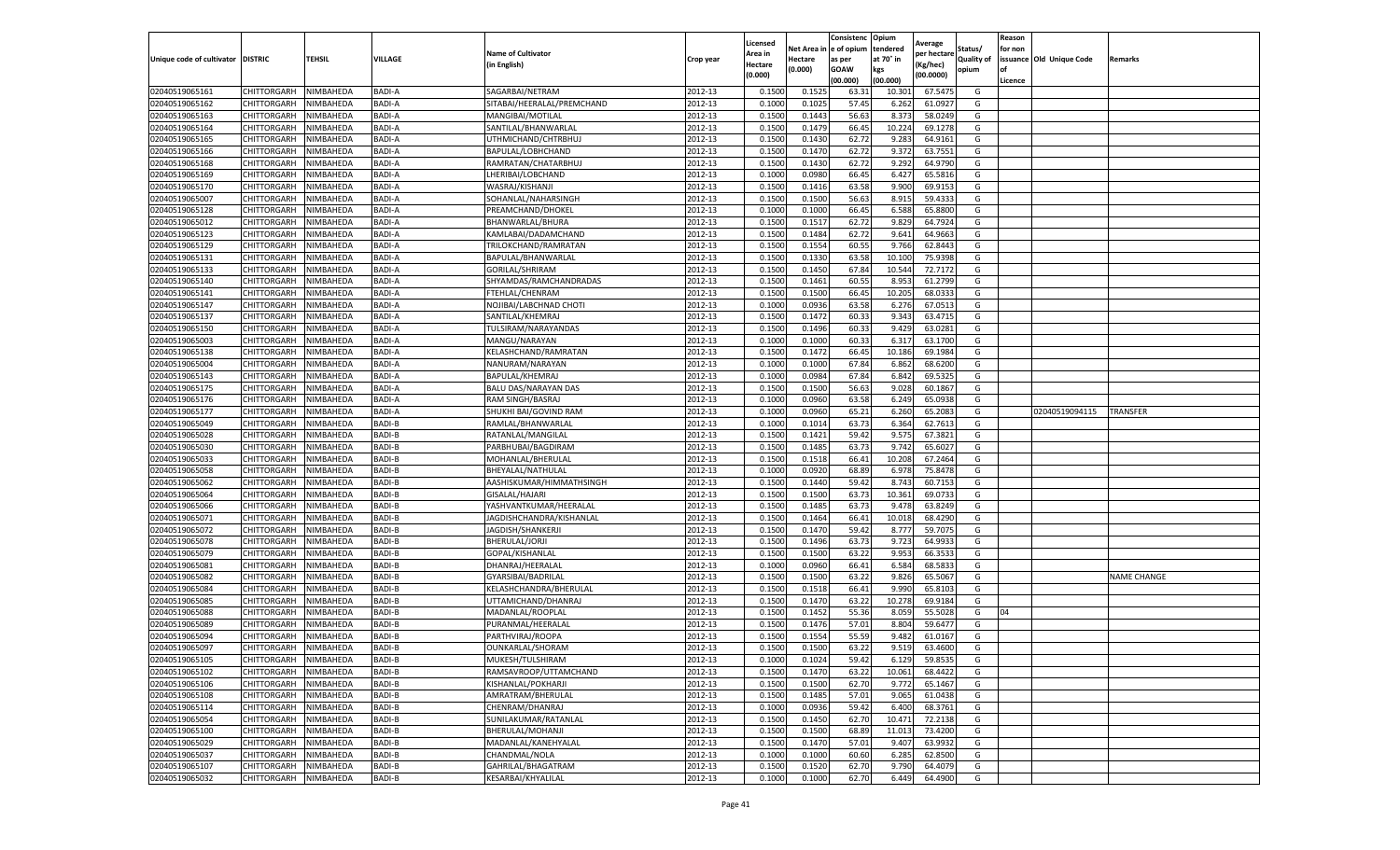|                           |                       |           |               |                             |           | Licensed |         | Consistenc             | Opium     |                        |            | Reason  |                          |                    |
|---------------------------|-----------------------|-----------|---------------|-----------------------------|-----------|----------|---------|------------------------|-----------|------------------------|------------|---------|--------------------------|--------------------|
|                           |                       |           |               | <b>Name of Cultivator</b>   |           | Area in  |         | Net Area in e of opium | tendered  | Average<br>per hectare | Status/    | for non |                          |                    |
| Unique code of cultivator | <b>DISTRIC</b>        | TEHSIL    | VILLAGE       | in English)                 | Crop year | Hectare  | Hectare | as per                 | at 70° in | (Kg/hec                | Quality of |         | issuance Old Unique Code | Remarks            |
|                           |                       |           |               |                             |           | (0.000)  | (0.000) | <b>GOAW</b>            | kgs       | (00.0000)              | opium      |         |                          |                    |
|                           |                       |           |               |                             |           |          |         | (00.000)               | (00.000)  |                        |            | Licence |                          |                    |
| 02040519065161            | CHITTORGARH           | NIMBAHEDA | <b>BADI-A</b> | SAGARBAI/NETRAM             | 2012-13   | 0.1500   | 0.1525  | 63.31                  | 10.301    | 67.5475                | G          |         |                          |                    |
| 02040519065162            | CHITTORGARH           | NIMBAHEDA | BADI-A        | SITABAI/HEERALAL/PREMCHAND  | 2012-13   | 0.1000   | 0.1025  | 57.45                  | 6.262     | 61.0927                | G          |         |                          |                    |
| 02040519065163            | CHITTORGARH           | NIMBAHEDA | BADI-A        | MANGIBAI/MOTILAL            | 2012-13   | 0.1500   | 0.1443  | 56.63                  | 8.373     | 58.0249                | G          |         |                          |                    |
| 02040519065164            | CHITTORGARH           | NIMBAHEDA | <b>BADI-A</b> | SANTILAL/BHANWARLAL         | 2012-13   | 0.1500   | 0.1479  | 66.45                  | 10.224    | 69.1278                | G          |         |                          |                    |
| 02040519065165            | <b>CHITTORGARH</b>    | NIMBAHEDA | <b>BADI-A</b> | UTHMICHAND/CHTRBHUJ         | 2012-13   | 0.1500   | 0.1430  | 62.72                  | 9.283     | 64.9161                | G          |         |                          |                    |
| 02040519065166            | CHITTORGARH           | NIMBAHEDA | <b>BADI-A</b> | BAPULAL/LOBHCHAND           | 2012-13   | 0.1500   | 0.1470  | 62.72                  | 9.372     | 63.7551                | G          |         |                          |                    |
| 02040519065168            | CHITTORGARH           | NIMBAHEDA | <b>BADI-A</b> | RAMRATAN/CHATARBHUJ         | 2012-13   | 0.1500   | 0.1430  | 62.72                  | 9.292     | 64.9790                | G          |         |                          |                    |
| 02040519065169            | CHITTORGARH           | NIMBAHEDA | <b>BADI-A</b> | LHERIBAI/LOBCHAND           | 2012-13   | 0.1000   | 0.0980  | 66.45                  | 6.427     | 65.5816                | G          |         |                          |                    |
| 02040519065170            | CHITTORGARH           | NIMBAHEDA | <b>BADI-A</b> | WASRAJ/KISHANJI             | 2012-13   | 0.1500   | 0.1416  | 63.58                  | 9.900     | 69.9153                | G          |         |                          |                    |
| 02040519065007            | CHITTORGARH           | NIMBAHEDA | <b>BADI-A</b> | SOHANLAL/NAHARSINGH         | 2012-13   | 0.1500   | 0.1500  | 56.63                  | 8.915     | 59.4333                | G          |         |                          |                    |
| 02040519065128            | CHITTORGARH           | NIMBAHEDA | <b>BADI-A</b> | PREAMCHAND/DHOKEL           | 2012-13   | 0.1000   | 0.1000  | 66.45                  | 6.588     | 65.8800                | G          |         |                          |                    |
| 02040519065012            | CHITTORGARH           | NIMBAHEDA | BADI-A        | BHANWARLAL/BHURA            | 2012-13   | 0.1500   | 0.1517  | 62.72                  | 9.829     | 64.7924                | G          |         |                          |                    |
| 02040519065123            | CHITTORGARH           | NIMBAHEDA | <b>BADI-A</b> | KAMLABAI/DADAMCHAND         | 2012-13   | 0.1500   | 0.1484  | 62.72                  | 9.641     | 64.9663                | G          |         |                          |                    |
| 02040519065129            | CHITTORGARH           | NIMBAHEDA | <b>BADI-A</b> | TRILOKCHAND/RAMRATAN        | 2012-13   | 0.1500   | 0.1554  | 60.55                  | 9.766     | 62.8443                | G          |         |                          |                    |
| 02040519065131            | CHITTORGARH           | NIMBAHEDA | BADI-A        | BAPULAL/BHANWARLAL          | 2012-13   | 0.1500   | 0.1330  | 63.58                  | 10.10     | 75.9398                | G          |         |                          |                    |
| 02040519065133            | CHITTORGARH           | NIMBAHEDA | BADI-A        | GORILAL/SHRIRAM             | 2012-13   | 0.1500   | 0.1450  | 67.84                  | 10.544    | 72.7172                | G          |         |                          |                    |
| 02040519065140            | CHITTORGARH           | NIMBAHEDA | BADI-A        | SHYAMDAS/RAMCHANDRADAS      | 2012-13   | 0.1500   | 0.1461  | 60.55                  | 8.953     | 61.2799                | G          |         |                          |                    |
| 02040519065141            | CHITTORGARH           | NIMBAHEDA | BADI-A        | FTEHLAL/CHENRAM             | 2012-13   | 0.1500   | 0.1500  | 66.45                  | 10.205    | 68.033                 | G          |         |                          |                    |
| 02040519065147            | CHITTORGARH           | NIMBAHEDA | BADI-A        | NOJIBAI/LABCHNAD CHOTI      | 2012-13   | 0.1000   | 0.0936  | 63.58                  | 6.276     | 67.0513                | G          |         |                          |                    |
| 02040519065137            | CHITTORGARH           | NIMBAHEDA | BADI-A        | SANTILAL/KHEMRAJ            | 2012-13   | 0.1500   | 0.1472  | 60.33                  | 9.343     | 63.4715                | G          |         |                          |                    |
| 02040519065150            | CHITTORGARH           | NIMBAHEDA | BADI-A        | TULSIRAM/NARAYANDAS         | 2012-13   | 0.1500   | 0.1496  | 60.33                  | 9.429     | 63.0281                | G          |         |                          |                    |
| 02040519065003            | CHITTORGARH           | NIMBAHEDA | BADI-A        | MANGU/NARAYAN               | 2012-13   | 0.1000   | 0.1000  | 60.33                  | 6.317     | 63.1700                | G          |         |                          |                    |
| 02040519065138            | CHITTORGARH           | NIMBAHEDA | BADI-A        | KELASHCHAND/RAMRATAN        | 2012-13   | 0.1500   | 0.1472  | 66.45                  | 10.186    | 69.1984                | G          |         |                          |                    |
| 02040519065004            | CHITTORGARH           | NIMBAHEDA | BADI-A        | NANURAM/NARAYAN             | 2012-13   | 0.1000   | 0.1000  | 67.84                  | 6.862     | 68.6200                | G          |         |                          |                    |
| 02040519065143            | CHITTORGARH           | NIMBAHEDA | BADI-A        | BAPULAL/KHEMRAJ             | 2012-13   | 0.1000   | 0.0984  | 67.84                  | 6.842     | 69.5325                | G          |         |                          |                    |
| 02040519065175            | CHITTORGARH           | NIMBAHEDA | <b>BADI-A</b> | <b>BALU DAS/NARAYAN DAS</b> | 2012-13   | 0.1500   | 0.1500  | 56.63                  | 9.028     | 60.1867                | G          |         |                          |                    |
| 02040519065176            | CHITTORGARH           | NIMBAHEDA | <b>BADI-A</b> | RAM SINGH/BASRAJ            | 2012-13   | 0.1000   | 0.0960  | 63.58                  | 6.249     | 65.0938                | G          |         |                          |                    |
| 02040519065177            | CHITTORGARH           | NIMBAHEDA | BADI-A        | SHUKHI BAI/GOVIND RAM       | 2012-13   | 0.1000   | 0.0960  | 65.21                  | 6.260     | 65.2083                | G          |         | 02040519094115           | <b>TRANSFER</b>    |
| 02040519065049            | CHITTORGARH           | NIMBAHEDA | BADI-B        | RAMLAL/BHANWARLAL           | 2012-13   | 0.1000   | 0.1014  | 63.73                  | 6.364     | 62.7613                | G          |         |                          |                    |
| 02040519065028            | CHITTORGARH           | NIMBAHEDA | BADI-B        | RATANLAL/MANGILAL           | 2012-13   | 0.1500   | 0.1421  | 59.42                  | 9.575     | 67.3821                | G          |         |                          |                    |
| 02040519065030            | CHITTORGARH           | NIMBAHEDA | <b>BADI-B</b> | PARBHUBAI/BAGDIRAM          | 2012-13   | 0.1500   | 0.1485  | 63.73                  | 9.74      | 65.602                 | G          |         |                          |                    |
| 02040519065033            | CHITTORGARH           | NIMBAHEDA | <b>BADI-B</b> | MOHANLAL/BHERULAI           | 2012-13   | 0.1500   | 0.1518  | 66.41                  | 10.208    | 67.2464                | G          |         |                          |                    |
| 02040519065058            | CHITTORGARH           | NIMBAHEDA | <b>BADI-B</b> | BHEYALAL/NATHULAL           | 2012-13   | 0.1000   | 0.0920  | 68.89                  | 6.97      | 75.8478                | G          |         |                          |                    |
| 02040519065062            | CHITTORGARH           | NIMBAHEDA | <b>BADI-B</b> | AASHISKUMAR/HIMMATHSINGH    | 2012-13   | 0.1500   | 0.1440  | 59.42                  | 8.743     | 60.7153                | G          |         |                          |                    |
| 02040519065064            | CHITTORGARH           | NIMBAHEDA | BADI-B        | GISALAL/HAJARI              | 2012-13   | 0.1500   | 0.1500  | 63.73                  | 10.361    | 69.0733                | G          |         |                          |                    |
| 02040519065066            | CHITTORGARH           | NIMBAHEDA | BADI-B        | YASHVANTKUMAR/HEERALAL      | 2012-13   | 0.1500   | 0.1485  | 63.73                  | 9.47      | 63.8249                | G          |         |                          |                    |
| 02040519065071            | CHITTORGARH           | NIMBAHEDA | BADI-B        | JAGDISHCHANDRA/KISHANLAL    | 2012-13   | 0.1500   | 0.1464  | 66.41                  | 10.01     | 68.4290                | G          |         |                          |                    |
| 02040519065072            | CHITTORGARH           | NIMBAHEDA | <b>BADI-B</b> | JAGDISH/SHANKERJI           | 2012-13   | 0.1500   | 0.1470  | 59.42                  | 8.777     | 59.7075                | G          |         |                          |                    |
| 02040519065078            | CHITTORGARH           | NIMBAHEDA | BADI-B        | <b>BHERULAL/JORJI</b>       | 2012-13   | 0.1500   | 0.1496  | 63.73                  | 9.723     | 64.993                 | G          |         |                          |                    |
| 02040519065079            | CHITTORGARH           | NIMBAHEDA | BADI-B        | GOPAL/KISHANLAL             | 2012-13   | 0.1500   | 0.1500  | 63.22                  | 9.953     | 66.3533                | G          |         |                          |                    |
| 02040519065081            | CHITTORGARH           | NIMBAHEDA | BADI-B        | DHANRAJ/HEERALAL            | 2012-13   | 0.1000   | 0.0960  | 66.41                  | 6.584     | 68.5833                | G          |         |                          |                    |
| 02040519065082            | CHITTORGARH           | NIMBAHEDA | BADI-B        | GYARSIBAI/BADRILAL          | 2012-13   | 0.1500   | 0.1500  | 63.22                  | 9.826     | 65.5067                | G          |         |                          | <b>NAME CHANGE</b> |
| 02040519065084            | CHITTORGARH           | NIMBAHEDA | BADI-B        | KELASHCHANDRA/BHERULAL      | 2012-13   | 0.1500   | 0.1518  | 66.41                  | 9.99      | 65.8103                | G          |         |                          |                    |
| 02040519065085            | CHITTORGARH           | NIMBAHEDA | BADI-B        | UTTAMICHAND/DHANRAJ         | 2012-13   | 0.1500   | 0.1470  | 63.22                  | 10.27     | 69.9184                | G          |         |                          |                    |
| 02040519065088            | CHITTORGARH           | NIMBAHEDA | BADI-B        | MADANLAL/ROOPLAI            | 2012-13   | 0.1500   | 0.1452  | 55.36                  | 8.059     | 55.5028                | G          | 04      |                          |                    |
| 02040519065089            | CHITTORGARH           | NIMBAHEDA | <b>BADI-B</b> | PURANMAL/HEERALAL           | 2012-13   | 0.1500   | 0.1476  | 57.01                  | 8.804     | 59.6477                | G          |         |                          |                    |
| 02040519065094            | CHITTORGARH           | NIMBAHEDA | <b>BADI-B</b> | PARTHVIRAJ/ROOPA            | 2012-13   | 0.1500   | 0.1554  | 55.59                  | 9.482     | 61.0167                | G          |         |                          |                    |
| 02040519065097            | CHITTORGARH           | NIMBAHEDA | BADI-B        | OUNKARLAL/SHORAM            | 2012-13   | 0.1500   | 0.1500  | 63.22                  | 9.519     | 63.4600                | G          |         |                          |                    |
| 02040519065105            | CHITTORGARH NIMBAHEDA |           | BADI-B        | MUKESH/TULSHIRAM            | 2012-13   | 0.1000   | 0.1024  | 59.42                  | 6.129     | 59.8535                | G          |         |                          |                    |
| 02040519065102            | CHITTORGARH           | NIMBAHEDA | BADI-B        | RAMSAVROOP/UTTAMCHAND       | 2012-13   | 0.1500   | 0.1470  | 63.22                  | 10.061    | 68.4422                | G          |         |                          |                    |
| 02040519065106            | <b>CHITTORGARH</b>    | NIMBAHEDA | BADI-B        | KISHANLAL/POKHARJI          | 2012-13   | 0.1500   | 0.1500  | 62.70                  | 9.772     | 65.1467                | G          |         |                          |                    |
| 02040519065108            | CHITTORGARH           | NIMBAHEDA | BADI-B        | AMRATRAM/BHERULAL           | 2012-13   | 0.1500   | 0.1485  | 57.01                  | 9.065     | 61.0438                | G          |         |                          |                    |
| 02040519065114            | <b>CHITTORGARH</b>    | NIMBAHEDA | BADI-B        | CHENRAM/DHANRAJ             | 2012-13   | 0.1000   | 0.0936  | 59.42                  | 6.400     | 68.3761                | G          |         |                          |                    |
| 02040519065054            | <b>CHITTORGARH</b>    | NIMBAHEDA | BADI-B        | SUNILAKUMAR/RATANLAL        | 2012-13   | 0.1500   | 0.1450  | 62.70                  | 10.471    | 72.2138                | G          |         |                          |                    |
| 02040519065100            | CHITTORGARH           | NIMBAHEDA | BADI-B        | BHERULAL/MOHANJI            | 2012-13   | 0.1500   | 0.1500  | 68.89                  | 11.013    | 73.4200                | G          |         |                          |                    |
| 02040519065029            | CHITTORGARH           | NIMBAHEDA | BADI-B        | MADANLAL/KANEHYALAL         | 2012-13   | 0.1500   | 0.1470  | 57.01                  | 9.407     | 63.9932                | G          |         |                          |                    |
| 02040519065037            | CHITTORGARH           | NIMBAHEDA | BADI-B        | CHANDMAL/NOLA               | 2012-13   | 0.1000   | 0.1000  | 60.60                  | 6.285     | 62.8500                | G          |         |                          |                    |
| 02040519065107            | CHITTORGARH           | NIMBAHEDA | BADI-B        | GAHRILAL/BHAGATRAM          | 2012-13   | 0.1500   | 0.1520  | 62.70                  | 9.790     | 64.4079                | G          |         |                          |                    |
| 02040519065032            | <b>CHITTORGARH</b>    | NIMBAHEDA | BADI-B        | KESARBAI/KHYALILAL          | 2012-13   | 0.1000   | 0.1000  | 62.70                  | 6.449     | 64.4900                | G          |         |                          |                    |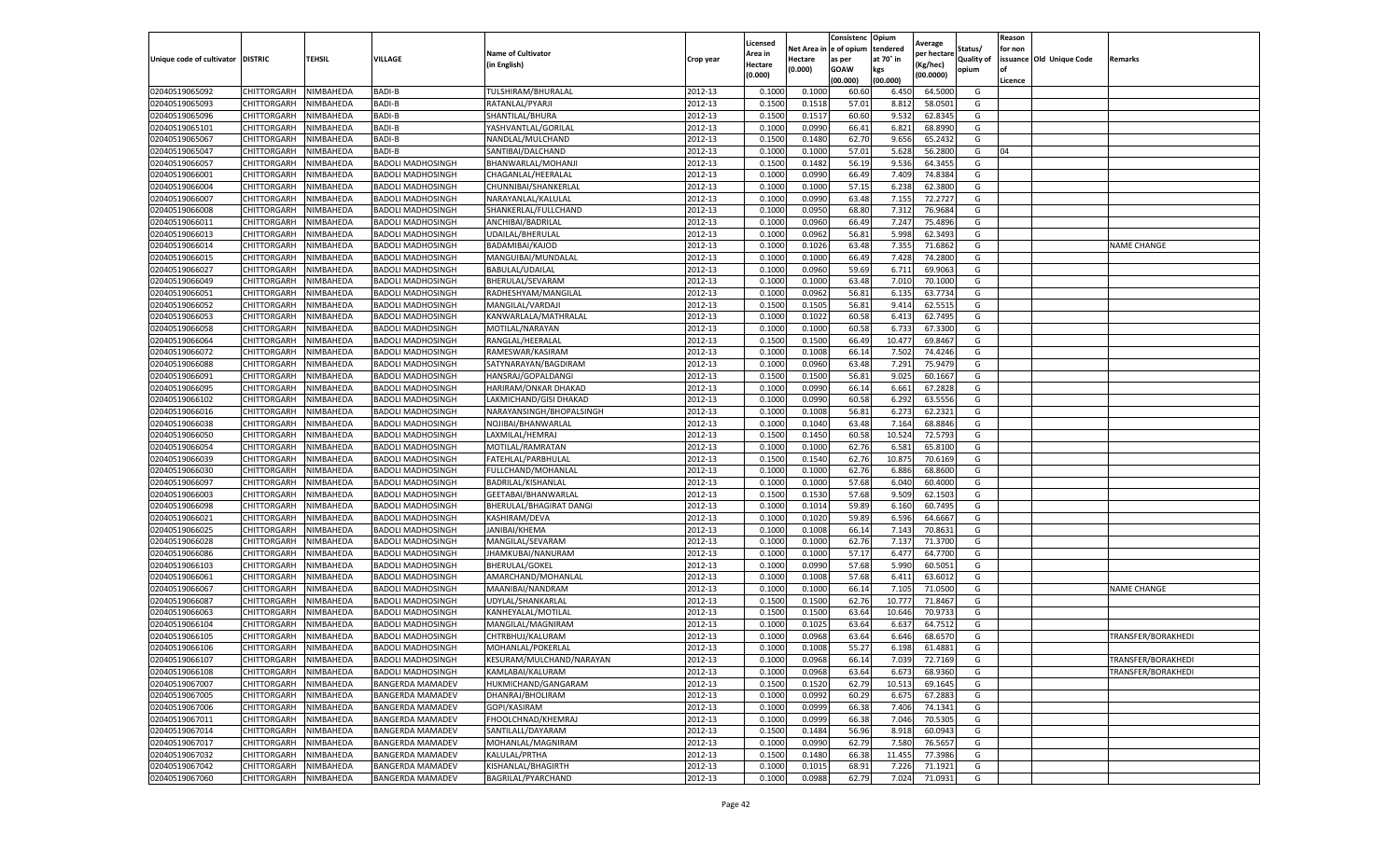|                                   |                            |                        |                                                      |                                          |                    | Licensed         |                  | Consistenc     | Opium          | Average            |                   | Reason  |                          |                    |
|-----------------------------------|----------------------------|------------------------|------------------------------------------------------|------------------------------------------|--------------------|------------------|------------------|----------------|----------------|--------------------|-------------------|---------|--------------------------|--------------------|
|                                   |                            |                        |                                                      | <b>Name of Cultivator</b>                |                    | Area in          | Net Area         | e of opium     | tendered       | per hectarı        | Status/           | for non |                          |                    |
| Unique code of cultivator DISTRIC |                            | TEHSIL                 | <b>VILLAGE</b>                                       | (in English)                             | Crop year          | Hectare          | Hectare          | as per         | at 70° in      | (Kg/hec)           | <b>Quality of</b> |         | issuance Old Unique Code | Remarks            |
|                                   |                            |                        |                                                      |                                          |                    | (0.000)          | (0.000)          | <b>GOAW</b>    | kgs            | (00.0000)          | opium             | οf      |                          |                    |
|                                   |                            |                        |                                                      |                                          |                    |                  |                  | (00.000)       | (00.000)       |                    |                   | Licence |                          |                    |
| 02040519065092                    | CHITTORGARH                | NIMBAHEDA              | BADI-B                                               | TULSHIRAM/BHURALAL                       | 2012-13            | 0.1000           | 0.1000           | 60.60          | 6.450          | 64.5000            | G                 |         |                          |                    |
| 02040519065093                    | CHITTORGARH                | NIMBAHEDA              | <b>BADI-B</b>                                        | RATANLAL/PYARJI                          | 2012-13            | 0.1500           | 0.1518           | 57.01          | 8.812          | 58.0501            | G                 |         |                          |                    |
| 02040519065096                    | CHITTORGARH                | NIMBAHEDA              | BADI-B                                               | SHANTILAL/BHURA                          | 2012-13            | 0.1500           | 0.1517           | 60.60          | 9.532          | 62.8345            | G                 |         |                          |                    |
| 02040519065101                    | CHITTORGARH                | NIMBAHEDA              | BADI-B                                               | YASHVANTLAL/GORILAL                      | 2012-13            | 0.1000           | 0.0990           | 66.41          | 6.821          | 68.8990            | G                 |         |                          |                    |
| 02040519065067                    | CHITTORGARH                | NIMBAHEDA              | BADI-B<br>BADI-B                                     | NANDLAL/MULCHAND                         | 2012-13            | 0.1500           | 0.1480           | 62.70<br>57.01 | 9.656          | 65.2432<br>56.2800 | G<br>G            | 04      |                          |                    |
| 02040519065047<br>02040519066057  | CHITTORGARH<br>CHITTORGARH | NIMBAHEDA<br>NIMBAHEDA | <b>BADOLI MADHOSINGH</b>                             | SANTIBAI/DALCHAND                        | 2012-13<br>2012-13 | 0.1000<br>0.1500 | 0.1000<br>0.1482 | 56.19          | 5.628<br>9.536 | 64.3455            | G                 |         |                          |                    |
| 02040519066001                    | CHITTORGARH                | NIMBAHEDA              | <b>BADOLI MADHOSINGH</b>                             | BHANWARLAL/MOHANJI<br>CHAGANLAL/HEERALAL | 2012-13            | 0.1000           | 0.0990           | 66.49          | 7.409          | 74.8384            | G                 |         |                          |                    |
| 02040519066004                    |                            |                        |                                                      | CHUNNIBAI/SHANKERLAL                     | 2012-13            | 0.1000           | 0.1000           | 57.15          | 6.238          | 62.3800            | G                 |         |                          |                    |
| 02040519066007                    | CHITTORGARH<br>CHITTORGARH | NIMBAHEDA<br>NIMBAHEDA | <b>BADOLI MADHOSINGH</b><br><b>BADOLI MADHOSINGH</b> | NARAYANLAL/KALULAL                       | 2012-13            | 0.1000           | 0.0990           | 63.48          | 7.155          | 72.2727            | G                 |         |                          |                    |
| 02040519066008                    | CHITTORGARH                | NIMBAHEDA              | <b>BADOLI MADHOSINGH</b>                             | SHANKERLAL/FULLCHAND                     | 2012-13            | 0.1000           | 0.0950           | 68.80          | 7.312          | 76.9684            | G                 |         |                          |                    |
| 02040519066011                    | CHITTORGARH                | NIMBAHEDA              | BADOLI MADHOSINGH                                    | ANCHIBAI/BADRILAL                        | 2012-13            | 0.1000           | 0.0960           | 66.49          | 7.247          | 75.4896            | G                 |         |                          |                    |
| 02040519066013                    | CHITTORGARH                | NIMBAHEDA              | BADOLI MADHOSINGH                                    | UDAILAL/BHERULAL                         | 2012-13            | 0.1000           | 0.0962           | 56.81          | 5.998          | 62.3493            | G                 |         |                          |                    |
| 02040519066014                    | CHITTORGARH                | NIMBAHEDA              | <b>BADOLI MADHOSINGH</b>                             | BADAMIBAI/KAJOD                          | 2012-13            | 0.1000           | 0.1026           | 63.48          | 7.355          | 71.686             | G                 |         |                          | <b>NAME CHANGE</b> |
| 02040519066015                    | CHITTORGARH                | NIMBAHEDA              | <b>BADOLI MADHOSINGH</b>                             | MANGUIBAI/MUNDALAL                       | 2012-13            | 0.1000           | 0.1000           | 66.49          | 7.428          | 74.2800            | G                 |         |                          |                    |
| 02040519066027                    | CHITTORGARH                | NIMBAHEDA              | <b>BADOLI MADHOSINGH</b>                             | BABULAL/UDAILAL                          | 2012-13            | 0.1000           | 0.0960           | 59.69          | 6.711          | 69.9063            | G                 |         |                          |                    |
| 02040519066049                    | CHITTORGARH                | NIMBAHEDA              | <b>BADOLI MADHOSINGH</b>                             | BHERULAL/SEVARAM                         | 2012-13            | 0.1000           | 0.1000           | 63.48          | 7.010          | 70.1000            | G                 |         |                          |                    |
| 02040519066051                    | CHITTORGARH                | NIMBAHEDA              | <b>BADOLI MADHOSINGH</b>                             | RADHESHYAM/MANGILAL                      | 2012-13            | 0.1000           | 0.0962           | 56.81          | 6.135          | 63.7734            | G                 |         |                          |                    |
| 02040519066052                    | CHITTORGARH                | NIMBAHEDA              | <b>BADOLI MADHOSINGH</b>                             | MANGILAL/VARDAJI                         | 2012-13            | 0.1500           | 0.1505           | 56.81          | 9.414          | 62.551             | G                 |         |                          |                    |
| 02040519066053                    | CHITTORGARH                | NIMBAHEDA              | <b>BADOLI MADHOSINGH</b>                             | KANWARLALA/MATHRALAL                     | 2012-13            | 0.1000           | 0.1022           | 60.58          | 6.413          | 62.7495            | G                 |         |                          |                    |
| 02040519066058                    | CHITTORGARH                | NIMBAHEDA              | <b>BADOLI MADHOSINGH</b>                             | MOTILAL/NARAYAN                          | 2012-13            | 0.1000           | 0.1000           | 60.58          | 6.733          | 67.3300            | G                 |         |                          |                    |
| 02040519066064                    | CHITTORGARH                | NIMBAHEDA              | <b>BADOLI MADHOSINGH</b>                             | RANGLAL/HEERALAL                         | 2012-13            | 0.1500           | 0.1500           | 66.49          | 10.477         | 69.8467            | G                 |         |                          |                    |
| 02040519066072                    | CHITTORGARH                | NIMBAHEDA              | <b>BADOLI MADHOSINGH</b>                             | RAMESWAR/KASIRAM                         | 2012-13            | 0.1000           | 0.1008           | 66.14          | 7.502          | 74.4246            | G                 |         |                          |                    |
| 02040519066088                    | CHITTORGARH                | NIMBAHEDA              | <b>BADOLI MADHOSINGH</b>                             | SATYNARAYAN/BAGDIRAM                     | 2012-13            | 0.1000           | 0.0960           | 63.48          | 7.291          | 75.9479            | G                 |         |                          |                    |
| 02040519066091                    | CHITTORGARH                | NIMBAHEDA              | <b>BADOLI MADHOSINGH</b>                             | HANSRAJ/GOPALDANGI                       | 2012-13            | 0.1500           | 0.1500           | 56.81          | 9.025          | 60.1667            | G                 |         |                          |                    |
| 02040519066095                    | CHITTORGARH                | NIMBAHEDA              | <b>BADOLI MADHOSINGH</b>                             | HARIRAM/ONKAR DHAKAD                     | 2012-13            | 0.1000           | 0.0990           | 66.14          | 6.661          | 67.2828            | G                 |         |                          |                    |
| 02040519066102                    | CHITTORGARH                | NIMBAHEDA              | <b>BADOLI MADHOSINGH</b>                             | LAKMICHAND/GISI DHAKAD                   | 2012-13            | 0.1000           | 0.0990           | 60.58          | 6.292          | 63.5556            | G                 |         |                          |                    |
| 02040519066016                    | CHITTORGARH                | NIMBAHEDA              | <b>BADOLI MADHOSINGH</b>                             | NARAYANSINGH/BHOPALSINGH                 | 2012-13            | 0.1000           | 0.1008           | 56.81          | 6.273          | 62.2321            | G                 |         |                          |                    |
| 02040519066038                    | CHITTORGARH                | NIMBAHEDA              | <b>BADOLI MADHOSINGH</b>                             | NOJIBAI/BHANWARLAL                       | 2012-13            | 0.1000           | 0.1040           | 63.48          | 7.164          | 68.8846            | G                 |         |                          |                    |
| 02040519066050                    | CHITTORGARH                | NIMBAHEDA              | <b>BADOLI MADHOSINGH</b>                             | LAXMILAL/HEMRAJ                          | 2012-13            | 0.1500           | 0.1450           | 60.58          | 10.524         | 72.5793            | G                 |         |                          |                    |
| 02040519066054                    | CHITTORGARH                | NIMBAHEDA              | <b>BADOLI MADHOSINGH</b>                             | MOTILAL/RAMRATAN                         | 2012-13            | 0.1000           | 0.1000           | 62.76          | 6.581          | 65.8100            | G                 |         |                          |                    |
| 02040519066039                    | CHITTORGARH                | NIMBAHEDA              | <b>BADOLI MADHOSINGH</b>                             | FATEHLAL/PARBHULAL                       | 2012-13            | 0.1500           | 0.1540           | 62.76          | 10.875         | 70.6169            | G                 |         |                          |                    |
| 02040519066030                    | CHITTORGARH                | NIMBAHEDA              | <b>BADOLI MADHOSINGH</b>                             | FULLCHAND/MOHANLAL                       | 2012-13            | 0.1000           | 0.1000           | 62.76          | 6.886          | 68.8600            | G                 |         |                          |                    |
| 02040519066097                    | CHITTORGARH                | NIMBAHEDA              | <b>BADOLI MADHOSINGH</b>                             | BADRILAL/KISHANLAL                       | 2012-13            | 0.1000           | 0.1000           | 57.68          | 6.040          | 60.4000            | G                 |         |                          |                    |
| 02040519066003                    | CHITTORGARH                | NIMBAHEDA              | <b>BADOLI MADHOSINGH</b>                             | GEETABAI/BHANWARLAL                      | 2012-13            | 0.1500           | 0.1530           | 57.68          | 9.509          | 62.1503            | G                 |         |                          |                    |
| 02040519066098                    | CHITTORGARH                | NIMBAHEDA              | <b>BADOLI MADHOSINGH</b>                             | BHERULAL/BHAGIRAT DANGI                  | 2012-13            | 0.1000           | 0.1014           | 59.89          | 6.160          | 60.7495            | G                 |         |                          |                    |
| 02040519066021                    | CHITTORGARH                | NIMBAHEDA              | <b>BADOLI MADHOSINGH</b>                             | KASHIRAM/DEVA                            | 2012-13            | 0.1000           | 0.1020           | 59.89          | 6.596          | 64.6667            | G                 |         |                          |                    |
| 02040519066025                    | CHITTORGARH                | NIMBAHEDA              | BADOLI MADHOSINGH                                    | JANIBAI/KHEMA                            | 2012-13            | 0.1000           | 0.1008           | 66.14          | 7.143          | 70.8631            | G                 |         |                          |                    |
| 02040519066028                    | CHITTORGARH                | NIMBAHEDA              | <b>BADOLI MADHOSINGH</b>                             | MANGILAL/SEVARAM                         | 2012-13            | 0.1000           | 0.1000           | 62.76          | 7.137          | 71.3700            | G                 |         |                          |                    |
| 02040519066086                    | CHITTORGARH                | NIMBAHEDA              | <b>BADOLI MADHOSINGH</b>                             | JHAMKUBAI/NANURAM                        | 2012-13            | 0.1000           | 0.1000           | 57.17          | 6.477          | 64.7700            | G                 |         |                          |                    |
| 02040519066103                    | CHITTORGARH                | NIMBAHEDA              | <b>BADOLI MADHOSINGH</b>                             | <b>BHERULAL/GOKEL</b>                    | 2012-13            | 0.1000           | 0.0990           | 57.68          | 5.990          | 60.5051            | G                 |         |                          |                    |
| 02040519066061                    | CHITTORGARH                | NIMBAHEDA              | <b>BADOLI MADHOSINGH</b>                             | AMARCHAND/MOHANLAL                       | 2012-13            | 0.1000           | 0.1008           | 57.68          | 6.411          | 63.6012            | G                 |         |                          |                    |
| 02040519066067                    | CHITTORGARH                | NIMBAHEDA              | <b>BADOLI MADHOSINGH</b>                             | MAANIBAI/NANDRAM                         | 2012-13            | 0.1000           | 0.1000           | 66.14          | 7.105          | 71.0500            | G                 |         |                          | <b>NAME CHANGE</b> |
| 02040519066087                    | CHITTORGARH                | NIMBAHEDA              | BADOLI MADHOSINGH                                    | UDYLAL/SHANKARLAL                        | 2012-13            | 0.1500           | 0.1500           | 62.76          | 10.77          | 71.8467            | G                 |         |                          |                    |
| 02040519066063                    | CHITTORGARH                | NIMBAHEDA              | <b>BADOLI MADHOSINGH</b>                             | KANHEYALAL/MOTILAL                       | 2012-13            | 0.1500           | 0.1500           | 63.64          | 10.646         | 70.973             | G                 |         |                          |                    |
| 02040519066104                    | CHITTORGARH                | NIMBAHEDA              | <b>BADOLI MADHOSINGH</b>                             | MANGILAL/MAGNIRAM                        | 2012-13            | 0.1000           | 0.1025           | 63.64          | 6.637          | 64.751             | G                 |         |                          |                    |
| 02040519066105                    | CHITTORGARH                | NIMBAHEDA              | <b>BADOLI MADHOSINGH</b>                             | CHTRBHUJ/KALURAM                         | 2012-13            | 0.1000           | 0.0968           | 63.64          | 6.646          | 68.6570            | G                 |         |                          | TRANSFER/BORAKHEDI |
| 02040519066106                    | CHITTORGARH                | NIMBAHEDA              | <b>BADOLI MADHOSINGH</b>                             | MOHANLAL/POKERLAI                        | 2012-13            | 0.1000           | 0.1008           | 55.27          | 6.198          | 61.4881            | G                 |         |                          |                    |
| 02040519066107                    | <b>CHITTORGARH</b>         | NIMBAHEDA              | <b>BADOLI MADHOSINGH</b>                             | KESURAM/MULCHAND/NARAYAN                 | 2012-13            | 0.1000           | 0.0968           | 66.14          | 7.039          | 72.7169            | G                 |         |                          | TRANSFER/BORAKHEDI |
| 02040519066108                    | CHITTORGARH                | NIMBAHEDA              | <b>BADOLI MADHOSINGH</b>                             | KAMLABAI/KALURAM                         | 2012-13            | 0.1000           | 0.0968           | 63.64          | 6.673          | 68.9360            | G                 |         |                          | TRANSFER/BORAKHEDI |
| 02040519067007                    | <b>CHITTORGARH</b>         | NIMBAHEDA              | <b>BANGERDA MAMADEV</b>                              | HUKMICHAND/GANGARAM                      | 2012-13            | 0.1500           | 0.1520           | 62.79          | 10.513         | 69.1645            | G                 |         |                          |                    |
| 02040519067005                    | CHITTORGARH                | NIMBAHEDA              | <b>BANGERDA MAMADEV</b>                              | DHANRAJ/BHOLIRAM                         | 2012-13            | 0.1000           | 0.0992           | 60.29          | 6.675          | 67.2883            | G                 |         |                          |                    |
| 02040519067006                    | <b>CHITTORGARH</b>         | NIMBAHEDA              | <b>BANGERDA MAMADEV</b>                              | GOPI/KASIRAM                             | 2012-13            | 0.1000           | 0.0999           | 66.38          | 7.406          | 74.1341            | G                 |         |                          |                    |
| 02040519067011                    | CHITTORGARH                | NIMBAHEDA              | <b>BANGERDA MAMADEV</b>                              | FHOOLCHNAD/KHEMRAJ                       | 2012-13            | 0.1000           | 0.0999           | 66.38          | 7.046          | 70.5305            | G                 |         |                          |                    |
| 02040519067014                    | CHITTORGARH                | NIMBAHEDA              | <b>BANGERDA MAMADEV</b>                              | SANTILALL/DAYARAM                        | 2012-13            | 0.1500           | 0.1484           | 56.96          | 8.918          | 60.0943            | G                 |         |                          |                    |
| 02040519067017                    | CHITTORGARH                | NIMBAHEDA              | <b>BANGERDA MAMADEV</b>                              | MOHANLAL/MAGNIRAM                        | 2012-13            | 0.1000           | 0.0990           | 62.79          | 7.580          | 76.5657            | G                 |         |                          |                    |
| 02040519067032                    | <b>CHITTORGARH</b>         | NIMBAHEDA              | <b>BANGERDA MAMADEV</b>                              | KALULAL/PRTHA                            | 2012-13            | 0.1500           | 0.1480           | 66.38          | 11.455         | 77.3986            | G                 |         |                          |                    |
| 02040519067042                    | <b>CHITTORGARH</b>         | NIMBAHEDA              | <b>BANGERDA MAMADEV</b>                              | KISHANLAL/BHAGIRTH                       | 2012-13            | 0.1000           | 0.1015           | 68.91          | 7.226          | 71.1921            | G                 |         |                          |                    |
| 02040519067060                    | <b>CHITTORGARH</b>         | NIMBAHEDA              | <b>BANGERDA MAMADEV</b>                              | BAGRILAL/PYARCHAND                       | 2012-13            | 0.1000           | 0.0988           | 62.79          | 7.024          | 71.0931            | G                 |         |                          |                    |
|                                   |                            |                        |                                                      |                                          |                    |                  |                  |                |                |                    |                   |         |                          |                    |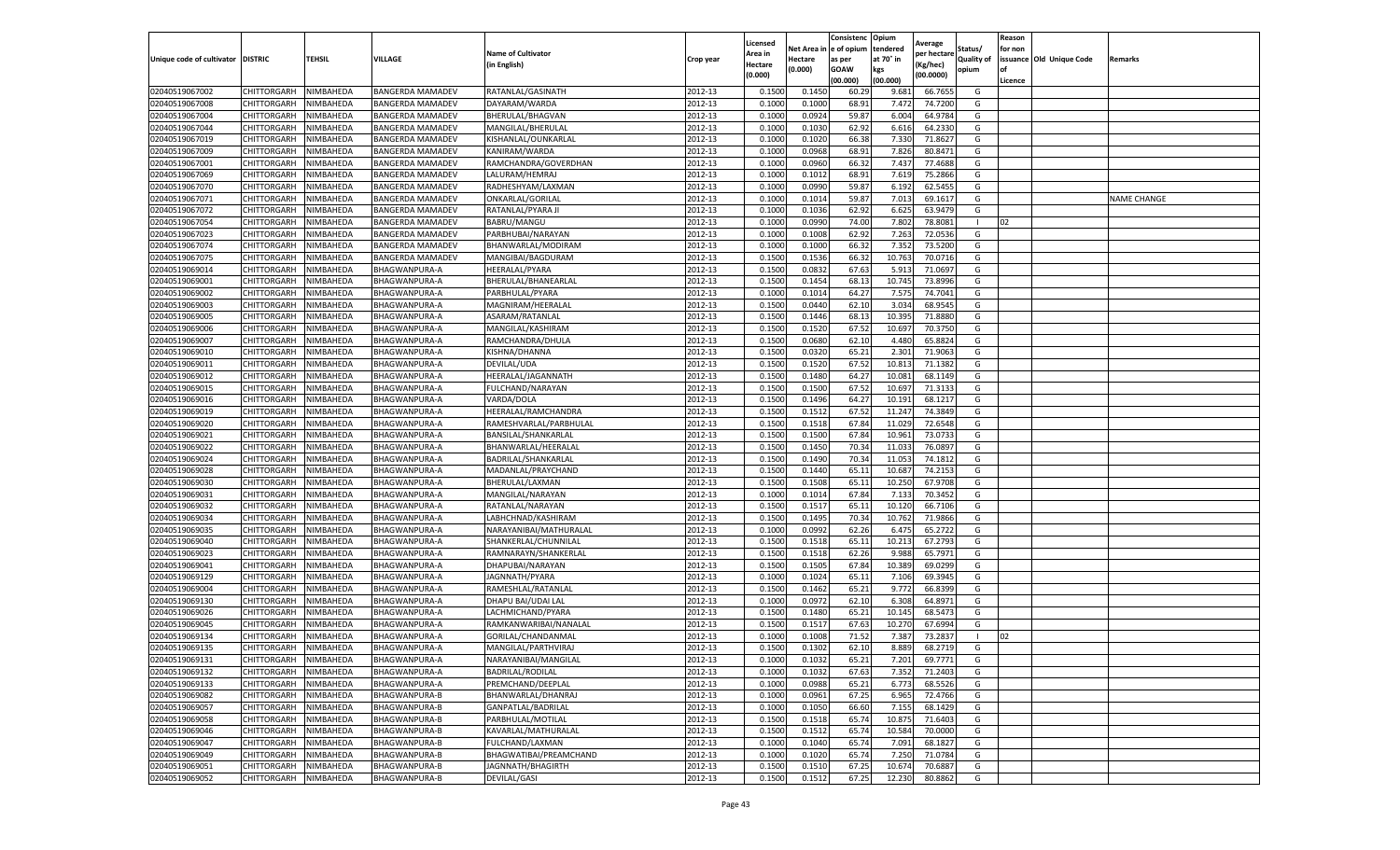|                                   |                       |           |                         |                           |           | Licensed |         | Consistenc             | Opium     | Average     |                   | Reason  |                          |                    |
|-----------------------------------|-----------------------|-----------|-------------------------|---------------------------|-----------|----------|---------|------------------------|-----------|-------------|-------------------|---------|--------------------------|--------------------|
|                                   |                       |           |                         | <b>Name of Cultivator</b> |           | Area in  |         | Net Area in e of opium | tendered  | per hectare | Status/           | for non |                          |                    |
| Unique code of cultivator DISTRIC |                       | TEHSIL    | VILLAGE                 | in English)               | Crop year | Hectare  | Hectare | as per                 | at 70° in | (Kg/hec     | <b>Quality of</b> |         | issuance Old Unique Code | <b>Remarks</b>     |
|                                   |                       |           |                         |                           |           | (0.000)  | (0.000) | <b>GOAW</b>            | kgs       | (00.0000)   | opium             | of      |                          |                    |
|                                   |                       |           |                         |                           |           |          |         | (00.000)               | (00.000)  |             |                   | Licence |                          |                    |
| 02040519067002                    | CHITTORGARH           | NIMBAHEDA | <b>BANGERDA MAMADEV</b> | RATANLAL/GASINATH         | 2012-13   | 0.1500   | 0.1450  | 60.29                  | 9.681     | 66.7655     | G                 |         |                          |                    |
| 02040519067008                    | CHITTORGARH           | NIMBAHEDA | <b>BANGERDA MAMADEV</b> | DAYARAM/WARDA             | 2012-13   | 0.1000   | 0.1000  | 68.91                  | 7.472     | 74.7200     | G                 |         |                          |                    |
| 02040519067004                    | CHITTORGARH           | NIMBAHEDA | <b>BANGERDA MAMADEV</b> | BHERULAL/BHAGVAN          | 2012-13   | 0.1000   | 0.0924  | 59.87                  | 6.004     | 64.9784     | G                 |         |                          |                    |
| 02040519067044                    | CHITTORGARH           | NIMBAHEDA | <b>BANGERDA MAMADEV</b> | MANGILAL/BHERULAL         | 2012-13   | 0.1000   | 0.1030  | 62.92                  | 6.616     | 64.2330     | G                 |         |                          |                    |
| 02040519067019                    | CHITTORGARH           | NIMBAHEDA | <b>BANGERDA MAMADEV</b> | KISHANLAL/OUNKARLAL       | 2012-13   | 0.1000   | 0.1020  | 66.38                  | 7.330     | 71.8627     | G                 |         |                          |                    |
| 02040519067009                    | CHITTORGARH           | NIMBAHEDA | BANGERDA MAMADEV        | KANIRAM/WARDA             | 2012-13   | 0.1000   | 0.0968  | 68.91                  | 7.826     | 80.8471     | G                 |         |                          |                    |
| 02040519067001                    | CHITTORGARH           | NIMBAHEDA | <b>BANGERDA MAMADEV</b> | RAMCHANDRA/GOVERDHAN      | 2012-13   | 0.1000   | 0.0960  | 66.32                  | 7.437     | 77.4688     | G                 |         |                          |                    |
| 02040519067069                    | CHITTORGARH           | NIMBAHEDA | <b>BANGERDA MAMADEV</b> | LALURAM/HEMRAJ            | 2012-13   | 0.1000   | 0.1012  | 68.91                  | 7.619     | 75.2866     | G                 |         |                          |                    |
| 02040519067070                    | CHITTORGARH           | NIMBAHEDA | <b>BANGERDA MAMADEV</b> | RADHESHYAM/LAXMAN         | 2012-13   | 0.1000   | 0.0990  | 59.87                  | 6.192     | 62.5455     | G                 |         |                          |                    |
| 02040519067071                    | CHITTORGARH           | NIMBAHEDA | <b>BANGERDA MAMADEV</b> | ONKARLAL/GORILAL          | 2012-13   | 0.1000   | 0.1014  | 59.87                  | 7.013     | 69.1617     | G                 |         |                          | <b>NAME CHANGE</b> |
| 02040519067072                    | CHITTORGARH           | NIMBAHEDA | <b>BANGERDA MAMADEV</b> | RATANLAL/PYARA JI         | 2012-13   | 0.1000   | 0.1036  | 62.92                  | 6.625     | 63.9479     | G                 |         |                          |                    |
| 02040519067054                    | CHITTORGARH           | NIMBAHEDA | <b>BANGERDA MAMADEV</b> | BABRU/MANGU               | 2012-13   | 0.1000   | 0.0990  | 74.00                  | 7.802     | 78.8081     |                   | 02      |                          |                    |
| 02040519067023                    | CHITTORGARH           | NIMBAHEDA | BANGERDA MAMADEV        | PARBHUBAI/NARAYAN         | 2012-13   | 0.1000   | 0.1008  | 62.92                  | 7.263     | 72.0536     | G                 |         |                          |                    |
| 02040519067074                    | CHITTORGARH           | NIMBAHEDA | <b>BANGERDA MAMADEV</b> | BHANWARLAL/MODIRAM        | 2012-13   | 0.1000   | 0.1000  | 66.32                  | 7.352     | 73.5200     | G                 |         |                          |                    |
| 02040519067075                    | CHITTORGARH           | NIMBAHEDA | <b>BANGERDA MAMADEV</b> | MANGIBAI/BAGDURAM         | 2012-13   | 0.1500   | 0.1536  | 66.32                  | 10.763    | 70.0716     | G                 |         |                          |                    |
| 02040519069014                    | CHITTORGARH           | NIMBAHEDA | BHAGWANPURA-A           | HEERALAL/PYARA            | 2012-13   | 0.1500   | 0.0832  | 67.63                  | 5.913     | 71.0697     | G                 |         |                          |                    |
| 02040519069001                    | CHITTORGARH           | NIMBAHEDA | BHAGWANPURA-A           | BHERULAL/BHANEARLAL       | 2012-13   | 0.1500   | 0.1454  | 68.13                  | 10.745    | 73.8996     | G                 |         |                          |                    |
| 02040519069002                    | CHITTORGARH           | NIMBAHEDA | BHAGWANPURA-A           | PARBHULAL/PYARA           | 2012-13   | 0.1000   | 0.1014  | 64.27                  | 7.575     | 74.7041     | G                 |         |                          |                    |
| 02040519069003                    | CHITTORGARH           | NIMBAHEDA | BHAGWANPURA-A           | MAGNIRAM/HEERALAI         | 2012-13   | 0.1500   | 0.0440  | 62.10                  | 3.034     | 68.9545     | G                 |         |                          |                    |
| 02040519069005                    | CHITTORGARH           | NIMBAHEDA | BHAGWANPURA-A           | ASARAM/RATANLAL           | 2012-13   | 0.1500   | 0.1446  | 68.13                  | 10.395    | 71.8880     | G                 |         |                          |                    |
| 02040519069006                    | CHITTORGARH           | NIMBAHEDA | BHAGWANPURA-A           | MANGILAL/KASHIRAM         | 2012-13   | 0.1500   | 0.1520  | 67.52                  | 10.697    | 70.3750     | G                 |         |                          |                    |
| 02040519069007                    | CHITTORGARH           | NIMBAHEDA | BHAGWANPURA-A           | RAMCHANDRA/DHULA          | 2012-13   | 0.1500   | 0.0680  | 62.10                  | 4.480     | 65.8824     | G                 |         |                          |                    |
| 02040519069010                    | CHITTORGARH           | NIMBAHEDA | BHAGWANPURA-A           | KISHNA/DHANNA             | 2012-13   | 0.1500   | 0.0320  | 65.21                  | 2.301     | 71.9063     | G                 |         |                          |                    |
| 02040519069011                    | CHITTORGARH           | NIMBAHEDA | BHAGWANPURA-A           | DEVILAL/UDA               | 2012-13   | 0.1500   | 0.1520  | 67.52                  | 10.81     | 71.1382     | G                 |         |                          |                    |
| 02040519069012                    | CHITTORGARH           | NIMBAHEDA | BHAGWANPURA-A           | HEERALAL/JAGANNATH        | 2012-13   | 0.1500   | 0.1480  | 64.27                  | 10.08     | 68.1149     | G                 |         |                          |                    |
| 02040519069015                    | CHITTORGARH           | NIMBAHEDA | BHAGWANPURA-A           | FULCHAND/NARAYAN          | 2012-13   | 0.1500   | 0.1500  | 67.52                  | 10.69     | 71.3133     | G                 |         |                          |                    |
| 02040519069016                    | CHITTORGARH           | NIMBAHEDA | BHAGWANPURA-A           | VARDA/DOLA                | 2012-13   | 0.1500   | 0.1496  | 64.27                  | 10.19     | 68.1217     | G                 |         |                          |                    |
| 02040519069019                    | CHITTORGARH           | NIMBAHEDA | BHAGWANPURA-A           | HEERALAL/RAMCHANDRA       | 2012-13   | 0.1500   | 0.1512  | 67.52                  | 11.247    | 74.3849     | G                 |         |                          |                    |
| 02040519069020                    | CHITTORGARH           | NIMBAHEDA | BHAGWANPURA-A           | RAMESHVARLAL/PARBHULAL    | 2012-13   | 0.1500   | 0.1518  | 67.84                  | 11.029    | 72.6548     | G                 |         |                          |                    |
| 02040519069021                    | CHITTORGARH           | NIMBAHEDA | BHAGWANPURA-A           | BANSILAL/SHANKARLAL       | 2012-13   | 0.1500   | 0.1500  | 67.84                  | 10.961    | 73.0733     | G                 |         |                          |                    |
| 02040519069022                    | CHITTORGARH           | NIMBAHEDA | BHAGWANPURA-A           | BHANWARLAL/HEERALAI       | 2012-13   | 0.1500   | 0.1450  | 70.34                  | 11.03     | 76.0897     | G                 |         |                          |                    |
| 02040519069024                    | CHITTORGARH           | NIMBAHEDA | BHAGWANPURA-A           | BADRILAL/SHANKARLAI       | 2012-13   | 0.1500   | 0.1490  | 70.34                  | 11.053    | 74.1812     | G                 |         |                          |                    |
| 02040519069028                    | CHITTORGARH           | NIMBAHEDA | BHAGWANPURA-A           | MADANLAL/PRAYCHAND        | 2012-13   | 0.1500   | 0.1440  | 65.1                   | 10.68     | 74.2153     | G                 |         |                          |                    |
| 02040519069030                    | CHITTORGARH           | NIMBAHEDA | BHAGWANPURA-A           | BHERULAL/LAXMAN           | 2012-13   | 0.1500   | 0.1508  | 65.11                  | 10.25     | 67.9708     | G                 |         |                          |                    |
| 02040519069031                    | CHITTORGARH           | NIMBAHEDA | BHAGWANPURA-A           | MANGILAL/NARAYAN          | 2012-13   | 0.1000   | 0.1014  | 67.84                  | 7.13      | 70.3452     | G                 |         |                          |                    |
| 02040519069032                    | CHITTORGARH           | NIMBAHEDA | BHAGWANPURA-A           | RATANLAL/NARAYAN          | 2012-13   | 0.1500   | 0.1517  | 65.11                  | 10.12     | 66.7106     | G                 |         |                          |                    |
| 02040519069034                    | CHITTORGARH           | NIMBAHEDA | BHAGWANPURA-A           | LABHCHNAD/KASHIRAM        | 2012-13   | 0.1500   | 0.1495  | 70.34                  | 10.762    | 71.9866     | G                 |         |                          |                    |
| 02040519069035                    | CHITTORGARH           | NIMBAHEDA | BHAGWANPURA-A           | NARAYANIBAI/MATHURALAL    | 2012-13   | 0.1000   | 0.0992  | 62.26                  | 6.47      | 65.2722     | G                 |         |                          |                    |
| 02040519069040                    | CHITTORGARH           | NIMBAHEDA | BHAGWANPURA-A           | SHANKERLAL/CHUNNILAL      | 2012-13   | 0.1500   | 0.1518  | 65.11                  | 10.21     | 67.2793     | G                 |         |                          |                    |
| 02040519069023                    | CHITTORGARH           | NIMBAHEDA | BHAGWANPURA-A           | RAMNARAYN/SHANKERLAL      | 2012-13   | 0.1500   | 0.1518  | 62.26                  | 9.988     | 65.7971     | G                 |         |                          |                    |
| 02040519069041                    | CHITTORGARH           | NIMBAHEDA | BHAGWANPURA-A           | DHAPUBAI/NARAYAN          | 2012-13   | 0.1500   | 0.1505  | 67.84                  | 10.38     | 69.0299     | G                 |         |                          |                    |
| 02040519069129                    | CHITTORGARH           | NIMBAHEDA | BHAGWANPURA-A           | JAGNNATH/PYARA            | 2012-13   | 0.1000   | 0.1024  | 65.11                  | 7.106     | 69.3945     | G                 |         |                          |                    |
| 02040519069004                    | CHITTORGARH           | NIMBAHEDA | BHAGWANPURA-A           | RAMESHLAL/RATANLAL        | 2012-13   | 0.1500   | 0.1462  | 65.21                  | 9.772     | 66.8399     | G                 |         |                          |                    |
| 02040519069130                    | CHITTORGARH           | NIMBAHEDA | BHAGWANPURA-A           | DHAPU BAI/UDAI LAL        | 2012-13   | 0.1000   | 0.0972  | 62.10                  | 6.308     | 64.8971     | G                 |         |                          |                    |
| 02040519069026                    | CHITTORGARH           | NIMBAHEDA | BHAGWANPURA-A           | LACHMICHAND/PYARA         | 2012-13   | 0.1500   | 0.1480  | 65.21                  | 10.145    | 68.5473     | G                 |         |                          |                    |
| 02040519069045                    | CHITTORGARH           | NIMBAHEDA | BHAGWANPURA-A           | RAMKANWARIBAI/NANALAL     | 2012-13   | 0.1500   | 0.1517  | 67.63                  | 10.27     | 67.6994     | G                 |         |                          |                    |
| 02040519069134                    | CHITTORGARH           | NIMBAHEDA | BHAGWANPURA-A           | GORILAL/CHANDANMAL        | 2012-13   | 0.1000   | 0.1008  | 71.52                  | 7.387     | 73.2837     | -1                | 02      |                          |                    |
| 02040519069135                    | CHITTORGARH           | NIMBAHEDA | BHAGWANPURA-A           | MANGILAL/PARTHVIRAJ       | 2012-13   | 0.1500   | 0.1302  | 62.10                  | 8.889     | 68.2719     | G                 |         |                          |                    |
| 02040519069131                    | CHITTORGARH NIMBAHEDA |           | <b>BHAGWANPURA-A</b>    | NARAYANIBAI/MANGILAL      | 2012-13   | 0.1000   | 0.1032  | 65.21                  | 7.201     | 69.7771     | G                 |         |                          |                    |
| 02040519069132                    | CHITTORGARH           | NIMBAHEDA | BHAGWANPURA-A           | <b>BADRILAL/RODILAL</b>   | 2012-13   | 0.1000   | 0.1032  | 67.63                  | 7.352     | 71.2403     | G                 |         |                          |                    |
| 02040519069133                    | CHITTORGARH           | NIMBAHEDA | BHAGWANPURA-A           | PREMCHAND/DEEPLAL         | 2012-13   | 0.1000   | 0.0988  | 65.21                  | 6.773     | 68.5526     | G                 |         |                          |                    |
| 02040519069082                    | CHITTORGARH           | NIMBAHEDA | BHAGWANPURA-B           | BHANWARLAL/DHANRAJ        | 2012-13   | 0.1000   | 0.0961  | 67.25                  | 6.965     | 72.4766     | G                 |         |                          |                    |
| 02040519069057                    | CHITTORGARH           | NIMBAHEDA | BHAGWANPURA-B           | GANPATLAL/BADRILAL        | 2012-13   | 0.1000   | 0.1050  | 66.60                  | 7.155     | 68.1429     | G                 |         |                          |                    |
| 02040519069058                    | <b>CHITTORGARH</b>    | NIMBAHEDA | BHAGWANPURA-B           | PARBHULAL/MOTILAL         | 2012-13   | 0.1500   | 0.1518  | 65.74                  | 10.875    | 71.6403     | G                 |         |                          |                    |
| 02040519069046                    | CHITTORGARH           | NIMBAHEDA | BHAGWANPURA-B           | KAVARLAL/MATHURALAL       | 2012-13   | 0.1500   | 0.1512  | 65.74                  | 10.584    | 70.0000     | G                 |         |                          |                    |
| 02040519069047                    | CHITTORGARH           | NIMBAHEDA | BHAGWANPURA-B           | FULCHAND/LAXMAN           | 2012-13   | 0.1000   | 0.1040  | 65.74                  | 7.091     | 68.1827     | G                 |         |                          |                    |
| 02040519069049                    | CHITTORGARH           | NIMBAHEDA | BHAGWANPURA-B           | BHAGWATIBAI/PREAMCHAND    | 2012-13   | 0.1000   | 0.1020  | 65.74                  | 7.250     | 71.0784     | G                 |         |                          |                    |
| 02040519069051                    | CHITTORGARH           | NIMBAHEDA | BHAGWANPURA-B           | JAGNNATH/BHAGIRTH         | 2012-13   | 0.1500   | 0.1510  | 67.25                  | 10.674    | 70.6887     | G                 |         |                          |                    |
| 02040519069052                    | <b>CHITTORGARH</b>    | NIMBAHEDA | BHAGWANPURA-B           | <b>DEVILAL/GASI</b>       | 2012-13   | 0.1500   | 0.1512  | 67.25                  | 12.230    | 80.8862     | G                 |         |                          |                    |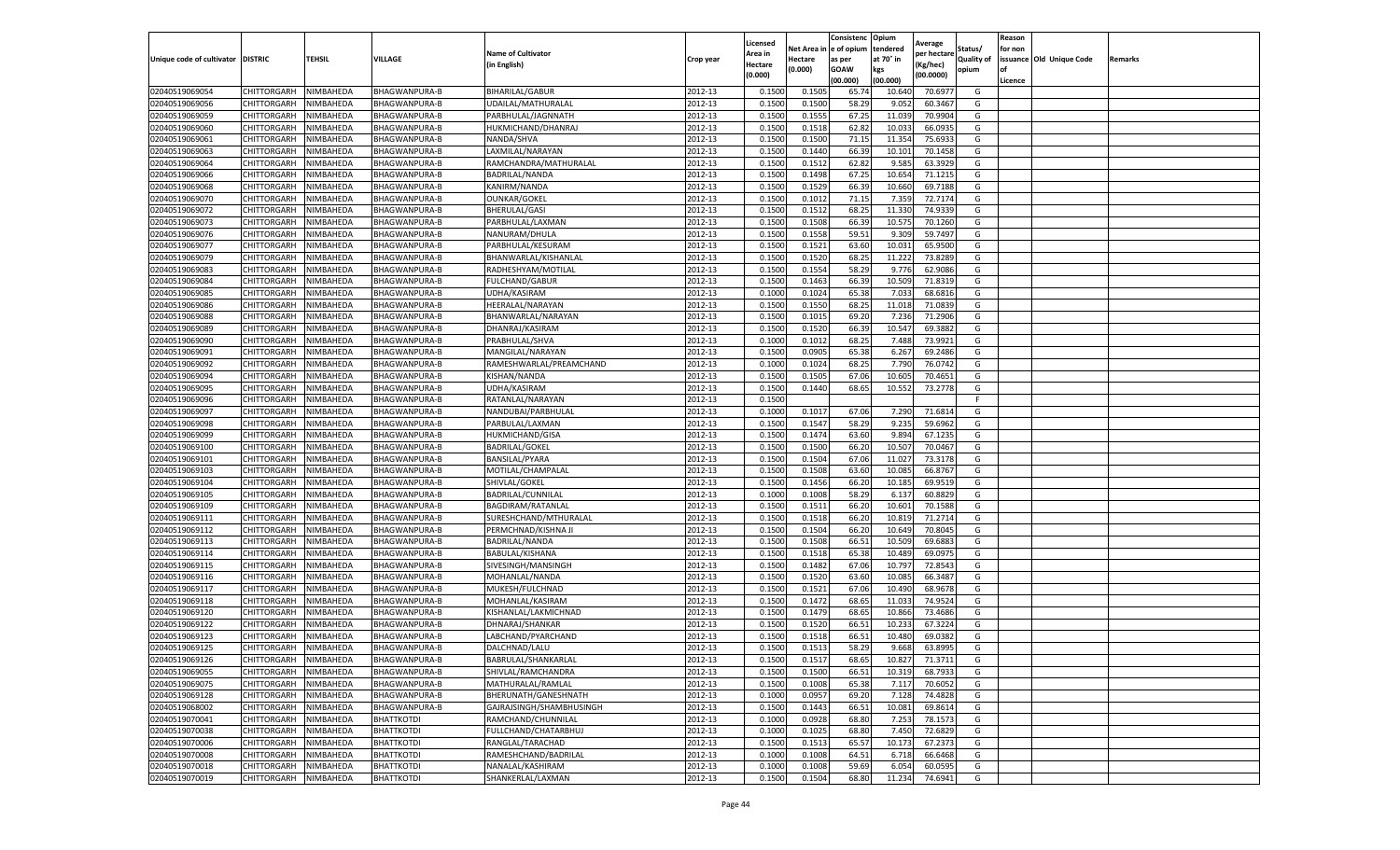|                                   |                            |                        |                                              |                                          |                    | Licensed         |                  | Consistenc     | Opium            | Average            |                   | Reason  |                          |         |
|-----------------------------------|----------------------------|------------------------|----------------------------------------------|------------------------------------------|--------------------|------------------|------------------|----------------|------------------|--------------------|-------------------|---------|--------------------------|---------|
|                                   |                            |                        |                                              | <b>Name of Cultivator</b>                |                    | Area in          | Net Area i       | e of opium     | tendered         | per hectare        | Status/           | for non |                          |         |
| Unique code of cultivator DISTRIC |                            | TEHSIL                 | VILLAGE                                      | (in English)                             | Crop year          | Hectare          | Hectare          | as per         | at 70° in        | (Kg/hec)           | <b>Quality of</b> |         | issuance Old Unique Code | Remarks |
|                                   |                            |                        |                                              |                                          |                    | (0.000)          | (0.000)          | <b>GOAW</b>    | kgs              | (00.0000)          | opium             | οf      |                          |         |
|                                   |                            |                        |                                              |                                          |                    |                  |                  | (00.000        | (00.000)         |                    |                   | Licence |                          |         |
| 02040519069054<br>02040519069056  | CHITTORGARH<br>CHITTORGARH | NIMBAHEDA              | <b>BHAGWANPURA-B</b><br><b>BHAGWANPURA-B</b> | BIHARILAL/GABUR                          | 2012-13<br>2012-13 | 0.1500<br>0.150  | 0.1505           | 65.74<br>58.29 | 10.640<br>9.05   | 70.6977<br>60.3467 | G<br>G            |         |                          |         |
|                                   |                            | NIMBAHEDA              |                                              | UDAILAL/MATHURALAL                       | 2012-13            |                  | 0.1500<br>0.1555 | 67.25          |                  |                    |                   |         |                          |         |
| 02040519069059<br>02040519069060  | CHITTORGARH<br>CHITTORGARH | NIMBAHEDA<br>NIMBAHEDA | BHAGWANPURA-B<br>BHAGWANPURA-B               | PARBHULAL/JAGNNATH<br>HUKMICHAND/DHANRAJ | 2012-13            | 0.1500<br>0.1500 | 0.1518           | 62.82          | 11.039<br>10.033 | 70.9904<br>66.0935 | G<br>G            |         |                          |         |
|                                   | CHITTORGARH                | NIMBAHEDA              | BHAGWANPURA-B                                | NANDA/SHVA                               | 2012-13            | 0.1500           | 0.1500           |                | 11.354           |                    | G                 |         |                          |         |
| 02040519069061<br>02040519069063  | CHITTORGARH                | NIMBAHEDA              | BHAGWANPURA-B                                | LAXMILAL/NARAYAN                         | 2012-13            | 0.1500           | 0.1440           | 71.15<br>66.39 | 10.101           | 75.693<br>70.1458  | G                 |         |                          |         |
| 02040519069064                    | CHITTORGARH                | NIMBAHEDA              | BHAGWANPURA-B                                | RAMCHANDRA/MATHURALAI                    | 2012-13            | 0.1500           | 0.1512           | 62.82          | 9.585            | 63.3929            | G                 |         |                          |         |
| 02040519069066                    | CHITTORGARH                | NIMBAHEDA              | <b>BHAGWANPURA-B</b>                         | BADRILAL/NANDA                           | 2012-13            | 0.1500           | 0.1498           | 67.25          | 10.654           | 71.1215            | G                 |         |                          |         |
| 02040519069068                    | CHITTORGARH                | NIMBAHEDA              | BHAGWANPURA-B                                | KANIRM/NANDA                             | 2012-13            | 0.1500           | 0.1529           | 66.39          | 10.660           | 69.7188            | G                 |         |                          |         |
| 02040519069070                    | CHITTORGARH                | NIMBAHEDA              | BHAGWANPURA-B                                | <b>OUNKAR/GOKEL</b>                      | 2012-13            | 0.1500           | 0.1012           | 71.15          | 7.359            | 72.7174            | G                 |         |                          |         |
| 02040519069072                    | CHITTORGARH                | NIMBAHEDA              | BHAGWANPURA-B                                | BHERULAL/GASI                            | 2012-13            | 0.1500           | 0.1512           | 68.25          | 11.330           | 74.9339            | G                 |         |                          |         |
| 02040519069073                    | CHITTORGARH                | NIMBAHEDA              | BHAGWANPURA-B                                | PARBHULAL/LAXMAN                         | 2012-13            | 0.1500           | 0.1508           | 66.39          | 10.575           | 70.1260            | G                 |         |                          |         |
| 02040519069076                    | CHITTORGARH                | NIMBAHEDA              | BHAGWANPURA-B                                | NANURAM/DHULA                            | 2012-13            | 0.1500           | 0.1558           | 59.51          | 9.309            | 59.7497            | G                 |         |                          |         |
| 02040519069077                    | CHITTORGARH                | NIMBAHEDA              | BHAGWANPURA-B                                | PARBHULAL/KESURAM                        | 2012-13            | 0.1500           | 0.1521           | 63.60          | 10.03            | 65.9500            | G                 |         |                          |         |
| 02040519069079                    | CHITTORGARH                | NIMBAHEDA              | BHAGWANPURA-B                                | BHANWARLAL/KISHANLAL                     | 2012-13            | 0.1500           | 0.1520           | 68.25          | 11.222           | 73.8289            | G                 |         |                          |         |
| 02040519069083                    | CHITTORGARH                | NIMBAHEDA              | BHAGWANPURA-B                                | RADHESHYAM/MOTILAL                       | 2012-13            | 0.1500           | 0.1554           | 58.29          | 9.776            | 62.9086            | G                 |         |                          |         |
| 02040519069084                    | CHITTORGARH                | NIMBAHEDA              | BHAGWANPURA-B                                | <b>FULCHAND/GABUR</b>                    | 2012-13            | 0.1500           | 0.1463           | 66.39          | 10.509           | 71.8319            | G                 |         |                          |         |
| 02040519069085                    | CHITTORGARH                | NIMBAHEDA              | BHAGWANPURA-B                                | UDHA/KASIRAM                             | 2012-13            | 0.1000           | 0.1024           | 65.38          | 7.033            | 68.6816            | G                 |         |                          |         |
| 02040519069086                    | CHITTORGARH                | NIMBAHEDA              | BHAGWANPURA-B                                | HEERALAL/NARAYAN                         | 2012-13            | 0.1500           | 0.1550           | 68.25          | 11.018           | 71.0839            | G                 |         |                          |         |
| 02040519069088                    | CHITTORGARH                | NIMBAHEDA              | BHAGWANPURA-B                                | BHANWARLAL/NARAYAN                       | 2012-13            | 0.1500           | 0.1015           | 69.20          | 7.236            | 71.2906            | G                 |         |                          |         |
| 02040519069089                    | CHITTORGARH                | NIMBAHEDA              | <b>BHAGWANPURA-B</b>                         | DHANRAJ/KASIRAM                          | 2012-13            | 0.1500           | 0.1520           | 66.39          | 10.547           | 69.3882            | G                 |         |                          |         |
| 02040519069090                    | CHITTORGARH                | NIMBAHEDA              | BHAGWANPURA-B                                | PRABHULAL/SHVA                           | 2012-13            | 0.1000           | 0.1012           | 68.25          | 7.488            | 73.9921            | G                 |         |                          |         |
| 02040519069091                    | CHITTORGARH                | NIMBAHEDA              | BHAGWANPURA-B                                | MANGILAL/NARAYAN                         | 2012-13            | 0.1500           | 0.0905           | 65.38          | 6.267            | 69.2486            | G                 |         |                          |         |
| 02040519069092                    | CHITTORGARH                | NIMBAHEDA              | BHAGWANPURA-B                                | RAMESHWARLAL/PREAMCHAND                  | 2012-13            | 0.1000           | 0.1024           | 68.25          | 7.790            | 76.0742            | G                 |         |                          |         |
| 02040519069094                    | CHITTORGARH                | NIMBAHEDA              | BHAGWANPURA-B                                | KISHAN/NANDA                             | 2012-13            | 0.1500           | 0.1505           | 67.06          | 10.605           | 70.4651            | G                 |         |                          |         |
| 02040519069095                    | CHITTORGARH                | NIMBAHEDA              | BHAGWANPURA-B                                | UDHA/KASIRAM                             | 2012-13            | 0.1500           | 0.1440           | 68.65          | 10.552           | 73.2778            | G                 |         |                          |         |
| 02040519069096                    | CHITTORGARH                | NIMBAHEDA              | BHAGWANPURA-B                                | RATANLAL/NARAYAN                         | 2012-13            | 0.1500           |                  |                |                  |                    | F.                |         |                          |         |
| 02040519069097                    | CHITTORGARH                | NIMBAHEDA              | BHAGWANPURA-B                                | NANDUBAI/PARBHULAL                       | 2012-13            | 0.1000           | 0.101            | 67.06          | 7.290            | 71.6814            | G                 |         |                          |         |
| 02040519069098                    | CHITTORGARH                | NIMBAHEDA              | BHAGWANPURA-B                                | PARBULAL/LAXMAN                          | 2012-13            | 0.1500           | 0.1547           | 58.29          | 9.235            | 59.6962            | G                 |         |                          |         |
| 02040519069099                    | CHITTORGARH                | NIMBAHEDA              | BHAGWANPURA-B                                | HUKMICHAND/GISA                          | 2012-13            | 0.1500           | 0.1474           | 63.60          | 9.894            | 67.1235            | G                 |         |                          |         |
| 02040519069100                    | CHITTORGARH                | NIMBAHEDA              | BHAGWANPURA-B                                | <b>BADRILAL/GOKEL</b>                    | 2012-13            | 0.1500           | 0.1500           | 66.20          | 10.507           | 70.0467            | G                 |         |                          |         |
| 02040519069101                    | CHITTORGARH                | NIMBAHEDA              | BHAGWANPURA-B                                | BANSILAL/PYARA                           | 2012-13            | 0.1500           | 0.1504           | 67.06          | 11.027           | 73.3178            | G                 |         |                          |         |
| 02040519069103                    | CHITTORGARH                | NIMBAHEDA              | BHAGWANPURA-B                                | MOTILAL/CHAMPALAL                        | 2012-13            | 0.1500           | 0.1508           | 63.60          | 10.085           | 66.8767            | G                 |         |                          |         |
| 02040519069104                    | CHITTORGARH                | NIMBAHEDA              | BHAGWANPURA-B                                | SHIVLAL/GOKEL                            | 2012-13            | 0.1500           | 0.1456           | 66.20          | 10.185           | 69.9519            | G                 |         |                          |         |
| 02040519069105                    | CHITTORGARH                | NIMBAHEDA              | BHAGWANPURA-B                                | BADRILAL/CUNNILAL                        | 2012-13            | 0.1000           | 0.1008           | 58.29          | 6.137            | 60.8829            | G                 |         |                          |         |
| 02040519069109                    | CHITTORGARH                | NIMBAHEDA              | BHAGWANPURA-B                                | BAGDIRAM/RATANLAL                        | 2012-13            | 0.1500           | 0.1511           | 66.20          | 10.601           | 70.1588            | G                 |         |                          |         |
| 02040519069111                    | CHITTORGARH                | NIMBAHEDA              | BHAGWANPURA-B                                | SURESHCHAND/MTHURALAL                    | 2012-13            | 0.1500           | 0.1518           | 66.20          | 10.819           | 71.2714            | G                 |         |                          |         |
| 02040519069112                    | CHITTORGARH                | NIMBAHEDA              | BHAGWANPURA-B                                | PERMCHNAD/KISHNA JI                      | 2012-13            | 0.1500           | 0.1504           | 66.20          | 10.649           | 70.8045            | G                 |         |                          |         |
| 02040519069113                    | CHITTORGARH                | NIMBAHEDA              | <b>BHAGWANPURA-B</b>                         | BADRILAL/NANDA                           | 2012-13            | 0.1500           | 0.1508           | 66.5           | 10.509           | 69.688             | G                 |         |                          |         |
| 02040519069114                    | CHITTORGARH                | NIMBAHEDA              | BHAGWANPURA-B                                | BABULAL/KISHANA                          | 2012-13            | 0.1500           | 0.1518           | 65.38          | 10.489           | 69.0975            | G                 |         |                          |         |
| 02040519069115                    | CHITTORGARH                | NIMBAHEDA              | BHAGWANPURA-B                                | SIVESINGH/MANSINGH                       | 2012-13            | 0.1500           | 0.1482           | 67.06          | 10.797           | 72.8543            | G                 |         |                          |         |
| 02040519069116                    | CHITTORGARH                | NIMBAHEDA              | BHAGWANPURA-B                                | MOHANLAL/NANDA                           | 2012-13            | 0.1500           | 0.1520           | 63.60          | 10.085           | 66.3487            | G                 |         |                          |         |
| 02040519069117                    | CHITTORGARH                | NIMBAHEDA              | BHAGWANPURA-B                                | MUKESH/FULCHNAD                          | 2012-13            | 0.1500           | 0.1521           | 67.06          | 10.490           | 68.9678            | G                 |         |                          |         |
| 02040519069118                    | CHITTORGARH                | NIMBAHEDA              | BHAGWANPURA-B                                | MOHANLAL/KASIRAM                         | 2012-13            | 0.1500           | 0.1472           | 68.65          | 11.03            | 74.9524            | G                 |         |                          |         |
| 02040519069120                    | CHITTORGARH                | NIMBAHEDA              | BHAGWANPURA-B                                | KISHANLAL/LAKMICHNAD                     | 2012-13            | 0.1500           | 0.1479           | 68.65          | 10.866           | 73.4686            | G                 |         |                          |         |
| 02040519069122                    | CHITTORGARH                | NIMBAHEDA              | BHAGWANPURA-B                                | DHNARAJ/SHANKAR                          | 2012-13            | 0.150            | 0.1520           | 66.51          | 10.23            | 67.3224            | G                 |         |                          |         |
| 02040519069123                    | CHITTORGARH                | NIMBAHEDA              | BHAGWANPURA-B                                | LABCHAND/PYARCHAND                       | 2012-13            | 0.1500           | 0.1518           | 66.51          | 10.480           | 69.0382            | G                 |         |                          |         |
| 02040519069125                    | CHITTORGARH                | NIMBAHEDA              | BHAGWANPURA-B                                | DALCHNAD/LALU                            | 2012-13            | 0.1500           | 0.1513           | 58.29          | 9.668            | 63.8995            | G                 |         |                          |         |
| 02040519069126                    | CHITTORGARH                | NIMBAHEDA              | BHAGWANPURA-B                                | BABRULAL/SHANKARLAL                      | 2012-13            | 0.1500           | 0.1517           | 68.65          | 10.827           | 71.3711            | G                 |         |                          |         |
| 02040519069055                    | CHITTORGARH                | NIMBAHEDA              | BHAGWANPURA-B                                | SHIVLAL/RAMCHANDRA                       | 2012-13            | 0.1500           | 0.1500           | 66.51          | 10.319           | 68.7933            | G                 |         |                          |         |
| 02040519069075                    | CHITTORGARH                | NIMBAHEDA              | <b>BHAGWANPURA-B</b>                         | MATHURALAL/RAMLAL                        | 2012-13            | 0.1500           | 0.1008           | 65.38          | 7.117            | 70.6052            | G                 |         |                          |         |
| 02040519069128                    | CHITTORGARH                | NIMBAHEDA              | BHAGWANPURA-B                                | BHERUNATH/GANESHNATH                     | 2012-13            | 0.1000           | 0.0957           | 69.20          | 7.128            | 74.4828            | G                 |         |                          |         |
| 02040519068002                    | CHITTORGARH                | NIMBAHEDA              | BHAGWANPURA-B                                | GAJRAJSINGH/SHAMBHUSINGH                 | 2012-13            | 0.1500           | 0.1443           | 66.51          | 10.081           | 69.8614            | G                 |         |                          |         |
| 02040519070041                    | CHITTORGARH                | NIMBAHEDA              | <b>BHATTKOTDI</b>                            | RAMCHAND/CHUNNILAL                       | 2012-13            | 0.1000           | 0.0928           | 68.80          | 7.253            | 78.1573            | G                 |         |                          |         |
| 02040519070038                    | CHITTORGARH                | NIMBAHEDA              | BHATTKOTDI                                   | FULLCHAND/CHATARBHUJ                     | 2012-13            | 0.1000           | 0.1025           | 68.80          | 7.450            | 72.6829            | G                 |         |                          |         |
| 02040519070006                    | CHITTORGARH                | NIMBAHEDA              | BHATTKOTDI                                   | RANGLAL/TARACHAD                         | 2012-13            | 0.1500           | 0.1513           | 65.57          | 10.173           | 67.2373            | G                 |         |                          |         |
| 02040519070008                    | CHITTORGARH                | NIMBAHEDA              | <b>BHATTKOTDI</b>                            | RAMESHCHAND/BADRILAL                     | 2012-13            | 0.1000           | 0.1008           | 64.51          | 6.718            | 66.6468            | G                 |         |                          |         |
| 02040519070018                    | CHITTORGARH                | NIMBAHEDA              | BHATTKOTDI                                   | NANALAL/KASHIRAM                         | 2012-13            | 0.1000           | 0.1008           | 59.69          | 6.054            | 60.0595            | G                 |         |                          |         |
| 02040519070019                    | CHITTORGARH                | NIMBAHEDA              | <b>BHATTKOTDI</b>                            | SHANKERLAL/LAXMAN                        | 2012-13            | 0.1500           | 0.1504           | 68.80          | 11.234           | 74.6941            | G                 |         |                          |         |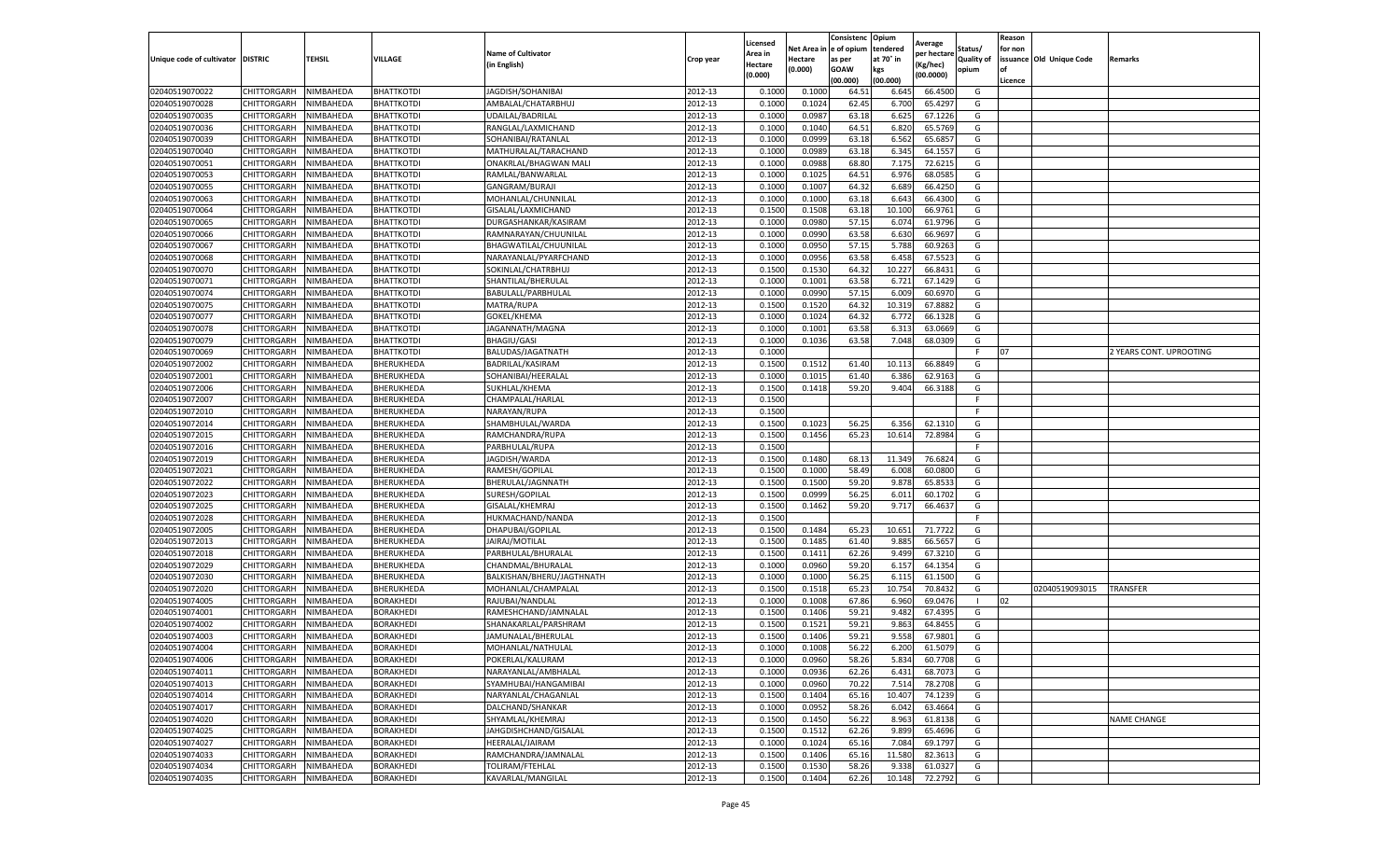|                                   |             |           |                   |                           |           | Licensed |            | Consistenc  | Opium     | Average     |                   | Reason  |                          |                         |
|-----------------------------------|-------------|-----------|-------------------|---------------------------|-----------|----------|------------|-------------|-----------|-------------|-------------------|---------|--------------------------|-------------------------|
|                                   |             |           |                   | <b>Name of Cultivator</b> |           | Area in  | Net Area i | e of opium  | tendered  | per hectare | Status/           | for non |                          |                         |
| Unique code of cultivator DISTRIC |             | TEHSIL    | VILLAGE           | (in English)              | Crop year | Hectare  | Hectare    | as per      | at 70° in | (Kg/hec)    | <b>Quality of</b> |         | issuance Old Unique Code | Remarks                 |
|                                   |             |           |                   |                           |           | (0.000)  | (0.000)    | <b>GOAW</b> | kgs       | (00.0000)   | opium             | οf      |                          |                         |
|                                   |             |           |                   |                           |           |          |            | (00.000)    | (00.000)  |             |                   | Licence |                          |                         |
| 02040519070022                    | CHITTORGARH | NIMBAHEDA | <b>BHATTKOTDI</b> | JAGDISH/SOHANIBAI         | 2012-13   | 0.1000   | 0.1000     | 64.5        | 6.645     | 66.4500     | G                 |         |                          |                         |
| 02040519070028                    | CHITTORGARH | NIMBAHEDA | <b>BHATTKOTDI</b> | AMBALAL/CHATARBHUJ        | 2012-13   | 0.100    | 0.1024     | 62.45       | 6.700     | 65.4297     | G                 |         |                          |                         |
| 02040519070035                    | CHITTORGARH | NIMBAHEDA | BHATTKOTDI        | UDAILAL/BADRILAL          | 2012-13   | 0.1000   | 0.0987     | 63.18       | 6.625     | 67.1226     | G                 |         |                          |                         |
| 02040519070036                    | CHITTORGARH | NIMBAHEDA | <b>BHATTKOTDI</b> | RANGLAL/LAXMICHAND        | 2012-13   | 0.1000   | 0.1040     | 64.51       | 6.820     | 65.5769     | G                 |         |                          |                         |
| 02040519070039                    | CHITTORGARH | NIMBAHEDA | <b>BHATTKOTDI</b> | SOHANIBAI/RATANLAL        | 2012-13   | 0.1000   | 0.0999     | 63.18       | 6.562     | 65.6857     | G                 |         |                          |                         |
| 02040519070040                    | CHITTORGARH | NIMBAHEDA | BHATTKOTDI        | MATHURALAL/TARACHAND      | 2012-13   | 0.1000   | 0.0989     | 63.18       | 6.345     | 64.1557     | G                 |         |                          |                         |
| 02040519070051                    | CHITTORGARH | NIMBAHEDA | BHATTKOTDI        | ONAKRLAL/BHAGWAN MALI     | 2012-13   | 0.1000   | 0.0988     | 68.80       | 7.175     | 72.6215     | G                 |         |                          |                         |
| 02040519070053                    | CHITTORGARH | NIMBAHEDA | BHATTKOTDI        | RAMLAL/BANWARLAI          | 2012-13   | 0.100    | 0.1025     | 64.51       | 6.976     | 68.0585     | G                 |         |                          |                         |
| 02040519070055                    | CHITTORGARH | NIMBAHEDA | BHATTKOTDI        | GANGRAM/BURAJI            | 2012-13   | 0.100    | 0.1007     | 64.32       | 6.689     | 66.4250     | G                 |         |                          |                         |
| 02040519070063                    | CHITTORGARH | NIMBAHEDA | <b>BHATTKOTDI</b> | MOHANLAL/CHUNNILAL        | 2012-13   | 0.1000   | 0.1000     | 63.18       | 6.643     | 66.4300     | G                 |         |                          |                         |
| 02040519070064                    | CHITTORGARH | NIMBAHEDA | BHATTKOTDI        | GISALAL/LAXMICHAND        | 2012-13   | 0.1500   | 0.1508     | 63.18       | 10.100    | 66.9761     | G                 |         |                          |                         |
| 02040519070065                    | CHITTORGARH | NIMBAHEDA | <b>BHATTKOTDI</b> | DURGASHANKAR/KASIRAM      | 2012-13   | 0.1000   | 0.0980     | 57.15       | 6.074     | 61.9796     | G                 |         |                          |                         |
| 02040519070066                    | CHITTORGARH | NIMBAHEDA | BHATTKOTDI        | RAMNARAYAN/CHUUNILAL      | 2012-13   | 0.1000   | 0.0990     | 63.58       | 6.630     | 66.9697     | G                 |         |                          |                         |
| 02040519070067                    | CHITTORGARH | NIMBAHEDA | BHATTKOTDI        | BHAGWATILAL/CHUUNILAL     | 2012-13   | 0.100    | 0.0950     | 57.15       | 5.788     | 60.9263     | G                 |         |                          |                         |
| 02040519070068                    | CHITTORGARH | NIMBAHEDA | BHATTKOTDI        | NARAYANLAL/PYARFCHAND     | 2012-13   | 0.1000   | 0.0956     | 63.58       | 6.458     | 67.5523     | G                 |         |                          |                         |
| 02040519070070                    | CHITTORGARH | NIMBAHEDA | BHATTKOTDI        | SOKINLAL/CHATRBHUJ        | 2012-13   | 0.1500   | 0.1530     | 64.32       | 10.227    | 66.8431     | G                 |         |                          |                         |
| 02040519070071                    | CHITTORGARH | NIMBAHEDA | BHATTKOTDI        | SHANTILAL/BHERULAL        | 2012-13   | 0.1000   | 0.1001     | 63.58       | 6.721     | 67.1429     | G                 |         |                          |                         |
| 02040519070074                    | CHITTORGARH | NIMBAHEDA | <b>BHATTKOTDI</b> | BABULALL/PARBHULAL        | 2012-13   | 0.1000   | 0.0990     | 57.15       | 6.009     | 60.6970     | G                 |         |                          |                         |
| 02040519070075                    | CHITTORGARH | NIMBAHEDA | <b>BHATTKOTDI</b> | MATRA/RUPA                | 2012-13   | 0.1500   | 0.1520     | 64.32       | 10.319    | 67.8882     | G                 |         |                          |                         |
| 02040519070077                    | CHITTORGARH | NIMBAHEDA | BHATTKOTDI        | GOKEL/KHEMA               | 2012-13   | 0.1000   | 0.1024     | 64.32       | 6.772     | 66.1328     | G                 |         |                          |                         |
| 02040519070078                    | CHITTORGARH | NIMBAHEDA | BHATTKOTDI        | JAGANNATH/MAGNA           | 2012-13   | 0.1000   | 0.1001     | 63.58       | 6.313     | 63.0669     | G                 |         |                          |                         |
| 02040519070079                    | CHITTORGARH | NIMBAHEDA | BHATTKOTDI        | <b>BHAGIU/GASI</b>        | 2012-13   | 0.1000   | 0.1036     | 63.58       | 7.048     | 68.0309     | G                 |         |                          |                         |
| 02040519070069                    | CHITTORGARH | NIMBAHEDA | <b>BHATTKOTDI</b> | BALUDAS/JAGATNATH         | 2012-13   | 0.1000   |            |             |           |             | F.                | 07      |                          | 2 YEARS CONT. UPROOTING |
| 02040519072002                    | CHITTORGARH | NIMBAHEDA | BHERUKHEDA        | BADRILAL/KASIRAM          | 2012-13   | 0.1500   | 0.1512     | 61.40       | 10.113    | 66.8849     | G                 |         |                          |                         |
| 02040519072001                    | CHITTORGARH | NIMBAHEDA | BHERUKHEDA        | SOHANIBAI/HEERALAL        | 2012-13   | 0.1000   | 0.1015     | 61.40       | 6.386     | 62.9163     | G                 |         |                          |                         |
| 02040519072006                    | CHITTORGARH | NIMBAHEDA | BHERUKHEDA        | SUKHLAL/KHEMA             | 2012-13   | 0.1500   | 0.1418     | 59.20       | 9.404     | 66.3188     | G                 |         |                          |                         |
| 02040519072007                    | CHITTORGARH | NIMBAHEDA | BHERUKHEDA        | CHAMPALAL/HARLAI          | 2012-13   | 0.1500   |            |             |           |             | F                 |         |                          |                         |
| 02040519072010                    | CHITTORGARH | NIMBAHEDA | BHERUKHEDA        | NARAYAN/RUPA              | 2012-13   | 0.1500   |            |             |           |             | F.                |         |                          |                         |
| 02040519072014                    | CHITTORGARH | NIMBAHEDA | BHERUKHEDA        | SHAMBHULAL/WARDA          | 2012-13   | 0.1500   | 0.1023     | 56.25       | 6.356     | 62.1310     | G                 |         |                          |                         |
| 02040519072015                    | CHITTORGARH | NIMBAHEDA | BHERUKHEDA        | RAMCHANDRA/RUPA           | 2012-13   | 0.1500   | 0.1456     | 65.23       | 10.614    | 72.8984     | G                 |         |                          |                         |
| 02040519072016                    | CHITTORGARH | NIMBAHEDA | BHERUKHEDA        | PARBHULAL/RUPA            | 2012-13   | 0.1500   |            |             |           |             |                   |         |                          |                         |
| 02040519072019                    | CHITTORGARH | NIMBAHEDA | BHERUKHEDA        | JAGDISH/WARDA             | 2012-13   | 0.1500   | 0.1480     | 68.1        | 11.349    | 76.6824     | G                 |         |                          |                         |
| 02040519072021                    | CHITTORGARH | NIMBAHEDA | BHERUKHEDA        | RAMESH/GOPILAL            | 2012-13   | 0.1500   | 0.1000     | 58.49       | 6.008     | 60.0800     | G                 |         |                          |                         |
| 02040519072022                    | CHITTORGARH | NIMBAHEDA | BHERUKHEDA        | BHERULAL/JAGNNATH         | 2012-13   | 0.1500   | 0.1500     | 59.20       | 9.878     | 65.8533     | G                 |         |                          |                         |
| 02040519072023                    | CHITTORGARH | NIMBAHEDA | <b>BHERUKHEDA</b> | SURESH/GOPILAL            | 2012-13   | 0.1500   | 0.0999     | 56.25       | 6.011     | 60.1702     | G                 |         |                          |                         |
| 02040519072025                    | CHITTORGARH | NIMBAHEDA | BHERUKHEDA        | GISALAL/KHEMRAJ           | 2012-13   | 0.1500   | 0.1462     | 59.20       | 9.717     | 66.4637     | G                 |         |                          |                         |
| 02040519072028                    | CHITTORGARH | NIMBAHEDA | BHERUKHEDA        | HUKMACHAND/NANDA          | 2012-13   | 0.1500   |            |             |           |             |                   |         |                          |                         |
| 02040519072005                    | CHITTORGARH | NIMBAHEDA | BHERUKHEDA        | DHAPUBAI/GOPILAL          | 2012-13   | 0.1500   | 0.1484     | 65.23       | 10.651    | 71.7722     | G                 |         |                          |                         |
| 02040519072013                    | CHITTORGARH | NIMBAHEDA | BHERUKHEDA        | JAIRAJ/MOTILAL            | 2012-13   | 0.1500   | 0.1485     | 61.40       | 9.885     | 66.5657     | G                 |         |                          |                         |
| 02040519072018                    | CHITTORGARH | NIMBAHEDA | BHERUKHEDA        | PARBHULAL/BHURALAL        | 2012-13   | 0.1500   | 0.141      | 62.26       | 9.499     | 67.3210     | G                 |         |                          |                         |
| 02040519072029                    | CHITTORGARH | NIMBAHEDA | BHERUKHEDA        | CHANDMAL/BHURALAL         | 2012-13   | 0.1000   | 0.0960     | 59.20       | 6.157     | 64.1354     | G                 |         |                          |                         |
| 02040519072030                    | CHITTORGARH | NIMBAHEDA | BHERUKHEDA        | BALKISHAN/BHERU/JAGTHNATH | 2012-13   | 0.1000   | 0.1000     | 56.25       | 6.115     | 61.1500     | G                 |         |                          |                         |
| 02040519072020                    | CHITTORGARH | NIMBAHEDA | BHERUKHEDA        | MOHANLAL/CHAMPALAI        | 2012-13   | 0.1500   | 0.1518     | 65.23       | 10.754    | 70.8432     | G                 |         | 02040519093015           | TRANSFER                |
| 02040519074005                    | CHITTORGARH | NIMBAHEDA | <b>BORAKHEDI</b>  | RAJUBAI/NANDLAL           | 2012-13   | 0.1000   | 0.1008     | 67.86       | 6.960     | 69.0476     |                   | 02      |                          |                         |
| 02040519074001                    | CHITTORGARH | NIMBAHEDA | <b>BORAKHEDI</b>  | RAMESHCHAND/JAMNALAL      | 2012-13   | 0.1500   | 0.1406     | 59.21       | 9.482     | 67.4395     | G                 |         |                          |                         |
| 02040519074002                    | CHITTORGARH | NIMBAHEDA | <b>BORAKHEDI</b>  | SHANAKARLAL/PARSHRAM      | 2012-13   | 0.150    | 0.1522     | 59.21       | 9.863     | 64.8455     | G                 |         |                          |                         |
| 02040519074003                    | CHITTORGARH | NIMBAHEDA | <b>BORAKHEDI</b>  | JAMUNALAL/BHERULAL        | 2012-13   | 0.1500   | 0.1406     | 59.21       | 9.558     | 67.9801     | G                 |         |                          |                         |
| 02040519074004                    | CHITTORGARH | NIMBAHEDA | <b>BORAKHEDI</b>  | MOHANLAL/NATHULAL         | 2012-13   | 0.1000   | 0.1008     | 56.22       | 6.200     | 61.5079     | G                 |         |                          |                         |
| 02040519074006                    | CHITTORGARH | NIMBAHEDA | <b>BORAKHEDI</b>  | POKERLAL/KALURAM          | 2012-13   | 0.1000   | 0.0960     | 58.26       | 5.834     | 60.7708     | G                 |         |                          |                         |
| 02040519074011                    | CHITTORGARH | NIMBAHEDA | <b>BORAKHEDI</b>  | NARAYANLAL/AMBHALAL       | 2012-13   | 0.1000   | 0.0936     | 62.26       | 6.431     | 68.7073     | G                 |         |                          |                         |
| 02040519074013                    | CHITTORGARH | NIMBAHEDA | BORAKHEDI         | SYAMHUBAI/HANGAMIBAI      | 2012-13   | 0.1000   | 0.0960     | 70.22       | 7.514     | 78.2708     | G                 |         |                          |                         |
| 02040519074014                    | CHITTORGARH | NIMBAHEDA | BORAKHEDI         | NARYANLAL/CHAGANLAL       | 2012-13   | 0.1500   | 0.1404     | 65.16       | 10.407    | 74.1239     | G                 |         |                          |                         |
| 02040519074017                    | CHITTORGARH | NIMBAHEDA | BORAKHEDI         | DALCHAND/SHANKAR          | 2012-13   | 0.1000   | 0.0952     | 58.26       | 6.042     | 63.4664     | G                 |         |                          |                         |
| 02040519074020                    | CHITTORGARH | NIMBAHEDA | <b>BORAKHEDI</b>  | SHYAMLAL/KHEMRAJ          | 2012-13   | 0.1500   | 0.1450     | 56.22       | 8.963     | 61.8138     | G                 |         |                          | <b>NAME CHANGE</b>      |
| 02040519074025                    | CHITTORGARH | NIMBAHEDA | BORAKHEDI         | JAHGDISHCHAND/GISALAL     | 2012-13   | 0.1500   | 0.1512     | 62.26       | 9.899     | 65.4696     | G                 |         |                          |                         |
| 02040519074027                    | CHITTORGARH | NIMBAHEDA | <b>BORAKHEDI</b>  | HEERALAL/JAIRAM           | 2012-13   | 0.1000   | 0.1024     | 65.16       | 7.084     | 69.1797     | G                 |         |                          |                         |
| 02040519074033                    | CHITTORGARH | NIMBAHEDA | BORAKHEDI         | RAMCHANDRA/JAMNALAL       | 2012-13   | 0.1500   | 0.1406     | 65.16       | 11.580    | 82.3613     | G                 |         |                          |                         |
| 02040519074034                    | CHITTORGARH | NIMBAHEDA | BORAKHEDI         | TOLIRAM/FTEHLAL           | 2012-13   | 0.1500   | 0.1530     | 58.26       | 9.338     | 61.0327     | G                 |         |                          |                         |
| 02040519074035                    | CHITTORGARH | NIMBAHEDA | <b>BORAKHEDI</b>  | KAVARLAL/MANGILAL         | 2012-13   | 0.1500   | 0.1404     | 62.26       | 10.148    | 72.2792     | G                 |         |                          |                         |
|                                   |             |           |                   |                           |           |          |            |             |           |             |                   |         |                          |                         |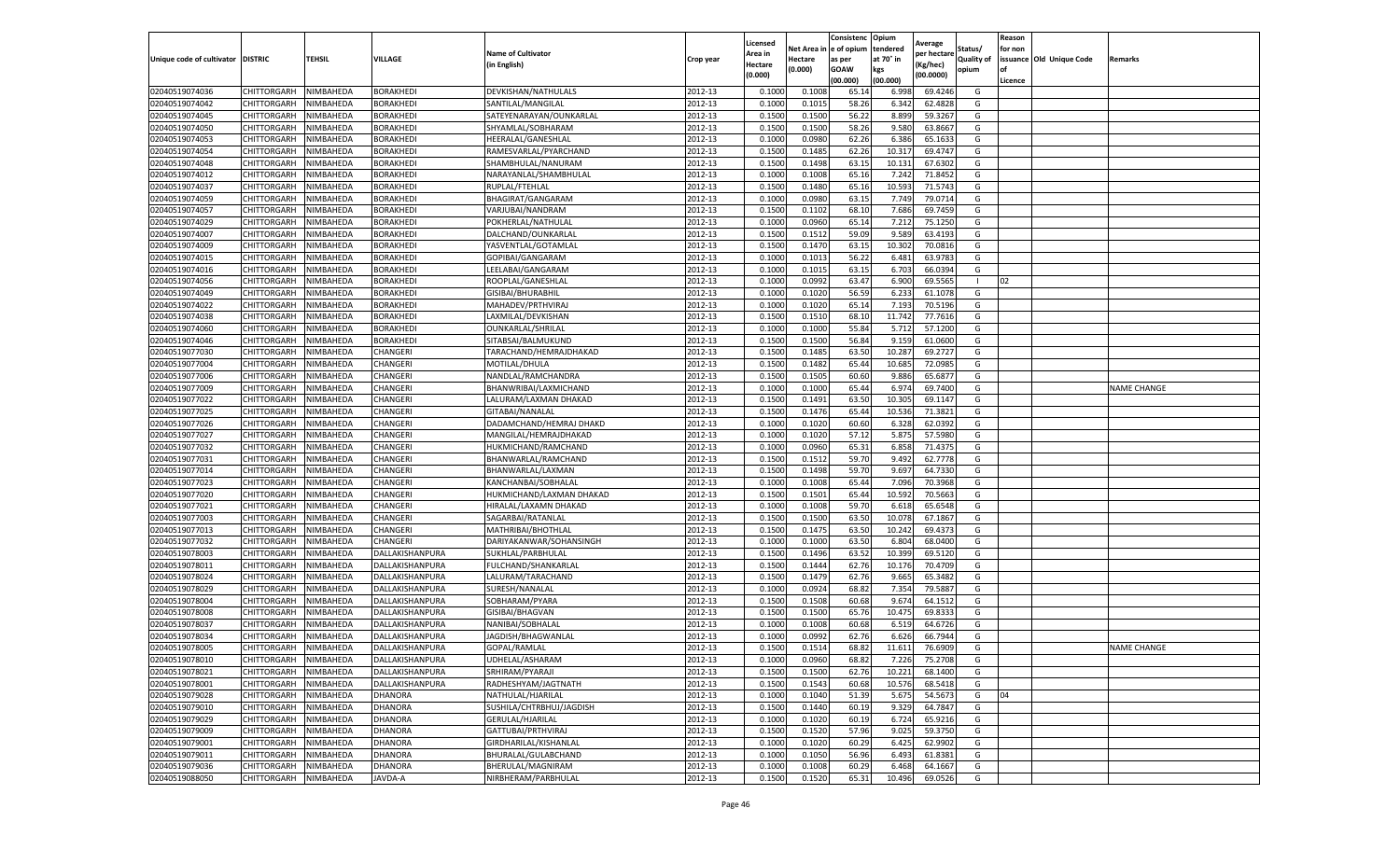|                                   |                    |           |                  |                           |           | Licensed |         | Consistenc             | Opium     |                        |            | Reason  |                          |                    |
|-----------------------------------|--------------------|-----------|------------------|---------------------------|-----------|----------|---------|------------------------|-----------|------------------------|------------|---------|--------------------------|--------------------|
|                                   |                    |           |                  | <b>Name of Cultivator</b> |           | Area in  |         | Net Area in e of opium | tendered  | Average<br>per hectare | Status/    | for non |                          |                    |
| Unique code of cultivator DISTRIC |                    | TEHSIL    | VILLAGE          | in English)               | Crop year | Hectare  | Hectare | as per                 | at 70° in | (Kg/hec                | Quality of |         | issuance Old Unique Code | <b>Remarks</b>     |
|                                   |                    |           |                  |                           |           | (0.000)  | (0.000) | <b>GOAW</b>            | kgs       | (00.0000)              | opium      |         |                          |                    |
|                                   |                    |           |                  |                           |           |          |         | (00.000)               | (00.000)  |                        |            | Licence |                          |                    |
| 02040519074036                    | CHITTORGARH        | NIMBAHEDA | <b>BORAKHEDI</b> | DEVKISHAN/NATHULALS       | 2012-13   | 0.1000   | 0.1008  | 65.14                  | 6.998     | 69.4246                | G          |         |                          |                    |
| 02040519074042                    | CHITTORGARH        | NIMBAHEDA | <b>BORAKHEDI</b> | SANTILAL/MANGILAL         | 2012-13   | 0.1000   | 0.1015  | 58.26                  | 6.342     | 62.4828                | G          |         |                          |                    |
| 02040519074045                    | CHITTORGARH        | NIMBAHEDA | BORAKHEDI        | SATEYENARAYAN/OUNKARLAL   | 2012-13   | 0.1500   | 0.1500  | 56.22                  | 8.899     | 59.3267                | G          |         |                          |                    |
| 02040519074050                    | CHITTORGARH        | NIMBAHEDA | <b>BORAKHEDI</b> | SHYAMLAL/SOBHARAM         | 2012-13   | 0.1500   | 0.1500  | 58.26                  | 9.580     | 63.8667                | G          |         |                          |                    |
| 02040519074053                    | CHITTORGARH        | NIMBAHEDA | BORAKHEDI        | HEERALAL/GANESHLAL        | 2012-13   | 0.1000   | 0.0980  | 62.26                  | 6.386     | 65.1633                | G          |         |                          |                    |
| 02040519074054                    | CHITTORGARH        | NIMBAHEDA | BORAKHEDI        | RAMESVARLAL/PYARCHAND     | 2012-13   | 0.1500   | 0.1485  | 62.26                  | 10.31     | 69.4747                | G          |         |                          |                    |
| 02040519074048                    | CHITTORGARH        | NIMBAHEDA | <b>BORAKHEDI</b> | SHAMBHULAL/NANURAM        | 2012-13   | 0.1500   | 0.1498  | 63.15                  | 10.131    | 67.6302                | G          |         |                          |                    |
| 02040519074012                    | CHITTORGARH        | NIMBAHEDA | BORAKHEDI        | NARAYANLAL/SHAMBHULAL     | 2012-13   | 0.1000   | 0.1008  | 65.16                  | 7.24      | 71.8452                | G          |         |                          |                    |
| 02040519074037                    | CHITTORGARH        | NIMBAHEDA | BORAKHEDI        | RUPLAL/FTEHLAL            | 2012-13   | 0.1500   | 0.1480  | 65.16                  | 10.593    | 71.5743                | G          |         |                          |                    |
| 02040519074059                    | CHITTORGARH        | NIMBAHEDA | BORAKHEDI        | BHAGIRAT/GANGARAM         | 2012-13   | 0.1000   | 0.0980  | 63.15                  | 7.749     | 79.0714                | G          |         |                          |                    |
| 02040519074057                    | CHITTORGARH        | NIMBAHEDA | BORAKHEDI        | VARJUBAI/NANDRAM          | 2012-13   | 0.1500   | 0.1102  | 68.10                  | 7.686     | 69.7459                | G          |         |                          |                    |
| 02040519074029                    | CHITTORGARH        | NIMBAHEDA | BORAKHEDI        | POKHERLAL/NATHULAL        | 2012-13   | 0.1000   | 0.0960  | 65.14                  | 7.212     | 75.1250                | G          |         |                          |                    |
| 02040519074007                    | CHITTORGARH        | NIMBAHEDA | BORAKHEDI        | DALCHAND/OUNKARLAL        | 2012-13   | 0.1500   | 0.1512  | 59.09                  | 9.589     | 63.4193                | G          |         |                          |                    |
| 02040519074009                    | CHITTORGARH        | NIMBAHEDA | <b>BORAKHEDI</b> | YASVENTLAL/GOTAMLAL       | 2012-13   | 0.1500   | 0.1470  | 63.15                  | 10.302    | 70.0816                | G          |         |                          |                    |
| 02040519074015                    | CHITTORGARH        | NIMBAHEDA | BORAKHEDI        | GOPIBAI/GANGARAM          | 2012-13   | 0.1000   | 0.1013  | 56.22                  | 6.481     | 63.9783                | G          |         |                          |                    |
| 02040519074016                    | CHITTORGARH        | NIMBAHEDA | <b>BORAKHEDI</b> | LEELABAI/GANGARAM         | 2012-13   | 0.1000   | 0.1015  | 63.15                  | 6.703     | 66.0394                | G          |         |                          |                    |
| 02040519074056                    | CHITTORGARH        | NIMBAHEDA | BORAKHEDI        | ROOPLAL/GANESHLAL         | 2012-13   | 0.1000   | 0.0992  | 63.47                  | 6.900     | 69.5565                |            | 02      |                          |                    |
| 02040519074049                    | CHITTORGARH        | NIMBAHEDA | BORAKHEDI        | GISIBAI/BHURABHIL         | 2012-13   | 0.1000   | 0.1020  | 56.59                  | 6.233     | 61.1078                | G          |         |                          |                    |
| 02040519074022                    | CHITTORGARH        | NIMBAHEDA | BORAKHEDI        | MAHADEV/PRTHVIRAJ         | 2012-13   | 0.1000   | 0.1020  | 65.14                  | 7.193     | 70.5196                | G          |         |                          |                    |
| 02040519074038                    | CHITTORGARH        | NIMBAHEDA | BORAKHEDI        | LAXMILAL/DEVKISHAN        | 2012-13   | 0.1500   | 0.1510  | 68.10                  | 11.742    | 77.7616                | G          |         |                          |                    |
| 02040519074060                    | CHITTORGARH        | NIMBAHEDA | BORAKHEDI        | OUNKARLAL/SHRILAL         | 2012-13   | 0.1000   | 0.1000  | 55.84                  | 5.712     | 57.1200                | G          |         |                          |                    |
| 02040519074046                    | CHITTORGARH        | NIMBAHEDA | BORAKHEDI        | SITABSAI/BALMUKUND        | 2012-13   | 0.1500   | 0.1500  | 56.84                  | 9.15      | 61.0600                | G          |         |                          |                    |
| 02040519077030                    | CHITTORGARH        | NIMBAHEDA | CHANGERI         | TARACHAND/HEMRAJDHAKAD    | 2012-13   | 0.1500   | 0.1485  | 63.50                  | 10.287    | 69.2727                | G          |         |                          |                    |
| 02040519077004                    | CHITTORGARH        | NIMBAHEDA | CHANGERI         | MOTILAL/DHULA             | 2012-13   | 0.1500   | 0.1482  | 65.44                  | 10.685    | 72.0985                | G          |         |                          |                    |
| 02040519077006                    | <b>CHITTORGARH</b> | NIMBAHEDA | CHANGERI         | NANDLAL/RAMCHANDRA        | 2012-13   | 0.1500   | 0.1505  | 60.60                  | 9.886     | 65.687                 | G          |         |                          |                    |
| 02040519077009                    | CHITTORGARH        | NIMBAHEDA | CHANGERI         | BHANWRIBAI/LAXMICHAND     | 2012-13   | 0.1000   | 0.1000  | 65.44                  | 6.974     | 69.7400                | G          |         |                          | <b>NAME CHANGE</b> |
| 02040519077022                    | CHITTORGARH        | NIMBAHEDA | CHANGERI         | LALURAM/LAXMAN DHAKAD     | 2012-13   | 0.1500   | 0.1491  | 63.50                  | 10.305    | 69.1147                | G          |         |                          |                    |
| 02040519077025                    | CHITTORGARH        | NIMBAHEDA | CHANGERI         | GITABAI/NANALAL           | 2012-13   | 0.1500   | 0.1476  | 65.44                  | 10.536    | 71.3821                | G          |         |                          |                    |
| 02040519077026                    | CHITTORGARH        | NIMBAHEDA | CHANGERI         | DADAMCHAND/HEMRAJ DHAKD   | 2012-13   | 0.1000   | 0.1020  | 60.60                  | 6.328     | 62.0392                | G          |         |                          |                    |
| 02040519077027                    | CHITTORGARH        | NIMBAHEDA | CHANGERI         | MANGILAL/HEMRAJDHAKAD     | 2012-13   | 0.1000   | 0.1020  | 57.12                  | 5.875     | 57.5980                | G          |         |                          |                    |
| 02040519077032                    | CHITTORGARH        | NIMBAHEDA | CHANGERI         | HUKMICHAND/RAMCHAND       | 2012-13   | 0.1000   | 0.0960  | 65.31                  | 6.85      | 71.437                 | G          |         |                          |                    |
| 02040519077031                    | CHITTORGARH        | NIMBAHEDA | CHANGERI         | BHANWARLAL/RAMCHAND       | 2012-13   | 0.1500   | 0.1512  | 59.70                  | 9.492     | 62.7778                | G          |         |                          |                    |
| 02040519077014                    | CHITTORGARH        | NIMBAHEDA | CHANGERI         | BHANWARLAL/LAXMAN         | 2012-13   | 0.1500   | 0.1498  | 59.70                  | 9.697     | 64.7330                | G          |         |                          |                    |
| 02040519077023                    | CHITTORGARH        | NIMBAHEDA | CHANGERI         | KANCHANBAI/SOBHALAI       | 2012-13   | 0.1000   | 0.1008  | 65.44                  | 7.096     | 70.3968                | G          |         |                          |                    |
| 02040519077020                    | CHITTORGARH        | NIMBAHEDA | CHANGERI         | HUKMICHAND/LAXMAN DHAKAD  | 2012-13   | 0.1500   | 0.1501  | 65.44                  | 10.592    | 70.5663                | G          |         |                          |                    |
| 02040519077021                    | CHITTORGARH        | NIMBAHEDA | CHANGERI         | HIRALAL/LAXAMN DHAKAD     | 2012-13   | 0.1000   | 0.1008  | 59.70                  | 6.61      | 65.6548                | G          |         |                          |                    |
| 02040519077003                    | CHITTORGARH        | NIMBAHEDA | CHANGERI         | SAGARBAI/RATANLAL         | 2012-13   | 0.1500   | 0.1500  | 63.50                  | 10.07     | 67.1867                | G          |         |                          |                    |
| 02040519077013                    | CHITTORGARH        | NIMBAHEDA | CHANGERI         | MATHRIBAI/BHOTHLAL        | 2012-13   | 0.1500   | 0.1475  | 63.50                  | 10.24     | 69.4373                | G          |         |                          |                    |
| 02040519077032                    | CHITTORGARH        | NIMBAHEDA | CHANGERI         | DARIYAKANWAR/SOHANSINGH   | 2012-13   | 0.1000   | 0.1000  | 63.50                  | 6.804     | 68.0400                | G          |         |                          |                    |
| 02040519078003                    | CHITTORGARH        | NIMBAHEDA | DALLAKISHANPURA  | SUKHLAL/PARBHULAL         | 2012-13   | 0.1500   | 0.1496  | 63.52                  | 10.399    | 69.5120                | G          |         |                          |                    |
| 02040519078011                    | CHITTORGARH        | NIMBAHEDA | DALLAKISHANPURA  | FULCHAND/SHANKARLAL       | 2012-13   | 0.1500   | 0.1444  | 62.76                  | 10.17     | 70.4709                | G          |         |                          |                    |
| 02040519078024                    | CHITTORGARH        | NIMBAHEDA | DALLAKISHANPURA  | LALURAM/TARACHAND         | 2012-13   | 0.1500   | 0.1479  | 62.76                  | 9.665     | 65.3482                | G          |         |                          |                    |
| 02040519078029                    | CHITTORGARH        | NIMBAHEDA | DALLAKISHANPURA  | SURESH/NANALAL            | 2012-13   | 0.1000   | 0.0924  | 68.82                  | 7.354     | 79.588                 | G          |         |                          |                    |
| 02040519078004                    | CHITTORGARH        | NIMBAHEDA | DALLAKISHANPURA  | SOBHARAM/PYARA            | 2012-13   | 0.1500   | 0.1508  | 60.68                  | 9.67      | 64.1512                | G          |         |                          |                    |
| 02040519078008                    | CHITTORGARH        | NIMBAHEDA | DALLAKISHANPURA  | GISIBAI/BHAGVAN           | 2012-13   | 0.1500   | 0.1500  | 65.76                  | 10.475    | 69.833                 | G          |         |                          |                    |
| 02040519078037                    | CHITTORGARH        | NIMBAHEDA | DALLAKISHANPURA  | NANIBAI/SOBHALAL          | 2012-13   | 0.1000   | 0.1008  | 60.68                  | 6.519     | 64.6726                | G          |         |                          |                    |
| 02040519078034                    | CHITTORGARH        | NIMBAHEDA | DALLAKISHANPURA  | JAGDISH/BHAGWANLAL        | 2012-13   | 0.1000   | 0.0992  | 62.76                  | 6.626     | 66.7944                | G          |         |                          |                    |
| 02040519078005                    | CHITTORGARH        | NIMBAHEDA | DALLAKISHANPURA  | GOPAL/RAMLAL              | 2012-13   | 0.1500   | 0.1514  | 68.82                  | 11.611    | 76.6909                | G          |         |                          | <b>NAME CHANGE</b> |
| 02040519078010                    | CHITTORGARH        | NIMBAHEDA | DALLAKISHANPURA  | UDHELAL/ASHARAM           | 2012-13   | 0.1000   | 0.0960  | 68.82                  | 7.226     | 75.2708                | G          |         |                          |                    |
| 02040519078021                    | CHITTORGARH        | NIMBAHEDA | DALLAKISHANPURA  | SRHIRAM/PYARAJI           | 2012-13   | 0.1500   | 0.1500  | 62.76                  | 10.221    | 68.1400                | G          |         |                          |                    |
| 02040519078001                    | CHITTORGARH        | NIMBAHEDA | DALLAKISHANPURA  | RADHESHYAM/JAGTNATH       | 2012-13   | 0.1500   | 0.1543  | 60.68                  | 10.576    | 68.5418                | G          |         |                          |                    |
| 02040519079028                    | CHITTORGARH        | NIMBAHEDA | DHANORA          | NATHULAL/HJARILAL         | 2012-13   | 0.1000   | 0.1040  | 51.39                  | 5.675     | 54.5673                | G          | 04      |                          |                    |
| 02040519079010                    | CHITTORGARH        | NIMBAHEDA | DHANORA          | SUSHILA/CHTRBHUJ/JAGDISH  | 2012-13   | 0.1500   | 0.1440  | 60.19                  | 9.329     | 64.7847                | G          |         |                          |                    |
| 02040519079029                    | <b>CHITTORGARH</b> | NIMBAHEDA | <b>DHANORA</b>   | GERULAL/HJARILAL          | 2012-13   | 0.1000   | 0.1020  | 60.19                  | 6.724     | 65.9216                | G          |         |                          |                    |
| 02040519079009                    | CHITTORGARH        | NIMBAHEDA | <b>DHANORA</b>   | GATTUBAI/PRTHVIRAJ        | 2012-13   | 0.1500   | 0.1520  | 57.96                  | 9.025     | 59.3750                | G          |         |                          |                    |
| 02040519079001                    | CHITTORGARH        | NIMBAHEDA | DHANORA          | GIRDHARILAL/KISHANLAL     | 2012-13   | 0.1000   | 0.1020  | 60.29                  | 6.425     | 62.9902                | G          |         |                          |                    |
| 02040519079011                    | CHITTORGARH        | NIMBAHEDA | <b>DHANORA</b>   | BHURALAL/GULABCHAND       | 2012-13   | 0.1000   | 0.1050  | 56.96                  | 6.493     | 61.8381                | G          |         |                          |                    |
| 02040519079036                    | CHITTORGARH        | NIMBAHEDA | DHANORA          | BHERULAL/MAGNIRAM         | 2012-13   | 0.1000   | 0.1008  | 60.29                  | 6.468     | 64.1667                | G          |         |                          |                    |
| 02040519088050                    | <b>CHITTORGARH</b> | NIMBAHEDA | JAVDA-A          | NIRBHERAM/PARBHULAL       | 2012-13   | 0.1500   | 0.1520  | 65.31                  | 10.496    | 69.0526                | G          |         |                          |                    |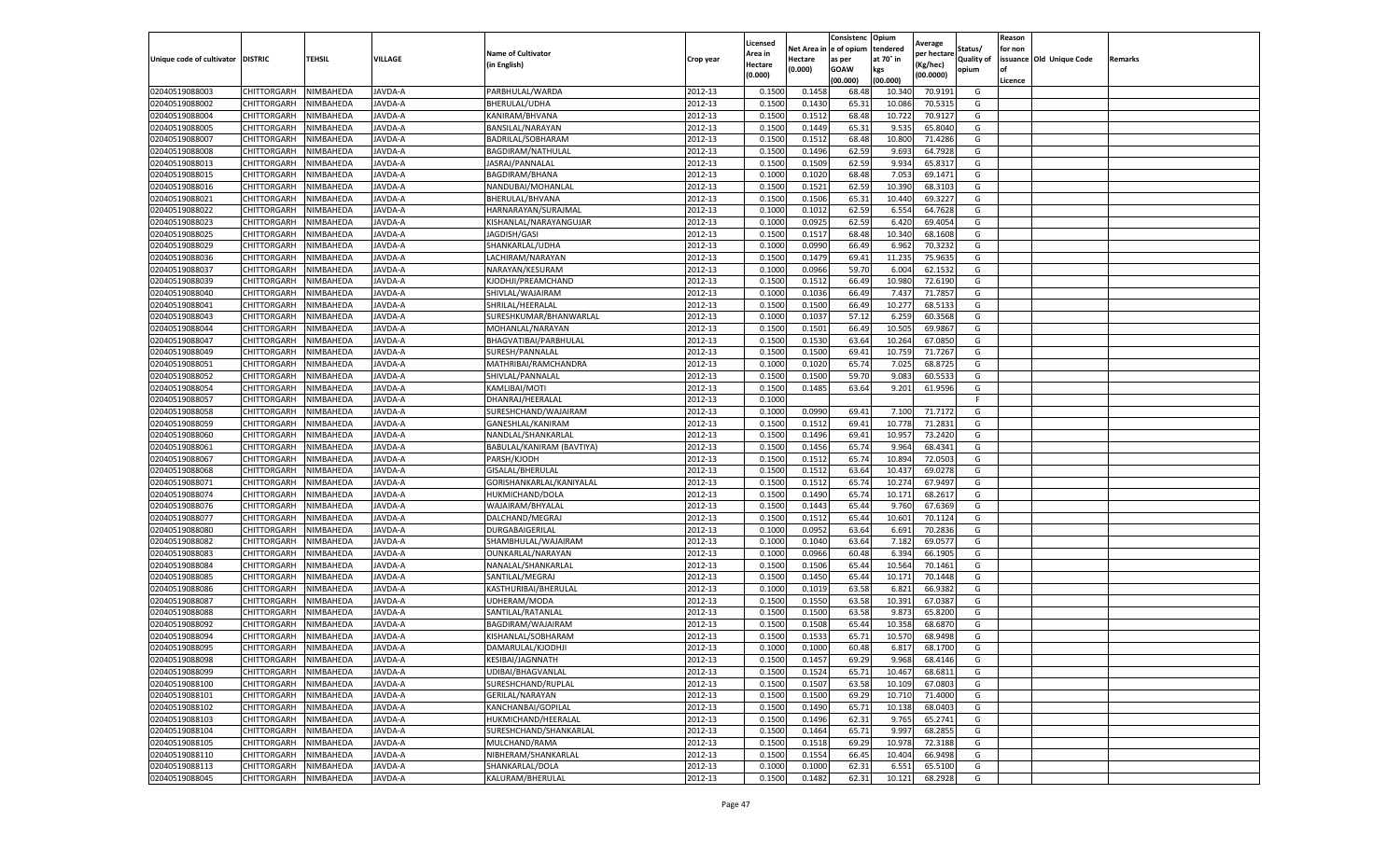|                                   |                            |                        |         |                           |           | Licensed |            | Consistenc  | Opium     |                        |                   | Reason  |                          |         |
|-----------------------------------|----------------------------|------------------------|---------|---------------------------|-----------|----------|------------|-------------|-----------|------------------------|-------------------|---------|--------------------------|---------|
|                                   |                            |                        |         | <b>Name of Cultivator</b> |           | Area in  | Net Area i | e of opium  | tendered  | Average<br>per hectare | Status/           | for non |                          |         |
| Unique code of cultivator DISTRIC |                            | TEHSIL                 | VILLAGE | (in English)              | Crop year | Hectare  | Hectare    | as per      | at 70° in | (Kg/hec)               | <b>Quality of</b> |         | issuance Old Unique Code | Remarks |
|                                   |                            |                        |         |                           |           | (0.000)  | (0.000)    | <b>GOAW</b> | kgs       | (00.0000)              | opium             |         |                          |         |
|                                   |                            |                        |         |                           |           |          |            | (00.000     | (00.000)  |                        |                   | Licence |                          |         |
| 02040519088003                    | CHITTORGARH                | NIMBAHEDA              | JAVDA-A | PARBHULAL/WARDA           | 2012-13   | 0.1500   | 0.1458     | 68.48       | 10.34     | 70.9191                | G                 |         |                          |         |
| 02040519088002                    | CHITTORGARH                | NIMBAHEDA              | JAVDA-A | <b>BHERULAL/UDHA</b>      | 2012-13   | 0.150    | 0.1430     | 65.3        | 10.08     | 70.5315                | G                 |         |                          |         |
| 02040519088004                    | CHITTORGARH                | NIMBAHEDA              | JAVDA-A | KANIRAM/BHVANA            | 2012-13   | 0.1500   | 0.1512     | 68.48       | 10.722    | 70.9127                | G                 |         |                          |         |
| 02040519088005                    | CHITTORGARH                | NIMBAHEDA              | JAVDA-A | BANSILAL/NARAYAN          | 2012-13   | 0.1500   | 0.1449     | 65.31       | 9.535     | 65.8040                | G                 |         |                          |         |
| 02040519088007                    | CHITTORGARH                | NIMBAHEDA              | JAVDA-A | BADRILAL/SOBHARAM         | 2012-13   | 0.1500   | 0.1512     | 68.48       | 10.800    | 71.4286                | G                 |         |                          |         |
| 02040519088008                    | CHITTORGARH                | NIMBAHEDA              | JAVDA-A | BAGDIRAM/NATHULAI         | 2012-13   | 0.1500   | 0.1496     | 62.59       | 9.693     | 64.7928                | G                 |         |                          |         |
| 02040519088013                    | CHITTORGARH                | NIMBAHEDA              | JAVDA-A | JASRAJ/PANNALAL           | 2012-13   | 0.1500   | 0.1509     | 62.59       | 9.934     | 65.8317                | G                 |         |                          |         |
| 02040519088015                    | CHITTORGARH                | NIMBAHEDA              | JAVDA-A | BAGDIRAM/BHANA            | 2012-13   | 0.100    | 0.1020     | 68.48       | 7.053     | 69.1471                | G                 |         |                          |         |
| 02040519088016                    | CHITTORGARH                | NIMBAHEDA              | JAVDA-A | NANDUBAI/MOHANLAL         | 2012-13   | 0.1500   | 0.1521     | 62.59       | 10.390    | 68.3103                | G                 |         |                          |         |
| 02040519088021                    | CHITTORGARH                | NIMBAHEDA              | JAVDA-A | BHERULAL/BHVANA           | 2012-13   | 0.1500   | 0.1506     | 65.31       | 10.440    | 69.3227                | G                 |         |                          |         |
| 02040519088022                    | CHITTORGARH                | NIMBAHEDA              | JAVDA-A | HARNARAYAN/SURAJMAL       | 2012-13   | 0.1000   | 0.1012     | 62.59       | 6.554     | 64.7628                | G                 |         |                          |         |
| 02040519088023                    | CHITTORGARH                | NIMBAHEDA              | JAVDA-A | KISHANLAL/NARAYANGUJAR    | 2012-13   | 0.1000   | 0.0925     | 62.59       | 6.420     | 69.4054                | G                 |         |                          |         |
| 02040519088025                    | CHITTORGARH                | NIMBAHEDA              | JAVDA-A | JAGDISH/GASI              | 2012-13   | 0.1500   | 0.151      | 68.48       | 10.340    | 68.1608                | G                 |         |                          |         |
| 02040519088029                    | CHITTORGARH                | NIMBAHEDA              | JAVDA-A | SHANKARLAL/UDHA           | 2012-13   | 0.100    | 0.0990     | 66.49       | 6.962     | 70.3232                | G                 |         |                          |         |
| 02040519088036                    | CHITTORGARH                | NIMBAHEDA              | JAVDA-A | LACHIRAM/NARAYAN          | 2012-13   | 0.1500   | 0.1479     | 69.41       | 11.235    | 75.9635                | G                 |         |                          |         |
| 02040519088037                    | CHITTORGARH                | NIMBAHEDA              | JAVDA-A | NARAYAN/KESURAM           | 2012-13   | 0.1000   | 0.0966     | 59.70       | 6.004     | 62.1532                | G                 |         |                          |         |
| 02040519088039                    | CHITTORGARH                | NIMBAHEDA              | JAVDA-A | KJODHJI/PREAMCHAND        | 2012-13   | 0.1500   | 0.1512     | 66.49       | 10.980    | 72.6190                | G                 |         |                          |         |
| 02040519088040                    | CHITTORGARH                | NIMBAHEDA              | JAVDA-A | SHIVLAL/WAJAIRAM          | 2012-13   | 0.1000   | 0.1036     | 66.49       | 7.437     | 71.7857                | G                 |         |                          |         |
| 02040519088041                    | CHITTORGARH                | NIMBAHEDA              | JAVDA-A | SHRILAL/HEERALAL          | 2012-13   | 0.1500   | 0.1500     | 66.49       | 10.277    | 68.513                 | G                 |         |                          |         |
| 02040519088043                    | CHITTORGARH                | NIMBAHEDA              | JAVDA-A | SURESHKUMAR/BHANWARLAL    | 2012-13   | 0.1000   | 0.1037     | 57.12       | 6.259     | 60.3568                | G                 |         |                          |         |
| 02040519088044                    | CHITTORGARH                | NIMBAHEDA              | JAVDA-A | MOHANLAL/NARAYAN          | 2012-13   | 0.1500   | 0.1501     | 66.49       | 10.505    | 69.9867                | G                 |         |                          |         |
| 02040519088047                    | CHITTORGARH                | NIMBAHEDA              | JAVDA-A | BHAGVATIBAI/PARBHULAL     | 2012-13   | 0.1500   | 0.1530     | 63.64       | 10.264    | 67.0850                | G                 |         |                          |         |
| 02040519088049                    | CHITTORGARH                | NIMBAHEDA              | JAVDA-A | SURESH/PANNALAL           | 2012-13   | 0.1500   | 0.1500     | 69.41       | 10.759    | 71.7267                | G                 |         |                          |         |
| 02040519088051                    | CHITTORGARH                | NIMBAHEDA              | JAVDA-A | MATHRIBAI/RAMCHANDRA      | 2012-13   | 0.1000   | 0.1020     | 65.74       | 7.025     | 68.8725                | G                 |         |                          |         |
| 02040519088052                    |                            |                        |         |                           | 2012-13   |          |            | 59.70       | 9.083     | 60.5533                |                   |         |                          |         |
|                                   | CHITTORGARH<br>CHITTORGARH | NIMBAHEDA<br>NIMBAHEDA | JAVDA-A | SHIVLAL/PANNALAL          |           | 0.1500   | 0.1500     |             |           |                        | G                 |         |                          |         |
| 02040519088054                    |                            |                        | JAVDA-A | KAMLIBAI/MOTI             | 2012-13   | 0.1500   | 0.1485     | 63.64       | 9.201     | 61.9596                | G                 |         |                          |         |
| 02040519088057                    | CHITTORGARH                | NIMBAHEDA              | JAVDA-A | DHANRAJ/HEERALAL          | 2012-13   | 0.100    |            |             |           |                        | F.                |         |                          |         |
| 02040519088058                    | CHITTORGARH                | NIMBAHEDA              | JAVDA-A | SURESHCHAND/WAJAIRAM      | 2012-13   | 0.1000   | 0.0990     | 69.4        | 7.100     | 71.7172                | G                 |         |                          |         |
| 02040519088059                    | CHITTORGARH                | NIMBAHEDA              | JAVDA-A | GANESHLAL/KANIRAM         | 2012-13   | 0.1500   | 0.1512     | 69.41       | 10.778    | 71.2831                | G                 |         |                          |         |
| 02040519088060                    | CHITTORGARH                | NIMBAHEDA              | JAVDA-A | NANDLAL/SHANKARLAL        | 2012-13   | 0.1500   | 0.1496     | 69.41       | 10.957    | 73.2420                | G                 |         |                          |         |
| 02040519088061                    | CHITTORGARH                | NIMBAHEDA              | JAVDA-A | BABULAL/KANIRAM (BAVTIYA) | 2012-13   | 0.1500   | 0.1456     | 65.74       | 9.964     | 68.4341                | G                 |         |                          |         |
| 02040519088067                    | CHITTORGARH                | NIMBAHEDA              | JAVDA-A | PARSH/KJODH               | 2012-13   | 0.1500   | 0.1512     | 65.74       | 10.894    | 72.0503                | G                 |         |                          |         |
| 02040519088068                    | CHITTORGARH                | NIMBAHEDA              | JAVDA-A | GISALAL/BHERULAL          | 2012-13   | 0.1500   | 0.1512     | 63.64       | 10.43     | 69.0278                | G                 |         |                          |         |
| 02040519088071                    | CHITTORGARH                | NIMBAHEDA              | JAVDA-A | GORISHANKARLAL/KANIYALAL  | 2012-13   | 0.1500   | 0.1512     | 65.74       | 10.274    | 67.9497                | G                 |         |                          |         |
| 02040519088074                    | CHITTORGARH                | NIMBAHEDA              | JAVDA-A | HUKMICHAND/DOLA           | 2012-13   | 0.1500   | 0.1490     | 65.74       | 10.171    | 68.2617                | G                 |         |                          |         |
| 02040519088076                    | CHITTORGARH                | NIMBAHEDA              | JAVDA-A | WAJAIRAM/BHYALAL          | 2012-13   | 0.1500   | 0.1443     | 65.44       | 9.760     | 67.6369                | G                 |         |                          |         |
| 02040519088077                    | CHITTORGARH                | NIMBAHEDA              | JAVDA-A | DALCHAND/MEGRAJ           | 2012-13   | 0.1500   | 0.1512     | 65.44       | 10.601    | 70.1124                | G                 |         |                          |         |
| 02040519088080                    | CHITTORGARH                | NIMBAHEDA              | JAVDA-A | DURGABAIGERILAL           | 2012-13   | 0.1000   | 0.0952     | 63.64       | 6.691     | 70.2836                | G                 |         |                          |         |
| 02040519088082                    | CHITTORGARH                | NIMBAHEDA              | JAVDA-A | SHAMBHULAL/WAJAIRAM       | 2012-13   | 0.1000   | 0.1040     | 63.64       | 7.182     | 69.0577                | G                 |         |                          |         |
| 02040519088083                    | CHITTORGARH                | NIMBAHEDA              | JAVDA-A | OUNKARLAL/NARAYAN         | 2012-13   | 0.100    | 0.0966     | 60.48       | 6.394     | 66.1905                | G                 |         |                          |         |
| 02040519088084                    | CHITTORGARH                | NIMBAHEDA              | JAVDA-A | NANALAL/SHANKARLAL        | 2012-13   | 0.1500   | 0.1506     | 65.44       | 10.564    | 70.1461                | G                 |         |                          |         |
| 02040519088085                    | CHITTORGARH                | NIMBAHEDA              | JAVDA-A | SANTILAL/MEGRAJ           | 2012-13   | 0.1500   | 0.1450     | 65.44       | 10.171    | 70.1448                | G                 |         |                          |         |
| 02040519088086                    | CHITTORGARH                | NIMBAHEDA              | JAVDA-A | KASTHURIBAI/BHERULAL      | 2012-13   | 0.1000   | 0.1019     | 63.58       | 6.821     | 66.9382                | G                 |         |                          |         |
| 02040519088087                    | CHITTORGARH                | NIMBAHEDA              | JAVDA-A | UDHERAM/MODA              | 2012-13   | 0.1500   | 0.1550     | 63.58       | 10.391    | 67.0387                | G                 |         |                          |         |
| 02040519088088                    | CHITTORGARH                | NIMBAHEDA              | JAVDA-A | SANTILAL/RATANLAL         | 2012-13   | 0.1500   | 0.1500     | 63.58       | 9.873     | 65.8200                | G                 |         |                          |         |
| 02040519088092                    | CHITTORGARH                | NIMBAHEDA              | JAVDA-A | BAGDIRAM/WAJAIRAM         | 2012-13   | 0.150    | 0.1508     | 65.44       | 10.358    | 68.6870                | G                 |         |                          |         |
| 02040519088094                    | CHITTORGARH                | NIMBAHEDA              | JAVDA-A | KISHANLAL/SOBHARAM        | 2012-13   | 0.1500   | 0.1533     | 65.71       | 10.57     | 68.9498                | G                 |         |                          |         |
| 02040519088095                    | CHITTORGARH                | NIMBAHEDA              | JAVDA-A | DAMARULAL/KJODHJI         | 2012-13   | 0.1000   | 0.1000     | 60.48       | 6.817     | 68.1700                | G                 |         |                          |         |
| 02040519088098                    | CHITTORGARH                | NIMBAHEDA              | JAVDA-A | KESIBAI/JAGNNATH          | 2012-13   | 0.1500   | 0.1457     | 69.29       | 9.968     | 68.4146                | G                 |         |                          |         |
| 02040519088099                    | CHITTORGARH                | NIMBAHEDA              | JAVDA-A | UDIBAI/BHAGVANLAL         | 2012-13   | 0.1500   | 0.1524     | 65.71       | 10.467    | 68.6811                | G                 |         |                          |         |
| 02040519088100                    | CHITTORGARH                | NIMBAHEDA              | JAVDA-A | SURESHCHAND/RUPLAL        | 2012-13   | 0.1500   | 0.1507     | 63.58       | 10.109    | 67.0803                | G                 |         |                          |         |
| 02040519088101                    | CHITTORGARH                | NIMBAHEDA              | JAVDA-A | <b>GERILAL/NARAYAN</b>    | 2012-13   | 0.1500   | 0.1500     | 69.29       | 10.710    | 71.4000                | G                 |         |                          |         |
| 02040519088102                    | CHITTORGARH                | NIMBAHEDA              | JAVDA-A | KANCHANBAI/GOPILAL        | 2012-13   | 0.1500   | 0.1490     | 65.71       | 10.138    | 68.0403                | G                 |         |                          |         |
| 02040519088103                    | CHITTORGARH                | NIMBAHEDA              | JAVDA-A | HUKMICHAND/HEERALAL       | 2012-13   | 0.1500   | 0.1496     | 62.31       | 9.765     | 65.2741                | G                 |         |                          |         |
| 02040519088104                    | CHITTORGARH                | NIMBAHEDA              | JAVDA-A | SURESHCHAND/SHANKARLAL    | 2012-13   | 0.1500   | 0.1464     | 65.71       | 9.997     | 68.2855                | G                 |         |                          |         |
| 02040519088105                    | CHITTORGARH                | NIMBAHEDA              | JAVDA-A | MULCHAND/RAMA             | 2012-13   | 0.1500   | 0.1518     | 69.29       | 10.978    | 72.3188                | G                 |         |                          |         |
| 02040519088110                    | CHITTORGARH                | NIMBAHEDA              | JAVDA-A | NIBHERAM/SHANKARLAL       | 2012-13   | 0.1500   | 0.1554     | 66.45       | 10.404    | 66.9498                | G                 |         |                          |         |
| 02040519088113                    | CHITTORGARH                | NIMBAHEDA              | JAVDA-A | SHANKARLAL/DOLA           | 2012-13   | 0.1000   | 0.1000     | 62.3        | 6.551     | 65.5100                | G                 |         |                          |         |
| 02040519088045                    | CHITTORGARH                | NIMBAHEDA              | JAVDA-A | KALURAM/BHERULAL          | 2012-13   | 0.1500   | 0.1482     | 62.31       | 10.121    | 68.2928                | G                 |         |                          |         |
|                                   |                            |                        |         |                           |           |          |            |             |           |                        |                   |         |                          |         |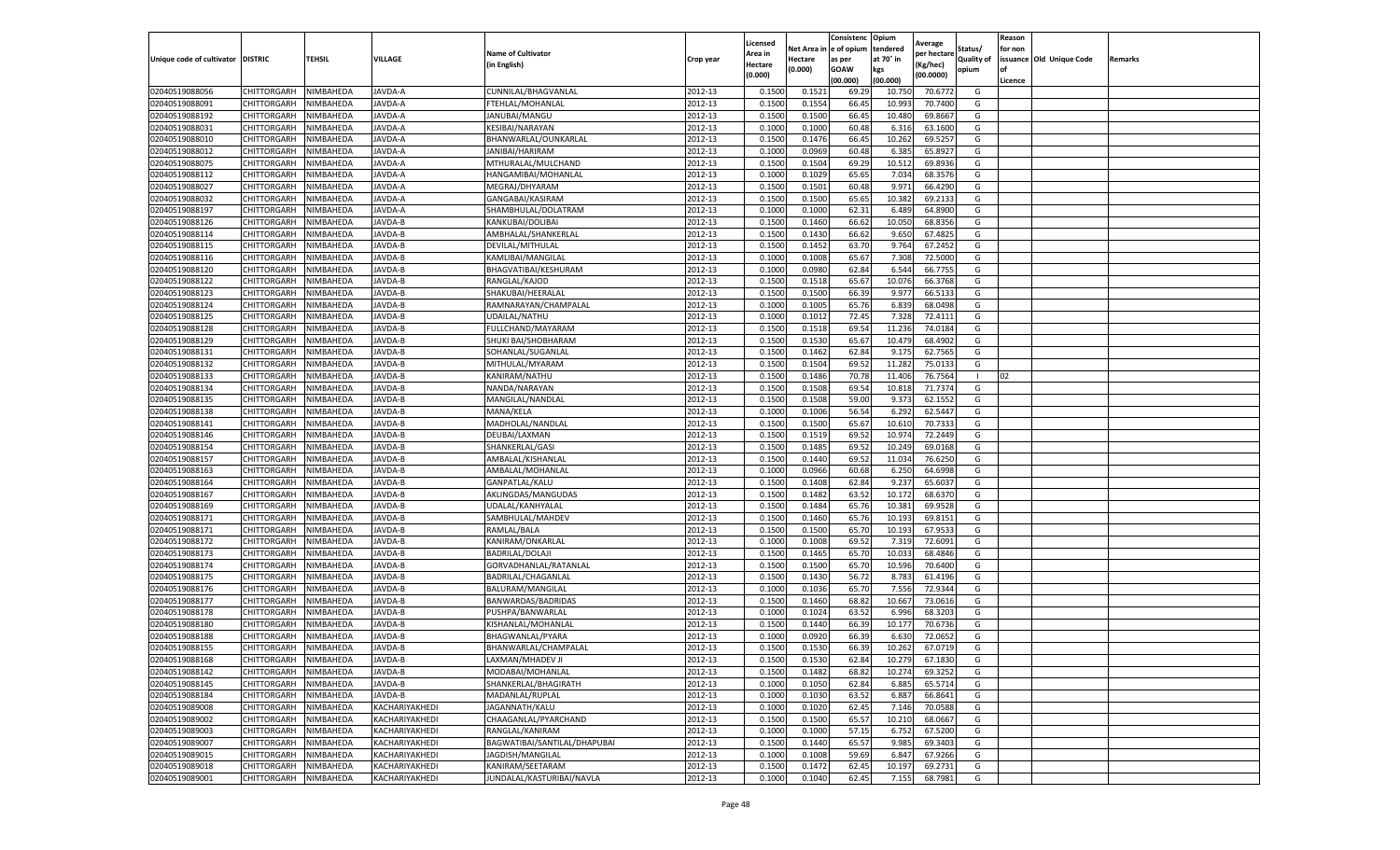|                                   |             |           |                |                              |           | Licensed |            | Consistenc  | Opium     |                        |                   | Reason  |                          |         |
|-----------------------------------|-------------|-----------|----------------|------------------------------|-----------|----------|------------|-------------|-----------|------------------------|-------------------|---------|--------------------------|---------|
|                                   |             |           |                | <b>Name of Cultivator</b>    |           | Area in  | Net Area i | e of opium  | tendered  | Average<br>per hectare | Status/           | for non |                          |         |
| Unique code of cultivator DISTRIC |             | TEHSIL    | VILLAGE        | (in English)                 | Crop year | Hectare  | Hectare    | as per      | at 70° in | (Kg/hec)               | <b>Quality of</b> |         | issuance Old Unique Code | Remarks |
|                                   |             |           |                |                              |           | (0.000)  | (0.000)    | <b>GOAW</b> | kgs       | (00.0000)              | opium             | οf      |                          |         |
|                                   |             |           |                |                              |           |          |            | (00.000     | (00.000)  |                        |                   | Licence |                          |         |
| 02040519088056                    | CHITTORGARH | NIMBAHEDA | JAVDA-A        | CUNNILAL/BHAGVANLAL          | 2012-13   | 0.1500   | 0.152      | 69.29       | 10.75     | 70.6772                | G                 |         |                          |         |
| 02040519088091                    | CHITTORGARH | NIMBAHEDA | JAVDA-A        | FTEHLAL/MOHANLAI             | 2012-13   | 0.150    | 0.1554     | 66.45       | 10.99     | 70.7400                | G                 |         |                          |         |
| 02040519088192                    | CHITTORGARH | NIMBAHEDA | JAVDA-A        | JANUBAI/MANGU                | 2012-13   | 0.1500   | 0.1500     | 66.45       | 10.480    | 69.8667                | G                 |         |                          |         |
| 02040519088031                    | CHITTORGARH | NIMBAHEDA | JAVDA-A        | KESIBAI/NARAYAN              | 2012-13   | 0.1000   | 0.1000     | 60.48       | 6.316     | 63.1600                | G                 |         |                          |         |
| 02040519088010                    | CHITTORGARH | NIMBAHEDA | JAVDA-A        | BHANWARLAL/OUNKARLAL         | 2012-13   | 0.1500   | 0.1476     | 66.45       | 10.262    | 69.5257                | G                 |         |                          |         |
| 02040519088012                    | CHITTORGARH | NIMBAHEDA | JAVDA-A        | JANIBAI/HARIRAM              | 2012-13   | 0.1000   | 0.0969     | 60.48       | 6.385     | 65.8927                | G                 |         |                          |         |
| 02040519088075                    | CHITTORGARH | NIMBAHEDA | JAVDA-A        | MTHURALAL/MULCHAND           | 2012-13   | 0.1500   | 0.1504     | 69.29       | 10.512    | 69.8936                | G                 |         |                          |         |
| 02040519088112                    | CHITTORGARH | NIMBAHEDA | JAVDA-A        | HANGAMIBAI/MOHANLAI          | 2012-13   | 0.100    | 0.1029     | 65.65       | 7.034     | 68.3576                | G                 |         |                          |         |
| 02040519088027                    | CHITTORGARH | NIMBAHEDA | JAVDA-A        | MEGRAJ/DHYARAM               | 2012-13   | 0.1500   | 0.1501     | 60.48       | 9.971     | 66.4290                | G                 |         |                          |         |
| 02040519088032                    | CHITTORGARH | NIMBAHEDA | JAVDA-A        | GANGABAI/KASIRAM             | 2012-13   | 0.1500   | 0.1500     | 65.65       | 10.382    | 69.2133                | G                 |         |                          |         |
| 02040519088197                    | CHITTORGARH | NIMBAHEDA | JAVDA-A        | SHAMBHULAL/DOLATRAM          | 2012-13   | 0.1000   | 0.1000     | 62.31       | 6.489     | 64.8900                | G                 |         |                          |         |
| 02040519088126                    | CHITTORGARH | NIMBAHEDA | JAVDA-B        | KANKUBAI/DOLIBAI             | 2012-13   | 0.1500   | 0.1460     | 66.62       | 10.050    | 68.8356                | G                 |         |                          |         |
| 02040519088114                    | CHITTORGARH | NIMBAHEDA | JAVDA-B        | AMBHALAL/SHANKERLAL          | 2012-13   | 0.1500   | 0.1430     | 66.62       | 9.650     | 67.4825                | G                 |         |                          |         |
| 02040519088115                    | CHITTORGARH | NIMBAHEDA | JAVDA-B        | DEVILAL/MITHULAL             | 2012-13   | 0.1500   | 0.1452     | 63.70       | 9.764     | 67.2452                | G                 |         |                          |         |
| 02040519088116                    | CHITTORGARH | NIMBAHEDA | JAVDA-B        | KAMLIBAI/MANGILAL            | 2012-13   | 0.1000   | 0.1008     | 65.67       | 7.308     | 72.5000                | G                 |         |                          |         |
| 02040519088120                    | CHITTORGARH | NIMBAHEDA | JAVDA-B        | BHAGVATIBAI/KESHURAM         | 2012-13   | 0.1000   | 0.0980     | 62.84       | 6.544     | 66.7755                | G                 |         |                          |         |
| 02040519088122                    | CHITTORGARH | NIMBAHEDA | JAVDA-B        | RANGLAL/KAJOD                | 2012-13   | 0.1500   | 0.1518     | 65.67       | 10.076    | 66.3768                | G                 |         |                          |         |
| 02040519088123                    | CHITTORGARH | NIMBAHEDA | JAVDA-B        | SHAKUBAI/HEERALAL            | 2012-13   | 0.1500   | 0.1500     | 66.39       | 9.977     | 66.5133                | G                 |         |                          |         |
| 02040519088124                    | CHITTORGARH | NIMBAHEDA | JAVDA-B        | RAMNARAYAN/CHAMPALAL         | 2012-13   | 0.1000   | 0.1005     | 65.76       | 6.839     | 68.0498                | G                 |         |                          |         |
| 02040519088125                    | CHITTORGARH | VIMBAHEDA | JAVDA-B        | UDAILAL/NATHU                | 2012-13   | 0.1000   | 0.1012     | 72.45       | 7.328     | 72.4111                | G                 |         |                          |         |
| 02040519088128                    | CHITTORGARH | NIMBAHEDA | JAVDA-B        | FULLCHAND/MAYARAM            | 2012-13   | 0.1500   | 0.1518     | 69.54       | 11.236    | 74.0184                | G                 |         |                          |         |
| 02040519088129                    | CHITTORGARH | NIMBAHEDA | JAVDA-B        | SHUKI BAI/SHOBHARAM          | 2012-13   | 0.1500   | 0.1530     | 65.67       | 10.479    | 68.4902                | G                 |         |                          |         |
| 02040519088131                    | CHITTORGARH | NIMBAHEDA | JAVDA-B        | SOHANLAL/SUGANLAL            | 2012-13   | 0.1500   | 0.1462     | 62.84       | 9.175     | 62.7565                | G                 |         |                          |         |
| 02040519088132                    | CHITTORGARH | NIMBAHEDA | JAVDA-B        | MITHULAL/MYARAM              | 2012-13   | 0.1500   | 0.1504     | 69.52       | 11.282    | 75.0133                | G                 |         |                          |         |
| 02040519088133                    | CHITTORGARH | NIMBAHEDA | JAVDA-B        | KANIRAM/NATHU                | 2012-13   | 0.1500   | 0.1486     | 70.78       | 11.406    | 76.7564                |                   | 02      |                          |         |
| 02040519088134                    | CHITTORGARH | NIMBAHEDA | JAVDA-B        | NANDA/NARAYAN                | 2012-13   | 0.1500   | 0.1508     | 69.54       | 10.818    | 71.7374                | G                 |         |                          |         |
| 02040519088135                    | CHITTORGARH | NIMBAHEDA | JAVDA-B        | MANGILAL/NANDLAI             | 2012-13   | 0.1500   | 0.1508     | 59.00       | 9.373     | 62.1552                | G                 |         |                          |         |
| 02040519088138                    | CHITTORGARH | NIMBAHEDA | JAVDA-B        | MANA/KELA                    | 2012-13   | 0.1000   | 0.1006     | 56.54       | 6.292     | 62.5447                | G                 |         |                          |         |
| 02040519088141                    | CHITTORGARH | NIMBAHEDA | JAVDA-B        | MADHOLAL/NANDLAL             | 2012-13   | 0.1500   | 0.1500     | 65.67       | 10.610    | 70.7333                | G                 |         |                          |         |
| 02040519088146                    | CHITTORGARH | NIMBAHEDA | JAVDA-B        | DEUBAI/LAXMAN                | 2012-13   | 0.1500   | 0.1519     | 69.52       | 10.974    | 72.2449                | G                 |         |                          |         |
| 02040519088154                    | CHITTORGARH | NIMBAHEDA | JAVDA-B        | SHANKERLAL/GASI              | 2012-13   | 0.1500   | 0.1485     | 69.52       | 10.249    | 69.0168                | G                 |         |                          |         |
| 02040519088157                    | CHITTORGARH | NIMBAHEDA | JAVDA-B        | AMBALAL/KISHANLAL            | 2012-13   | 0.1500   | 0.1440     | 69.52       | 11.034    | 76.6250                | G                 |         |                          |         |
| 02040519088163                    | CHITTORGARH | NIMBAHEDA | JAVDA-B        | AMBALAL/MOHANLAL             | 2012-13   | 0.100    | 0.0966     | 60.68       | 6.250     | 64.6998                | G                 |         |                          |         |
| 02040519088164                    | CHITTORGARH | NIMBAHEDA | JAVDA-B        | GANPATLAL/KALU               | 2012-13   | 0.1500   | 0.1408     | 62.84       | 9.237     | 65.6037                | G                 |         |                          |         |
| 02040519088167                    | CHITTORGARH | NIMBAHEDA | JAVDA-B        | AKLINGDAS/MANGUDAS           | 2012-13   | 0.1500   | 0.1482     | 63.52       | 10.172    | 68.6370                | G                 |         |                          |         |
| 02040519088169                    | CHITTORGARH | NIMBAHEDA | JAVDA-B        | UDALAL/KANHYALAL             | 2012-13   | 0.1500   | 0.1484     | 65.76       | 10.381    | 69.9528                | G                 |         |                          |         |
| 02040519088171                    | CHITTORGARH | NIMBAHEDA | JAVDA-B        | SAMBHULAL/MAHDEV             | 2012-13   | 0.1500   | 0.1460     | 65.76       | 10.193    | 69.8151                | G                 |         |                          |         |
| 02040519088171                    | CHITTORGARH | NIMBAHEDA | JAVDA-B        | RAMLAL/BALA                  | 2012-13   | 0.1500   | 0.1500     | 65.70       | 10.19     | 67.9533                | G                 |         |                          |         |
| 02040519088172                    | CHITTORGARH | NIMBAHEDA | JAVDA-B        | KANIRAM/ONKARLAL             | 2012-13   | 0.1000   | 0.1008     | 69.52       | 7.319     | 72.6091                | G                 |         |                          |         |
| 02040519088173                    | CHITTORGARH | NIMBAHEDA | JAVDA-B        | <b>BADRILAL/DOLAJI</b>       | 2012-13   | 0.1500   | 0.1465     | 65.70       | 10.033    | 68.4846                | G                 |         |                          |         |
| 02040519088174                    | CHITTORGARH | NIMBAHEDA | JAVDA-B        | GORVADHANLAL/RATANLAL        | 2012-13   | 0.1500   | 0.1500     | 65.70       | 10.596    | 70.6400                | G                 |         |                          |         |
| 02040519088175                    | CHITTORGARH | NIMBAHEDA | JAVDA-B        | BADRILAL/CHAGANLAL           | 2012-13   | 0.1500   | 0.1430     | 56.72       | 8.783     | 61.4196                | G                 |         |                          |         |
| 02040519088176                    | CHITTORGARH | NIMBAHEDA | JAVDA-B        | BALURAM/MANGILAL             | 2012-13   | 0.1000   | 0.1036     | 65.70       | 7.556     | 72.9344                | G                 |         |                          |         |
| 02040519088177                    | CHITTORGARH | NIMBAHEDA | JAVDA-B        | BANWARDAS/BADRIDAS           | 2012-13   | 0.1500   | 0.1460     | 68.82       | 10.667    | 73.0616                | G                 |         |                          |         |
| 02040519088178                    | CHITTORGARH | NIMBAHEDA | JAVDA-B        | PUSHPA/BANWARLAL             | 2012-13   | 0.1000   | 0.1024     | 63.52       | 6.996     | 68.3203                | G                 |         |                          |         |
| 02040519088180                    | CHITTORGARH | NIMBAHEDA | JAVDA-B        | KISHANLAL/MOHANLAL           | 2012-13   | 0.150    | 0.1440     | 66.39       | 10.177    | 70.6736                | G                 |         |                          |         |
| 02040519088188                    | CHITTORGARH | NIMBAHEDA | JAVDA-B        | BHAGWANLAL/PYARA             | 2012-13   | 0.1000   | 0.0920     | 66.39       | 6.630     | 72.0652                | G                 |         |                          |         |
| 02040519088155                    | CHITTORGARH | NIMBAHEDA | JAVDA-B        | BHANWARLAL/CHAMPALAL         | 2012-13   | 0.1500   | 0.1530     | 66.39       | 10.262    | 67.0719                | G                 |         |                          |         |
| 02040519088168                    | CHITTORGARH | NIMBAHEDA | JAVDA-B        | LAXMAN/MHADEV JI             | 2012-13   | 0.1500   | 0.1530     | 62.84       | 10.279    | 67.1830                | G                 |         |                          |         |
| 02040519088142                    | CHITTORGARH | NIMBAHEDA | JAVDA-B        | MODABAI/MOHANLAL             | 2012-13   | 0.1500   | 0.1482     | 68.82       | 10.274    | 69.3252                | G                 |         |                          |         |
| 02040519088145                    | CHITTORGARH | NIMBAHEDA | JAVDA-B        | SHANKERLAL/BHAGIRATH         | 2012-13   | 0.1000   | 0.1050     | 62.84       | 6.885     | 65.5714                | G                 |         |                          |         |
| 02040519088184                    | CHITTORGARH | NIMBAHEDA | JAVDA-B        | MADANLAL/RUPLAL              | 2012-13   | 0.1000   | 0.1030     | 63.52       | 6.887     | 66.8641                | G                 |         |                          |         |
| 02040519089008                    | CHITTORGARH | NIMBAHEDA | KACHARIYAKHEDI | JAGANNATH/KALU               | 2012-13   | 0.1000   | 0.1020     | 62.45       | 7.146     | 70.0588                | G                 |         |                          |         |
| 02040519089002                    | CHITTORGARH | NIMBAHEDA | KACHARIYAKHEDI | CHAAGANLAL/PYARCHAND         | 2012-13   | 0.1500   | 0.1500     | 65.57       | 10.210    | 68.0667                | G                 |         |                          |         |
| 02040519089003                    | CHITTORGARH | NIMBAHEDA | KACHARIYAKHEDI | RANGLAL/KANIRAM              | 2012-13   | 0.1000   | 0.1000     | 57.15       | 6.752     | 67.5200                | G                 |         |                          |         |
| 02040519089007                    | CHITTORGARH | NIMBAHEDA | KACHARIYAKHEDI | BAGWATIBAI/SANTILAL/DHAPUBAI | 2012-13   | 0.1500   | 0.1440     | 65.57       | 9.985     | 69.3403                | G                 |         |                          |         |
| 02040519089015                    | CHITTORGARH | NIMBAHEDA | KACHARIYAKHEDI | JAGDISH/MANGILAL             | 2012-13   | 0.1000   | 0.1008     | 59.69       | 6.847     | 67.9266                | G                 |         |                          |         |
| 02040519089018                    | CHITTORGARH | NIMBAHEDA | KACHARIYAKHEDI | KANIRAM/SEETARAM             | 2012-13   | 0.1500   | 0.1472     | 62.45       | 10.197    | 69.2731                | G                 |         |                          |         |
| 02040519089001                    | CHITTORGARH | NIMBAHEDA | KACHARIYAKHEDI | JUNDALAL/KASTURIBAI/NAVLA    | 2012-13   | 0.1000   | 0.1040     | 62.45       |           | 68.7981                | G                 |         |                          |         |
|                                   |             |           |                |                              |           |          |            |             | 7.155     |                        |                   |         |                          |         |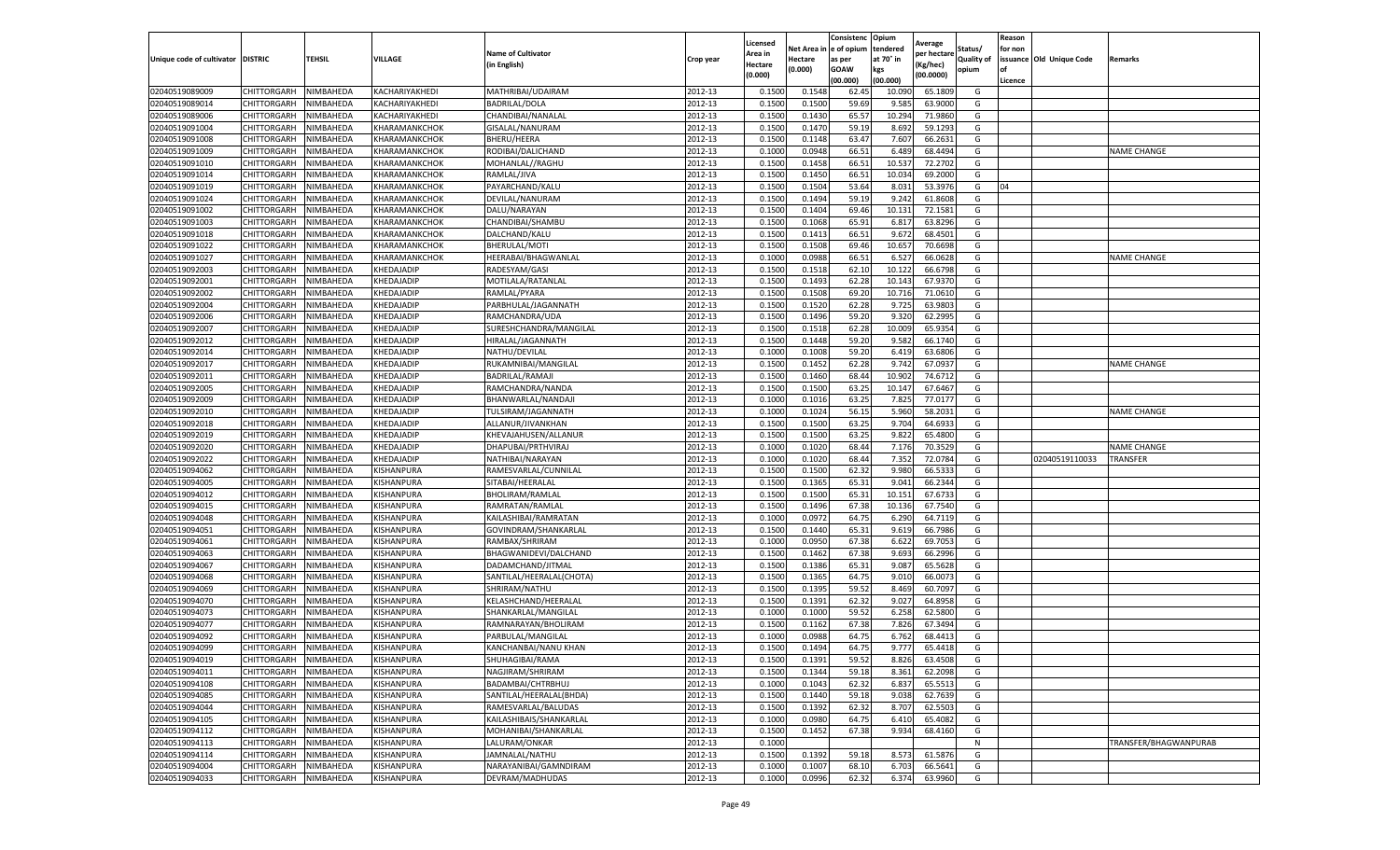|                                   |             |                  |                |                           |           | Licensed |         | Consistenc              | Opium     | Average     |            | Reason  |                          |                       |
|-----------------------------------|-------------|------------------|----------------|---------------------------|-----------|----------|---------|-------------------------|-----------|-------------|------------|---------|--------------------------|-----------------------|
|                                   |             |                  |                | <b>Name of Cultivator</b> |           | Area in  |         | Net Area in le of opium | tendered  | per hectare | Status/    | for non |                          |                       |
| Unique code of cultivator DISTRIC |             | <b>TEHSIL</b>    | VILLAGE        | (in English)              | Crop year | Hectare  | Hectare | as per                  | at 70° in | Kg/hec)     | Quality of |         | issuance Old Unique Code | Remarks               |
|                                   |             |                  |                |                           |           | (0.000)  | (0.000) | GOAW                    | kgs       | (00.0000)   | opium      |         |                          |                       |
|                                   |             |                  |                |                           |           |          |         | (00.000)                | (00.000)  |             |            | Licence |                          |                       |
| 02040519089009                    | CHITTORGARH | NIMBAHEDA        | KACHARIYAKHEDI | MATHRIBAI/UDAIRAM         | 2012-13   | 0.150    | 0.154   | 62.4                    | 10.090    | 65.180      | G          |         |                          |                       |
| 02040519089014                    | CHITTORGARH | NIMBAHEDA        | KACHARIYAKHEDI | BADRILAL/DOLA             | 2012-13   | 0.1500   | 0.150   | 59.69                   | 9.58      | 63.900      | G          |         |                          |                       |
| 02040519089006                    | CHITTORGARH | NIMBAHEDA        | KACHARIYAKHEDI | CHANDIBAI/NANALAL         | 2012-13   | 0.1500   | 0.1430  | 65.57                   | 10.294    | 71.986      | G          |         |                          |                       |
| 02040519091004                    | CHITTORGARH | NIMBAHEDA        | KHARAMANKCHOK  | GISALAL/NANURAM           | 2012-13   | 0.1500   | 0.1470  | 59.19                   | 8.692     | 59.1293     | G          |         |                          |                       |
| 02040519091008                    | CHITTORGARH | NIMBAHEDA        | KHARAMANKCHOK  | BHERU/HEERA               | 2012-13   | 0.1500   | 0.1148  | 63.4                    | 7.607     | 66.263      | G          |         |                          |                       |
| 02040519091009                    | CHITTORGARH | NIMBAHEDA        | KHARAMANKCHOK  | RODIBAI/DALICHAND         | 2012-13   | 0.1000   | 0.0948  | 66.51                   | 6.489     | 68.449      | G          |         |                          | <b>NAME CHANGE</b>    |
| 02040519091010                    | CHITTORGARH | NIMBAHEDA        | KHARAMANKCHOK  | MOHANLAL//RAGHU           | 2012-13   | 0.1500   | 0.1458  | 66.51                   | 10.537    | 72.270      | G          |         |                          |                       |
| 02040519091014                    | CHITTORGARH | NIMBAHEDA        | KHARAMANKCHOK  | RAMLAL/JIVA               | 2012-13   | 0.1500   | 0.145   | 66.51                   | 10.034    | 69.200      | G          |         |                          |                       |
| 02040519091019                    | CHITTORGARH | NIMBAHEDA        | KHARAMANKCHOK  | PAYARCHAND/KALU           | 2012-13   | 0.1500   | 0.1504  | 53.64                   | 8.03      | 53.397      | G          | 04      |                          |                       |
| 02040519091024                    | CHITTORGARH | NIMBAHEDA        | KHARAMANKCHOK  | DEVILAL/NANURAM           | 2012-13   | 0.1500   | 0.1494  | 59.19                   | 9.242     | 61.8608     | G          |         |                          |                       |
| 02040519091002                    | CHITTORGARH | NIMBAHEDA        | KHARAMANKCHOK  | DALU/NARAYAN              | 2012-13   | 0.1500   | 0.1404  | 69.46                   | 10.131    | 72.158      | G          |         |                          |                       |
| 02040519091003                    | CHITTORGARH | NIMBAHEDA        | KHARAMANKCHOK  | CHANDIBAI/SHAMBU          | 2012-13   | 0.1500   | 0.1068  | 65.9                    | 6.81      | 63.829      | G          |         |                          |                       |
| 02040519091018                    | CHITTORGARH | <b>NIMBAHEDA</b> | KHARAMANKCHOK  | DALCHAND/KALU             | 2012-13   | 0.1500   | 0.141   | 66.51                   | 9.672     | 68.450      | G          |         |                          |                       |
| 02040519091022                    | CHITTORGARH | NIMBAHEDA        | KHARAMANKCHOK  | BHERULAL/MOTI             | 2012-13   | 0.1500   | 0.1508  | 69.46                   | 10.657    | 70.669      | G          |         |                          |                       |
| 02040519091027                    | CHITTORGARH | NIMBAHEDA        | KHARAMANKCHOK  | HEERABAI/BHAGWANLAI       | 2012-13   | 0.1000   | 0.0988  | 66.51                   | 6.527     | 66.062      | G          |         |                          | <b>NAME CHANGE</b>    |
| 02040519092003                    | CHITTORGARH | NIMBAHEDA        | KHEDAJADIP     | RADESYAM/GASI             | 2012-13   | 0.1500   | 0.151   | 62.10                   | 10.122    | 66.679      | G          |         |                          |                       |
| 02040519092001                    | CHITTORGARH | NIMBAHEDA        | KHEDAJADIP     | MOTILALA/RATANLAL         | 2012-13   | 0.1500   | 0.1493  | 62.28                   | 10.143    | 67.937      | G          |         |                          |                       |
| 02040519092002                    | CHITTORGARH | NIMBAHEDA        | KHEDAJADIP     | RAMLAL/PYARA              | 2012-13   | 0.1500   | 0.1508  | 69.20                   | 10.716    | 71.061      | G          |         |                          |                       |
| 02040519092004                    | CHITTORGARH | NIMBAHEDA        | KHEDAJADIP     | PARBHULAL/JAGANNATH       | 2012-13   | 0.1500   | 0.152   | 62.28                   | 9.725     | 63.980      | G          |         |                          |                       |
| 02040519092006                    | CHITTORGARH | <b>NIMBAHEDA</b> | KHEDAJADIP     | RAMCHANDRA/UDA            | 2012-13   | 0.1500   | 0.1496  | 59.20                   | 9.320     | 62.299      | G          |         |                          |                       |
| 02040519092007                    | CHITTORGARH | NIMBAHEDA        | KHEDAJADIP     | SURESHCHANDRA/MANGILAL    | 2012-13   | 0.1500   | 0.1518  | 62.28                   | 10.009    | 65.9354     | G          |         |                          |                       |
| 02040519092012                    | CHITTORGARH | NIMBAHEDA        | KHEDAJADIP     | HIRALAL/JAGANNATH         | 2012-13   | 0.1500   | 0.1448  | 59.20                   | 9.582     | 66.174      | G          |         |                          |                       |
| 02040519092014                    | CHITTORGARH | NIMBAHEDA        | KHEDAJADIP     | NATHU/DEVILAL             | 2012-13   | 0.1000   | 0.1008  | 59.20                   | 6.419     | 63.6806     | G          |         |                          |                       |
| 02040519092017                    | CHITTORGARH | NIMBAHEDA        | KHEDAJADIF     | RUKAMNIBAI/MANGILAL       | 2012-13   | 0.1500   | 0.1452  | 62.28                   | 9.742     | 67.093      | G          |         |                          | <b>NAME CHANGE</b>    |
| 02040519092011                    | CHITTORGARH | NIMBAHEDA        | KHEDAJADIF     | BADRILAL/RAMAJI           | 2012-13   | 0.1500   | 0.1460  | 68.44                   | 10.902    | 74.671      | G          |         |                          |                       |
| 02040519092005                    | CHITTORGARH | NIMBAHEDA        | KHEDAJADIP     | RAMCHANDRA/NANDA          | 2012-13   | 0.1500   | 0.150   | 63.25                   | 10.147    | 67.6467     | G          |         |                          |                       |
| 02040519092009                    | CHITTORGARH | NIMBAHEDA        | KHEDAJADIP     | BHANWARLAL/NANDAJ         | 2012-13   | 0.1000   | 0.101   | 63.2                    | 7.82      | 77.017      | G          |         |                          |                       |
| 02040519092010                    | CHITTORGARH | NIMBAHEDA        | KHEDAJADIP     | TULSIRAM/JAGANNATH        | 2012-13   | 0.1000   | 0.1024  | 56.15                   | 5.960     | 58.203      | G          |         |                          | <b>NAME CHANGE</b>    |
| 02040519092018                    | CHITTORGARH | NIMBAHEDA        | KHEDAJADIP     | ALLANUR/JIVANKHAN         | 2012-13   | 0.1500   | 0.1500  | 63.25                   | 9.704     | 64.693      | G          |         |                          |                       |
| 02040519092019                    | CHITTORGARH | NIMBAHEDA        | KHEDAJADIP     | KHEVAJAHUSEN/ALLANUR      | 2012-13   | 0.1500   | 0.150   | 63.25                   | 9.822     | 65.480      | G          |         |                          |                       |
| 02040519092020                    | CHITTORGARH | NIMBAHEDA        | KHEDAJADIP     | DHAPUBAI/PRTHVIRAJ        | 2012-13   | 0.1000   | 0.1020  | 68.44                   | 7.176     | 70.352      | G          |         |                          | <b>NAME CHANGE</b>    |
| 02040519092022                    | CHITTORGARH | <b>NIMBAHEDA</b> | KHEDAJADIP     | NATHIBAI/NARAYAN          | 2012-13   | 0.1000   | 0.1020  | 68.44                   | 7.352     | 72.078      | G          |         | 02040519110033           | TRANSFER              |
| 02040519094062                    | CHITTORGARH | NIMBAHEDA        | KISHANPURA     | RAMESVARLAL/CUNNILAL      | 2012-13   | 0.1500   | 0.150   | 62.3                    | 9.980     | 66.533      | G          |         |                          |                       |
| 02040519094005                    | CHITTORGARH | NIMBAHEDA        | KISHANPURA     | SITABAI/HEERALAL          | 2012-13   | 0.1500   | 0.1365  | 65.31                   | 9.04      | 66.234      | G          |         |                          |                       |
| 02040519094012                    | CHITTORGARH | NIMBAHEDA        | KISHANPURA     | BHOLIRAM/RAMLAL           | 2012-13   | 0.1500   | 0.150   | 65.31                   | 10.151    | 67.673      | G          |         |                          |                       |
| 02040519094015                    | CHITTORGARH | NIMBAHEDA        | KISHANPURA     | RAMRATAN/RAMLAL           | 2012-13   | 0.1500   | 0.1496  | 67.38                   | 10.136    | 67.754      | G          |         |                          |                       |
| 02040519094048                    | CHITTORGARH | NIMBAHEDA        | KISHANPURA     | KAILASHIBAI/RAMRATAN      | 2012-13   | 0.1000   | 0.0972  | 64.75                   | 6.290     | 64.711      | G          |         |                          |                       |
| 02040519094051                    | CHITTORGARH | NIMBAHEDA        | KISHANPURA     | GOVINDRAM/SHANKARLAL      | 2012-13   | 0.1500   | 0.144   | 65.31                   | 9.619     | 66.798      | G          |         |                          |                       |
| 02040519094061                    | CHITTORGARH | NIMBAHEDA        | KISHANPURA     | RAMBAX/SHRIRAM            | 2012-13   | 0.1000   | 0.095   | 67.38                   | 6.622     | 69.705      | G          |         |                          |                       |
| 02040519094063                    | CHITTORGARH | NIMBAHEDA        | KISHANPURA     | BHAGWANIDEVI/DALCHAND     | 2012-13   | 0.1500   | 0.1462  | 67.38                   | 9.693     | 66.2996     | G          |         |                          |                       |
| 02040519094067                    | CHITTORGARH | NIMBAHEDA        | KISHANPURA     | DADAMCHAND/JITMAL         | 2012-13   | 0.1500   | 0.1386  | 65.31                   | 9.087     | 65.562      | G          |         |                          |                       |
| 02040519094068                    | CHITTORGARH | NIMBAHEDA        | KISHANPURA     | SANTILAL/HEERALAL(CHOTA)  | 2012-13   | 0.1500   | 0.1365  | 64.7                    | 9.010     | 66.007      | G          |         |                          |                       |
| 02040519094069                    | CHITTORGARH | NIMBAHEDA        | KISHANPURA     | SHRIRAM/NATHU             | 2012-13   | 0.1500   | 0.139   | 59.52                   | 8.469     | 60.709      | G          |         |                          |                       |
| 02040519094070                    | CHITTORGARH | NIMBAHEDA        | KISHANPURA     | KELASHCHAND/HEERALAI      | 2012-13   | 0.1500   | 0.1392  | 62.32                   | 9.027     | 64.895      | G          |         |                          |                       |
| 02040519094073                    | CHITTORGARH | NIMBAHEDA        | KISHANPURA     | SHANKARLAL/MANGILAL       | 2012-13   | 0.1000   | 0.1000  | 59.52                   | 6.258     | 62.580      | G          |         |                          |                       |
| 02040519094077                    | CHITTORGARH | NIMBAHEDA        | KISHANPURA     | RAMNARAYAN/BHOLIRAM       | 2012-13   | 0.1500   | 0.1162  | 67.38                   | 7.826     | 67.349      | G          |         |                          |                       |
| 02040519094092                    | CHITTORGARH | NIMBAHEDA        | KISHANPURA     | PARBULAL/MANGILAL         | 2012-13   | 0.1000   | 0.098   | 64.7                    | 6.762     | 68.441      | G          |         |                          |                       |
| 02040519094099                    | CHITTORGARH | NIMBAHEDA        | KISHANPURA     | KANCHANBAI/NANU KHAN      | 2012-13   | 0.1500   | 0.1494  | 64.75                   | 9.777     | 65.4418     | G          |         |                          |                       |
| 02040519094019                    | CHITTORGARH | NIMBAHEDA        | KISHANPURA     | SHUHAGIBAI/RAMA           | 2012-13   | 0.1500   | 0.1391  | 59.52                   | 8.826     | 63.4508     | G          |         |                          |                       |
| 02040519094011                    | CHITTORGARH | NIMBAHEDA        | KISHANPURA     | NAGJIRAM/SHRIRAM          | 2012-13   | 0.1500   | 0.1344  | 59.18                   | 8.361     | 62.2098     | G          |         |                          |                       |
| 02040519094108                    | CHITTORGARH | NIMBAHEDA        | KISHANPURA     | BADAMBAI/CHTRBHUJ         | 2012-13   | 0.1000   | 0.1043  | 62.32                   | 6.837     | 65.5513     | G          |         |                          |                       |
| 02040519094085                    | CHITTORGARH | NIMBAHEDA        | KISHANPURA     | SANTILAL/HEERALAL(BHDA)   | 2012-13   | 0.1500   | 0.1440  | 59.18                   | 9.038     | 62.7639     | G          |         |                          |                       |
| 02040519094044                    | CHITTORGARH | NIMBAHEDA        | KISHANPURA     | RAMESVARLAL/BALUDAS       | 2012-13   | 0.1500   | 0.1392  | 62.32                   | 8.707     | 62.5503     | G          |         |                          |                       |
| 02040519094105                    | CHITTORGARH | NIMBAHEDA        | KISHANPURA     | KAILASHIBAIS/SHANKARLAL   | 2012-13   | 0.1000   | 0.0980  | 64.75                   | 6.410     | 65.4082     | G          |         |                          |                       |
| 02040519094112                    | CHITTORGARH | NIMBAHEDA        | KISHANPURA     | MOHANIBAI/SHANKARLAL      | 2012-13   | 0.1500   | 0.1452  | 67.38                   | 9.934     | 68.4160     | G          |         |                          |                       |
| 02040519094113                    | CHITTORGARH | NIMBAHEDA        | KISHANPURA     | LALURAM/ONKAR             | 2012-13   | 0.1000   |         |                         |           |             | N          |         |                          | TRANSFER/BHAGWANPURAB |
| 02040519094114                    | CHITTORGARH | NIMBAHEDA        | KISHANPURA     | JAMNALAL/NATHU            | 2012-13   | 0.1500   | 0.1392  | 59.18                   | 8.573     | 61.5876     | G          |         |                          |                       |
| 02040519094004                    | CHITTORGARH | NIMBAHEDA        | KISHANPURA     | NARAYANIBAI/GAMNDIRAM     | 2012-13   | 0.1000   | 0.1007  | 68.10                   | 6.703     | 66.5641     | G          |         |                          |                       |
| 02040519094033                    | CHITTORGARH | NIMBAHEDA        | KISHANPURA     | DEVRAM/MADHUDAS           | 2012-13   | 0.1000   | 0.0996  | 62.32                   | 6.374     | 63.9960     | G          |         |                          |                       |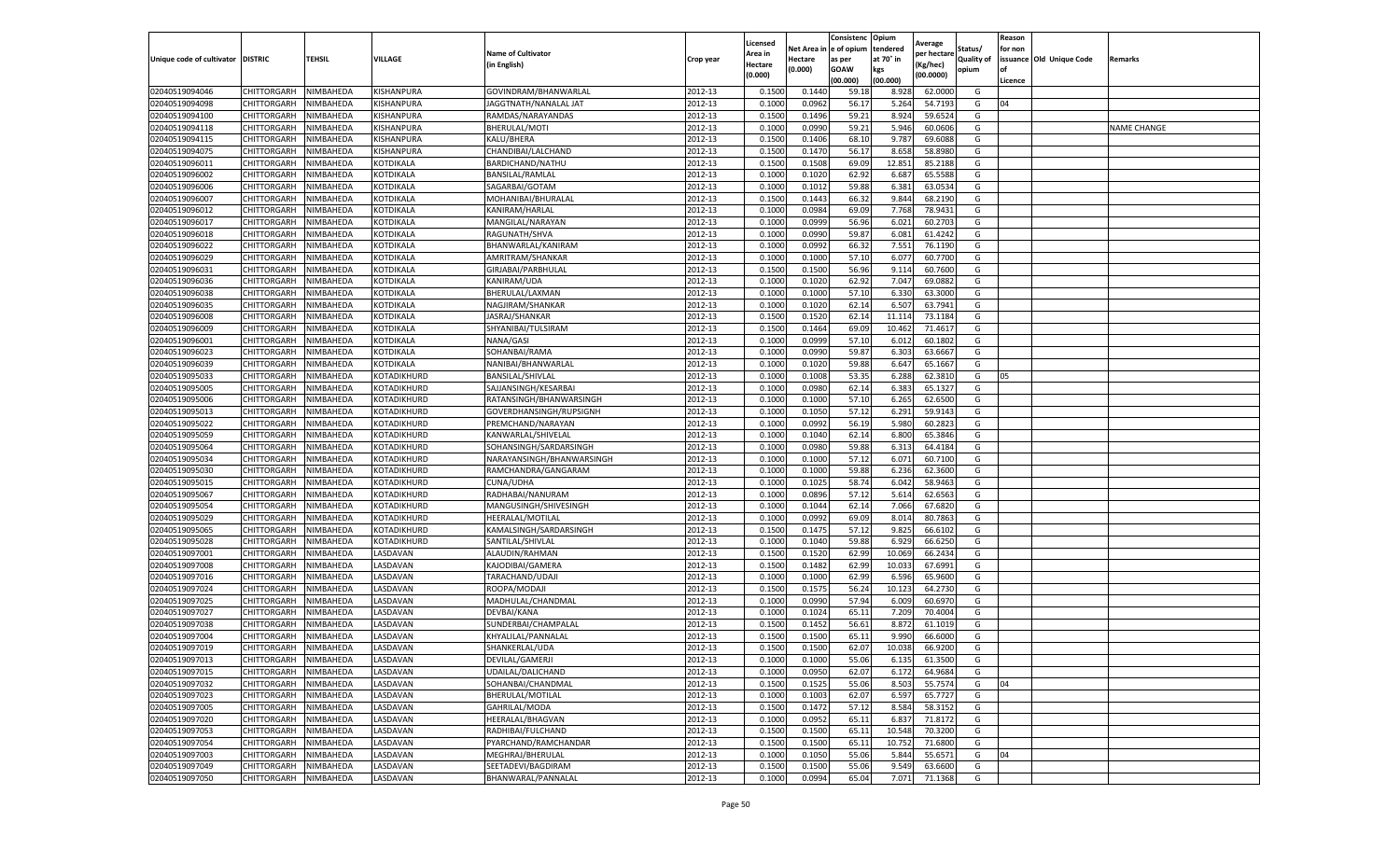|                           |                    |                  |                |                           |           | Licensed |         | Consistenc             | Opium     |                        |                   | Reason  |                          |                    |
|---------------------------|--------------------|------------------|----------------|---------------------------|-----------|----------|---------|------------------------|-----------|------------------------|-------------------|---------|--------------------------|--------------------|
|                           |                    |                  |                | <b>Name of Cultivator</b> |           | Area in  |         | Net Area in e of opium | tendered  | Average<br>per hectare | Status/           | for non |                          |                    |
| Unique code of cultivator | <b>DISTRIC</b>     | TEHSIL           | VILLAGE        | in English)               | Crop year | Hectare  | Hectare | as per                 | at 70° in | (Kg/hec                | <b>Quality of</b> |         | issuance Old Unique Code | <b>Remarks</b>     |
|                           |                    |                  |                |                           |           | (0.000)  | (0.000) | <b>GOAW</b>            | kgs       | (00.0000)              | opium             |         |                          |                    |
|                           |                    |                  |                |                           |           |          |         | (00.000)               | (00.000)  |                        |                   | Licence |                          |                    |
| 02040519094046            | CHITTORGARH        | NIMBAHEDA        | KISHANPURA     | GOVINDRAM/BHANWARLAL      | 2012-13   | 0.1500   | 0.1440  | 59.18                  | 8.928     | 62.0000                | G                 |         |                          |                    |
| 02040519094098            | CHITTORGARH        | NIMBAHEDA        | KISHANPURA     | JAGGTNATH/NANALAL JAT     | 2012-13   | 0.1000   | 0.0962  | 56.17                  | 5.264     | 54.7193                | G                 | 04      |                          |                    |
| 02040519094100            | CHITTORGARH        | NIMBAHEDA        | KISHANPURA     | RAMDAS/NARAYANDAS         | 2012-13   | 0.1500   | 0.1496  | 59.21                  | 8.924     | 59.6524                | G                 |         |                          |                    |
| 02040519094118            | CHITTORGARH        | NIMBAHEDA        | KISHANPURA     | BHERULAL/MOTI             | 2012-13   | 0.1000   | 0.0990  | 59.21                  | 5.946     | 60.0606                | G                 |         |                          | <b>NAME CHANGE</b> |
| 02040519094115            | CHITTORGARH        | NIMBAHEDA        | KISHANPURA     | KALU/BHERA                | 2012-13   | 0.1500   | 0.1406  | 68.10                  | 9.787     | 69.6088                | G                 |         |                          |                    |
| 02040519094075            | CHITTORGARH        | NIMBAHEDA        | KISHANPURA     | CHANDIBAI/LALCHAND        | 2012-13   | 0.1500   | 0.1470  | 56.17                  | 8.658     | 58.8980                | G                 |         |                          |                    |
| 02040519096011            | CHITTORGARH        | NIMBAHEDA        | KOTDIKALA      | BARDICHAND/NATHU          | 2012-13   | 0.1500   | 0.1508  | 69.09                  | 12.851    | 85.2188                | G                 |         |                          |                    |
| 02040519096002            | CHITTORGARH        | NIMBAHEDA        | KOTDIKALA      | <b>BANSILAL/RAMLAL</b>    | 2012-13   | 0.1000   | 0.1020  | 62.92                  | 6.687     | 65.5588                | G                 |         |                          |                    |
| 02040519096006            | CHITTORGARH        | NIMBAHEDA        | KOTDIKALA      | SAGARBAI/GOTAM            | 2012-13   | 0.1000   | 0.1012  | 59.88                  | 6.381     | 63.0534                | G                 |         |                          |                    |
| 02040519096007            | CHITTORGARH        | NIMBAHEDA        | KOTDIKALA      | MOHANIBAI/BHURALAL        | 2012-13   | 0.1500   | 0.1443  | 66.32                  | 9.844     | 68.2190                | G                 |         |                          |                    |
| 02040519096012            | CHITTORGARH        | NIMBAHEDA        | KOTDIKALA      | KANIRAM/HARLAL            | 2012-13   | 0.1000   | 0.0984  | 69.09                  | 7.768     | 78.9431                | G                 |         |                          |                    |
| 02040519096017            | CHITTORGARH        | NIMBAHEDA        | KOTDIKALA      | MANGILAL/NARAYAN          | 2012-13   | 0.1000   | 0.0999  | 56.96                  | 6.021     | 60.2703                | G                 |         |                          |                    |
| 02040519096018            | CHITTORGARH        | NIMBAHEDA        | KOTDIKALA      | RAGUNATH/SHVA             | 2012-13   | 0.1000   | 0.0990  | 59.87                  | 6.081     | 61.4242                | G                 |         |                          |                    |
| 02040519096022            | CHITTORGARH        | NIMBAHEDA        | KOTDIKALA      | BHANWARLAL/KANIRAM        | 2012-13   | 0.1000   | 0.0992  | 66.32                  | 7.551     | 76.1190                | G                 |         |                          |                    |
| 02040519096029            | CHITTORGARH        | NIMBAHEDA        | KOTDIKALA      | AMRITRAM/SHANKAR          | 2012-13   | 0.1000   | 0.1000  | 57.10                  | 6.07      | 60.7700                | G                 |         |                          |                    |
| 02040519096031            | CHITTORGARH        | NIMBAHEDA        | KOTDIKALA      | GIRJABAI/PARBHULAL        | 2012-13   | 0.1500   | 0.1500  | 56.96                  | 9.114     | 60.7600                | G                 |         |                          |                    |
| 02040519096036            | CHITTORGARH        | NIMBAHEDA        | KOTDIKALA      | KANIRAM/UDA               | 2012-13   | 0.1000   | 0.1020  | 62.92                  | 7.047     | 69.0882                | G                 |         |                          |                    |
| 02040519096038            | CHITTORGARH        | NIMBAHEDA        | KOTDIKALA      | BHERULAL/LAXMAN           | 2012-13   | 0.1000   | 0.1000  | 57.10                  | 6.330     | 63.3000                | G                 |         |                          |                    |
| 02040519096035            | CHITTORGARH        | NIMBAHEDA        | KOTDIKALA      | NAGJIRAM/SHANKAR          | 2012-13   | 0.1000   | 0.1020  | 62.14                  | 6.507     | 63.7941                | G                 |         |                          |                    |
| 02040519096008            | CHITTORGARH        | NIMBAHEDA        | KOTDIKALA      | JASRAJ/SHANKAR            | 2012-13   | 0.1500   | 0.1520  | 62.14                  | 11.114    | 73.1184                | G                 |         |                          |                    |
| 02040519096009            | CHITTORGARH        | NIMBAHEDA        | KOTDIKALA      | SHYANIBAI/TULSIRAM        | 2012-13   | 0.1500   | 0.1464  | 69.09                  | 10.462    | 71.4617                | G                 |         |                          |                    |
| 02040519096001            | CHITTORGARH        | NIMBAHEDA        | KOTDIKALA      | NANA/GASI                 | 2012-13   | 0.1000   | 0.0999  | 57.10                  | 6.012     | 60.1802                | G                 |         |                          |                    |
| 02040519096023            | CHITTORGARH        | NIMBAHEDA        | KOTDIKALA      | SOHANBAI/RAMA             | 2012-13   | 0.1000   | 0.0990  | 59.87                  | 6.303     | 63.6667                | G                 |         |                          |                    |
| 02040519096039            | CHITTORGARH        | NIMBAHEDA        | KOTDIKALA      | NANIBAI/BHANWARLAL        | 2012-13   | 0.1000   | 0.1020  | 59.88                  | 6.647     | 65.1667                | G                 |         |                          |                    |
| 02040519095033            | CHITTORGARH        | NIMBAHEDA        | KOTADIKHURD    | <b>BANSILAL/SHIVLAL</b>   | 2012-13   | 0.1000   | 0.1008  | 53.35                  | 6.288     | 62.3810                | G                 | 05      |                          |                    |
| 02040519095005            | CHITTORGARH        | NIMBAHEDA        | KOTADIKHURD    | SAJJANSINGH/KESARBAI      | 2012-13   | 0.1000   | 0.0980  | 62.14                  | 6.383     | 65.1327                | G                 |         |                          |                    |
| 02040519095006            | CHITTORGARH        | NIMBAHEDA        | KOTADIKHURD    | RATANSINGH/BHANWARSINGH   | 2012-13   | 0.1000   | 0.1000  | 57.10                  | 6.265     | 62.6500                | G                 |         |                          |                    |
| 02040519095013            | CHITTORGARH        | NIMBAHEDA        | KOTADIKHURD    | GOVERDHANSINGH/RUPSIGNH   | 2012-13   | 0.1000   | 0.1050  | 57.12                  | 6.291     | 59.9143                | G                 |         |                          |                    |
| 02040519095022            | CHITTORGARH        | NIMBAHEDA        | KOTADIKHURD    | PREMCHAND/NARAYAN         | 2012-13   | 0.1000   | 0.0992  | 56.19                  | 5.980     | 60.2823                | G                 |         |                          |                    |
| 02040519095059            | CHITTORGARH        | NIMBAHEDA        | KOTADIKHURD    | KANWARLAL/SHIVELAL        | 2012-13   | 0.1000   | 0.1040  | 62.14                  | 6.800     | 65.3846                | G                 |         |                          |                    |
| 02040519095064            | CHITTORGARH        | NIMBAHEDA        | KOTADIKHURD    | SOHANSINGH/SARDARSINGH    | 2012-13   | 0.1000   | 0.0980  | 59.88                  | 6.31      | 64.4184                | G                 |         |                          |                    |
| 02040519095034            | CHITTORGARH        | NIMBAHEDA        | KOTADIKHURD    | NARAYANSINGH/BHANWARSINGH | 2012-13   | 0.1000   | 0.1000  | 57.12                  | 6.071     | 60.7100                | G                 |         |                          |                    |
| 02040519095030            | CHITTORGARH        | NIMBAHEDA        | KOTADIKHURD    | RAMCHANDRA/GANGARAM       | 2012-13   | 0.1000   | 0.1000  | 59.88                  | 6.236     | 62.3600                | G                 |         |                          |                    |
| 02040519095015            | CHITTORGARH        | NIMBAHEDA        | KOTADIKHURD    | <b>CUNA/UDHA</b>          | 2012-13   | 0.1000   | 0.1025  | 58.74                  | 6.042     | 58.9463                | G                 |         |                          |                    |
| 02040519095067            | CHITTORGARH        | NIMBAHEDA        | KOTADIKHURD    | RADHABAI/NANURAM          | 2012-13   | 0.1000   | 0.0896  | 57.12                  | 5.614     | 62.6563                | G                 |         |                          |                    |
| 02040519095054            | CHITTORGARH        | NIMBAHEDA        | KOTADIKHURD    | MANGUSINGH/SHIVESINGH     | 2012-13   | 0.1000   | 0.1044  | 62.14                  | 7.066     | 67.6820                | G                 |         |                          |                    |
| 02040519095029            | CHITTORGARH        | NIMBAHEDA        | KOTADIKHURD    | HEERALAL/MOTILAL          | 2012-13   | 0.1000   | 0.0992  | 69.09                  | 8.014     | 80.7863                | G                 |         |                          |                    |
| 02040519095065            | CHITTORGARH        | NIMBAHEDA        | KOTADIKHURD    | KAMALSINGH/SARDARSINGH    | 2012-13   | 0.1500   | 0.1475  | 57.12                  | 9.825     | 66.6102                | G                 |         |                          |                    |
| 02040519095028            | CHITTORGARH        | NIMBAHEDA        | KOTADIKHURD    | SANTILAL/SHIVLAL          | 2012-13   | 0.1000   | 0.1040  | 59.88                  | 6.929     | 66.6250                | G                 |         |                          |                    |
| 02040519097001            | CHITTORGARH        | NIMBAHEDA        | LASDAVAN       | ALAUDIN/RAHMAN            | 2012-13   | 0.1500   | 0.1520  | 62.99                  | 10.069    | 66.2434                | G                 |         |                          |                    |
| 02040519097008            | CHITTORGARH        | NIMBAHEDA        | <b>ASDAVAN</b> | KAJODIBAI/GAMERA          | 2012-13   | 0.1500   | 0.1482  | 62.99                  | 10.03     | 67.6991                | G                 |         |                          |                    |
| 02040519097016            | CHITTORGARH        | NIMBAHEDA        | LASDAVAN       | TARACHAND/UDAJI           | 2012-13   | 0.1000   | 0.1000  | 62.99                  | 6.596     | 65.9600                | G                 |         |                          |                    |
| 02040519097024            | CHITTORGARH        | NIMBAHEDA        | LASDAVAN       | ROOPA/MODAJI              | 2012-13   | 0.1500   | 0.1575  | 56.24                  | 10.123    | 64.2730                | G                 |         |                          |                    |
| 02040519097025            | CHITTORGARH        | NIMBAHEDA        | <b>ASDAVAN</b> | MADHULAL/CHANDMAL         | 2012-13   | 0.1000   | 0.0990  | 57.94                  | 6.009     | 60.6970                | G                 |         |                          |                    |
| 02040519097027            | CHITTORGARH        | NIMBAHEDA        | LASDAVAN       | DEVBAI/KANA               | 2012-13   | 0.1000   | 0.1024  | 65.11                  | 7.209     | 70.4004                | G                 |         |                          |                    |
| 02040519097038            | CHITTORGARH        | NIMBAHEDA        | LASDAVAN       | SUNDERBAI/CHAMPALAL       | 2012-13   | 0.1500   | 0.1452  | 56.61                  | 8.87      | 61.1019                | G                 |         |                          |                    |
| 02040519097004            | CHITTORGARH        | NIMBAHEDA        | LASDAVAN       | KHYALILAL/PANNALAL        | 2012-13   | 0.1500   | 0.1500  | 65.11                  | 9.990     | 66.6000                | G                 |         |                          |                    |
| 02040519097019            | CHITTORGARH        | NIMBAHEDA        | LASDAVAN       | SHANKERLAL/UDA            | 2012-13   | 0.1500   | 0.1500  | 62.07                  | 10.038    | 66.9200                | G                 |         |                          |                    |
| 02040519097013            | CHITTORGARH        | <b>NIMBAHEDA</b> | LASDAVAN       | DEVILAL/GAMERJI           | 2012-13   | 0.1000   | 0.1000  | 55.06                  | 6.135     | 61.3500                | G                 |         |                          |                    |
| 02040519097015            | CHITTORGARH        | NIMBAHEDA        | LASDAVAN       | UDAILAL/DALICHAND         | 2012-13   | 0.1000   | 0.0950  | 62.07                  | 6.172     | 64.9684                | G                 |         |                          |                    |
| 02040519097032            | <b>CHITTORGARH</b> | NIMBAHEDA        | LASDAVAN       | SOHANBAI/CHANDMAL         | 2012-13   | 0.1500   | 0.1525  | 55.06                  | 8.503     | 55.7574                | G                 | 04      |                          |                    |
| 02040519097023            | CHITTORGARH        | NIMBAHEDA        | LASDAVAN       | BHERULAL/MOTILAL          | 2012-13   | 0.1000   | 0.1003  | 62.07                  | 6.597     | 65.7727                | G                 |         |                          |                    |
| 02040519097005            | <b>CHITTORGARH</b> | NIMBAHEDA        | LASDAVAN       | GAHRILAL/MODA             | 2012-13   | 0.1500   | 0.1472  | 57.12                  | 8.584     | 58.3152                | G                 |         |                          |                    |
| 02040519097020            | <b>CHITTORGARH</b> | NIMBAHEDA        | LASDAVAN       | HEERALAL/BHAGVAN          | 2012-13   | 0.1000   | 0.0952  | 65.11                  | 6.837     | 71.8172                | G                 |         |                          |                    |
| 02040519097053            | CHITTORGARH        | NIMBAHEDA        | LASDAVAN       | RADHIBAI/FULCHAND         | 2012-13   | 0.1500   | 0.1500  | 65.11                  | 10.548    | 70.3200                | G                 |         |                          |                    |
| 02040519097054            | <b>CHITTORGARH</b> | NIMBAHEDA        | LASDAVAN       | PYARCHAND/RAMCHANDAR      | 2012-13   | 0.1500   | 0.1500  | 65.11                  | 10.752    | 71.6800                | G                 |         |                          |                    |
| 02040519097003            | CHITTORGARH        | NIMBAHEDA        | LASDAVAN       | MEGHRAJ/BHERULAL          | 2012-13   | 0.1000   | 0.1050  | 55.06                  | 5.844     | 55.6571                | G                 | 04      |                          |                    |
| 02040519097049            | CHITTORGARH        | NIMBAHEDA        | LASDAVAN       | SEETADEVI/BAGDIRAM        | 2012-13   | 0.1500   | 0.1500  | 55.06                  | 9.549     | 63.6600                | G                 |         |                          |                    |
| 02040519097050            | <b>CHITTORGARH</b> | NIMBAHEDA        | LASDAVAN       | BHANWARAL/PANNALAL        | 2012-13   | 0.1000   | 0.0994  | 65.04                  | 7.071     | 71.1368                | G                 |         |                          |                    |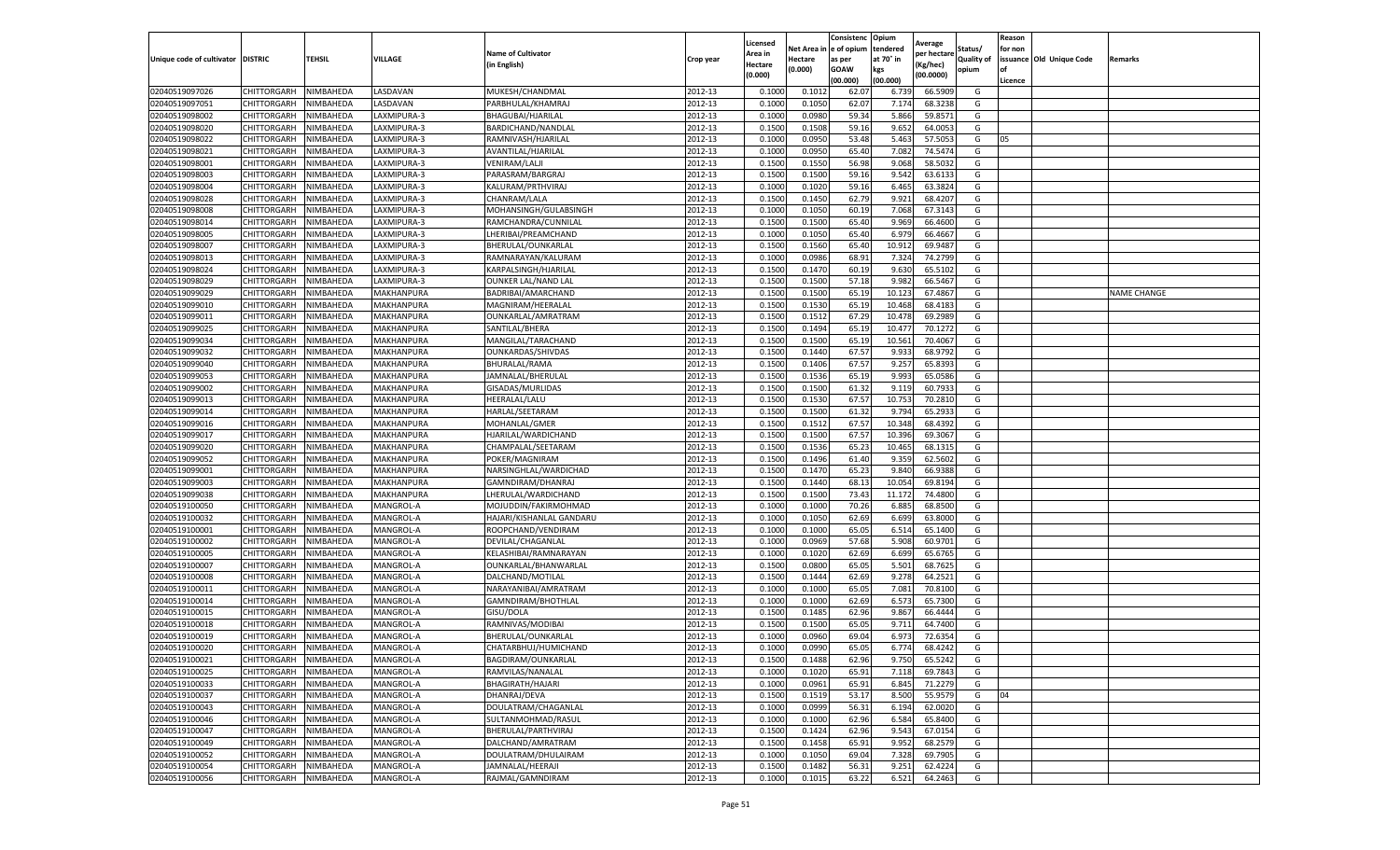|                                   |                            |                        |                  |                            |           | Licensed         |                  | Consistenc             | Opium          |                        |                   | Reason  |                          |                    |
|-----------------------------------|----------------------------|------------------------|------------------|----------------------------|-----------|------------------|------------------|------------------------|----------------|------------------------|-------------------|---------|--------------------------|--------------------|
|                                   |                            |                        |                  | <b>Name of Cultivator</b>  |           | Area in          |                  | Net Area in e of opium | tendered       | Average<br>per hectare | Status/           | for non |                          |                    |
| Unique code of cultivator DISTRIC |                            | TEHSIL                 | VILLAGE          | in English)                | Crop year | Hectare          | Hectare          | as per                 | at 70° in      | (Kg/hec                | <b>Quality of</b> |         | issuance Old Unique Code | <b>Remarks</b>     |
|                                   |                            |                        |                  |                            |           | (0.000)          | (0.000)          | <b>GOAW</b>            | kgs            | (00.0000)              | opium             |         |                          |                    |
|                                   |                            |                        |                  |                            |           |                  |                  | (00.000)               | (00.000)       |                        |                   | Licence |                          |                    |
| 02040519097026                    | CHITTORGARH                | NIMBAHEDA              | LASDAVAN         | MUKESH/CHANDMAL            | 2012-13   | 0.1000           | 0.1012           | 62.07                  | 6.739          | 66.5909                | G                 |         |                          |                    |
| 02040519097051                    | CHITTORGARH                | NIMBAHEDA              | LASDAVAN         | PARBHULAL/KHAMRAJ          | 2012-13   | 0.1000           | 0.1050           | 62.07                  | 7.174          | 68.3238                | G                 |         |                          |                    |
| 02040519098002                    | CHITTORGARH                | NIMBAHEDA              | LAXMIPURA-3      | BHAGUBAI/HJARILAI          | 2012-13   | 0.1000           | 0.0980           | 59.34                  | 5.866          | 59.8571                | G                 |         |                          |                    |
| 02040519098020                    | CHITTORGARH                | NIMBAHEDA              | LAXMIPURA-3      | BARDICHAND/NANDLAL         | 2012-13   | 0.1500           | 0.1508           | 59.16                  | 9.652          | 64.0053                | G                 |         |                          |                    |
| 02040519098022                    | CHITTORGARH                | NIMBAHEDA              | LAXMIPURA-3      | RAMNIVASH/HJARILAL         | 2012-13   | 0.1000           | 0.0950           | 53.48                  | 5.463          | 57.505                 | G                 | 05      |                          |                    |
| 02040519098021                    | CHITTORGARH                | NIMBAHEDA              | LAXMIPURA-3      | AVANTILAL/HJARILAL         | 2012-13   | 0.1000           | 0.0950           | 65.40                  | 7.082          | 74.5474                | G                 |         |                          |                    |
| 02040519098001                    | CHITTORGARH                | NIMBAHEDA              | LAXMIPURA-3      | VENIRAM/LALJI              | 2012-13   | 0.1500           | 0.1550           | 56.98                  | 9.068          | 58.5032                | G                 |         |                          |                    |
| 02040519098003                    | CHITTORGARH                | NIMBAHEDA              | LAXMIPURA-3      | PARASRAM/BARGRAJ           | 2012-13   | 0.1500           | 0.1500           | 59.16                  | 9.542          | 63.6133                | G                 |         |                          |                    |
| 02040519098004                    | CHITTORGARH                | NIMBAHEDA              | LAXMIPURA-3      | KALURAM/PRTHVIRAJ          | 2012-13   | 0.1000           | 0.1020           | 59.16                  | 6.465          | 63.3824                | G                 |         |                          |                    |
| 02040519098028                    | CHITTORGARH                | NIMBAHEDA              | LAXMIPURA-3      | CHANRAM/LALA               | 2012-13   | 0.1500           | 0.1450           | 62.79                  | 9.921          | 68.4207                | G                 |         |                          |                    |
| 02040519098008                    | CHITTORGARH                | NIMBAHEDA              | LAXMIPURA-3      | MOHANSINGH/GULABSINGH      | 2012-13   | 0.1000           | 0.1050           | 60.19                  | 7.068          | 67.3143                | G                 |         |                          |                    |
| 02040519098014                    | CHITTORGARH                | NIMBAHEDA              | LAXMIPURA-3      | RAMCHANDRA/CUNNILAL        | 2012-13   | 0.1500           | 0.1500           | 65.40                  | 9.969          | 66.4600                | G                 |         |                          |                    |
| 02040519098005                    | CHITTORGARH                | NIMBAHEDA              | LAXMIPURA-3      | LHERIBAI/PREAMCHAND        | 2012-13   | 0.1000           | 0.1050           | 65.40                  | 6.979          | 66.4667                | G                 |         |                          |                    |
| 02040519098007                    | CHITTORGARH                | NIMBAHEDA              | LAXMIPURA-3      | BHERULAL/OUNKARLAL         | 2012-13   | 0.1500           | 0.1560           | 65.40                  | 10.91          | 69.9487                | G                 |         |                          |                    |
| 02040519098013                    | CHITTORGARH                | NIMBAHEDA              | LAXMIPURA-3      | RAMNARAYAN/KALURAM         | 2012-13   | 0.1000           | 0.0986           | 68.91                  | 7.324          | 74.2799                | G                 |         |                          |                    |
| 02040519098024                    | CHITTORGARH                | NIMBAHEDA              | LAXMIPURA-3      | KARPALSINGH/HJARILAL       | 2012-13   | 0.1500           | 0.1470           | 60.19                  | 9.630          | 65.5102                | G                 |         |                          |                    |
| 02040519098029                    | CHITTORGARH                | NIMBAHEDA              | LAXMIPURA-3      | <b>OUNKER LAL/NAND LAL</b> | 2012-13   | 0.1500           | 0.1500           | 57.18                  | 9.982          | 66.5467                | G                 |         |                          |                    |
| 02040519099029                    | CHITTORGARH                | NIMBAHEDA              | MAKHANPURA       | BADRIBAI/AMARCHAND         | 2012-13   | 0.1500           | 0.1500           | 65.19                  | 10.12          | 67.4867                | G                 |         |                          | <b>NAME CHANGE</b> |
| 02040519099010                    | CHITTORGARH                | NIMBAHEDA              | MAKHANPURA       | MAGNIRAM/HEERALAL          | 2012-13   | 0.1500           | 0.1530           | 65.19                  | 10.46          | 68.418                 | G                 |         |                          |                    |
| 02040519099011                    | CHITTORGARH                | NIMBAHEDA              | MAKHANPURA       | OUNKARLAL/AMRATRAM         | 2012-13   | 0.1500           | 0.1512           | 67.29                  | 10.47          | 69.2989                | G                 |         |                          |                    |
| 02040519099025                    | CHITTORGARH                | NIMBAHEDA              | MAKHANPURA       | SANTILAL/BHERA             | 2012-13   | 0.1500           | 0.1494           | 65.19                  | 10.477         | 70.1272                | G                 |         |                          |                    |
| 02040519099034                    | CHITTORGARH                | NIMBAHEDA              | MAKHANPURA       | MANGILAL/TARACHAND         | 2012-13   | 0.1500           | 0.1500           | 65.19                  | 10.561         | 70.4067                | G                 |         |                          |                    |
| 02040519099032                    | CHITTORGARH                | NIMBAHEDA              | MAKHANPURA       | OUNKARDAS/SHIVDAS          | 2012-13   | 0.1500           | 0.1440           | 67.57                  | 9.933          | 68.9792                | G                 |         |                          |                    |
| 02040519099040                    | CHITTORGARH                | NIMBAHEDA              | MAKHANPURA       | BHURALAL/RAMA              | 2012-13   | 0.1500           | 0.1406           | 67.57                  | 9.257          | 65.8393                | G                 |         |                          |                    |
| 02040519099053                    | CHITTORGARH                | NIMBAHEDA              | MAKHANPURA       | JAMNALAL/BHERULAL          | 2012-13   | 0.1500           | 0.1536           | 65.19                  | 9.993          | 65.0586                | G                 |         |                          |                    |
| 02040519099002                    | CHITTORGARH                | NIMBAHEDA              | MAKHANPURA       | GISADAS/MURLIDAS           | 2012-13   | 0.1500           | 0.1500           | 61.32                  | 9.119          | 60.7933                | G                 |         |                          |                    |
| 02040519099013                    | CHITTORGARH                | NIMBAHEDA              | MAKHANPURA       | HEERALAL/LALU              | 2012-13   | 0.1500           | 0.1530           | 67.57                  | 10.75          | 70.2810                | G                 |         |                          |                    |
| 02040519099014                    | CHITTORGARH                | NIMBAHEDA              | MAKHANPURA       | HARLAL/SEETARAM            | 2012-13   | 0.1500           | 0.1500           | 61.32                  | 9.794          | 65.2933                | G                 |         |                          |                    |
| 02040519099016                    | CHITTORGARH                | NIMBAHEDA              | MAKHANPURA       | MOHANLAL/GMER              | 2012-13   | 0.1500           | 0.1512           | 67.57                  | 10.348         | 68.4392                | G                 |         |                          |                    |
| 02040519099017                    | CHITTORGARH                | NIMBAHEDA              | MAKHANPURA       | HJARILAL/WARDICHAND        | 2012-13   | 0.1500           | 0.1500           | 67.57                  | 10.396         | 69.3067                | G                 |         |                          |                    |
| 02040519099020                    | CHITTORGARH                | NIMBAHEDA              | MAKHANPURA       | CHAMPALAL/SEETARAM         | 2012-13   | 0.1500           | 0.1536           | 65.23                  | 10.46          | 68.1315                | G                 |         |                          |                    |
| 02040519099052                    | CHITTORGARH                | NIMBAHEDA              | MAKHANPURA       | POKER/MAGNIRAM             | 2012-13   | 0.1500           | 0.1496           | 61.40                  | 9.359          | 62.5602                | G                 |         |                          |                    |
| 02040519099001                    | CHITTORGARH                | NIMBAHEDA              | MAKHANPURA       | NARSINGHLAL/WARDICHAD      | 2012-13   | 0.1500           | 0.1470           | 65.23                  | 9.84           | 66.9388                | G                 |         |                          |                    |
| 02040519099003                    | CHITTORGARH                | NIMBAHEDA              | MAKHANPURA       | GAMNDIRAM/DHANRAJ          | 2012-13   | 0.1500           | 0.1440           | 68.13                  | 10.054         | 69.8194                | G                 |         |                          |                    |
| 02040519099038                    | CHITTORGARH                | NIMBAHEDA              | MAKHANPURA       | LHERULAL/WARDICHAND        | 2012-13   | 0.1500           | 0.1500           | 73.43                  | 11.172         | 74.4800                | G                 |         |                          |                    |
| 02040519100050                    | CHITTORGARH                | NIMBAHEDA              | MANGROL-A        | MOJUDDIN/FAKIRMOHMAD       | 2012-13   | 0.1000           | 0.1000           | 70.26                  | 6.885          | 68.8500                | G                 |         |                          |                    |
| 02040519100032                    | CHITTORGARH                | NIMBAHEDA              | MANGROL-A        | HAJARI/KISHANLAL GANDARU   | 2012-13   | 0.1000           | 0.1050           | 62.69                  | 6.699          | 63.8000                | G                 |         |                          |                    |
| 02040519100001                    | CHITTORGARH                | NIMBAHEDA              | <b>MANGROL-A</b> | ROOPCHAND/VENDIRAM         | 2012-13   | 0.1000           | 0.1000           | 65.05                  | 6.51           | 65.1400                | G                 |         |                          |                    |
| 02040519100002                    | CHITTORGARH                | NIMBAHEDA              | MANGROL-A        | DEVILAL/CHAGANLAL          | 2012-13   | 0.1000           | 0.0969           | 57.68                  | 5.908          | 60.9701                | G                 |         |                          |                    |
| 02040519100005                    | CHITTORGARH                | NIMBAHEDA              | MANGROL-A        | KELASHIBAI/RAMNARAYAN      | 2012-13   | 0.1000           | 0.1020           | 62.69                  | 6.699          | 65.6765                | G                 |         |                          |                    |
| 02040519100007                    | CHITTORGARH                | NIMBAHEDA              | MANGROL-A        | OUNKARLAL/BHANWARLAL       | 2012-13   | 0.1500           | 0.0800           | 65.05                  | 5.501          | 68.7625                | G                 |         |                          |                    |
| 02040519100008                    | CHITTORGARH                | NIMBAHEDA              | MANGROL-A        | DALCHAND/MOTILAL           | 2012-13   | 0.1500           | 0.1444           | 62.69                  | 9.278          | 64.2521                | G                 |         |                          |                    |
| 02040519100011                    | CHITTORGARH                | NIMBAHEDA              | MANGROL-A        | NARAYANIBAI/AMRATRAM       | 2012-13   | 0.1000           | 0.1000           | 65.05                  | 7.081          | 70.8100                | G                 |         |                          |                    |
| 02040519100014                    | CHITTORGARH                | NIMBAHEDA              | MANGROL-A        | GAMNDIRAM/BHOTHLAL         | 2012-13   | 0.1000           | 0.1000           | 62.69                  | 6.573          | 65.7300                | G                 |         |                          |                    |
| 02040519100015                    | CHITTORGARH                | NIMBAHEDA              | MANGROL-A        | GISU/DOLA                  | 2012-13   | 0.1500           | 0.1485           | 62.96                  | 9.867          | 66.4444                | G                 |         |                          |                    |
| 02040519100018                    | CHITTORGARH                | NIMBAHEDA              | MANGROL-A        | RAMNIVAS/MODIBAI           | 2012-13   | 0.1500           | 0.1500           | 65.05                  | 9.711          | 64.7400                | G                 |         |                          |                    |
| 02040519100019                    | CHITTORGARH                | NIMBAHEDA              | MANGROL-A        | BHERULAL/OUNKARLAL         | 2012-13   | 0.1000           | 0.0960           | 69.04                  | 6.973          | 72.6354                | G                 |         |                          |                    |
| 02040519100020                    | CHITTORGARH                | NIMBAHEDA              | MANGROL-A        | CHATARBHUJ/HUMICHAND       | 2012-13   | 0.1000           | 0.0990           | 65.05                  | 6.774          | 68.4242                | G                 |         |                          |                    |
|                                   |                            |                        |                  | BAGDIRAM/OUNKARLAL         | 2012-13   |                  |                  |                        |                |                        |                   |         |                          |                    |
| 02040519100021                    | CHITTORGARH<br>CHITTORGARH | NIMBAHEDA<br>NIMBAHEDA | MANGROL-A        | RAMVILAS/NANALAL           | 2012-13   | 0.1500<br>0.1000 | 0.1488<br>0.1020 | 62.96<br>65.91         | 9.750<br>7.118 | 65.5242<br>69.7843     | G<br>G            |         |                          |                    |
| 02040519100025                    | <b>CHITTORGARH</b>         |                        | MANGROL-A        |                            | 2012-13   |                  |                  |                        | 6.845          | 71.2279                | G                 |         |                          |                    |
| 02040519100033                    |                            | NIMBAHEDA              | MANGROL-A        | BHAGIRATH/HAJARI           |           | 0.1000           | 0.0961           | 65.91                  |                |                        |                   |         |                          |                    |
| 02040519100037                    | CHITTORGARH                | NIMBAHEDA              | MANGROL-A        | DHANRAJ/DEVA               | 2012-13   | 0.1500           | 0.1519           | 53.17                  | 8.500          | 55.9579                | G                 | 04      |                          |                    |
| 02040519100043                    | <b>CHITTORGARH</b>         | NIMBAHEDA              | MANGROL-A        | DOULATRAM/CHAGANLAL        | 2012-13   | 0.1000           | 0.0999           | 56.31                  | 6.194          | 62.0020                | G                 |         |                          |                    |
| 02040519100046                    | <b>CHITTORGARH</b>         | NIMBAHEDA              | MANGROL-A        | SULTANMOHMAD/RASUL         | 2012-13   | 0.1000           | 0.1000           | 62.96                  | 6.584          | 65.8400                | G                 |         |                          |                    |
| 02040519100047                    | CHITTORGARH                | NIMBAHEDA              | MANGROL-A        | BHERULAL/PARTHVIRAJ        | 2012-13   | 0.1500           | 0.1424           | 62.96                  | 9.543          | 67.0154                | G                 |         |                          |                    |
| 02040519100049                    | CHITTORGARH                | NIMBAHEDA              | MANGROL-A        | DALCHAND/AMRATRAM          | 2012-13   | 0.1500           | 0.1458           | 65.91                  | 9.952          | 68.2579                | G                 |         |                          |                    |
| 02040519100052                    | CHITTORGARH                | NIMBAHEDA              | MANGROL-A        | DOULATRAM/DHULAIRAM        | 2012-13   | 0.1000           | 0.1050           | 69.04                  | 7.328          | 69.7905                | G                 |         |                          |                    |
| 02040519100054                    | CHITTORGARH                | NIMBAHEDA              | MANGROL-A        | JAMNALAL/HEERAJI           | 2012-13   | 0.1500           | 0.1482           | 56.31                  | 9.251          | 62.4224                | G                 |         |                          |                    |
| 02040519100056                    | <b>CHITTORGARH</b>         | NIMBAHEDA              | MANGROL-A        | RAJMAL/GAMNDIRAM           | 2012-13   | 0.1000           | 0.1015           | 63.22                  | 6.521          | 64.2463                | G                 |         |                          |                    |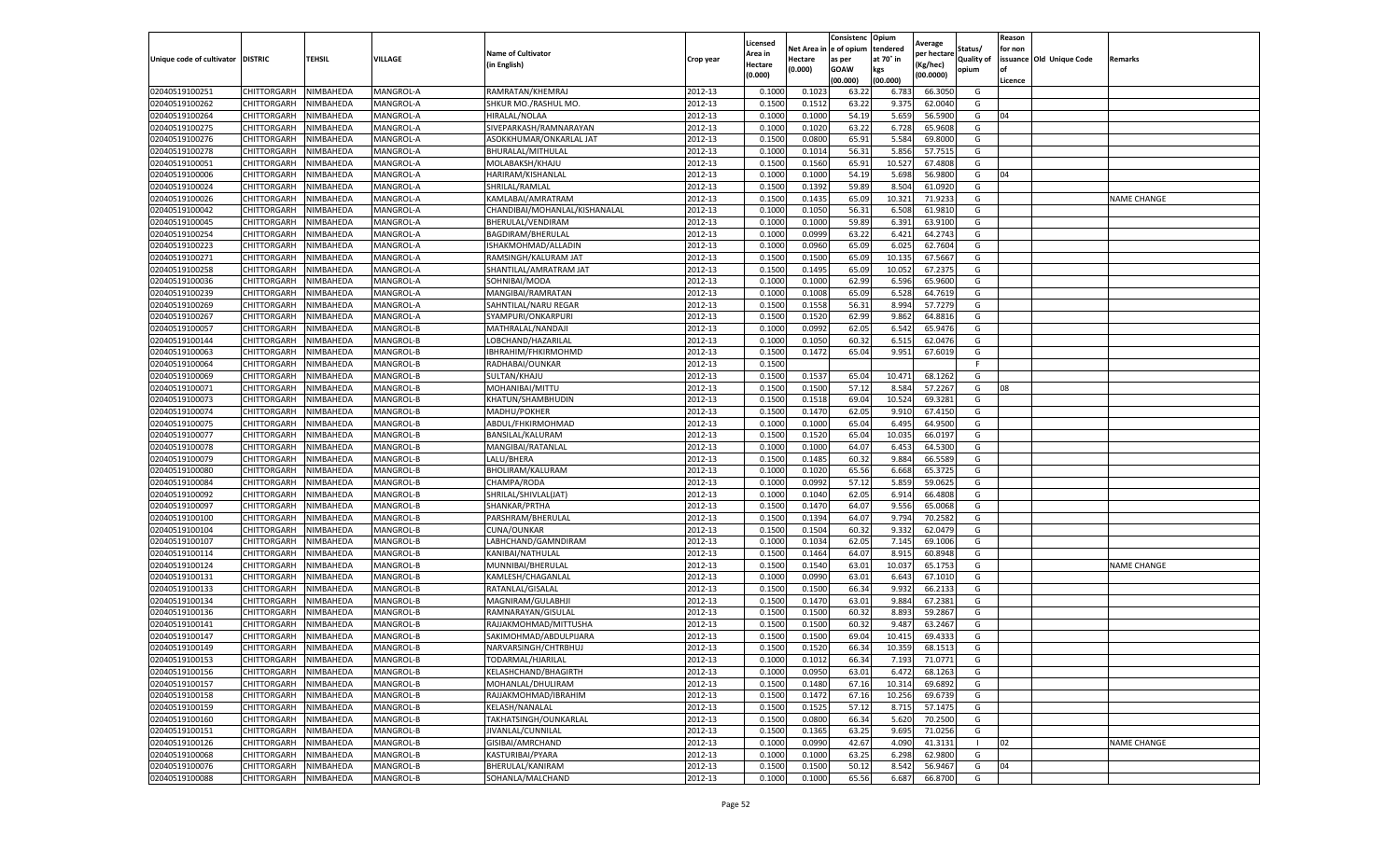|                                   |                    |           |                  |                               |           | Licensed |            | Consistenc   | Opium     | Average     |                   | Reason  |                          |                    |
|-----------------------------------|--------------------|-----------|------------------|-------------------------------|-----------|----------|------------|--------------|-----------|-------------|-------------------|---------|--------------------------|--------------------|
|                                   |                    |           |                  | <b>Name of Cultivator</b>     |           | Area in  | Net Area i | n e of opium | tendered  | per hectarı | Status/           | for non |                          |                    |
| Unique code of cultivator DISTRIC |                    | TEHSIL    | VILLAGE          | (in English)                  | Crop year | Hectare  | Hectare    | as per       | at 70° in | (Kg/hec)    | <b>Quality of</b> |         | issuance Old Unique Code | Remarks            |
|                                   |                    |           |                  |                               |           | (0.000)  | (0.000)    | <b>GOAW</b>  | kgs       | (00.0000)   | opium             | οf      |                          |                    |
|                                   |                    |           |                  |                               |           |          |            | (00.000)     | (00.000)  |             |                   | Licence |                          |                    |
| 02040519100251                    | CHITTORGARH        | NIMBAHEDA | MANGROL-A        | RAMRATAN/KHEMRAJ              | 2012-13   | 0.1000   | 0.102      | 63.22        | 6.783     | 66.3050     | G                 |         |                          |                    |
| 02040519100262                    | CHITTORGARH        | NIMBAHEDA | MANGROL-A        | SHKUR MO./RASHUL MO.          | 2012-13   | 0.1500   | 0.1512     | 63.22        | 9.375     | 62.0040     | G                 |         |                          |                    |
| 02040519100264                    | CHITTORGARH        | NIMBAHEDA | MANGROL-A        | HIRALAL/NOLAA                 | 2012-13   | 0.1000   | 0.1000     | 54.19        | 5.659     | 56.5900     | G                 | 04      |                          |                    |
| 02040519100275                    | CHITTORGARH        | NIMBAHEDA | MANGROL-A        | SIVEPARKASH/RAMNARAYAN        | 2012-13   | 0.1000   | 0.1020     | 63.22        | 6.728     | 65.9608     | G                 |         |                          |                    |
| 02040519100276                    | CHITTORGARH        | NIMBAHEDA | MANGROL-A        | ASOKKHUMAR/ONKARLAL JAT       | 2012-13   | 0.1500   | 0.0800     | 65.91        | 5.584     | 69.8000     | G                 |         |                          |                    |
| 02040519100278                    | CHITTORGARH        | NIMBAHEDA | MANGROL-A        | BHURALAL/MITHULAI             | 2012-13   | 0.1000   | 0.1014     | 56.31        | 5.856     | 57.751      | G                 |         |                          |                    |
| 02040519100051                    | CHITTORGARH        | NIMBAHEDA | MANGROL-A        | MOLABAKSH/KHAJU               | 2012-13   | 0.1500   | 0.1560     | 65.91        | 10.527    | 67.4808     | G                 |         |                          |                    |
| 02040519100006                    | CHITTORGARH        | NIMBAHEDA | MANGROL-A        | HARIRAM/KISHANLAL             | 2012-13   | 0.1000   | 0.1000     | 54.19        | 5.698     | 56.9800     | G                 | 04      |                          |                    |
| 02040519100024                    | CHITTORGARH        | NIMBAHEDA | MANGROL-A        | SHRILAL/RAMLAL                | 2012-13   | 0.1500   | 0.1392     | 59.89        | 8.504     | 61.0920     | G                 |         |                          |                    |
| 02040519100026                    | CHITTORGARH        | NIMBAHEDA | MANGROL-A        | KAMLABAI/AMRATRAM             | 2012-13   | 0.1500   | 0.1435     | 65.09        | 10.321    | 71.9233     | G                 |         |                          | <b>NAME CHANGE</b> |
| 02040519100042                    | CHITTORGARH        | NIMBAHEDA | MANGROL-A        | CHANDIBAI/MOHANLAL/KISHANALAL | 2012-13   | 0.1000   | 0.1050     | 56.31        | 6.508     | 61.9810     | G                 |         |                          |                    |
| 02040519100045                    | CHITTORGARH        | NIMBAHEDA | MANGROL-A        | BHERULAL/VENDIRAM             | 2012-13   | 0.1000   | 0.1000     | 59.89        | 6.391     | 63.9100     | G                 |         |                          |                    |
| 02040519100254                    | CHITTORGARH        | NIMBAHEDA | MANGROL-A        | BAGDIRAM/BHERULAL             | 2012-13   | 0.1000   | 0.0999     | 63.22        | 6.421     | 64.2743     | G                 |         |                          |                    |
| 02040519100223                    | CHITTORGARH        | NIMBAHEDA | MANGROL-A        | ISHAKMOHMAD/ALLADIN           | 2012-13   | 0.1000   | 0.0960     | 65.09        | 6.025     | 62.7604     | G                 |         |                          |                    |
| 02040519100271                    | CHITTORGARH        | NIMBAHEDA | MANGROL-A        | RAMSINGH/KALURAM JAT          | 2012-13   | 0.1500   | 0.1500     | 65.09        | 10.135    | 67.5667     | G                 |         |                          |                    |
| 02040519100258                    | CHITTORGARH        | NIMBAHEDA | MANGROL-A        | SHANTILAL/AMRATRAM JAT        | 2012-13   | 0.1500   | 0.1495     | 65.09        | 10.052    | 67.237      | G                 |         |                          |                    |
| 02040519100036                    | CHITTORGARH        | NIMBAHEDA | MANGROL-A        | SOHNIBAI/MODA                 | 2012-13   | 0.1000   | 0.1000     | 62.99        | 6.596     | 65.9600     | G                 |         |                          |                    |
| 02040519100239                    | CHITTORGARH        | NIMBAHEDA | MANGROL-A        | MANGIBAI/RAMRATAN             | 2012-13   | 0.1000   | 0.1008     | 65.09        | 6.528     | 64.7619     | G                 |         |                          |                    |
| 02040519100269                    | CHITTORGARH        | NIMBAHEDA | MANGROL-A        | SAHNTILAL/NARU REGAR          | 2012-13   | 0.1500   | 0.1558     | 56.31        | 8.994     | 57.7279     | G                 |         |                          |                    |
| 02040519100267                    | CHITTORGARH        | NIMBAHEDA | MANGROL-A        | SYAMPURI/ONKARPURI            | 2012-13   | 0.1500   | 0.1520     | 62.99        | 9.862     | 64.8816     | G                 |         |                          |                    |
| 02040519100057                    | CHITTORGARH        | NIMBAHEDA | MANGROL-B        | MATHRALAL/NANDAJI             | 2012-13   | 0.1000   | 0.0992     | 62.05        | 6.542     | 65.9476     | G                 |         |                          |                    |
| 02040519100144                    | CHITTORGARH        | NIMBAHEDA | MANGROL-B        | LOBCHAND/HAZARILAL            | 2012-13   | 0.1000   | 0.1050     | 60.32        | 6.515     | 62.0476     | G                 |         |                          |                    |
| 02040519100063                    | CHITTORGARH        | NIMBAHEDA | MANGROL-B        | IBHRAHIM/FHKIRMOHMD           | 2012-13   | 0.1500   | 0.1472     | 65.04        | 9.951     | 67.6019     | G                 |         |                          |                    |
| 02040519100064                    | CHITTORGARH        | NIMBAHEDA | MANGROL-B        | RADHABAI/OUNKAR               | 2012-13   | 0.1500   |            |              |           |             |                   |         |                          |                    |
| 02040519100069                    | CHITTORGARH        | NIMBAHEDA | MANGROL-B        | SULTAN/KHAJU                  | 2012-13   | 0.1500   | 0.1537     | 65.04        | 10.471    | 68.1262     | G                 |         |                          |                    |
| 02040519100071                    | CHITTORGARH        | NIMBAHEDA | MANGROL-B        | MOHANIBAI/MITTU               | 2012-13   | 0.1500   | 0.1500     | 57.12        | 8.584     | 57.2267     | G                 | 08      |                          |                    |
| 02040519100073                    | CHITTORGARH        | NIMBAHEDA | MANGROL-B        | KHATUN/SHAMBHUDIN             | 2012-13   | 0.1500   | 0.1518     | 69.04        | 10.524    | 69.3281     | G                 |         |                          |                    |
| 02040519100074                    | CHITTORGARH        | NIMBAHEDA | MANGROL-B        | MADHU/POKHER                  | 2012-13   | 0.1500   | 0.1470     | 62.05        | 9.910     | 67.4150     | G                 |         |                          |                    |
| 02040519100075                    | CHITTORGARH        | NIMBAHEDA | MANGROL-B        | ABDUL/FHKIRMOHMAD             | 2012-13   | 0.1000   | 0.1000     | 65.04        | 6.495     | 64.9500     | G                 |         |                          |                    |
| 02040519100077                    | CHITTORGARH        | NIMBAHEDA | MANGROL-B        | BANSILAL/KALURAM              | 2012-13   | 0.1500   | 0.1520     | 65.04        | 10.035    | 66.0197     | G                 |         |                          |                    |
| 02040519100078                    | CHITTORGARH        | NIMBAHEDA | MANGROL-B        | MANGIBAI/RATANLAL             | 2012-13   | 0.1000   | 0.1000     | 64.07        | 6.453     | 64.5300     | G                 |         |                          |                    |
| 02040519100079                    | CHITTORGARH        | NIMBAHEDA | MANGROL-B        | LALU/BHERA                    | 2012-13   | 0.1500   | 0.1485     | 60.32        | 9.884     | 66.5589     | G                 |         |                          |                    |
| 02040519100080                    | CHITTORGARH        | NIMBAHEDA | MANGROL-B        | BHOLIRAM/KALURAM              | 2012-13   | 0.1000   | 0.1020     | 65.56        | 6.668     | 65.3725     | G                 |         |                          |                    |
| 02040519100084                    | CHITTORGARH        | NIMBAHEDA | MANGROL-B        | CHAMPA/RODA                   | 2012-13   | 0.1000   | 0.0992     | 57.12        | 5.859     | 59.0625     | G                 |         |                          |                    |
| 02040519100092                    | CHITTORGARH        | NIMBAHEDA | MANGROL-B        | SHRILAL/SHIVLAL(JAT)          | 2012-13   | 0.1000   | 0.1040     | 62.05        | 6.914     | 66.4808     | G                 |         |                          |                    |
| 02040519100097                    | CHITTORGARH        | NIMBAHEDA | MANGROL-B        | SHANKAR/PRTHA                 | 2012-13   | 0.1500   | 0.1470     | 64.07        | 9.556     | 65.0068     | G                 |         |                          |                    |
| 02040519100100                    | CHITTORGARH        | NIMBAHEDA | MANGROL-B        | PARSHRAM/BHERULAL             | 2012-13   | 0.1500   | 0.1394     | 64.07        | 9.794     | 70.2582     | G                 |         |                          |                    |
| 02040519100104                    | CHITTORGARH        | NIMBAHEDA | MANGROL-B        | CUNA/OUNKAR                   | 2012-13   | 0.1500   | 0.1504     | 60.32        | 9.332     | 62.0479     | G                 |         |                          |                    |
| 02040519100107                    | CHITTORGARH        | NIMBAHEDA | MANGROL-B        | LABHCHAND/GAMNDIRAM           | 2012-13   | 0.1000   | 0.1034     | 62.05        | 7.145     | 69.1006     | G                 |         |                          |                    |
| 02040519100114                    | CHITTORGARH        | NIMBAHEDA | MANGROL-B        | KANIBAI/NATHULAL              | 2012-13   | 0.1500   | 0.1464     | 64.07        | 8.915     | 60.8948     | G                 |         |                          |                    |
| 02040519100124                    | CHITTORGARH        | NIMBAHEDA | MANGROL-B        | MUNNIBAI/BHERULAL             | 2012-13   | 0.1500   | 0.1540     | 63.01        | 10.037    | 65.1753     | G                 |         |                          | <b>NAME CHANGE</b> |
| 02040519100131                    | CHITTORGARH        | NIMBAHEDA | MANGROL-B        | KAMLESH/CHAGANLAL             | 2012-13   | 0.1000   | 0.0990     | 63.01        | 6.643     | 67.1010     | G                 |         |                          |                    |
| 02040519100133                    | CHITTORGARH        | NIMBAHEDA | MANGROL-B        | RATANLAL/GISALAL              | 2012-13   | 0.1500   | 0.1500     | 66.34        | 9.932     | 66.2133     | G                 |         |                          |                    |
| 02040519100134                    | CHITTORGARH        | NIMBAHEDA | MANGROL-B        | MAGNIRAM/GULABHJ              | 2012-13   | 0.1500   | 0.1470     | 63.01        | 9.884     | 67.2381     | G                 |         |                          |                    |
| 02040519100136                    | CHITTORGARH        | NIMBAHEDA | MANGROL-B        | RAMNARAYAN/GISULAL            | 2012-13   | 0.1500   | 0.1500     | 60.32        | 8.893     | 59.2867     | G                 |         |                          |                    |
| 02040519100141                    | CHITTORGARH        | NIMBAHEDA | MANGROL-B        | RAJJAKMOHMAD/MITTUSHA         | 2012-13   | 0.1500   | 0.1500     | 60.32        | 9.487     | 63.2467     | G                 |         |                          |                    |
| 02040519100147                    | CHITTORGARH        | NIMBAHEDA | MANGROL-B        | SAKIMOHMAD/ABDULPIJARA        | 2012-13   | 0.1500   | 0.1500     | 69.04        | 10.415    | 69.433      | G                 |         |                          |                    |
| 02040519100149                    | CHITTORGARH        | NIMBAHEDA | MANGROL-B        | NARVARSINGH/CHTRBHUJ          | 2012-13   | 0.1500   | 0.1520     | 66.34        | 10.359    | 68.1513     | G                 |         |                          |                    |
| 02040519100153                    | <b>CHITTORGARH</b> | NIMBAHEDA | <b>MANGROL-B</b> | TODARMAL/HJARILAL             | 2012-13   | 0.1000   | 0.1012     | 66.34        | 7.193     | 71.0771     | G                 |         |                          |                    |
| 02040519100156                    | CHITTORGARH        | NIMBAHEDA | MANGROL-B        | KELASHCHAND/BHAGIRTH          | 2012-13   | 0.1000   | 0.0950     | 63.01        | 6.472     | 68.1263     | G                 |         |                          |                    |
| 02040519100157                    | CHITTORGARH        | NIMBAHEDA | MANGROL-B        | MOHANLAL/DHULIRAM             | 2012-13   | 0.1500   | 0.1480     | 67.16        | 10.314    | 69.6892     | G                 |         |                          |                    |
| 02040519100158                    | CHITTORGARH        | NIMBAHEDA | MANGROL-B        | RAJJAKMOHMAD/IBRAHIM          | 2012-13   | 0.1500   | 0.1472     | 67.16        | 10.256    | 69.6739     | G                 |         |                          |                    |
| 02040519100159                    | <b>CHITTORGARH</b> | NIMBAHEDA | MANGROL-B        | KELASH/NANALAL                | 2012-13   | 0.1500   | 0.1525     | 57.12        | 8.715     | 57.1475     | G                 |         |                          |                    |
| 02040519100160                    | CHITTORGARH        | NIMBAHEDA | MANGROL-B        | TAKHATSINGH/OUNKARLAL         | 2012-13   | 0.1500   | 0.0800     | 66.34        | 5.620     | 70.2500     | G                 |         |                          |                    |
| 02040519100151                    | CHITTORGARH        | NIMBAHEDA | MANGROL-B        | JIVANLAL/CUNNILAL             | 2012-13   | 0.1500   | 0.1365     | 63.25        | 9.695     | 71.0256     | G                 |         |                          |                    |
| 02040519100126                    | CHITTORGARH        | NIMBAHEDA | MANGROL-B        | GISIBAI/AMRCHAND              | 2012-13   | 0.1000   | 0.0990     | 42.67        | 4.090     | 41.3131     |                   | 02      |                          | <b>NAME CHANGE</b> |
| 02040519100068                    | CHITTORGARH        | NIMBAHEDA | MANGROL-B        | KASTURIBAI/PYARA              | 2012-13   | 0.1000   | 0.1000     | 63.25        | 6.298     | 62.9800     | G                 |         |                          |                    |
| 02040519100076                    | CHITTORGARH        | NIMBAHEDA | MANGROL-B        | BHERULAL/KANIRAM              | 2012-13   | 0.1500   | 0.1500     | 50.12        | 8.542     | 56.9467     | G                 | 04      |                          |                    |
| 02040519100088                    | <b>CHITTORGARH</b> | NIMBAHEDA | MANGROL-B        | SOHANLA/MALCHAND              | 2012-13   | 0.1000   | 0.1000     | 65.56        | 6.687     | 66.8700     | G                 |         |                          |                    |
|                                   |                    |           |                  |                               |           |          |            |              |           |             |                   |         |                          |                    |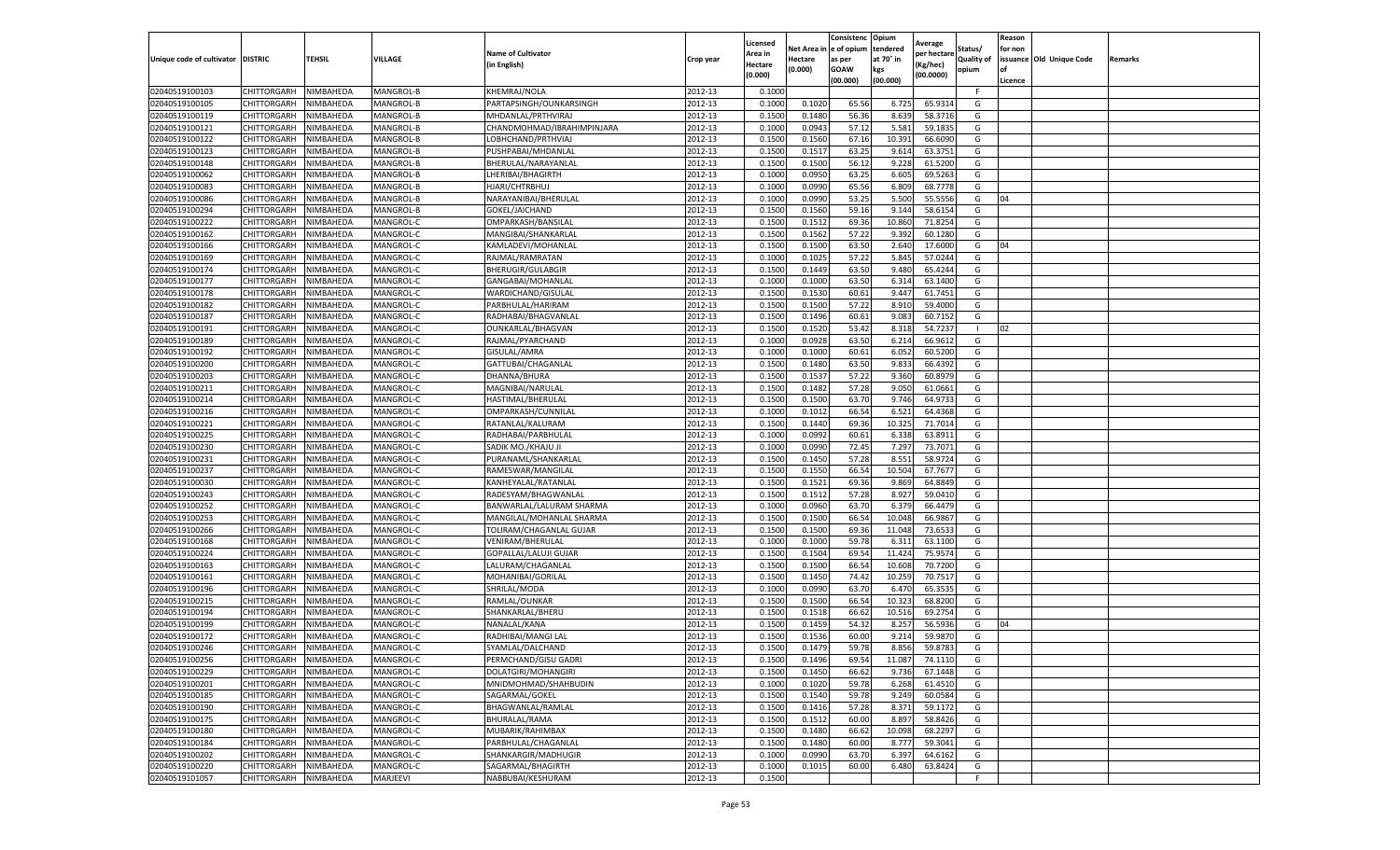|                                   |                    |           |                  |                            |           | Licensed |            | Consistenc     | Opium     |                        |                   | Reason  |                          |                |
|-----------------------------------|--------------------|-----------|------------------|----------------------------|-----------|----------|------------|----------------|-----------|------------------------|-------------------|---------|--------------------------|----------------|
|                                   |                    |           |                  | <b>Name of Cultivator</b>  |           | Area in  | Net Area i | in  e of opium | tendered  | Average<br>per hectare | Status/           | for non |                          |                |
| Unique code of cultivator DISTRIC |                    | TEHSIL    | VILLAGE          | in English)                | Crop year | Hectare  | Hectare    | as per         | at 70° in | (Kg/hec                | <b>Quality of</b> |         | issuance Old Unique Code | <b>Remarks</b> |
|                                   |                    |           |                  |                            |           | (0.000)  | (0.000)    | <b>GOAW</b>    | kgs       | (00.0000)              | opium             |         |                          |                |
|                                   |                    |           |                  |                            |           |          |            | (00.000)       | (00.000)  |                        |                   | Licence |                          |                |
| 02040519100103                    | CHITTORGARH        | NIMBAHEDA | MANGROL-B        | KHEMRAJ/NOLA               | 2012-13   | 0.1000   |            |                |           |                        | F.                |         |                          |                |
| 02040519100105                    | CHITTORGARH        | NIMBAHEDA | MANGROL-B        | PARTAPSINGH/OUNKARSINGH    | 2012-13   | 0.1000   | 0.1020     | 65.56          | 6.725     | 65.9314                | G                 |         |                          |                |
| 02040519100119                    | CHITTORGARH        | NIMBAHEDA | MANGROL-B        | MHDANLAL/PRTHVIRAJ         | 2012-13   | 0.1500   | 0.1480     | 56.36          | 8.639     | 58.3716                | G                 |         |                          |                |
| 02040519100121                    | CHITTORGARH        | NIMBAHEDA | MANGROL-B        | CHANDMOHMAD/IBRAHIMPINJARA | 2012-13   | 0.1000   | 0.0943     | 57.12          | 5.581     | 59.1835                | G                 |         |                          |                |
| 02040519100122                    | CHITTORGARH        | NIMBAHEDA | MANGROL-B        | LOBHCHAND/PRTHVIAJ         | 2012-13   | 0.1500   | 0.1560     | 67.16          | 10.391    | 66.6090                | G                 |         |                          |                |
| 02040519100123                    | CHITTORGARH        | NIMBAHEDA | MANGROL-B        | PUSHPABAI/MHDANLAL         | 2012-13   | 0.1500   | 0.1517     | 63.25          | 9.614     | 63.3751                | G                 |         |                          |                |
| 02040519100148                    | CHITTORGARH        | NIMBAHEDA | MANGROL-B        | BHERULAL/NARAYANLAL        | 2012-13   | 0.1500   | 0.1500     | 56.12          | 9.228     | 61.5200                | G                 |         |                          |                |
| 02040519100062                    | CHITTORGARH        | NIMBAHEDA | MANGROL-B        | LHERIBAI/BHAGIRTH          | 2012-13   | 0.1000   | 0.0950     | 63.25          | 6.605     | 69.5263                | G                 |         |                          |                |
| 02040519100083                    | CHITTORGARH        | NIMBAHEDA | MANGROL-B        | HJARI/CHTRBHUJ             | 2012-13   | 0.1000   | 0.0990     | 65.56          | 6.809     | 68.7778                | G                 |         |                          |                |
| 02040519100086                    | CHITTORGARH        | NIMBAHEDA | MANGROL-B        | NARAYANIBAI/BHERULAL       | 2012-13   | 0.1000   | 0.0990     | 53.25          | 5.500     | 55.5556                | G                 | 04      |                          |                |
| 02040519100294                    | CHITTORGARH        | NIMBAHEDA | MANGROL-B        | GOKEL/JAICHAND             | 2012-13   | 0.1500   | 0.1560     | 59.16          | 9.144     | 58.6154                | G                 |         |                          |                |
| 02040519100222                    | CHITTORGARH        | NIMBAHEDA | MANGROL-C        | OMPARKASH/BANSILAL         | 2012-13   | 0.1500   | 0.1512     | 69.36          | 10.86     | 71.8254                | G                 |         |                          |                |
| 02040519100162                    | CHITTORGARH        | NIMBAHEDA | MANGROL-C        | MANGIBAI/SHANKARLAL        | 2012-13   | 0.1500   | 0.1562     | 57.22          | 9.392     | 60.1280                | G                 |         |                          |                |
| 02040519100166                    | CHITTORGARH        | NIMBAHEDA | MANGROL-C        | KAMLADEVI/MOHANLAL         | 2012-13   | 0.1500   | 0.1500     | 63.50          | 2.640     | 17.6000                | G                 | 04      |                          |                |
| 02040519100169                    | CHITTORGARH        | NIMBAHEDA | MANGROL-C        | RAJMAL/RAMRATAN            | 2012-13   | 0.1000   | 0.1025     | 57.22          | 5.845     | 57.0244                | G                 |         |                          |                |
| 02040519100174                    | CHITTORGARH        | NIMBAHEDA | MANGROL-C        | BHERUGIR/GULABGIR          | 2012-13   | 0.1500   | 0.1449     | 63.50          | 9.480     | 65.4244                | G                 |         |                          |                |
| 02040519100177                    | CHITTORGARH        | NIMBAHEDA | MANGROL-C        | GANGABAI/MOHANLAL          | 2012-13   | 0.1000   | 0.1000     | 63.50          | 6.314     | 63.1400                | G                 |         |                          |                |
| 02040519100178                    | CHITTORGARH        | NIMBAHEDA | MANGROL-C        | WARDICHAND/GISULAL         | 2012-13   | 0.1500   | 0.1530     | 60.61          | 9.447     | 61.7451                | G                 |         |                          |                |
| 02040519100182                    | CHITTORGARH        | NIMBAHEDA | MANGROL-C        | PARBHULAL/HARIRAM          | 2012-13   | 0.1500   | 0.1500     | 57.22          | 8.91      | 59.4000                | G                 |         |                          |                |
| 02040519100187                    | CHITTORGARH        | NIMBAHEDA | MANGROL-C        | RADHABAI/BHAGVANLAI        | 2012-13   | 0.1500   | 0.1496     | 60.61          | 9.083     | 60.7152                | G                 |         |                          |                |
| 02040519100191                    | CHITTORGARH        | NIMBAHEDA | MANGROL-C        | OUNKARLAL/BHAGVAN          | 2012-13   | 0.1500   | 0.1520     | 53.42          | 8.318     | 54.7237                | $\mathbf{L}$      | 02      |                          |                |
| 02040519100189                    | CHITTORGARH        | NIMBAHEDA | MANGROL-C        | RAJMAL/PYARCHAND           | 2012-13   | 0.1000   | 0.0928     | 63.50          | 6.214     | 66.9612                | G                 |         |                          |                |
| 02040519100192                    | CHITTORGARH        | NIMBAHEDA | MANGROL-C        | GISULAL/AMRA               | 2012-13   | 0.1000   | 0.1000     | 60.61          | 6.052     | 60.5200                | G                 |         |                          |                |
| 02040519100200                    | CHITTORGARH        | NIMBAHEDA | MANGROL-C        | GATTUBAI/CHAGANLAL         | 2012-13   | 0.1500   | 0.1480     | 63.50          | 9.83      | 66.4392                | G                 |         |                          |                |
| 02040519100203                    | CHITTORGARH        | NIMBAHEDA | MANGROL-C        | DHANNA/BHURA               | 2012-13   | 0.1500   | 0.1537     | 57.22          | 9.360     | 60.8979                | G                 |         |                          |                |
| 02040519100211                    | CHITTORGARH        | NIMBAHEDA | MANGROL-C        | MAGNIBAI/NARULAL           | 2012-13   | 0.1500   | 0.1482     | 57.28          | 9.050     | 61.0661                | G                 |         |                          |                |
| 02040519100214                    | CHITTORGARH        | NIMBAHEDA | MANGROL-C        | HASTIMAL/BHERULAL          | 2012-13   | 0.1500   | 0.1500     | 63.70          | 9.746     | 64.9733                | G                 |         |                          |                |
| 02040519100216                    | CHITTORGARH        | NIMBAHEDA | MANGROL-C        | OMPARKASH/CUNNILAL         | 2012-13   | 0.1000   | 0.1012     | 66.54          | 6.521     | 64.4368                | G                 |         |                          |                |
| 02040519100221                    | CHITTORGARH        | NIMBAHEDA | MANGROL-C        | RATANLAL/KALURAM           | 2012-13   | 0.1500   | 0.1440     | 69.36          | 10.325    | 71.7014                | G                 |         |                          |                |
| 02040519100225                    | CHITTORGARH        | NIMBAHEDA | MANGROL-C        | RADHABAI/PARBHULAL         | 2012-13   | 0.1000   | 0.0992     | 60.61          | 6.338     | 63.8911                | G                 |         |                          |                |
| 02040519100230                    | CHITTORGARH        | NIMBAHEDA | MANGROL-C        | SADIK MO./KHAJU JI         | 2012-13   | 0.1000   | 0.0990     | 72.45          | 7.297     | 73.7071                | G                 |         |                          |                |
| 02040519100231                    | CHITTORGARH        | NIMBAHEDA | MANGROL-C        | PURANAML/SHANKARLAI        | 2012-13   | 0.1500   | 0.1450     | 57.28          | 8.551     | 58.9724                | G                 |         |                          |                |
| 02040519100237                    |                    | NIMBAHEDA | MANGROL-C        | RAMESWAR/MANGILAL          | 2012-13   | 0.1500   | 0.1550     | 66.54          | 10.504    | 67.7677                |                   |         |                          |                |
|                                   | CHITTORGARH        |           |                  |                            |           |          |            |                |           |                        | G                 |         |                          |                |
| 02040519100030                    | CHITTORGARH        | NIMBAHEDA | MANGROL-C        | KANHEYALAL/RATANLAL        | 2012-13   | 0.1500   | 0.1521     | 69.36          | 9.869     | 64.8849                | G                 |         |                          |                |
| 02040519100243                    | CHITTORGARH        | NIMBAHEDA | MANGROL-C        | RADESYAM/BHAGWANLAL        | 2012-13   | 0.1500   | 0.1512     | 57.28          | 8.927     | 59.0410                | G                 |         |                          |                |
| 02040519100252                    | CHITTORGARH        | NIMBAHEDA | MANGROL-C        | BANWARLAL/LALURAM SHARMA   | 2012-13   | 0.1000   | 0.0960     | 63.70          | 6.379     | 66.4479                | G                 |         |                          |                |
| 02040519100253                    | CHITTORGARH        | NIMBAHEDA | MANGROL-C        | MANGILAL/MOHANLAL SHARMA   | 2012-13   | 0.1500   | 0.1500     | 66.54          | 10.048    | 66.9867                | G                 |         |                          |                |
| 02040519100266                    | CHITTORGARH        | NIMBAHEDA | <b>MANGROL-C</b> | TOLIRAM/CHAGANLAL GUJAR    | 2012-13   | 0.1500   | 0.1500     | 69.36          | 11.04     | 73.6533                | G                 |         |                          |                |
| 02040519100168                    | CHITTORGARH        | NIMBAHEDA | MANGROL-C        | VENIRAM/BHERULAL           | 2012-13   | 0.1000   | 0.1000     | 59.78          | 6.31      | 63.1100                | G                 |         |                          |                |
| 02040519100224                    | CHITTORGARH        | NIMBAHEDA | MANGROL-C        | GOPALLAL/LALUJI GUJAR      | 2012-13   | 0.1500   | 0.1504     | 69.54          | 11.424    | 75.9574                | G                 |         |                          |                |
| 02040519100163                    | CHITTORGARH        | NIMBAHEDA | MANGROL-C        | LALURAM/CHAGANLAL          | 2012-13   | 0.1500   | 0.1500     | 66.54          | 10.608    | 70.7200                | G                 |         |                          |                |
| 02040519100161                    | CHITTORGARH        | NIMBAHEDA | MANGROL-C        | MOHANIBAI/GORILAL          | 2012-13   | 0.1500   | 0.1450     | 74.42          | 10.259    | 70.7517                | G                 |         |                          |                |
| 02040519100196                    | CHITTORGARH        | NIMBAHEDA | MANGROL-C        | SHRILAL/MODA               | 2012-13   | 0.1000   | 0.0990     | 63.70          | 6.47      | 65.3535                | G                 |         |                          |                |
| 02040519100215                    | CHITTORGARH        | NIMBAHEDA | MANGROL-C        | RAMLAL/OUNKAR              | 2012-13   | 0.1500   | 0.1500     | 66.54          | 10.323    | 68.8200                | G                 |         |                          |                |
| 02040519100194                    | CHITTORGARH        | NIMBAHEDA | MANGROL-C        | SHANKARLAL/BHERU           | 2012-13   | 0.1500   | 0.1518     | 66.62          | 10.516    | 69.2754                | G                 |         |                          |                |
| 02040519100199                    | CHITTORGARH        | NIMBAHEDA | MANGROL-C        | NANALAL/KANA               | 2012-13   | 0.1500   | 0.1459     | 54.32          | 8.257     | 56.5936                | G                 | 04      |                          |                |
| 02040519100172                    | CHITTORGARH        | NIMBAHEDA | MANGROL-C        | RADHIBAI/MANGI LAL         | 2012-13   | 0.1500   | 0.1536     | 60.00          | 9.214     | 59.9870                | G                 |         |                          |                |
| 02040519100246                    | CHITTORGARH        | NIMBAHEDA | MANGROL-C        | SYAMLAL/DALCHAND           | 2012-13   | 0.1500   | 0.1479     | 59.78          | 8.856     | 59.8783                | G                 |         |                          |                |
| 02040519100256                    | CHITTORGARH        | NIMBAHEDA | MANGROL-C        | PERMCHAND/GISU GADRI       | 2012-13   | 0.1500   | 0.1496     | 69.54          | 11.087    | 74.1110                | G                 |         |                          |                |
| 02040519100229                    | CHITTORGARH        | NIMBAHEDA | MANGROL-C        | DOLATGIRI/MOHANGIRI        | 2012-13   | 0.1500   | 0.1450     | 66.62          | 9.736     | 67.1448                | G                 |         |                          |                |
| 02040519100201                    | <b>CHITTORGARH</b> | NIMBAHEDA | MANGROL-C        | MNIDMOHMAD/SHAHBUDIN       | 2012-13   | 0.1000   | 0.1020     | 59.78          | 6.268     | 61.4510                | G                 |         |                          |                |
| 02040519100185                    | CHITTORGARH        | NIMBAHEDA | MANGROL-C        | SAGARMAL/GOKEL             | 2012-13   | 0.1500   | 0.1540     | 59.78          | 9.249     | 60.0584                | G                 |         |                          |                |
| 02040519100190                    | CHITTORGARH        | NIMBAHEDA | MANGROL-C        | BHAGWANLAL/RAMLAL          | 2012-13   | 0.1500   | 0.1416     | 57.28          | 8.371     | 59.1172                | G                 |         |                          |                |
| 02040519100175                    | <b>CHITTORGARH</b> | NIMBAHEDA | MANGROL-C        | BHURALAL/RAMA              | 2012-13   | 0.1500   | 0.1512     | 60.00          | 8.897     | 58.8426                | G                 |         |                          |                |
| 02040519100180                    | CHITTORGARH        | NIMBAHEDA | MANGROL-C        | MUBARIK/RAHIMBAX           | 2012-13   | 0.1500   | 0.1480     | 66.62          | 10.098    | 68.2297                | G                 |         |                          |                |
| 02040519100184                    | CHITTORGARH        | NIMBAHEDA | MANGROL-C        | PARBHULAL/CHAGANLAL        | 2012-13   | 0.1500   | 0.1480     | 60.00          | 8.777     | 59.3041                | G                 |         |                          |                |
| 02040519100202                    | CHITTORGARH        | NIMBAHEDA | MANGROL-C        | SHANKARGIR/MADHUGIR        | 2012-13   | 0.1000   | 0.0990     | 63.70          | 6.397     | 64.6162                | G                 |         |                          |                |
| 02040519100220                    | CHITTORGARH        | NIMBAHEDA | MANGROL-C        | SAGARMAL/BHAGIRTH          | 2012-13   | 0.1000   | 0.1015     | 60.00          | 6.480     | 63.8424                | G                 |         |                          |                |
| 02040519101057                    | <b>CHITTORGARH</b> | NIMBAHEDA | MARJEEVI         | NABBUBAI/KESHURAM          | 2012-13   | 0.1500   |            |                |           |                        | F                 |         |                          |                |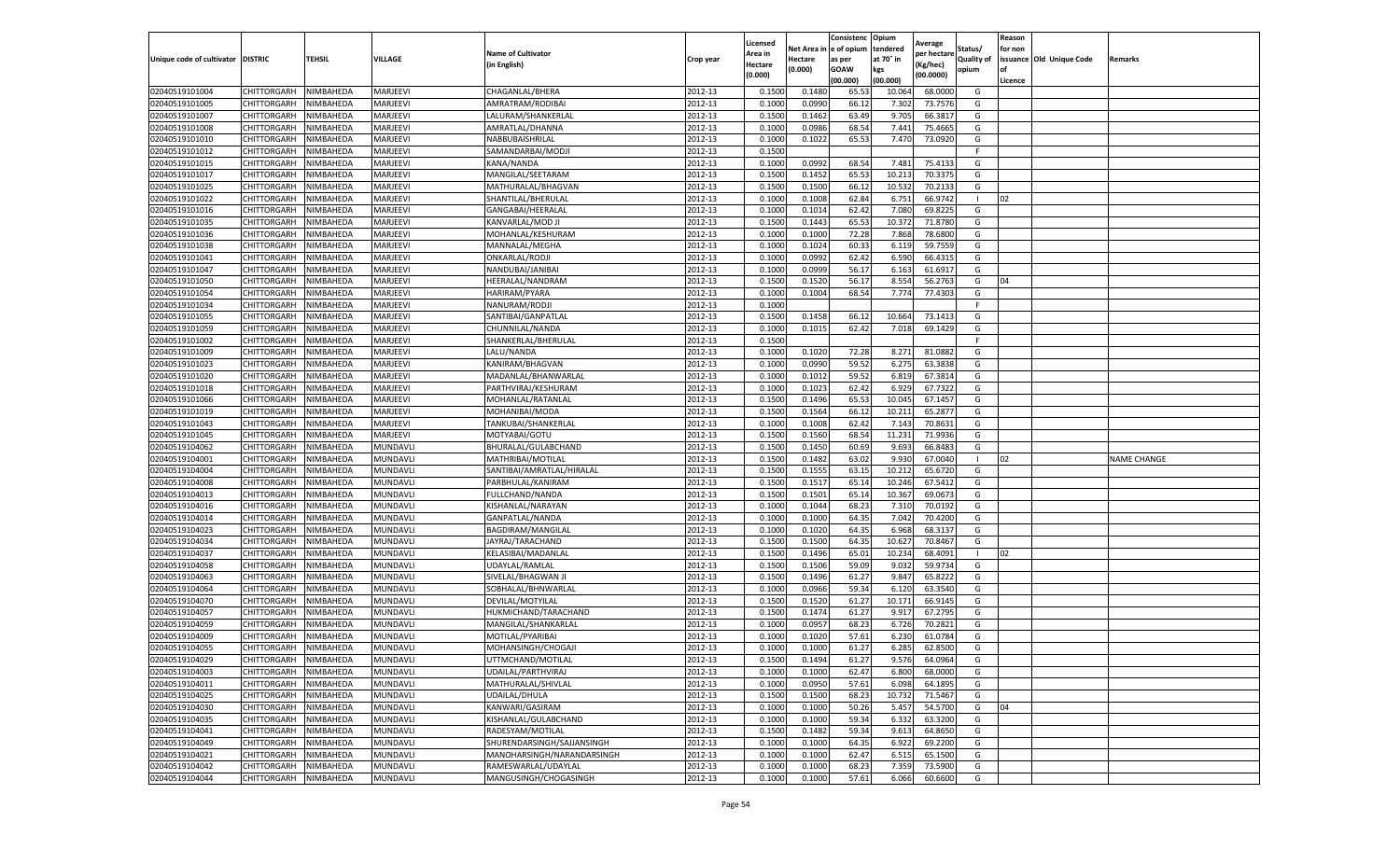|                                   |                    |           |                 |                            |           | Licensed |         | Consistenc             | Opium     |                        |                   | Reason  |                          |                    |
|-----------------------------------|--------------------|-----------|-----------------|----------------------------|-----------|----------|---------|------------------------|-----------|------------------------|-------------------|---------|--------------------------|--------------------|
|                                   |                    |           |                 | <b>Name of Cultivator</b>  |           | Area in  |         | Net Area in e of opium | tendered  | Average<br>per hectare | Status/           | for non |                          |                    |
| Unique code of cultivator DISTRIC |                    | TEHSIL    | VILLAGE         | in English)                | Crop year | Hectare  | Hectare | as per                 | at 70° in | (Kg/hec                | <b>Quality of</b> |         | issuance Old Unique Code | <b>Remarks</b>     |
|                                   |                    |           |                 |                            |           | (0.000)  | (0.000) | <b>GOAW</b>            | kgs       | (00.0000)              | opium             |         |                          |                    |
|                                   |                    |           |                 |                            |           |          |         | (00.000)               | (00.000)  |                        |                   | Licence |                          |                    |
| 02040519101004                    | CHITTORGARH        | NIMBAHEDA | MARJEEVI        | CHAGANLAL/BHERA            | 2012-13   | 0.1500   | 0.1480  | 65.53                  | 10.064    | 68.0000                | G                 |         |                          |                    |
| 02040519101005                    | CHITTORGARH        | NIMBAHEDA | MARJEEVI        | AMRATRAM/RODIBAI           | 2012-13   | 0.1000   | 0.0990  | 66.12                  | 7.302     | 73.7576                | G                 |         |                          |                    |
| 02040519101007                    | CHITTORGARH        | NIMBAHEDA | MARJEEVI        | LALURAM/SHANKERLAL         | 2012-13   | 0.1500   | 0.1462  | 63.49                  | 9.705     | 66.3817                | G                 |         |                          |                    |
| 02040519101008                    | CHITTORGARH        | NIMBAHEDA | MARJEEVI        | AMRATLAL/DHANNA            | 2012-13   | 0.1000   | 0.0986  | 68.54                  | 7.441     | 75.4665                | G                 |         |                          |                    |
| 02040519101010                    | CHITTORGARH        | NIMBAHEDA | MARJEEVI        | NABBUBAISHRILAL            | 2012-13   | 0.1000   | 0.1022  | 65.53                  | 7.470     | 73.0920                | G                 |         |                          |                    |
| 02040519101012                    | CHITTORGARH        | NIMBAHEDA | MARJEEVI        | SAMANDARBAI/MODJ           | 2012-13   | 0.1500   |         |                        |           |                        | F                 |         |                          |                    |
| 02040519101015                    | CHITTORGARH        | NIMBAHEDA | MARJEEVI        | KANA/NANDA                 | 2012-13   | 0.1000   | 0.0992  | 68.54                  | 7.481     | 75.413                 | G                 |         |                          |                    |
| 02040519101017                    | CHITTORGARH        | NIMBAHEDA | MARJEEVI        | MANGILAL/SEETARAM          | 2012-13   | 0.1500   | 0.1452  | 65.53                  | 10.21     | 70.3375                | G                 |         |                          |                    |
| 02040519101025                    | CHITTORGARH        | NIMBAHEDA | MARJEEVI        | MATHURALAL/BHAGVAN         | 2012-13   | 0.1500   | 0.1500  | 66.12                  | 10.532    | 70.2133                | G                 |         |                          |                    |
| 02040519101022                    | CHITTORGARH        | NIMBAHEDA | MARJEEVI        | SHANTILAL/BHERULAL         | 2012-13   | 0.1000   | 0.1008  | 62.84                  | 6.751     | 66.9742                | $\mathbf{I}$      | 02      |                          |                    |
| 02040519101016                    | CHITTORGARH        | NIMBAHEDA | MARJEEVI        | GANGABAI/HEERALAL          | 2012-13   | 0.1000   | 0.1014  | 62.42                  | 7.080     | 69.8225                | G                 |         |                          |                    |
| 02040519101035                    | CHITTORGARH        | NIMBAHEDA | MARJEEVI        | KANVARLAL/MOD JI           | 2012-13   | 0.1500   | 0.1443  | 65.53                  | 10.37     | 71.8780                | G                 |         |                          |                    |
| 02040519101036                    | CHITTORGARH        | NIMBAHEDA | MARJEEVI        | MOHANLAL/KESHURAM          | 2012-13   | 0.1000   | 0.1000  | 72.28                  | 7.868     | 78.6800                | G                 |         |                          |                    |
| 02040519101038                    | CHITTORGARH        | NIMBAHEDA | MARJEEVI        | MANNALAL/MEGHA             | 2012-13   | 0.1000   | 0.1024  | 60.33                  | 6.119     | 59.7559                | G                 |         |                          |                    |
| 02040519101041                    | CHITTORGARH        | NIMBAHEDA | MARJEEVI        | ONKARLAL/RODJI             | 2012-13   | 0.1000   | 0.0992  | 62.42                  | 6.590     | 66.4315                | G                 |         |                          |                    |
| 02040519101047                    | CHITTORGARH        | NIMBAHEDA | MARJEEVI        | NANDUBAI/JANIBAI           | 2012-13   | 0.1000   | 0.0999  | 56.17                  | 6.163     | 61.6917                | G                 |         |                          |                    |
| 02040519101050                    | CHITTORGARH        | NIMBAHEDA | MARJEEVI        | HEERALAL/NANDRAM           | 2012-13   | 0.1500   | 0.1520  | 56.17                  | 8.554     | 56.2763                | G                 | 04      |                          |                    |
| 02040519101054                    | CHITTORGARH        | NIMBAHEDA | MARJEEVI        | HARIRAM/PYARA              | 2012-13   | 0.1000   | 0.1004  | 68.54                  | 7.774     | 77.4303                | G                 |         |                          |                    |
| 02040519101034                    | CHITTORGARH        | NIMBAHEDA | MARJEEVI        | NANURAM/RODJI              | 2012-13   | 0.1000   |         |                        |           |                        | F                 |         |                          |                    |
| 02040519101055                    | CHITTORGARH        | NIMBAHEDA | MARJEEVI        | SANTIBAI/GANPATLAL         | 2012-13   | 0.1500   | 0.1458  | 66.12                  | 10.664    | 73.1413                | G                 |         |                          |                    |
| 02040519101059                    | CHITTORGARH        | NIMBAHEDA | MARJEEVI        | CHUNNILAL/NANDA            | 2012-13   | 0.1000   | 0.1015  | 62.42                  | 7.018     | 69.1429                | G                 |         |                          |                    |
| 02040519101002                    | CHITTORGARH        | NIMBAHEDA | MARJEEVI        | SHANKERLAL/BHERULAL        | 2012-13   | 0.1500   |         |                        |           |                        | F                 |         |                          |                    |
| 02040519101009                    | CHITTORGARH        | NIMBAHEDA | MARJEEVI        | LALU/NANDA                 | 2012-13   | 0.1000   | 0.1020  | 72.28                  | 8.271     | 81.0882                | G                 |         |                          |                    |
| 02040519101023                    | CHITTORGARH        | NIMBAHEDA | MARJEEVI        | KANIRAM/BHAGVAN            | 2012-13   | 0.1000   | 0.0990  | 59.52                  | 6.275     | 63.3838                | G                 |         |                          |                    |
| 02040519101020                    | CHITTORGARH        | NIMBAHEDA | MARJEEVI        | MADANLAL/BHANWARLAL        | 2012-13   | 0.1000   | 0.1012  | 59.52                  | 6.81      | 67.3814                | G                 |         |                          |                    |
| 02040519101018                    | CHITTORGARH        | NIMBAHEDA | MARJEEVI        | PARTHVIRAJ/KESHURAM        | 2012-13   | 0.1000   | 0.1023  | 62.42                  | 6.929     | 67.7322                | G                 |         |                          |                    |
| 02040519101066                    | CHITTORGARH        | NIMBAHEDA | MARJEEVI        | MOHANLAL/RATANLAL          | 2012-13   | 0.1500   | 0.1496  | 65.53                  | 10.045    | 67.1457                | G                 |         |                          |                    |
| 02040519101019                    | CHITTORGARH        | NIMBAHEDA | MARJEEVI        | MOHANIBAI/MODA             | 2012-13   | 0.1500   | 0.1564  | 66.12                  | 10.211    | 65.2877                | G                 |         |                          |                    |
| 02040519101043                    | CHITTORGARH        | NIMBAHEDA | MARJEEVI        | TANKUBAI/SHANKERLAL        | 2012-13   | 0.1000   | 0.1008  | 62.42                  | 7.143     | 70.8631                | G                 |         |                          |                    |
| 02040519101045                    | CHITTORGARH        | NIMBAHEDA | MARJEEVI        | MOTYABAI/GOTU              | 2012-13   | 0.1500   | 0.1560  | 68.54                  | 11.231    | 71.9936                | G                 |         |                          |                    |
| 02040519104062                    | CHITTORGARH        | NIMBAHEDA | MUNDAVLI        | BHURALAL/GULABCHAND        | 2012-13   | 0.1500   | 0.1450  | 60.69                  | 9.693     | 66.848                 | G                 |         |                          |                    |
| 02040519104001                    | CHITTORGARH        | NIMBAHEDA | MUNDAVLI        | MATHRIBAI/MOTILAL          | 2012-13   | 0.1500   | 0.1482  | 63.02                  | 9.930     | 67.0040                | -1                | 02      |                          | <b>NAME CHANGE</b> |
| 02040519104004                    | CHITTORGARH        | NIMBAHEDA | MUNDAVLI        | SANTIBAI/AMRATLAL/HIRALAL  | 2012-13   | 0.1500   | 0.1555  | 63.15                  | 10.21     | 65.6720                | G                 |         |                          |                    |
| 02040519104008                    | CHITTORGARH        | NIMBAHEDA | MUNDAVLI        | PARBHULAL/KANIRAM          | 2012-13   | 0.1500   | 0.1517  | 65.14                  | 10.246    | 67.5412                | G                 |         |                          |                    |
| 02040519104013                    | CHITTORGARH        | NIMBAHEDA | MUNDAVLI        | FULLCHAND/NANDA            | 2012-13   | 0.1500   | 0.1501  | 65.14                  | 10.367    | 69.0673                | G                 |         |                          |                    |
| 02040519104016                    | CHITTORGARH        | NIMBAHEDA | MUNDAVLI        | KISHANLAL/NARAYAN          | 2012-13   | 0.1000   | 0.1044  | 68.23                  | 7.31      | 70.0192                | G                 |         |                          |                    |
| 02040519104014                    | CHITTORGARH        | NIMBAHEDA | MUNDAVLI        | GANPATLAL/NANDA            | 2012-13   | 0.1000   | 0.1000  | 64.35                  | 7.042     | 70.4200                | G                 |         |                          |                    |
| 02040519104023                    | CHITTORGARH        | NIMBAHEDA | MUNDAVLI        | BAGDIRAM/MANGILAL          | 2012-13   | 0.1000   | 0.1020  | 64.35                  | 6.96      | 68.3137                | G                 |         |                          |                    |
| 02040519104034                    | CHITTORGARH        | NIMBAHEDA | MUNDAVLI        | JAYRAJ/TARACHAND           | 2012-13   | 0.1500   | 0.1500  | 64.35                  | 10.62     | 70.8467                | G                 |         |                          |                    |
| 02040519104037                    | CHITTORGARH        | NIMBAHEDA | MUNDAVLI        | KELASIBAI/MADANLAL         | 2012-13   | 0.1500   | 0.1496  | 65.01                  | 10.234    | 68.4091                | -1                | 02      |                          |                    |
| 02040519104058                    | CHITTORGARH        | NIMBAHEDA | MUNDAVLI        | UDAYLAL/RAMLAL             | 2012-13   | 0.1500   | 0.1506  | 59.09                  | 9.032     | 59.9734                | G                 |         |                          |                    |
| 02040519104063                    | CHITTORGARH        | NIMBAHEDA | MUNDAVLI        | SIVELAL/BHAGWAN J          | 2012-13   | 0.1500   | 0.1496  | 61.27                  | 9.847     | 65.8222                | G                 |         |                          |                    |
| 02040519104064                    | CHITTORGARH        | NIMBAHEDA | MUNDAVLI        | SOBHALAL/BHNWARLAL         | 2012-13   | 0.1000   | 0.0966  | 59.34                  | 6.120     | 63.3540                | G                 |         |                          |                    |
| 02040519104070                    | CHITTORGARH        | NIMBAHEDA | MUNDAVLI        | DEVILAL/MOTYILAL           | 2012-13   | 0.1500   | 0.1520  | 61.27                  | 10.17     | 66.9145                | G                 |         |                          |                    |
| 02040519104057                    | CHITTORGARH        | NIMBAHEDA | MUNDAVLI        | HUKMICHAND/TARACHAND       | 2012-13   | 0.1500   | 0.1474  | 61.27                  | 9.917     | 67.2795                | G                 |         |                          |                    |
| 02040519104059                    | CHITTORGARH        | NIMBAHEDA | MUNDAVLI        | MANGILAL/SHANKARLAL        | 2012-13   | 0.1000   | 0.0957  | 68.23                  | 6.726     | 70.2821                | G                 |         |                          |                    |
| 02040519104009                    | CHITTORGARH        | NIMBAHEDA | MUNDAVLI        | MOTILAL/PYARIBAI           | 2012-13   | 0.1000   | 0.1020  | 57.61                  | 6.23      | 61.0784                | G                 |         |                          |                    |
| 02040519104055                    | CHITTORGARH        | NIMBAHEDA | MUNDAVLI        | MOHANSINGH/CHOGAJI         | 2012-13   | 0.1000   | 0.1000  | 61.27                  | 6.285     | 62.8500                | G                 |         |                          |                    |
| 02040519104029                    | CHITTORGARH        | NIMBAHEDA | <b>MUNDAVLI</b> | UTTMCHAND/MOTILAL          | 2012-13   | 0.1500   | 0.1494  | 61.27                  | 9.576     | 64.0964                | G                 |         |                          |                    |
| 02040519104003                    | CHITTORGARH        | NIMBAHEDA | MUNDAVLI        | UDAILAL/PARTHVIRAJ         | 2012-13   | 0.1000   | 0.1000  | 62.47                  | 6.800     | 68.0000                | G                 |         |                          |                    |
| 02040519104011                    | CHITTORGARH        | NIMBAHEDA | MUNDAVLI        | MATHURALAL/SHIVLAL         | 2012-13   | 0.1000   | 0.0950  | 57.61                  | 6.098     | 64.1895                | G                 |         |                          |                    |
| 02040519104025                    | CHITTORGARH        | NIMBAHEDA | MUNDAVLI        | UDAILAL/DHULA              | 2012-13   | 0.1500   | 0.1500  | 68.23                  | 10.732    | 71.5467                | G                 |         |                          |                    |
| 02040519104030                    | CHITTORGARH        | NIMBAHEDA | MUNDAVLI        | KANWARI/GASIRAM            | 2012-13   | 0.1000   | 0.1000  | 50.26                  | 5.457     | 54.5700                | G                 | 04      |                          |                    |
| 02040519104035                    | <b>CHITTORGARH</b> | NIMBAHEDA | MUNDAVLI        | KISHANLAL/GULABCHAND       | 2012-13   | 0.1000   | 0.1000  | 59.34                  | 6.332     | 63.3200                | G                 |         |                          |                    |
| 02040519104041                    | CHITTORGARH        | NIMBAHEDA | MUNDAVLI        | RADESYAM/MOTILAL           | 2012-13   | 0.1500   | 0.1482  | 59.34                  | 9.613     | 64.8650                | G                 |         |                          |                    |
| 02040519104049                    | <b>CHITTORGARH</b> | NIMBAHEDA | MUNDAVLI        | SHURENDARSINGH/SAJJANSINGH | 2012-13   | 0.1000   | 0.1000  | 64.35                  | 6.922     | 69.2200                | G                 |         |                          |                    |
| 02040519104021                    | CHITTORGARH        | NIMBAHEDA | MUNDAVLI        | MANOHARSINGH/NARANDARSINGH | 2012-13   | 0.1000   | 0.1000  | 62.47                  | 6.515     | 65.1500                | G                 |         |                          |                    |
| 02040519104042                    | CHITTORGARH        | NIMBAHEDA | MUNDAVLI        | RAMESWARLAL/UDAYLAL        | 2012-13   | 0.1000   | 0.1000  | 68.23                  | 7.359     | 73.5900                | G                 |         |                          |                    |
| 02040519104044                    | <b>CHITTORGARH</b> | NIMBAHEDA | MUNDAVLI        | MANGUSINGH/CHOGASINGH      | 2012-13   | 0.1000   | 0.1000  | 57.61                  | 6.066     | 60.6600                | G                 |         |                          |                    |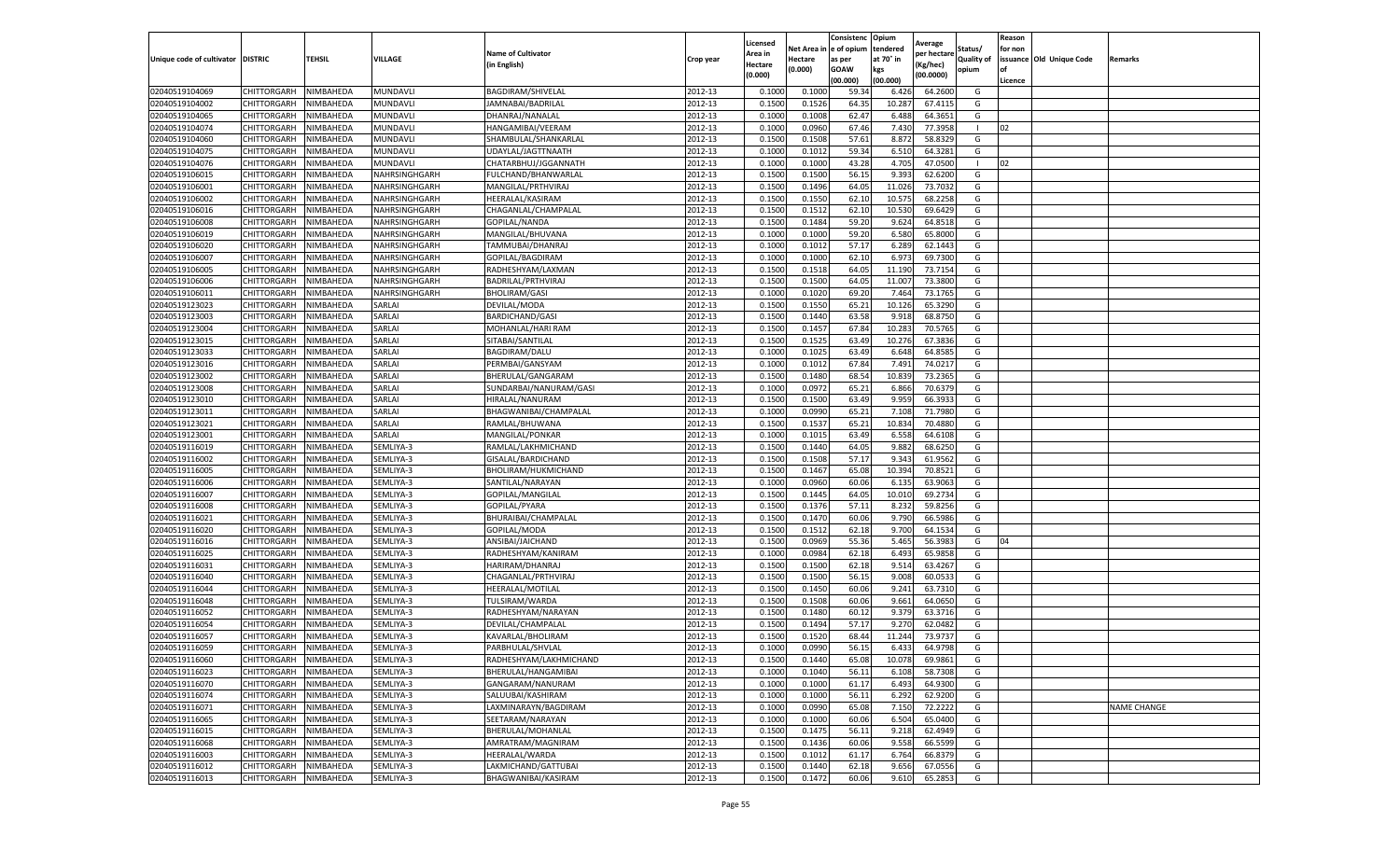|                                   |             |           |               |                           |                    | Licensed |            | Consistenc  | Opium     |                        |                   | Reason  |                          |                    |
|-----------------------------------|-------------|-----------|---------------|---------------------------|--------------------|----------|------------|-------------|-----------|------------------------|-------------------|---------|--------------------------|--------------------|
|                                   |             |           |               | <b>Name of Cultivator</b> |                    | Area in  | Net Area i | e of opium  | tendered  | Average<br>per hectare | Status/           | for non |                          |                    |
| Unique code of cultivator DISTRIC |             | TEHSIL    | VILLAGE       | (in English)              | Crop year          | Hectare  | Hectare    | as per      | at 70° in | (Kg/hec)               | <b>Quality of</b> |         | issuance Old Unique Code | Remarks            |
|                                   |             |           |               |                           |                    | (0.000)  | (0.000)    | <b>GOAW</b> | kgs       | (00.0000)              | opium             |         |                          |                    |
|                                   |             |           |               |                           |                    |          |            | (00.000     | (00.000)  |                        |                   | Licence |                          |                    |
| 02040519104069                    | CHITTORGARH | NIMBAHEDA | MUNDAVL       | BAGDIRAM/SHIVELAL         | 2012-13            | 0.1000   | 0.1000     | 59.34       | 6.426     | 64.2600                | G                 |         |                          |                    |
| 02040519104002                    | CHITTORGARH | NIMBAHEDA | MUNDAVL       | JAMNABAI/BADRILAL         | 2012-13            | 0.150    | 0.1526     | 64.35       | 10.287    | 67.4115                | G                 |         |                          |                    |
| 02040519104065                    | CHITTORGARH | NIMBAHEDA | MUNDAVL       | DHANRAJ/NANALAL           | 2012-13            | 0.1000   | 0.1008     | 62.47       | 6.488     | 64.3651                | G                 |         |                          |                    |
| 02040519104074                    | CHITTORGARH | NIMBAHEDA | MUNDAVL       | HANGAMIBAI/VEERAM         | 2012-13            | 0.1000   | 0.0960     | 67.46       | 7.430     | 77.3958                | л.                | 02      |                          |                    |
| 02040519104060                    | CHITTORGARH | NIMBAHEDA | MUNDAVL       | SHAMBULAL/SHANKARLAL      | 2012-13            | 0.1500   | 0.1508     | 57.61       | 8.872     | 58.8329                | G                 |         |                          |                    |
| 02040519104075                    | CHITTORGARH | NIMBAHEDA | MUNDAVL       | UDAYLAL/JAGTTNAATH        | 2012-13            | 0.1000   | 0.1012     | 59.34       | 6.510     | 64.3281                | G                 |         |                          |                    |
| 02040519104076                    | CHITTORGARH | NIMBAHEDA | MUNDAVL       | CHATARBHUJ/JGGANNATH      | 2012-13            | 0.1000   | 0.1000     | 43.28       | 4.705     | 47.0500                | -1                | 02      |                          |                    |
| 02040519106015                    | CHITTORGARH | NIMBAHEDA | NAHRSINGHGARH | FULCHAND/BHANWARLAI       | 2012-13            | 0.1500   | 0.1500     | 56.1        | 9.393     | 62.6200                | G                 |         |                          |                    |
| 02040519106001                    | CHITTORGARH | NIMBAHEDA | NAHRSINGHGARH | MANGILAL/PRTHVIRAJ        | 2012-13            | 0.1500   | 0.1496     | 64.05       | 11.026    | 73.7032                | G                 |         |                          |                    |
| 02040519106002                    | CHITTORGARH | NIMBAHEDA | NAHRSINGHGARH | HEERALAL/KASIRAM          | 2012-13            | 0.1500   | 0.1550     | 62.10       | 10.575    | 68.2258                | G                 |         |                          |                    |
| 02040519106016                    | CHITTORGARH | NIMBAHEDA | NAHRSINGHGARH | CHAGANLAL/CHAMPALAL       | 2012-13            | 0.1500   | 0.1512     | 62.10       | 10.530    | 69.6429                | G                 |         |                          |                    |
| 02040519106008                    | CHITTORGARH | NIMBAHEDA | NAHRSINGHGARH | GOPILAL/NANDA             | 2012-13            | 0.1500   | 0.1484     | 59.20       | 9.624     | 64.8518                | G                 |         |                          |                    |
| 02040519106019                    | CHITTORGARH | NIMBAHEDA | NAHRSINGHGARH | MANGILAL/BHUVANA          | 2012-13            | 0.1000   | 0.1000     | 59.20       | 6.580     | 65.8000                | G                 |         |                          |                    |
| 02040519106020                    | CHITTORGARH | NIMBAHEDA | NAHRSINGHGARH | TAMMUBAI/DHANRAJ          | 2012-13            | 0.100    | 0.101      | 57.17       | 6.289     | 62.1443                | G                 |         |                          |                    |
| 02040519106007                    | CHITTORGARH | NIMBAHEDA | NAHRSINGHGARH | GOPILAL/BAGDIRAM          | 2012-13            | 0.1000   | 0.1000     | 62.10       | 6.973     | 69.7300                | G                 |         |                          |                    |
| 02040519106005                    | CHITTORGARH | NIMBAHEDA | NAHRSINGHGARH | RADHESHYAM/LAXMAN         | 2012-13            | 0.1500   | 0.1518     | 64.05       | 11.190    | 73.7154                | G                 |         |                          |                    |
| 02040519106006                    | CHITTORGARH | NIMBAHEDA | NAHRSINGHGARH | BADRILAL/PRTHVIRAJ        | 2012-13            | 0.1500   | 0.1500     | 64.0        | 11.007    | 73.3800                | G                 |         |                          |                    |
| 02040519106011                    | CHITTORGARH | NIMBAHEDA | NAHRSINGHGARH | <b>BHOLIRAM/GASI</b>      | 2012-13            | 0.1000   | 0.1020     | 69.20       | 7.464     | 73.1765                | G                 |         |                          |                    |
| 02040519123023                    | CHITTORGARH | NIMBAHEDA | SARLAI        | DEVILAL/MODA              | 2012-13            | 0.1500   | 0.1550     | 65.21       | 10.126    | 65.3290                | G                 |         |                          |                    |
| 02040519123003                    | CHITTORGARH | NIMBAHEDA | SARLAI        | BARDICHAND/GASI           | 2012-13            | 0.1500   | 0.1440     | 63.58       | 9.918     | 68.8750                | G                 |         |                          |                    |
| 02040519123004                    | CHITTORGARH | NIMBAHEDA | SARLAI        | MOHANLAL/HARI RAM         | 2012-13            | 0.1500   | 0.1457     | 67.84       | 10.283    | 70.5765                | G                 |         |                          |                    |
| 02040519123015                    | CHITTORGARH | NIMBAHEDA | SARLAI        | SITABAI/SANTILAL          | 2012-13            | 0.1500   | 0.1525     | 63.49       | 10.276    | 67.3836                | G                 |         |                          |                    |
| 02040519123033                    | CHITTORGARH | NIMBAHEDA | SARLAI        | BAGDIRAM/DALU             | 2012-13            | 0.1000   | 0.1025     | 63.49       | 6.648     | 64.8585                | G                 |         |                          |                    |
| 02040519123016                    | CHITTORGARH | NIMBAHEDA | SARLAI        | PERMBAI/GANSYAM           | 2012-13            | 0.1000   | 0.1012     | 67.84       | 7.491     | 74.0217                | G                 |         |                          |                    |
| 02040519123002                    | CHITTORGARH | NIMBAHEDA | SARLAI        | BHERULAL/GANGARAM         | 2012-13            | 0.1500   | 0.1480     | 68.54       | 10.839    | 73.2365                | G                 |         |                          |                    |
| 02040519123008                    | CHITTORGARH | NIMBAHEDA | SARLAI        |                           | 2012-13            | 0.1000   | 0.0972     | 65.21       | 6.866     | 70.6379                | G                 |         |                          |                    |
|                                   |             |           |               | SUNDARBAI/NANURAM/GASI    |                    |          |            |             |           |                        |                   |         |                          |                    |
| 02040519123010                    | CHITTORGARH | NIMBAHEDA | SARLAI        | HIRALAL/NANURAM           | 2012-13<br>2012-13 | 0.1500   | 0.1500     | 63.49       | 9.959     | 66.3933                | G                 |         |                          |                    |
| 02040519123011                    | CHITTORGARH | NIMBAHEDA | SARLAI        | BHAGWANIBAI/CHAMPALAL     |                    | 0.1000   | 0.0990     | 65.21       | 7.108     | 71.7980                | G                 |         |                          |                    |
| 02040519123021                    | CHITTORGARH | NIMBAHEDA | SARLAI        | RAMLAL/BHUWANA            | 2012-13            | 0.1500   | 0.1537     | 65.21       | 10.834    | 70.4880                | G                 |         |                          |                    |
| 02040519123001                    | CHITTORGARH | NIMBAHEDA | SARLAI        | MANGILAL/PONKAR           | 2012-13            | 0.1000   | 0.1015     | 63.49       | 6.558     | 64.6108                | G                 |         |                          |                    |
| 02040519116019                    | CHITTORGARH | NIMBAHEDA | SEMLIYA-3     | RAMLAL/LAKHMICHAND        | 2012-13            | 0.1500   | 0.1440     | 64.05       | 9.882     | 68.6250                | G                 |         |                          |                    |
| 02040519116002                    | CHITTORGARH | NIMBAHEDA | SEMLIYA-3     | GISALAL/BARDICHAND        | 2012-13            | 0.1500   | 0.1508     | 57.17       | 9.343     | 61.9562                | G                 |         |                          |                    |
| 02040519116005                    | CHITTORGARH | NIMBAHEDA | SEMLIYA-3     | BHOLIRAM/HUKMICHAND       | 2012-13            | 0.1500   | 0.1467     | 65.08       | 10.394    | 70.8521                | G                 |         |                          |                    |
| 02040519116006                    | CHITTORGARH | NIMBAHEDA | SEMLIYA-3     | SANTILAL/NARAYAN          | 2012-13            | 0.1000   | 0.0960     | 60.06       | 6.135     | 63.9063                | G                 |         |                          |                    |
| 02040519116007                    | CHITTORGARH | NIMBAHEDA | SEMLIYA-3     | GOPILAL/MANGILAL          | 2012-13            | 0.1500   | 0.1445     | 64.05       | 10.010    | 69.2734                | G                 |         |                          |                    |
| 02040519116008                    | CHITTORGARH | NIMBAHEDA | SEMLIYA-3     | GOPILAL/PYARA             | 2012-13            | 0.1500   | 0.1376     | 57.11       | 8.232     | 59.8256                | G                 |         |                          |                    |
| 02040519116021                    | CHITTORGARH | NIMBAHEDA | SEMLIYA-3     | BHURAIBAI/CHAMPALAL       | 2012-13            | 0.1500   | 0.1470     | 60.06       | 9.790     | 66.5986                | G                 |         |                          |                    |
| 02040519116020                    | CHITTORGARH | NIMBAHEDA | SEMLIYA-3     | GOPILAL/MODA              | 2012-13            | 0.1500   | 0.1512     | 62.18       | 9.700     | 64.1534                | G                 |         |                          |                    |
| 02040519116016                    | CHITTORGARH | NIMBAHEDA | SEMLIYA-3     | ANSIBAI/JAICHAND          | 2012-13            | 0.1500   | 0.0969     | 55.36       | 5.465     | 56.3983                | G                 | 04      |                          |                    |
| 02040519116025                    | CHITTORGARH | NIMBAHEDA | SEMLIYA-3     | RADHESHYAM/KANIRAM        | 2012-13            | 0.1000   | 0.0984     | 62.18       | 6.493     | 65.9858                | G                 |         |                          |                    |
| 02040519116031                    | CHITTORGARH | NIMBAHEDA | SEMLIYA-3     | HARIRAM/DHANRAJ           | 2012-13            | 0.1500   | 0.1500     | 62.18       | 9.514     | 63.4267                | G                 |         |                          |                    |
| 02040519116040                    | CHITTORGARH | NIMBAHEDA | SEMLIYA-3     | CHAGANLAL/PRTHVIRAJ       | 2012-13            | 0.1500   | 0.1500     | 56.15       | 9.008     | 60.0533                | G                 |         |                          |                    |
| 02040519116044                    | CHITTORGARH | NIMBAHEDA | SEMLIYA-3     | HEERALAL/MOTILAL          | 2012-13            | 0.1500   | 0.1450     | 60.06       | 9.241     | 63.7310                | G                 |         |                          |                    |
| 02040519116048                    | CHITTORGARH | NIMBAHEDA | SEMLIYA-3     | TULSIRAM/WARDA            | 2012-13            | 0.1500   | 0.1508     | 60.06       | 9.661     | 64.0650                | G                 |         |                          |                    |
| 02040519116052                    | CHITTORGARH | NIMBAHEDA | SEMLIYA-3     | RADHESHYAM/NARAYAN        | 2012-13            | 0.1500   | 0.1480     | 60.12       | 9.379     | 63.3716                | G                 |         |                          |                    |
| 02040519116054                    | CHITTORGARH | NIMBAHEDA | SEMLIYA-3     | DEVILAL/CHAMPALAI         | 2012-13            | 0.150    | 0.1494     | 57.17       | 9.27      | 62.0482                | G                 |         |                          |                    |
| 02040519116057                    | CHITTORGARH | NIMBAHEDA | SEMLIYA-3     | KAVARLAL/BHOLIRAM         | 2012-13            | 0.1500   | 0.1520     | 68.44       | 11.244    | 73.9737                | G                 |         |                          |                    |
| 02040519116059                    | CHITTORGARH | NIMBAHEDA | SEMLIYA-3     | PARBHULAL/SHVLAL          | 2012-13            | 0.1000   | 0.0990     | 56.15       | 6.433     | 64.9798                | G                 |         |                          |                    |
| 02040519116060                    | CHITTORGARH | NIMBAHEDA | SEMLIYA-3     | RADHESHYAM/LAKHMICHAND    | 2012-13            | 0.1500   | 0.1440     | 65.08       | 10.078    | 69.9861                | G                 |         |                          |                    |
| 02040519116023                    | CHITTORGARH | NIMBAHEDA | SEMLIYA-3     | BHERULAL/HANGAMIBAI       | 2012-13            | 0.1000   | 0.1040     | 56.11       | 6.108     | 58.7308                | G                 |         |                          |                    |
| 02040519116070                    | CHITTORGARH | NIMBAHEDA | SEMLIYA-3     | GANGARAM/NANURAM          | 2012-13            | 0.1000   | 0.1000     | 61.17       | 6.493     | 64.9300                | G                 |         |                          |                    |
| 02040519116074                    | CHITTORGARH | NIMBAHEDA | SEMLIYA-3     | SALUUBAI/KASHIRAM         | 2012-13            | 0.1000   | 0.1000     | 56.11       | 6.292     | 62.9200                | G                 |         |                          |                    |
| 02040519116071                    | CHITTORGARH | NIMBAHEDA | SEMLIYA-3     | LAXMINARAYN/BAGDIRAM      | 2012-13            | 0.1000   | 0.0990     | 65.08       | 7.150     | 72.2222                | G                 |         |                          | <b>NAME CHANGE</b> |
| 02040519116065                    | CHITTORGARH | NIMBAHEDA | SEMLIYA-3     | SEETARAM/NARAYAN          | 2012-13            | 0.1000   | 0.1000     | 60.06       | 6.504     | 65.0400                | G                 |         |                          |                    |
| 02040519116015                    | CHITTORGARH | NIMBAHEDA | SEMLIYA-3     | BHERULAL/MOHANLAL         | 2012-13            | 0.1500   | 0.1475     | 56.11       | 9.218     | 62.4949                | G                 |         |                          |                    |
| 02040519116068                    | CHITTORGARH | NIMBAHEDA | SEMLIYA-3     | AMRATRAM/MAGNIRAM         | 2012-13            | 0.1500   | 0.1436     | 60.06       | 9.558     | 66.5599                | G                 |         |                          |                    |
| 02040519116003                    | CHITTORGARH | NIMBAHEDA | SEMLIYA-3     | HEERALAL/WARDA            | 2012-13            | 0.1500   | 0.1012     | 61.17       | 6.764     | 66.8379                | G                 |         |                          |                    |
| 02040519116012                    | CHITTORGARH | NIMBAHEDA | SEMLIYA-3     | LAKMICHAND/GATTUBAI       | 2012-13            | 0.1500   | 0.1440     | 62.18       | 9.656     | 67.0556                | G                 |         |                          |                    |
| 02040519116013                    | CHITTORGARH | NIMBAHEDA | SEMLIYA-3     | BHAGWANIBAI/KASIRAM       | 2012-13            | 0.1500   | 0.1472     | 60.06       | 9.610     | 65.2853                | G                 |         |                          |                    |
|                                   |             |           |               |                           |                    |          |            |             |           |                        |                   |         |                          |                    |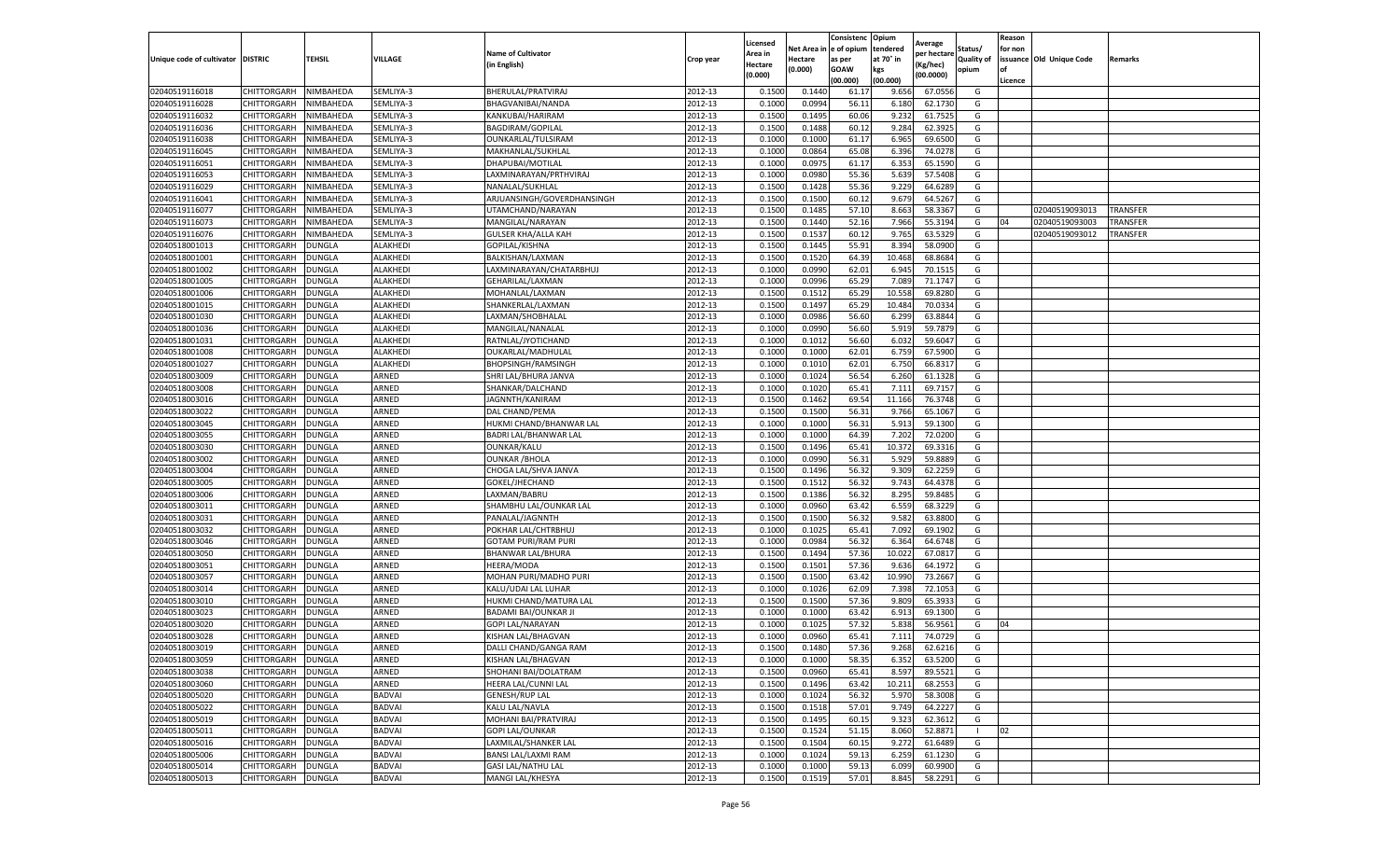|                           |                    |               |               |                            |           | Licensed |         | Consistenc             | Opium     |                        |                   | Reason  |                          |                 |
|---------------------------|--------------------|---------------|---------------|----------------------------|-----------|----------|---------|------------------------|-----------|------------------------|-------------------|---------|--------------------------|-----------------|
|                           |                    |               |               | <b>Name of Cultivator</b>  |           | Area in  |         | Net Area in e of opium | tendered  | Average<br>per hectare | Status/           | for non |                          |                 |
| Unique code of cultivator | <b>DISTRIC</b>     | TEHSIL        | VILLAGE       | in English)                | Crop year | Hectare  | Hectare | as per                 | at 70° in | (Kg/hec                | <b>Quality of</b> |         | issuance Old Unique Code | <b>Remarks</b>  |
|                           |                    |               |               |                            |           | (0.000)  | (0.000) | <b>GOAW</b>            | kgs       | (00.0000)              | opium             |         |                          |                 |
|                           |                    |               |               |                            |           |          |         | (00.000)               | (00.000)  |                        |                   | Licence |                          |                 |
| 02040519116018            | CHITTORGARH        | NIMBAHEDA     | SEMLIYA-3     | BHERULAL/PRATVIRAJ         | 2012-13   | 0.1500   | 0.1440  | 61.17                  | 9.656     | 67.0556                | G                 |         |                          |                 |
| 02040519116028            | CHITTORGARH        | NIMBAHEDA     | SEMLIYA-3     | BHAGVANIBAI/NANDA          | 2012-13   | 0.1000   | 0.0994  | 56.1                   | 6.18      | 62.1730                | G                 |         |                          |                 |
| 02040519116032            | CHITTORGARH        | NIMBAHEDA     | SEMLIYA-3     | KANKUBAI/HARIRAM           | 2012-13   | 0.1500   | 0.1495  | 60.06                  | 9.232     | 61.7525                | G                 |         |                          |                 |
| 02040519116036            | CHITTORGARH        | NIMBAHEDA     | SEMLIYA-3     | BAGDIRAM/GOPILAL           | 2012-13   | 0.1500   | 0.1488  | 60.12                  | 9.284     | 62.3925                | G                 |         |                          |                 |
| 02040519116038            | CHITTORGARH        | NIMBAHEDA     | SEMLIYA-3     | OUNKARLAL/TULSIRAM         | 2012-13   | 0.1000   | 0.1000  | 61.17                  | 6.965     | 69.6500                | G                 |         |                          |                 |
| 02040519116045            | CHITTORGARH        | NIMBAHEDA     | SEMLIYA-3     | MAKHANLAL/SUKHLAL          | 2012-13   | 0.1000   | 0.0864  | 65.08                  | 6.396     | 74.0278                | G                 |         |                          |                 |
| 02040519116051            | CHITTORGARH        | NIMBAHEDA     | SEMLIYA-3     | DHAPUBAI/MOTILAL           | 2012-13   | 0.1000   | 0.0975  | 61.17                  | 6.353     | 65.1590                | G                 |         |                          |                 |
| 02040519116053            | CHITTORGARH        | NIMBAHEDA     | SEMLIYA-3     | LAXMINARAYAN/PRTHVIRAJ     | 2012-13   | 0.1000   | 0.0980  | 55.36                  | 5.639     | 57.5408                | G                 |         |                          |                 |
| 02040519116029            | CHITTORGARH        | NIMBAHEDA     | SEMLIYA-3     | NANALAL/SUKHLAL            | 2012-13   | 0.1500   | 0.1428  | 55.36                  | 9.229     | 64.6289                | G                 |         |                          |                 |
| 02040519116041            | CHITTORGARH        | NIMBAHEDA     | SEMLIYA-3     | ARJUANSINGH/GOVERDHANSINGH | 2012-13   | 0.1500   | 0.1500  | 60.12                  | 9.679     | 64.5267                | G                 |         |                          |                 |
| 02040519116077            | CHITTORGARH        | NIMBAHEDA     | SEMLIYA-3     | UTAMCHAND/NARAYAN          | 2012-13   | 0.1500   | 0.1485  | 57.10                  | 8.663     | 58.3367                | G                 |         | 02040519093013           | <b>TRANSFER</b> |
| 02040519116073            | CHITTORGARH        | NIMBAHEDA     | SEMLIYA-3     | MANGILAL/NARAYAN           | 2012-13   | 0.1500   | 0.1440  | 52.16                  | 7.966     | 55.3194                | G                 | 04      | 02040519093003           | TRANSFER        |
| 02040519116076            | CHITTORGARH        | NIMBAHEDA     | SEMLIYA-3     | <b>GULSER KHA/ALLA KAH</b> | 2012-13   | 0.1500   | 0.1537  | 60.12                  | 9.765     | 63.5329                | G                 |         | 02040519093012           | TRANSFER        |
| 02040518001013            | CHITTORGARH        | DUNGLA        | ALAKHEDI      | GOPILAL/KISHNA             | 2012-13   | 0.1500   | 0.1445  | 55.91                  | 8.394     | 58.0900                | G                 |         |                          |                 |
| 02040518001001            | CHITTORGARH        | DUNGLA        | ALAKHEDI      | BALKISHAN/LAXMAN           | 2012-13   | 0.1500   | 0.1520  | 64.39                  | 10.468    | 68.8684                | G                 |         |                          |                 |
| 02040518001002            | CHITTORGARH        | <b>DUNGLA</b> | ALAKHEDI      | LAXMINARAYAN/CHATARBHUJ    | 2012-13   | 0.1000   | 0.0990  | 62.01                  | 6.945     | 70.1515                | G                 |         |                          |                 |
| 02040518001005            | CHITTORGARH        | <b>DUNGLA</b> | ALAKHEDI      | GEHARILAL/LAXMAN           | 2012-13   | 0.1000   | 0.0996  | 65.29                  | 7.089     | 71.1747                | G                 |         |                          |                 |
| 02040518001006            | CHITTORGARH        | <b>DUNGLA</b> | ALAKHEDI      | MOHANLAL/LAXMAN            | 2012-13   | 0.1500   | 0.1512  | 65.29                  | 10.55     | 69.8280                | G                 |         |                          |                 |
| 02040518001015            | CHITTORGARH        | DUNGLA        | ALAKHEDI      | SHANKERLAL/LAXMAN          | 2012-13   | 0.1500   | 0.1497  | 65.29                  | 10.484    | 70.0334                | G                 |         |                          |                 |
| 02040518001030            | CHITTORGARH        | DUNGLA        | ALAKHEDI      | LAXMAN/SHOBHALAL           | 2012-13   | 0.1000   | 0.0986  | 56.60                  | 6.299     | 63.8844                | G                 |         |                          |                 |
| 02040518001036            | CHITTORGARH        | <b>DUNGLA</b> | ALAKHEDI      | MANGILAL/NANALAL           | 2012-13   | 0.1000   | 0.0990  | 56.60                  | 5.919     | 59.7879                | G                 |         |                          |                 |
| 02040518001031            | CHITTORGARH        | DUNGLA        | ALAKHEDI      | RATNLAL/JYOTICHAND         | 2012-13   | 0.1000   | 0.1012  | 56.60                  | 6.032     | 59.6047                | G                 |         |                          |                 |
| 02040518001008            | CHITTORGARH        | <b>DUNGLA</b> | ALAKHEDI      | OUKARLAL/MADHULAL          | 2012-13   | 0.1000   | 0.1000  | 62.01                  | 6.759     | 67.5900                | G                 |         |                          |                 |
| 02040518001027            | CHITTORGARH        | DUNGLA        | ALAKHEDI      | <b>BHOPSINGH/RAMSINGH</b>  | 2012-13   | 0.1000   | 0.1010  | 62.01                  | 6.750     | 66.8317                | G                 |         |                          |                 |
| 02040518003009            | CHITTORGARH        | DUNGLA        | ARNED         | SHRI LAL/BHURA JANVA       | 2012-13   | 0.1000   | 0.1024  | 56.54                  | 6.260     | 61.1328                | G                 |         |                          |                 |
| 02040518003008            | CHITTORGARH        | DUNGLA        | ARNED         | SHANKAR/DALCHAND           | 2012-13   | 0.1000   | 0.1020  | 65.41                  | 7.111     | 69.7157                | G                 |         |                          |                 |
| 02040518003016            | CHITTORGARH        | DUNGLA        | ARNED         | JAGNNTH/KANIRAM            | 2012-13   | 0.1500   | 0.1462  | 69.54                  | 11.166    | 76.3748                | G                 |         |                          |                 |
| 02040518003022            | CHITTORGARH        | <b>DUNGLA</b> | ARNED         | DAL CHAND/PEMA             | 2012-13   | 0.1500   | 0.1500  | 56.31                  | 9.766     | 65.1067                | G                 |         |                          |                 |
| 02040518003045            | CHITTORGARH        | <b>DUNGLA</b> | ARNED         | HUKMI CHAND/BHANWAR LAL    | 2012-13   | 0.1000   | 0.1000  | 56.31                  | 5.913     | 59.1300                | G                 |         |                          |                 |
| 02040518003055            | CHITTORGARH        | <b>DUNGLA</b> | ARNED         | BADRI LAL/BHANWAR LAL      | 2012-13   | 0.1000   | 0.1000  | 64.39                  | 7.202     | 72.0200                | G                 |         |                          |                 |
| 02040518003030            | CHITTORGARH        | DUNGLA        | ARNED         | OUNKAR/KALU                | 2012-13   | 0.1500   | 0.1496  | 65.41                  | 10.372    | 69.3316                | G                 |         |                          |                 |
| 02040518003002            | CHITTORGARH        | DUNGLA        | ARNED         | <b>OUNKAR / BHOLA</b>      | 2012-13   | 0.1000   | 0.0990  | 56.31                  | 5.929     | 59.8889                | G                 |         |                          |                 |
| 02040518003004            | CHITTORGARH        | DUNGLA        | ARNED         | CHOGA LAL/SHVA JANVA       | 2012-13   | 0.1500   | 0.1496  | 56.32                  | 9.309     | 62.2259                | G                 |         |                          |                 |
| 02040518003005            | CHITTORGARH        | DUNGLA        | ARNED         | GOKEL/JHECHAND             | 2012-13   | 0.1500   | 0.1512  | 56.32                  | 9.743     | 64.4378                | G                 |         |                          |                 |
| 02040518003006            | CHITTORGARH        | <b>DUNGLA</b> | ARNED         | LAXMAN/BABRU               | 2012-13   | 0.1500   | 0.1386  | 56.32                  | 8.295     | 59.8485                | G                 |         |                          |                 |
| 02040518003011            | CHITTORGARH        | DUNGLA        | ARNED         | SHAMBHU LAL/OUNKAR LAL     | 2012-13   | 0.1000   | 0.0960  | 63.42                  | 6.559     | 68.3229                | G                 |         |                          |                 |
| 02040518003031            | CHITTORGARH        | <b>DUNGLA</b> | ARNED         | PANALAL/JAGNNTH            | 2012-13   | 0.1500   | 0.1500  | 56.32                  | 9.582     | 63.8800                | G                 |         |                          |                 |
| 02040518003032            | CHITTORGARH        | DUNGLA        | ARNED         | POKHAR LAL/CHTRBHUJ        | 2012-13   | 0.1000   | 0.1025  | 65.41                  | 7.092     | 69.1902                | G                 |         |                          |                 |
| 02040518003046            | CHITTORGARH        | DUNGLA        | ARNED         | <b>GOTAM PURI/RAM PURI</b> | 2012-13   | 0.1000   | 0.0984  | 56.32                  | 6.364     | 64.6748                | G                 |         |                          |                 |
| 02040518003050            | CHITTORGARH        | <b>DUNGLA</b> | ARNED         | BHANWAR LAL/BHURA          | 2012-13   | 0.1500   | 0.1494  | 57.36                  | 10.022    | 67.0817                | G                 |         |                          |                 |
| 02040518003051            | CHITTORGARH        | DUNGLA        | ARNED         | HEERA/MODA                 | 2012-13   | 0.1500   | 0.1501  | 57.36                  | 9.636     | 64.1972                | G                 |         |                          |                 |
| 02040518003057            | CHITTORGARH        | <b>DUNGLA</b> | ARNED         | MOHAN PURI/MADHO PURI      | 2012-13   | 0.1500   | 0.1500  | 63.42                  | 10.990    | 73.2667                | G                 |         |                          |                 |
| 02040518003014            | CHITTORGARH        | DUNGLA        | ARNED         | KALU/UDAI LAL LUHAR        | 2012-13   | 0.1000   | 0.1026  | 62.09                  | 7.398     | 72.1053                | G                 |         |                          |                 |
| 02040518003010            | CHITTORGARH        | <b>DUNGLA</b> | ARNED         | HUKMI CHAND/MATURA LAI     | 2012-13   | 0.1500   | 0.1500  | 57.36                  | 9.809     | 65.3933                | G                 |         |                          |                 |
| 02040518003023            | CHITTORGARH        | <b>DUNGLA</b> | ARNED         | BADAMI BAI/OUNKAR J        | 2012-13   | 0.1000   | 0.1000  | 63.42                  | 6.913     | 69.1300                | G                 |         |                          |                 |
| 02040518003020            | CHITTORGARH        | DUNGLA        | ARNED         | GOPI LAL/NARAYAN           | 2012-13   | 0.1000   | 0.1025  | 57.32                  | 5.838     | 56.9561                | G                 | 04      |                          |                 |
| 02040518003028            | CHITTORGARH        | DUNGLA        | ARNED         | KISHAN LAL/BHAGVAN         | 2012-13   | 0.1000   | 0.0960  | 65.41                  | 7.111     | 74.0729                | G                 |         |                          |                 |
| 02040518003019            | CHITTORGARH        | <b>DUNGLA</b> | ARNED         | DALLI CHAND/GANGA RAM      | 2012-13   | 0.1500   | 0.1480  | 57.36                  | 9.268     | 62.6216                | G                 |         |                          |                 |
| 02040518003059            | CHITTORGARH        | <b>DUNGLA</b> | ARNED         | KISHAN LAL/BHAGVAN         | 2012-13   | 0.1000   | 0.1000  | 58.35                  | 6.352     | 63.5200                | G                 |         |                          |                 |
| 02040518003038            | <b>CHITTORGARH</b> | <b>DUNGLA</b> | ARNED         | SHOHANI BAI/DOLATRAM       | 2012-13   | 0.1500   | 0.0960  | 65.41                  | 8.597     | 89.5521                | G                 |         |                          |                 |
| 02040518003060            | <b>CHITTORGARH</b> | <b>DUNGLA</b> | ARNED         | HEERA LAL/CUNNI LAL        | 2012-13   | 0.1500   | 0.1496  | 63.42                  | 10.211    | 68.2553                | G                 |         |                          |                 |
| 02040518005020            | CHITTORGARH        | <b>DUNGLA</b> | <b>BADVAI</b> | <b>GENESH/RUP LAL</b>      | 2012-13   | 0.1000   | 0.1024  | 56.32                  | 5.970     | 58.3008                | G                 |         |                          |                 |
| 02040518005022            | CHITTORGARH        | <b>DUNGLA</b> | BADVAI        | KALU LAL/NAVLA             | 2012-13   | 0.1500   | 0.1518  | 57.01                  | 9.749     | 64.2227                | G                 |         |                          |                 |
| 02040518005019            | <b>CHITTORGARH</b> | <b>DUNGLA</b> | <b>BADVAI</b> | MOHANI BAI/PRATVIRAJ       | 2012-13   | 0.1500   | 0.1495  | 60.15                  | 9.323     | 62.3612                | G                 |         |                          |                 |
| 02040518005011            | CHITTORGARH        | <b>DUNGLA</b> | BADVAI        | GOPI LAL/OUNKAR            | 2012-13   | 0.1500   | 0.1524  | 51.15                  | 8.060     | 52.8871                | -1                | 02      |                          |                 |
| 02040518005016            | <b>CHITTORGARH</b> | <b>DUNGLA</b> | <b>BADVAI</b> | LAXMILAL/SHANKER LAL       | 2012-13   | 0.1500   | 0.1504  | 60.15                  | 9.272     | 61.6489                | G                 |         |                          |                 |
| 02040518005006            | CHITTORGARH        | <b>DUNGLA</b> | BADVAI        | BANSI LAL/LAXMI RAM        | 2012-13   | 0.1000   | 0.1024  | 59.13                  | 6.259     | 61.1230                | G                 |         |                          |                 |
| 02040518005014            | CHITTORGARH        | DUNGLA        | BADVAI        | <b>GASI LAL/NATHU LAL</b>  | 2012-13   | 0.1000   | 0.1000  | 59.13                  | 6.099     | 60.9900                | G                 |         |                          |                 |
| 02040518005013            | <b>CHITTORGARH</b> | <b>DUNGLA</b> | BADVAI        | MANGI LAL/KHESYA           | 2012-13   | 0.1500   | 0.1519  | 57.01                  | 8.845     | 58.2291                | G                 |         |                          |                 |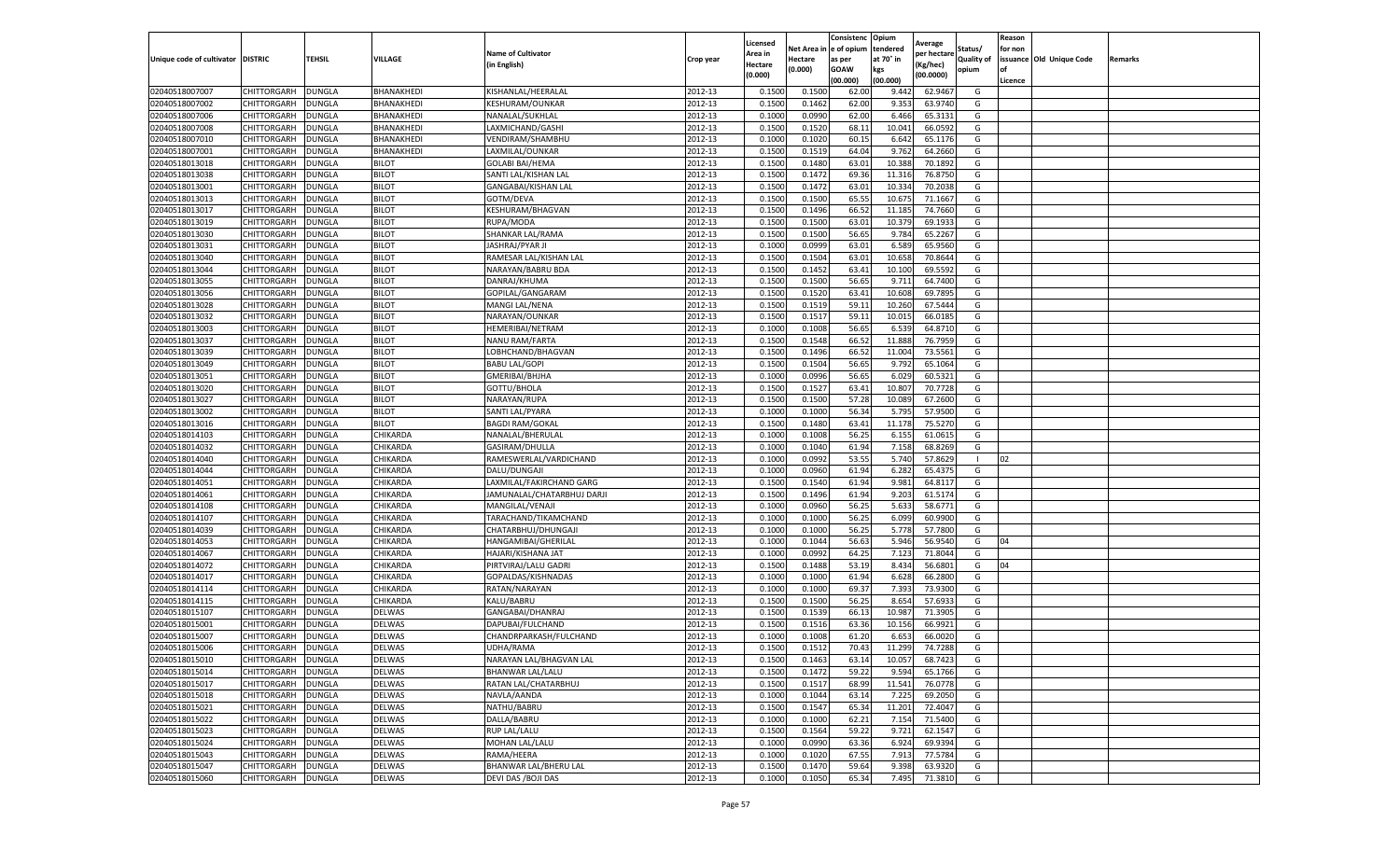|                           |                    |               |               |                            |           | Licensed |         | Consistenc             | Opium     |                        |                   | Reason  |                          |                |
|---------------------------|--------------------|---------------|---------------|----------------------------|-----------|----------|---------|------------------------|-----------|------------------------|-------------------|---------|--------------------------|----------------|
|                           |                    |               |               | <b>Name of Cultivator</b>  |           | Area in  |         | Net Area in e of opium | tendered  | Average<br>per hectare | Status/           | for non |                          |                |
| Unique code of cultivator | <b>DISTRIC</b>     | TEHSIL        | VILLAGE       | in English)                | Crop year | Hectare  | Hectare | as per                 | at 70° in | (Kg/hec                | <b>Quality of</b> |         | issuance Old Unique Code | <b>Remarks</b> |
|                           |                    |               |               |                            |           | (0.000)  | (0.000) | <b>GOAW</b>            | kgs       | (00.0000)              | opium             |         |                          |                |
|                           |                    |               |               |                            |           |          |         | (00.000)               | (00.000)  |                        |                   | Licence |                          |                |
| 02040518007007            | CHITTORGARH        | <b>DUNGLA</b> | BHANAKHEDI    | KISHANLAL/HEERALAI         | 2012-13   | 0.1500   | 0.1500  | 62.00                  | 9.442     | 62.9467                | G                 |         |                          |                |
| 02040518007002            | CHITTORGARH        | DUNGLA        | BHANAKHEDI    | <b>KESHURAM/OUNKAR</b>     | 2012-13   | 0.1500   | 0.1462  | 62.00                  | 9.35      | 63.9740                | G                 |         |                          |                |
| 02040518007006            | CHITTORGARH        | DUNGLA        | BHANAKHEDI    | NANALAL/SUKHLAL            | 2012-13   | 0.1000   | 0.0990  | 62.00                  | 6.466     | 65.3131                | G                 |         |                          |                |
| 02040518007008            | CHITTORGARH        | <b>DUNGLA</b> | BHANAKHEDI    | LAXMICHAND/GASHI           | 2012-13   | 0.1500   | 0.1520  | 68.11                  | 10.041    | 66.0592                | G                 |         |                          |                |
| 02040518007010            | <b>CHITTORGARH</b> | DUNGLA        | BHANAKHEDI    | VENDIRAM/SHAMBHU           | 2012-13   | 0.1000   | 0.1020  | 60.15                  | 6.642     | 65.1176                | G                 |         |                          |                |
| 02040518007001            | CHITTORGARH        | DUNGLA        | BHANAKHEDI    | LAXMILAL/OUNKAR            | 2012-13   | 0.1500   | 0.1519  | 64.04                  | 9.762     | 64.2660                | G                 |         |                          |                |
| 02040518013018            | CHITTORGARH        | <b>DUNGLA</b> | <b>BILOT</b>  | <b>GOLABI BAI/HEMA</b>     | 2012-13   | 0.1500   | 0.1480  | 63.01                  | 10.388    | 70.1892                | G                 |         |                          |                |
| 02040518013038            | CHITTORGARH        | DUNGLA        | <b>BILOT</b>  | SANTI LAL/KISHAN LAL       | 2012-13   | 0.1500   | 0.1472  | 69.36                  | 11.31     | 76.8750                | G                 |         |                          |                |
| 02040518013001            | CHITTORGARH        | DUNGLA        | <b>BILOT</b>  | GANGABAI/KISHAN LAL        | 2012-13   | 0.1500   | 0.1472  | 63.01                  | 10.334    | 70.2038                | G                 |         |                          |                |
| 02040518013013            | CHITTORGARH        | <b>DUNGLA</b> | <b>BILOT</b>  | GOTM/DEVA                  | 2012-13   | 0.1500   | 0.1500  | 65.55                  | 10.675    | 71.1667                | G                 |         |                          |                |
| 02040518013017            | CHITTORGARH        | <b>DUNGLA</b> | <b>BILOT</b>  | KESHURAM/BHAGVAN           | 2012-13   | 0.1500   | 0.1496  | 66.52                  | 11.185    | 74.7660                | G                 |         |                          |                |
| 02040518013019            | CHITTORGARH        | <b>DUNGLA</b> | <b>BILOT</b>  | RUPA/MODA                  | 2012-13   | 0.1500   | 0.1500  | 63.01                  | 10.37     | 69.1933                | G                 |         |                          |                |
| 02040518013030            | CHITTORGARH        | DUNGLA        | <b>BILOT</b>  | SHANKAR LAL/RAMA           | 2012-13   | 0.1500   | 0.1500  | 56.65                  | 9.784     | 65.2267                | G                 |         |                          |                |
| 02040518013031            | CHITTORGARH        | DUNGLA        | <b>BILOT</b>  | JASHRAJ/PYAR JI            | 2012-13   | 0.1000   | 0.0999  | 63.01                  | 6.589     | 65.9560                | G                 |         |                          |                |
| 02040518013040            | CHITTORGARH        | DUNGLA        | <b>BILOT</b>  | RAMESAR LAL/KISHAN LAL     | 2012-13   | 0.1500   | 0.1504  | 63.01                  | 10.658    | 70.8644                | G                 |         |                          |                |
| 02040518013044            | CHITTORGARH        | <b>DUNGLA</b> | <b>BILOT</b>  | NARAYAN/BABRU BDA          | 2012-13   | 0.1500   | 0.1452  | 63.41                  | 10.100    | 69.5592                | G                 |         |                          |                |
| 02040518013055            | CHITTORGARH        | <b>DUNGLA</b> | <b>BILOT</b>  | DANRAJ/KHUMA               | 2012-13   | 0.1500   | 0.1500  | 56.65                  | 9.711     | 64.7400                | G                 |         |                          |                |
| 02040518013056            | CHITTORGARH        | DUNGLA        | <b>BILOT</b>  | GOPILAL/GANGARAM           | 2012-13   | 0.1500   | 0.1520  | 63.41                  | 10.608    | 69.7895                | G                 |         |                          |                |
| 02040518013028            | CHITTORGARH        | DUNGLA        | <b>BILOT</b>  | MANGI LAL/NENA             | 2012-13   | 0.1500   | 0.1519  | 59.11                  | 10.26     | 67.5444                | G                 |         |                          |                |
| 02040518013032            | CHITTORGARH        | DUNGLA        | <b>BILOT</b>  | NARAYAN/OUNKAR             | 2012-13   | 0.1500   | 0.1517  | 59.11                  | 10.015    | 66.0185                | G                 |         |                          |                |
| 02040518013003            | CHITTORGARH        | <b>DUNGLA</b> | <b>BILOT</b>  | HEMERIBAI/NETRAM           | 2012-13   | 0.1000   | 0.1008  | 56.65                  | 6.539     | 64.8710                | G                 |         |                          |                |
| 02040518013037            | CHITTORGARH        | DUNGLA        | <b>BILOT</b>  | NANU RAM/FARTA             | 2012-13   | 0.1500   | 0.1548  | 66.52                  | 11.888    | 76.7959                | G                 |         |                          |                |
| 02040518013039            | CHITTORGARH        | <b>DUNGLA</b> | <b>BILOT</b>  | LOBHCHAND/BHAGVAN          | 2012-13   | 0.1500   | 0.1496  | 66.52                  | 11.004    | 73.5561                | G                 |         |                          |                |
| 02040518013049            | CHITTORGARH        | DUNGLA        | <b>BILOT</b>  | <b>BABU LAL/GOPI</b>       | 2012-13   | 0.1500   | 0.1504  | 56.65                  | 9.792     | 65.1064                | G                 |         |                          |                |
| 02040518013051            | CHITTORGARH        | DUNGLA        | <b>BILOT</b>  | GMERIBAI/BHJHA             | 2012-13   | 0.1000   | 0.0996  | 56.65                  | 6.02      | 60.5321                | G                 |         |                          |                |
| 02040518013020            | CHITTORGARH        | <b>DUNGLA</b> | <b>BILOT</b>  | GOTTU/BHOLA                | 2012-13   | 0.1500   | 0.1527  | 63.41                  | 10.807    | 70.7728                | G                 |         |                          |                |
| 02040518013027            | CHITTORGARH        | DUNGLA        | <b>BILOT</b>  | NARAYAN/RUPA               | 2012-13   | 0.1500   | 0.1500  | 57.28                  | 10.08     | 67.2600                | G                 |         |                          |                |
| 02040518013002            | CHITTORGARH        | <b>DUNGLA</b> | <b>BILOT</b>  | SANTI LAL/PYARA            | 2012-13   | 0.1000   | 0.1000  | 56.34                  | 5.795     | 57.9500                | G                 |         |                          |                |
| 02040518013016            | CHITTORGARH        | <b>DUNGLA</b> | <b>BILOT</b>  | <b>BAGDI RAM/GOKAL</b>     | 2012-13   | 0.1500   | 0.1480  | 63.41                  | 11.178    | 75.5270                | G                 |         |                          |                |
| 02040518014103            | CHITTORGARH        | <b>DUNGLA</b> | CHIKARDA      | NANALAL/BHERULAL           | 2012-13   | 0.1000   | 0.1008  | 56.25                  | 6.155     | 61.0615                | G                 |         |                          |                |
| 02040518014032            | CHITTORGARH        | DUNGLA        | CHIKARDA      | GASIRAM/DHULLA             | 2012-13   | 0.1000   | 0.1040  | 61.94                  | 7.158     | 68.8269                | G                 |         |                          |                |
| 02040518014040            | CHITTORGARH        | DUNGLA        | CHIKARDA      | RAMESWERLAL/VARDICHAND     | 2012-13   | 0.1000   | 0.0992  | 53.55                  | 5.740     | 57.8629                | -1                | 02      |                          |                |
| 02040518014044            | CHITTORGARH        | DUNGLA        | CHIKARDA      | DALU/DUNGAJI               | 2012-13   | 0.1000   | 0.0960  | 61.94                  | 6.282     | 65.4375                | G                 |         |                          |                |
| 02040518014051            | CHITTORGARH        | DUNGLA        | CHIKARDA      | LAXMILAL/FAKIRCHAND GARG   | 2012-13   | 0.1500   | 0.1540  | 61.94                  | 9.981     | 64.8117                | G                 |         |                          |                |
| 02040518014061            | CHITTORGARH        | <b>DUNGLA</b> | CHIKARDA      | JAMUNALAL/CHATARBHUJ DARJI | 2012-13   | 0.1500   | 0.1496  | 61.94                  | 9.203     | 61.5174                | G                 |         |                          |                |
| 02040518014108            | CHITTORGARH        | <b>DUNGLA</b> | CHIKARDA      | MANGILAL/VENAJI            | 2012-13   | 0.1000   | 0.0960  | 56.25                  | 5.633     | 58.6771                | G                 |         |                          |                |
| 02040518014107            | CHITTORGARH        | <b>DUNGLA</b> | CHIKARDA      | TARACHAND/TIKAMCHAND       | 2012-13   | 0.1000   | 0.1000  | 56.25                  | 6.099     | 60.9900                | G                 |         |                          |                |
| 02040518014039            | CHITTORGARH        | DUNGLA        | CHIKARDA      | CHATARBHUJ/DHUNGAJI        | 2012-13   | 0.1000   | 0.1000  | 56.25                  | 5.778     | 57.7800                | G                 |         |                          |                |
| 02040518014053            | CHITTORGARH        | DUNGLA        | CHIKARDA      | HANGAMIBAI/GHERILAL        | 2012-13   | 0.1000   | 0.1044  | 56.63                  | 5.946     | 56.9540                | G                 | 04      |                          |                |
| 02040518014067            | CHITTORGARH        | <b>DUNGLA</b> | CHIKARDA      | HAJARI/KISHANA JAT         | 2012-13   | 0.1000   | 0.0992  | 64.25                  | 7.123     | 71.8044                | G                 |         |                          |                |
| 02040518014072            | CHITTORGARH        | DUNGLA        | CHIKARDA      | PIRTVIRAJ/LALU GADRI       | 2012-13   | 0.1500   | 0.1488  | 53.19                  | 8.434     | 56.6801                | G                 | 04      |                          |                |
| 02040518014017            | CHITTORGARH        | <b>DUNGLA</b> | CHIKARDA      | GOPALDAS/KISHNADAS         | 2012-13   | 0.1000   | 0.1000  | 61.94                  | 6.628     | 66.2800                | G                 |         |                          |                |
| 02040518014114            | CHITTORGARH        | DUNGLA        | CHIKARDA      | RATAN/NARAYAN              | 2012-13   | 0.1000   | 0.1000  | 69.37                  | 7.393     | 73.9300                | G                 |         |                          |                |
| 02040518014115            | CHITTORGARH        | <b>DUNGLA</b> | CHIKARDA      | KALU/BABRU                 | 2012-13   | 0.1500   | 0.1500  | 56.25                  | 8.654     | 57.6933                | G                 |         |                          |                |
| 02040518015107            | <b>CHITTORGARH</b> | <b>DUNGLA</b> | DELWAS        | GANGABAI/DHANRAJ           | 2012-13   | 0.1500   | 0.1539  | 66.13                  | 10.987    | 71.3905                | G                 |         |                          |                |
| 02040518015001            | CHITTORGARH        | DUNGLA        | DELWAS        | DAPUBAI/FULCHAND           | 2012-13   | 0.1500   | 0.1516  | 63.36                  | 10.15     | 66.9921                | G                 |         |                          |                |
| 02040518015007            | CHITTORGARH        | DUNGLA        | <b>DELWAS</b> | CHANDRPARKASH/FULCHAND     | 2012-13   | 0.1000   | 0.1008  | 61.20                  | 6.653     | 66.0020                | G                 |         |                          |                |
| 02040518015006            | CHITTORGARH        | <b>DUNGLA</b> | <b>DELWAS</b> | UDHA/RAMA                  | 2012-13   | 0.1500   | 0.1512  | 70.43                  | 11.299    | 74.7288                | G                 |         |                          |                |
| 02040518015010            | CHITTORGARH        | <b>DUNGLA</b> | <b>DELWAS</b> | NARAYAN LAL/BHAGVAN LAL    | 2012-13   | 0.1500   | 0.1463  | 63.14                  | 10.057    | 68.7423                | G                 |         |                          |                |
| 02040518015014            | CHITTORGARH        | <b>DUNGLA</b> | DELWAS        | <b>BHANWAR LAL/LALU</b>    | 2012-13   | 0.1500   | 0.1472  | 59.22                  | 9.594     | 65.1766                | G                 |         |                          |                |
| 02040518015017            | CHITTORGARH        | <b>DUNGLA</b> | DELWAS        | RATAN LAL/CHATARBHUJ       | 2012-13   | 0.1500   | 0.1517  | 68.99                  | 11.541    | 76.0778                | G                 |         |                          |                |
| 02040518015018            | CHITTORGARH        | DUNGLA        | DELWAS        | NAVLA/AANDA                | 2012-13   | 0.1000   | 0.1044  | 63.14                  | 7.225     | 69.2050                | G                 |         |                          |                |
| 02040518015021            | CHITTORGARH        | <b>DUNGLA</b> | <b>DELWAS</b> | NATHU/BABRU                | 2012-13   | 0.1500   | 0.1547  | 65.34                  | 11.201    | 72.4047                | G                 |         |                          |                |
| 02040518015022            | <b>CHITTORGARH</b> | <b>DUNGLA</b> | DELWAS        | DALLA/BABRU                | 2012-13   | 0.1000   | 0.1000  | 62.21                  | 7.154     | 71.5400                | G                 |         |                          |                |
| 02040518015023            | CHITTORGARH        | <b>DUNGLA</b> | DELWAS        | <b>RUP LAL/LALU</b>        | 2012-13   | 0.1500   | 0.1564  | 59.22                  | 9.721     | 62.1547                | G                 |         |                          |                |
| 02040518015024            | CHITTORGARH        | <b>DUNGLA</b> | DELWAS        | <b>MOHAN LAL/LALU</b>      | 2012-13   | 0.1000   | 0.0990  | 63.36                  | 6.924     | 69.9394                | G                 |         |                          |                |
| 02040518015043            | CHITTORGARH        | <b>DUNGLA</b> | DELWAS        | RAMA/HEERA                 | 2012-13   | 0.1000   | 0.1020  | 67.55                  | 7.913     | 77.5784                | G                 |         |                          |                |
| 02040518015047            | CHITTORGARH        | DUNGLA        | DELWAS        | BHANWAR LAL/BHERU LAL      | 2012-13   | 0.1500   | 0.1470  | 59.64                  | 9.398     | 63.9320                | G                 |         |                          |                |
| 02040518015060            | <b>CHITTORGARH</b> | <b>DUNGLA</b> | DELWAS        | DEVI DAS / BOJI DAS        | 2012-13   | 0.1000   | 0.1050  | 65.34                  | 7.495     | 71.3810                | G                 |         |                          |                |
|                           |                    |               |               |                            |           |          |         |                        |           |                        |                   |         |                          |                |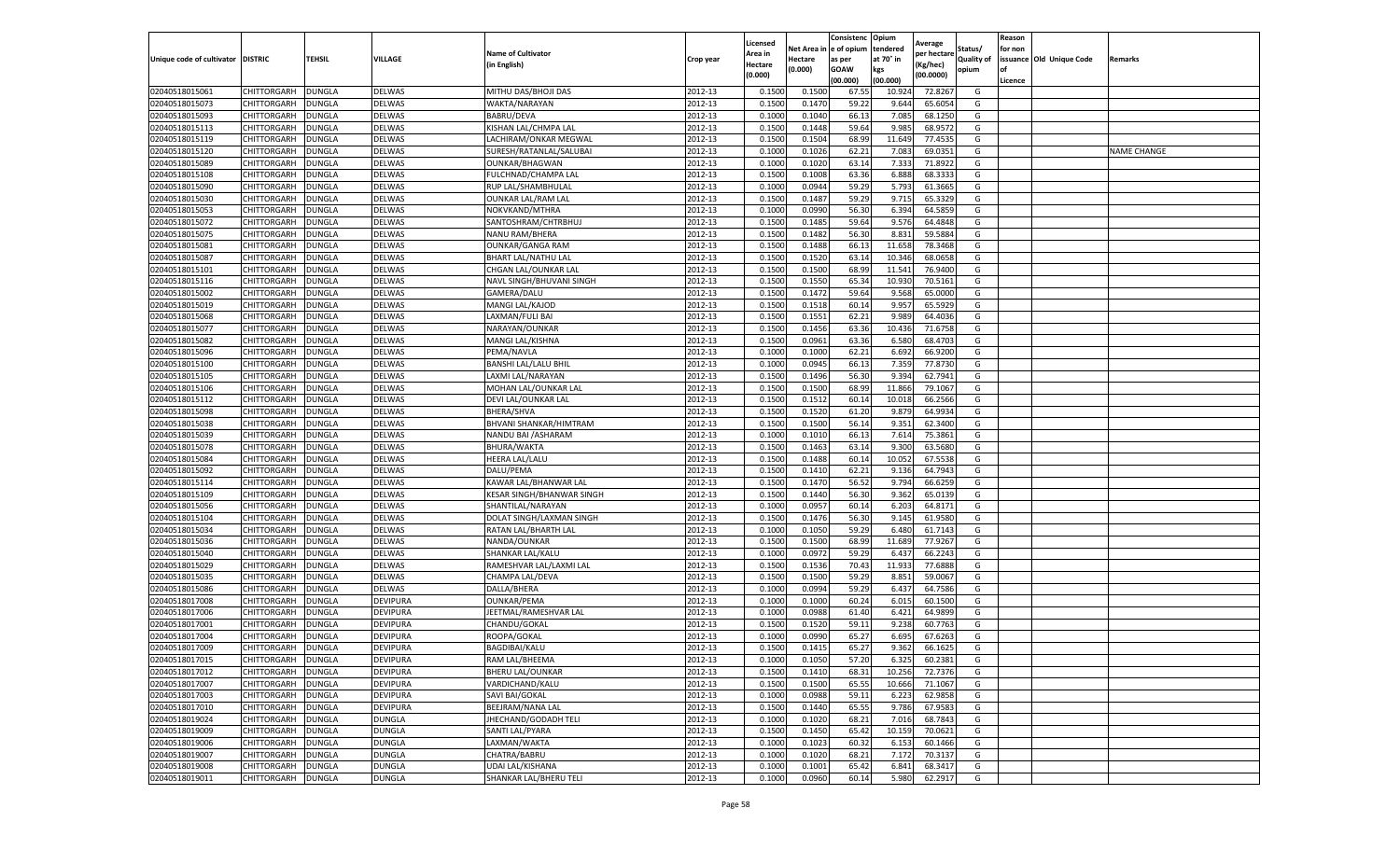|                           |                    |               |                 |                           |           | Licensed |         | Consistenc             | Opium     |                        |                   | Reason  |                          |                |
|---------------------------|--------------------|---------------|-----------------|---------------------------|-----------|----------|---------|------------------------|-----------|------------------------|-------------------|---------|--------------------------|----------------|
|                           |                    |               |                 | <b>Name of Cultivator</b> |           | Area in  |         | Net Area in e of opium | tendered  | Average<br>per hectare | Status/           | for non |                          |                |
| Unique code of cultivator | <b>DISTRIC</b>     | TEHSIL        | VILLAGE         | in English)               | Crop year | Hectare  | Hectare | as per                 | at 70° in | (Kg/hec                | <b>Quality of</b> |         | issuance Old Unique Code | <b>Remarks</b> |
|                           |                    |               |                 |                           |           | (0.000)  | (0.000) | <b>GOAW</b>            | kgs       | (00.0000)              | opium             |         |                          |                |
|                           |                    |               |                 |                           |           |          |         | (00.000)               | (00.000)  |                        |                   | Licence |                          |                |
| 02040518015061            | CHITTORGARH        | <b>DUNGLA</b> | DELWAS          | MITHU DAS/BHOJI DAS       | 2012-13   | 0.1500   | 0.1500  | 67.55                  | 10.92     | 72.8267                | G                 |         |                          |                |
| 02040518015073            | CHITTORGARH        | DUNGLA        | <b>DELWAS</b>   | WAKTA/NARAYAN             | 2012-13   | 0.1500   | 0.1470  | 59.22                  | 9.644     | 65.6054                | G                 |         |                          |                |
| 02040518015093            | CHITTORGARH        | DUNGLA        | <b>DELWAS</b>   | <b>BABRU/DEVA</b>         | 2012-13   | 0.1000   | 0.1040  | 66.13                  | 7.085     | 68.1250                | G                 |         |                          |                |
| 02040518015113            | CHITTORGARH        | <b>DUNGLA</b> | DELWAS          | KISHAN LAL/CHMPA LAL      | 2012-13   | 0.1500   | 0.1448  | 59.64                  | 9.985     | 68.9572                | G                 |         |                          |                |
| 02040518015119            | CHITTORGARH        | DUNGLA        | DELWAS          | LACHIRAM/ONKAR MEGWAL     | 2012-13   | 0.1500   | 0.1504  | 68.99                  | 11.649    | 77.4535                | G                 |         |                          |                |
| 02040518015120            | CHITTORGARH        | DUNGLA        | DELWAS          | SURESH/RATANLAL/SALUBAI   | 2012-13   | 0.1000   | 0.1026  | 62.21                  | 7.083     | 69.0351                | G                 |         |                          | NAME CHANGE    |
| 02040518015089            | CHITTORGARH        | <b>DUNGLA</b> | DELWAS          | <b>OUNKAR/BHAGWAN</b>     | 2012-13   | 0.1000   | 0.1020  | 63.14                  | 7.333     | 71.8922                | G                 |         |                          |                |
| 02040518015108            | CHITTORGARH        | DUNGLA        | DELWAS          | FULCHNAD/CHAMPA LAL       | 2012-13   | 0.1500   | 0.1008  | 63.36                  | 6.888     | 68.3333                | G                 |         |                          |                |
| 02040518015090            | CHITTORGARH        | DUNGLA        | DELWAS          | RUP LAL/SHAMBHULAL        | 2012-13   | 0.1000   | 0.0944  | 59.29                  | 5.793     | 61.3665                | G                 |         |                          |                |
| 02040518015030            | CHITTORGARH        | <b>DUNGLA</b> | DELWAS          | <b>OUNKAR LAL/RAM LAL</b> | 2012-13   | 0.1500   | 0.1487  | 59.29                  | 9.715     | 65.3329                | G                 |         |                          |                |
| 02040518015053            | CHITTORGARH        | <b>DUNGLA</b> | DELWAS          | NOKVKAND/MTHRA            | 2012-13   | 0.1000   | 0.0990  | 56.30                  | 6.394     | 64.5859                | G                 |         |                          |                |
| 02040518015072            | CHITTORGARH        | <b>DUNGLA</b> | <b>DELWAS</b>   | SANTOSHRAM/CHTRBHUJ       | 2012-13   | 0.1500   | 0.1485  | 59.64                  | 9.576     | 64.4848                | G                 |         |                          |                |
| 02040518015075            | CHITTORGARH        | DUNGLA        | DELWAS          | NANU RAM/BHERA            | 2012-13   | 0.1500   | 0.1482  | 56.30                  | 8.83      | 59.5884                | G                 |         |                          |                |
| 02040518015081            | CHITTORGARH        | DUNGLA        | DELWAS          | <b>OUNKAR/GANGA RAM</b>   | 2012-13   | 0.1500   | 0.1488  | 66.13                  | 11.65     | 78.3468                | G                 |         |                          |                |
| 02040518015087            | CHITTORGARH        | DUNGLA        | <b>DELWAS</b>   | BHART LAL/NATHU LAL       | 2012-13   | 0.1500   | 0.1520  | 63.14                  | 10.346    | 68.0658                | G                 |         |                          |                |
| 02040518015101            | CHITTORGARH        | <b>DUNGLA</b> | DELWAS          | CHGAN LAL/OUNKAR LAL      | 2012-13   | 0.1500   | 0.1500  | 68.99                  | 11.541    | 76.9400                | G                 |         |                          |                |
| 02040518015116            | CHITTORGARH        | <b>DUNGLA</b> | DELWAS          | NAVL SINGH/BHUVANI SINGH  | 2012-13   | 0.1500   | 0.1550  | 65.34                  | 10.93     | 70.5161                | G                 |         |                          |                |
| 02040518015002            | CHITTORGARH        | <b>DUNGLA</b> | DELWAS          | GAMERA/DALU               | 2012-13   | 0.1500   | 0.1472  | 59.64                  | 9.568     | 65.0000                | G                 |         |                          |                |
| 02040518015019            | CHITTORGARH        | DUNGLA        | DELWAS          | MANGI LAL/KAJOD           | 2012-13   | 0.1500   | 0.1518  | 60.14                  | 9.95      | 65.5929                | G                 |         |                          |                |
| 02040518015068            | CHITTORGARH        | DUNGLA        | DELWAS          | LAXMAN/FULI BAI           | 2012-13   | 0.1500   | 0.1551  | 62.21                  | 9.989     | 64.4036                | G                 |         |                          |                |
| 02040518015077            | CHITTORGARH        | <b>DUNGLA</b> | DELWAS          | NARAYAN/OUNKAR            | 2012-13   | 0.1500   | 0.1456  | 63.36                  | 10.436    | 71.6758                | G                 |         |                          |                |
| 02040518015082            | CHITTORGARH        | DUNGLA        | DELWAS          | MANGI LAL/KISHNA          | 2012-13   | 0.1500   | 0.0961  | 63.36                  | 6.580     | 68.4703                | G                 |         |                          |                |
| 02040518015096            | CHITTORGARH        | <b>DUNGLA</b> | DELWAS          | PEMA/NAVLA                | 2012-13   | 0.1000   | 0.1000  | 62.21                  | 6.692     | 66.9200                | G                 |         |                          |                |
| 02040518015100            | CHITTORGARH        | DUNGLA        | <b>DELWAS</b>   | BANSHI LAL/LALU BHIL      | 2012-13   | 0.1000   | 0.0945  | 66.13                  | 7.359     | 77.8730                | G                 |         |                          |                |
| 02040518015105            | CHITTORGARH        | DUNGLA        | DELWAS          | LAXMI LAL/NARAYAN         | 2012-13   | 0.1500   | 0.1496  | 56.30                  | 9.394     | 62.7941                | G                 |         |                          |                |
| 02040518015106            | CHITTORGARH        | DUNGLA        | DELWAS          | MOHAN LAL/OUNKAR LAL      | 2012-13   | 0.1500   | 0.1500  | 68.99                  | 11.866    | 79.1067                | G                 |         |                          |                |
| 02040518015112            | CHITTORGARH        | DUNGLA        | DELWAS          | DEVI LAL/OUNKAR LAL       | 2012-13   | 0.1500   | 0.1512  | 60.14                  | 10.01     | 66.2566                | G                 |         |                          |                |
| 02040518015098            | CHITTORGARH        | <b>DUNGLA</b> | DELWAS          | BHERA/SHVA                | 2012-13   | 0.1500   | 0.1520  | 61.20                  | 9.879     | 64.9934                | G                 |         |                          |                |
| 02040518015038            | CHITTORGARH        | <b>DUNGLA</b> | DELWAS          | BHVANI SHANKAR/HIMTRAM    | 2012-13   | 0.1500   | 0.1500  | 56.14                  | 9.351     | 62.3400                | G                 |         |                          |                |
| 02040518015039            | CHITTORGARH        | <b>DUNGLA</b> | DELWAS          | NANDU BAI / ASHARAM       | 2012-13   | 0.1000   | 0.1010  | 66.13                  | 7.614     | 75.3861                | G                 |         |                          |                |
| 02040518015078            | CHITTORGARH        | DUNGLA        | DELWAS          | BHURA/WAKTA               | 2012-13   | 0.1500   | 0.1463  | 63.14                  | 9.30      | 63.5680                | G                 |         |                          |                |
| 02040518015084            | CHITTORGARH        | DUNGLA        | DELWAS          | <b>HEERA LAL/LALU</b>     | 2012-13   | 0.1500   | 0.1488  | 60.14                  | 10.052    | 67.5538                | G                 |         |                          |                |
| 02040518015092            | CHITTORGARH        | DUNGLA        | DELWAS          | DALU/PEMA                 | 2012-13   | 0.1500   | 0.1410  | 62.21                  | 9.136     | 64.7943                | G                 |         |                          |                |
| 02040518015114            | CHITTORGARH        | DUNGLA        | <b>DELWAS</b>   | KAWAR LAL/BHANWAR LAL     | 2012-13   | 0.1500   | 0.1470  | 56.52                  | 9.794     | 66.6259                | G                 |         |                          |                |
| 02040518015109            | CHITTORGARH        | <b>DUNGLA</b> | DELWAS          | KESAR SINGH/BHANWAR SINGH | 2012-13   | 0.1500   | 0.1440  | 56.30                  | 9.362     | 65.0139                | G                 |         |                          |                |
| 02040518015056            | CHITTORGARH        | DUNGLA        | DELWAS          | SHANTILAL/NARAYAN         | 2012-13   | 0.1000   | 0.0957  | 60.14                  | 6.203     | 64.8171                | G                 |         |                          |                |
| 02040518015104            | CHITTORGARH        | <b>DUNGLA</b> | DELWAS          | DOLAT SINGH/LAXMAN SINGH  | 2012-13   | 0.1500   | 0.1476  | 56.30                  | 9.145     | 61.9580                | G                 |         |                          |                |
| 02040518015034            | CHITTORGARH        | DUNGLA        | DELWAS          | RATAN LAL/BHARTH LAL      | 2012-13   | 0.1000   | 0.1050  | 59.29                  | 6.48      | 61.7143                | G                 |         |                          |                |
| 02040518015036            | CHITTORGARH        | DUNGLA        | DELWAS          | NANDA/OUNKAR              | 2012-13   | 0.1500   | 0.1500  | 68.99                  | 11.689    | 77.9267                | G                 |         |                          |                |
| 02040518015040            | CHITTORGARH        | <b>DUNGLA</b> | <b>DELWAS</b>   | SHANKAR LAL/KALU          | 2012-13   | 0.1000   | 0.0972  | 59.29                  | 6.437     | 66.2243                | G                 |         |                          |                |
| 02040518015029            | CHITTORGARH        | DUNGLA        | <b>DELWAS</b>   | RAMESHVAR LAL/LAXMI LAL   | 2012-13   | 0.1500   | 0.1536  | 70.43                  | 11.933    | 77.6888                | G                 |         |                          |                |
| 02040518015035            | CHITTORGARH        | <b>DUNGLA</b> | DELWAS          | CHAMPA LAL/DEVA           | 2012-13   | 0.1500   | 0.1500  | 59.29                  | 8.851     | 59.0067                | G                 |         |                          |                |
| 02040518015086            | CHITTORGARH        | DUNGLA        | <b>DELWAS</b>   | DALLA/BHERA               | 2012-13   | 0.1000   | 0.0994  | 59.29                  | 6.437     | 64.7586                | G                 |         |                          |                |
| 02040518017008            | CHITTORGARH        | DUNGLA        | <b>DEVIPURA</b> | <b>OUNKAR/PEMA</b>        | 2012-13   | 0.1000   | 0.1000  | 60.24                  | 6.015     | 60.1500                | G                 |         |                          |                |
| 02040518017006            | <b>CHITTORGARH</b> | <b>DUNGLA</b> | DEVIPURA        | JEETMAL/RAMESHVAR LAL     | 2012-13   | 0.1000   | 0.0988  | 61.40                  | 6.421     | 64.9899                | G                 |         |                          |                |
| 02040518017001            | CHITTORGARH        | DUNGLA        | DEVIPURA        | CHANDU/GOKAL              | 2012-13   | 0.1500   | 0.1520  | 59.11                  | 9.23      | 60.7763                | G                 |         |                          |                |
| 02040518017004            | CHITTORGARH        | DUNGLA        | <b>DEVIPURA</b> | ROOPA/GOKAL               | 2012-13   | 0.1000   | 0.0990  | 65.27                  | 6.695     | 67.6263                | G                 |         |                          |                |
| 02040518017009            | CHITTORGARH        | <b>DUNGLA</b> | <b>DEVIPURA</b> | BAGDIBAI/KALU             | 2012-13   | 0.1500   | 0.1415  | 65.27                  | 9.362     | 66.1625                | G                 |         |                          |                |
| 02040518017015            | CHITTORGARH        | <b>DUNGLA</b> | <b>DEVIPURA</b> | RAM LAL/BHEEMA            | 2012-13   | 0.1000   | 0.1050  | 57.20                  | 6.325     | 60.2381                | G                 |         |                          |                |
| 02040518017012            | CHITTORGARH        | <b>DUNGLA</b> | <b>DEVIPURA</b> | <b>BHERU LAL/OUNKAR</b>   | 2012-13   | 0.1500   | 0.1410  | 68.31                  | 10.256    | 72.7376                | G                 |         |                          |                |
| 02040518017007            | CHITTORGARH        | <b>DUNGLA</b> | DEVIPURA        | VARDICHAND/KALU           | 2012-13   | 0.1500   | 0.1500  | 65.55                  | 10.666    | 71.1067                | G                 |         |                          |                |
| 02040518017003            | CHITTORGARH        | <b>DUNGLA</b> | DEVIPURA        | SAVI BAI/GOKAL            | 2012-13   | 0.1000   | 0.0988  | 59.11                  | 6.223     | 62.9858                | G                 |         |                          |                |
| 02040518017010            | CHITTORGARH        | <b>DUNGLA</b> | DEVIPURA        | BEEJRAM/NANA LAL          | 2012-13   | 0.1500   | 0.1440  | 65.55                  | 9.786     | 67.9583                | G                 |         |                          |                |
| 02040518019024            | <b>CHITTORGARH</b> | <b>DUNGLA</b> | <b>DUNGLA</b>   | JHECHAND/GODADH TELI      | 2012-13   | 0.1000   | 0.1020  | 68.21                  | 7.016     | 68.7843                | G                 |         |                          |                |
| 02040518019009            | CHITTORGARH        | <b>DUNGLA</b> | DUNGLA          | SANTI LAL/PYARA           | 2012-13   | 0.1500   | 0.1450  | 65.42                  | 10.15     | 70.0621                | G                 |         |                          |                |
| 02040518019006            | CHITTORGARH        | <b>DUNGLA</b> | DUNGLA          | LAXMAN/WAKTA              | 2012-13   | 0.1000   | 0.1023  | 60.32                  | 6.153     | 60.1466                | G                 |         |                          |                |
| 02040518019007            | CHITTORGARH        | <b>DUNGLA</b> | DUNGLA          | CHATRA/BABRU              | 2012-13   | 0.1000   | 0.1020  | 68.21                  | 7.172     | 70.3137                | G                 |         |                          |                |
| 02040518019008            | CHITTORGARH        | DUNGLA        | DUNGLA          | UDAI LAL/KISHANA          | 2012-13   | 0.1000   | 0.1001  | 65.42                  | 6.841     | 68.3417                | G                 |         |                          |                |
| 02040518019011            | <b>CHITTORGARH</b> | <b>DUNGLA</b> | <b>DUNGLA</b>   | SHANKAR LAL/BHERU TELI    | 2012-13   | 0.1000   | 0.0960  | 60.14                  | 5.980     | 62.2917                | G                 |         |                          |                |
|                           |                    |               |                 |                           |           |          |         |                        |           |                        |                   |         |                          |                |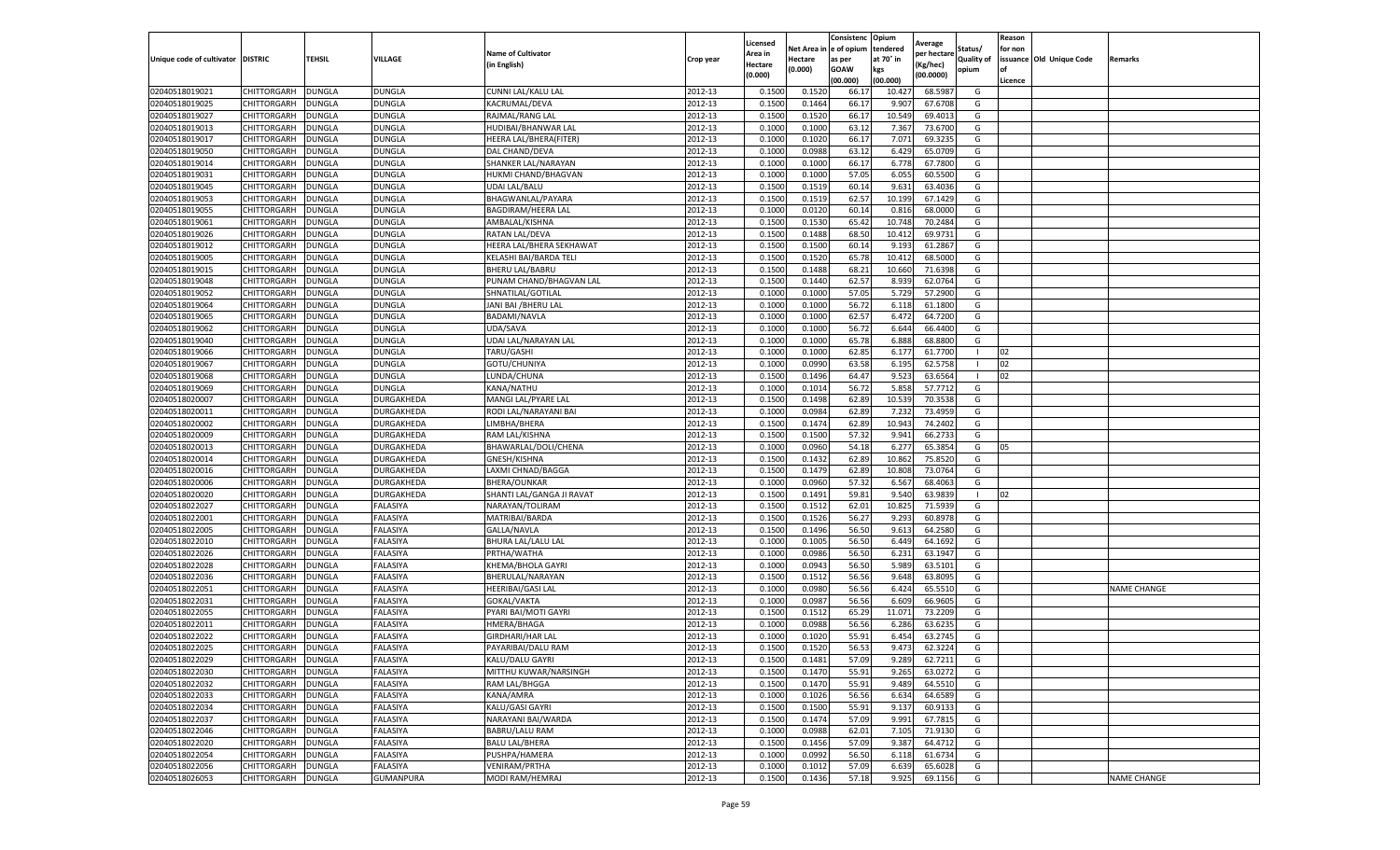|                           |                    |               |                  |                           |           | Licensed |         | Consistenc             | Opium     |                        |                   | Reason  |                          |                    |
|---------------------------|--------------------|---------------|------------------|---------------------------|-----------|----------|---------|------------------------|-----------|------------------------|-------------------|---------|--------------------------|--------------------|
|                           |                    |               |                  | <b>Name of Cultivator</b> |           | Area in  |         | Net Area in e of opium | tendered  | Average<br>oer hectare | Status/           | for non |                          |                    |
| Unique code of cultivator | <b>DISTRIC</b>     | TEHSIL        | VILLAGE          | in English)               | Crop year | Hectare  | Hectare | as per                 | at 70° in | (Kg/hec                | <b>Quality of</b> |         | issuance Old Unique Code | <b>Remarks</b>     |
|                           |                    |               |                  |                           |           | (0.000)  | (0.000) | <b>GOAW</b>            | kgs       | (00.0000)              | opium             |         |                          |                    |
|                           |                    |               |                  |                           |           |          |         | (00.000)               | (00.000)  |                        |                   | Licence |                          |                    |
| 02040518019021            | CHITTORGARH        | <b>DUNGLA</b> | <b>DUNGLA</b>    | CUNNI LAL/KALU LAL        | 2012-13   | 0.1500   | 0.1520  | 66.1                   | 10.427    | 68.5987                | G                 |         |                          |                    |
| 02040518019025            | CHITTORGARH        | DUNGLA        | <b>DUNGLA</b>    | KACRUMAL/DEVA             | 2012-13   | 0.1500   | 0.1464  | 66.17                  | 9.907     | 67.6708                | G                 |         |                          |                    |
| 02040518019027            | CHITTORGARH        | DUNGLA        | DUNGLA           | RAJMAL/RANG LAL           | 2012-13   | 0.1500   | 0.1520  | 66.17                  | 10.549    | 69.4013                | G                 |         |                          |                    |
| 02040518019013            | CHITTORGARH        | <b>DUNGLA</b> | DUNGLA           | HUDIBAI/BHANWAR LAL       | 2012-13   | 0.1000   | 0.1000  | 63.12                  | 7.367     | 73.6700                | G                 |         |                          |                    |
| 02040518019017            | CHITTORGARH        | DUNGLA        | DUNGLA           | HEERA LAL/BHERA(FITER)    | 2012-13   | 0.1000   | 0.1020  | 66.17                  | 7.071     | 69.3235                | G                 |         |                          |                    |
| 02040518019050            | CHITTORGARH        | DUNGLA        | <b>DUNGLA</b>    | DAL CHAND/DEVA            | 2012-13   | 0.1000   | 0.0988  | 63.12                  | 6.429     | 65.0709                | G                 |         |                          |                    |
| 02040518019014            | CHITTORGARH        | <b>DUNGLA</b> | <b>DUNGLA</b>    | SHANKER LAL/NARAYAN       | 2012-13   | 0.1000   | 0.1000  | 66.17                  | 6.778     | 67.7800                | G                 |         |                          |                    |
| 02040518019031            | CHITTORGARH        | DUNGLA        | DUNGLA           | HUKMI CHAND/BHAGVAN       | 2012-13   | 0.1000   | 0.1000  | 57.05                  | 6.055     | 60.5500                | G                 |         |                          |                    |
| 02040518019045            | CHITTORGARH        | DUNGLA        | DUNGLA           | <b>UDAI LAL/BALU</b>      | 2012-13   | 0.1500   | 0.1519  | 60.14                  | 9.631     | 63.4036                | G                 |         |                          |                    |
| 02040518019053            | CHITTORGARH        | <b>DUNGLA</b> | DUNGLA           | BHAGWANLAL/PAYARA         | 2012-13   | 0.1500   | 0.1519  | 62.57                  | 10.199    | 67.1429                | G                 |         |                          |                    |
| 02040518019055            | CHITTORGARH        | <b>DUNGLA</b> | DUNGLA           | BAGDIRAM/HEERA LAL        | 2012-13   | 0.1000   | 0.0120  | 60.14                  | 0.81      | 68.0000                | G                 |         |                          |                    |
| 02040518019061            | CHITTORGARH        | <b>DUNGLA</b> | DUNGLA           | AMBALAL/KISHNA            | 2012-13   | 0.1500   | 0.1530  | 65.42                  | 10.74     | 70.2484                | G                 |         |                          |                    |
| 02040518019026            | CHITTORGARH        | DUNGLA        | DUNGLA           | RATAN LAL/DEVA            | 2012-13   | 0.1500   | 0.1488  | 68.50                  | 10.41     | 69.9731                | G                 |         |                          |                    |
| 02040518019012            | CHITTORGARH        | DUNGLA        | DUNGLA           | HEERA LAL/BHERA SEKHAWAT  | 2012-13   | 0.1500   | 0.1500  | 60.14                  | 9.193     | 61.2867                | G                 |         |                          |                    |
| 02040518019005            | CHITTORGARH        | DUNGLA        | DUNGLA           | KELASHI BAI/BARDA TELI    | 2012-13   | 0.1500   | 0.1520  | 65.78                  | 10.412    | 68.5000                | G                 |         |                          |                    |
| 02040518019015            | CHITTORGARH        | <b>DUNGLA</b> | DUNGLA           | <b>BHERU LAL/BABRU</b>    | 2012-13   | 0.1500   | 0.1488  | 68.21                  | 10.660    | 71.6398                | G                 |         |                          |                    |
| 02040518019048            | CHITTORGARH        | <b>DUNGLA</b> | DUNGLA           | PUNAM CHAND/BHAGVAN LAL   | 2012-13   | 0.1500   | 0.1440  | 62.57                  | 8.939     | 62.0764                | G                 |         |                          |                    |
| 02040518019052            | CHITTORGARH        | <b>DUNGLA</b> | DUNGLA           | SHNATILAL/GOTILAL         | 2012-13   | 0.1000   | 0.1000  | 57.05                  | 5.729     | 57.2900                | G                 |         |                          |                    |
| 02040518019064            | CHITTORGARH        | DUNGLA        | DUNGLA           | JANI BAI /BHERU LAL       | 2012-13   | 0.1000   | 0.1000  | 56.72                  | 6.11      | 61.1800                | G                 |         |                          |                    |
| 02040518019065            | CHITTORGARH        | DUNGLA        | DUNGLA           | BADAMI/NAVLA              | 2012-13   | 0.1000   | 0.1000  | 62.57                  | 6.472     | 64.7200                | G                 |         |                          |                    |
| 02040518019062            | CHITTORGARH        | <b>DUNGLA</b> | <b>DUNGLA</b>    | UDA/SAVA                  | 2012-13   | 0.1000   | 0.1000  | 56.72                  | 6.644     | 66.4400                | G                 |         |                          |                    |
| 02040518019040            | CHITTORGARH        | DUNGLA        | DUNGLA           | UDAI LAL/NARAYAN LAL      | 2012-13   | 0.1000   | 0.1000  | 65.78                  | 6.888     | 68.8800                | G                 |         |                          |                    |
| 02040518019066            | CHITTORGARH        | <b>DUNGLA</b> | DUNGLA           | TARU/GASHI                | 2012-13   | 0.1000   | 0.1000  | 62.85                  | 6.177     | 61.7700                | -1                | 02      |                          |                    |
| 02040518019067            | CHITTORGARH        | DUNGLA        | DUNGLA           | GOTU/CHUNIYA              | 2012-13   | 0.1000   | 0.0990  | 63.58                  | 6.195     | 62.5758                |                   | 02      |                          |                    |
| 02040518019068            | CHITTORGARH        | DUNGLA        | <b>DUNGLA</b>    | LUNDA/CHUNA               | 2012-13   | 0.1500   | 0.1496  | 64.47                  | 9.523     | 63.6564                |                   | $_{02}$ |                          |                    |
| 02040518019069            | CHITTORGARH        | DUNGLA        | DUNGLA           | KANA/NATHU                | 2012-13   | 0.1000   | 0.1014  | 56.72                  | 5.858     | 57.7712                | G                 |         |                          |                    |
| 02040518020007            | CHITTORGARH        | DUNGLA        | DURGAKHEDA       | MANGI LAL/PYARE LAL       | 2012-13   | 0.1500   | 0.1498  | 62.89                  | 10.539    | 70.3538                | G                 |         |                          |                    |
| 02040518020011            | CHITTORGARH        | <b>DUNGLA</b> | DURGAKHEDA       | RODI LAL/NARAYANI BAI     | 2012-13   | 0.1000   | 0.0984  | 62.89                  | 7.232     | 73.4959                | G                 |         |                          |                    |
| 02040518020002            | CHITTORGARH        | <b>DUNGLA</b> | DURGAKHEDA       | LIMBHA/BHERA              | 2012-13   | 0.1500   | 0.1474  | 62.89                  | 10.943    | 74.2402                | G                 |         |                          |                    |
| 02040518020009            | CHITTORGARH        | <b>DUNGLA</b> | DURGAKHEDA       | RAM LAL/KISHNA            | 2012-13   | 0.1500   | 0.1500  | 57.32                  | 9.941     | 66.2733                | G                 |         |                          |                    |
| 02040518020013            | CHITTORGARH        | DUNGLA        | DURGAKHEDA       | BHAWARLAL/DOLI/CHENA      | 2012-13   | 0.1000   | 0.0960  | 54.18                  | 6.27      | 65.3854                | G                 | 05      |                          |                    |
| 02040518020014            | CHITTORGARH        | DUNGLA        | DURGAKHEDA       | GNESH/KISHNA              | 2012-13   | 0.1500   | 0.1432  | 62.89                  | 10.862    | 75.8520                | G                 |         |                          |                    |
| 02040518020016            | CHITTORGARH        | DUNGLA        | DURGAKHEDA       | LAXMI CHNAD/BAGGA         | 2012-13   | 0.1500   | 0.1479  | 62.89                  | 10.80     | 73.0764                | G                 |         |                          |                    |
| 02040518020006            | CHITTORGARH        | DUNGLA        | DURGAKHEDA       | <b>BHERA/OUNKAR</b>       | 2012-13   | 0.1000   | 0.0960  | 57.32                  | 6.567     | 68.4063                | G                 |         |                          |                    |
| 02040518020020            | CHITTORGARH        | <b>DUNGLA</b> | DURGAKHEDA       | SHANTI LAL/GANGA JI RAVAT | 2012-13   | 0.1500   | 0.1491  | 59.81                  | 9.540     | 63.9839                |                   | 02      |                          |                    |
| 02040518022027            | CHITTORGARH        | <b>DUNGLA</b> | FALASIYA         | NARAYAN/TOLIRAM           | 2012-13   | 0.1500   | 0.1512  | 62.01                  | 10.825    | 71.5939                | G                 |         |                          |                    |
| 02040518022001            | CHITTORGARH        | <b>DUNGLA</b> | FALASIYA         | MATRIBAI/BARDA            | 2012-13   | 0.1500   | 0.1526  | 56.27                  | 9.293     | 60.8978                | G                 |         |                          |                    |
| 02040518022005            | CHITTORGARH        | DUNGLA        | ALASIYA          | GALLA/NAVLA               | 2012-13   | 0.1500   | 0.1496  | 56.50                  | 9.61      | 64.2580                | G                 |         |                          |                    |
| 02040518022010            | CHITTORGARH        | DUNGLA        | FALASIYA         | BHURA LAL/LALU LAL        | 2012-13   | 0.1000   | 0.1005  | 56.50                  | 6.449     | 64.1692                | G                 |         |                          |                    |
| 02040518022026            | CHITTORGARH        | <b>DUNGLA</b> | FALASIYA         | PRTHA/WATHA               | 2012-13   | 0.1000   | 0.0986  | 56.50                  | 6.231     | 63.1947                | G                 |         |                          |                    |
| 02040518022028            | CHITTORGARH        | DUNGLA        | FALASIYA         | KHEMA/BHOLA GAYRI         | 2012-13   | 0.1000   | 0.0943  | 56.50                  | 5.989     | 63.5101                | G                 |         |                          |                    |
| 02040518022036            | CHITTORGARH        | <b>DUNGLA</b> | FALASIYA         | BHERULAL/NARAYAN          | 2012-13   | 0.1500   | 0.1512  | 56.56                  | 9.648     | 63.8095                | G                 |         |                          |                    |
| 02040518022051            | CHITTORGARH        | DUNGLA        | FALASIYA         | HEERIBAI/GASI LAL         | 2012-13   | 0.1000   | 0.0980  | 56.56                  | 6.424     | 65.5510                | G                 |         |                          | <b>NAME CHANGE</b> |
| 02040518022031            | CHITTORGARH        | <b>DUNGLA</b> | FALASIYA         | GOKAL/VAKTA               | 2012-13   | 0.1000   | 0.0987  | 56.56                  | 6.609     | 66.9605                | G                 |         |                          |                    |
| 02040518022055            | CHITTORGARH        | <b>DUNGLA</b> | FALASIYA         | PYARI BAI/MOTI GAYRI      | 2012-13   | 0.1500   | 0.1512  | 65.29                  | 11.071    | 73.2209                | G                 |         |                          |                    |
| 02040518022011            | CHITTORGARH        | DUNGLA        | FALASIYA         | HMERA/BHAGA               | 2012-13   | 0.1000   | 0.0988  | 56.56                  | 6.286     | 63.6235                | G                 |         |                          |                    |
| 02040518022022            | CHITTORGARH        | DUNGLA        | FALASIYA         | GIRDHARI/HAR LAL          | 2012-13   | 0.1000   | 0.1020  | 55.91                  | 6.454     | 63.2745                | G                 |         |                          |                    |
| 02040518022025            | CHITTORGARH        | <b>DUNGLA</b> | FALASIYA         | PAYARIBAI/DALU RAM        | 2012-13   | 0.1500   | 0.1520  | 56.53                  | 9.473     | 62.3224                | G                 |         |                          |                    |
| 02040518022029            | <b>CHITTORGARH</b> | <b>DUNGLA</b> | FALASIYA         | KALU/DALU GAYRI           | 2012-13   | 0.1500   | 0.1481  | 57.09                  | 9.289     | 62.7211                | G                 |         |                          |                    |
| 02040518022030            | CHITTORGARH        | <b>DUNGLA</b> | FALASIYA         | MITTHU KUWAR/NARSINGH     | 2012-13   | 0.1500   | 0.1470  | 55.91                  | 9.265     | 63.0272                | G                 |         |                          |                    |
| 02040518022032            | CHITTORGARH        | <b>DUNGLA</b> | FALASIYA         | RAM LAL/BHGGA             | 2012-13   | 0.1500   | 0.1470  | 55.91                  | 9.489     | 64.5510                | G                 |         |                          |                    |
| 02040518022033            | CHITTORGARH        | DUNGLA        | FALASIYA         | KANA/AMRA                 | 2012-13   | 0.1000   | 0.1026  | 56.56                  | 6.634     | 64.6589                | G                 |         |                          |                    |
| 02040518022034            | <b>CHITTORGARH</b> | <b>DUNGLA</b> | FALASIYA         | KALU/GASI GAYRI           | 2012-13   | 0.1500   | 0.1500  | 55.91                  | 9.137     | 60.9133                | G                 |         |                          |                    |
| 02040518022037            | <b>CHITTORGARH</b> | <b>DUNGLA</b> | FALASIYA         | NARAYANI BAI/WARDA        | 2012-13   | 0.1500   | 0.1474  | 57.09                  | 9.991     | 67.7815                | G                 |         |                          |                    |
| 02040518022046            | CHITTORGARH        | <b>DUNGLA</b> | FALASIYA         | BABRU/LALU RAM            | 2012-13   | 0.1000   | 0.0988  | 62.01                  | 7.105     | 71.9130                | G                 |         |                          |                    |
| 02040518022020            | CHITTORGARH        | <b>DUNGLA</b> | FALASIYA         | <b>BALU LAL/BHERA</b>     | 2012-13   | 0.1500   | 0.1456  | 57.09                  | 9.387     | 64.4712                | G                 |         |                          |                    |
| 02040518022054            | CHITTORGARH        | <b>DUNGLA</b> | FALASIYA         | PUSHPA/HAMERA             | 2012-13   | 0.1000   | 0.0992  | 56.50                  | 6.118     | 61.6734                | G                 |         |                          |                    |
| 02040518022056            | <b>CHITTORGARH</b> | DUNGLA        | FALASIYA         | <b>VENIRAM/PRTHA</b>      | 2012-13   | 0.1000   | 0.1012  | 57.09                  | 6.639     | 65.6028                | G                 |         |                          |                    |
| 02040518026053            | <b>CHITTORGARH</b> | <b>DUNGLA</b> | <b>GUMANPURA</b> | MODI RAM/HEMRAJ           | 2012-13   | 0.1500   | 0.1436  | 57.18                  | 9.925     | 69.1156                | G                 |         |                          | <b>NAME CHANGE</b> |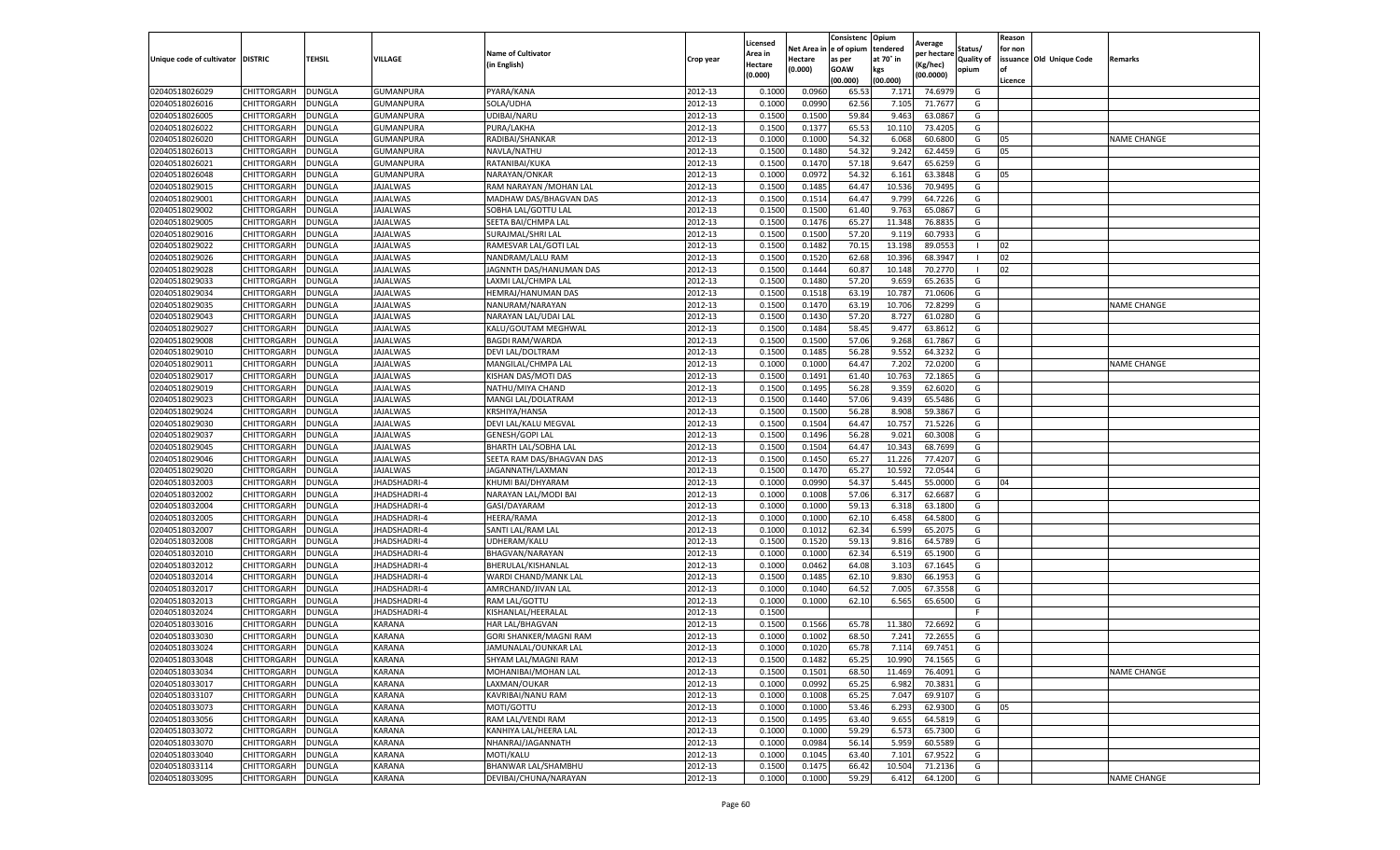|                                  |                                   |                                |                     |                                |                    | Licensed         |                  | Consistenc             | Opium          |                        |                   | Reason  |                          |                    |
|----------------------------------|-----------------------------------|--------------------------------|---------------------|--------------------------------|--------------------|------------------|------------------|------------------------|----------------|------------------------|-------------------|---------|--------------------------|--------------------|
|                                  |                                   |                                |                     | <b>Name of Cultivator</b>      |                    | Area in          |                  | Net Area in e of opium | tendered       | Average<br>per hectare | Status/           | for non |                          |                    |
| Unique code of cultivator        | <b>DISTRIC</b>                    | TEHSIL                         | VILLAGE             | in English)                    | Crop year          | Hectare          | Hectare          | as per                 | at 70° in      | (Kg/hec                | <b>Quality of</b> |         | issuance Old Unique Code | <b>Remarks</b>     |
|                                  |                                   |                                |                     |                                |                    | (0.000)          | (0.000)          | <b>GOAW</b>            | kgs            | (00.0000)              | opium             |         |                          |                    |
|                                  |                                   |                                |                     |                                |                    |                  |                  | (00.000)               | (00.000)       |                        |                   | Licence |                          |                    |
| 02040518026029                   | CHITTORGARH                       | <b>DUNGLA</b>                  | <b>GUMANPURA</b>    | PYARA/KANA                     | 2012-13            | 0.1000           | 0.0960           | 65.53                  | 7.171          | 74.6979                | G                 |         |                          |                    |
| 02040518026016                   | CHITTORGARH                       | DUNGLA                         | GUMANPURA           | SOLA/UDHA                      | 2012-13            | 0.1000           | 0.0990           | 62.56                  | 7.10           | 71.7677                | G                 |         |                          |                    |
| 02040518026005                   | CHITTORGARH                       | DUNGLA                         | GUMANPURA           | UDIBAI/NARU                    | 2012-13            | 0.1500           | 0.1500           | 59.84                  | 9.463          | 63.0867                | G                 |         |                          |                    |
| 02040518026022                   | CHITTORGARH                       | <b>DUNGLA</b>                  | GUMANPURA           | PURA/LAKHA                     | 2012-13            | 0.1500           | 0.1377           | 65.53                  | 10.110         | 73.4205                | G                 |         |                          |                    |
| 02040518026020                   | CHITTORGARH                       | <b>DUNGLA</b>                  | <b>GUMANPURA</b>    | RADIBAI/SHANKAR                | 2012-13            | 0.1000           | 0.1000           | 54.32                  | 6.068          | 60.6800                | G                 | 05      |                          | <b>NAME CHANGE</b> |
| 02040518026013                   | CHITTORGARH                       | DUNGLA                         | GUMANPURA           | NAVLA/NATHU                    | 2012-13            | 0.1500           | 0.1480           | 54.32                  | 9.242          | 62.4459                | G                 | 05      |                          |                    |
| 02040518026021                   | CHITTORGARH                       | DUNGLA                         | GUMANPURA           | RATANIBAI/KUKA                 | 2012-13            | 0.1500           | 0.1470           | 57.18                  | 9.647          | 65.6259                | G                 |         |                          |                    |
| 02040518026048                   | CHITTORGARH                       | DUNGLA                         | GUMANPURA           | NARAYAN/ONKAR                  | 2012-13            | 0.1000           | 0.0972           | 54.32                  | 6.161          | 63.3848                | G                 | 05      |                          |                    |
| 02040518029015                   | CHITTORGARH                       | DUNGLA                         | <b>JAJALWAS</b>     | RAM NARAYAN / MOHAN LAL        | 2012-13            | 0.1500           | 0.1485           | 64.47                  | 10.536         | 70.9495                | G                 |         |                          |                    |
| 02040518029001                   | CHITTORGARH                       | <b>DUNGLA</b>                  | <b>JAJALWAS</b>     | MADHAW DAS/BHAGVAN DAS         | 2012-13            | 0.1500           | 0.1514           | 64.47                  | 9.799          | 64.7226                | G                 |         |                          |                    |
| 02040518029002                   | CHITTORGARH                       | <b>DUNGLA</b>                  | JAJALWAS            | SOBHA LAL/GOTTU LAL            | 2012-13            | 0.1500           | 0.1500           | 61.40                  | 9.763          | 65.0867                | G                 |         |                          |                    |
| 02040518029005                   | CHITTORGARH                       | <b>DUNGLA</b>                  | JAJALWAS            | SEETA BAI/CHMPA LAL            | 2012-13            | 0.1500           | 0.1476           | 65.27                  | 11.34          | 76.8835                | G                 |         |                          |                    |
| 02040518029016                   | CHITTORGARH                       | DUNGLA                         | <b>JAJALWAS</b>     | SURAJMAL/SHRI LAL              | 2012-13            | 0.1500           | 0.1500           | 57.20                  | 9.11           | 60.793                 | G                 |         |                          |                    |
| 02040518029022                   | CHITTORGARH                       | DUNGLA                         | JAJALWAS            | RAMESVAR LAL/GOTI LAL          | 2012-13            | 0.1500           | 0.1482           | 70.15                  | 13.198         | 89.0553                | -1                | 02      |                          |                    |
| 02040518029026                   | CHITTORGARH                       | DUNGLA                         | JAJALWAS            | NANDRAM/LALU RAM               | 2012-13            | 0.1500           | 0.1520           | 62.68                  | 10.396         | 68.3947                | - 1               | 02      |                          |                    |
| 02040518029028                   | CHITTORGARH                       | <b>DUNGLA</b>                  | <b>JAJALWAS</b>     | JAGNNTH DAS/HANUMAN DAS        | 2012-13            | 0.1500           | 0.1444           | 60.87                  | 10.14          | 70.2770                | -1                | 02      |                          |                    |
| 02040518029033                   | CHITTORGARH                       | <b>DUNGLA</b>                  | JAJALWAS            | LAXMI LAL/CHMPA LAL            | 2012-13            | 0.1500           | 0.1480           | 57.20                  | 9.659          | 65.2635                | G                 |         |                          |                    |
| 02040518029034                   | CHITTORGARH                       | <b>DUNGLA</b>                  | JAJALWAS            | HEMRAJ/HANUMAN DAS             | 2012-13            | 0.1500           | 0.1518           | 63.19                  | 10.78          | 71.0606                | G                 |         |                          |                    |
| 02040518029035                   | CHITTORGARH                       | DUNGLA                         | JAJALWAS            | NANURAM/NARAYAN                | 2012-13            | 0.1500           | 0.1470           | 63.19                  | 10.706         | 72.8299                | G                 |         |                          | <b>NAME CHANGE</b> |
| 02040518029043                   | CHITTORGARH                       | DUNGLA                         | <b>JAJALWAS</b>     | NARAYAN LAL/UDAI LAL           | 2012-13            | 0.1500           | 0.1430           | 57.20                  | 8.727          | 61.0280                | G                 |         |                          |                    |
| 02040518029027                   | CHITTORGARH                       | <b>DUNGLA</b>                  | JAJALWAS            | KALU/GOUTAM MEGHWAL            | 2012-13            | 0.1500           | 0.1484           | 58.45                  | 9.477          | 63.8612                | G                 |         |                          |                    |
| 02040518029008                   | CHITTORGARH                       | DUNGLA                         | JAJALWAS            | <b>BAGDI RAM/WARDA</b>         | 2012-13            | 0.1500           | 0.1500           | 57.06                  | 9.268          | 61.7867                | G                 |         |                          |                    |
| 02040518029010                   | CHITTORGARH                       | <b>DUNGLA</b>                  | JAJALWAS            | DEVI LAL/DOLTRAM               | 2012-13            | 0.1500           | 0.1485           | 56.28                  | 9.552          | 64.3232                | G                 |         |                          |                    |
| 02040518029011                   | CHITTORGARH                       | DUNGLA                         | JAJALWAS            | MANGILAL/CHMPA LAL             | 2012-13            | 0.1000           | 0.1000           | 64.47                  | 7.202          | 72.0200                | G                 |         |                          | <b>NAME CHANGE</b> |
| 02040518029017                   | CHITTORGARH                       | DUNGLA                         | JAJALWAS            | KISHAN DAS/MOTI DAS            | 2012-13            | 0.1500           | 0.1491           | 61.40                  | 10.763         | 72.1865                | G                 |         |                          |                    |
| 02040518029019                   | CHITTORGARH                       | DUNGLA                         | JAJALWAS            | NATHU/MIYA CHAND               | 2012-13            | 0.1500           | 0.1495           | 56.28                  | 9.359          | 62.6020                | G                 |         |                          |                    |
| 02040518029023                   | CHITTORGARH                       | DUNGLA                         | <b>JAJALWAS</b>     | MANGI LAL/DOLATRAM             | 2012-13            | 0.1500           | 0.1440           | 57.06                  | 9.439          | 65.5486                | G                 |         |                          |                    |
| 02040518029024                   | CHITTORGARH                       | <b>DUNGLA</b>                  | JAJALWAS            | KRSHIYA/HANSA                  | 2012-13            | 0.1500           | 0.1500           | 56.28                  | 8.908          | 59.3867                | G                 |         |                          |                    |
| 02040518029030                   | CHITTORGARH                       | <b>DUNGLA</b>                  | JAJALWAS            | DEVI LAL/KALU MEGVAL           | 2012-13            | 0.1500           | 0.1504           | 64.47                  | 10.757         | 71.5226                | G                 |         |                          |                    |
| 02040518029037                   | CHITTORGARH                       | <b>DUNGLA</b>                  | JAJALWAS            | GENESH/GOPI LAL                | 2012-13            | 0.1500           | 0.1496           | 56.28                  | 9.021          | 60.3008                | G                 |         |                          |                    |
| 02040518029045                   | CHITTORGARH                       | DUNGLA                         | JAJALWAS            | BHARTH LAL/SOBHA LAL           | 2012-13            | 0.1500           | 0.1504           | 64.47                  | 10.34          | 68.7699                | G                 |         |                          |                    |
| 02040518029046                   | CHITTORGARH                       | DUNGLA                         | JAJALWAS            | SEETA RAM DAS/BHAGVAN DAS      | 2012-13            | 0.1500           | 0.1450           | 65.27                  | 11.226         | 77.4207                | G                 |         |                          |                    |
| 02040518029020                   | CHITTORGARH                       | DUNGLA                         | JAJALWAS            | JAGANNATH/LAXMAN               | 2012-13            | 0.1500           | 0.1470           | 65.27                  | 10.592         | 72.0544                | G                 |         |                          |                    |
| 02040518032003                   | CHITTORGARH                       | DUNGLA                         | JHADSHADRI-4        | KHUMI BAI/DHYARAM              | 2012-13            | 0.1000           | 0.0990           | 54.37                  | 5.445          | 55.0000                | G                 | 04      |                          |                    |
| 02040518032002                   | CHITTORGARH                       | <b>DUNGLA</b>                  | JHADSHADRI-4        | NARAYAN LAL/MODI BAI           | 2012-13            | 0.1000           | 0.1008           | 57.06                  | 6.317          | 62.6687                | G                 |         |                          |                    |
| 02040518032004                   | CHITTORGARH                       | <b>DUNGLA</b>                  | JHADSHADRI-4        | GASI/DAYARAM                   | 2012-13            | 0.1000           | 0.1000           | 59.13                  | 6.318          | 63.1800                | G                 |         |                          |                    |
| 02040518032005                   | CHITTORGARH                       | <b>DUNGLA</b>                  | JHADSHADRI-4        | HEERA/RAMA                     | 2012-13            | 0.1000           | 0.1000           | 62.10                  | 6.458          | 64.5800                | G                 |         |                          |                    |
| 02040518032007                   | CHITTORGARH                       | DUNGLA                         | <b>HADSHADRI-4</b>  | SANTI LAL/RAM LAL              | 2012-13            | 0.1000           | 0.1012           | 62.34                  | 6.599          | 65.2075                | G                 |         |                          |                    |
| 02040518032008                   | CHITTORGARH                       | DUNGLA                         | JHADSHADRI-4        | UDHERAM/KALU                   | 2012-13            | 0.1500           | 0.1520           | 59.13                  | 9.816          | 64.5789                | G                 |         |                          |                    |
| 02040518032010                   | CHITTORGARH                       | <b>DUNGLA</b>                  | JHADSHADRI-4        | BHAGVAN/NARAYAN                | 2012-13            | 0.1000           | 0.1000           | 62.34                  | 6.519          | 65.1900                | G                 |         |                          |                    |
| 02040518032012                   | CHITTORGARH                       | DUNGLA                         | JHADSHADRI-4        | BHERULAL/KISHANLAL             | 2012-13            | 0.1000           | 0.0462           | 64.08                  | 3.103          | 67.1645                | G                 |         |                          |                    |
| 02040518032014                   | CHITTORGARH                       | <b>DUNGLA</b>                  | JHADSHADRI-4        | WARDI CHAND/MANK LAL           | 2012-13            | 0.1500           | 0.1485           | 62.10                  | 9.830          | 66.1953                | G                 |         |                          |                    |
| 02040518032017                   | CHITTORGARH                       | DUNGLA                         | <b>IHADSHADRI-4</b> | AMRCHAND/JIVAN LAL             | 2012-13            | 0.1000           | 0.1040           | 64.52                  | 7.005          | 67.3558                | G                 |         |                          |                    |
| 02040518032013                   | CHITTORGARH                       | DUNGLA                         | JHADSHADRI-4        | RAM LAL/GOTTU                  | 2012-13            | 0.1000           | 0.1000           | 62.10                  | 6.565          | 65.6500                | G                 |         |                          |                    |
| 02040518032024                   | <b>CHITTORGARH</b>                | <b>DUNGLA</b>                  | JHADSHADRI-4        | KISHANLAL/HEERALAI             | 2012-13            | 0.1500           |                  |                        |                |                        | F                 |         |                          |                    |
| 02040518033016                   | CHITTORGARH                       | DUNGLA                         | KARANA              | HAR LAL/BHAGVAN                | 2012-13            | 0.1500           | 0.1566           | 65.78                  | 11.380         | 72.6692                | G                 |         |                          |                    |
| 02040518033030                   | CHITTORGARH                       | DUNGLA                         | KARANA              | <b>GORI SHANKER/MAGNI RAM</b>  | 2012-13            | 0.1000           | 0.1002           | 68.50                  | 7.241          | 72.2655                | G                 |         |                          |                    |
| 02040518033024                   | CHITTORGARH                       | <b>DUNGLA</b>                  | KARANA              | JAMUNALAL/OUNKAR LAL           | 2012-13            | 0.1000           | 0.1020           | 65.78                  | 7.114          | 69.7451                | G                 |         |                          |                    |
| 02040518033048                   | CHITTORGARH                       | <b>DUNGLA</b>                  | KARANA              | SHYAM LAL/MAGNI RAM            | 2012-13            | 0.1500           | 0.1482           | 65.25                  | 10.990         | 74.1565                | G                 |         |                          |                    |
| 02040518033034                   | CHITTORGARH                       | <b>DUNGLA</b>                  | KARANA              | MOHANIBAI/MOHAN LAL            | 2012-13            | 0.1500           | 0.1501           | 68.50                  | 11.469         | 76.4091                | G                 |         |                          | <b>NAME CHANGE</b> |
| 02040518033017                   | CHITTORGARH                       | <b>DUNGLA</b>                  | KARANA              | LAXMAN/OUKAR                   | 2012-13            | 0.1000           | 0.0992           | 65.25                  | 6.982          | 70.3831                | G                 |         |                          |                    |
|                                  |                                   |                                | KARANA              | KAVRIBAI/NANU RAM              |                    |                  |                  |                        |                |                        |                   |         |                          |                    |
| 02040518033107<br>02040518033073 | CHITTORGARH<br><b>CHITTORGARH</b> | <b>DUNGLA</b><br><b>DUNGLA</b> | KARANA              | MOTI/GOTTU                     | 2012-13<br>2012-13 | 0.1000<br>0.1000 | 0.1008<br>0.1000 | 65.25<br>53.46         | 7.047<br>6.293 | 69.9107<br>62.9300     | G<br>G            | 05      |                          |                    |
| 02040518033056                   | <b>CHITTORGARH</b>                | <b>DUNGLA</b>                  | KARANA              | RAM LAL/VENDI RAM              | 2012-13            | 0.1500           | 0.1495           | 63.40                  | 9.655          | 64.5819                | G                 |         |                          |                    |
|                                  |                                   |                                | KARANA              | KANHIYA LAL/HEERA LAL          |                    |                  |                  | 59.29                  |                |                        |                   |         |                          |                    |
| 02040518033072                   | CHITTORGARH                       | <b>DUNGLA</b>                  |                     |                                | 2012-13            | 0.1000           | 0.1000           |                        | 6.573          | 65.7300                | G                 |         |                          |                    |
| 02040518033070                   | <b>CHITTORGARH</b>                | <b>DUNGLA</b>                  | KARANA              | NHANRAJ/JAGANNATH<br>MOTI/KALU | 2012-13            | 0.1000           | 0.0984           | 56.14                  | 5.959          | 60.5589                | G<br>G            |         |                          |                    |
| 02040518033040                   | CHITTORGARH                       | <b>DUNGLA</b>                  | KARANA              |                                | 2012-13            | 0.1000           | 0.1045           | 63.40                  | 7.101          | 67.9522                |                   |         |                          |                    |
| 02040518033114                   | <b>CHITTORGARH</b>                | DUNGLA                         | KARANA              | BHANWAR LAL/SHAMBHU            | 2012-13            | 0.1500           | 0.1475           | 66.42                  | 10.504         | 71.2136                | G                 |         |                          |                    |
| 02040518033095                   | <b>CHITTORGARH</b>                | <b>DUNGLA</b>                  | KARANA              | DEVIBAI/CHUNA/NARAYAN          | 2012-13            | 0.1000           | 0.1000           | 59.29                  | 6.412          | 64.1200                | G                 |         |                          | <b>NAME CHANGE</b> |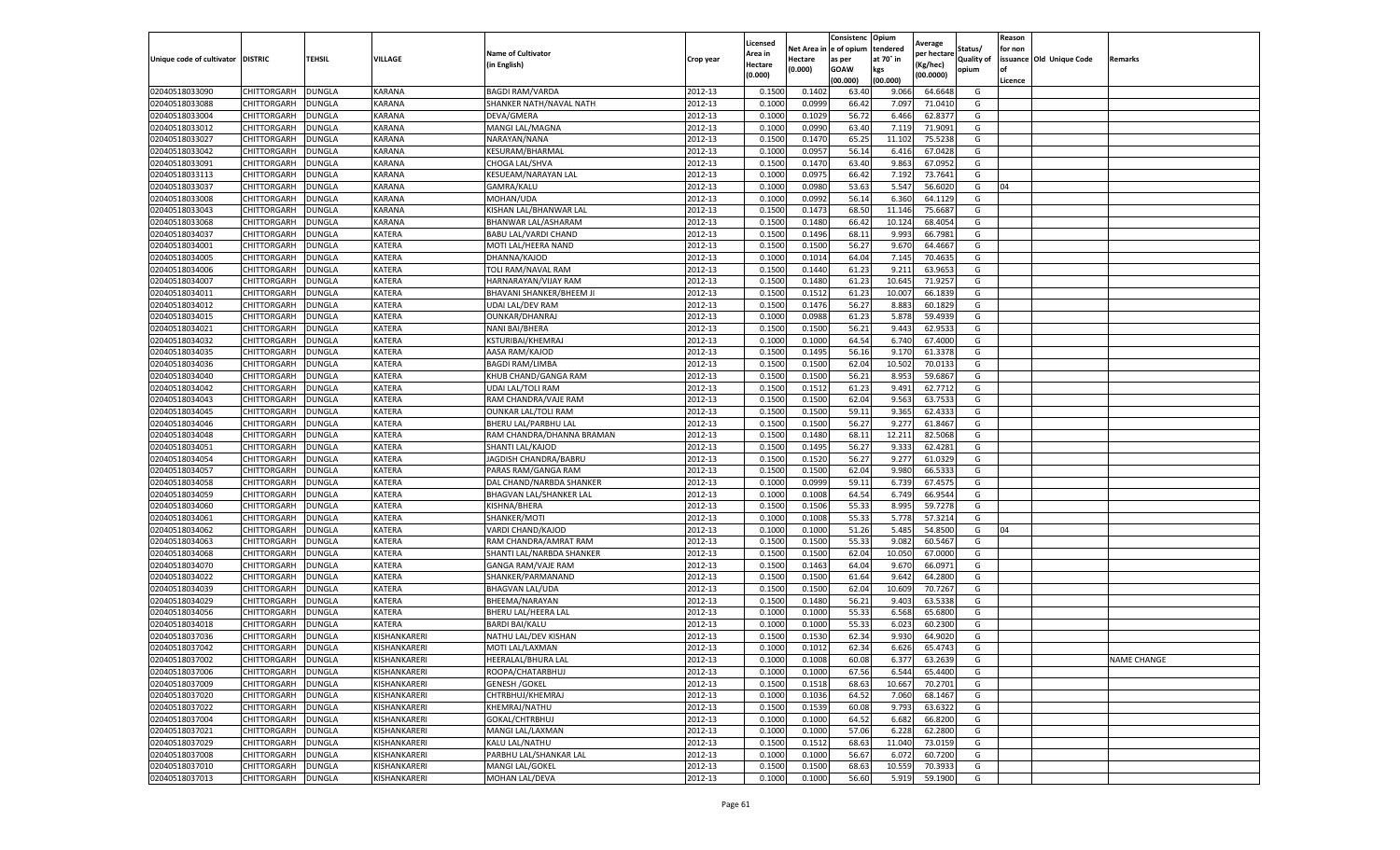|                           |                    |               |               |                            |           | Licensed       |                       | Consistenc Opium     |                       | Average     |                       | Reason  |                          |                    |
|---------------------------|--------------------|---------------|---------------|----------------------------|-----------|----------------|-----------------------|----------------------|-----------------------|-------------|-----------------------|---------|--------------------------|--------------------|
| Unique code of cultivator | <b>DISTRIC</b>     | TEHSIL        | VILLAGE       | <b>Name of Cultivator</b>  | Crop year | Area in        | Net Area i<br>Hectare | e of opium<br>as per | tendered<br>at 70° in | per hectare | Status/<br>Quality of | for non | issuance Old Unique Code | Remarks            |
|                           |                    |               |               | in English)                |           | <b>Hectare</b> | (0.000)               | <b>GOAW</b>          | kgs                   | Kg/hec)     | opium                 | of      |                          |                    |
|                           |                    |               |               |                            |           | (0.000)        |                       | (00.000)             | (00.000)              | (00.0000)   |                       | Licence |                          |                    |
| 02040518033090            | CHITTORGARH        | DUNGLA        | KARANA        | <b>BAGDI RAM/VARDA</b>     | 2012-13   | 0.1500         | 0.140                 | 63.40                | 9.066                 | 64.6648     | G                     |         |                          |                    |
| 02040518033088            | CHITTORGARH        | <b>DUNGLA</b> | KARANA        | SHANKER NATH/NAVAL NATH    | 2012-13   | 0.1000         | 0.0999                | 66.42                | 7.097                 | 71.0410     | G                     |         |                          |                    |
| 02040518033004            | CHITTORGARH        | <b>DUNGLA</b> | KARANA        | DEVA/GMERA                 | 2012-13   | 0.1000         | 0.1029                | 56.72                | 6.466                 | 62.8377     | G                     |         |                          |                    |
| 02040518033012            | CHITTORGARH        | <b>DUNGLA</b> | KARANA        | MANGI LAL/MAGNA            | 2012-13   | 0.1000         | 0.0990                | 63.40                | 7.119                 | 71.9091     | G                     |         |                          |                    |
| 02040518033027            | CHITTORGARH        | <b>DUNGLA</b> | KARANA        | NARAYAN/NANA               | 2012-13   | 0.1500         | 0.1470                | 65.25                | 11.102                | 75.5238     | G                     |         |                          |                    |
| 02040518033042            | CHITTORGARH        | DUNGLA        | KARANA        | KESURAM/BHARMAL            | 2012-13   | 0.1000         | 0.0957                | 56.14                | 6.416                 | 67.0428     | G                     |         |                          |                    |
| 02040518033091            | CHITTORGARH        | DUNGLA        | KARANA        | CHOGA LAL/SHVA             | 2012-13   | 0.1500         | 0.1470                | 63.40                | 9.863                 | 67.0952     | G                     |         |                          |                    |
| 02040518033113            | CHITTORGARH        | DUNGLA        | KARANA        | KESUEAM/NARAYAN LAL        | 2012-13   | 0.1000         | 0.0975                | 66.42                | 7.192                 | 73.7641     | G                     |         |                          |                    |
| 02040518033037            | CHITTORGARH        | <b>DUNGLA</b> | KARANA        | GAMRA/KALU                 | 2012-13   | 0.1000         | 0.0980                | 53.63                | 5.547                 | 56.6020     | G                     | 04      |                          |                    |
| 02040518033008            | CHITTORGARH        | DUNGLA        | KARANA        | MOHAN/UDA                  | 2012-13   | 0.1000         | 0.0992                | 56.14                | 6.360                 | 64.1129     | G                     |         |                          |                    |
| 02040518033043            | CHITTORGARH        | <b>DUNGLA</b> | KARANA        | KISHAN LAL/BHANWAR LAL     | 2012-13   | 0.1500         | 0.1473                | 68.50                | 11.146                | 75.6687     | G                     |         |                          |                    |
| 02040518033068            | CHITTORGARH        | <b>DUNGLA</b> | KARANA        | BHANWAR LAL/ASHARAM        | 2012-13   | 0.1500         | 0.1480                | 66.42                | 10.12                 | 68.4054     | G                     |         |                          |                    |
| 02040518034037            | CHITTORGARH        | DUNGLA        | KATERA        | BABU LAL/VARDI CHAND       | 2012-13   | 0.1500         | 0.1496                | 68.1                 | 9.993                 | 66.7981     | G                     |         |                          |                    |
| 02040518034001            | CHITTORGARH        | <b>DUNGLA</b> | KATERA        | MOTI LAL/HEERA NAND        | 2012-13   | 0.1500         | 0.1500                | 56.27                | 9.670                 | 64.4667     | G                     |         |                          |                    |
| 02040518034005            | CHITTORGARH        | DUNGLA        | KATERA        | DHANNA/KAJOD               | 2012-13   | 0.1000         | 0.1014                | 64.04                | 7.145                 | 70.4635     | G                     |         |                          |                    |
| 02040518034006            | CHITTORGARH        | <b>DUNGLA</b> | KATERA        | TOLI RAM/NAVAL RAM         | 2012-13   | 0.1500         | 0.1440                | 61.23                | 9.211                 | 63.9653     | G                     |         |                          |                    |
| 02040518034007            | CHITTORGARH        | DUNGLA        | KATERA        | HARNARAYAN/VIJAY RAM       | 2012-13   | 0.1500         | 0.1480                | 61.23                | 10.645                | 71.9257     | G                     |         |                          |                    |
| 02040518034011            | CHITTORGARH        | <b>DUNGLA</b> | KATERA        | BHAVANI SHANKER/BHEEM J    | 2012-13   | 0.1500         | 0.1512                | 61.23                | 10.007                | 66.1839     | G                     |         |                          |                    |
| 02040518034012            | CHITTORGARH        | <b>DUNGLA</b> | KATERA        | <b>UDAI LAL/DEV RAM</b>    | 2012-13   | 0.1500         | 0.1476                | 56.27                | 8.883                 | 60.1829     | G                     |         |                          |                    |
| 02040518034015            | CHITTORGARH        | DUNGLA        | KATERA        | OUNKAR/DHANRAJ             | 2012-13   | 0.1000         | 0.0988                | 61.23                | 5.87                  | 59.4939     | G                     |         |                          |                    |
| 02040518034021            | CHITTORGARH        | <b>DUNGLA</b> | KATERA        | NANI BAI/BHERA             | 2012-13   | 0.1500         | 0.1500                | 56.21                | 9.443                 | 62.9533     | G                     |         |                          |                    |
| 02040518034032            | CHITTORGARH        | <b>DUNGLA</b> | KATERA        | KSTURIBAI/KHEMRAJ          | 2012-13   | 0.1000         | 0.1000                | 64.54                | 6.740                 | 67.4000     | G                     |         |                          |                    |
| 02040518034035            | CHITTORGARH        | <b>DUNGLA</b> | KATERA        | AASA RAM/KAJOD             | 2012-13   | 0.1500         | 0.1495                | 56.16                | 9.17                  | 61.3378     | G                     |         |                          |                    |
| 02040518034036            | CHITTORGARH        | DUNGLA        | KATERA        | <b>BAGDI RAM/LIMBA</b>     | 2012-13   | 0.1500         | 0.1500                | 62.04                | 10.502                | 70.0133     | G                     |         |                          |                    |
| 02040518034040            | CHITTORGARH        | DUNGLA        | KATERA        | KHUB CHAND/GANGA RAM       | 2012-13   | 0.1500         | 0.1500                | 56.21                | 8.953                 | 59.6867     | G                     |         |                          |                    |
| 02040518034042            | CHITTORGARH        | DUNGLA        | KATERA        | <b>UDAI LAL/TOLI RAM</b>   | 2012-13   | 0.1500         | 0.1512                | 61.23                | 9.491                 | 62.7712     | G                     |         |                          |                    |
| 02040518034043            | CHITTORGARH        | DUNGLA        | KATERA        | RAM CHANDRA/VAJE RAM       | 2012-13   | 0.1500         | 0.1500                | 62.04                | 9.563                 | 63.7533     | G                     |         |                          |                    |
| 02040518034045            | CHITTORGARH        | <b>DUNGLA</b> | KATERA        | <b>OUNKAR LAL/TOLI RAM</b> | 2012-13   | 0.1500         | 0.1500                | 59.11                | 9.365                 | 62.4333     | G                     |         |                          |                    |
| 02040518034046            | CHITTORGARH        | <b>DUNGLA</b> | KATERA        | BHERU LAL/PARBHU LAL       | 2012-13   | 0.1500         | 0.1500                | 56.27                | 9.277                 | 61.8467     | G                     |         |                          |                    |
| 02040518034048            | CHITTORGARH        | DUNGLA        | <b>KATERA</b> | RAM CHANDRA/DHANNA BRAMAN  | 2012-13   | 0.1500         | 0.1480                | 68.11                | 12.211                | 82.5068     | G                     |         |                          |                    |
| 02040518034051            | CHITTORGARH        | DUNGLA        | KATERA        | SHANTI LAL/KAJOD           | 2012-13   | 0.1500         | 0.1495                | 56.27                | 9.333                 | 62.4281     | G                     |         |                          |                    |
| 02040518034054            | CHITTORGARH        | DUNGLA        | KATERA        | JAGDISH CHANDRA/BABRU      | 2012-13   | 0.1500         | 0.1520                | 56.27                | 9.277                 | 61.0329     | G                     |         |                          |                    |
| 02040518034057            | CHITTORGARH        | <b>DUNGLA</b> | KATERA        | PARAS RAM/GANGA RAM        | 2012-13   | 0.1500         | 0.1500                | 62.04                | 9.980                 | 66.5333     | G                     |         |                          |                    |
| 02040518034058            | CHITTORGARH        | <b>DUNGLA</b> | KATERA        | DAL CHAND/NARBDA SHANKER   | 2012-13   | 0.1000         | 0.0999                | 59.11                | 6.739                 | 67.4575     | G                     |         |                          |                    |
| 02040518034059            | CHITTORGARH        | <b>DUNGLA</b> | KATERA        | BHAGVAN LAL/SHANKER LAL    | 2012-13   | 0.1000         | 0.1008                | 64.54                | 6.749                 | 66.9544     | G                     |         |                          |                    |
| 02040518034060            | CHITTORGARH        | DUNGLA        | KATERA        | KISHNA/BHERA               | 2012-13   | 0.1500         | 0.1506                | 55.33                | 8.995                 | 59.7278     | G                     |         |                          |                    |
| 02040518034061            | CHITTORGARH        | <b>DUNGLA</b> | KATERA        | SHANKER/MOTI               | 2012-13   | 0.1000         | 0.1008                | 55.33                | 5.778                 | 57.3214     | G                     |         |                          |                    |
| 02040518034062            | CHITTORGARH        | DUNGLA        | KATERA        | VARDI CHAND/KAJOD          | 2012-13   | 0.1000         | 0.1000                | 51.26                | 5.485                 | 54.8500     | G                     | 04      |                          |                    |
| 02040518034063            | CHITTORGARH        | DUNGLA        | KATERA        | RAM CHANDRA/AMRAT RAM      | 2012-13   | 0.1500         | 0.1500                | 55.33                | 9.082                 | 60.5467     | G                     |         |                          |                    |
| 02040518034068            | CHITTORGARH        | <b>DUNGLA</b> | KATERA        | SHANTI LAL/NARBDA SHANKER  | 2012-13   | 0.1500         | 0.1500                | 62.04                | 10.050                | 67.0000     | G                     |         |                          |                    |
| 02040518034070            | <b>CHITTORGARH</b> | <b>DUNGLA</b> | KATERA        | GANGA RAM/VAJE RAM         | 2012-13   | 0.1500         | 0.1463                | 64.04                | 9.670                 | 66.0971     | G                     |         |                          |                    |
| 02040518034022            | CHITTORGARH        | DUNGLA        | KATERA        | SHANKER/PARMANAND          | 2012-13   | 0.1500         | 0.1500                | 61.64                | 9.642                 | 64.2800     | G                     |         |                          |                    |
| 02040518034039            | CHITTORGARH        | DUNGLA        | KATERA        | <b>BHAGVAN LAL/UDA</b>     | 2012-13   | 0.1500         | 0.1500                | 62.04                | 10.609                | 70.7267     | G                     |         |                          |                    |
| 02040518034029            | CHITTORGARH        | DUNGLA        | KATERA        | BHEEMA/NARAYAN             | 2012-13   | 0.1500         | 0.1480                | 56.21                | 9.403                 | 63.5338     | G                     |         |                          |                    |
| 02040518034056            | CHITTORGARH        | DUNGLA        | KATERA        | BHERU LAL/HEERA LAL        | 2012-13   | 0.1000         | 0.1000                | 55.33                | 6.568                 | 65.6800     | G                     |         |                          |                    |
| 02040518034018            | CHITTORGARH        | DUNGLA        | KATERA        | <b>BARDI BAI/KALU</b>      | 2012-13   | 0.1000         | 0.1000                | 55.33                | 6.023                 | 60.2300     | G                     |         |                          |                    |
| 02040518037036            | CHITTORGARH        | <b>DUNGLA</b> | KISHANKARERI  | NATHU LAL/DEV KISHAN       | 2012-13   | 0.1500         | 0.1530                | 62.34                | 9.930                 | 64.9020     | G                     |         |                          |                    |
| 02040518037042            | CHITTORGARH        | <b>DUNGLA</b> | KISHANKARERI  | MOTI LAL/LAXMAN            | 2012-13   | 0.1000         | 0.1012                | 62.34                | 6.626                 | 65.4743     | G                     |         |                          |                    |
| 02040518037002            | CHITTORGARH DUNGLA |               | KISHANKARERI  | HEERALAL/BHURA LAL         | 2012-13   | 0.1000         | 0.1008                | 60.08                | 6.377                 | 63.2639     | G                     |         |                          | <b>NAME CHANGE</b> |
| 02040518037006            | <b>CHITTORGARH</b> | <b>DUNGLA</b> | KISHANKARERI  | ROOPA/CHATARBHUJ           | 2012-13   | 0.1000         | 0.1000                | 67.56                | 6.544                 | 65.4400     | G                     |         |                          |                    |
| 02040518037009            | CHITTORGARH        | <b>DUNGLA</b> | KISHANKARERI  | <b>GENESH / GOKEL</b>      | 2012-13   | 0.1500         | 0.1518                | 68.63                | 10.667                | 70.2701     | G                     |         |                          |                    |
| 02040518037020            | <b>CHITTORGARH</b> | <b>DUNGLA</b> | KISHANKARERI  | CHTRBHUJ/KHEMRAJ           | 2012-13   | 0.1000         | 0.1036                | 64.52                | 7.060                 | 68.1467     | G                     |         |                          |                    |
| 02040518037022            | <b>CHITTORGARH</b> | <b>DUNGLA</b> | KISHANKARERI  | KHEMRAJ/NATHU              | 2012-13   | 0.1500         | 0.1539                | 60.08                | 9.793                 | 63.6322     | G                     |         |                          |                    |
| 02040518037004            | <b>CHITTORGARH</b> | <b>DUNGLA</b> | KISHANKARERI  | GOKAL/CHTRBHUJ             | 2012-13   | 0.1000         | 0.1000                | 64.52                | 6.682                 | 66.8200     | G                     |         |                          |                    |
| 02040518037021            | CHITTORGARH        | <b>DUNGLA</b> | KISHANKARERI  | MANGI LAL/LAXMAN           | 2012-13   | 0.1000         | 0.1000                | 57.06                | 6.228                 | 62.2800     | G                     |         |                          |                    |
| 02040518037029            | <b>CHITTORGARH</b> | DUNGLA        | KISHANKARERI  | KALU LAL/NATHU             | 2012-13   | 0.1500         | 0.1512                | 68.63                | 11.040                | 73.0159     | G                     |         |                          |                    |
| 02040518037008            | CHITTORGARH        | <b>DUNGLA</b> | KISHANKARERI  | PARBHU LAL/SHANKAR LAL     | 2012-13   | 0.1000         | 0.1000                | 56.67                | 6.072                 | 60.7200     | G                     |         |                          |                    |
| 02040518037010            | <b>CHITTORGARH</b> | <b>DUNGLA</b> | KISHANKARERI  | <b>MANGI LAL/GOKEL</b>     | 2012-13   | 0.1500         | 0.1500                | 68.63                | 10.559                | 70.3933     | G                     |         |                          |                    |
| 02040518037013            | <b>CHITTORGARH</b> | <b>DUNGLA</b> | KISHANKARERI  | MOHAN LAL/DEVA             | 2012-13   | 0.1000         | 0.1000                | 56.60                | 5.919                 | 59.1900     | G                     |         |                          |                    |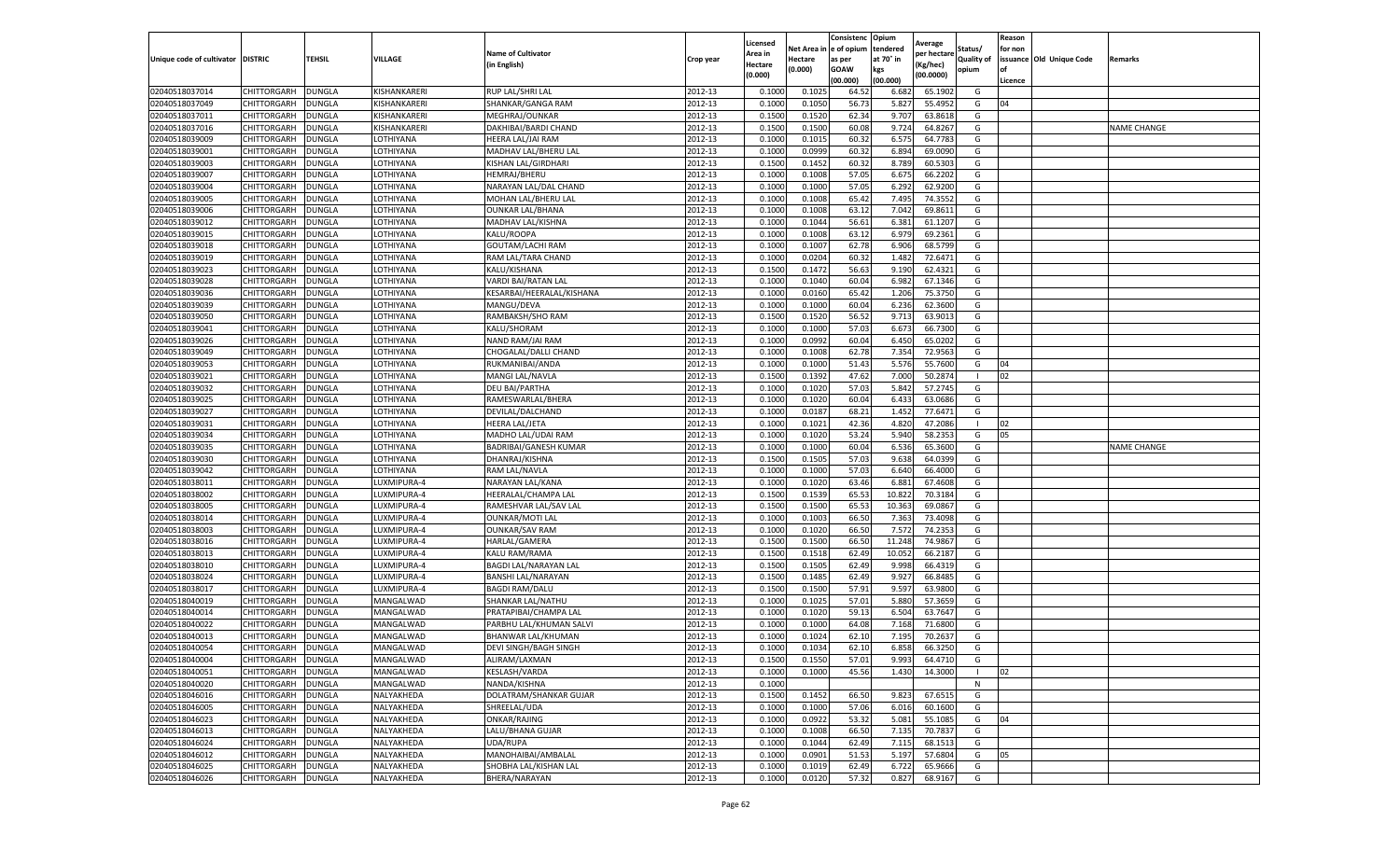|                                   |             |               |              |                           |           | Licensed |            | Consistenc  | Opium     |                        |                   | Reason  |                          |                    |
|-----------------------------------|-------------|---------------|--------------|---------------------------|-----------|----------|------------|-------------|-----------|------------------------|-------------------|---------|--------------------------|--------------------|
|                                   |             |               |              | <b>Name of Cultivator</b> |           | Area in  | Net Area i | e of opium  | tendered  | Average<br>per hectare | Status/           | for non |                          |                    |
| Unique code of cultivator DISTRIC |             | TEHSIL        | VILLAGE      | (in English)              | Crop year | Hectare  | Hectare    | as per      | at 70° in | (Kg/hec)               | <b>Quality of</b> |         | issuance Old Unique Code | Remarks            |
|                                   |             |               |              |                           |           | (0.000)  | (0.000)    | <b>GOAW</b> | kgs       | (00.0000)              | opium             | οf      |                          |                    |
|                                   |             |               |              |                           |           |          |            | (00.000     | (00.000)  |                        |                   | Licence |                          |                    |
| 02040518037014                    | CHITTORGARH | <b>DUNGLA</b> | KISHANKARERI | RUP LAL/SHRI LAL          | 2012-13   | 0.1000   | 0.102!     | 64.52       | 6.682     | 65.1902                | G                 |         |                          |                    |
| 02040518037049                    | CHITTORGARH | DUNGLA        | KISHANKARERI | SHANKAR/GANGA RAM         | 2012-13   | 0.100    | 0.1050     | 56.73       | 5.827     | 55.4952                | G                 | 04      |                          |                    |
| 02040518037011                    | CHITTORGARH | DUNGLA        | KISHANKARERI | MEGHRAJ/OUNKAR            | 2012-13   | 0.1500   | 0.1520     | 62.34       | 9.707     | 63.8618                | G                 |         |                          |                    |
| 02040518037016                    | CHITTORGARH | <b>DUNGLA</b> | KISHANKARERI | DAKHIBAI/BARDI CHAND      | 2012-13   | 0.1500   | 0.1500     | 60.08       | 9.724     | 64.8267                | G                 |         |                          | <b>NAME CHANGE</b> |
| 02040518039009                    | CHITTORGARH | DUNGLA        | LOTHIYANA    | HEERA LAL/JAI RAM         | 2012-13   | 0.1000   | 0.1015     | 60.32       | 6.575     | 64.7783                | G                 |         |                          |                    |
| 02040518039001                    | CHITTORGARH | DUNGLA        | LOTHIYANA    | MADHAV LAL/BHERU LAL      | 2012-13   | 0.1000   | 0.0999     | 60.32       | 6.894     | 69.0090                | G                 |         |                          |                    |
| 02040518039003                    | CHITTORGARH | DUNGLA        | LOTHIYANA    | KISHAN LAL/GIRDHARI       | 2012-13   | 0.1500   | 0.1452     | 60.32       | 8.789     | 60.5303                | G                 |         |                          |                    |
| 02040518039007                    | CHITTORGARH | DUNGLA        | LOTHIYANA    | <b>HEMRAJ/BHERU</b>       | 2012-13   | 0.100    | 0.1008     | 57.05       | 6.675     | 66.2202                | G                 |         |                          |                    |
| 02040518039004                    | CHITTORGARH | DUNGLA        | LOTHIYANA    | NARAYAN LAL/DAL CHAND     | 2012-13   | 0.1000   | 0.1000     | 57.05       | 6.292     | 62.9200                | G                 |         |                          |                    |
| 02040518039005                    | CHITTORGARH | <b>DUNGLA</b> | LOTHIYANA    | MOHAN LAL/BHERU LAL       | 2012-13   | 0.1000   | 0.1008     | 65.42       | 7.495     | 74.3552                | G                 |         |                          |                    |
| 02040518039006                    | CHITTORGARH | <b>DUNGLA</b> | LOTHIYANA    | <b>OUNKAR LAL/BHANA</b>   | 2012-13   | 0.1000   | 0.1008     | 63.12       | 7.042     | 69.8611                | G                 |         |                          |                    |
| 02040518039012                    | CHITTORGARH | DUNGLA        | LOTHIYANA    | MADHAV LAL/KISHNA         | 2012-13   | 0.1000   | 0.1044     | 56.61       | 6.381     | 61.1207                | G                 |         |                          |                    |
| 02040518039015                    | CHITTORGARH | DUNGLA        | LOTHIYANA    | KALU/ROOPA                | 2012-13   | 0.1000   | 0.1008     | 63.12       | 6.979     | 69.2361                | G                 |         |                          |                    |
| 02040518039018                    | CHITTORGARH | DUNGLA        | LOTHIYANA    | GOUTAM/LACHI RAM          | 2012-13   | 0.100    | 0.1007     | 62.78       | 6.906     | 68.5799                | G                 |         |                          |                    |
| 02040518039019                    | CHITTORGARH | DUNGLA        | LOTHIYANA    | RAM LAL/TARA CHAND        | 2012-13   | 0.1000   | 0.0204     | 60.32       | 1.482     | 72.6471                | G                 |         |                          |                    |
| 02040518039023                    | CHITTORGARH | DUNGLA        | LOTHIYANA    | KALU/KISHANA              | 2012-13   | 0.1500   | 0.1472     | 56.63       | 9.190     | 62.4321                | G                 |         |                          |                    |
| 02040518039028                    | CHITTORGARH | DUNGLA        | LOTHIYANA    | VARDI BAI/RATAN LAL       | 2012-13   | 0.1000   | 0.1040     | 60.04       | 6.982     | 67.1346                | G                 |         |                          |                    |
| 02040518039036                    | CHITTORGARH | DUNGLA        | LOTHIYANA    | KESARBAI/HEERALAL/KISHANA | 2012-13   | 0.1000   | 0.0160     | 65.42       | 1.206     | 75.3750                | G                 |         |                          |                    |
| 02040518039039                    | CHITTORGARH | DUNGLA        | LOTHIYANA    | MANGU/DEVA                | 2012-13   | 0.1000   | 0.1000     | 60.04       | 6.236     | 62.3600                | G                 |         |                          |                    |
| 02040518039050                    | CHITTORGARH | DUNGLA        | LOTHIYANA    | RAMBAKSH/SHO RAM          | 2012-13   | 0.1500   | 0.1520     | 56.52       | 9.713     | 63.9013                | G                 |         |                          |                    |
| 02040518039041                    | CHITTORGARH | DUNGLA        | LOTHIYANA    | KALU/SHORAM               | 2012-13   | 0.1000   | 0.1000     | 57.03       | 6.673     | 66.7300                | G                 |         |                          |                    |
| 02040518039026                    | CHITTORGARH | DUNGLA        | LOTHIYANA    | NAND RAM/JAI RAM          | 2012-13   | 0.1000   | 0.0992     | 60.04       | 6.450     | 65.0202                | G                 |         |                          |                    |
| 02040518039049                    | CHITTORGARH | <b>DUNGLA</b> | LOTHIYANA    | CHOGALAL/DALLI CHAND      | 2012-13   | 0.1000   | 0.1008     | 62.78       | 7.354     | 72.9563                | G                 |         |                          |                    |
| 02040518039053                    | CHITTORGARH | DUNGLA        | LOTHIYANA    | RUKMANIBAI/ANDA           | 2012-13   | 0.1000   | 0.1000     | 51.43       | 5.576     | 55.7600                | G                 | 04      |                          |                    |
| 02040518039021                    | CHITTORGARH | DUNGLA        | LOTHIYANA    | MANGI LAL/NAVLA           | 2012-13   | 0.1500   | 0.1392     | 47.62       | 7.000     | 50.2874                |                   | 02      |                          |                    |
| 02040518039032                    | CHITTORGARH | DUNGLA        | LOTHIYANA    | DEU BAI/PARTHA            | 2012-13   | 0.1000   | 0.1020     | 57.03       | 5.842     | 57.2745                | G                 |         |                          |                    |
| 02040518039025                    | CHITTORGARH | DUNGLA        | LOTHIYANA    | RAMESWARLAL/BHERA         | 2012-13   | 0.1000   | 0.1020     | 60.04       | 6.433     | 63.0686                | G                 |         |                          |                    |
| 02040518039027                    | CHITTORGARH | DUNGLA        | LOTHIYANA    | DEVILAL/DALCHAND          | 2012-13   | 0.1000   | 0.0187     | 68.21       | 1.452     | 77.6471                | G                 |         |                          |                    |
| 02040518039031                    | CHITTORGARH | <b>DUNGLA</b> | LOTHIYANA    | HEERA LAL/JETA            | 2012-13   | 0.1000   | 0.1021     | 42.36       | 4.820     | 47.2086                | -1                | 02      |                          |                    |
| 02040518039034                    | CHITTORGARH | <b>DUNGLA</b> | LOTHIYANA    | MADHO LAL/UDAI RAM        | 2012-13   | 0.1000   | 0.1020     | 53.24       | 5.940     | 58.2353                | G                 | 05      |                          |                    |
| 02040518039035                    | CHITTORGARH | DUNGLA        | LOTHIYANA    | BADRIBAI/GANESH KUMAR     | 2012-13   | 0.1000   | 0.1000     | 60.04       | 6.536     | 65.3600                | G                 |         |                          | <b>NAME CHANGE</b> |
| 02040518039030                    | CHITTORGARH | DUNGLA        | LOTHIYANA    | DHANRAJ/KISHNA            | 2012-13   | 0.1500   | 0.1505     | 57.03       | 9.638     | 64.0399                | G                 |         |                          |                    |
| 02040518039042                    | CHITTORGARH | DUNGLA        | LOTHIYANA    | RAM LAL/NAVLA             | 2012-13   | 0.100    | 0.1000     | 57.03       | 6.640     | 66.4000                | G                 |         |                          |                    |
| 02040518038011                    | CHITTORGARH | DUNGLA        | LUXMIPURA-4  | NARAYAN LAL/KANA          | 2012-13   | 0.1000   | 0.1020     | 63.46       | 6.881     | 67.4608                | G                 |         |                          |                    |
| 02040518038002                    | CHITTORGARH | <b>DUNGLA</b> | LUXMIPURA-4  | HEERALAL/CHAMPA LAL       | 2012-13   | 0.1500   | 0.1539     | 65.53       | 10.822    | 70.3184                | G                 |         |                          |                    |
| 02040518038005                    | CHITTORGARH | DUNGLA        | LUXMIPURA-4  | RAMESHVAR LAL/SAV LAL     | 2012-13   | 0.1500   | 0.1500     | 65.53       | 10.363    | 69.0867                | G                 |         |                          |                    |
| 02040518038014                    | CHITTORGARH | DUNGLA        | LUXMIPURA-4  | <b>OUNKAR/MOTI LAL</b>    | 2012-13   | 0.1000   | 0.1003     | 66.50       | 7.363     | 73.4098                | G                 |         |                          |                    |
| 02040518038003                    | CHITTORGARH | DUNGLA        | LUXMIPURA-4  | <b>OUNKAR/SAV RAM</b>     | 2012-13   | 0.1000   | 0.1020     | 66.50       | 7.572     | 74.2353                | G                 |         |                          |                    |
| 02040518038016                    | CHITTORGARH | DUNGLA        | LUXMIPURA-4  | HARLAL/GAMERA             | 2012-13   | 0.1500   | 0.1500     | 66.50       | 11.248    | 74.9867                | G                 |         |                          |                    |
| 02040518038013                    | CHITTORGARH | DUNGLA        | LUXMIPURA-4  | KALU RAM/RAMA             | 2012-13   | 0.1500   | 0.1518     | 62.49       | 10.052    | 66.2187                | G                 |         |                          |                    |
| 02040518038010                    | CHITTORGARH | DUNGLA        | LUXMIPURA-4  | BAGDI LAL/NARAYAN LAL     | 2012-13   | 0.1500   | 0.1505     | 62.49       | 9.998     | 66.4319                | G                 |         |                          |                    |
| 02040518038024                    | CHITTORGARH | <b>DUNGLA</b> | LUXMIPURA-4  | BANSHI LAL/NARAYAN        | 2012-13   | 0.1500   | 0.1485     | 62.49       | 9.927     | 66.8485                | G                 |         |                          |                    |
| 02040518038017                    | CHITTORGARH | DUNGLA        | LUXMIPURA-4  | <b>BAGDI RAM/DALU</b>     | 2012-13   | 0.1500   | 0.1500     | 57.91       | 9.597     | 63.9800                | G                 |         |                          |                    |
| 02040518040019                    | CHITTORGARH | DUNGLA        | MANGALWAD    | SHANKAR LAL/NATHU         | 2012-13   | 0.1000   | 0.1025     | 57.01       | 5.880     | 57.3659                | G                 |         |                          |                    |
| 02040518040014                    | CHITTORGARH | DUNGLA        | MANGALWAD    | PRATAPIBAI/CHAMPA LAL     | 2012-13   | 0.1000   | 0.1020     | 59.13       | 6.504     | 63.7647                | G                 |         |                          |                    |
| 02040518040022                    | CHITTORGARH | DUNGLA        | MANGALWAD    | PARBHU LAL/KHUMAN SALV    | 2012-13   | 0.100    | 0.1000     | 64.08       | 7.168     | 71.6800                | G                 |         |                          |                    |
| 02040518040013                    | CHITTORGARH | DUNGLA        | MANGALWAD    | BHANWAR LAL/KHUMAN        | 2012-13   | 0.1000   | 0.1024     | 62.10       | 7.195     | 70.2637                | G                 |         |                          |                    |
| 02040518040054                    | CHITTORGARH | <b>DUNGLA</b> | MANGALWAD    | DEVI SINGH/BAGH SINGH     | 2012-13   | 0.1000   | 0.1034     | 62.10       | 6.858     | 66.3250                | G                 |         |                          |                    |
| 02040518040004                    | CHITTORGARH | <b>DUNGLA</b> | MANGALWAD    | ALIRAM/LAXMAN             | 2012-13   | 0.1500   | 0.1550     | 57.01       | 9.993     | 64.4710                | G                 |         |                          |                    |
| 02040518040051                    | CHITTORGARH | DUNGLA        | MANGALWAD    | KESLASH/VARDA             | 2012-13   | 0.1000   | 0.1000     | 45.56       | 1.430     | 14.3000                |                   | 02      |                          |                    |
| 02040518040020                    | CHITTORGARH | <b>DUNGLA</b> | MANGALWAD    | NANDA/KISHNA              | 2012-13   | 0.1000   |            |             |           |                        | N                 |         |                          |                    |
| 02040518046016                    | CHITTORGARH | DUNGLA        | NALYAKHEDA   | DOLATRAM/SHANKAR GUJAR    | 2012-13   | 0.1500   | 0.1452     | 66.50       | 9.823     | 67.6515                | G                 |         |                          |                    |
| 02040518046005                    | CHITTORGARH | DUNGLA        | NALYAKHEDA   | SHREELAL/UDA              | 2012-13   | 0.1000   | 0.1000     | 57.06       | 6.016     | 60.1600                | G                 |         |                          |                    |
| 02040518046023                    | CHITTORGARH | <b>DUNGLA</b> | NALYAKHEDA   | ONKAR/RAJING              | 2012-13   | 0.1000   | 0.0922     | 53.32       | 5.081     | 55.1085                | G                 | 04      |                          |                    |
| 02040518046013                    | CHITTORGARH | <b>DUNGLA</b> | NALYAKHEDA   | LALU/BHANA GUJAR          | 2012-13   | 0.1000   | 0.1008     | 66.50       | 7.135     | 70.7837                | G                 |         |                          |                    |
| 02040518046024                    | CHITTORGARH | DUNGLA        | NALYAKHEDA   | UDA/RUPA                  | 2012-13   | 0.1000   | 0.1044     | 62.49       | 7.115     | 68.1513                | G                 |         |                          |                    |
| 02040518046012                    | CHITTORGARH | <b>DUNGLA</b> | NALYAKHEDA   | MANOHAIBAI/AMBALAL        | 2012-13   | 0.1000   | 0.0901     | 51.53       | 5.197     | 57.6804                | G                 | 05      |                          |                    |
| 02040518046025                    | CHITTORGARH | DUNGLA        | NALYAKHEDA   | SHOBHA LAL/KISHAN LAL     | 2012-13   | 0.1000   | 0.1019     | 62.49       | 6.722     | 65.9666                | G                 |         |                          |                    |
| 02040518046026                    | CHITTORGARH | <b>DUNGLA</b> | NALYAKHEDA   | BHERA/NARAYAN             | 2012-13   | 0.1000   | 0.0120     | 57.32       | 0.827     | 68.9167                | G                 |         |                          |                    |
|                                   |             |               |              |                           |           |          |            |             |           |                        |                   |         |                          |                    |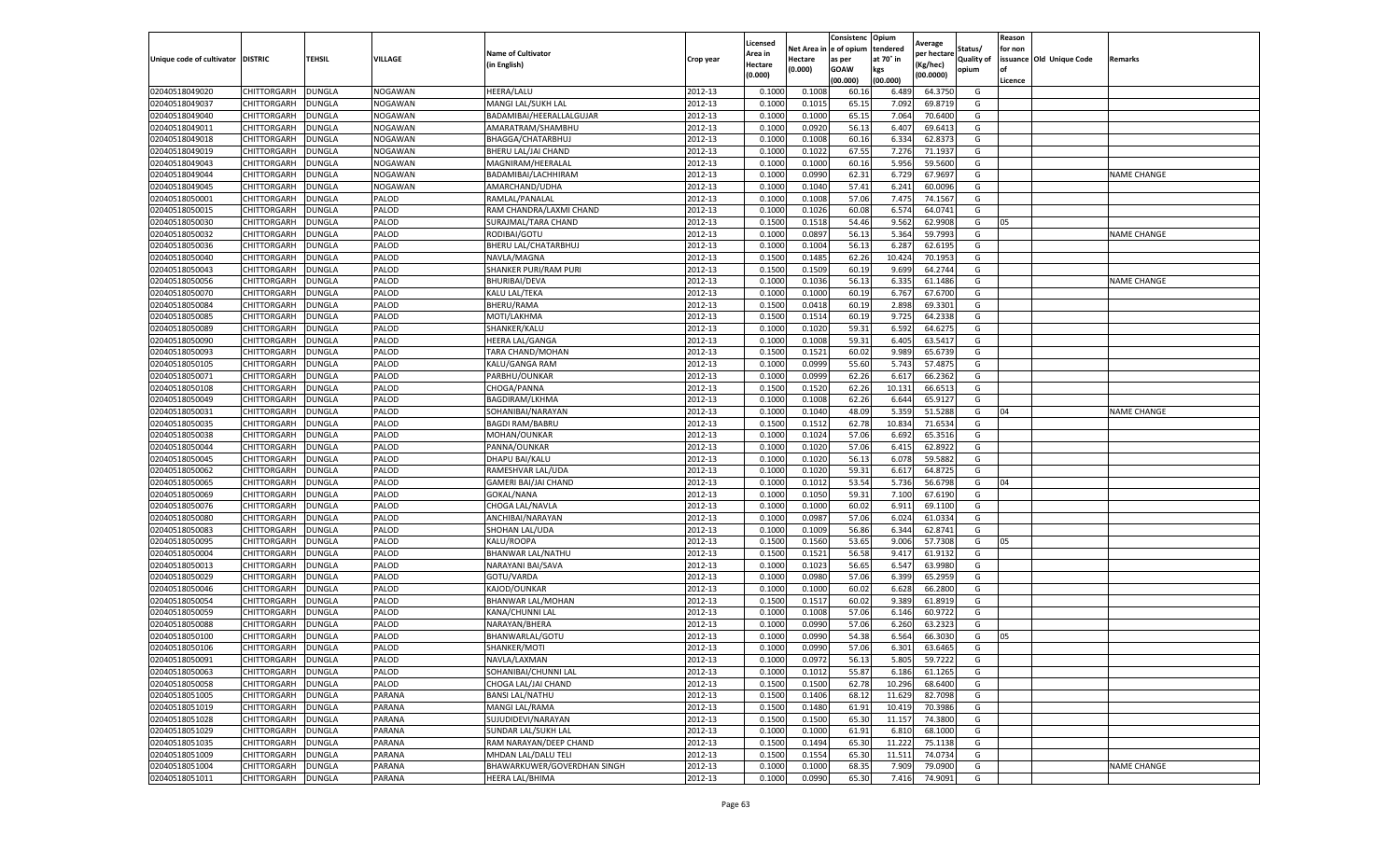|                                   |                    |               |                |                             |           | Licensed |          | Consistenc  | Opium     | Average     |                   | Reason  |                          |                    |
|-----------------------------------|--------------------|---------------|----------------|-----------------------------|-----------|----------|----------|-------------|-----------|-------------|-------------------|---------|--------------------------|--------------------|
|                                   |                    |               |                | <b>Name of Cultivator</b>   |           | Area in  | Net Area | e of opium  | tendered  | per hectarı | Status/           | for non |                          |                    |
| Unique code of cultivator DISTRIC |                    | TEHSIL        | VILLAGE        | (in English)                | Crop year | Hectare  | Hectare  | as per      | at 70° in | (Kg/hec)    | <b>Quality of</b> |         | issuance Old Unique Code | Remarks            |
|                                   |                    |               |                |                             |           | (0.000)  | (0.000)  | <b>GOAW</b> | kgs       | (00.0000)   | opium             | οf      |                          |                    |
|                                   |                    |               |                |                             |           |          |          | (00.000)    | (00.000)  |             |                   | Licence |                          |                    |
| 02040518049020                    | CHITTORGARH        | <b>DUNGLA</b> | <b>NOGAWAN</b> | <b>HEERA/LALU</b>           | 2012-13   | 0.1000   | 0.1008   | 60.16       | 6.489     | 64.3750     | G                 |         |                          |                    |
| 02040518049037                    | CHITTORGARH        | <b>DUNGLA</b> | <b>NOGAWAN</b> | MANGI LAL/SUKH LAL          | 2012-13   | 0.1000   | 0.1015   | 65.1        | 7.092     | 69.8719     | G                 |         |                          |                    |
| 02040518049040                    | CHITTORGARH        | <b>DUNGLA</b> | NOGAWAN        | BADAMIBAI/HEERALLALGUJAR    | 2012-13   | 0.1000   | 0.1000   | 65.15       | 7.064     | 70.6400     | G                 |         |                          |                    |
| 02040518049011                    | CHITTORGARH        | <b>DUNGLA</b> | NOGAWAN        | AMARATRAM/SHAMBHU           | 2012-13   | 0.1000   | 0.0920   | 56.13       | 6.407     | 69.6413     | G                 |         |                          |                    |
| 02040518049018                    | CHITTORGARH        | <b>DUNGLA</b> | NOGAWAN        | BHAGGA/CHATARBHUJ           | 2012-13   | 0.1000   | 0.1008   | 60.16       | 6.334     | 62.8373     | G                 |         |                          |                    |
| 02040518049019                    | CHITTORGARH        | DUNGLA        | NOGAWAN        | BHERU LAL/JAI CHAND         | 2012-13   | 0.1000   | 0.1022   | 67.55       | 7.276     | 71.1937     | G                 |         |                          |                    |
| 02040518049043                    | CHITTORGARH        | <b>DUNGLA</b> | <b>NOGAWAN</b> | MAGNIRAM/HEERALAL           | 2012-13   | 0.1000   | 0.1000   | 60.16       | 5.956     | 59.5600     | G                 |         |                          |                    |
| 02040518049044                    | CHITTORGARH        | DUNGLA        | NOGAWAN        | BADAMIBAI/LACHHIRAM         | 2012-13   | 0.1000   | 0.0990   | 62.31       | 6.729     | 67.9697     | G                 |         |                          | <b>NAME CHANGE</b> |
| 02040518049045                    | CHITTORGARH        | <b>DUNGLA</b> | NOGAWAN        | AMARCHAND/UDHA              | 2012-13   | 0.1000   | 0.1040   | 57.41       | 6.241     | 60.0096     | G                 |         |                          |                    |
| 02040518050001                    | CHITTORGARH        | <b>DUNGLA</b> | PALOD          | RAMLAL/PANALAL              | 2012-13   | 0.1000   | 0.1008   | 57.06       | 7.475     | 74.1567     | G                 |         |                          |                    |
| 02040518050015                    | CHITTORGARH        | <b>DUNGLA</b> | PALOD          | RAM CHANDRA/LAXMI CHAND     | 2012-13   | 0.1000   | 0.1026   | 60.08       | 6.574     | 64.0741     | G                 |         |                          |                    |
| 02040518050030                    | CHITTORGARH        | <b>DUNGLA</b> | PALOD          | SURAJMAL/TARA CHAND         | 2012-13   | 0.1500   | 0.1518   | 54.46       | 9.562     | 62.9908     | G                 | 05      |                          |                    |
| 02040518050032                    | CHITTORGARH        | DUNGLA        | PALOD          | RODIBAI/GOTU                | 2012-13   | 0.1000   | 0.0897   | 56.1        | 5.364     | 59.7993     | G                 |         |                          | <b>NAME CHANGE</b> |
| 02040518050036                    | CHITTORGARH        | <b>DUNGLA</b> | PALOD          | BHERU LAL/CHATARBHUJ        | 2012-13   | 0.1000   | 0.1004   | 56.13       | 6.287     | 62.6195     | G                 |         |                          |                    |
| 02040518050040                    | CHITTORGARH        | DUNGLA        | PALOD          | NAVLA/MAGNA                 | 2012-13   | 0.1500   | 0.1485   | 62.26       | 10.424    | 70.1953     | G                 |         |                          |                    |
| 02040518050043                    | CHITTORGARH        | <b>DUNGLA</b> | PALOD          | SHANKER PURI/RAM PURI       | 2012-13   | 0.1500   | 0.1509   | 60.19       | 9.699     | 64.2744     | G                 |         |                          |                    |
| 02040518050056                    | CHITTORGARH        | <b>DUNGLA</b> | PALOD          | <b>BHURIBAI/DEVA</b>        | 2012-13   | 0.1000   | 0.1036   | 56.13       | 6.335     | 61.1486     | G                 |         |                          | <b>NAME CHANGE</b> |
| 02040518050070                    | CHITTORGARH        | <b>DUNGLA</b> | PALOD          | KALU LAL/TEKA               | 2012-13   | 0.1000   | 0.1000   | 60.19       | 6.767     | 67.6700     | G                 |         |                          |                    |
| 02040518050084                    | CHITTORGARH        | DUNGLA        | PALOD          | BHERU/RAMA                  | 2012-13   | 0.1500   | 0.0418   | 60.19       | 2.898     | 69.3301     | G                 |         |                          |                    |
| 02040518050085                    | CHITTORGARH        | DUNGLA        | PALOD          | MOTI/LAKHMA                 | 2012-13   | 0.1500   | 0.1514   | 60.19       | 9.725     | 64.2338     | G                 |         |                          |                    |
| 02040518050089                    | CHITTORGARH        | <b>DUNGLA</b> | PALOD          | SHANKER/KALU                | 2012-13   | 0.1000   | 0.1020   | 59.31       | 6.592     | 64.6275     | G                 |         |                          |                    |
| 02040518050090                    | CHITTORGARH        | <b>DUNGLA</b> | PALOD          | <b>HEERA LAL/GANGA</b>      | 2012-13   | 0.1000   | 0.1008   | 59.31       | 6.405     | 63.5417     | G                 |         |                          |                    |
| 02040518050093                    | CHITTORGARH        | <b>DUNGLA</b> | PALOD          | TARA CHAND/MOHAN            | 2012-13   | 0.1500   | 0.1521   | 60.02       | 9.989     | 65.6739     | G                 |         |                          |                    |
| 02040518050105                    | CHITTORGARH        | <b>DUNGLA</b> | PALOD          | KALU/GANGA RAM              | 2012-13   | 0.1000   | 0.0999   | 55.60       | 5.743     | 57.487      | G                 |         |                          |                    |
| 02040518050071                    | CHITTORGARH        | DUNGLA        | PALOD          | PARBHU/OUNKAR               | 2012-13   | 0.1000   | 0.0999   | 62.26       | 6.617     | 66.2362     | G                 |         |                          |                    |
| 02040518050108                    | CHITTORGARH        | <b>DUNGLA</b> | PALOD          | CHOGA/PANNA                 | 2012-13   | 0.1500   | 0.1520   | 62.26       | 10.131    | 66.6513     | G                 |         |                          |                    |
| 02040518050049                    | CHITTORGARH        | DUNGLA        | PALOD          | <b>BAGDIRAM/LKHMA</b>       | 2012-13   | 0.1000   | 0.1008   | 62.26       | 6.644     | 65.9127     | G                 |         |                          |                    |
| 02040518050031                    | CHITTORGARH        | <b>DUNGLA</b> | PALOD          | SOHANIBAI/NARAYAN           | 2012-13   | 0.1000   | 0.1040   | 48.09       | 5.359     | 51.5288     | G                 | 04      |                          | <b>NAME CHANGE</b> |
| 02040518050035                    | CHITTORGARH        | <b>DUNGLA</b> | PALOD          | <b>BAGDI RAM/BABRU</b>      | 2012-13   | 0.1500   | 0.1512   | 62.78       | 10.834    | 71.6534     | G                 |         |                          |                    |
| 02040518050038                    | CHITTORGARH        | <b>DUNGLA</b> | PALOD          | MOHAN/OUNKAR                | 2012-13   | 0.1000   | 0.1024   | 57.06       | 6.692     | 65.3516     | G                 |         |                          |                    |
| 02040518050044                    | CHITTORGARH        | DUNGLA        | PALOD          | PANNA/OUNKAR                | 2012-13   | 0.1000   | 0.1020   | 57.06       | 6.415     | 62.892      | G                 |         |                          |                    |
| 02040518050045                    | CHITTORGARH        | DUNGLA        | PALOD          | <b>DHAPU BAI/KALU</b>       | 2012-13   | 0.1000   | 0.1020   | 56.1        | 6.078     | 59.5882     | G                 |         |                          |                    |
| 02040518050062                    | CHITTORGARH        | <b>DUNGLA</b> | PALOD          | RAMESHVAR LAL/UDA           | 2012-13   | 0.1000   | 0.1020   | 59.31       | 6.617     | 64.872      | G                 |         |                          |                    |
| 02040518050065                    | CHITTORGARH        | <b>DUNGLA</b> | PALOD          | <b>GAMERI BAI/JAI CHAND</b> | 2012-13   | 0.1000   | 0.1012   | 53.54       | 5.736     | 56.6798     | G                 | 04      |                          |                    |
| 02040518050069                    | CHITTORGARH        | <b>DUNGLA</b> | PALOD          | GOKAL/NANA                  | 2012-13   | 0.1000   | 0.1050   | 59.31       | 7.100     | 67.6190     | G                 |         |                          |                    |
| 02040518050076                    | CHITTORGARH        | <b>DUNGLA</b> | PALOD          | CHOGA LAL/NAVLA             | 2012-13   | 0.1000   | 0.1000   | 60.02       | 6.911     | 69.1100     | G                 |         |                          |                    |
| 02040518050080                    | CHITTORGARH        | <b>DUNGLA</b> | PALOD          | ANCHIBAI/NARAYAN            | 2012-13   | 0.1000   | 0.0987   | 57.06       | 6.024     | 61.0334     | G                 |         |                          |                    |
| 02040518050083                    | CHITTORGARH        | DUNGLA        | PALOD          | SHOHAN LAL/UDA              | 2012-13   | 0.1000   | 0.1009   | 56.86       | 6.344     | 62.8741     | G                 |         |                          |                    |
| 02040518050095                    | CHITTORGARH        | DUNGLA        | PALOD          | KALU/ROOPA                  | 2012-13   | 0.1500   | 0.1560   | 53.65       | 9.006     | 57.7308     | G                 | 05      |                          |                    |
| 02040518050004                    | CHITTORGARH        | <b>DUNGLA</b> | PALOD          | BHANWAR LAL/NATHU           | 2012-13   | 0.1500   | 0.1521   | 56.58       | 9.417     | 61.9132     | G                 |         |                          |                    |
| 02040518050013                    | CHITTORGARH        | <b>DUNGLA</b> | PALOD          | NARAYANI BAI/SAVA           | 2012-13   | 0.1000   | 0.1023   | 56.65       | 6.547     | 63.9980     | G                 |         |                          |                    |
| 02040518050029                    | CHITTORGARH        | <b>DUNGLA</b> | PALOD          | GOTU/VARDA                  | 2012-13   | 0.1000   | 0.0980   | 57.06       | 6.399     | 65.2959     | G                 |         |                          |                    |
| 02040518050046                    | CHITTORGARH        | <b>DUNGLA</b> | PALOD          | KAJOD/OUNKAR                | 2012-13   | 0.1000   | 0.1000   | 60.02       | 6.628     | 66.2800     | G                 |         |                          |                    |
| 02040518050054                    | CHITTORGARH        | DUNGLA        | PALOD          | BHANWAR LAL/MOHAN           | 2012-13   | 0.1500   | 0.1517   | 60.02       | 9.389     | 61.8919     | G                 |         |                          |                    |
| 02040518050059                    | CHITTORGARH        | <b>DUNGLA</b> | PALOD          | KANA/CHUNNI LAL             | 2012-13   | 0.1000   | 0.1008   | 57.06       | 6.146     | 60.9722     | G                 |         |                          |                    |
| 02040518050088                    | CHITTORGARH        | <b>DUNGLA</b> | PALOD          | NARAYAN/BHERA               | 2012-13   | 0.1000   | 0.0990   | 57.06       | 6.260     | 63.232      | G                 |         |                          |                    |
| 02040518050100                    | CHITTORGARH        | <b>DUNGLA</b> | PALOD          | BHANWARLAL/GOTU             | 2012-13   | 0.1000   | 0.0990   | 54.38       | 6.564     | 66.3030     | G                 | 05      |                          |                    |
| 02040518050106                    | CHITTORGARH        | <b>DUNGLA</b> | PALOD          | SHANKER/MOTI                | 2012-13   | 0.1000   | 0.0990   | 57.06       | 6.301     | 63.6465     | G                 |         |                          |                    |
| 02040518050091                    | <b>CHITTORGARH</b> | <b>DUNGLA</b> | PALOD          | NAVLA/LAXMAN                | 2012-13   | 0.1000   | 0.0972   | 56.13       | 5.805     | 59.7222     | G                 |         |                          |                    |
| 02040518050063                    | CHITTORGARH        | <b>DUNGLA</b> | PALOD          | SOHANIBAI/CHUNNI LAL        | 2012-13   | 0.1000   | 0.1012   | 55.87       | 6.186     | 61.1265     | G                 |         |                          |                    |
| 02040518050058                    | CHITTORGARH        | <b>DUNGLA</b> | PALOD          | CHOGA LAL/JAI CHAND         | 2012-13   | 0.1500   | 0.1500   | 62.78       | 10.296    | 68.6400     | G                 |         |                          |                    |
| 02040518051005                    | CHITTORGARH        | <b>DUNGLA</b> | PARANA         | <b>BANSI LAL/NATHU</b>      | 2012-13   | 0.1500   | 0.1406   | 68.12       | 11.629    | 82.7098     | G                 |         |                          |                    |
| 02040518051019                    | CHITTORGARH        | <b>DUNGLA</b> | PARANA         | MANGI LAL/RAMA              | 2012-13   | 0.1500   | 0.1480   | 61.91       | 10.419    | 70.3986     | G                 |         |                          |                    |
| 02040518051028                    |                    |               |                | SUJUDIDEVI/NARAYAN          | 2012-13   |          |          |             |           |             | G                 |         |                          |                    |
|                                   | CHITTORGARH        | <b>DUNGLA</b> | PARANA         |                             |           | 0.1500   | 0.1500   | 65.30       | 11.157    | 74.3800     |                   |         |                          |                    |
| 02040518051029                    | CHITTORGARH        | <b>DUNGLA</b> | PARANA         | SUNDAR LAL/SUKH LAL         | 2012-13   | 0.1000   | 0.1000   | 61.91       | 6.810     | 68.1000     | G                 |         |                          |                    |
| 02040518051035                    | CHITTORGARH        | <b>DUNGLA</b> | PARANA         | RAM NARAYAN/DEEP CHAND      | 2012-13   | 0.1500   | 0.1494   | 65.30       | 11.222    | 75.1138     | G                 |         |                          |                    |
| 02040518051009                    | CHITTORGARH        | <b>DUNGLA</b> | PARANA         | MHDAN LAL/DALU TELI         | 2012-13   | 0.1500   | 0.1554   | 65.30       | 11.511    | 74.0734     | G                 |         |                          |                    |
| 02040518051004                    | CHITTORGARH        | <b>DUNGLA</b> | PARANA         | BHAWARKUWER/GOVERDHAN SINGH | 2012-13   | 0.1000   | 0.1000   | 68.35       | 7.909     | 79.0900     | G                 |         |                          | <b>NAME CHANGE</b> |
| 02040518051011                    | CHITTORGARH        | <b>DUNGLA</b> | PARANA         | <b>HEERA LAL/BHIMA</b>      | 2012-13   | 0.1000   | 0.0990   | 65.30       | 7.416     | 74.9091     | G                 |         |                          |                    |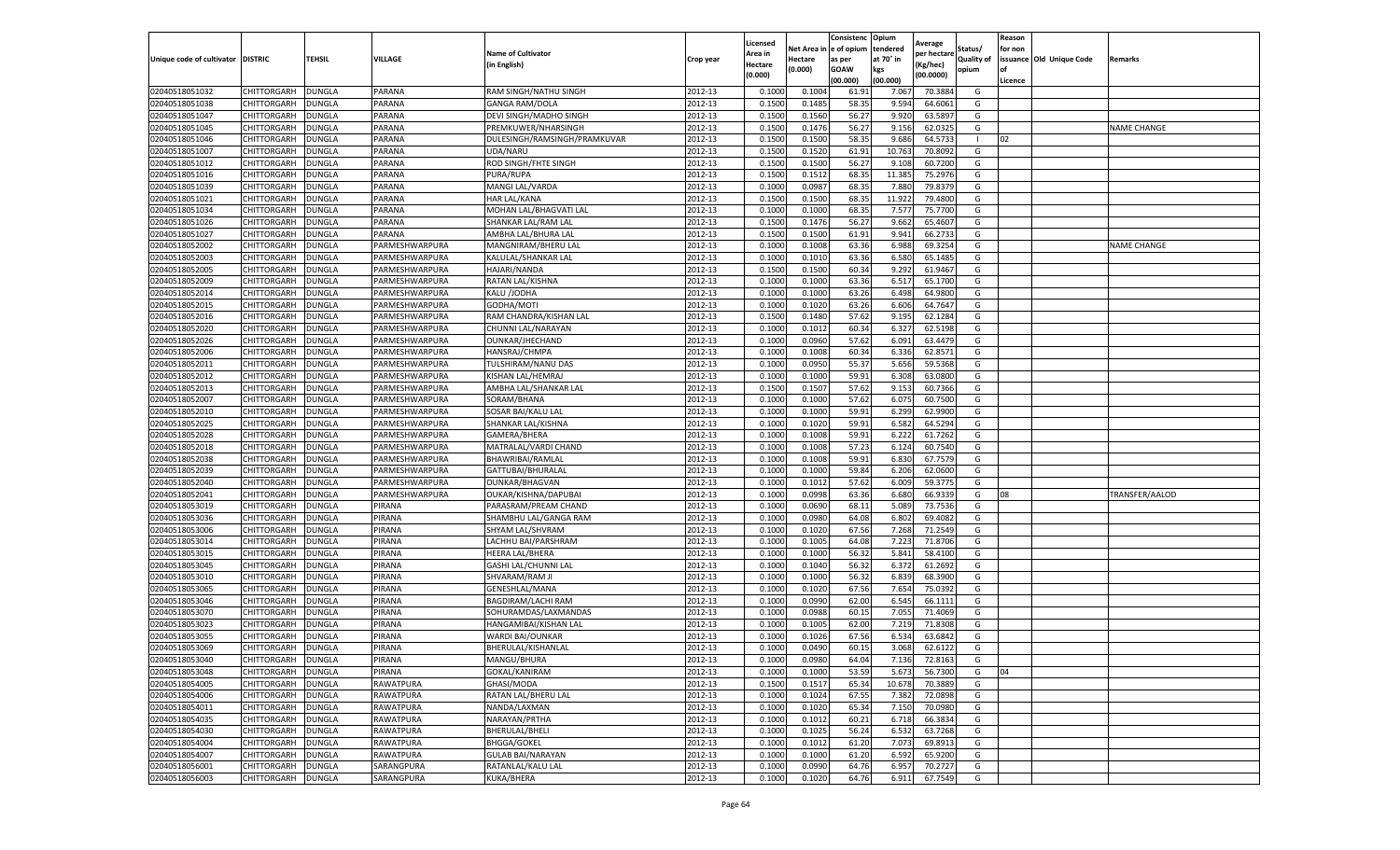|                           |                    |               |                |                              |           | Licensed |         | Consistenc             | Opium     |                        |                   | Reason  |                          |                    |
|---------------------------|--------------------|---------------|----------------|------------------------------|-----------|----------|---------|------------------------|-----------|------------------------|-------------------|---------|--------------------------|--------------------|
|                           |                    |               |                | <b>Name of Cultivator</b>    |           | Area in  |         | Net Area in e of opium | tendered  | Average<br>per hectare | Status/           | for non |                          |                    |
| Unique code of cultivator | <b>DISTRIC</b>     | TEHSIL        | VILLAGE        | in English)                  | Crop year | Hectare  | Hectare | as per                 | at 70° in | (Kg/hec                | <b>Quality of</b> |         | issuance Old Unique Code | <b>Remarks</b>     |
|                           |                    |               |                |                              |           | (0.000)  | (0.000) | <b>GOAW</b>            | kgs       | (00.0000)              | opium             |         |                          |                    |
|                           |                    |               |                |                              |           |          |         | (00.000)               | (00.000)  |                        |                   | Licence |                          |                    |
| 02040518051032            | CHITTORGARH        | <b>DUNGLA</b> | PARANA         | RAM SINGH/NATHU SINGH        | 2012-13   | 0.1000   | 0.1004  | 61.91                  | 7.067     | 70.3884                | G                 |         |                          |                    |
| 02040518051038            | CHITTORGARH        | DUNGLA        | PARANA         | <b>GANGA RAM/DOLA</b>        | 2012-13   | 0.1500   | 0.1485  | 58.35                  | 9.594     | 64.6061                | G                 |         |                          |                    |
| 02040518051047            | CHITTORGARH        | DUNGLA        | PARANA         | DEVI SINGH/MADHO SINGH       | 2012-13   | 0.1500   | 0.1560  | 56.27                  | 9.92      | 63.5897                | G                 |         |                          |                    |
| 02040518051045            | CHITTORGARH        | <b>DUNGLA</b> | PARANA         | PREMKUWER/NHARSINGH          | 2012-13   | 0.1500   | 0.1476  | 56.27                  | 9.156     | 62.0325                | G                 |         |                          | <b>NAME CHANGE</b> |
| 02040518051046            | CHITTORGARH        | DUNGLA        | PARANA         | DULESINGH/RAMSINGH/PRAMKUVAR | 2012-13   | 0.1500   | 0.1500  | 58.35                  | 9.686     | 64.573                 |                   | 02      |                          |                    |
| 02040518051007            | CHITTORGARH        | DUNGLA        | PARANA         | UDA/NARU                     | 2012-13   | 0.1500   | 0.1520  | 61.91                  | 10.763    | 70.8092                | G                 |         |                          |                    |
| 02040518051012            | CHITTORGARH        | <b>DUNGLA</b> | PARANA         | ROD SINGH/FHTE SINGH         | 2012-13   | 0.1500   | 0.1500  | 56.27                  | 9.108     | 60.7200                | G                 |         |                          |                    |
| 02040518051016            | CHITTORGARH        | DUNGLA        | PARANA         | PURA/RUPA                    | 2012-13   | 0.1500   | 0.1512  | 68.35                  | 11.385    | 75.2976                | G                 |         |                          |                    |
| 02040518051039            | CHITTORGARH        | DUNGLA        | PARANA         | MANGI LAL/VARDA              | 2012-13   | 0.1000   | 0.0987  | 68.35                  | 7.880     | 79.8379                | G                 |         |                          |                    |
| 02040518051021            | CHITTORGARH        | <b>DUNGLA</b> | PARANA         | <b>HAR LAL/KANA</b>          | 2012-13   | 0.1500   | 0.1500  | 68.35                  | 11.922    | 79.4800                | G                 |         |                          |                    |
| 02040518051034            | CHITTORGARH        | <b>DUNGLA</b> | PARANA         | MOHAN LAL/BHAGVATI LAL       | 2012-13   | 0.1000   | 0.1000  | 68.35                  | 7.577     | 75.7700                | G                 |         |                          |                    |
| 02040518051026            | CHITTORGARH        | <b>DUNGLA</b> | PARANA         | SHANKAR LAL/RAM LAL          | 2012-13   | 0.1500   | 0.1476  | 56.27                  | 9.662     | 65.4607                | G                 |         |                          |                    |
| 02040518051027            | CHITTORGARH        | DUNGLA        | PARANA         | AMBHA LAL/BHURA LAL          | 2012-13   | 0.1500   | 0.1500  | 61.91                  | 9.941     | 66.2733                | G                 |         |                          |                    |
| 02040518052002            | CHITTORGARH        | DUNGLA        | PARMESHWARPURA | MANGNIRAM/BHERU LAL          | 2012-13   | 0.1000   | 0.1008  | 63.36                  | 6.988     | 69.3254                | G                 |         |                          | <b>NAME CHANGE</b> |
| 02040518052003            | CHITTORGARH        | DUNGLA        | PARMESHWARPURA | KALULAL/SHANKAR LAL          | 2012-13   | 0.1000   | 0.1010  | 63.36                  | 6.580     | 65.1485                | G                 |         |                          |                    |
| 02040518052005            | CHITTORGARH        | <b>DUNGLA</b> | PARMESHWARPURA | <b>HAJARI/NANDA</b>          | 2012-13   | 0.1500   | 0.1500  | 60.34                  | 9.292     | 61.9467                | G                 |         |                          |                    |
| 02040518052009            | CHITTORGARH        | <b>DUNGLA</b> | PARMESHWARPURA | RATAN LAL/KISHNA             | 2012-13   | 0.1000   | 0.1000  | 63.36                  | 6.517     | 65.1700                | G                 |         |                          |                    |
| 02040518052014            | CHITTORGARH        | <b>DUNGLA</b> | PARMESHWARPURA | KALU /JODHA                  | 2012-13   | 0.1000   | 0.1000  | 63.26                  | 6.498     | 64.9800                | G                 |         |                          |                    |
| 02040518052015            | CHITTORGARH        | DUNGLA        | PARMESHWARPURA | GODHA/MOTI                   | 2012-13   | 0.1000   | 0.1020  | 63.26                  | 6.606     | 64.7647                | G                 |         |                          |                    |
| 02040518052016            | CHITTORGARH        | DUNGLA        | PARMESHWARPURA | RAM CHANDRA/KISHAN LAL       | 2012-13   | 0.1500   | 0.1480  | 57.62                  | 9.195     | 62.1284                | G                 |         |                          |                    |
| 02040518052020            | CHITTORGARH        | <b>DUNGLA</b> | PARMESHWARPURA | CHUNNI LAL/NARAYAN           | 2012-13   | 0.1000   | 0.1012  | 60.34                  | 6.327     | 62.5198                | G                 |         |                          |                    |
| 02040518052026            | CHITTORGARH        | DUNGLA        | PARMESHWARPURA | OUNKAR/JHECHAND              | 2012-13   | 0.1000   | 0.0960  | 57.62                  | 6.091     | 63.4479                | G                 |         |                          |                    |
| 02040518052006            | CHITTORGARH        | <b>DUNGLA</b> | PARMESHWARPURA | HANSRAJ/CHMPA                | 2012-13   | 0.1000   | 0.1008  | 60.34                  | 6.336     | 62.8571                | G                 |         |                          |                    |
| 02040518052011            | CHITTORGARH        | DUNGLA        | PARMESHWARPURA | TULSHIRAM/NANU DAS           | 2012-13   | 0.1000   | 0.0950  | 55.37                  | 5.656     | 59.5368                | G                 |         |                          |                    |
| 02040518052012            | CHITTORGARH        | DUNGLA        | PARMESHWARPURA | KISHAN LAL/HEMRAJ            | 2012-13   | 0.1000   | 0.1000  | 59.91                  | 6.308     | 63.0800                | G                 |         |                          |                    |
| 02040518052013            | CHITTORGARH        | DUNGLA        | PARMESHWARPURA | AMBHA LAL/SHANKAR LAL        | 2012-13   | 0.1500   | 0.1507  | 57.62                  | 9.153     | 60.7366                | G                 |         |                          |                    |
| 02040518052007            | CHITTORGARH        | DUNGLA        | PARMESHWARPURA | SORAM/BHANA                  | 2012-13   | 0.1000   | 0.1000  | 57.62                  | 6.075     | 60.7500                | G                 |         |                          |                    |
| 02040518052010            | CHITTORGARH        | <b>DUNGLA</b> | PARMESHWARPURA | SOSAR BAI/KALU LAI           | 2012-13   | 0.1000   | 0.1000  | 59.91                  | 6.299     | 62.9900                | G                 |         |                          |                    |
| 02040518052025            | CHITTORGARH        | <b>DUNGLA</b> | PARMESHWARPURA | SHANKAR LAL/KISHNA           | 2012-13   | 0.1000   | 0.1020  | 59.91                  | 6.582     | 64.5294                | G                 |         |                          |                    |
| 02040518052028            | CHITTORGARH        | <b>DUNGLA</b> | PARMESHWARPURA | GAMERA/BHERA                 | 2012-13   | 0.1000   | 0.1008  | 59.91                  | 6.222     | 61.7262                | G                 |         |                          |                    |
| 02040518052018            | CHITTORGARH        | DUNGLA        | PARMESHWARPURA | MATRALAL/VARDI CHAND         | 2012-13   | 0.1000   | 0.1008  | 57.23                  | 6.124     | 60.7540                | G                 |         |                          |                    |
| 02040518052038            | CHITTORGARH        | DUNGLA        | PARMESHWARPURA | BHAWRIBAI/RAMLAI             | 2012-13   | 0.1000   | 0.1008  | 59.91                  | 6.830     | 67.7579                | G                 |         |                          |                    |
| 02040518052039            | CHITTORGARH        | DUNGLA        | PARMESHWARPURA | GATTUBAI/BHURALAI            | 2012-13   | 0.1000   | 0.1000  | 59.84                  | 6.206     | 62.0600                | G                 |         |                          |                    |
| 02040518052040            | CHITTORGARH        | DUNGLA        | PARMESHWARPURA | <b>OUNKAR/BHAGVAN</b>        | 2012-13   | 0.1000   | 0.1012  | 57.62                  | 6.009     | 59.3775                | G                 |         |                          |                    |
| 02040518052041            | CHITTORGARH        | <b>DUNGLA</b> | PARMESHWARPURA | OUKAR/KISHNA/DAPUBAI         | 2012-13   | 0.1000   | 0.0998  | 63.36                  | 6.680     | 66.9339                | G                 | 08      |                          | TRANSFER/AALOD     |
| 02040518053019            | CHITTORGARH        | DUNGLA        | PIRANA         | PARASRAM/PREAM CHAND         | 2012-13   | 0.1000   | 0.0690  | 68.11                  | 5.089     | 73.7536                | G                 |         |                          |                    |
| 02040518053036            | CHITTORGARH        | <b>DUNGLA</b> | PIRANA         | SHAMBHU LAL/GANGA RAM        | 2012-13   | 0.1000   | 0.0980  | 64.08                  | 6.802     | 69.4082                | G                 |         |                          |                    |
| 02040518053006            | CHITTORGARH        | DUNGLA        | PIRANA         | SHYAM LAL/SHVRAM             | 2012-13   | 0.1000   | 0.1020  | 67.56                  | 7.268     | 71.2549                | G                 |         |                          |                    |
| 02040518053014            | CHITTORGARH        | DUNGLA        | PIRANA         | LACHHU BAI/PARSHRAM          | 2012-13   | 0.1000   | 0.1005  | 64.08                  | 7.223     | 71.8706                | G                 |         |                          |                    |
| 02040518053015            | CHITTORGARH        | <b>DUNGLA</b> | PIRANA         | <b>HEERA LAL/BHERA</b>       | 2012-13   | 0.1000   | 0.1000  | 56.32                  | 5.841     | 58.4100                | G                 |         |                          |                    |
| 02040518053045            | CHITTORGARH        | DUNGLA        | PIRANA         | GASHI LAL/CHUNNI LAL         | 2012-13   | 0.1000   | 0.1040  | 56.32                  | 6.372     | 61.2692                | G                 |         |                          |                    |
| 02040518053010            | CHITTORGARH        | <b>DUNGLA</b> | PIRANA         | SHVARAM/RAM JI               | 2012-13   | 0.1000   | 0.1000  | 56.32                  | 6.839     | 68.3900                | G                 |         |                          |                    |
| 02040518053065            | CHITTORGARH        | DUNGLA        | PIRANA         | GENESHLAL/MANA               | 2012-13   | 0.1000   | 0.1020  | 67.56                  | 7.654     | 75.0392                | G                 |         |                          |                    |
| 02040518053046            | CHITTORGARH        | DUNGLA        | PIRANA         | BAGDIRAM/LACHI RAM           | 2012-13   | 0.1000   | 0.0990  | 62.00                  | 6.545     | 66.1111                | G                 |         |                          |                    |
| 02040518053070            | <b>CHITTORGARH</b> | <b>DUNGLA</b> | PIRANA         | SOHURAMDAS/LAXMANDAS         | 2012-13   | 0.1000   | 0.0988  | 60.15                  | 7.055     | 71.4069                | G                 |         |                          |                    |
| 02040518053023            | CHITTORGARH        | DUNGLA        | PIRANA         | HANGAMIBAI/KISHAN LAL        | 2012-13   | 0.1000   | 0.1005  | 62.00                  | 7.21      | 71.8308                | G                 |         |                          |                    |
| 02040518053055            | CHITTORGARH        | DUNGLA        | PIRANA         | WARDI BAI/OUNKAR             | 2012-13   | 0.1000   | 0.1026  | 67.56                  | 6.534     | 63.6842                | G                 |         |                          |                    |
| 02040518053069            | CHITTORGARH        | <b>DUNGLA</b> | PIRANA         | BHERULAL/KISHANLAL           | 2012-13   | 0.1000   | 0.0490  | 60.15                  | 3.068     | 62.6122                | G                 |         |                          |                    |
| 02040518053040            | CHITTORGARH        | <b>DUNGLA</b> | PIRANA         | MANGU/BHURA                  | 2012-13   | 0.1000   | 0.0980  | 64.04                  | 7.136     | 72.8163                | G                 |         |                          |                    |
| 02040518053048            | CHITTORGARH        | <b>DUNGLA</b> | PIRANA         | <b>GOKAL/KANIRAM</b>         | 2012-13   | 0.1000   | 0.1000  | 53.59                  | 5.673     | 56.7300                | G                 | 04      |                          |                    |
| 02040518054005            | <b>CHITTORGARH</b> | <b>DUNGLA</b> | RAWATPURA      | GHASI/MODA                   | 2012-13   | 0.1500   | 0.1517  | 65.34                  | 10.678    | 70.3889                | G                 |         |                          |                    |
| 02040518054006            | CHITTORGARH        | <b>DUNGLA</b> | RAWATPURA      | RATAN LAL/BHERU LAL          | 2012-13   | 0.1000   | 0.1024  | 67.55                  | 7.382     | 72.0898                | G                 |         |                          |                    |
| 02040518054011            | <b>CHITTORGARH</b> | <b>DUNGLA</b> | RAWATPURA      | NANDA/LAXMAN                 | 2012-13   | 0.1000   | 0.1020  | 65.34                  | 7.150     | 70.0980                | G                 |         |                          |                    |
| 02040518054035            | <b>CHITTORGARH</b> | <b>DUNGLA</b> | RAWATPURA      | NARAYAN/PRTHA                | 2012-13   | 0.1000   | 0.1012  | 60.21                  | 6.718     | 66.3834                | G                 |         |                          |                    |
| 02040518054030            | <b>CHITTORGARH</b> | <b>DUNGLA</b> | RAWATPURA      | BHERULAL/BHELI               | 2012-13   | 0.1000   | 0.1025  | 56.24                  | 6.532     | 63.7268                | G                 |         |                          |                    |
| 02040518054004            | <b>CHITTORGARH</b> | <b>DUNGLA</b> | RAWATPURA      | <b>BHGGA/GOKEL</b>           | 2012-13   | 0.1000   | 0.1012  | 61.20                  | 7.073     | 69.8913                | G                 |         |                          |                    |
| 02040518054007            | CHITTORGARH        | <b>DUNGLA</b> | RAWATPURA      | <b>GULAB BAI/NARAYAN</b>     | 2012-13   | 0.1000   | 0.1000  | 61.20                  | 6.592     | 65.9200                | G                 |         |                          |                    |
| 02040518056001            | CHITTORGARH        | DUNGLA        | SARANGPURA     | RATANLAL/KALU LAL            | 2012-13   | 0.1000   | 0.0990  | 64.76                  | 6.957     | 70.2727                | G                 |         |                          |                    |
| 02040518056003            | <b>CHITTORGARH</b> | <b>DUNGLA</b> | SARANGPURA     | KUKA/BHERA                   | 2012-13   | 0.1000   | 0.1020  | 64.76                  | 6.911     | 67.7549                | G                 |         |                          |                    |
|                           |                    |               |                |                              |           |          |         |                        |           |                        |                   |         |                          |                    |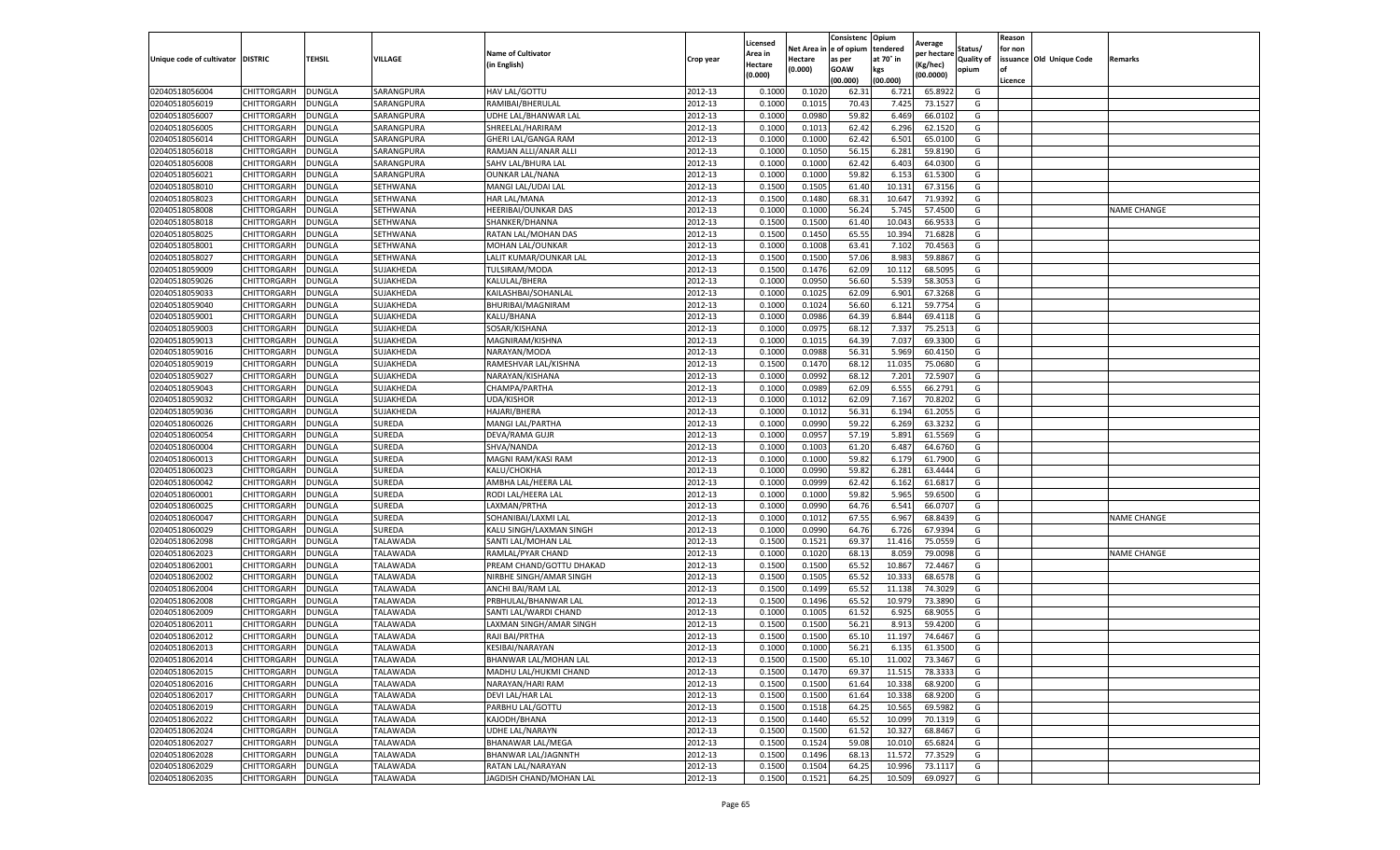|                           |                    |               |                 |                           |           | Licensed |         | Consistenc             | Opium     |                        |                   | Reason  |                          |                    |
|---------------------------|--------------------|---------------|-----------------|---------------------------|-----------|----------|---------|------------------------|-----------|------------------------|-------------------|---------|--------------------------|--------------------|
|                           |                    |               |                 | <b>Name of Cultivator</b> |           | Area in  |         | Net Area in e of opium | tendered  | Average<br>per hectare | Status/           | for non |                          |                    |
| Unique code of cultivator | <b>DISTRIC</b>     | TEHSIL        | VILLAGE         | in English)               | Crop year | Hectare  | Hectare | as per                 | at 70° in | (Kg/hec                | <b>Quality of</b> |         | issuance Old Unique Code | <b>Remarks</b>     |
|                           |                    |               |                 |                           |           | (0.000)  | (0.000) | <b>GOAW</b>            | kgs       | (00.0000)              | opium             |         |                          |                    |
|                           |                    |               |                 |                           |           |          |         | (00.000)               | (00.000)  |                        |                   | Licence |                          |                    |
| 02040518056004            | CHITTORGARH        | <b>DUNGLA</b> | SARANGPURA      | HAV LAL/GOTTU             | 2012-13   | 0.1000   | 0.1020  | 62.3                   | 6.721     | 65.8922                | G                 |         |                          |                    |
| 02040518056019            | CHITTORGARH        | DUNGLA        | SARANGPURA      | RAMIBAI/BHERULAL          | 2012-13   | 0.1000   | 0.1015  | 70.43                  | 7.425     | 73.1527                | G                 |         |                          |                    |
| 02040518056007            | CHITTORGARH        | DUNGLA        | SARANGPURA      | UDHE LAL/BHANWAR LAL      | 2012-13   | 0.1000   | 0.0980  | 59.82                  | 6.469     | 66.0102                | G                 |         |                          |                    |
| 02040518056005            | CHITTORGARH        | <b>DUNGLA</b> | SARANGPURA      | SHREELAL/HARIRAM          | 2012-13   | 0.1000   | 0.1013  | 62.42                  | 6.296     | 62.1520                | G                 |         |                          |                    |
| 02040518056014            | CHITTORGARH        | DUNGLA        | SARANGPURA      | GHERI LAL/GANGA RAM       | 2012-13   | 0.1000   | 0.1000  | 62.42                  | 6.501     | 65.0100                | G                 |         |                          |                    |
| 02040518056018            | CHITTORGARH        | DUNGLA        | SARANGPURA      | RAMJAN ALLI/ANAR ALLI     | 2012-13   | 0.1000   | 0.1050  | 56.15                  | 6.281     | 59.8190                | G                 |         |                          |                    |
| 02040518056008            | CHITTORGARH        | DUNGLA        | SARANGPURA      | SAHV LAL/BHURA LAL        | 2012-13   | 0.1000   | 0.1000  | 62.42                  | 6.403     | 64.0300                | G                 |         |                          |                    |
| 02040518056021            | CHITTORGARH        | DUNGLA        | SARANGPURA      | <b>OUNKAR LAL/NANA</b>    | 2012-13   | 0.1000   | 0.1000  | 59.82                  | 6.153     | 61.5300                | G                 |         |                          |                    |
| 02040518058010            | CHITTORGARH        | DUNGLA        | SETHWANA        | MANGI LAL/UDAI LAL        | 2012-13   | 0.1500   | 0.1505  | 61.40                  | 10.13     | 67.3156                | G                 |         |                          |                    |
| 02040518058023            | CHITTORGARH        | <b>DUNGLA</b> | SETHWANA        | HAR LAL/MANA              | 2012-13   | 0.1500   | 0.1480  | 68.31                  | 10.647    | 71.9392                | G                 |         |                          |                    |
| 02040518058008            | CHITTORGARH        | <b>DUNGLA</b> | SETHWANA        | HEERIBAI/OUNKAR DAS       | 2012-13   | 0.1000   | 0.1000  | 56.24                  | 5.745     | 57.4500                | G                 |         |                          | <b>NAME CHANGE</b> |
| 02040518058018            | CHITTORGARH        | <b>DUNGLA</b> | SETHWANA        | SHANKER/DHANNA            | 2012-13   | 0.1500   | 0.1500  | 61.40                  | 10.04     | 66.953                 | G                 |         |                          |                    |
| 02040518058025            | CHITTORGARH        | DUNGLA        | SETHWANA        | RATAN LAL/MOHAN DAS       | 2012-13   | 0.1500   | 0.1450  | 65.55                  | 10.39     | 71.6828                | G                 |         |                          |                    |
| 02040518058001            | CHITTORGARH        | DUNGLA        | SETHWANA        | MOHAN LAL/OUNKAR          | 2012-13   | 0.1000   | 0.1008  | 63.41                  | 7.102     | 70.4563                | G                 |         |                          |                    |
| 02040518058027            | CHITTORGARH        | DUNGLA        | SETHWANA        | LALIT KUMAR/OUNKAR LAL    | 2012-13   | 0.1500   | 0.1500  | 57.06                  | 8.983     | 59.8867                | G                 |         |                          |                    |
| 02040518059009            | CHITTORGARH        | <b>DUNGLA</b> | SUJAKHEDA       | TULSIRAM/MODA             | 2012-13   | 0.1500   | 0.1476  | 62.09                  | 10.112    | 68.5095                | G                 |         |                          |                    |
| 02040518059026            | CHITTORGARH        | <b>DUNGLA</b> | SUJAKHEDA       | KALULAL/BHERA             | 2012-13   | 0.1000   | 0.0950  | 56.60                  | 5.539     | 58.3053                | G                 |         |                          |                    |
| 02040518059033            | CHITTORGARH        | <b>DUNGLA</b> | SUJAKHEDA       | KAILASHBAI/SOHANLAL       | 2012-13   | 0.1000   | 0.1025  | 62.09                  | 6.901     | 67.3268                | G                 |         |                          |                    |
| 02040518059040            | CHITTORGARH        | DUNGLA        | SUJAKHEDA       | <b>BHURIBAI/MAGNIRAM</b>  | 2012-13   | 0.1000   | 0.1024  | 56.60                  | 6.12      | 59.7754                | G                 |         |                          |                    |
| 02040518059001            | CHITTORGARH        | DUNGLA        | SUJAKHEDA       | KALU/BHANA                | 2012-13   | 0.1000   | 0.0986  | 64.39                  | 6.844     | 69.4118                | G                 |         |                          |                    |
| 02040518059003            | CHITTORGARH        | <b>DUNGLA</b> | SUJAKHEDA       | SOSAR/KISHANA             | 2012-13   | 0.1000   | 0.0975  | 68.12                  | 7.337     | 75.2513                | G                 |         |                          |                    |
| 02040518059013            | CHITTORGARH        | DUNGLA        | SUJAKHEDA       | MAGNIRAM/KISHNA           | 2012-13   | 0.1000   | 0.1015  | 64.39                  | 7.037     | 69.3300                | G                 |         |                          |                    |
| 02040518059016            | CHITTORGARH        | <b>DUNGLA</b> | SUJAKHEDA       | NARAYAN/MODA              | 2012-13   | 0.1000   | 0.0988  | 56.31                  | 5.969     | 60.4150                | G                 |         |                          |                    |
| 02040518059019            | CHITTORGARH        | DUNGLA        | SUJAKHEDA       | RAMESHVAR LAL/KISHNA      | 2012-13   | 0.1500   | 0.1470  | 68.12                  | 11.035    | 75.0680                | G                 |         |                          |                    |
| 02040518059027            | CHITTORGARH        | DUNGLA        | SUJAKHEDA       | NARAYAN/KISHANA           | 2012-13   | 0.1000   | 0.0992  | 68.1                   | 7.201     | 72.5907                | G                 |         |                          |                    |
| 02040518059043            | CHITTORGARH        | DUNGLA        | SUJAKHEDA       | CHAMPA/PARTHA             | 2012-13   | 0.1000   | 0.0989  | 62.09                  | 6.555     | 66.2791                | G                 |         |                          |                    |
| 02040518059032            | CHITTORGARH        | DUNGLA        | SUJAKHEDA       | <b>UDA/KISHOR</b>         | 2012-13   | 0.1000   | 0.1012  | 62.09                  | 7.167     | 70.8202                | G                 |         |                          |                    |
| 02040518059036            | CHITTORGARH        | <b>DUNGLA</b> | SUJAKHEDA       | HAJARI/BHERA              | 2012-13   | 0.1000   | 0.1012  | 56.31                  | 6.194     | 61.2055                | G                 |         |                          |                    |
| 02040518060026            | CHITTORGARH        | <b>DUNGLA</b> | SUREDA          | MANGI LAL/PARTHA          | 2012-13   | 0.1000   | 0.0990  | 59.22                  | 6.269     | 63.3232                | G                 |         |                          |                    |
| 02040518060054            | CHITTORGARH        | <b>DUNGLA</b> | SUREDA          | DEVA/RAMA GUJR            | 2012-13   | 0.1000   | 0.0957  | 57.19                  | 5.891     | 61.5569                | G                 |         |                          |                    |
| 02040518060004            | CHITTORGARH        | DUNGLA        | SUREDA          | SHVA/NANDA                | 2012-13   | 0.1000   | 0.1003  | 61.20                  | 6.487     | 64.6760                | G                 |         |                          |                    |
| 02040518060013            | CHITTORGARH        | DUNGLA        | SUREDA          | MAGNI RAM/KASI RAM        | 2012-13   | 0.1000   | 0.1000  | 59.82                  | 6.179     | 61.7900                | G                 |         |                          |                    |
| 02040518060023            | CHITTORGARH        | DUNGLA        | SUREDA          | KALU/CHOKHA               | 2012-13   | 0.1000   | 0.0990  | 59.82                  | 6.281     | 63.4444                | G                 |         |                          |                    |
| 02040518060042            | CHITTORGARH        | DUNGLA        | SUREDA          | AMBHA LAL/HEERA LAL       | 2012-13   | 0.1000   | 0.0999  | 62.42                  | 6.162     | 61.6817                | G                 |         |                          |                    |
| 02040518060001            | CHITTORGARH        | <b>DUNGLA</b> | SUREDA          | RODI LAL/HEERA LAL        | 2012-13   | 0.1000   | 0.1000  | 59.82                  | 5.965     | 59.6500                | G                 |         |                          |                    |
| 02040518060025            | CHITTORGARH        | DUNGLA        | SUREDA          | LAXMAN/PRTHA              | 2012-13   | 0.1000   | 0.0990  | 64.76                  | 6.541     | 66.0707                | G                 |         |                          |                    |
| 02040518060047            | CHITTORGARH        | <b>DUNGLA</b> | SUREDA          | SOHANIBAI/LAXMI LAL       | 2012-13   | 0.1000   | 0.1012  | 67.55                  | 6.967     | 68.8439                | G                 |         |                          | <b>NAME CHANGE</b> |
| 02040518060029            | CHITTORGARH        | DUNGLA        | SUREDA          | KALU SINGH/LAXMAN SINGH   | 2012-13   | 0.1000   | 0.0990  | 64.76                  | 6.726     | 67.9394                | G                 |         |                          |                    |
| 02040518062098            | CHITTORGARH        | DUNGLA        | TALAWADA        | SANTI LAL/MOHAN LAL       | 2012-13   | 0.1500   | 0.1521  | 69.37                  | 11.416    | 75.0559                | G                 |         |                          |                    |
| 02040518062023            | CHITTORGARH        | <b>DUNGLA</b> | TALAWADA        | RAMLAL/PYAR CHAND         | 2012-13   | 0.1000   | 0.1020  | 68.13                  | 8.059     | 79.0098                | G                 |         |                          | <b>NAME CHANGE</b> |
| 02040518062001            | CHITTORGARH        | DUNGLA        | TALAWADA        | PREAM CHAND/GOTTU DHAKAD  | 2012-13   | 0.1500   | 0.1500  | 65.52                  | 10.86     | 72.4467                | G                 |         |                          |                    |
| 02040518062002            | CHITTORGARH        | <b>DUNGLA</b> | TALAWADA        | NIRBHE SINGH/AMAR SINGH   | 2012-13   | 0.1500   | 0.1505  | 65.52                  | 10.33     | 68.6578                | G                 |         |                          |                    |
| 02040518062004            | CHITTORGARH        | DUNGLA        | TALAWADA        | ANCHI BAI/RAM LAL         | 2012-13   | 0.1500   | 0.1499  | 65.52                  | 11.13     | 74.3029                | G                 |         |                          |                    |
| 02040518062008            | CHITTORGARH        | DUNGLA        | <b>TALAWADA</b> | PRBHULAL/BHANWAR LAL      | 2012-13   | 0.1500   | 0.1496  | 65.52                  | 10.97     | 73.3890                | G                 |         |                          |                    |
| 02040518062009            | CHITTORGARH        | <b>DUNGLA</b> | TALAWADA        | SANTI LAL/WARDI CHAND     | 2012-13   | 0.1000   | 0.1005  | 61.52                  | 6.925     | 68.9055                | G                 |         |                          |                    |
| 02040518062011            | CHITTORGARH        | DUNGLA        | TALAWADA        | LAXMAN SINGH/AMAR SINGH   | 2012-13   | 0.1500   | 0.1500  | 56.21                  | 8.913     | 59.4200                | G                 |         |                          |                    |
| 02040518062012            | CHITTORGARH        | DUNGLA        | TALAWADA        | RAJI BAI/PRTHA            | 2012-13   | 0.1500   | 0.1500  | 65.10                  | 11.19     | 74.6467                | G                 |         |                          |                    |
| 02040518062013            | CHITTORGARH        | <b>DUNGLA</b> | TALAWADA        | KESIBAI/NARAYAN           | 2012-13   | 0.1000   | 0.1000  | 56.21                  | 6.135     | 61.3500                | G                 |         |                          |                    |
| 02040518062014            | CHITTORGARH        | <b>DUNGLA</b> | <b>TALAWADA</b> | BHANWAR LAL/MOHAN LAL     | 2012-13   | 0.1500   | 0.1500  | 65.10                  | 11.002    | 73.3467                | G                 |         |                          |                    |
| 02040518062015            | CHITTORGARH        | <b>DUNGLA</b> | TALAWADA        | MADHU LAL/HUKMI CHAND     | 2012-13   | 0.1500   | 0.1470  | 69.37                  | 11.515    | 78.3333                | G                 |         |                          |                    |
| 02040518062016            | CHITTORGARH        | <b>DUNGLA</b> | TALAWADA        | NARAYAN/HARI RAM          | 2012-13   | 0.1500   | 0.1500  | 61.64                  | 10.338    | 68.9200                | G                 |         |                          |                    |
| 02040518062017            | <b>CHITTORGARH</b> | DUNGLA        | TALAWADA        | DEVI LAL/HAR LAL          | 2012-13   | 0.1500   | 0.1500  | 61.64                  | 10.338    | 68.9200                | G                 |         |                          |                    |
| 02040518062019            | CHITTORGARH        | <b>DUNGLA</b> | TALAWADA        | PARBHU LAL/GOTTU          | 2012-13   | 0.1500   | 0.1518  | 64.25                  | 10.565    | 69.5982                | G                 |         |                          |                    |
| 02040518062022            | <b>CHITTORGARH</b> | <b>DUNGLA</b> | TALAWADA        | KAJODH/BHANA              | 2012-13   | 0.1500   | 0.1440  | 65.52                  | 10.099    | 70.1319                | G                 |         |                          |                    |
| 02040518062024            | CHITTORGARH        | <b>DUNGLA</b> | TALAWADA        | UDHE LAL/NARAYN           | 2012-13   | 0.1500   | 0.1500  | 61.52                  | 10.32     | 68.8467                | G                 |         |                          |                    |
| 02040518062027            | <b>CHITTORGARH</b> | <b>DUNGLA</b> | TALAWADA        | <b>BHANAWAR LAL/MEGA</b>  | 2012-13   | 0.1500   | 0.1524  | 59.08                  | 10.01     | 65.6824                | G                 |         |                          |                    |
| 02040518062028            | CHITTORGARH        | <b>DUNGLA</b> | TALAWADA        | BHANWAR LAL/JAGNNTH       | 2012-13   | 0.1500   | 0.1496  | 68.13                  | 11.572    | 77.3529                | G                 |         |                          |                    |
| 02040518062029            | CHITTORGARH        | DUNGLA        | TALAWADA        | RATAN LAL/NARAYAN         | 2012-13   | 0.1500   | 0.1504  | 64.25                  | 10.996    | 73.1117                | G                 |         |                          |                    |
| 02040518062035            | <b>CHITTORGARH</b> | <b>DUNGLA</b> | TALAWADA        | JAGDISH CHAND/MOHAN LAL   | 2012-13   | 0.1500   | 0.1521  | 64.25                  | 10.509    | 69.0927                | G                 |         |                          |                    |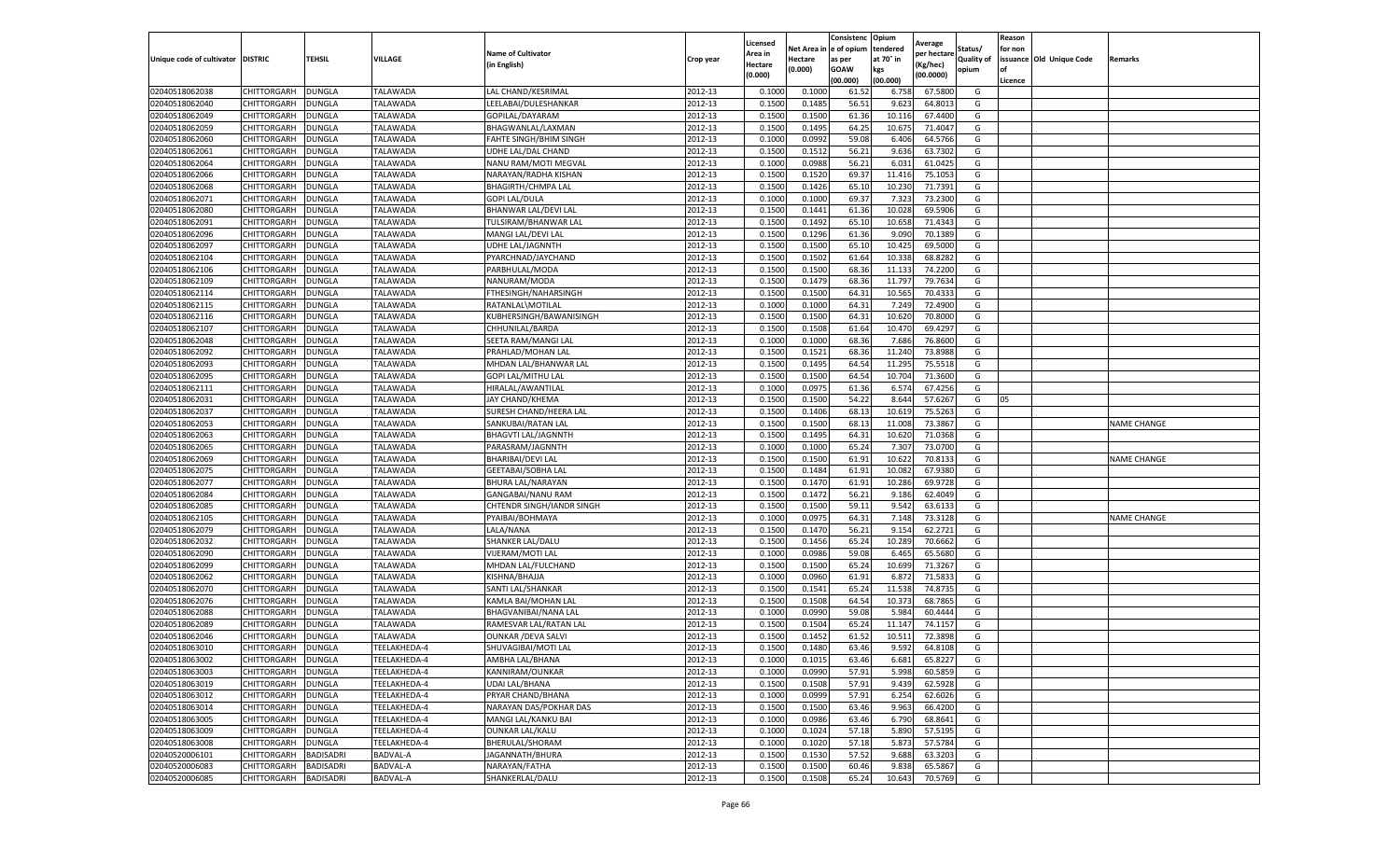|                           |                    |                  |                 |                             |           | Licensed |         | Consistenc             | Opium     |                        |                   | Reason  |                          |                    |
|---------------------------|--------------------|------------------|-----------------|-----------------------------|-----------|----------|---------|------------------------|-----------|------------------------|-------------------|---------|--------------------------|--------------------|
|                           |                    |                  |                 | <b>Name of Cultivator</b>   |           | Area in  |         | Net Area in e of opium | tendered  | Average<br>per hectare | Status/           | for non |                          |                    |
| Unique code of cultivator | <b>DISTRIC</b>     | TEHSIL           | VILLAGE         | in English)                 | Crop year | Hectare  | Hectare | as per                 | at 70° in | (Kg/hec                | <b>Quality of</b> |         | issuance Old Unique Code | <b>Remarks</b>     |
|                           |                    |                  |                 |                             |           | (0.000)  | (0.000) | <b>GOAW</b>            | kgs       | (00.0000)              | opium             |         |                          |                    |
|                           |                    |                  |                 |                             |           |          |         | (00.000)               | (00.000)  |                        |                   | Licence |                          |                    |
| 02040518062038            | CHITTORGARH        | <b>DUNGLA</b>    | TALAWADA        | LAL CHAND/KESRIMAL          | 2012-13   | 0.1000   | 0.1000  | 61.52                  | 6.758     | 67.5800                | G                 |         |                          |                    |
| 02040518062040            | CHITTORGARH        | DUNGLA           | TALAWADA        | LEELABAI/DULESHANKAR        | 2012-13   | 0.1500   | 0.1485  | 56.51                  | 9.62      | 64.801                 | G                 |         |                          |                    |
| 02040518062049            | CHITTORGARH        | DUNGLA           | TALAWADA        | GOPILAL/DAYARAM             | 2012-13   | 0.1500   | 0.1500  | 61.36                  | 10.11     | 67.4400                | G                 |         |                          |                    |
| 02040518062059            | CHITTORGARH        | <b>DUNGLA</b>    | TALAWADA        | BHAGWANLAL/LAXMAN           | 2012-13   | 0.1500   | 0.1495  | 64.25                  | 10.675    | 71.4047                | G                 |         |                          |                    |
| 02040518062060            | CHITTORGARH        | DUNGLA           | TALAWADA        | FAHTE SINGH/BHIM SINGH      | 2012-13   | 0.1000   | 0.0992  | 59.08                  | 6.406     | 64.5766                | G                 |         |                          |                    |
| 02040518062061            | CHITTORGARH        | DUNGLA           | TALAWADA        | UDHE LAL/DAL CHAND          | 2012-13   | 0.1500   | 0.1512  | 56.21                  | 9.636     | 63.7302                | G                 |         |                          |                    |
| 02040518062064            | CHITTORGARH        | <b>DUNGLA</b>    | TALAWADA        | NANU RAM/MOTI MEGVAL        | 2012-13   | 0.1000   | 0.0988  | 56.21                  | 6.031     | 61.0425                | G                 |         |                          |                    |
| 02040518062066            | CHITTORGARH        | DUNGLA           | TALAWADA        | NARAYAN/RADHA KISHAN        | 2012-13   | 0.1500   | 0.1520  | 69.37                  | 11.416    | 75.105                 | G                 |         |                          |                    |
| 02040518062068            | CHITTORGARH        | DUNGLA           | TALAWADA        | <b>BHAGIRTH/CHMPA LAL</b>   | 2012-13   | 0.1500   | 0.1426  | 65.10                  | 10.23     | 71.7391                | G                 |         |                          |                    |
| 02040518062071            | CHITTORGARH        | <b>DUNGLA</b>    | TALAWADA        | <b>GOPI LAL/DULA</b>        | 2012-13   | 0.1000   | 0.1000  | 69.37                  | 7.323     | 73.2300                | G                 |         |                          |                    |
| 02040518062080            | CHITTORGARH        | <b>DUNGLA</b>    | TALAWADA        | <b>BHANWAR LAL/DEVI LAL</b> | 2012-13   | 0.1500   | 0.1441  | 61.36                  | 10.02     | 69.5906                | G                 |         |                          |                    |
| 02040518062091            | CHITTORGARH        | <b>DUNGLA</b>    | TALAWADA        | TULSIRAM/BHANWAR LAL        | 2012-13   | 0.1500   | 0.1492  | 65.10                  | 10.65     | 71.4343                | G                 |         |                          |                    |
| 02040518062096            | CHITTORGARH        | DUNGLA           | TALAWADA        | MANGI LAL/DEVI LAL          | 2012-13   | 0.1500   | 0.1296  | 61.36                  | 9.09      | 70.1389                | G                 |         |                          |                    |
| 02040518062097            | CHITTORGARH        | DUNGLA           | TALAWADA        | UDHE LAL/JAGNNTH            | 2012-13   | 0.1500   | 0.1500  | 65.10                  | 10.425    | 69.5000                | G                 |         |                          |                    |
| 02040518062104            | CHITTORGARH        | DUNGLA           | TALAWADA        | PYARCHNAD/JAYCHAND          | 2012-13   | 0.1500   | 0.1502  | 61.64                  | 10.33     | 68.8282                | G                 |         |                          |                    |
| 02040518062106            | CHITTORGARH        | <b>DUNGLA</b>    | <b>TALAWADA</b> | PARBHULAL/MODA              | 2012-13   | 0.1500   | 0.1500  | 68.36                  | 11.13     | 74.2200                | G                 |         |                          |                    |
| 02040518062109            | CHITTORGARH        | <b>DUNGLA</b>    | TALAWADA        | NANURAM/MODA                | 2012-13   | 0.1500   | 0.1479  | 68.36                  | 11.797    | 79.7634                | G                 |         |                          |                    |
| 02040518062114            | CHITTORGARH        | <b>DUNGLA</b>    | TALAWADA        | FTHESINGH/NAHARSINGH        | 2012-13   | 0.1500   | 0.1500  | 64.31                  | 10.565    | 70.4333                | G                 |         |                          |                    |
| 02040518062115            | CHITTORGARH        | DUNGLA           | <b>TALAWADA</b> | RATANLAL\MOTILAL            | 2012-13   | 0.1000   | 0.1000  | 64.31                  | 7.249     | 72.4900                | G                 |         |                          |                    |
| 02040518062116            | CHITTORGARH        | DUNGLA           | TALAWADA        | KUBHERSINGH/BAWANISINGH     | 2012-13   | 0.1500   | 0.1500  | 64.31                  | 10.620    | 70.8000                | G                 |         |                          |                    |
| 02040518062107            | CHITTORGARH        | <b>DUNGLA</b>    | TALAWADA        | CHHUNILAL/BARDA             | 2012-13   | 0.1500   | 0.1508  | 61.64                  | 10.470    | 69.4297                | G                 |         |                          |                    |
| 02040518062048            | CHITTORGARH        | DUNGLA           | TALAWADA        | SEETA RAM/MANGI LAL         | 2012-13   | 0.1000   | 0.1000  | 68.36                  | 7.686     | 76.8600                | G                 |         |                          |                    |
| 02040518062092            | CHITTORGARH        | <b>DUNGLA</b>    | TALAWADA        | PRAHLAD/MOHAN LAL           | 2012-13   | 0.1500   | 0.1521  | 68.36                  | 11.240    | 73.8988                | G                 |         |                          |                    |
| 02040518062093            | CHITTORGARH        | DUNGLA           | TALAWADA        | MHDAN LAL/BHANWAR LAL       | 2012-13   | 0.1500   | 0.1495  | 64.54                  | 11.295    | 75.5518                | G                 |         |                          |                    |
| 02040518062095            | CHITTORGARH        | DUNGLA           | <b>TALAWADA</b> | GOPI LAL/MITHU LAL          | 2012-13   | 0.1500   | 0.1500  | 64.54                  | 10.704    | 71.3600                | G                 |         |                          |                    |
| 02040518062111            | CHITTORGARH        | DUNGLA           | TALAWADA        | HIRALAL/AWANTILAL           | 2012-13   | 0.1000   | 0.0975  | 61.36                  | 6.574     | 67.4256                | G                 |         |                          |                    |
| 02040518062031            | CHITTORGARH        | DUNGLA           | TALAWADA        | <b>JAY CHAND/KHEMA</b>      | 2012-13   | 0.1500   | 0.1500  | 54.22                  | 8.644     | 57.6267                | G                 | 05      |                          |                    |
| 02040518062037            | CHITTORGARH        | <b>DUNGLA</b>    | TALAWADA        | SURESH CHAND/HEERA LAL      | 2012-13   | 0.1500   | 0.1406  | 68.13                  | 10.61     | 75.5263                | G                 |         |                          |                    |
| 02040518062053            | CHITTORGARH        | <b>DUNGLA</b>    | TALAWADA        | SANKUBAI/RATAN LAL          | 2012-13   | 0.1500   | 0.1500  | 68.13                  | 11.008    | 73.3867                | G                 |         |                          | <b>NAME CHANGE</b> |
| 02040518062063            | CHITTORGARH        | <b>DUNGLA</b>    | TALAWADA        | <b>BHAGVTI LAL/JAGNNTH</b>  | 2012-13   | 0.1500   | 0.1495  | 64.31                  | 10.62     | 71.0368                | G                 |         |                          |                    |
| 02040518062065            | CHITTORGARH        | DUNGLA           | <b>TALAWADA</b> | PARASRAM/JAGNNTH            | 2012-13   | 0.1000   | 0.1000  | 65.24                  | 7.30      | 73.0700                | G                 |         |                          |                    |
| 02040518062069            | CHITTORGARH        | DUNGLA           | TALAWADA        | BHARIBAI/DEVI LAL           | 2012-13   | 0.1500   | 0.1500  | 61.91                  | 10.622    | 70.8133                | G                 |         |                          | <b>NAME CHANGE</b> |
| 02040518062075            | CHITTORGARH        | DUNGLA           | TALAWADA        | <b>GEETABAI/SOBHA LAI</b>   | 2012-13   | 0.1500   | 0.1484  | 61.91                  | 10.08     | 67.9380                | G                 |         |                          |                    |
| 02040518062077            | CHITTORGARH        | DUNGLA           | TALAWADA        | BHURA LAL/NARAYAN           | 2012-13   | 0.1500   | 0.1470  | 61.91                  | 10.286    | 69.9728                | G                 |         |                          |                    |
| 02040518062084            | CHITTORGARH        | <b>DUNGLA</b>    | TALAWADA        | GANGABAI/NANU RAM           | 2012-13   | 0.1500   | 0.1472  | 56.21                  | 9.186     | 62.4049                | G                 |         |                          |                    |
| 02040518062085            | CHITTORGARH        | DUNGLA           | TALAWADA        | CHTENDR SINGH/IANDR SINGH   | 2012-13   | 0.1500   | 0.1500  | 59.11                  | 9.54      | 63.6133                | G                 |         |                          |                    |
| 02040518062105            | CHITTORGARH        | <b>DUNGLA</b>    | TALAWADA        | PYAIBAI/BOHMAYA             | 2012-13   | 0.1000   | 0.0975  | 64.31                  | 7.148     | 73.3128                | G                 |         |                          | <b>NAME CHANGE</b> |
| 02040518062079            | CHITTORGARH        | DUNGLA           | TALAWADA        | LALA/NANA                   | 2012-13   | 0.1500   | 0.1470  | 56.21                  | 9.15      | 62.2721                | G                 |         |                          |                    |
| 02040518062032            | CHITTORGARH        | DUNGLA           | TALAWADA        | SHANKER LAL/DALU            | 2012-13   | 0.1500   | 0.1456  | 65.24                  | 10.28     | 70.6662                | G                 |         |                          |                    |
| 02040518062090            | CHITTORGARH        | <b>DUNGLA</b>    | <b>TALAWADA</b> | VIJERAM/MOTI LAL            | 2012-13   | 0.1000   | 0.0986  | 59.08                  | 6.465     | 65.5680                | G                 |         |                          |                    |
| 02040518062099            | CHITTORGARH        | DUNGLA           | TALAWADA        | MHDAN LAL/FULCHAND          | 2012-13   | 0.1500   | 0.1500  | 65.24                  | 10.699    | 71.3267                | G                 |         |                          |                    |
| 02040518062062            | CHITTORGARH        | <b>DUNGLA</b>    | TALAWADA        | KISHNA/BHAJJA               | 2012-13   | 0.1000   | 0.0960  | 61.91                  | 6.872     | 71.5833                | G                 |         |                          |                    |
| 02040518062070            | CHITTORGARH        | DUNGLA           | TALAWADA        | SANTI LAL/SHANKAR           | 2012-13   | 0.1500   | 0.1541  | 65.24                  | 11.53     | 74.8735                | G                 |         |                          |                    |
| 02040518062076            | CHITTORGARH        | <b>DUNGLA</b>    | <b>TALAWADA</b> | KAMLA BAI/MOHAN LAL         | 2012-13   | 0.1500   | 0.1508  | 64.54                  | 10.37     | 68.7865                | G                 |         |                          |                    |
| 02040518062088            | CHITTORGARH        | <b>DUNGLA</b>    | TALAWADA        | BHAGVANIBAI/NANA LAI        | 2012-13   | 0.1000   | 0.0990  | 59.08                  | 5.984     | 60.4444                | G                 |         |                          |                    |
| 02040518062089            | CHITTORGARH        | DUNGLA           | TALAWADA        | RAMESVAR LAL/RATAN LAL      | 2012-13   | 0.1500   | 0.1504  | 65.24                  | 11.14     | 74.1157                | G                 |         |                          |                    |
| 02040518062046            | CHITTORGARH        | DUNGLA           | TALAWADA        | <b>OUNKAR / DEVA SALVI</b>  | 2012-13   | 0.1500   | 0.1452  | 61.52                  | 10.51     | 72.3898                | G                 |         |                          |                    |
| 02040518063010            | CHITTORGARH        | <b>DUNGLA</b>    | TEELAKHEDA-4    | SHUVAGIBAI/MOTI LAL         | 2012-13   | 0.1500   | 0.1480  | 63.46                  | 9.592     | 64.8108                | G                 |         |                          |                    |
| 02040518063002            | CHITTORGARH        | <b>DUNGLA</b>    | TEELAKHEDA-4    | AMBHA LAL/BHANA             | 2012-13   | 0.1000   | 0.1015  | 63.46                  | 6.681     | 65.8227                | G                 |         |                          |                    |
| 02040518063003            | CHITTORGARH        | <b>DUNGLA</b>    | TEELAKHEDA-4    | KANNIRAM/OUNKAR             | 2012-13   | 0.1000   | 0.0990  | 57.91                  | 5.998     | 60.5859                | G                 |         |                          |                    |
| 02040518063019            | CHITTORGARH        | <b>DUNGLA</b>    | TEELAKHEDA-4    | <b>UDAI LAL/BHANA</b>       | 2012-13   | 0.1500   | 0.1508  | 57.91                  | 9.439     | 62.5928                | G                 |         |                          |                    |
| 02040518063012            | CHITTORGARH        | <b>DUNGLA</b>    | TEELAKHEDA-4    | PRYAR CHAND/BHANA           | 2012-13   | 0.1000   | 0.0999  | 57.91                  | 6.254     | 62.6026                | G                 |         |                          |                    |
| 02040518063014            | CHITTORGARH        | <b>DUNGLA</b>    | TEELAKHEDA-4    | NARAYAN DAS/POKHAR DAS      | 2012-13   | 0.1500   | 0.1500  | 63.46                  | 9.963     | 66.4200                | G                 |         |                          |                    |
| 02040518063005            | <b>CHITTORGARH</b> | <b>DUNGLA</b>    | TEELAKHEDA-4    | MANGI LAL/KANKU BAI         | 2012-13   | 0.1000   | 0.0986  | 63.46                  | 6.790     | 68.8641                | G                 |         |                          |                    |
| 02040518063009            | CHITTORGARH        | <b>DUNGLA</b>    | TEELAKHEDA-4    | <b>OUNKAR LAL/KALU</b>      | 2012-13   | 0.1000   | 0.1024  | 57.18                  | 5.890     | 57.5195                | G                 |         |                          |                    |
| 02040518063008            | CHITTORGARH        | <b>DUNGLA</b>    | TEELAKHEDA-4    | BHERULAL/SHORAM             | 2012-13   | 0.1000   | 0.1020  | 57.18                  | 5.873     | 57.5784                | G                 |         |                          |                    |
| 02040520006101            | CHITTORGARH        | <b>BADISADRI</b> | BADVAL-A        | JAGANNATH/BHURA             | 2012-13   | 0.1500   | 0.1530  | 57.52                  | 9.688     | 63.3203                | G                 |         |                          |                    |
| 02040520006083            | CHITTORGARH        | <b>BADISADRI</b> | BADVAL-A        | NARAYAN/FATHA               | 2012-13   | 0.1500   | 0.1500  | 60.46                  | 9.83      | 65.5867                | G                 |         |                          |                    |
| 02040520006085            | <b>CHITTORGARH</b> | <b>BADISADRI</b> | BADVAL-A        | SHANKERLAL/DALU             | 2012-13   | 0.1500   | 0.1508  | 65.24                  | 10.643    | 70.5769                | G                 |         |                          |                    |
|                           |                    |                  |                 |                             |           |          |         |                        |           |                        |                   |         |                          |                    |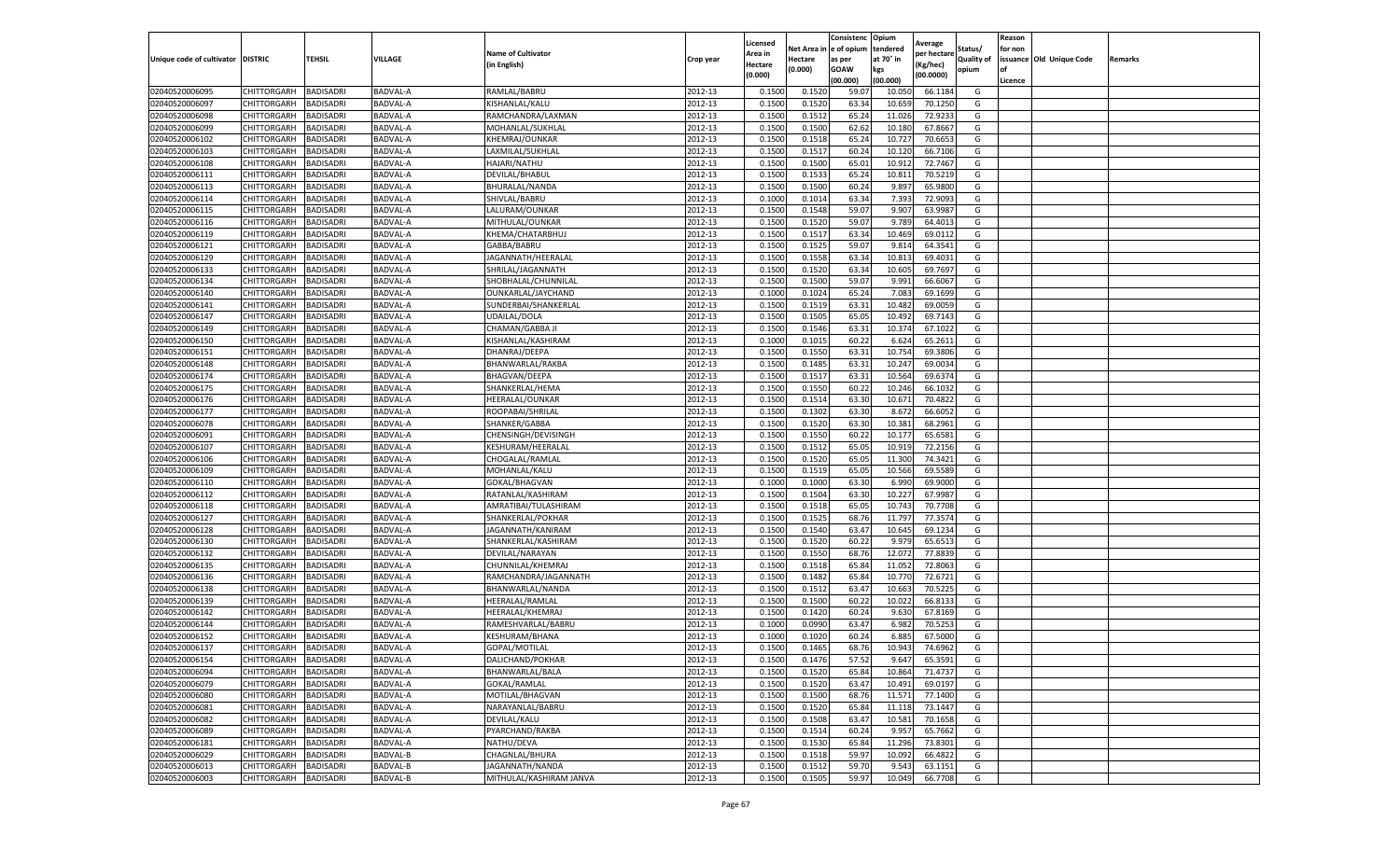|                                   |                    |                  |                 |                           |           | Licensed |         | Consistenc             | Opium     |                        |            | Reason  |                          |                |
|-----------------------------------|--------------------|------------------|-----------------|---------------------------|-----------|----------|---------|------------------------|-----------|------------------------|------------|---------|--------------------------|----------------|
|                                   |                    |                  |                 | <b>Name of Cultivator</b> |           | Area in  |         | Net Area in e of opium | tendered  | Average<br>per hectare | Status/    | for non |                          |                |
| Unique code of cultivator DISTRIC |                    | TEHSIL           | VILLAGE         | in English)               | Crop year | Hectare  | Hectare | as per                 | at 70° in | (Kg/hec                | Quality of |         | issuance Old Unique Code | <b>Remarks</b> |
|                                   |                    |                  |                 |                           |           | (0.000)  | (0.000) | <b>GOAW</b>            | kgs       | (00.0000)              | opium      |         |                          |                |
|                                   |                    |                  |                 |                           |           |          |         | (00.000)               | (00.000)  |                        |            | Licence |                          |                |
| 02040520006095                    | CHITTORGARH        | <b>BADISADRI</b> | BADVAL-A        | RAMLAL/BABRU              | 2012-13   | 0.1500   | 0.1520  | 59.07                  | 10.05     | 66.1184                | G          |         |                          |                |
| 02040520006097                    | CHITTORGARH        | <b>BADISADRI</b> | BADVAL-A        | KISHANLAL/KALU            | 2012-13   | 0.1500   | 0.1520  | 63.34                  | 10.65     | 70.1250                | G          |         |                          |                |
| 02040520006098                    | CHITTORGARH        | <b>BADISADRI</b> | BADVAL-A        | RAMCHANDRA/LAXMAN         | 2012-13   | 0.1500   | 0.1512  | 65.24                  | 11.02     | 72.9233                | G          |         |                          |                |
| 02040520006099                    | <b>CHITTORGARH</b> | <b>BADISADRI</b> | BADVAL-A        | MOHANLAL/SUKHLAL          | 2012-13   | 0.1500   | 0.1500  | 62.62                  | 10.180    | 67.8667                | G          |         |                          |                |
| 02040520006102                    | <b>CHITTORGARH</b> | <b>BADISADRI</b> | BADVAL-A        | KHEMRAJ/OUNKAR            | 2012-13   | 0.1500   | 0.1518  | 65.24                  | 10.72     | 70.6653                | G          |         |                          |                |
| 02040520006103                    | CHITTORGARH        | BADISADRI        | <b>BADVAL-A</b> | LAXMILAL/SUKHLAL          | 2012-13   | 0.1500   | 0.1517  | 60.24                  | 10.12     | 66.7106                | G          |         |                          |                |
| 02040520006108                    | CHITTORGARH        | <b>BADISADRI</b> | BADVAL-A        | HAJARI/NATHU              | 2012-13   | 0.1500   | 0.1500  | 65.01                  | 10.91     | 72.7467                | G          |         |                          |                |
| 02040520006111                    | CHITTORGARH        | BADISADRI        | BADVAL-A        | DEVILAL/BHABUI            | 2012-13   | 0.1500   | 0.1533  | 65.24                  | 10.81     | 70.5219                | G          |         |                          |                |
| 02040520006113                    | CHITTORGARH        | <b>BADISADRI</b> | BADVAL-A        | BHURALAL/NANDA            | 2012-13   | 0.1500   | 0.1500  | 60.24                  | 9.897     | 65.9800                | G          |         |                          |                |
| 02040520006114                    | CHITTORGARH        | <b>BADISADRI</b> | BADVAL-A        | SHIVLAL/BABRU             | 2012-13   | 0.1000   | 0.1014  | 63.34                  | 7.393     | 72.9093                | G          |         |                          |                |
| 02040520006115                    | CHITTORGARH        | <b>BADISADRI</b> | BADVAL-A        | LALURAM/OUNKAR            | 2012-13   | 0.1500   | 0.1548  | 59.07                  | 9.907     | 63.9987                | G          |         |                          |                |
| 02040520006116                    | CHITTORGARH        | <b>BADISADRI</b> | BADVAL-A        | MITHULAL/OUNKAR           | 2012-13   | 0.1500   | 0.1520  | 59.07                  | 9.78      | 64.4013                | G          |         |                          |                |
| 02040520006119                    | CHITTORGARH        | <b>BADISADRI</b> | BADVAL-A        | KHEMA/CHATARBHUJ          | 2012-13   | 0.1500   | 0.1517  | 63.34                  | 10.469    | 69.0112                | G          |         |                          |                |
| 02040520006121                    | CHITTORGARH        | BADISADRI        | BADVAL-A        | GABBA/BABRU               | 2012-13   | 0.1500   | 0.1525  | 59.07                  | 9.81      | 64.3541                | G          |         |                          |                |
| 02040520006129                    | CHITTORGARH        | <b>BADISADRI</b> | BADVAL-A        | JAGANNATH/HEERALAL        | 2012-13   | 0.1500   | 0.1558  | 63.34                  | 10.813    | 69.4031                | G          |         |                          |                |
| 02040520006133                    | CHITTORGARH        | <b>BADISADRI</b> | BADVAL-A        | SHRILAL/JAGANNATH         | 2012-13   | 0.1500   | 0.1520  | 63.34                  | 10.605    | 69.7697                | G          |         |                          |                |
| 02040520006134                    | CHITTORGARH        | <b>BADISADRI</b> | BADVAL-A        | SHOBHALAL/CHUNNILAL       | 2012-13   | 0.1500   | 0.1500  | 59.07                  | 9.991     | 66.6067                | G          |         |                          |                |
| 02040520006140                    | CHITTORGARH        | <b>BADISADRI</b> | BADVAL-A        | OUNKARLAL/JAYCHAND        | 2012-13   | 0.1000   | 0.1024  | 65.24                  | 7.083     | 69.1699                | G          |         |                          |                |
| 02040520006141                    | CHITTORGARH        | <b>BADISADRI</b> | BADVAL-A        | SUNDERBAI/SHANKERLAL      | 2012-13   | 0.1500   | 0.1519  | 63.31                  | 10.48     | 69.0059                | G          |         |                          |                |
| 02040520006147                    | CHITTORGARH        | <b>BADISADRI</b> | BADVAL-A        | UDAILAL/DOLA              | 2012-13   | 0.1500   | 0.1505  | 65.05                  | 10.49     | 69.7143                | G          |         |                          |                |
| 02040520006149                    | CHITTORGARH        | <b>BADISADRI</b> | BADVAL-A        | CHAMAN/GABBA JI           | 2012-13   | 0.1500   | 0.1546  | 63.31                  | 10.374    | 67.1022                | G          |         |                          |                |
| 02040520006150                    | CHITTORGARH        | <b>BADISADRI</b> | BADVAL-A        | KISHANLAL/KASHIRAM        | 2012-13   | 0.1000   | 0.1015  | 60.22                  | 6.624     | 65.2611                | G          |         |                          |                |
| 02040520006151                    | CHITTORGARH        | <b>BADISADRI</b> | BADVAL-A        | DHANRAJ/DEEPA             | 2012-13   | 0.1500   | 0.1550  | 63.31                  | 10.754    | 69.3806                | G          |         |                          |                |
| 02040520006148                    | CHITTORGARH        | <b>BADISADRI</b> | BADVAL-A        | BHANWARLAL/RAKBA          | 2012-13   | 0.1500   | 0.1485  | 63.31                  | 10.24     | 69.0034                | G          |         |                          |                |
| 02040520006174                    | CHITTORGARH        | <b>BADISADRI</b> | BADVAL-A        | <b>BHAGVAN/DEEPA</b>      | 2012-13   | 0.1500   | 0.1517  | 63.31                  | 10.564    | 69.6374                | G          |         |                          |                |
| 02040520006175                    | CHITTORGARH        | <b>BADISADRI</b> | BADVAL-A        | SHANKERLAL/HEMA           | 2012-13   | 0.1500   | 0.1550  | 60.22                  | 10.246    | 66.1032                | G          |         |                          |                |
| 02040520006176                    | CHITTORGARH        | BADISADRI        | BADVAL-A        | HEERALAL/OUNKAR           | 2012-13   | 0.1500   | 0.1514  | 63.30                  | 10.67     | 70.4822                | G          |         |                          |                |
| 02040520006177                    | CHITTORGARH        | <b>BADISADRI</b> | BADVAL-A        | ROOPABAI/SHRILAL          | 2012-13   | 0.1500   | 0.1302  | 63.30                  | 8.672     | 66.6052                | G          |         |                          |                |
| 02040520006078                    | CHITTORGARH        | <b>BADISADRI</b> | BADVAL-A        | SHANKER/GABBA             | 2012-13   | 0.1500   | 0.1520  | 63.30                  | 10.381    | 68.2961                | G          |         |                          |                |
| 02040520006091                    | CHITTORGARH        | <b>BADISADRI</b> | BADVAL-A        | CHENSINGH/DEVISINGH       | 2012-13   | 0.1500   | 0.1550  | 60.22                  | 10.17     | 65.6581                | G          |         |                          |                |
| 02040520006107                    | CHITTORGARH        | <b>BADISADRI</b> | BADVAL-A        | KESHURAM/HEERALAL         | 2012-13   | 0.1500   | 0.1512  | 65.05                  | 10.91     | 72.2156                | G          |         |                          |                |
| 02040520006106                    | CHITTORGARH        | <b>BADISADRI</b> | BADVAL-A        | CHOGALAL/RAMLAL           | 2012-13   | 0.1500   | 0.1520  | 65.05                  | 11.300    | 74.3421                | G          |         |                          |                |
| 02040520006109                    | CHITTORGARH        | <b>BADISADRI</b> | BADVAL-A        | MOHANLAL/KALU             | 2012-13   | 0.1500   | 0.1519  | 65.05                  | 10.566    | 69.5589                | G          |         |                          |                |
| 02040520006110                    | CHITTORGARH        | <b>BADISADRI</b> | BADVAL-A        | GOKAL/BHAGVAN             | 2012-13   | 0.1000   | 0.1000  | 63.30                  | 6.990     | 69.9000                | G          |         |                          |                |
| 02040520006112                    | CHITTORGARH        | <b>BADISADRI</b> | BADVAL-A        | RATANLAL/KASHIRAM         | 2012-13   | 0.1500   | 0.1504  | 63.30                  | 10.227    | 67.9987                | G          |         |                          |                |
| 02040520006118                    | CHITTORGARH        | <b>BADISADRI</b> | BADVAL-A        | AMRATIBAI/TULASHIRAM      | 2012-13   | 0.1500   | 0.1518  | 65.05                  | 10.74     | 70.7708                | G          |         |                          |                |
| 02040520006127                    | CHITTORGARH        | <b>BADISADRI</b> | BADVAL-A        | SHANKERLAL/POKHAR         | 2012-13   | 0.1500   | 0.1525  | 68.76                  | 11.79     | 77.3574                | G          |         |                          |                |
| 02040520006128                    | CHITTORGARH        | <b>BADISADRI</b> | BADVAL-A        | JAGANNATH/KANIRAM         | 2012-13   | 0.1500   | 0.1540  | 63.47                  | 10.645    | 69.1234                | G          |         |                          |                |
| 02040520006130                    | CHITTORGARH        | BADISADRI        | BADVAL-A        | SHANKERLAL/KASHIRAM       | 2012-13   | 0.1500   | 0.1520  | 60.22                  | 9.979     | 65.6513                | G          |         |                          |                |
| 02040520006132                    | CHITTORGARH        | <b>BADISADRI</b> | BADVAL-A        | DEVILAL/NARAYAN           | 2012-13   | 0.1500   | 0.1550  | 68.76                  | 12.072    | 77.8839                | G          |         |                          |                |
| 02040520006135                    | CHITTORGARH        | <b>BADISADRI</b> | BADVAL-A        | CHUNNILAL/KHEMRAJ         | 2012-13   | 0.1500   | 0.1518  | 65.84                  | 11.052    | 72.8063                | G          |         |                          |                |
| 02040520006136                    | CHITTORGARH        | <b>BADISADRI</b> | BADVAL-A        | RAMCHANDRA/JAGANNATH      | 2012-13   | 0.1500   | 0.1482  | 65.84                  | 10.77     | 72.6721                | G          |         |                          |                |
| 02040520006138                    | CHITTORGARH        | <b>BADISADRI</b> | BADVAL-A        | BHANWARLAL/NANDA          | 2012-13   | 0.1500   | 0.1512  | 63.47                  | 10.663    | 70.5225                | G          |         |                          |                |
| 02040520006139                    | CHITTORGARH        | <b>BADISADRI</b> | BADVAL-A        | HEERALAL/RAMLAL           | 2012-13   | 0.1500   | 0.1500  | 60.22                  | 10.02     | 66.8133                | G          |         |                          |                |
| 02040520006142                    | CHITTORGARH        | <b>BADISADRI</b> | BADVAL-A        | HEERALAL/KHEMRAJ          | 2012-13   | 0.1500   | 0.1420  | 60.24                  | 9.630     | 67.8169                | G          |         |                          |                |
| 02040520006144                    | CHITTORGARH        | BADISADRI        | BADVAL-A        | RAMESHVARLAL/BABRU        | 2012-13   | 0.1000   | 0.0990  | 63.47                  | 6.982     | 70.5253                | G          |         |                          |                |
| 02040520006152                    | CHITTORGARH        | <b>BADISADRI</b> | BADVAL-A        | KESHURAM/BHANA            | 2012-13   | 0.1000   | 0.1020  | 60.24                  | 6.885     | 67.5000                | G          |         |                          |                |
| 02040520006137                    | CHITTORGARH        | <b>BADISADRI</b> | BADVAL-A        | GOPAL/MOTILAL             | 2012-13   | 0.1500   | 0.1465  | 68.76                  | 10.943    | 74.6962                | G          |         |                          |                |
| 02040520006154                    | CHITTORGARH        | <b>BADISADRI</b> | <b>BADVAL-A</b> | DALICHAND/POKHAR          | 2012-13   | 0.1500   | 0.1476  | 57.52                  | 9.647     | 65.3591                | G          |         |                          |                |
| 02040520006094                    | CHITTORGARH        | <b>BADISADRI</b> | BADVAL-A        | BHANWARLAL/BALA           | 2012-13   | 0.1500   | 0.1520  | 65.84                  | 10.864    | 71.4737                | G          |         |                          |                |
| 02040520006079                    | <b>CHITTORGARH</b> | <b>BADISADRI</b> | BADVAL-A        | GOKAL/RAMLAL              | 2012-13   | 0.1500   | 0.1520  | 63.47                  | 10.491    | 69.0197                | G          |         |                          |                |
| 02040520006080                    | CHITTORGARH        | <b>BADISADRI</b> | BADVAL-A        | MOTILAL/BHAGVAN           | 2012-13   | 0.1500   | 0.1500  | 68.76                  | 11.571    | 77.1400                | G          |         |                          |                |
| 02040520006081                    | CHITTORGARH        | <b>BADISADRI</b> | BADVAL-A        | NARAYANLAL/BABRU          | 2012-13   | 0.1500   | 0.1520  | 65.84                  | 11.11     | 73.1447                | G          |         |                          |                |
| 02040520006082                    | <b>CHITTORGARH</b> | <b>BADISADRI</b> | BADVAL-A        | DEVILAL/KALU              | 2012-13   | 0.1500   | 0.1508  | 63.47                  | 10.581    | 70.1658                | G          |         |                          |                |
| 02040520006089                    | CHITTORGARH        | <b>BADISADRI</b> | BADVAL-A        | PYARCHAND/RAKBA           | 2012-13   | 0.1500   | 0.1514  | 60.24                  | 9.957     | 65.7662                | G          |         |                          |                |
| 02040520006181                    | <b>CHITTORGARH</b> | <b>BADISADRI</b> | BADVAL-A        | NATHU/DEVA                | 2012-13   | 0.1500   | 0.1530  | 65.84                  | 11.296    | 73.8301                | G          |         |                          |                |
| 02040520006029                    | CHITTORGARH        | <b>BADISADRI</b> | BADVAL-B        | CHAGNLAL/BHURA            | 2012-13   | 0.1500   | 0.1518  | 59.97                  | 10.092    | 66.4822                | G          |         |                          |                |
| 02040520006013                    | <b>CHITTORGARH</b> | <b>BADISADRI</b> | BADVAL-B        | JAGANNATH/NANDA           | 2012-13   | 0.1500   | 0.1512  | 59.70                  | 9.543     | 63.1151                | G          |         |                          |                |
| 02040520006003                    | <b>CHITTORGARH</b> | <b>BADISADRI</b> | BADVAL-B        | MITHULAL/KASHIRAM JANVA   | 2012-13   | 0.1500   | 0.1505  | 59.97                  | 10.049    | 66.7708                | G          |         |                          |                |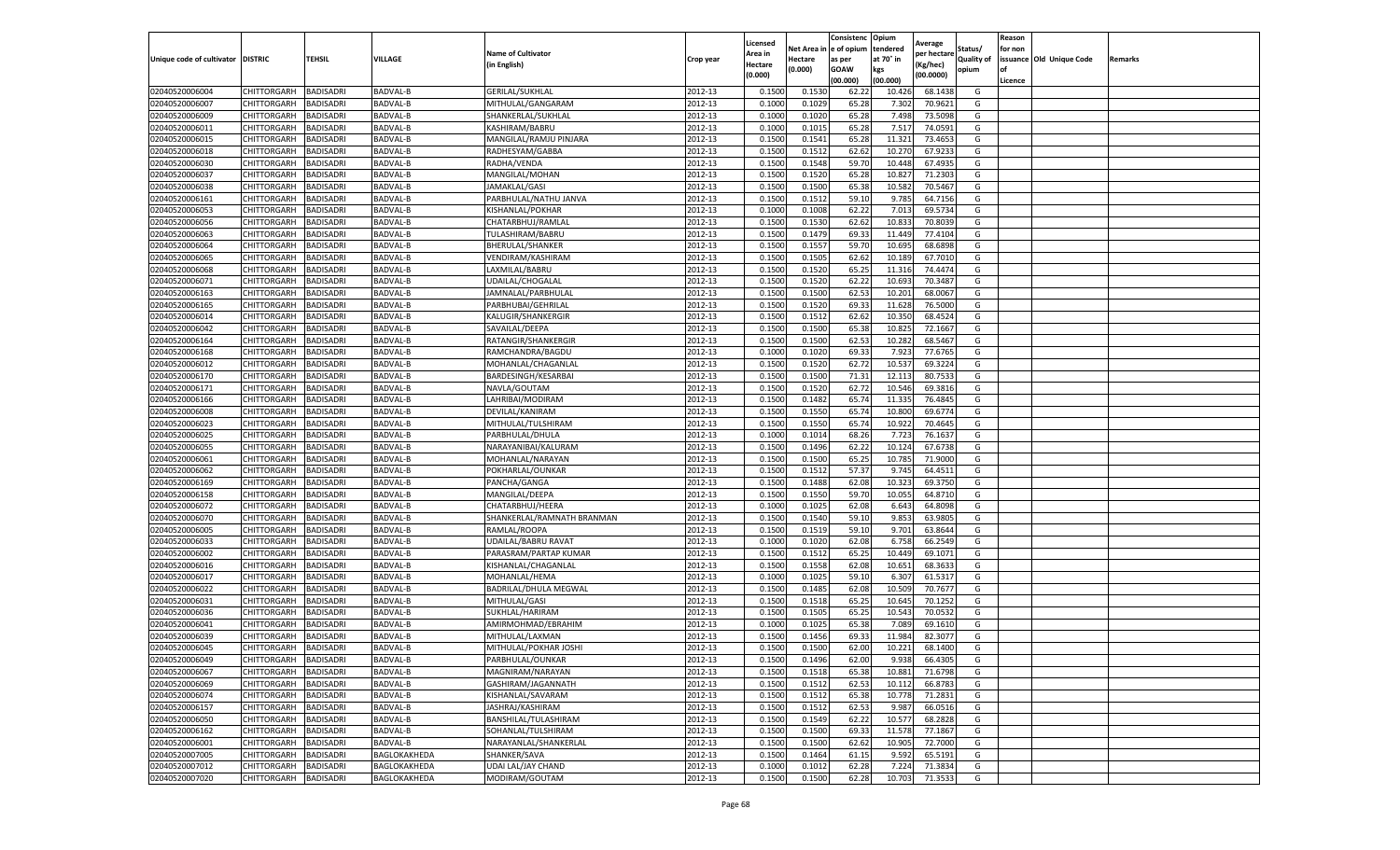|                           |                       |                  |                 |                            |           |                     |         | Consistenc             | Opium     |                        |                   | Reason  |                          |                |
|---------------------------|-----------------------|------------------|-----------------|----------------------------|-----------|---------------------|---------|------------------------|-----------|------------------------|-------------------|---------|--------------------------|----------------|
|                           |                       |                  |                 | <b>Name of Cultivator</b>  |           | Licensed<br>Area in |         | Net Area in e of opium | tendered  | Average<br>per hectare | Status/           | for non |                          |                |
| Unique code of cultivator | <b>DISTRIC</b>        | TEHSIL           | VILLAGE         | in English)                | Crop year | Hectare             | Hectare | as per                 | at 70° in | (Kg/hec                | <b>Quality of</b> |         | issuance Old Unique Code | <b>Remarks</b> |
|                           |                       |                  |                 |                            |           | (0.000)             | (0.000) | <b>GOAW</b>            | kgs       | (00.0000)              | opium             |         |                          |                |
|                           |                       |                  |                 |                            |           |                     |         | (00.000)               | (00.000)  |                        |                   | Licence |                          |                |
| 02040520006004            | CHITTORGARH           | <b>BADISADRI</b> | BADVAL-B        | <b>GERILAL/SUKHLAL</b>     | 2012-13   | 0.1500              | 0.1530  | 62.22                  | 10.426    | 68.1438                | G                 |         |                          |                |
| 02040520006007            | CHITTORGARH           | <b>BADISADRI</b> | <b>BADVAL-B</b> | MITHULAL/GANGARAM          | 2012-13   | 0.1000              | 0.1029  | 65.28                  | 7.302     | 70.9621                | G                 |         |                          |                |
| 02040520006009            | CHITTORGARH           | <b>BADISADRI</b> | <b>BADVAL-B</b> | SHANKERLAL/SUKHLAL         | 2012-13   | 0.1000              | 0.1020  | 65.28                  | 7.498     | 73.5098                | G                 |         |                          |                |
| 02040520006011            | CHITTORGARH           | <b>BADISADRI</b> | BADVAL-B        | KASHIRAM/BABRU             | 2012-13   | 0.1000              | 0.1015  | 65.28                  | 7.517     | 74.0591                | G                 |         |                          |                |
| 02040520006015            | CHITTORGARH           | <b>BADISADRI</b> | BADVAL-B        | MANGILAL/RAMJU PINJARA     | 2012-13   | 0.1500              | 0.1541  | 65.28                  | 11.321    | 73.4653                | G                 |         |                          |                |
| 02040520006018            | CHITTORGARH           | <b>BADISADRI</b> | BADVAL-B        | RADHESYAM/GABBA            | 2012-13   | 0.1500              | 0.1512  | 62.62                  | 10.27     | 67.923                 | G                 |         |                          |                |
| 02040520006030            | CHITTORGARH           | <b>BADISADRI</b> | BADVAL-B        | RADHA/VENDA                | 2012-13   | 0.1500              | 0.1548  | 59.70                  | 10.44     | 67.4935                | G                 |         |                          |                |
| 02040520006037            | CHITTORGARH           | BADISADRI        | BADVAL-B        | MANGILAL/MOHAN             | 2012-13   | 0.1500              | 0.1520  | 65.28                  | 10.82     | 71.2303                | G                 |         |                          |                |
| 02040520006038            | CHITTORGARH           | <b>BADISADRI</b> | BADVAL-B        | JAMAKLAL/GASI              | 2012-13   | 0.1500              | 0.1500  | 65.38                  | 10.582    | 70.5467                | G                 |         |                          |                |
| 02040520006161            | CHITTORGARH           | <b>BADISADRI</b> | BADVAL-B        | PARBHULAL/NATHU JANVA      | 2012-13   | 0.1500              | 0.1512  | 59.10                  | 9.785     | 64.7156                | G                 |         |                          |                |
| 02040520006053            | CHITTORGARH           | <b>BADISADRI</b> | BADVAL-B        | KISHANLAL/POKHAR           | 2012-13   | 0.1000              | 0.1008  | 62.22                  | 7.013     | 69.5734                | G                 |         |                          |                |
| 02040520006056            | CHITTORGARH           | <b>BADISADRI</b> | BADVAL-B        | CHATARBHUJ/RAMLAL          | 2012-13   | 0.1500              | 0.1530  | 62.62                  | 10.83     | 70.8039                | G                 |         |                          |                |
| 02040520006063            | CHITTORGARH           | <b>BADISADRI</b> | BADVAL-B        | TULASHIRAM/BABRU           | 2012-13   | 0.1500              | 0.1479  | 69.33                  | 11.44     | 77.4104                | G                 |         |                          |                |
| 02040520006064            | CHITTORGARH           | <b>BADISADRI</b> | BADVAL-B        | <b>BHERULAL/SHANKER</b>    | 2012-13   | 0.1500              | 0.1557  | 59.70                  | 10.695    | 68.6898                | G                 |         |                          |                |
| 02040520006065            | CHITTORGARH           | <b>BADISADRI</b> | BADVAL-B        | VENDIRAM/KASHIRAM          | 2012-13   | 0.1500              | 0.1505  | 62.62                  | 10.18     | 67.7010                | G                 |         |                          |                |
| 02040520006068            | CHITTORGARH           | <b>BADISADRI</b> | <b>BADVAL-B</b> | LAXMILAL/BABRU             | 2012-13   | 0.1500              | 0.1520  | 65.25                  | 11.31     | 74.4474                | G                 |         |                          |                |
| 02040520006071            | CHITTORGARH           | <b>BADISADRI</b> | BADVAL-B        | UDAILAL/CHOGALAL           | 2012-13   | 0.1500              | 0.1520  | 62.22                  | 10.693    | 70.3487                | G                 |         |                          |                |
| 02040520006163            | CHITTORGARH           | <b>BADISADRI</b> | BADVAL-B        | JAMNALAL/PARBHULAL         | 2012-13   | 0.1500              | 0.1500  | 62.53                  | 10.201    | 68.0067                | G                 |         |                          |                |
| 02040520006165            | CHITTORGARH           | <b>BADISADRI</b> | BADVAL-B        | PARBHUBAI/GEHRILAL         | 2012-13   | 0.1500              | 0.1520  | 69.33                  | 11.62     | 76.5000                | G                 |         |                          |                |
| 02040520006014            | CHITTORGARH           | <b>BADISADRI</b> | BADVAL-B        | KALUGIR/SHANKERGIR         | 2012-13   | 0.1500              | 0.1512  | 62.62                  | 10.35     | 68.4524                | G                 |         |                          |                |
| 02040520006042            | CHITTORGARH           | <b>BADISADRI</b> | BADVAL-B        | SAVAILAL/DEEPA             | 2012-13   | 0.1500              | 0.1500  | 65.38                  | 10.825    | 72.1667                | G                 |         |                          |                |
| 02040520006164            | CHITTORGARH           | <b>BADISADRI</b> | BADVAL-B        | RATANGIR/SHANKERGIR        | 2012-13   | 0.1500              | 0.1500  | 62.53                  | 10.28     | 68.5467                | G                 |         |                          |                |
| 02040520006168            | CHITTORGARH           | <b>BADISADRI</b> | BADVAL-B        | RAMCHANDRA/BAGDU           | 2012-13   | 0.1000              | 0.1020  | 69.33                  | 7.923     | 77.6765                | G                 |         |                          |                |
| 02040520006012            | CHITTORGARH           | <b>BADISADRI</b> | BADVAL-B        | MOHANLAL/CHAGANLAI         | 2012-13   | 0.1500              | 0.1520  | 62.72                  | 10.53     | 69.3224                | G                 |         |                          |                |
| 02040520006170            | CHITTORGARH           | <b>BADISADRI</b> | BADVAL-B        | BARDESINGH/KESARBAI        | 2012-13   | 0.1500              | 0.1500  | 71.31                  | 12.11     | 80.7533                | G                 |         |                          |                |
| 02040520006171            | CHITTORGARH           | <b>BADISADRI</b> | BADVAL-B        | NAVLA/GOUTAM               | 2012-13   | 0.1500              | 0.1520  | 62.72                  | 10.546    | 69.3816                | G                 |         |                          |                |
| 02040520006166            | CHITTORGARH           | BADISADRI        | BADVAL-B        | LAHRIBAI/MODIRAN           | 2012-13   | 0.1500              | 0.1482  | 65.74                  | 11.33     | 76.4845                | G                 |         |                          |                |
| 02040520006008            | CHITTORGARH           | <b>BADISADRI</b> | BADVAL-B        | DEVILAL/KANIRAM            | 2012-13   | 0.1500              | 0.1550  | 65.74                  | 10.800    | 69.6774                | G                 |         |                          |                |
| 02040520006023            | CHITTORGARH           | <b>BADISADRI</b> | BADVAL-B        | MITHULAL/TULSHIRAM         | 2012-13   | 0.1500              | 0.1550  | 65.74                  | 10.922    | 70.4645                | G                 |         |                          |                |
| 02040520006025            | CHITTORGARH           | <b>BADISADRI</b> | BADVAL-B        | PARBHULAL/DHULA            | 2012-13   | 0.1000              | 0.1014  | 68.26                  | 7.723     | 76.1637                | G                 |         |                          |                |
| 02040520006055            | CHITTORGARH           | <b>BADISADRI</b> | BADVAL-B        | NARAYANIBAI/KALURAM        | 2012-13   | 0.1500              | 0.1496  | 62.22                  | 10.12     | 67.6738                | G                 |         |                          |                |
| 02040520006061            | CHITTORGARH           | <b>BADISADRI</b> | BADVAL-B        | MOHANLAL/NARAYAN           | 2012-13   | 0.1500              | 0.1500  | 65.25                  | 10.785    | 71.9000                | G                 |         |                          |                |
| 02040520006062            | CHITTORGARH           | <b>BADISADRI</b> | BADVAL-B        | POKHARLAL/OUNKAR           | 2012-13   | 0.1500              | 0.1512  | 57.37                  | 9.745     | 64.4511                | G                 |         |                          |                |
| 02040520006169            | CHITTORGARH           | <b>BADISADRI</b> | BADVAL-B        | PANCHA/GANGA               | 2012-13   | 0.1500              | 0.1488  | 62.08                  | 10.323    | 69.3750                | G                 |         |                          |                |
| 02040520006158            | CHITTORGARH           | <b>BADISADRI</b> | BADVAL-B        | MANGILAL/DEEPA             | 2012-13   | 0.1500              | 0.1550  | 59.70                  | 10.055    | 64.8710                | G                 |         |                          |                |
| 02040520006072            | CHITTORGARH           | <b>BADISADRI</b> | BADVAL-B        | CHATARBHUJ/HEERA           | 2012-13   | 0.1000              | 0.1025  | 62.08                  | 6.643     | 64.8098                | G                 |         |                          |                |
| 02040520006070            | CHITTORGARH           | <b>BADISADRI</b> | BADVAL-B        | SHANKERLAL/RAMNATH BRANMAN | 2012-13   | 0.1500              | 0.1540  | 59.10                  | 9.85      | 63.9805                | G                 |         |                          |                |
| 02040520006005            | CHITTORGARH           | <b>BADISADRI</b> | BADVAL-B        | RAMLAL/ROOPA               | 2012-13   | 0.1500              | 0.1519  | 59.10                  | 9.701     | 63.8644                | G                 |         |                          |                |
| 02040520006033            | CHITTORGARH           | BADISADRI        | BADVAL-B        | UDAILAL/BABRU RAVAT        | 2012-13   | 0.1000              | 0.1020  | 62.08                  | 6.758     | 66.2549                | G                 |         |                          |                |
| 02040520006002            | CHITTORGARH           | <b>BADISADRI</b> | BADVAL-B        | PARASRAM/PARTAP KUMAR      | 2012-13   | 0.1500              | 0.1512  | 65.25                  | 10.449    | 69.1071                | G                 |         |                          |                |
| 02040520006016            | CHITTORGARH           | <b>BADISADRI</b> | BADVAL-B        | KISHANLAL/CHAGANLAL        | 2012-13   | 0.1500              | 0.1558  | 62.08                  | 10.651    | 68.3633                | G                 |         |                          |                |
| 02040520006017            | CHITTORGARH           | <b>BADISADRI</b> | BADVAL-B        | MOHANLAL/HEMA              | 2012-13   | 0.1000              | 0.1025  | 59.10                  | 6.307     | 61.5317                | G                 |         |                          |                |
| 02040520006022            | CHITTORGARH           | <b>BADISADRI</b> | BADVAL-B        | BADRILAL/DHULA MEGWAL      | 2012-13   | 0.1500              | 0.1485  | 62.08                  | 10.50     | 70.7677                | G                 |         |                          |                |
| 02040520006031            | CHITTORGARH           | <b>BADISADRI</b> | BADVAL-B        | MITHULAL/GASI              | 2012-13   | 0.1500              | 0.1518  | 65.25                  | 10.645    | 70.1252                | G                 |         |                          |                |
| 02040520006036            | CHITTORGARH           | <b>BADISADRI</b> | BADVAL-B        | SUKHLAL/HARIRAM            | 2012-13   | 0.1500              | 0.1505  | 65.25                  | 10.543    | 70.0532                | G                 |         |                          |                |
| 02040520006041            | CHITTORGARH           | BADISADRI        | BADVAL-B        | AMIRMOHMAD/EBRAHIM         | 2012-13   | 0.1000              | 0.1025  | 65.38                  | 7.08      | 69.1610                | G                 |         |                          |                |
| 02040520006039            | CHITTORGARH           | <b>BADISADRI</b> | <b>BADVAL-B</b> | MITHULAL/LAXMAN            | 2012-13   | 0.1500              | 0.1456  | 69.33                  | 11.984    | 82.3077                | G                 |         |                          |                |
| 02040520006045            | CHITTORGARH           | <b>BADISADRI</b> | BADVAL-B        | MITHULAL/POKHAR JOSHI      | 2012-13   | 0.1500              | 0.1500  | 62.00                  | 10.221    | 68.1400                | G                 |         |                          |                |
| 02040520006049            | CHITTORGARH BADISADRI |                  | BADVAL-B        | PARBHULAL/OUNKAR           | 2012-13   | 0.1500              | 0.1496  | 62.00                  | 9.938     | 66.4305                | G                 |         |                          |                |
| 02040520006067            | CHITTORGARH           | <b>BADISADRI</b> | BADVAL-B        | MAGNIRAM/NARAYAN           | 2012-13   | 0.1500              | 0.1518  | 65.38                  | 10.881    | 71.6798                | G                 |         |                          |                |
| 02040520006069            | <b>CHITTORGARH</b>    | <b>BADISADRI</b> | BADVAL-B        | GASHIRAM/JAGANNATH         | 2012-13   | 0.1500              | 0.1512  | 62.53                  | 10.112    | 66.8783                | G                 |         |                          |                |
| 02040520006074            | CHITTORGARH           | <b>BADISADRI</b> | BADVAL-B        | KISHANLAL/SAVARAM          | 2012-13   | 0.1500              | 0.1512  | 65.38                  | 10.778    | 71.2831                | G                 |         |                          |                |
| 02040520006157            | CHITTORGARH           | <b>BADISADRI</b> | BADVAL-B        | JASHRAJ/KASHIRAM           | 2012-13   | 0.1500              | 0.1512  | 62.53                  | 9.987     | 66.0516                | G                 |         |                          |                |
| 02040520006050            | <b>CHITTORGARH</b>    | <b>BADISADRI</b> | BADVAL-B        | BANSHILAL/TULASHIRAM       | 2012-13   | 0.1500              | 0.1549  | 62.22                  | 10.577    | 68.2828                | G                 |         |                          |                |
| 02040520006162            | CHITTORGARH           | <b>BADISADRI</b> | BADVAL-B        | SOHANLAL/TULSHIRAM         | 2012-13   | 0.1500              | 0.1500  | 69.33                  | 11.578    | 77.1867                | G                 |         |                          |                |
| 02040520006001            | CHITTORGARH           | <b>BADISADRI</b> | BADVAL-B        | NARAYANLAL/SHANKERLAL      | 2012-13   | 0.1500              | 0.1500  | 62.62                  | 10.905    | 72.7000                | G                 |         |                          |                |
| 02040520007005            | CHITTORGARH           | <b>BADISADRI</b> | BAGLOKAKHEDA    | SHANKER/SAVA               | 2012-13   | 0.1500              | 0.1464  | 61.15                  | 9.592     | 65.5191                | G                 |         |                          |                |
| 02040520007012            | CHITTORGARH           | <b>BADISADRI</b> | BAGLOKAKHEDA    | <b>UDAI LAL/JAY CHAND</b>  | 2012-13   | 0.1000              | 0.1012  | 62.28                  | 7.224     | 71.3834                | G                 |         |                          |                |
| 02040520007020            | <b>CHITTORGARH</b>    | <b>BADISADRI</b> | BAGLOKAKHEDA    | MODIRAM/GOUTAM             | 2012-13   | 0.1500              | 0.1500  | 62.28                  | 10.703    | 71.3533                | G                 |         |                          |                |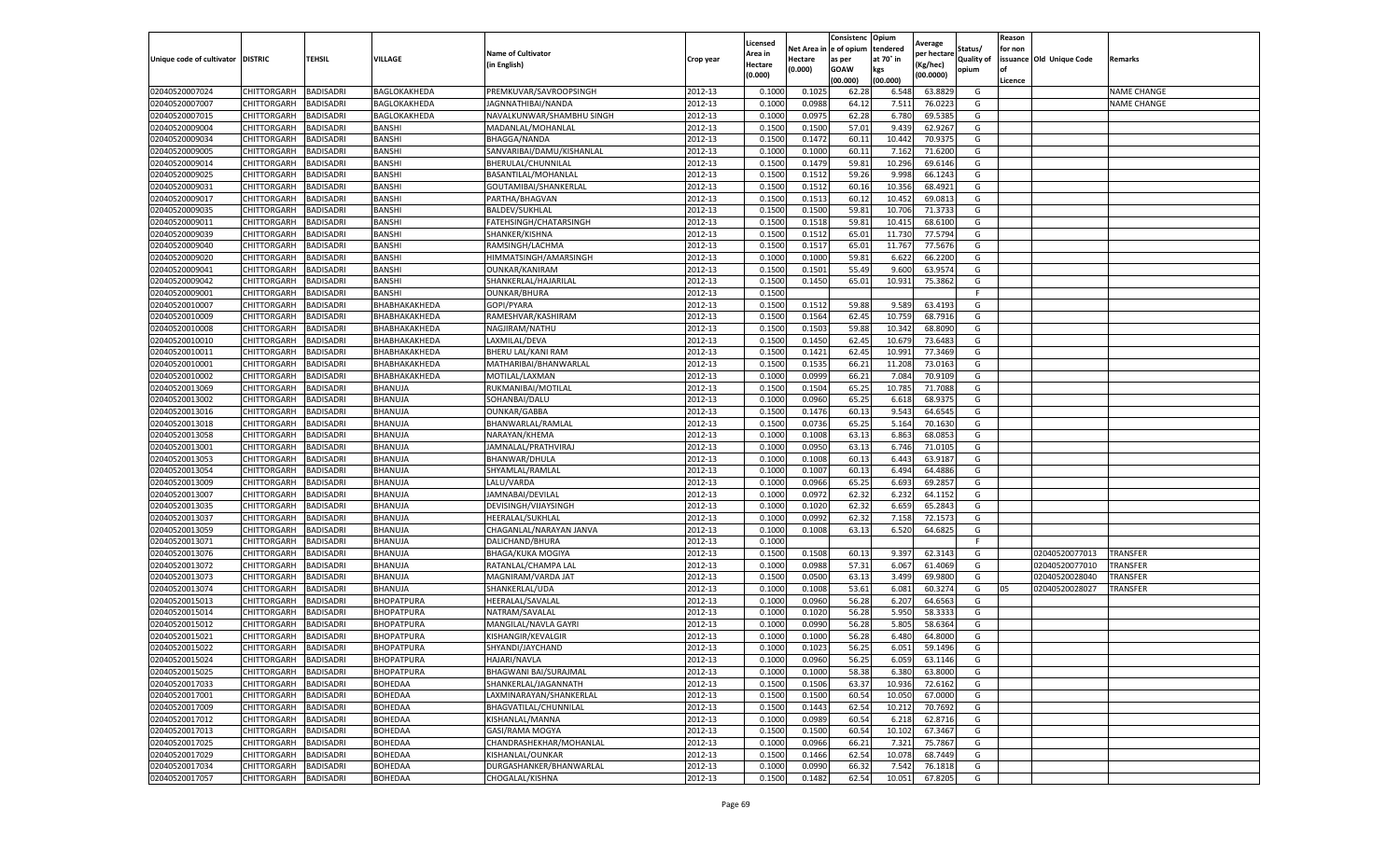|                           |                    |                  |                      |                           |           | Licensed |         | Consistenc             | Opium     |                        |                   | Reason  |                          |                    |
|---------------------------|--------------------|------------------|----------------------|---------------------------|-----------|----------|---------|------------------------|-----------|------------------------|-------------------|---------|--------------------------|--------------------|
|                           |                    |                  |                      | <b>Name of Cultivator</b> |           | Area in  |         | Net Area in e of opium | tendered  | Average<br>per hectare | Status/           | for non |                          |                    |
| Unique code of cultivator | <b>DISTRIC</b>     | TEHSIL           | VILLAGE              | in English)               | Crop year | Hectare  | Hectare | as per                 | at 70° in | (Kg/hec                | <b>Quality of</b> |         | issuance Old Unique Code | <b>Remarks</b>     |
|                           |                    |                  |                      |                           |           | (0.000)  | (0.000) | <b>GOAW</b>            | kgs       | (00.0000)              | opium             |         |                          |                    |
|                           |                    |                  |                      |                           |           |          |         | (00.000)               | (00.000)  |                        |                   | Licence |                          |                    |
| 02040520007024            | <b>CHITTORGARH</b> | <b>BADISADRI</b> | BAGLOKAKHEDA         | PREMKUVAR/SAVROOPSINGH    | 2012-13   | 0.1000   | 0.1025  | 62.28                  | 6.548     | 63.8829                | G                 |         |                          | <b>NAME CHANGE</b> |
| 02040520007007            | CHITTORGARH        | <b>BADISADRI</b> | BAGLOKAKHEDA         | JAGNNATHIBAI/NANDA        | 2012-13   | 0.1000   | 0.0988  | 64.12                  | 7.51      | 76.0223                | G                 |         |                          | <b>NAME CHANGE</b> |
| 02040520007015            | CHITTORGARH        | <b>BADISADRI</b> | BAGLOKAKHEDA         | NAVALKUNWAR/SHAMBHU SINGH | 2012-13   | 0.1000   | 0.0975  | 62.28                  | 6.780     | 69.5385                | G                 |         |                          |                    |
| 02040520009004            | CHITTORGARH        | <b>BADISADRI</b> | BANSHI               | MADANLAL/MOHANLAL         | 2012-13   | 0.1500   | 0.1500  | 57.01                  | 9.439     | 62.9267                | G                 |         |                          |                    |
| 02040520009034            | CHITTORGARH        | <b>BADISADRI</b> | <b>BANSHI</b>        | BHAGGA/NANDA              | 2012-13   | 0.1500   | 0.1472  | 60.11                  | 10.44     | 70.9375                | G                 |         |                          |                    |
| 02040520009005            | CHITTORGARH        | <b>BADISADRI</b> | <b>BANSHI</b>        | SANVARIBAI/DAMU/KISHANLAL | 2012-13   | 0.1000   | 0.1000  | 60.1                   | 7.162     | 71.6200                | G                 |         |                          |                    |
| 02040520009014            | CHITTORGARH        | <b>BADISADRI</b> | <b>BANSHI</b>        | BHERULAL/CHUNNILAL        | 2012-13   | 0.1500   | 0.1479  | 59.81                  | 10.296    | 69.6146                | G                 |         |                          |                    |
| 02040520009025            | CHITTORGARH        | BADISADRI        | <b>BANSHI</b>        | BASANTILAL/MOHANLAL       | 2012-13   | 0.1500   | 0.1512  | 59.26                  | 9.998     | 66.1243                | G                 |         |                          |                    |
| 02040520009031            | CHITTORGARH        | <b>BADISADRI</b> | <b>BANSHI</b>        | GOUTAMIBAI/SHANKERLAL     | 2012-13   | 0.1500   | 0.1512  | 60.16                  | 10.35     | 68.4921                | G                 |         |                          |                    |
| 02040520009017            | CHITTORGARH        | <b>BADISADRI</b> | BANSHI               | PARTHA/BHAGVAN            | 2012-13   | 0.1500   | 0.1513  | 60.12                  | 10.452    | 69.0813                | G                 |         |                          |                    |
| 02040520009035            | CHITTORGARH        | <b>BADISADRI</b> | <b>BANSHI</b>        | <b>BALDEV/SUKHLAL</b>     | 2012-13   | 0.1500   | 0.1500  | 59.81                  | 10.706    | 71.3733                | G                 |         |                          |                    |
| 02040520009011            | CHITTORGARH        | <b>BADISADRI</b> | BANSHI               | FATEHSINGH/CHATARSINGH    | 2012-13   | 0.1500   | 0.1518  | 59.81                  | 10.415    | 68.6100                | G                 |         |                          |                    |
| 02040520009039            | CHITTORGARH        | <b>BADISADRI</b> | <b>BANSHI</b>        | SHANKER/KISHNA            | 2012-13   | 0.1500   | 0.1512  | 65.01                  | 11.73     | 77.5794                | G                 |         |                          |                    |
| 02040520009040            | CHITTORGARH        | <b>BADISADRI</b> | <b>BANSHI</b>        | RAMSINGH/LACHMA           | 2012-13   | 0.1500   | 0.1517  | 65.01                  | 11.767    | 77.5676                | G                 |         |                          |                    |
| 02040520009020            | CHITTORGARH        | <b>BADISADRI</b> | <b>BANSHI</b>        | HIMMATSINGH/AMARSINGH     | 2012-13   | 0.1000   | 0.1000  | 59.81                  | 6.622     | 66.2200                | G                 |         |                          |                    |
| 02040520009041            | CHITTORGARH        | <b>BADISADRI</b> | BANSHI               | <b>OUNKAR/KANIRAM</b>     | 2012-13   | 0.1500   | 0.1501  | 55.49                  | 9.600     | 63.9574                | G                 |         |                          |                    |
| 02040520009042            | CHITTORGARH        | <b>BADISADRI</b> | <b>BANSHI</b>        | SHANKERLAL/HAJARILAL      | 2012-13   | 0.1500   | 0.1450  | 65.01                  | 10.931    | 75.3862                | G                 |         |                          |                    |
| 02040520009001            | CHITTORGARH        | <b>BADISADRI</b> | BANSHI               | OUNKAR/BHURA              | 2012-13   | 0.1500   |         |                        |           |                        | F.                |         |                          |                    |
| 02040520010007            | CHITTORGARH        | <b>BADISADRI</b> | ВНАВНАКАКНЕDА        | GOPI/PYARA                | 2012-13   | 0.1500   | 0.1512  | 59.88                  | 9.58      | 63.419                 | G                 |         |                          |                    |
| 02040520010009            | CHITTORGARH        | <b>BADISADRI</b> | ВНАВНАКАКНЕDА        | RAMESHVAR/KASHIRAM        | 2012-13   | 0.1500   | 0.1564  | 62.45                  | 10.759    | 68.7916                | G                 |         |                          |                    |
| 02040520010008            | CHITTORGARH        | <b>BADISADRI</b> | ВНАВНАКАКНЕDА        | NAGJIRAM/NATHU            | 2012-13   | 0.1500   | 0.1503  | 59.88                  | 10.342    | 68.8090                | G                 |         |                          |                    |
| 02040520010010            | CHITTORGARH        | <b>BADISADRI</b> | <b>ВНАВНАКАКНЕDA</b> | LAXMILAL/DEVA             | 2012-13   | 0.1500   | 0.1450  | 62.45                  | 10.679    | 73.6483                | G                 |         |                          |                    |
| 02040520010011            | CHITTORGARH        | <b>BADISADRI</b> | ВНАВНАКАКНЕДА        | BHERU LAL/KANI RAM        | 2012-13   | 0.1500   | 0.1421  | 62.45                  | 10.991    | 77.3469                | G                 |         |                          |                    |
| 02040520010001            | CHITTORGARH        | <b>BADISADRI</b> | ВНАВНАКАКНЕDА        | MATHARIBAI/BHANWARLAL     | 2012-13   | 0.1500   | 0.1535  | 66.21                  | 11.208    | 73.0163                | G                 |         |                          |                    |
| 02040520010002            | <b>CHITTORGARH</b> | <b>BADISADRI</b> | <b>ВНАВНАКАКНЕDA</b> | MOTILAL/LAXMAN            | 2012-13   | 0.1000   | 0.0999  | 66.21                  | 7.084     | 70.9109                | G                 |         |                          |                    |
| 02040520013069            | CHITTORGARH        | <b>BADISADRI</b> | BHANUJA              | RUKMANIBAI/MOTILAL        | 2012-13   | 0.1500   | 0.1504  | 65.25                  | 10.785    | 71.7088                | G                 |         |                          |                    |
| 02040520013002            | CHITTORGARH        | BADISADRI        | BHANUJA              | SOHANBAI/DALU             | 2012-13   | 0.1000   | 0.0960  | 65.25                  | 6.61      | 68.9375                | G                 |         |                          |                    |
| 02040520013016            | CHITTORGARH        | <b>BADISADRI</b> | BHANUJA              | <b>OUNKAR/GABBA</b>       | 2012-13   | 0.1500   | 0.1476  | 60.13                  | 9.543     | 64.6545                | G                 |         |                          |                    |
| 02040520013018            | CHITTORGARH        | <b>BADISADRI</b> | BHANUJA              | BHANWARLAL/RAMLAL         | 2012-13   | 0.1500   | 0.0736  | 65.25                  | 5.164     | 70.1630                | G                 |         |                          |                    |
| 02040520013058            | CHITTORGARH        | <b>BADISADRI</b> | BHANUJA              | NARAYAN/KHEMA             | 2012-13   | 0.1000   | 0.1008  | 63.13                  | 6.863     | 68.0853                | G                 |         |                          |                    |
| 02040520013001            | CHITTORGARH        | <b>BADISADRI</b> | BHANUJA              | JAMNALAL/PRATHVIRAJ       | 2012-13   | 0.1000   | 0.0950  | 63.13                  | 6.746     | 71.0105                | G                 |         |                          |                    |
| 02040520013053            | CHITTORGARH        | BADISADRI        | BHANUJA              | BHANWAR/DHULA             | 2012-13   | 0.1000   | 0.1008  | 60.13                  | 6.443     | 63.9187                | G                 |         |                          |                    |
| 02040520013054            | CHITTORGARH        | <b>BADISADRI</b> | BHANUJA              | SHYAMLAL/RAMLAL           | 2012-13   | 0.1000   | 0.1007  | 60.13                  | 6.494     | 64.4886                | G                 |         |                          |                    |
| 02040520013009            | CHITTORGARH        | <b>BADISADRI</b> | BHANUJA              | LALU/VARDA                | 2012-13   | 0.1000   | 0.0966  | 65.25                  | 6.693     | 69.2857                | G                 |         |                          |                    |
| 02040520013007            | CHITTORGARH        | <b>BADISADRI</b> | BHANUJA              | JAMNABAI/DEVILAL          | 2012-13   | 0.1000   | 0.0972  | 62.32                  | 6.232     | 64.1152                | G                 |         |                          |                    |
| 02040520013035            | CHITTORGARH        | <b>BADISADRI</b> | BHANUJA              | DEVISINGH/VIJAYSINGH      | 2012-13   | 0.1000   | 0.1020  | 62.32                  | 6.659     | 65.2843                | G                 |         |                          |                    |
| 02040520013037            | CHITTORGARH        | <b>BADISADRI</b> | BHANUJA              | HEERALAL/SUKHLAL          | 2012-13   | 0.1000   | 0.0992  | 62.32                  | 7.158     | 72.1573                | G                 |         |                          |                    |
| 02040520013059            | CHITTORGARH        | <b>BADISADRI</b> | BHANUJA              | CHAGANLAL/NARAYAN JANVA   | 2012-13   | 0.1000   | 0.1008  | 63.13                  | 6.520     | 64.6825                | G                 |         |                          |                    |
| 02040520013071            | CHITTORGARH        | BADISADRI        | BHANUJA              | DALICHAND/BHURA           | 2012-13   | 0.1000   |         |                        |           |                        | F                 |         |                          |                    |
| 02040520013076            | CHITTORGARH        | <b>BADISADRI</b> | BHANUJA              | <b>BHAGA/KUKA MOGIYA</b>  | 2012-13   | 0.1500   | 0.1508  | 60.13                  | 9.397     | 62.3143                | G                 |         | 02040520077013           | <b>TRANSFER</b>    |
| 02040520013072            | CHITTORGARH        | <b>BADISADRI</b> | BHANUJA              | RATANLAL/CHAMPA LAL       | 2012-13   | 0.1000   | 0.0988  | 57.31                  | 6.067     | 61.4069                | G                 |         | 02040520077010           | TRANSFER           |
| 02040520013073            | CHITTORGARH        | <b>BADISADRI</b> | BHANUJA              | MAGNIRAM/VARDA JAT        | 2012-13   | 0.1500   | 0.0500  | 63.13                  | 3.499     | 69.9800                | G                 |         | 02040520028040           | TRANSFER           |
| 02040520013074            | CHITTORGARH        | <b>BADISADRI</b> | BHANUJA              | SHANKERLAL/UDA            | 2012-13   | 0.1000   | 0.1008  | 53.61                  | 6.081     | 60.3274                | G                 | 05      | 02040520028027           | TRANSFER           |
| 02040520015013            | CHITTORGARH        | <b>BADISADRI</b> | BHOPATPURA           | HEERALAL/SAVALAL          | 2012-13   | 0.1000   | 0.0960  | 56.28                  | 6.207     | 64.6563                | G                 |         |                          |                    |
| 02040520015014            | <b>CHITTORGARH</b> | <b>BADISADRI</b> | BHOPATPURA           | NATRAM/SAVALAL            | 2012-13   | 0.1000   | 0.1020  | 56.28                  | 5.950     | 58.3333                | G                 |         |                          |                    |
| 02040520015012            | CHITTORGARH        | BADISADRI        | BHOPATPURA           | MANGILAL/NAVLA GAYRI      | 2012-13   | 0.1000   | 0.0990  | 56.28                  | 5.805     | 58.6364                | G                 |         |                          |                    |
| 02040520015021            | CHITTORGARH        | <b>BADISADRI</b> | BHOPATPURA           | KISHANGIR/KEVALGIF        | 2012-13   | 0.1000   | 0.1000  | 56.28                  | 6.480     | 64.8000                | G                 |         |                          |                    |
| 02040520015022            | CHITTORGARH        | <b>BADISADRI</b> | BHOPATPURA           | SHYANDI/JAYCHAND          | 2012-13   | 0.1000   | 0.1023  | 56.25                  | 6.051     | 59.1496                | G                 |         |                          |                    |
| 02040520015024            | CHITTORGARH        | <b>BADISADRI</b> | <b>BHOPATPURA</b>    | HAJARI/NAVLA              | 2012-13   | 0.1000   | 0.0960  | 56.25                  | 6.059     | 63.1146                | G                 |         |                          |                    |
| 02040520015025            | CHITTORGARH        | <b>BADISADRI</b> | BHOPATPURA           | BHAGWANI BAI/SURAJMAL     | 2012-13   | 0.1000   | 0.1000  | 58.38                  | 6.380     | 63.8000                | G                 |         |                          |                    |
| 02040520017033            | <b>CHITTORGARH</b> | <b>BADISADRI</b> | BOHEDAA              | SHANKERLAL/JAGANNATH      | 2012-13   | 0.1500   | 0.1506  | 63.37                  | 10.936    | 72.6162                | G                 |         |                          |                    |
| 02040520017001            | CHITTORGARH        | <b>BADISADRI</b> | BOHEDAA              | LAXMINARAYAN/SHANKERLAL   | 2012-13   | 0.1500   | 0.1500  | 60.54                  | 10.05     | 67.0000                | G                 |         |                          |                    |
| 02040520017009            | <b>CHITTORGARH</b> | <b>BADISADRI</b> | BOHEDAA              | BHAGVATILAL/CHUNNILAL     | 2012-13   | 0.1500   | 0.1443  | 62.54                  | 10.21     | 70.7692                | G                 |         |                          |                    |
| 02040520017012            | <b>CHITTORGARH</b> | <b>BADISADRI</b> | BOHEDAA              | KISHANLAL/MANNA           | 2012-13   | 0.1000   | 0.0989  | 60.54                  | 6.218     | 62.8716                | G                 |         |                          |                    |
| 02040520017013            | CHITTORGARH        | <b>BADISADRI</b> | BOHEDAA              | GASI/RAMA MOGYA           | 2012-13   | 0.1500   | 0.1500  | 60.54                  | 10.102    | 67.3467                | G                 |         |                          |                    |
| 02040520017025            | CHITTORGARH        | <b>BADISADRI</b> | BOHEDAA              | CHANDRASHEKHAR/MOHANLAL   | 2012-13   | 0.1000   | 0.0966  | 66.21                  | 7.321     | 75.7867                | G                 |         |                          |                    |
| 02040520017029            | CHITTORGARH        | <b>BADISADRI</b> | BOHEDAA              | KISHANLAL/OUNKAR          | 2012-13   | 0.1500   | 0.1466  | 62.54                  | 10.078    | 68.7449                | G                 |         |                          |                    |
| 02040520017034            | CHITTORGARH        | BADISADRI        | BOHEDAA              | DURGASHANKER/BHANWARLAL   | 2012-13   | 0.1000   | 0.0990  | 66.32                  | 7.542     | 76.1818                | G                 |         |                          |                    |
| 02040520017057            | <b>CHITTORGARH</b> | <b>BADISADRI</b> | BOHEDAA              | CHOGALAL/KISHNA           | 2012-13   | 0.1500   | 0.1482  | 62.54                  | 10.051    | 67.8205                | G                 |         |                          |                    |
|                           |                    |                  |                      |                           |           |          |         |                        |           |                        |                   |         |                          |                    |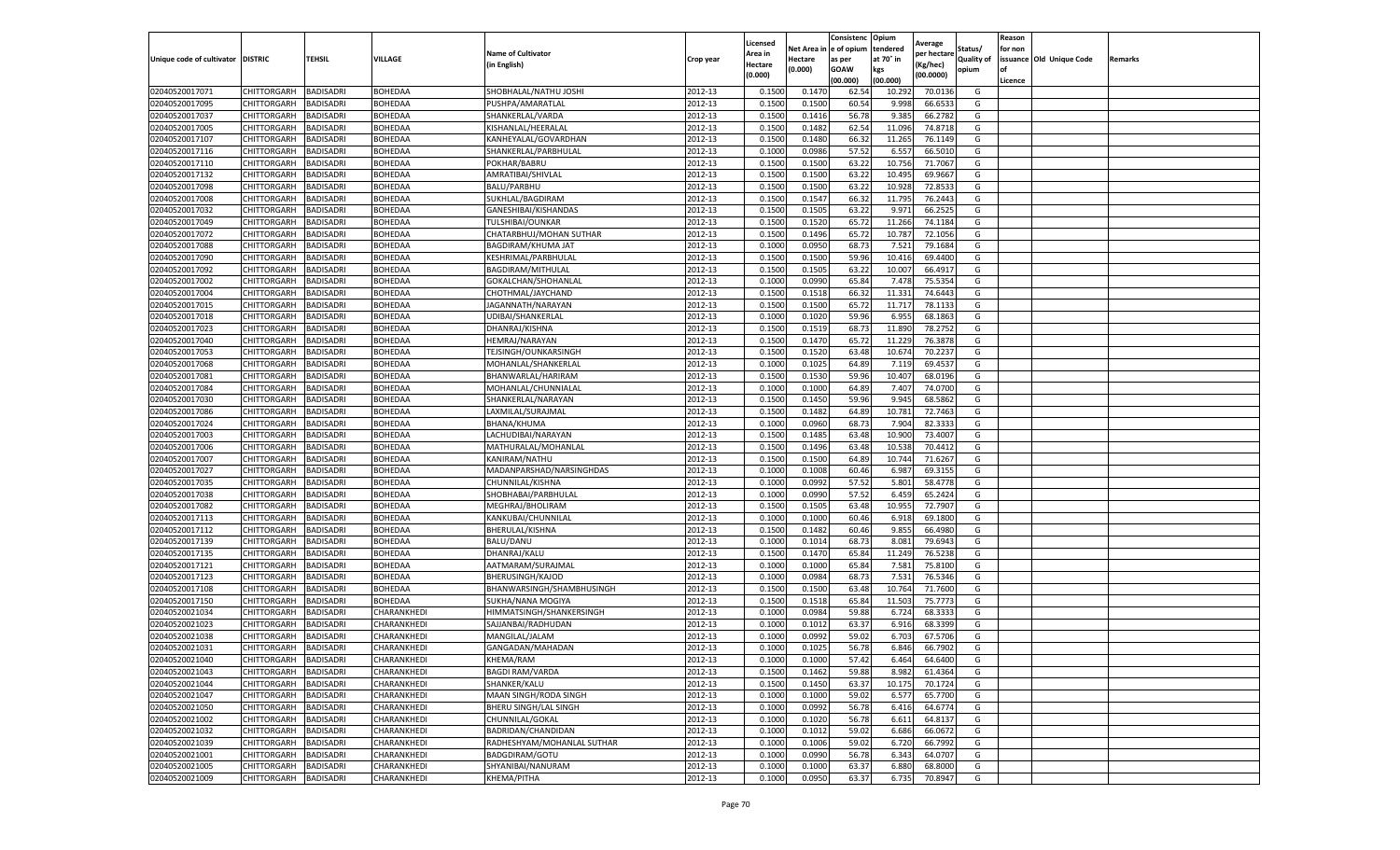|                                   |                       |                  |                |                            |           | Licensed |         | Consistenc             | Opium     |                        |                   | Reason  |                          |                |
|-----------------------------------|-----------------------|------------------|----------------|----------------------------|-----------|----------|---------|------------------------|-----------|------------------------|-------------------|---------|--------------------------|----------------|
|                                   |                       |                  |                | <b>Name of Cultivator</b>  |           | Area in  |         | Net Area in e of opium | tendered  | Average<br>per hectare | Status/           | for non |                          |                |
| Unique code of cultivator DISTRIC |                       | TEHSIL           | VILLAGE        | in English)                | Crop year | Hectare  | Hectare | as per                 | at 70° in | (Kg/hec                | <b>Quality of</b> |         | issuance Old Unique Code | <b>Remarks</b> |
|                                   |                       |                  |                |                            |           | (0.000)  | (0.000) | <b>GOAW</b>            | kgs       | (00.0000)              | opium             |         |                          |                |
|                                   |                       |                  |                |                            |           |          |         | (00.000)               | (00.000)  |                        |                   | Licence |                          |                |
| 02040520017071                    | CHITTORGARH           | <b>BADISADRI</b> | BOHEDAA        | SHOBHALAL/NATHU JOSHI      | 2012-13   | 0.1500   | 0.1470  | 62.54                  | 10.29     | 70.0136                | G                 |         |                          |                |
| 02040520017095                    | CHITTORGARH           | <b>BADISADRI</b> | <b>BOHEDAA</b> | PUSHPA/AMARATLAL           | 2012-13   | 0.1500   | 0.1500  | 60.54                  | 9.998     | 66.653                 | G                 |         |                          |                |
| 02040520017037                    | CHITTORGARH           | <b>BADISADRI</b> | BOHEDAA        | SHANKERLAL/VARDA           | 2012-13   | 0.1500   | 0.1416  | 56.78                  | 9.385     | 66.2782                | G                 |         |                          |                |
| 02040520017005                    | CHITTORGARH           | <b>BADISADRI</b> | BOHEDAA        | KISHANLAL/HEERALAL         | 2012-13   | 0.1500   | 0.1482  | 62.54                  | 11.096    | 74.8718                | G                 |         |                          |                |
| 02040520017107                    | CHITTORGARH           | <b>BADISADRI</b> | BOHEDAA        | KANHEYALAL/GOVARDHAN       | 2012-13   | 0.1500   | 0.1480  | 66.32                  | 11.265    | 76.1149                | G                 |         |                          |                |
| 02040520017116                    | CHITTORGARH           | <b>BADISADRI</b> | BOHEDAA        | SHANKERLAL/PARBHULAL       | 2012-13   | 0.1000   | 0.0986  | 57.52                  | 6.55      | 66.501                 | G                 |         |                          |                |
| 02040520017110                    | CHITTORGARH           | <b>BADISADRI</b> | <b>BOHEDAA</b> | POKHAR/BABRU               | 2012-13   | 0.1500   | 0.1500  | 63.22                  | 10.756    | 71.7067                | G                 |         |                          |                |
| 02040520017132                    | CHITTORGARH           | BADISADRI        | BOHEDAA        | AMRATIBAI/SHIVLAL          | 2012-13   | 0.1500   | 0.1500  | 63.22                  | 10.495    | 69.9667                | G                 |         |                          |                |
| 02040520017098                    | CHITTORGARH           | <b>BADISADRI</b> | BOHEDAA        | <b>BALU/PARBHU</b>         | 2012-13   | 0.1500   | 0.1500  | 63.22                  | 10.92     | 72.8533                | G                 |         |                          |                |
| 02040520017008                    | CHITTORGARH           | <b>BADISADRI</b> | BOHEDAA        | SUKHLAL/BAGDIRAM           | 2012-13   | 0.1500   | 0.1547  | 66.32                  | 11.795    | 76.2443                | G                 |         |                          |                |
| 02040520017032                    | CHITTORGARH           | <b>BADISADRI</b> | BOHEDAA        | GANESHIBAI/KISHANDAS       | 2012-13   | 0.1500   | 0.1505  | 63.22                  | 9.971     | 66.2525                | G                 |         |                          |                |
| 02040520017049                    | CHITTORGARH           | <b>BADISADRI</b> | BOHEDAA        | TULSHIBAI/OUNKAR           | 2012-13   | 0.1500   | 0.1520  | 65.72                  | 11.266    | 74.1184                | G                 |         |                          |                |
| 02040520017072                    | CHITTORGARH           | <b>BADISADRI</b> | BOHEDAA        | CHATARBHUJ/MOHAN SUTHAR    | 2012-13   | 0.1500   | 0.1496  | 65.72                  | 10.78     | 72.1056                | G                 |         |                          |                |
| 02040520017088                    | CHITTORGARH           | <b>BADISADRI</b> | BOHEDAA        | <b>BAGDIRAM/KHUMA JAT</b>  | 2012-13   | 0.1000   | 0.0950  | 68.73                  | 7.521     | 79.1684                | G                 |         |                          |                |
| 02040520017090                    | CHITTORGARH           | <b>BADISADRI</b> | BOHEDAA        | KESHRIMAL/PARBHULAL        | 2012-13   | 0.1500   | 0.1500  | 59.96                  | 10.416    | 69.4400                | G                 |         |                          |                |
| 02040520017092                    | CHITTORGARH           | <b>BADISADRI</b> | BOHEDAA        | BAGDIRAM/MITHULAL          | 2012-13   | 0.1500   | 0.1505  | 63.22                  | 10.007    | 66.491                 | G                 |         |                          |                |
| 02040520017002                    | CHITTORGARH           | <b>BADISADRI</b> | BOHEDAA        | GOKALCHAN/SHOHANLAL        | 2012-13   | 0.1000   | 0.0990  | 65.84                  | 7.478     | 75.5354                | G                 |         |                          |                |
| 02040520017004                    | CHITTORGARH           | <b>BADISADRI</b> | BOHEDAA        | CHOTHMAL/JAYCHAND          | 2012-13   | 0.1500   | 0.1518  | 66.32                  | 11.33     | 74.6443                | G                 |         |                          |                |
| 02040520017015                    | CHITTORGARH           | <b>BADISADRI</b> | BOHEDAA        | JAGANNATH/NARAYAN          | 2012-13   | 0.1500   | 0.1500  | 65.72                  | 11.717    | 78.1133                | G                 |         |                          |                |
| 02040520017018                    | CHITTORGARH           | <b>BADISADRI</b> | BOHEDAA        | UDIBAI/SHANKERLAI          | 2012-13   | 0.1000   | 0.1020  | 59.96                  | 6.955     | 68.1863                | G                 |         |                          |                |
| 02040520017023                    | CHITTORGARH           | <b>BADISADRI</b> | BOHEDAA        | DHANRAJ/KISHNA             | 2012-13   | 0.1500   | 0.1519  | 68.73                  | 11.890    | 78.2752                | G                 |         |                          |                |
| 02040520017040                    | CHITTORGARH           | <b>BADISADRI</b> | BOHEDAA        | HEMRAJ/NARAYAN             | 2012-13   | 0.1500   | 0.1470  | 65.72                  | 11.22     | 76.3878                | G                 |         |                          |                |
| 02040520017053                    | CHITTORGARH           | <b>BADISADRI</b> | BOHEDAA        | TEJSINGH/OUNKARSINGH       | 2012-13   | 0.1500   | 0.1520  | 63.48                  | 10.674    | 70.2237                | G                 |         |                          |                |
| 02040520017068                    | CHITTORGARH           | <b>BADISADRI</b> | BOHEDAA        | MOHANLAL/SHANKERLAL        | 2012-13   | 0.1000   | 0.1025  | 64.89                  | 7.119     | 69.4537                | G                 |         |                          |                |
| 02040520017081                    | CHITTORGARH           | <b>BADISADRI</b> | BOHEDAA        | BHANWARLAL/HARIRAM         | 2012-13   | 0.1500   | 0.1530  | 59.96                  | 10.407    | 68.0196                | G                 |         |                          |                |
| 02040520017084                    | CHITTORGARH           | <b>BADISADRI</b> | BOHEDAA        | MOHANLAL/CHUNNIALAI        | 2012-13   | 0.1000   | 0.1000  | 64.89                  | 7.407     | 74.0700                | G                 |         |                          |                |
| 02040520017030                    | CHITTORGARH           | BADISADRI        | BOHEDAA        | SHANKERLAL/NARAYAN         | 2012-13   | 0.1500   | 0.1450  | 59.96                  | 9.945     | 68.5862                | G                 |         |                          |                |
| 02040520017086                    | CHITTORGARH           | <b>BADISADRI</b> | BOHEDAA        | LAXMILAL/SURAJMAL          | 2012-13   | 0.1500   | 0.1482  | 64.89                  | 10.781    | 72.7463                | G                 |         |                          |                |
| 02040520017024                    | CHITTORGARH           | <b>BADISADRI</b> | BOHEDAA        | BHANA/KHUMA                | 2012-13   | 0.1000   | 0.0960  | 68.73                  | 7.904     | 82.3333                | G                 |         |                          |                |
| 02040520017003                    | CHITTORGARH           | <b>BADISADRI</b> | BOHEDAA        | LACHUDIBAI/NARAYAN         | 2012-13   | 0.1500   | 0.1485  | 63.48                  | 10.90     | 73.4007                | G                 |         |                          |                |
| 02040520017006                    | CHITTORGARH           | <b>BADISADRI</b> | BOHEDAA        | MATHURALAL/MOHANLAL        | 2012-13   | 0.1500   | 0.1496  | 63.48                  | 10.53     | 70.4412                | G                 |         |                          |                |
| 02040520017007                    | CHITTORGARH           | <b>BADISADRI</b> | BOHEDAA        | KANIRAM/NATHU              | 2012-13   | 0.1500   | 0.1500  | 64.89                  | 10.744    | 71.6267                | G                 |         |                          |                |
| 02040520017027                    | CHITTORGARH           | <b>BADISADRI</b> | BOHEDAA        | MADANPARSHAD/NARSINGHDAS   | 2012-13   | 0.1000   | 0.1008  | 60.46                  | 6.987     | 69.3155                | G                 |         |                          |                |
| 02040520017035                    | CHITTORGARH           | <b>BADISADRI</b> | BOHEDAA        | CHUNNILAL/KISHNA           | 2012-13   | 0.1000   | 0.0992  | 57.52                  | 5.801     | 58.4778                | G                 |         |                          |                |
| 02040520017038                    | CHITTORGARH           | <b>BADISADRI</b> | BOHEDAA        | SHOBHABAI/PARBHULAL        | 2012-13   | 0.1000   | 0.0990  | 57.52                  | 6.459     | 65.2424                | G                 |         |                          |                |
| 02040520017082                    | CHITTORGARH           | <b>BADISADRI</b> | BOHEDAA        | MEGHRAJ/BHOLIRAM           | 2012-13   | 0.1500   | 0.1505  | 63.48                  | 10.955    | 72.7907                | G                 |         |                          |                |
| 02040520017113                    | CHITTORGARH           | <b>BADISADRI</b> | BOHEDAA        | KANKUBAI/CHUNNILAL         | 2012-13   | 0.1000   | 0.1000  | 60.46                  | 6.918     | 69.1800                | G                 |         |                          |                |
| 02040520017112                    | CHITTORGARH           | <b>BADISADRI</b> | BOHEDAA        | BHERULAL/KISHNA            | 2012-13   | 0.1500   | 0.1482  | 60.46                  | 9.855     | 66.4980                | G                 |         |                          |                |
| 02040520017139                    | CHITTORGARH           | BADISADRI        | <b>BOHEDAA</b> | <b>BALU/DANU</b>           | 2012-13   | 0.1000   | 0.1014  | 68.73                  | 8.081     | 79.6943                | G                 |         |                          |                |
| 02040520017135                    | CHITTORGARH           | <b>BADISADRI</b> | BOHEDAA        | DHANRAJ/KALU               | 2012-13   | 0.1500   | 0.1470  | 65.84                  | 11.249    | 76.5238                | G                 |         |                          |                |
| 02040520017121                    | CHITTORGARH           | <b>BADISADRI</b> | BOHEDAA        | AATMARAM/SURAJMAL          | 2012-13   | 0.1000   | 0.1000  | 65.84                  | 7.581     | 75.8100                | G                 |         |                          |                |
| 02040520017123                    | CHITTORGARH           | <b>BADISADRI</b> | <b>BOHEDAA</b> | BHERUSINGH/KAJOD           | 2012-13   | 0.1000   | 0.0984  | 68.73                  | 7.531     | 76.5346                | G                 |         |                          |                |
| 02040520017108                    | CHITTORGARH           | <b>BADISADRI</b> | BOHEDAA        | BHANWARSINGH/SHAMBHUSINGH  | 2012-13   | 0.1500   | 0.1500  | 63.48                  | 10.764    | 71.7600                | G                 |         |                          |                |
| 02040520017150                    | CHITTORGARH           | <b>BADISADRI</b> | BOHEDAA        | SUKHA/NANA MOGIYA          | 2012-13   | 0.1500   | 0.1518  | 65.84                  | 11.503    | 75.7773                | G                 |         |                          |                |
| 02040520021034                    | CHITTORGARH           | <b>BADISADRI</b> | CHARANKHEDI    | HIMMATSINGH/SHANKERSINGH   | 2012-13   | 0.1000   | 0.0984  | 59.88                  | 6.724     | 68.3333                | G                 |         |                          |                |
| 02040520021023                    | CHITTORGARH           | BADISADRI        | CHARANKHEDI    | SAJJANBAI/RADHUDAN         | 2012-13   | 0.1000   | 0.1012  | 63.37                  | 6.916     | 68.3399                | G                 |         |                          |                |
| 02040520021038                    | CHITTORGARH           | <b>BADISADRI</b> | CHARANKHEDI    | MANGILAL/JALAM             | 2012-13   | 0.1000   | 0.0992  | 59.02                  | 6.703     | 67.5706                | G                 |         |                          |                |
| 02040520021031                    | CHITTORGARH           | <b>BADISADRI</b> | CHARANKHEDI    | GANGADAN/MAHADAN           | 2012-13   | 0.1000   | 0.1025  | 56.78                  | 6.846     | 66.7902                | G                 |         |                          |                |
| 02040520021040                    | CHITTORGARH BADISADRI |                  | CHARANKHEDI    | KHEMA/RAM                  | 2012-13   | 0.1000   | 0.1000  | 57.42                  | 6.464     | 64.6400                | G                 |         |                          |                |
| 02040520021043                    | CHITTORGARH           | <b>BADISADRI</b> | CHARANKHEDI    | <b>BAGDI RAM/VARDA</b>     | 2012-13   | 0.1500   | 0.1462  | 59.88                  | 8.982     | 61.4364                | G                 |         |                          |                |
| 02040520021044                    | <b>CHITTORGARH</b>    | <b>BADISADRI</b> | CHARANKHEDI    | SHANKER/KALU               | 2012-13   | 0.1500   | 0.1450  | 63.37                  | 10.175    | 70.1724                | G                 |         |                          |                |
| 02040520021047                    | CHITTORGARH           | <b>BADISADRI</b> | CHARANKHEDI    | MAAN SINGH/RODA SINGH      | 2012-13   | 0.1000   | 0.1000  | 59.02                  | 6.577     | 65.7700                | G                 |         |                          |                |
| 02040520021050                    | <b>CHITTORGARH</b>    | <b>BADISADRI</b> | CHARANKHEDI    | BHERU SINGH/LAL SINGH      | 2012-13   | 0.1000   | 0.0992  | 56.78                  | 6.416     | 64.6774                | G                 |         |                          |                |
| 02040520021002                    | <b>CHITTORGARH</b>    | <b>BADISADRI</b> | CHARANKHEDI    | CHUNNILAL/GOKAL            | 2012-13   | 0.1000   | 0.1020  | 56.78                  | 6.611     | 64.8137                | G                 |         |                          |                |
| 02040520021032                    | <b>CHITTORGARH</b>    | <b>BADISADRI</b> | CHARANKHEDI    | BADRIDAN/CHANDIDAN         | 2012-13   | 0.1000   | 0.1012  | 59.02                  | 6.686     | 66.0672                | G                 |         |                          |                |
| 02040520021039                    | <b>CHITTORGARH</b>    | <b>BADISADRI</b> | CHARANKHEDI    | RADHESHYAM/MOHANLAL SUTHAR | 2012-13   | 0.1000   | 0.1006  | 59.02                  | 6.720     | 66.7992                | G                 |         |                          |                |
| 02040520021001                    | CHITTORGARH           | <b>BADISADRI</b> | CHARANKHEDI    | <b>BADGDIRAM/GOTU</b>      | 2012-13   | 0.1000   | 0.0990  | 56.78                  | 6.343     | 64.0707                | G                 |         |                          |                |
| 02040520021005                    | CHITTORGARH           | <b>BADISADRI</b> | CHARANKHEDI    | SHYANIBAI/NANURAM          | 2012-13   | 0.1000   | 0.1000  | 63.37                  | 6.880     | 68.8000                | G                 |         |                          |                |
| 02040520021009                    | <b>CHITTORGARH</b>    | <b>BADISADRI</b> | CHARANKHEDI    | KHEMA/PITHA                | 2012-13   | 0.1000   | 0.0950  | 63.37                  | 6.735     | 70.8947                | G                 |         |                          |                |
|                                   |                       |                  |                |                            |           |          |         |                        |           |                        |                   |         |                          |                |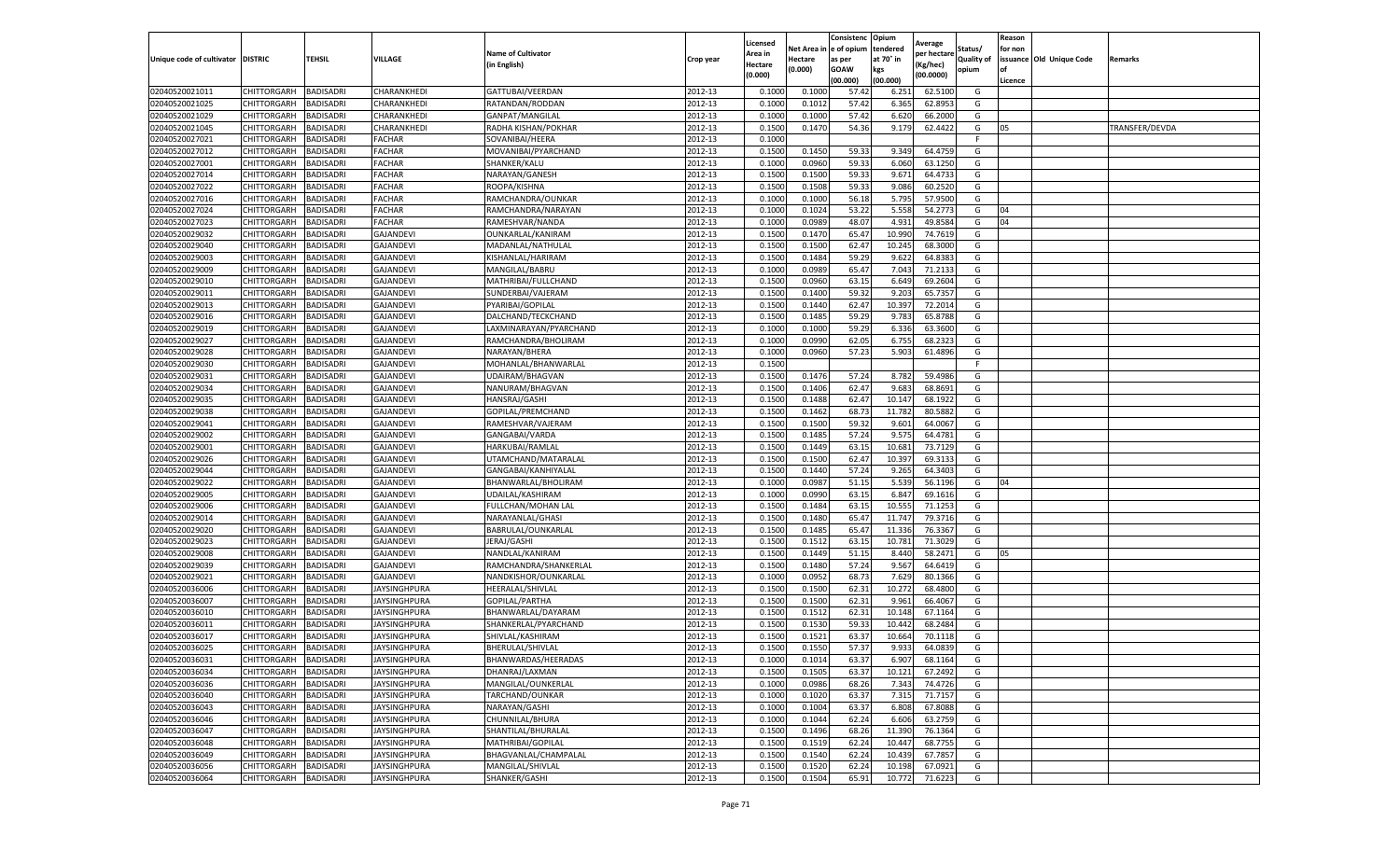|                           |                            |                  |                     |                                       |                    | Licensed         |                  | Consistenc             | Opium           |                        |                   | Reason  |                          |                |
|---------------------------|----------------------------|------------------|---------------------|---------------------------------------|--------------------|------------------|------------------|------------------------|-----------------|------------------------|-------------------|---------|--------------------------|----------------|
|                           |                            |                  |                     | <b>Name of Cultivator</b>             |                    | Area in          |                  | Net Area in e of opium | tendered        | Average<br>per hectare | Status/           | for non |                          |                |
| Unique code of cultivator | <b>DISTRIC</b>             | TEHSIL           | VILLAGE             | in English)                           | Crop year          | Hectare          | Hectare          | as per                 | at 70° in       | (Kg/hec                | <b>Quality of</b> |         | issuance Old Unique Code | <b>Remarks</b> |
|                           |                            |                  |                     |                                       |                    | (0.000)          | (0.000)          | <b>GOAW</b>            | kgs             | (00.0000)              | opium             |         |                          |                |
|                           |                            |                  |                     |                                       |                    |                  |                  | (00.000)               | (00.000)        |                        |                   | Licence |                          |                |
| 02040520021011            | CHITTORGARH                | <b>BADISADRI</b> | CHARANKHEDI         | GATTUBAI/VEERDAN                      | 2012-13            | 0.1000           | 0.1000           | 57.42                  | 6.251           | 62.5100                | G                 |         |                          |                |
| 02040520021025            | CHITTORGARH                | <b>BADISADRI</b> | CHARANKHEDI         | RATANDAN/RODDAN                       | 2012-13            | 0.1000           | 0.1012           | 57.42                  | 6.365           | 62.8953                | G                 |         |                          |                |
| 02040520021029            | CHITTORGARH                | <b>BADISADRI</b> | CHARANKHEDI         | GANPAT/MANGILAL                       | 2012-13            | 0.1000           | 0.1000           | 57.42                  | 6.62            | 66.2000                | G                 |         |                          |                |
| 02040520021045            | CHITTORGARH                | <b>BADISADRI</b> | CHARANKHEDI         | RADHA KISHAN/POKHAR                   | 2012-13            | 0.1500           | 0.1470           | 54.36                  | 9.179           | 62.4422                | G                 | 05      |                          | TRANSFER/DEVDA |
| 02040520027021            | CHITTORGARH                | <b>BADISADRI</b> | FACHAR              | SOVANIBAI/HEERA                       | 2012-13            | 0.1000           |                  |                        |                 |                        | F                 |         |                          |                |
| 02040520027012            | CHITTORGARH                | <b>BADISADRI</b> | FACHAR              | MOVANIBAI/PYARCHAND                   | 2012-13            | 0.1500           | 0.1450           | 59.33                  | 9.349           | 64.4759                | G                 |         |                          |                |
| 02040520027001            | CHITTORGARH                | <b>BADISADRI</b> | FACHAR              | SHANKER/KALU                          | 2012-13            | 0.1000           | 0.0960           | 59.33                  | 6.060           | 63.1250                | G                 |         |                          |                |
| 02040520027014            | CHITTORGARH                | BADISADRI        | FACHAR              | NARAYAN/GANESH                        | 2012-13            | 0.1500           | 0.1500           | 59.33                  | 9.671           | 64.4733                | G                 |         |                          |                |
| 02040520027022            | CHITTORGARH                | <b>BADISADRI</b> | FACHAR              | ROOPA/KISHNA                          | 2012-13            | 0.1500           | 0.1508           | 59.33                  | 9.086           | 60.2520                | G                 |         |                          |                |
| 02040520027016            | CHITTORGARH                | <b>BADISADRI</b> | FACHAR              | RAMCHANDRA/OUNKAR                     | 2012-13            | 0.1000           | 0.1000           | 56.18                  | 5.795           | 57.9500                | G                 |         |                          |                |
| 02040520027024            | CHITTORGARH                | <b>BADISADRI</b> | FACHAR              | RAMCHANDRA/NARAYAN                    | 2012-13            | 0.1000           | 0.1024           | 53.22                  | 5.558           | 54.2773                | G                 | 04      |                          |                |
| 02040520027023            | CHITTORGARH                | <b>BADISADRI</b> | <b>FACHAR</b>       | RAMESHVAR/NANDA                       | 2012-13            | 0.1000           | 0.0989           | 48.07                  | 4.93            | 49.8584                | G                 | 04      |                          |                |
| 02040520029032            | CHITTORGARH                | <b>BADISADRI</b> | <b>GAJANDEV</b>     | OUNKARLAL/KANIRAM                     | 2012-13            | 0.1500           | 0.1470           | 65.47                  | 10.99           | 74.7619                | G                 |         |                          |                |
| 02040520029040            | CHITTORGARH                | <b>BADISADRI</b> | <b>GAJANDEVI</b>    | MADANLAL/NATHULAL                     | 2012-13            | 0.1500           | 0.1500           | 62.47                  | 10.24           | 68.3000                | G                 |         |                          |                |
| 02040520029003            | CHITTORGARH                | <b>BADISADRI</b> | <b>GAJANDEVI</b>    | KISHANLAL/HARIRAM                     | 2012-13            | 0.1500           | 0.1484           | 59.29                  | 9.622           | 64.8383                | G                 |         |                          |                |
| 02040520029009            | CHITTORGARH                | <b>BADISADRI</b> | <b>GAJANDEVI</b>    | MANGILAL/BABRU                        | 2012-13            | 0.1000           | 0.0989           | 65.47                  | 7.043           | 71.2133                | G                 |         |                          |                |
| 02040520029010            | CHITTORGARH                | <b>BADISADRI</b> | <b>GAJANDEVI</b>    | MATHRIBAI/FULLCHAND                   | 2012-13            | 0.1500           | 0.0960           | 63.15                  | 6.649           | 69.2604                | G                 |         |                          |                |
| 02040520029011            | CHITTORGARH                | <b>BADISADRI</b> | GAJANDEVI           | SUNDERBAI/VAJERAM                     | 2012-13            | 0.1500           | 0.1400           | 59.32                  | 9.203           | 65.7357                | G                 |         |                          |                |
| 02040520029013            | CHITTORGARH                | <b>BADISADRI</b> | GAJANDEVI           | PYARIBAI/GOPILAL                      | 2012-13            | 0.1500           | 0.1440           | 62.47                  | 10.39           | 72.2014                | G                 |         |                          |                |
| 02040520029016            | CHITTORGARH                | <b>BADISADRI</b> | <b>GAJANDEVI</b>    | DALCHAND/TECKCHAND                    | 2012-13            | 0.1500           | 0.1485           | 59.29                  | 9.783           | 65.8788                | G                 |         |                          |                |
| 02040520029019            | CHITTORGARH                | <b>BADISADRI</b> | <b>GAJANDEVI</b>    | LAXMINARAYAN/PYARCHAND                | 2012-13            | 0.1000           | 0.1000           | 59.29                  | 6.336           | 63.3600                | G                 |         |                          |                |
| 02040520029027            | CHITTORGARH                | <b>BADISADRI</b> | GAJANDEVI           | RAMCHANDRA/BHOLIRAM                   | 2012-13            | 0.1000           | 0.0990           | 62.05                  | 6.755           | 68.2323                | G                 |         |                          |                |
| 02040520029028            | CHITTORGARH                | <b>BADISADRI</b> | <b>GAJANDEVI</b>    | NARAYAN/BHERA                         | 2012-13            | 0.1000           | 0.0960           | 57.23                  | 5.903           | 61.4896                | G                 |         |                          |                |
| 02040520029030            | CHITTORGARH                | <b>BADISADRI</b> | GAJANDEVI           | MOHANLAL/BHANWARLAL                   | 2012-13            | 0.1500           |                  |                        |                 |                        | F                 |         |                          |                |
| 02040520029031            | CHITTORGARH                | <b>BADISADRI</b> | GAJANDEVI           | UDAIRAM/BHAGVAN                       | 2012-13            | 0.1500           | 0.1476           | 57.24                  | 8.782           | 59.4986                | G                 |         |                          |                |
| 02040520029034            | CHITTORGARH                | <b>BADISADRI</b> | <b>GAJANDEVI</b>    | NANURAM/BHAGVAN                       | 2012-13            | 0.1500           | 0.1406           | 62.47                  | 9.683           | 68.8691                | G                 |         |                          |                |
| 02040520029035            | CHITTORGARH                | BADISADRI        | <b>GAJANDEVI</b>    | HANSRAJ/GASHI                         | 2012-13            | 0.1500           | 0.1488           | 62.47                  | 10.14           | 68.1922                | G                 |         |                          |                |
| 02040520029038            | CHITTORGARH                | <b>BADISADRI</b> | GAJANDEVI           | GOPILAL/PREMCHAND                     | 2012-13            | 0.1500           | 0.1462           | 68.73                  | 11.782          | 80.5882                | G                 |         |                          |                |
| 02040520029041            | CHITTORGARH                | <b>BADISADRI</b> | GAJANDEVI           | RAMESHVAR/VAJERAM                     | 2012-13            | 0.1500           | 0.1500           | 59.32                  | 9.601           | 64.0067                | G                 |         |                          |                |
| 02040520029002            | CHITTORGARH                | <b>BADISADRI</b> | <b>GAJANDEVI</b>    | GANGABAI/VARDA                        | 2012-13            | 0.1500           | 0.1485           | 57.24                  | 9.575           | 64.4781                | G                 |         |                          |                |
| 02040520029001            | CHITTORGARH                | <b>BADISADRI</b> | GAJANDEVI           | HARKUBAI/RAMLAL                       | 2012-13            | 0.1500           | 0.1449           | 63.15                  | 10.681          | 73.7129                | G                 |         |                          |                |
| 02040520029026            | CHITTORGARH                | <b>BADISADRI</b> | <b>GAJANDEVI</b>    | UTAMCHAND/MATARALAL                   | 2012-13            | 0.1500           | 0.1500           | 62.47                  | 10.397          | 69.3133                | G                 |         |                          |                |
| 02040520029044            | CHITTORGARH                | <b>BADISADRI</b> | <b>GAJANDEVI</b>    | GANGABAI/KANHIYALAL                   | 2012-13            | 0.1500           | 0.1440           | 57.24                  | 9.265           | 64.3403                | G                 |         |                          |                |
| 02040520029022            | CHITTORGARH                | <b>BADISADRI</b> | <b>GAJANDEVI</b>    | BHANWARLAL/BHOLIRAM                   | 2012-13            | 0.1000           | 0.0987           | 51.15                  | 5.539           | 56.1196                | G                 | 04      |                          |                |
| 02040520029005            | CHITTORGARH                | <b>BADISADRI</b> | <b>GAJANDEVI</b>    | UDAILAL/KASHIRAM                      | 2012-13            | 0.1000           | 0.0990           | 63.15                  | 6.847           | 69.1616                | G                 |         |                          |                |
| 02040520029006            | CHITTORGARH                | <b>BADISADRI</b> | <b>GAJANDEVI</b>    | FULLCHAN/MOHAN LAL                    | 2012-13            | 0.1500           | 0.1484           | 63.15                  | 10.55           | 71.1253                | G                 |         |                          |                |
| 02040520029014            | CHITTORGARH                | <b>BADISADRI</b> | GAJANDEVI           | NARAYANLAL/GHASI                      | 2012-13            | 0.1500           | 0.1480           | 65.47                  | 11.74           | 79.3716                | G                 |         |                          |                |
| 02040520029020            | CHITTORGARH                | <b>BADISADRI</b> | GAJANDEVI           | BABRULAL/OUNKARLAL                    | 2012-13            | 0.1500           | 0.1485           | 65.47                  | 11.33           | 76.3367                | G                 |         |                          |                |
| 02040520029023            | CHITTORGARH                | BADISADRI        | <b>GAJANDEVI</b>    | JERAJ/GASHI                           | 2012-13            | 0.1500           | 0.1512           | 63.1                   | 10.781          | 71.3029                | G                 |         |                          |                |
| 02040520029008            | CHITTORGARH                | <b>BADISADRI</b> | <b>GAJANDEVI</b>    | NANDLAL/KANIRAM                       | 2012-13            | 0.1500           | 0.1449           | 51.15                  | 8.440           | 58.2471                | G                 | 05      |                          |                |
| 02040520029039            | CHITTORGARH                | <b>BADISADRI</b> | GAJANDEVI           | RAMCHANDRA/SHANKERLAL                 | 2012-13            | 0.1500           | 0.1480           | 57.24                  | 9.567           | 64.6419                | G                 |         |                          |                |
| 02040520029021            | CHITTORGARH                | <b>BADISADRI</b> | <b>GAJANDEVI</b>    | NANDKISHOR/OUNKARLAL                  | 2012-13            | 0.1000           | 0.0952           | 68.73                  | 7.629           | 80.1366                | G                 |         |                          |                |
| 02040520036006            | CHITTORGARH                | <b>BADISADRI</b> | JAYSINGHPURA        | HEERALAL/SHIVLAL                      | 2012-13            | 0.1500           | 0.1500           | 62.31                  | 10.272          | 68.4800                | G                 |         |                          |                |
| 02040520036007            | CHITTORGARH                | <b>BADISADRI</b> | JAYSINGHPURA        | GOPILAL/PARTHA                        | 2012-13            | 0.1500           | 0.1500           | 62.31                  | 9.961           | 66.4067                | G                 |         |                          |                |
| 02040520036010            | <b>CHITTORGARH</b>         | <b>BADISADRI</b> | <b>JAYSINGHPURA</b> | BHANWARLAL/DAYARAM                    | 2012-13            | 0.1500           | 0.1512           | 62.31                  | 10.148          | 67.1164                | G                 |         |                          |                |
| 02040520036011            | CHITTORGARH                | BADISADRI        | JAYSINGHPURA        | SHANKERLAL/PYARCHAND                  | 2012-13            | 0.1500           | 0.1530           | 59.33                  | 10.44           | 68.2484                | G                 |         |                          |                |
| 02040520036017            | CHITTORGARH                | <b>BADISADRI</b> | <b>JAYSINGHPURA</b> | SHIVLAL/KASHIRAM                      | 2012-13            | 0.1500           | 0.1521           | 63.37                  | 10.664          | 70.1118                | G                 |         |                          |                |
| 02040520036025            | CHITTORGARH                | <b>BADISADRI</b> | JAYSINGHPURA        | BHERULAL/SHIVLAL                      | 2012-13            | 0.1500           | 0.1550           | 57.37                  | 9.933           | 64.0839                | G                 |         |                          |                |
|                           |                            |                  |                     |                                       |                    |                  |                  |                        |                 |                        |                   |         |                          |                |
| 02040520036031            | CHITTORGARH<br>CHITTORGARH | <b>BADISADRI</b> | <b>JAYSINGHPURA</b> | BHANWARDAS/HEERADAS<br>DHANRAJ/LAXMAN | 2012-13<br>2012-13 | 0.1000<br>0.1500 | 0.1014<br>0.1505 | 63.37<br>63.37         | 6.907<br>10.121 | 68.1164<br>67.2492     | G<br>G            |         |                          |                |
| 02040520036034            |                            | <b>BADISADRI</b> | JAYSINGHPURA        |                                       |                    |                  |                  |                        |                 |                        |                   |         |                          |                |
| 02040520036036            | <b>CHITTORGARH</b>         | <b>BADISADRI</b> | JAYSINGHPURA        | MANGILAL/OUNKERLAL                    | 2012-13            | 0.1000           | 0.0986           | 68.26                  | 7.343           | 74.4726                | G                 |         |                          |                |
| 02040520036040            | CHITTORGARH                | <b>BADISADRI</b> | JAYSINGHPURA        | TARCHAND/OUNKAR                       | 2012-13            | 0.1000           | 0.1020           | 63.37                  | 7.315           | 71.7157                | G                 |         |                          |                |
| 02040520036043            | CHITTORGARH                | <b>BADISADRI</b> | JAYSINGHPURA        | NARAYAN/GASHI                         | 2012-13            | 0.1000           | 0.1004           | 63.37                  | 6.808           | 67.8088                | G                 |         |                          |                |
| 02040520036046            | <b>CHITTORGARH</b>         | <b>BADISADRI</b> | JAYSINGHPURA        | CHUNNILAL/BHURA                       | 2012-13            | 0.1000           | 0.1044           | 62.24                  | 6.606           | 63.2759                | G                 |         |                          |                |
| 02040520036047            | CHITTORGARH                | <b>BADISADRI</b> | JAYSINGHPURA        | SHANTILAL/BHURALAL                    | 2012-13            | 0.1500           | 0.1496           | 68.26                  | 11.390          | 76.1364                | G                 |         |                          |                |
| 02040520036048            | <b>CHITTORGARH</b>         | <b>BADISADRI</b> | <b>JAYSINGHPURA</b> | MATHRIBAI/GOPILAL                     | 2012-13            | 0.1500           | 0.1519           | 62.24                  | 10.447          | 68.7755                | G                 |         |                          |                |
| 02040520036049            | CHITTORGARH                | <b>BADISADRI</b> | JAYSINGHPURA        | BHAGVANLAL/CHAMPALAL                  | 2012-13            | 0.1500           | 0.1540           | 62.24                  | 10.439          | 67.7857                | G                 |         |                          |                |
| 02040520036056            | CHITTORGARH                | <b>BADISADRI</b> | JAYSINGHPURA        | MANGILAL/SHIVLAL                      | 2012-13            | 0.1500           | 0.1520           | 62.24                  | 10.19           | 67.0921                | G                 |         |                          |                |
| 02040520036064            | <b>CHITTORGARH</b>         | <b>BADISADRI</b> | <b>JAYSINGHPURA</b> | SHANKER/GASHI                         | 2012-13            | 0.1500           | 0.1504           | 65.91                  | 10.772          | 71.6223                | G                 |         |                          |                |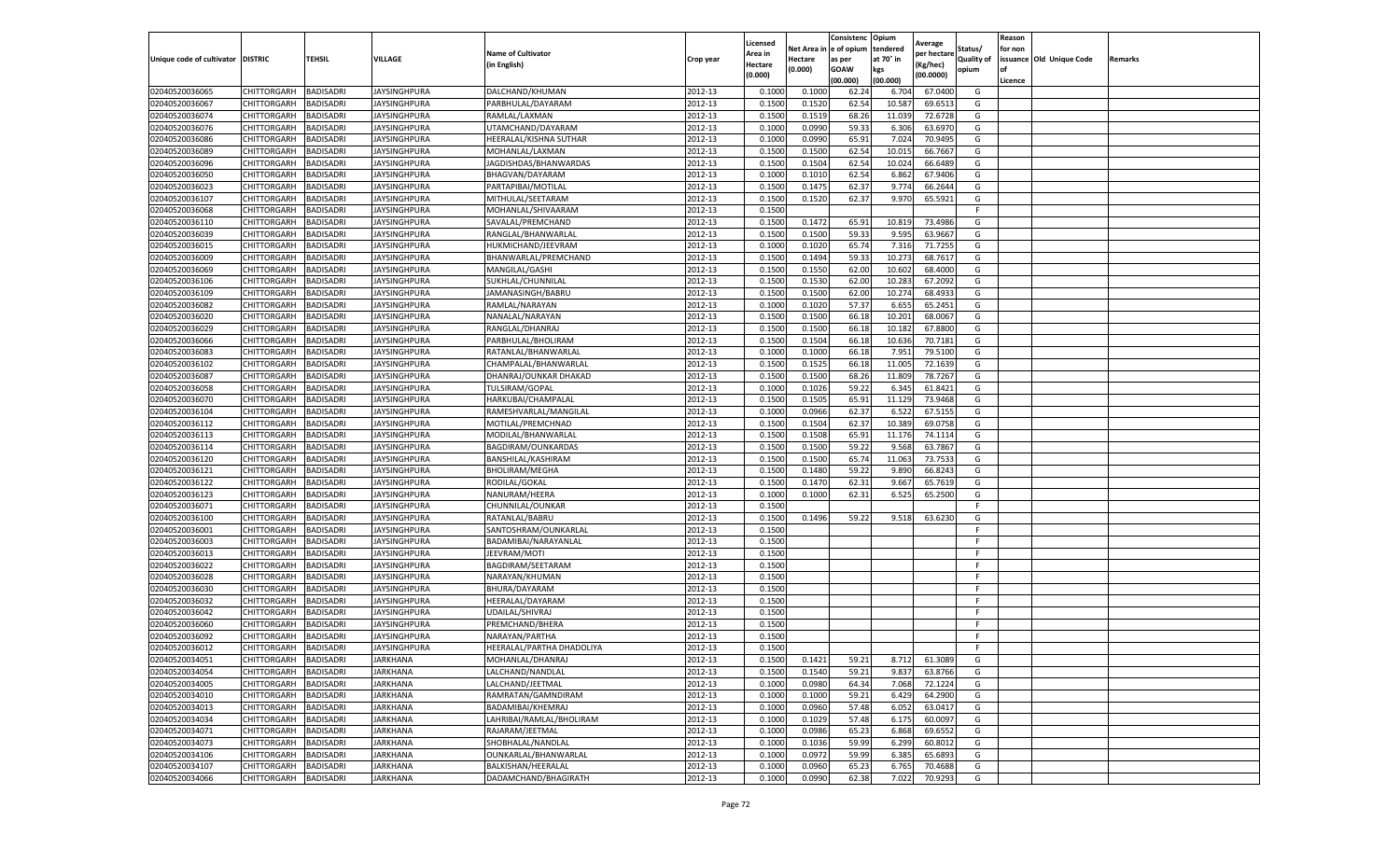|                                   |                    |                  |                     |                           |           | Licensed |         | Consistenc             | Opium     |                        |                   | Reason  |                          |                |
|-----------------------------------|--------------------|------------------|---------------------|---------------------------|-----------|----------|---------|------------------------|-----------|------------------------|-------------------|---------|--------------------------|----------------|
|                                   |                    |                  |                     | <b>Name of Cultivator</b> |           | Area in  |         | Net Area in e of opium | tendered  | Average<br>per hectare | Status/           | for non |                          |                |
| Unique code of cultivator DISTRIC |                    | TEHSIL           | VILLAGE             | in English)               | Crop year | Hectare  | Hectare | as per                 | at 70° in | (Kg/hec                | <b>Quality of</b> |         | issuance Old Unique Code | <b>Remarks</b> |
|                                   |                    |                  |                     |                           |           | (0.000)  | (0.000) | <b>GOAW</b>            | kgs       | (00.0000)              | opium             |         |                          |                |
|                                   |                    |                  |                     |                           |           |          |         | (00.000)               | (00.000)  |                        |                   | Licence |                          |                |
| 02040520036065                    | CHITTORGARH        | <b>BADISADRI</b> | <b>JAYSINGHPURA</b> | DALCHAND/KHUMAN           | 2012-13   | 0.1000   | 0.1000  | 62.24                  | 6.704     | 67.0400                | G                 |         |                          |                |
| 02040520036067                    | CHITTORGARH        | <b>BADISADRI</b> | JAYSINGHPURA        | PARBHULAL/DAYARAM         | 2012-13   | 0.1500   | 0.1520  | 62.54                  | 10.587    | 69.6513                | G                 |         |                          |                |
| 02040520036074                    | CHITTORGARH        | <b>BADISADRI</b> | JAYSINGHPURA        | RAMLAL/LAXMAN             | 2012-13   | 0.1500   | 0.1519  | 68.26                  | 11.039    | 72.6728                | G                 |         |                          |                |
| 02040520036076                    | CHITTORGARH        | <b>BADISADRI</b> | JAYSINGHPURA        | UTAMCHAND/DAYARAM         | 2012-13   | 0.1000   | 0.0990  | 59.33                  | 6.306     | 63.6970                | G                 |         |                          |                |
| 02040520036086                    | CHITTORGARH        | <b>BADISADRI</b> | <b>JAYSINGHPURA</b> | HEERALAL/KISHNA SUTHAR    | 2012-13   | 0.1000   | 0.0990  | 65.91                  | 7.024     | 70.9495                | G                 |         |                          |                |
| 02040520036089                    | CHITTORGARH        | <b>BADISADRI</b> | JAYSINGHPURA        | MOHANLAL/LAXMAN           | 2012-13   | 0.1500   | 0.1500  | 62.54                  | 10.015    | 66.7667                | G                 |         |                          |                |
| 02040520036096                    | CHITTORGARH        | <b>BADISADRI</b> | <b>JAYSINGHPURA</b> | JAGDISHDAS/BHANWARDAS     | 2012-13   | 0.1500   | 0.1504  | 62.54                  | 10.024    | 66.6489                | G                 |         |                          |                |
| 02040520036050                    | CHITTORGARH        | BADISADRI        | JAYSINGHPURA        | BHAGVAN/DAYARAM           | 2012-13   | 0.1000   | 0.1010  | 62.54                  | 6.862     | 67.9406                | G                 |         |                          |                |
| 02040520036023                    | CHITTORGARH        | <b>BADISADRI</b> | JAYSINGHPURA        | PARTAPIBAI/MOTILAL        | 2012-13   | 0.1500   | 0.1475  | 62.37                  | 9.774     | 66.2644                | G                 |         |                          |                |
| 02040520036107                    | CHITTORGARH        | <b>BADISADRI</b> | JAYSINGHPURA        | MITHULAL/SEETARAM         | 2012-13   | 0.1500   | 0.1520  | 62.37                  | 9.970     | 65.5921                | G                 |         |                          |                |
| 02040520036068                    | CHITTORGARH        | <b>BADISADRI</b> | JAYSINGHPURA        | MOHANLAL/SHIVAARAM        | 2012-13   | 0.1500   |         |                        |           |                        | F.                |         |                          |                |
| 02040520036110                    | CHITTORGARH        | <b>BADISADRI</b> | JAYSINGHPURA        | SAVALAL/PREMCHAND         | 2012-13   | 0.1500   | 0.1472  | 65.91                  | 10.81     | 73.4986                | G                 |         |                          |                |
| 02040520036039                    | CHITTORGARH        | <b>BADISADRI</b> | <b>JAYSINGHPURA</b> | RANGLAL/BHANWARLAL        | 2012-13   | 0.1500   | 0.1500  | 59.33                  | 9.595     | 63.9667                | G                 |         |                          |                |
| 02040520036015                    | CHITTORGARH        | <b>BADISADRI</b> | JAYSINGHPURA        | HUKMICHAND/JEEVRAM        | 2012-13   | 0.1000   | 0.1020  | 65.74                  | 7.316     | 71.7255                | G                 |         |                          |                |
| 02040520036009                    | CHITTORGARH        | <b>BADISADRI</b> | JAYSINGHPURA        | BHANWARLAL/PREMCHAND      | 2012-13   | 0.1500   | 0.1494  | 59.33                  | 10.273    | 68.7617                | G                 |         |                          |                |
| 02040520036069                    | CHITTORGARH        | <b>BADISADRI</b> | <b>JAYSINGHPURA</b> | MANGILAL/GASHI            | 2012-13   | 0.1500   | 0.1550  | 62.00                  | 10.602    | 68.4000                | G                 |         |                          |                |
| 02040520036106                    | CHITTORGARH        | <b>BADISADRI</b> | JAYSINGHPURA        | SUKHLAL/CHUNNILAL         | 2012-13   | 0.1500   | 0.1530  | 62.00                  | 10.283    | 67.2092                | G                 |         |                          |                |
| 02040520036109                    | CHITTORGARH        | <b>BADISADRI</b> | JAYSINGHPURA        | JAMANASINGH/BABRU         | 2012-13   | 0.1500   | 0.1500  | 62.00                  | 10.27     | 68.4933                | G                 |         |                          |                |
| 02040520036082                    | CHITTORGARH        | <b>BADISADRI</b> | JAYSINGHPURA        | RAMLAL/NARAYAN            | 2012-13   | 0.1000   | 0.1020  | 57.37                  | 6.65      | 65.2451                | G                 |         |                          |                |
| 02040520036020                    | CHITTORGARH        | BADISADRI        | <b>JAYSINGHPURA</b> | NANALAL/NARAYAN           | 2012-13   | 0.1500   | 0.1500  | 66.18                  | 10.201    | 68.0067                | G                 |         |                          |                |
| 02040520036029                    | CHITTORGARH        | <b>BADISADRI</b> | JAYSINGHPURA        | RANGLAL/DHANRAJ           | 2012-13   | 0.1500   | 0.1500  | 66.18                  | 10.182    | 67.8800                | G                 |         |                          |                |
| 02040520036066                    | CHITTORGARH        | <b>BADISADRI</b> | JAYSINGHPURA        | PARBHULAL/BHOLIRAM        | 2012-13   | 0.1500   | 0.1504  | 66.18                  | 10.636    | 70.7181                | G                 |         |                          |                |
| 02040520036083                    | CHITTORGARH        | <b>BADISADRI</b> | JAYSINGHPURA        | RATANLAL/BHANWARLAL       | 2012-13   | 0.1000   | 0.1000  | 66.18                  | 7.951     | 79.5100                | G                 |         |                          |                |
| 02040520036102                    | CHITTORGARH        | <b>BADISADRI</b> | <b>JAYSINGHPURA</b> | CHAMPALAL/BHANWARLAL      | 2012-13   | 0.1500   | 0.1525  | 66.18                  | 11.005    | 72.1639                | G                 |         |                          |                |
| 02040520036087                    | CHITTORGARH        | <b>BADISADRI</b> | JAYSINGHPURA        | DHANRAJ/OUNKAR DHAKAD     | 2012-13   | 0.1500   | 0.1500  | 68.26                  | 11.809    | 78.7267                | G                 |         |                          |                |
| 02040520036058                    | CHITTORGARH        | <b>BADISADRI</b> | <b>JAYSINGHPURA</b> | TULSIRAM/GOPAL            | 2012-13   | 0.1000   | 0.1026  | 59.22                  | 6.345     | 61.8421                | G                 |         |                          |                |
| 02040520036070                    | CHITTORGARH        | <b>BADISADRI</b> | JAYSINGHPURA        | HARKUBAI/CHAMPALAI        | 2012-13   | 0.1500   | 0.1505  | 65.91                  | 11.129    | 73.9468                | G                 |         |                          |                |
| 02040520036104                    | CHITTORGARH        | <b>BADISADRI</b> | <b>JAYSINGHPURA</b> | RAMESHVARLAL/MANGILAL     | 2012-13   | 0.1000   | 0.0966  | 62.37                  | 6.522     | 67.5155                | G                 |         |                          |                |
| 02040520036112                    | CHITTORGARH        | <b>BADISADRI</b> | JAYSINGHPURA        | MOTILAL/PREMCHNAD         | 2012-13   | 0.1500   | 0.1504  | 62.37                  | 10.389    | 69.0758                | G                 |         |                          |                |
| 02040520036113                    | CHITTORGARH        | <b>BADISADRI</b> | <b>JAYSINGHPURA</b> | MODILAL/BHANWARLAL        | 2012-13   | 0.1500   | 0.1508  | 65.91                  | 11.176    | 74.1114                | G                 |         |                          |                |
| 02040520036114                    | CHITTORGARH        | <b>BADISADRI</b> | JAYSINGHPURA        | BAGDIRAM/OUNKARDAS        | 2012-13   | 0.1500   | 0.1500  | 59.22                  | 9.568     | 63.7867                | G                 |         |                          |                |
| 02040520036120                    | CHITTORGARH        | <b>BADISADRI</b> | <b>JAYSINGHPURA</b> | BANSHILAL/KASHIRAM        | 2012-13   | 0.1500   | 0.1500  | 65.74                  | 11.063    | 73.7533                | G                 |         |                          |                |
| 02040520036121                    | CHITTORGARH        | <b>BADISADRI</b> | JAYSINGHPURA        | <b>BHOLIRAM/MEGHA</b>     | 2012-13   | 0.1500   | 0.1480  | 59.22                  | 9.89      | 66.8243                | G                 |         |                          |                |
| 02040520036122                    | CHITTORGARH        | <b>BADISADRI</b> | JAYSINGHPURA        | RODILAL/GOKAL             | 2012-13   | 0.1500   | 0.1470  | 62.31                  | 9.667     | 65.7619                | G                 |         |                          |                |
| 02040520036123                    | CHITTORGARH        | <b>BADISADRI</b> | <b>JAYSINGHPURA</b> | NANURAM/HEERA             | 2012-13   | 0.1000   | 0.1000  | 62.31                  | 6.525     | 65.2500                | G                 |         |                          |                |
| 02040520036071                    | CHITTORGARH        | <b>BADISADRI</b> | JAYSINGHPURA        | CHUNNILAL/OUNKAR          | 2012-13   | 0.1500   |         |                        |           |                        | F                 |         |                          |                |
| 02040520036100                    | CHITTORGARH        | <b>BADISADRI</b> | JAYSINGHPURA        | RATANLAL/BABRU            | 2012-13   | 0.1500   | 0.1496  | 59.22                  | 9.518     | 63.6230                | G                 |         |                          |                |
| 02040520036001                    | CHITTORGARH        | <b>BADISADRI</b> | JAYSINGHPURA        | SANTOSHRAM/OUNKARLAL      | 2012-13   | 0.1500   |         |                        |           |                        | F                 |         |                          |                |
| 02040520036003                    | CHITTORGARH        | BADISADRI        | JAYSINGHPURA        | BADAMIBAI/NARAYANLAL      | 2012-13   | 0.1500   |         |                        |           |                        | F.                |         |                          |                |
| 02040520036013                    | CHITTORGARH        | <b>BADISADRI</b> | JAYSINGHPURA        | JEEVRAM/MOTI              | 2012-13   | 0.1500   |         |                        |           |                        | F.                |         |                          |                |
| 02040520036022                    | CHITTORGARH        | <b>BADISADRI</b> | JAYSINGHPURA        | BAGDIRAM/SEETARAM         | 2012-13   | 0.1500   |         |                        |           |                        | F                 |         |                          |                |
| 02040520036028                    | CHITTORGARH        | <b>BADISADRI</b> | JAYSINGHPURA        | NARAYAN/KHUMAN            | 2012-13   | 0.1500   |         |                        |           |                        | F                 |         |                          |                |
| 02040520036030                    | CHITTORGARH        | <b>BADISADRI</b> | JAYSINGHPURA        | BHURA/DAYARAM             | 2012-13   | 0.1500   |         |                        |           |                        | F                 |         |                          |                |
| 02040520036032                    | CHITTORGARH        | BADISADRI        | JAYSINGHPURA        | HEERALAL/DAYARAM          | 2012-13   | 0.1500   |         |                        |           |                        | F                 |         |                          |                |
| 02040520036042                    | CHITTORGARH        | <b>BADISADRI</b> | <b>JAYSINGHPURA</b> | UDAILAL/SHIVRAJ           | 2012-13   | 0.1500   |         |                        |           |                        | F                 |         |                          |                |
| 02040520036060                    | CHITTORGARH        | BADISADRI        | JAYSINGHPURA        | PREMCHAND/BHERA           | 2012-13   | 0.1500   |         |                        |           |                        | F.                |         |                          |                |
| 02040520036092                    | CHITTORGARH        | <b>BADISADRI</b> | JAYSINGHPURA        | NARAYAN/PARTHA            | 2012-13   | 0.1500   |         |                        |           |                        | F.                |         |                          |                |
| 02040520036012                    | CHITTORGARH        | <b>BADISADRI</b> | JAYSINGHPURA        | HEERALAL/PARTHA DHADOLIYA | 2012-13   | 0.1500   |         |                        |           |                        | F.                |         |                          |                |
| 02040520034051                    | CHITTORGARH        | <b>BADISADRI</b> | JARKHANA            | MOHANLAL/DHANRAJ          | 2012-13   | 0.1500   | 0.1421  | 59.21                  | 8.712     | 61.3089                | G                 |         |                          |                |
|                                   | CHITTORGARH        | <b>BADISADRI</b> | <b>JARKHANA</b>     | LALCHAND/NANDLAL          | 2012-13   | 0.1500   | 0.1540  | 59.21                  | 9.837     | 63.8766                | G                 |         |                          |                |
| 02040520034054<br>02040520034005  |                    |                  | <b>JARKHANA</b>     |                           | 2012-13   |          | 0.0980  | 64.34                  | 7.068     | 72.1224                | G                 |         |                          |                |
|                                   | <b>CHITTORGARH</b> | <b>BADISADRI</b> |                     | LALCHAND/JEETMAL          |           | 0.1000   |         |                        |           | 64.2900                |                   |         |                          |                |
| 02040520034010                    | CHITTORGARH        | <b>BADISADRI</b> | <b>JARKHANA</b>     | RAMRATAN/GAMNDIRAM        | 2012-13   | 0.1000   | 0.1000  | 59.21                  | 6.429     |                        | G                 |         |                          |                |
| 02040520034013                    | CHITTORGARH        | <b>BADISADRI</b> | <b>JARKHANA</b>     | BADAMIBAI/KHEMRAJ         | 2012-13   | 0.1000   | 0.0960  | 57.48                  | 6.052     | 63.0417                | G                 |         |                          |                |
| 02040520034034                    | <b>CHITTORGARH</b> | <b>BADISADRI</b> | <b>JARKHANA</b>     | LAHRIBAI/RAMLAL/BHOLIRAM  | 2012-13   | 0.1000   | 0.1029  | 57.48                  | 6.175     | 60.0097                | G                 |         |                          |                |
| 02040520034071                    | CHITTORGARH        | <b>BADISADRI</b> | JARKHANA            | RAJARAM/JEETMAL           | 2012-13   | 0.1000   | 0.0986  | 65.23                  | 6.868     | 69.6552                | G                 |         |                          |                |
| 02040520034073                    | <b>CHITTORGARH</b> | <b>BADISADRI</b> | <b>JARKHANA</b>     | SHOBHALAL/NANDLAL         | 2012-13   | 0.1000   | 0.1036  | 59.99                  | 6.299     | 60.8012                | G                 |         |                          |                |
| 02040520034106                    | CHITTORGARH        | <b>BADISADRI</b> | <b>JARKHANA</b>     | OUNKARLAL/BHANWARLAL      | 2012-13   | 0.1000   | 0.0972  | 59.99                  | 6.385     | 65.6893                | G                 |         |                          |                |
| 02040520034107                    | CHITTORGARH        | BADISADRI        | <b>JARKHANA</b>     | BALKISHAN/HEERALAL        | 2012-13   | 0.1000   | 0.0960  | 65.23                  | 6.765     | 70.4688                | G                 |         |                          |                |
| 02040520034066                    | <b>CHITTORGARH</b> | <b>BADISADRI</b> | <b>JARKHANA</b>     | DADAMCHAND/BHAGIRATH      | 2012-13   | 0.1000   | 0.0990  | 62.38                  | 7.022     | 70.9293                | G                 |         |                          |                |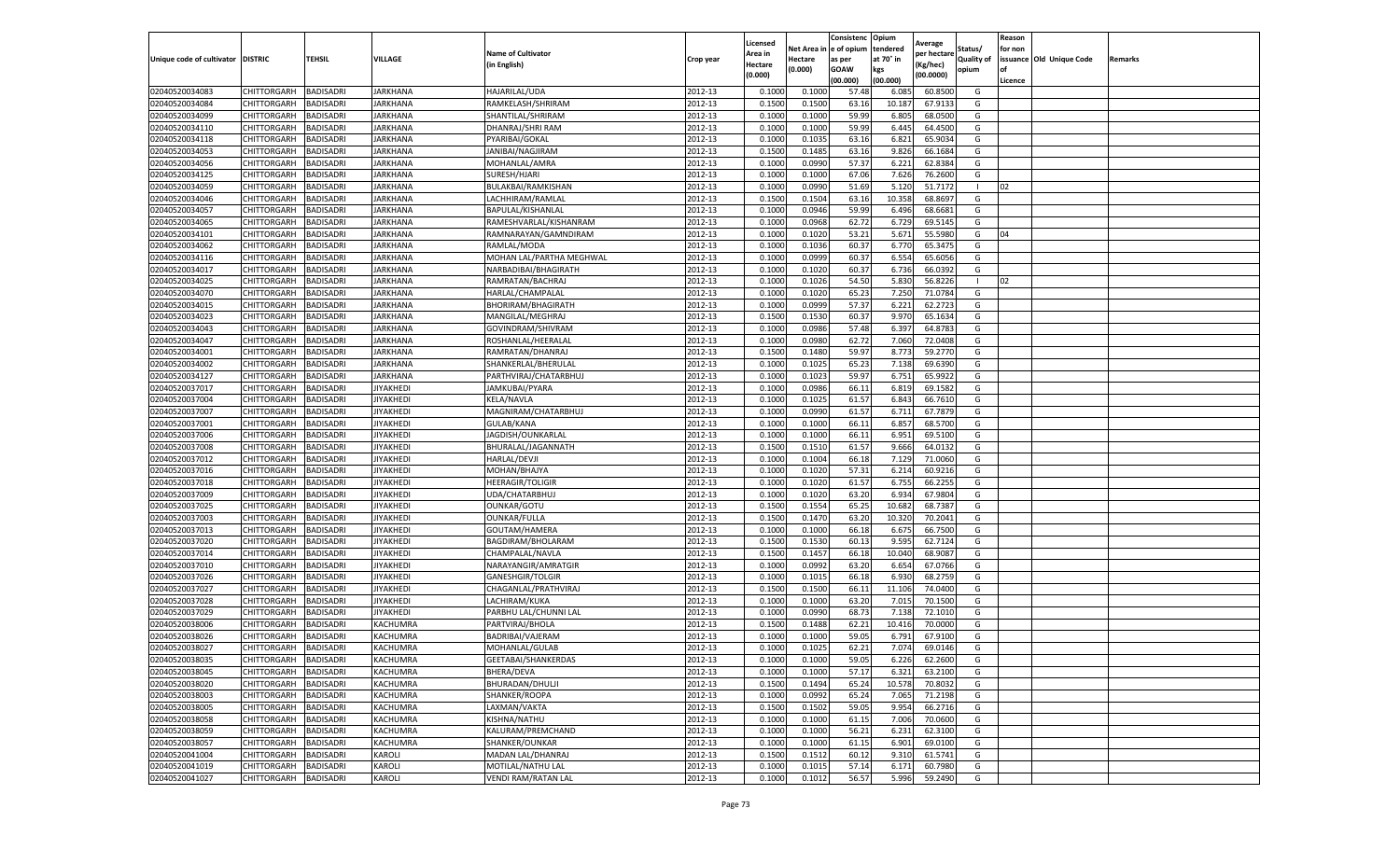|                                  |                            |                  |                  |                                         |           | Licensed |                  | Consistenc             | Opium     |                        |                   | Reason  |                          |                |
|----------------------------------|----------------------------|------------------|------------------|-----------------------------------------|-----------|----------|------------------|------------------------|-----------|------------------------|-------------------|---------|--------------------------|----------------|
|                                  |                            |                  |                  | <b>Name of Cultivator</b>               |           | Area in  |                  | Net Area in e of opium | tendered  | Average<br>per hectare | Status/           | for non |                          |                |
| Unique code of cultivator        | <b>DISTRIC</b>             | TEHSIL           | VILLAGE          | in English)                             | Crop year | Hectare  | Hectare          | as per                 | at 70° in | (Kg/hec                | <b>Quality of</b> |         | issuance Old Unique Code | <b>Remarks</b> |
|                                  |                            |                  |                  |                                         |           | (0.000)  | (0.000)          | <b>GOAW</b>            | kgs       | (00.0000)              | opium             |         |                          |                |
|                                  |                            |                  |                  |                                         |           |          |                  | (00.000)               | (00.000)  |                        |                   | Licence |                          |                |
| 02040520034083                   | CHITTORGARH                | <b>BADISADRI</b> | <b>JARKHANA</b>  | HAJARILAL/UDA                           | 2012-13   | 0.1000   | 0.1000           | 57.48                  | 6.085     | 60.8500                | G                 |         |                          |                |
| 02040520034084                   | CHITTORGARH                | <b>BADISADRI</b> | <b>JARKHANA</b>  | RAMKELASH/SHRIRAM                       | 2012-13   | 0.1500   | 0.1500           | 63.16                  | 10.18     | 67.9133                | G                 |         |                          |                |
| 02040520034099                   | CHITTORGARH                | <b>BADISADRI</b> | JARKHANA         | SHANTILAL/SHRIRAM                       | 2012-13   | 0.1000   | 0.1000           | 59.99                  | 6.805     | 68.0500                | G                 |         |                          |                |
| 02040520034110                   | CHITTORGARH                | <b>BADISADRI</b> | <b>JARKHANA</b>  | DHANRAJ/SHRI RAM                        | 2012-13   | 0.1000   | 0.1000           | 59.99                  | 6.445     | 64.4500                | G                 |         |                          |                |
| 02040520034118                   | CHITTORGARH                | <b>BADISADRI</b> | JARKHANA         | PYARIBAI/GOKAL                          | 2012-13   | 0.1000   | 0.1035           | 63.16                  | 6.821     | 65.9034                | G                 |         |                          |                |
| 02040520034053                   | CHITTORGARH                | <b>BADISADRI</b> | JARKHANA         | JANIBAI/NAGJIRAM                        | 2012-13   | 0.1500   | 0.1485           | 63.16                  | 9.826     | 66.1684                | G                 |         |                          |                |
| 02040520034056                   | CHITTORGARH                | <b>BADISADRI</b> | JARKHANA         | MOHANLAL/AMRA                           | 2012-13   | 0.1000   | 0.0990           | 57.37                  | 6.221     | 62.8384                | G                 |         |                          |                |
| 02040520034125                   | CHITTORGARH                | BADISADRI        | JARKHANA         | SURESH/HJARI                            | 2012-13   | 0.1000   | 0.1000           | 67.06                  | 7.626     | 76.2600                | G                 |         |                          |                |
| 02040520034059                   | CHITTORGARH                | <b>BADISADRI</b> | <b>JARKHANA</b>  | BULAKBAI/RAMKISHAN                      | 2012-13   | 0.1000   | 0.0990           | 51.69                  | 5.120     | 51.7172                | -1                | 02      |                          |                |
| 02040520034046                   | CHITTORGARH                | <b>BADISADRI</b> | JARKHANA         | LACHHIRAM/RAMLAL                        | 2012-13   | 0.1500   | 0.1504           | 63.16                  | 10.358    | 68.8697                | G                 |         |                          |                |
| 02040520034057                   | CHITTORGARH                | <b>BADISADRI</b> | JARKHANA         | BAPULAL/KISHANLAL                       | 2012-13   | 0.1000   | 0.0946           | 59.99                  | 6.496     | 68.6681                | G                 |         |                          |                |
| 02040520034065                   | CHITTORGARH                | <b>BADISADRI</b> | <b>JARKHANA</b>  | RAMESHVARLAL/KISHANRAM                  | 2012-13   | 0.1000   | 0.0968           | 62.72                  | 6.729     | 69.5145                | G                 |         |                          |                |
| 02040520034101                   | CHITTORGARH                | <b>BADISADRI</b> | JARKHANA         | RAMNARAYAN/GAMNDIRAM                    | 2012-13   | 0.1000   | 0.1020           | 53.21                  | 5.671     | 55.5980                | G                 | 04      |                          |                |
| 02040520034062                   | CHITTORGARH                | <b>BADISADRI</b> | JARKHANA         | RAMLAL/MODA                             | 2012-13   | 0.1000   | 0.1036           | 60.37                  | 6.770     | 65.3475                | G                 |         |                          |                |
| 02040520034116                   | CHITTORGARH                | <b>BADISADRI</b> | JARKHANA         | MOHAN LAL/PARTHA MEGHWAL                | 2012-13   | 0.1000   | 0.0999           | 60.37                  | 6.554     | 65.6056                | G                 |         |                          |                |
| 02040520034017                   | CHITTORGARH                | <b>BADISADRI</b> | <b>JARKHANA</b>  | NARBADIBAI/BHAGIRATH                    | 2012-13   | 0.1000   | 0.1020           | 60.37                  | 6.736     | 66.0392                | G                 |         |                          |                |
| 02040520034025                   | CHITTORGARH                | <b>BADISADRI</b> | JARKHANA         | RAMRATAN/BACHRAJ                        | 2012-13   | 0.1000   | 0.1026           | 54.50                  | 5.830     | 56.8226                |                   | 02      |                          |                |
| 02040520034070                   | CHITTORGARH                | <b>BADISADRI</b> | JARKHANA         | HARLAL/CHAMPALAL                        | 2012-13   | 0.1000   | 0.1020           | 65.23                  | 7.250     | 71.0784                | G                 |         |                          |                |
| 02040520034015                   | CHITTORGARH                | <b>BADISADRI</b> | JARKHANA         | BHORIRAM/BHAGIRATH                      | 2012-13   | 0.1000   | 0.0999           | 57.37                  | 6.221     | 62.2723                | G                 |         |                          |                |
| 02040520034023                   | CHITTORGARH                | <b>BADISADRI</b> | JARKHANA         | MANGILAL/MEGHRAJ                        | 2012-13   | 0.1500   | 0.1530           | 60.37                  | 9.97      | 65.1634                | G                 |         |                          |                |
| 02040520034043                   | CHITTORGARH                | <b>BADISADRI</b> | <b>JARKHANA</b>  | GOVINDRAM/SHIVRAM                       | 2012-13   | 0.1000   | 0.0986           | 57.48                  | 6.397     | 64.8783                | G                 |         |                          |                |
| 02040520034047                   | CHITTORGARH                | <b>BADISADRI</b> | JARKHANA         | ROSHANLAL/HEERALAL                      | 2012-13   | 0.1000   | 0.0980           | 62.72                  | 7.060     | 72.0408                | G                 |         |                          |                |
| 02040520034001                   | CHITTORGARH                | <b>BADISADRI</b> | <b>JARKHANA</b>  | RAMRATAN/DHANRAJ                        | 2012-13   | 0.1500   | 0.1480           | 59.97                  | 8.773     | 59.2770                | G                 |         |                          |                |
| 02040520034002                   | CHITTORGARH                | <b>BADISADRI</b> | JARKHANA         | SHANKERLAL/BHERULAL                     | 2012-13   | 0.1000   | 0.1025           | 65.23                  | 7.138     | 69.6390                | G                 |         |                          |                |
| 02040520034127                   | CHITTORGARH                | <b>BADISADRI</b> | JARKHANA         | PARTHVIRAJ/CHATARBHU.                   | 2012-13   | 0.1000   | 0.1023           | 59.97                  | 6.751     | 65.9922                | G                 |         |                          |                |
| 02040520037017                   | CHITTORGARH                | <b>BADISADRI</b> | <b>JIYAKHEDI</b> | JAMKUBAI/PYARA                          | 2012-13   | 0.1000   | 0.0986           | 66.11                  | 6.819     | 69.1582                | G                 |         |                          |                |
| 02040520037004                   | CHITTORGARH                | BADISADRI        | <b>JIYAKHEDI</b> | <b>KELA/NAVLA</b>                       | 2012-13   | 0.1000   | 0.1025           | 61.57                  | 6.843     | 66.7610                | G                 |         |                          |                |
| 02040520037007                   | CHITTORGARH                | <b>BADISADRI</b> | <b>IIYAKHEDI</b> | MAGNIRAM/CHATARBHUJ                     | 2012-13   | 0.1000   | 0.0990           | 61.57                  | 6.711     | 67.7879                | G                 |         |                          |                |
| 02040520037001                   | CHITTORGARH                | <b>BADISADRI</b> | <b>IIYAKHEDI</b> | GULAB/KANA                              | 2012-13   | 0.1000   | 0.1000           | 66.11                  | 6.857     | 68.5700                | G                 |         |                          |                |
| 02040520037006                   | CHITTORGARH                | <b>BADISADRI</b> | <b>JIYAKHEDI</b> | JAGDISH/OUNKARLAI                       | 2012-13   | 0.1000   | 0.1000           | 66.11                  | 6.951     | 69.5100                | G                 |         |                          |                |
| 02040520037008                   | CHITTORGARH                | <b>BADISADRI</b> | <b>IIYAKHEDI</b> | BHURALAL/JAGANNATH                      | 2012-13   | 0.1500   | 0.1510           | 61.57                  | 9.666     | 64.0132                | G                 |         |                          |                |
| 02040520037012                   | CHITTORGARH                | <b>BADISADRI</b> | <b>JIYAKHEDI</b> | HARLAL/DEVJI                            | 2012-13   | 0.1000   | 0.1004           | 66.18                  | 7.129     | 71.0060                | G                 |         |                          |                |
| 02040520037016                   | CHITTORGARH                | <b>BADISADRI</b> | <b>JIYAKHEDI</b> | MOHAN/BHAJYA                            | 2012-13   | 0.1000   | 0.1020           | 57.31                  | 6.214     | 60.9216                | G                 |         |                          |                |
| 02040520037018                   | CHITTORGARH                | <b>BADISADRI</b> | JIYAKHEDI        | <b>HEERAGIR/TOLIGIR</b>                 | 2012-13   | 0.1000   | 0.1020           | 61.57                  | 6.755     | 66.2255                | G                 |         |                          |                |
| 02040520037009                   | CHITTORGARH                | <b>BADISADRI</b> | <b>IIYAKHEDI</b> | UDA/CHATARBHUJ                          | 2012-13   | 0.1000   | 0.1020           | 63.20                  | 6.934     | 67.9804                | G                 |         |                          |                |
| 02040520037025                   | CHITTORGARH                | <b>BADISADRI</b> | <b>IIYAKHEDI</b> | OUNKAR/GOTU                             | 2012-13   | 0.1500   | 0.1554           | 65.25                  | 10.682    | 68.7387                | G                 |         |                          |                |
| 02040520037003                   | CHITTORGARH                | <b>BADISADRI</b> | IIYAKHEDI        | OUNKAR/FULLA                            | 2012-13   | 0.1500   | 0.1470           | 63.20                  | 10.32     | 70.2041                | G                 |         |                          |                |
| 02040520037013                   | CHITTORGARH                | <b>BADISADRI</b> | <b>IYAKHEDI</b>  |                                         | 2012-13   | 0.1000   | 0.1000           | 66.18                  | 6.675     | 66.7500                | G                 |         |                          |                |
|                                  |                            |                  | <b>JIYAKHEDI</b> | GOUTAM/HAMERA                           | 2012-13   | 0.1500   |                  | 60.13                  | 9.595     |                        |                   |         |                          |                |
| 02040520037020                   | CHITTORGARH                | BADISADRI        | <b>JIYAKHEDI</b> | BAGDIRAM/BHOLARAM                       | 2012-13   | 0.1500   | 0.1530<br>0.1457 |                        | 10.040    | 62.7124<br>68.9087     | G<br>G            |         |                          |                |
| 02040520037014                   | CHITTORGARH                | <b>BADISADRI</b> |                  | CHAMPALAL/NAVLA                         |           |          |                  | 66.18                  |           |                        |                   |         |                          |                |
| 02040520037010<br>02040520037026 | CHITTORGARH                | <b>BADISADRI</b> | <b>IYAKHEDI</b>  | NARAYANGIR/AMRATGIR<br>GANESHGIR/TOLGIR | 2012-13   | 0.1000   | 0.0992           | 63.20                  | 6.654     | 67.0766<br>68.2759     | G                 |         |                          |                |
| 02040520037027                   | CHITTORGARH<br>CHITTORGARH | <b>BADISADRI</b> | <b>JIYAKHEDI</b> |                                         | 2012-13   | 0.1000   | 0.1015<br>0.1500 | 66.18                  | 6.930     |                        | G                 |         |                          |                |
|                                  |                            | <b>BADISADRI</b> | <b>IYAKHEDI</b>  | CHAGANLAL/PRATHVIRAJ                    | 2012-13   | 0.1500   |                  | 66.11                  | 11.106    | 74.0400                | G                 |         |                          |                |
| 02040520037028                   | CHITTORGARH                | <b>BADISADRI</b> | JIYAKHEDI        | LACHIRAM/KUKA                           | 2012-13   | 0.1000   | 0.1000           | 63.20                  | 7.015     | 70.1500                | G                 |         |                          |                |
| 02040520037029                   | <b>CHITTORGARH</b>         | <b>BADISADRI</b> | JIYAKHEDI        | PARBHU LAL/CHUNNI LAL                   | 2012-13   | 0.1000   | 0.0990           | 68.73                  | 7.138     | 72.1010                | G                 |         |                          |                |
| 02040520038006                   | CHITTORGARH                | BADISADRI        | KACHUMRA         | PARTVIRAJ/BHOLA                         | 2012-13   | 0.1500   | 0.1488           | 62.21                  | 10.416    | 70.0000                | G                 |         |                          |                |
| 02040520038026                   | CHITTORGARH                | <b>BADISADRI</b> | KACHUMRA         | BADRIBAI/VAJERAM                        | 2012-13   | 0.1000   | 0.1000           | 59.05                  | 6.791     | 67.9100                | G                 |         |                          |                |
| 02040520038027                   | CHITTORGARH                | <b>BADISADRI</b> | KACHUMRA         | MOHANLAL/GULAB                          | 2012-13   | 0.1000   | 0.1025           | 62.21                  | 7.074     | 69.0146                | G                 |         |                          |                |
| 02040520038035                   | CHITTORGARH BADISADRI      |                  | KACHUMRA         | GEETABAI/SHANKERDAS                     | 2012-13   | 0.1000   | 0.1000           | 59.05                  | 6.226     | 62.2600                | G                 |         |                          |                |
| 02040520038045                   | CHITTORGARH                | <b>BADISADRI</b> | KACHUMRA         | BHERA/DEVA                              | 2012-13   | 0.1000   | 0.1000           | 57.17                  | 6.321     | 63.2100                | G                 |         |                          |                |
| 02040520038020                   | <b>CHITTORGARH</b>         | <b>BADISADRI</b> | KACHUMRA         | BHURADAN/DHULJI                         | 2012-13   | 0.1500   | 0.1494           | 65.24                  | 10.578    | 70.8032                | G                 |         |                          |                |
| 02040520038003                   | <b>CHITTORGARH</b>         | <b>BADISADRI</b> | KACHUMRA         | SHANKER/ROOPA                           | 2012-13   | 0.1000   | 0.0992           | 65.24                  | 7.065     | 71.2198                | G                 |         |                          |                |
| 02040520038005                   | CHITTORGARH                | <b>BADISADRI</b> | KACHUMRA         | LAXMAN/VAKTA                            | 2012-13   | 0.1500   | 0.1502           | 59.05                  | 9.954     | 66.2716                | G                 |         |                          |                |
| 02040520038058                   | <b>CHITTORGARH</b>         | <b>BADISADRI</b> | KACHUMRA         | KISHNA/NATHU                            | 2012-13   | 0.1000   | 0.1000           | 61.15                  | 7.006     | 70.0600                | G                 |         |                          |                |
| 02040520038059                   | CHITTORGARH                | <b>BADISADRI</b> | KACHUMRA         | KALURAM/PREMCHAND                       | 2012-13   | 0.1000   | 0.1000           | 56.21                  | 6.231     | 62.3100                | G                 |         |                          |                |
| 02040520038057                   | <b>CHITTORGARH</b>         | <b>BADISADRI</b> | KACHUMRA         | SHANKER/OUNKAR                          | 2012-13   | 0.1000   | 0.1000           | 61.15                  | 6.901     | 69.0100                | G                 |         |                          |                |
| 02040520041004                   | CHITTORGARH                | <b>BADISADRI</b> | KAROLI           | MADAN LAL/DHANRAJ                       | 2012-13   | 0.1500   | 0.1512           | 60.12                  | 9.31      | 61.5741                | G                 |         |                          |                |
| 02040520041019                   | CHITTORGARH                | <b>BADISADRI</b> | KAROLI           | MOTILAL/NATHU LAL                       | 2012-13   | 0.1000   | 0.1015           | 57.14                  | 6.171     | 60.7980                | G                 |         |                          |                |
| 02040520041027                   | <b>CHITTORGARH</b>         | <b>BADISADRI</b> | <b>KAROLI</b>    | <b>VENDI RAM/RATAN LAL</b>              | 2012-13   | 0.1000   | 0.1012           | 56.57                  | 5.996     | 59.2490                | G                 |         |                          |                |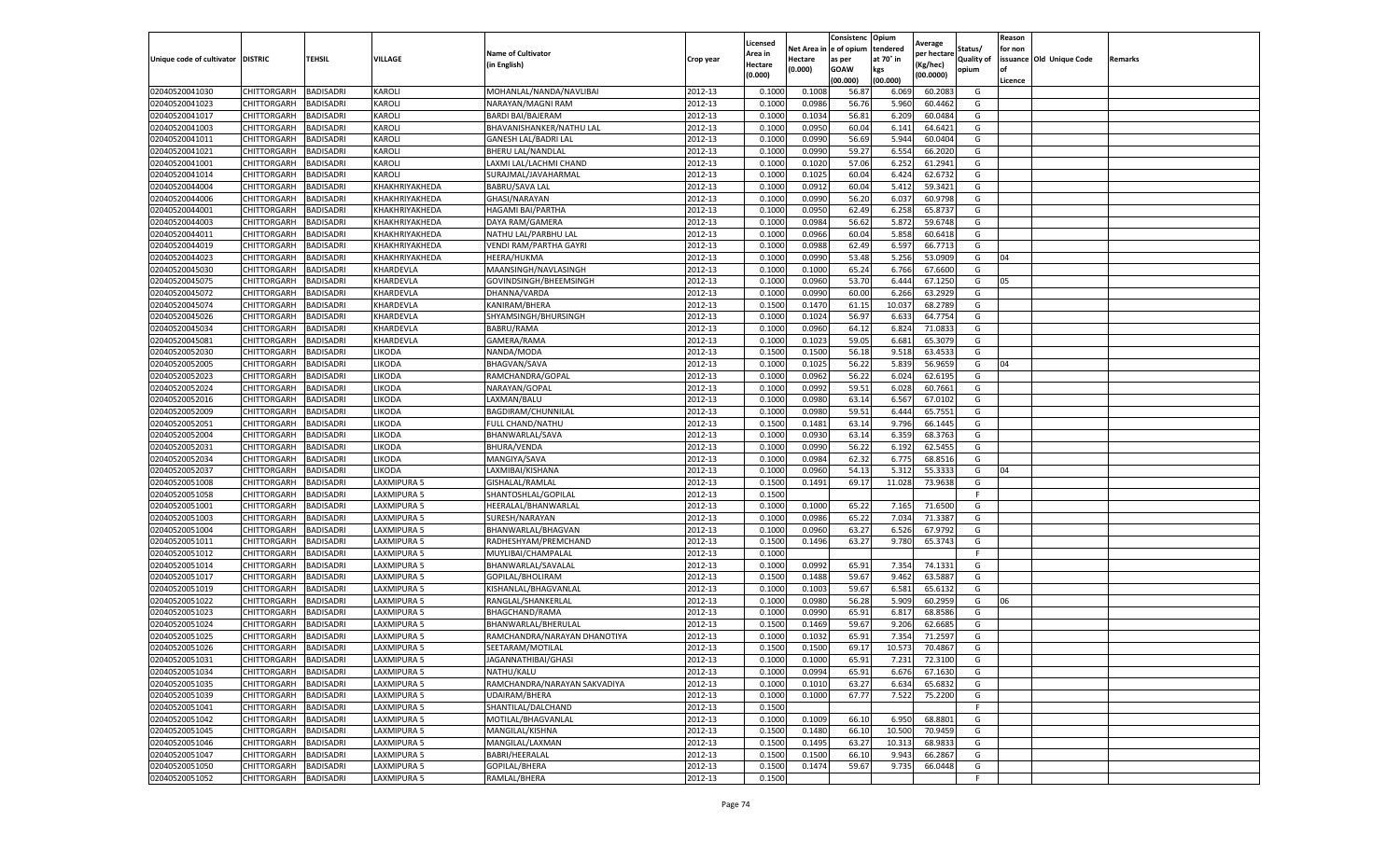|                                  |                            |                        |                            |                                             |                    | Licensed           | Net Area i       | Consistenc<br>e of opium | Opium<br>tendered | Average               | Status/           | Reason<br>for non |                          |         |
|----------------------------------|----------------------------|------------------------|----------------------------|---------------------------------------------|--------------------|--------------------|------------------|--------------------------|-------------------|-----------------------|-------------------|-------------------|--------------------------|---------|
| Unique code of cultivator        | <b>DISTRIC</b>             | <b>TEHSIL</b>          | VILLAGE                    | <b>Name of Cultivator</b>                   | Crop year          | \rea in            | Hectare          | as per                   | at 70° in         | per hectare           | <b>Quality of</b> |                   | issuance Old Unique Code | Remarks |
|                                  |                            |                        |                            | (in English)                                |                    | Hectare<br>(0.000) | 0.000)           | <b>GOAW</b>              | kgs               | (Kg/hec)<br>(00.0000) | opium             | of                |                          |         |
|                                  |                            |                        |                            |                                             |                    |                    |                  | (00.000)                 | (00.000)          |                       |                   | Licence           |                          |         |
| 02040520041030                   | CHITTORGARH                | BADISADRI              | KAROLI                     | MOHANLAL/NANDA/NAVLIBAI                     | 2012-13            | 0.100              | 0.1003           | 56.8                     | 6.069             | 60.2083               | G                 |                   |                          |         |
| 02040520041023                   | CHITTORGARH                | BADISADRI              | KAROLI                     | NARAYAN/MAGNI RAM                           | 2012-13            | 0.1000             | 0.0986           | 56.76                    | 5.960             | 60.4462               | G                 |                   |                          |         |
| 02040520041017                   | CHITTORGARH                | <b>BADISADRI</b>       | KAROLI                     | <b>BARDI BAI/BAJERAM</b>                    | 2012-13            | 0.1000             | 0.1034           | 56.81                    | 6.209             | 60.0484               | G                 |                   |                          |         |
| 02040520041003                   | CHITTORGARH                | BADISADRI              | KAROLI                     | BHAVANISHANKER/NATHU LAL                    | 2012-13            | 0.1000             | 0.0950           | 60.04                    | 6.141             | 64.6421               | G                 |                   |                          |         |
| 02040520041011<br>02040520041021 | CHITTORGARH<br>CHITTORGARH | BADISADRI<br>BADISADRI | KAROLI<br>KAROLI           | <b>GANESH LAL/BADRI LAL</b>                 | 2012-13<br>2012-13 | 0.1000<br>0.1000   | 0.0990<br>0.0990 | 56.69<br>59.27           | 5.944<br>6.554    | 60.0404<br>66.2020    | G<br>G            |                   |                          |         |
| 02040520041001                   | CHITTORGARH                | BADISADRI              | KAROLI                     | BHERU LAL/NANDLAL<br>LAXMI LAL/LACHMI CHAND | 2012-13            | 0.100              | 0.1020           | 57.06                    | 6.252             | 61.2941               | G                 |                   |                          |         |
| 02040520041014                   | CHITTORGARH                | BADISADRI              | KAROLI                     | SURAJMAL/JAVAHARMAL                         | 2012-13            | 0.1000             | 0.1025           | 60.04                    | 6.424             | 62.6732               | G                 |                   |                          |         |
| 02040520044004                   | CHITTORGARH                | BADISADRI              | KHAKHRIYAKHEDA             | BABRU/SAVA LAL                              | 2012-13            | 0.1000             | 0.0912           | 60.04                    | 5.412             | 59.3421               | G                 |                   |                          |         |
| 02040520044006                   | CHITTORGARH                | BADISADRI              | KHAKHRIYAKHEDA             | GHASI/NARAYAN                               | 2012-13            | 0.1000             | 0.0990           | 56.20                    | 6.037             | 60.9798               | G                 |                   |                          |         |
| 02040520044001                   | CHITTORGARH                | BADISADRI              | KHAKHRIYAKHEDA             | HAGAMI BAI/PARTHA                           | 2012-13            | 0.1000             | 0.0950           | 62.49                    | 6.258             | 65.8737               | G                 |                   |                          |         |
| 02040520044003                   | CHITTORGARH                | BADISADRI              | KHAKHRIYAKHEDA             | DAYA RAM/GAMERA                             | 2012-13            | 0.1000             | 0.0984           | 56.62                    | 5.872             | 59.6748               | G                 |                   |                          |         |
| 02040520044011                   | CHITTORGARH                | BADISADRI              | KHAKHRIYAKHEDA             | NATHU LAL/PARBHU LAL                        | 2012-13            | 0.1000             | 0.0966           | 60.04                    | 5.858             | 60.6418               | G                 |                   |                          |         |
| 02040520044019                   | CHITTORGARH                | BADISADRI              | KHAKHRIYAKHEDA             | VENDI RAM/PARTHA GAYRI                      | 2012-13            | 0.1000             | 0.0988           | 62.49                    | 6.597             | 66.7713               | G                 |                   |                          |         |
| 02040520044023                   | CHITTORGARH                | BADISADRI              | KHAKHRIYAKHEDA             | HEERA/HUKMA                                 | 2012-13            | 0.1000             | 0.0990           | 53.48                    | 5.256             | 53.0909               | G                 | 04                |                          |         |
| 02040520045030                   | CHITTORGARH                | <b>BADISADRI</b>       | KHARDEVLA                  | MAANSINGH/NAVLASINGH                        | 2012-13            | 0.1000             | 0.1000           | 65.24                    | 6.766             | 67.6600               | G                 |                   |                          |         |
| 02040520045075                   | CHITTORGARH                | BADISADRI              | KHARDEVLA                  | GOVINDSINGH/BHEEMSINGH                      | 2012-13            | 0.1000             | 0.0960           | 53.70                    | 6.444             | 67.1250               | G                 | 05                |                          |         |
| 02040520045072                   | CHITTORGARH                | BADISADRI              | KHARDEVLA                  | DHANNA/VARDA                                | 2012-13            | 0.1000             | 0.0990           | 60.00                    | 6.266             | 63.2929               | G                 |                   |                          |         |
| 02040520045074                   | CHITTORGARH                | BADISADRI              | KHARDEVLA                  | KANIRAM/BHERA                               | 2012-13            | 0.1500             | 0.1470           | 61.15                    | 10.037            | 68.2789               | G                 |                   |                          |         |
| 02040520045026                   | CHITTORGARH                | BADISADRI              | KHARDEVLA                  | SHYAMSINGH/BHURSINGH                        | 2012-13            | 0.100              | 0.1024           | 56.97                    | 6.633             | 64.7754               | G                 |                   |                          |         |
| 02040520045034                   | CHITTORGARH                | BADISADRI              | KHARDEVLA                  | BABRU/RAMA                                  | 2012-13            | 0.1000             | 0.0960           | 64.12                    | 6.824             | 71.0833               | G                 |                   |                          |         |
| 02040520045081                   | CHITTORGARH                | BADISADRI              | KHARDEVLA                  | GAMERA/RAMA                                 | 2012-13            | 0.1000             | 0.1023           | 59.05                    | 6.681             | 65.3079               | G                 |                   |                          |         |
| 02040520052030                   | CHITTORGARH                | BADISADRI              | LIKODA                     | NANDA/MODA                                  | 2012-13            | 0.1500             | 0.1500           | 56.18                    | 9.518             | 63.4533               | G                 |                   |                          |         |
| 02040520052005                   | CHITTORGARH                | BADISADRI              | LIKODA                     | <b>BHAGVAN/SAVA</b>                         | 2012-13            | 0.1000             | 0.1025           | 56.22                    | 5.839             | 56.9659               | G                 | 04                |                          |         |
| 02040520052023                   | CHITTORGARH                | BADISADRI              | LIKODA                     | RAMCHANDRA/GOPAL                            | 2012-13            | 0.1000             | 0.0962           | 56.22                    | 6.024             | 62.6195               | G                 |                   |                          |         |
| 02040520052024                   | CHITTORGARH                | BADISADRI              | LIKODA                     | NARAYAN/GOPAL                               | 2012-13            | 0.100              | 0.0992           | 59.51                    | 6.028             | 60.7661               | G                 |                   |                          |         |
| 02040520052016                   | CHITTORGARH                | BADISADRI              | LIKODA                     | LAXMAN/BALU                                 | 2012-13            | 0.100              | 0.0980           | 63.14                    | 6.567             | 67.0102               | G                 |                   |                          |         |
| 02040520052009                   | CHITTORGARH                | BADISADRI              | LIKODA                     | BAGDIRAM/CHUNNILAL                          | 2012-13            | 0.1000             | 0.0980           | 59.51                    | 6.444             | 65.7551               | G                 |                   |                          |         |
| 02040520052051                   | CHITTORGARH                | BADISADRI              | LIKODA                     | FULL CHAND/NATHU                            | 2012-13            | 0.1500             | 0.1481           | 63.14                    | 9.796             | 66.1445               | G                 |                   |                          |         |
| 02040520052004                   | CHITTORGARH                | BADISADRI              | LIKODA                     | BHANWARLAL/SAVA                             | 2012-13            | 0.1000             | 0.0930           | 63.14                    | 6.359             | 68.3763               | G                 |                   |                          |         |
| 02040520052031                   | CHITTORGARH                | BADISADRI              | LIKODA                     | BHURA/VENDA                                 | 2012-13            | 0.100              | 0.0990           | 56.22                    | 6.192             | 62.5455               | G                 |                   |                          |         |
| 02040520052034                   | CHITTORGARH                | BADISADRI              | LIKODA                     | MANGIYA/SAVA                                | 2012-13            | 0.100              | 0.0984           | 62.3                     | 6.775             | 68.8516               | G                 |                   |                          |         |
| 02040520052037                   | CHITTORGARH                | BADISADRI              | LIKODA                     | LAXMIBAI/KISHANA                            | 2012-13            | 0.1000             | 0.0960           | 54.13                    | 5.312             | 55.3333               | G                 | 04                |                          |         |
| 02040520051008                   | CHITTORGARH                | BADISADRI              | LAXMIPURA 5                | GISHALAL/RAMLAL                             | 2012-13            | 0.1500             | 0.1491           | 69.17                    | 11.028            | 73.9638               | G                 |                   |                          |         |
| 02040520051058                   | CHITTORGARH                | BADISADRI              | LAXMIPURA 5                | SHANTOSHLAL/GOPILAL                         | 2012-13            | 0.1500             |                  |                          |                   |                       | F                 |                   |                          |         |
| 02040520051001                   | CHITTORGARH                | BADISADRI              | LAXMIPURA 5                | HEERALAL/BHANWARLAL                         | 2012-13            | 0.1000             | 0.1000           | 65.22                    | 7.165             | 71.6500               | G                 |                   |                          |         |
| 02040520051003                   | CHITTORGARH                | BADISADRI              | LAXMIPURA 5                | SURESH/NARAYAN                              | 2012-13            | 0.1000             | 0.0986           | 65.22                    | 7.034             | 71.3387               | G                 |                   |                          |         |
| 02040520051004                   | CHITTORGARH                | BADISADRI              | LAXMIPURA 5                | BHANWARLAL/BHAGVAN                          | 2012-13            | 0.1000             | 0.0960           | 63.27                    | 6.526             | 67.9792               | G                 |                   |                          |         |
| 02040520051011                   | CHITTORGARH                | BADISADRI              | LAXMIPURA 5                | RADHESHYAM/PREMCHAND                        | 2012-13            | 0.1500             | 0.1496           | 63.27                    | 9.780             | 65.3743               | G                 |                   |                          |         |
| 02040520051012                   | CHITTORGARH<br>CHITTORGARH | BADISADRI<br>BADISADRI | LAXMIPURA 5<br>LAXMIPURA 5 | MUYLIBAI/CHAMPALAL                          | 2012-13            | 0.1000<br>0.1000   |                  |                          |                   | 74.1331               | F.                |                   |                          |         |
| 02040520051014<br>02040520051017 | CHITTORGARH                | BADISADRI              | LAXMIPURA 5                | BHANWARLAL/SAVALAL<br>GOPILAL/BHOLIRAM      | 2012-13<br>2012-13 | 0.1500             | 0.0992<br>0.1488 | 65.91<br>59.67           | 7.354<br>9.462    | 63.5887               | G<br>G            |                   |                          |         |
| 02040520051019                   | CHITTORGARH                | BADISADRI              | LAXMIPURA 5                | KISHANLAL/BHAGVANLAL                        | 2012-13            | 0.1000             | 0.1003           | 59.67                    | 6.581             | 65.6132               | G                 |                   |                          |         |
| 02040520051022                   | CHITTORGARH                | BADISADRI              | LAXMIPURA 5                | RANGLAL/SHANKERLAL                          | 2012-13            | 0.1000             | 0.0980           | 56.28                    | 5.909             | 60.2959               | G                 | 06                |                          |         |
| 02040520051023                   | CHITTORGARH                | BADISADRI              | LAXMIPURA 5                | BHAGCHAND/RAMA                              | 2012-13            | 0.100              | 0.0990           | 65.91                    | 6.817             | 68.8586               | G                 |                   |                          |         |
| 02040520051024                   | CHITTORGARH                | BADISADRI              | LAXMIPURA 5                | BHANWARLAL/BHERULAL                         | 2012-13            | 0.1500             | 0.1469           | 59.67                    | 9.206             | 62.6685               | G                 |                   |                          |         |
| 02040520051025                   | CHITTORGARH                | BADISADRI              | LAXMIPURA 5                | RAMCHANDRA/NARAYAN DHANOTIYA                | 2012-13            | 0.1000             | 0.1032           | 65.91                    | 7.354             | 71.2597               | G                 |                   |                          |         |
| 02040520051026                   | CHITTORGARH                | <b>BADISADRI</b>       | LAXMIPURA 5                | SEETARAM/MOTILAL                            | 2012-13            | 0.1500             | 0.1500           | 69.17                    | 10.573            | 70.4867               | G                 |                   |                          |         |
| 02040520051031                   | CHITTORGARH                | <b>BADISADRI</b>       | LAXMIPURA 5                | JAGANNATHIBAI/GHASI                         | 2012-13            | 0.1000             | 0.1000           | 65.91                    | 7.231             | 72.3100               | G                 |                   |                          |         |
| 02040520051034                   | CHITTORGARH                | <b>BADISADRI</b>       | LAXMIPURA 5                | NATHU/KALU                                  | 2012-13            | 0.1000             | 0.0994           | 65.91                    | 6.676             | 67.1630               | G                 |                   |                          |         |
| 02040520051035                   | CHITTORGARH                | BADISADRI              | LAXMIPURA 5                | RAMCHANDRA/NARAYAN SAKVADIYA                | 2012-13            | 0.1000             | 0.1010           | 63.27                    | 6.634             | 65.6832               | G                 |                   |                          |         |
| 02040520051039                   | CHITTORGARH                | <b>BADISADRI</b>       | LAXMIPURA 5                | UDAIRAM/BHERA                               | 2012-13            | 0.1000             | 0.1000           | 67.77                    | 7.522             | 75.2200               | G                 |                   |                          |         |
| 02040520051041                   | CHITTORGARH                | <b>BADISADRI</b>       | LAXMIPURA 5                | SHANTILAL/DALCHAND                          | 2012-13            | 0.1500             |                  |                          |                   |                       | F.                |                   |                          |         |
| 02040520051042                   | CHITTORGARH                | BADISADRI              | LAXMIPURA 5                | MOTILAL/BHAGVANLAL                          | 2012-13            | 0.1000             | 0.1009           | 66.10                    | 6.950             | 68.8801               | G                 |                   |                          |         |
| 02040520051045                   | CHITTORGARH                | BADISADRI              | LAXMIPURA 5                | MANGILAL/KISHNA                             | 2012-13            | 0.1500             | 0.1480           | 66.10                    | 10.500            | 70.9459               | G                 |                   |                          |         |
| 02040520051046                   | CHITTORGARH                | BADISADRI              | LAXMIPURA 5                | MANGILAL/LAXMAN                             | 2012-13            | 0.1500             | 0.1495           | 63.27                    | 10.313            | 68.9833               | G                 |                   |                          |         |
| 02040520051047                   | CHITTORGARH                | BADISADRI              | LAXMIPURA 5                | BABRI/HEERALAL                              | 2012-13            | 0.1500             | 0.1500           | 66.10                    | 9.943             | 66.2867               | G                 |                   |                          |         |
| 02040520051050                   | CHITTORGARH                | BADISADRI              | LAXMIPURA 5                | GOPILAL/BHERA                               | 2012-13            | 0.1500             | 0.1474           | 59.67                    | 9.735             | 66.0448               | G                 |                   |                          |         |
| 02040520051052                   | CHITTORGARH                | <b>BADISADRI</b>       | LAXMIPURA 5                | RAMLAL/BHERA                                | 2012-13            | 0.1500             |                  |                          |                   |                       | F.                |                   |                          |         |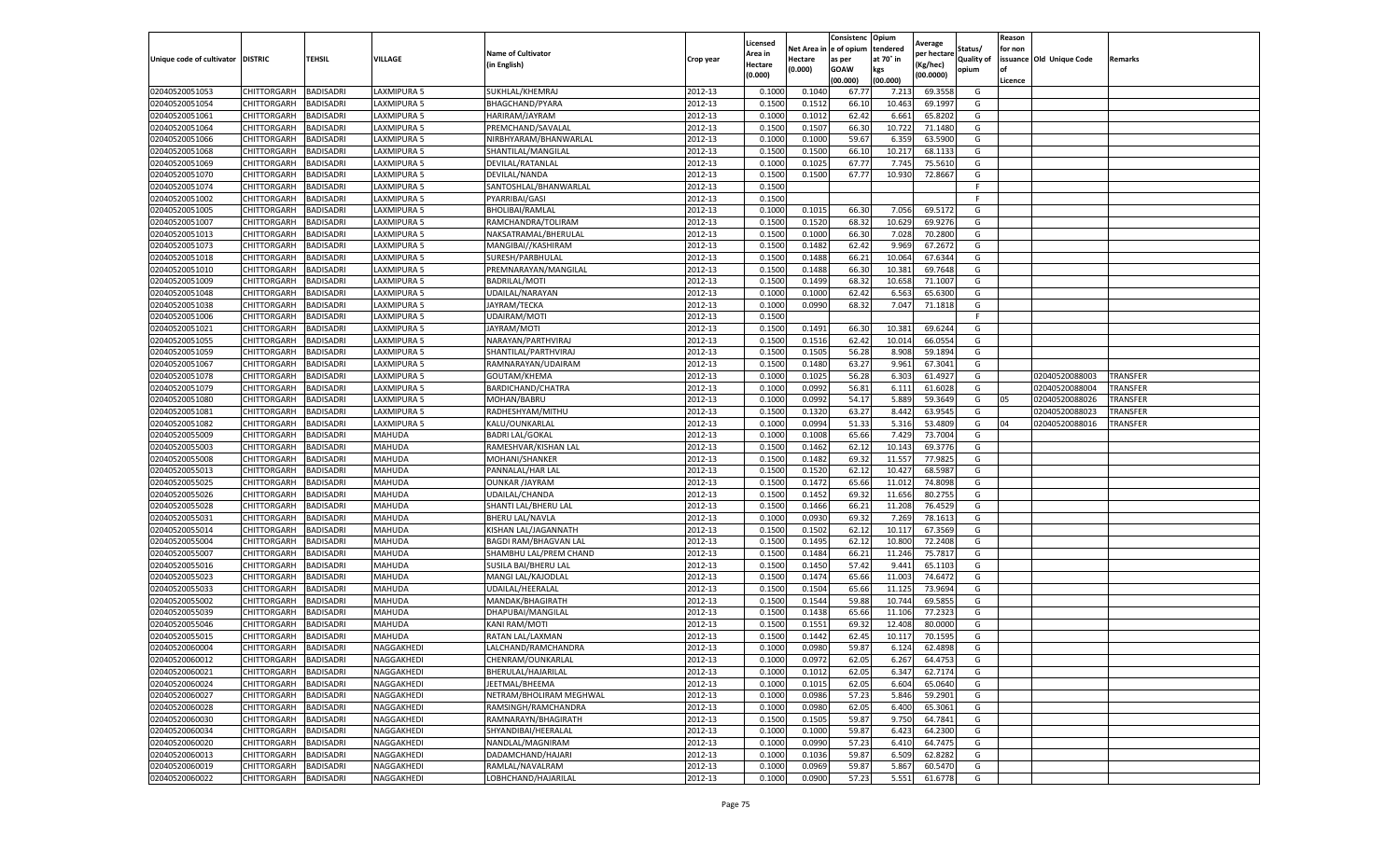|                                   |                    |                  |             |                              |           | Licensed |         | Consistenc             | Opium     |                        |                   | Reason  |                          |                 |
|-----------------------------------|--------------------|------------------|-------------|------------------------------|-----------|----------|---------|------------------------|-----------|------------------------|-------------------|---------|--------------------------|-----------------|
|                                   |                    |                  |             | <b>Name of Cultivator</b>    |           | Area in  |         | Net Area in e of opium | tendered  | Average<br>per hectare | Status/           | for non |                          |                 |
| Unique code of cultivator DISTRIC |                    | TEHSIL           | VILLAGE     | in English)                  | Crop year | Hectare  | Hectare | as per                 | at 70° in | (Kg/hec                | <b>Quality of</b> |         | issuance Old Unique Code | <b>Remarks</b>  |
|                                   |                    |                  |             |                              |           | (0.000)  | (0.000) | <b>GOAW</b>            | kgs       | (00.0000)              | opium             |         |                          |                 |
|                                   |                    |                  |             |                              |           |          |         | (00.000)               | (00.000)  |                        |                   | Licence |                          |                 |
| 02040520051053                    | CHITTORGARH        | <b>BADISADRI</b> | LAXMIPURA 5 | SUKHLAL/KHEMRAJ              | 2012-13   | 0.1000   | 0.1040  | 67.77                  | 7.213     | 69.3558                | G                 |         |                          |                 |
| 02040520051054                    | CHITTORGARH        | <b>BADISADRI</b> | LAXMIPURA 5 | <b>BHAGCHAND/PYARA</b>       | 2012-13   | 0.1500   | 0.1512  | 66.10                  | 10.463    | 69.1997                | G                 |         |                          |                 |
| 02040520051061                    | CHITTORGARH        | <b>BADISADRI</b> | LAXMIPURA 5 | HARIRAM/JAYRAM               | 2012-13   | 0.1000   | 0.1012  | 62.42                  | 6.661     | 65.8202                | G                 |         |                          |                 |
| 02040520051064                    | CHITTORGARH        | <b>BADISADRI</b> | LAXMIPURA 5 | PREMCHAND/SAVALAL            | 2012-13   | 0.1500   | 0.1507  | 66.30                  | 10.722    | 71.1480                | G                 |         |                          |                 |
| 02040520051066                    | CHITTORGARH        | <b>BADISADRI</b> | LAXMIPURA 5 | NIRBHYARAM/BHANWARLAL        | 2012-13   | 0.1000   | 0.1000  | 59.67                  | 6.359     | 63.5900                | G                 |         |                          |                 |
| 02040520051068                    | CHITTORGARH        | <b>BADISADRI</b> | LAXMIPURA 5 | SHANTILAL/MANGILAI           | 2012-13   | 0.1500   | 0.1500  | 66.10                  | 10.21     | 68.1133                | G                 |         |                          |                 |
| 02040520051069                    | CHITTORGARH        | <b>BADISADRI</b> | LAXMIPURA 5 | DEVILAL/RATANLAL             | 2012-13   | 0.1000   | 0.1025  | 67.77                  | 7.745     | 75.5610                | G                 |         |                          |                 |
| 02040520051070                    | CHITTORGARH        | BADISADRI        | LAXMIPURA 5 | DEVILAL/NANDA                | 2012-13   | 0.1500   | 0.1500  | 67.77                  | 10.93     | 72.8667                | G                 |         |                          |                 |
| 02040520051074                    | CHITTORGARH        | <b>BADISADRI</b> | LAXMIPURA 5 | SANTOSHLAL/BHANWARLAL        | 2012-13   | 0.1500   |         |                        |           |                        | F                 |         |                          |                 |
| 02040520051002                    | CHITTORGARH        | <b>BADISADRI</b> | LAXMIPURA 5 | PYARRIBAI/GASI               | 2012-13   | 0.1500   |         |                        |           |                        | F.                |         |                          |                 |
| 02040520051005                    | CHITTORGARH        | <b>BADISADRI</b> | LAXMIPURA 5 | <b>BHOLIBAI/RAMLAL</b>       | 2012-13   | 0.1000   | 0.1015  | 66.30                  | 7.056     | 69.5172                | G                 |         |                          |                 |
| 02040520051007                    | CHITTORGARH        | <b>BADISADRI</b> | LAXMIPURA 5 | RAMCHANDRA/TOLIRAM           | 2012-13   | 0.1500   | 0.1520  | 68.32                  | 10.629    | 69.9276                | G                 |         |                          |                 |
| 02040520051013                    | CHITTORGARH        | <b>BADISADRI</b> | LAXMIPURA 5 | NAKSATRAMAL/BHERULAL         | 2012-13   | 0.1500   | 0.1000  | 66.30                  | 7.028     | 70.2800                | G                 |         |                          |                 |
| 02040520051073                    | CHITTORGARH        | <b>BADISADRI</b> | LAXMIPURA 5 | MANGIBAI//KASHIRAM           | 2012-13   | 0.1500   | 0.1482  | 62.42                  | 9.969     | 67.2672                | G                 |         |                          |                 |
| 02040520051018                    | CHITTORGARH        | <b>BADISADRI</b> | LAXMIPURA 5 | SURESH/PARBHULAL             | 2012-13   | 0.1500   | 0.1488  | 66.21                  | 10.064    | 67.6344                | G                 |         |                          |                 |
| 02040520051010                    | CHITTORGARH        | <b>BADISADRI</b> | LAXMIPURA 5 | PREMNARAYAN/MANGILAL         | 2012-13   | 0.1500   | 0.1488  | 66.30                  | 10.381    | 69.7648                | G                 |         |                          |                 |
| 02040520051009                    | CHITTORGARH        | <b>BADISADRI</b> | LAXMIPURA 5 | BADRILAL/MOTI                | 2012-13   | 0.1500   | 0.1499  | 68.32                  | 10.65     | 71.1007                | G                 |         |                          |                 |
| 02040520051048                    | CHITTORGARH        | <b>BADISADRI</b> | LAXMIPURA 5 | UDAILAL/NARAYAN              | 2012-13   | 0.1000   | 0.1000  | 62.42                  | 6.563     | 65.6300                | G                 |         |                          |                 |
| 02040520051038                    | CHITTORGARH        | <b>BADISADRI</b> | AXMIPURA 5  | JAYRAM/TECKA                 | 2012-13   | 0.1000   | 0.0990  | 68.32                  | 7.047     | 71.1818                | G                 |         |                          |                 |
| 02040520051006                    | CHITTORGARH        | <b>BADISADRI</b> | LAXMIPURA 5 | UDAIRAM/MOTI                 | 2012-13   | 0.1500   |         |                        |           |                        | F.                |         |                          |                 |
| 02040520051021                    | CHITTORGARH        | <b>BADISADRI</b> | LAXMIPURA 5 | JAYRAM/MOTI                  | 2012-13   | 0.1500   | 0.1491  | 66.30                  | 10.381    | 69.6244                | G                 |         |                          |                 |
| 02040520051055                    | CHITTORGARH        | <b>BADISADRI</b> | LAXMIPURA 5 | NARAYAN/PARTHVIRAJ           | 2012-13   | 0.1500   | 0.1516  | 62.42                  | 10.014    | 66.0554                | G                 |         |                          |                 |
| 02040520051059                    | CHITTORGARH        | <b>BADISADRI</b> | LAXMIPURA 5 | SHANTILAL/PARTHVIRAJ         | 2012-13   | 0.1500   | 0.1505  | 56.28                  | 8.908     | 59.1894                | G                 |         |                          |                 |
| 02040520051067                    | CHITTORGARH        | <b>BADISADRI</b> | LAXMIPURA 5 | RAMNARAYAN/UDAIRAM           | 2012-13   | 0.1500   | 0.1480  | 63.27                  | 9.961     | 67.3041                | G                 |         |                          |                 |
| 02040520051078                    | CHITTORGARH        | <b>BADISADRI</b> | LAXMIPURA 5 | GOUTAM/KHEMA                 | 2012-13   | 0.1000   | 0.1025  | 56.28                  | 6.303     | 61.4927                | G                 |         | 02040520088003           | TRANSFER        |
| 02040520051079                    | <b>CHITTORGARH</b> | <b>BADISADRI</b> | LAXMIPURA 5 | BARDICHAND/CHATRA            | 2012-13   | 0.1000   | 0.0992  | 56.81                  | 6.111     | 61.6028                | G                 |         | 02040520088004           | <b>TRANSFER</b> |
| 02040520051080                    | CHITTORGARH        | <b>BADISADRI</b> | LAXMIPURA 5 | MOHAN/BABRU                  | 2012-13   | 0.1000   | 0.0992  | 54.17                  | 5.889     | 59.3649                | G                 | 05      | 02040520088026           | TRANSFER        |
| 02040520051081                    | CHITTORGARH        | <b>BADISADRI</b> | LAXMIPURA 5 | RADHESHYAM/MITHU             | 2012-13   | 0.1500   | 0.1320  | 63.27                  | 8.442     | 63.9545                | G                 |         | 02040520088023           | TRANSFER        |
| 02040520051082                    | CHITTORGARH        | <b>BADISADRI</b> | LAXMIPURA 5 | KALU/OUNKARLAL               | 2012-13   | 0.1000   | 0.0994  | 51.33                  | 5.316     | 53.4809                | G                 | 04      | 02040520088016           | <b>TRANSFER</b> |
| 02040520055009                    | CHITTORGARH        | <b>BADISADRI</b> | MAHUDA      | <b>BADRI LAL/GOKAL</b>       | 2012-13   | 0.1000   | 0.1008  | 65.66                  | 7.429     | 73.7004                | G                 |         |                          |                 |
| 02040520055003                    | CHITTORGARH        | <b>BADISADRI</b> | MAHUDA      | RAMESHVAR/KISHAN LAL         | 2012-13   | 0.1500   | 0.1462  | 62.12                  | 10.14     | 69.3776                | G                 |         |                          |                 |
| 02040520055008                    | CHITTORGARH        | <b>BADISADRI</b> | MAHUDA      | MOHANI/SHANKER               | 2012-13   | 0.1500   | 0.1482  | 69.32                  | 11.557    | 77.9825                | G                 |         |                          |                 |
| 02040520055013                    | CHITTORGARH        | <b>BADISADRI</b> | MAHUDA      | PANNALAL/HAR LAL             | 2012-13   | 0.1500   | 0.1520  | 62.12                  | 10.427    | 68.598                 | G                 |         |                          |                 |
| 02040520055025                    | CHITTORGARH        | <b>BADISADRI</b> | MAHUDA      | <b>OUNKAR /JAYRAM</b>        | 2012-13   | 0.1500   | 0.1472  | 65.66                  | 11.012    | 74.8098                | G                 |         |                          |                 |
| 02040520055026                    | CHITTORGARH        | <b>BADISADRI</b> | MAHUDA      | UDAILAL/CHANDA               | 2012-13   | 0.1500   | 0.1452  | 69.32                  | 11.656    | 80.2755                | G                 |         |                          |                 |
| 02040520055028                    | CHITTORGARH        | <b>BADISADRI</b> | MAHUDA      | SHANTI LAL/BHERU LAL         | 2012-13   | 0.1500   | 0.1466  | 66.21                  | 11.208    | 76.4529                | G                 |         |                          |                 |
| 02040520055031                    | CHITTORGARH        | <b>BADISADRI</b> | MAHUDA      | BHERU LAL/NAVLA              | 2012-13   | 0.1000   | 0.0930  | 69.32                  | 7.269     | 78.1613                | G                 |         |                          |                 |
| 02040520055014                    | CHITTORGARH        | <b>BADISADRI</b> | MAHUDA      | KISHAN LAL/JAGANNATH         | 2012-13   | 0.1500   | 0.1502  | 62.12                  | 10.11     | 67.3569                | G                 |         |                          |                 |
| 02040520055004                    | CHITTORGARH        | BADISADRI        | MAHUDA      | <b>BAGDI RAM/BHAGVAN LAI</b> | 2012-13   | 0.1500   | 0.1495  | 62.12                  | 10.800    | 72.2408                | G                 |         |                          |                 |
| 02040520055007                    | CHITTORGARH        | <b>BADISADRI</b> | MAHUDA      | SHAMBHU LAL/PREM CHAND       | 2012-13   | 0.1500   | 0.1484  | 66.21                  | 11.246    | 75.7817                | G                 |         |                          |                 |
| 02040520055016                    | CHITTORGARH        | <b>BADISADRI</b> | MAHUDA      | SUSILA BAI/BHERU LAL         | 2012-13   | 0.1500   | 0.1450  | 57.42                  | 9.441     | 65.1103                | G                 |         |                          |                 |
| 02040520055023                    | CHITTORGARH        | <b>BADISADRI</b> | MAHUDA      | MANGI LAL/KAJODLAL           | 2012-13   | 0.1500   | 0.1474  | 65.66                  | 11.003    | 74.6472                | G                 |         |                          |                 |
| 02040520055033                    | CHITTORGARH        | <b>BADISADRI</b> | MAHUDA      | UDAILAL/HEERALAL             | 2012-13   | 0.1500   | 0.1504  | 65.66                  | 11.125    | 73.9694                | G                 |         |                          |                 |
| 02040520055002                    | CHITTORGARH        | <b>BADISADRI</b> | MAHUDA      | MANDAK/BHAGIRATH             | 2012-13   | 0.1500   | 0.1544  | 59.88                  | 10.74     | 69.5855                | G                 |         |                          |                 |
| 02040520055039                    | <b>CHITTORGARH</b> | <b>BADISADRI</b> | MAHUDA      | DHAPUBAI/MANGILAL            | 2012-13   | 0.1500   | 0.1438  | 65.66                  | 11.106    | 77.2323                | G                 |         |                          |                 |
| 02040520055046                    | CHITTORGARH        | BADISADRI        | MAHUDA      | KANI RAM/MOTI                | 2012-13   | 0.1500   | 0.1551  | 69.32                  | 12.40     | 80.0000                | G                 |         |                          |                 |
| 02040520055015                    | CHITTORGARH        | <b>BADISADRI</b> | MAHUDA      | RATAN LAL/LAXMAN             | 2012-13   | 0.1500   | 0.1442  | 62.45                  | 10.11     | 70.1595                | G                 |         |                          |                 |
| 02040520060004                    | CHITTORGARH        | <b>BADISADRI</b> | NAGGAKHEDI  | LALCHAND/RAMCHANDRA          | 2012-13   | 0.1000   | 0.0980  | 59.87                  | 6.124     | 62.4898                | G                 |         |                          |                 |
| 02040520060012                    | CHITTORGARH        | <b>BADISADRI</b> | NAGGAKHEDI  | CHENRAM/OUNKARLAL            | 2012-13   | 0.1000   | 0.0972  | 62.05                  | 6.267     | 64.4753                | G                 |         |                          |                 |
| 02040520060021                    | CHITTORGARH        | <b>BADISADRI</b> | NAGGAKHEDI  | BHERULAL/HAJARILAL           | 2012-13   | 0.1000   | 0.1012  | 62.05                  | 6.347     | 62.7174                | G                 |         |                          |                 |
| 02040520060024                    | <b>CHITTORGARH</b> | <b>BADISADRI</b> | NAGGAKHEDI  | JEETMAL/BHEEMA               | 2012-13   | 0.1000   | 0.1015  | 62.05                  | 6.604     | 65.0640                | G                 |         |                          |                 |
| 02040520060027                    | <b>CHITTORGARH</b> | <b>BADISADRI</b> | NAGGAKHEDI  | NETRAM/BHOLIRAM MEGHWAL      | 2012-13   | 0.1000   | 0.0986  | 57.23                  | 5.846     | 59.2901                | G                 |         |                          |                 |
| 02040520060028                    | CHITTORGARH        | <b>BADISADRI</b> | NAGGAKHEDI  | RAMSINGH/RAMCHANDRA          | 2012-13   | 0.1000   | 0.0980  | 62.05                  | 6.400     | 65.3061                | G                 |         |                          |                 |
| 02040520060030                    | <b>CHITTORGARH</b> | <b>BADISADRI</b> | NAGGAKHEDI  | RAMNARAYN/BHAGIRATH          | 2012-13   | 0.1500   | 0.1505  | 59.87                  | 9.750     | 64.7841                | G                 |         |                          |                 |
| 02040520060034                    | CHITTORGARH        | <b>BADISADRI</b> | NAGGAKHEDI  | SHYANDIBAI/HEERALAL          | 2012-13   | 0.1000   | 0.1000  | 59.87                  | 6.423     | 64.2300                | G                 |         |                          |                 |
| 02040520060020                    | CHITTORGARH        | <b>BADISADRI</b> | NAGGAKHEDI  | NANDLAL/MAGNIRAM             | 2012-13   | 0.1000   | 0.0990  | 57.23                  | 6.41      | 64.7475                | G                 |         |                          |                 |
| 02040520060013                    | CHITTORGARH        | <b>BADISADRI</b> | NAGGAKHEDI  | DADAMCHAND/HAJARI            | 2012-13   | 0.1000   | 0.1036  | 59.87                  | 6.509     | 62.8282                | G                 |         |                          |                 |
| 02040520060019                    | CHITTORGARH        | <b>BADISADRI</b> | NAGGAKHEDI  | RAMLAL/NAVALRAM              | 2012-13   | 0.1000   | 0.0969  | 59.87                  | 5.867     | 60.5470                | G                 |         |                          |                 |
| 02040520060022                    | <b>CHITTORGARH</b> | <b>BADISADRI</b> | NAGGAKHEDI  | LOBHCHAND/HAJARILAL          | 2012-13   | 0.1000   | 0.0900  | 57.23                  | 5.551     | 61.6778                | G                 |         |                          |                 |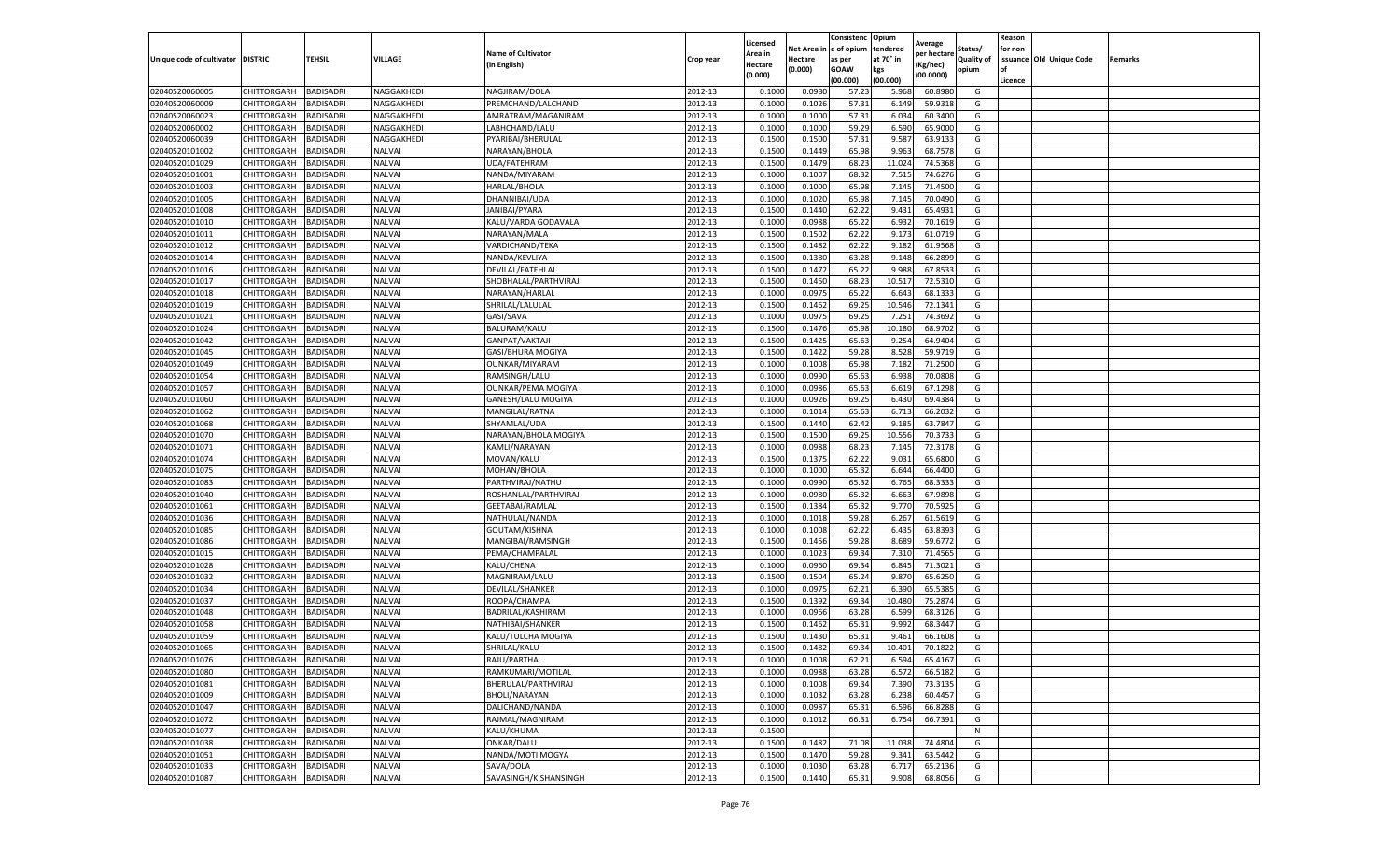|                                   |             |                  |               |                           |           | Licensed |            | Consistenc  | Opium     | Average     |                   | Reason  |                          |         |
|-----------------------------------|-------------|------------------|---------------|---------------------------|-----------|----------|------------|-------------|-----------|-------------|-------------------|---------|--------------------------|---------|
|                                   |             |                  |               | <b>Name of Cultivator</b> |           | Area in  | Net Area i | e of opium  | tendered  | per hectare | Status/           | for non |                          |         |
| Unique code of cultivator DISTRIC |             | TEHSIL           | VILLAGE       | (in English)              | Crop year | Hectare  | Hectare    | as per      | at 70° in | (Kg/hec)    | <b>Quality of</b> |         | issuance Old Unique Code | Remarks |
|                                   |             |                  |               |                           |           | (0.000)  | (0.000)    | <b>GOAW</b> | kgs       | (00.0000)   | opium             |         |                          |         |
|                                   |             |                  |               |                           |           |          |            | (00.000     | (00.000)  |             |                   | Licence |                          |         |
| 02040520060005                    | CHITTORGARH | BADISADRI        | NAGGAKHEDI    | NAGJIRAM/DOLA             | 2012-13   | 0.1000   | 0.0980     | 57.23       | 5.968     | 60.8980     | G                 |         |                          |         |
| 02040520060009                    | CHITTORGARH | BADISADRI        | NAGGAKHEDI    | PREMCHAND/LALCHAND        | 2012-13   | 0.100    | 0.1026     | 57.31       | 6.149     | 59.9318     | G                 |         |                          |         |
| 02040520060023                    | CHITTORGARH | BADISADRI        | NAGGAKHEDI    | AMRATRAM/MAGANIRAM        | 2012-13   | 0.1000   | 0.1000     | 57.31       | 6.034     | 60.3400     | G                 |         |                          |         |
| 02040520060002                    | CHITTORGARH | BADISADRI        | NAGGAKHEDI    | LABHCHAND/LALU            | 2012-13   | 0.1000   | 0.1000     | 59.29       | 6.590     | 65.9000     | G                 |         |                          |         |
| 02040520060039                    | CHITTORGARH | BADISADRI        | NAGGAKHEDI    | PYARIBAI/BHERULAL         | 2012-13   | 0.1500   | 0.1500     | 57.31       | 9.587     | 63.9133     | G                 |         |                          |         |
| 02040520101002                    | CHITTORGARH | BADISADRI        | NALVAI        | NARAYAN/BHOLA             | 2012-13   | 0.1500   | 0.1449     | 65.98       | 9.963     | 68.7578     | G                 |         |                          |         |
| 02040520101029                    | CHITTORGARH | BADISADRI        | <b>NALVAI</b> | UDA/FATEHRAM              | 2012-13   | 0.1500   | 0.1479     | 68.23       | 11.024    | 74.5368     | G                 |         |                          |         |
| 02040520101001                    | CHITTORGARH | BADISADRI        | <b>NALVAI</b> | NANDA/MIYARAM             | 2012-13   | 0.100    | 0.1007     | 68.3        | 7.515     | 74.6276     | G                 |         |                          |         |
| 02040520101003                    | CHITTORGARH | BADISADRI        | <b>NALVAI</b> | HARLAL/BHOLA              | 2012-13   | 0.1000   | 0.1000     | 65.98       | 7.145     | 71.4500     | G                 |         |                          |         |
| 02040520101005                    | CHITTORGARH | <b>BADISADRI</b> | NALVAI        | DHANNIBAI/UDA             | 2012-13   | 0.1000   | 0.1020     | 65.98       | 7.145     | 70.0490     | G                 |         |                          |         |
| 02040520101008                    | CHITTORGARH | BADISADRI        | <b>NALVAI</b> | JANIBAI/PYARA             | 2012-13   | 0.1500   | 0.1440     | 62.22       | 9.431     | 65.4931     | G                 |         |                          |         |
| 02040520101010                    | CHITTORGARH | BADISADRI        | <b>NALVAI</b> | KALU/VARDA GODAVALA       | 2012-13   | 0.1000   | 0.0988     | 65.22       | 6.932     | 70.1619     | G                 |         |                          |         |
| 02040520101011                    | CHITTORGARH | BADISADRI        | <b>NALVAI</b> | NARAYAN/MALA              | 2012-13   | 0.1500   | 0.1502     | 62.22       | 9.173     | 61.0719     | G                 |         |                          |         |
| 02040520101012                    | CHITTORGARH | BADISADRI        | <b>NALVAI</b> | VARDICHAND/TEKA           | 2012-13   | 0.1500   | 0.1482     | 62.22       | 9.182     | 61.9568     | G                 |         |                          |         |
| 02040520101014                    | CHITTORGARH | BADISADRI        | NALVAI        | NANDA/KEVLIYA             | 2012-13   | 0.1500   | 0.1380     | 63.28       | 9.148     | 66.2899     | G                 |         |                          |         |
| 02040520101016                    | CHITTORGARH | BADISADRI        | NALVAI        | DEVILAL/FATEHLAL          | 2012-13   | 0.1500   | 0.1472     | 65.22       | 9.988     | 67.8533     | G                 |         |                          |         |
| 02040520101017                    | CHITTORGARH | BADISADRI        | NALVAI        | SHOBHALAL/PARTHVIRAJ      | 2012-13   | 0.1500   | 0.1450     | 68.23       | 10.517    | 72.5310     | G                 |         |                          |         |
| 02040520101018                    | CHITTORGARH | BADISADRI        | <b>NALVAI</b> | NARAYAN/HARLAL            | 2012-13   | 0.1000   | 0.0975     | 65.22       | 6.643     | 68.1333     | G                 |         |                          |         |
| 02040520101019                    | CHITTORGARH | BADISADRI        | <b>NALVAI</b> | SHRILAL/LALULAL           | 2012-13   | 0.1500   | 0.1462     | 69.25       | 10.546    | 72.1341     | G                 |         |                          |         |
| 02040520101021                    | CHITTORGARH | BADISADRI        | <b>NALVAI</b> | GASI/SAVA                 | 2012-13   | 0.1000   | 0.0975     | 69.25       | 7.251     | 74.3692     | G                 |         |                          |         |
| 02040520101024                    | CHITTORGARH | BADISADRI        | NALVAI        | BALURAM/KALU              | 2012-13   | 0.1500   | 0.1476     | 65.98       | 10.180    | 68.9702     | G                 |         |                          |         |
| 02040520101042                    | CHITTORGARH | BADISADRI        | NALVAI        | GANPAT/VAKTAJ             | 2012-13   | 0.1500   | 0.1425     | 65.63       | 9.254     | 64.9404     | G                 |         |                          |         |
| 02040520101045                    | CHITTORGARH | <b>BADISADRI</b> | <b>NALVAI</b> | GASI/BHURA MOGIYA         | 2012-13   | 0.1500   | 0.1422     | 59.28       | 8.528     | 59.9719     | G                 |         |                          |         |
| 02040520101049                    | CHITTORGARH | BADISADRI        | <b>NALVAI</b> | <b>OUNKAR/MIYARAM</b>     | 2012-13   | 0.1000   | 0.1008     | 65.98       | 7.182     | 71.2500     | G                 |         |                          |         |
| 02040520101054                    | CHITTORGARH | BADISADRI        | <b>NALVAI</b> | RAMSINGH/LALU             | 2012-13   | 0.1000   | 0.0990     | 65.63       | 6.938     | 70.0808     | G                 |         |                          |         |
| 02040520101057                    | CHITTORGARH | BADISADRI        | <b>NALVAI</b> | <b>OUNKAR/PEMA MOGIYA</b> | 2012-13   | 0.1000   | 0.0986     | 65.63       | 6.619     | 67.1298     | G                 |         |                          |         |
| 02040520101060                    | CHITTORGARH | BADISADRI        | NALVAI        | GANESH/LALU MOGIYA        | 2012-13   | 0.1000   | 0.0926     | 69.25       | 6.430     | 69.4384     | G                 |         |                          |         |
| 02040520101062                    | CHITTORGARH | BADISADRI        | NALVAI        | MANGILAL/RATNA            | 2012-13   | 0.1000   | 0.1014     | 65.63       | 6.713     | 66.2032     | G                 |         |                          |         |
| 02040520101068                    | CHITTORGARH | BADISADRI        | NALVAI        | SHYAMLAL/UDA              | 2012-13   | 0.1500   | 0.1440     | 62.42       | 9.185     | 63.7847     | G                 |         |                          |         |
| 02040520101070                    | CHITTORGARH | BADISADRI        | <b>NALVAI</b> | NARAYAN/BHOLA MOGIYA      | 2012-13   | 0.1500   | 0.1500     | 69.25       | 10.556    | 70.3733     | G                 |         |                          |         |
| 02040520101071                    | CHITTORGARH | BADISADRI        | NALVAI        | KAMLI/NARAYAN             | 2012-13   | 0.1000   | 0.0988     | 68.23       | 7.145     | 72.3178     | G                 |         |                          |         |
| 02040520101074                    | CHITTORGARH | BADISADRI        | <b>NALVAI</b> | MOVAN/KALU                | 2012-13   | 0.1500   | 0.1375     | 62.22       | 9.031     | 65.6800     | G                 |         |                          |         |
| 02040520101075                    | CHITTORGARH | BADISADRI        | <b>NALVAI</b> | MOHAN/BHOLA               | 2012-13   | 0.1000   | 0.1000     | 65.32       | 6.644     | 66.4400     | G                 |         |                          |         |
| 02040520101083                    | CHITTORGARH | BADISADRI        | NALVAI        | PARTHVIRAJ/NATHU          | 2012-13   | 0.1000   | 0.0990     | 65.32       | 6.765     | 68.3333     | G                 |         |                          |         |
| 02040520101040                    | CHITTORGARH | <b>BADISADRI</b> | <b>NALVAI</b> | ROSHANLAL/PARTHVIRAJ      | 2012-13   | 0.1000   | 0.0980     | 65.32       | 6.663     | 67.9898     | G                 |         |                          |         |
| 02040520101061                    | CHITTORGARH | BADISADRI        | <b>NALVAI</b> | GEETABAI/RAMLAL           | 2012-13   | 0.1500   | 0.1384     | 65.32       | 9.770     | 70.5925     | G                 |         |                          |         |
| 02040520101036                    | CHITTORGARH | BADISADRI        | <b>NALVAI</b> | NATHULAL/NANDA            | 2012-13   | 0.1000   | 0.1018     | 59.28       | 6.267     | 61.5619     | G                 |         |                          |         |
| 02040520101085                    | CHITTORGARH | BADISADRI        | <b>NALVAI</b> | GOUTAM/KISHNA             | 2012-13   | 0.1000   | 0.1008     | 62.22       | 6.435     | 63.8393     | G                 |         |                          |         |
| 02040520101086                    | CHITTORGARH | BADISADRI        | <b>NALVAI</b> | MANGIBAI/RAMSINGH         | 2012-13   | 0.1500   | 0.1456     | 59.28       | 8.689     | 59.6772     | G                 |         |                          |         |
| 02040520101015                    | CHITTORGARH | BADISADRI        | <b>NALVAI</b> | PEMA/CHAMPALAL            | 2012-13   | 0.1000   | 0.1023     | 69.34       | 7.310     | 71.4565     | G                 |         |                          |         |
| 02040520101028                    | CHITTORGARH | BADISADRI        | NALVAI        | KALU/CHENA                | 2012-13   | 0.1000   | 0.0960     | 69.34       | 6.845     | 71.3021     | G                 |         |                          |         |
| 02040520101032                    | CHITTORGARH | BADISADRI        | NALVAI        | MAGNIRAM/LALU             | 2012-13   | 0.1500   | 0.1504     | 65.24       | 9.870     | 65.6250     | G                 |         |                          |         |
| 02040520101034                    | CHITTORGARH | BADISADRI        | NALVAI        | DEVILAL/SHANKER           | 2012-13   | 0.1000   | 0.0975     | 62.21       | 6.390     | 65.5385     | G                 |         |                          |         |
| 02040520101037                    | CHITTORGARH | BADISADRI        | NALVAI        | ROOPA/CHAMPA              | 2012-13   | 0.1500   | 0.1392     | 69.34       | 10.480    | 75.2874     | G                 |         |                          |         |
| 02040520101048                    | CHITTORGARH | BADISADRI        | <b>NALVAI</b> | BADRILAL/KASHIRAM         | 2012-13   | 0.1000   | 0.0966     | 63.28       | 6.599     | 68.3126     | G                 |         |                          |         |
| 02040520101058                    | CHITTORGARH | BADISADRI        | NALVAI        | NATHIBAI/SHANKER          | 2012-13   | 0.150    | 0.1462     | 65.31       | 9.992     | 68.3447     | G                 |         |                          |         |
| 02040520101059                    | CHITTORGARH | BADISADRI        | NALVAI        | KALU/TULCHA MOGIYA        | 2012-13   | 0.1500   | 0.1430     | 65.31       | 9.461     | 66.1608     | G                 |         |                          |         |
| 02040520101065                    | CHITTORGARH | <b>BADISADRI</b> | NALVAI        | SHRILAL/KALU              | 2012-13   | 0.1500   | 0.1482     | 69.34       | 10.401    | 70.1822     | G                 |         |                          |         |
| 02040520101076                    | CHITTORGARH | <b>BADISADRI</b> | NALVAI        | RAJU/PARTHA               | 2012-13   | 0.1000   | 0.1008     | 62.21       | 6.594     | 65.4167     | G                 |         |                          |         |
| 02040520101080                    | CHITTORGARH | BADISADRI        | <b>NALVAI</b> | RAMKUMARI/MOTILAL         | 2012-13   | 0.1000   | 0.0988     | 63.28       | 6.572     | 66.5182     | G                 |         |                          |         |
| 02040520101081                    | CHITTORGARH | BADISADRI        | <b>NALVAI</b> | BHERULAL/PARTHVIRAJ       | 2012-13   | 0.1000   | 0.1008     | 69.34       | 7.390     | 73.3135     | G                 |         |                          |         |
| 02040520101009                    | CHITTORGARH | BADISADRI        | <b>NALVAI</b> | BHOLI/NARAYAN             | 2012-13   | 0.1000   | 0.1032     | 63.28       | 6.238     | 60.4457     | G                 |         |                          |         |
| 02040520101047                    | CHITTORGARH | BADISADRI        | NALVAI        | DALICHAND/NANDA           | 2012-13   | 0.1000   | 0.0987     | 65.31       | 6.596     | 66.8288     | G                 |         |                          |         |
| 02040520101072                    | CHITTORGARH | <b>BADISADRI</b> | NALVAI        | RAJMAL/MAGNIRAM           | 2012-13   | 0.1000   | 0.1012     | 66.31       | 6.754     | 66.7391     | G                 |         |                          |         |
| 02040520101077                    | CHITTORGARH | BADISADRI        | NALVAI        | KALU/KHUMA                | 2012-13   | 0.1500   |            |             |           |             | N                 |         |                          |         |
| 02040520101038                    | CHITTORGARH | BADISADRI        | <b>NALVAI</b> | ONKAR/DALU                | 2012-13   | 0.1500   | 0.1482     | 71.08       | 11.038    | 74.4804     | G                 |         |                          |         |
| 02040520101051                    | CHITTORGARH | BADISADRI        | <b>NALVAI</b> | NANDA/MOTI MOGYA          | 2012-13   | 0.1500   | 0.1470     | 59.28       | 9.341     | 63.5442     | G                 |         |                          |         |
| 02040520101033                    | CHITTORGARH | BADISADRI        | <b>NALVAI</b> | SAVA/DOLA                 | 2012-13   | 0.1000   | 0.1030     | 63.28       | 6.717     | 65.2136     | G                 |         |                          |         |
| 02040520101087                    | CHITTORGARH | <b>BADISADRI</b> | NALVAI        | SAVASINGH/KISHANSINGH     | 2012-13   | 0.1500   | 0.1440     | 65.31       | 9.908     | 68.8056     | G                 |         |                          |         |
|                                   |             |                  |               |                           |           |          |            |             |           |             |                   |         |                          |         |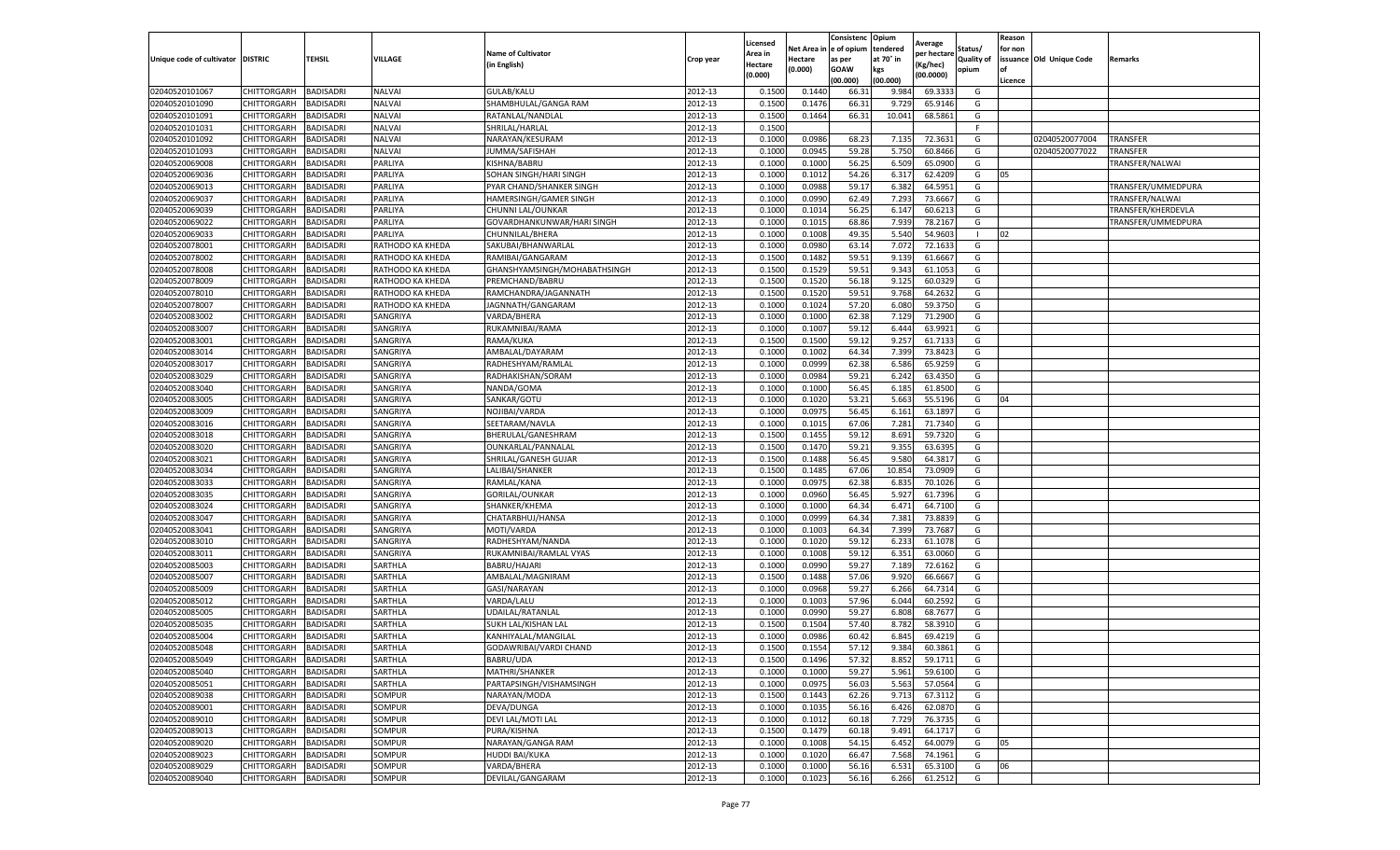|                                   |                    |                  |                  |                              |           | Licensed |          | Consistenc   | Opium     | Average     |                   | Reason  |                          |                    |
|-----------------------------------|--------------------|------------------|------------------|------------------------------|-----------|----------|----------|--------------|-----------|-------------|-------------------|---------|--------------------------|--------------------|
|                                   |                    |                  |                  | <b>Name of Cultivator</b>    |           | Area in  | Net Area | n e of opium | tendered  | per hectarı | Status/           | for non |                          |                    |
| Unique code of cultivator DISTRIC |                    | TEHSIL           | VILLAGE          | (in English)                 | Crop year | Hectare  | Hectare  | as per       | at 70° in | (Kg/hec)    | <b>Quality of</b> |         | issuance Old Unique Code | Remarks            |
|                                   |                    |                  |                  |                              |           | (0.000)  | (0.000)  | <b>GOAW</b>  | kgs       | (00.0000)   | opium             | οf      |                          |                    |
|                                   |                    |                  |                  |                              |           |          |          | (00.000)     | (00.000)  |             |                   | Licence |                          |                    |
| 02040520101067                    | CHITTORGARH        | <b>BADISADRI</b> | <b>NALVAI</b>    | <b>GULAB/KALU</b>            | 2012-13   | 0.1500   | 0.1440   | 66.3         | 9.984     | 69.3333     | G                 |         |                          |                    |
| 02040520101090                    | CHITTORGARH        | <b>BADISADR</b>  | <b>NALVAI</b>    | SHAMBHULAL/GANGA RAM         | 2012-13   | 0.1500   | 0.1476   | 66.3         | 9.729     | 65.9146     | G                 |         |                          |                    |
| 02040520101091                    | CHITTORGARH        | <b>BADISADRI</b> | <b>NALVAI</b>    | RATANLAL/NANDLAL             | 2012-13   | 0.1500   | 0.1464   | 66.3         | 10.041    | 68.5861     | G                 |         |                          |                    |
| 02040520101031                    | CHITTORGARH        | <b>BADISADRI</b> | <b>NALVAI</b>    | SHRILAL/HARLAL               | 2012-13   | 0.1500   |          |              |           |             | F                 |         |                          |                    |
| 02040520101092                    | CHITTORGARH        | <b>BADISADRI</b> | <b>NALVAI</b>    | NARAYAN/KESURAM              | 2012-13   | 0.1000   | 0.0986   | 68.23        | 7.135     | 72.3631     | G                 |         | 02040520077004           | TRANSFER           |
| 02040520101093                    | CHITTORGARH        | <b>BADISADR</b>  | NALVAI           | JUMMA/SAFISHAH               | 2012-13   | 0.1000   | 0.0945   | 59.28        | 5.750     | 60.8466     | G                 |         | 02040520077022           | TRANSFER           |
| 02040520069008                    | CHITTORGARH        | BADISADRI        | PARLIYA          | KISHNA/BABRU                 | 2012-13   | 0.1000   | 0.1000   | 56.25        | 6.509     | 65.0900     | G                 |         |                          | TRANSFER/NALWAI    |
| 02040520069036                    | CHITTORGARH        | BADISADRI        | PARLIYA          | SOHAN SINGH/HARI SINGH       | 2012-13   | 0.1000   | 0.1012   | 54.26        | 6.317     | 62.4209     | G                 | 05      |                          |                    |
| 02040520069013                    | CHITTORGARH        | <b>BADISADRI</b> | PARLIYA          | PYAR CHAND/SHANKER SINGH     | 2012-13   | 0.1000   | 0.0988   | 59.17        | 6.382     | 64.5951     | G                 |         |                          | TRANSFER/UMMEDPURA |
| 02040520069037                    | CHITTORGARH        | <b>BADISADRI</b> | PARLIYA          | HAMERSINGH/GAMER SINGH       | 2012-13   | 0.1000   | 0.0990   | 62.49        | 7.293     | 73.6667     | G                 |         |                          | TRANSFER/NALWAI    |
| 02040520069039                    | CHITTORGARH        | <b>BADISADRI</b> | PARLIYA          | CHUNNI LAL/OUNKAR            | 2012-13   | 0.1000   | 0.1014   | 56.25        | 6.147     | 60.6213     | G                 |         |                          | TRANSFER/KHERDEVLA |
| 02040520069022                    | CHITTORGARH        | <b>BADISADR</b>  | PARLIYA          | GOVARDHANKUNWAR/HARI SINGH   | 2012-13   | 0.1000   | 0.1015   | 68.86        | 7.939     | 78.2167     | G                 |         |                          | TRANSFER/UMMEDPURA |
| 02040520069033                    | CHITTORGARH        | <b>BADISADR</b>  | PARLIYA          | CHUNNILAL/BHERA              | 2012-13   | 0.1000   | 0.1008   | 49.35        | 5.540     | 54.9603     |                   | 02      |                          |                    |
| 02040520078001                    | CHITTORGARH        | <b>BADISADRI</b> | RATHODO KA KHEDA | SAKUBAI/BHANWARLAL           | 2012-13   | 0.1000   | 0.0980   | 63.14        | 7.072     | 72.163      | G                 |         |                          |                    |
| 02040520078002                    | CHITTORGARH        | BADISADRI        | RATHODO KA KHEDA | RAMIBAI/GANGARAM             | 2012-13   | 0.1500   | 0.1482   | 59.51        | 9.139     | 61.6667     | G                 |         |                          |                    |
| 02040520078008                    | CHITTORGARH        | <b>BADISADRI</b> | RATHODO KA KHEDA | GHANSHYAMSINGH/MOHABATHSINGH | 2012-13   | 0.1500   | 0.1529   | 59.51        | 9.343     | 61.1053     | G                 |         |                          |                    |
| 02040520078009                    | CHITTORGARH        | <b>BADISADRI</b> | RATHODO KA KHEDA | PREMCHAND/BABRU              | 2012-13   | 0.1500   | 0.1520   | 56.18        | 9.125     | 60.0329     | G                 |         |                          |                    |
| 02040520078010                    | CHITTORGARH        | <b>BADISADRI</b> | RATHODO KA KHEDA | RAMCHANDRA/JAGANNATH         | 2012-13   | 0.1500   | 0.1520   | 59.51        | 9.768     | 64.2632     | G                 |         |                          |                    |
| 02040520078007                    | CHITTORGARH        | <b>BADISADR</b>  | RATHODO KA KHEDA | JAGNNATH/GANGARAM            | 2012-13   | 0.1000   | 0.1024   | 57.20        | 6.080     | 59.3750     | G                 |         |                          |                    |
| 02040520083002                    | CHITTORGARH        | BADISADRI        | SANGRIYA         | VARDA/BHERA                  | 2012-13   | 0.1000   | 0.1000   | 62.38        | 7.129     | 71.2900     | G                 |         |                          |                    |
| 02040520083007                    | CHITTORGARH        | <b>BADISADRI</b> | SANGRIYA         | RUKAMNIBAI/RAMA              | 2012-13   | 0.1000   | 0.1007   | 59.12        | 6.444     | 63.9921     | G                 |         |                          |                    |
| 02040520083001                    | CHITTORGARH        | <b>BADISADRI</b> | SANGRIYA         | RAMA/KUKA                    | 2012-13   | 0.1500   | 0.1500   | 59.12        | 9.257     | 61.7133     | G                 |         |                          |                    |
| 02040520083014                    | CHITTORGARH        | <b>BADISADRI</b> | SANGRIYA         | AMBALAL/DAYARAM              | 2012-13   | 0.1000   | 0.1002   | 64.34        | 7.399     | 73.8423     | G                 |         |                          |                    |
| 02040520083017                    | CHITTORGARH        | <b>BADISADR</b>  | SANGRIYA         | RADHESHYAM/RAMLAL            | 2012-13   | 0.1000   | 0.0999   | 62.38        | 6.586     | 65.9259     | G                 |         |                          |                    |
| 02040520083029                    | CHITTORGARH        | <b>BADISADR</b>  | SANGRIYA         | RADHAKISHAN/SORAM            | 2012-13   | 0.1000   | 0.0984   | 59.21        | 6.242     | 63.4350     | G                 |         |                          |                    |
| 02040520083040                    | CHITTORGARH        | <b>BADISADR</b>  | SANGRIYA         | NANDA/GOMA                   | 2012-13   | 0.1000   | 0.1000   | 56.45        | 6.185     | 61.8500     | G                 |         |                          |                    |
| 02040520083005                    | CHITTORGARH        | BADISADRI        | SANGRIYA         | SANKAR/GOTU                  | 2012-13   | 0.1000   | 0.1020   | 53.21        | 5.663     | 55.5196     | G                 | 04      |                          |                    |
| 02040520083009                    | CHITTORGARH        | <b>BADISADRI</b> | SANGRIYA         | NOJIBAI/VARDA                | 2012-13   | 0.1000   | 0.0975   | 56.45        | 6.161     | 63.1897     | G                 |         |                          |                    |
| 02040520083016                    | CHITTORGARH        | <b>BADISADRI</b> | SANGRIYA         | SEETARAM/NAVLA               | 2012-13   | 0.1000   | 0.1015   | 67.06        | 7.281     | 71.7340     | G                 |         |                          |                    |
| 02040520083018                    | CHITTORGARH        | <b>BADISADRI</b> | SANGRIYA         | BHERULAL/GANESHRAM           | 2012-13   | 0.1500   | 0.1455   | 59.12        | 8.691     | 59.7320     | G                 |         |                          |                    |
| 02040520083020                    | CHITTORGARH        | <b>BADISADR</b>  | SANGRIYA         | OUNKARLAL/PANNALAL           | 2012-13   | 0.1500   | 0.1470   | 59.21        | 9.35      | 63.6395     | G                 |         |                          |                    |
| 02040520083021                    | CHITTORGARH        | BADISADRI        | SANGRIYA         | SHRILAL/GANESH GUJAR         | 2012-13   | 0.1500   | 0.1488   | 56.45        | 9.580     | 64.3817     | G                 |         |                          |                    |
| 02040520083034                    | CHITTORGARH        | BADISADRI        | SANGRIYA         | LALIBAI/SHANKER              | 2012-13   | 0.1500   | 0.1485   | 67.06        | 10.85     | 73.0909     | G                 |         |                          |                    |
| 02040520083033                    | CHITTORGARH        | BADISADRI        | SANGRIYA         | RAMLAL/KANA                  | 2012-13   | 0.1000   | 0.0975   | 62.38        | 6.835     | 70.1026     | G                 |         |                          |                    |
| 02040520083035                    | CHITTORGARH        | <b>BADISADRI</b> | SANGRIYA         | GORILAL/OUNKAR               | 2012-13   | 0.1000   | 0.0960   | 56.45        | 5.927     | 61.7396     | G                 |         |                          |                    |
| 02040520083024                    | CHITTORGARH        | <b>BADISADRI</b> | SANGRIYA         | SHANKER/KHEMA                | 2012-13   | 0.1000   | 0.1000   | 64.34        | 6.471     | 64.7100     | G                 |         |                          |                    |
| 02040520083047                    | CHITTORGARH        | <b>BADISADRI</b> | SANGRIYA         | CHATARBHUJ/HANSA             | 2012-13   | 0.1000   | 0.0999   | 64.34        | 7.381     | 73.8839     | G                 |         |                          |                    |
| 02040520083041                    | CHITTORGARH        | <b>BADISADR</b>  | SANGRIYA         | MOTI/VARDA                   | 2012-13   | 0.1000   | 0.1003   | 64.34        | 7.399     | 73.7687     | G                 |         |                          |                    |
| 02040520083010                    | CHITTORGARH        | BADISADRI        | SANGRIYA         | RADHESHYAM/NANDA             | 2012-13   | 0.1000   | 0.1020   | 59.12        | 6.233     | 61.1078     | G                 |         |                          |                    |
| 02040520083011                    | CHITTORGARH        | <b>BADISADRI</b> | SANGRIYA         | RUKAMNIBAI/RAMLAL VYAS       | 2012-13   | 0.1000   | 0.1008   | 59.12        | 6.351     | 63.0060     | G                 |         |                          |                    |
| 02040520085003                    | CHITTORGARH        | <b>BADISADR</b>  | SARTHLA          | <b>BABRU/HAJARI</b>          | 2012-13   | 0.1000   | 0.0990   | 59.27        | 7.189     | 72.6162     | G                 |         |                          |                    |
| 02040520085007                    | CHITTORGARH        | <b>BADISADRI</b> | SARTHLA          | AMBALAL/MAGNIRAM             | 2012-13   | 0.1500   | 0.1488   | 57.06        | 9.920     | 66.6667     | G                 |         |                          |                    |
| 02040520085009                    | CHITTORGARH        | <b>BADISADR</b>  | SARTHLA          | GASI/NARAYAN                 | 2012-13   | 0.1000   | 0.0968   | 59.27        | 6.266     | 64.7314     | G                 |         |                          |                    |
| 02040520085012                    | CHITTORGARH        | BADISADRI        | SARTHLA          | VARDA/LALU                   | 2012-13   | 0.1000   | 0.1003   | 57.96        | 6.044     | 60.2592     | G                 |         |                          |                    |
| 02040520085005                    | CHITTORGARH        | <b>BADISADRI</b> | SARTHLA          | UDAILAL/RATANLAL             | 2012-13   | 0.1000   | 0.0990   | 59.27        | 6.808     | 68.7677     | G                 |         |                          |                    |
| 02040520085035                    | CHITTORGARH        | BADISADRI        | SARTHLA          | SUKH LAL/KISHAN LAI          | 2012-13   | 0.1500   | 0.1504   | 57.40        | 8.782     | 58.3910     | G                 |         |                          |                    |
| 02040520085004                    | CHITTORGARH        | <b>BADISADRI</b> | SARTHLA          | KANHIYALAL/MANGILAL          | 2012-13   | 0.1000   | 0.0986   | 60.42        | 6.845     | 69.4219     | G                 |         |                          |                    |
| 02040520085048                    | CHITTORGARH        | <b>BADISADRI</b> | SARTHLA          | GODAWRIBAI/VARDI CHAND       | 2012-13   | 0.1500   | 0.1554   | 57.12        | 9.384     | 60.3861     | G                 |         |                          |                    |
| 02040520085049                    | CHITTORGARH        | <b>BADISADRI</b> | SARTHLA          | BABRU/UDA                    | 2012-13   | 0.1500   | 0.1496   | 57.32        | 8.852     | 59.1711     | G                 |         |                          |                    |
| 02040520085040                    | CHITTORGARH        | <b>BADISADRI</b> | SARTHLA          | MATHRI/SHANKER               | 2012-13   | 0.1000   | 0.1000   | 59.27        | 5.961     | 59.6100     | G                 |         |                          |                    |
| 02040520085051                    | <b>CHITTORGARH</b> | <b>BADISADRI</b> | SARTHLA          | PARTAPSINGH/VISHAMSINGH      | 2012-13   | 0.1000   | 0.0975   | 56.03        | 5.563     | 57.0564     | G                 |         |                          |                    |
| 02040520089038                    | <b>CHITTORGARH</b> | <b>BADISADRI</b> | SOMPUR           | NARAYAN/MODA                 | 2012-13   | 0.1500   | 0.1443   | 62.26        | 9.713     | 67.3112     | G                 |         |                          |                    |
| 02040520089001                    | CHITTORGARH        | <b>BADISADRI</b> | SOMPUR           | DEVA/DUNGA                   | 2012-13   | 0.1000   | 0.1035   | 56.16        | 6.426     | 62.0870     | G                 |         |                          |                    |
| 02040520089010                    | CHITTORGARH        | <b>BADISADRI</b> | SOMPUR           | DEVI LAL/MOTI LAL            | 2012-13   | 0.1000   | 0.1012   | 60.18        | 7.729     | 76.3735     | G                 |         |                          |                    |
| 02040520089013                    | CHITTORGARH        | <b>BADISADRI</b> | SOMPUR           | PURA/KISHNA                  | 2012-13   | 0.1500   | 0.1479   | 60.18        | 9.491     | 64.1717     | G                 |         |                          |                    |
| 02040520089020                    | CHITTORGARH        | <b>BADISADRI</b> | SOMPUR           | NARAYAN/GANGA RAM            | 2012-13   | 0.1000   | 0.1008   | 54.15        | 6.452     | 64.0079     | G                 | 05      |                          |                    |
| 02040520089023                    | CHITTORGARH        | <b>BADISADRI</b> | SOMPUR           | <b>HUDDI BAI/KUKA</b>        | 2012-13   | 0.1000   | 0.1020   | 66.47        | 7.568     | 74.1961     | G                 |         |                          |                    |
| 02040520089029                    | CHITTORGARH        | <b>BADISADRI</b> | SOMPUR           | VARDA/BHERA                  | 2012-13   | 0.1000   | 0.1000   | 56.16        | 6.531     | 65.3100     | G                 | 06      |                          |                    |
| 02040520089040                    | CHITTORGARH        | <b>BADISADRI</b> | SOMPUR           | DEVILAL/GANGARAM             | 2012-13   | 0.1000   | 0.1023   | 56.16        | 6.266     | 61.2512     | G                 |         |                          |                    |
|                                   |                    |                  |                  |                              |           |          |          |              |           |             |                   |         |                          |                    |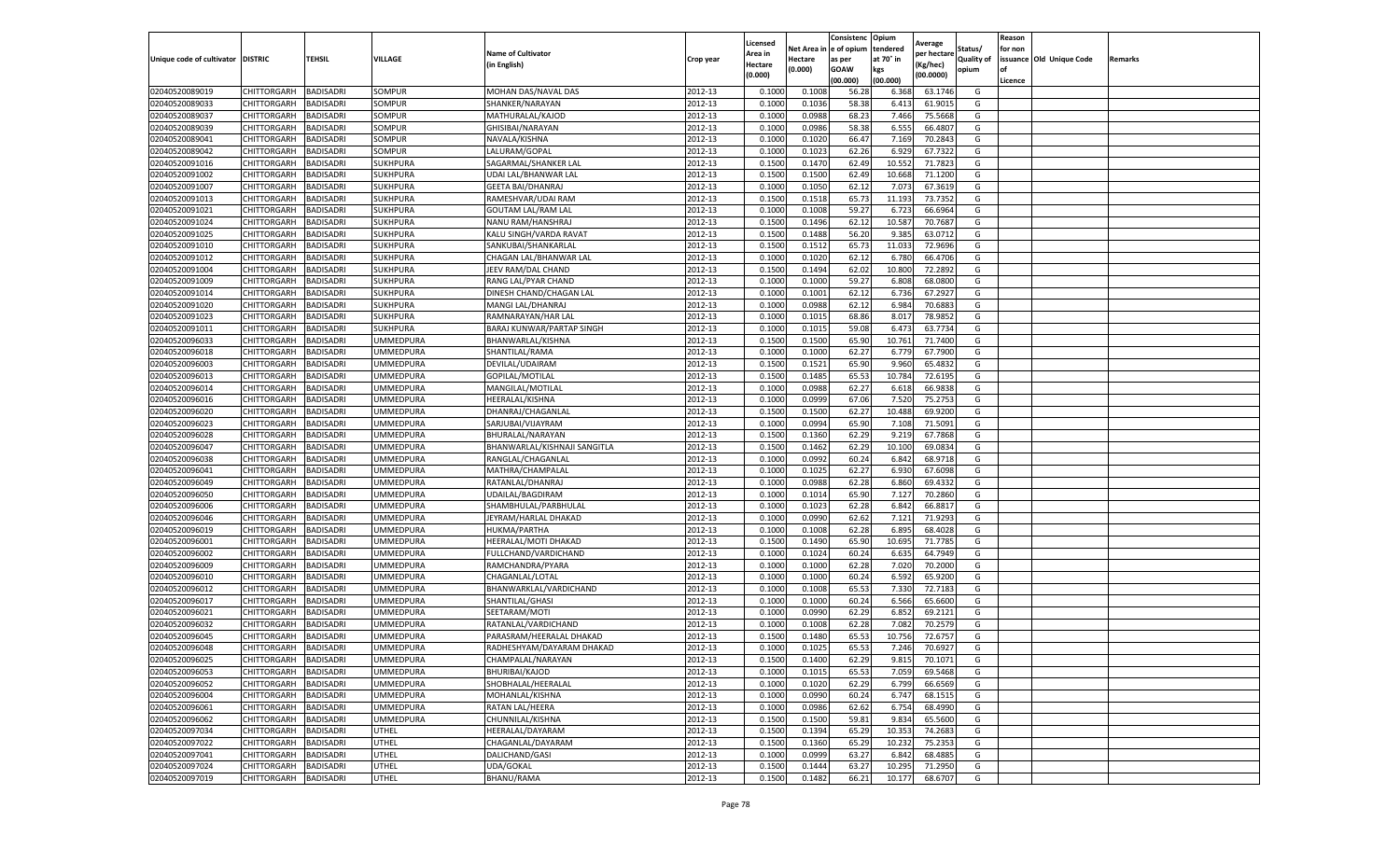|                                   |             |                  |                  |                                  |           | Licensed |            | Consistenc  | Opium     | Average     |                   | Reason  |                          |         |
|-----------------------------------|-------------|------------------|------------------|----------------------------------|-----------|----------|------------|-------------|-----------|-------------|-------------------|---------|--------------------------|---------|
|                                   |             |                  |                  | <b>Name of Cultivator</b>        |           | Area in  | Net Area i | e of opium  | tendered  | per hectare | Status/           | for non |                          |         |
| Unique code of cultivator DISTRIC |             | TEHSIL           | VILLAGE          | (in English)                     | Crop year | Hectare  | Hectare    | as per      | at 70° in | (Kg/hec)    | <b>Quality of</b> |         | issuance Old Unique Code | Remarks |
|                                   |             |                  |                  |                                  |           | (0.000)  | (0.000)    | <b>GOAW</b> | kgs       | (00.0000)   | opium             | οf      |                          |         |
|                                   |             |                  |                  |                                  |           |          |            | (00.000     | (00.000)  |             |                   | Licence |                          |         |
| 02040520089019                    | CHITTORGARH | BADISADRI        | SOMPUR           | MOHAN DAS/NAVAL DAS              | 2012-13   | 0.1000   | 0.1008     | 56.28       | 6.368     | 63.1746     | G                 |         |                          |         |
| 02040520089033                    | CHITTORGARH | BADISADRI        | SOMPUR           | SHANKER/NARAYAN                  | 2012-13   | 0.100    | 0.1036     | 58.38       | 6.413     | 61.9015     | G                 |         |                          |         |
| 02040520089037                    | CHITTORGARH | BADISADRI        | SOMPUR           | MATHURALAL/KAJOD                 | 2012-13   | 0.1000   | 0.0988     | 68.23       | 7.466     | 75.5668     | G                 |         |                          |         |
| 02040520089039                    | CHITTORGARH | BADISADRI        | SOMPUR           | GHISIBAI/NARAYAN                 | 2012-13   | 0.1000   | 0.0986     | 58.38       | 6.555     | 66.4807     | G                 |         |                          |         |
| 02040520089041                    | CHITTORGARH | BADISADRI        | SOMPUR           | NAVALA/KISHNA                    | 2012-13   | 0.1000   | 0.1020     | 66.47       | 7.169     | 70.2843     | G                 |         |                          |         |
| 02040520089042                    | CHITTORGARH | BADISADRI        | SOMPUR           | LALURAM/GOPAL                    | 2012-13   | 0.1000   | 0.1023     | 62.26       | 6.929     | 67.7322     | G                 |         |                          |         |
| 02040520091016                    | CHITTORGARH | BADISADRI        | <b>SUKHPURA</b>  | SAGARMAL/SHANKER LAI             | 2012-13   | 0.1500   | 0.1470     | 62.49       | 10.552    | 71.7823     | G                 |         |                          |         |
| 02040520091002                    | CHITTORGARH | BADISADRI        | SUKHPURA         | UDAI LAL/BHANWAR LAI             | 2012-13   | 0.1500   | 0.1500     | 62.49       | 10.668    | 71.1200     | G                 |         |                          |         |
| 02040520091007                    | CHITTORGARH | BADISADRI        | SUKHPURA         | <b>GEETA BAI/DHANRAJ</b>         | 2012-13   | 0.1000   | 0.1050     | 62.12       | 7.073     | 67.3619     | G                 |         |                          |         |
| 02040520091013                    | CHITTORGARH | BADISADRI        | SUKHPURA         | RAMESHVAR/UDAI RAM               | 2012-13   | 0.1500   | 0.1518     | 65.73       | 11.193    | 73.7352     | G                 |         |                          |         |
| 02040520091021                    | CHITTORGARH | BADISADRI        | SUKHPURA         | <b>GOUTAM LAL/RAM LAL</b>        | 2012-13   | 0.1000   | 0.1008     | 59.27       | 6.723     | 66.6964     | G                 |         |                          |         |
| 02040520091024                    | CHITTORGARH | BADISADRI        | SUKHPURA         | NANU RAM/HANSHRAJ                | 2012-13   | 0.1500   | 0.1496     | 62.12       | 10.587    | 70.7687     | G                 |         |                          |         |
| 02040520091025                    | CHITTORGARH | BADISADRI        | <b>SUKHPURA</b>  | KALU SINGH/VARDA RAVAT           | 2012-13   | 0.1500   | 0.1488     | 56.20       | 9.385     | 63.0712     | G                 |         |                          |         |
| 02040520091010                    | CHITTORGARH | BADISADRI        | SUKHPURA         | SANKUBAI/SHANKARLAL              | 2012-13   | 0.1500   | 0.1512     | 65.73       | 11.033    | 72.9696     | G                 |         |                          |         |
| 02040520091012                    | CHITTORGARH | BADISADRI        | SUKHPURA         | CHAGAN LAL/BHANWAR LAL           | 2012-13   | 0.1000   | 0.1020     | 62.12       | 6.780     | 66.4706     | G                 |         |                          |         |
| 02040520091004                    | CHITTORGARH | BADISADRI        | SUKHPURA         | JEEV RAM/DAL CHAND               | 2012-13   | 0.1500   | 0.1494     | 62.02       | 10.800    | 72.2892     | G                 |         |                          |         |
| 02040520091009                    | CHITTORGARH | BADISADRI        | SUKHPURA         | RANG LAL/PYAR CHAND              | 2012-13   | 0.1000   | 0.1000     | 59.27       | 6.808     | 68.0800     | G                 |         |                          |         |
| 02040520091014                    | CHITTORGARH | BADISADRI        | SUKHPURA         | DINESH CHAND/CHAGAN LAL          | 2012-13   | 0.1000   | 0.1001     | 62.12       | 6.736     | 67.2927     | G                 |         |                          |         |
| 02040520091020                    | CHITTORGARH | BADISADRI        | SUKHPURA         | MANGI LAL/DHANRAJ                | 2012-13   | 0.1000   | 0.0988     | 62.12       | 6.984     | 70.688      | G                 |         |                          |         |
| 02040520091023                    | CHITTORGARH | BADISADRI        | <b>SUKHPURA</b>  | RAMNARAYAN/HAR LAI               | 2012-13   | 0.1000   | 0.1015     | 68.86       | 8.017     | 78.9852     | G                 |         |                          |         |
| 02040520091011                    | CHITTORGARH | BADISADRI        | SUKHPURA         | <b>BARAJ KUNWAR/PARTAP SINGH</b> | 2012-13   | 0.1000   | 0.1015     | 59.08       | 6.473     | 63.7734     | G                 |         |                          |         |
| 02040520096033                    | CHITTORGARH | BADISADRI        | UMMEDPURA        | BHANWARLAL/KISHNA                | 2012-13   | 0.1500   | 0.1500     | 65.90       | 10.761    | 71.7400     | G                 |         |                          |         |
| 02040520096018                    | CHITTORGARH | BADISADRI        | <b>UMMEDPURA</b> | SHANTILAL/RAMA                   | 2012-13   | 0.1000   | 0.1000     | 62.27       | 6.779     | 67.7900     | G                 |         |                          |         |
| 02040520096003                    | CHITTORGARH | BADISADRI        | UMMEDPURA        | DEVILAL/UDAIRAM                  | 2012-13   | 0.1500   | 0.1521     | 65.90       | 9.960     | 65.4832     | G                 |         |                          |         |
| 02040520096013                    | CHITTORGARH | BADISADRI        | UMMEDPURA        | GOPILAL/MOTILAL                  | 2012-13   | 0.1500   | 0.1485     | 65.53       | 10.784    | 72.6195     | G                 |         |                          |         |
| 02040520096014                    | CHITTORGARH | BADISADRI        | <b>UMMEDPURA</b> | MANGILAL/MOTILAL                 | 2012-13   | 0.1000   | 0.0988     | 62.27       | 6.618     | 66.9838     | G                 |         |                          |         |
| 02040520096016                    | CHITTORGARH | BADISADRI        | UMMEDPURA        | HEERALAL/KISHNA                  | 2012-13   | 0.1000   | 0.0999     | 67.06       | 7.520     | 75.2753     | G                 |         |                          |         |
| 02040520096020                    | CHITTORGARH | BADISADRI        | UMMEDPURA        | DHANRAJ/CHAGANLAI                | 2012-13   | 0.1500   | 0.1500     | 62.27       | 10.488    | 69.9200     | G                 |         |                          |         |
| 02040520096023                    | CHITTORGARH | BADISADRI        | <b>UMMEDPURA</b> | SARJUBAI/VIJAYRAM                | 2012-13   | 0.1000   | 0.0994     | 65.90       | 7.108     | 71.5091     | G                 |         |                          |         |
| 02040520096028                    | CHITTORGARH | BADISADRI        | <b>UMMEDPURA</b> | BHURALAL/NARAYAN                 | 2012-13   | 0.1500   | 0.1360     | 62.29       | 9.219     | 67.7868     | G                 |         |                          |         |
| 02040520096047                    | CHITTORGARH | BADISADRI        | UMMEDPURA        | BHANWARLAL/KISHNAJI SANGITLA     | 2012-13   | 0.1500   | 0.1462     | 62.29       | 10.100    | 69.0834     | G                 |         |                          |         |
| 02040520096038                    | CHITTORGARH | BADISADRI        | <b>UMMEDPURA</b> | RANGLAL/CHAGANLAL                | 2012-13   | 0.1000   | 0.0992     | 60.24       | 6.842     | 68.9718     | G                 |         |                          |         |
| 02040520096041                    | CHITTORGARH | BADISADRI        | UMMEDPURA        | MATHRA/CHAMPALAL                 | 2012-13   | 0.100    | 0.1025     | 62.27       | 6.930     | 67.6098     | G                 |         |                          |         |
| 02040520096049                    | CHITTORGARH | BADISADRI        | UMMEDPURA        | RATANLAL/DHANRAJ                 | 2012-13   | 0.1000   | 0.0988     | 62.28       | 6.860     | 69.4332     | G                 |         |                          |         |
| 02040520096050                    | CHITTORGARH | BADISADRI        | <b>UMMEDPURA</b> | UDAILAL/BAGDIRAM                 | 2012-13   | 0.1000   | 0.1014     | 65.90       | 7.127     | 70.2860     | G                 |         |                          |         |
| 02040520096006                    | CHITTORGARH | BADISADRI        | UMMEDPURA        | SHAMBHULAL/PARBHULAL             | 2012-13   | 0.1000   | 0.1023     | 62.28       | 6.842     | 66.8817     | G                 |         |                          |         |
| 02040520096046                    | CHITTORGARH | BADISADRI        | UMMEDPURA        | JEYRAM/HARLAL DHAKAD             | 2012-13   | 0.1000   | 0.0990     | 62.62       | 7.121     | 71.9293     | G                 |         |                          |         |
| 02040520096019                    | CHITTORGARH | BADISADRI        | UMMEDPURA        | HUKMA/PARTHA                     | 2012-13   | 0.1000   | 0.1008     | 62.28       | 6.895     | 68.4028     | G                 |         |                          |         |
| 02040520096001                    | CHITTORGARH | BADISADRI        | UMMEDPURA        | HEERALAL/MOTI DHAKAD             | 2012-13   | 0.1500   | 0.1490     | 65.90       | 10.695    | 71.7785     | G                 |         |                          |         |
| 02040520096002                    | CHITTORGARH | BADISADRI        | UMMEDPURA        | FULLCHAND/VARDICHAND             | 2012-13   | 0.1000   | 0.1024     | 60.24       | 6.635     | 64.7949     | G                 |         |                          |         |
| 02040520096009                    | CHITTORGARH | BADISADRI        | UMMEDPURA        | RAMCHANDRA/PYARA                 | 2012-13   | 0.1000   | 0.1000     | 62.28       | 7.020     | 70.2000     | G                 |         |                          |         |
| 02040520096010                    | CHITTORGARH | BADISADRI        | UMMEDPURA        | CHAGANLAL/LOTAL                  | 2012-13   | 0.1000   | 0.1000     | 60.24       | 6.592     | 65.9200     | G                 |         |                          |         |
| 02040520096012                    | CHITTORGARH | BADISADRI        | UMMEDPURA        | BHANWARKLAL/VARDICHAND           | 2012-13   | 0.1000   | 0.1008     | 65.53       | 7.330     | 72.7183     | G                 |         |                          |         |
| 02040520096017                    | CHITTORGARH | BADISADRI        | <b>UMMEDPURA</b> | SHANTILAL/GHASI                  | 2012-13   | 0.1000   | 0.1000     | 60.24       | 6.566     | 65.6600     | G                 |         |                          |         |
| 02040520096021                    | CHITTORGARH | BADISADRI        | <b>UMMEDPURA</b> | SEETARAM/MOTI                    | 2012-13   | 0.1000   | 0.0990     | 62.29       | 6.852     | 69.2121     | G                 |         |                          |         |
| 02040520096032                    | CHITTORGARH | BADISADRI        | UMMEDPURA        | RATANLAL/VARDICHAND              | 2012-13   | 0.100    | 0.1008     | 62.28       | 7.082     | 70.2579     | G                 |         |                          |         |
| 02040520096045                    | CHITTORGARH | BADISADRI        | UMMEDPURA        | PARASRAM/HEERALAL DHAKAD         | 2012-13   | 0.1500   | 0.1480     | 65.53       | 10.756    | 72.6757     | G                 |         |                          |         |
| 02040520096048                    | CHITTORGARH | <b>BADISADRI</b> | <b>UMMEDPURA</b> | RADHESHYAM/DAYARAM DHAKAD        | 2012-13   | 0.1000   | 0.1025     | 65.53       | 7.246     | 70.6927     | G                 |         |                          |         |
| 02040520096025                    | CHITTORGARH | <b>BADISADRI</b> | UMMEDPURA        | CHAMPALAL/NARAYAN                | 2012-13   | 0.1500   | 0.1400     | 62.29       | 9.815     | 70.1071     | G                 |         |                          |         |
| 02040520096053                    | CHITTORGARH | BADISADRI        | <b>UMMEDPURA</b> | BHURIBAI/KAJOD                   | 2012-13   | 0.1000   | 0.1015     | 65.53       | 7.059     | 69.5468     | G                 |         |                          |         |
| 02040520096052                    | CHITTORGARH | BADISADRI        | <b>UMMEDPURA</b> | SHOBHALAL/HEERALAL               | 2012-13   | 0.1000   | 0.1020     | 62.29       | 6.799     | 66.6569     | G                 |         |                          |         |
| 02040520096004                    | CHITTORGARH | BADISADRI        | <b>UMMEDPURA</b> | MOHANLAL/KISHNA                  | 2012-13   | 0.1000   | 0.0990     | 60.24       | 6.747     | 68.1515     | G                 |         |                          |         |
| 02040520096061                    | CHITTORGARH | BADISADRI        | <b>UMMEDPURA</b> | RATAN LAL/HEERA                  | 2012-13   | 0.1000   | 0.0986     | 62.62       | 6.754     | 68.4990     | G                 |         |                          |         |
| 02040520096062                    | CHITTORGARH | <b>BADISADRI</b> | <b>UMMEDPURA</b> | CHUNNILAL/KISHNA                 | 2012-13   | 0.1500   | 0.1500     | 59.81       | 9.834     | 65.5600     | G                 |         |                          |         |
| 02040520097034                    | CHITTORGARH | BADISADRI        | UTHEL            | HEERALAL/DAYARAM                 | 2012-13   | 0.1500   | 0.1394     | 65.29       | 10.353    | 74.2683     | G                 |         |                          |         |
| 02040520097022                    | CHITTORGARH | BADISADRI        | UTHEL            | CHAGANLAL/DAYARAM                | 2012-13   | 0.1500   | 0.1360     | 65.29       | 10.232    | 75.2353     | G                 |         |                          |         |
| 02040520097041                    | CHITTORGARH | BADISADRI        | UTHEL            | DALICHAND/GASI                   | 2012-13   | 0.1000   | 0.0999     | 63.27       | 6.842     | 68.4885     | G                 |         |                          |         |
| 02040520097024                    | CHITTORGARH | BADISADRI        | UTHEL            | UDA/GOKAL                        | 2012-13   | 0.1500   | 0.1444     | 63.27       | 10.295    | 71.2950     | G                 |         |                          |         |
| 02040520097019                    | CHITTORGARH | <b>BADISADRI</b> | UTHEL            | <b>BHANU/RAMA</b>                | 2012-13   | 0.1500   | 0.1482     | 66.21       | 10.177    | 68.6707     | G                 |         |                          |         |
|                                   |             |                  |                  |                                  |           |          |            |             |           |             |                   |         |                          |         |